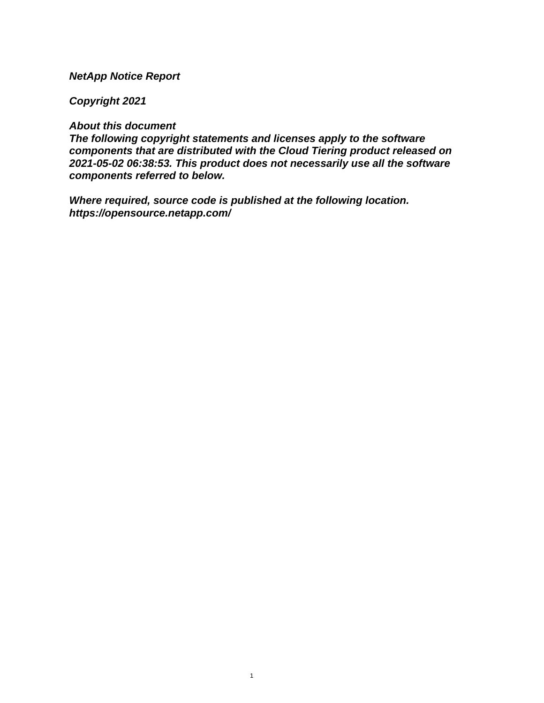## **NetApp Notice Report**

## **Copyright 2021**

## **About this document**

**The following copyright statements and licenses apply to the software components that are distributed with the Cloud Tiering product released on 2021-05-02 06:38:53. This product does not necessarily use all the software components referred to below.**

**Where required, source code is published at the following location. <https://opensource.netapp.com/>**

1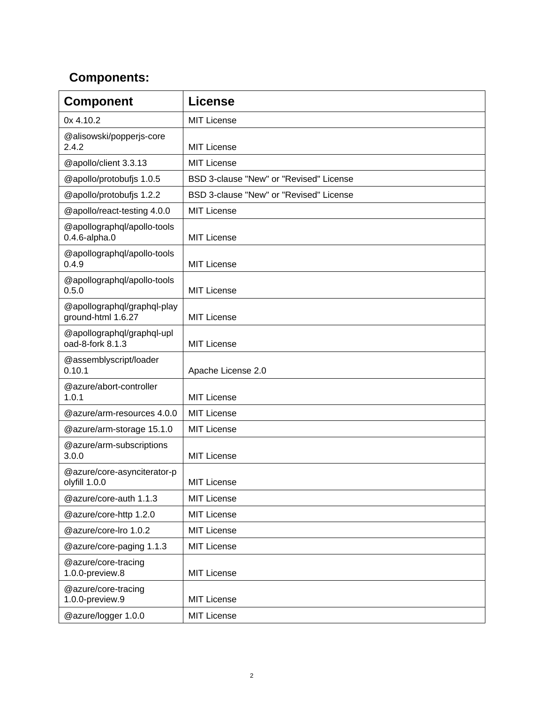## **Components:**

| <b>Component</b>                                   | <b>License</b>                          |
|----------------------------------------------------|-----------------------------------------|
| 0x 4.10.2                                          | <b>MIT License</b>                      |
| @alisowski/popperjs-core<br>2.4.2                  | <b>MIT License</b>                      |
| @apollo/client 3.3.13                              | <b>MIT License</b>                      |
| @apollo/protobufjs 1.0.5                           | BSD 3-clause "New" or "Revised" License |
| @apollo/protobufjs 1.2.2                           | BSD 3-clause "New" or "Revised" License |
| @apollo/react-testing 4.0.0                        | <b>MIT License</b>                      |
| @apollographql/apollo-tools<br>$0.4.6$ -alpha. $0$ | <b>MIT License</b>                      |
| @apollographql/apollo-tools<br>0.4.9               | <b>MIT License</b>                      |
| @apollographql/apollo-tools<br>0.5.0               | <b>MIT License</b>                      |
| @apollographql/graphql-play<br>ground-html 1.6.27  | <b>MIT License</b>                      |
| @apollographql/graphql-upl<br>oad-8-fork 8.1.3     | <b>MIT License</b>                      |
| @assemblyscript/loader<br>0.10.1                   | Apache License 2.0                      |
| @azure/abort-controller<br>1.0.1                   | <b>MIT License</b>                      |
| @azure/arm-resources 4.0.0                         | <b>MIT License</b>                      |
| @azure/arm-storage 15.1.0                          | <b>MIT License</b>                      |
| @azure/arm-subscriptions<br>3.0.0                  | <b>MIT License</b>                      |
| @azure/core-asynciterator-p<br>olyfill 1.0.0       | <b>MIT License</b>                      |
| @azure/core-auth 1.1.3                             | <b>MIT License</b>                      |
| @azure/core-http 1.2.0                             | <b>MIT License</b>                      |
| @azure/core-lro 1.0.2                              | <b>MIT License</b>                      |
| @azure/core-paging 1.1.3                           | <b>MIT License</b>                      |
| @azure/core-tracing<br>1.0.0-preview.8             | <b>MIT License</b>                      |
| @azure/core-tracing<br>1.0.0-preview.9             | <b>MIT License</b>                      |
| @azure/logger 1.0.0                                | <b>MIT License</b>                      |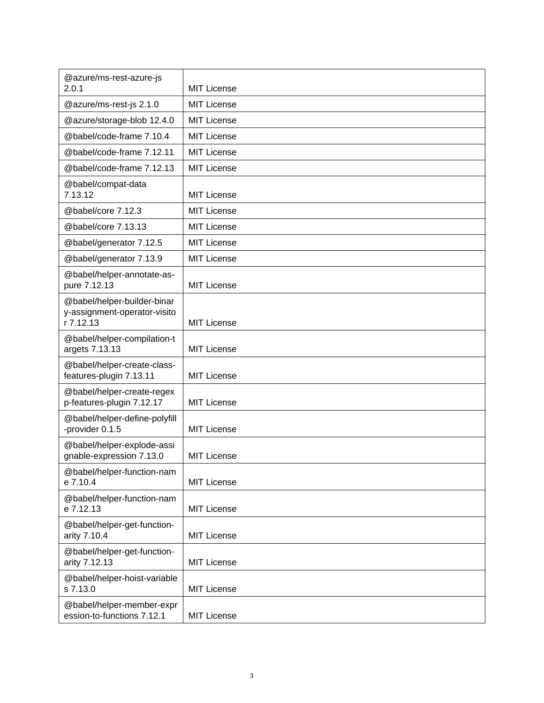| @azure/ms-rest-azure-js<br>2.0.1                                         | <b>MIT License</b> |
|--------------------------------------------------------------------------|--------------------|
| @azure/ms-rest-js 2.1.0                                                  | <b>MIT License</b> |
| @azure/storage-blob 12.4.0                                               | <b>MIT License</b> |
| @babel/code-frame 7.10.4                                                 | <b>MIT License</b> |
| @babel/code-frame 7.12.11                                                | <b>MIT License</b> |
| @babel/code-frame 7.12.13                                                | <b>MIT License</b> |
| @babel/compat-data<br>7.13.12                                            | <b>MIT License</b> |
| @babel/core 7.12.3                                                       | <b>MIT License</b> |
| @babel/core 7.13.13                                                      | <b>MIT License</b> |
| @babel/generator 7.12.5                                                  | <b>MIT License</b> |
| @babel/generator 7.13.9                                                  | <b>MIT License</b> |
| @babel/helper-annotate-as-<br>pure 7.12.13                               | <b>MIT License</b> |
| @babel/helper-builder-binar<br>y-assignment-operator-visito<br>r 7.12.13 | <b>MIT License</b> |
| @babel/helper-compilation-t<br>argets 7.13.13                            | <b>MIT License</b> |
| @babel/helper-create-class-<br>features-plugin 7.13.11                   | <b>MIT License</b> |
| @babel/helper-create-regex<br>p-features-plugin 7.12.17                  | <b>MIT License</b> |
| @babel/helper-define-polyfill<br>-provider 0.1.5                         | MIT License        |
| @babel/helper-explode-assi<br>gnable-expression 7.13.0                   | MIT License        |
| @babel/helper-function-nam<br>e 7.10.4                                   | <b>MIT License</b> |
| @babel/helper-function-nam<br>e 7.12.13                                  | <b>MIT License</b> |
| @babel/helper-get-function-<br>arity 7.10.4                              | <b>MIT License</b> |
| @babel/helper-get-function-<br>arity 7.12.13                             | <b>MIT License</b> |
| @babel/helper-hoist-variable<br>s 7.13.0                                 | <b>MIT License</b> |
| @babel/helper-member-expr<br>ession-to-functions 7.12.1                  | <b>MIT License</b> |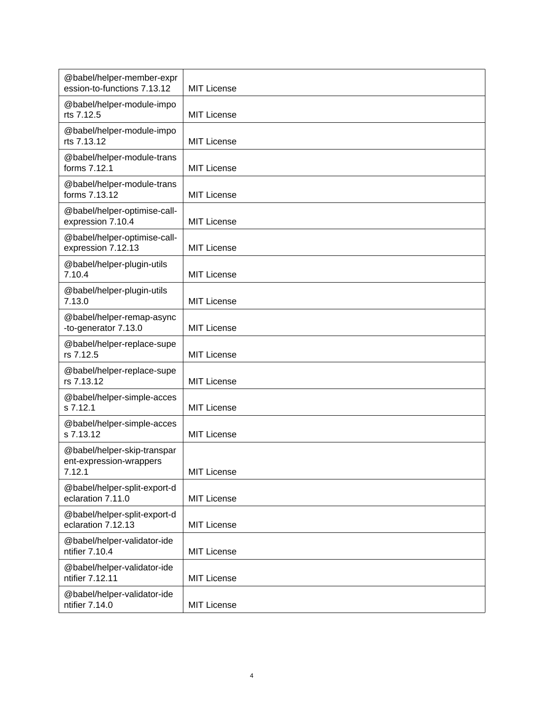| @babel/helper-member-expr<br>ession-to-functions 7.13.12         | <b>MIT License</b> |
|------------------------------------------------------------------|--------------------|
| @babel/helper-module-impo<br>rts 7.12.5                          | MIT License        |
| @babel/helper-module-impo<br>rts 7.13.12                         | <b>MIT License</b> |
| @babel/helper-module-trans<br>forms 7.12.1                       | MIT License        |
| @babel/helper-module-trans<br>forms 7.13.12                      | <b>MIT License</b> |
| @babel/helper-optimise-call-<br>expression 7.10.4                | <b>MIT License</b> |
| @babel/helper-optimise-call-<br>expression 7.12.13               | <b>MIT License</b> |
| @babel/helper-plugin-utils<br>7.10.4                             | MIT License        |
| @babel/helper-plugin-utils<br>7.13.0                             | <b>MIT License</b> |
| @babel/helper-remap-async<br>-to-generator 7.13.0                | MIT License        |
| @babel/helper-replace-supe<br>rs 7.12.5                          | <b>MIT License</b> |
| @babel/helper-replace-supe<br>rs 7.13.12                         | <b>MIT License</b> |
| @babel/helper-simple-acces<br>s 7.12.1                           | <b>MIT License</b> |
| @babel/helper-simple-acces<br>s 7.13.12                          | MIT License        |
| @babel/helper-skip-transpar<br>ent-expression-wrappers<br>7.12.1 | <b>MIT License</b> |
| @babel/helper-split-export-d<br>eclaration 7.11.0                | <b>MIT License</b> |
| @babel/helper-split-export-d<br>eclaration 7.12.13               | <b>MIT License</b> |
| @babel/helper-validator-ide<br>ntifier 7.10.4                    | <b>MIT License</b> |
| @babel/helper-validator-ide<br>ntifier 7.12.11                   | <b>MIT License</b> |
| @babel/helper-validator-ide<br>ntifier 7.14.0                    | <b>MIT License</b> |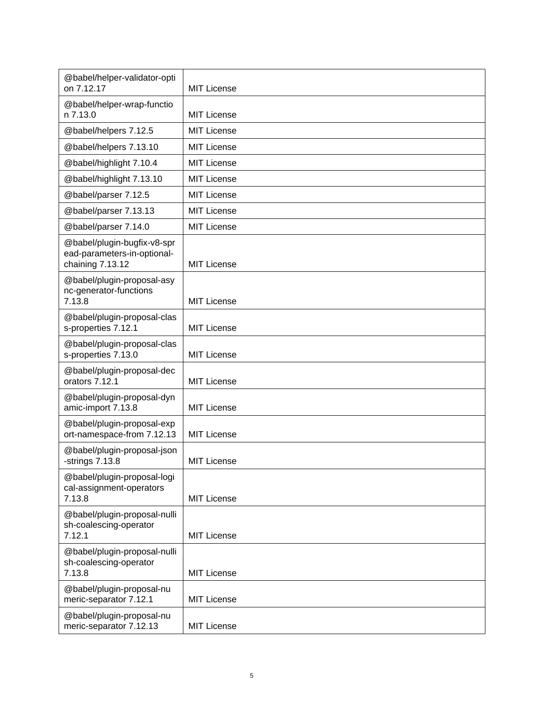| @babel/helper-validator-opti<br>on 7.12.17                                     | <b>MIT License</b> |
|--------------------------------------------------------------------------------|--------------------|
| @babel/helper-wrap-functio<br>n 7.13.0                                         | <b>MIT License</b> |
| @babel/helpers 7.12.5                                                          | <b>MIT License</b> |
| @babel/helpers 7.13.10                                                         | <b>MIT License</b> |
| @babel/highlight 7.10.4                                                        | <b>MIT License</b> |
| @babel/highlight 7.13.10                                                       | <b>MIT License</b> |
| @babel/parser 7.12.5                                                           | <b>MIT License</b> |
| @babel/parser 7.13.13                                                          | <b>MIT License</b> |
| @babel/parser 7.14.0                                                           | <b>MIT License</b> |
| @babel/plugin-bugfix-v8-spr<br>ead-parameters-in-optional-<br>chaining 7.13.12 | <b>MIT License</b> |
| @babel/plugin-proposal-asy<br>nc-generator-functions<br>7.13.8                 | <b>MIT License</b> |
| @babel/plugin-proposal-clas<br>s-properties 7.12.1                             | <b>MIT License</b> |
| @babel/plugin-proposal-clas<br>s-properties 7.13.0                             | <b>MIT License</b> |
| @babel/plugin-proposal-dec<br>orators 7.12.1                                   | <b>MIT License</b> |
| @babel/plugin-proposal-dyn<br>amic-import 7.13.8                               | <b>MIT License</b> |
| @babel/plugin-proposal-exp<br>ort-namespace-from 7.12.13                       | MIT License        |
| @babel/plugin-proposal-json<br>-strings $7.13.8$                               | <b>MIT License</b> |
| @babel/plugin-proposal-logi<br>cal-assignment-operators<br>7.13.8              | <b>MIT License</b> |
| @babel/plugin-proposal-nulli<br>sh-coalescing-operator<br>7.12.1               | <b>MIT License</b> |
| @babel/plugin-proposal-nulli<br>sh-coalescing-operator<br>7.13.8               | <b>MIT License</b> |
| @babel/plugin-proposal-nu<br>meric-separator 7.12.1                            | <b>MIT License</b> |
| @babel/plugin-proposal-nu<br>meric-separator 7.12.13                           | <b>MIT License</b> |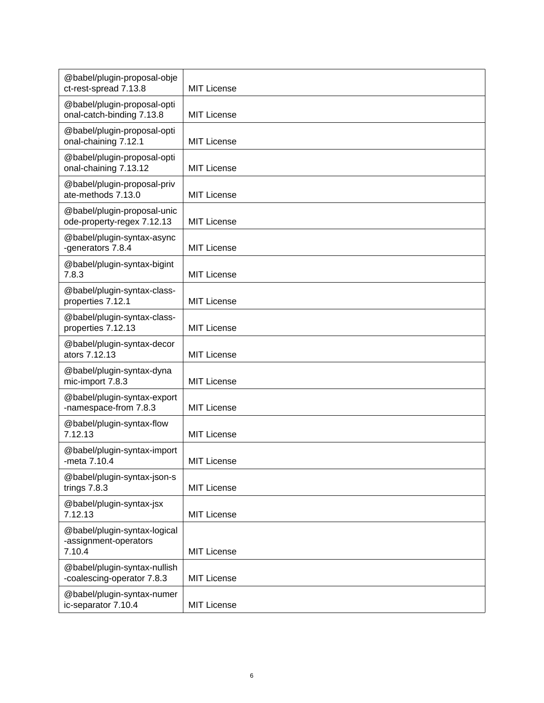| @babel/plugin-proposal-obje<br>ct-rest-spread 7.13.8            | <b>MIT License</b> |
|-----------------------------------------------------------------|--------------------|
| @babel/plugin-proposal-opti                                     |                    |
| onal-catch-binding 7.13.8                                       | <b>MIT License</b> |
| @babel/plugin-proposal-opti<br>onal-chaining 7.12.1             | <b>MIT License</b> |
| @babel/plugin-proposal-opti<br>onal-chaining 7.13.12            | <b>MIT License</b> |
| @babel/plugin-proposal-priv<br>ate-methods 7.13.0               | <b>MIT License</b> |
| @babel/plugin-proposal-unic<br>ode-property-regex 7.12.13       | <b>MIT License</b> |
| @babel/plugin-syntax-async<br>-generators 7.8.4                 | <b>MIT License</b> |
| @babel/plugin-syntax-bigint<br>7.8.3                            | <b>MIT License</b> |
| @babel/plugin-syntax-class-<br>properties 7.12.1                | <b>MIT License</b> |
| @babel/plugin-syntax-class-<br>properties 7.12.13               | <b>MIT License</b> |
| @babel/plugin-syntax-decor<br>ators 7.12.13                     | <b>MIT License</b> |
| @babel/plugin-syntax-dyna<br>mic-import 7.8.3                   | <b>MIT License</b> |
| @babel/plugin-syntax-export<br>-namespace-from 7.8.3            | <b>MIT License</b> |
| @babel/plugin-syntax-flow<br>7.12.13                            | <b>MIT License</b> |
| @babel/plugin-syntax-import<br>-meta 7.10.4                     | <b>MIT License</b> |
| @babel/plugin-syntax-json-s<br>trings 7.8.3                     | <b>MIT License</b> |
| @babel/plugin-syntax-jsx<br>7.12.13                             | <b>MIT License</b> |
| @babel/plugin-syntax-logical<br>-assignment-operators<br>7.10.4 | <b>MIT License</b> |
| @babel/plugin-syntax-nullish<br>-coalescing-operator 7.8.3      | <b>MIT License</b> |
| @babel/plugin-syntax-numer<br>ic-separator 7.10.4               | <b>MIT License</b> |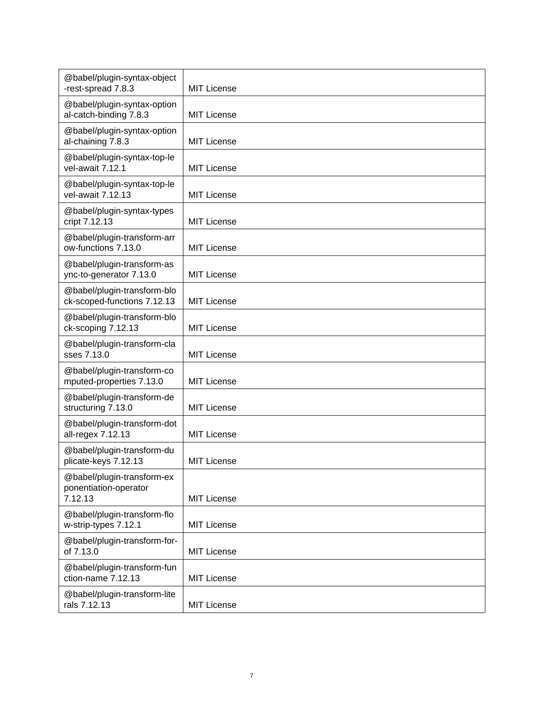| @babel/plugin-syntax-object<br>-rest-spread 7.8.3              | <b>MIT License</b> |
|----------------------------------------------------------------|--------------------|
| @babel/plugin-syntax-option<br>al-catch-binding 7.8.3          | <b>MIT License</b> |
| @babel/plugin-syntax-option<br>al-chaining 7.8.3               | <b>MIT License</b> |
| @babel/plugin-syntax-top-le<br>vel-await 7.12.1                | <b>MIT License</b> |
| @babel/plugin-syntax-top-le<br>vel-await 7.12.13               | <b>MIT License</b> |
| @babel/plugin-syntax-types<br>cript 7.12.13                    | <b>MIT License</b> |
| @babel/plugin-transform-arr<br>ow-functions 7.13.0             | <b>MIT License</b> |
| @babel/plugin-transform-as<br>ync-to-generator 7.13.0          | <b>MIT License</b> |
| @babel/plugin-transform-blo<br>ck-scoped-functions 7.12.13     | <b>MIT License</b> |
| @babel/plugin-transform-blo<br>ck-scoping 7.12.13              | <b>MIT License</b> |
| @babel/plugin-transform-cla<br>sses 7.13.0                     | <b>MIT License</b> |
| @babel/plugin-transform-co<br>mputed-properties 7.13.0         | MIT License        |
| @babel/plugin-transform-de<br>structuring 7.13.0               | <b>MIT License</b> |
| @babel/plugin-transform-dot<br>all-regex 7.12.13               | <b>MIT License</b> |
| @babel/plugin-transform-du<br>plicate-keys 7.12.13             | <b>MIT License</b> |
| @babel/plugin-transform-ex<br>ponentiation-operator<br>7.12.13 | <b>MIT License</b> |
| @babel/plugin-transform-flo<br>w-strip-types 7.12.1            | <b>MIT License</b> |
| @babel/plugin-transform-for-<br>of 7.13.0                      | <b>MIT License</b> |
| @babel/plugin-transform-fun<br>ction-name 7.12.13              | <b>MIT License</b> |
| @babel/plugin-transform-lite<br>rals 7.12.13                   | <b>MIT License</b> |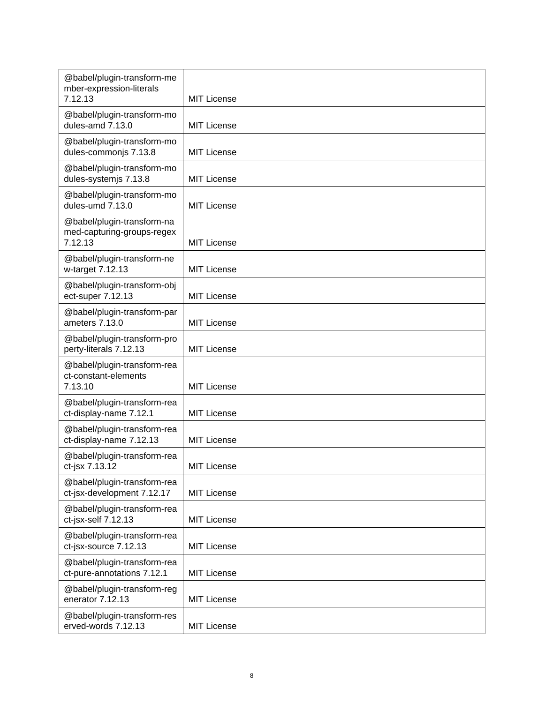| @babel/plugin-transform-me<br>mber-expression-literals<br>7.12.13   | <b>MIT License</b> |
|---------------------------------------------------------------------|--------------------|
| @babel/plugin-transform-mo<br>dules-amd 7.13.0                      | <b>MIT License</b> |
| @babel/plugin-transform-mo<br>dules-commonjs 7.13.8                 | <b>MIT License</b> |
| @babel/plugin-transform-mo<br>dules-systemjs 7.13.8                 | <b>MIT License</b> |
| @babel/plugin-transform-mo<br>dules-umd 7.13.0                      | <b>MIT License</b> |
| @babel/plugin-transform-na<br>med-capturing-groups-regex<br>7.12.13 | <b>MIT License</b> |
| @babel/plugin-transform-ne<br>w-target 7.12.13                      | <b>MIT License</b> |
| @babel/plugin-transform-obj<br>ect-super 7.12.13                    | <b>MIT License</b> |
| @babel/plugin-transform-par<br>ameters 7.13.0                       | <b>MIT License</b> |
| @babel/plugin-transform-pro<br>perty-literals 7.12.13               | <b>MIT License</b> |
| @babel/plugin-transform-rea<br>ct-constant-elements<br>7.13.10      | <b>MIT License</b> |
| @babel/plugin-transform-rea<br>ct-display-name 7.12.1               | <b>MIT License</b> |
| @babel/plugin-transform-rea<br>ct-display-name 7.12.13              | <b>MIT License</b> |
| @babel/plugin-transform-rea<br>ct-jsx 7.13.12                       | MIT License        |
| @babel/plugin-transform-rea<br>ct-jsx-development 7.12.17           | <b>MIT License</b> |
| @babel/plugin-transform-rea<br>ct-jsx-self 7.12.13                  | <b>MIT License</b> |
| @babel/plugin-transform-rea<br>ct-jsx-source 7.12.13                | <b>MIT License</b> |
| @babel/plugin-transform-rea<br>ct-pure-annotations 7.12.1           | <b>MIT License</b> |
| @babel/plugin-transform-reg<br>enerator 7.12.13                     | <b>MIT License</b> |
| @babel/plugin-transform-res<br>erved-words 7.12.13                  | <b>MIT License</b> |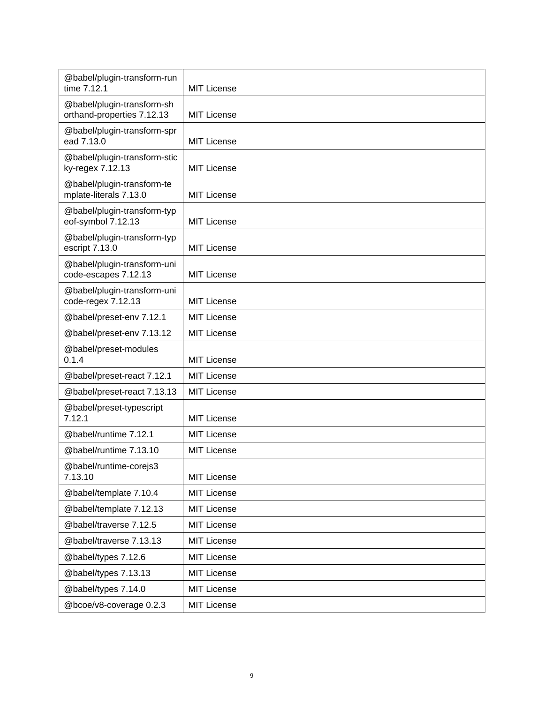| @babel/plugin-transform-run<br>time 7.12.1               | <b>MIT License</b> |
|----------------------------------------------------------|--------------------|
| @babel/plugin-transform-sh<br>orthand-properties 7.12.13 | <b>MIT License</b> |
| @babel/plugin-transform-spr<br>ead 7.13.0                | <b>MIT License</b> |
| @babel/plugin-transform-stic<br>ky-regex 7.12.13         | <b>MIT License</b> |
| @babel/plugin-transform-te<br>mplate-literals 7.13.0     | <b>MIT License</b> |
| @babel/plugin-transform-typ<br>eof-symbol 7.12.13        | <b>MIT License</b> |
| @babel/plugin-transform-typ<br>escript 7.13.0            | <b>MIT License</b> |
| @babel/plugin-transform-uni<br>code-escapes 7.12.13      | <b>MIT License</b> |
| @babel/plugin-transform-uni<br>code-regex 7.12.13        | <b>MIT License</b> |
| @babel/preset-env 7.12.1                                 | <b>MIT License</b> |
| @babel/preset-env 7.13.12                                | <b>MIT License</b> |
| @babel/preset-modules<br>0.1.4                           | <b>MIT License</b> |
| @babel/preset-react 7.12.1                               | <b>MIT License</b> |
| @babel/preset-react 7.13.13                              | <b>MIT License</b> |
| @babel/preset-typescript<br>7.12.1                       | <b>MIT License</b> |
| @babel/runtime 7.12.1                                    | <b>MIT License</b> |
| @babel/runtime 7.13.10                                   | <b>MIT License</b> |
| @babel/runtime-corejs3<br>7.13.10                        | <b>MIT License</b> |
| @babel/template 7.10.4                                   | <b>MIT License</b> |
| @babel/template 7.12.13                                  | <b>MIT License</b> |
| @babel/traverse 7.12.5                                   | <b>MIT License</b> |
| @babel/traverse 7.13.13                                  | <b>MIT License</b> |
| @babel/types 7.12.6                                      | <b>MIT License</b> |
| @babel/types 7.13.13                                     | <b>MIT License</b> |
| @babel/types 7.14.0                                      | <b>MIT License</b> |
| @bcoe/v8-coverage 0.2.3                                  | <b>MIT License</b> |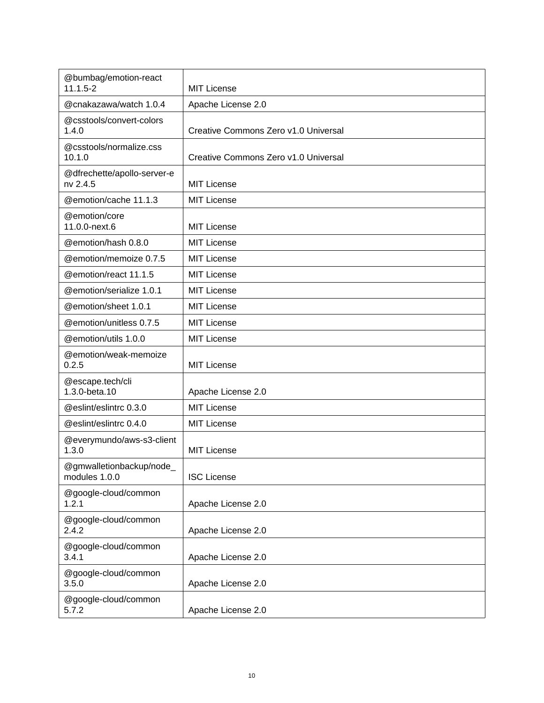| @bumbag/emotion-react<br>$11.1.5 - 2$     | <b>MIT License</b>                   |
|-------------------------------------------|--------------------------------------|
| @cnakazawa/watch 1.0.4                    | Apache License 2.0                   |
| @csstools/convert-colors<br>1.4.0         | Creative Commons Zero v1.0 Universal |
| @csstools/normalize.css<br>10.1.0         | Creative Commons Zero v1.0 Universal |
| @dfrechette/apollo-server-e<br>nv 2.4.5   | <b>MIT License</b>                   |
| @emotion/cache 11.1.3                     | <b>MIT License</b>                   |
| @emotion/core<br>11.0.0-next.6            | <b>MIT License</b>                   |
| @emotion/hash 0.8.0                       | <b>MIT License</b>                   |
| @emotion/memoize 0.7.5                    | <b>MIT License</b>                   |
| @emotion/react 11.1.5                     | <b>MIT License</b>                   |
| @emotion/serialize 1.0.1                  | <b>MIT License</b>                   |
| @emotion/sheet 1.0.1                      | <b>MIT License</b>                   |
| @emotion/unitless 0.7.5                   | <b>MIT License</b>                   |
| @emotion/utils 1.0.0                      | <b>MIT License</b>                   |
| @emotion/weak-memoize<br>0.2.5            | <b>MIT License</b>                   |
| @escape.tech/cli<br>1.3.0-beta.10         | Apache License 2.0                   |
| @eslint/eslintrc 0.3.0                    | <b>MIT License</b>                   |
| @eslint/eslintrc 0.4.0                    | <b>MIT License</b>                   |
| @everymundo/aws-s3-client<br>1.3.0        | <b>MIT License</b>                   |
| @gmwalletionbackup/node_<br>modules 1.0.0 | <b>ISC License</b>                   |
| @google-cloud/common<br>1.2.1             | Apache License 2.0                   |
| @google-cloud/common<br>2.4.2             | Apache License 2.0                   |
| @google-cloud/common<br>3.4.1             | Apache License 2.0                   |
| @google-cloud/common<br>3.5.0             | Apache License 2.0                   |
| @google-cloud/common<br>5.7.2             | Apache License 2.0                   |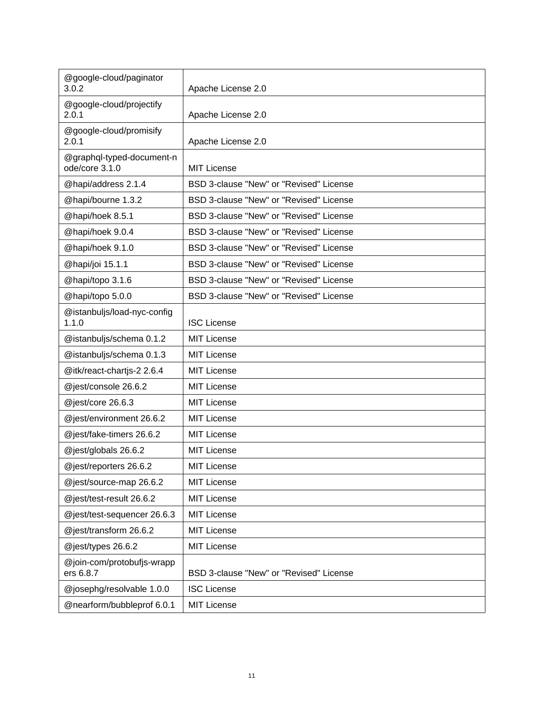| @google-cloud/paginator<br>3.0.2            | Apache License 2.0                      |
|---------------------------------------------|-----------------------------------------|
| @google-cloud/projectify<br>2.0.1           | Apache License 2.0                      |
| @google-cloud/promisify<br>2.0.1            | Apache License 2.0                      |
| @graphql-typed-document-n<br>ode/core 3.1.0 | <b>MIT License</b>                      |
| @hapi/address 2.1.4                         | BSD 3-clause "New" or "Revised" License |
| @hapi/bourne 1.3.2                          | BSD 3-clause "New" or "Revised" License |
| @hapi/hoek 8.5.1                            | BSD 3-clause "New" or "Revised" License |
| @hapi/hoek 9.0.4                            | BSD 3-clause "New" or "Revised" License |
| @hapi/hoek 9.1.0                            | BSD 3-clause "New" or "Revised" License |
| @hapi/joi 15.1.1                            | BSD 3-clause "New" or "Revised" License |
| @hapi/topo 3.1.6                            | BSD 3-clause "New" or "Revised" License |
| @hapi/topo 5.0.0                            | BSD 3-clause "New" or "Revised" License |
| @istanbuljs/load-nyc-config<br>1.1.0        | <b>ISC License</b>                      |
| @istanbuljs/schema 0.1.2                    | <b>MIT License</b>                      |
| @istanbuljs/schema 0.1.3                    | <b>MIT License</b>                      |
| @itk/react-chartjs-2 2.6.4                  | <b>MIT License</b>                      |
| @jest/console 26.6.2                        | <b>MIT License</b>                      |
| @jest/core 26.6.3                           | <b>MIT License</b>                      |
| @jest/environment 26.6.2                    | <b>MIT License</b>                      |
| @jest/fake-timers 26.6.2                    | <b>MIT License</b>                      |
| @jest/globals 26.6.2                        | <b>MIT License</b>                      |
| @jest/reporters 26.6.2                      | MIT License                             |
| @jest/source-map 26.6.2                     | <b>MIT License</b>                      |
| @jest/test-result 26.6.2                    | <b>MIT License</b>                      |
| @jest/test-sequencer 26.6.3                 | <b>MIT License</b>                      |
| @jest/transform 26.6.2                      | <b>MIT License</b>                      |
| @jest/types 26.6.2                          | <b>MIT License</b>                      |
| @join-com/protobufjs-wrapp<br>ers 6.8.7     | BSD 3-clause "New" or "Revised" License |
| @josephg/resolvable 1.0.0                   | <b>ISC License</b>                      |
| @nearform/bubbleprof 6.0.1                  | <b>MIT License</b>                      |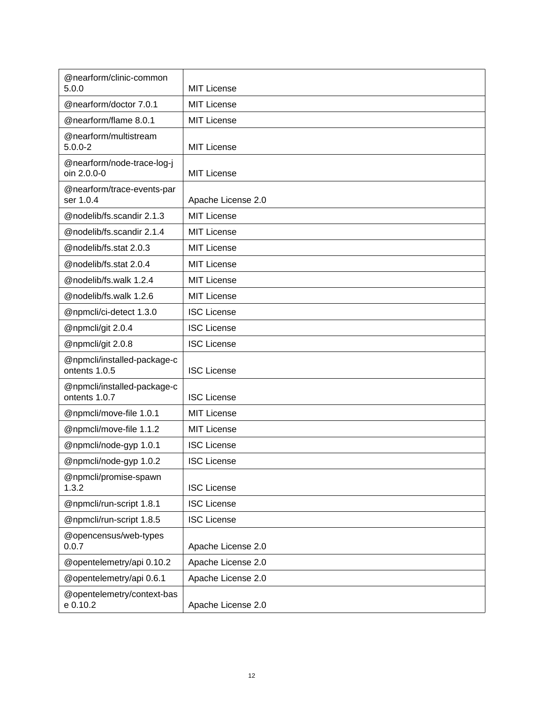| @nearform/clinic-common<br>5.0.0             | <b>MIT License</b> |
|----------------------------------------------|--------------------|
| @nearform/doctor 7.0.1                       | <b>MIT License</b> |
| @nearform/flame 8.0.1                        | <b>MIT License</b> |
| @nearform/multistream<br>$5.0.0 - 2$         | <b>MIT License</b> |
| @nearform/node-trace-log-j<br>oin 2.0.0-0    | <b>MIT License</b> |
| @nearform/trace-events-par<br>ser 1.0.4      | Apache License 2.0 |
| @nodelib/fs.scandir 2.1.3                    | <b>MIT License</b> |
| @nodelib/fs.scandir 2.1.4                    | <b>MIT License</b> |
| @nodelib/fs.stat 2.0.3                       | <b>MIT License</b> |
| @nodelib/fs.stat 2.0.4                       | <b>MIT License</b> |
| @nodelib/fs.walk 1.2.4                       | <b>MIT License</b> |
| @nodelib/fs.walk 1.2.6                       | <b>MIT License</b> |
| @npmcli/ci-detect 1.3.0                      | <b>ISC License</b> |
| @npmcli/git 2.0.4                            | <b>ISC License</b> |
| @npmcli/git 2.0.8                            | <b>ISC License</b> |
| @npmcli/installed-package-c<br>ontents 1.0.5 | <b>ISC License</b> |
| @npmcli/installed-package-c<br>ontents 1.0.7 | <b>ISC License</b> |
| @npmcli/move-file 1.0.1                      | <b>MIT License</b> |
| @npmcli/move-file 1.1.2                      | <b>MIT License</b> |
| @npmcli/node-gyp 1.0.1                       | <b>ISC License</b> |
| @npmcli/node-gyp 1.0.2                       | <b>ISC License</b> |
| @npmcli/promise-spawn<br>1.3.2               | <b>ISC License</b> |
| @npmcli/run-script 1.8.1                     | <b>ISC License</b> |
| @npmcli/run-script 1.8.5                     | <b>ISC License</b> |
| @opencensus/web-types<br>0.0.7               | Apache License 2.0 |
| @opentelemetry/api 0.10.2                    | Apache License 2.0 |
| @opentelemetry/api 0.6.1                     | Apache License 2.0 |
| @opentelemetry/context-bas<br>e 0.10.2       | Apache License 2.0 |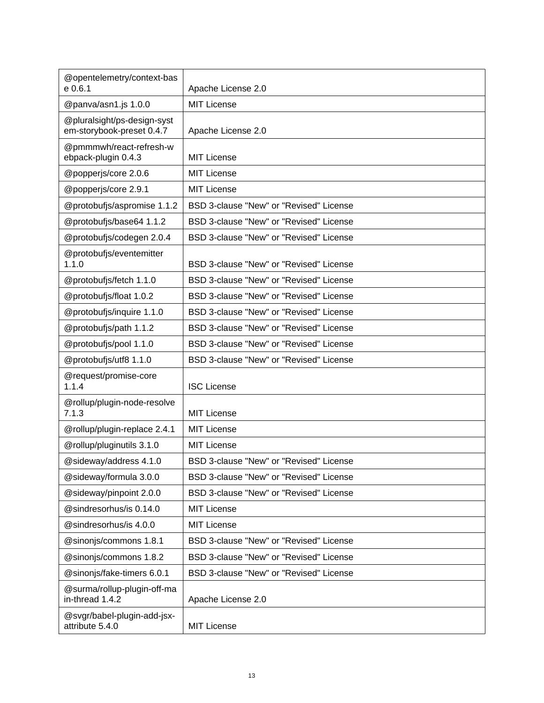| @opentelemetry/context-bas<br>e 0.6.1                    | Apache License 2.0                      |
|----------------------------------------------------------|-----------------------------------------|
| @panva/asn1.js 1.0.0                                     | <b>MIT License</b>                      |
| @pluralsight/ps-design-syst<br>em-storybook-preset 0.4.7 | Apache License 2.0                      |
| @pmmmwh/react-refresh-w<br>ebpack-plugin 0.4.3           | <b>MIT License</b>                      |
| @popperjs/core 2.0.6                                     | <b>MIT License</b>                      |
| @popperjs/core 2.9.1                                     | MIT License                             |
| @protobufjs/aspromise 1.1.2                              | BSD 3-clause "New" or "Revised" License |
| @protobufjs/base64 1.1.2                                 | BSD 3-clause "New" or "Revised" License |
| @protobufjs/codegen 2.0.4                                | BSD 3-clause "New" or "Revised" License |
| @protobufjs/eventemitter<br>1.1.0                        | BSD 3-clause "New" or "Revised" License |
| @protobufjs/fetch 1.1.0                                  | BSD 3-clause "New" or "Revised" License |
| @protobufjs/float 1.0.2                                  | BSD 3-clause "New" or "Revised" License |
| @protobufjs/inquire 1.1.0                                | BSD 3-clause "New" or "Revised" License |
| @protobufjs/path 1.1.2                                   | BSD 3-clause "New" or "Revised" License |
| @protobufjs/pool 1.1.0                                   | BSD 3-clause "New" or "Revised" License |
| @protobufjs/utf8 1.1.0                                   | BSD 3-clause "New" or "Revised" License |
| @request/promise-core<br>1.1.4                           | <b>ISC License</b>                      |
| @rollup/plugin-node-resolve<br>7.1.3                     | <b>MIT License</b>                      |
| @rollup/plugin-replace 2.4.1                             | <b>MIT License</b>                      |
| @rollup/pluginutils 3.1.0                                | MIT License                             |
| @sideway/address 4.1.0                                   | BSD 3-clause "New" or "Revised" License |
| @sideway/formula 3.0.0                                   | BSD 3-clause "New" or "Revised" License |
| @sideway/pinpoint 2.0.0                                  | BSD 3-clause "New" or "Revised" License |
| @sindresorhus/is 0.14.0                                  | <b>MIT License</b>                      |
| @sindresorhus/is 4.0.0                                   | <b>MIT License</b>                      |
| @sinonjs/commons 1.8.1                                   | BSD 3-clause "New" or "Revised" License |
| @sinonjs/commons 1.8.2                                   | BSD 3-clause "New" or "Revised" License |
| @sinonjs/fake-timers 6.0.1                               | BSD 3-clause "New" or "Revised" License |
| @surma/rollup-plugin-off-ma<br>in-thread 1.4.2           | Apache License 2.0                      |
| @svgr/babel-plugin-add-jsx-<br>attribute 5.4.0           | <b>MIT License</b>                      |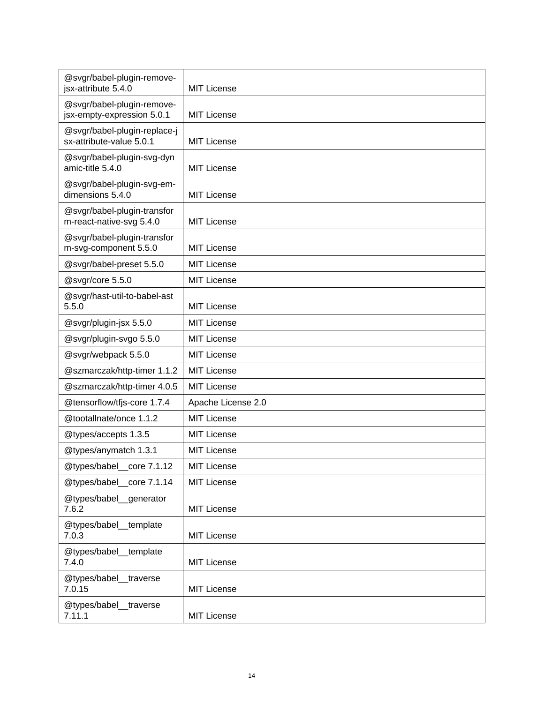| @svgr/babel-plugin-remove-<br>jsx-attribute 5.4.0        | <b>MIT License</b> |
|----------------------------------------------------------|--------------------|
| @svgr/babel-plugin-remove-<br>jsx-empty-expression 5.0.1 | <b>MIT License</b> |
| @svgr/babel-plugin-replace-j<br>sx-attribute-value 5.0.1 | <b>MIT License</b> |
| @svgr/babel-plugin-svg-dyn<br>amic-title 5.4.0           | <b>MIT License</b> |
| @svgr/babel-plugin-svg-em-<br>dimensions 5.4.0           | <b>MIT License</b> |
| @svgr/babel-plugin-transfor<br>m-react-native-svg 5.4.0  | MIT License        |
| @svgr/babel-plugin-transfor<br>m-svg-component 5.5.0     | <b>MIT License</b> |
| @svgr/babel-preset 5.5.0                                 | <b>MIT License</b> |
| @svgr/core 5.5.0                                         | <b>MIT License</b> |
| @svgr/hast-util-to-babel-ast<br>5.5.0                    | <b>MIT License</b> |
| @svgr/plugin-jsx 5.5.0                                   | <b>MIT License</b> |
| @svgr/plugin-svgo 5.5.0                                  | <b>MIT License</b> |
| @svgr/webpack 5.5.0                                      | <b>MIT License</b> |
| @szmarczak/http-timer 1.1.2                              | <b>MIT License</b> |
| @szmarczak/http-timer 4.0.5                              | <b>MIT License</b> |
| @tensorflow/tfjs-core 1.7.4                              | Apache License 2.0 |
| @tootallnate/once 1.1.2                                  | <b>MIT License</b> |
| @types/accepts 1.3.5                                     | <b>MIT License</b> |
| @types/anymatch 1.3.1                                    | MIT License        |
| @types/babel_core 7.1.12                                 | <b>MIT License</b> |
| @types/babel core 7.1.14                                 | <b>MIT License</b> |
| @types/babel_generator<br>7.6.2                          | <b>MIT License</b> |
| @types/babel_template<br>7.0.3                           | <b>MIT License</b> |
| @types/babel_template<br>7.4.0                           | <b>MIT License</b> |
| @types/babel_traverse<br>7.0.15                          | <b>MIT License</b> |
| @types/babel_traverse<br>7.11.1                          | <b>MIT License</b> |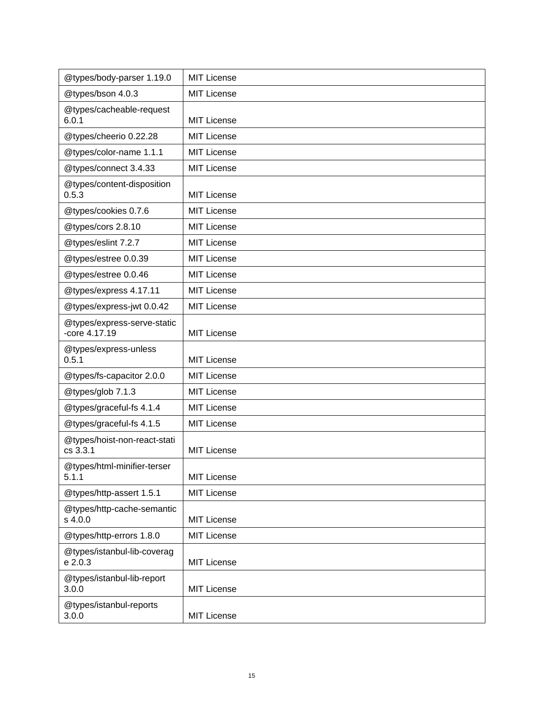| @types/body-parser 1.19.0                      | <b>MIT License</b> |
|------------------------------------------------|--------------------|
| @types/bson 4.0.3                              | MIT License        |
| @types/cacheable-request<br>6.0.1              | <b>MIT License</b> |
| @types/cheerio 0.22.28                         | <b>MIT License</b> |
| @types/color-name 1.1.1                        | <b>MIT License</b> |
| @types/connect 3.4.33                          | <b>MIT License</b> |
| @types/content-disposition<br>0.5.3            | MIT License        |
| @types/cookies 0.7.6                           | MIT License        |
| @types/cors 2.8.10                             | <b>MIT License</b> |
| @types/eslint 7.2.7                            | <b>MIT License</b> |
| @types/estree 0.0.39                           | <b>MIT License</b> |
| @types/estree 0.0.46                           | <b>MIT License</b> |
| @types/express 4.17.11                         | <b>MIT License</b> |
| @types/express-jwt 0.0.42                      | <b>MIT License</b> |
| @types/express-serve-static<br>$-core 4.17.19$ | MIT License        |
| @types/express-unless<br>0.5.1                 | <b>MIT License</b> |
| @types/fs-capacitor 2.0.0                      | <b>MIT License</b> |
| @types/glob 7.1.3                              | <b>MIT License</b> |
| @types/graceful-fs 4.1.4                       | <b>MIT License</b> |
| @types/graceful-fs 4.1.5                       | <b>MIT License</b> |
| @types/hoist-non-react-stati<br>cs 3.3.1       | <b>MIT License</b> |
| @types/html-minifier-terser<br>5.1.1           | <b>MIT License</b> |
| @types/http-assert 1.5.1                       | <b>MIT License</b> |
| @types/http-cache-semantic<br>s 4.0.0          | <b>MIT License</b> |
| @types/http-errors 1.8.0                       | <b>MIT License</b> |
| @types/istanbul-lib-coverag<br>e 2.0.3         | <b>MIT License</b> |
| @types/istanbul-lib-report<br>3.0.0            | <b>MIT License</b> |
| @types/istanbul-reports<br>3.0.0               | <b>MIT License</b> |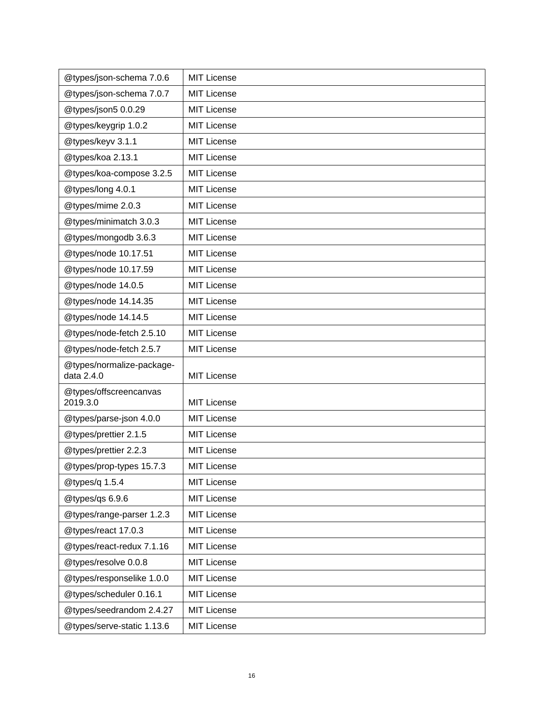| @types/json-schema 7.0.6                | <b>MIT License</b> |
|-----------------------------------------|--------------------|
| @types/json-schema 7.0.7                | <b>MIT License</b> |
| @types/json5 0.0.29                     | <b>MIT License</b> |
| @types/keygrip 1.0.2                    | <b>MIT License</b> |
| @types/keyv 3.1.1                       | <b>MIT License</b> |
| @types/koa 2.13.1                       | <b>MIT License</b> |
| @types/koa-compose 3.2.5                | <b>MIT License</b> |
| @types/long 4.0.1                       | <b>MIT License</b> |
| @types/mime 2.0.3                       | <b>MIT License</b> |
| @types/minimatch 3.0.3                  | <b>MIT License</b> |
| @types/mongodb 3.6.3                    | <b>MIT License</b> |
| @types/node 10.17.51                    | <b>MIT License</b> |
| @types/node 10.17.59                    | <b>MIT License</b> |
| @types/node 14.0.5                      | <b>MIT License</b> |
| @types/node 14.14.35                    | <b>MIT License</b> |
| @types/node 14.14.5                     | <b>MIT License</b> |
| @types/node-fetch 2.5.10                | <b>MIT License</b> |
| @types/node-fetch 2.5.7                 | <b>MIT License</b> |
| @types/normalize-package-<br>data 2.4.0 | <b>MIT License</b> |
| @types/offscreencanvas<br>2019.3.0      | <b>MIT License</b> |
| @types/parse-json 4.0.0                 | <b>MIT License</b> |
| @types/prettier 2.1.5                   | <b>MIT License</b> |
| @types/prettier 2.2.3                   | <b>MIT License</b> |
| @types/prop-types 15.7.3                | <b>MIT License</b> |
| @types/q 1.5.4                          | <b>MIT License</b> |
| @types/qs 6.9.6                         | MIT License        |
| @types/range-parser 1.2.3               | MIT License        |
| @types/react 17.0.3                     | MIT License        |
| @types/react-redux 7.1.16               | MIT License        |
| @types/resolve 0.0.8                    | MIT License        |
| @types/responselike 1.0.0               | MIT License        |
| @types/scheduler 0.16.1                 | <b>MIT License</b> |
| @types/seedrandom 2.4.27                | MIT License        |
| @types/serve-static 1.13.6              | <b>MIT License</b> |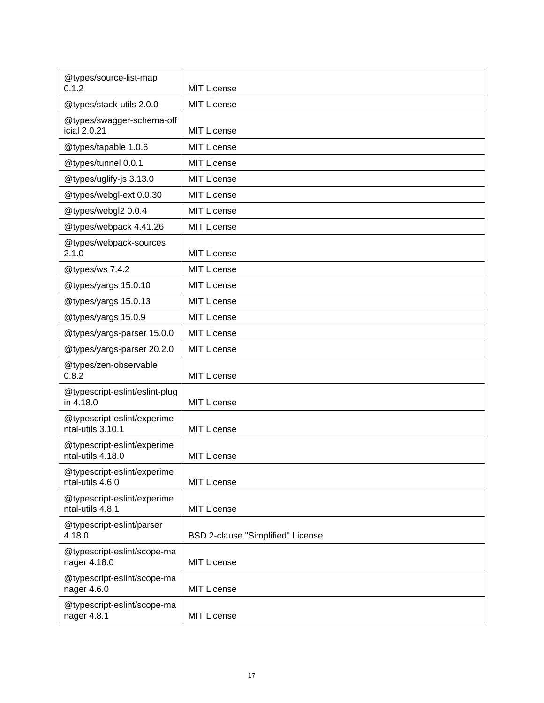| @types/source-list-map<br>0.1.2                  | <b>MIT License</b>                |
|--------------------------------------------------|-----------------------------------|
| @types/stack-utils 2.0.0                         | <b>MIT License</b>                |
| @types/swagger-schema-off<br>icial 2.0.21        | <b>MIT License</b>                |
| @types/tapable 1.0.6                             | <b>MIT License</b>                |
| @types/tunnel 0.0.1                              | <b>MIT License</b>                |
| @types/uglify-js 3.13.0                          | <b>MIT License</b>                |
| @types/webgl-ext 0.0.30                          | <b>MIT License</b>                |
| @types/webgl2 0.0.4                              | <b>MIT License</b>                |
| @types/webpack 4.41.26                           | <b>MIT License</b>                |
| @types/webpack-sources<br>2.1.0                  | <b>MIT License</b>                |
| @types/ws 7.4.2                                  | <b>MIT License</b>                |
| @types/yargs 15.0.10                             | <b>MIT License</b>                |
| @types/yargs 15.0.13                             | <b>MIT License</b>                |
| @types/yargs 15.0.9                              | <b>MIT License</b>                |
| @types/yargs-parser 15.0.0                       | <b>MIT License</b>                |
| @types/yargs-parser 20.2.0                       | <b>MIT License</b>                |
| @types/zen-observable<br>0.8.2                   | <b>MIT License</b>                |
| @typescript-eslint/eslint-plug<br>in 4.18.0      | <b>MIT License</b>                |
| @typescript-eslint/experime<br>ntal-utils 3.10.1 | <b>MIT License</b>                |
| @typescript-eslint/experime<br>ntal-utils 4.18.0 | <b>MIT License</b>                |
| @typescript-eslint/experime<br>ntal-utils 4.6.0  | <b>MIT License</b>                |
| @typescript-eslint/experime<br>ntal-utils 4.8.1  | <b>MIT License</b>                |
| @typescript-eslint/parser<br>4.18.0              | BSD 2-clause "Simplified" License |
| @typescript-eslint/scope-ma<br>nager 4.18.0      | <b>MIT License</b>                |
| @typescript-eslint/scope-ma<br>nager 4.6.0       | MIT License                       |
| @typescript-eslint/scope-ma<br>nager 4.8.1       | <b>MIT License</b>                |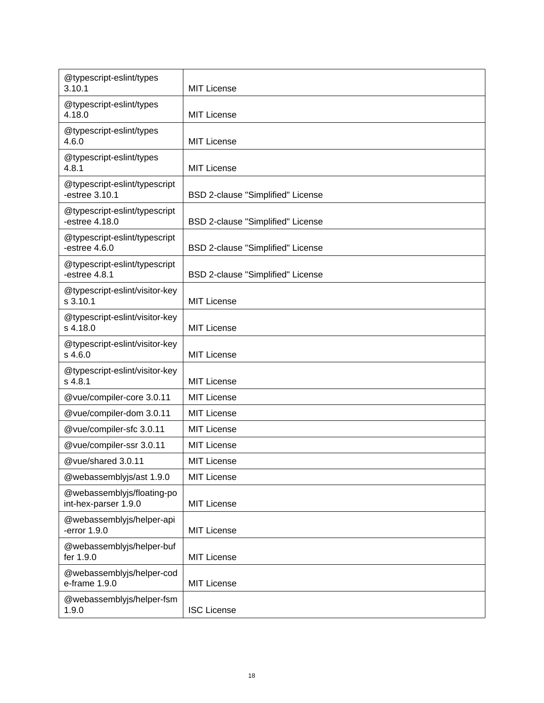| @typescript-eslint/types<br>3.10.1                 | <b>MIT License</b>                |
|----------------------------------------------------|-----------------------------------|
| @typescript-eslint/types<br>4.18.0                 | <b>MIT License</b>                |
| @typescript-eslint/types<br>4.6.0                  | <b>MIT License</b>                |
| @typescript-eslint/types<br>4.8.1                  | <b>MIT License</b>                |
| @typescript-eslint/typescript<br>-estree 3.10.1    | BSD 2-clause "Simplified" License |
| @typescript-eslint/typescript<br>-estree 4.18.0    | BSD 2-clause "Simplified" License |
| @typescript-eslint/typescript<br>-estree $4.6.0$   | BSD 2-clause "Simplified" License |
| @typescript-eslint/typescript<br>-estree $4.8.1$   | BSD 2-clause "Simplified" License |
| @typescript-eslint/visitor-key<br>s 3.10.1         | MIT License                       |
| @typescript-eslint/visitor-key<br>s 4.18.0         | MIT License                       |
| @typescript-eslint/visitor-key<br>s 4.6.0          | MIT License                       |
| @typescript-eslint/visitor-key<br>s 4.8.1          | <b>MIT License</b>                |
| @vue/compiler-core 3.0.11                          | <b>MIT License</b>                |
| @vue/compiler-dom 3.0.11                           | <b>MIT License</b>                |
| @vue/compiler-sfc 3.0.11                           | <b>MIT License</b>                |
| @vue/compiler-ssr 3.0.11                           | <b>MIT License</b>                |
| @vue/shared 3.0.11                                 | MIT License                       |
| @webassemblyjs/ast 1.9.0                           | <b>MIT License</b>                |
| @webassemblyjs/floating-po<br>int-hex-parser 1.9.0 | <b>MIT License</b>                |
| @webassemblyjs/helper-api<br>-error 1.9.0          | <b>MIT License</b>                |
| @webassemblyjs/helper-buf<br>fer 1.9.0             | <b>MIT License</b>                |
| @webassemblyjs/helper-cod<br>e-frame 1.9.0         | <b>MIT License</b>                |
| @webassemblyjs/helper-fsm<br>1.9.0                 | <b>ISC License</b>                |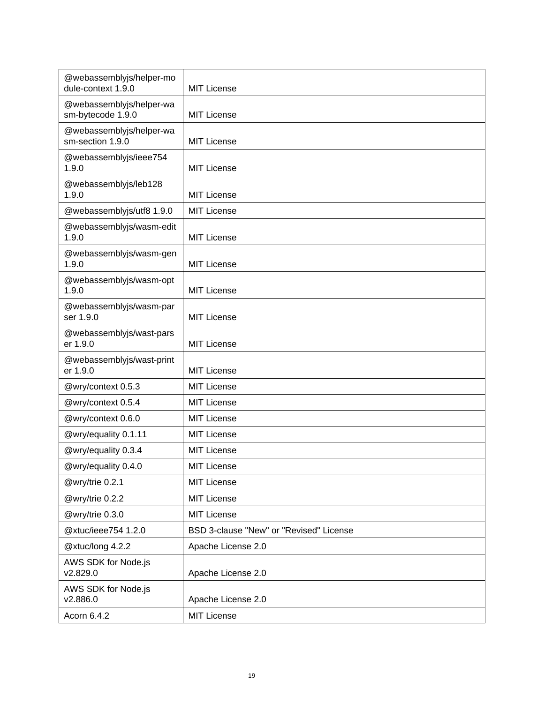| @webassemblyjs/helper-mo<br>dule-context 1.9.0 | <b>MIT License</b>                      |
|------------------------------------------------|-----------------------------------------|
| @webassemblyjs/helper-wa<br>sm-bytecode 1.9.0  | <b>MIT License</b>                      |
| @webassemblyjs/helper-wa<br>sm-section 1.9.0   | <b>MIT License</b>                      |
| @webassemblyjs/ieee754<br>1.9.0                | <b>MIT License</b>                      |
| @webassemblyjs/leb128<br>1.9.0                 | <b>MIT License</b>                      |
| @webassemblyjs/utf8 1.9.0                      | <b>MIT License</b>                      |
| @webassemblyjs/wasm-edit<br>1.9.0              | <b>MIT License</b>                      |
| @webassemblyjs/wasm-gen<br>1.9.0               | <b>MIT License</b>                      |
| @webassemblyjs/wasm-opt<br>1.9.0               | <b>MIT License</b>                      |
| @webassemblyjs/wasm-par<br>ser 1.9.0           | <b>MIT License</b>                      |
| @webassemblyjs/wast-pars<br>er 1.9.0           | <b>MIT License</b>                      |
| @webassemblyjs/wast-print<br>er 1.9.0          | <b>MIT License</b>                      |
| @wry/context 0.5.3                             | <b>MIT License</b>                      |
| @wry/context 0.5.4                             | <b>MIT License</b>                      |
| @wry/context 0.6.0                             | <b>MIT License</b>                      |
| @wry/equality 0.1.11                           | <b>MIT License</b>                      |
| @wry/equality 0.3.4                            | <b>MIT License</b>                      |
| @wry/equality 0.4.0                            | <b>MIT License</b>                      |
| @wry/trie 0.2.1                                | <b>MIT License</b>                      |
| @wry/trie 0.2.2                                | <b>MIT License</b>                      |
| @wry/trie 0.3.0                                | <b>MIT License</b>                      |
| @xtuc/ieee754 1.2.0                            | BSD 3-clause "New" or "Revised" License |
| @xtuc/long 4.2.2                               | Apache License 2.0                      |
| AWS SDK for Node.js<br>v2.829.0                | Apache License 2.0                      |
| AWS SDK for Node.js<br>v2.886.0                | Apache License 2.0                      |
| Acorn 6.4.2                                    | <b>MIT License</b>                      |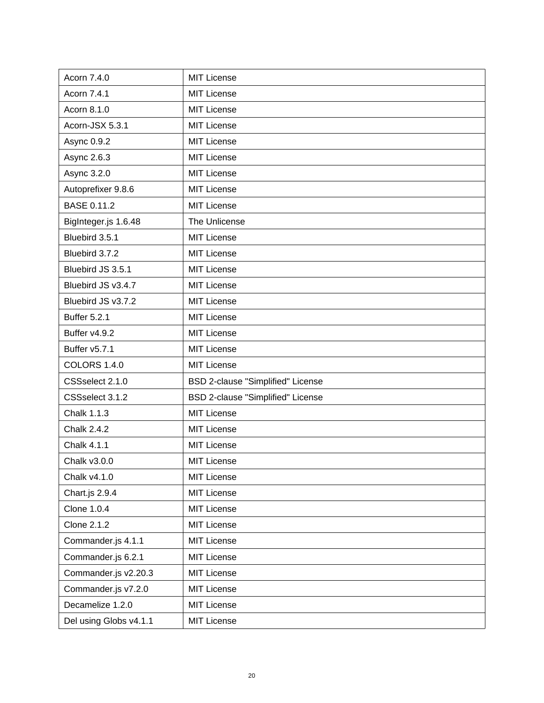| Acorn 7.4.0            | <b>MIT License</b>                |
|------------------------|-----------------------------------|
| Acorn 7.4.1            | <b>MIT License</b>                |
| Acorn 8.1.0            | <b>MIT License</b>                |
| Acorn-JSX 5.3.1        | <b>MIT License</b>                |
| Async 0.9.2            | <b>MIT License</b>                |
| Async 2.6.3            | <b>MIT License</b>                |
| Async 3.2.0            | <b>MIT License</b>                |
| Autoprefixer 9.8.6     | <b>MIT License</b>                |
| <b>BASE 0.11.2</b>     | <b>MIT License</b>                |
| BigInteger.js 1.6.48   | The Unlicense                     |
| Bluebird 3.5.1         | <b>MIT License</b>                |
| Bluebird 3.7.2         | <b>MIT License</b>                |
| Bluebird JS 3.5.1      | <b>MIT License</b>                |
| Bluebird JS v3.4.7     | <b>MIT License</b>                |
| Bluebird JS v3.7.2     | <b>MIT License</b>                |
| <b>Buffer 5.2.1</b>    | <b>MIT License</b>                |
| Buffer v4.9.2          | <b>MIT License</b>                |
| Buffer v5.7.1          | <b>MIT License</b>                |
| <b>COLORS 1.4.0</b>    | <b>MIT License</b>                |
| CSSselect 2.1.0        | BSD 2-clause "Simplified" License |
| CSSselect 3.1.2        | BSD 2-clause "Simplified" License |
| Chalk 1.1.3            | <b>MIT License</b>                |
| <b>Chalk 2.4.2</b>     | <b>MIT License</b>                |
| Chalk 4.1.1            | <b>MIT License</b>                |
| Chalk v3.0.0           | <b>MIT License</b>                |
| Chalk v4.1.0           | <b>MIT License</b>                |
| Chart.js 2.9.4         | <b>MIT License</b>                |
| Clone 1.0.4            | <b>MIT License</b>                |
| Clone 2.1.2            | <b>MIT License</b>                |
| Commander.js 4.1.1     | <b>MIT License</b>                |
| Commander.js 6.2.1     | <b>MIT License</b>                |
| Commander.js v2.20.3   | <b>MIT License</b>                |
| Commander.js v7.2.0    | <b>MIT License</b>                |
| Decamelize 1.2.0       | <b>MIT License</b>                |
| Del using Globs v4.1.1 | <b>MIT License</b>                |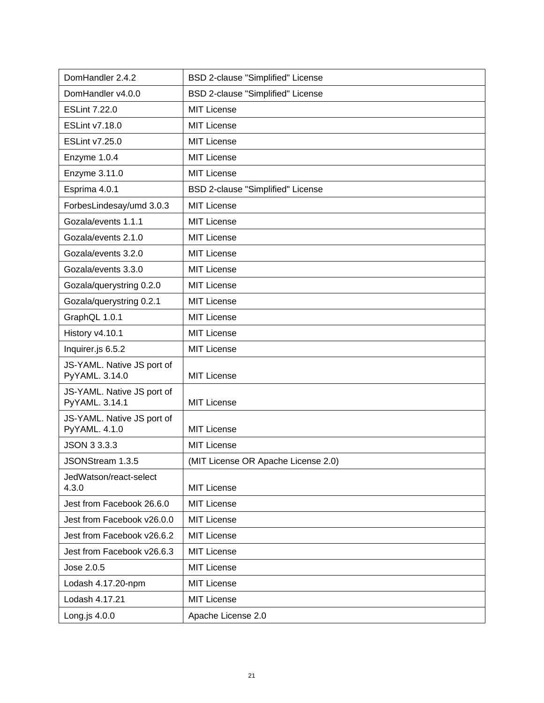| DomHandler 2.4.2                             | BSD 2-clause "Simplified" License        |
|----------------------------------------------|------------------------------------------|
| DomHandler v4.0.0                            | <b>BSD 2-clause "Simplified" License</b> |
| <b>ESLint 7.22.0</b>                         | <b>MIT License</b>                       |
| <b>ESLint v7.18.0</b>                        | <b>MIT License</b>                       |
| ESLint v7.25.0                               | <b>MIT License</b>                       |
| Enzyme 1.0.4                                 | <b>MIT License</b>                       |
| Enzyme 3.11.0                                | <b>MIT License</b>                       |
| Esprima 4.0.1                                | BSD 2-clause "Simplified" License        |
| ForbesLindesay/umd 3.0.3                     | <b>MIT License</b>                       |
| Gozala/events 1.1.1                          | <b>MIT License</b>                       |
| Gozala/events 2.1.0                          | <b>MIT License</b>                       |
| Gozala/events 3.2.0                          | <b>MIT License</b>                       |
| Gozala/events 3.3.0                          | <b>MIT License</b>                       |
| Gozala/querystring 0.2.0                     | <b>MIT License</b>                       |
| Gozala/querystring 0.2.1                     | <b>MIT License</b>                       |
| GraphQL 1.0.1                                | <b>MIT License</b>                       |
| History v4.10.1                              | <b>MIT License</b>                       |
| Inquirer.js 6.5.2                            | <b>MIT License</b>                       |
| JS-YAML. Native JS port of<br>PyYAML. 3.14.0 | <b>MIT License</b>                       |
| JS-YAML. Native JS port of<br>PyYAML. 3.14.1 | <b>MIT License</b>                       |
| JS-YAML. Native JS port of<br>PyYAML. 4.1.0  | <b>MIT License</b>                       |
| JSON 3 3.3.3                                 | <b>MIT License</b>                       |
| JSONStream 1.3.5                             | (MIT License OR Apache License 2.0)      |
| JedWatson/react-select<br>4.3.0              | <b>MIT License</b>                       |
| Jest from Facebook 26.6.0                    | <b>MIT License</b>                       |
| Jest from Facebook v26.0.0                   | <b>MIT License</b>                       |
| Jest from Facebook v26.6.2                   | <b>MIT License</b>                       |
| Jest from Facebook v26.6.3                   | <b>MIT License</b>                       |
| Jose 2.0.5                                   | <b>MIT License</b>                       |
| Lodash 4.17.20-npm                           | <b>MIT License</b>                       |
| Lodash 4.17.21                               | <b>MIT License</b>                       |
| Long.js $4.0.0$                              | Apache License 2.0                       |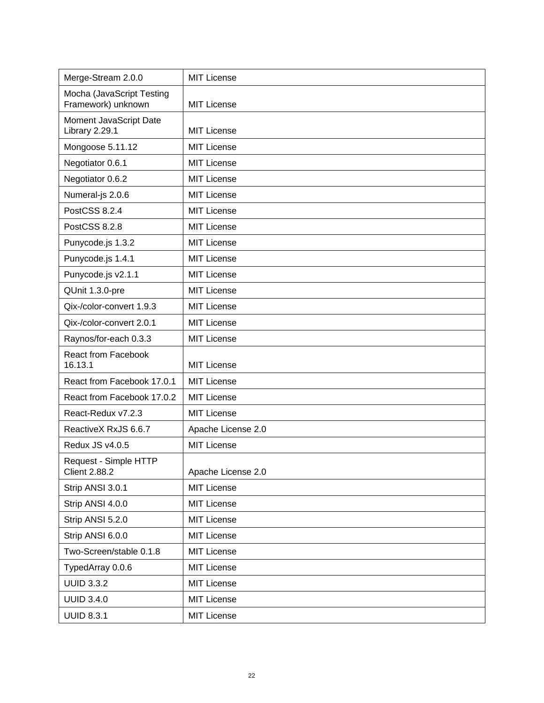| Merge-Stream 2.0.0                              | <b>MIT License</b> |
|-------------------------------------------------|--------------------|
| Mocha (JavaScript Testing<br>Framework) unknown | <b>MIT License</b> |
| Moment JavaScript Date<br>Library 2.29.1        | <b>MIT License</b> |
| Mongoose 5.11.12                                | <b>MIT License</b> |
| Negotiator 0.6.1                                | <b>MIT License</b> |
| Negotiator 0.6.2                                | <b>MIT License</b> |
| Numeral-js 2.0.6                                | <b>MIT License</b> |
| PostCSS 8.2.4                                   | <b>MIT License</b> |
| PostCSS 8.2.8                                   | <b>MIT License</b> |
| Punycode.js 1.3.2                               | <b>MIT License</b> |
| Punycode.js 1.4.1                               | <b>MIT License</b> |
| Punycode.js v2.1.1                              | <b>MIT License</b> |
| QUnit 1.3.0-pre                                 | <b>MIT License</b> |
| Qix-/color-convert 1.9.3                        | <b>MIT License</b> |
| Qix-/color-convert 2.0.1                        | <b>MIT License</b> |
| Raynos/for-each 0.3.3                           | <b>MIT License</b> |
| <b>React from Facebook</b><br>16.13.1           | <b>MIT License</b> |
| React from Facebook 17.0.1                      | <b>MIT License</b> |
| React from Facebook 17.0.2                      | <b>MIT License</b> |
| React-Redux v7.2.3                              | <b>MIT License</b> |
| ReactiveX RxJS 6.6.7                            | Apache License 2.0 |
| Redux JS v4.0.5                                 | <b>MIT License</b> |
| Request - Simple HTTP<br><b>Client 2.88.2</b>   | Apache License 2.0 |
| Strip ANSI 3.0.1                                | <b>MIT License</b> |
| Strip ANSI 4.0.0                                | <b>MIT License</b> |
| Strip ANSI 5.2.0                                | <b>MIT License</b> |
| Strip ANSI 6.0.0                                | <b>MIT License</b> |
| Two-Screen/stable 0.1.8                         | <b>MIT License</b> |
| TypedArray 0.0.6                                | <b>MIT License</b> |
| <b>UUID 3.3.2</b>                               | <b>MIT License</b> |
| <b>UUID 3.4.0</b>                               | <b>MIT License</b> |
| <b>UUID 8.3.1</b>                               | <b>MIT License</b> |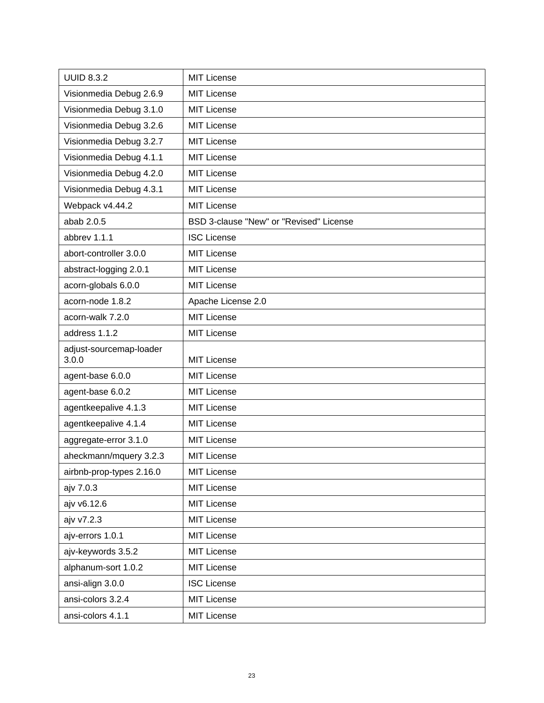| <b>UUID 8.3.2</b>                | <b>MIT License</b>                      |
|----------------------------------|-----------------------------------------|
| Visionmedia Debug 2.6.9          | <b>MIT License</b>                      |
| Visionmedia Debug 3.1.0          | <b>MIT License</b>                      |
| Visionmedia Debug 3.2.6          | <b>MIT License</b>                      |
| Visionmedia Debug 3.2.7          | <b>MIT License</b>                      |
| Visionmedia Debug 4.1.1          | <b>MIT License</b>                      |
| Visionmedia Debug 4.2.0          | <b>MIT License</b>                      |
| Visionmedia Debug 4.3.1          | <b>MIT License</b>                      |
| Webpack v4.44.2                  | <b>MIT License</b>                      |
| abab 2.0.5                       | BSD 3-clause "New" or "Revised" License |
| abbrev 1.1.1                     | <b>ISC License</b>                      |
| abort-controller 3.0.0           | <b>MIT License</b>                      |
| abstract-logging 2.0.1           | <b>MIT License</b>                      |
| acorn-globals 6.0.0              | <b>MIT License</b>                      |
| acorn-node 1.8.2                 | Apache License 2.0                      |
| acorn-walk 7.2.0                 | <b>MIT License</b>                      |
| address 1.1.2                    | <b>MIT License</b>                      |
| adjust-sourcemap-loader<br>3.0.0 | <b>MIT License</b>                      |
| agent-base 6.0.0                 | <b>MIT License</b>                      |
| agent-base 6.0.2                 | <b>MIT License</b>                      |
| agentkeepalive 4.1.3             | <b>MIT License</b>                      |
| agentkeepalive 4.1.4             | <b>MIT License</b>                      |
| aggregate-error 3.1.0            | <b>MIT License</b>                      |
| aheckmann/mquery 3.2.3           | <b>MIT License</b>                      |
| airbnb-prop-types 2.16.0         | <b>MIT License</b>                      |
| ajv 7.0.3                        | <b>MIT License</b>                      |
| ajv v6.12.6                      | <b>MIT License</b>                      |
| ajv v7.2.3                       | <b>MIT License</b>                      |
| ajv-errors 1.0.1                 | <b>MIT License</b>                      |
| ajv-keywords 3.5.2               | <b>MIT License</b>                      |
| alphanum-sort 1.0.2              | <b>MIT License</b>                      |
| ansi-align 3.0.0                 | <b>ISC License</b>                      |
| ansi-colors 3.2.4                | <b>MIT License</b>                      |
| ansi-colors 4.1.1                | MIT License                             |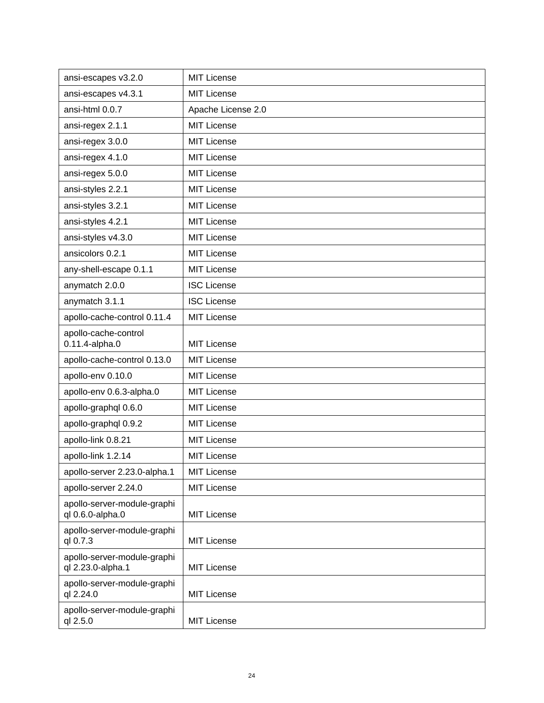| ansi-escapes v3.2.0                              | <b>MIT License</b> |
|--------------------------------------------------|--------------------|
| ansi-escapes v4.3.1                              | <b>MIT License</b> |
| ansi-html 0.0.7                                  | Apache License 2.0 |
| ansi-regex 2.1.1                                 | <b>MIT License</b> |
| ansi-regex 3.0.0                                 | <b>MIT License</b> |
| ansi-regex 4.1.0                                 | <b>MIT License</b> |
| ansi-regex 5.0.0                                 | <b>MIT License</b> |
| ansi-styles 2.2.1                                | <b>MIT License</b> |
| ansi-styles 3.2.1                                | <b>MIT License</b> |
| ansi-styles 4.2.1                                | <b>MIT License</b> |
| ansi-styles v4.3.0                               | <b>MIT License</b> |
| ansicolors 0.2.1                                 | <b>MIT License</b> |
| any-shell-escape 0.1.1                           | <b>MIT License</b> |
| anymatch 2.0.0                                   | <b>ISC License</b> |
| anymatch 3.1.1                                   | <b>ISC License</b> |
| apollo-cache-control 0.11.4                      | <b>MIT License</b> |
| apollo-cache-control<br>0.11.4-alpha.0           | <b>MIT License</b> |
| apollo-cache-control 0.13.0                      | <b>MIT License</b> |
| apollo-env 0.10.0                                | <b>MIT License</b> |
| apollo-env 0.6.3-alpha.0                         | <b>MIT License</b> |
| apollo-graphql 0.6.0                             | <b>MIT License</b> |
| apollo-graphql 0.9.2                             | <b>MIT License</b> |
| apollo-link 0.8.21                               | <b>MIT License</b> |
| apollo-link 1.2.14                               | <b>MIT License</b> |
| apollo-server 2.23.0-alpha.1                     | <b>MIT License</b> |
| apollo-server 2.24.0                             | <b>MIT License</b> |
| apollo-server-module-graphi<br>ql 0.6.0-alpha.0  | <b>MIT License</b> |
| apollo-server-module-graphi<br>ql 0.7.3          | <b>MIT License</b> |
| apollo-server-module-graphi<br>ql 2.23.0-alpha.1 | <b>MIT License</b> |
| apollo-server-module-graphi<br>ql 2.24.0         | <b>MIT License</b> |
| apollo-server-module-graphi<br>ql 2.5.0          | <b>MIT License</b> |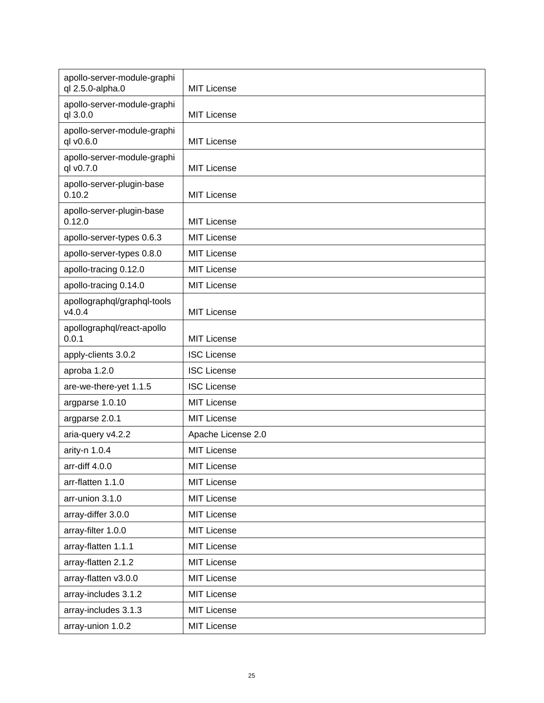| apollo-server-module-graphi<br>ql 2.5.0-alpha.0 | MIT License        |
|-------------------------------------------------|--------------------|
| apollo-server-module-graphi<br>ql 3.0.0         | <b>MIT License</b> |
| apollo-server-module-graphi<br>ql v0.6.0        | <b>MIT License</b> |
| apollo-server-module-graphi<br>ql v0.7.0        | MIT License        |
| apollo-server-plugin-base<br>0.10.2             | <b>MIT License</b> |
| apollo-server-plugin-base<br>0.12.0             | <b>MIT License</b> |
| apollo-server-types 0.6.3                       | <b>MIT License</b> |
| apollo-server-types 0.8.0                       | <b>MIT License</b> |
| apollo-tracing 0.12.0                           | <b>MIT License</b> |
| apollo-tracing 0.14.0                           | <b>MIT License</b> |
| apollographql/graphql-tools<br>v4.0.4           | <b>MIT License</b> |
| apollographql/react-apollo<br>0.0.1             | <b>MIT License</b> |
| apply-clients 3.0.2                             | <b>ISC License</b> |
| aproba 1.2.0                                    | <b>ISC License</b> |
| are-we-there-yet 1.1.5                          | <b>ISC License</b> |
| argparse 1.0.10                                 | <b>MIT License</b> |
| argparse 2.0.1                                  | <b>MIT License</b> |
| aria-query v4.2.2                               | Apache License 2.0 |
| arity-n 1.0.4                                   | MIT License        |
| arr-diff 4.0.0                                  | <b>MIT License</b> |
| arr-flatten 1.1.0                               | <b>MIT License</b> |
| arr-union 3.1.0                                 | <b>MIT License</b> |
| array-differ 3.0.0                              | <b>MIT License</b> |
| array-filter 1.0.0                              | <b>MIT License</b> |
| array-flatten 1.1.1                             | <b>MIT License</b> |
| array-flatten 2.1.2                             | <b>MIT License</b> |
| array-flatten v3.0.0                            | <b>MIT License</b> |
| array-includes 3.1.2                            | <b>MIT License</b> |
| array-includes 3.1.3                            | <b>MIT License</b> |
| array-union 1.0.2                               | <b>MIT License</b> |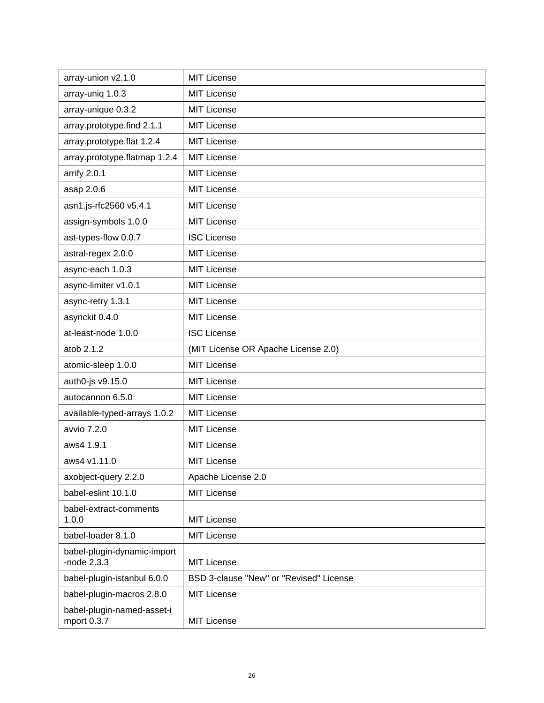| array-union v2.1.0                           | <b>MIT License</b>                      |
|----------------------------------------------|-----------------------------------------|
| array-uniq 1.0.3                             | <b>MIT License</b>                      |
| array-unique 0.3.2                           | <b>MIT License</b>                      |
| array.prototype.find 2.1.1                   | <b>MIT License</b>                      |
| array.prototype.flat 1.2.4                   | <b>MIT License</b>                      |
| array.prototype.flatmap 1.2.4                | <b>MIT License</b>                      |
| arrify 2.0.1                                 | <b>MIT License</b>                      |
| asap 2.0.6                                   | <b>MIT License</b>                      |
| asn1.js-rfc2560 v5.4.1                       | <b>MIT License</b>                      |
| assign-symbols 1.0.0                         | <b>MIT License</b>                      |
| ast-types-flow 0.0.7                         | <b>ISC License</b>                      |
| astral-regex 2.0.0                           | <b>MIT License</b>                      |
| async-each 1.0.3                             | <b>MIT License</b>                      |
| async-limiter v1.0.1                         | <b>MIT License</b>                      |
| async-retry 1.3.1                            | MIT License                             |
| asynckit 0.4.0                               | <b>MIT License</b>                      |
| at-least-node 1.0.0                          | <b>ISC License</b>                      |
| atob 2.1.2                                   | (MIT License OR Apache License 2.0)     |
| atomic-sleep 1.0.0                           | <b>MIT License</b>                      |
| auth0-js v9.15.0                             | <b>MIT License</b>                      |
| autocannon 6.5.0                             | <b>MIT License</b>                      |
| available-typed-arrays 1.0.2                 | <b>MIT License</b>                      |
| avvio 7.2.0                                  | <b>MIT License</b>                      |
| aws4 1.9.1                                   | <b>MIT License</b>                      |
| aws4 v1.11.0                                 | <b>MIT License</b>                      |
| axobject-query 2.2.0                         | Apache License 2.0                      |
| babel-eslint 10.1.0                          | <b>MIT License</b>                      |
| babel-extract-comments<br>1.0.0              | <b>MIT License</b>                      |
| babel-loader 8.1.0                           | <b>MIT License</b>                      |
| babel-plugin-dynamic-import<br>-node $2.3.3$ | <b>MIT License</b>                      |
| babel-plugin-istanbul 6.0.0                  | BSD 3-clause "New" or "Revised" License |
| babel-plugin-macros 2.8.0                    | <b>MIT License</b>                      |
| babel-plugin-named-asset-i<br>mport 0.3.7    | <b>MIT License</b>                      |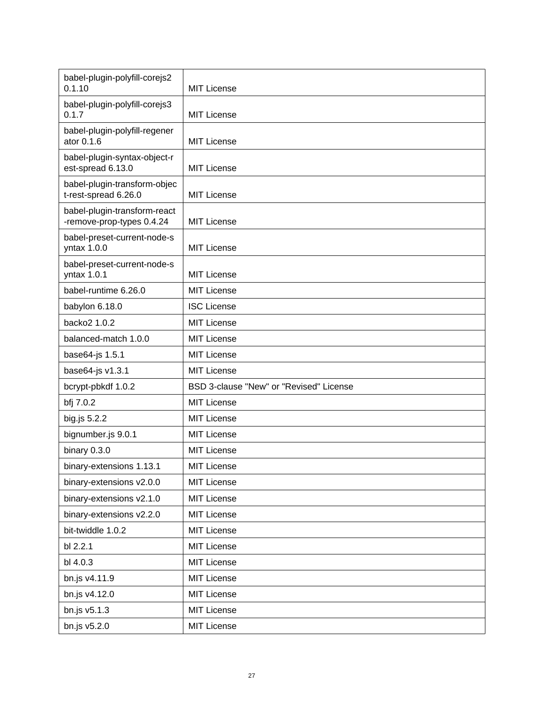| babel-plugin-polyfill-corejs2<br>0.1.10                   | <b>MIT License</b>                      |
|-----------------------------------------------------------|-----------------------------------------|
| babel-plugin-polyfill-corejs3<br>0.1.7                    | <b>MIT License</b>                      |
| babel-plugin-polyfill-regener<br>ator 0.1.6               | <b>MIT License</b>                      |
| babel-plugin-syntax-object-r<br>est-spread 6.13.0         | <b>MIT License</b>                      |
| babel-plugin-transform-objec<br>t-rest-spread 6.26.0      | <b>MIT License</b>                      |
| babel-plugin-transform-react<br>-remove-prop-types 0.4.24 | <b>MIT License</b>                      |
| babel-preset-current-node-s<br>yntax 1.0.0                | <b>MIT License</b>                      |
| babel-preset-current-node-s<br>yntax 1.0.1                | <b>MIT License</b>                      |
| babel-runtime 6.26.0                                      | <b>MIT License</b>                      |
| babylon 6.18.0                                            | <b>ISC License</b>                      |
| backo2 1.0.2                                              | <b>MIT License</b>                      |
| balanced-match 1.0.0                                      | <b>MIT License</b>                      |
| base64-js 1.5.1                                           | <b>MIT License</b>                      |
| base64-js v1.3.1                                          | <b>MIT License</b>                      |
| bcrypt-pbkdf 1.0.2                                        | BSD 3-clause "New" or "Revised" License |
| bfj 7.0.2                                                 | <b>MIT License</b>                      |
| big.js 5.2.2                                              | <b>MIT License</b>                      |
| bignumber.js 9.0.1                                        | <b>MIT License</b>                      |
| binary 0.3.0                                              | <b>MIT License</b>                      |
| binary-extensions 1.13.1                                  | <b>MIT License</b>                      |
| binary-extensions v2.0.0                                  | <b>MIT License</b>                      |
| binary-extensions v2.1.0                                  | <b>MIT License</b>                      |
| binary-extensions v2.2.0                                  | <b>MIT License</b>                      |
| bit-twiddle 1.0.2                                         | <b>MIT License</b>                      |
| bl 2.2.1                                                  | <b>MIT License</b>                      |
| bl 4.0.3                                                  | <b>MIT License</b>                      |
| bn.js v4.11.9                                             | <b>MIT License</b>                      |
| bn.js v4.12.0                                             | <b>MIT License</b>                      |
| bn.js v5.1.3                                              | <b>MIT License</b>                      |
| bn.js v5.2.0                                              | <b>MIT License</b>                      |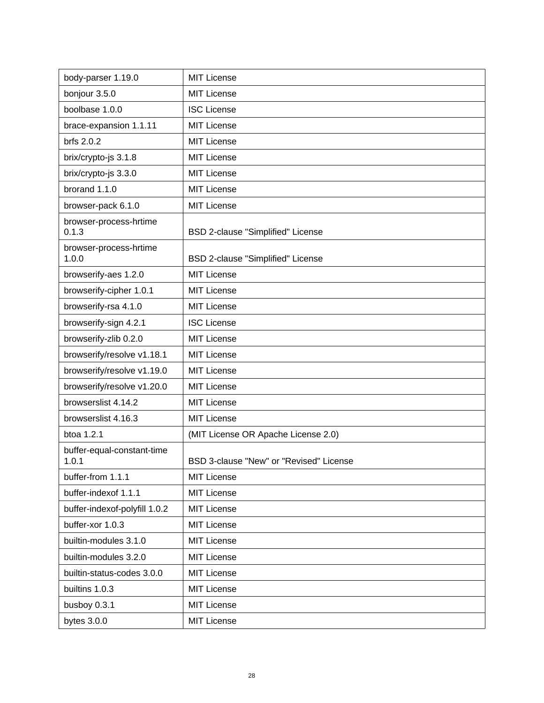| body-parser 1.19.0                  | <b>MIT License</b>                      |
|-------------------------------------|-----------------------------------------|
| bonjour 3.5.0                       | <b>MIT License</b>                      |
| boolbase 1.0.0                      | <b>ISC License</b>                      |
| brace-expansion 1.1.11              | <b>MIT License</b>                      |
| brfs 2.0.2                          | <b>MIT License</b>                      |
| brix/crypto-js 3.1.8                | <b>MIT License</b>                      |
| brix/crypto-js 3.3.0                | <b>MIT License</b>                      |
| brorand 1.1.0                       | <b>MIT License</b>                      |
| browser-pack 6.1.0                  | <b>MIT License</b>                      |
| browser-process-hrtime<br>0.1.3     | BSD 2-clause "Simplified" License       |
| browser-process-hrtime<br>1.0.0     | BSD 2-clause "Simplified" License       |
| browserify-aes 1.2.0                | <b>MIT License</b>                      |
| browserify-cipher 1.0.1             | <b>MIT License</b>                      |
| browserify-rsa 4.1.0                | <b>MIT License</b>                      |
| browserify-sign 4.2.1               | <b>ISC License</b>                      |
| browserify-zlib 0.2.0               | <b>MIT License</b>                      |
| browserify/resolve v1.18.1          | <b>MIT License</b>                      |
| browserify/resolve v1.19.0          | <b>MIT License</b>                      |
| browserify/resolve v1.20.0          | <b>MIT License</b>                      |
| browserslist 4.14.2                 | <b>MIT License</b>                      |
| browserslist 4.16.3                 | <b>MIT License</b>                      |
| btoa 1.2.1                          | (MIT License OR Apache License 2.0)     |
| buffer-equal-constant-time<br>1.0.1 | BSD 3-clause "New" or "Revised" License |
| buffer-from 1.1.1                   | <b>MIT License</b>                      |
| buffer-indexof 1.1.1                | <b>MIT License</b>                      |
| buffer-indexof-polyfill 1.0.2       | <b>MIT License</b>                      |
| buffer-xor 1.0.3                    | <b>MIT License</b>                      |
| builtin-modules 3.1.0               | <b>MIT License</b>                      |
| builtin-modules 3.2.0               | <b>MIT License</b>                      |
| builtin-status-codes 3.0.0          | <b>MIT License</b>                      |
| builtins 1.0.3                      | <b>MIT License</b>                      |
| busboy 0.3.1                        | <b>MIT License</b>                      |
| bytes $3.0.0$                       | <b>MIT License</b>                      |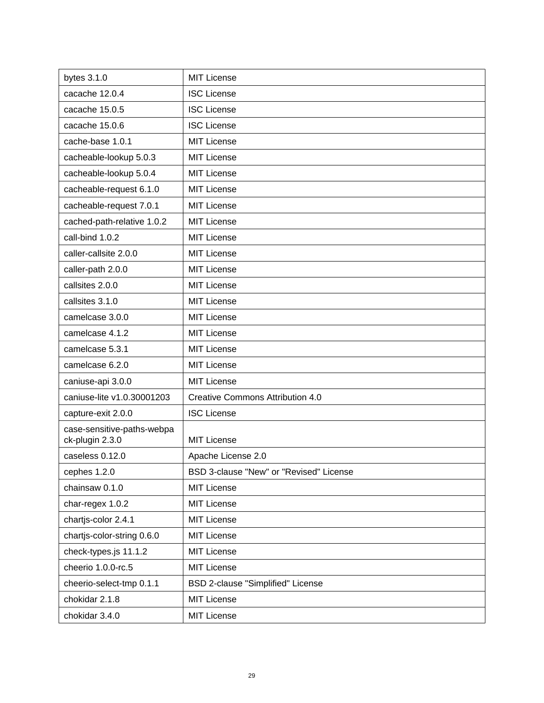| bytes 3.1.0                                   | <b>MIT License</b>                      |
|-----------------------------------------------|-----------------------------------------|
| cacache 12.0.4                                | <b>ISC License</b>                      |
| cacache 15.0.5                                | <b>ISC License</b>                      |
| cacache 15.0.6                                | <b>ISC License</b>                      |
| cache-base 1.0.1                              | <b>MIT License</b>                      |
| cacheable-lookup 5.0.3                        | <b>MIT License</b>                      |
| cacheable-lookup 5.0.4                        | <b>MIT License</b>                      |
| cacheable-request 6.1.0                       | <b>MIT License</b>                      |
| cacheable-request 7.0.1                       | <b>MIT License</b>                      |
| cached-path-relative 1.0.2                    | <b>MIT License</b>                      |
| call-bind 1.0.2                               | <b>MIT License</b>                      |
| caller-callsite 2.0.0                         | <b>MIT License</b>                      |
| caller-path 2.0.0                             | <b>MIT License</b>                      |
| callsites 2.0.0                               | <b>MIT License</b>                      |
| callsites 3.1.0                               | <b>MIT License</b>                      |
| camelcase 3.0.0                               | <b>MIT License</b>                      |
| camelcase 4.1.2                               | <b>MIT License</b>                      |
| camelcase 5.3.1                               | <b>MIT License</b>                      |
| camelcase 6.2.0                               | <b>MIT License</b>                      |
| caniuse-api 3.0.0                             | <b>MIT License</b>                      |
| caniuse-lite v1.0.30001203                    | <b>Creative Commons Attribution 4.0</b> |
| capture-exit 2.0.0                            | <b>ISC License</b>                      |
| case-sensitive-paths-webpa<br>ck-plugin 2.3.0 | <b>MIT License</b>                      |
| caseless 0.12.0                               | Apache License 2.0                      |
| cephes 1.2.0                                  | BSD 3-clause "New" or "Revised" License |
| chainsaw 0.1.0                                | MIT License                             |
| char-regex 1.0.2                              | <b>MIT License</b>                      |
| chartjs-color 2.4.1                           | <b>MIT License</b>                      |
| chartjs-color-string 0.6.0                    | MIT License                             |
| check-types.js 11.1.2                         | <b>MIT License</b>                      |
| cheerio 1.0.0-rc.5                            | MIT License                             |
| cheerio-select-tmp 0.1.1                      | BSD 2-clause "Simplified" License       |
| chokidar 2.1.8                                | MIT License                             |
| chokidar 3.4.0                                | <b>MIT License</b>                      |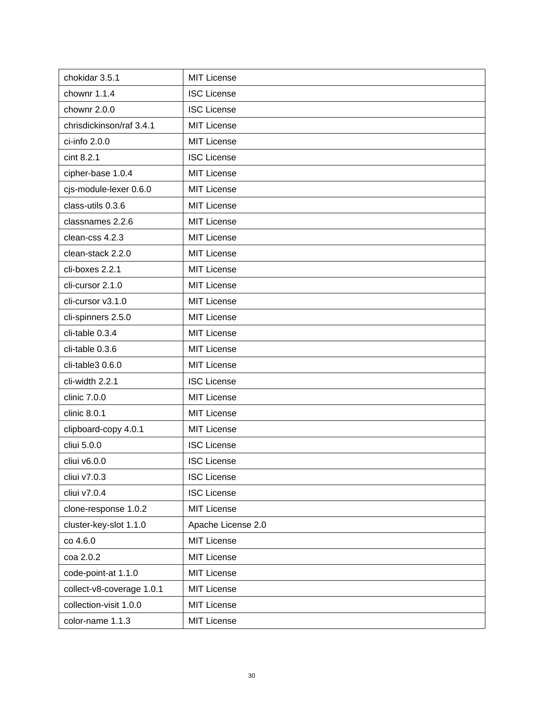| chokidar 3.5.1            | <b>MIT License</b> |
|---------------------------|--------------------|
| chownr 1.1.4              | <b>ISC License</b> |
| chownr 2.0.0              | <b>ISC License</b> |
| chrisdickinson/raf 3.4.1  | <b>MIT License</b> |
| ci-info 2.0.0             | <b>MIT License</b> |
| cint 8.2.1                | <b>ISC License</b> |
| cipher-base 1.0.4         | <b>MIT License</b> |
| cjs-module-lexer 0.6.0    | <b>MIT License</b> |
| class-utils 0.3.6         | <b>MIT License</b> |
| classnames 2.2.6          | <b>MIT License</b> |
| clean-css 4.2.3           | <b>MIT License</b> |
| clean-stack 2.2.0         | <b>MIT License</b> |
| cli-boxes 2.2.1           | <b>MIT License</b> |
| cli-cursor 2.1.0          | <b>MIT License</b> |
| cli-cursor v3.1.0         | <b>MIT License</b> |
| cli-spinners 2.5.0        | <b>MIT License</b> |
| cli-table 0.3.4           | <b>MIT License</b> |
| cli-table 0.3.6           | <b>MIT License</b> |
| cli-table3 0.6.0          | <b>MIT License</b> |
| cli-width 2.2.1           | <b>ISC License</b> |
| clinic 7.0.0              | <b>MIT License</b> |
| clinic 8.0.1              | <b>MIT License</b> |
| clipboard-copy 4.0.1      | <b>MIT License</b> |
| cliui 5.0.0               | <b>ISC License</b> |
| cliui v6.0.0              | <b>ISC License</b> |
| cliui v7.0.3              | <b>ISC License</b> |
| cliui v7.0.4              | <b>ISC License</b> |
| clone-response 1.0.2      | <b>MIT License</b> |
| cluster-key-slot 1.1.0    | Apache License 2.0 |
| co 4.6.0                  | MIT License        |
| coa 2.0.2                 | <b>MIT License</b> |
| code-point-at 1.1.0       | <b>MIT License</b> |
| collect-v8-coverage 1.0.1 | <b>MIT License</b> |
| collection-visit 1.0.0    | <b>MIT License</b> |
| color-name 1.1.3          | MIT License        |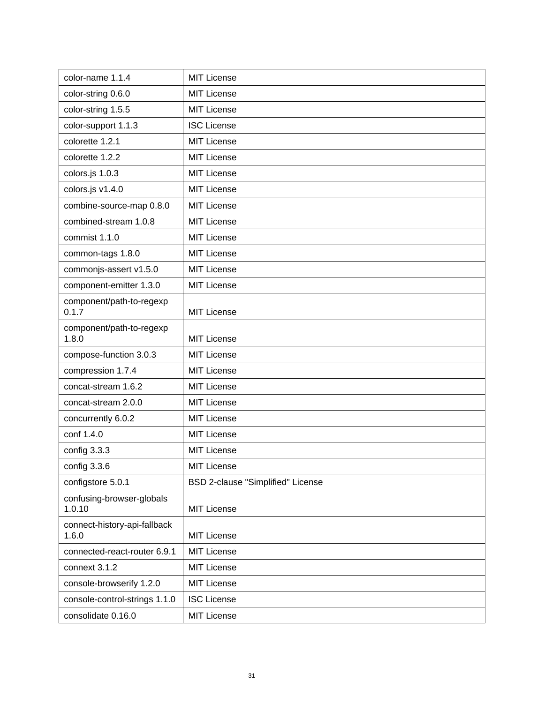| color-name 1.1.4                      | <b>MIT License</b>                |
|---------------------------------------|-----------------------------------|
| color-string 0.6.0                    | <b>MIT License</b>                |
| color-string 1.5.5                    | <b>MIT License</b>                |
| color-support 1.1.3                   | <b>ISC License</b>                |
| colorette 1.2.1                       | <b>MIT License</b>                |
| colorette 1.2.2                       | <b>MIT License</b>                |
| colors.js 1.0.3                       | <b>MIT License</b>                |
| colors.js v1.4.0                      | <b>MIT License</b>                |
| combine-source-map 0.8.0              | <b>MIT License</b>                |
| combined-stream 1.0.8                 | <b>MIT License</b>                |
| commist 1.1.0                         | <b>MIT License</b>                |
| common-tags 1.8.0                     | <b>MIT License</b>                |
| commonjs-assert v1.5.0                | <b>MIT License</b>                |
| component-emitter 1.3.0               | <b>MIT License</b>                |
| component/path-to-regexp<br>0.1.7     | <b>MIT License</b>                |
| component/path-to-regexp<br>1.8.0     | <b>MIT License</b>                |
| compose-function 3.0.3                | <b>MIT License</b>                |
| compression 1.7.4                     | <b>MIT License</b>                |
| concat-stream 1.6.2                   | <b>MIT License</b>                |
| concat-stream 2.0.0                   | <b>MIT License</b>                |
| concurrently 6.0.2                    | <b>MIT License</b>                |
| conf 1.4.0                            | <b>MIT License</b>                |
| config 3.3.3                          | <b>MIT License</b>                |
| config 3.3.6                          | MIT License                       |
| configstore 5.0.1                     | BSD 2-clause "Simplified" License |
| confusing-browser-globals<br>1.0.10   | <b>MIT License</b>                |
| connect-history-api-fallback<br>1.6.0 | <b>MIT License</b>                |
| connected-react-router 6.9.1          | <b>MIT License</b>                |
| connext 3.1.2                         | MIT License                       |
| console-browserify 1.2.0              | <b>MIT License</b>                |
| console-control-strings 1.1.0         | <b>ISC License</b>                |
| consolidate 0.16.0                    | MIT License                       |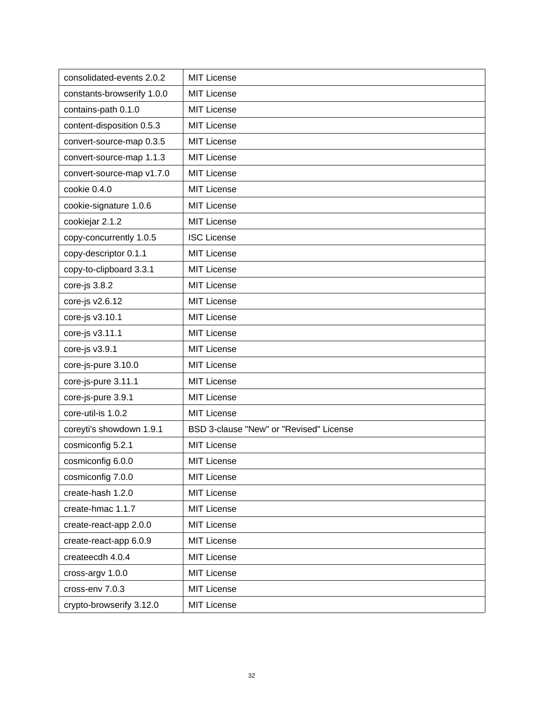| consolidated-events 2.0.2  | <b>MIT License</b>                      |
|----------------------------|-----------------------------------------|
| constants-browserify 1.0.0 | <b>MIT License</b>                      |
| contains-path 0.1.0        | <b>MIT License</b>                      |
| content-disposition 0.5.3  | <b>MIT License</b>                      |
| convert-source-map 0.3.5   | <b>MIT License</b>                      |
| convert-source-map 1.1.3   | MIT License                             |
| convert-source-map v1.7.0  | <b>MIT License</b>                      |
| cookie 0.4.0               | MIT License                             |
| cookie-signature 1.0.6     | <b>MIT License</b>                      |
| cookiejar 2.1.2            | <b>MIT License</b>                      |
| copy-concurrently 1.0.5    | <b>ISC License</b>                      |
| copy-descriptor 0.1.1      | <b>MIT License</b>                      |
| copy-to-clipboard 3.3.1    | <b>MIT License</b>                      |
| core-js 3.8.2              | <b>MIT License</b>                      |
| core-js v2.6.12            | <b>MIT License</b>                      |
| core-js v3.10.1            | <b>MIT License</b>                      |
| core-js v3.11.1            | <b>MIT License</b>                      |
| core-js v3.9.1             | <b>MIT License</b>                      |
| core-js-pure 3.10.0        | <b>MIT License</b>                      |
| core-js-pure 3.11.1        | <b>MIT License</b>                      |
| core-js-pure 3.9.1         | <b>MIT License</b>                      |
| core-util-is 1.0.2         | <b>MIT License</b>                      |
| coreyti's showdown 1.9.1   | BSD 3-clause "New" or "Revised" License |
| cosmiconfig 5.2.1          | <b>MIT License</b>                      |
| cosmiconfig 6.0.0          | <b>MIT License</b>                      |
| cosmiconfig 7.0.0          | <b>MIT License</b>                      |
| create-hash 1.2.0          | <b>MIT License</b>                      |
| create-hmac 1.1.7          | <b>MIT License</b>                      |
| create-react-app 2.0.0     | <b>MIT License</b>                      |
| create-react-app 6.0.9     | <b>MIT License</b>                      |
| createecdh 4.0.4           | <b>MIT License</b>                      |
| cross-argv 1.0.0           | <b>MIT License</b>                      |
| cross-env 7.0.3            | <b>MIT License</b>                      |
| crypto-browserify 3.12.0   | <b>MIT License</b>                      |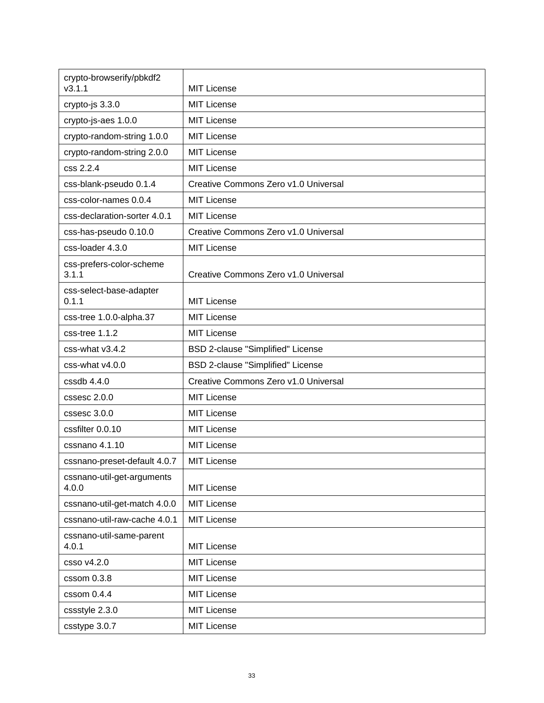| crypto-browserify/pbkdf2<br>v3.1.1  | <b>MIT License</b>                       |
|-------------------------------------|------------------------------------------|
| crypto-js 3.3.0                     | <b>MIT License</b>                       |
| crypto-js-aes 1.0.0                 | <b>MIT License</b>                       |
| crypto-random-string 1.0.0          | <b>MIT License</b>                       |
| crypto-random-string 2.0.0          | <b>MIT License</b>                       |
| css 2.2.4                           | <b>MIT License</b>                       |
| css-blank-pseudo 0.1.4              | Creative Commons Zero v1.0 Universal     |
| css-color-names 0.0.4               | <b>MIT License</b>                       |
|                                     |                                          |
| css-declaration-sorter 4.0.1        | <b>MIT License</b>                       |
| css-has-pseudo 0.10.0               | Creative Commons Zero v1.0 Universal     |
| css-loader 4.3.0                    | <b>MIT License</b>                       |
| css-prefers-color-scheme<br>3.1.1   | Creative Commons Zero v1.0 Universal     |
| css-select-base-adapter<br>0.1.1    | <b>MIT License</b>                       |
| css-tree 1.0.0-alpha.37             | <b>MIT License</b>                       |
| css-tree 1.1.2                      | <b>MIT License</b>                       |
| css-what v3.4.2                     | BSD 2-clause "Simplified" License        |
| css-what v4.0.0                     | <b>BSD 2-clause "Simplified" License</b> |
| $cssdb$ 4.4.0                       | Creative Commons Zero v1.0 Universal     |
| cssesc 2.0.0                        | <b>MIT License</b>                       |
| cssesc 3.0.0                        | <b>MIT License</b>                       |
| cssfilter 0.0.10                    | <b>MIT License</b>                       |
| cssnano 4.1.10                      | <b>MIT License</b>                       |
| cssnano-preset-default 4.0.7        | <b>MIT License</b>                       |
| cssnano-util-get-arguments<br>4.0.0 | <b>MIT License</b>                       |
| cssnano-util-get-match 4.0.0        | <b>MIT License</b>                       |
| cssnano-util-raw-cache 4.0.1        | <b>MIT License</b>                       |
| cssnano-util-same-parent            |                                          |
| 4.0.1                               | <b>MIT License</b>                       |
| csso v4.2.0                         | <b>MIT License</b>                       |
| cssom 0.3.8                         | <b>MIT License</b>                       |
| cssom 0.4.4                         | <b>MIT License</b>                       |
| cssstyle 2.3.0                      | <b>MIT License</b>                       |
| csstype 3.0.7                       | <b>MIT License</b>                       |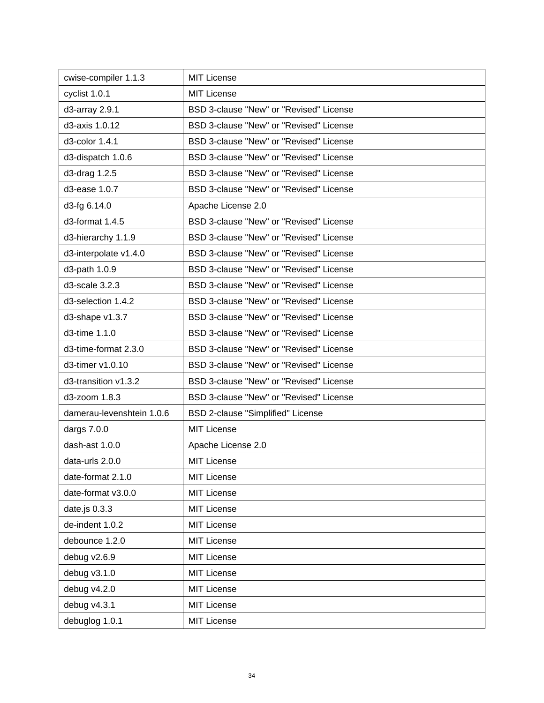| cwise-compiler 1.1.3      | <b>MIT License</b>                      |
|---------------------------|-----------------------------------------|
| cyclist 1.0.1             | <b>MIT License</b>                      |
| d3-array 2.9.1            | BSD 3-clause "New" or "Revised" License |
| d3-axis 1.0.12            | BSD 3-clause "New" or "Revised" License |
| d3-color 1.4.1            | BSD 3-clause "New" or "Revised" License |
| d3-dispatch 1.0.6         | BSD 3-clause "New" or "Revised" License |
| d3-drag 1.2.5             | BSD 3-clause "New" or "Revised" License |
| d3-ease 1.0.7             | BSD 3-clause "New" or "Revised" License |
| d3-fg 6.14.0              | Apache License 2.0                      |
| d3-format 1.4.5           | BSD 3-clause "New" or "Revised" License |
| d3-hierarchy 1.1.9        | BSD 3-clause "New" or "Revised" License |
| d3-interpolate v1.4.0     | BSD 3-clause "New" or "Revised" License |
| d3-path 1.0.9             | BSD 3-clause "New" or "Revised" License |
| d3-scale 3.2.3            | BSD 3-clause "New" or "Revised" License |
| d3-selection 1.4.2        | BSD 3-clause "New" or "Revised" License |
| d3-shape v1.3.7           | BSD 3-clause "New" or "Revised" License |
| d3-time 1.1.0             | BSD 3-clause "New" or "Revised" License |
| d3-time-format 2.3.0      | BSD 3-clause "New" or "Revised" License |
| d3-timer v1.0.10          | BSD 3-clause "New" or "Revised" License |
| d3-transition v1.3.2      | BSD 3-clause "New" or "Revised" License |
| d3-zoom 1.8.3             | BSD 3-clause "New" or "Revised" License |
| damerau-levenshtein 1.0.6 | BSD 2-clause "Simplified" License       |
| dargs 7.0.0               | <b>MIT License</b>                      |
| dash-ast 1.0.0            | Apache License 2.0                      |
| data-urls 2.0.0           | <b>MIT License</b>                      |
| date-format 2.1.0         | <b>MIT License</b>                      |
| date-format v3.0.0        | <b>MIT License</b>                      |
| date.js 0.3.3             | <b>MIT License</b>                      |
| de-indent 1.0.2           | <b>MIT License</b>                      |
| debounce 1.2.0            | <b>MIT License</b>                      |
| debug v2.6.9              | <b>MIT License</b>                      |
| debug v3.1.0              | <b>MIT License</b>                      |
| debug v4.2.0              | <b>MIT License</b>                      |
| debug v4.3.1              | <b>MIT License</b>                      |
| debuglog 1.0.1            | <b>MIT License</b>                      |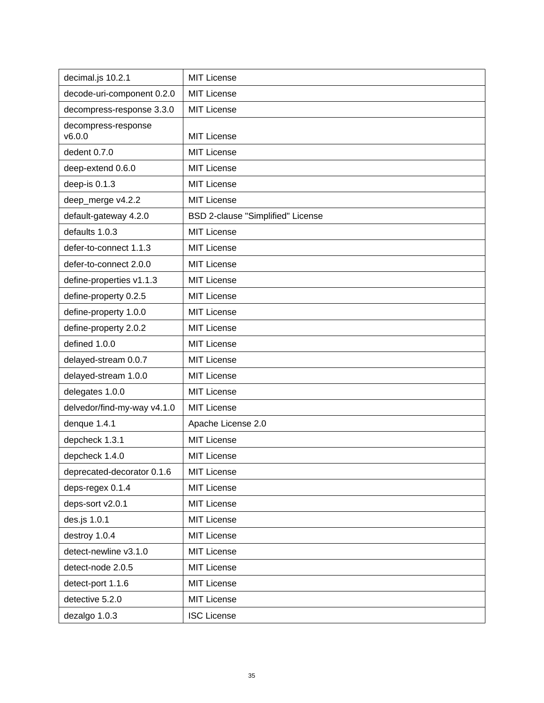| decimal.js 10.2.1             | <b>MIT License</b>                |
|-------------------------------|-----------------------------------|
| decode-uri-component 0.2.0    | <b>MIT License</b>                |
| decompress-response 3.3.0     | <b>MIT License</b>                |
| decompress-response<br>v6.0.0 | <b>MIT License</b>                |
| dedent 0.7.0                  | <b>MIT License</b>                |
| deep-extend 0.6.0             | <b>MIT License</b>                |
| deep-is 0.1.3                 | <b>MIT License</b>                |
| deep_merge v4.2.2             | <b>MIT License</b>                |
| default-gateway 4.2.0         | BSD 2-clause "Simplified" License |
| defaults 1.0.3                | <b>MIT License</b>                |
| defer-to-connect 1.1.3        | <b>MIT License</b>                |
| defer-to-connect 2.0.0        | <b>MIT License</b>                |
| define-properties v1.1.3      | <b>MIT License</b>                |
| define-property 0.2.5         | <b>MIT License</b>                |
| define-property 1.0.0         | <b>MIT License</b>                |
| define-property 2.0.2         | <b>MIT License</b>                |
| defined 1.0.0                 | <b>MIT License</b>                |
| delayed-stream 0.0.7          | <b>MIT License</b>                |
| delayed-stream 1.0.0          | <b>MIT License</b>                |
| delegates 1.0.0               | <b>MIT License</b>                |
| delvedor/find-my-way v4.1.0   | <b>MIT License</b>                |
| denque 1.4.1                  | Apache License 2.0                |
| depcheck 1.3.1                | <b>MIT License</b>                |
| depcheck 1.4.0                | <b>MIT License</b>                |
| deprecated-decorator 0.1.6    | <b>MIT License</b>                |
| deps-regex 0.1.4              | <b>MIT License</b>                |
| deps-sort v2.0.1              | <b>MIT License</b>                |
| des.js 1.0.1                  | <b>MIT License</b>                |
| destroy 1.0.4                 | <b>MIT License</b>                |
| detect-newline v3.1.0         | <b>MIT License</b>                |
| detect-node 2.0.5             | <b>MIT License</b>                |
| detect-port 1.1.6             | <b>MIT License</b>                |
| detective 5.2.0               | <b>MIT License</b>                |
| dezalgo 1.0.3                 | <b>ISC License</b>                |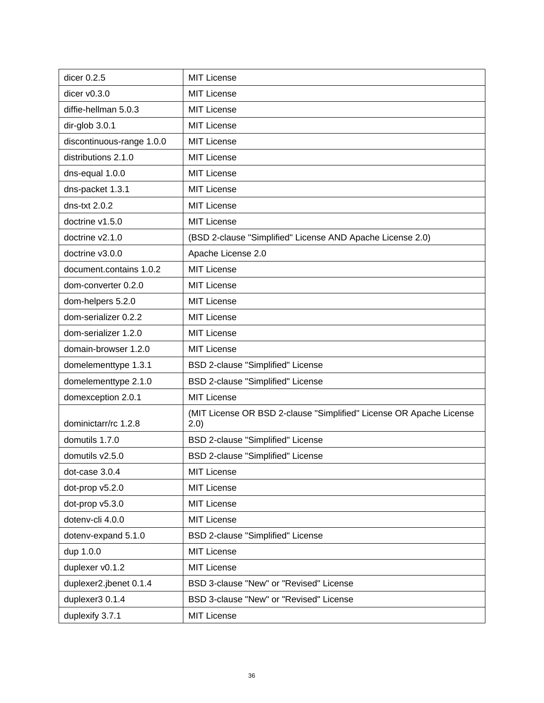| dicer 0.2.5               | <b>MIT License</b>                                                           |
|---------------------------|------------------------------------------------------------------------------|
| dicer $v0.3.0$            | <b>MIT License</b>                                                           |
|                           |                                                                              |
| diffie-hellman 5.0.3      | <b>MIT License</b>                                                           |
| dir-glob 3.0.1            | <b>MIT License</b>                                                           |
| discontinuous-range 1.0.0 | <b>MIT License</b>                                                           |
| distributions 2.1.0       | <b>MIT License</b>                                                           |
| dns-equal 1.0.0           | <b>MIT License</b>                                                           |
| dns-packet 1.3.1          | <b>MIT License</b>                                                           |
| dns-txt $2.0.2$           | <b>MIT License</b>                                                           |
| doctrine v1.5.0           | <b>MIT License</b>                                                           |
| doctrine v2.1.0           | (BSD 2-clause "Simplified" License AND Apache License 2.0)                   |
| doctrine v3.0.0           | Apache License 2.0                                                           |
| document.contains 1.0.2   | <b>MIT License</b>                                                           |
| dom-converter 0.2.0       | <b>MIT License</b>                                                           |
| dom-helpers 5.2.0         | <b>MIT License</b>                                                           |
| dom-serializer 0.2.2      | <b>MIT License</b>                                                           |
| dom-serializer 1.2.0      | <b>MIT License</b>                                                           |
| domain-browser 1.2.0      | <b>MIT License</b>                                                           |
| domelementtype 1.3.1      | BSD 2-clause "Simplified" License                                            |
| domelementtype 2.1.0      | BSD 2-clause "Simplified" License                                            |
| domexception 2.0.1        | <b>MIT License</b>                                                           |
| dominictarr/rc 1.2.8      | (MIT License OR BSD 2-clause "Simplified" License OR Apache License<br>(2.0) |
| domutils 1.7.0            | BSD 2-clause "Simplified" License                                            |
| domutils v2.5.0           | <b>BSD 2-clause "Simplified" License</b>                                     |
| dot-case 3.0.4            | <b>MIT License</b>                                                           |
| dot-prop v5.2.0           | <b>MIT License</b>                                                           |
| dot-prop v5.3.0           | <b>MIT License</b>                                                           |
| dotenv-cli 4.0.0          | <b>MIT License</b>                                                           |
| dotenv-expand 5.1.0       | BSD 2-clause "Simplified" License                                            |
| dup 1.0.0                 | <b>MIT License</b>                                                           |
| duplexer v0.1.2           | <b>MIT License</b>                                                           |
| duplexer2.jbenet 0.1.4    | BSD 3-clause "New" or "Revised" License                                      |
| duplexer3 0.1.4           | BSD 3-clause "New" or "Revised" License                                      |
| duplexify 3.7.1           | <b>MIT License</b>                                                           |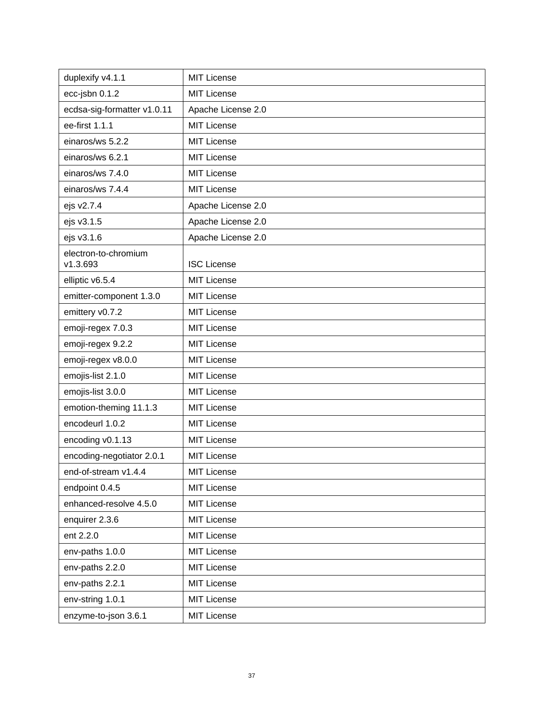| duplexify v4.1.1                 | <b>MIT License</b> |
|----------------------------------|--------------------|
| ecc-jsbn 0.1.2                   | <b>MIT License</b> |
| ecdsa-sig-formatter v1.0.11      | Apache License 2.0 |
| ee-first 1.1.1                   | <b>MIT License</b> |
| einaros/ws 5.2.2                 | <b>MIT License</b> |
| einaros/ws 6.2.1                 | <b>MIT License</b> |
| einaros/ws 7.4.0                 | <b>MIT License</b> |
| einaros/ws 7.4.4                 | <b>MIT License</b> |
| ejs v2.7.4                       | Apache License 2.0 |
| ejs v3.1.5                       | Apache License 2.0 |
| ejs v3.1.6                       | Apache License 2.0 |
| electron-to-chromium<br>v1.3.693 | <b>ISC License</b> |
| elliptic v6.5.4                  | <b>MIT License</b> |
| emitter-component 1.3.0          | <b>MIT License</b> |
| emittery v0.7.2                  | <b>MIT License</b> |
| emoji-regex 7.0.3                | <b>MIT License</b> |
| emoji-regex 9.2.2                | <b>MIT License</b> |
| emoji-regex v8.0.0               | <b>MIT License</b> |
| emojis-list 2.1.0                | <b>MIT License</b> |
| emojis-list 3.0.0                | <b>MIT License</b> |
| emotion-theming 11.1.3           | <b>MIT License</b> |
| encodeurl 1.0.2                  | <b>MIT License</b> |
| encoding v0.1.13                 | <b>MIT License</b> |
| encoding-negotiator 2.0.1        | <b>MIT License</b> |
| end-of-stream v1.4.4             | <b>MIT License</b> |
| endpoint 0.4.5                   | <b>MIT License</b> |
| enhanced-resolve 4.5.0           | <b>MIT License</b> |
| enquirer 2.3.6                   | <b>MIT License</b> |
| ent 2.2.0                        | <b>MIT License</b> |
| env-paths 1.0.0                  | <b>MIT License</b> |
| env-paths 2.2.0                  | <b>MIT License</b> |
| env-paths 2.2.1                  | <b>MIT License</b> |
| env-string 1.0.1                 | <b>MIT License</b> |
| enzyme-to-json 3.6.1             | <b>MIT License</b> |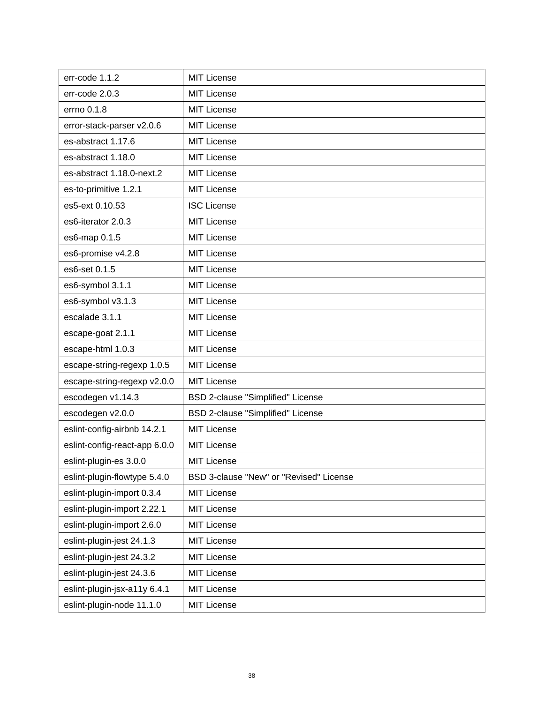| err-code 1.1.2                | <b>MIT License</b>                      |
|-------------------------------|-----------------------------------------|
| err-code 2.0.3                | <b>MIT License</b>                      |
| errno 0.1.8                   | <b>MIT License</b>                      |
| error-stack-parser v2.0.6     | <b>MIT License</b>                      |
| es-abstract 1.17.6            | <b>MIT License</b>                      |
| es-abstract 1.18.0            | <b>MIT License</b>                      |
| es-abstract 1.18.0-next.2     | MIT License                             |
| es-to-primitive 1.2.1         | <b>MIT License</b>                      |
| es5-ext 0.10.53               | <b>ISC License</b>                      |
| es6-iterator 2.0.3            | <b>MIT License</b>                      |
| es6-map 0.1.5                 | <b>MIT License</b>                      |
| es6-promise v4.2.8            | <b>MIT License</b>                      |
| es6-set 0.1.5                 | <b>MIT License</b>                      |
| es6-symbol 3.1.1              | <b>MIT License</b>                      |
| es6-symbol v3.1.3             | <b>MIT License</b>                      |
| escalade 3.1.1                | <b>MIT License</b>                      |
| escape-goat 2.1.1             | <b>MIT License</b>                      |
| escape-html 1.0.3             | <b>MIT License</b>                      |
| escape-string-regexp 1.0.5    | <b>MIT License</b>                      |
| escape-string-regexp v2.0.0   | MIT License                             |
| escodegen v1.14.3             | BSD 2-clause "Simplified" License       |
| escodegen v2.0.0              | BSD 2-clause "Simplified" License       |
| eslint-config-airbnb 14.2.1   | MIT License                             |
| eslint-config-react-app 6.0.0 | <b>MIT License</b>                      |
| eslint-plugin-es 3.0.0        | <b>MIT License</b>                      |
| eslint-plugin-flowtype 5.4.0  | BSD 3-clause "New" or "Revised" License |
| eslint-plugin-import 0.3.4    | <b>MIT License</b>                      |
| eslint-plugin-import 2.22.1   | <b>MIT License</b>                      |
| eslint-plugin-import 2.6.0    | <b>MIT License</b>                      |
| eslint-plugin-jest 24.1.3     | <b>MIT License</b>                      |
| eslint-plugin-jest 24.3.2     | <b>MIT License</b>                      |
| eslint-plugin-jest 24.3.6     | <b>MIT License</b>                      |
| eslint-plugin-jsx-a11y 6.4.1  | <b>MIT License</b>                      |
| eslint-plugin-node 11.1.0     | <b>MIT License</b>                      |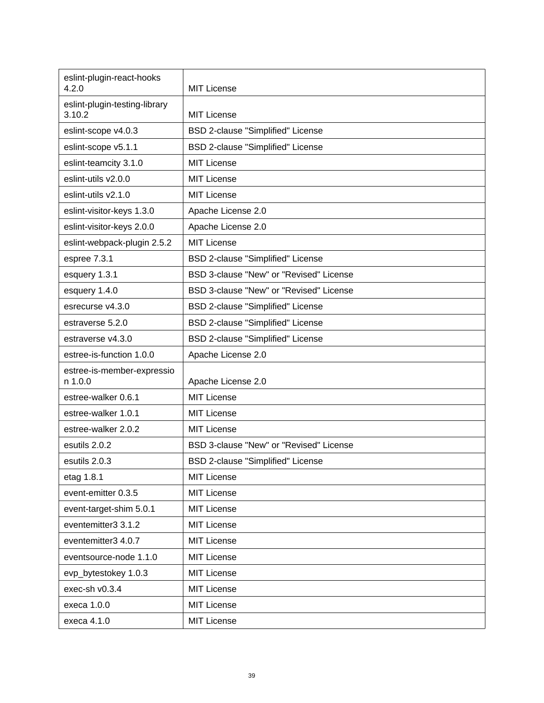| eslint-plugin-react-hooks<br>4.2.0      | <b>MIT License</b>                       |
|-----------------------------------------|------------------------------------------|
| eslint-plugin-testing-library<br>3.10.2 | <b>MIT License</b>                       |
| eslint-scope v4.0.3                     | BSD 2-clause "Simplified" License        |
| eslint-scope v5.1.1                     | BSD 2-clause "Simplified" License        |
| eslint-teamcity 3.1.0                   | <b>MIT License</b>                       |
| eslint-utils v2.0.0                     | <b>MIT License</b>                       |
| eslint-utils v2.1.0                     | <b>MIT License</b>                       |
| eslint-visitor-keys 1.3.0               | Apache License 2.0                       |
| eslint-visitor-keys 2.0.0               | Apache License 2.0                       |
| eslint-webpack-plugin 2.5.2             | <b>MIT License</b>                       |
| espree 7.3.1                            | <b>BSD 2-clause "Simplified" License</b> |
| esquery 1.3.1                           | BSD 3-clause "New" or "Revised" License  |
| esquery 1.4.0                           | BSD 3-clause "New" or "Revised" License  |
| esrecurse v4.3.0                        | <b>BSD 2-clause "Simplified" License</b> |
| estraverse 5.2.0                        | BSD 2-clause "Simplified" License        |
| estraverse v4.3.0                       | BSD 2-clause "Simplified" License        |
| estree-is-function 1.0.0                | Apache License 2.0                       |
| estree-is-member-expressio<br>n 1.0.0   | Apache License 2.0                       |
| estree-walker 0.6.1                     | <b>MIT License</b>                       |
| estree-walker 1.0.1                     | <b>MIT License</b>                       |
| estree-walker 2.0.2                     | <b>MIT License</b>                       |
| esutils 2.0.2                           | BSD 3-clause "New" or "Revised" License  |
| esutils 2.0.3                           | BSD 2-clause "Simplified" License        |
| etag 1.8.1                              | <b>MIT License</b>                       |
| event-emitter 0.3.5                     | <b>MIT License</b>                       |
| event-target-shim 5.0.1                 | <b>MIT License</b>                       |
| eventemitter3 3.1.2                     | <b>MIT License</b>                       |
| eventemitter3 4.0.7                     | <b>MIT License</b>                       |
| eventsource-node 1.1.0                  | MIT License                              |
| evp_bytestokey 1.0.3                    | <b>MIT License</b>                       |
| exec-sh v0.3.4                          | <b>MIT License</b>                       |
| execa 1.0.0                             | <b>MIT License</b>                       |
| execa 4.1.0                             | <b>MIT License</b>                       |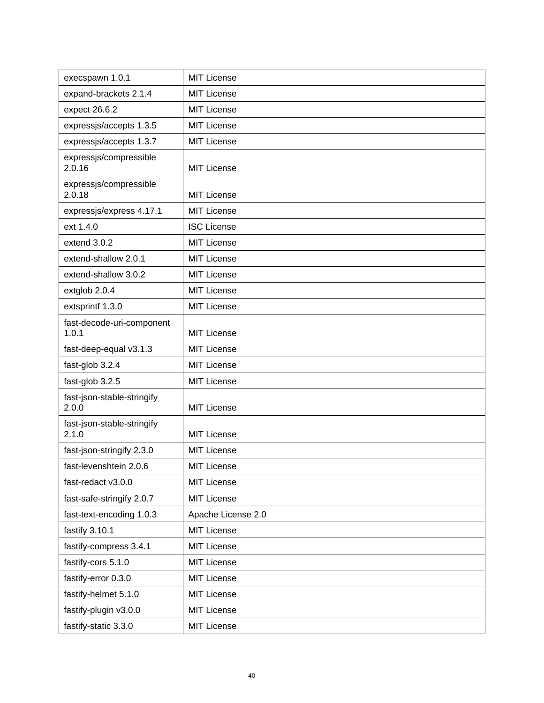| execspawn 1.0.1                     | <b>MIT License</b> |
|-------------------------------------|--------------------|
| expand-brackets 2.1.4               | <b>MIT License</b> |
| expect 26.6.2                       | <b>MIT License</b> |
| expressjs/accepts 1.3.5             | <b>MIT License</b> |
| expressjs/accepts 1.3.7             | <b>MIT License</b> |
| expressjs/compressible<br>2.0.16    | <b>MIT License</b> |
| expressjs/compressible<br>2.0.18    | <b>MIT License</b> |
| expressjs/express 4.17.1            | <b>MIT License</b> |
| ext 1.4.0                           | <b>ISC License</b> |
| extend 3.0.2                        | <b>MIT License</b> |
| extend-shallow 2.0.1                | <b>MIT License</b> |
| extend-shallow 3.0.2                | <b>MIT License</b> |
| extglob 2.0.4                       | <b>MIT License</b> |
| extsprintf 1.3.0                    | <b>MIT License</b> |
| fast-decode-uri-component<br>1.0.1  | <b>MIT License</b> |
| fast-deep-equal v3.1.3              | <b>MIT License</b> |
| fast-glob 3.2.4                     | <b>MIT License</b> |
| fast-glob 3.2.5                     | <b>MIT License</b> |
| fast-json-stable-stringify<br>2.0.0 | <b>MIT License</b> |
| fast-json-stable-stringify<br>2.1.0 | <b>MIT License</b> |
| fast-json-stringify 2.3.0           | <b>MIT License</b> |
| fast-levenshtein 2.0.6              | MIT License        |
| fast-redact v3.0.0                  | <b>MIT License</b> |
| fast-safe-stringify 2.0.7           | <b>MIT License</b> |
| fast-text-encoding 1.0.3            | Apache License 2.0 |
| fastify 3.10.1                      | <b>MIT License</b> |
| fastify-compress 3.4.1              | <b>MIT License</b> |
| fastify-cors 5.1.0                  | <b>MIT License</b> |
| fastify-error 0.3.0                 | <b>MIT License</b> |
| fastify-helmet 5.1.0                | <b>MIT License</b> |
| fastify-plugin v3.0.0               | <b>MIT License</b> |
| fastify-static 3.3.0                | <b>MIT License</b> |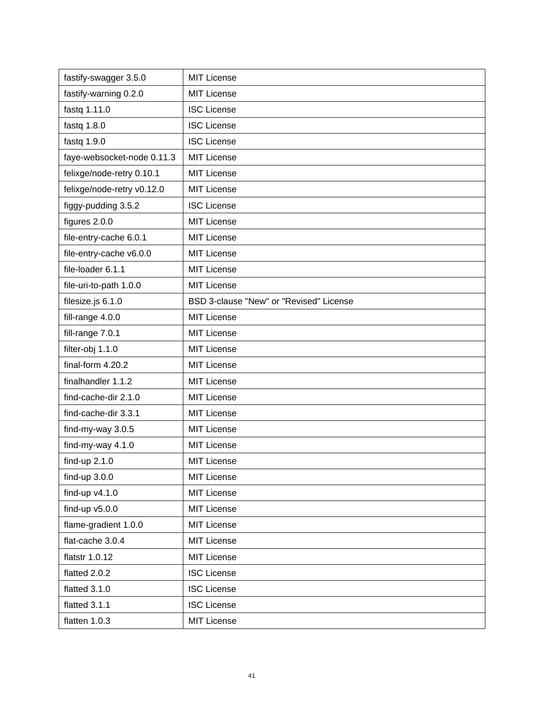| fastify-swagger 3.5.0      | <b>MIT License</b>                      |
|----------------------------|-----------------------------------------|
| fastify-warning 0.2.0      | <b>MIT License</b>                      |
| fastq 1.11.0               | <b>ISC License</b>                      |
| fastq $1.8.0$              | <b>ISC License</b>                      |
| fastq 1.9.0                | <b>ISC License</b>                      |
| faye-websocket-node 0.11.3 | <b>MIT License</b>                      |
| felixge/node-retry 0.10.1  | <b>MIT License</b>                      |
| felixge/node-retry v0.12.0 | <b>MIT License</b>                      |
| figgy-pudding 3.5.2        | <b>ISC License</b>                      |
| figures 2.0.0              | <b>MIT License</b>                      |
| file-entry-cache 6.0.1     | <b>MIT License</b>                      |
| file-entry-cache v6.0.0    | <b>MIT License</b>                      |
| file-loader 6.1.1          | <b>MIT License</b>                      |
| file-uri-to-path 1.0.0     | <b>MIT License</b>                      |
| filesize.js 6.1.0          | BSD 3-clause "New" or "Revised" License |
| fill-range 4.0.0           | <b>MIT License</b>                      |
| fill-range 7.0.1           | <b>MIT License</b>                      |
| filter-obj 1.1.0           | <b>MIT License</b>                      |
| final-form 4.20.2          | <b>MIT License</b>                      |
| finalhandler 1.1.2         | <b>MIT License</b>                      |
| find-cache-dir 2.1.0       | <b>MIT License</b>                      |
| find-cache-dir 3.3.1       | <b>MIT License</b>                      |
| find-my-way 3.0.5          | <b>MIT License</b>                      |
| find-my-way 4.1.0          | <b>MIT License</b>                      |
| find-up 2.1.0              | <b>MIT License</b>                      |
| find-up $3.0.0$            | <b>MIT License</b>                      |
| find-up $v4.1.0$           | <b>MIT License</b>                      |
| find-up $v5.0.0$           | <b>MIT License</b>                      |
| flame-gradient 1.0.0       | <b>MIT License</b>                      |
| flat-cache 3.0.4           | <b>MIT License</b>                      |
| flatstr 1.0.12             | <b>MIT License</b>                      |
| flatted 2.0.2              | <b>ISC License</b>                      |
| flatted 3.1.0              | <b>ISC License</b>                      |
| flatted 3.1.1              | <b>ISC License</b>                      |
| flatten 1.0.3              | <b>MIT License</b>                      |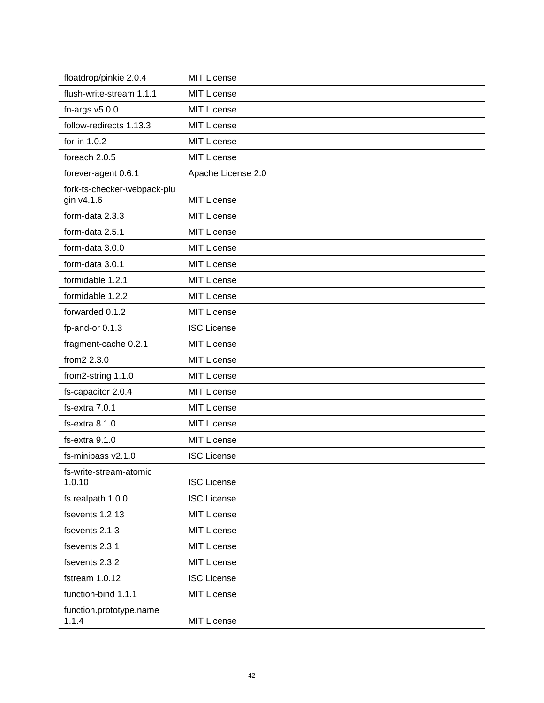| floatdrop/pinkie 2.0.4                    | <b>MIT License</b> |
|-------------------------------------------|--------------------|
| flush-write-stream 1.1.1                  | <b>MIT License</b> |
| fn-args $v5.0.0$                          | <b>MIT License</b> |
| follow-redirects 1.13.3                   | <b>MIT License</b> |
| for-in 1.0.2                              | <b>MIT License</b> |
| foreach 2.0.5                             | <b>MIT License</b> |
| forever-agent 0.6.1                       | Apache License 2.0 |
| fork-ts-checker-webpack-plu<br>gin v4.1.6 | <b>MIT License</b> |
| form-data 2.3.3                           | <b>MIT License</b> |
| form-data 2.5.1                           | <b>MIT License</b> |
| form-data 3.0.0                           | <b>MIT License</b> |
| form-data 3.0.1                           | <b>MIT License</b> |
| formidable 1.2.1                          | <b>MIT License</b> |
| formidable 1.2.2                          | <b>MIT License</b> |
| forwarded 0.1.2                           | <b>MIT License</b> |
| fp-and-or 0.1.3                           | <b>ISC License</b> |
| fragment-cache 0.2.1                      | <b>MIT License</b> |
| from2 2.3.0                               | <b>MIT License</b> |
| from2-string 1.1.0                        | <b>MIT License</b> |
| fs-capacitor 2.0.4                        | <b>MIT License</b> |
| fs-extra 7.0.1                            | <b>MIT License</b> |
| fs-extra 8.1.0                            | <b>MIT License</b> |
| $fs$ -extra $9.1.0$                       | <b>MIT License</b> |
| fs-minipass v2.1.0                        | <b>ISC License</b> |
| fs-write-stream-atomic<br>1.0.10          | <b>ISC License</b> |
| fs.realpath 1.0.0                         | <b>ISC License</b> |
| fsevents 1.2.13                           | <b>MIT License</b> |
| fsevents 2.1.3                            | <b>MIT License</b> |
| fsevents 2.3.1                            | <b>MIT License</b> |
| fsevents 2.3.2                            | MIT License        |
| fstream 1.0.12                            | <b>ISC License</b> |
| function-bind 1.1.1                       | <b>MIT License</b> |
| function.prototype.name<br>1.1.4          | <b>MIT License</b> |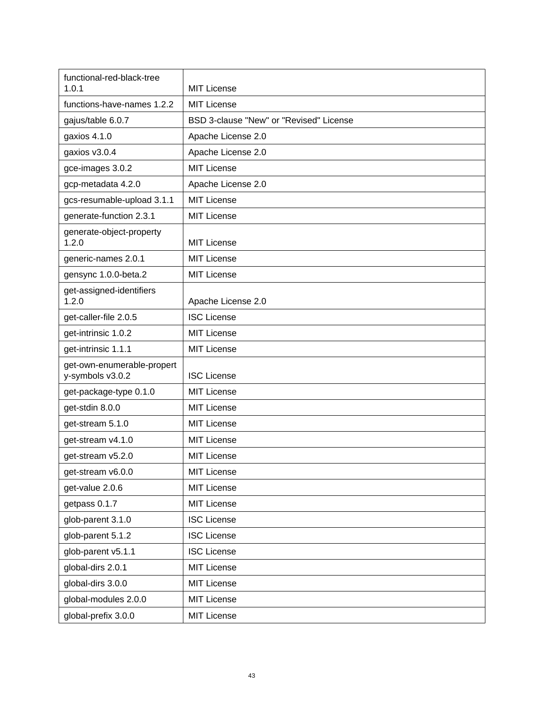| functional-red-black-tree<br>1.0.1             | <b>MIT License</b>                      |
|------------------------------------------------|-----------------------------------------|
| functions-have-names 1.2.2                     | <b>MIT License</b>                      |
| gajus/table 6.0.7                              | BSD 3-clause "New" or "Revised" License |
| gaxios 4.1.0                                   | Apache License 2.0                      |
| gaxios v3.0.4                                  | Apache License 2.0                      |
| gce-images 3.0.2                               | <b>MIT License</b>                      |
| gcp-metadata 4.2.0                             | Apache License 2.0                      |
| gcs-resumable-upload 3.1.1                     | <b>MIT License</b>                      |
| generate-function 2.3.1                        | <b>MIT License</b>                      |
| generate-object-property<br>1.2.0              | <b>MIT License</b>                      |
| generic-names 2.0.1                            | <b>MIT License</b>                      |
| gensync 1.0.0-beta.2                           | <b>MIT License</b>                      |
| get-assigned-identifiers<br>1.2.0              | Apache License 2.0                      |
| get-caller-file 2.0.5                          | <b>ISC License</b>                      |
| get-intrinsic 1.0.2                            | <b>MIT License</b>                      |
| get-intrinsic 1.1.1                            | <b>MIT License</b>                      |
| get-own-enumerable-propert<br>y-symbols v3.0.2 | <b>ISC License</b>                      |
| get-package-type 0.1.0                         | <b>MIT License</b>                      |
| get-stdin 8.0.0                                | <b>MIT License</b>                      |
| get-stream 5.1.0                               | <b>MIT License</b>                      |
| get-stream v4.1.0                              | <b>MIT License</b>                      |
| get-stream v5.2.0                              | <b>MIT License</b>                      |
| get-stream v6.0.0                              | <b>MIT License</b>                      |
| get-value 2.0.6                                | <b>MIT License</b>                      |
| getpass 0.1.7                                  | <b>MIT License</b>                      |
| glob-parent 3.1.0                              | <b>ISC License</b>                      |
| glob-parent 5.1.2                              | <b>ISC License</b>                      |
| glob-parent v5.1.1                             | <b>ISC License</b>                      |
| global-dirs 2.0.1                              | <b>MIT License</b>                      |
| global-dirs 3.0.0                              | <b>MIT License</b>                      |
| global-modules 2.0.0                           | <b>MIT License</b>                      |
| global-prefix 3.0.0                            | <b>MIT License</b>                      |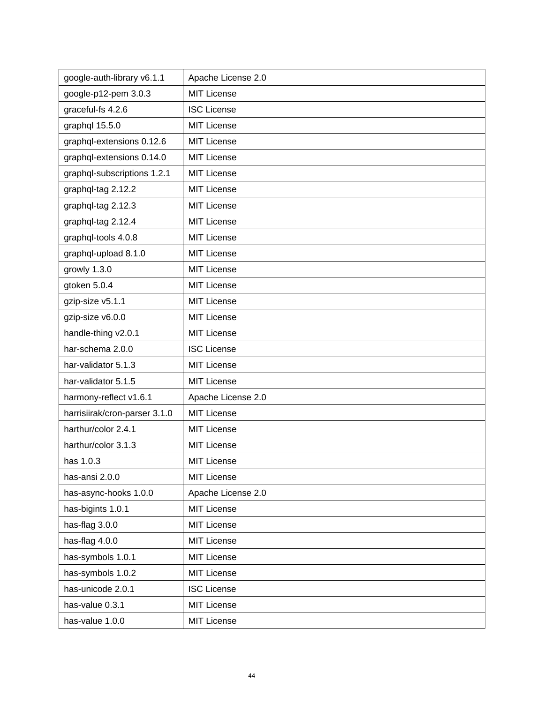| google-auth-library v6.1.1    | Apache License 2.0 |
|-------------------------------|--------------------|
| google-p12-pem 3.0.3          | <b>MIT License</b> |
| graceful-fs 4.2.6             | <b>ISC License</b> |
| graphql 15.5.0                | <b>MIT License</b> |
| graphql-extensions 0.12.6     | <b>MIT License</b> |
| graphql-extensions 0.14.0     | <b>MIT License</b> |
| graphql-subscriptions 1.2.1   | <b>MIT License</b> |
| graphql-tag 2.12.2            | <b>MIT License</b> |
| graphql-tag 2.12.3            | <b>MIT License</b> |
| graphql-tag 2.12.4            | <b>MIT License</b> |
| graphql-tools 4.0.8           | <b>MIT License</b> |
| graphql-upload 8.1.0          | <b>MIT License</b> |
| growly 1.3.0                  | <b>MIT License</b> |
| gtoken 5.0.4                  | <b>MIT License</b> |
| gzip-size v5.1.1              | <b>MIT License</b> |
| gzip-size v6.0.0              | <b>MIT License</b> |
| handle-thing v2.0.1           | <b>MIT License</b> |
| har-schema 2.0.0              | <b>ISC License</b> |
| har-validator 5.1.3           | <b>MIT License</b> |
| har-validator 5.1.5           | <b>MIT License</b> |
| harmony-reflect v1.6.1        | Apache License 2.0 |
| harrisiirak/cron-parser 3.1.0 | <b>MIT License</b> |
| harthur/color 2.4.1           | <b>MIT License</b> |
| harthur/color 3.1.3           | <b>MIT License</b> |
| has 1.0.3                     | <b>MIT License</b> |
| has-ansi 2.0.0                | <b>MIT License</b> |
| has-async-hooks 1.0.0         | Apache License 2.0 |
| has-bigints 1.0.1             | <b>MIT License</b> |
| has-flag 3.0.0                | <b>MIT License</b> |
| has-flag 4.0.0                | <b>MIT License</b> |
| has-symbols 1.0.1             | <b>MIT License</b> |
| has-symbols 1.0.2             | <b>MIT License</b> |
| has-unicode 2.0.1             | <b>ISC License</b> |
| has-value 0.3.1               | <b>MIT License</b> |
| has-value 1.0.0               | <b>MIT License</b> |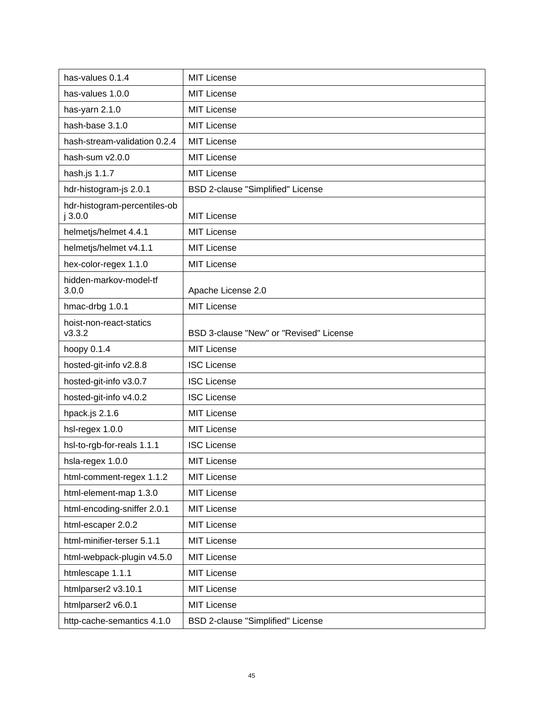| has-values 0.1.4                       | <b>MIT License</b>                      |
|----------------------------------------|-----------------------------------------|
| has-values 1.0.0                       | <b>MIT License</b>                      |
| has-yarn 2.1.0                         | <b>MIT License</b>                      |
| hash-base 3.1.0                        | <b>MIT License</b>                      |
| hash-stream-validation 0.2.4           | <b>MIT License</b>                      |
| hash-sum v2.0.0                        | <b>MIT License</b>                      |
| hash.js 1.1.7                          | <b>MIT License</b>                      |
| hdr-histogram-js 2.0.1                 | BSD 2-clause "Simplified" License       |
| hdr-histogram-percentiles-ob<br>j3.0.0 | <b>MIT License</b>                      |
| helmetjs/helmet 4.4.1                  | <b>MIT License</b>                      |
| helmetjs/helmet v4.1.1                 | <b>MIT License</b>                      |
| hex-color-regex 1.1.0                  | <b>MIT License</b>                      |
| hidden-markov-model-tf<br>3.0.0        | Apache License 2.0                      |
| hmac-drbg 1.0.1                        | <b>MIT License</b>                      |
| hoist-non-react-statics<br>v3.3.2      | BSD 3-clause "New" or "Revised" License |
| hoopy 0.1.4                            | <b>MIT License</b>                      |
| hosted-git-info v2.8.8                 | <b>ISC License</b>                      |
| hosted-git-info v3.0.7                 | <b>ISC License</b>                      |
| hosted-git-info v4.0.2                 | <b>ISC License</b>                      |
| hpack.js 2.1.6                         | <b>MIT License</b>                      |
| hsl-regex 1.0.0                        | <b>MIT License</b>                      |
| hsl-to-rgb-for-reals 1.1.1             | <b>ISC License</b>                      |
| hsla-regex 1.0.0                       | <b>MIT License</b>                      |
| html-comment-regex 1.1.2               | <b>MIT License</b>                      |
| html-element-map 1.3.0                 | <b>MIT License</b>                      |
| html-encoding-sniffer 2.0.1            | <b>MIT License</b>                      |
| html-escaper 2.0.2                     | <b>MIT License</b>                      |
| html-minifier-terser 5.1.1             | <b>MIT License</b>                      |
| html-webpack-plugin v4.5.0             | <b>MIT License</b>                      |
| htmlescape 1.1.1                       | <b>MIT License</b>                      |
| htmlparser2 v3.10.1                    | <b>MIT License</b>                      |
| htmlparser2 v6.0.1                     | <b>MIT License</b>                      |
| http-cache-semantics 4.1.0             | BSD 2-clause "Simplified" License       |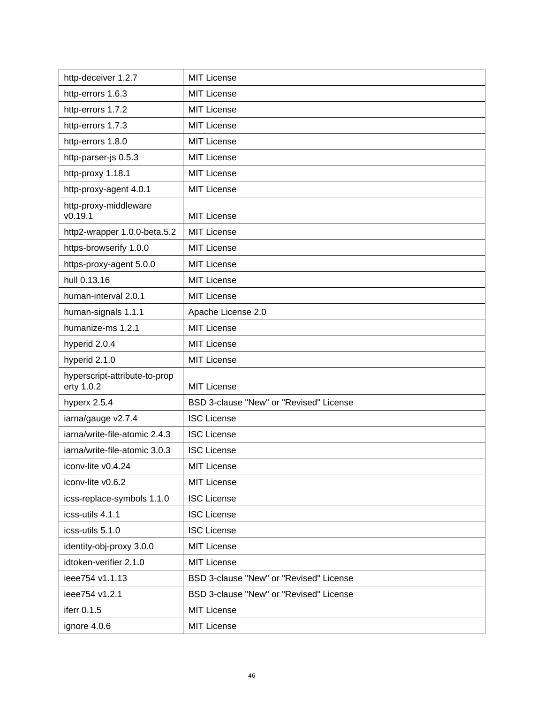| http-deceiver 1.2.7                         | <b>MIT License</b>                      |
|---------------------------------------------|-----------------------------------------|
| http-errors 1.6.3                           | <b>MIT License</b>                      |
| http-errors 1.7.2                           | <b>MIT License</b>                      |
| http-errors 1.7.3                           | <b>MIT License</b>                      |
| http-errors 1.8.0                           | <b>MIT License</b>                      |
| http-parser-js 0.5.3                        | <b>MIT License</b>                      |
| http-proxy 1.18.1                           | <b>MIT License</b>                      |
| http-proxy-agent 4.0.1                      | <b>MIT License</b>                      |
| http-proxy-middleware<br>v0.19.1            | <b>MIT License</b>                      |
| http2-wrapper 1.0.0-beta.5.2                | <b>MIT License</b>                      |
| https-browserify 1.0.0                      | <b>MIT License</b>                      |
| https-proxy-agent 5.0.0                     | <b>MIT License</b>                      |
| hull 0.13.16                                | <b>MIT License</b>                      |
| human-interval 2.0.1                        | <b>MIT License</b>                      |
| human-signals 1.1.1                         | Apache License 2.0                      |
| humanize-ms 1.2.1                           | <b>MIT License</b>                      |
| hyperid 2.0.4                               | <b>MIT License</b>                      |
| hyperid 2.1.0                               | <b>MIT License</b>                      |
| hyperscript-attribute-to-prop<br>erty 1.0.2 | <b>MIT License</b>                      |
| hyperx 2.5.4                                | BSD 3-clause "New" or "Revised" License |
| iarna/gauge v2.7.4                          | <b>ISC License</b>                      |
| iarna/write-file-atomic 2.4.3               | <b>ISC License</b>                      |
| iarna/write-file-atomic 3.0.3               | <b>ISC License</b>                      |
| iconv-lite v0.4.24                          | MIT License                             |
| iconv-lite v0.6.2                           | <b>MIT License</b>                      |
| icss-replace-symbols 1.1.0                  | <b>ISC License</b>                      |
| icss-utils 4.1.1                            | <b>ISC License</b>                      |
| icss-utils 5.1.0                            | <b>ISC License</b>                      |
| identity-obj-proxy 3.0.0                    | <b>MIT License</b>                      |
| idtoken-verifier 2.1.0                      | <b>MIT License</b>                      |
| ieee754 v1.1.13                             | BSD 3-clause "New" or "Revised" License |
| ieee754 v1.2.1                              | BSD 3-clause "New" or "Revised" License |
| iferr 0.1.5                                 | <b>MIT License</b>                      |
| ignore 4.0.6                                | <b>MIT License</b>                      |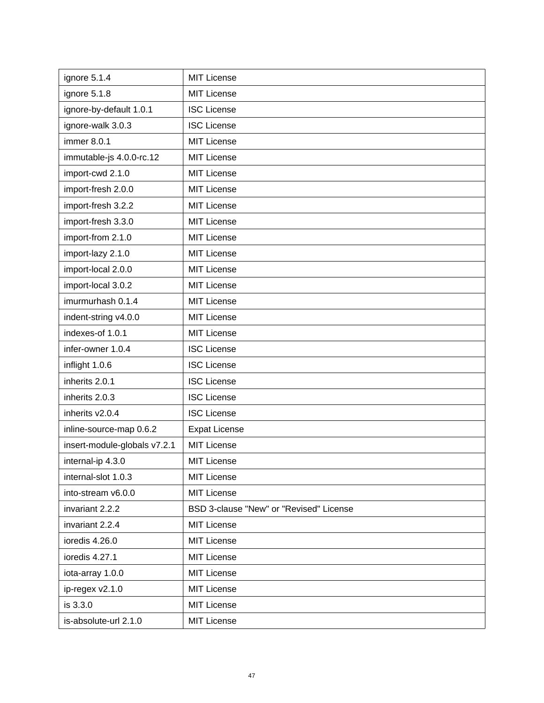| ignore 5.1.4                 | <b>MIT License</b>                      |
|------------------------------|-----------------------------------------|
| ignore 5.1.8                 | <b>MIT License</b>                      |
| ignore-by-default 1.0.1      | <b>ISC License</b>                      |
| ignore-walk 3.0.3            | <b>ISC License</b>                      |
| immer 8.0.1                  | <b>MIT License</b>                      |
| immutable-js 4.0.0-rc.12     | MIT License                             |
| import-cwd 2.1.0             | <b>MIT License</b>                      |
| import-fresh 2.0.0           | <b>MIT License</b>                      |
| import-fresh 3.2.2           | <b>MIT License</b>                      |
| import-fresh 3.3.0           | <b>MIT License</b>                      |
| import-from 2.1.0            | <b>MIT License</b>                      |
| import-lazy 2.1.0            | <b>MIT License</b>                      |
| import-local 2.0.0           | <b>MIT License</b>                      |
| import-local 3.0.2           | <b>MIT License</b>                      |
| imurmurhash 0.1.4            | <b>MIT License</b>                      |
| indent-string v4.0.0         | <b>MIT License</b>                      |
| indexes-of 1.0.1             | <b>MIT License</b>                      |
| infer-owner 1.0.4            | <b>ISC License</b>                      |
| inflight 1.0.6               | <b>ISC License</b>                      |
| inherits 2.0.1               | <b>ISC License</b>                      |
| inherits 2.0.3               | <b>ISC License</b>                      |
| inherits v2.0.4              | <b>ISC License</b>                      |
| inline-source-map 0.6.2      | <b>Expat License</b>                    |
| insert-module-globals v7.2.1 | <b>MIT License</b>                      |
| internal-ip 4.3.0            | <b>MIT License</b>                      |
| internal-slot 1.0.3          | <b>MIT License</b>                      |
| into-stream v6.0.0           | <b>MIT License</b>                      |
| invariant 2.2.2              | BSD 3-clause "New" or "Revised" License |
| invariant 2.2.4              | <b>MIT License</b>                      |
| ioredis 4.26.0               | <b>MIT License</b>                      |
| ioredis 4.27.1               | <b>MIT License</b>                      |
| iota-array 1.0.0             | <b>MIT License</b>                      |
| ip-regex v2.1.0              | <b>MIT License</b>                      |
| is 3.3.0                     | <b>MIT License</b>                      |
| is-absolute-url 2.1.0        | <b>MIT License</b>                      |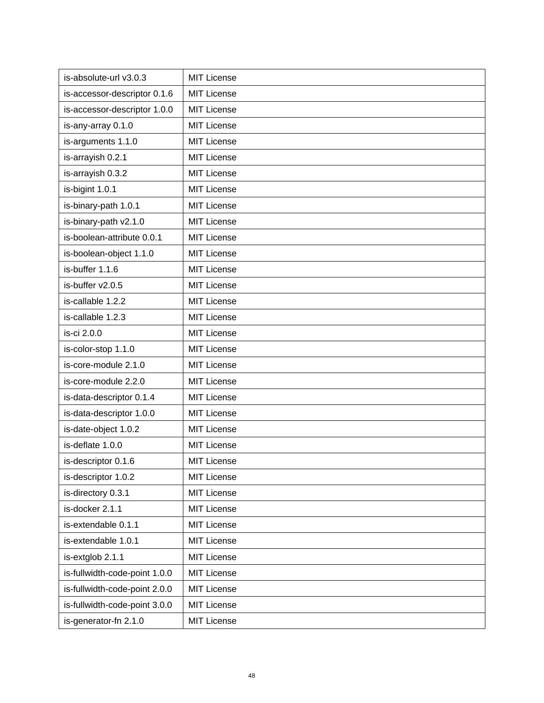| is-absolute-url v3.0.3        | <b>MIT License</b> |
|-------------------------------|--------------------|
| is-accessor-descriptor 0.1.6  | <b>MIT License</b> |
| is-accessor-descriptor 1.0.0  | <b>MIT License</b> |
| is-any-array 0.1.0            | <b>MIT License</b> |
| is-arguments 1.1.0            | <b>MIT License</b> |
| is-arrayish 0.2.1             | <b>MIT License</b> |
| is-arrayish 0.3.2             | <b>MIT License</b> |
| is-bigint 1.0.1               | MIT License        |
| is-binary-path 1.0.1          | <b>MIT License</b> |
| is-binary-path v2.1.0         | <b>MIT License</b> |
| is-boolean-attribute 0.0.1    | <b>MIT License</b> |
| is-boolean-object 1.1.0       | <b>MIT License</b> |
| is-buffer 1.1.6               | <b>MIT License</b> |
| is-buffer v2.0.5              | <b>MIT License</b> |
| is-callable 1.2.2             | <b>MIT License</b> |
| is-callable 1.2.3             | <b>MIT License</b> |
| is-ci 2.0.0                   | <b>MIT License</b> |
| is-color-stop 1.1.0           | <b>MIT License</b> |
| is-core-module 2.1.0          | <b>MIT License</b> |
| is-core-module 2.2.0          | <b>MIT License</b> |
| is-data-descriptor 0.1.4      | <b>MIT License</b> |
| is-data-descriptor 1.0.0      | <b>MIT License</b> |
| is-date-object 1.0.2          | <b>MIT License</b> |
| is-deflate 1.0.0              | <b>MIT License</b> |
| is-descriptor 0.1.6           | <b>MIT License</b> |
| is-descriptor 1.0.2           | <b>MIT License</b> |
| is-directory 0.3.1            | <b>MIT License</b> |
| is-docker 2.1.1               | <b>MIT License</b> |
| is-extendable 0.1.1           | <b>MIT License</b> |
| is-extendable 1.0.1           | <b>MIT License</b> |
| is-extglob 2.1.1              | <b>MIT License</b> |
| is-fullwidth-code-point 1.0.0 | <b>MIT License</b> |
| is-fullwidth-code-point 2.0.0 | <b>MIT License</b> |
| is-fullwidth-code-point 3.0.0 | <b>MIT License</b> |
| is-generator-fn 2.1.0         | <b>MIT License</b> |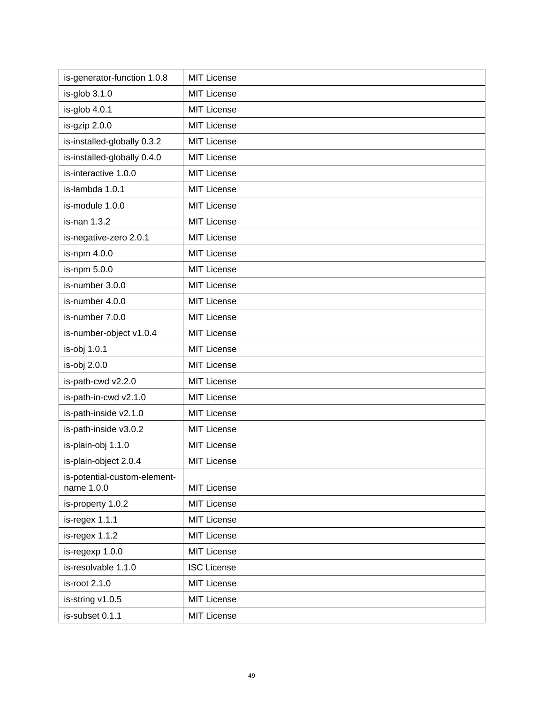| is-generator-function 1.0.8                | <b>MIT License</b> |
|--------------------------------------------|--------------------|
| $is-glob 3.1.0$                            | <b>MIT License</b> |
| is-glob 4.0.1                              | <b>MIT License</b> |
| is-gzip 2.0.0                              | <b>MIT License</b> |
| is-installed-globally 0.3.2                | <b>MIT License</b> |
| is-installed-globally 0.4.0                | <b>MIT License</b> |
| is-interactive 1.0.0                       | <b>MIT License</b> |
| is-lambda 1.0.1                            | <b>MIT License</b> |
| is-module 1.0.0                            | <b>MIT License</b> |
| is-nan 1.3.2                               | <b>MIT License</b> |
| is-negative-zero 2.0.1                     | <b>MIT License</b> |
| is-npm 4.0.0                               | <b>MIT License</b> |
| is-npm 5.0.0                               | <b>MIT License</b> |
| is-number 3.0.0                            | <b>MIT License</b> |
| is-number 4.0.0                            | <b>MIT License</b> |
| is-number 7.0.0                            | <b>MIT License</b> |
| is-number-object v1.0.4                    | <b>MIT License</b> |
| is-obj 1.0.1                               | <b>MIT License</b> |
| is-obj 2.0.0                               | <b>MIT License</b> |
| is-path-cwd v2.2.0                         | <b>MIT License</b> |
| is-path-in-cwd v2.1.0                      | <b>MIT License</b> |
| is-path-inside v2.1.0                      | <b>MIT License</b> |
| is-path-inside v3.0.2                      | <b>MIT License</b> |
| is-plain-obj 1.1.0                         | <b>MIT License</b> |
| is-plain-object 2.0.4                      | <b>MIT License</b> |
| is-potential-custom-element-<br>name 1.0.0 | <b>MIT License</b> |
| is-property 1.0.2                          | <b>MIT License</b> |
| is-regex 1.1.1                             | <b>MIT License</b> |
| is-regex 1.1.2                             | <b>MIT License</b> |
| is-regexp 1.0.0                            | <b>MIT License</b> |
| is-resolvable 1.1.0                        | <b>ISC License</b> |
| is-root 2.1.0                              | <b>MIT License</b> |
| is-string v1.0.5                           | <b>MIT License</b> |
| is-subset 0.1.1                            | <b>MIT License</b> |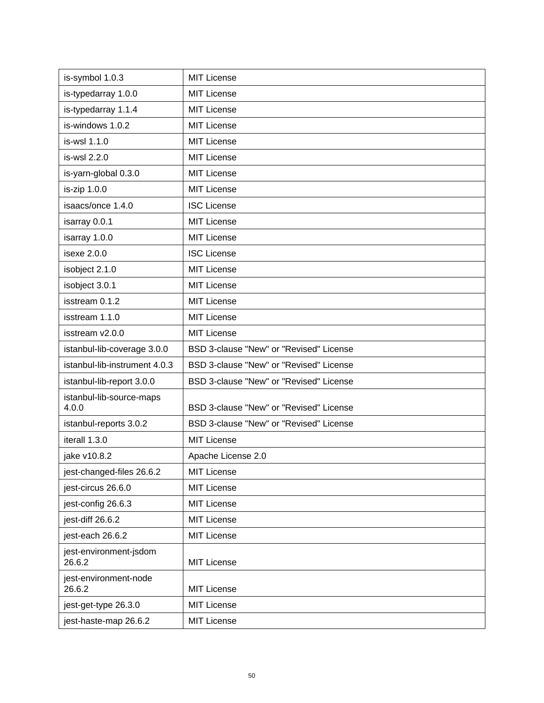| is-symbol 1.0.3                   | <b>MIT License</b>                      |
|-----------------------------------|-----------------------------------------|
| is-typedarray 1.0.0               | <b>MIT License</b>                      |
| is-typedarray 1.1.4               | <b>MIT License</b>                      |
| is-windows 1.0.2                  | <b>MIT License</b>                      |
| is-wsl 1.1.0                      | <b>MIT License</b>                      |
| is-wsl 2.2.0                      | <b>MIT License</b>                      |
| is-yarn-global 0.3.0              | <b>MIT License</b>                      |
| is-zip 1.0.0                      | <b>MIT License</b>                      |
| isaacs/once 1.4.0                 | <b>ISC License</b>                      |
| isarray 0.0.1                     | <b>MIT License</b>                      |
| isarray 1.0.0                     | <b>MIT License</b>                      |
| isexe 2.0.0                       | <b>ISC License</b>                      |
| isobject 2.1.0                    | <b>MIT License</b>                      |
| isobject 3.0.1                    | <b>MIT License</b>                      |
| isstream 0.1.2                    | <b>MIT License</b>                      |
| isstream 1.1.0                    | <b>MIT License</b>                      |
| isstream v2.0.0                   | <b>MIT License</b>                      |
| istanbul-lib-coverage 3.0.0       | BSD 3-clause "New" or "Revised" License |
| istanbul-lib-instrument 4.0.3     | BSD 3-clause "New" or "Revised" License |
| istanbul-lib-report 3.0.0         | BSD 3-clause "New" or "Revised" License |
| istanbul-lib-source-maps<br>4.0.0 | BSD 3-clause "New" or "Revised" License |
| istanbul-reports 3.0.2            | BSD 3-clause "New" or "Revised" License |
| iterall 1.3.0                     | <b>MIT License</b>                      |
| jake v10.8.2                      | Apache License 2.0                      |
| jest-changed-files 26.6.2         | <b>MIT License</b>                      |
| jest-circus 26.6.0                | <b>MIT License</b>                      |
| jest-config 26.6.3                | <b>MIT License</b>                      |
| jest-diff 26.6.2                  | <b>MIT License</b>                      |
| jest-each 26.6.2                  | <b>MIT License</b>                      |
| jest-environment-jsdom<br>26.6.2  | <b>MIT License</b>                      |
| jest-environment-node<br>26.6.2   | <b>MIT License</b>                      |
| jest-get-type 26.3.0              | <b>MIT License</b>                      |
| jest-haste-map 26.6.2             | <b>MIT License</b>                      |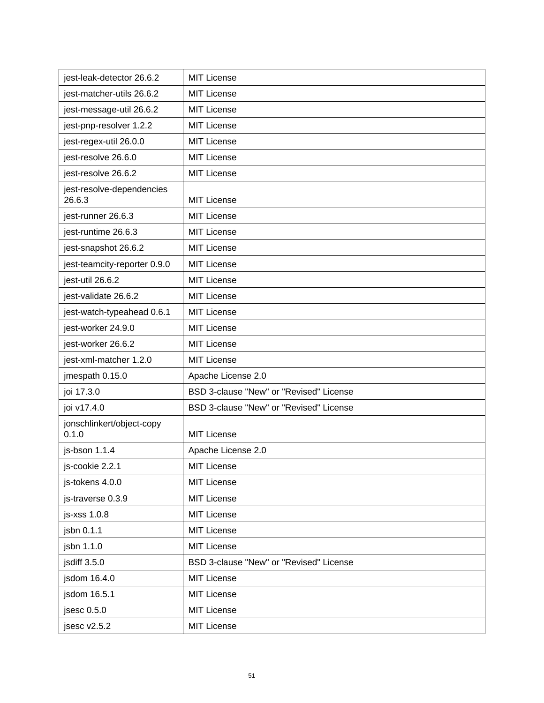| jest-leak-detector 26.6.2           | <b>MIT License</b>                      |
|-------------------------------------|-----------------------------------------|
| jest-matcher-utils 26.6.2           | <b>MIT License</b>                      |
| jest-message-util 26.6.2            | <b>MIT License</b>                      |
| jest-pnp-resolver 1.2.2             | <b>MIT License</b>                      |
| jest-regex-util 26.0.0              | <b>MIT License</b>                      |
| jest-resolve 26.6.0                 | <b>MIT License</b>                      |
| jest-resolve 26.6.2                 | <b>MIT License</b>                      |
| jest-resolve-dependencies<br>26.6.3 | <b>MIT License</b>                      |
| jest-runner 26.6.3                  | <b>MIT License</b>                      |
| jest-runtime 26.6.3                 | <b>MIT License</b>                      |
| jest-snapshot 26.6.2                | <b>MIT License</b>                      |
| jest-teamcity-reporter 0.9.0        | <b>MIT License</b>                      |
| jest-util 26.6.2                    | <b>MIT License</b>                      |
| jest-validate 26.6.2                | <b>MIT License</b>                      |
| jest-watch-typeahead 0.6.1          | <b>MIT License</b>                      |
| jest-worker 24.9.0                  | <b>MIT License</b>                      |
| jest-worker 26.6.2                  | <b>MIT License</b>                      |
| jest-xml-matcher 1.2.0              | <b>MIT License</b>                      |
| jmespath 0.15.0                     | Apache License 2.0                      |
| joi 17.3.0                          | BSD 3-clause "New" or "Revised" License |
| joi v17.4.0                         | BSD 3-clause "New" or "Revised" License |
| jonschlinkert/object-copy<br>0.1.0  | <b>MIT License</b>                      |
| js-bson 1.1.4                       | Apache License 2.0                      |
| js-cookie 2.2.1                     | <b>MIT License</b>                      |
| js-tokens 4.0.0                     | <b>MIT License</b>                      |
| js-traverse 0.3.9                   | <b>MIT License</b>                      |
| js-xss 1.0.8                        | <b>MIT License</b>                      |
| jsbn 0.1.1                          | <b>MIT License</b>                      |
| jsbn 1.1.0                          | <b>MIT License</b>                      |
| jsdiff 3.5.0                        | BSD 3-clause "New" or "Revised" License |
| jsdom 16.4.0                        | <b>MIT License</b>                      |
| jsdom 16.5.1                        | <b>MIT License</b>                      |
| jsesc 0.5.0                         | <b>MIT License</b>                      |
| jsesc v2.5.2                        | <b>MIT License</b>                      |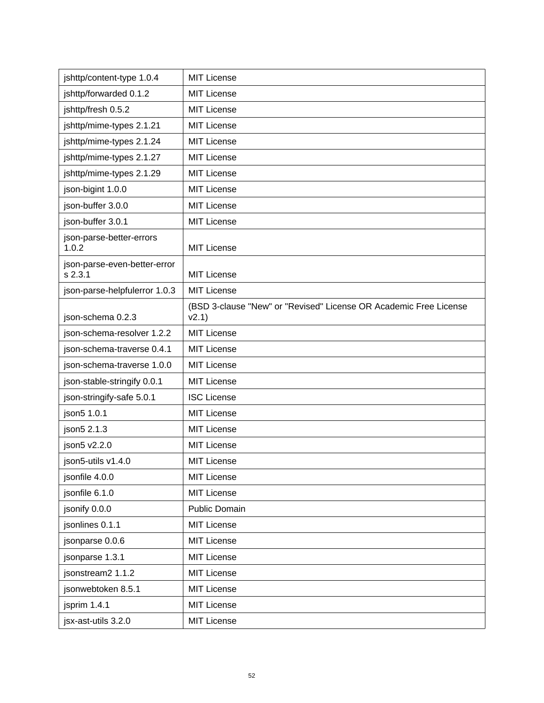| jshttp/content-type 1.0.4                 | <b>MIT License</b>                                                         |
|-------------------------------------------|----------------------------------------------------------------------------|
| jshttp/forwarded 0.1.2                    | <b>MIT License</b>                                                         |
| jshttp/fresh 0.5.2                        | <b>MIT License</b>                                                         |
| jshttp/mime-types 2.1.21                  | <b>MIT License</b>                                                         |
| jshttp/mime-types 2.1.24                  | <b>MIT License</b>                                                         |
| jshttp/mime-types 2.1.27                  | <b>MIT License</b>                                                         |
| jshttp/mime-types 2.1.29                  | <b>MIT License</b>                                                         |
| json-bigint 1.0.0                         | <b>MIT License</b>                                                         |
| json-buffer 3.0.0                         | <b>MIT License</b>                                                         |
| json-buffer 3.0.1                         | <b>MIT License</b>                                                         |
| json-parse-better-errors<br>1.0.2         | <b>MIT License</b>                                                         |
| json-parse-even-better-error<br>$s$ 2.3.1 | <b>MIT License</b>                                                         |
| json-parse-helpfulerror 1.0.3             | <b>MIT License</b>                                                         |
| json-schema 0.2.3                         | (BSD 3-clause "New" or "Revised" License OR Academic Free License<br>v2.1) |
| json-schema-resolver 1.2.2                | <b>MIT License</b>                                                         |
| json-schema-traverse 0.4.1                | <b>MIT License</b>                                                         |
| json-schema-traverse 1.0.0                | <b>MIT License</b>                                                         |
| json-stable-stringify 0.0.1               | <b>MIT License</b>                                                         |
| json-stringify-safe 5.0.1                 | <b>ISC License</b>                                                         |
| json5 1.0.1                               | <b>MIT License</b>                                                         |
| json5 2.1.3                               | <b>MIT License</b>                                                         |
| json5 v2.2.0                              | <b>MIT License</b>                                                         |
| ison5-utils v1.4.0                        | <b>MIT License</b>                                                         |
| jsonfile 4.0.0                            | <b>MIT License</b>                                                         |
| jsonfile 6.1.0                            | <b>MIT License</b>                                                         |
| jsonify 0.0.0                             | Public Domain                                                              |
| jsonlines 0.1.1                           | <b>MIT License</b>                                                         |
| jsonparse 0.0.6                           | <b>MIT License</b>                                                         |
| jsonparse 1.3.1                           | <b>MIT License</b>                                                         |
| jsonstream2 1.1.2                         | <b>MIT License</b>                                                         |
| jsonwebtoken 8.5.1                        | <b>MIT License</b>                                                         |
| jsprim 1.4.1                              | <b>MIT License</b>                                                         |
| jsx-ast-utils 3.2.0                       | <b>MIT License</b>                                                         |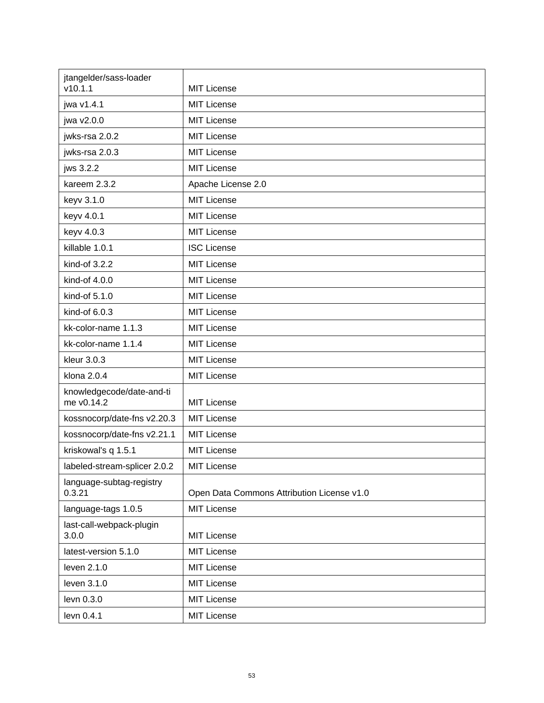| jtangelder/sass-loader<br>v10.1.1       | <b>MIT License</b>                         |
|-----------------------------------------|--------------------------------------------|
| jwa v1.4.1                              | <b>MIT License</b>                         |
| jwa v2.0.0                              | <b>MIT License</b>                         |
| jwks-rsa 2.0.2                          | <b>MIT License</b>                         |
| jwks-rsa 2.0.3                          | <b>MIT License</b>                         |
| jws 3.2.2                               | <b>MIT License</b>                         |
| kareem 2.3.2                            | Apache License 2.0                         |
| keyv 3.1.0                              | <b>MIT License</b>                         |
| keyv 4.0.1                              | <b>MIT License</b>                         |
| keyv 4.0.3                              | <b>MIT License</b>                         |
| killable 1.0.1                          | <b>ISC License</b>                         |
| kind-of 3.2.2                           | <b>MIT License</b>                         |
| kind-of 4.0.0                           | <b>MIT License</b>                         |
| kind-of 5.1.0                           | <b>MIT License</b>                         |
| kind-of 6.0.3                           | <b>MIT License</b>                         |
| kk-color-name 1.1.3                     | <b>MIT License</b>                         |
| kk-color-name 1.1.4                     | <b>MIT License</b>                         |
| kleur 3.0.3                             | <b>MIT License</b>                         |
| klona 2.0.4                             | <b>MIT License</b>                         |
| knowledgecode/date-and-ti<br>me v0.14.2 | MIT License                                |
| kossnocorp/date-fns v2.20.3             | <b>MIT License</b>                         |
| kossnocorp/date-fns v2.21.1             | <b>MIT License</b>                         |
| kriskowal's q 1.5.1                     | <b>MIT License</b>                         |
| labeled-stream-splicer 2.0.2            | <b>MIT License</b>                         |
| language-subtag-registry<br>0.3.21      | Open Data Commons Attribution License v1.0 |
| language-tags 1.0.5                     | <b>MIT License</b>                         |
| last-call-webpack-plugin<br>3.0.0       | <b>MIT License</b>                         |
| latest-version 5.1.0                    | <b>MIT License</b>                         |
| leven 2.1.0                             | <b>MIT License</b>                         |
| leven 3.1.0                             | <b>MIT License</b>                         |
| levn 0.3.0                              | <b>MIT License</b>                         |
| levn 0.4.1                              | <b>MIT License</b>                         |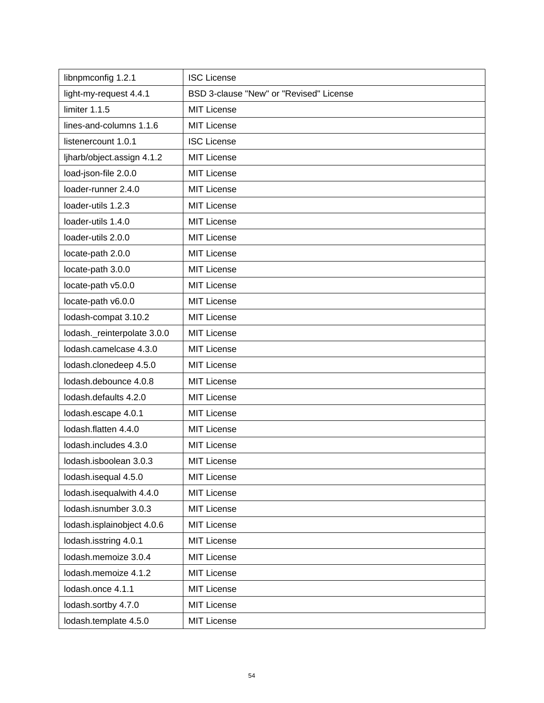| libnpmconfig 1.2.1          | <b>ISC License</b>                      |
|-----------------------------|-----------------------------------------|
| light-my-request 4.4.1      | BSD 3-clause "New" or "Revised" License |
| limiter 1.1.5               | <b>MIT License</b>                      |
| lines-and-columns 1.1.6     | <b>MIT License</b>                      |
| listenercount 1.0.1         | <b>ISC License</b>                      |
| ljharb/object.assign 4.1.2  | <b>MIT License</b>                      |
| load-json-file 2.0.0        | <b>MIT License</b>                      |
| loader-runner 2.4.0         | <b>MIT License</b>                      |
| loader-utils 1.2.3          | <b>MIT License</b>                      |
| loader-utils 1.4.0          | <b>MIT License</b>                      |
| loader-utils 2.0.0          | <b>MIT License</b>                      |
| locate-path 2.0.0           | <b>MIT License</b>                      |
| locate-path 3.0.0           | <b>MIT License</b>                      |
| locate-path v5.0.0          | <b>MIT License</b>                      |
| locate-path v6.0.0          | <b>MIT License</b>                      |
| lodash-compat 3.10.2        | <b>MIT License</b>                      |
| lodash._reinterpolate 3.0.0 | <b>MIT License</b>                      |
| lodash.camelcase 4.3.0      | <b>MIT License</b>                      |
| lodash.clonedeep 4.5.0      | <b>MIT License</b>                      |
| lodash.debounce 4.0.8       | <b>MIT License</b>                      |
| lodash.defaults 4.2.0       | <b>MIT License</b>                      |
| lodash.escape 4.0.1         | <b>MIT License</b>                      |
| lodash.flatten 4.4.0        | <b>MIT License</b>                      |
| lodash.includes 4.3.0       | <b>MIT License</b>                      |
| lodash.isboolean 3.0.3      | <b>MIT License</b>                      |
| lodash.isequal 4.5.0        | <b>MIT License</b>                      |
| lodash.isequalwith 4.4.0    | <b>MIT License</b>                      |
| lodash.isnumber 3.0.3       | <b>MIT License</b>                      |
| lodash.isplainobject 4.0.6  | <b>MIT License</b>                      |
| lodash.isstring 4.0.1       | <b>MIT License</b>                      |
| lodash.memoize 3.0.4        | <b>MIT License</b>                      |
| lodash.memoize 4.1.2        | <b>MIT License</b>                      |
| lodash.once 4.1.1           | <b>MIT License</b>                      |
| lodash.sortby 4.7.0         | <b>MIT License</b>                      |
| lodash.template 4.5.0       | <b>MIT License</b>                      |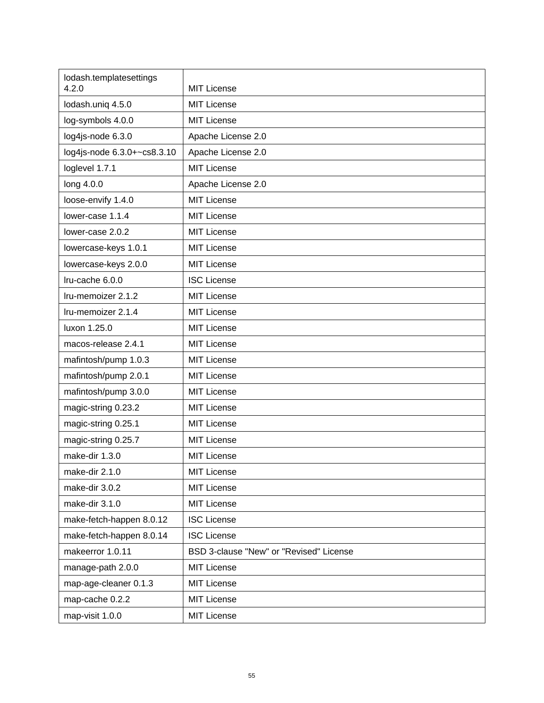| lodash.templatesettings<br>4.2.0 | <b>MIT License</b>                      |
|----------------------------------|-----------------------------------------|
| lodash.uniq 4.5.0                | <b>MIT License</b>                      |
| log-symbols 4.0.0                | <b>MIT License</b>                      |
| log4js-node 6.3.0                | Apache License 2.0                      |
| log4js-node 6.3.0+~cs8.3.10      | Apache License 2.0                      |
| loglevel 1.7.1                   | <b>MIT License</b>                      |
| long 4.0.0                       | Apache License 2.0                      |
| loose-envify 1.4.0               | <b>MIT License</b>                      |
| lower-case 1.1.4                 | <b>MIT License</b>                      |
| lower-case 2.0.2                 | <b>MIT License</b>                      |
| lowercase-keys 1.0.1             | <b>MIT License</b>                      |
| lowercase-keys 2.0.0             | <b>MIT License</b>                      |
| Iru-cache 6.0.0                  | <b>ISC License</b>                      |
| Iru-memoizer 2.1.2               | <b>MIT License</b>                      |
| Iru-memoizer 2.1.4               | <b>MIT License</b>                      |
| luxon 1.25.0                     | <b>MIT License</b>                      |
| macos-release 2.4.1              | <b>MIT License</b>                      |
| mafintosh/pump 1.0.3             | <b>MIT License</b>                      |
| mafintosh/pump 2.0.1             | <b>MIT License</b>                      |
| mafintosh/pump 3.0.0             | <b>MIT License</b>                      |
| magic-string 0.23.2              | <b>MIT License</b>                      |
| magic-string 0.25.1              | <b>MIT License</b>                      |
| magic-string 0.25.7              | <b>MIT License</b>                      |
| make-dir 1.3.0                   | <b>MIT License</b>                      |
| make-dir 2.1.0                   | MIT License                             |
| make-dir 3.0.2                   | <b>MIT License</b>                      |
| make-dir 3.1.0                   | MIT License                             |
| make-fetch-happen 8.0.12         | <b>ISC License</b>                      |
| make-fetch-happen 8.0.14         | <b>ISC License</b>                      |
| makeerror 1.0.11                 | BSD 3-clause "New" or "Revised" License |
| manage-path 2.0.0                | <b>MIT License</b>                      |
| map-age-cleaner 0.1.3            | <b>MIT License</b>                      |
| map-cache 0.2.2                  | <b>MIT License</b>                      |
| map-visit 1.0.0                  | <b>MIT License</b>                      |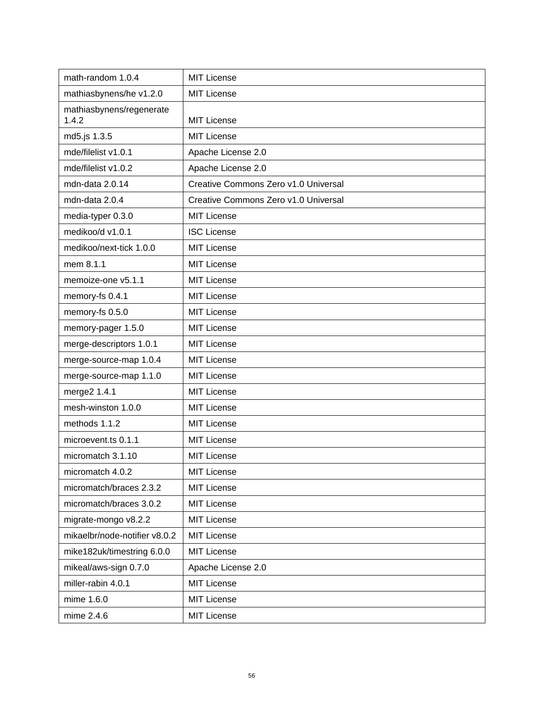| math-random 1.0.4                 | <b>MIT License</b>                   |
|-----------------------------------|--------------------------------------|
| mathiasbynens/he v1.2.0           | <b>MIT License</b>                   |
| mathiasbynens/regenerate<br>1.4.2 | <b>MIT License</b>                   |
| md5.js 1.3.5                      | <b>MIT License</b>                   |
| mde/filelist v1.0.1               | Apache License 2.0                   |
| mde/filelist v1.0.2               | Apache License 2.0                   |
| mdn-data 2.0.14                   | Creative Commons Zero v1.0 Universal |
| mdn-data 2.0.4                    | Creative Commons Zero v1.0 Universal |
| media-typer 0.3.0                 | <b>MIT License</b>                   |
| medikoo/d v1.0.1                  | <b>ISC License</b>                   |
| medikoo/next-tick 1.0.0           | <b>MIT License</b>                   |
| mem 8.1.1                         | <b>MIT License</b>                   |
| memoize-one v5.1.1                | <b>MIT License</b>                   |
| memory-fs 0.4.1                   | <b>MIT License</b>                   |
| memory-fs 0.5.0                   | <b>MIT License</b>                   |
| memory-pager 1.5.0                | <b>MIT License</b>                   |
| merge-descriptors 1.0.1           | <b>MIT License</b>                   |
| merge-source-map 1.0.4            | <b>MIT License</b>                   |
| merge-source-map 1.1.0            | <b>MIT License</b>                   |
| merge2 1.4.1                      | <b>MIT License</b>                   |
| mesh-winston 1.0.0                | <b>MIT License</b>                   |
| methods 1.1.2                     | <b>MIT License</b>                   |
| microevent.ts 0.1.1               | <b>MIT License</b>                   |
| micromatch 3.1.10                 | <b>MIT License</b>                   |
| micromatch 4.0.2                  | <b>MIT License</b>                   |
| micromatch/braces 2.3.2           | <b>MIT License</b>                   |
| micromatch/braces 3.0.2           | <b>MIT License</b>                   |
| migrate-mongo v8.2.2              | <b>MIT License</b>                   |
| mikaelbr/node-notifier v8.0.2     | <b>MIT License</b>                   |
| mike182uk/timestring 6.0.0        | <b>MIT License</b>                   |
| mikeal/aws-sign 0.7.0             | Apache License 2.0                   |
| miller-rabin 4.0.1                | <b>MIT License</b>                   |
| mime 1.6.0                        | <b>MIT License</b>                   |
| mime 2.4.6                        | <b>MIT License</b>                   |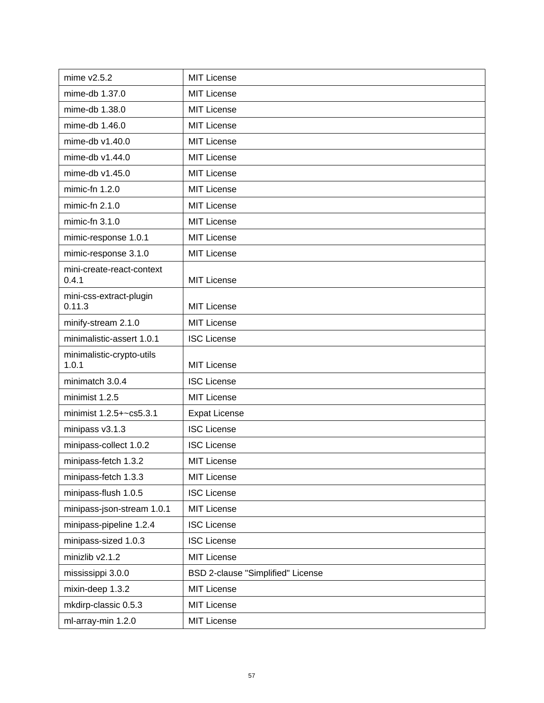| mime $v2.5.2$                      | <b>MIT License</b>                |
|------------------------------------|-----------------------------------|
| mime-db 1.37.0                     | <b>MIT License</b>                |
| mime-db 1.38.0                     | <b>MIT License</b>                |
| mime-db 1.46.0                     | <b>MIT License</b>                |
| mime-db v1.40.0                    | <b>MIT License</b>                |
| mime-db v1.44.0                    | <b>MIT License</b>                |
| mime-db v1.45.0                    | <b>MIT License</b>                |
| mimic-fn $1.2.0$                   | <b>MIT License</b>                |
| mimic-fn $2.1.0$                   | <b>MIT License</b>                |
| mimic-fn $3.1.0$                   | <b>MIT License</b>                |
| mimic-response 1.0.1               | <b>MIT License</b>                |
| mimic-response 3.1.0               | <b>MIT License</b>                |
| mini-create-react-context          |                                   |
| 0.4.1                              | <b>MIT License</b>                |
| mini-css-extract-plugin<br>0.11.3  | <b>MIT License</b>                |
| minify-stream 2.1.0                | <b>MIT License</b>                |
| minimalistic-assert 1.0.1          | <b>ISC License</b>                |
| minimalistic-crypto-utils<br>1.0.1 | <b>MIT License</b>                |
| minimatch 3.0.4                    | <b>ISC License</b>                |
| minimist 1.2.5                     | <b>MIT License</b>                |
| minimist 1.2.5+~cs5.3.1            | <b>Expat License</b>              |
| minipass v3.1.3                    | <b>ISC License</b>                |
| minipass-collect 1.0.2             | <b>ISC License</b>                |
| minipass-fetch 1.3.2               | <b>MIT License</b>                |
| minipass-fetch 1.3.3               | <b>MIT License</b>                |
| minipass-flush 1.0.5               | <b>ISC License</b>                |
| minipass-json-stream 1.0.1         | <b>MIT License</b>                |
| minipass-pipeline 1.2.4            | <b>ISC License</b>                |
| minipass-sized 1.0.3               | <b>ISC License</b>                |
| minizlib v2.1.2                    | <b>MIT License</b>                |
| mississippi 3.0.0                  | BSD 2-clause "Simplified" License |
| mixin-deep 1.3.2                   | <b>MIT License</b>                |
| mkdirp-classic 0.5.3               | <b>MIT License</b>                |
| ml-array-min 1.2.0                 | <b>MIT License</b>                |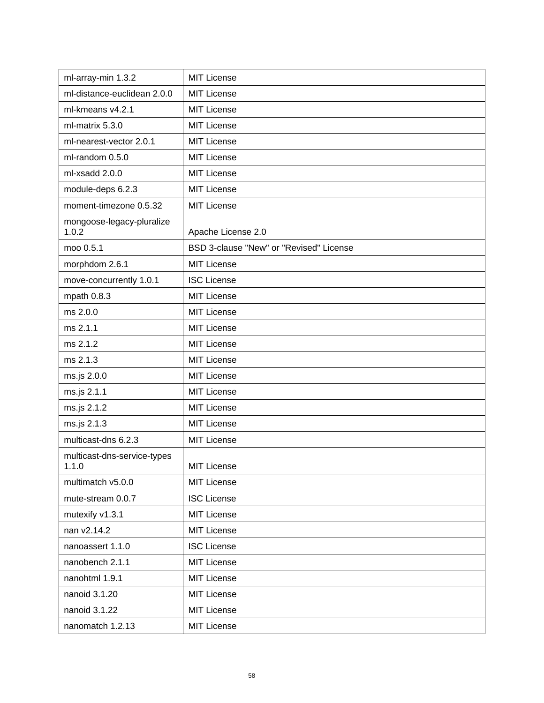| ml-array-min 1.3.2                   | <b>MIT License</b>                      |
|--------------------------------------|-----------------------------------------|
| ml-distance-euclidean 2.0.0          | <b>MIT License</b>                      |
| ml-kmeans v4.2.1                     | <b>MIT License</b>                      |
| ml-matrix 5.3.0                      | <b>MIT License</b>                      |
| ml-nearest-vector 2.0.1              | <b>MIT License</b>                      |
| ml-random 0.5.0                      | <b>MIT License</b>                      |
| ml-xsadd 2.0.0                       | <b>MIT License</b>                      |
| module-deps 6.2.3                    | <b>MIT License</b>                      |
| moment-timezone 0.5.32               | <b>MIT License</b>                      |
| mongoose-legacy-pluralize<br>1.0.2   | Apache License 2.0                      |
| moo 0.5.1                            | BSD 3-clause "New" or "Revised" License |
| morphdom 2.6.1                       | <b>MIT License</b>                      |
| move-concurrently 1.0.1              | <b>ISC License</b>                      |
| mpath 0.8.3                          | <b>MIT License</b>                      |
| ms 2.0.0                             | <b>MIT License</b>                      |
| ms 2.1.1                             | <b>MIT License</b>                      |
| ms 2.1.2                             | <b>MIT License</b>                      |
| ms 2.1.3                             | <b>MIT License</b>                      |
| ms.js 2.0.0                          | <b>MIT License</b>                      |
| ms.js 2.1.1                          | <b>MIT License</b>                      |
| ms.js 2.1.2                          | <b>MIT License</b>                      |
| ms.js 2.1.3                          | <b>MIT License</b>                      |
| multicast-dns 6.2.3                  | MIT License                             |
| multicast-dns-service-types<br>1.1.0 | <b>MIT License</b>                      |
| multimatch v5.0.0                    | <b>MIT License</b>                      |
| mute-stream 0.0.7                    | <b>ISC License</b>                      |
| mutexify v1.3.1                      | <b>MIT License</b>                      |
| nan v2.14.2                          | <b>MIT License</b>                      |
| nanoassert 1.1.0                     | <b>ISC License</b>                      |
| nanobench 2.1.1                      | <b>MIT License</b>                      |
| nanohtml 1.9.1                       | <b>MIT License</b>                      |
| nanoid 3.1.20                        | <b>MIT License</b>                      |
| nanoid 3.1.22                        | <b>MIT License</b>                      |
| nanomatch 1.2.13                     | <b>MIT License</b>                      |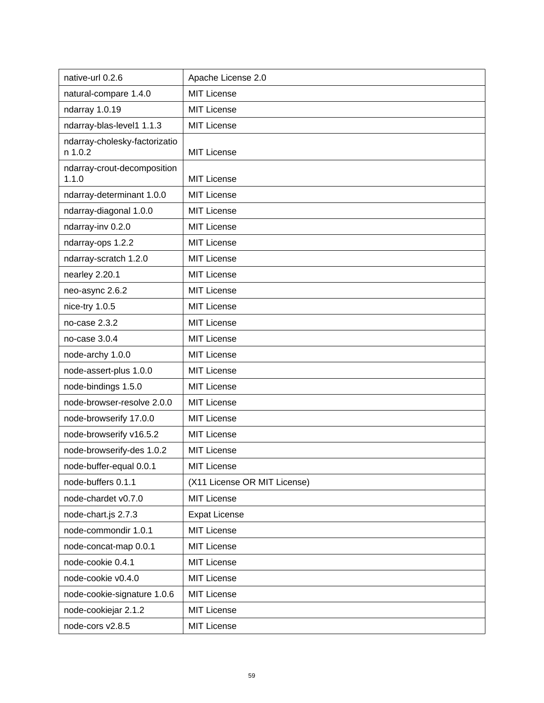| native-url 0.2.6                         | Apache License 2.0           |
|------------------------------------------|------------------------------|
| natural-compare 1.4.0                    | <b>MIT License</b>           |
| ndarray 1.0.19                           | <b>MIT License</b>           |
| ndarray-blas-level1 1.1.3                | <b>MIT License</b>           |
| ndarray-cholesky-factorizatio<br>n 1.0.2 | <b>MIT License</b>           |
| ndarray-crout-decomposition<br>1.1.0     | <b>MIT License</b>           |
| ndarray-determinant 1.0.0                | <b>MIT License</b>           |
| ndarray-diagonal 1.0.0                   | <b>MIT License</b>           |
| ndarray-inv 0.2.0                        | <b>MIT License</b>           |
| ndarray-ops 1.2.2                        | <b>MIT License</b>           |
| ndarray-scratch 1.2.0                    | <b>MIT License</b>           |
| nearley 2.20.1                           | <b>MIT License</b>           |
| neo-async 2.6.2                          | <b>MIT License</b>           |
| nice-try 1.0.5                           | <b>MIT License</b>           |
| no-case 2.3.2                            | <b>MIT License</b>           |
| no-case 3.0.4                            | <b>MIT License</b>           |
| node-archy 1.0.0                         | <b>MIT License</b>           |
| node-assert-plus 1.0.0                   | <b>MIT License</b>           |
| node-bindings 1.5.0                      | <b>MIT License</b>           |
| node-browser-resolve 2.0.0               | <b>MIT License</b>           |
| node-browserify 17.0.0                   | <b>MIT License</b>           |
| node-browserify v16.5.2                  | MIT License                  |
| node-browserify-des 1.0.2                | <b>MIT License</b>           |
| node-buffer-equal 0.0.1                  | <b>MIT License</b>           |
| node-buffers 0.1.1                       | (X11 License OR MIT License) |
| node-chardet v0.7.0                      | <b>MIT License</b>           |
| node-chart.js 2.7.3                      | <b>Expat License</b>         |
| node-commondir 1.0.1                     | <b>MIT License</b>           |
| node-concat-map 0.0.1                    | <b>MIT License</b>           |
| node-cookie 0.4.1                        | <b>MIT License</b>           |
| node-cookie v0.4.0                       | <b>MIT License</b>           |
| node-cookie-signature 1.0.6              | MIT License                  |
| node-cookiejar 2.1.2                     | <b>MIT License</b>           |
| node-cors v2.8.5                         | MIT License                  |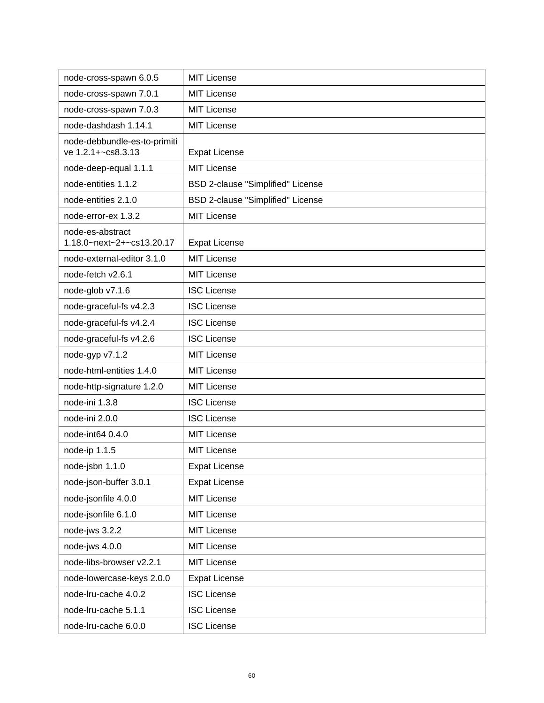| node-cross-spawn 6.0.5                             | <b>MIT License</b>                       |
|----------------------------------------------------|------------------------------------------|
| node-cross-spawn 7.0.1                             | <b>MIT License</b>                       |
| node-cross-spawn 7.0.3                             | <b>MIT License</b>                       |
| node-dashdash 1.14.1                               | <b>MIT License</b>                       |
| node-debbundle-es-to-primiti<br>ve 1.2.1+~cs8.3.13 | <b>Expat License</b>                     |
| node-deep-equal 1.1.1                              | <b>MIT License</b>                       |
| node-entities 1.1.2                                | <b>BSD 2-clause "Simplified" License</b> |
| node-entities 2.1.0                                | BSD 2-clause "Simplified" License        |
| node-error-ex 1.3.2                                | <b>MIT License</b>                       |
| node-es-abstract<br>1.18.0~next~2+~cs13.20.17      | <b>Expat License</b>                     |
| node-external-editor 3.1.0                         | <b>MIT License</b>                       |
| node-fetch v2.6.1                                  | <b>MIT License</b>                       |
| node-glob v7.1.6                                   | <b>ISC License</b>                       |
| node-graceful-fs v4.2.3                            | <b>ISC License</b>                       |
| node-graceful-fs v4.2.4                            | <b>ISC License</b>                       |
| node-graceful-fs v4.2.6                            | <b>ISC License</b>                       |
| node-gyp v7.1.2                                    | <b>MIT License</b>                       |
| node-html-entities 1.4.0                           | <b>MIT License</b>                       |
| node-http-signature 1.2.0                          | <b>MIT License</b>                       |
| node-ini 1.3.8                                     | <b>ISC License</b>                       |
| node-ini 2.0.0                                     | <b>ISC License</b>                       |
| node-int64 0.4.0                                   | <b>MIT License</b>                       |
| node-ip 1.1.5                                      | <b>MIT License</b>                       |
| node-jsbn 1.1.0                                    | <b>Expat License</b>                     |
| node-json-buffer 3.0.1                             | <b>Expat License</b>                     |
| node-jsonfile 4.0.0                                | <b>MIT License</b>                       |
| node-jsonfile 6.1.0                                | MIT License                              |
| node-jws 3.2.2                                     | MIT License                              |
| node-jws 4.0.0                                     | MIT License                              |
| node-libs-browser v2.2.1                           | MIT License                              |
| node-lowercase-keys 2.0.0                          | <b>Expat License</b>                     |
| node-Iru-cache 4.0.2                               | <b>ISC License</b>                       |
| node-Iru-cache 5.1.1                               | <b>ISC License</b>                       |
| node-Iru-cache 6.0.0                               | <b>ISC License</b>                       |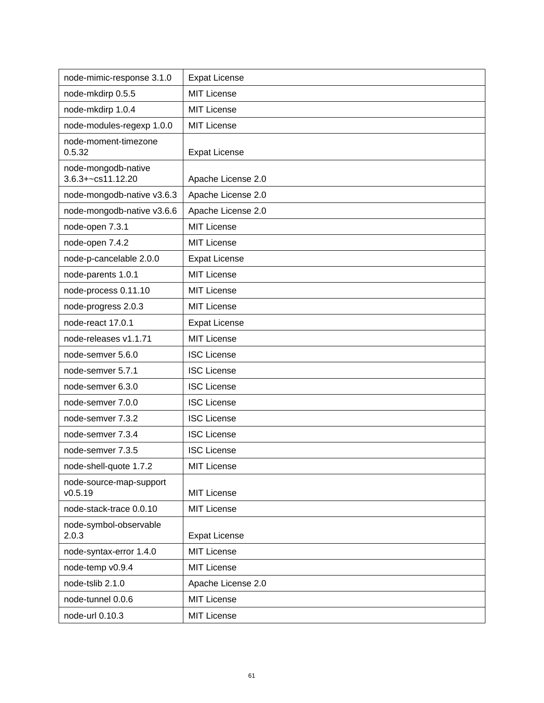| node-mimic-response 3.1.0                | <b>Expat License</b> |
|------------------------------------------|----------------------|
| node-mkdirp 0.5.5                        | <b>MIT License</b>   |
| node-mkdirp 1.0.4                        | <b>MIT License</b>   |
| node-modules-regexp 1.0.0                | <b>MIT License</b>   |
| node-moment-timezone<br>0.5.32           | <b>Expat License</b> |
| node-mongodb-native<br>3.6.3+~cs11.12.20 | Apache License 2.0   |
| node-mongodb-native v3.6.3               | Apache License 2.0   |
| node-mongodb-native v3.6.6               | Apache License 2.0   |
| node-open 7.3.1                          | <b>MIT License</b>   |
| node-open 7.4.2                          | <b>MIT License</b>   |
| node-p-cancelable 2.0.0                  | <b>Expat License</b> |
| node-parents 1.0.1                       | <b>MIT License</b>   |
| node-process 0.11.10                     | <b>MIT License</b>   |
| node-progress 2.0.3                      | MIT License          |
| node-react 17.0.1                        | <b>Expat License</b> |
| node-releases v1.1.71                    | <b>MIT License</b>   |
| node-semver 5.6.0                        | <b>ISC License</b>   |
| node-semver 5.7.1                        | <b>ISC License</b>   |
| node-semver 6.3.0                        | <b>ISC License</b>   |
| node-semver 7.0.0                        | <b>ISC License</b>   |
| node-semver 7.3.2                        | <b>ISC License</b>   |
| node-semver 7.3.4                        | <b>ISC License</b>   |
| node-semver 7.3.5                        | <b>ISC License</b>   |
| node-shell-quote 1.7.2                   | <b>MIT License</b>   |
| node-source-map-support<br>V0.5.19       | <b>MIT License</b>   |
| node-stack-trace 0.0.10                  | MIT License          |
| node-symbol-observable<br>2.0.3          | <b>Expat License</b> |
| node-syntax-error 1.4.0                  | <b>MIT License</b>   |
| node-temp v0.9.4                         | <b>MIT License</b>   |
| node-tslib 2.1.0                         | Apache License 2.0   |
| node-tunnel 0.0.6                        | <b>MIT License</b>   |
| node-url 0.10.3                          | <b>MIT License</b>   |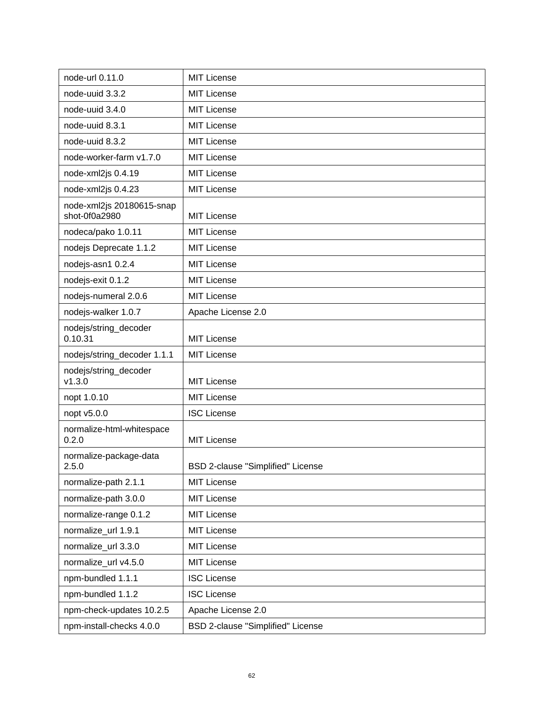| node-url 0.11.0                            | <b>MIT License</b>                |
|--------------------------------------------|-----------------------------------|
| node-uuid 3.3.2                            | <b>MIT License</b>                |
| node-uuid 3.4.0                            | <b>MIT License</b>                |
| node-uuid 8.3.1                            | <b>MIT License</b>                |
| node-uuid 8.3.2                            | <b>MIT License</b>                |
| node-worker-farm v1.7.0                    | <b>MIT License</b>                |
| node-xml2js 0.4.19                         | <b>MIT License</b>                |
| node-xml2js 0.4.23                         | <b>MIT License</b>                |
| node-xml2js 20180615-snap<br>shot-0f0a2980 | <b>MIT License</b>                |
| nodeca/pako 1.0.11                         | <b>MIT License</b>                |
| nodejs Deprecate 1.1.2                     | <b>MIT License</b>                |
| nodejs-asn1 0.2.4                          | <b>MIT License</b>                |
| nodejs-exit 0.1.2                          | <b>MIT License</b>                |
| nodejs-numeral 2.0.6                       | <b>MIT License</b>                |
| nodejs-walker 1.0.7                        | Apache License 2.0                |
| nodejs/string_decoder<br>0.10.31           | <b>MIT License</b>                |
| nodejs/string_decoder 1.1.1                | <b>MIT License</b>                |
| nodejs/string_decoder<br>v1.3.0            | <b>MIT License</b>                |
| nopt 1.0.10                                | <b>MIT License</b>                |
| nopt v5.0.0                                | <b>ISC License</b>                |
| normalize-html-whitespace<br>0.2.0         | <b>MIT License</b>                |
| normalize-package-data<br>2.5.0            | BSD 2-clause "Simplified" License |
| normalize-path 2.1.1                       | <b>MIT License</b>                |
| normalize-path 3.0.0                       | <b>MIT License</b>                |
| normalize-range 0.1.2                      | <b>MIT License</b>                |
| normalize url 1.9.1                        | <b>MIT License</b>                |
| normalize url 3.3.0                        | <b>MIT License</b>                |
| normalize_url v4.5.0                       | <b>MIT License</b>                |
| npm-bundled 1.1.1                          | <b>ISC License</b>                |
| npm-bundled 1.1.2                          | <b>ISC License</b>                |
| npm-check-updates 10.2.5                   | Apache License 2.0                |
| npm-install-checks 4.0.0                   | BSD 2-clause "Simplified" License |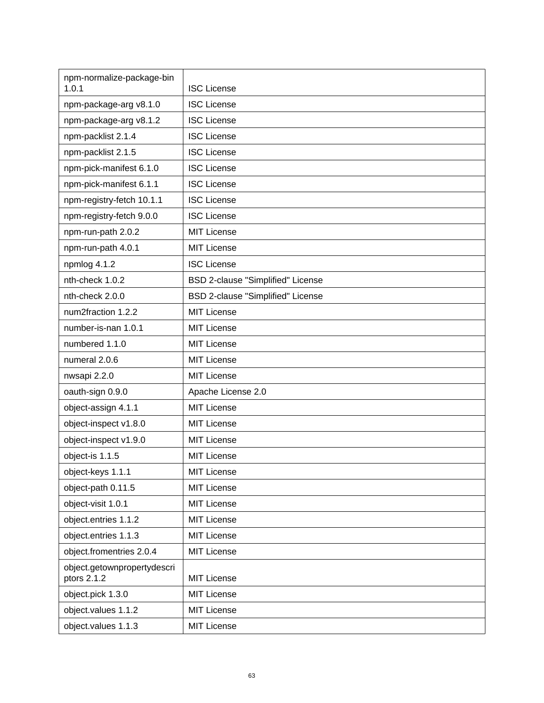| npm-normalize-package-bin<br>1.0.1         | <b>ISC License</b>                       |
|--------------------------------------------|------------------------------------------|
| npm-package-arg v8.1.0                     | <b>ISC License</b>                       |
| npm-package-arg v8.1.2                     | <b>ISC License</b>                       |
| npm-packlist 2.1.4                         | <b>ISC License</b>                       |
| npm-packlist 2.1.5                         | <b>ISC License</b>                       |
| npm-pick-manifest 6.1.0                    | <b>ISC License</b>                       |
| npm-pick-manifest 6.1.1                    | <b>ISC License</b>                       |
| npm-registry-fetch 10.1.1                  | <b>ISC License</b>                       |
| npm-registry-fetch 9.0.0                   | <b>ISC License</b>                       |
| npm-run-path 2.0.2                         | <b>MIT License</b>                       |
| npm-run-path 4.0.1                         | <b>MIT License</b>                       |
| npmlog 4.1.2                               | <b>ISC License</b>                       |
| nth-check 1.0.2                            | <b>BSD 2-clause "Simplified" License</b> |
| nth-check 2.0.0                            | BSD 2-clause "Simplified" License        |
| num2fraction 1.2.2                         | <b>MIT License</b>                       |
| number-is-nan 1.0.1                        | <b>MIT License</b>                       |
| numbered 1.1.0                             | <b>MIT License</b>                       |
| numeral 2.0.6                              | <b>MIT License</b>                       |
| nwsapi 2.2.0                               | <b>MIT License</b>                       |
| oauth-sign 0.9.0                           | Apache License 2.0                       |
| object-assign 4.1.1                        | <b>MIT License</b>                       |
| object-inspect v1.8.0                      | <b>MIT License</b>                       |
| object-inspect v1.9.0                      | <b>MIT License</b>                       |
| object-is 1.1.5                            | <b>MIT License</b>                       |
| object-keys 1.1.1                          | MIT License                              |
| object-path 0.11.5                         | MIT License                              |
| object-visit 1.0.1                         | MIT License                              |
| object.entries 1.1.2                       | <b>MIT License</b>                       |
| object.entries 1.1.3                       | MIT License                              |
| object.fromentries 2.0.4                   | MIT License                              |
| object.getownpropertydescri<br>ptors 2.1.2 | MIT License                              |
| object.pick 1.3.0                          | <b>MIT License</b>                       |
| object.values 1.1.2                        | <b>MIT License</b>                       |
| object.values 1.1.3                        | <b>MIT License</b>                       |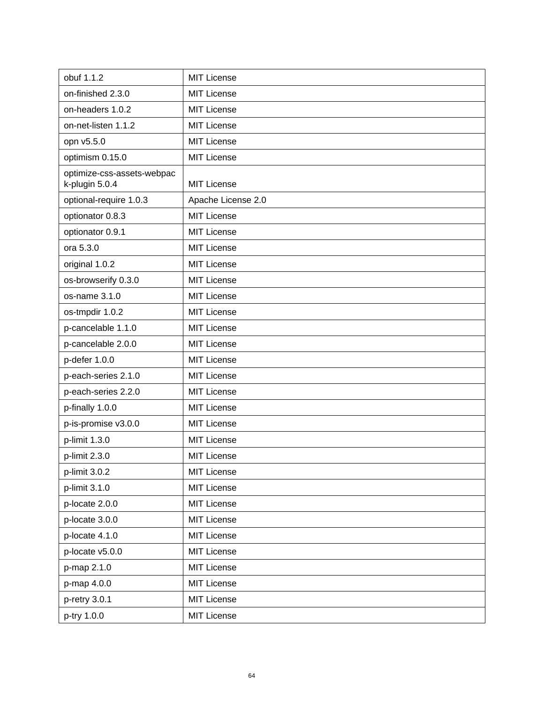| obuf 1.1.2                                   | <b>MIT License</b> |
|----------------------------------------------|--------------------|
| on-finished 2.3.0                            | <b>MIT License</b> |
| on-headers 1.0.2                             | <b>MIT License</b> |
| on-net-listen 1.1.2                          | <b>MIT License</b> |
| opn v5.5.0                                   | <b>MIT License</b> |
| optimism 0.15.0                              | <b>MIT License</b> |
| optimize-css-assets-webpac<br>k-plugin 5.0.4 | <b>MIT License</b> |
| optional-require 1.0.3                       | Apache License 2.0 |
| optionator 0.8.3                             | <b>MIT License</b> |
| optionator 0.9.1                             | <b>MIT License</b> |
| ora 5.3.0                                    | <b>MIT License</b> |
| original 1.0.2                               | <b>MIT License</b> |
| os-browserify 0.3.0                          | <b>MIT License</b> |
| os-name 3.1.0                                | <b>MIT License</b> |
| os-tmpdir 1.0.2                              | <b>MIT License</b> |
| p-cancelable 1.1.0                           | <b>MIT License</b> |
| p-cancelable 2.0.0                           | <b>MIT License</b> |
| p-defer 1.0.0                                | <b>MIT License</b> |
| p-each-series 2.1.0                          | <b>MIT License</b> |
| p-each-series 2.2.0                          | <b>MIT License</b> |
| p-finally 1.0.0                              | <b>MIT License</b> |
| p-is-promise v3.0.0                          | <b>MIT License</b> |
| p-limit 1.3.0                                | <b>MIT License</b> |
| p-limit 2.3.0                                | <b>MIT License</b> |
| p-limit 3.0.2                                | <b>MIT License</b> |
| p-limit 3.1.0                                | <b>MIT License</b> |
| p-locate 2.0.0                               | <b>MIT License</b> |
| p-locate 3.0.0                               | <b>MIT License</b> |
| p-locate 4.1.0                               | <b>MIT License</b> |
| p-locate v5.0.0                              | <b>MIT License</b> |
| p-map 2.1.0                                  | <b>MIT License</b> |
| p-map 4.0.0                                  | <b>MIT License</b> |
| p-retry 3.0.1                                | <b>MIT License</b> |
| p-try 1.0.0                                  | <b>MIT License</b> |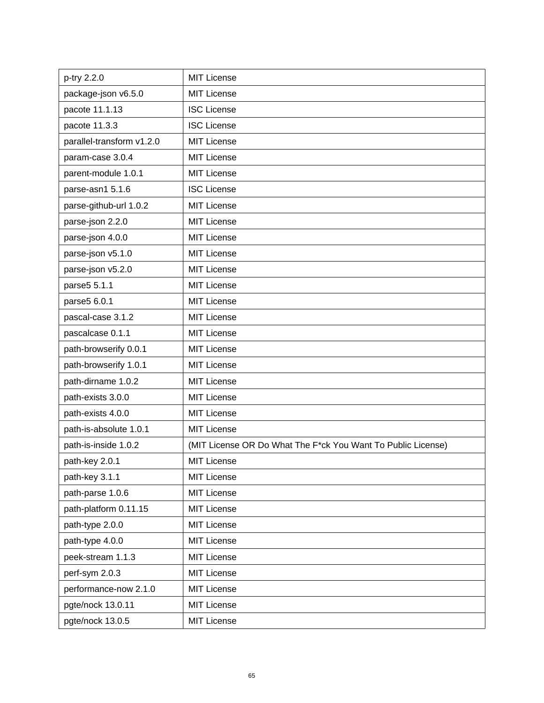| p-try 2.2.0               | <b>MIT License</b>                                           |
|---------------------------|--------------------------------------------------------------|
| package-json v6.5.0       | <b>MIT License</b>                                           |
| pacote 11.1.13            | <b>ISC License</b>                                           |
| pacote 11.3.3             | <b>ISC License</b>                                           |
| parallel-transform v1.2.0 | <b>MIT License</b>                                           |
| param-case 3.0.4          | <b>MIT License</b>                                           |
| parent-module 1.0.1       | <b>MIT License</b>                                           |
| parse-asn1 5.1.6          | <b>ISC License</b>                                           |
| parse-github-url 1.0.2    | <b>MIT License</b>                                           |
| parse-json 2.2.0          | <b>MIT License</b>                                           |
| parse-json 4.0.0          | <b>MIT License</b>                                           |
| parse-json v5.1.0         | <b>MIT License</b>                                           |
| parse-json v5.2.0         | <b>MIT License</b>                                           |
| parse5 5.1.1              | <b>MIT License</b>                                           |
| parse5 6.0.1              | <b>MIT License</b>                                           |
| pascal-case 3.1.2         | <b>MIT License</b>                                           |
| pascalcase 0.1.1          | <b>MIT License</b>                                           |
| path-browserify 0.0.1     | <b>MIT License</b>                                           |
| path-browserify 1.0.1     | <b>MIT License</b>                                           |
| path-dirname 1.0.2        | <b>MIT License</b>                                           |
| path-exists 3.0.0         | <b>MIT License</b>                                           |
| path-exists 4.0.0         | <b>MIT License</b>                                           |
| path-is-absolute 1.0.1    | <b>MIT License</b>                                           |
| path-is-inside 1.0.2      | (MIT License OR Do What The F*ck You Want To Public License) |
| path-key 2.0.1            | <b>MIT License</b>                                           |
| path-key 3.1.1            | <b>MIT License</b>                                           |
| path-parse 1.0.6          | <b>MIT License</b>                                           |
| path-platform 0.11.15     | <b>MIT License</b>                                           |
| path-type 2.0.0           | <b>MIT License</b>                                           |
| path-type 4.0.0           | <b>MIT License</b>                                           |
| peek-stream 1.1.3         | <b>MIT License</b>                                           |
| perf-sym 2.0.3            | <b>MIT License</b>                                           |
| performance-now 2.1.0     | <b>MIT License</b>                                           |
| pgte/nock 13.0.11         | <b>MIT License</b>                                           |
| pgte/nock 13.0.5          | <b>MIT License</b>                                           |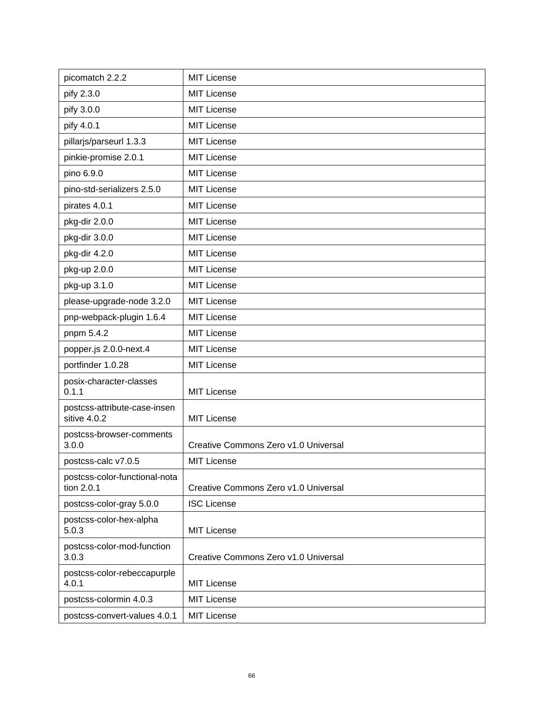| picomatch 2.2.2                              | <b>MIT License</b>                   |
|----------------------------------------------|--------------------------------------|
| pify 2.3.0                                   | MIT License                          |
| pify 3.0.0                                   | <b>MIT License</b>                   |
| pify 4.0.1                                   | <b>MIT License</b>                   |
| pillarjs/parseurl 1.3.3                      | <b>MIT License</b>                   |
| pinkie-promise 2.0.1                         | <b>MIT License</b>                   |
| pino 6.9.0                                   | <b>MIT License</b>                   |
| pino-std-serializers 2.5.0                   | <b>MIT License</b>                   |
| pirates 4.0.1                                | <b>MIT License</b>                   |
| pkg-dir 2.0.0                                | <b>MIT License</b>                   |
| pkg-dir 3.0.0                                | <b>MIT License</b>                   |
| pkg-dir 4.2.0                                | <b>MIT License</b>                   |
| pkg-up 2.0.0                                 | <b>MIT License</b>                   |
| pkg-up 3.1.0                                 | <b>MIT License</b>                   |
| please-upgrade-node 3.2.0                    | <b>MIT License</b>                   |
| pnp-webpack-plugin 1.6.4                     | <b>MIT License</b>                   |
| pnpm 5.4.2                                   | MIT License                          |
| popper.js 2.0.0-next.4                       | <b>MIT License</b>                   |
| portfinder 1.0.28                            | <b>MIT License</b>                   |
| posix-character-classes<br>0.1.1             | <b>MIT License</b>                   |
| postcss-attribute-case-insen<br>sitive 4.0.2 | <b>MIT License</b>                   |
| postcss-browser-comments<br>3.0.0            | Creative Commons Zero v1.0 Universal |
| postcss-calc v7.0.5                          | <b>MIT License</b>                   |
| postcss-color-functional-nota<br>tion 2.0.1  | Creative Commons Zero v1.0 Universal |
| postcss-color-gray 5.0.0                     | <b>ISC License</b>                   |
| postcss-color-hex-alpha<br>5.0.3             | <b>MIT License</b>                   |
| postcss-color-mod-function<br>3.0.3          | Creative Commons Zero v1.0 Universal |
| postcss-color-rebeccapurple<br>4.0.1         | <b>MIT License</b>                   |
| postcss-colormin 4.0.3                       | <b>MIT License</b>                   |
| postcss-convert-values 4.0.1                 | <b>MIT License</b>                   |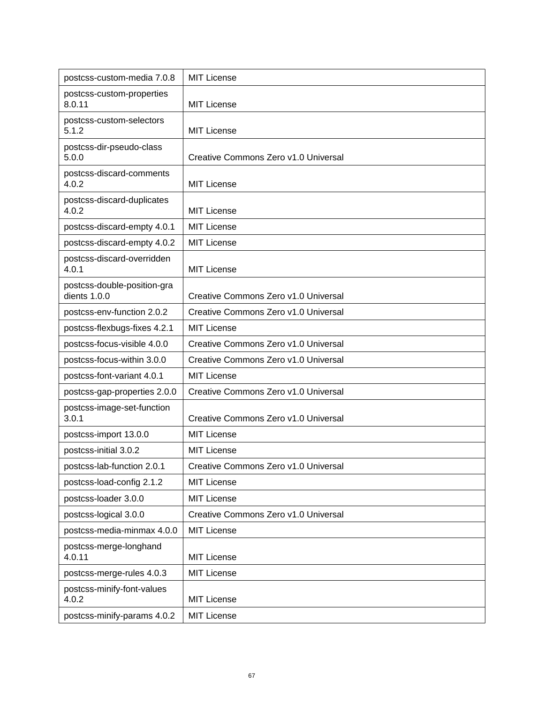| postcss-custom-media 7.0.8                  | <b>MIT License</b>                   |
|---------------------------------------------|--------------------------------------|
| postcss-custom-properties<br>8.0.11         | <b>MIT License</b>                   |
| postcss-custom-selectors<br>5.1.2           | <b>MIT License</b>                   |
| postcss-dir-pseudo-class<br>5.0.0           | Creative Commons Zero v1.0 Universal |
| postcss-discard-comments<br>4.0.2           | <b>MIT License</b>                   |
| postcss-discard-duplicates<br>4.0.2         | <b>MIT License</b>                   |
| postcss-discard-empty 4.0.1                 | <b>MIT License</b>                   |
| postcss-discard-empty 4.0.2                 | <b>MIT License</b>                   |
| postcss-discard-overridden<br>4.0.1         | <b>MIT License</b>                   |
| postcss-double-position-gra<br>dients 1.0.0 | Creative Commons Zero v1.0 Universal |
| postcss-env-function 2.0.2                  | Creative Commons Zero v1.0 Universal |
| postcss-flexbugs-fixes 4.2.1                | <b>MIT License</b>                   |
| postcss-focus-visible 4.0.0                 | Creative Commons Zero v1.0 Universal |
| postcss-focus-within 3.0.0                  | Creative Commons Zero v1.0 Universal |
| postcss-font-variant 4.0.1                  | <b>MIT License</b>                   |
| postcss-gap-properties 2.0.0                | Creative Commons Zero v1.0 Universal |
| postcss-image-set-function<br>3.0.1         | Creative Commons Zero v1.0 Universal |
| postcss-import 13.0.0                       | <b>MIT License</b>                   |
| postcss-initial 3.0.2                       | <b>MIT License</b>                   |
| postcss-lab-function 2.0.1                  | Creative Commons Zero v1.0 Universal |
| postcss-load-config 2.1.2                   | <b>MIT License</b>                   |
| postcss-loader 3.0.0                        | <b>MIT License</b>                   |
| postcss-logical 3.0.0                       | Creative Commons Zero v1.0 Universal |
| postcss-media-minmax 4.0.0                  | <b>MIT License</b>                   |
| postcss-merge-longhand<br>4.0.11            | <b>MIT License</b>                   |
| postcss-merge-rules 4.0.3                   | <b>MIT License</b>                   |
| postcss-minify-font-values<br>4.0.2         | <b>MIT License</b>                   |
| postcss-minify-params 4.0.2                 | <b>MIT License</b>                   |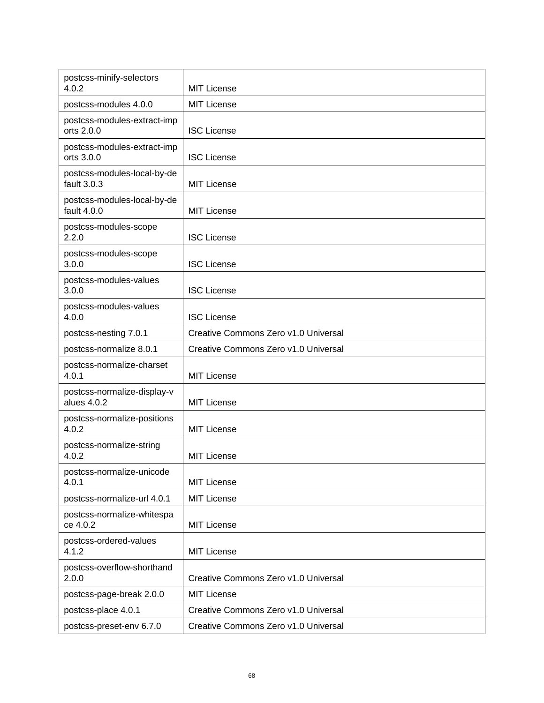| postcss-minify-selectors<br>4.0.2          | <b>MIT License</b>                   |
|--------------------------------------------|--------------------------------------|
| postcss-modules 4.0.0                      | <b>MIT License</b>                   |
| postcss-modules-extract-imp<br>orts 2.0.0  | <b>ISC License</b>                   |
| postcss-modules-extract-imp<br>orts 3.0.0  | <b>ISC License</b>                   |
| postcss-modules-local-by-de<br>fault 3.0.3 | <b>MIT License</b>                   |
| postcss-modules-local-by-de<br>fault 4.0.0 | <b>MIT License</b>                   |
| postcss-modules-scope<br>2.2.0             | <b>ISC License</b>                   |
| postcss-modules-scope<br>3.0.0             | <b>ISC License</b>                   |
| postcss-modules-values<br>3.0.0            | <b>ISC License</b>                   |
| postcss-modules-values<br>4.0.0            | <b>ISC License</b>                   |
| postcss-nesting 7.0.1                      | Creative Commons Zero v1.0 Universal |
| postcss-normalize 8.0.1                    | Creative Commons Zero v1.0 Universal |
| postcss-normalize-charset<br>4.0.1         | <b>MIT License</b>                   |
| postcss-normalize-display-v<br>alues 4.0.2 | <b>MIT License</b>                   |
| postcss-normalize-positions<br>4.0.2       | <b>MIT License</b>                   |
| postcss-normalize-string<br>4.0.2          | <b>MIT License</b>                   |
| postcss-normalize-unicode<br>4.0.1         | <b>MIT License</b>                   |
| postcss-normalize-url 4.0.1                | <b>MIT License</b>                   |
| postcss-normalize-whitespa<br>ce 4.0.2     | <b>MIT License</b>                   |
| postcss-ordered-values<br>4.1.2            | <b>MIT License</b>                   |
| postcss-overflow-shorthand<br>2.0.0        | Creative Commons Zero v1.0 Universal |
| postcss-page-break 2.0.0                   | <b>MIT License</b>                   |
| postcss-place 4.0.1                        | Creative Commons Zero v1.0 Universal |
| postcss-preset-env 6.7.0                   | Creative Commons Zero v1.0 Universal |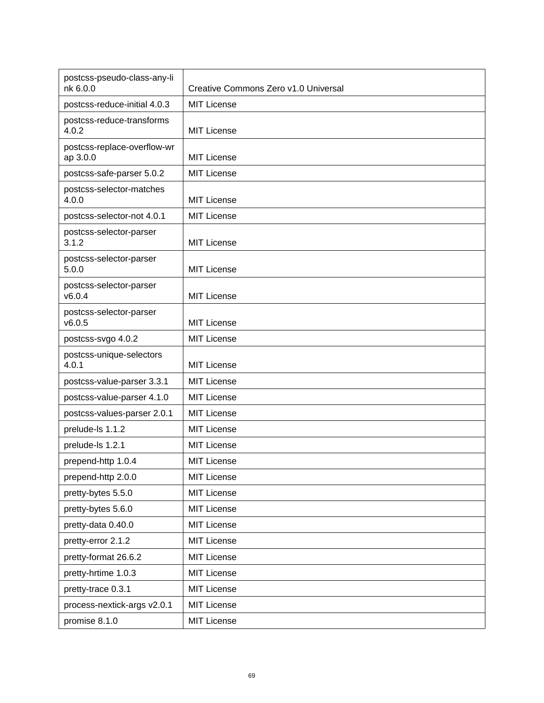| postcss-pseudo-class-any-li<br>nk 6.0.0 | Creative Commons Zero v1.0 Universal |
|-----------------------------------------|--------------------------------------|
| postcss-reduce-initial 4.0.3            | <b>MIT License</b>                   |
| postcss-reduce-transforms<br>4.0.2      | <b>MIT License</b>                   |
| postcss-replace-overflow-wr<br>ap 3.0.0 | <b>MIT License</b>                   |
| postcss-safe-parser 5.0.2               | <b>MIT License</b>                   |
| postcss-selector-matches<br>4.0.0       | <b>MIT License</b>                   |
| postcss-selector-not 4.0.1              | <b>MIT License</b>                   |
| postcss-selector-parser<br>3.1.2        | <b>MIT License</b>                   |
| postcss-selector-parser<br>5.0.0        | <b>MIT License</b>                   |
| postcss-selector-parser<br>v6.0.4       | <b>MIT License</b>                   |
| postcss-selector-parser<br>v6.0.5       | <b>MIT License</b>                   |
| postcss-svgo 4.0.2                      | <b>MIT License</b>                   |
| postcss-unique-selectors<br>4.0.1       | <b>MIT License</b>                   |
| postcss-value-parser 3.3.1              | <b>MIT License</b>                   |
| postcss-value-parser 4.1.0              | <b>MIT License</b>                   |
| postcss-values-parser 2.0.1             | <b>MIT License</b>                   |
| prelude-ls 1.1.2                        | <b>MIT License</b>                   |
| prelude-ls 1.2.1                        | <b>MIT License</b>                   |
| prepend-http 1.0.4                      | <b>MIT License</b>                   |
| prepend-http 2.0.0                      | <b>MIT License</b>                   |
| pretty-bytes 5.5.0                      | <b>MIT License</b>                   |
| pretty-bytes 5.6.0                      | <b>MIT License</b>                   |
| pretty-data 0.40.0                      | <b>MIT License</b>                   |
| pretty-error 2.1.2                      | <b>MIT License</b>                   |
| pretty-format 26.6.2                    | <b>MIT License</b>                   |
| pretty-hrtime 1.0.3                     | <b>MIT License</b>                   |
| pretty-trace 0.3.1                      | <b>MIT License</b>                   |
| process-nextick-args v2.0.1             | <b>MIT License</b>                   |
| promise 8.1.0                           | <b>MIT License</b>                   |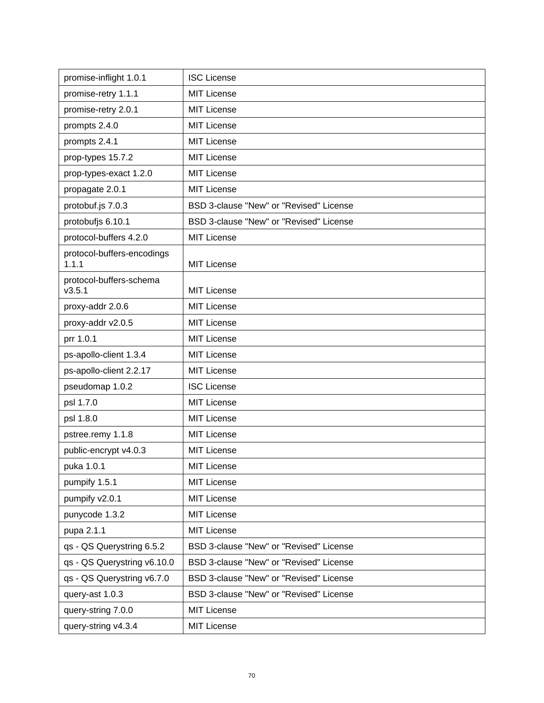| promise-inflight 1.0.1              | <b>ISC License</b>                      |
|-------------------------------------|-----------------------------------------|
| promise-retry 1.1.1                 | <b>MIT License</b>                      |
| promise-retry 2.0.1                 | <b>MIT License</b>                      |
| prompts 2.4.0                       | <b>MIT License</b>                      |
| prompts 2.4.1                       | <b>MIT License</b>                      |
| prop-types 15.7.2                   | <b>MIT License</b>                      |
| prop-types-exact 1.2.0              | <b>MIT License</b>                      |
| propagate 2.0.1                     | <b>MIT License</b>                      |
| protobuf.js 7.0.3                   | BSD 3-clause "New" or "Revised" License |
| protobufjs 6.10.1                   | BSD 3-clause "New" or "Revised" License |
| protocol-buffers 4.2.0              | <b>MIT License</b>                      |
| protocol-buffers-encodings<br>1.1.1 | <b>MIT License</b>                      |
| protocol-buffers-schema<br>v3.5.1   | <b>MIT License</b>                      |
| proxy-addr 2.0.6                    | <b>MIT License</b>                      |
| proxy-addr v2.0.5                   | <b>MIT License</b>                      |
| prr 1.0.1                           | <b>MIT License</b>                      |
| ps-apollo-client 1.3.4              | <b>MIT License</b>                      |
| ps-apollo-client 2.2.17             | <b>MIT License</b>                      |
| pseudomap 1.0.2                     | <b>ISC License</b>                      |
| psl 1.7.0                           | <b>MIT License</b>                      |
| psl 1.8.0                           | <b>MIT License</b>                      |
| pstree.remy 1.1.8                   | <b>MIT License</b>                      |
| public-encrypt v4.0.3               | <b>MIT License</b>                      |
| puka 1.0.1                          | <b>MIT License</b>                      |
| pumpify 1.5.1                       | <b>MIT License</b>                      |
| pumpify v2.0.1                      | <b>MIT License</b>                      |
| punycode 1.3.2                      | <b>MIT License</b>                      |
| pupa 2.1.1                          | <b>MIT License</b>                      |
| qs - QS Querystring 6.5.2           | BSD 3-clause "New" or "Revised" License |
| qs - QS Querystring v6.10.0         | BSD 3-clause "New" or "Revised" License |
| qs - QS Querystring v6.7.0          | BSD 3-clause "New" or "Revised" License |
| query-ast 1.0.3                     | BSD 3-clause "New" or "Revised" License |
| query-string 7.0.0                  | <b>MIT License</b>                      |
| query-string v4.3.4                 | <b>MIT License</b>                      |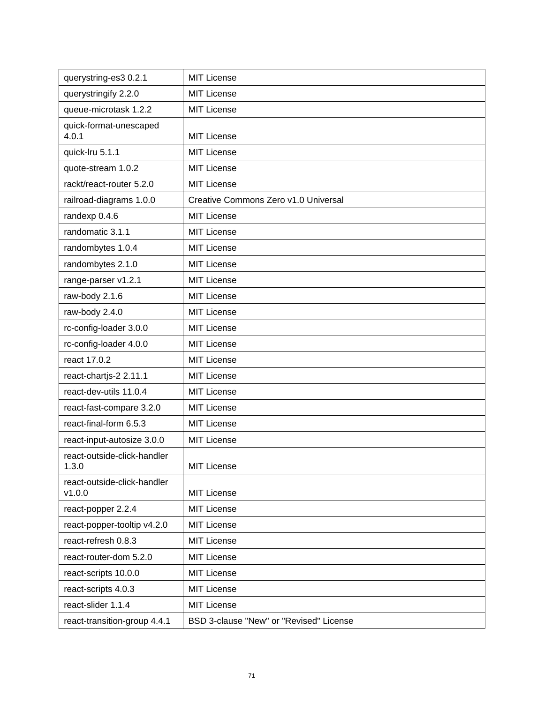| querystring-es3 0.2.1                 | <b>MIT License</b>                      |
|---------------------------------------|-----------------------------------------|
| querystringify 2.2.0                  | <b>MIT License</b>                      |
| queue-microtask 1.2.2                 | <b>MIT License</b>                      |
| quick-format-unescaped<br>4.0.1       | <b>MIT License</b>                      |
| quick-Iru 5.1.1                       | <b>MIT License</b>                      |
| quote-stream 1.0.2                    | <b>MIT License</b>                      |
| rackt/react-router 5.2.0              | <b>MIT License</b>                      |
| railroad-diagrams 1.0.0               | Creative Commons Zero v1.0 Universal    |
| randexp 0.4.6                         | <b>MIT License</b>                      |
| randomatic 3.1.1                      | <b>MIT License</b>                      |
| randombytes 1.0.4                     | <b>MIT License</b>                      |
| randombytes 2.1.0                     | <b>MIT License</b>                      |
| range-parser v1.2.1                   | <b>MIT License</b>                      |
| raw-body 2.1.6                        | <b>MIT License</b>                      |
| raw-body 2.4.0                        | <b>MIT License</b>                      |
| rc-config-loader 3.0.0                | <b>MIT License</b>                      |
| rc-config-loader 4.0.0                | <b>MIT License</b>                      |
| react 17.0.2                          | <b>MIT License</b>                      |
| react-chartjs-2 2.11.1                | <b>MIT License</b>                      |
| react-dev-utils 11.0.4                | <b>MIT License</b>                      |
| react-fast-compare 3.2.0              | <b>MIT License</b>                      |
| react-final-form 6.5.3                | <b>MIT License</b>                      |
| react-input-autosize 3.0.0            | <b>MIT License</b>                      |
| react-outside-click-handler<br>1.3.0  | <b>MIT License</b>                      |
| react-outside-click-handler<br>v1.0.0 | <b>MIT License</b>                      |
| react-popper 2.2.4                    | <b>MIT License</b>                      |
| react-popper-tooltip v4.2.0           | <b>MIT License</b>                      |
| react-refresh 0.8.3                   | <b>MIT License</b>                      |
| react-router-dom 5.2.0                | <b>MIT License</b>                      |
| react-scripts 10.0.0                  | <b>MIT License</b>                      |
| react-scripts 4.0.3                   | <b>MIT License</b>                      |
| react-slider 1.1.4                    | <b>MIT License</b>                      |
| react-transition-group 4.4.1          | BSD 3-clause "New" or "Revised" License |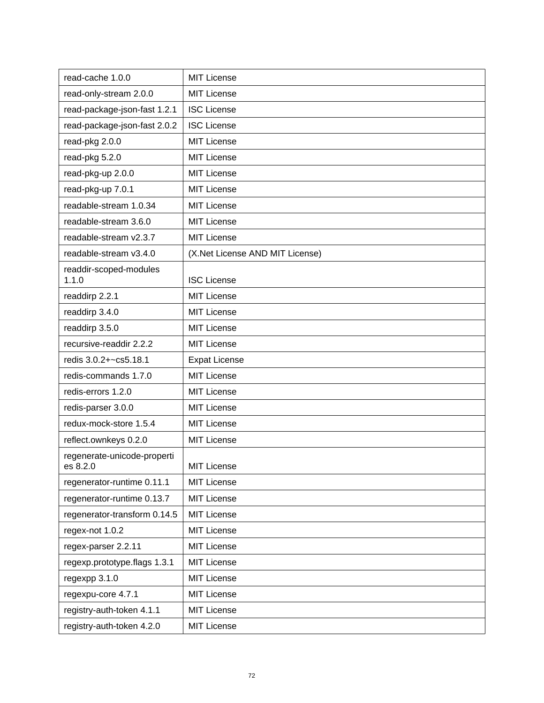| read-cache 1.0.0                        | <b>MIT License</b>              |
|-----------------------------------------|---------------------------------|
| read-only-stream 2.0.0                  | <b>MIT License</b>              |
| read-package-json-fast 1.2.1            | <b>ISC License</b>              |
| read-package-json-fast 2.0.2            | <b>ISC License</b>              |
| read-pkg 2.0.0                          | <b>MIT License</b>              |
| read-pkg 5.2.0                          | <b>MIT License</b>              |
| read-pkg-up 2.0.0                       | <b>MIT License</b>              |
| read-pkg-up 7.0.1                       | <b>MIT License</b>              |
| readable-stream 1.0.34                  | <b>MIT License</b>              |
| readable-stream 3.6.0                   | <b>MIT License</b>              |
| readable-stream v2.3.7                  | <b>MIT License</b>              |
| readable-stream v3.4.0                  | (X.Net License AND MIT License) |
| readdir-scoped-modules<br>1.1.0         | <b>ISC License</b>              |
| readdirp 2.2.1                          | MIT License                     |
| readdirp 3.4.0                          | <b>MIT License</b>              |
| readdirp 3.5.0                          | <b>MIT License</b>              |
| recursive-readdir 2.2.2                 | <b>MIT License</b>              |
| redis 3.0.2+~cs5.18.1                   | <b>Expat License</b>            |
| redis-commands 1.7.0                    | <b>MIT License</b>              |
| redis-errors 1.2.0                      | <b>MIT License</b>              |
| redis-parser 3.0.0                      | <b>MIT License</b>              |
| redux-mock-store 1.5.4                  | <b>MIT License</b>              |
| reflect.ownkeys 0.2.0                   | <b>MIT License</b>              |
| regenerate-unicode-properti<br>es 8.2.0 | <b>MIT License</b>              |
| regenerator-runtime 0.11.1              | MIT License                     |
| regenerator-runtime 0.13.7              | <b>MIT License</b>              |
| regenerator-transform 0.14.5            | MIT License                     |
| regex-not 1.0.2                         | <b>MIT License</b>              |
| regex-parser 2.2.11                     | MIT License                     |
| regexp.prototype.flags 1.3.1            | <b>MIT License</b>              |
| regexpp 3.1.0                           | <b>MIT License</b>              |
| regexpu-core 4.7.1                      | <b>MIT License</b>              |
| registry-auth-token 4.1.1               | <b>MIT License</b>              |
| registry-auth-token 4.2.0               | <b>MIT License</b>              |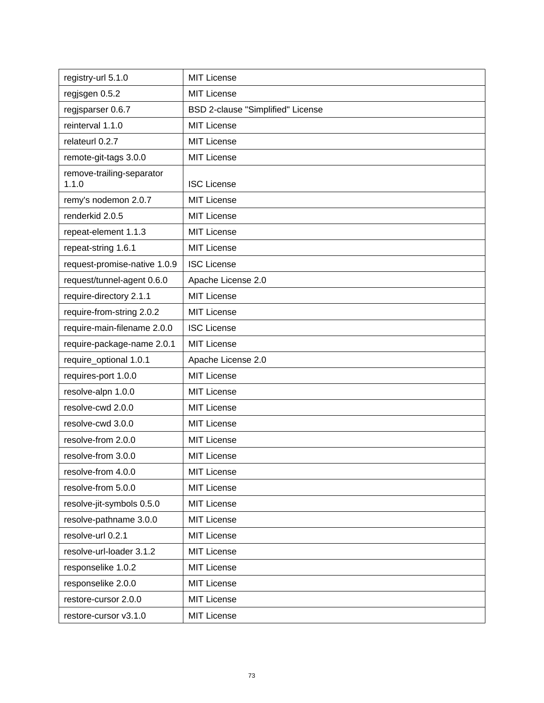| registry-url 5.1.0                 | <b>MIT License</b>                |
|------------------------------------|-----------------------------------|
| regjsgen 0.5.2                     | <b>MIT License</b>                |
| regisparser 0.6.7                  | BSD 2-clause "Simplified" License |
| reinterval 1.1.0                   | <b>MIT License</b>                |
| relateurl 0.2.7                    | <b>MIT License</b>                |
| remote-git-tags 3.0.0              | <b>MIT License</b>                |
| remove-trailing-separator<br>1.1.0 | <b>ISC License</b>                |
| remy's nodemon 2.0.7               | <b>MIT License</b>                |
| renderkid 2.0.5                    | <b>MIT License</b>                |
| repeat-element 1.1.3               | <b>MIT License</b>                |
| repeat-string 1.6.1                | <b>MIT License</b>                |
| request-promise-native 1.0.9       | <b>ISC License</b>                |
| request/tunnel-agent 0.6.0         | Apache License 2.0                |
| require-directory 2.1.1            | <b>MIT License</b>                |
| require-from-string 2.0.2          | <b>MIT License</b>                |
| require-main-filename 2.0.0        | <b>ISC License</b>                |
| require-package-name 2.0.1         | <b>MIT License</b>                |
| require_optional 1.0.1             | Apache License 2.0                |
| requires-port 1.0.0                | <b>MIT License</b>                |
| resolve-alpn 1.0.0                 | <b>MIT License</b>                |
| resolve-cwd 2.0.0                  | <b>MIT License</b>                |
| resolve-cwd 3.0.0                  | <b>MIT License</b>                |
| resolve-from 2.0.0                 | <b>MIT License</b>                |
| resolve-from 3.0.0                 | <b>MIT License</b>                |
| resolve-from 4.0.0                 | MIT License                       |
| resolve-from 5.0.0                 | <b>MIT License</b>                |
| resolve-jit-symbols 0.5.0          | <b>MIT License</b>                |
| resolve-pathname 3.0.0             | <b>MIT License</b>                |
| resolve-url 0.2.1                  | <b>MIT License</b>                |
| resolve-url-loader 3.1.2           | <b>MIT License</b>                |
| responselike 1.0.2                 | <b>MIT License</b>                |
| responselike 2.0.0                 | <b>MIT License</b>                |
| restore-cursor 2.0.0               | <b>MIT License</b>                |
| restore-cursor v3.1.0              | <b>MIT License</b>                |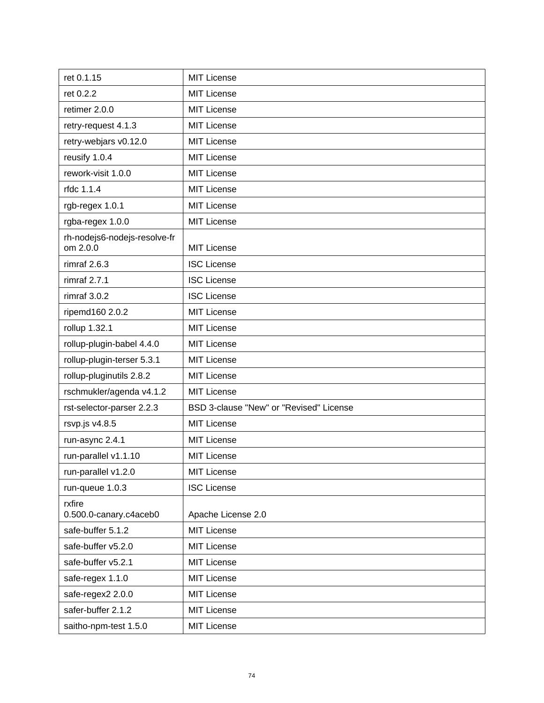| ret 0.1.15                               | <b>MIT License</b>                      |
|------------------------------------------|-----------------------------------------|
| ret 0.2.2                                | <b>MIT License</b>                      |
| retimer 2.0.0                            | <b>MIT License</b>                      |
| retry-request 4.1.3                      | <b>MIT License</b>                      |
| retry-webjars v0.12.0                    | <b>MIT License</b>                      |
| reusify 1.0.4                            | <b>MIT License</b>                      |
| rework-visit 1.0.0                       | <b>MIT License</b>                      |
| rfdc 1.1.4                               | <b>MIT License</b>                      |
| rgb-regex 1.0.1                          | <b>MIT License</b>                      |
| rgba-regex 1.0.0                         | <b>MIT License</b>                      |
| rh-nodejs6-nodejs-resolve-fr<br>om 2.0.0 | <b>MIT License</b>                      |
| rimraf $2.6.3$                           | <b>ISC License</b>                      |
| rimraf 2.7.1                             | <b>ISC License</b>                      |
| rimraf $3.0.2$                           | <b>ISC License</b>                      |
| ripemd160 2.0.2                          | <b>MIT License</b>                      |
| rollup 1.32.1                            | <b>MIT License</b>                      |
| rollup-plugin-babel 4.4.0                | <b>MIT License</b>                      |
| rollup-plugin-terser 5.3.1               | <b>MIT License</b>                      |
| rollup-pluginutils 2.8.2                 | <b>MIT License</b>                      |
| rschmukler/agenda v4.1.2                 | <b>MIT License</b>                      |
| rst-selector-parser 2.2.3                | BSD 3-clause "New" or "Revised" License |
| rsvp.js v4.8.5                           | <b>MIT License</b>                      |
| run-async 2.4.1                          | <b>MIT License</b>                      |
| run-parallel v1.1.10                     | <b>MIT License</b>                      |
| run-parallel v1.2.0                      | <b>MIT License</b>                      |
| run-queue 1.0.3                          | <b>ISC License</b>                      |
| rxfire<br>0.500.0-canary.c4aceb0         | Apache License 2.0                      |
| safe-buffer 5.1.2                        | <b>MIT License</b>                      |
| safe-buffer v5.2.0                       | <b>MIT License</b>                      |
| safe-buffer v5.2.1                       | <b>MIT License</b>                      |
| safe-regex 1.1.0                         | <b>MIT License</b>                      |
| safe-regex2 2.0.0                        | <b>MIT License</b>                      |
| safer-buffer 2.1.2                       | <b>MIT License</b>                      |
| saitho-npm-test 1.5.0                    | <b>MIT License</b>                      |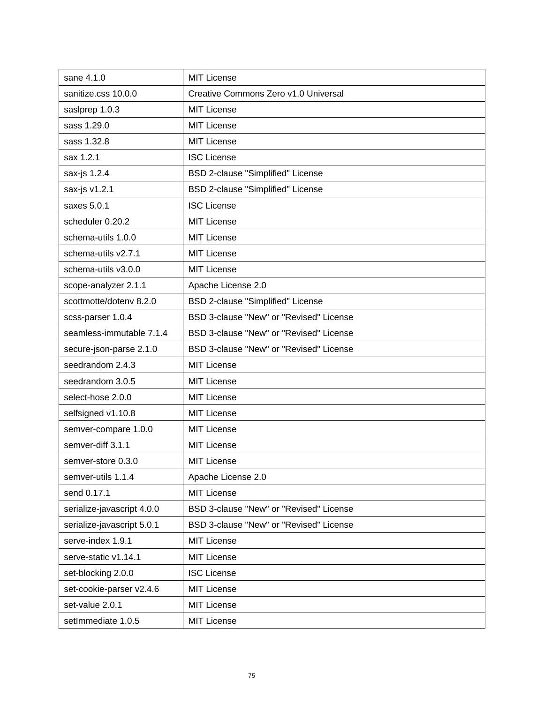| sane 4.1.0                 | <b>MIT License</b>                      |
|----------------------------|-----------------------------------------|
| sanitize.css 10.0.0        | Creative Commons Zero v1.0 Universal    |
| saslprep 1.0.3             | <b>MIT License</b>                      |
| sass 1.29.0                | <b>MIT License</b>                      |
| sass 1.32.8                | <b>MIT License</b>                      |
| sax 1.2.1                  | <b>ISC License</b>                      |
| sax-js 1.2.4               | BSD 2-clause "Simplified" License       |
| sax-js v1.2.1              | BSD 2-clause "Simplified" License       |
| saxes 5.0.1                | <b>ISC License</b>                      |
| scheduler 0.20.2           | <b>MIT License</b>                      |
| schema-utils 1.0.0         | <b>MIT License</b>                      |
| schema-utils v2.7.1        | <b>MIT License</b>                      |
| schema-utils v3.0.0        | <b>MIT License</b>                      |
| scope-analyzer 2.1.1       | Apache License 2.0                      |
| scottmotte/dotenv 8.2.0    | BSD 2-clause "Simplified" License       |
| scss-parser 1.0.4          | BSD 3-clause "New" or "Revised" License |
| seamless-immutable 7.1.4   | BSD 3-clause "New" or "Revised" License |
| secure-json-parse 2.1.0    | BSD 3-clause "New" or "Revised" License |
| seedrandom 2.4.3           | <b>MIT License</b>                      |
| seedrandom 3.0.5           | <b>MIT License</b>                      |
| select-hose 2.0.0          | <b>MIT License</b>                      |
| selfsigned v1.10.8         | <b>MIT License</b>                      |
| semver-compare 1.0.0       | <b>MIT License</b>                      |
| semver-diff 3.1.1          | <b>MIT License</b>                      |
| semver-store 0.3.0         | <b>MIT License</b>                      |
| semver-utils 1.1.4         | Apache License 2.0                      |
| send 0.17.1                | <b>MIT License</b>                      |
| serialize-javascript 4.0.0 | BSD 3-clause "New" or "Revised" License |
| serialize-javascript 5.0.1 | BSD 3-clause "New" or "Revised" License |
| serve-index 1.9.1          | MIT License                             |
| serve-static v1.14.1       | <b>MIT License</b>                      |
| set-blocking 2.0.0         | <b>ISC License</b>                      |
| set-cookie-parser v2.4.6   | <b>MIT License</b>                      |
| set-value 2.0.1            | <b>MIT License</b>                      |
| setImmediate 1.0.5         | <b>MIT License</b>                      |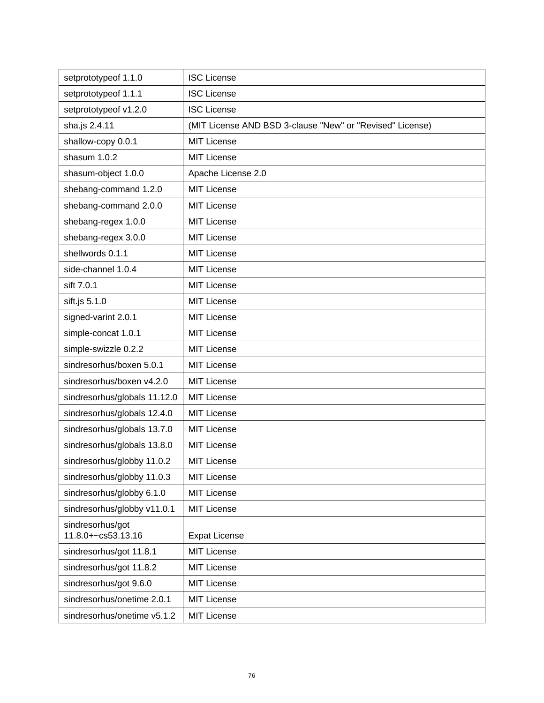| setprototypeof 1.1.0                   | <b>ISC License</b>                                        |
|----------------------------------------|-----------------------------------------------------------|
| setprototypeof 1.1.1                   | <b>ISC License</b>                                        |
| setprototypeof v1.2.0                  | <b>ISC License</b>                                        |
| sha.js 2.4.11                          | (MIT License AND BSD 3-clause "New" or "Revised" License) |
| shallow-copy 0.0.1                     | <b>MIT License</b>                                        |
| shasum 1.0.2                           | <b>MIT License</b>                                        |
| shasum-object 1.0.0                    | Apache License 2.0                                        |
| shebang-command 1.2.0                  | <b>MIT License</b>                                        |
| shebang-command 2.0.0                  | <b>MIT License</b>                                        |
| shebang-regex 1.0.0                    | <b>MIT License</b>                                        |
| shebang-regex 3.0.0                    | <b>MIT License</b>                                        |
| shellwords 0.1.1                       | <b>MIT License</b>                                        |
| side-channel 1.0.4                     | <b>MIT License</b>                                        |
| sift 7.0.1                             | <b>MIT License</b>                                        |
| sift.js 5.1.0                          | <b>MIT License</b>                                        |
| signed-varint 2.0.1                    | <b>MIT License</b>                                        |
| simple-concat 1.0.1                    | <b>MIT License</b>                                        |
| simple-swizzle 0.2.2                   | <b>MIT License</b>                                        |
| sindresorhus/boxen 5.0.1               | <b>MIT License</b>                                        |
| sindresorhus/boxen v4.2.0              | <b>MIT License</b>                                        |
| sindresorhus/globals 11.12.0           | <b>MIT License</b>                                        |
| sindresorhus/globals 12.4.0            | <b>MIT License</b>                                        |
| sindresorhus/globals 13.7.0            | <b>MIT License</b>                                        |
| sindresorhus/globals 13.8.0            | <b>MIT License</b>                                        |
| sindresorhus/globby 11.0.2             | <b>MIT License</b>                                        |
| sindresorhus/globby 11.0.3             | MIT License                                               |
| sindresorhus/globby 6.1.0              | <b>MIT License</b>                                        |
| sindresorhus/globby v11.0.1            | <b>MIT License</b>                                        |
| sindresorhus/got<br>11.8.0+~cs53.13.16 | <b>Expat License</b>                                      |
| sindresorhus/got 11.8.1                | <b>MIT License</b>                                        |
| sindresorhus/got 11.8.2                | <b>MIT License</b>                                        |
| sindresorhus/got 9.6.0                 | <b>MIT License</b>                                        |
| sindresorhus/onetime 2.0.1             | <b>MIT License</b>                                        |
| sindresorhus/onetime v5.1.2            | MIT License                                               |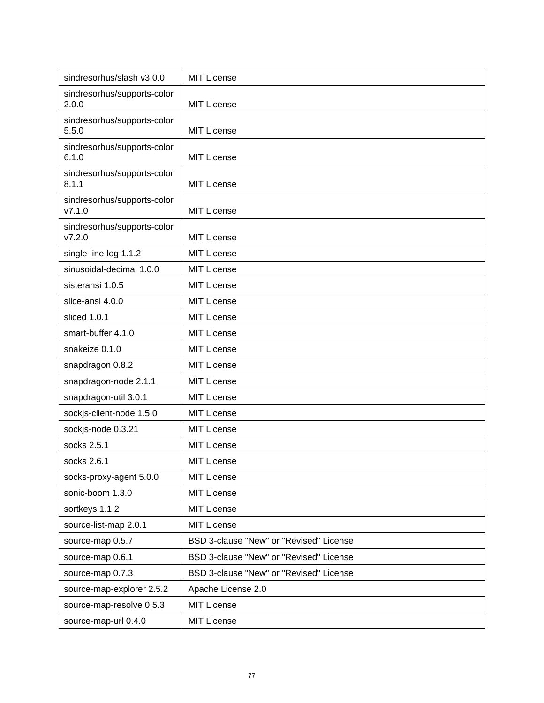| sindresorhus/slash v3.0.0             | <b>MIT License</b>                      |
|---------------------------------------|-----------------------------------------|
| sindresorhus/supports-color<br>2.0.0  | <b>MIT License</b>                      |
| sindresorhus/supports-color<br>5.5.0  | <b>MIT License</b>                      |
| sindresorhus/supports-color<br>6.1.0  | <b>MIT License</b>                      |
| sindresorhus/supports-color<br>8.1.1  | <b>MIT License</b>                      |
| sindresorhus/supports-color<br>V7.1.0 | <b>MIT License</b>                      |
| sindresorhus/supports-color<br>V7.2.0 | <b>MIT License</b>                      |
| single-line-log 1.1.2                 | <b>MIT License</b>                      |
| sinusoidal-decimal 1.0.0              | <b>MIT License</b>                      |
| sisteransi 1.0.5                      | <b>MIT License</b>                      |
| slice-ansi 4.0.0                      | <b>MIT License</b>                      |
| sliced 1.0.1                          | <b>MIT License</b>                      |
| smart-buffer 4.1.0                    | <b>MIT License</b>                      |
| snakeize 0.1.0                        | <b>MIT License</b>                      |
| snapdragon 0.8.2                      | <b>MIT License</b>                      |
| snapdragon-node 2.1.1                 | <b>MIT License</b>                      |
| snapdragon-util 3.0.1                 | <b>MIT License</b>                      |
| sockjs-client-node 1.5.0              | <b>MIT License</b>                      |
| sockjs-node 0.3.21                    | <b>MIT License</b>                      |
| socks 2.5.1                           | <b>MIT License</b>                      |
| socks 2.6.1                           | <b>MIT License</b>                      |
| socks-proxy-agent 5.0.0               | MIT License                             |
| sonic-boom 1.3.0                      | MIT License                             |
| sortkeys 1.1.2                        | <b>MIT License</b>                      |
| source-list-map 2.0.1                 | <b>MIT License</b>                      |
| source-map 0.5.7                      | BSD 3-clause "New" or "Revised" License |
| source-map 0.6.1                      | BSD 3-clause "New" or "Revised" License |
| source-map 0.7.3                      | BSD 3-clause "New" or "Revised" License |
| source-map-explorer 2.5.2             | Apache License 2.0                      |
| source-map-resolve 0.5.3              | <b>MIT License</b>                      |
| source-map-url 0.4.0                  | <b>MIT License</b>                      |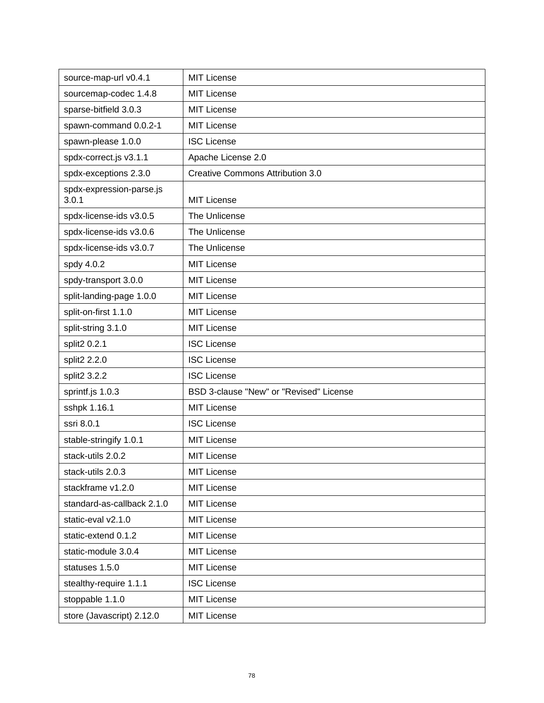| source-map-url v0.4.1             | <b>MIT License</b>                      |
|-----------------------------------|-----------------------------------------|
| sourcemap-codec 1.4.8             | <b>MIT License</b>                      |
| sparse-bitfield 3.0.3             | <b>MIT License</b>                      |
| spawn-command 0.0.2-1             | <b>MIT License</b>                      |
| spawn-please 1.0.0                | <b>ISC License</b>                      |
| spdx-correct.js v3.1.1            | Apache License 2.0                      |
| spdx-exceptions 2.3.0             | <b>Creative Commons Attribution 3.0</b> |
| spdx-expression-parse.js<br>3.0.1 | <b>MIT License</b>                      |
| spdx-license-ids v3.0.5           | The Unlicense                           |
| spdx-license-ids v3.0.6           | The Unlicense                           |
| spdx-license-ids v3.0.7           | The Unlicense                           |
| spdy 4.0.2                        | <b>MIT License</b>                      |
| spdy-transport 3.0.0              | <b>MIT License</b>                      |
| split-landing-page 1.0.0          | <b>MIT License</b>                      |
| split-on-first 1.1.0              | <b>MIT License</b>                      |
| split-string 3.1.0                | <b>MIT License</b>                      |
| split2 0.2.1                      | <b>ISC License</b>                      |
| split2 2.2.0                      | <b>ISC License</b>                      |
| split2 3.2.2                      | <b>ISC License</b>                      |
| sprintf.js 1.0.3                  | BSD 3-clause "New" or "Revised" License |
| sshpk 1.16.1                      | <b>MIT License</b>                      |
| ssri 8.0.1                        | <b>ISC License</b>                      |
| stable-stringify 1.0.1            | <b>MIT License</b>                      |
| stack-utils 2.0.2                 | <b>MIT License</b>                      |
| stack-utils 2.0.3                 | <b>MIT License</b>                      |
| stackframe v1.2.0                 | <b>MIT License</b>                      |
| standard-as-callback 2.1.0        | <b>MIT License</b>                      |
| static-eval v2.1.0                | <b>MIT License</b>                      |
| static-extend 0.1.2               | <b>MIT License</b>                      |
| static-module 3.0.4               | <b>MIT License</b>                      |
| statuses 1.5.0                    | <b>MIT License</b>                      |
| stealthy-require 1.1.1            | <b>ISC License</b>                      |
| stoppable 1.1.0                   | <b>MIT License</b>                      |
| store (Javascript) 2.12.0         | <b>MIT License</b>                      |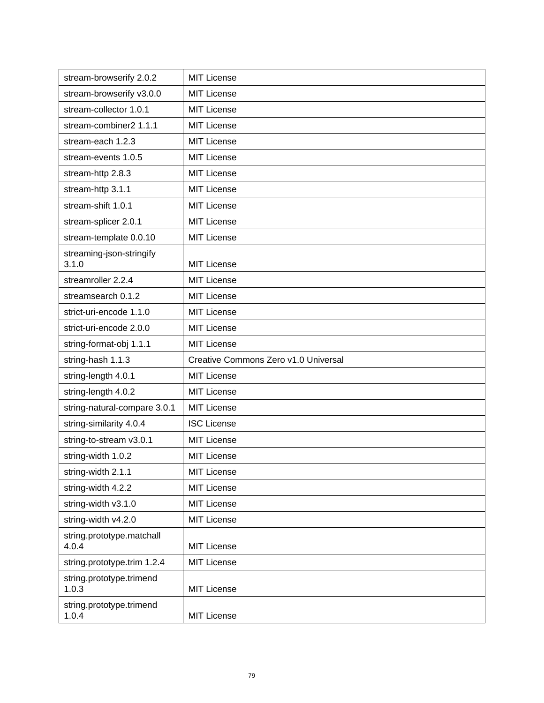| stream-browserify 2.0.2            | <b>MIT License</b>                   |
|------------------------------------|--------------------------------------|
| stream-browserify v3.0.0           | <b>MIT License</b>                   |
| stream-collector 1.0.1             | <b>MIT License</b>                   |
| stream-combiner2 1.1.1             | <b>MIT License</b>                   |
| stream-each 1.2.3                  | <b>MIT License</b>                   |
| stream-events 1.0.5                | <b>MIT License</b>                   |
| stream-http 2.8.3                  | <b>MIT License</b>                   |
| stream-http 3.1.1                  | <b>MIT License</b>                   |
| stream-shift 1.0.1                 | <b>MIT License</b>                   |
| stream-splicer 2.0.1               | <b>MIT License</b>                   |
| stream-template 0.0.10             | <b>MIT License</b>                   |
| streaming-json-stringify<br>3.1.0  | <b>MIT License</b>                   |
| streamroller 2.2.4                 | <b>MIT License</b>                   |
| streamsearch 0.1.2                 | <b>MIT License</b>                   |
| strict-uri-encode 1.1.0            | <b>MIT License</b>                   |
| strict-uri-encode 2.0.0            | <b>MIT License</b>                   |
| string-format-obj 1.1.1            | <b>MIT License</b>                   |
| string-hash 1.1.3                  | Creative Commons Zero v1.0 Universal |
| string-length 4.0.1                | <b>MIT License</b>                   |
| string-length 4.0.2                | <b>MIT License</b>                   |
| string-natural-compare 3.0.1       | <b>MIT License</b>                   |
| string-similarity 4.0.4            | <b>ISC License</b>                   |
| string-to-stream v3.0.1            | <b>MIT License</b>                   |
| string-width 1.0.2                 | <b>MIT License</b>                   |
| string-width 2.1.1                 | <b>MIT License</b>                   |
| string-width 4.2.2                 | MIT License                          |
| string-width v3.1.0                | MIT License                          |
| string-width v4.2.0                | MIT License                          |
| string.prototype.matchall<br>4.0.4 | <b>MIT License</b>                   |
| string.prototype.trim 1.2.4        | MIT License                          |
| string.prototype.trimend<br>1.0.3  | <b>MIT License</b>                   |
| string.prototype.trimend<br>1.0.4  | <b>MIT License</b>                   |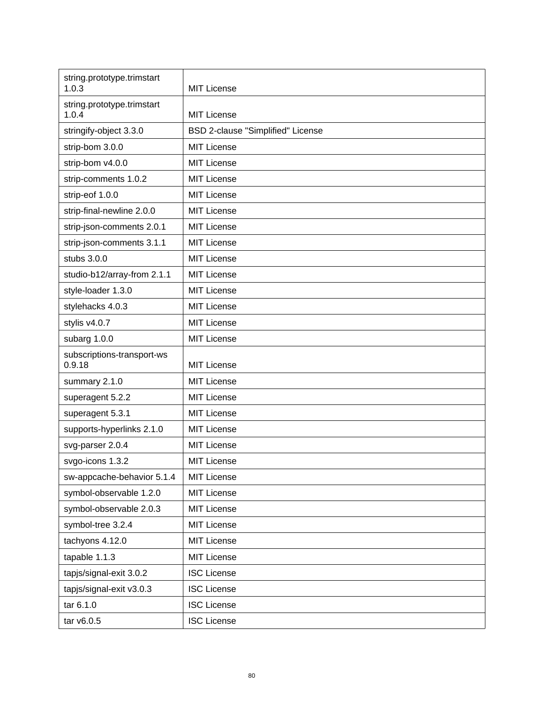| string.prototype.trimstart<br>1.0.3  | <b>MIT License</b>                |
|--------------------------------------|-----------------------------------|
| string.prototype.trimstart<br>1.0.4  | <b>MIT License</b>                |
| stringify-object 3.3.0               | BSD 2-clause "Simplified" License |
| strip-bom 3.0.0                      | <b>MIT License</b>                |
| strip-bom v4.0.0                     | <b>MIT License</b>                |
| strip-comments 1.0.2                 | <b>MIT License</b>                |
| strip-eof 1.0.0                      | <b>MIT License</b>                |
| strip-final-newline 2.0.0            | <b>MIT License</b>                |
| strip-json-comments 2.0.1            | <b>MIT License</b>                |
| strip-json-comments 3.1.1            | <b>MIT License</b>                |
| stubs 3.0.0                          | <b>MIT License</b>                |
| studio-b12/array-from 2.1.1          | <b>MIT License</b>                |
| style-loader 1.3.0                   | <b>MIT License</b>                |
| stylehacks 4.0.3                     | <b>MIT License</b>                |
| stylis v4.0.7                        | <b>MIT License</b>                |
| subarg 1.0.0                         | <b>MIT License</b>                |
| subscriptions-transport-ws<br>0.9.18 | <b>MIT License</b>                |
| summary 2.1.0                        | <b>MIT License</b>                |
| superagent 5.2.2                     | <b>MIT License</b>                |
| superagent 5.3.1                     | <b>MIT License</b>                |
| supports-hyperlinks 2.1.0            | <b>MIT License</b>                |
| svg-parser 2.0.4                     | <b>MIT License</b>                |
| svgo-icons 1.3.2                     | <b>MIT License</b>                |
| sw-appcache-behavior 5.1.4           | <b>MIT License</b>                |
| symbol-observable 1.2.0              | <b>MIT License</b>                |
| symbol-observable 2.0.3              | <b>MIT License</b>                |
| symbol-tree 3.2.4                    | <b>MIT License</b>                |
| tachyons 4.12.0                      | <b>MIT License</b>                |
| tapable 1.1.3                        | <b>MIT License</b>                |
| tapjs/signal-exit 3.0.2              | <b>ISC License</b>                |
| tapjs/signal-exit v3.0.3             | <b>ISC License</b>                |
| tar 6.1.0                            | <b>ISC License</b>                |
| tar v6.0.5                           | <b>ISC License</b>                |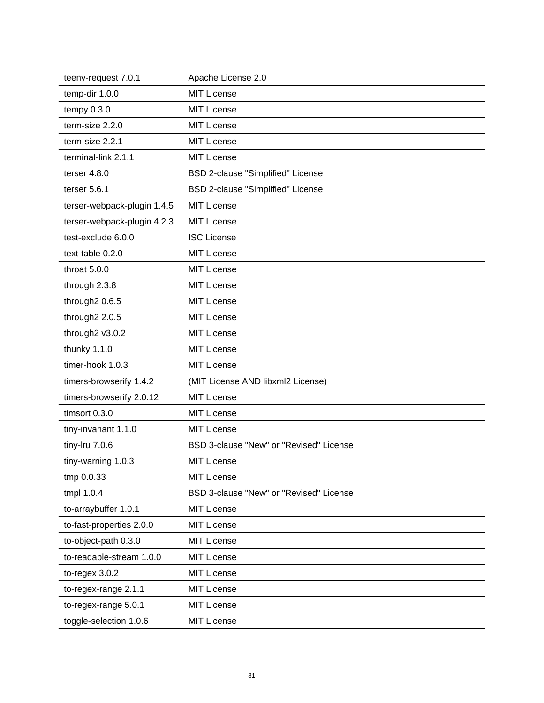| teeny-request 7.0.1         | Apache License 2.0                      |
|-----------------------------|-----------------------------------------|
| temp-dir 1.0.0              | <b>MIT License</b>                      |
| tempy $0.3.0$               | <b>MIT License</b>                      |
| term-size 2.2.0             | <b>MIT License</b>                      |
| term-size 2.2.1             | MIT License                             |
| terminal-link 2.1.1         | <b>MIT License</b>                      |
| terser $4.8.0$              | BSD 2-clause "Simplified" License       |
| terser $5.6.1$              | BSD 2-clause "Simplified" License       |
| terser-webpack-plugin 1.4.5 | <b>MIT License</b>                      |
| terser-webpack-plugin 4.2.3 | <b>MIT License</b>                      |
| test-exclude 6.0.0          | <b>ISC License</b>                      |
| text-table 0.2.0            | MIT License                             |
| throat 5.0.0                | <b>MIT License</b>                      |
| through 2.3.8               | <b>MIT License</b>                      |
| through2 0.6.5              | <b>MIT License</b>                      |
| through2 2.0.5              | <b>MIT License</b>                      |
| through2 v3.0.2             | <b>MIT License</b>                      |
| thunky 1.1.0                | MIT License                             |
| timer-hook 1.0.3            | <b>MIT License</b>                      |
| timers-browserify 1.4.2     | (MIT License AND libxml2 License)       |
| timers-browserify 2.0.12    | <b>MIT License</b>                      |
| timsort 0.3.0               | <b>MIT License</b>                      |
| tiny-invariant 1.1.0        | <b>MIT License</b>                      |
| tiny-Iru 7.0.6              | BSD 3-clause "New" or "Revised" License |
| tiny-warning 1.0.3          | <b>MIT License</b>                      |
| tmp 0.0.33                  | <b>MIT License</b>                      |
| tmpl 1.0.4                  | BSD 3-clause "New" or "Revised" License |
| to-arraybuffer 1.0.1        | MIT License                             |
| to-fast-properties 2.0.0    | <b>MIT License</b>                      |
| to-object-path 0.3.0        | <b>MIT License</b>                      |
| to-readable-stream 1.0.0    | <b>MIT License</b>                      |
| to-regex $3.0.2$            | <b>MIT License</b>                      |
| to-regex-range 2.1.1        | <b>MIT License</b>                      |
| to-regex-range 5.0.1        | <b>MIT License</b>                      |
| toggle-selection 1.0.6      | <b>MIT License</b>                      |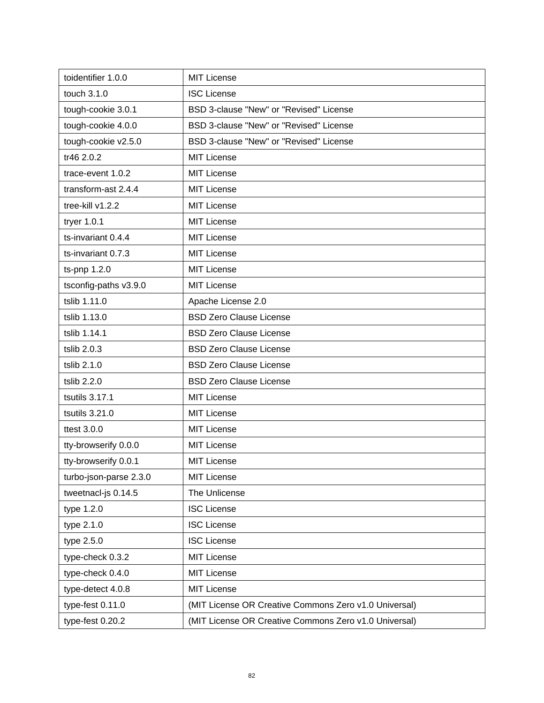| toidentifier 1.0.0     | <b>MIT License</b>                                    |
|------------------------|-------------------------------------------------------|
| touch 3.1.0            | <b>ISC License</b>                                    |
| tough-cookie 3.0.1     | BSD 3-clause "New" or "Revised" License               |
| tough-cookie 4.0.0     | BSD 3-clause "New" or "Revised" License               |
| tough-cookie v2.5.0    | BSD 3-clause "New" or "Revised" License               |
| tr46 2.0.2             | <b>MIT License</b>                                    |
| trace-event 1.0.2      | <b>MIT License</b>                                    |
| transform-ast 2.4.4    | <b>MIT License</b>                                    |
| tree-kill v1.2.2       | <b>MIT License</b>                                    |
| tryer 1.0.1            | <b>MIT License</b>                                    |
| ts-invariant 0.4.4     | <b>MIT License</b>                                    |
| ts-invariant 0.7.3     | <b>MIT License</b>                                    |
| ts-pnp 1.2.0           | <b>MIT License</b>                                    |
| tsconfig-paths v3.9.0  | <b>MIT License</b>                                    |
| tslib 1.11.0           | Apache License 2.0                                    |
| tslib 1.13.0           | <b>BSD Zero Clause License</b>                        |
| tslib 1.14.1           | <b>BSD Zero Clause License</b>                        |
| tslib 2.0.3            | <b>BSD Zero Clause License</b>                        |
| tslib 2.1.0            | <b>BSD Zero Clause License</b>                        |
| tslib 2.2.0            | <b>BSD Zero Clause License</b>                        |
| tsutils 3.17.1         | <b>MIT License</b>                                    |
| tsutils 3.21.0         | <b>MIT License</b>                                    |
| ttest 3.0.0            | <b>MIT License</b>                                    |
| tty-browserify 0.0.0   | <b>MIT License</b>                                    |
| tty-browserify 0.0.1   | <b>MIT License</b>                                    |
| turbo-json-parse 2.3.0 | <b>MIT License</b>                                    |
| tweetnacl-js 0.14.5    | The Unlicense                                         |
| type 1.2.0             | <b>ISC License</b>                                    |
| type 2.1.0             | <b>ISC License</b>                                    |
| type 2.5.0             | <b>ISC License</b>                                    |
| type-check 0.3.2       | <b>MIT License</b>                                    |
| type-check 0.4.0       | <b>MIT License</b>                                    |
| type-detect 4.0.8      | <b>MIT License</b>                                    |
| type-fest 0.11.0       | (MIT License OR Creative Commons Zero v1.0 Universal) |
| type-fest 0.20.2       | (MIT License OR Creative Commons Zero v1.0 Universal) |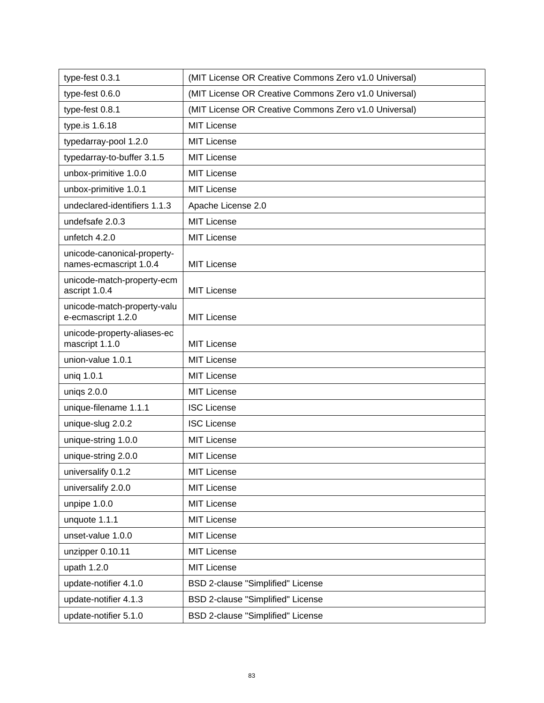| type-fest 0.3.1                                       | (MIT License OR Creative Commons Zero v1.0 Universal) |
|-------------------------------------------------------|-------------------------------------------------------|
| type-fest 0.6.0                                       | (MIT License OR Creative Commons Zero v1.0 Universal) |
| type-fest 0.8.1                                       | (MIT License OR Creative Commons Zero v1.0 Universal) |
| type.is 1.6.18                                        | <b>MIT License</b>                                    |
| typedarray-pool 1.2.0                                 | <b>MIT License</b>                                    |
| typedarray-to-buffer 3.1.5                            | <b>MIT License</b>                                    |
| unbox-primitive 1.0.0                                 | <b>MIT License</b>                                    |
| unbox-primitive 1.0.1                                 | <b>MIT License</b>                                    |
| undeclared-identifiers 1.1.3                          | Apache License 2.0                                    |
| undefsafe 2.0.3                                       | <b>MIT License</b>                                    |
| unfetch 4.2.0                                         | <b>MIT License</b>                                    |
| unicode-canonical-property-<br>names-ecmascript 1.0.4 | <b>MIT License</b>                                    |
| unicode-match-property-ecm<br>ascript 1.0.4           | <b>MIT License</b>                                    |
| unicode-match-property-valu<br>e-ecmascript 1.2.0     | <b>MIT License</b>                                    |
| unicode-property-aliases-ec<br>mascript 1.1.0         | <b>MIT License</b>                                    |
| union-value 1.0.1                                     | <b>MIT License</b>                                    |
| uniq 1.0.1                                            | <b>MIT License</b>                                    |
| uniqs 2.0.0                                           | <b>MIT License</b>                                    |
| unique-filename 1.1.1                                 | <b>ISC License</b>                                    |
| unique-slug 2.0.2                                     | <b>ISC License</b>                                    |
| unique-string 1.0.0                                   | <b>MIT License</b>                                    |
| unique-string 2.0.0                                   | <b>MIT License</b>                                    |
| universalify 0.1.2                                    | <b>MIT License</b>                                    |
| universalify 2.0.0                                    | <b>MIT License</b>                                    |
| unpipe 1.0.0                                          | <b>MIT License</b>                                    |
| unquote 1.1.1                                         | <b>MIT License</b>                                    |
| unset-value 1.0.0                                     | <b>MIT License</b>                                    |
| unzipper 0.10.11                                      | <b>MIT License</b>                                    |
| upath 1.2.0                                           | <b>MIT License</b>                                    |
| update-notifier 4.1.0                                 | BSD 2-clause "Simplified" License                     |
| update-notifier 4.1.3                                 | BSD 2-clause "Simplified" License                     |
| update-notifier 5.1.0                                 | BSD 2-clause "Simplified" License                     |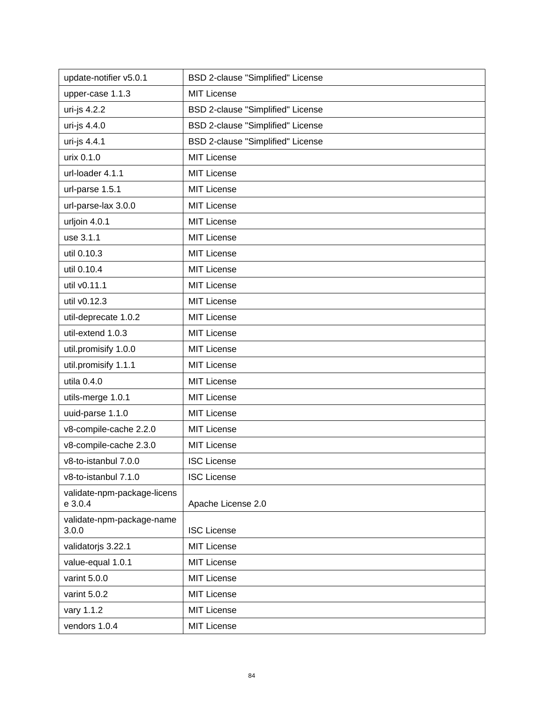| update-notifier v5.0.1                 | BSD 2-clause "Simplified" License |
|----------------------------------------|-----------------------------------|
| upper-case 1.1.3                       | <b>MIT License</b>                |
| uri-js 4.2.2                           | BSD 2-clause "Simplified" License |
| uri-js 4.4.0                           | BSD 2-clause "Simplified" License |
| uri-js 4.4.1                           | BSD 2-clause "Simplified" License |
| urix 0.1.0                             | <b>MIT License</b>                |
| url-loader 4.1.1                       | <b>MIT License</b>                |
| url-parse 1.5.1                        | <b>MIT License</b>                |
| url-parse-lax 3.0.0                    | <b>MIT License</b>                |
| urljoin 4.0.1                          | <b>MIT License</b>                |
| use 3.1.1                              | <b>MIT License</b>                |
| util 0.10.3                            | <b>MIT License</b>                |
| util 0.10.4                            | <b>MIT License</b>                |
| util v0.11.1                           | <b>MIT License</b>                |
| util v0.12.3                           | <b>MIT License</b>                |
| util-deprecate 1.0.2                   | <b>MIT License</b>                |
| util-extend 1.0.3                      | <b>MIT License</b>                |
| util.promisify 1.0.0                   | <b>MIT License</b>                |
| util.promisify 1.1.1                   | <b>MIT License</b>                |
| utila 0.4.0                            | <b>MIT License</b>                |
| utils-merge 1.0.1                      | <b>MIT License</b>                |
| uuid-parse 1.1.0                       | <b>MIT License</b>                |
| v8-compile-cache 2.2.0                 | <b>MIT License</b>                |
| v8-compile-cache 2.3.0                 | MIT License                       |
| v8-to-istanbul 7.0.0                   | <b>ISC License</b>                |
| v8-to-istanbul 7.1.0                   | <b>ISC License</b>                |
| validate-npm-package-licens<br>e 3.0.4 | Apache License 2.0                |
| validate-npm-package-name<br>3.0.0     | <b>ISC License</b>                |
| validatorjs 3.22.1                     | <b>MIT License</b>                |
| value-equal 1.0.1                      | <b>MIT License</b>                |
| varint 5.0.0                           | <b>MIT License</b>                |
| varint 5.0.2                           | <b>MIT License</b>                |
| vary 1.1.2                             | <b>MIT License</b>                |
| vendors 1.0.4                          | <b>MIT License</b>                |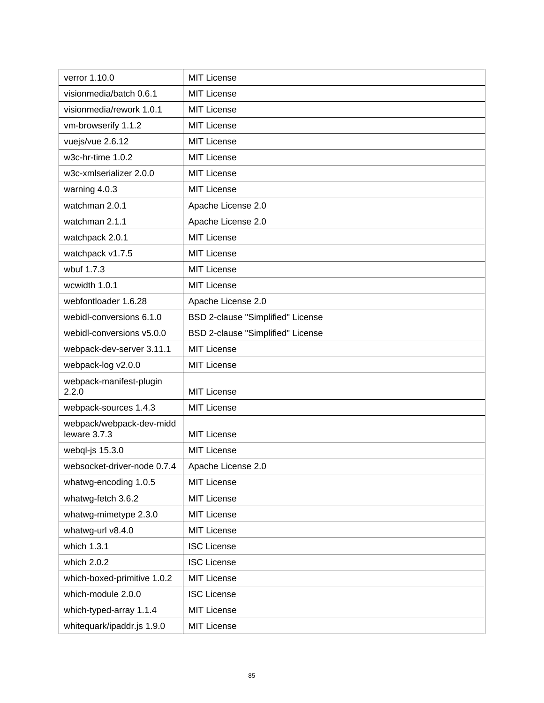| verror 1.10.0                            | <b>MIT License</b>                |
|------------------------------------------|-----------------------------------|
| visionmedia/batch 0.6.1                  | <b>MIT License</b>                |
| visionmedia/rework 1.0.1                 | <b>MIT License</b>                |
| vm-browserify 1.1.2                      | <b>MIT License</b>                |
| vuejs/vue 2.6.12                         | <b>MIT License</b>                |
| w3c-hr-time 1.0.2                        | MIT License                       |
| w3c-xmlserializer 2.0.0                  | <b>MIT License</b>                |
| warning 4.0.3                            | <b>MIT License</b>                |
| watchman 2.0.1                           | Apache License 2.0                |
| watchman 2.1.1                           | Apache License 2.0                |
| watchpack 2.0.1                          | <b>MIT License</b>                |
| watchpack v1.7.5                         | <b>MIT License</b>                |
| wbuf 1.7.3                               | <b>MIT License</b>                |
| wcwidth 1.0.1                            | <b>MIT License</b>                |
| webfontloader 1.6.28                     | Apache License 2.0                |
| webidl-conversions 6.1.0                 | BSD 2-clause "Simplified" License |
| webidl-conversions v5.0.0                | BSD 2-clause "Simplified" License |
| webpack-dev-server 3.11.1                | <b>MIT License</b>                |
| webpack-log v2.0.0                       | <b>MIT License</b>                |
| webpack-manifest-plugin<br>2.2.0         | MIT License                       |
| webpack-sources 1.4.3                    | <b>MIT License</b>                |
| webpack/webpack-dev-midd<br>leware 3.7.3 | <b>MIT License</b>                |
| webql-js 15.3.0                          | <b>MIT License</b>                |
| websocket-driver-node 0.7.4              | Apache License 2.0                |
| whatwg-encoding 1.0.5                    | <b>MIT License</b>                |
| whatwg-fetch 3.6.2                       | <b>MIT License</b>                |
| whatwg-mimetype 2.3.0                    | <b>MIT License</b>                |
| whatwg-url v8.4.0                        | <b>MIT License</b>                |
| which 1.3.1                              | <b>ISC License</b>                |
| which 2.0.2                              | <b>ISC License</b>                |
| which-boxed-primitive 1.0.2              | <b>MIT License</b>                |
| which-module 2.0.0                       | <b>ISC License</b>                |
| which-typed-array 1.1.4                  | <b>MIT License</b>                |
| whitequark/ipaddr.js 1.9.0               | <b>MIT License</b>                |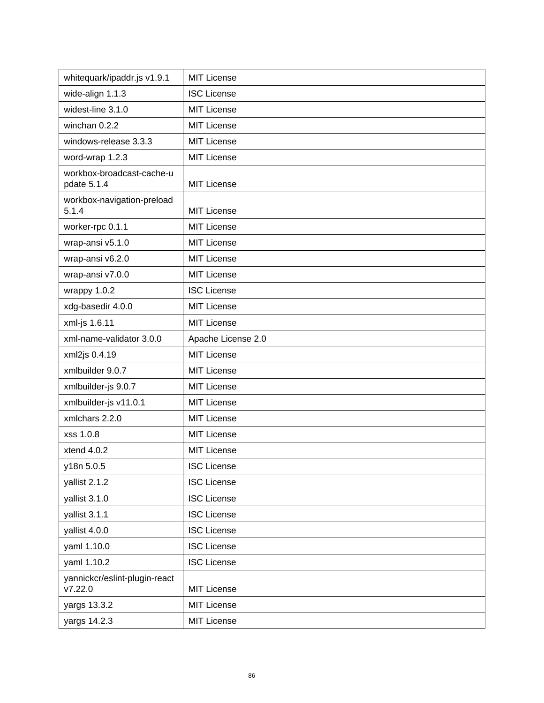| whitequark/ipaddr.js v1.9.1              | <b>MIT License</b> |
|------------------------------------------|--------------------|
| wide-align 1.1.3                         | <b>ISC License</b> |
| widest-line 3.1.0                        | <b>MIT License</b> |
| winchan 0.2.2                            | <b>MIT License</b> |
| windows-release 3.3.3                    | <b>MIT License</b> |
| word-wrap 1.2.3                          | <b>MIT License</b> |
| workbox-broadcast-cache-u<br>pdate 5.1.4 | <b>MIT License</b> |
| workbox-navigation-preload<br>5.1.4      | <b>MIT License</b> |
| worker-rpc 0.1.1                         | <b>MIT License</b> |
| wrap-ansi v5.1.0                         | <b>MIT License</b> |
| wrap-ansi v6.2.0                         | <b>MIT License</b> |
| wrap-ansi v7.0.0                         | <b>MIT License</b> |
| wrappy 1.0.2                             | <b>ISC License</b> |
| xdg-basedir 4.0.0                        | <b>MIT License</b> |
| xml-js 1.6.11                            | <b>MIT License</b> |
| xml-name-validator 3.0.0                 | Apache License 2.0 |
| xml2js 0.4.19                            | <b>MIT License</b> |
| xmlbuilder 9.0.7                         | <b>MIT License</b> |
| xmlbuilder-js 9.0.7                      | <b>MIT License</b> |
| xmlbuilder-js v11.0.1                    | <b>MIT License</b> |
| xmlchars 2.2.0                           | <b>MIT License</b> |
| xss 1.0.8                                | <b>MIT License</b> |
| xtend 4.0.2                              | <b>MIT License</b> |
| y18n 5.0.5                               | <b>ISC License</b> |
| yallist 2.1.2                            | <b>ISC License</b> |
| yallist 3.1.0                            | <b>ISC License</b> |
| yallist 3.1.1                            | <b>ISC License</b> |
| yallist 4.0.0                            | <b>ISC License</b> |
| yaml 1.10.0                              | <b>ISC License</b> |
| yaml 1.10.2                              | <b>ISC License</b> |
| yannickcr/eslint-plugin-react<br>V7.22.0 | <b>MIT License</b> |
| yargs 13.3.2                             | MIT License        |
| yargs 14.2.3                             | MIT License        |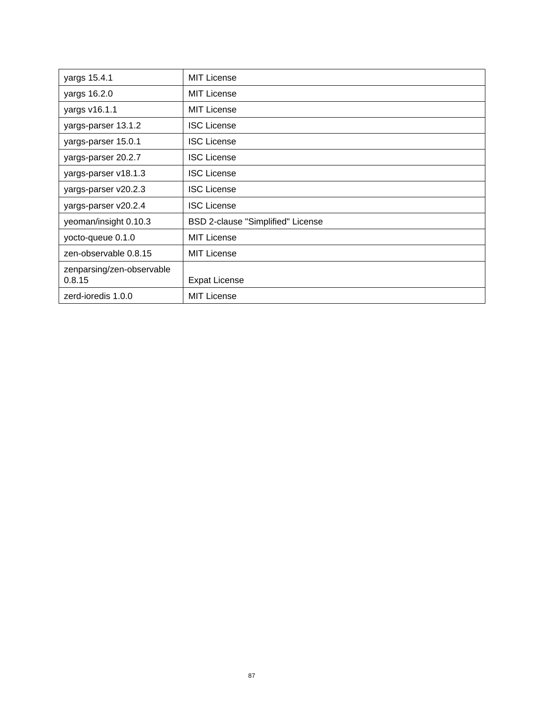| yargs 15.4.1                        | <b>MIT License</b>                       |
|-------------------------------------|------------------------------------------|
| yargs 16.2.0                        | <b>MIT License</b>                       |
| yargs v16.1.1                       | <b>MIT License</b>                       |
| yargs-parser 13.1.2                 | <b>ISC License</b>                       |
| yargs-parser 15.0.1                 | <b>ISC License</b>                       |
| yargs-parser 20.2.7                 | <b>ISC License</b>                       |
| yargs-parser v18.1.3                | <b>ISC License</b>                       |
| yargs-parser v20.2.3                | <b>ISC License</b>                       |
| yargs-parser v20.2.4                | <b>ISC License</b>                       |
| yeoman/insight 0.10.3               | <b>BSD 2-clause "Simplified" License</b> |
| yocto-queue 0.1.0                   | <b>MIT License</b>                       |
| zen-observable 0.8.15               | <b>MIT License</b>                       |
| zenparsing/zen-observable<br>0.8.15 | <b>Expat License</b>                     |
| zerd-ioredis 1.0.0                  | <b>MIT License</b>                       |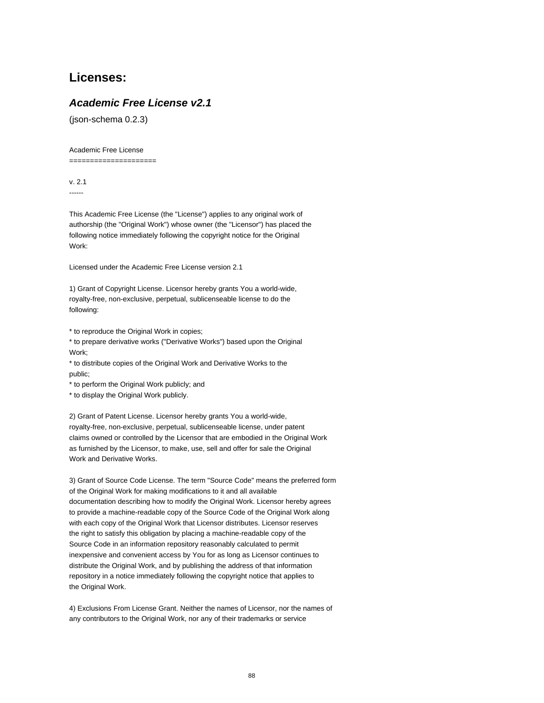# **Licenses:**

## **Academic Free License v2.1**

(json-schema 0.2.3)

Academic Free License

=====================

v. 2.1 ------

This Academic Free License (the "License") applies to any original work of authorship (the "Original Work") whose owner (the "Licensor") has placed the following notice immediately following the copyright notice for the Original Work:

Licensed under the Academic Free License version 2.1

1) Grant of Copyright License. Licensor hereby grants You a world-wide, royalty-free, non-exclusive, perpetual, sublicenseable license to do the following:

\* to reproduce the Original Work in copies;

\* to prepare derivative works ("Derivative Works") based upon the Original Work;

\* to distribute copies of the Original Work and Derivative Works to the public;

\* to perform the Original Work publicly; and

\* to display the Original Work publicly.

2) Grant of Patent License. Licensor hereby grants You a world-wide, royalty-free, non-exclusive, perpetual, sublicenseable license, under patent claims owned or controlled by the Licensor that are embodied in the Original Work as furnished by the Licensor, to make, use, sell and offer for sale the Original Work and Derivative Works.

3) Grant of Source Code License. The term "Source Code" means the preferred form of the Original Work for making modifications to it and all available documentation describing how to modify the Original Work. Licensor hereby agrees to provide a machine-readable copy of the Source Code of the Original Work along with each copy of the Original Work that Licensor distributes. Licensor reserves the right to satisfy this obligation by placing a machine-readable copy of the Source Code in an information repository reasonably calculated to permit inexpensive and convenient access by You for as long as Licensor continues to distribute the Original Work, and by publishing the address of that information repository in a notice immediately following the copyright notice that applies to the Original Work.

4) Exclusions From License Grant. Neither the names of Licensor, nor the names of any contributors to the Original Work, nor any of their trademarks or service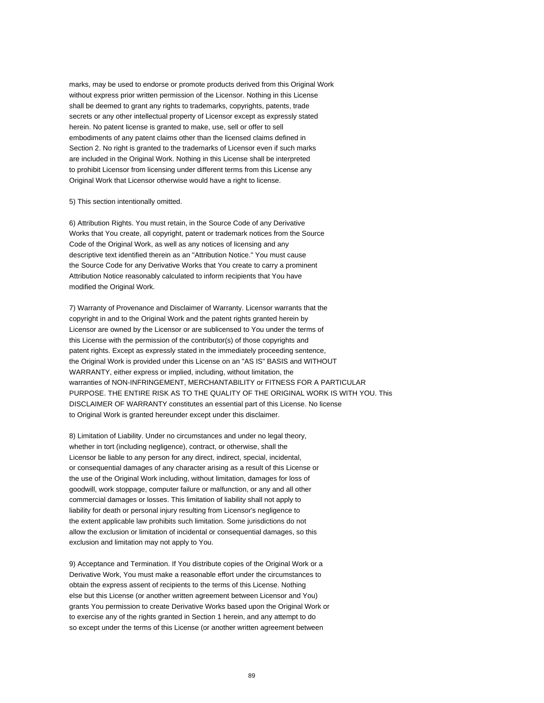marks, may be used to endorse or promote products derived from this Original Work without express prior written permission of the Licensor. Nothing in this License shall be deemed to grant any rights to trademarks, copyrights, patents, trade secrets or any other intellectual property of Licensor except as expressly stated herein. No patent license is granted to make, use, sell or offer to sell embodiments of any patent claims other than the licensed claims defined in Section 2. No right is granted to the trademarks of Licensor even if such marks are included in the Original Work. Nothing in this License shall be interpreted to prohibit Licensor from licensing under different terms from this License any Original Work that Licensor otherwise would have a right to license.

#### 5) This section intentionally omitted.

6) Attribution Rights. You must retain, in the Source Code of any Derivative Works that You create, all copyright, patent or trademark notices from the Source Code of the Original Work, as well as any notices of licensing and any descriptive text identified therein as an "Attribution Notice." You must cause the Source Code for any Derivative Works that You create to carry a prominent Attribution Notice reasonably calculated to inform recipients that You have modified the Original Work.

7) Warranty of Provenance and Disclaimer of Warranty. Licensor warrants that the copyright in and to the Original Work and the patent rights granted herein by Licensor are owned by the Licensor or are sublicensed to You under the terms of this License with the permission of the contributor(s) of those copyrights and patent rights. Except as expressly stated in the immediately proceeding sentence, the Original Work is provided under this License on an "AS IS" BASIS and WITHOUT WARRANTY, either express or implied, including, without limitation, the warranties of NON-INFRINGEMENT, MERCHANTABILITY or FITNESS FOR A PARTICULAR PURPOSE. THE ENTIRE RISK AS TO THE QUALITY OF THE ORIGINAL WORK IS WITH YOU. This DISCLAIMER OF WARRANTY constitutes an essential part of this License. No license to Original Work is granted hereunder except under this disclaimer.

8) Limitation of Liability. Under no circumstances and under no legal theory, whether in tort (including negligence), contract, or otherwise, shall the Licensor be liable to any person for any direct, indirect, special, incidental, or consequential damages of any character arising as a result of this License or the use of the Original Work including, without limitation, damages for loss of goodwill, work stoppage, computer failure or malfunction, or any and all other commercial damages or losses. This limitation of liability shall not apply to liability for death or personal injury resulting from Licensor's negligence to the extent applicable law prohibits such limitation. Some jurisdictions do not allow the exclusion or limitation of incidental or consequential damages, so this exclusion and limitation may not apply to You.

9) Acceptance and Termination. If You distribute copies of the Original Work or a Derivative Work, You must make a reasonable effort under the circumstances to obtain the express assent of recipients to the terms of this License. Nothing else but this License (or another written agreement between Licensor and You) grants You permission to create Derivative Works based upon the Original Work or to exercise any of the rights granted in Section 1 herein, and any attempt to do so except under the terms of this License (or another written agreement between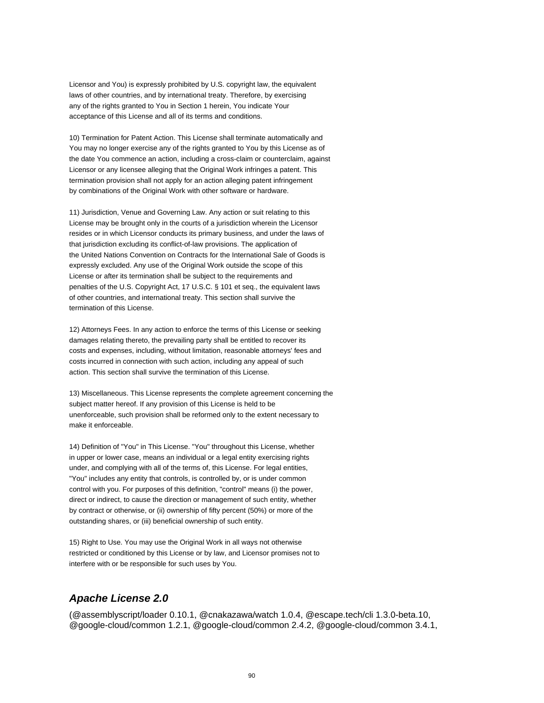Licensor and You) is expressly prohibited by U.S. copyright law, the equivalent laws of other countries, and by international treaty. Therefore, by exercising any of the rights granted to You in Section 1 herein, You indicate Your acceptance of this License and all of its terms and conditions.

10) Termination for Patent Action. This License shall terminate automatically and You may no longer exercise any of the rights granted to You by this License as of the date You commence an action, including a cross-claim or counterclaim, against Licensor or any licensee alleging that the Original Work infringes a patent. This termination provision shall not apply for an action alleging patent infringement by combinations of the Original Work with other software or hardware.

11) Jurisdiction, Venue and Governing Law. Any action or suit relating to this License may be brought only in the courts of a jurisdiction wherein the Licensor resides or in which Licensor conducts its primary business, and under the laws of that jurisdiction excluding its conflict-of-law provisions. The application of the United Nations Convention on Contracts for the International Sale of Goods is expressly excluded. Any use of the Original Work outside the scope of this License or after its termination shall be subject to the requirements and penalties of the U.S. Copyright Act, 17 U.S.C. § 101 et seq., the equivalent laws of other countries, and international treaty. This section shall survive the termination of this License.

12) Attorneys Fees. In any action to enforce the terms of this License or seeking damages relating thereto, the prevailing party shall be entitled to recover its costs and expenses, including, without limitation, reasonable attorneys' fees and costs incurred in connection with such action, including any appeal of such action. This section shall survive the termination of this License.

13) Miscellaneous. This License represents the complete agreement concerning the subject matter hereof. If any provision of this License is held to be unenforceable, such provision shall be reformed only to the extent necessary to make it enforceable.

14) Definition of "You" in This License. "You" throughout this License, whether in upper or lower case, means an individual or a legal entity exercising rights under, and complying with all of the terms of, this License. For legal entities, "You" includes any entity that controls, is controlled by, or is under common control with you. For purposes of this definition, "control" means (i) the power, direct or indirect, to cause the direction or management of such entity, whether by contract or otherwise, or (ii) ownership of fifty percent (50%) or more of the outstanding shares, or (iii) beneficial ownership of such entity.

15) Right to Use. You may use the Original Work in all ways not otherwise restricted or conditioned by this License or by law, and Licensor promises not to interfere with or be responsible for such uses by You.

### **Apache License 2.0**

(@assemblyscript/loader 0.10.1, @cnakazawa/watch 1.0.4, @escape.tech/cli 1.3.0-beta.10, @google-cloud/common 1.2.1, @google-cloud/common 2.4.2, @google-cloud/common 3.4.1,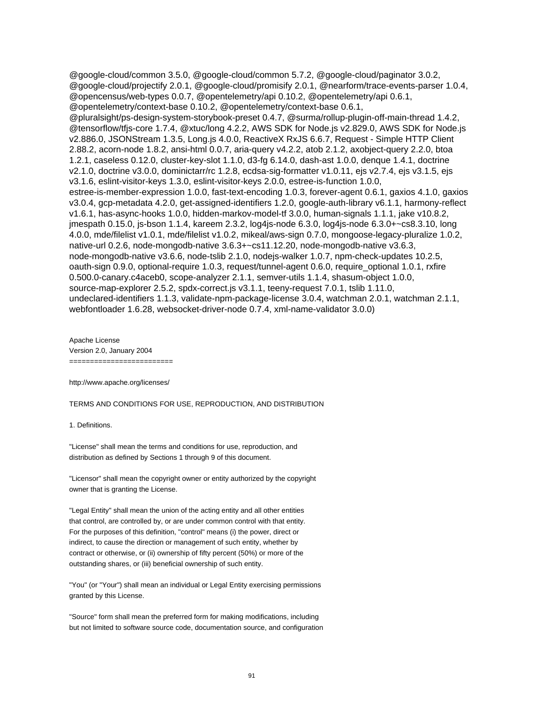@google-cloud/common 3.5.0, @google-cloud/common 5.7.2, @google-cloud/paginator 3.0.2, @google-cloud/projectify 2.0.1, @google-cloud/promisify 2.0.1, @nearform/trace-events-parser 1.0.4, @opencensus/web-types 0.0.7, @opentelemetry/api 0.10.2, @opentelemetry/api 0.6.1, @opentelemetry/context-base 0.10.2, @opentelemetry/context-base 0.6.1, @pluralsight/ps-design-system-storybook-preset 0.4.7, @surma/rollup-plugin-off-main-thread 1.4.2, @tensorflow/tfjs-core 1.7.4, @xtuc/long 4.2.2, AWS SDK for Node.js v2.829.0, AWS SDK for Node.js v2.886.0, JSONStream 1.3.5, Long.js 4.0.0, ReactiveX RxJS 6.6.7, Request - Simple HTTP Client 2.88.2, acorn-node 1.8.2, ansi-html 0.0.7, aria-query v4.2.2, atob 2.1.2, axobject-query 2.2.0, btoa 1.2.1, caseless 0.12.0, cluster-key-slot 1.1.0, d3-fg 6.14.0, dash-ast 1.0.0, denque 1.4.1, doctrine v2.1.0, doctrine v3.0.0, dominictarr/rc 1.2.8, ecdsa-sig-formatter v1.0.11, ejs v2.7.4, ejs v3.1.5, ejs v3.1.6, eslint-visitor-keys 1.3.0, eslint-visitor-keys 2.0.0, estree-is-function 1.0.0, estree-is-member-expression 1.0.0, fast-text-encoding 1.0.3, forever-agent 0.6.1, gaxios 4.1.0, gaxios v3.0.4, gcp-metadata 4.2.0, get-assigned-identifiers 1.2.0, google-auth-library v6.1.1, harmony-reflect v1.6.1, has-async-hooks 1.0.0, hidden-markov-model-tf 3.0.0, human-signals 1.1.1, jake v10.8.2, jmespath 0.15.0, js-bson 1.1.4, kareem 2.3.2, log4js-node 6.3.0, log4js-node 6.3.0+~cs8.3.10, long 4.0.0, mde/filelist v1.0.1, mde/filelist v1.0.2, mikeal/aws-sign 0.7.0, mongoose-legacy-pluralize 1.0.2, native-url 0.2.6, node-mongodb-native 3.6.3+~cs11.12.20, node-mongodb-native v3.6.3, node-mongodb-native v3.6.6, node-tslib 2.1.0, nodejs-walker 1.0.7, npm-check-updates 10.2.5, oauth-sign 0.9.0, optional-require 1.0.3, request/tunnel-agent 0.6.0, require\_optional 1.0.1, rxfire 0.500.0-canary.c4aceb0, scope-analyzer 2.1.1, semver-utils 1.1.4, shasum-object 1.0.0, source-map-explorer 2.5.2, spdx-correct.js v3.1.1, teeny-request 7.0.1, tslib 1.11.0, undeclared-identifiers 1.1.3, validate-npm-package-license 3.0.4, watchman 2.0.1, watchman 2.1.1, webfontloader 1.6.28, websocket-driver-node 0.7.4, xml-name-validator 3.0.0)

Apache License Version 2.0, January 2004 =========================

http://www.apache.org/licenses/

TERMS AND CONDITIONS FOR USE, REPRODUCTION, AND DISTRIBUTION

1. Definitions.

"License" shall mean the terms and conditions for use, reproduction, and distribution as defined by Sections 1 through 9 of this document.

"Licensor" shall mean the copyright owner or entity authorized by the copyright owner that is granting the License.

"Legal Entity" shall mean the union of the acting entity and all other entities that control, are controlled by, or are under common control with that entity. For the purposes of this definition, "control" means (i) the power, direct or indirect, to cause the direction or management of such entity, whether by contract or otherwise, or (ii) ownership of fifty percent (50%) or more of the outstanding shares, or (iii) beneficial ownership of such entity.

"You" (or "Your") shall mean an individual or Legal Entity exercising permissions granted by this License.

"Source" form shall mean the preferred form for making modifications, including but not limited to software source code, documentation source, and configuration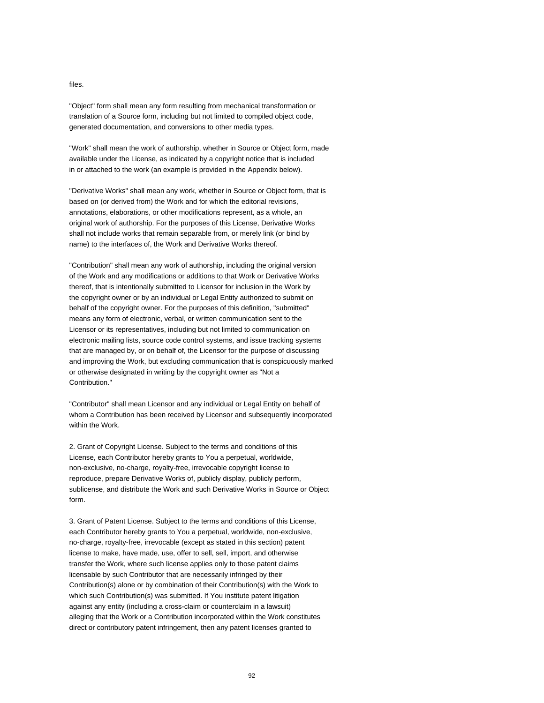#### files.

"Object" form shall mean any form resulting from mechanical transformation or translation of a Source form, including but not limited to compiled object code, generated documentation, and conversions to other media types.

"Work" shall mean the work of authorship, whether in Source or Object form, made available under the License, as indicated by a copyright notice that is included in or attached to the work (an example is provided in the Appendix below).

"Derivative Works" shall mean any work, whether in Source or Object form, that is based on (or derived from) the Work and for which the editorial revisions, annotations, elaborations, or other modifications represent, as a whole, an original work of authorship. For the purposes of this License, Derivative Works shall not include works that remain separable from, or merely link (or bind by name) to the interfaces of, the Work and Derivative Works thereof.

"Contribution" shall mean any work of authorship, including the original version of the Work and any modifications or additions to that Work or Derivative Works thereof, that is intentionally submitted to Licensor for inclusion in the Work by the copyright owner or by an individual or Legal Entity authorized to submit on behalf of the copyright owner. For the purposes of this definition, "submitted" means any form of electronic, verbal, or written communication sent to the Licensor or its representatives, including but not limited to communication on electronic mailing lists, source code control systems, and issue tracking systems that are managed by, or on behalf of, the Licensor for the purpose of discussing and improving the Work, but excluding communication that is conspicuously marked or otherwise designated in writing by the copyright owner as "Not a Contribution."

"Contributor" shall mean Licensor and any individual or Legal Entity on behalf of whom a Contribution has been received by Licensor and subsequently incorporated within the Work.

2. Grant of Copyright License. Subject to the terms and conditions of this License, each Contributor hereby grants to You a perpetual, worldwide, non-exclusive, no-charge, royalty-free, irrevocable copyright license to reproduce, prepare Derivative Works of, publicly display, publicly perform, sublicense, and distribute the Work and such Derivative Works in Source or Object form.

3. Grant of Patent License. Subject to the terms and conditions of this License, each Contributor hereby grants to You a perpetual, worldwide, non-exclusive, no-charge, royalty-free, irrevocable (except as stated in this section) patent license to make, have made, use, offer to sell, sell, import, and otherwise transfer the Work, where such license applies only to those patent claims licensable by such Contributor that are necessarily infringed by their Contribution(s) alone or by combination of their Contribution(s) with the Work to which such Contribution(s) was submitted. If You institute patent litigation against any entity (including a cross-claim or counterclaim in a lawsuit) alleging that the Work or a Contribution incorporated within the Work constitutes direct or contributory patent infringement, then any patent licenses granted to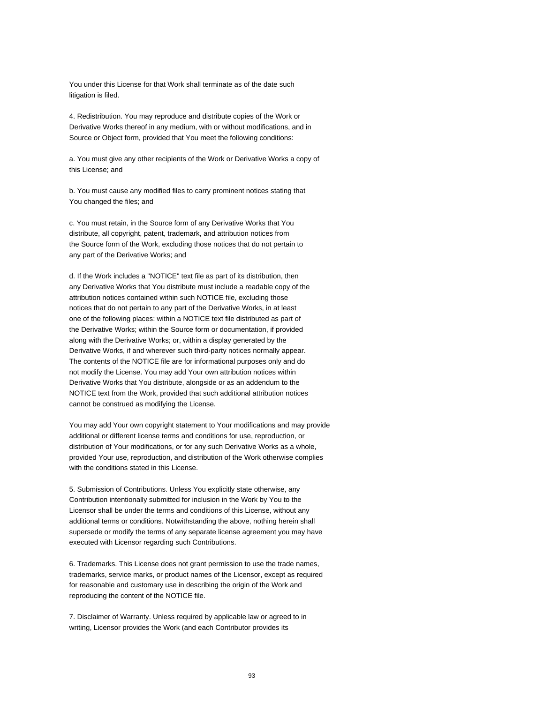You under this License for that Work shall terminate as of the date such litigation is filed.

4. Redistribution. You may reproduce and distribute copies of the Work or Derivative Works thereof in any medium, with or without modifications, and in Source or Object form, provided that You meet the following conditions:

a. You must give any other recipients of the Work or Derivative Works a copy of this License; and

b. You must cause any modified files to carry prominent notices stating that You changed the files; and

c. You must retain, in the Source form of any Derivative Works that You distribute, all copyright, patent, trademark, and attribution notices from the Source form of the Work, excluding those notices that do not pertain to any part of the Derivative Works; and

d. If the Work includes a "NOTICE" text file as part of its distribution, then any Derivative Works that You distribute must include a readable copy of the attribution notices contained within such NOTICE file, excluding those notices that do not pertain to any part of the Derivative Works, in at least one of the following places: within a NOTICE text file distributed as part of the Derivative Works; within the Source form or documentation, if provided along with the Derivative Works; or, within a display generated by the Derivative Works, if and wherever such third-party notices normally appear. The contents of the NOTICE file are for informational purposes only and do not modify the License. You may add Your own attribution notices within Derivative Works that You distribute, alongside or as an addendum to the NOTICE text from the Work, provided that such additional attribution notices cannot be construed as modifying the License.

You may add Your own copyright statement to Your modifications and may provide additional or different license terms and conditions for use, reproduction, or distribution of Your modifications, or for any such Derivative Works as a whole, provided Your use, reproduction, and distribution of the Work otherwise complies with the conditions stated in this License.

5. Submission of Contributions. Unless You explicitly state otherwise, any Contribution intentionally submitted for inclusion in the Work by You to the Licensor shall be under the terms and conditions of this License, without any additional terms or conditions. Notwithstanding the above, nothing herein shall supersede or modify the terms of any separate license agreement you may have executed with Licensor regarding such Contributions.

6. Trademarks. This License does not grant permission to use the trade names, trademarks, service marks, or product names of the Licensor, except as required for reasonable and customary use in describing the origin of the Work and reproducing the content of the NOTICE file.

7. Disclaimer of Warranty. Unless required by applicable law or agreed to in writing, Licensor provides the Work (and each Contributor provides its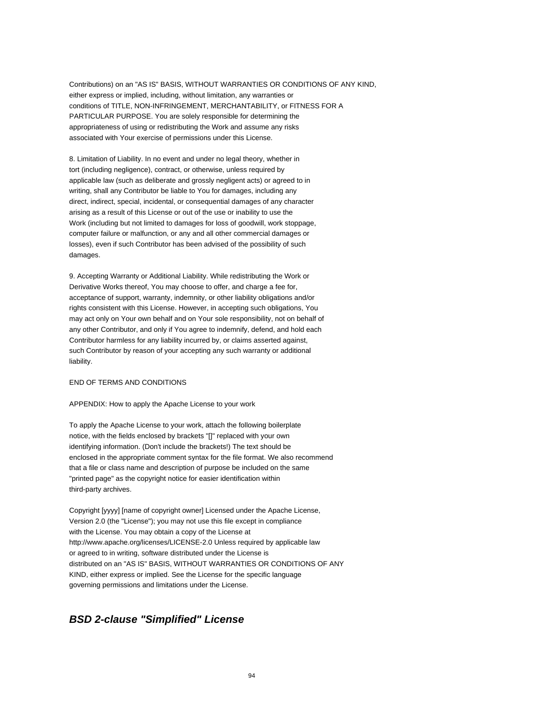Contributions) on an "AS IS" BASIS, WITHOUT WARRANTIES OR CONDITIONS OF ANY KIND, either express or implied, including, without limitation, any warranties or conditions of TITLE, NON-INFRINGEMENT, MERCHANTABILITY, or FITNESS FOR A PARTICULAR PURPOSE. You are solely responsible for determining the appropriateness of using or redistributing the Work and assume any risks associated with Your exercise of permissions under this License.

8. Limitation of Liability. In no event and under no legal theory, whether in tort (including negligence), contract, or otherwise, unless required by applicable law (such as deliberate and grossly negligent acts) or agreed to in writing, shall any Contributor be liable to You for damages, including any direct, indirect, special, incidental, or consequential damages of any character arising as a result of this License or out of the use or inability to use the Work (including but not limited to damages for loss of goodwill, work stoppage, computer failure or malfunction, or any and all other commercial damages or losses), even if such Contributor has been advised of the possibility of such damages.

9. Accepting Warranty or Additional Liability. While redistributing the Work or Derivative Works thereof, You may choose to offer, and charge a fee for, acceptance of support, warranty, indemnity, or other liability obligations and/or rights consistent with this License. However, in accepting such obligations, You may act only on Your own behalf and on Your sole responsibility, not on behalf of any other Contributor, and only if You agree to indemnify, defend, and hold each Contributor harmless for any liability incurred by, or claims asserted against, such Contributor by reason of your accepting any such warranty or additional liability.

#### END OF TERMS AND CONDITIONS

#### APPENDIX: How to apply the Apache License to your work

To apply the Apache License to your work, attach the following boilerplate notice, with the fields enclosed by brackets "[]" replaced with your own identifying information. (Don't include the brackets!) The text should be enclosed in the appropriate comment syntax for the file format. We also recommend that a file or class name and description of purpose be included on the same "printed page" as the copyright notice for easier identification within third-party archives.

Copyright [yyyy] [name of copyright owner] Licensed under the Apache License, Version 2.0 (the "License"); you may not use this file except in compliance with the License. You may obtain a copy of the License at http://www.apache.org/licenses/LICENSE-2.0 Unless required by applicable law or agreed to in writing, software distributed under the License is distributed on an "AS IS" BASIS, WITHOUT WARRANTIES OR CONDITIONS OF ANY KIND, either express or implied. See the License for the specific language governing permissions and limitations under the License.

#### **BSD 2-clause "Simplified" License**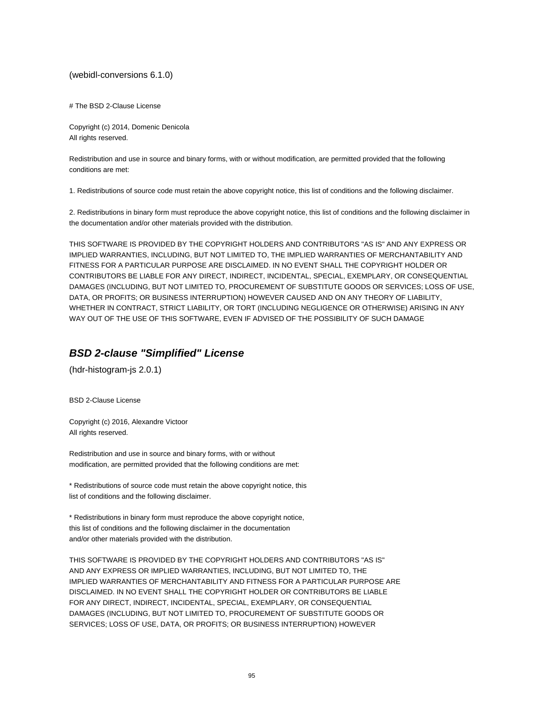(webidl-conversions 6.1.0)

# The BSD 2-Clause License

Copyright (c) 2014, Domenic Denicola All rights reserved.

Redistribution and use in source and binary forms, with or without modification, are permitted provided that the following conditions are met:

1. Redistributions of source code must retain the above copyright notice, this list of conditions and the following disclaimer.

2. Redistributions in binary form must reproduce the above copyright notice, this list of conditions and the following disclaimer in the documentation and/or other materials provided with the distribution.

THIS SOFTWARE IS PROVIDED BY THE COPYRIGHT HOLDERS AND CONTRIBUTORS "AS IS" AND ANY EXPRESS OR IMPLIED WARRANTIES, INCLUDING, BUT NOT LIMITED TO, THE IMPLIED WARRANTIES OF MERCHANTABILITY AND FITNESS FOR A PARTICULAR PURPOSE ARE DISCLAIMED. IN NO EVENT SHALL THE COPYRIGHT HOLDER OR CONTRIBUTORS BE LIABLE FOR ANY DIRECT, INDIRECT, INCIDENTAL, SPECIAL, EXEMPLARY, OR CONSEQUENTIAL DAMAGES (INCLUDING, BUT NOT LIMITED TO, PROCUREMENT OF SUBSTITUTE GOODS OR SERVICES; LOSS OF USE, DATA, OR PROFITS; OR BUSINESS INTERRUPTION) HOWEVER CAUSED AND ON ANY THEORY OF LIABILITY, WHETHER IN CONTRACT, STRICT LIABILITY, OR TORT (INCLUDING NEGLIGENCE OR OTHERWISE) ARISING IN ANY WAY OUT OF THE USE OF THIS SOFTWARE, EVEN IF ADVISED OF THE POSSIBILITY OF SUCH DAMAGE

### **BSD 2-clause "Simplified" License**

(hdr-histogram-js 2.0.1)

BSD 2-Clause License

Copyright (c) 2016, Alexandre Victoor All rights reserved.

Redistribution and use in source and binary forms, with or without modification, are permitted provided that the following conditions are met:

\* Redistributions of source code must retain the above copyright notice, this list of conditions and the following disclaimer.

\* Redistributions in binary form must reproduce the above copyright notice, this list of conditions and the following disclaimer in the documentation and/or other materials provided with the distribution.

THIS SOFTWARE IS PROVIDED BY THE COPYRIGHT HOLDERS AND CONTRIBUTORS "AS IS" AND ANY EXPRESS OR IMPLIED WARRANTIES, INCLUDING, BUT NOT LIMITED TO, THE IMPLIED WARRANTIES OF MERCHANTABILITY AND FITNESS FOR A PARTICULAR PURPOSE ARE DISCLAIMED. IN NO EVENT SHALL THE COPYRIGHT HOLDER OR CONTRIBUTORS BE LIABLE FOR ANY DIRECT, INDIRECT, INCIDENTAL, SPECIAL, EXEMPLARY, OR CONSEQUENTIAL DAMAGES (INCLUDING, BUT NOT LIMITED TO, PROCUREMENT OF SUBSTITUTE GOODS OR SERVICES; LOSS OF USE, DATA, OR PROFITS; OR BUSINESS INTERRUPTION) HOWEVER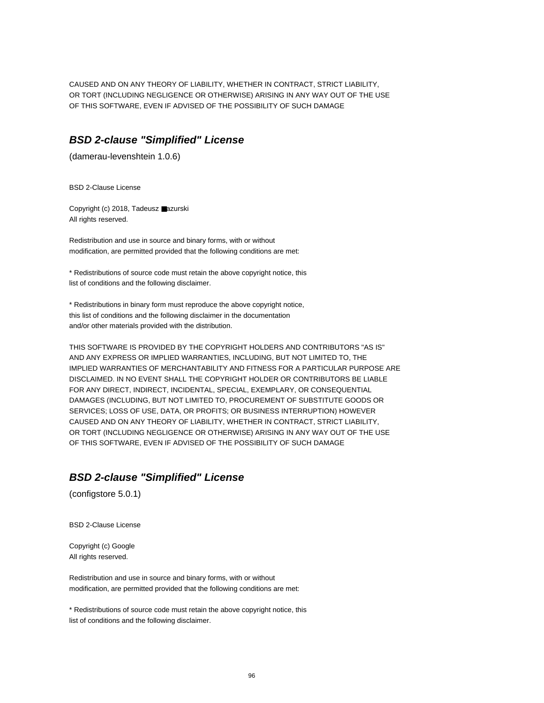CAUSED AND ON ANY THEORY OF LIABILITY, WHETHER IN CONTRACT, STRICT LIABILITY, OR TORT (INCLUDING NEGLIGENCE OR OTHERWISE) ARISING IN ANY WAY OUT OF THE USE OF THIS SOFTWARE, EVEN IF ADVISED OF THE POSSIBILITY OF SUCH DAMAGE

#### **BSD 2-clause "Simplified" License**

(damerau-levenshtein 1.0.6)

BSD 2-Clause License

Copyright (c) 2018, Tadeusz ■azurski All rights reserved.

Redistribution and use in source and binary forms, with or without modification, are permitted provided that the following conditions are met:

\* Redistributions of source code must retain the above copyright notice, this list of conditions and the following disclaimer.

\* Redistributions in binary form must reproduce the above copyright notice, this list of conditions and the following disclaimer in the documentation and/or other materials provided with the distribution.

THIS SOFTWARE IS PROVIDED BY THE COPYRIGHT HOLDERS AND CONTRIBUTORS "AS IS" AND ANY EXPRESS OR IMPLIED WARRANTIES, INCLUDING, BUT NOT LIMITED TO, THE IMPLIED WARRANTIES OF MERCHANTABILITY AND FITNESS FOR A PARTICULAR PURPOSE ARE DISCLAIMED. IN NO EVENT SHALL THE COPYRIGHT HOLDER OR CONTRIBUTORS BE LIABLE FOR ANY DIRECT, INDIRECT, INCIDENTAL, SPECIAL, EXEMPLARY, OR CONSEQUENTIAL DAMAGES (INCLUDING, BUT NOT LIMITED TO, PROCUREMENT OF SUBSTITUTE GOODS OR SERVICES; LOSS OF USE, DATA, OR PROFITS; OR BUSINESS INTERRUPTION) HOWEVER CAUSED AND ON ANY THEORY OF LIABILITY, WHETHER IN CONTRACT, STRICT LIABILITY, OR TORT (INCLUDING NEGLIGENCE OR OTHERWISE) ARISING IN ANY WAY OUT OF THE USE OF THIS SOFTWARE, EVEN IF ADVISED OF THE POSSIBILITY OF SUCH DAMAGE

### **BSD 2-clause "Simplified" License**

(configstore 5.0.1)

BSD 2-Clause License

Copyright (c) Google All rights reserved.

Redistribution and use in source and binary forms, with or without modification, are permitted provided that the following conditions are met:

\* Redistributions of source code must retain the above copyright notice, this list of conditions and the following disclaimer.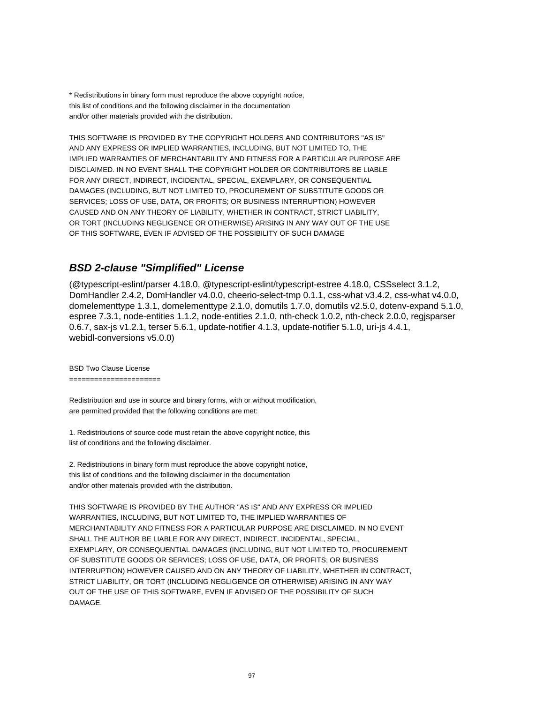\* Redistributions in binary form must reproduce the above copyright notice, this list of conditions and the following disclaimer in the documentation and/or other materials provided with the distribution.

THIS SOFTWARE IS PROVIDED BY THE COPYRIGHT HOLDERS AND CONTRIBUTORS "AS IS" AND ANY EXPRESS OR IMPLIED WARRANTIES, INCLUDING, BUT NOT LIMITED TO, THE IMPLIED WARRANTIES OF MERCHANTABILITY AND FITNESS FOR A PARTICULAR PURPOSE ARE DISCLAIMED. IN NO EVENT SHALL THE COPYRIGHT HOLDER OR CONTRIBUTORS BE LIABLE FOR ANY DIRECT, INDIRECT, INCIDENTAL, SPECIAL, EXEMPLARY, OR CONSEQUENTIAL DAMAGES (INCLUDING, BUT NOT LIMITED TO, PROCUREMENT OF SUBSTITUTE GOODS OR SERVICES; LOSS OF USE, DATA, OR PROFITS; OR BUSINESS INTERRUPTION) HOWEVER CAUSED AND ON ANY THEORY OF LIABILITY, WHETHER IN CONTRACT, STRICT LIABILITY, OR TORT (INCLUDING NEGLIGENCE OR OTHERWISE) ARISING IN ANY WAY OUT OF THE USE OF THIS SOFTWARE, EVEN IF ADVISED OF THE POSSIBILITY OF SUCH DAMAGE

### **BSD 2-clause "Simplified" License**

(@typescript-eslint/parser 4.18.0, @typescript-eslint/typescript-estree 4.18.0, CSSselect 3.1.2, DomHandler 2.4.2, DomHandler v4.0.0, cheerio-select-tmp 0.1.1, css-what v3.4.2, css-what v4.0.0, domelementtype 1.3.1, domelementtype 2.1.0, domutils 1.7.0, domutils v2.5.0, dotenv-expand 5.1.0, espree 7.3.1, node-entities 1.1.2, node-entities 2.1.0, nth-check 1.0.2, nth-check 2.0.0, regjsparser 0.6.7, sax-js v1.2.1, terser 5.6.1, update-notifier 4.1.3, update-notifier 5.1.0, uri-js 4.4.1, webidl-conversions v5.0.0)

BSD Two Clause License

======================

Redistribution and use in source and binary forms, with or without modification, are permitted provided that the following conditions are met:

1. Redistributions of source code must retain the above copyright notice, this list of conditions and the following disclaimer.

2. Redistributions in binary form must reproduce the above copyright notice, this list of conditions and the following disclaimer in the documentation and/or other materials provided with the distribution.

THIS SOFTWARE IS PROVIDED BY THE AUTHOR "AS IS" AND ANY EXPRESS OR IMPLIED WARRANTIES, INCLUDING, BUT NOT LIMITED TO, THE IMPLIED WARRANTIES OF MERCHANTABILITY AND FITNESS FOR A PARTICULAR PURPOSE ARE DISCLAIMED. IN NO EVENT SHALL THE AUTHOR BE LIABLE FOR ANY DIRECT, INDIRECT, INCIDENTAL, SPECIAL, EXEMPLARY, OR CONSEQUENTIAL DAMAGES (INCLUDING, BUT NOT LIMITED TO, PROCUREMENT OF SUBSTITUTE GOODS OR SERVICES; LOSS OF USE, DATA, OR PROFITS; OR BUSINESS INTERRUPTION) HOWEVER CAUSED AND ON ANY THEORY OF LIABILITY, WHETHER IN CONTRACT, STRICT LIABILITY, OR TORT (INCLUDING NEGLIGENCE OR OTHERWISE) ARISING IN ANY WAY OUT OF THE USE OF THIS SOFTWARE, EVEN IF ADVISED OF THE POSSIBILITY OF SUCH DAMAGE.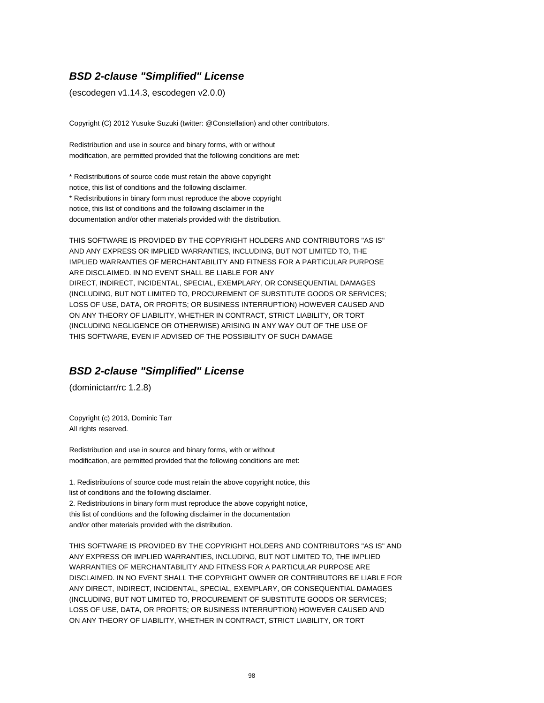# **BSD 2-clause "Simplified" License**

(escodegen v1.14.3, escodegen v2.0.0)

Copyright (C) 2012 Yusuke Suzuki (twitter: @Constellation) and other contributors.

Redistribution and use in source and binary forms, with or without modification, are permitted provided that the following conditions are met:

\* Redistributions of source code must retain the above copyright notice, this list of conditions and the following disclaimer. \* Redistributions in binary form must reproduce the above copyright notice, this list of conditions and the following disclaimer in the documentation and/or other materials provided with the distribution.

THIS SOFTWARE IS PROVIDED BY THE COPYRIGHT HOLDERS AND CONTRIBUTORS "AS IS" AND ANY EXPRESS OR IMPLIED WARRANTIES, INCLUDING, BUT NOT LIMITED TO, THE IMPLIED WARRANTIES OF MERCHANTABILITY AND FITNESS FOR A PARTICULAR PURPOSE ARE DISCLAIMED. IN NO EVENT SHALL BE LIABLE FOR ANY DIRECT, INDIRECT, INCIDENTAL, SPECIAL, EXEMPLARY, OR CONSEQUENTIAL DAMAGES (INCLUDING, BUT NOT LIMITED TO, PROCUREMENT OF SUBSTITUTE GOODS OR SERVICES; LOSS OF USE, DATA, OR PROFITS; OR BUSINESS INTERRUPTION) HOWEVER CAUSED AND ON ANY THEORY OF LIABILITY, WHETHER IN CONTRACT, STRICT LIABILITY, OR TORT (INCLUDING NEGLIGENCE OR OTHERWISE) ARISING IN ANY WAY OUT OF THE USE OF THIS SOFTWARE, EVEN IF ADVISED OF THE POSSIBILITY OF SUCH DAMAGE

### **BSD 2-clause "Simplified" License**

(dominictarr/rc 1.2.8)

Copyright (c) 2013, Dominic Tarr All rights reserved.

Redistribution and use in source and binary forms, with or without modification, are permitted provided that the following conditions are met:

1. Redistributions of source code must retain the above copyright notice, this list of conditions and the following disclaimer.

2. Redistributions in binary form must reproduce the above copyright notice, this list of conditions and the following disclaimer in the documentation and/or other materials provided with the distribution.

THIS SOFTWARE IS PROVIDED BY THE COPYRIGHT HOLDERS AND CONTRIBUTORS "AS IS" AND ANY EXPRESS OR IMPLIED WARRANTIES, INCLUDING, BUT NOT LIMITED TO, THE IMPLIED WARRANTIES OF MERCHANTABILITY AND FITNESS FOR A PARTICULAR PURPOSE ARE DISCLAIMED. IN NO EVENT SHALL THE COPYRIGHT OWNER OR CONTRIBUTORS BE LIABLE FOR ANY DIRECT, INDIRECT, INCIDENTAL, SPECIAL, EXEMPLARY, OR CONSEQUENTIAL DAMAGES (INCLUDING, BUT NOT LIMITED TO, PROCUREMENT OF SUBSTITUTE GOODS OR SERVICES; LOSS OF USE, DATA, OR PROFITS; OR BUSINESS INTERRUPTION) HOWEVER CAUSED AND ON ANY THEORY OF LIABILITY, WHETHER IN CONTRACT, STRICT LIABILITY, OR TORT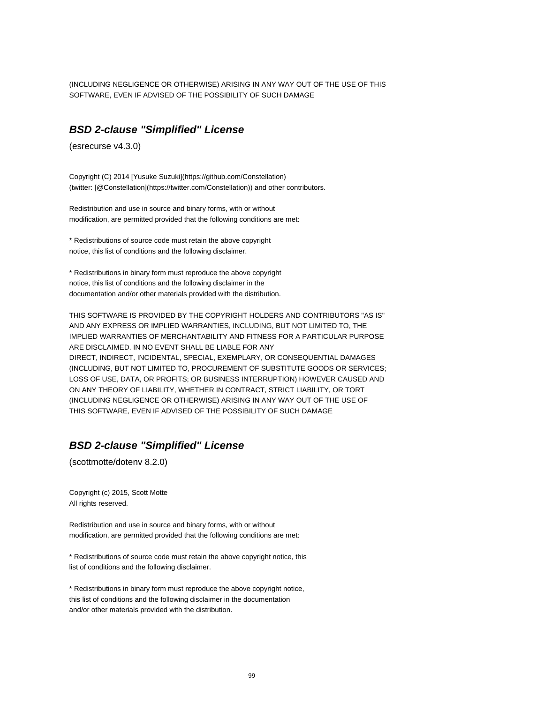(INCLUDING NEGLIGENCE OR OTHERWISE) ARISING IN ANY WAY OUT OF THE USE OF THIS SOFTWARE, EVEN IF ADVISED OF THE POSSIBILITY OF SUCH DAMAGE

#### **BSD 2-clause "Simplified" License**

(esrecurse v4.3.0)

Copyright (C) 2014 [Yusuke Suzuki](https://github.com/Constellation) (twitter: [@Constellation](https://twitter.com/Constellation)) and other contributors.

Redistribution and use in source and binary forms, with or without modification, are permitted provided that the following conditions are met:

\* Redistributions of source code must retain the above copyright notice, this list of conditions and the following disclaimer.

\* Redistributions in binary form must reproduce the above copyright notice, this list of conditions and the following disclaimer in the documentation and/or other materials provided with the distribution.

THIS SOFTWARE IS PROVIDED BY THE COPYRIGHT HOLDERS AND CONTRIBUTORS "AS IS" AND ANY EXPRESS OR IMPLIED WARRANTIES, INCLUDING, BUT NOT LIMITED TO, THE IMPLIED WARRANTIES OF MERCHANTABILITY AND FITNESS FOR A PARTICULAR PURPOSE ARE DISCLAIMED. IN NO EVENT SHALL BE LIABLE FOR ANY DIRECT, INDIRECT, INCIDENTAL, SPECIAL, EXEMPLARY, OR CONSEQUENTIAL DAMAGES (INCLUDING, BUT NOT LIMITED TO, PROCUREMENT OF SUBSTITUTE GOODS OR SERVICES; LOSS OF USE, DATA, OR PROFITS; OR BUSINESS INTERRUPTION) HOWEVER CAUSED AND ON ANY THEORY OF LIABILITY, WHETHER IN CONTRACT, STRICT LIABILITY, OR TORT (INCLUDING NEGLIGENCE OR OTHERWISE) ARISING IN ANY WAY OUT OF THE USE OF THIS SOFTWARE, EVEN IF ADVISED OF THE POSSIBILITY OF SUCH DAMAGE

#### **BSD 2-clause "Simplified" License**

(scottmotte/dotenv 8.2.0)

Copyright (c) 2015, Scott Motte All rights reserved.

Redistribution and use in source and binary forms, with or without modification, are permitted provided that the following conditions are met:

\* Redistributions of source code must retain the above copyright notice, this list of conditions and the following disclaimer.

\* Redistributions in binary form must reproduce the above copyright notice, this list of conditions and the following disclaimer in the documentation and/or other materials provided with the distribution.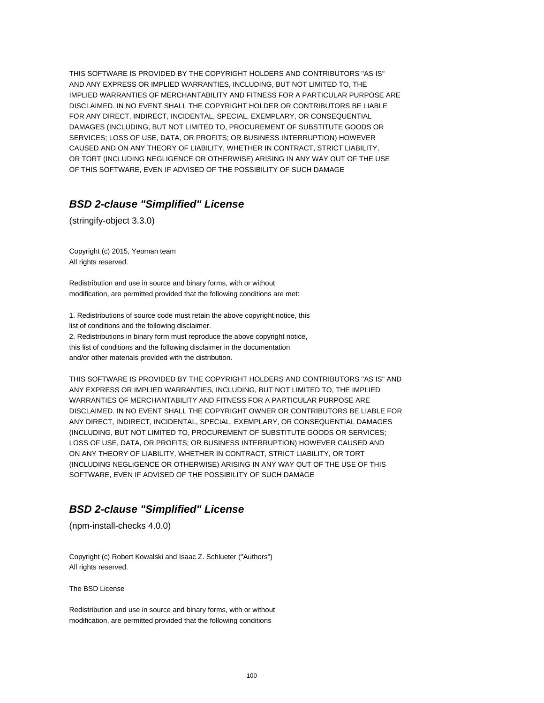THIS SOFTWARE IS PROVIDED BY THE COPYRIGHT HOLDERS AND CONTRIBUTORS "AS IS" AND ANY EXPRESS OR IMPLIED WARRANTIES, INCLUDING, BUT NOT LIMITED TO, THE IMPLIED WARRANTIES OF MERCHANTABILITY AND FITNESS FOR A PARTICULAR PURPOSE ARE DISCLAIMED. IN NO EVENT SHALL THE COPYRIGHT HOLDER OR CONTRIBUTORS BE LIABLE FOR ANY DIRECT, INDIRECT, INCIDENTAL, SPECIAL, EXEMPLARY, OR CONSEQUENTIAL DAMAGES (INCLUDING, BUT NOT LIMITED TO, PROCUREMENT OF SUBSTITUTE GOODS OR SERVICES; LOSS OF USE, DATA, OR PROFITS; OR BUSINESS INTERRUPTION) HOWEVER CAUSED AND ON ANY THEORY OF LIABILITY, WHETHER IN CONTRACT, STRICT LIABILITY, OR TORT (INCLUDING NEGLIGENCE OR OTHERWISE) ARISING IN ANY WAY OUT OF THE USE OF THIS SOFTWARE, EVEN IF ADVISED OF THE POSSIBILITY OF SUCH DAMAGE

### **BSD 2-clause "Simplified" License**

(stringify-object 3.3.0)

Copyright (c) 2015, Yeoman team All rights reserved.

Redistribution and use in source and binary forms, with or without modification, are permitted provided that the following conditions are met:

1. Redistributions of source code must retain the above copyright notice, this list of conditions and the following disclaimer. 2. Redistributions in binary form must reproduce the above copyright notice, this list of conditions and the following disclaimer in the documentation

and/or other materials provided with the distribution.

THIS SOFTWARE IS PROVIDED BY THE COPYRIGHT HOLDERS AND CONTRIBUTORS "AS IS" AND ANY EXPRESS OR IMPLIED WARRANTIES, INCLUDING, BUT NOT LIMITED TO, THE IMPLIED WARRANTIES OF MERCHANTABILITY AND FITNESS FOR A PARTICULAR PURPOSE ARE DISCLAIMED. IN NO EVENT SHALL THE COPYRIGHT OWNER OR CONTRIBUTORS BE LIABLE FOR ANY DIRECT, INDIRECT, INCIDENTAL, SPECIAL, EXEMPLARY, OR CONSEQUENTIAL DAMAGES (INCLUDING, BUT NOT LIMITED TO, PROCUREMENT OF SUBSTITUTE GOODS OR SERVICES; LOSS OF USE, DATA, OR PROFITS; OR BUSINESS INTERRUPTION) HOWEVER CAUSED AND ON ANY THEORY OF LIABILITY, WHETHER IN CONTRACT, STRICT LIABILITY, OR TORT (INCLUDING NEGLIGENCE OR OTHERWISE) ARISING IN ANY WAY OUT OF THE USE OF THIS SOFTWARE, EVEN IF ADVISED OF THE POSSIBILITY OF SUCH DAMAGE

# **BSD 2-clause "Simplified" License**

(npm-install-checks 4.0.0)

Copyright (c) Robert Kowalski and Isaac Z. Schlueter ("Authors") All rights reserved.

The BSD License

Redistribution and use in source and binary forms, with or without modification, are permitted provided that the following conditions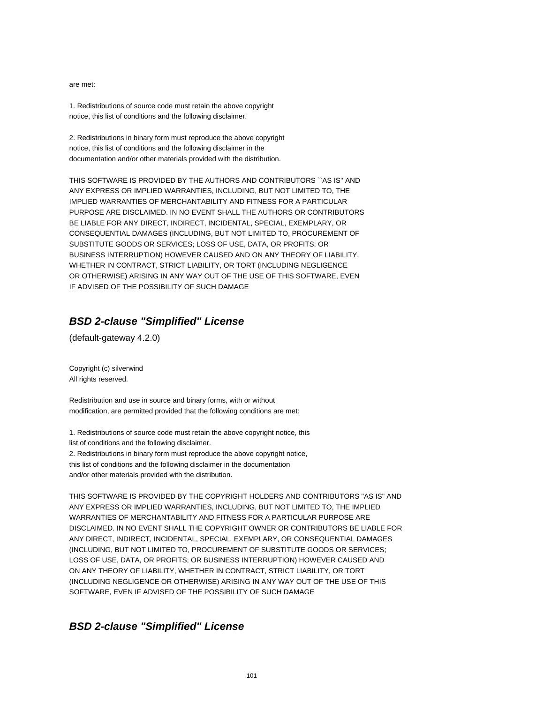are met:

1. Redistributions of source code must retain the above copyright notice, this list of conditions and the following disclaimer.

2. Redistributions in binary form must reproduce the above copyright notice, this list of conditions and the following disclaimer in the documentation and/or other materials provided with the distribution.

THIS SOFTWARE IS PROVIDED BY THE AUTHORS AND CONTRIBUTORS ``AS IS'' AND ANY EXPRESS OR IMPLIED WARRANTIES, INCLUDING, BUT NOT LIMITED TO, THE IMPLIED WARRANTIES OF MERCHANTABILITY AND FITNESS FOR A PARTICULAR PURPOSE ARE DISCLAIMED. IN NO EVENT SHALL THE AUTHORS OR CONTRIBUTORS BE LIABLE FOR ANY DIRECT, INDIRECT, INCIDENTAL, SPECIAL, EXEMPLARY, OR CONSEQUENTIAL DAMAGES (INCLUDING, BUT NOT LIMITED TO, PROCUREMENT OF SUBSTITUTE GOODS OR SERVICES; LOSS OF USE, DATA, OR PROFITS; OR BUSINESS INTERRUPTION) HOWEVER CAUSED AND ON ANY THEORY OF LIABILITY, WHETHER IN CONTRACT, STRICT LIABILITY, OR TORT (INCLUDING NEGLIGENCE OR OTHERWISE) ARISING IN ANY WAY OUT OF THE USE OF THIS SOFTWARE, EVEN IF ADVISED OF THE POSSIBILITY OF SUCH DAMAGE

## **BSD 2-clause "Simplified" License**

(default-gateway 4.2.0)

Copyright (c) silverwind All rights reserved.

Redistribution and use in source and binary forms, with or without modification, are permitted provided that the following conditions are met:

1. Redistributions of source code must retain the above copyright notice, this list of conditions and the following disclaimer. 2. Redistributions in binary form must reproduce the above copyright notice, this list of conditions and the following disclaimer in the documentation

and/or other materials provided with the distribution.

THIS SOFTWARE IS PROVIDED BY THE COPYRIGHT HOLDERS AND CONTRIBUTORS "AS IS" AND ANY EXPRESS OR IMPLIED WARRANTIES, INCLUDING, BUT NOT LIMITED TO, THE IMPLIED WARRANTIES OF MERCHANTABILITY AND FITNESS FOR A PARTICULAR PURPOSE ARE DISCLAIMED. IN NO EVENT SHALL THE COPYRIGHT OWNER OR CONTRIBUTORS BE LIABLE FOR ANY DIRECT, INDIRECT, INCIDENTAL, SPECIAL, EXEMPLARY, OR CONSEQUENTIAL DAMAGES (INCLUDING, BUT NOT LIMITED TO, PROCUREMENT OF SUBSTITUTE GOODS OR SERVICES; LOSS OF USE, DATA, OR PROFITS; OR BUSINESS INTERRUPTION) HOWEVER CAUSED AND ON ANY THEORY OF LIABILITY, WHETHER IN CONTRACT, STRICT LIABILITY, OR TORT (INCLUDING NEGLIGENCE OR OTHERWISE) ARISING IN ANY WAY OUT OF THE USE OF THIS SOFTWARE, EVEN IF ADVISED OF THE POSSIBILITY OF SUCH DAMAGE

### **BSD 2-clause "Simplified" License**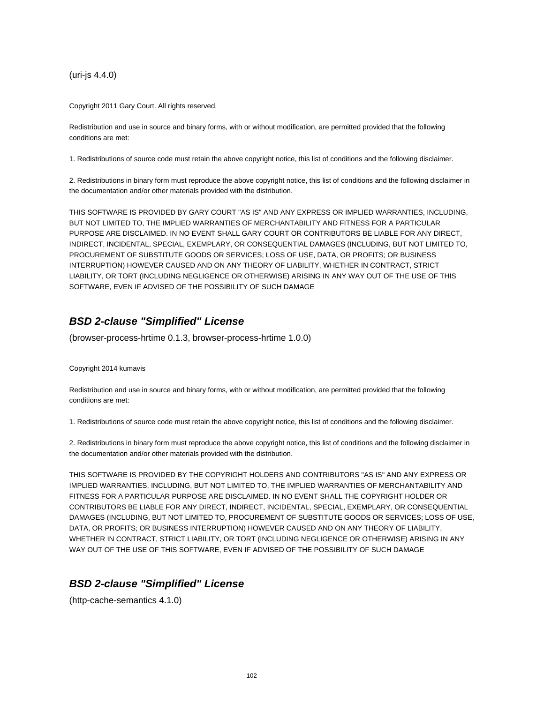(uri-js 4.4.0)

Copyright 2011 Gary Court. All rights reserved.

Redistribution and use in source and binary forms, with or without modification, are permitted provided that the following conditions are met:

1. Redistributions of source code must retain the above copyright notice, this list of conditions and the following disclaimer.

2. Redistributions in binary form must reproduce the above copyright notice, this list of conditions and the following disclaimer in the documentation and/or other materials provided with the distribution.

THIS SOFTWARE IS PROVIDED BY GARY COURT "AS IS" AND ANY EXPRESS OR IMPLIED WARRANTIES, INCLUDING, BUT NOT LIMITED TO, THE IMPLIED WARRANTIES OF MERCHANTABILITY AND FITNESS FOR A PARTICULAR PURPOSE ARE DISCLAIMED. IN NO EVENT SHALL GARY COURT OR CONTRIBUTORS BE LIABLE FOR ANY DIRECT, INDIRECT, INCIDENTAL, SPECIAL, EXEMPLARY, OR CONSEQUENTIAL DAMAGES (INCLUDING, BUT NOT LIMITED TO, PROCUREMENT OF SUBSTITUTE GOODS OR SERVICES; LOSS OF USE, DATA, OR PROFITS; OR BUSINESS INTERRUPTION) HOWEVER CAUSED AND ON ANY THEORY OF LIABILITY, WHETHER IN CONTRACT, STRICT LIABILITY, OR TORT (INCLUDING NEGLIGENCE OR OTHERWISE) ARISING IN ANY WAY OUT OF THE USE OF THIS SOFTWARE, EVEN IF ADVISED OF THE POSSIBILITY OF SUCH DAMAGE

# **BSD 2-clause "Simplified" License**

(browser-process-hrtime 0.1.3, browser-process-hrtime 1.0.0)

Copyright 2014 kumavis

Redistribution and use in source and binary forms, with or without modification, are permitted provided that the following conditions are met:

1. Redistributions of source code must retain the above copyright notice, this list of conditions and the following disclaimer.

2. Redistributions in binary form must reproduce the above copyright notice, this list of conditions and the following disclaimer in the documentation and/or other materials provided with the distribution.

THIS SOFTWARE IS PROVIDED BY THE COPYRIGHT HOLDERS AND CONTRIBUTORS "AS IS" AND ANY EXPRESS OR IMPLIED WARRANTIES, INCLUDING, BUT NOT LIMITED TO, THE IMPLIED WARRANTIES OF MERCHANTABILITY AND FITNESS FOR A PARTICULAR PURPOSE ARE DISCLAIMED. IN NO EVENT SHALL THE COPYRIGHT HOLDER OR CONTRIBUTORS BE LIABLE FOR ANY DIRECT, INDIRECT, INCIDENTAL, SPECIAL, EXEMPLARY, OR CONSEQUENTIAL DAMAGES (INCLUDING, BUT NOT LIMITED TO, PROCUREMENT OF SUBSTITUTE GOODS OR SERVICES; LOSS OF USE, DATA, OR PROFITS; OR BUSINESS INTERRUPTION) HOWEVER CAUSED AND ON ANY THEORY OF LIABILITY, WHETHER IN CONTRACT, STRICT LIABILITY, OR TORT (INCLUDING NEGLIGENCE OR OTHERWISE) ARISING IN ANY WAY OUT OF THE USE OF THIS SOFTWARE, EVEN IF ADVISED OF THE POSSIBILITY OF SUCH DAMAGE

### **BSD 2-clause "Simplified" License**

(http-cache-semantics 4.1.0)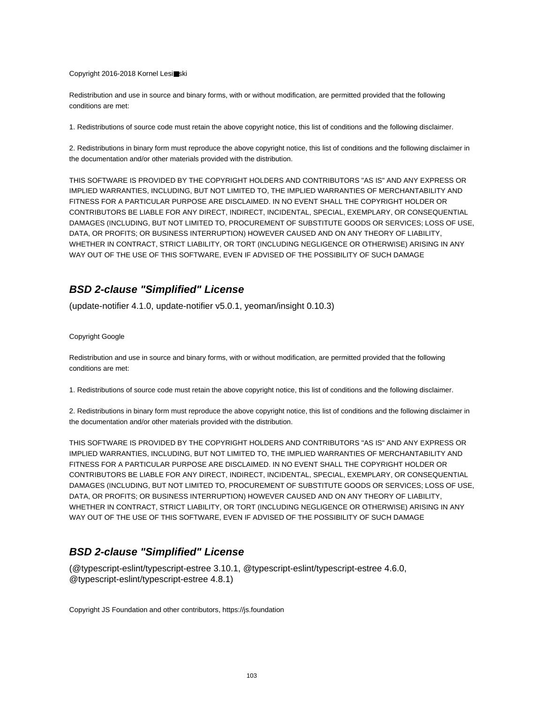#### Copyright 2016-2018 Kornel Lesi■ski

Redistribution and use in source and binary forms, with or without modification, are permitted provided that the following conditions are met:

1. Redistributions of source code must retain the above copyright notice, this list of conditions and the following disclaimer.

2. Redistributions in binary form must reproduce the above copyright notice, this list of conditions and the following disclaimer in the documentation and/or other materials provided with the distribution.

THIS SOFTWARE IS PROVIDED BY THE COPYRIGHT HOLDERS AND CONTRIBUTORS "AS IS" AND ANY EXPRESS OR IMPLIED WARRANTIES, INCLUDING, BUT NOT LIMITED TO, THE IMPLIED WARRANTIES OF MERCHANTABILITY AND FITNESS FOR A PARTICULAR PURPOSE ARE DISCLAIMED. IN NO EVENT SHALL THE COPYRIGHT HOLDER OR CONTRIBUTORS BE LIABLE FOR ANY DIRECT, INDIRECT, INCIDENTAL, SPECIAL, EXEMPLARY, OR CONSEQUENTIAL DAMAGES (INCLUDING, BUT NOT LIMITED TO, PROCUREMENT OF SUBSTITUTE GOODS OR SERVICES; LOSS OF USE, DATA, OR PROFITS; OR BUSINESS INTERRUPTION) HOWEVER CAUSED AND ON ANY THEORY OF LIABILITY, WHETHER IN CONTRACT, STRICT LIABILITY, OR TORT (INCLUDING NEGLIGENCE OR OTHERWISE) ARISING IN ANY WAY OUT OF THE USE OF THIS SOFTWARE, EVEN IF ADVISED OF THE POSSIBILITY OF SUCH DAMAGE

### **BSD 2-clause "Simplified" License**

(update-notifier 4.1.0, update-notifier v5.0.1, yeoman/insight 0.10.3)

#### Copyright Google

Redistribution and use in source and binary forms, with or without modification, are permitted provided that the following conditions are met:

1. Redistributions of source code must retain the above copyright notice, this list of conditions and the following disclaimer.

2. Redistributions in binary form must reproduce the above copyright notice, this list of conditions and the following disclaimer in the documentation and/or other materials provided with the distribution.

THIS SOFTWARE IS PROVIDED BY THE COPYRIGHT HOLDERS AND CONTRIBUTORS "AS IS" AND ANY EXPRESS OR IMPLIED WARRANTIES, INCLUDING, BUT NOT LIMITED TO, THE IMPLIED WARRANTIES OF MERCHANTABILITY AND FITNESS FOR A PARTICULAR PURPOSE ARE DISCLAIMED. IN NO EVENT SHALL THE COPYRIGHT HOLDER OR CONTRIBUTORS BE LIABLE FOR ANY DIRECT, INDIRECT, INCIDENTAL, SPECIAL, EXEMPLARY, OR CONSEQUENTIAL DAMAGES (INCLUDING, BUT NOT LIMITED TO, PROCUREMENT OF SUBSTITUTE GOODS OR SERVICES; LOSS OF USE, DATA, OR PROFITS; OR BUSINESS INTERRUPTION) HOWEVER CAUSED AND ON ANY THEORY OF LIABILITY, WHETHER IN CONTRACT, STRICT LIABILITY, OR TORT (INCLUDING NEGLIGENCE OR OTHERWISE) ARISING IN ANY WAY OUT OF THE USE OF THIS SOFTWARE, EVEN IF ADVISED OF THE POSSIBILITY OF SUCH DAMAGE

## **BSD 2-clause "Simplified" License**

(@typescript-eslint/typescript-estree 3.10.1, @typescript-eslint/typescript-estree 4.6.0, @typescript-eslint/typescript-estree 4.8.1)

Copyright JS Foundation and other contributors, https://js.foundation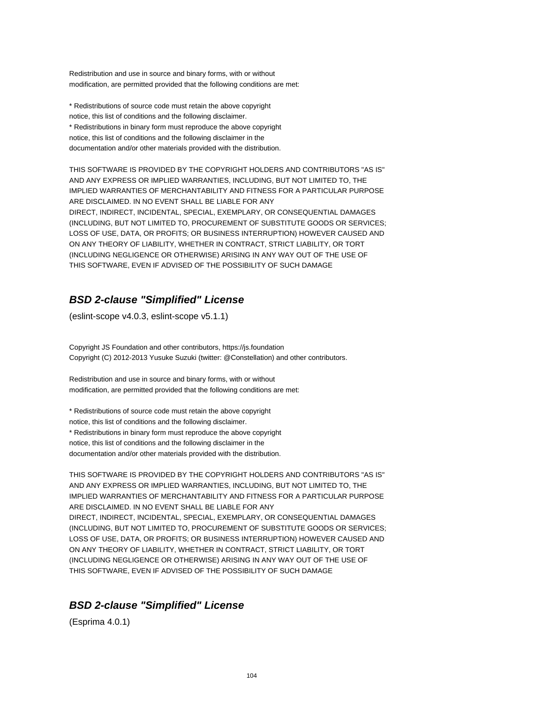Redistribution and use in source and binary forms, with or without modification, are permitted provided that the following conditions are met:

\* Redistributions of source code must retain the above copyright notice, this list of conditions and the following disclaimer. \* Redistributions in binary form must reproduce the above copyright notice, this list of conditions and the following disclaimer in the documentation and/or other materials provided with the distribution.

THIS SOFTWARE IS PROVIDED BY THE COPYRIGHT HOLDERS AND CONTRIBUTORS "AS IS" AND ANY EXPRESS OR IMPLIED WARRANTIES, INCLUDING, BUT NOT LIMITED TO, THE IMPLIED WARRANTIES OF MERCHANTABILITY AND FITNESS FOR A PARTICULAR PURPOSE ARE DISCLAIMED. IN NO EVENT SHALL BE LIABLE FOR ANY DIRECT, INDIRECT, INCIDENTAL, SPECIAL, EXEMPLARY, OR CONSEQUENTIAL DAMAGES (INCLUDING, BUT NOT LIMITED TO, PROCUREMENT OF SUBSTITUTE GOODS OR SERVICES; LOSS OF USE, DATA, OR PROFITS; OR BUSINESS INTERRUPTION) HOWEVER CAUSED AND ON ANY THEORY OF LIABILITY, WHETHER IN CONTRACT, STRICT LIABILITY, OR TORT (INCLUDING NEGLIGENCE OR OTHERWISE) ARISING IN ANY WAY OUT OF THE USE OF THIS SOFTWARE, EVEN IF ADVISED OF THE POSSIBILITY OF SUCH DAMAGE

## **BSD 2-clause "Simplified" License**

(eslint-scope v4.0.3, eslint-scope v5.1.1)

Copyright JS Foundation and other contributors, https://js.foundation Copyright (C) 2012-2013 Yusuke Suzuki (twitter: @Constellation) and other contributors.

Redistribution and use in source and binary forms, with or without modification, are permitted provided that the following conditions are met:

\* Redistributions of source code must retain the above copyright notice, this list of conditions and the following disclaimer. \* Redistributions in binary form must reproduce the above copyright notice, this list of conditions and the following disclaimer in the documentation and/or other materials provided with the distribution.

THIS SOFTWARE IS PROVIDED BY THE COPYRIGHT HOLDERS AND CONTRIBUTORS "AS IS" AND ANY EXPRESS OR IMPLIED WARRANTIES, INCLUDING, BUT NOT LIMITED TO, THE IMPLIED WARRANTIES OF MERCHANTABILITY AND FITNESS FOR A PARTICULAR PURPOSE ARE DISCLAIMED. IN NO EVENT SHALL BE LIABLE FOR ANY DIRECT, INDIRECT, INCIDENTAL, SPECIAL, EXEMPLARY, OR CONSEQUENTIAL DAMAGES (INCLUDING, BUT NOT LIMITED TO, PROCUREMENT OF SUBSTITUTE GOODS OR SERVICES; LOSS OF USE, DATA, OR PROFITS; OR BUSINESS INTERRUPTION) HOWEVER CAUSED AND ON ANY THEORY OF LIABILITY, WHETHER IN CONTRACT, STRICT LIABILITY, OR TORT (INCLUDING NEGLIGENCE OR OTHERWISE) ARISING IN ANY WAY OUT OF THE USE OF THIS SOFTWARE, EVEN IF ADVISED OF THE POSSIBILITY OF SUCH DAMAGE

# **BSD 2-clause "Simplified" License**

(Esprima 4.0.1)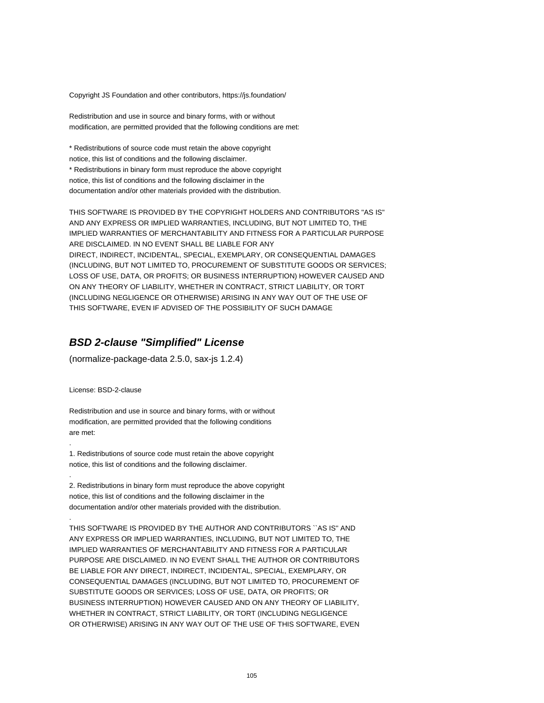Copyright JS Foundation and other contributors, https://js.foundation/

Redistribution and use in source and binary forms, with or without modification, are permitted provided that the following conditions are met:

\* Redistributions of source code must retain the above copyright notice, this list of conditions and the following disclaimer. \* Redistributions in binary form must reproduce the above copyright notice, this list of conditions and the following disclaimer in the documentation and/or other materials provided with the distribution.

THIS SOFTWARE IS PROVIDED BY THE COPYRIGHT HOLDERS AND CONTRIBUTORS "AS IS" AND ANY EXPRESS OR IMPLIED WARRANTIES, INCLUDING, BUT NOT LIMITED TO, THE IMPLIED WARRANTIES OF MERCHANTABILITY AND FITNESS FOR A PARTICULAR PURPOSE ARE DISCLAIMED. IN NO EVENT SHALL BE LIABLE FOR ANY DIRECT, INDIRECT, INCIDENTAL, SPECIAL, EXEMPLARY, OR CONSEQUENTIAL DAMAGES (INCLUDING, BUT NOT LIMITED TO, PROCUREMENT OF SUBSTITUTE GOODS OR SERVICES; LOSS OF USE, DATA, OR PROFITS; OR BUSINESS INTERRUPTION) HOWEVER CAUSED AND ON ANY THEORY OF LIABILITY, WHETHER IN CONTRACT, STRICT LIABILITY, OR TORT (INCLUDING NEGLIGENCE OR OTHERWISE) ARISING IN ANY WAY OUT OF THE USE OF THIS SOFTWARE, EVEN IF ADVISED OF THE POSSIBILITY OF SUCH DAMAGE

#### **BSD 2-clause "Simplified" License**

(normalize-package-data 2.5.0, sax-js 1.2.4)

License: BSD-2-clause

.

.

.

Redistribution and use in source and binary forms, with or without modification, are permitted provided that the following conditions are met:

1. Redistributions of source code must retain the above copyright notice, this list of conditions and the following disclaimer.

2. Redistributions in binary form must reproduce the above copyright notice, this list of conditions and the following disclaimer in the documentation and/or other materials provided with the distribution.

THIS SOFTWARE IS PROVIDED BY THE AUTHOR AND CONTRIBUTORS ``AS IS'' AND ANY EXPRESS OR IMPLIED WARRANTIES, INCLUDING, BUT NOT LIMITED TO, THE IMPLIED WARRANTIES OF MERCHANTABILITY AND FITNESS FOR A PARTICULAR PURPOSE ARE DISCLAIMED. IN NO EVENT SHALL THE AUTHOR OR CONTRIBUTORS BE LIABLE FOR ANY DIRECT, INDIRECT, INCIDENTAL, SPECIAL, EXEMPLARY, OR CONSEQUENTIAL DAMAGES (INCLUDING, BUT NOT LIMITED TO, PROCUREMENT OF SUBSTITUTE GOODS OR SERVICES; LOSS OF USE, DATA, OR PROFITS; OR BUSINESS INTERRUPTION) HOWEVER CAUSED AND ON ANY THEORY OF LIABILITY, WHETHER IN CONTRACT, STRICT LIABILITY, OR TORT (INCLUDING NEGLIGENCE OR OTHERWISE) ARISING IN ANY WAY OUT OF THE USE OF THIS SOFTWARE, EVEN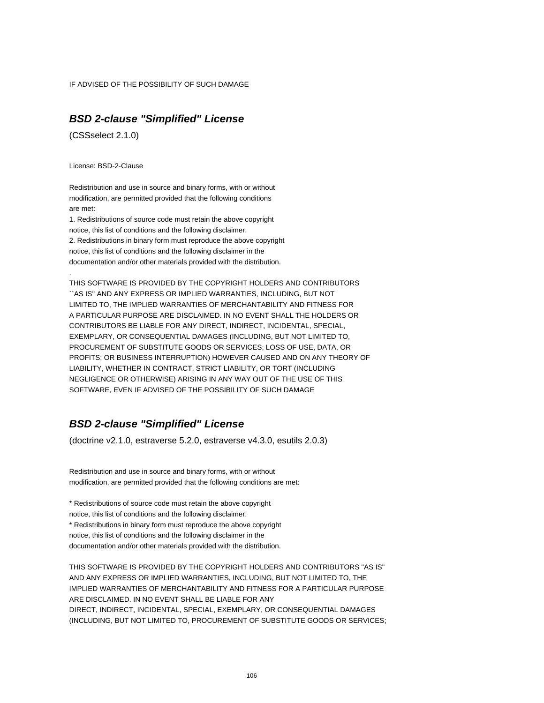IF ADVISED OF THE POSSIBILITY OF SUCH DAMAGE

### **BSD 2-clause "Simplified" License**

(CSSselect 2.1.0)

License: BSD-2-Clause

.

Redistribution and use in source and binary forms, with or without modification, are permitted provided that the following conditions are met:

1. Redistributions of source code must retain the above copyright notice, this list of conditions and the following disclaimer. 2. Redistributions in binary form must reproduce the above copyright notice, this list of conditions and the following disclaimer in the documentation and/or other materials provided with the distribution.

THIS SOFTWARE IS PROVIDED BY THE COPYRIGHT HOLDERS AND CONTRIBUTORS ``AS IS'' AND ANY EXPRESS OR IMPLIED WARRANTIES, INCLUDING, BUT NOT LIMITED TO, THE IMPLIED WARRANTIES OF MERCHANTABILITY AND FITNESS FOR A PARTICULAR PURPOSE ARE DISCLAIMED. IN NO EVENT SHALL THE HOLDERS OR CONTRIBUTORS BE LIABLE FOR ANY DIRECT, INDIRECT, INCIDENTAL, SPECIAL, EXEMPLARY, OR CONSEQUENTIAL DAMAGES (INCLUDING, BUT NOT LIMITED TO, PROCUREMENT OF SUBSTITUTE GOODS OR SERVICES; LOSS OF USE, DATA, OR PROFITS; OR BUSINESS INTERRUPTION) HOWEVER CAUSED AND ON ANY THEORY OF LIABILITY, WHETHER IN CONTRACT, STRICT LIABILITY, OR TORT (INCLUDING NEGLIGENCE OR OTHERWISE) ARISING IN ANY WAY OUT OF THE USE OF THIS SOFTWARE, EVEN IF ADVISED OF THE POSSIBILITY OF SUCH DAMAGE

## **BSD 2-clause "Simplified" License**

(doctrine v2.1.0, estraverse 5.2.0, estraverse v4.3.0, esutils 2.0.3)

Redistribution and use in source and binary forms, with or without modification, are permitted provided that the following conditions are met:

\* Redistributions of source code must retain the above copyright notice, this list of conditions and the following disclaimer. \* Redistributions in binary form must reproduce the above copyright notice, this list of conditions and the following disclaimer in the

documentation and/or other materials provided with the distribution.

THIS SOFTWARE IS PROVIDED BY THE COPYRIGHT HOLDERS AND CONTRIBUTORS "AS IS" AND ANY EXPRESS OR IMPLIED WARRANTIES, INCLUDING, BUT NOT LIMITED TO, THE IMPLIED WARRANTIES OF MERCHANTABILITY AND FITNESS FOR A PARTICULAR PURPOSE ARE DISCLAIMED. IN NO EVENT SHALL BE LIABLE FOR ANY DIRECT, INDIRECT, INCIDENTAL, SPECIAL, EXEMPLARY, OR CONSEQUENTIAL DAMAGES (INCLUDING, BUT NOT LIMITED TO, PROCUREMENT OF SUBSTITUTE GOODS OR SERVICES;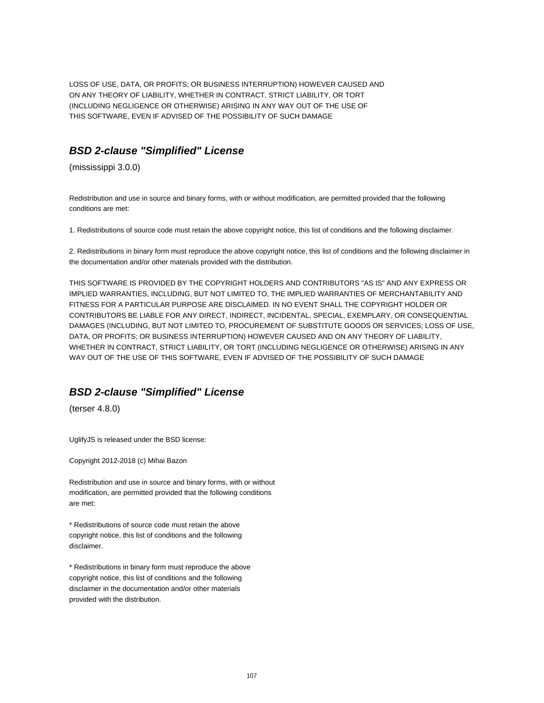LOSS OF USE, DATA, OR PROFITS; OR BUSINESS INTERRUPTION) HOWEVER CAUSED AND ON ANY THEORY OF LIABILITY, WHETHER IN CONTRACT, STRICT LIABILITY, OR TORT (INCLUDING NEGLIGENCE OR OTHERWISE) ARISING IN ANY WAY OUT OF THE USE OF THIS SOFTWARE, EVEN IF ADVISED OF THE POSSIBILITY OF SUCH DAMAGE

## **BSD 2-clause "Simplified" License**

(mississippi 3.0.0)

Redistribution and use in source and binary forms, with or without modification, are permitted provided that the following conditions are met:

1. Redistributions of source code must retain the above copyright notice, this list of conditions and the following disclaimer.

2. Redistributions in binary form must reproduce the above copyright notice, this list of conditions and the following disclaimer in the documentation and/or other materials provided with the distribution.

THIS SOFTWARE IS PROVIDED BY THE COPYRIGHT HOLDERS AND CONTRIBUTORS "AS IS" AND ANY EXPRESS OR IMPLIED WARRANTIES, INCLUDING, BUT NOT LIMITED TO, THE IMPLIED WARRANTIES OF MERCHANTABILITY AND FITNESS FOR A PARTICULAR PURPOSE ARE DISCLAIMED. IN NO EVENT SHALL THE COPYRIGHT HOLDER OR CONTRIBUTORS BE LIABLE FOR ANY DIRECT, INDIRECT, INCIDENTAL, SPECIAL, EXEMPLARY, OR CONSEQUENTIAL DAMAGES (INCLUDING, BUT NOT LIMITED TO, PROCUREMENT OF SUBSTITUTE GOODS OR SERVICES; LOSS OF USE, DATA, OR PROFITS; OR BUSINESS INTERRUPTION) HOWEVER CAUSED AND ON ANY THEORY OF LIABILITY, WHETHER IN CONTRACT, STRICT LIABILITY, OR TORT (INCLUDING NEGLIGENCE OR OTHERWISE) ARISING IN ANY WAY OUT OF THE USE OF THIS SOFTWARE, EVEN IF ADVISED OF THE POSSIBILITY OF SUCH DAMAGE

# **BSD 2-clause "Simplified" License**

(terser 4.8.0)

UglifyJS is released under the BSD license:

Copyright 2012-2018 (c) Mihai Bazon

Redistribution and use in source and binary forms, with or without modification, are permitted provided that the following conditions are met:

\* Redistributions of source code must retain the above copyright notice, this list of conditions and the following disclaimer.

\* Redistributions in binary form must reproduce the above copyright notice, this list of conditions and the following disclaimer in the documentation and/or other materials provided with the distribution.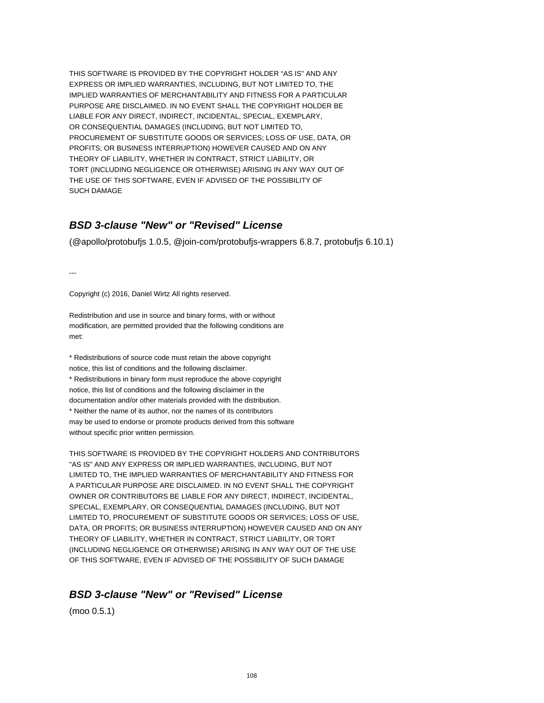THIS SOFTWARE IS PROVIDED BY THE COPYRIGHT HOLDER "AS IS" AND ANY EXPRESS OR IMPLIED WARRANTIES, INCLUDING, BUT NOT LIMITED TO, THE IMPLIED WARRANTIES OF MERCHANTABILITY AND FITNESS FOR A PARTICULAR PURPOSE ARE DISCLAIMED. IN NO EVENT SHALL THE COPYRIGHT HOLDER BE LIABLE FOR ANY DIRECT, INDIRECT, INCIDENTAL, SPECIAL, EXEMPLARY, OR CONSEQUENTIAL DAMAGES (INCLUDING, BUT NOT LIMITED TO, PROCUREMENT OF SUBSTITUTE GOODS OR SERVICES; LOSS OF USE, DATA, OR PROFITS; OR BUSINESS INTERRUPTION) HOWEVER CAUSED AND ON ANY THEORY OF LIABILITY, WHETHER IN CONTRACT, STRICT LIABILITY, OR TORT (INCLUDING NEGLIGENCE OR OTHERWISE) ARISING IN ANY WAY OUT OF THE USE OF THIS SOFTWARE, EVEN IF ADVISED OF THE POSSIBILITY OF SUCH DAMAGE

## **BSD 3-clause "New" or "Revised" License**

(@apollo/protobufjs 1.0.5, @join-com/protobufjs-wrappers 6.8.7, protobufjs 6.10.1)

---

Copyright (c) 2016, Daniel Wirtz All rights reserved.

Redistribution and use in source and binary forms, with or without modification, are permitted provided that the following conditions are met:

\* Redistributions of source code must retain the above copyright notice, this list of conditions and the following disclaimer. \* Redistributions in binary form must reproduce the above copyright notice, this list of conditions and the following disclaimer in the documentation and/or other materials provided with the distribution. \* Neither the name of its author, nor the names of its contributors may be used to endorse or promote products derived from this software without specific prior written permission.

THIS SOFTWARE IS PROVIDED BY THE COPYRIGHT HOLDERS AND CONTRIBUTORS "AS IS" AND ANY EXPRESS OR IMPLIED WARRANTIES, INCLUDING, BUT NOT LIMITED TO, THE IMPLIED WARRANTIES OF MERCHANTABILITY AND FITNESS FOR A PARTICULAR PURPOSE ARE DISCLAIMED. IN NO EVENT SHALL THE COPYRIGHT OWNER OR CONTRIBUTORS BE LIABLE FOR ANY DIRECT, INDIRECT, INCIDENTAL, SPECIAL, EXEMPLARY, OR CONSEQUENTIAL DAMAGES (INCLUDING, BUT NOT LIMITED TO, PROCUREMENT OF SUBSTITUTE GOODS OR SERVICES; LOSS OF USE, DATA, OR PROFITS; OR BUSINESS INTERRUPTION) HOWEVER CAUSED AND ON ANY THEORY OF LIABILITY, WHETHER IN CONTRACT, STRICT LIABILITY, OR TORT (INCLUDING NEGLIGENCE OR OTHERWISE) ARISING IN ANY WAY OUT OF THE USE OF THIS SOFTWARE, EVEN IF ADVISED OF THE POSSIBILITY OF SUCH DAMAGE

### **BSD 3-clause "New" or "Revised" License**

(moo 0.5.1)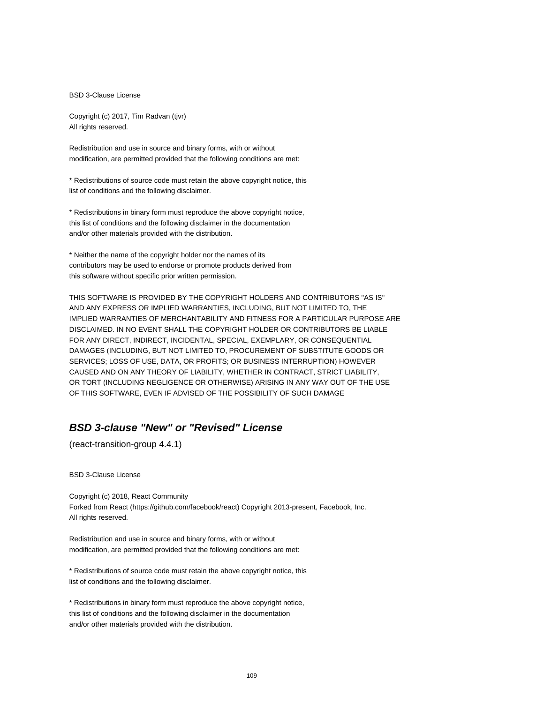BSD 3-Clause License

Copyright (c) 2017, Tim Radvan (tjvr) All rights reserved.

Redistribution and use in source and binary forms, with or without modification, are permitted provided that the following conditions are met:

\* Redistributions of source code must retain the above copyright notice, this list of conditions and the following disclaimer.

\* Redistributions in binary form must reproduce the above copyright notice, this list of conditions and the following disclaimer in the documentation and/or other materials provided with the distribution.

\* Neither the name of the copyright holder nor the names of its contributors may be used to endorse or promote products derived from this software without specific prior written permission.

THIS SOFTWARE IS PROVIDED BY THE COPYRIGHT HOLDERS AND CONTRIBUTORS "AS IS" AND ANY EXPRESS OR IMPLIED WARRANTIES, INCLUDING, BUT NOT LIMITED TO, THE IMPLIED WARRANTIES OF MERCHANTABILITY AND FITNESS FOR A PARTICULAR PURPOSE ARE DISCLAIMED. IN NO EVENT SHALL THE COPYRIGHT HOLDER OR CONTRIBUTORS BE LIABLE FOR ANY DIRECT, INDIRECT, INCIDENTAL, SPECIAL, EXEMPLARY, OR CONSEQUENTIAL DAMAGES (INCLUDING, BUT NOT LIMITED TO, PROCUREMENT OF SUBSTITUTE GOODS OR SERVICES; LOSS OF USE, DATA, OR PROFITS; OR BUSINESS INTERRUPTION) HOWEVER CAUSED AND ON ANY THEORY OF LIABILITY, WHETHER IN CONTRACT, STRICT LIABILITY, OR TORT (INCLUDING NEGLIGENCE OR OTHERWISE) ARISING IN ANY WAY OUT OF THE USE OF THIS SOFTWARE, EVEN IF ADVISED OF THE POSSIBILITY OF SUCH DAMAGE

#### **BSD 3-clause "New" or "Revised" License**

(react-transition-group 4.4.1)

BSD 3-Clause License

Copyright (c) 2018, React Community Forked from React (https://github.com/facebook/react) Copyright 2013-present, Facebook, Inc. All rights reserved.

Redistribution and use in source and binary forms, with or without modification, are permitted provided that the following conditions are met:

\* Redistributions of source code must retain the above copyright notice, this list of conditions and the following disclaimer.

\* Redistributions in binary form must reproduce the above copyright notice, this list of conditions and the following disclaimer in the documentation and/or other materials provided with the distribution.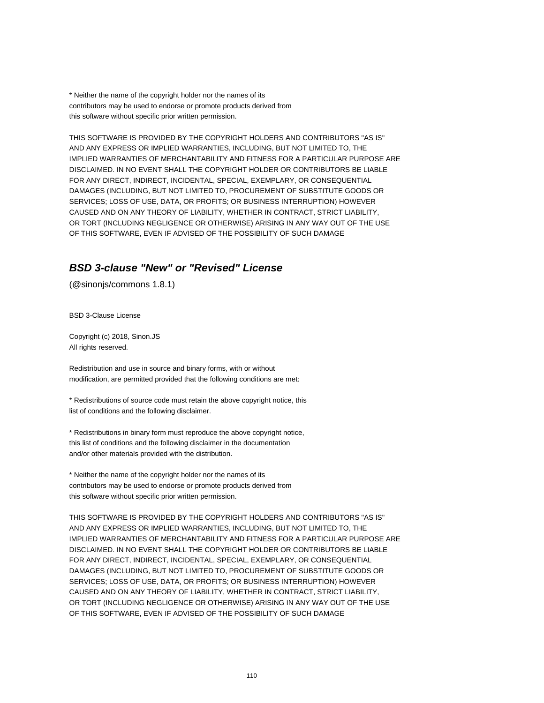\* Neither the name of the copyright holder nor the names of its contributors may be used to endorse or promote products derived from this software without specific prior written permission.

THIS SOFTWARE IS PROVIDED BY THE COPYRIGHT HOLDERS AND CONTRIBUTORS "AS IS" AND ANY EXPRESS OR IMPLIED WARRANTIES, INCLUDING, BUT NOT LIMITED TO, THE IMPLIED WARRANTIES OF MERCHANTABILITY AND FITNESS FOR A PARTICULAR PURPOSE ARE DISCLAIMED. IN NO EVENT SHALL THE COPYRIGHT HOLDER OR CONTRIBUTORS BE LIABLE FOR ANY DIRECT, INDIRECT, INCIDENTAL, SPECIAL, EXEMPLARY, OR CONSEQUENTIAL DAMAGES (INCLUDING, BUT NOT LIMITED TO, PROCUREMENT OF SUBSTITUTE GOODS OR SERVICES; LOSS OF USE, DATA, OR PROFITS; OR BUSINESS INTERRUPTION) HOWEVER CAUSED AND ON ANY THEORY OF LIABILITY, WHETHER IN CONTRACT, STRICT LIABILITY, OR TORT (INCLUDING NEGLIGENCE OR OTHERWISE) ARISING IN ANY WAY OUT OF THE USE OF THIS SOFTWARE, EVEN IF ADVISED OF THE POSSIBILITY OF SUCH DAMAGE

### **BSD 3-clause "New" or "Revised" License**

(@sinonjs/commons 1.8.1)

BSD 3-Clause License

Copyright (c) 2018, Sinon.JS All rights reserved.

Redistribution and use in source and binary forms, with or without modification, are permitted provided that the following conditions are met:

\* Redistributions of source code must retain the above copyright notice, this list of conditions and the following disclaimer.

\* Redistributions in binary form must reproduce the above copyright notice, this list of conditions and the following disclaimer in the documentation and/or other materials provided with the distribution.

\* Neither the name of the copyright holder nor the names of its contributors may be used to endorse or promote products derived from this software without specific prior written permission.

THIS SOFTWARE IS PROVIDED BY THE COPYRIGHT HOLDERS AND CONTRIBUTORS "AS IS" AND ANY EXPRESS OR IMPLIED WARRANTIES, INCLUDING, BUT NOT LIMITED TO, THE IMPLIED WARRANTIES OF MERCHANTABILITY AND FITNESS FOR A PARTICULAR PURPOSE ARE DISCLAIMED. IN NO EVENT SHALL THE COPYRIGHT HOLDER OR CONTRIBUTORS BE LIABLE FOR ANY DIRECT, INDIRECT, INCIDENTAL, SPECIAL, EXEMPLARY, OR CONSEQUENTIAL DAMAGES (INCLUDING, BUT NOT LIMITED TO, PROCUREMENT OF SUBSTITUTE GOODS OR SERVICES; LOSS OF USE, DATA, OR PROFITS; OR BUSINESS INTERRUPTION) HOWEVER CAUSED AND ON ANY THEORY OF LIABILITY, WHETHER IN CONTRACT, STRICT LIABILITY, OR TORT (INCLUDING NEGLIGENCE OR OTHERWISE) ARISING IN ANY WAY OUT OF THE USE OF THIS SOFTWARE, EVEN IF ADVISED OF THE POSSIBILITY OF SUCH DAMAGE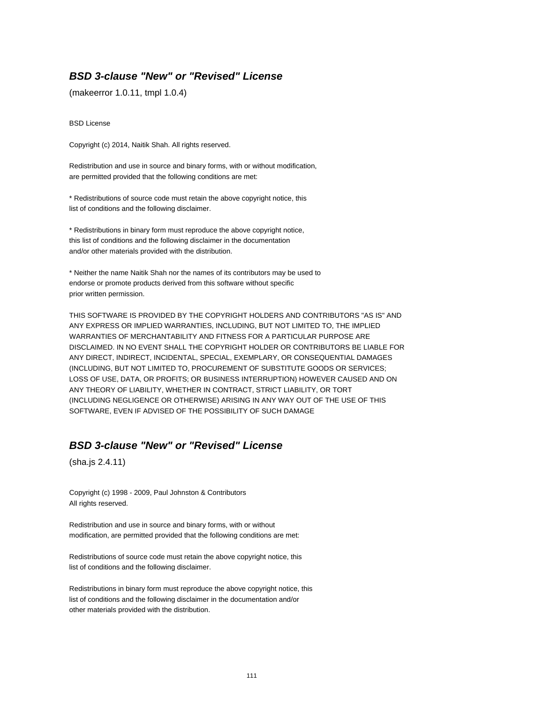#### **BSD 3-clause "New" or "Revised" License**

(makeerror 1.0.11, tmpl 1.0.4)

BSD License

Copyright (c) 2014, Naitik Shah. All rights reserved.

Redistribution and use in source and binary forms, with or without modification, are permitted provided that the following conditions are met:

\* Redistributions of source code must retain the above copyright notice, this list of conditions and the following disclaimer.

\* Redistributions in binary form must reproduce the above copyright notice, this list of conditions and the following disclaimer in the documentation and/or other materials provided with the distribution.

\* Neither the name Naitik Shah nor the names of its contributors may be used to endorse or promote products derived from this software without specific prior written permission.

THIS SOFTWARE IS PROVIDED BY THE COPYRIGHT HOLDERS AND CONTRIBUTORS "AS IS" AND ANY EXPRESS OR IMPLIED WARRANTIES, INCLUDING, BUT NOT LIMITED TO, THE IMPLIED WARRANTIES OF MERCHANTABILITY AND FITNESS FOR A PARTICULAR PURPOSE ARE DISCLAIMED. IN NO EVENT SHALL THE COPYRIGHT HOLDER OR CONTRIBUTORS BE LIABLE FOR ANY DIRECT, INDIRECT, INCIDENTAL, SPECIAL, EXEMPLARY, OR CONSEQUENTIAL DAMAGES (INCLUDING, BUT NOT LIMITED TO, PROCUREMENT OF SUBSTITUTE GOODS OR SERVICES; LOSS OF USE, DATA, OR PROFITS; OR BUSINESS INTERRUPTION) HOWEVER CAUSED AND ON ANY THEORY OF LIABILITY, WHETHER IN CONTRACT, STRICT LIABILITY, OR TORT (INCLUDING NEGLIGENCE OR OTHERWISE) ARISING IN ANY WAY OUT OF THE USE OF THIS SOFTWARE, EVEN IF ADVISED OF THE POSSIBILITY OF SUCH DAMAGE

### **BSD 3-clause "New" or "Revised" License**

(sha.js 2.4.11)

Copyright (c) 1998 - 2009, Paul Johnston & Contributors All rights reserved.

Redistribution and use in source and binary forms, with or without modification, are permitted provided that the following conditions are met:

Redistributions of source code must retain the above copyright notice, this list of conditions and the following disclaimer.

Redistributions in binary form must reproduce the above copyright notice, this list of conditions and the following disclaimer in the documentation and/or other materials provided with the distribution.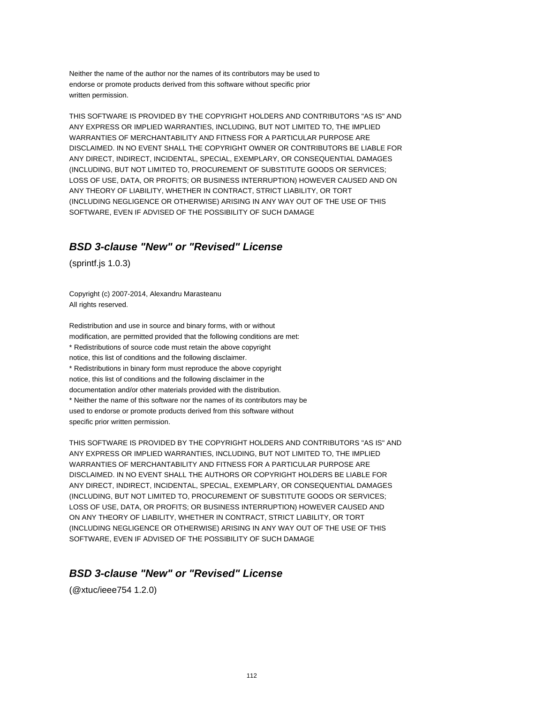Neither the name of the author nor the names of its contributors may be used to endorse or promote products derived from this software without specific prior written permission.

THIS SOFTWARE IS PROVIDED BY THE COPYRIGHT HOLDERS AND CONTRIBUTORS "AS IS" AND ANY EXPRESS OR IMPLIED WARRANTIES, INCLUDING, BUT NOT LIMITED TO, THE IMPLIED WARRANTIES OF MERCHANTABILITY AND FITNESS FOR A PARTICULAR PURPOSE ARE DISCLAIMED. IN NO EVENT SHALL THE COPYRIGHT OWNER OR CONTRIBUTORS BE LIABLE FOR ANY DIRECT, INDIRECT, INCIDENTAL, SPECIAL, EXEMPLARY, OR CONSEQUENTIAL DAMAGES (INCLUDING, BUT NOT LIMITED TO, PROCUREMENT OF SUBSTITUTE GOODS OR SERVICES; LOSS OF USE, DATA, OR PROFITS; OR BUSINESS INTERRUPTION) HOWEVER CAUSED AND ON ANY THEORY OF LIABILITY, WHETHER IN CONTRACT, STRICT LIABILITY, OR TORT (INCLUDING NEGLIGENCE OR OTHERWISE) ARISING IN ANY WAY OUT OF THE USE OF THIS SOFTWARE, EVEN IF ADVISED OF THE POSSIBILITY OF SUCH DAMAGE

### **BSD 3-clause "New" or "Revised" License**

(sprintf.js 1.0.3)

Copyright (c) 2007-2014, Alexandru Marasteanu All rights reserved.

Redistribution and use in source and binary forms, with or without modification, are permitted provided that the following conditions are met: \* Redistributions of source code must retain the above copyright notice, this list of conditions and the following disclaimer. \* Redistributions in binary form must reproduce the above copyright notice, this list of conditions and the following disclaimer in the documentation and/or other materials provided with the distribution. \* Neither the name of this software nor the names of its contributors may be used to endorse or promote products derived from this software without specific prior written permission.

THIS SOFTWARE IS PROVIDED BY THE COPYRIGHT HOLDERS AND CONTRIBUTORS "AS IS" AND ANY EXPRESS OR IMPLIED WARRANTIES, INCLUDING, BUT NOT LIMITED TO, THE IMPLIED WARRANTIES OF MERCHANTABILITY AND FITNESS FOR A PARTICULAR PURPOSE ARE DISCLAIMED. IN NO EVENT SHALL THE AUTHORS OR COPYRIGHT HOLDERS BE LIABLE FOR ANY DIRECT, INDIRECT, INCIDENTAL, SPECIAL, EXEMPLARY, OR CONSEQUENTIAL DAMAGES (INCLUDING, BUT NOT LIMITED TO, PROCUREMENT OF SUBSTITUTE GOODS OR SERVICES; LOSS OF USE, DATA, OR PROFITS; OR BUSINESS INTERRUPTION) HOWEVER CAUSED AND ON ANY THEORY OF LIABILITY, WHETHER IN CONTRACT, STRICT LIABILITY, OR TORT (INCLUDING NEGLIGENCE OR OTHERWISE) ARISING IN ANY WAY OUT OF THE USE OF THIS SOFTWARE, EVEN IF ADVISED OF THE POSSIBILITY OF SUCH DAMAGE

### **BSD 3-clause "New" or "Revised" License**

(@xtuc/ieee754 1.2.0)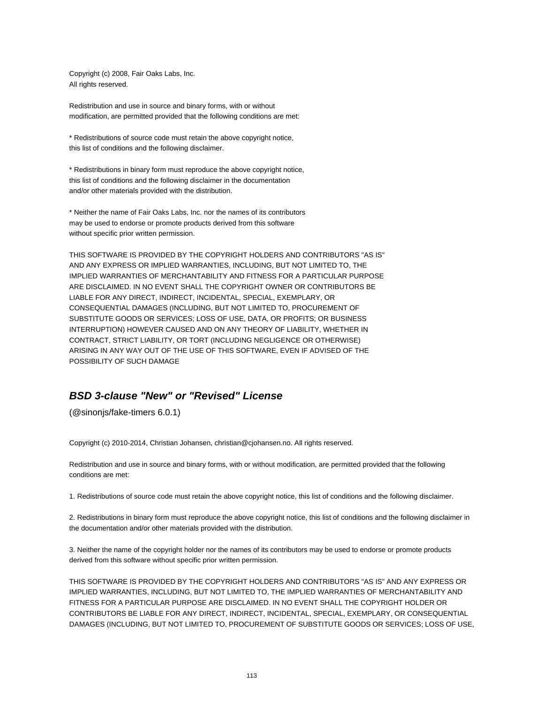Copyright (c) 2008, Fair Oaks Labs, Inc. All rights reserved.

Redistribution and use in source and binary forms, with or without modification, are permitted provided that the following conditions are met:

\* Redistributions of source code must retain the above copyright notice, this list of conditions and the following disclaimer.

\* Redistributions in binary form must reproduce the above copyright notice, this list of conditions and the following disclaimer in the documentation and/or other materials provided with the distribution.

\* Neither the name of Fair Oaks Labs, Inc. nor the names of its contributors may be used to endorse or promote products derived from this software without specific prior written permission.

THIS SOFTWARE IS PROVIDED BY THE COPYRIGHT HOLDERS AND CONTRIBUTORS "AS IS" AND ANY EXPRESS OR IMPLIED WARRANTIES, INCLUDING, BUT NOT LIMITED TO, THE IMPLIED WARRANTIES OF MERCHANTABILITY AND FITNESS FOR A PARTICULAR PURPOSE ARE DISCLAIMED. IN NO EVENT SHALL THE COPYRIGHT OWNER OR CONTRIBUTORS BE LIABLE FOR ANY DIRECT, INDIRECT, INCIDENTAL, SPECIAL, EXEMPLARY, OR CONSEQUENTIAL DAMAGES (INCLUDING, BUT NOT LIMITED TO, PROCUREMENT OF SUBSTITUTE GOODS OR SERVICES; LOSS OF USE, DATA, OR PROFITS; OR BUSINESS INTERRUPTION) HOWEVER CAUSED AND ON ANY THEORY OF LIABILITY, WHETHER IN CONTRACT, STRICT LIABILITY, OR TORT (INCLUDING NEGLIGENCE OR OTHERWISE) ARISING IN ANY WAY OUT OF THE USE OF THIS SOFTWARE, EVEN IF ADVISED OF THE POSSIBILITY OF SUCH DAMAGE

## **BSD 3-clause "New" or "Revised" License**

(@sinonjs/fake-timers 6.0.1)

Copyright (c) 2010-2014, Christian Johansen, christian@cjohansen.no. All rights reserved.

Redistribution and use in source and binary forms, with or without modification, are permitted provided that the following conditions are met:

1. Redistributions of source code must retain the above copyright notice, this list of conditions and the following disclaimer.

2. Redistributions in binary form must reproduce the above copyright notice, this list of conditions and the following disclaimer in the documentation and/or other materials provided with the distribution.

3. Neither the name of the copyright holder nor the names of its contributors may be used to endorse or promote products derived from this software without specific prior written permission.

THIS SOFTWARE IS PROVIDED BY THE COPYRIGHT HOLDERS AND CONTRIBUTORS "AS IS" AND ANY EXPRESS OR IMPLIED WARRANTIES, INCLUDING, BUT NOT LIMITED TO, THE IMPLIED WARRANTIES OF MERCHANTABILITY AND FITNESS FOR A PARTICULAR PURPOSE ARE DISCLAIMED. IN NO EVENT SHALL THE COPYRIGHT HOLDER OR CONTRIBUTORS BE LIABLE FOR ANY DIRECT, INDIRECT, INCIDENTAL, SPECIAL, EXEMPLARY, OR CONSEQUENTIAL DAMAGES (INCLUDING, BUT NOT LIMITED TO, PROCUREMENT OF SUBSTITUTE GOODS OR SERVICES; LOSS OF USE,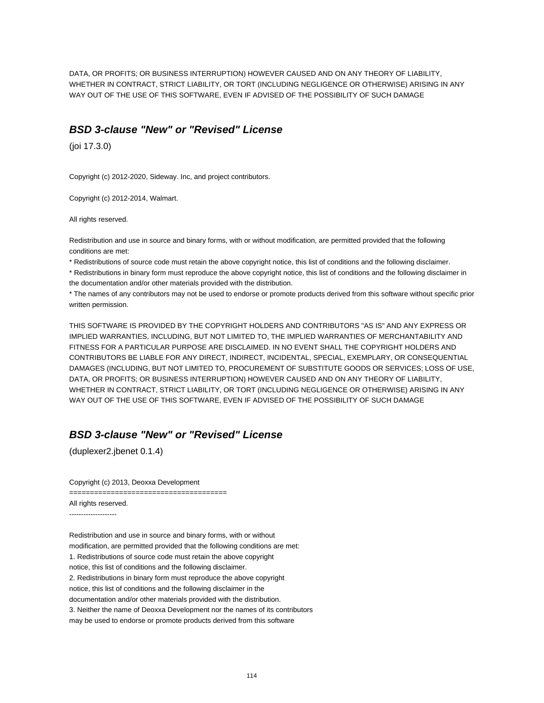DATA, OR PROFITS; OR BUSINESS INTERRUPTION) HOWEVER CAUSED AND ON ANY THEORY OF LIABILITY, WHETHER IN CONTRACT, STRICT LIABILITY, OR TORT (INCLUDING NEGLIGENCE OR OTHERWISE) ARISING IN ANY WAY OUT OF THE USE OF THIS SOFTWARE, EVEN IF ADVISED OF THE POSSIBILITY OF SUCH DAMAGE

#### **BSD 3-clause "New" or "Revised" License**

(joi 17.3.0)

Copyright (c) 2012-2020, Sideway. Inc, and project contributors.

Copyright (c) 2012-2014, Walmart.

All rights reserved.

Redistribution and use in source and binary forms, with or without modification, are permitted provided that the following conditions are met:

\* Redistributions of source code must retain the above copyright notice, this list of conditions and the following disclaimer.

\* Redistributions in binary form must reproduce the above copyright notice, this list of conditions and the following disclaimer in the documentation and/or other materials provided with the distribution.

\* The names of any contributors may not be used to endorse or promote products derived from this software without specific prior written permission.

THIS SOFTWARE IS PROVIDED BY THE COPYRIGHT HOLDERS AND CONTRIBUTORS "AS IS" AND ANY EXPRESS OR IMPLIED WARRANTIES, INCLUDING, BUT NOT LIMITED TO, THE IMPLIED WARRANTIES OF MERCHANTABILITY AND FITNESS FOR A PARTICULAR PURPOSE ARE DISCLAIMED. IN NO EVENT SHALL THE COPYRIGHT HOLDERS AND CONTRIBUTORS BE LIABLE FOR ANY DIRECT, INDIRECT, INCIDENTAL, SPECIAL, EXEMPLARY, OR CONSEQUENTIAL DAMAGES (INCLUDING, BUT NOT LIMITED TO, PROCUREMENT OF SUBSTITUTE GOODS OR SERVICES; LOSS OF USE, DATA, OR PROFITS; OR BUSINESS INTERRUPTION) HOWEVER CAUSED AND ON ANY THEORY OF LIABILITY, WHETHER IN CONTRACT, STRICT LIABILITY, OR TORT (INCLUDING NEGLIGENCE OR OTHERWISE) ARISING IN ANY WAY OUT OF THE USE OF THIS SOFTWARE, EVEN IF ADVISED OF THE POSSIBILITY OF SUCH DAMAGE

## **BSD 3-clause "New" or "Revised" License**

(duplexer2.jbenet 0.1.4)

Copyright (c) 2013, Deoxxa Development

======================================

All rights reserved.

--------------------

Redistribution and use in source and binary forms, with or without modification, are permitted provided that the following conditions are met: 1. Redistributions of source code must retain the above copyright notice, this list of conditions and the following disclaimer. 2. Redistributions in binary form must reproduce the above copyright notice, this list of conditions and the following disclaimer in the documentation and/or other materials provided with the distribution. 3. Neither the name of Deoxxa Development nor the names of its contributors

may be used to endorse or promote products derived from this software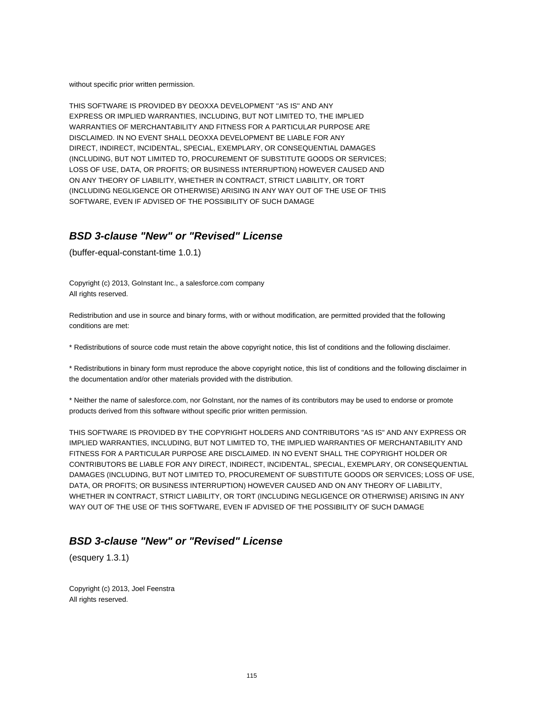without specific prior written permission.

THIS SOFTWARE IS PROVIDED BY DEOXXA DEVELOPMENT ''AS IS'' AND ANY EXPRESS OR IMPLIED WARRANTIES, INCLUDING, BUT NOT LIMITED TO, THE IMPLIED WARRANTIES OF MERCHANTABILITY AND FITNESS FOR A PARTICULAR PURPOSE ARE DISCLAIMED. IN NO EVENT SHALL DEOXXA DEVELOPMENT BE LIABLE FOR ANY DIRECT, INDIRECT, INCIDENTAL, SPECIAL, EXEMPLARY, OR CONSEQUENTIAL DAMAGES (INCLUDING, BUT NOT LIMITED TO, PROCUREMENT OF SUBSTITUTE GOODS OR SERVICES; LOSS OF USE, DATA, OR PROFITS; OR BUSINESS INTERRUPTION) HOWEVER CAUSED AND ON ANY THEORY OF LIABILITY, WHETHER IN CONTRACT, STRICT LIABILITY, OR TORT (INCLUDING NEGLIGENCE OR OTHERWISE) ARISING IN ANY WAY OUT OF THE USE OF THIS SOFTWARE, EVEN IF ADVISED OF THE POSSIBILITY OF SUCH DAMAGE

## **BSD 3-clause "New" or "Revised" License**

(buffer-equal-constant-time 1.0.1)

Copyright (c) 2013, GoInstant Inc., a salesforce.com company All rights reserved.

Redistribution and use in source and binary forms, with or without modification, are permitted provided that the following conditions are met:

\* Redistributions of source code must retain the above copyright notice, this list of conditions and the following disclaimer.

\* Redistributions in binary form must reproduce the above copyright notice, this list of conditions and the following disclaimer in the documentation and/or other materials provided with the distribution.

\* Neither the name of salesforce.com, nor GoInstant, nor the names of its contributors may be used to endorse or promote products derived from this software without specific prior written permission.

THIS SOFTWARE IS PROVIDED BY THE COPYRIGHT HOLDERS AND CONTRIBUTORS "AS IS" AND ANY EXPRESS OR IMPLIED WARRANTIES, INCLUDING, BUT NOT LIMITED TO, THE IMPLIED WARRANTIES OF MERCHANTABILITY AND FITNESS FOR A PARTICULAR PURPOSE ARE DISCLAIMED. IN NO EVENT SHALL THE COPYRIGHT HOLDER OR CONTRIBUTORS BE LIABLE FOR ANY DIRECT, INDIRECT, INCIDENTAL, SPECIAL, EXEMPLARY, OR CONSEQUENTIAL DAMAGES (INCLUDING, BUT NOT LIMITED TO, PROCUREMENT OF SUBSTITUTE GOODS OR SERVICES; LOSS OF USE, DATA, OR PROFITS; OR BUSINESS INTERRUPTION) HOWEVER CAUSED AND ON ANY THEORY OF LIABILITY, WHETHER IN CONTRACT, STRICT LIABILITY, OR TORT (INCLUDING NEGLIGENCE OR OTHERWISE) ARISING IN ANY WAY OUT OF THE USE OF THIS SOFTWARE, EVEN IF ADVISED OF THE POSSIBILITY OF SUCH DAMAGE

### **BSD 3-clause "New" or "Revised" License**

(esquery 1.3.1)

Copyright (c) 2013, Joel Feenstra All rights reserved.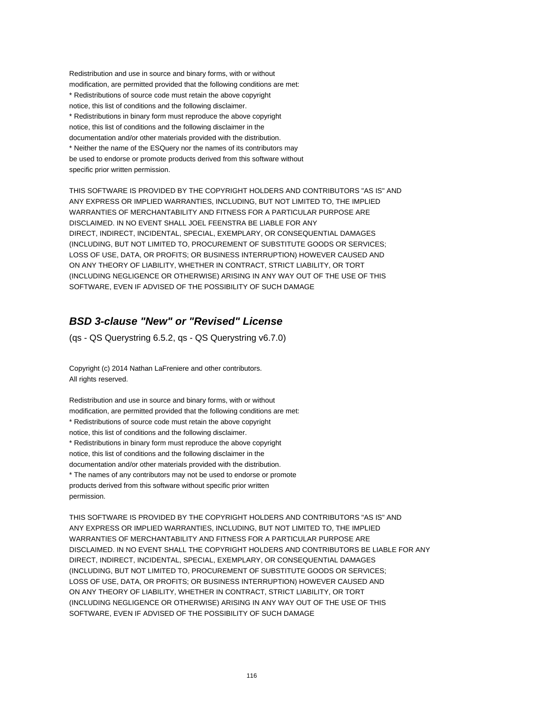Redistribution and use in source and binary forms, with or without modification, are permitted provided that the following conditions are met: \* Redistributions of source code must retain the above copyright notice, this list of conditions and the following disclaimer. \* Redistributions in binary form must reproduce the above copyright notice, this list of conditions and the following disclaimer in the documentation and/or other materials provided with the distribution. \* Neither the name of the ESQuery nor the names of its contributors may be used to endorse or promote products derived from this software without specific prior written permission.

THIS SOFTWARE IS PROVIDED BY THE COPYRIGHT HOLDERS AND CONTRIBUTORS "AS IS" AND ANY EXPRESS OR IMPLIED WARRANTIES, INCLUDING, BUT NOT LIMITED TO, THE IMPLIED WARRANTIES OF MERCHANTABILITY AND FITNESS FOR A PARTICULAR PURPOSE ARE DISCLAIMED. IN NO EVENT SHALL JOEL FEENSTRA BE LIABLE FOR ANY DIRECT, INDIRECT, INCIDENTAL, SPECIAL, EXEMPLARY, OR CONSEQUENTIAL DAMAGES (INCLUDING, BUT NOT LIMITED TO, PROCUREMENT OF SUBSTITUTE GOODS OR SERVICES; LOSS OF USE, DATA, OR PROFITS; OR BUSINESS INTERRUPTION) HOWEVER CAUSED AND ON ANY THEORY OF LIABILITY, WHETHER IN CONTRACT, STRICT LIABILITY, OR TORT (INCLUDING NEGLIGENCE OR OTHERWISE) ARISING IN ANY WAY OUT OF THE USE OF THIS SOFTWARE, EVEN IF ADVISED OF THE POSSIBILITY OF SUCH DAMAGE

## **BSD 3-clause "New" or "Revised" License**

(qs - QS Querystring 6.5.2, qs - QS Querystring v6.7.0)

Copyright (c) 2014 Nathan LaFreniere and other contributors. All rights reserved.

Redistribution and use in source and binary forms, with or without modification, are permitted provided that the following conditions are met: \* Redistributions of source code must retain the above copyright notice, this list of conditions and the following disclaimer. \* Redistributions in binary form must reproduce the above copyright notice, this list of conditions and the following disclaimer in the documentation and/or other materials provided with the distribution. \* The names of any contributors may not be used to endorse or promote products derived from this software without specific prior written permission.

THIS SOFTWARE IS PROVIDED BY THE COPYRIGHT HOLDERS AND CONTRIBUTORS "AS IS" AND ANY EXPRESS OR IMPLIED WARRANTIES, INCLUDING, BUT NOT LIMITED TO, THE IMPLIED WARRANTIES OF MERCHANTABILITY AND FITNESS FOR A PARTICULAR PURPOSE ARE DISCLAIMED. IN NO EVENT SHALL THE COPYRIGHT HOLDERS AND CONTRIBUTORS BE LIABLE FOR ANY DIRECT, INDIRECT, INCIDENTAL, SPECIAL, EXEMPLARY, OR CONSEQUENTIAL DAMAGES (INCLUDING, BUT NOT LIMITED TO, PROCUREMENT OF SUBSTITUTE GOODS OR SERVICES; LOSS OF USE, DATA, OR PROFITS; OR BUSINESS INTERRUPTION) HOWEVER CAUSED AND ON ANY THEORY OF LIABILITY, WHETHER IN CONTRACT, STRICT LIABILITY, OR TORT (INCLUDING NEGLIGENCE OR OTHERWISE) ARISING IN ANY WAY OUT OF THE USE OF THIS SOFTWARE, EVEN IF ADVISED OF THE POSSIBILITY OF SUCH DAMAGE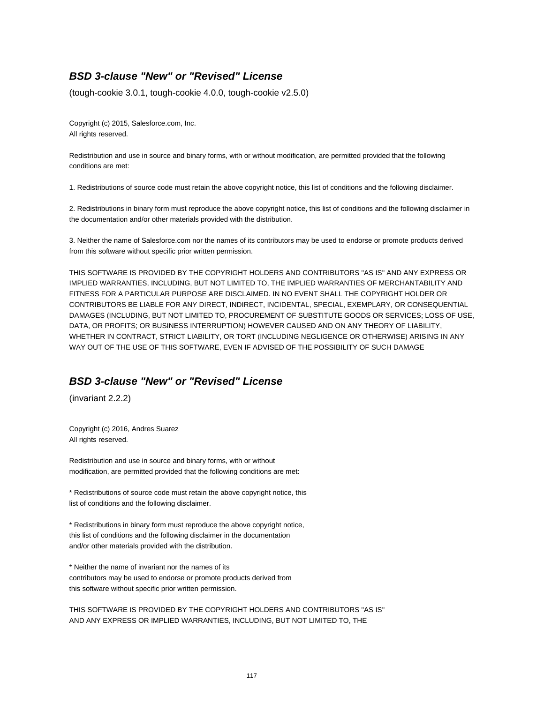## **BSD 3-clause "New" or "Revised" License**

(tough-cookie 3.0.1, tough-cookie 4.0.0, tough-cookie v2.5.0)

Copyright (c) 2015, Salesforce.com, Inc. All rights reserved.

Redistribution and use in source and binary forms, with or without modification, are permitted provided that the following conditions are met:

1. Redistributions of source code must retain the above copyright notice, this list of conditions and the following disclaimer.

2. Redistributions in binary form must reproduce the above copyright notice, this list of conditions and the following disclaimer in the documentation and/or other materials provided with the distribution.

3. Neither the name of Salesforce.com nor the names of its contributors may be used to endorse or promote products derived from this software without specific prior written permission.

THIS SOFTWARE IS PROVIDED BY THE COPYRIGHT HOLDERS AND CONTRIBUTORS "AS IS" AND ANY EXPRESS OR IMPLIED WARRANTIES, INCLUDING, BUT NOT LIMITED TO, THE IMPLIED WARRANTIES OF MERCHANTABILITY AND FITNESS FOR A PARTICULAR PURPOSE ARE DISCLAIMED. IN NO EVENT SHALL THE COPYRIGHT HOLDER OR CONTRIBUTORS BE LIABLE FOR ANY DIRECT, INDIRECT, INCIDENTAL, SPECIAL, EXEMPLARY, OR CONSEQUENTIAL DAMAGES (INCLUDING, BUT NOT LIMITED TO, PROCUREMENT OF SUBSTITUTE GOODS OR SERVICES; LOSS OF USE, DATA, OR PROFITS; OR BUSINESS INTERRUPTION) HOWEVER CAUSED AND ON ANY THEORY OF LIABILITY, WHETHER IN CONTRACT, STRICT LIABILITY, OR TORT (INCLUDING NEGLIGENCE OR OTHERWISE) ARISING IN ANY WAY OUT OF THE USE OF THIS SOFTWARE, EVEN IF ADVISED OF THE POSSIBILITY OF SUCH DAMAGE

## **BSD 3-clause "New" or "Revised" License**

(invariant 2.2.2)

Copyright (c) 2016, Andres Suarez All rights reserved.

Redistribution and use in source and binary forms, with or without modification, are permitted provided that the following conditions are met:

\* Redistributions of source code must retain the above copyright notice, this list of conditions and the following disclaimer.

\* Redistributions in binary form must reproduce the above copyright notice, this list of conditions and the following disclaimer in the documentation and/or other materials provided with the distribution.

\* Neither the name of invariant nor the names of its contributors may be used to endorse or promote products derived from this software without specific prior written permission.

THIS SOFTWARE IS PROVIDED BY THE COPYRIGHT HOLDERS AND CONTRIBUTORS "AS IS" AND ANY EXPRESS OR IMPLIED WARRANTIES, INCLUDING, BUT NOT LIMITED TO, THE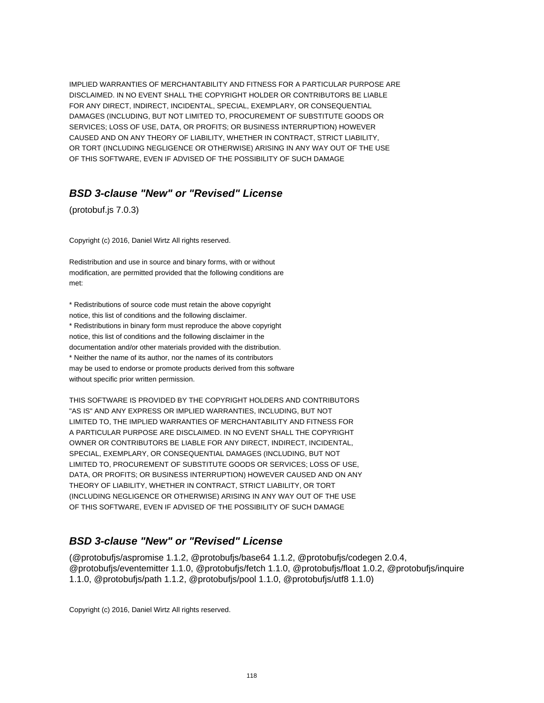IMPLIED WARRANTIES OF MERCHANTABILITY AND FITNESS FOR A PARTICULAR PURPOSE ARE DISCLAIMED. IN NO EVENT SHALL THE COPYRIGHT HOLDER OR CONTRIBUTORS BE LIABLE FOR ANY DIRECT, INDIRECT, INCIDENTAL, SPECIAL, EXEMPLARY, OR CONSEQUENTIAL DAMAGES (INCLUDING, BUT NOT LIMITED TO, PROCUREMENT OF SUBSTITUTE GOODS OR SERVICES; LOSS OF USE, DATA, OR PROFITS; OR BUSINESS INTERRUPTION) HOWEVER CAUSED AND ON ANY THEORY OF LIABILITY, WHETHER IN CONTRACT, STRICT LIABILITY, OR TORT (INCLUDING NEGLIGENCE OR OTHERWISE) ARISING IN ANY WAY OUT OF THE USE OF THIS SOFTWARE, EVEN IF ADVISED OF THE POSSIBILITY OF SUCH DAMAGE

#### **BSD 3-clause "New" or "Revised" License**

(protobuf.js 7.0.3)

Copyright (c) 2016, Daniel Wirtz All rights reserved.

Redistribution and use in source and binary forms, with or without modification, are permitted provided that the following conditions are met:

\* Redistributions of source code must retain the above copyright notice, this list of conditions and the following disclaimer. \* Redistributions in binary form must reproduce the above copyright notice, this list of conditions and the following disclaimer in the documentation and/or other materials provided with the distribution. \* Neither the name of its author, nor the names of its contributors may be used to endorse or promote products derived from this software without specific prior written permission.

THIS SOFTWARE IS PROVIDED BY THE COPYRIGHT HOLDERS AND CONTRIBUTORS "AS IS" AND ANY EXPRESS OR IMPLIED WARRANTIES, INCLUDING, BUT NOT LIMITED TO, THE IMPLIED WARRANTIES OF MERCHANTABILITY AND FITNESS FOR A PARTICULAR PURPOSE ARE DISCLAIMED. IN NO EVENT SHALL THE COPYRIGHT OWNER OR CONTRIBUTORS BE LIABLE FOR ANY DIRECT, INDIRECT, INCIDENTAL, SPECIAL, EXEMPLARY, OR CONSEQUENTIAL DAMAGES (INCLUDING, BUT NOT LIMITED TO, PROCUREMENT OF SUBSTITUTE GOODS OR SERVICES; LOSS OF USE, DATA, OR PROFITS; OR BUSINESS INTERRUPTION) HOWEVER CAUSED AND ON ANY THEORY OF LIABILITY, WHETHER IN CONTRACT, STRICT LIABILITY, OR TORT (INCLUDING NEGLIGENCE OR OTHERWISE) ARISING IN ANY WAY OUT OF THE USE OF THIS SOFTWARE, EVEN IF ADVISED OF THE POSSIBILITY OF SUCH DAMAGE

### **BSD 3-clause "New" or "Revised" License**

(@protobufjs/aspromise 1.1.2, @protobufjs/base64 1.1.2, @protobufjs/codegen 2.0.4, @protobufjs/eventemitter 1.1.0, @protobufjs/fetch 1.1.0, @protobufjs/float 1.0.2, @protobufjs/inquire 1.1.0, @protobufjs/path 1.1.2, @protobufjs/pool 1.1.0, @protobufjs/utf8 1.1.0)

Copyright (c) 2016, Daniel Wirtz All rights reserved.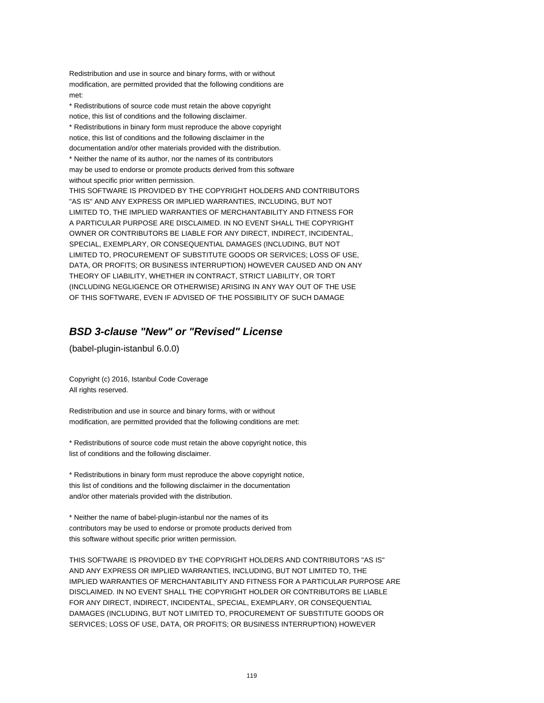Redistribution and use in source and binary forms, with or without modification, are permitted provided that the following conditions are met:

\* Redistributions of source code must retain the above copyright notice, this list of conditions and the following disclaimer. \* Redistributions in binary form must reproduce the above copyright notice, this list of conditions and the following disclaimer in the documentation and/or other materials provided with the distribution. \* Neither the name of its author, nor the names of its contributors may be used to endorse or promote products derived from this software

without specific prior written permission.

THIS SOFTWARE IS PROVIDED BY THE COPYRIGHT HOLDERS AND CONTRIBUTORS "AS IS" AND ANY EXPRESS OR IMPLIED WARRANTIES, INCLUDING, BUT NOT LIMITED TO, THE IMPLIED WARRANTIES OF MERCHANTABILITY AND FITNESS FOR A PARTICULAR PURPOSE ARE DISCLAIMED. IN NO EVENT SHALL THE COPYRIGHT OWNER OR CONTRIBUTORS BE LIABLE FOR ANY DIRECT, INDIRECT, INCIDENTAL, SPECIAL, EXEMPLARY, OR CONSEQUENTIAL DAMAGES (INCLUDING, BUT NOT LIMITED TO, PROCUREMENT OF SUBSTITUTE GOODS OR SERVICES; LOSS OF USE, DATA, OR PROFITS; OR BUSINESS INTERRUPTION) HOWEVER CAUSED AND ON ANY THEORY OF LIABILITY, WHETHER IN CONTRACT, STRICT LIABILITY, OR TORT (INCLUDING NEGLIGENCE OR OTHERWISE) ARISING IN ANY WAY OUT OF THE USE OF THIS SOFTWARE, EVEN IF ADVISED OF THE POSSIBILITY OF SUCH DAMAGE

## **BSD 3-clause "New" or "Revised" License**

(babel-plugin-istanbul 6.0.0)

Copyright (c) 2016, Istanbul Code Coverage All rights reserved.

Redistribution and use in source and binary forms, with or without modification, are permitted provided that the following conditions are met:

\* Redistributions of source code must retain the above copyright notice, this list of conditions and the following disclaimer.

\* Redistributions in binary form must reproduce the above copyright notice, this list of conditions and the following disclaimer in the documentation and/or other materials provided with the distribution.

\* Neither the name of babel-plugin-istanbul nor the names of its contributors may be used to endorse or promote products derived from this software without specific prior written permission.

THIS SOFTWARE IS PROVIDED BY THE COPYRIGHT HOLDERS AND CONTRIBUTORS "AS IS" AND ANY EXPRESS OR IMPLIED WARRANTIES, INCLUDING, BUT NOT LIMITED TO, THE IMPLIED WARRANTIES OF MERCHANTABILITY AND FITNESS FOR A PARTICULAR PURPOSE ARE DISCLAIMED. IN NO EVENT SHALL THE COPYRIGHT HOLDER OR CONTRIBUTORS BE LIABLE FOR ANY DIRECT, INDIRECT, INCIDENTAL, SPECIAL, EXEMPLARY, OR CONSEQUENTIAL DAMAGES (INCLUDING, BUT NOT LIMITED TO, PROCUREMENT OF SUBSTITUTE GOODS OR SERVICES; LOSS OF USE, DATA, OR PROFITS; OR BUSINESS INTERRUPTION) HOWEVER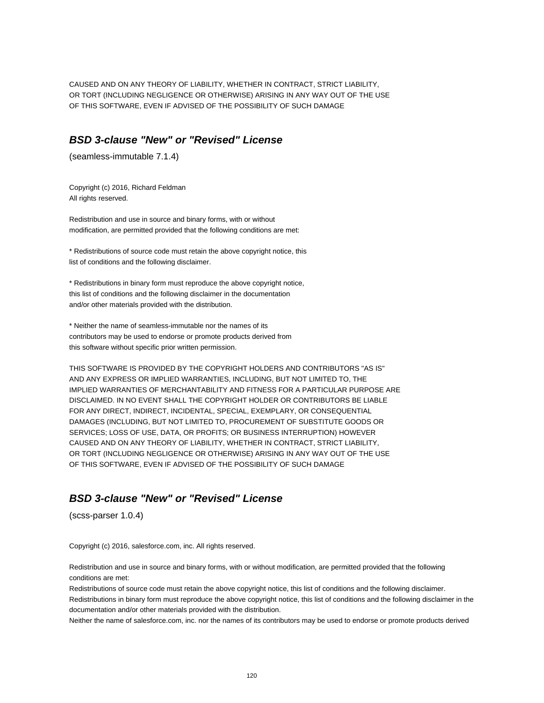CAUSED AND ON ANY THEORY OF LIABILITY, WHETHER IN CONTRACT, STRICT LIABILITY, OR TORT (INCLUDING NEGLIGENCE OR OTHERWISE) ARISING IN ANY WAY OUT OF THE USE OF THIS SOFTWARE, EVEN IF ADVISED OF THE POSSIBILITY OF SUCH DAMAGE

#### **BSD 3-clause "New" or "Revised" License**

(seamless-immutable 7.1.4)

Copyright (c) 2016, Richard Feldman All rights reserved.

Redistribution and use in source and binary forms, with or without modification, are permitted provided that the following conditions are met:

\* Redistributions of source code must retain the above copyright notice, this list of conditions and the following disclaimer.

\* Redistributions in binary form must reproduce the above copyright notice, this list of conditions and the following disclaimer in the documentation and/or other materials provided with the distribution.

\* Neither the name of seamless-immutable nor the names of its contributors may be used to endorse or promote products derived from this software without specific prior written permission.

THIS SOFTWARE IS PROVIDED BY THE COPYRIGHT HOLDERS AND CONTRIBUTORS "AS IS" AND ANY EXPRESS OR IMPLIED WARRANTIES, INCLUDING, BUT NOT LIMITED TO, THE IMPLIED WARRANTIES OF MERCHANTABILITY AND FITNESS FOR A PARTICULAR PURPOSE ARE DISCLAIMED. IN NO EVENT SHALL THE COPYRIGHT HOLDER OR CONTRIBUTORS BE LIABLE FOR ANY DIRECT, INDIRECT, INCIDENTAL, SPECIAL, EXEMPLARY, OR CONSEQUENTIAL DAMAGES (INCLUDING, BUT NOT LIMITED TO, PROCUREMENT OF SUBSTITUTE GOODS OR SERVICES; LOSS OF USE, DATA, OR PROFITS; OR BUSINESS INTERRUPTION) HOWEVER CAUSED AND ON ANY THEORY OF LIABILITY, WHETHER IN CONTRACT, STRICT LIABILITY, OR TORT (INCLUDING NEGLIGENCE OR OTHERWISE) ARISING IN ANY WAY OUT OF THE USE OF THIS SOFTWARE, EVEN IF ADVISED OF THE POSSIBILITY OF SUCH DAMAGE

## **BSD 3-clause "New" or "Revised" License**

(scss-parser 1.0.4)

Copyright (c) 2016, salesforce.com, inc. All rights reserved.

Redistribution and use in source and binary forms, with or without modification, are permitted provided that the following conditions are met:

Redistributions of source code must retain the above copyright notice, this list of conditions and the following disclaimer. Redistributions in binary form must reproduce the above copyright notice, this list of conditions and the following disclaimer in the documentation and/or other materials provided with the distribution.

Neither the name of salesforce.com, inc. nor the names of its contributors may be used to endorse or promote products derived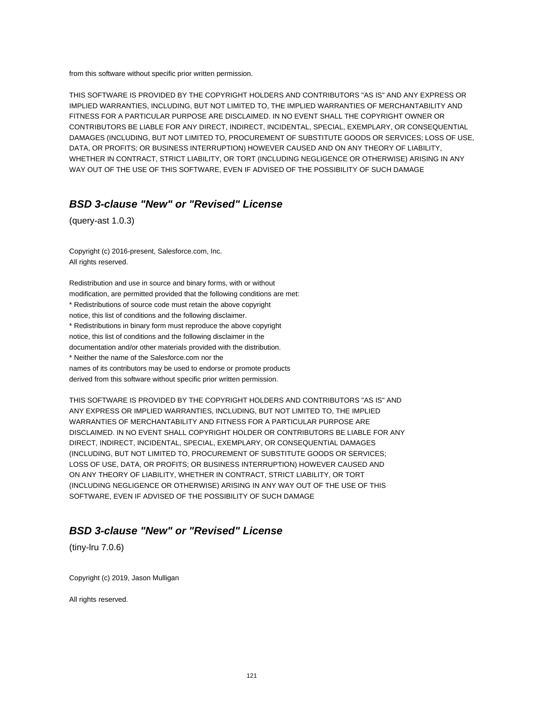from this software without specific prior written permission.

THIS SOFTWARE IS PROVIDED BY THE COPYRIGHT HOLDERS AND CONTRIBUTORS "AS IS" AND ANY EXPRESS OR IMPLIED WARRANTIES, INCLUDING, BUT NOT LIMITED TO, THE IMPLIED WARRANTIES OF MERCHANTABILITY AND FITNESS FOR A PARTICULAR PURPOSE ARE DISCLAIMED. IN NO EVENT SHALL THE COPYRIGHT OWNER OR CONTRIBUTORS BE LIABLE FOR ANY DIRECT, INDIRECT, INCIDENTAL, SPECIAL, EXEMPLARY, OR CONSEQUENTIAL DAMAGES (INCLUDING, BUT NOT LIMITED TO, PROCUREMENT OF SUBSTITUTE GOODS OR SERVICES; LOSS OF USE, DATA, OR PROFITS; OR BUSINESS INTERRUPTION) HOWEVER CAUSED AND ON ANY THEORY OF LIABILITY, WHETHER IN CONTRACT, STRICT LIABILITY, OR TORT (INCLUDING NEGLIGENCE OR OTHERWISE) ARISING IN ANY WAY OUT OF THE USE OF THIS SOFTWARE, EVEN IF ADVISED OF THE POSSIBILITY OF SUCH DAMAGE

#### **BSD 3-clause "New" or "Revised" License**

(query-ast 1.0.3)

Copyright (c) 2016-present, Salesforce.com, Inc. All rights reserved.

Redistribution and use in source and binary forms, with or without modification, are permitted provided that the following conditions are met: \* Redistributions of source code must retain the above copyright notice, this list of conditions and the following disclaimer. \* Redistributions in binary form must reproduce the above copyright notice, this list of conditions and the following disclaimer in the documentation and/or other materials provided with the distribution. \* Neither the name of the Salesforce.com nor the names of its contributors may be used to endorse or promote products derived from this software without specific prior written permission.

THIS SOFTWARE IS PROVIDED BY THE COPYRIGHT HOLDERS AND CONTRIBUTORS "AS IS" AND ANY EXPRESS OR IMPLIED WARRANTIES, INCLUDING, BUT NOT LIMITED TO, THE IMPLIED WARRANTIES OF MERCHANTABILITY AND FITNESS FOR A PARTICULAR PURPOSE ARE DISCLAIMED. IN NO EVENT SHALL COPYRIGHT HOLDER OR CONTRIBUTORS BE LIABLE FOR ANY DIRECT, INDIRECT, INCIDENTAL, SPECIAL, EXEMPLARY, OR CONSEQUENTIAL DAMAGES (INCLUDING, BUT NOT LIMITED TO, PROCUREMENT OF SUBSTITUTE GOODS OR SERVICES; LOSS OF USE, DATA, OR PROFITS; OR BUSINESS INTERRUPTION) HOWEVER CAUSED AND ON ANY THEORY OF LIABILITY, WHETHER IN CONTRACT, STRICT LIABILITY, OR TORT (INCLUDING NEGLIGENCE OR OTHERWISE) ARISING IN ANY WAY OUT OF THE USE OF THIS SOFTWARE, EVEN IF ADVISED OF THE POSSIBILITY OF SUCH DAMAGE

### **BSD 3-clause "New" or "Revised" License**

(tiny-lru 7.0.6)

Copyright (c) 2019, Jason Mulligan

All rights reserved.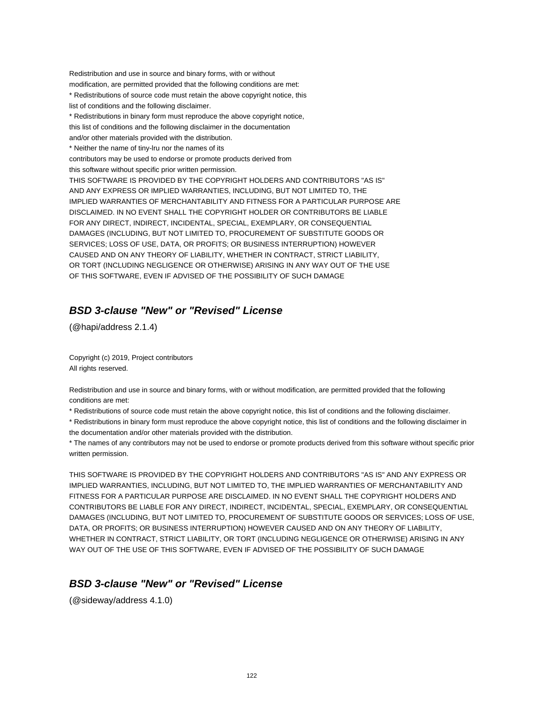Redistribution and use in source and binary forms, with or without modification, are permitted provided that the following conditions are met: \* Redistributions of source code must retain the above copyright notice, this list of conditions and the following disclaimer. \* Redistributions in binary form must reproduce the above copyright notice,

this list of conditions and the following disclaimer in the documentation

and/or other materials provided with the distribution.

\* Neither the name of tiny-lru nor the names of its

contributors may be used to endorse or promote products derived from

this software without specific prior written permission.

THIS SOFTWARE IS PROVIDED BY THE COPYRIGHT HOLDERS AND CONTRIBUTORS "AS IS" AND ANY EXPRESS OR IMPLIED WARRANTIES, INCLUDING, BUT NOT LIMITED TO, THE IMPLIED WARRANTIES OF MERCHANTABILITY AND FITNESS FOR A PARTICULAR PURPOSE ARE DISCLAIMED. IN NO EVENT SHALL THE COPYRIGHT HOLDER OR CONTRIBUTORS BE LIABLE FOR ANY DIRECT, INDIRECT, INCIDENTAL, SPECIAL, EXEMPLARY, OR CONSEQUENTIAL DAMAGES (INCLUDING, BUT NOT LIMITED TO, PROCUREMENT OF SUBSTITUTE GOODS OR SERVICES; LOSS OF USE, DATA, OR PROFITS; OR BUSINESS INTERRUPTION) HOWEVER CAUSED AND ON ANY THEORY OF LIABILITY, WHETHER IN CONTRACT, STRICT LIABILITY, OR TORT (INCLUDING NEGLIGENCE OR OTHERWISE) ARISING IN ANY WAY OUT OF THE USE OF THIS SOFTWARE, EVEN IF ADVISED OF THE POSSIBILITY OF SUCH DAMAGE

## **BSD 3-clause "New" or "Revised" License**

(@hapi/address 2.1.4)

Copyright (c) 2019, Project contributors All rights reserved.

Redistribution and use in source and binary forms, with or without modification, are permitted provided that the following conditions are met:

\* Redistributions of source code must retain the above copyright notice, this list of conditions and the following disclaimer.

\* Redistributions in binary form must reproduce the above copyright notice, this list of conditions and the following disclaimer in the documentation and/or other materials provided with the distribution.

\* The names of any contributors may not be used to endorse or promote products derived from this software without specific prior written permission.

THIS SOFTWARE IS PROVIDED BY THE COPYRIGHT HOLDERS AND CONTRIBUTORS "AS IS" AND ANY EXPRESS OR IMPLIED WARRANTIES, INCLUDING, BUT NOT LIMITED TO, THE IMPLIED WARRANTIES OF MERCHANTABILITY AND FITNESS FOR A PARTICULAR PURPOSE ARE DISCLAIMED. IN NO EVENT SHALL THE COPYRIGHT HOLDERS AND CONTRIBUTORS BE LIABLE FOR ANY DIRECT, INDIRECT, INCIDENTAL, SPECIAL, EXEMPLARY, OR CONSEQUENTIAL DAMAGES (INCLUDING, BUT NOT LIMITED TO, PROCUREMENT OF SUBSTITUTE GOODS OR SERVICES; LOSS OF USE, DATA, OR PROFITS; OR BUSINESS INTERRUPTION) HOWEVER CAUSED AND ON ANY THEORY OF LIABILITY, WHETHER IN CONTRACT, STRICT LIABILITY, OR TORT (INCLUDING NEGLIGENCE OR OTHERWISE) ARISING IN ANY WAY OUT OF THE USE OF THIS SOFTWARE, EVEN IF ADVISED OF THE POSSIBILITY OF SUCH DAMAGE

## **BSD 3-clause "New" or "Revised" License**

(@sideway/address 4.1.0)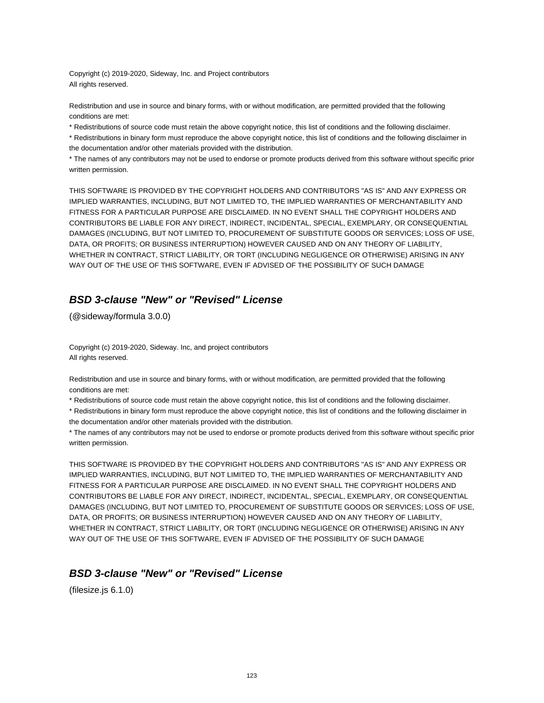Copyright (c) 2019-2020, Sideway, Inc. and Project contributors All rights reserved.

Redistribution and use in source and binary forms, with or without modification, are permitted provided that the following conditions are met:

\* Redistributions of source code must retain the above copyright notice, this list of conditions and the following disclaimer.

\* Redistributions in binary form must reproduce the above copyright notice, this list of conditions and the following disclaimer in the documentation and/or other materials provided with the distribution.

\* The names of any contributors may not be used to endorse or promote products derived from this software without specific prior written permission.

THIS SOFTWARE IS PROVIDED BY THE COPYRIGHT HOLDERS AND CONTRIBUTORS "AS IS" AND ANY EXPRESS OR IMPLIED WARRANTIES, INCLUDING, BUT NOT LIMITED TO, THE IMPLIED WARRANTIES OF MERCHANTABILITY AND FITNESS FOR A PARTICULAR PURPOSE ARE DISCLAIMED. IN NO EVENT SHALL THE COPYRIGHT HOLDERS AND CONTRIBUTORS BE LIABLE FOR ANY DIRECT, INDIRECT, INCIDENTAL, SPECIAL, EXEMPLARY, OR CONSEQUENTIAL DAMAGES (INCLUDING, BUT NOT LIMITED TO, PROCUREMENT OF SUBSTITUTE GOODS OR SERVICES; LOSS OF USE, DATA, OR PROFITS; OR BUSINESS INTERRUPTION) HOWEVER CAUSED AND ON ANY THEORY OF LIABILITY, WHETHER IN CONTRACT, STRICT LIABILITY, OR TORT (INCLUDING NEGLIGENCE OR OTHERWISE) ARISING IN ANY WAY OUT OF THE USE OF THIS SOFTWARE, EVEN IF ADVISED OF THE POSSIBILITY OF SUCH DAMAGE

# **BSD 3-clause "New" or "Revised" License**

(@sideway/formula 3.0.0)

Copyright (c) 2019-2020, Sideway. Inc, and project contributors All rights reserved.

Redistribution and use in source and binary forms, with or without modification, are permitted provided that the following conditions are met:

\* Redistributions of source code must retain the above copyright notice, this list of conditions and the following disclaimer.

\* Redistributions in binary form must reproduce the above copyright notice, this list of conditions and the following disclaimer in the documentation and/or other materials provided with the distribution.

\* The names of any contributors may not be used to endorse or promote products derived from this software without specific prior written permission.

THIS SOFTWARE IS PROVIDED BY THE COPYRIGHT HOLDERS AND CONTRIBUTORS "AS IS" AND ANY EXPRESS OR IMPLIED WARRANTIES, INCLUDING, BUT NOT LIMITED TO, THE IMPLIED WARRANTIES OF MERCHANTABILITY AND FITNESS FOR A PARTICULAR PURPOSE ARE DISCLAIMED. IN NO EVENT SHALL THE COPYRIGHT HOLDERS AND CONTRIBUTORS BE LIABLE FOR ANY DIRECT, INDIRECT, INCIDENTAL, SPECIAL, EXEMPLARY, OR CONSEQUENTIAL DAMAGES (INCLUDING, BUT NOT LIMITED TO, PROCUREMENT OF SUBSTITUTE GOODS OR SERVICES; LOSS OF USE, DATA, OR PROFITS; OR BUSINESS INTERRUPTION) HOWEVER CAUSED AND ON ANY THEORY OF LIABILITY, WHETHER IN CONTRACT, STRICT LIABILITY, OR TORT (INCLUDING NEGLIGENCE OR OTHERWISE) ARISING IN ANY WAY OUT OF THE USE OF THIS SOFTWARE, EVEN IF ADVISED OF THE POSSIBILITY OF SUCH DAMAGE

### **BSD 3-clause "New" or "Revised" License**

(filesize.js 6.1.0)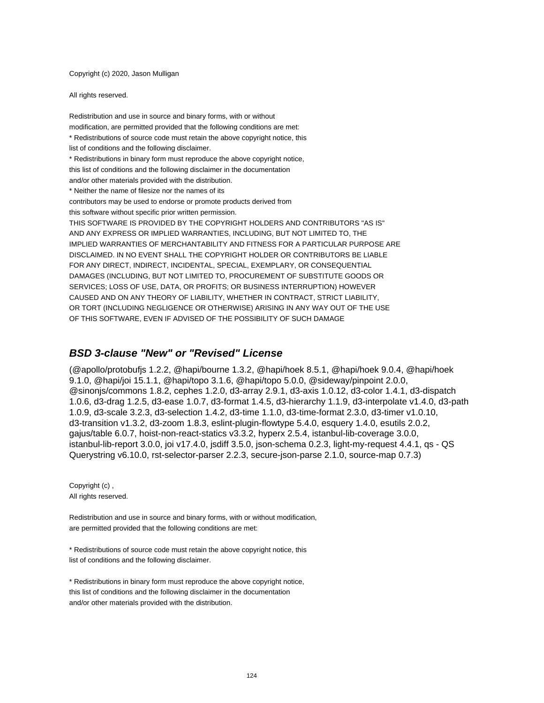Copyright (c) 2020, Jason Mulligan

All rights reserved.

Redistribution and use in source and binary forms, with or without modification, are permitted provided that the following conditions are met: \* Redistributions of source code must retain the above copyright notice, this list of conditions and the following disclaimer. \* Redistributions in binary form must reproduce the above copyright notice, this list of conditions and the following disclaimer in the documentation and/or other materials provided with the distribution. \* Neither the name of filesize nor the names of its contributors may be used to endorse or promote products derived from this software without specific prior written permission. THIS SOFTWARE IS PROVIDED BY THE COPYRIGHT HOLDERS AND CONTRIBUTORS "AS IS" AND ANY EXPRESS OR IMPLIED WARRANTIES, INCLUDING, BUT NOT LIMITED TO, THE IMPLIED WARRANTIES OF MERCHANTABILITY AND FITNESS FOR A PARTICULAR PURPOSE ARE DISCLAIMED. IN NO EVENT SHALL THE COPYRIGHT HOLDER OR CONTRIBUTORS BE LIABLE FOR ANY DIRECT, INDIRECT, INCIDENTAL, SPECIAL, EXEMPLARY, OR CONSEQUENTIAL DAMAGES (INCLUDING, BUT NOT LIMITED TO, PROCUREMENT OF SUBSTITUTE GOODS OR SERVICES; LOSS OF USE, DATA, OR PROFITS; OR BUSINESS INTERRUPTION) HOWEVER CAUSED AND ON ANY THEORY OF LIABILITY, WHETHER IN CONTRACT, STRICT LIABILITY, OR TORT (INCLUDING NEGLIGENCE OR OTHERWISE) ARISING IN ANY WAY OUT OF THE USE OF THIS SOFTWARE, EVEN IF ADVISED OF THE POSSIBILITY OF SUCH DAMAGE

#### **BSD 3-clause "New" or "Revised" License**

(@apollo/protobufjs 1.2.2, @hapi/bourne 1.3.2, @hapi/hoek 8.5.1, @hapi/hoek 9.0.4, @hapi/hoek 9.1.0, @hapi/joi 15.1.1, @hapi/topo 3.1.6, @hapi/topo 5.0.0, @sideway/pinpoint 2.0.0, @sinonjs/commons 1.8.2, cephes 1.2.0, d3-array 2.9.1, d3-axis 1.0.12, d3-color 1.4.1, d3-dispatch 1.0.6, d3-drag 1.2.5, d3-ease 1.0.7, d3-format 1.4.5, d3-hierarchy 1.1.9, d3-interpolate v1.4.0, d3-path 1.0.9, d3-scale 3.2.3, d3-selection 1.4.2, d3-time 1.1.0, d3-time-format 2.3.0, d3-timer v1.0.10, d3-transition v1.3.2, d3-zoom 1.8.3, eslint-plugin-flowtype 5.4.0, esquery 1.4.0, esutils 2.0.2, gajus/table 6.0.7, hoist-non-react-statics v3.3.2, hyperx 2.5.4, istanbul-lib-coverage 3.0.0, istanbul-lib-report 3.0.0, joi v17.4.0, jsdiff 3.5.0, json-schema 0.2.3, light-my-request 4.4.1, qs - QS Querystring v6.10.0, rst-selector-parser 2.2.3, secure-json-parse 2.1.0, source-map 0.7.3)

Copyright (c) , All rights reserved.

Redistribution and use in source and binary forms, with or without modification, are permitted provided that the following conditions are met:

\* Redistributions of source code must retain the above copyright notice, this list of conditions and the following disclaimer.

\* Redistributions in binary form must reproduce the above copyright notice, this list of conditions and the following disclaimer in the documentation and/or other materials provided with the distribution.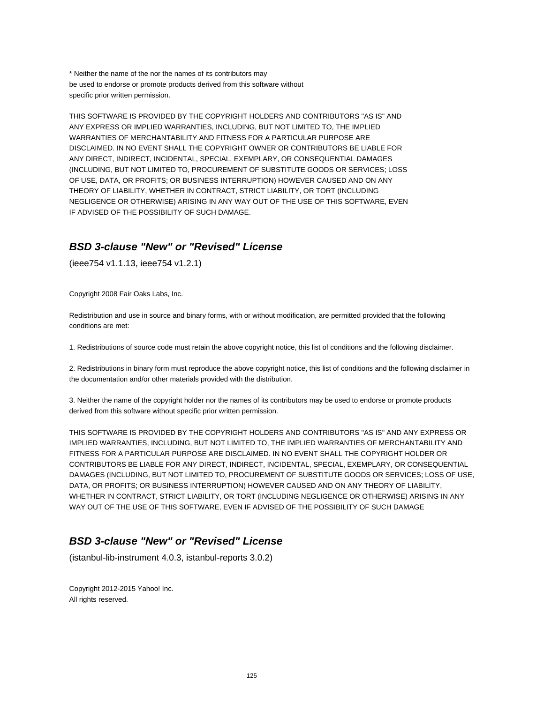\* Neither the name of the nor the names of its contributors may be used to endorse or promote products derived from this software without specific prior written permission.

THIS SOFTWARE IS PROVIDED BY THE COPYRIGHT HOLDERS AND CONTRIBUTORS "AS IS" AND ANY EXPRESS OR IMPLIED WARRANTIES, INCLUDING, BUT NOT LIMITED TO, THE IMPLIED WARRANTIES OF MERCHANTABILITY AND FITNESS FOR A PARTICULAR PURPOSE ARE DISCLAIMED. IN NO EVENT SHALL THE COPYRIGHT OWNER OR CONTRIBUTORS BE LIABLE FOR ANY DIRECT, INDIRECT, INCIDENTAL, SPECIAL, EXEMPLARY, OR CONSEQUENTIAL DAMAGES (INCLUDING, BUT NOT LIMITED TO, PROCUREMENT OF SUBSTITUTE GOODS OR SERVICES; LOSS OF USE, DATA, OR PROFITS; OR BUSINESS INTERRUPTION) HOWEVER CAUSED AND ON ANY THEORY OF LIABILITY, WHETHER IN CONTRACT, STRICT LIABILITY, OR TORT (INCLUDING NEGLIGENCE OR OTHERWISE) ARISING IN ANY WAY OUT OF THE USE OF THIS SOFTWARE, EVEN IF ADVISED OF THE POSSIBILITY OF SUCH DAMAGE.

## **BSD 3-clause "New" or "Revised" License**

(ieee754 v1.1.13, ieee754 v1.2.1)

Copyright 2008 Fair Oaks Labs, Inc.

Redistribution and use in source and binary forms, with or without modification, are permitted provided that the following conditions are met:

1. Redistributions of source code must retain the above copyright notice, this list of conditions and the following disclaimer.

2. Redistributions in binary form must reproduce the above copyright notice, this list of conditions and the following disclaimer in the documentation and/or other materials provided with the distribution.

3. Neither the name of the copyright holder nor the names of its contributors may be used to endorse or promote products derived from this software without specific prior written permission.

THIS SOFTWARE IS PROVIDED BY THE COPYRIGHT HOLDERS AND CONTRIBUTORS "AS IS" AND ANY EXPRESS OR IMPLIED WARRANTIES, INCLUDING, BUT NOT LIMITED TO, THE IMPLIED WARRANTIES OF MERCHANTABILITY AND FITNESS FOR A PARTICULAR PURPOSE ARE DISCLAIMED. IN NO EVENT SHALL THE COPYRIGHT HOLDER OR CONTRIBUTORS BE LIABLE FOR ANY DIRECT, INDIRECT, INCIDENTAL, SPECIAL, EXEMPLARY, OR CONSEQUENTIAL DAMAGES (INCLUDING, BUT NOT LIMITED TO, PROCUREMENT OF SUBSTITUTE GOODS OR SERVICES; LOSS OF USE, DATA, OR PROFITS; OR BUSINESS INTERRUPTION) HOWEVER CAUSED AND ON ANY THEORY OF LIABILITY, WHETHER IN CONTRACT, STRICT LIABILITY, OR TORT (INCLUDING NEGLIGENCE OR OTHERWISE) ARISING IN ANY WAY OUT OF THE USE OF THIS SOFTWARE, EVEN IF ADVISED OF THE POSSIBILITY OF SUCH DAMAGE

## **BSD 3-clause "New" or "Revised" License**

(istanbul-lib-instrument 4.0.3, istanbul-reports 3.0.2)

Copyright 2012-2015 Yahoo! Inc. All rights reserved.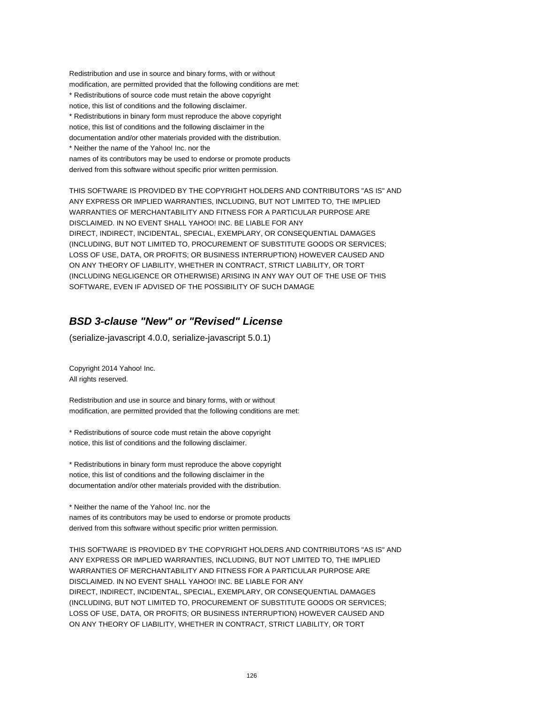Redistribution and use in source and binary forms, with or without modification, are permitted provided that the following conditions are met: \* Redistributions of source code must retain the above copyright notice, this list of conditions and the following disclaimer. \* Redistributions in binary form must reproduce the above copyright notice, this list of conditions and the following disclaimer in the documentation and/or other materials provided with the distribution. \* Neither the name of the Yahoo! Inc. nor the names of its contributors may be used to endorse or promote products derived from this software without specific prior written permission.

THIS SOFTWARE IS PROVIDED BY THE COPYRIGHT HOLDERS AND CONTRIBUTORS "AS IS" AND ANY EXPRESS OR IMPLIED WARRANTIES, INCLUDING, BUT NOT LIMITED TO, THE IMPLIED WARRANTIES OF MERCHANTABILITY AND FITNESS FOR A PARTICULAR PURPOSE ARE DISCLAIMED. IN NO EVENT SHALL YAHOO! INC. BE LIABLE FOR ANY DIRECT, INDIRECT, INCIDENTAL, SPECIAL, EXEMPLARY, OR CONSEQUENTIAL DAMAGES (INCLUDING, BUT NOT LIMITED TO, PROCUREMENT OF SUBSTITUTE GOODS OR SERVICES; LOSS OF USE, DATA, OR PROFITS; OR BUSINESS INTERRUPTION) HOWEVER CAUSED AND ON ANY THEORY OF LIABILITY, WHETHER IN CONTRACT, STRICT LIABILITY, OR TORT (INCLUDING NEGLIGENCE OR OTHERWISE) ARISING IN ANY WAY OUT OF THE USE OF THIS SOFTWARE, EVEN IF ADVISED OF THE POSSIBILITY OF SUCH DAMAGE

## **BSD 3-clause "New" or "Revised" License**

(serialize-javascript 4.0.0, serialize-javascript 5.0.1)

Copyright 2014 Yahoo! Inc. All rights reserved.

Redistribution and use in source and binary forms, with or without modification, are permitted provided that the following conditions are met:

\* Redistributions of source code must retain the above copyright notice, this list of conditions and the following disclaimer.

\* Redistributions in binary form must reproduce the above copyright notice, this list of conditions and the following disclaimer in the documentation and/or other materials provided with the distribution.

\* Neither the name of the Yahoo! Inc. nor the names of its contributors may be used to endorse or promote products derived from this software without specific prior written permission.

THIS SOFTWARE IS PROVIDED BY THE COPYRIGHT HOLDERS AND CONTRIBUTORS "AS IS" AND ANY EXPRESS OR IMPLIED WARRANTIES, INCLUDING, BUT NOT LIMITED TO, THE IMPLIED WARRANTIES OF MERCHANTABILITY AND FITNESS FOR A PARTICULAR PURPOSE ARE DISCLAIMED. IN NO EVENT SHALL YAHOO! INC. BE LIABLE FOR ANY DIRECT, INDIRECT, INCIDENTAL, SPECIAL, EXEMPLARY, OR CONSEQUENTIAL DAMAGES (INCLUDING, BUT NOT LIMITED TO, PROCUREMENT OF SUBSTITUTE GOODS OR SERVICES; LOSS OF USE, DATA, OR PROFITS; OR BUSINESS INTERRUPTION) HOWEVER CAUSED AND ON ANY THEORY OF LIABILITY, WHETHER IN CONTRACT, STRICT LIABILITY, OR TORT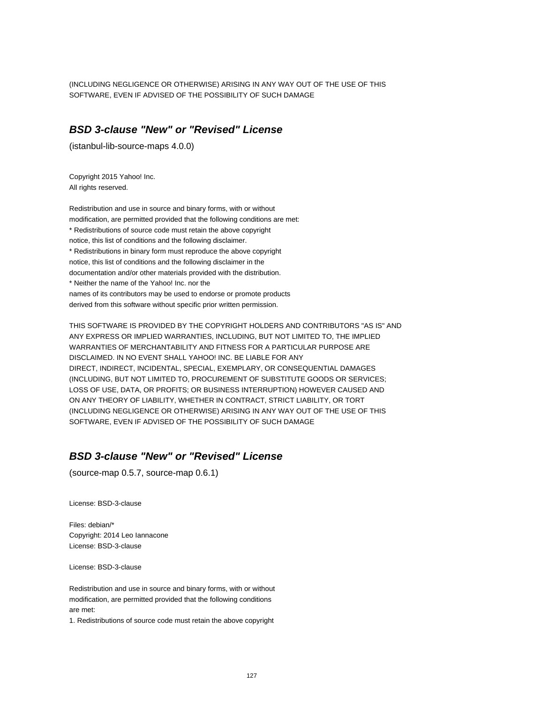(INCLUDING NEGLIGENCE OR OTHERWISE) ARISING IN ANY WAY OUT OF THE USE OF THIS SOFTWARE, EVEN IF ADVISED OF THE POSSIBILITY OF SUCH DAMAGE

#### **BSD 3-clause "New" or "Revised" License**

(istanbul-lib-source-maps 4.0.0)

Copyright 2015 Yahoo! Inc. All rights reserved.

Redistribution and use in source and binary forms, with or without modification, are permitted provided that the following conditions are met: \* Redistributions of source code must retain the above copyright notice, this list of conditions and the following disclaimer. \* Redistributions in binary form must reproduce the above copyright notice, this list of conditions and the following disclaimer in the documentation and/or other materials provided with the distribution. \* Neither the name of the Yahoo! Inc. nor the names of its contributors may be used to endorse or promote products derived from this software without specific prior written permission.

THIS SOFTWARE IS PROVIDED BY THE COPYRIGHT HOLDERS AND CONTRIBUTORS "AS IS" AND ANY EXPRESS OR IMPLIED WARRANTIES, INCLUDING, BUT NOT LIMITED TO, THE IMPLIED WARRANTIES OF MERCHANTABILITY AND FITNESS FOR A PARTICULAR PURPOSE ARE DISCLAIMED. IN NO EVENT SHALL YAHOO! INC. BE LIABLE FOR ANY DIRECT, INDIRECT, INCIDENTAL, SPECIAL, EXEMPLARY, OR CONSEQUENTIAL DAMAGES (INCLUDING, BUT NOT LIMITED TO, PROCUREMENT OF SUBSTITUTE GOODS OR SERVICES; LOSS OF USE, DATA, OR PROFITS; OR BUSINESS INTERRUPTION) HOWEVER CAUSED AND ON ANY THEORY OF LIABILITY, WHETHER IN CONTRACT, STRICT LIABILITY, OR TORT (INCLUDING NEGLIGENCE OR OTHERWISE) ARISING IN ANY WAY OUT OF THE USE OF THIS SOFTWARE, EVEN IF ADVISED OF THE POSSIBILITY OF SUCH DAMAGE

# **BSD 3-clause "New" or "Revised" License**

(source-map 0.5.7, source-map 0.6.1)

License: BSD-3-clause

Files: debian/\* Copyright: 2014 Leo Iannacone License: BSD-3-clause

License: BSD-3-clause

Redistribution and use in source and binary forms, with or without modification, are permitted provided that the following conditions are met:

1. Redistributions of source code must retain the above copyright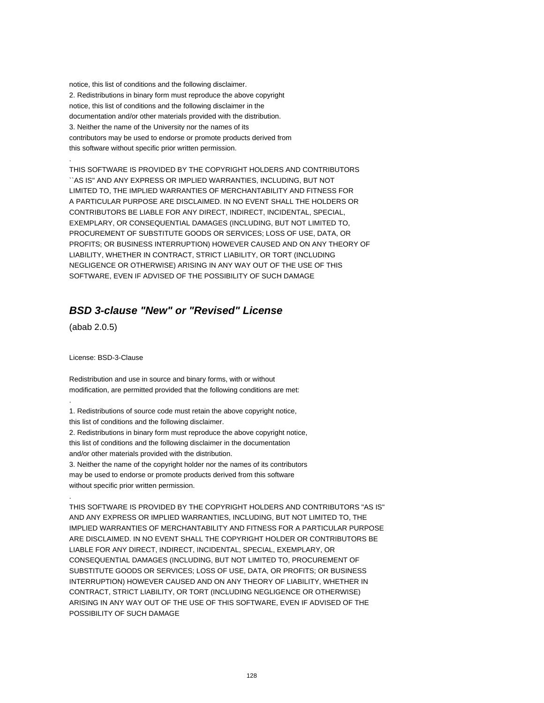notice, this list of conditions and the following disclaimer. 2. Redistributions in binary form must reproduce the above copyright notice, this list of conditions and the following disclaimer in the documentation and/or other materials provided with the distribution. 3. Neither the name of the University nor the names of its contributors may be used to endorse or promote products derived from this software without specific prior written permission.

THIS SOFTWARE IS PROVIDED BY THE COPYRIGHT HOLDERS AND CONTRIBUTORS ``AS IS'' AND ANY EXPRESS OR IMPLIED WARRANTIES, INCLUDING, BUT NOT LIMITED TO, THE IMPLIED WARRANTIES OF MERCHANTABILITY AND FITNESS FOR A PARTICULAR PURPOSE ARE DISCLAIMED. IN NO EVENT SHALL THE HOLDERS OR CONTRIBUTORS BE LIABLE FOR ANY DIRECT, INDIRECT, INCIDENTAL, SPECIAL, EXEMPLARY, OR CONSEQUENTIAL DAMAGES (INCLUDING, BUT NOT LIMITED TO, PROCUREMENT OF SUBSTITUTE GOODS OR SERVICES; LOSS OF USE, DATA, OR PROFITS; OR BUSINESS INTERRUPTION) HOWEVER CAUSED AND ON ANY THEORY OF LIABILITY, WHETHER IN CONTRACT, STRICT LIABILITY, OR TORT (INCLUDING NEGLIGENCE OR OTHERWISE) ARISING IN ANY WAY OUT OF THE USE OF THIS SOFTWARE, EVEN IF ADVISED OF THE POSSIBILITY OF SUCH DAMAGE

### **BSD 3-clause "New" or "Revised" License**

(abab 2.0.5)

.

.

.

License: BSD-3-Clause

Redistribution and use in source and binary forms, with or without modification, are permitted provided that the following conditions are met:

1. Redistributions of source code must retain the above copyright notice,

this list of conditions and the following disclaimer.

2. Redistributions in binary form must reproduce the above copyright notice, this list of conditions and the following disclaimer in the documentation and/or other materials provided with the distribution.

3. Neither the name of the copyright holder nor the names of its contributors may be used to endorse or promote products derived from this software without specific prior written permission.

THIS SOFTWARE IS PROVIDED BY THE COPYRIGHT HOLDERS AND CONTRIBUTORS "AS IS" AND ANY EXPRESS OR IMPLIED WARRANTIES, INCLUDING, BUT NOT LIMITED TO, THE IMPLIED WARRANTIES OF MERCHANTABILITY AND FITNESS FOR A PARTICULAR PURPOSE ARE DISCLAIMED. IN NO EVENT SHALL THE COPYRIGHT HOLDER OR CONTRIBUTORS BE LIABLE FOR ANY DIRECT, INDIRECT, INCIDENTAL, SPECIAL, EXEMPLARY, OR CONSEQUENTIAL DAMAGES (INCLUDING, BUT NOT LIMITED TO, PROCUREMENT OF SUBSTITUTE GOODS OR SERVICES; LOSS OF USE, DATA, OR PROFITS; OR BUSINESS INTERRUPTION) HOWEVER CAUSED AND ON ANY THEORY OF LIABILITY, WHETHER IN CONTRACT, STRICT LIABILITY, OR TORT (INCLUDING NEGLIGENCE OR OTHERWISE) ARISING IN ANY WAY OUT OF THE USE OF THIS SOFTWARE, EVEN IF ADVISED OF THE POSSIBILITY OF SUCH DAMAGE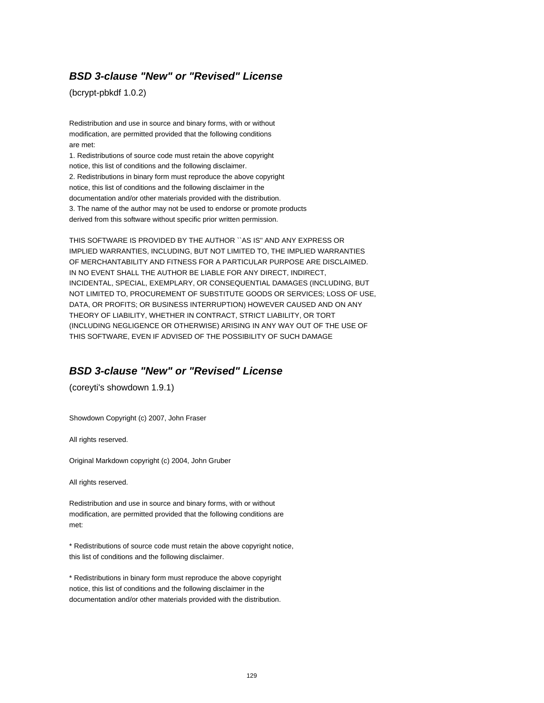### **BSD 3-clause "New" or "Revised" License**

(bcrypt-pbkdf 1.0.2)

Redistribution and use in source and binary forms, with or without modification, are permitted provided that the following conditions are met:

1. Redistributions of source code must retain the above copyright notice, this list of conditions and the following disclaimer. 2. Redistributions in binary form must reproduce the above copyright notice, this list of conditions and the following disclaimer in the documentation and/or other materials provided with the distribution. 3. The name of the author may not be used to endorse or promote products derived from this software without specific prior written permission.

THIS SOFTWARE IS PROVIDED BY THE AUTHOR ``AS IS'' AND ANY EXPRESS OR IMPLIED WARRANTIES, INCLUDING, BUT NOT LIMITED TO, THE IMPLIED WARRANTIES OF MERCHANTABILITY AND FITNESS FOR A PARTICULAR PURPOSE ARE DISCLAIMED. IN NO EVENT SHALL THE AUTHOR BE LIABLE FOR ANY DIRECT, INDIRECT, INCIDENTAL, SPECIAL, EXEMPLARY, OR CONSEQUENTIAL DAMAGES (INCLUDING, BUT NOT LIMITED TO, PROCUREMENT OF SUBSTITUTE GOODS OR SERVICES; LOSS OF USE, DATA, OR PROFITS; OR BUSINESS INTERRUPTION) HOWEVER CAUSED AND ON ANY THEORY OF LIABILITY, WHETHER IN CONTRACT, STRICT LIABILITY, OR TORT (INCLUDING NEGLIGENCE OR OTHERWISE) ARISING IN ANY WAY OUT OF THE USE OF THIS SOFTWARE, EVEN IF ADVISED OF THE POSSIBILITY OF SUCH DAMAGE

### **BSD 3-clause "New" or "Revised" License**

(coreyti's showdown 1.9.1)

Showdown Copyright (c) 2007, John Fraser

All rights reserved.

Original Markdown copyright (c) 2004, John Gruber

All rights reserved.

Redistribution and use in source and binary forms, with or without modification, are permitted provided that the following conditions are met:

\* Redistributions of source code must retain the above copyright notice, this list of conditions and the following disclaimer.

\* Redistributions in binary form must reproduce the above copyright notice, this list of conditions and the following disclaimer in the documentation and/or other materials provided with the distribution.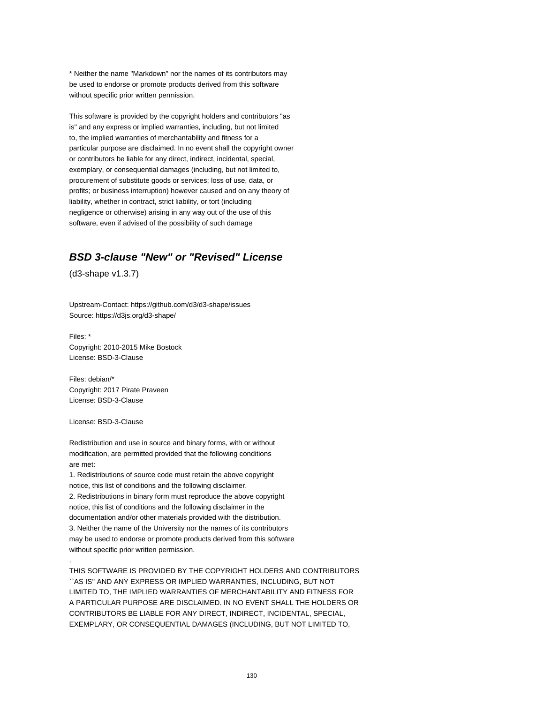\* Neither the name "Markdown" nor the names of its contributors may be used to endorse or promote products derived from this software without specific prior written permission.

This software is provided by the copyright holders and contributors "as is" and any express or implied warranties, including, but not limited to, the implied warranties of merchantability and fitness for a particular purpose are disclaimed. In no event shall the copyright owner or contributors be liable for any direct, indirect, incidental, special, exemplary, or consequential damages (including, but not limited to, procurement of substitute goods or services; loss of use, data, or profits; or business interruption) however caused and on any theory of liability, whether in contract, strict liability, or tort (including negligence or otherwise) arising in any way out of the use of this software, even if advised of the possibility of such damage

### **BSD 3-clause "New" or "Revised" License**

(d3-shape v1.3.7)

Upstream-Contact: https://github.com/d3/d3-shape/issues Source: https://d3js.org/d3-shape/

Files: \* Copyright: 2010-2015 Mike Bostock License: BSD-3-Clause

Files: debian/\* Copyright: 2017 Pirate Praveen License: BSD-3-Clause

License: BSD-3-Clause

.

Redistribution and use in source and binary forms, with or without modification, are permitted provided that the following conditions are met:

1. Redistributions of source code must retain the above copyright notice, this list of conditions and the following disclaimer. 2. Redistributions in binary form must reproduce the above copyright notice, this list of conditions and the following disclaimer in the documentation and/or other materials provided with the distribution. 3. Neither the name of the University nor the names of its contributors may be used to endorse or promote products derived from this software without specific prior written permission.

THIS SOFTWARE IS PROVIDED BY THE COPYRIGHT HOLDERS AND CONTRIBUTORS ``AS IS'' AND ANY EXPRESS OR IMPLIED WARRANTIES, INCLUDING, BUT NOT LIMITED TO, THE IMPLIED WARRANTIES OF MERCHANTABILITY AND FITNESS FOR A PARTICULAR PURPOSE ARE DISCLAIMED. IN NO EVENT SHALL THE HOLDERS OR CONTRIBUTORS BE LIABLE FOR ANY DIRECT, INDIRECT, INCIDENTAL, SPECIAL, EXEMPLARY, OR CONSEQUENTIAL DAMAGES (INCLUDING, BUT NOT LIMITED TO,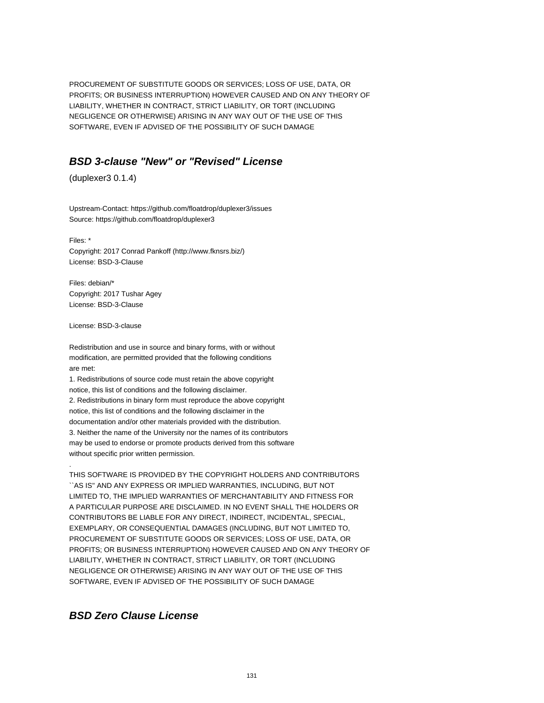PROCUREMENT OF SUBSTITUTE GOODS OR SERVICES; LOSS OF USE, DATA, OR PROFITS; OR BUSINESS INTERRUPTION) HOWEVER CAUSED AND ON ANY THEORY OF LIABILITY, WHETHER IN CONTRACT, STRICT LIABILITY, OR TORT (INCLUDING NEGLIGENCE OR OTHERWISE) ARISING IN ANY WAY OUT OF THE USE OF THIS SOFTWARE, EVEN IF ADVISED OF THE POSSIBILITY OF SUCH DAMAGE

### **BSD 3-clause "New" or "Revised" License**

(duplexer3 0.1.4)

Upstream-Contact: https://github.com/floatdrop/duplexer3/issues Source: https://github.com/floatdrop/duplexer3

Files: \* Copyright: 2017 Conrad Pankoff (http://www.fknsrs.biz/) License: BSD-3-Clause

Files: debian/\* Copyright: 2017 Tushar Agey License: BSD-3-Clause

License: BSD-3-clause

.

Redistribution and use in source and binary forms, with or without modification, are permitted provided that the following conditions are met:

1. Redistributions of source code must retain the above copyright notice, this list of conditions and the following disclaimer. 2. Redistributions in binary form must reproduce the above copyright notice, this list of conditions and the following disclaimer in the documentation and/or other materials provided with the distribution. 3. Neither the name of the University nor the names of its contributors may be used to endorse or promote products derived from this software without specific prior written permission.

THIS SOFTWARE IS PROVIDED BY THE COPYRIGHT HOLDERS AND CONTRIBUTORS ``AS IS'' AND ANY EXPRESS OR IMPLIED WARRANTIES, INCLUDING, BUT NOT LIMITED TO, THE IMPLIED WARRANTIES OF MERCHANTABILITY AND FITNESS FOR A PARTICULAR PURPOSE ARE DISCLAIMED. IN NO EVENT SHALL THE HOLDERS OR CONTRIBUTORS BE LIABLE FOR ANY DIRECT, INDIRECT, INCIDENTAL, SPECIAL, EXEMPLARY, OR CONSEQUENTIAL DAMAGES (INCLUDING, BUT NOT LIMITED TO, PROCUREMENT OF SUBSTITUTE GOODS OR SERVICES; LOSS OF USE, DATA, OR PROFITS; OR BUSINESS INTERRUPTION) HOWEVER CAUSED AND ON ANY THEORY OF LIABILITY, WHETHER IN CONTRACT, STRICT LIABILITY, OR TORT (INCLUDING NEGLIGENCE OR OTHERWISE) ARISING IN ANY WAY OUT OF THE USE OF THIS SOFTWARE, EVEN IF ADVISED OF THE POSSIBILITY OF SUCH DAMAGE

#### **BSD Zero Clause License**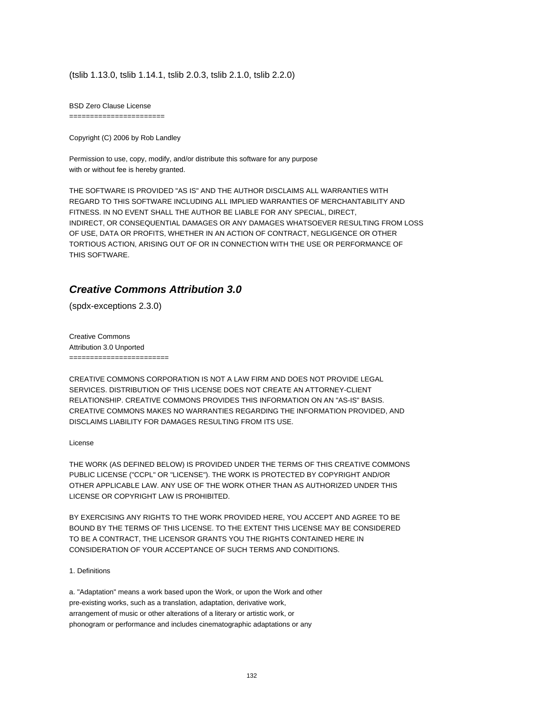(tslib 1.13.0, tslib 1.14.1, tslib 2.0.3, tslib 2.1.0, tslib 2.2.0)

BSD Zero Clause License

=======================

Copyright (C) 2006 by Rob Landley

Permission to use, copy, modify, and/or distribute this software for any purpose with or without fee is hereby granted.

THE SOFTWARE IS PROVIDED "AS IS" AND THE AUTHOR DISCLAIMS ALL WARRANTIES WITH REGARD TO THIS SOFTWARE INCLUDING ALL IMPLIED WARRANTIES OF MERCHANTABILITY AND FITNESS. IN NO EVENT SHALL THE AUTHOR BE LIABLE FOR ANY SPECIAL, DIRECT, INDIRECT, OR CONSEQUENTIAL DAMAGES OR ANY DAMAGES WHATSOEVER RESULTING FROM LOSS OF USE, DATA OR PROFITS, WHETHER IN AN ACTION OF CONTRACT, NEGLIGENCE OR OTHER TORTIOUS ACTION, ARISING OUT OF OR IN CONNECTION WITH THE USE OR PERFORMANCE OF THIS SOFTWARE.

#### **Creative Commons Attribution 3.0**

(spdx-exceptions 2.3.0)

Creative Commons Attribution 3.0 Unported ========================

CREATIVE COMMONS CORPORATION IS NOT A LAW FIRM AND DOES NOT PROVIDE LEGAL SERVICES. DISTRIBUTION OF THIS LICENSE DOES NOT CREATE AN ATTORNEY-CLIENT RELATIONSHIP. CREATIVE COMMONS PROVIDES THIS INFORMATION ON AN "AS-IS" BASIS. CREATIVE COMMONS MAKES NO WARRANTIES REGARDING THE INFORMATION PROVIDED, AND DISCLAIMS LIABILITY FOR DAMAGES RESULTING FROM ITS USE.

#### License

THE WORK (AS DEFINED BELOW) IS PROVIDED UNDER THE TERMS OF THIS CREATIVE COMMONS PUBLIC LICENSE ("CCPL" OR "LICENSE"). THE WORK IS PROTECTED BY COPYRIGHT AND/OR OTHER APPLICABLE LAW. ANY USE OF THE WORK OTHER THAN AS AUTHORIZED UNDER THIS LICENSE OR COPYRIGHT LAW IS PROHIBITED.

BY EXERCISING ANY RIGHTS TO THE WORK PROVIDED HERE, YOU ACCEPT AND AGREE TO BE BOUND BY THE TERMS OF THIS LICENSE. TO THE EXTENT THIS LICENSE MAY BE CONSIDERED TO BE A CONTRACT, THE LICENSOR GRANTS YOU THE RIGHTS CONTAINED HERE IN CONSIDERATION OF YOUR ACCEPTANCE OF SUCH TERMS AND CONDITIONS.

1. Definitions

a. "Adaptation" means a work based upon the Work, or upon the Work and other pre-existing works, such as a translation, adaptation, derivative work, arrangement of music or other alterations of a literary or artistic work, or phonogram or performance and includes cinematographic adaptations or any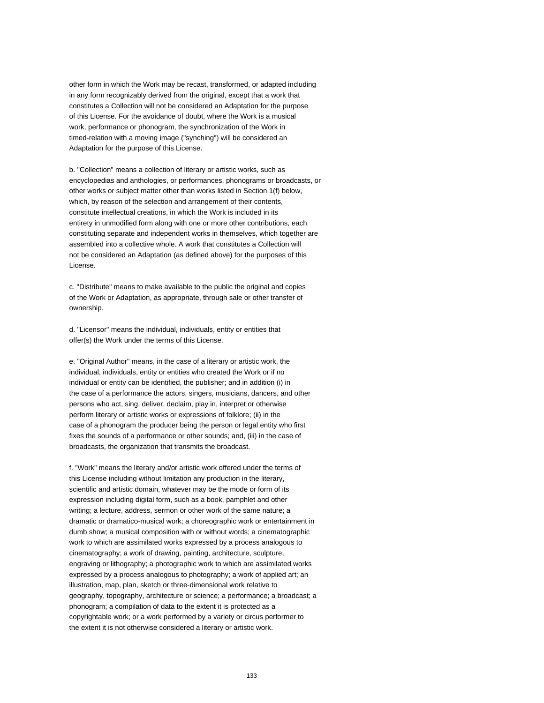other form in which the Work may be recast, transformed, or adapted including in any form recognizably derived from the original, except that a work that constitutes a Collection will not be considered an Adaptation for the purpose of this License. For the avoidance of doubt, where the Work is a musical work, performance or phonogram, the synchronization of the Work in timed-relation with a moving image ("synching") will be considered an Adaptation for the purpose of this License.

b. "Collection" means a collection of literary or artistic works, such as encyclopedias and anthologies, or performances, phonograms or broadcasts, or other works or subject matter other than works listed in Section 1(f) below, which, by reason of the selection and arrangement of their contents, constitute intellectual creations, in which the Work is included in its entirety in unmodified form along with one or more other contributions, each constituting separate and independent works in themselves, which together are assembled into a collective whole. A work that constitutes a Collection will not be considered an Adaptation (as defined above) for the purposes of this License.

c. "Distribute" means to make available to the public the original and copies of the Work or Adaptation, as appropriate, through sale or other transfer of ownership.

d. "Licensor" means the individual, individuals, entity or entities that offer(s) the Work under the terms of this License.

e. "Original Author" means, in the case of a literary or artistic work, the individual, individuals, entity or entities who created the Work or if no individual or entity can be identified, the publisher; and in addition (i) in the case of a performance the actors, singers, musicians, dancers, and other persons who act, sing, deliver, declaim, play in, interpret or otherwise perform literary or artistic works or expressions of folklore; (ii) in the case of a phonogram the producer being the person or legal entity who first fixes the sounds of a performance or other sounds; and, (iii) in the case of broadcasts, the organization that transmits the broadcast.

f. "Work" means the literary and/or artistic work offered under the terms of this License including without limitation any production in the literary, scientific and artistic domain, whatever may be the mode or form of its expression including digital form, such as a book, pamphlet and other writing; a lecture, address, sermon or other work of the same nature; a dramatic or dramatico-musical work; a choreographic work or entertainment in dumb show; a musical composition with or without words; a cinematographic work to which are assimilated works expressed by a process analogous to cinematography; a work of drawing, painting, architecture, sculpture, engraving or lithography; a photographic work to which are assimilated works expressed by a process analogous to photography; a work of applied art; an illustration, map, plan, sketch or three-dimensional work relative to geography, topography, architecture or science; a performance; a broadcast; a phonogram; a compilation of data to the extent it is protected as a copyrightable work; or a work performed by a variety or circus performer to the extent it is not otherwise considered a literary or artistic work.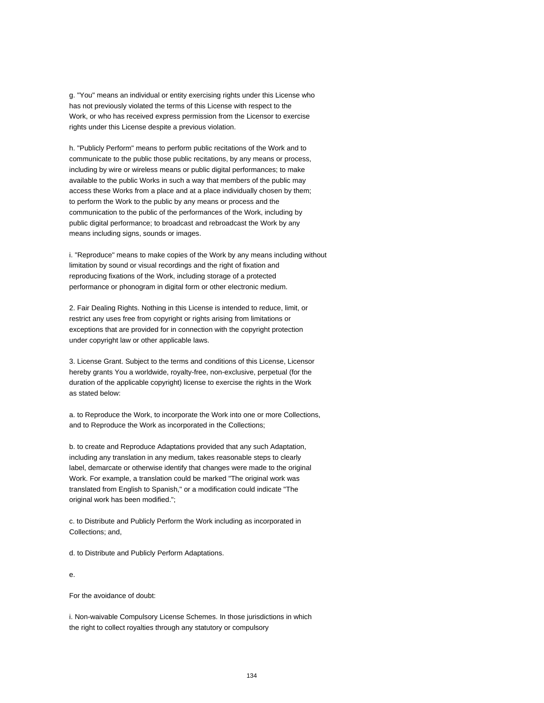g. "You" means an individual or entity exercising rights under this License who has not previously violated the terms of this License with respect to the Work, or who has received express permission from the Licensor to exercise rights under this License despite a previous violation.

h. "Publicly Perform" means to perform public recitations of the Work and to communicate to the public those public recitations, by any means or process, including by wire or wireless means or public digital performances; to make available to the public Works in such a way that members of the public may access these Works from a place and at a place individually chosen by them; to perform the Work to the public by any means or process and the communication to the public of the performances of the Work, including by public digital performance; to broadcast and rebroadcast the Work by any means including signs, sounds or images.

i. "Reproduce" means to make copies of the Work by any means including without limitation by sound or visual recordings and the right of fixation and reproducing fixations of the Work, including storage of a protected performance or phonogram in digital form or other electronic medium.

2. Fair Dealing Rights. Nothing in this License is intended to reduce, limit, or restrict any uses free from copyright or rights arising from limitations or exceptions that are provided for in connection with the copyright protection under copyright law or other applicable laws.

3. License Grant. Subject to the terms and conditions of this License, Licensor hereby grants You a worldwide, royalty-free, non-exclusive, perpetual (for the duration of the applicable copyright) license to exercise the rights in the Work as stated below:

a. to Reproduce the Work, to incorporate the Work into one or more Collections, and to Reproduce the Work as incorporated in the Collections;

b. to create and Reproduce Adaptations provided that any such Adaptation, including any translation in any medium, takes reasonable steps to clearly label, demarcate or otherwise identify that changes were made to the original Work. For example, a translation could be marked "The original work was translated from English to Spanish," or a modification could indicate "The original work has been modified.";

c. to Distribute and Publicly Perform the Work including as incorporated in Collections; and,

d. to Distribute and Publicly Perform Adaptations.

e.

For the avoidance of doubt:

i. Non-waivable Compulsory License Schemes. In those jurisdictions in which the right to collect royalties through any statutory or compulsory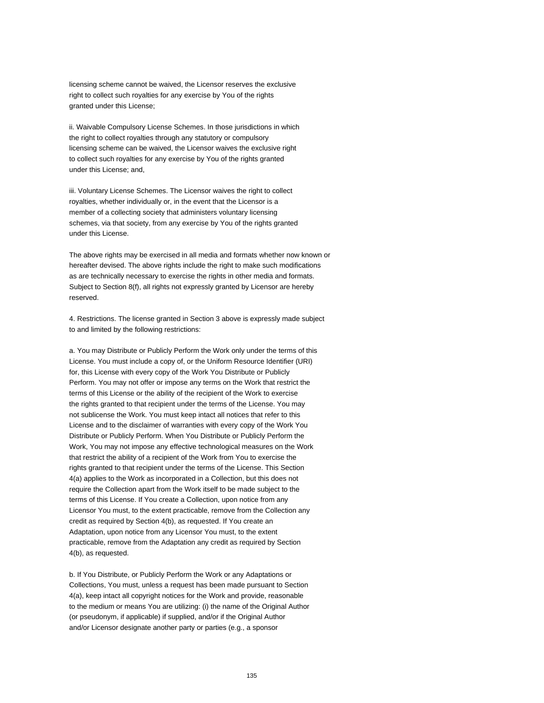licensing scheme cannot be waived, the Licensor reserves the exclusive right to collect such royalties for any exercise by You of the rights granted under this License;

ii. Waivable Compulsory License Schemes. In those jurisdictions in which the right to collect royalties through any statutory or compulsory licensing scheme can be waived, the Licensor waives the exclusive right to collect such royalties for any exercise by You of the rights granted under this License; and,

iii. Voluntary License Schemes. The Licensor waives the right to collect royalties, whether individually or, in the event that the Licensor is a member of a collecting society that administers voluntary licensing schemes, via that society, from any exercise by You of the rights granted under this License.

The above rights may be exercised in all media and formats whether now known or hereafter devised. The above rights include the right to make such modifications as are technically necessary to exercise the rights in other media and formats. Subject to Section 8(f), all rights not expressly granted by Licensor are hereby reserved.

4. Restrictions. The license granted in Section 3 above is expressly made subject to and limited by the following restrictions:

a. You may Distribute or Publicly Perform the Work only under the terms of this License. You must include a copy of, or the Uniform Resource Identifier (URI) for, this License with every copy of the Work You Distribute or Publicly Perform. You may not offer or impose any terms on the Work that restrict the terms of this License or the ability of the recipient of the Work to exercise the rights granted to that recipient under the terms of the License. You may not sublicense the Work. You must keep intact all notices that refer to this License and to the disclaimer of warranties with every copy of the Work You Distribute or Publicly Perform. When You Distribute or Publicly Perform the Work, You may not impose any effective technological measures on the Work that restrict the ability of a recipient of the Work from You to exercise the rights granted to that recipient under the terms of the License. This Section 4(a) applies to the Work as incorporated in a Collection, but this does not require the Collection apart from the Work itself to be made subject to the terms of this License. If You create a Collection, upon notice from any Licensor You must, to the extent practicable, remove from the Collection any credit as required by Section 4(b), as requested. If You create an Adaptation, upon notice from any Licensor You must, to the extent practicable, remove from the Adaptation any credit as required by Section 4(b), as requested.

b. If You Distribute, or Publicly Perform the Work or any Adaptations or Collections, You must, unless a request has been made pursuant to Section 4(a), keep intact all copyright notices for the Work and provide, reasonable to the medium or means You are utilizing: (i) the name of the Original Author (or pseudonym, if applicable) if supplied, and/or if the Original Author and/or Licensor designate another party or parties (e.g., a sponsor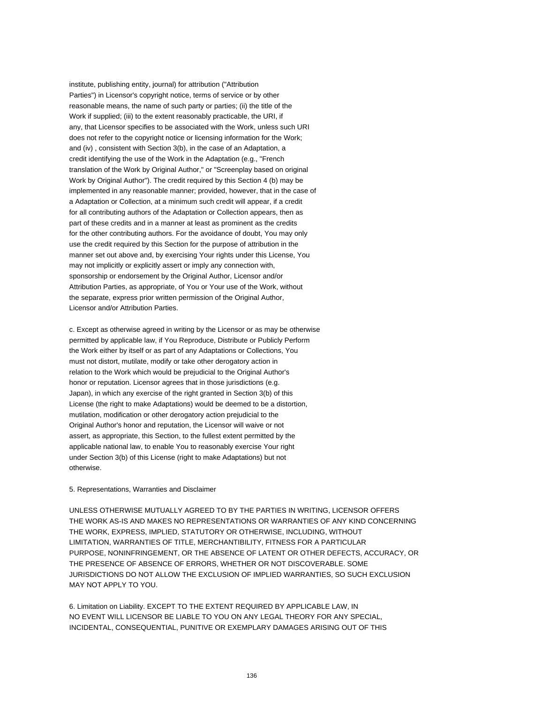institute, publishing entity, journal) for attribution ("Attribution Parties") in Licensor's copyright notice, terms of service or by other reasonable means, the name of such party or parties; (ii) the title of the Work if supplied; (iii) to the extent reasonably practicable, the URI, if any, that Licensor specifies to be associated with the Work, unless such URI does not refer to the copyright notice or licensing information for the Work; and (iv) , consistent with Section 3(b), in the case of an Adaptation, a credit identifying the use of the Work in the Adaptation (e.g., "French translation of the Work by Original Author," or "Screenplay based on original Work by Original Author"). The credit required by this Section 4 (b) may be implemented in any reasonable manner; provided, however, that in the case of a Adaptation or Collection, at a minimum such credit will appear, if a credit for all contributing authors of the Adaptation or Collection appears, then as part of these credits and in a manner at least as prominent as the credits for the other contributing authors. For the avoidance of doubt, You may only use the credit required by this Section for the purpose of attribution in the manner set out above and, by exercising Your rights under this License, You may not implicitly or explicitly assert or imply any connection with, sponsorship or endorsement by the Original Author, Licensor and/or Attribution Parties, as appropriate, of You or Your use of the Work, without the separate, express prior written permission of the Original Author, Licensor and/or Attribution Parties.

c. Except as otherwise agreed in writing by the Licensor or as may be otherwise permitted by applicable law, if You Reproduce, Distribute or Publicly Perform the Work either by itself or as part of any Adaptations or Collections, You must not distort, mutilate, modify or take other derogatory action in relation to the Work which would be prejudicial to the Original Author's honor or reputation. Licensor agrees that in those jurisdictions (e.g. Japan), in which any exercise of the right granted in Section 3(b) of this License (the right to make Adaptations) would be deemed to be a distortion, mutilation, modification or other derogatory action prejudicial to the Original Author's honor and reputation, the Licensor will waive or not assert, as appropriate, this Section, to the fullest extent permitted by the applicable national law, to enable You to reasonably exercise Your right under Section 3(b) of this License (right to make Adaptations) but not otherwise.

#### 5. Representations, Warranties and Disclaimer

UNLESS OTHERWISE MUTUALLY AGREED TO BY THE PARTIES IN WRITING, LICENSOR OFFERS THE WORK AS-IS AND MAKES NO REPRESENTATIONS OR WARRANTIES OF ANY KIND CONCERNING THE WORK, EXPRESS, IMPLIED, STATUTORY OR OTHERWISE, INCLUDING, WITHOUT LIMITATION, WARRANTIES OF TITLE, MERCHANTIBILITY, FITNESS FOR A PARTICULAR PURPOSE, NONINFRINGEMENT, OR THE ABSENCE OF LATENT OR OTHER DEFECTS, ACCURACY, OR THE PRESENCE OF ABSENCE OF ERRORS, WHETHER OR NOT DISCOVERABLE. SOME JURISDICTIONS DO NOT ALLOW THE EXCLUSION OF IMPLIED WARRANTIES, SO SUCH EXCLUSION MAY NOT APPLY TO YOU.

6. Limitation on Liability. EXCEPT TO THE EXTENT REQUIRED BY APPLICABLE LAW, IN NO EVENT WILL LICENSOR BE LIABLE TO YOU ON ANY LEGAL THEORY FOR ANY SPECIAL, INCIDENTAL, CONSEQUENTIAL, PUNITIVE OR EXEMPLARY DAMAGES ARISING OUT OF THIS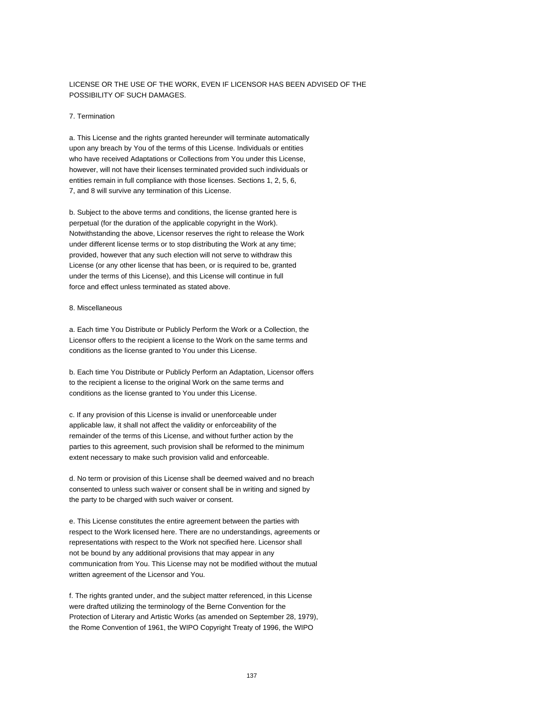#### LICENSE OR THE USE OF THE WORK, EVEN IF LICENSOR HAS BEEN ADVISED OF THE POSSIBILITY OF SUCH DAMAGES.

#### 7. Termination

a. This License and the rights granted hereunder will terminate automatically upon any breach by You of the terms of this License. Individuals or entities who have received Adaptations or Collections from You under this License, however, will not have their licenses terminated provided such individuals or entities remain in full compliance with those licenses. Sections 1, 2, 5, 6, 7, and 8 will survive any termination of this License.

b. Subject to the above terms and conditions, the license granted here is perpetual (for the duration of the applicable copyright in the Work). Notwithstanding the above, Licensor reserves the right to release the Work under different license terms or to stop distributing the Work at any time; provided, however that any such election will not serve to withdraw this License (or any other license that has been, or is required to be, granted under the terms of this License), and this License will continue in full force and effect unless terminated as stated above.

#### 8. Miscellaneous

a. Each time You Distribute or Publicly Perform the Work or a Collection, the Licensor offers to the recipient a license to the Work on the same terms and conditions as the license granted to You under this License.

b. Each time You Distribute or Publicly Perform an Adaptation, Licensor offers to the recipient a license to the original Work on the same terms and conditions as the license granted to You under this License.

c. If any provision of this License is invalid or unenforceable under applicable law, it shall not affect the validity or enforceability of the remainder of the terms of this License, and without further action by the parties to this agreement, such provision shall be reformed to the minimum extent necessary to make such provision valid and enforceable.

d. No term or provision of this License shall be deemed waived and no breach consented to unless such waiver or consent shall be in writing and signed by the party to be charged with such waiver or consent.

e. This License constitutes the entire agreement between the parties with respect to the Work licensed here. There are no understandings, agreements or representations with respect to the Work not specified here. Licensor shall not be bound by any additional provisions that may appear in any communication from You. This License may not be modified without the mutual written agreement of the Licensor and You.

f. The rights granted under, and the subject matter referenced, in this License were drafted utilizing the terminology of the Berne Convention for the Protection of Literary and Artistic Works (as amended on September 28, 1979), the Rome Convention of 1961, the WIPO Copyright Treaty of 1996, the WIPO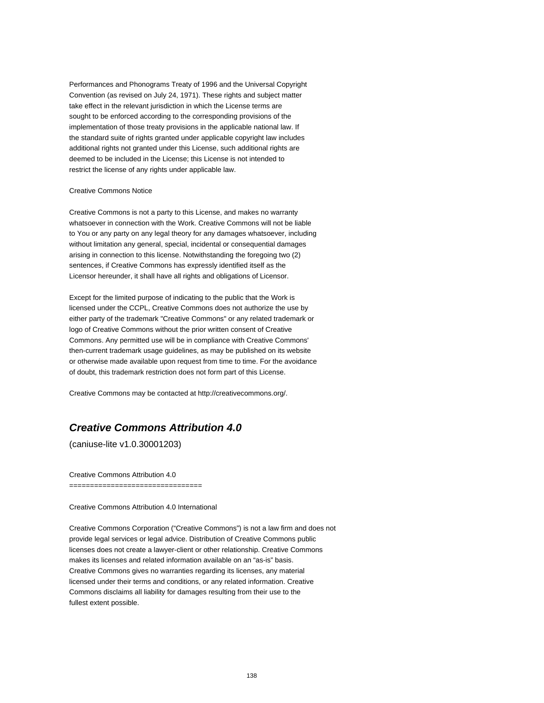Performances and Phonograms Treaty of 1996 and the Universal Copyright Convention (as revised on July 24, 1971). These rights and subject matter take effect in the relevant jurisdiction in which the License terms are sought to be enforced according to the corresponding provisions of the implementation of those treaty provisions in the applicable national law. If the standard suite of rights granted under applicable copyright law includes additional rights not granted under this License, such additional rights are deemed to be included in the License; this License is not intended to restrict the license of any rights under applicable law.

#### Creative Commons Notice

Creative Commons is not a party to this License, and makes no warranty whatsoever in connection with the Work. Creative Commons will not be liable to You or any party on any legal theory for any damages whatsoever, including without limitation any general, special, incidental or consequential damages arising in connection to this license. Notwithstanding the foregoing two (2) sentences, if Creative Commons has expressly identified itself as the Licensor hereunder, it shall have all rights and obligations of Licensor.

Except for the limited purpose of indicating to the public that the Work is licensed under the CCPL, Creative Commons does not authorize the use by either party of the trademark "Creative Commons" or any related trademark or logo of Creative Commons without the prior written consent of Creative Commons. Any permitted use will be in compliance with Creative Commons' then-current trademark usage guidelines, as may be published on its website or otherwise made available upon request from time to time. For the avoidance of doubt, this trademark restriction does not form part of this License.

Creative Commons may be contacted at http://creativecommons.org/.

### **Creative Commons Attribution 4.0**

(caniuse-lite v1.0.30001203)

Creative Commons Attribution 4.0

Creative Commons Attribution 4.0 International

================================

Creative Commons Corporation ("Creative Commons") is not a law firm and does not provide legal services or legal advice. Distribution of Creative Commons public licenses does not create a lawyer-client or other relationship. Creative Commons makes its licenses and related information available on an "as-is" basis. Creative Commons gives no warranties regarding its licenses, any material licensed under their terms and conditions, or any related information. Creative Commons disclaims all liability for damages resulting from their use to the fullest extent possible.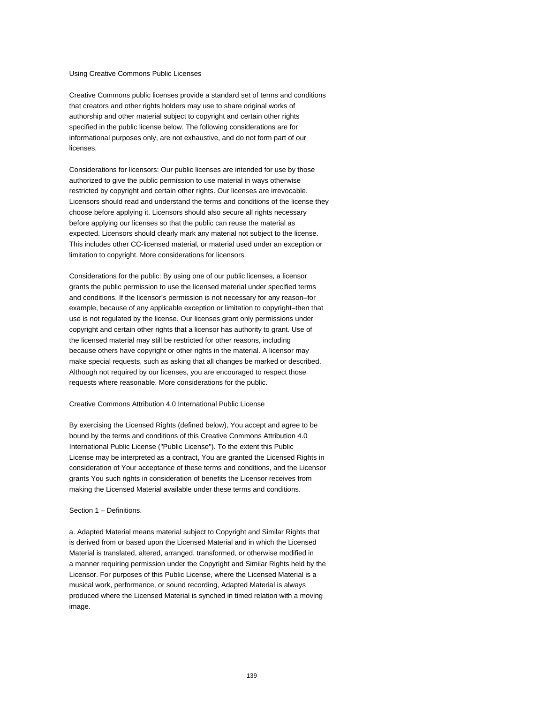#### Using Creative Commons Public Licenses

Creative Commons public licenses provide a standard set of terms and conditions that creators and other rights holders may use to share original works of authorship and other material subject to copyright and certain other rights specified in the public license below. The following considerations are for informational purposes only, are not exhaustive, and do not form part of our licenses.

Considerations for licensors: Our public licenses are intended for use by those authorized to give the public permission to use material in ways otherwise restricted by copyright and certain other rights. Our licenses are irrevocable. Licensors should read and understand the terms and conditions of the license they choose before applying it. Licensors should also secure all rights necessary before applying our licenses so that the public can reuse the material as expected. Licensors should clearly mark any material not subject to the license. This includes other CC-licensed material, or material used under an exception or limitation to copyright. More considerations for licensors.

Considerations for the public: By using one of our public licenses, a licensor grants the public permission to use the licensed material under specified terms and conditions. If the licensor's permission is not necessary for any reason–for example, because of any applicable exception or limitation to copyright–then that use is not regulated by the license. Our licenses grant only permissions under copyright and certain other rights that a licensor has authority to grant. Use of the licensed material may still be restricted for other reasons, including because others have copyright or other rights in the material. A licensor may make special requests, such as asking that all changes be marked or described. Although not required by our licenses, you are encouraged to respect those requests where reasonable. More considerations for the public.

#### Creative Commons Attribution 4.0 International Public License

By exercising the Licensed Rights (defined below), You accept and agree to be bound by the terms and conditions of this Creative Commons Attribution 4.0 International Public License ("Public License"). To the extent this Public License may be interpreted as a contract, You are granted the Licensed Rights in consideration of Your acceptance of these terms and conditions, and the Licensor grants You such rights in consideration of benefits the Licensor receives from making the Licensed Material available under these terms and conditions.

#### Section 1 – Definitions.

a. Adapted Material means material subject to Copyright and Similar Rights that is derived from or based upon the Licensed Material and in which the Licensed Material is translated, altered, arranged, transformed, or otherwise modified in a manner requiring permission under the Copyright and Similar Rights held by the Licensor. For purposes of this Public License, where the Licensed Material is a musical work, performance, or sound recording, Adapted Material is always produced where the Licensed Material is synched in timed relation with a moving image.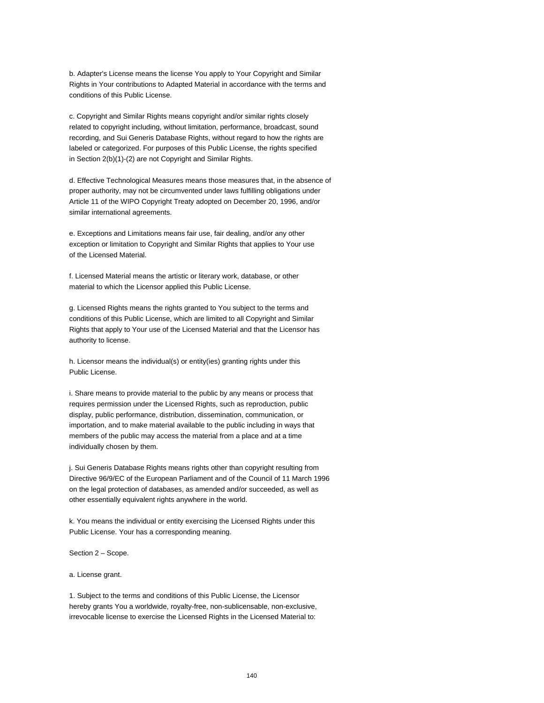b. Adapter's License means the license You apply to Your Copyright and Similar Rights in Your contributions to Adapted Material in accordance with the terms and conditions of this Public License.

c. Copyright and Similar Rights means copyright and/or similar rights closely related to copyright including, without limitation, performance, broadcast, sound recording, and Sui Generis Database Rights, without regard to how the rights are labeled or categorized. For purposes of this Public License, the rights specified in Section 2(b)(1)-(2) are not Copyright and Similar Rights.

d. Effective Technological Measures means those measures that, in the absence of proper authority, may not be circumvented under laws fulfilling obligations under Article 11 of the WIPO Copyright Treaty adopted on December 20, 1996, and/or similar international agreements.

e. Exceptions and Limitations means fair use, fair dealing, and/or any other exception or limitation to Copyright and Similar Rights that applies to Your use of the Licensed Material.

f. Licensed Material means the artistic or literary work, database, or other material to which the Licensor applied this Public License.

g. Licensed Rights means the rights granted to You subject to the terms and conditions of this Public License, which are limited to all Copyright and Similar Rights that apply to Your use of the Licensed Material and that the Licensor has authority to license.

h. Licensor means the individual(s) or entity(ies) granting rights under this Public License.

i. Share means to provide material to the public by any means or process that requires permission under the Licensed Rights, such as reproduction, public display, public performance, distribution, dissemination, communication, or importation, and to make material available to the public including in ways that members of the public may access the material from a place and at a time individually chosen by them.

j. Sui Generis Database Rights means rights other than copyright resulting from Directive 96/9/EC of the European Parliament and of the Council of 11 March 1996 on the legal protection of databases, as amended and/or succeeded, as well as other essentially equivalent rights anywhere in the world.

k. You means the individual or entity exercising the Licensed Rights under this Public License. Your has a corresponding meaning.

Section 2 – Scope.

a. License grant.

1. Subject to the terms and conditions of this Public License, the Licensor hereby grants You a worldwide, royalty-free, non-sublicensable, non-exclusive, irrevocable license to exercise the Licensed Rights in the Licensed Material to: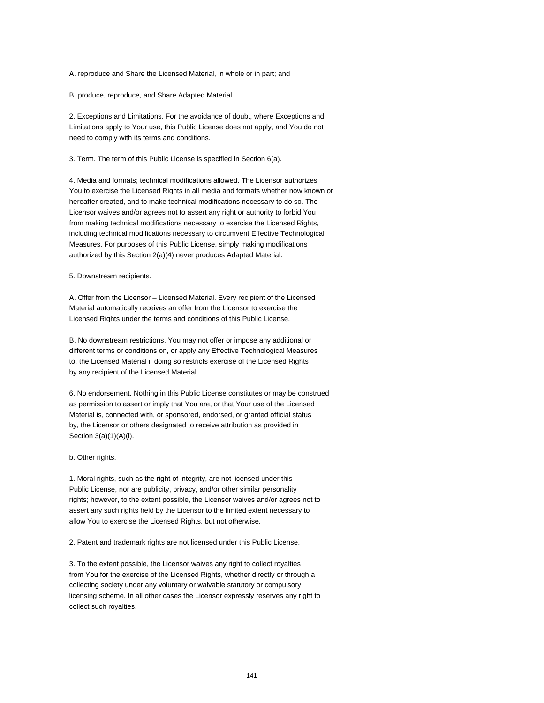A. reproduce and Share the Licensed Material, in whole or in part; and

B. produce, reproduce, and Share Adapted Material.

2. Exceptions and Limitations. For the avoidance of doubt, where Exceptions and Limitations apply to Your use, this Public License does not apply, and You do not need to comply with its terms and conditions.

3. Term. The term of this Public License is specified in Section 6(a).

4. Media and formats; technical modifications allowed. The Licensor authorizes You to exercise the Licensed Rights in all media and formats whether now known or hereafter created, and to make technical modifications necessary to do so. The Licensor waives and/or agrees not to assert any right or authority to forbid You from making technical modifications necessary to exercise the Licensed Rights, including technical modifications necessary to circumvent Effective Technological Measures. For purposes of this Public License, simply making modifications authorized by this Section 2(a)(4) never produces Adapted Material.

5. Downstream recipients.

A. Offer from the Licensor – Licensed Material. Every recipient of the Licensed Material automatically receives an offer from the Licensor to exercise the Licensed Rights under the terms and conditions of this Public License.

B. No downstream restrictions. You may not offer or impose any additional or different terms or conditions on, or apply any Effective Technological Measures to, the Licensed Material if doing so restricts exercise of the Licensed Rights by any recipient of the Licensed Material.

6. No endorsement. Nothing in this Public License constitutes or may be construed as permission to assert or imply that You are, or that Your use of the Licensed Material is, connected with, or sponsored, endorsed, or granted official status by, the Licensor or others designated to receive attribution as provided in Section 3(a)(1)(A)(i).

b. Other rights.

1. Moral rights, such as the right of integrity, are not licensed under this Public License, nor are publicity, privacy, and/or other similar personality rights; however, to the extent possible, the Licensor waives and/or agrees not to assert any such rights held by the Licensor to the limited extent necessary to allow You to exercise the Licensed Rights, but not otherwise.

2. Patent and trademark rights are not licensed under this Public License.

3. To the extent possible, the Licensor waives any right to collect royalties from You for the exercise of the Licensed Rights, whether directly or through a collecting society under any voluntary or waivable statutory or compulsory licensing scheme. In all other cases the Licensor expressly reserves any right to collect such royalties.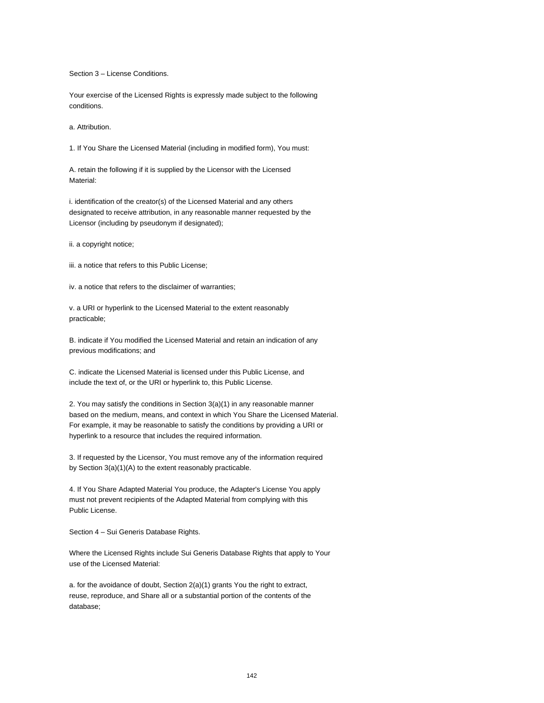Section 3 – License Conditions.

Your exercise of the Licensed Rights is expressly made subject to the following conditions.

a. Attribution.

1. If You Share the Licensed Material (including in modified form), You must:

A. retain the following if it is supplied by the Licensor with the Licensed Material:

i. identification of the creator(s) of the Licensed Material and any others designated to receive attribution, in any reasonable manner requested by the Licensor (including by pseudonym if designated);

ii. a copyright notice;

iii. a notice that refers to this Public License;

iv. a notice that refers to the disclaimer of warranties;

v. a URI or hyperlink to the Licensed Material to the extent reasonably practicable;

B. indicate if You modified the Licensed Material and retain an indication of any previous modifications; and

C. indicate the Licensed Material is licensed under this Public License, and include the text of, or the URI or hyperlink to, this Public License.

2. You may satisfy the conditions in Section 3(a)(1) in any reasonable manner based on the medium, means, and context in which You Share the Licensed Material. For example, it may be reasonable to satisfy the conditions by providing a URI or hyperlink to a resource that includes the required information.

3. If requested by the Licensor, You must remove any of the information required by Section 3(a)(1)(A) to the extent reasonably practicable.

4. If You Share Adapted Material You produce, the Adapter's License You apply must not prevent recipients of the Adapted Material from complying with this Public License.

Section 4 – Sui Generis Database Rights.

Where the Licensed Rights include Sui Generis Database Rights that apply to Your use of the Licensed Material:

a. for the avoidance of doubt, Section 2(a)(1) grants You the right to extract, reuse, reproduce, and Share all or a substantial portion of the contents of the database;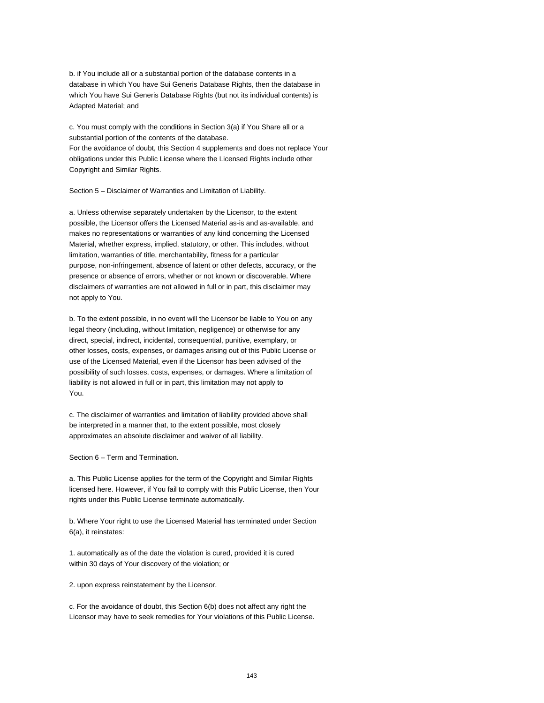b. if You include all or a substantial portion of the database contents in a database in which You have Sui Generis Database Rights, then the database in which You have Sui Generis Database Rights (but not its individual contents) is Adapted Material; and

c. You must comply with the conditions in Section 3(a) if You Share all or a substantial portion of the contents of the database. For the avoidance of doubt, this Section 4 supplements and does not replace Your obligations under this Public License where the Licensed Rights include other Copyright and Similar Rights.

Section 5 – Disclaimer of Warranties and Limitation of Liability.

a. Unless otherwise separately undertaken by the Licensor, to the extent possible, the Licensor offers the Licensed Material as-is and as-available, and makes no representations or warranties of any kind concerning the Licensed Material, whether express, implied, statutory, or other. This includes, without limitation, warranties of title, merchantability, fitness for a particular purpose, non-infringement, absence of latent or other defects, accuracy, or the presence or absence of errors, whether or not known or discoverable. Where disclaimers of warranties are not allowed in full or in part, this disclaimer may not apply to You.

b. To the extent possible, in no event will the Licensor be liable to You on any legal theory (including, without limitation, negligence) or otherwise for any direct, special, indirect, incidental, consequential, punitive, exemplary, or other losses, costs, expenses, or damages arising out of this Public License or use of the Licensed Material, even if the Licensor has been advised of the possibility of such losses, costs, expenses, or damages. Where a limitation of liability is not allowed in full or in part, this limitation may not apply to You.

c. The disclaimer of warranties and limitation of liability provided above shall be interpreted in a manner that, to the extent possible, most closely approximates an absolute disclaimer and waiver of all liability.

Section 6 – Term and Termination.

a. This Public License applies for the term of the Copyright and Similar Rights licensed here. However, if You fail to comply with this Public License, then Your rights under this Public License terminate automatically.

b. Where Your right to use the Licensed Material has terminated under Section 6(a), it reinstates:

1. automatically as of the date the violation is cured, provided it is cured within 30 days of Your discovery of the violation; or

2. upon express reinstatement by the Licensor.

c. For the avoidance of doubt, this Section 6(b) does not affect any right the Licensor may have to seek remedies for Your violations of this Public License.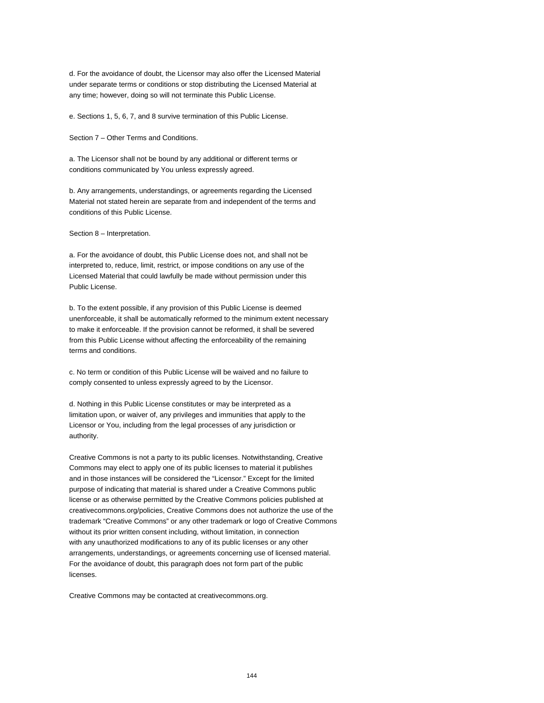d. For the avoidance of doubt, the Licensor may also offer the Licensed Material under separate terms or conditions or stop distributing the Licensed Material at any time; however, doing so will not terminate this Public License.

e. Sections 1, 5, 6, 7, and 8 survive termination of this Public License.

Section 7 – Other Terms and Conditions.

a. The Licensor shall not be bound by any additional or different terms or conditions communicated by You unless expressly agreed.

b. Any arrangements, understandings, or agreements regarding the Licensed Material not stated herein are separate from and independent of the terms and conditions of this Public License.

Section 8 – Interpretation.

a. For the avoidance of doubt, this Public License does not, and shall not be interpreted to, reduce, limit, restrict, or impose conditions on any use of the Licensed Material that could lawfully be made without permission under this Public License.

b. To the extent possible, if any provision of this Public License is deemed unenforceable, it shall be automatically reformed to the minimum extent necessary to make it enforceable. If the provision cannot be reformed, it shall be severed from this Public License without affecting the enforceability of the remaining terms and conditions.

c. No term or condition of this Public License will be waived and no failure to comply consented to unless expressly agreed to by the Licensor.

d. Nothing in this Public License constitutes or may be interpreted as a limitation upon, or waiver of, any privileges and immunities that apply to the Licensor or You, including from the legal processes of any jurisdiction or authority.

Creative Commons is not a party to its public licenses. Notwithstanding, Creative Commons may elect to apply one of its public licenses to material it publishes and in those instances will be considered the "Licensor." Except for the limited purpose of indicating that material is shared under a Creative Commons public license or as otherwise permitted by the Creative Commons policies published at creativecommons.org/policies, Creative Commons does not authorize the use of the trademark "Creative Commons" or any other trademark or logo of Creative Commons without its prior written consent including, without limitation, in connection with any unauthorized modifications to any of its public licenses or any other arrangements, understandings, or agreements concerning use of licensed material. For the avoidance of doubt, this paragraph does not form part of the public licenses.

Creative Commons may be contacted at creativecommons.org.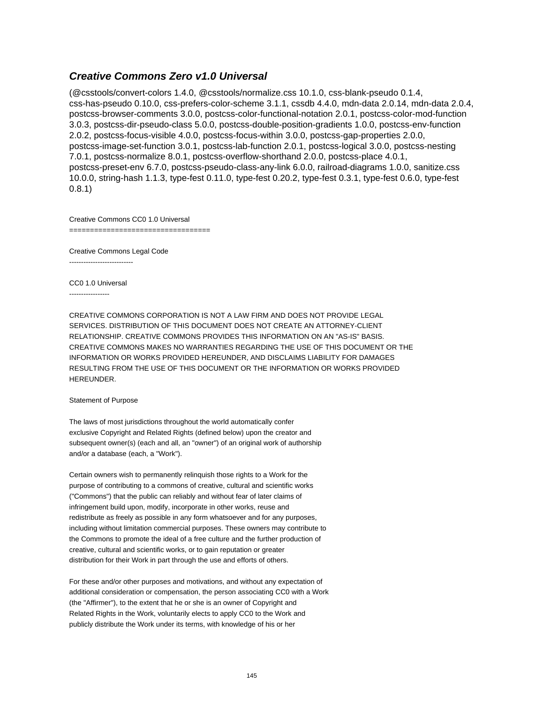### **Creative Commons Zero v1.0 Universal**

(@csstools/convert-colors 1.4.0, @csstools/normalize.css 10.1.0, css-blank-pseudo 0.1.4, css-has-pseudo 0.10.0, css-prefers-color-scheme 3.1.1, cssdb 4.4.0, mdn-data 2.0.14, mdn-data 2.0.4, postcss-browser-comments 3.0.0, postcss-color-functional-notation 2.0.1, postcss-color-mod-function 3.0.3, postcss-dir-pseudo-class 5.0.0, postcss-double-position-gradients 1.0.0, postcss-env-function 2.0.2, postcss-focus-visible 4.0.0, postcss-focus-within 3.0.0, postcss-gap-properties 2.0.0, postcss-image-set-function 3.0.1, postcss-lab-function 2.0.1, postcss-logical 3.0.0, postcss-nesting 7.0.1, postcss-normalize 8.0.1, postcss-overflow-shorthand 2.0.0, postcss-place 4.0.1, postcss-preset-env 6.7.0, postcss-pseudo-class-any-link 6.0.0, railroad-diagrams 1.0.0, sanitize.css 10.0.0, string-hash 1.1.3, type-fest 0.11.0, type-fest 0.20.2, type-fest 0.3.1, type-fest 0.6.0, type-fest 0.8.1)

Creative Commons CC0 1.0 Universal

=====================================

Creative Commons Legal Code ---------------------------

CC0 1.0 Universal

-----------------

CREATIVE COMMONS CORPORATION IS NOT A LAW FIRM AND DOES NOT PROVIDE LEGAL SERVICES. DISTRIBUTION OF THIS DOCUMENT DOES NOT CREATE AN ATTORNEY-CLIENT RELATIONSHIP. CREATIVE COMMONS PROVIDES THIS INFORMATION ON AN "AS-IS" BASIS. CREATIVE COMMONS MAKES NO WARRANTIES REGARDING THE USE OF THIS DOCUMENT OR THE INFORMATION OR WORKS PROVIDED HEREUNDER, AND DISCLAIMS LIABILITY FOR DAMAGES RESULTING FROM THE USE OF THIS DOCUMENT OR THE INFORMATION OR WORKS PROVIDED HEREUNDER.

#### Statement of Purpose

The laws of most jurisdictions throughout the world automatically confer exclusive Copyright and Related Rights (defined below) upon the creator and subsequent owner(s) (each and all, an "owner") of an original work of authorship and/or a database (each, a "Work").

Certain owners wish to permanently relinquish those rights to a Work for the purpose of contributing to a commons of creative, cultural and scientific works ("Commons") that the public can reliably and without fear of later claims of infringement build upon, modify, incorporate in other works, reuse and redistribute as freely as possible in any form whatsoever and for any purposes, including without limitation commercial purposes. These owners may contribute to the Commons to promote the ideal of a free culture and the further production of creative, cultural and scientific works, or to gain reputation or greater distribution for their Work in part through the use and efforts of others.

For these and/or other purposes and motivations, and without any expectation of additional consideration or compensation, the person associating CC0 with a Work (the "Affirmer"), to the extent that he or she is an owner of Copyright and Related Rights in the Work, voluntarily elects to apply CC0 to the Work and publicly distribute the Work under its terms, with knowledge of his or her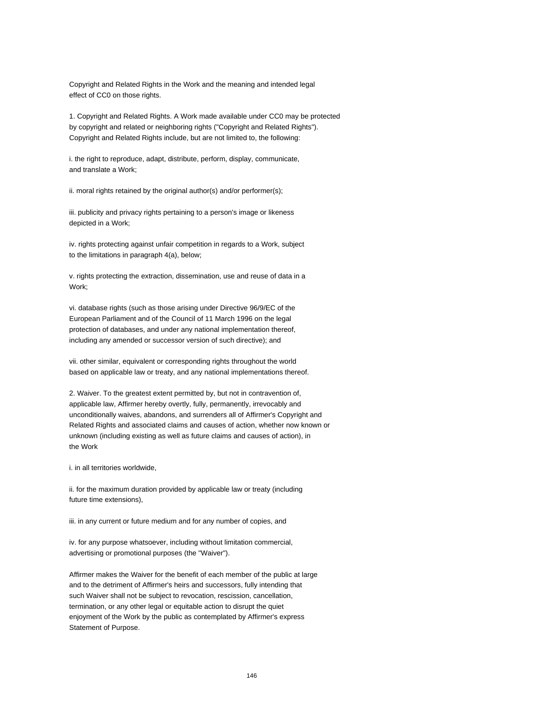Copyright and Related Rights in the Work and the meaning and intended legal effect of CC0 on those rights.

1. Copyright and Related Rights. A Work made available under CC0 may be protected by copyright and related or neighboring rights ("Copyright and Related Rights"). Copyright and Related Rights include, but are not limited to, the following:

i. the right to reproduce, adapt, distribute, perform, display, communicate, and translate a Work;

ii. moral rights retained by the original author(s) and/or performer(s);

iii. publicity and privacy rights pertaining to a person's image or likeness depicted in a Work;

iv. rights protecting against unfair competition in regards to a Work, subject to the limitations in paragraph 4(a), below;

v. rights protecting the extraction, dissemination, use and reuse of data in a Work;

vi. database rights (such as those arising under Directive 96/9/EC of the European Parliament and of the Council of 11 March 1996 on the legal protection of databases, and under any national implementation thereof, including any amended or successor version of such directive); and

vii. other similar, equivalent or corresponding rights throughout the world based on applicable law or treaty, and any national implementations thereof.

2. Waiver. To the greatest extent permitted by, but not in contravention of, applicable law, Affirmer hereby overtly, fully, permanently, irrevocably and unconditionally waives, abandons, and surrenders all of Affirmer's Copyright and Related Rights and associated claims and causes of action, whether now known or unknown (including existing as well as future claims and causes of action), in the Work

i. in all territories worldwide,

ii. for the maximum duration provided by applicable law or treaty (including future time extensions),

iii. in any current or future medium and for any number of copies, and

iv. for any purpose whatsoever, including without limitation commercial, advertising or promotional purposes (the "Waiver").

Affirmer makes the Waiver for the benefit of each member of the public at large and to the detriment of Affirmer's heirs and successors, fully intending that such Waiver shall not be subject to revocation, rescission, cancellation, termination, or any other legal or equitable action to disrupt the quiet enjoyment of the Work by the public as contemplated by Affirmer's express Statement of Purpose.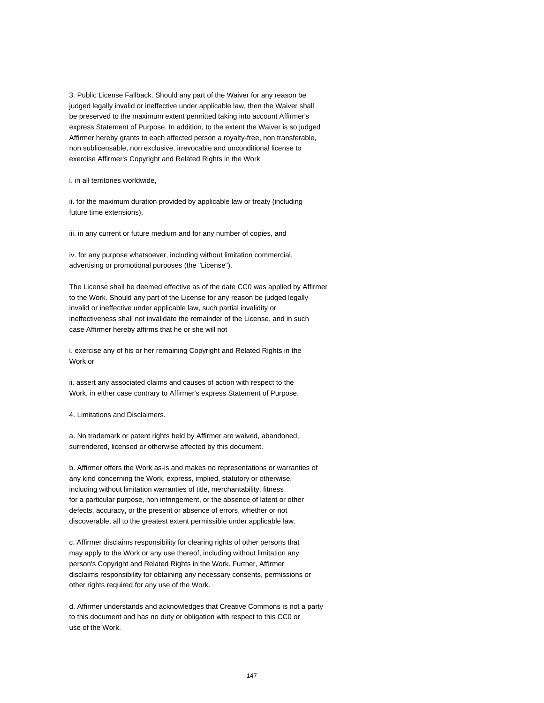3. Public License Fallback. Should any part of the Waiver for any reason be judged legally invalid or ineffective under applicable law, then the Waiver shall be preserved to the maximum extent permitted taking into account Affirmer's express Statement of Purpose. In addition, to the extent the Waiver is so judged Affirmer hereby grants to each affected person a royalty-free, non transferable, non sublicensable, non exclusive, irrevocable and unconditional license to exercise Affirmer's Copyright and Related Rights in the Work

i. in all territories worldwide,

ii. for the maximum duration provided by applicable law or treaty (including future time extensions),

iii. in any current or future medium and for any number of copies, and

iv. for any purpose whatsoever, including without limitation commercial, advertising or promotional purposes (the "License").

The License shall be deemed effective as of the date CC0 was applied by Affirmer to the Work. Should any part of the License for any reason be judged legally invalid or ineffective under applicable law, such partial invalidity or ineffectiveness shall not invalidate the remainder of the License, and in such case Affirmer hereby affirms that he or she will not

i. exercise any of his or her remaining Copyright and Related Rights in the Work or

ii. assert any associated claims and causes of action with respect to the Work, in either case contrary to Affirmer's express Statement of Purpose.

4. Limitations and Disclaimers.

a. No trademark or patent rights held by Affirmer are waived, abandoned, surrendered, licensed or otherwise affected by this document.

b. Affirmer offers the Work as-is and makes no representations or warranties of any kind concerning the Work, express, implied, statutory or otherwise, including without limitation warranties of title, merchantability, fitness for a particular purpose, non infringement, or the absence of latent or other defects, accuracy, or the present or absence of errors, whether or not discoverable, all to the greatest extent permissible under applicable law.

c. Affirmer disclaims responsibility for clearing rights of other persons that may apply to the Work or any use thereof, including without limitation any person's Copyright and Related Rights in the Work. Further, Affirmer disclaims responsibility for obtaining any necessary consents, permissions or other rights required for any use of the Work.

d. Affirmer understands and acknowledges that Creative Commons is not a party to this document and has no duty or obligation with respect to this CC0 or use of the Work.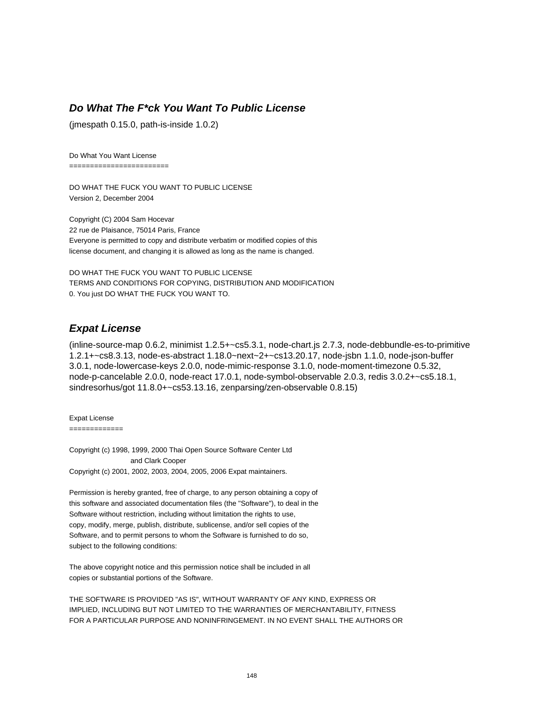# **Do What The F\*ck You Want To Public License**

(jmespath 0.15.0, path-is-inside 1.0.2)

Do What You Want License

========================

DO WHAT THE FUCK YOU WANT TO PUBLIC LICENSE Version 2, December 2004

Copyright (C) 2004 Sam Hocevar 22 rue de Plaisance, 75014 Paris, France Everyone is permitted to copy and distribute verbatim or modified copies of this license document, and changing it is allowed as long as the name is changed.

DO WHAT THE FUCK YOU WANT TO PUBLIC LICENSE TERMS AND CONDITIONS FOR COPYING, DISTRIBUTION AND MODIFICATION 0. You just DO WHAT THE FUCK YOU WANT TO.

#### **Expat License**

(inline-source-map 0.6.2, minimist 1.2.5+~cs5.3.1, node-chart.js 2.7.3, node-debbundle-es-to-primitive 1.2.1+~cs8.3.13, node-es-abstract 1.18.0~next~2+~cs13.20.17, node-jsbn 1.1.0, node-json-buffer 3.0.1, node-lowercase-keys 2.0.0, node-mimic-response 3.1.0, node-moment-timezone 0.5.32, node-p-cancelable 2.0.0, node-react 17.0.1, node-symbol-observable 2.0.3, redis 3.0.2+~cs5.18.1, sindresorhus/got 11.8.0+~cs53.13.16, zenparsing/zen-observable 0.8.15)

Expat License

=============

Copyright (c) 1998, 1999, 2000 Thai Open Source Software Center Ltd and Clark Cooper Copyright (c) 2001, 2002, 2003, 2004, 2005, 2006 Expat maintainers.

Permission is hereby granted, free of charge, to any person obtaining a copy of this software and associated documentation files (the "Software"), to deal in the Software without restriction, including without limitation the rights to use, copy, modify, merge, publish, distribute, sublicense, and/or sell copies of the Software, and to permit persons to whom the Software is furnished to do so, subject to the following conditions:

The above copyright notice and this permission notice shall be included in all copies or substantial portions of the Software.

THE SOFTWARE IS PROVIDED "AS IS", WITHOUT WARRANTY OF ANY KIND, EXPRESS OR IMPLIED, INCLUDING BUT NOT LIMITED TO THE WARRANTIES OF MERCHANTABILITY, FITNESS FOR A PARTICULAR PURPOSE AND NONINFRINGEMENT. IN NO EVENT SHALL THE AUTHORS OR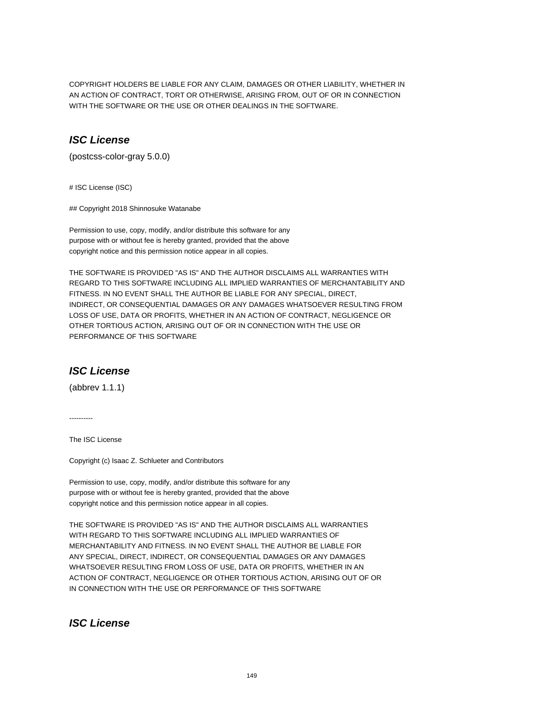COPYRIGHT HOLDERS BE LIABLE FOR ANY CLAIM, DAMAGES OR OTHER LIABILITY, WHETHER IN AN ACTION OF CONTRACT, TORT OR OTHERWISE, ARISING FROM, OUT OF OR IN CONNECTION WITH THE SOFTWARE OR THE USE OR OTHER DEALINGS IN THE SOFTWARE.

### **ISC License**

(postcss-color-gray 5.0.0)

# ISC License (ISC)

## Copyright 2018 Shinnosuke Watanabe

Permission to use, copy, modify, and/or distribute this software for any purpose with or without fee is hereby granted, provided that the above copyright notice and this permission notice appear in all copies.

THE SOFTWARE IS PROVIDED "AS IS" AND THE AUTHOR DISCLAIMS ALL WARRANTIES WITH REGARD TO THIS SOFTWARE INCLUDING ALL IMPLIED WARRANTIES OF MERCHANTABILITY AND FITNESS. IN NO EVENT SHALL THE AUTHOR BE LIABLE FOR ANY SPECIAL, DIRECT, INDIRECT, OR CONSEQUENTIAL DAMAGES OR ANY DAMAGES WHATSOEVER RESULTING FROM LOSS OF USE, DATA OR PROFITS, WHETHER IN AN ACTION OF CONTRACT, NEGLIGENCE OR OTHER TORTIOUS ACTION, ARISING OUT OF OR IN CONNECTION WITH THE USE OR PERFORMANCE OF THIS SOFTWARE

# **ISC License**

(abbrev 1.1.1)

----------

The ISC License

Copyright (c) Isaac Z. Schlueter and Contributors

Permission to use, copy, modify, and/or distribute this software for any purpose with or without fee is hereby granted, provided that the above copyright notice and this permission notice appear in all copies.

THE SOFTWARE IS PROVIDED "AS IS" AND THE AUTHOR DISCLAIMS ALL WARRANTIES WITH REGARD TO THIS SOFTWARE INCLUDING ALL IMPLIED WARRANTIES OF MERCHANTABILITY AND FITNESS. IN NO EVENT SHALL THE AUTHOR BE LIABLE FOR ANY SPECIAL, DIRECT, INDIRECT, OR CONSEQUENTIAL DAMAGES OR ANY DAMAGES WHATSOEVER RESULTING FROM LOSS OF USE, DATA OR PROFITS, WHETHER IN AN ACTION OF CONTRACT, NEGLIGENCE OR OTHER TORTIOUS ACTION, ARISING OUT OF OR IN CONNECTION WITH THE USE OR PERFORMANCE OF THIS SOFTWARE

# **ISC License**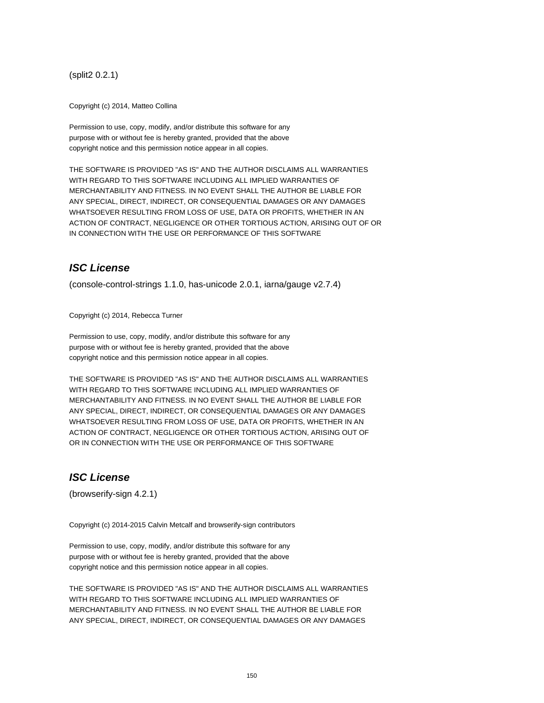(split2 0.2.1)

Copyright (c) 2014, Matteo Collina

Permission to use, copy, modify, and/or distribute this software for any purpose with or without fee is hereby granted, provided that the above copyright notice and this permission notice appear in all copies.

THE SOFTWARE IS PROVIDED "AS IS" AND THE AUTHOR DISCLAIMS ALL WARRANTIES WITH REGARD TO THIS SOFTWARE INCLUDING ALL IMPLIED WARRANTIES OF MERCHANTABILITY AND FITNESS. IN NO EVENT SHALL THE AUTHOR BE LIABLE FOR ANY SPECIAL, DIRECT, INDIRECT, OR CONSEQUENTIAL DAMAGES OR ANY DAMAGES WHATSOEVER RESULTING FROM LOSS OF USE, DATA OR PROFITS, WHETHER IN AN ACTION OF CONTRACT, NEGLIGENCE OR OTHER TORTIOUS ACTION, ARISING OUT OF OR IN CONNECTION WITH THE USE OR PERFORMANCE OF THIS SOFTWARE

# **ISC License**

(console-control-strings 1.1.0, has-unicode 2.0.1, iarna/gauge v2.7.4)

Copyright (c) 2014, Rebecca Turner

Permission to use, copy, modify, and/or distribute this software for any purpose with or without fee is hereby granted, provided that the above copyright notice and this permission notice appear in all copies.

THE SOFTWARE IS PROVIDED "AS IS" AND THE AUTHOR DISCLAIMS ALL WARRANTIES WITH REGARD TO THIS SOFTWARE INCLUDING ALL IMPLIED WARRANTIES OF MERCHANTABILITY AND FITNESS. IN NO EVENT SHALL THE AUTHOR BE LIABLE FOR ANY SPECIAL, DIRECT, INDIRECT, OR CONSEQUENTIAL DAMAGES OR ANY DAMAGES WHATSOEVER RESULTING FROM LOSS OF USE, DATA OR PROFITS, WHETHER IN AN ACTION OF CONTRACT, NEGLIGENCE OR OTHER TORTIOUS ACTION, ARISING OUT OF OR IN CONNECTION WITH THE USE OR PERFORMANCE OF THIS SOFTWARE

### **ISC License**

(browserify-sign 4.2.1)

Copyright (c) 2014-2015 Calvin Metcalf and browserify-sign contributors

Permission to use, copy, modify, and/or distribute this software for any purpose with or without fee is hereby granted, provided that the above copyright notice and this permission notice appear in all copies.

THE SOFTWARE IS PROVIDED "AS IS" AND THE AUTHOR DISCLAIMS ALL WARRANTIES WITH REGARD TO THIS SOFTWARE INCLUDING ALL IMPLIED WARRANTIES OF MERCHANTABILITY AND FITNESS. IN NO EVENT SHALL THE AUTHOR BE LIABLE FOR ANY SPECIAL, DIRECT, INDIRECT, OR CONSEQUENTIAL DAMAGES OR ANY DAMAGES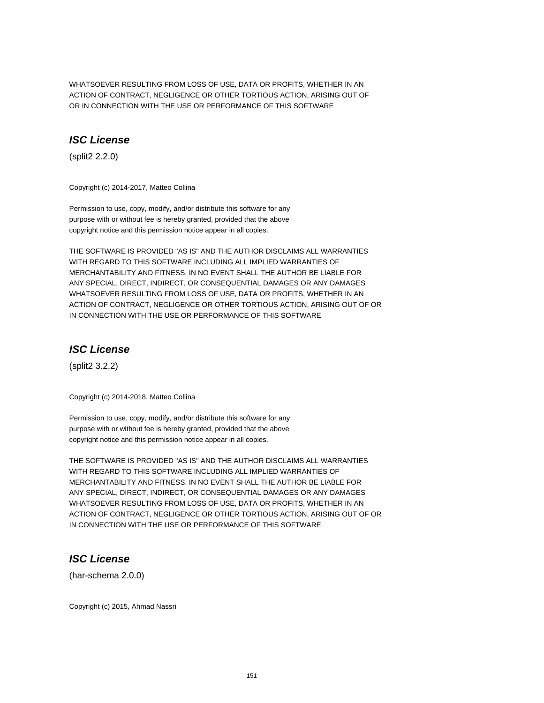WHATSOEVER RESULTING FROM LOSS OF USE, DATA OR PROFITS, WHETHER IN AN ACTION OF CONTRACT, NEGLIGENCE OR OTHER TORTIOUS ACTION, ARISING OUT OF OR IN CONNECTION WITH THE USE OR PERFORMANCE OF THIS SOFTWARE

# **ISC License**

(split2 2.2.0)

Copyright (c) 2014-2017, Matteo Collina

Permission to use, copy, modify, and/or distribute this software for any purpose with or without fee is hereby granted, provided that the above copyright notice and this permission notice appear in all copies.

THE SOFTWARE IS PROVIDED "AS IS" AND THE AUTHOR DISCLAIMS ALL WARRANTIES WITH REGARD TO THIS SOFTWARE INCLUDING ALL IMPLIED WARRANTIES OF MERCHANTABILITY AND FITNESS. IN NO EVENT SHALL THE AUTHOR BE LIABLE FOR ANY SPECIAL, DIRECT, INDIRECT, OR CONSEQUENTIAL DAMAGES OR ANY DAMAGES WHATSOEVER RESULTING FROM LOSS OF USE, DATA OR PROFITS, WHETHER IN AN ACTION OF CONTRACT, NEGLIGENCE OR OTHER TORTIOUS ACTION, ARISING OUT OF OR IN CONNECTION WITH THE USE OR PERFORMANCE OF THIS SOFTWARE

# **ISC License**

(split2 3.2.2)

Copyright (c) 2014-2018, Matteo Collina

Permission to use, copy, modify, and/or distribute this software for any purpose with or without fee is hereby granted, provided that the above copyright notice and this permission notice appear in all copies.

THE SOFTWARE IS PROVIDED "AS IS" AND THE AUTHOR DISCLAIMS ALL WARRANTIES WITH REGARD TO THIS SOFTWARE INCLUDING ALL IMPLIED WARRANTIES OF MERCHANTABILITY AND FITNESS. IN NO EVENT SHALL THE AUTHOR BE LIABLE FOR ANY SPECIAL, DIRECT, INDIRECT, OR CONSEQUENTIAL DAMAGES OR ANY DAMAGES WHATSOEVER RESULTING FROM LOSS OF USE, DATA OR PROFITS, WHETHER IN AN ACTION OF CONTRACT, NEGLIGENCE OR OTHER TORTIOUS ACTION, ARISING OUT OF OR IN CONNECTION WITH THE USE OR PERFORMANCE OF THIS SOFTWARE

# **ISC License**

(har-schema 2.0.0)

Copyright (c) 2015, Ahmad Nassri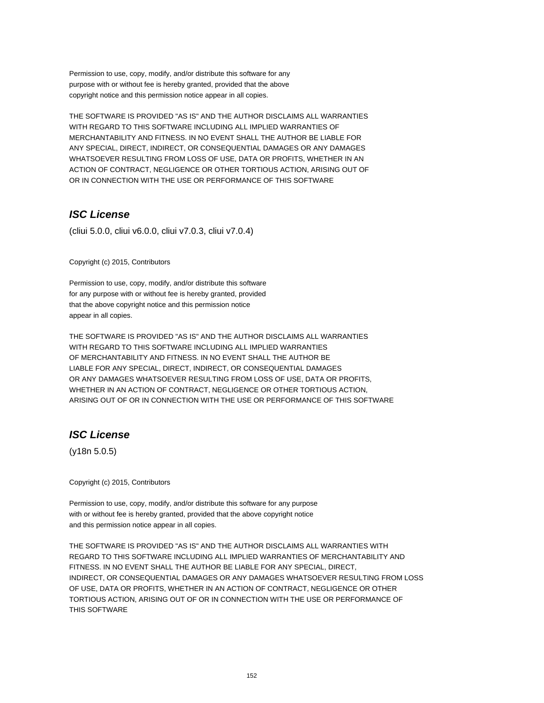Permission to use, copy, modify, and/or distribute this software for any purpose with or without fee is hereby granted, provided that the above copyright notice and this permission notice appear in all copies.

THE SOFTWARE IS PROVIDED "AS IS" AND THE AUTHOR DISCLAIMS ALL WARRANTIES WITH REGARD TO THIS SOFTWARE INCLUDING ALL IMPLIED WARRANTIES OF MERCHANTABILITY AND FITNESS. IN NO EVENT SHALL THE AUTHOR BE LIABLE FOR ANY SPECIAL, DIRECT, INDIRECT, OR CONSEQUENTIAL DAMAGES OR ANY DAMAGES WHATSOEVER RESULTING FROM LOSS OF USE, DATA OR PROFITS, WHETHER IN AN ACTION OF CONTRACT, NEGLIGENCE OR OTHER TORTIOUS ACTION, ARISING OUT OF OR IN CONNECTION WITH THE USE OR PERFORMANCE OF THIS SOFTWARE

# **ISC License**

(cliui 5.0.0, cliui v6.0.0, cliui v7.0.3, cliui v7.0.4)

Copyright (c) 2015, Contributors

Permission to use, copy, modify, and/or distribute this software for any purpose with or without fee is hereby granted, provided that the above copyright notice and this permission notice appear in all copies.

THE SOFTWARE IS PROVIDED "AS IS" AND THE AUTHOR DISCLAIMS ALL WARRANTIES WITH REGARD TO THIS SOFTWARE INCLUDING ALL IMPLIED WARRANTIES OF MERCHANTABILITY AND FITNESS. IN NO EVENT SHALL THE AUTHOR BE LIABLE FOR ANY SPECIAL, DIRECT, INDIRECT, OR CONSEQUENTIAL DAMAGES OR ANY DAMAGES WHATSOEVER RESULTING FROM LOSS OF USE, DATA OR PROFITS, WHETHER IN AN ACTION OF CONTRACT, NEGLIGENCE OR OTHER TORTIOUS ACTION, ARISING OUT OF OR IN CONNECTION WITH THE USE OR PERFORMANCE OF THIS SOFTWARE

# **ISC License**

(y18n 5.0.5)

Copyright (c) 2015, Contributors

Permission to use, copy, modify, and/or distribute this software for any purpose with or without fee is hereby granted, provided that the above copyright notice and this permission notice appear in all copies.

THE SOFTWARE IS PROVIDED "AS IS" AND THE AUTHOR DISCLAIMS ALL WARRANTIES WITH REGARD TO THIS SOFTWARE INCLUDING ALL IMPLIED WARRANTIES OF MERCHANTABILITY AND FITNESS. IN NO EVENT SHALL THE AUTHOR BE LIABLE FOR ANY SPECIAL, DIRECT, INDIRECT, OR CONSEQUENTIAL DAMAGES OR ANY DAMAGES WHATSOEVER RESULTING FROM LOSS OF USE, DATA OR PROFITS, WHETHER IN AN ACTION OF CONTRACT, NEGLIGENCE OR OTHER TORTIOUS ACTION, ARISING OUT OF OR IN CONNECTION WITH THE USE OR PERFORMANCE OF THIS SOFTWARE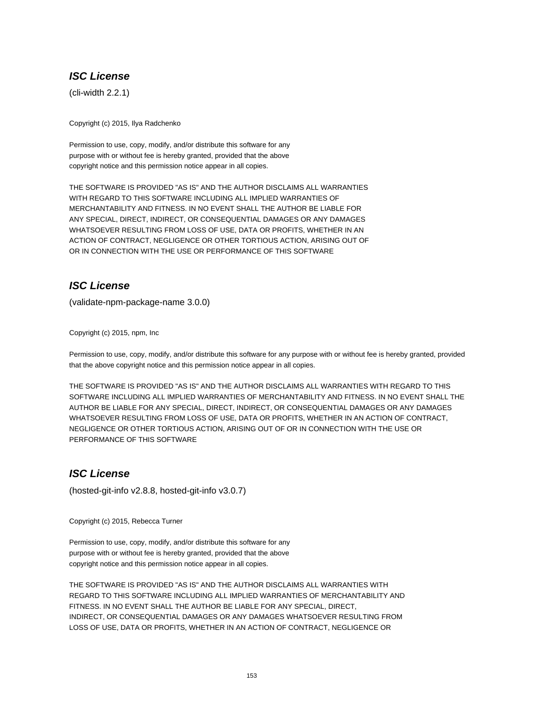# **ISC License**

(cli-width 2.2.1)

Copyright (c) 2015, Ilya Radchenko

Permission to use, copy, modify, and/or distribute this software for any purpose with or without fee is hereby granted, provided that the above copyright notice and this permission notice appear in all copies.

THE SOFTWARE IS PROVIDED "AS IS" AND THE AUTHOR DISCLAIMS ALL WARRANTIES WITH REGARD TO THIS SOFTWARE INCLUDING ALL IMPLIED WARRANTIES OF MERCHANTABILITY AND FITNESS. IN NO EVENT SHALL THE AUTHOR BE LIABLE FOR ANY SPECIAL, DIRECT, INDIRECT, OR CONSEQUENTIAL DAMAGES OR ANY DAMAGES WHATSOEVER RESULTING FROM LOSS OF USE, DATA OR PROFITS, WHETHER IN AN ACTION OF CONTRACT, NEGLIGENCE OR OTHER TORTIOUS ACTION, ARISING OUT OF OR IN CONNECTION WITH THE USE OR PERFORMANCE OF THIS SOFTWARE

# **ISC License**

(validate-npm-package-name 3.0.0)

Copyright (c) 2015, npm, Inc

Permission to use, copy, modify, and/or distribute this software for any purpose with or without fee is hereby granted, provided that the above copyright notice and this permission notice appear in all copies.

THE SOFTWARE IS PROVIDED "AS IS" AND THE AUTHOR DISCLAIMS ALL WARRANTIES WITH REGARD TO THIS SOFTWARE INCLUDING ALL IMPLIED WARRANTIES OF MERCHANTABILITY AND FITNESS. IN NO EVENT SHALL THE AUTHOR BE LIABLE FOR ANY SPECIAL, DIRECT, INDIRECT, OR CONSEQUENTIAL DAMAGES OR ANY DAMAGES WHATSOEVER RESULTING FROM LOSS OF USE, DATA OR PROFITS, WHETHER IN AN ACTION OF CONTRACT, NEGLIGENCE OR OTHER TORTIOUS ACTION, ARISING OUT OF OR IN CONNECTION WITH THE USE OR PERFORMANCE OF THIS SOFTWARE

# **ISC License**

(hosted-git-info v2.8.8, hosted-git-info v3.0.7)

Copyright (c) 2015, Rebecca Turner

Permission to use, copy, modify, and/or distribute this software for any purpose with or without fee is hereby granted, provided that the above copyright notice and this permission notice appear in all copies.

THE SOFTWARE IS PROVIDED "AS IS" AND THE AUTHOR DISCLAIMS ALL WARRANTIES WITH REGARD TO THIS SOFTWARE INCLUDING ALL IMPLIED WARRANTIES OF MERCHANTABILITY AND FITNESS. IN NO EVENT SHALL THE AUTHOR BE LIABLE FOR ANY SPECIAL, DIRECT, INDIRECT, OR CONSEQUENTIAL DAMAGES OR ANY DAMAGES WHATSOEVER RESULTING FROM LOSS OF USE, DATA OR PROFITS, WHETHER IN AN ACTION OF CONTRACT, NEGLIGENCE OR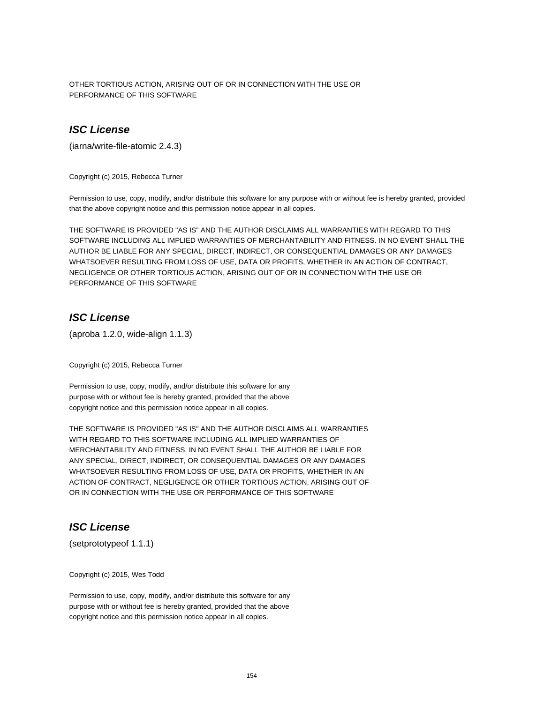OTHER TORTIOUS ACTION, ARISING OUT OF OR IN CONNECTION WITH THE USE OR PERFORMANCE OF THIS SOFTWARE

# **ISC License**

(iarna/write-file-atomic 2.4.3)

Copyright (c) 2015, Rebecca Turner

Permission to use, copy, modify, and/or distribute this software for any purpose with or without fee is hereby granted, provided that the above copyright notice and this permission notice appear in all copies.

THE SOFTWARE IS PROVIDED "AS IS" AND THE AUTHOR DISCLAIMS ALL WARRANTIES WITH REGARD TO THIS SOFTWARE INCLUDING ALL IMPLIED WARRANTIES OF MERCHANTABILITY AND FITNESS. IN NO EVENT SHALL THE AUTHOR BE LIABLE FOR ANY SPECIAL, DIRECT, INDIRECT, OR CONSEQUENTIAL DAMAGES OR ANY DAMAGES WHATSOEVER RESULTING FROM LOSS OF USE, DATA OR PROFITS, WHETHER IN AN ACTION OF CONTRACT, NEGLIGENCE OR OTHER TORTIOUS ACTION, ARISING OUT OF OR IN CONNECTION WITH THE USE OR PERFORMANCE OF THIS SOFTWARE

#### **ISC License**

(aproba 1.2.0, wide-align 1.1.3)

Copyright (c) 2015, Rebecca Turner

Permission to use, copy, modify, and/or distribute this software for any purpose with or without fee is hereby granted, provided that the above copyright notice and this permission notice appear in all copies.

THE SOFTWARE IS PROVIDED "AS IS" AND THE AUTHOR DISCLAIMS ALL WARRANTIES WITH REGARD TO THIS SOFTWARE INCLUDING ALL IMPLIED WARRANTIES OF MERCHANTABILITY AND FITNESS. IN NO EVENT SHALL THE AUTHOR BE LIABLE FOR ANY SPECIAL, DIRECT, INDIRECT, OR CONSEQUENTIAL DAMAGES OR ANY DAMAGES WHATSOEVER RESULTING FROM LOSS OF USE, DATA OR PROFITS, WHETHER IN AN ACTION OF CONTRACT, NEGLIGENCE OR OTHER TORTIOUS ACTION, ARISING OUT OF OR IN CONNECTION WITH THE USE OR PERFORMANCE OF THIS SOFTWARE

## **ISC License**

(setprototypeof 1.1.1)

Copyright (c) 2015, Wes Todd

Permission to use, copy, modify, and/or distribute this software for any purpose with or without fee is hereby granted, provided that the above copyright notice and this permission notice appear in all copies.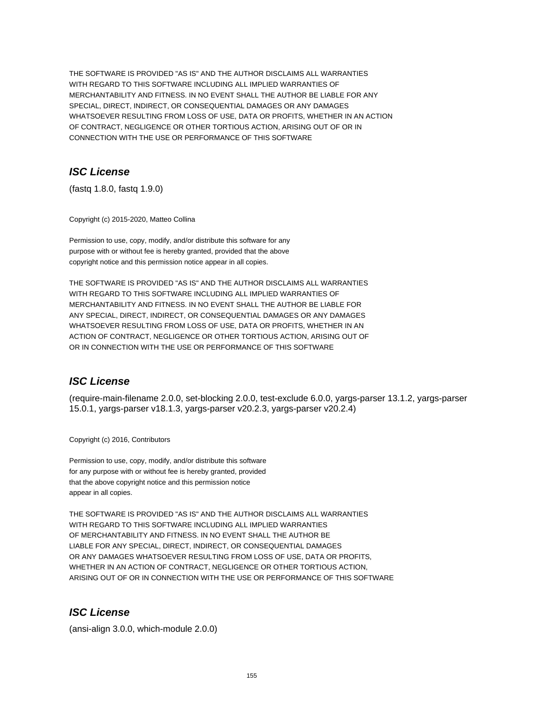THE SOFTWARE IS PROVIDED "AS IS" AND THE AUTHOR DISCLAIMS ALL WARRANTIES WITH REGARD TO THIS SOFTWARE INCLUDING ALL IMPLIED WARRANTIES OF MERCHANTABILITY AND FITNESS. IN NO EVENT SHALL THE AUTHOR BE LIABLE FOR ANY SPECIAL, DIRECT, INDIRECT, OR CONSEQUENTIAL DAMAGES OR ANY DAMAGES WHATSOEVER RESULTING FROM LOSS OF USE, DATA OR PROFITS, WHETHER IN AN ACTION OF CONTRACT, NEGLIGENCE OR OTHER TORTIOUS ACTION, ARISING OUT OF OR IN CONNECTION WITH THE USE OR PERFORMANCE OF THIS SOFTWARE

# **ISC License**

(fastq 1.8.0, fastq 1.9.0)

Copyright (c) 2015-2020, Matteo Collina

Permission to use, copy, modify, and/or distribute this software for any purpose with or without fee is hereby granted, provided that the above copyright notice and this permission notice appear in all copies.

THE SOFTWARE IS PROVIDED "AS IS" AND THE AUTHOR DISCLAIMS ALL WARRANTIES WITH REGARD TO THIS SOFTWARE INCLUDING ALL IMPLIED WARRANTIES OF MERCHANTABILITY AND FITNESS. IN NO EVENT SHALL THE AUTHOR BE LIABLE FOR ANY SPECIAL, DIRECT, INDIRECT, OR CONSEQUENTIAL DAMAGES OR ANY DAMAGES WHATSOEVER RESULTING FROM LOSS OF USE, DATA OR PROFITS, WHETHER IN AN ACTION OF CONTRACT, NEGLIGENCE OR OTHER TORTIOUS ACTION, ARISING OUT OF OR IN CONNECTION WITH THE USE OR PERFORMANCE OF THIS SOFTWARE

# **ISC License**

(require-main-filename 2.0.0, set-blocking 2.0.0, test-exclude 6.0.0, yargs-parser 13.1.2, yargs-parser 15.0.1, yargs-parser v18.1.3, yargs-parser v20.2.3, yargs-parser v20.2.4)

Copyright (c) 2016, Contributors

Permission to use, copy, modify, and/or distribute this software for any purpose with or without fee is hereby granted, provided that the above copyright notice and this permission notice appear in all copies.

THE SOFTWARE IS PROVIDED "AS IS" AND THE AUTHOR DISCLAIMS ALL WARRANTIES WITH REGARD TO THIS SOFTWARE INCLUDING ALL IMPLIED WARRANTIES OF MERCHANTABILITY AND FITNESS. IN NO EVENT SHALL THE AUTHOR BE LIABLE FOR ANY SPECIAL, DIRECT, INDIRECT, OR CONSEQUENTIAL DAMAGES OR ANY DAMAGES WHATSOEVER RESULTING FROM LOSS OF USE, DATA OR PROFITS, WHETHER IN AN ACTION OF CONTRACT, NEGLIGENCE OR OTHER TORTIOUS ACTION, ARISING OUT OF OR IN CONNECTION WITH THE USE OR PERFORMANCE OF THIS SOFTWARE

# **ISC License**

(ansi-align 3.0.0, which-module 2.0.0)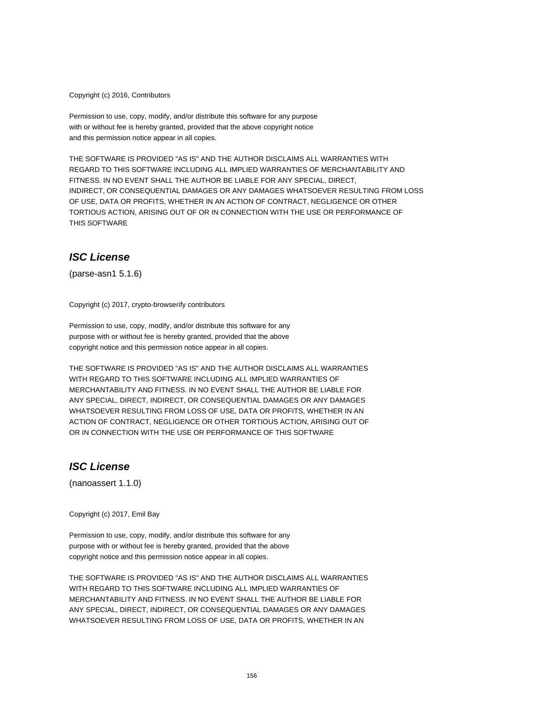Copyright (c) 2016, Contributors

Permission to use, copy, modify, and/or distribute this software for any purpose with or without fee is hereby granted, provided that the above copyright notice and this permission notice appear in all copies.

THE SOFTWARE IS PROVIDED "AS IS" AND THE AUTHOR DISCLAIMS ALL WARRANTIES WITH REGARD TO THIS SOFTWARE INCLUDING ALL IMPLIED WARRANTIES OF MERCHANTABILITY AND FITNESS. IN NO EVENT SHALL THE AUTHOR BE LIABLE FOR ANY SPECIAL, DIRECT, INDIRECT, OR CONSEQUENTIAL DAMAGES OR ANY DAMAGES WHATSOEVER RESULTING FROM LOSS OF USE, DATA OR PROFITS, WHETHER IN AN ACTION OF CONTRACT, NEGLIGENCE OR OTHER TORTIOUS ACTION, ARISING OUT OF OR IN CONNECTION WITH THE USE OR PERFORMANCE OF THIS SOFTWARE

#### **ISC License**

(parse-asn1 5.1.6)

Copyright (c) 2017, crypto-browserify contributors

Permission to use, copy, modify, and/or distribute this software for any purpose with or without fee is hereby granted, provided that the above copyright notice and this permission notice appear in all copies.

THE SOFTWARE IS PROVIDED "AS IS" AND THE AUTHOR DISCLAIMS ALL WARRANTIES WITH REGARD TO THIS SOFTWARE INCLUDING ALL IMPLIED WARRANTIES OF MERCHANTABILITY AND FITNESS. IN NO EVENT SHALL THE AUTHOR BE LIABLE FOR ANY SPECIAL, DIRECT, INDIRECT, OR CONSEQUENTIAL DAMAGES OR ANY DAMAGES WHATSOEVER RESULTING FROM LOSS OF USE, DATA OR PROFITS, WHETHER IN AN ACTION OF CONTRACT, NEGLIGENCE OR OTHER TORTIOUS ACTION, ARISING OUT OF OR IN CONNECTION WITH THE USE OR PERFORMANCE OF THIS SOFTWARE

### **ISC License**

(nanoassert 1.1.0)

Copyright (c) 2017, Emil Bay

Permission to use, copy, modify, and/or distribute this software for any purpose with or without fee is hereby granted, provided that the above copyright notice and this permission notice appear in all copies.

THE SOFTWARE IS PROVIDED "AS IS" AND THE AUTHOR DISCLAIMS ALL WARRANTIES WITH REGARD TO THIS SOFTWARE INCLUDING ALL IMPLIED WARRANTIES OF MERCHANTABILITY AND FITNESS. IN NO EVENT SHALL THE AUTHOR BE LIABLE FOR ANY SPECIAL, DIRECT, INDIRECT, OR CONSEQUENTIAL DAMAGES OR ANY DAMAGES WHATSOEVER RESULTING FROM LOSS OF USE, DATA OR PROFITS, WHETHER IN AN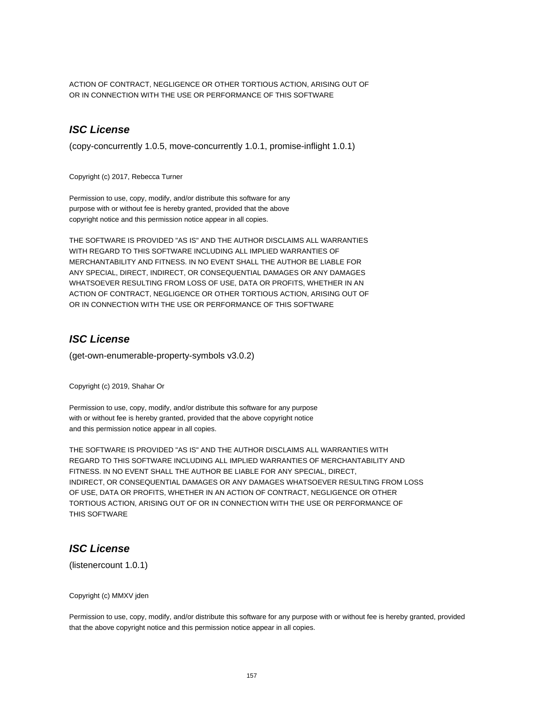ACTION OF CONTRACT, NEGLIGENCE OR OTHER TORTIOUS ACTION, ARISING OUT OF OR IN CONNECTION WITH THE USE OR PERFORMANCE OF THIS SOFTWARE

# **ISC License**

(copy-concurrently 1.0.5, move-concurrently 1.0.1, promise-inflight 1.0.1)

Copyright (c) 2017, Rebecca Turner

Permission to use, copy, modify, and/or distribute this software for any purpose with or without fee is hereby granted, provided that the above copyright notice and this permission notice appear in all copies.

THE SOFTWARE IS PROVIDED "AS IS" AND THE AUTHOR DISCLAIMS ALL WARRANTIES WITH REGARD TO THIS SOFTWARE INCLUDING ALL IMPLIED WARRANTIES OF MERCHANTABILITY AND FITNESS. IN NO EVENT SHALL THE AUTHOR BE LIABLE FOR ANY SPECIAL, DIRECT, INDIRECT, OR CONSEQUENTIAL DAMAGES OR ANY DAMAGES WHATSOEVER RESULTING FROM LOSS OF USE, DATA OR PROFITS, WHETHER IN AN ACTION OF CONTRACT, NEGLIGENCE OR OTHER TORTIOUS ACTION, ARISING OUT OF OR IN CONNECTION WITH THE USE OR PERFORMANCE OF THIS SOFTWARE

#### **ISC License**

(get-own-enumerable-property-symbols v3.0.2)

Copyright (c) 2019, Shahar Or

Permission to use, copy, modify, and/or distribute this software for any purpose with or without fee is hereby granted, provided that the above copyright notice and this permission notice appear in all copies.

THE SOFTWARE IS PROVIDED "AS IS" AND THE AUTHOR DISCLAIMS ALL WARRANTIES WITH REGARD TO THIS SOFTWARE INCLUDING ALL IMPLIED WARRANTIES OF MERCHANTABILITY AND FITNESS. IN NO EVENT SHALL THE AUTHOR BE LIABLE FOR ANY SPECIAL, DIRECT, INDIRECT, OR CONSEQUENTIAL DAMAGES OR ANY DAMAGES WHATSOEVER RESULTING FROM LOSS OF USE, DATA OR PROFITS, WHETHER IN AN ACTION OF CONTRACT, NEGLIGENCE OR OTHER TORTIOUS ACTION, ARISING OUT OF OR IN CONNECTION WITH THE USE OR PERFORMANCE OF THIS SOFTWARE

# **ISC License**

(listenercount 1.0.1)

#### Copyright (c) MMXV jden

Permission to use, copy, modify, and/or distribute this software for any purpose with or without fee is hereby granted, provided that the above copyright notice and this permission notice appear in all copies.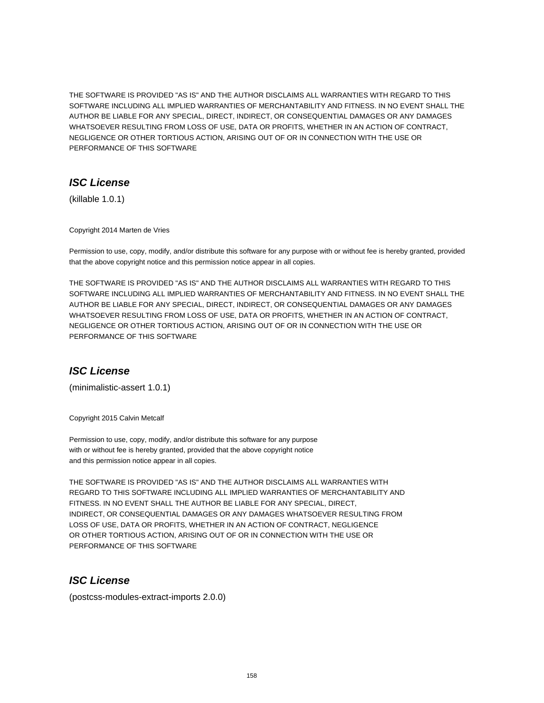THE SOFTWARE IS PROVIDED "AS IS" AND THE AUTHOR DISCLAIMS ALL WARRANTIES WITH REGARD TO THIS SOFTWARE INCLUDING ALL IMPLIED WARRANTIES OF MERCHANTABILITY AND FITNESS. IN NO EVENT SHALL THE AUTHOR BE LIABLE FOR ANY SPECIAL, DIRECT, INDIRECT, OR CONSEQUENTIAL DAMAGES OR ANY DAMAGES WHATSOEVER RESULTING FROM LOSS OF USE, DATA OR PROFITS, WHETHER IN AN ACTION OF CONTRACT, NEGLIGENCE OR OTHER TORTIOUS ACTION, ARISING OUT OF OR IN CONNECTION WITH THE USE OR PERFORMANCE OF THIS SOFTWARE

# **ISC License**

(killable 1.0.1)

Copyright 2014 Marten de Vries

Permission to use, copy, modify, and/or distribute this software for any purpose with or without fee is hereby granted, provided that the above copyright notice and this permission notice appear in all copies.

THE SOFTWARE IS PROVIDED "AS IS" AND THE AUTHOR DISCLAIMS ALL WARRANTIES WITH REGARD TO THIS SOFTWARE INCLUDING ALL IMPLIED WARRANTIES OF MERCHANTABILITY AND FITNESS. IN NO EVENT SHALL THE AUTHOR BE LIABLE FOR ANY SPECIAL, DIRECT, INDIRECT, OR CONSEQUENTIAL DAMAGES OR ANY DAMAGES WHATSOEVER RESULTING FROM LOSS OF USE, DATA OR PROFITS, WHETHER IN AN ACTION OF CONTRACT, NEGLIGENCE OR OTHER TORTIOUS ACTION, ARISING OUT OF OR IN CONNECTION WITH THE USE OR PERFORMANCE OF THIS SOFTWARE

# **ISC License**

(minimalistic-assert 1.0.1)

Copyright 2015 Calvin Metcalf

Permission to use, copy, modify, and/or distribute this software for any purpose with or without fee is hereby granted, provided that the above copyright notice and this permission notice appear in all copies.

THE SOFTWARE IS PROVIDED "AS IS" AND THE AUTHOR DISCLAIMS ALL WARRANTIES WITH REGARD TO THIS SOFTWARE INCLUDING ALL IMPLIED WARRANTIES OF MERCHANTABILITY AND FITNESS. IN NO EVENT SHALL THE AUTHOR BE LIABLE FOR ANY SPECIAL, DIRECT, INDIRECT, OR CONSEQUENTIAL DAMAGES OR ANY DAMAGES WHATSOEVER RESULTING FROM LOSS OF USE, DATA OR PROFITS, WHETHER IN AN ACTION OF CONTRACT, NEGLIGENCE OR OTHER TORTIOUS ACTION, ARISING OUT OF OR IN CONNECTION WITH THE USE OR PERFORMANCE OF THIS SOFTWARE

# **ISC License**

(postcss-modules-extract-imports 2.0.0)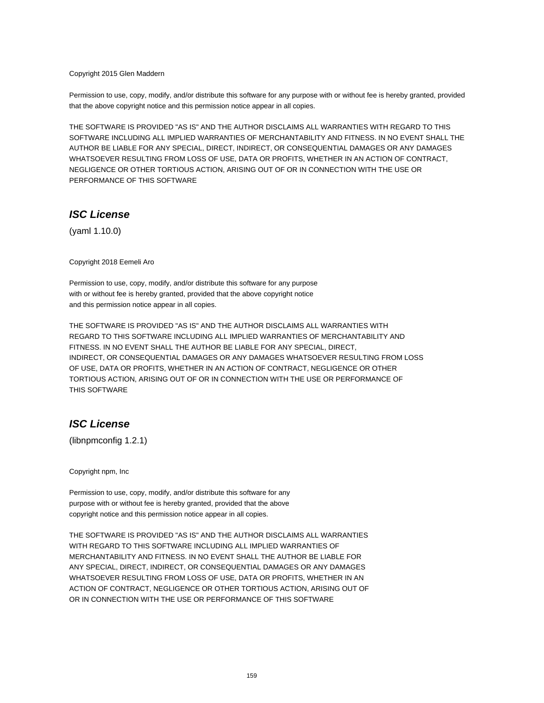#### Copyright 2015 Glen Maddern

Permission to use, copy, modify, and/or distribute this software for any purpose with or without fee is hereby granted, provided that the above copyright notice and this permission notice appear in all copies.

THE SOFTWARE IS PROVIDED "AS IS" AND THE AUTHOR DISCLAIMS ALL WARRANTIES WITH REGARD TO THIS SOFTWARE INCLUDING ALL IMPLIED WARRANTIES OF MERCHANTABILITY AND FITNESS. IN NO EVENT SHALL THE AUTHOR BE LIABLE FOR ANY SPECIAL, DIRECT, INDIRECT, OR CONSEQUENTIAL DAMAGES OR ANY DAMAGES WHATSOEVER RESULTING FROM LOSS OF USE, DATA OR PROFITS, WHETHER IN AN ACTION OF CONTRACT, NEGLIGENCE OR OTHER TORTIOUS ACTION, ARISING OUT OF OR IN CONNECTION WITH THE USE OR PERFORMANCE OF THIS SOFTWARE

#### **ISC License**

(yaml 1.10.0)

Copyright 2018 Eemeli Aro

Permission to use, copy, modify, and/or distribute this software for any purpose with or without fee is hereby granted, provided that the above copyright notice and this permission notice appear in all copies.

THE SOFTWARE IS PROVIDED "AS IS" AND THE AUTHOR DISCLAIMS ALL WARRANTIES WITH REGARD TO THIS SOFTWARE INCLUDING ALL IMPLIED WARRANTIES OF MERCHANTABILITY AND FITNESS. IN NO EVENT SHALL THE AUTHOR BE LIABLE FOR ANY SPECIAL, DIRECT, INDIRECT, OR CONSEQUENTIAL DAMAGES OR ANY DAMAGES WHATSOEVER RESULTING FROM LOSS OF USE, DATA OR PROFITS, WHETHER IN AN ACTION OF CONTRACT, NEGLIGENCE OR OTHER TORTIOUS ACTION, ARISING OUT OF OR IN CONNECTION WITH THE USE OR PERFORMANCE OF THIS SOFTWARE

# **ISC License**

(libnpmconfig 1.2.1)

Copyright npm, Inc

Permission to use, copy, modify, and/or distribute this software for any purpose with or without fee is hereby granted, provided that the above copyright notice and this permission notice appear in all copies.

THE SOFTWARE IS PROVIDED "AS IS" AND THE AUTHOR DISCLAIMS ALL WARRANTIES WITH REGARD TO THIS SOFTWARE INCLUDING ALL IMPLIED WARRANTIES OF MERCHANTABILITY AND FITNESS. IN NO EVENT SHALL THE AUTHOR BE LIABLE FOR ANY SPECIAL, DIRECT, INDIRECT, OR CONSEQUENTIAL DAMAGES OR ANY DAMAGES WHATSOEVER RESULTING FROM LOSS OF USE, DATA OR PROFITS, WHETHER IN AN ACTION OF CONTRACT, NEGLIGENCE OR OTHER TORTIOUS ACTION, ARISING OUT OF OR IN CONNECTION WITH THE USE OR PERFORMANCE OF THIS SOFTWARE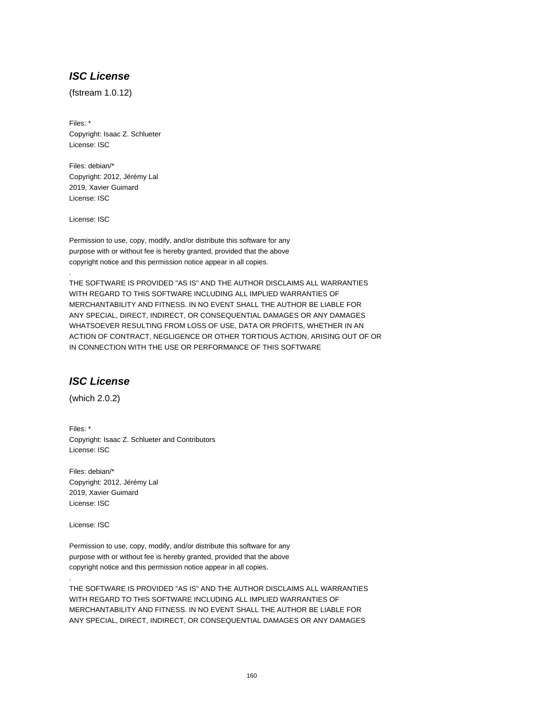# **ISC License**

(fstream 1.0.12)

Files: \* Copyright: Isaac Z. Schlueter License: ISC

Files: debian/\* Copyright: 2012, Jérémy Lal 2019, Xavier Guimard License: ISC

License: ISC

.

Permission to use, copy, modify, and/or distribute this software for any purpose with or without fee is hereby granted, provided that the above copyright notice and this permission notice appear in all copies.

THE SOFTWARE IS PROVIDED "AS IS" AND THE AUTHOR DISCLAIMS ALL WARRANTIES WITH REGARD TO THIS SOFTWARE INCLUDING ALL IMPLIED WARRANTIES OF MERCHANTABILITY AND FITNESS. IN NO EVENT SHALL THE AUTHOR BE LIABLE FOR ANY SPECIAL, DIRECT, INDIRECT, OR CONSEQUENTIAL DAMAGES OR ANY DAMAGES WHATSOEVER RESULTING FROM LOSS OF USE, DATA OR PROFITS, WHETHER IN AN ACTION OF CONTRACT, NEGLIGENCE OR OTHER TORTIOUS ACTION, ARISING OUT OF OR IN CONNECTION WITH THE USE OR PERFORMANCE OF THIS SOFTWARE

# **ISC License**

(which 2.0.2)

Files: \* Copyright: Isaac Z. Schlueter and Contributors License: ISC

Files: debian/\* Copyright: 2012, Jérémy Lal 2019, Xavier Guimard License: ISC

License: ISC

.

Permission to use, copy, modify, and/or distribute this software for any purpose with or without fee is hereby granted, provided that the above copyright notice and this permission notice appear in all copies.

THE SOFTWARE IS PROVIDED "AS IS" AND THE AUTHOR DISCLAIMS ALL WARRANTIES WITH REGARD TO THIS SOFTWARE INCLUDING ALL IMPLIED WARRANTIES OF MERCHANTABILITY AND FITNESS. IN NO EVENT SHALL THE AUTHOR BE LIABLE FOR ANY SPECIAL, DIRECT, INDIRECT, OR CONSEQUENTIAL DAMAGES OR ANY DAMAGES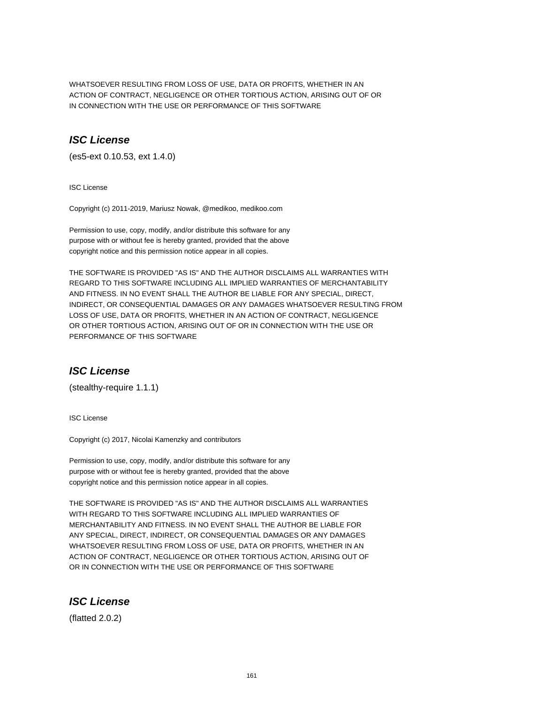WHATSOEVER RESULTING FROM LOSS OF USE, DATA OR PROFITS, WHETHER IN AN ACTION OF CONTRACT, NEGLIGENCE OR OTHER TORTIOUS ACTION, ARISING OUT OF OR IN CONNECTION WITH THE USE OR PERFORMANCE OF THIS SOFTWARE

### **ISC License**

(es5-ext 0.10.53, ext 1.4.0)

ISC License

Copyright (c) 2011-2019, Mariusz Nowak, @medikoo, medikoo.com

Permission to use, copy, modify, and/or distribute this software for any purpose with or without fee is hereby granted, provided that the above copyright notice and this permission notice appear in all copies.

THE SOFTWARE IS PROVIDED "AS IS" AND THE AUTHOR DISCLAIMS ALL WARRANTIES WITH REGARD TO THIS SOFTWARE INCLUDING ALL IMPLIED WARRANTIES OF MERCHANTABILITY AND FITNESS. IN NO EVENT SHALL THE AUTHOR BE LIABLE FOR ANY SPECIAL, DIRECT, INDIRECT, OR CONSEQUENTIAL DAMAGES OR ANY DAMAGES WHATSOEVER RESULTING FROM LOSS OF USE, DATA OR PROFITS, WHETHER IN AN ACTION OF CONTRACT, NEGLIGENCE OR OTHER TORTIOUS ACTION, ARISING OUT OF OR IN CONNECTION WITH THE USE OR PERFORMANCE OF THIS SOFTWARE

# **ISC License**

(stealthy-require 1.1.1)

ISC License

Copyright (c) 2017, Nicolai Kamenzky and contributors

Permission to use, copy, modify, and/or distribute this software for any purpose with or without fee is hereby granted, provided that the above copyright notice and this permission notice appear in all copies.

THE SOFTWARE IS PROVIDED "AS IS" AND THE AUTHOR DISCLAIMS ALL WARRANTIES WITH REGARD TO THIS SOFTWARE INCLUDING ALL IMPLIED WARRANTIES OF MERCHANTABILITY AND FITNESS. IN NO EVENT SHALL THE AUTHOR BE LIABLE FOR ANY SPECIAL, DIRECT, INDIRECT, OR CONSEQUENTIAL DAMAGES OR ANY DAMAGES WHATSOEVER RESULTING FROM LOSS OF USE, DATA OR PROFITS, WHETHER IN AN ACTION OF CONTRACT, NEGLIGENCE OR OTHER TORTIOUS ACTION, ARISING OUT OF OR IN CONNECTION WITH THE USE OR PERFORMANCE OF THIS SOFTWARE

# **ISC License**

(flatted 2.0.2)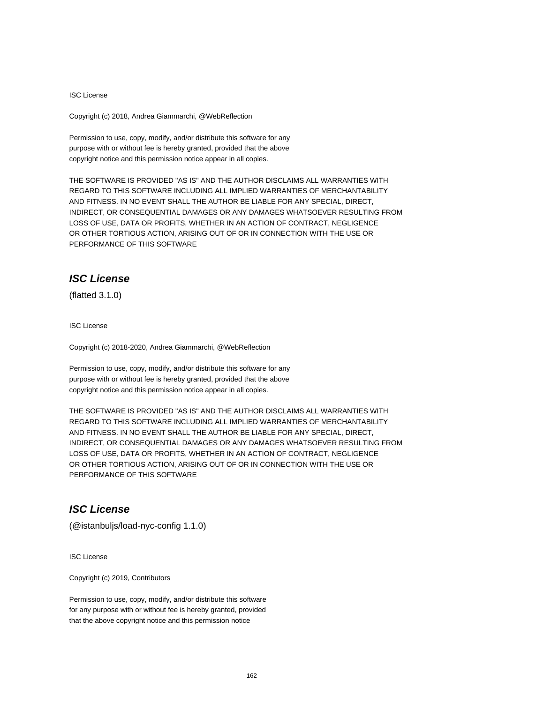#### ISC License

Copyright (c) 2018, Andrea Giammarchi, @WebReflection

Permission to use, copy, modify, and/or distribute this software for any purpose with or without fee is hereby granted, provided that the above copyright notice and this permission notice appear in all copies.

THE SOFTWARE IS PROVIDED "AS IS" AND THE AUTHOR DISCLAIMS ALL WARRANTIES WITH REGARD TO THIS SOFTWARE INCLUDING ALL IMPLIED WARRANTIES OF MERCHANTABILITY AND FITNESS. IN NO EVENT SHALL THE AUTHOR BE LIABLE FOR ANY SPECIAL, DIRECT, INDIRECT, OR CONSEQUENTIAL DAMAGES OR ANY DAMAGES WHATSOEVER RESULTING FROM LOSS OF USE, DATA OR PROFITS, WHETHER IN AN ACTION OF CONTRACT, NEGLIGENCE OR OTHER TORTIOUS ACTION, ARISING OUT OF OR IN CONNECTION WITH THE USE OR PERFORMANCE OF THIS SOFTWARE

# **ISC License**

(flatted 3.1.0)

ISC License

Copyright (c) 2018-2020, Andrea Giammarchi, @WebReflection

Permission to use, copy, modify, and/or distribute this software for any purpose with or without fee is hereby granted, provided that the above copyright notice and this permission notice appear in all copies.

THE SOFTWARE IS PROVIDED "AS IS" AND THE AUTHOR DISCLAIMS ALL WARRANTIES WITH REGARD TO THIS SOFTWARE INCLUDING ALL IMPLIED WARRANTIES OF MERCHANTABILITY AND FITNESS. IN NO EVENT SHALL THE AUTHOR BE LIABLE FOR ANY SPECIAL, DIRECT, INDIRECT, OR CONSEQUENTIAL DAMAGES OR ANY DAMAGES WHATSOEVER RESULTING FROM LOSS OF USE, DATA OR PROFITS, WHETHER IN AN ACTION OF CONTRACT, NEGLIGENCE OR OTHER TORTIOUS ACTION, ARISING OUT OF OR IN CONNECTION WITH THE USE OR PERFORMANCE OF THIS SOFTWARE

# **ISC License**

(@istanbuljs/load-nyc-config 1.1.0)

ISC License

Copyright (c) 2019, Contributors

Permission to use, copy, modify, and/or distribute this software for any purpose with or without fee is hereby granted, provided that the above copyright notice and this permission notice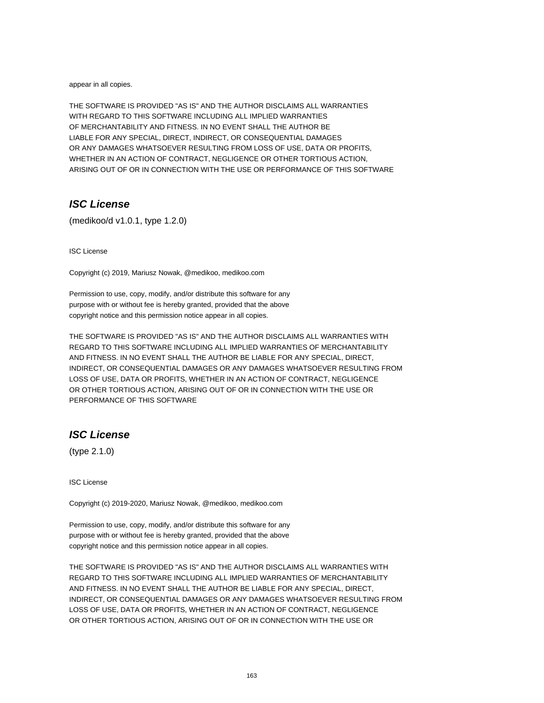appear in all copies.

THE SOFTWARE IS PROVIDED "AS IS" AND THE AUTHOR DISCLAIMS ALL WARRANTIES WITH REGARD TO THIS SOFTWARE INCLUDING ALL IMPLIED WARRANTIES OF MERCHANTABILITY AND FITNESS. IN NO EVENT SHALL THE AUTHOR BE LIABLE FOR ANY SPECIAL, DIRECT, INDIRECT, OR CONSEQUENTIAL DAMAGES OR ANY DAMAGES WHATSOEVER RESULTING FROM LOSS OF USE, DATA OR PROFITS, WHETHER IN AN ACTION OF CONTRACT, NEGLIGENCE OR OTHER TORTIOUS ACTION, ARISING OUT OF OR IN CONNECTION WITH THE USE OR PERFORMANCE OF THIS SOFTWARE

# **ISC License**

(medikoo/d v1.0.1, type 1.2.0)

ISC License

Copyright (c) 2019, Mariusz Nowak, @medikoo, medikoo.com

Permission to use, copy, modify, and/or distribute this software for any purpose with or without fee is hereby granted, provided that the above copyright notice and this permission notice appear in all copies.

THE SOFTWARE IS PROVIDED "AS IS" AND THE AUTHOR DISCLAIMS ALL WARRANTIES WITH REGARD TO THIS SOFTWARE INCLUDING ALL IMPLIED WARRANTIES OF MERCHANTABILITY AND FITNESS. IN NO EVENT SHALL THE AUTHOR BE LIABLE FOR ANY SPECIAL, DIRECT, INDIRECT, OR CONSEQUENTIAL DAMAGES OR ANY DAMAGES WHATSOEVER RESULTING FROM LOSS OF USE, DATA OR PROFITS, WHETHER IN AN ACTION OF CONTRACT, NEGLIGENCE OR OTHER TORTIOUS ACTION, ARISING OUT OF OR IN CONNECTION WITH THE USE OR PERFORMANCE OF THIS SOFTWARE

### **ISC License**

(type 2.1.0)

ISC License

Copyright (c) 2019-2020, Mariusz Nowak, @medikoo, medikoo.com

Permission to use, copy, modify, and/or distribute this software for any purpose with or without fee is hereby granted, provided that the above copyright notice and this permission notice appear in all copies.

THE SOFTWARE IS PROVIDED "AS IS" AND THE AUTHOR DISCLAIMS ALL WARRANTIES WITH REGARD TO THIS SOFTWARE INCLUDING ALL IMPLIED WARRANTIES OF MERCHANTABILITY AND FITNESS. IN NO EVENT SHALL THE AUTHOR BE LIABLE FOR ANY SPECIAL, DIRECT, INDIRECT, OR CONSEQUENTIAL DAMAGES OR ANY DAMAGES WHATSOEVER RESULTING FROM LOSS OF USE, DATA OR PROFITS, WHETHER IN AN ACTION OF CONTRACT, NEGLIGENCE OR OTHER TORTIOUS ACTION, ARISING OUT OF OR IN CONNECTION WITH THE USE OR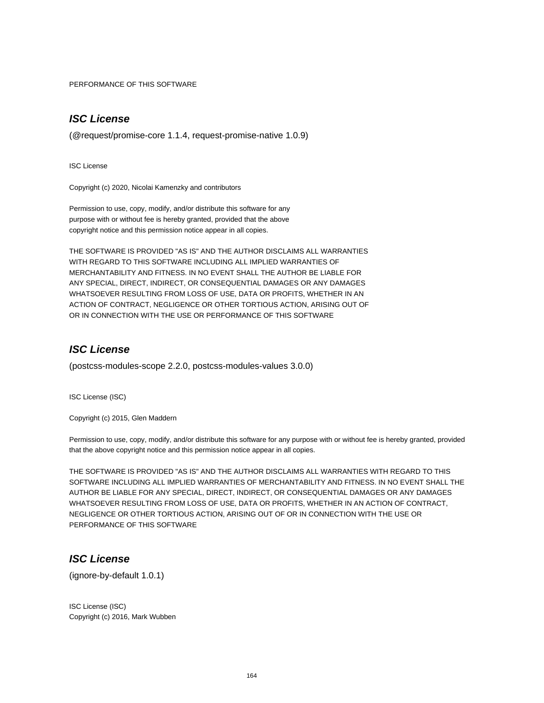PERFORMANCE OF THIS SOFTWARE

# **ISC License**

(@request/promise-core 1.1.4, request-promise-native 1.0.9)

ISC License

Copyright (c) 2020, Nicolai Kamenzky and contributors

Permission to use, copy, modify, and/or distribute this software for any purpose with or without fee is hereby granted, provided that the above copyright notice and this permission notice appear in all copies.

THE SOFTWARE IS PROVIDED "AS IS" AND THE AUTHOR DISCLAIMS ALL WARRANTIES WITH REGARD TO THIS SOFTWARE INCLUDING ALL IMPLIED WARRANTIES OF MERCHANTABILITY AND FITNESS. IN NO EVENT SHALL THE AUTHOR BE LIABLE FOR ANY SPECIAL, DIRECT, INDIRECT, OR CONSEQUENTIAL DAMAGES OR ANY DAMAGES WHATSOEVER RESULTING FROM LOSS OF USE, DATA OR PROFITS, WHETHER IN AN ACTION OF CONTRACT, NEGLIGENCE OR OTHER TORTIOUS ACTION, ARISING OUT OF OR IN CONNECTION WITH THE USE OR PERFORMANCE OF THIS SOFTWARE

#### **ISC License**

(postcss-modules-scope 2.2.0, postcss-modules-values 3.0.0)

ISC License (ISC)

Copyright (c) 2015, Glen Maddern

Permission to use, copy, modify, and/or distribute this software for any purpose with or without fee is hereby granted, provided that the above copyright notice and this permission notice appear in all copies.

THE SOFTWARE IS PROVIDED "AS IS" AND THE AUTHOR DISCLAIMS ALL WARRANTIES WITH REGARD TO THIS SOFTWARE INCLUDING ALL IMPLIED WARRANTIES OF MERCHANTABILITY AND FITNESS. IN NO EVENT SHALL THE AUTHOR BE LIABLE FOR ANY SPECIAL, DIRECT, INDIRECT, OR CONSEQUENTIAL DAMAGES OR ANY DAMAGES WHATSOEVER RESULTING FROM LOSS OF USE, DATA OR PROFITS, WHETHER IN AN ACTION OF CONTRACT, NEGLIGENCE OR OTHER TORTIOUS ACTION, ARISING OUT OF OR IN CONNECTION WITH THE USE OR PERFORMANCE OF THIS SOFTWARE

### **ISC License**

(ignore-by-default 1.0.1)

ISC License (ISC) Copyright (c) 2016, Mark Wubben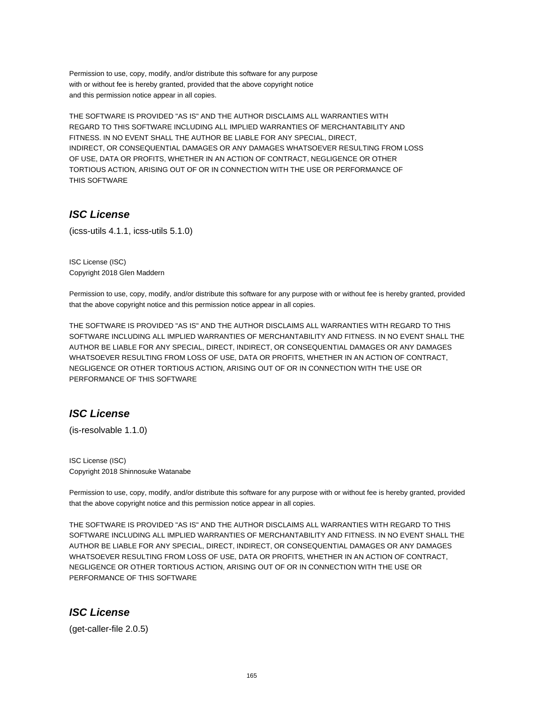Permission to use, copy, modify, and/or distribute this software for any purpose with or without fee is hereby granted, provided that the above copyright notice and this permission notice appear in all copies.

THE SOFTWARE IS PROVIDED "AS IS" AND THE AUTHOR DISCLAIMS ALL WARRANTIES WITH REGARD TO THIS SOFTWARE INCLUDING ALL IMPLIED WARRANTIES OF MERCHANTABILITY AND FITNESS. IN NO EVENT SHALL THE AUTHOR BE LIABLE FOR ANY SPECIAL, DIRECT, INDIRECT, OR CONSEQUENTIAL DAMAGES OR ANY DAMAGES WHATSOEVER RESULTING FROM LOSS OF USE, DATA OR PROFITS, WHETHER IN AN ACTION OF CONTRACT, NEGLIGENCE OR OTHER TORTIOUS ACTION, ARISING OUT OF OR IN CONNECTION WITH THE USE OR PERFORMANCE OF THIS SOFTWARE

### **ISC License**

(icss-utils 4.1.1, icss-utils 5.1.0)

ISC License (ISC) Copyright 2018 Glen Maddern

Permission to use, copy, modify, and/or distribute this software for any purpose with or without fee is hereby granted, provided that the above copyright notice and this permission notice appear in all copies.

THE SOFTWARE IS PROVIDED "AS IS" AND THE AUTHOR DISCLAIMS ALL WARRANTIES WITH REGARD TO THIS SOFTWARE INCLUDING ALL IMPLIED WARRANTIES OF MERCHANTABILITY AND FITNESS. IN NO EVENT SHALL THE AUTHOR BE LIABLE FOR ANY SPECIAL, DIRECT, INDIRECT, OR CONSEQUENTIAL DAMAGES OR ANY DAMAGES WHATSOEVER RESULTING FROM LOSS OF USE, DATA OR PROFITS, WHETHER IN AN ACTION OF CONTRACT, NEGLIGENCE OR OTHER TORTIOUS ACTION, ARISING OUT OF OR IN CONNECTION WITH THE USE OR PERFORMANCE OF THIS SOFTWARE

# **ISC License**

(is-resolvable 1.1.0)

ISC License (ISC) Copyright 2018 Shinnosuke Watanabe

Permission to use, copy, modify, and/or distribute this software for any purpose with or without fee is hereby granted, provided that the above copyright notice and this permission notice appear in all copies.

THE SOFTWARE IS PROVIDED "AS IS" AND THE AUTHOR DISCLAIMS ALL WARRANTIES WITH REGARD TO THIS SOFTWARE INCLUDING ALL IMPLIED WARRANTIES OF MERCHANTABILITY AND FITNESS. IN NO EVENT SHALL THE AUTHOR BE LIABLE FOR ANY SPECIAL, DIRECT, INDIRECT, OR CONSEQUENTIAL DAMAGES OR ANY DAMAGES WHATSOEVER RESULTING FROM LOSS OF USE, DATA OR PROFITS, WHETHER IN AN ACTION OF CONTRACT, NEGLIGENCE OR OTHER TORTIOUS ACTION, ARISING OUT OF OR IN CONNECTION WITH THE USE OR PERFORMANCE OF THIS SOFTWARE

#### **ISC License**

(get-caller-file 2.0.5)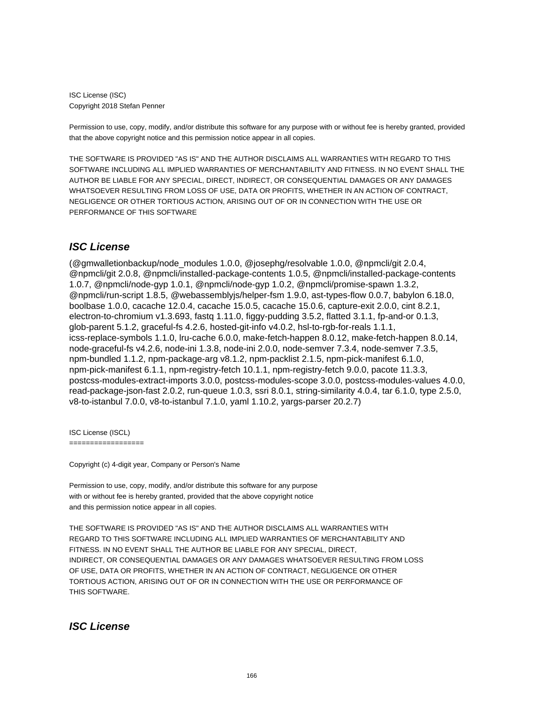ISC License (ISC) Copyright 2018 Stefan Penner

Permission to use, copy, modify, and/or distribute this software for any purpose with or without fee is hereby granted, provided that the above copyright notice and this permission notice appear in all copies.

THE SOFTWARE IS PROVIDED "AS IS" AND THE AUTHOR DISCLAIMS ALL WARRANTIES WITH REGARD TO THIS SOFTWARE INCLUDING ALL IMPLIED WARRANTIES OF MERCHANTABILITY AND FITNESS. IN NO EVENT SHALL THE AUTHOR BE LIABLE FOR ANY SPECIAL, DIRECT, INDIRECT, OR CONSEQUENTIAL DAMAGES OR ANY DAMAGES WHATSOEVER RESULTING FROM LOSS OF USE, DATA OR PROFITS, WHETHER IN AN ACTION OF CONTRACT, NEGLIGENCE OR OTHER TORTIOUS ACTION, ARISING OUT OF OR IN CONNECTION WITH THE USE OR PERFORMANCE OF THIS SOFTWARE

# **ISC License**

(@gmwalletionbackup/node\_modules 1.0.0, @josephg/resolvable 1.0.0, @npmcli/git 2.0.4, @npmcli/git 2.0.8, @npmcli/installed-package-contents 1.0.5, @npmcli/installed-package-contents 1.0.7, @npmcli/node-gyp 1.0.1, @npmcli/node-gyp 1.0.2, @npmcli/promise-spawn 1.3.2, @npmcli/run-script 1.8.5, @webassemblyjs/helper-fsm 1.9.0, ast-types-flow 0.0.7, babylon 6.18.0, boolbase 1.0.0, cacache 12.0.4, cacache 15.0.5, cacache 15.0.6, capture-exit 2.0.0, cint 8.2.1, electron-to-chromium v1.3.693, fastq 1.11.0, figgy-pudding 3.5.2, flatted 3.1.1, fp-and-or 0.1.3, glob-parent 5.1.2, graceful-fs 4.2.6, hosted-git-info v4.0.2, hsl-to-rgb-for-reals 1.1.1, icss-replace-symbols 1.1.0, lru-cache 6.0.0, make-fetch-happen 8.0.12, make-fetch-happen 8.0.14, node-graceful-fs v4.2.6, node-ini 1.3.8, node-ini 2.0.0, node-semver 7.3.4, node-semver 7.3.5, npm-bundled 1.1.2, npm-package-arg v8.1.2, npm-packlist 2.1.5, npm-pick-manifest 6.1.0, npm-pick-manifest 6.1.1, npm-registry-fetch 10.1.1, npm-registry-fetch 9.0.0, pacote 11.3.3, postcss-modules-extract-imports 3.0.0, postcss-modules-scope 3.0.0, postcss-modules-values 4.0.0, read-package-json-fast 2.0.2, run-queue 1.0.3, ssri 8.0.1, string-similarity 4.0.4, tar 6.1.0, type 2.5.0, v8-to-istanbul 7.0.0, v8-to-istanbul 7.1.0, yaml 1.10.2, yargs-parser 20.2.7)

ISC License (ISCL)

==================

Copyright (c) 4-digit year, Company or Person's Name

Permission to use, copy, modify, and/or distribute this software for any purpose with or without fee is hereby granted, provided that the above copyright notice and this permission notice appear in all copies.

THE SOFTWARE IS PROVIDED "AS IS" AND THE AUTHOR DISCLAIMS ALL WARRANTIES WITH REGARD TO THIS SOFTWARE INCLUDING ALL IMPLIED WARRANTIES OF MERCHANTABILITY AND FITNESS. IN NO EVENT SHALL THE AUTHOR BE LIABLE FOR ANY SPECIAL, DIRECT, INDIRECT, OR CONSEQUENTIAL DAMAGES OR ANY DAMAGES WHATSOEVER RESULTING FROM LOSS OF USE, DATA OR PROFITS, WHETHER IN AN ACTION OF CONTRACT, NEGLIGENCE OR OTHER TORTIOUS ACTION, ARISING OUT OF OR IN CONNECTION WITH THE USE OR PERFORMANCE OF THIS SOFTWARE.

# **ISC License**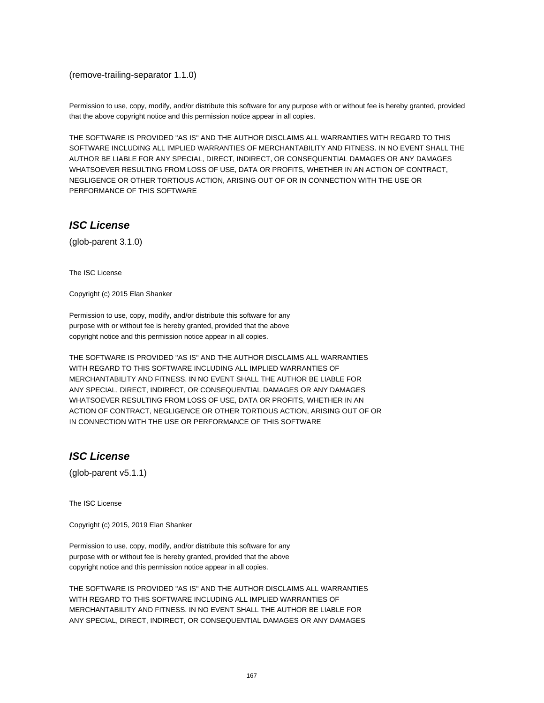(remove-trailing-separator 1.1.0)

Permission to use, copy, modify, and/or distribute this software for any purpose with or without fee is hereby granted, provided that the above copyright notice and this permission notice appear in all copies.

THE SOFTWARE IS PROVIDED "AS IS" AND THE AUTHOR DISCLAIMS ALL WARRANTIES WITH REGARD TO THIS SOFTWARE INCLUDING ALL IMPLIED WARRANTIES OF MERCHANTABILITY AND FITNESS. IN NO EVENT SHALL THE AUTHOR BE LIABLE FOR ANY SPECIAL, DIRECT, INDIRECT, OR CONSEQUENTIAL DAMAGES OR ANY DAMAGES WHATSOEVER RESULTING FROM LOSS OF USE, DATA OR PROFITS, WHETHER IN AN ACTION OF CONTRACT, NEGLIGENCE OR OTHER TORTIOUS ACTION, ARISING OUT OF OR IN CONNECTION WITH THE USE OR PERFORMANCE OF THIS SOFTWARE

# **ISC License**

(glob-parent 3.1.0)

The ISC License

Copyright (c) 2015 Elan Shanker

Permission to use, copy, modify, and/or distribute this software for any purpose with or without fee is hereby granted, provided that the above copyright notice and this permission notice appear in all copies.

THE SOFTWARE IS PROVIDED "AS IS" AND THE AUTHOR DISCLAIMS ALL WARRANTIES WITH REGARD TO THIS SOFTWARE INCLUDING ALL IMPLIED WARRANTIES OF MERCHANTABILITY AND FITNESS. IN NO EVENT SHALL THE AUTHOR BE LIABLE FOR ANY SPECIAL, DIRECT, INDIRECT, OR CONSEQUENTIAL DAMAGES OR ANY DAMAGES WHATSOEVER RESULTING FROM LOSS OF USE, DATA OR PROFITS, WHETHER IN AN ACTION OF CONTRACT, NEGLIGENCE OR OTHER TORTIOUS ACTION, ARISING OUT OF OR IN CONNECTION WITH THE USE OR PERFORMANCE OF THIS SOFTWARE

# **ISC License**

(glob-parent v5.1.1)

The ISC License

Copyright (c) 2015, 2019 Elan Shanker

Permission to use, copy, modify, and/or distribute this software for any purpose with or without fee is hereby granted, provided that the above copyright notice and this permission notice appear in all copies.

THE SOFTWARE IS PROVIDED "AS IS" AND THE AUTHOR DISCLAIMS ALL WARRANTIES WITH REGARD TO THIS SOFTWARE INCLUDING ALL IMPLIED WARRANTIES OF MERCHANTABILITY AND FITNESS. IN NO EVENT SHALL THE AUTHOR BE LIABLE FOR ANY SPECIAL, DIRECT, INDIRECT, OR CONSEQUENTIAL DAMAGES OR ANY DAMAGES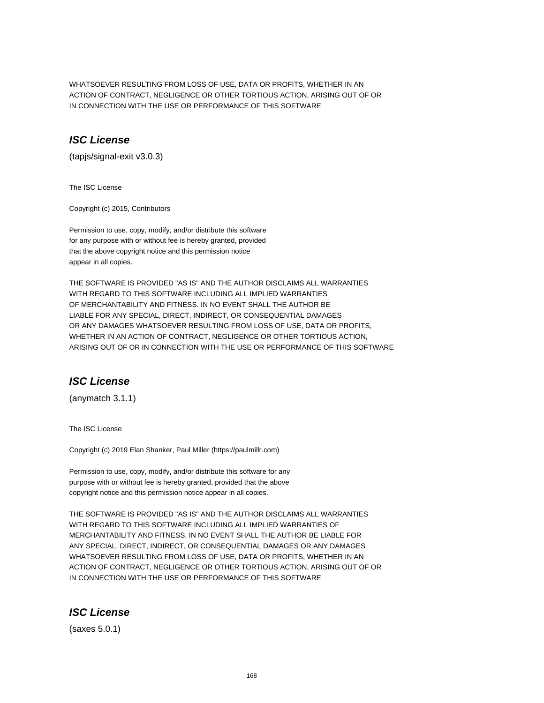WHATSOEVER RESULTING FROM LOSS OF USE, DATA OR PROFITS, WHETHER IN AN ACTION OF CONTRACT, NEGLIGENCE OR OTHER TORTIOUS ACTION, ARISING OUT OF OR IN CONNECTION WITH THE USE OR PERFORMANCE OF THIS SOFTWARE

### **ISC License**

(tapjs/signal-exit v3.0.3)

The ISC License

Copyright (c) 2015, Contributors

Permission to use, copy, modify, and/or distribute this software for any purpose with or without fee is hereby granted, provided that the above copyright notice and this permission notice appear in all copies.

THE SOFTWARE IS PROVIDED "AS IS" AND THE AUTHOR DISCLAIMS ALL WARRANTIES WITH REGARD TO THIS SOFTWARE INCLUDING ALL IMPLIED WARRANTIES OF MERCHANTABILITY AND FITNESS. IN NO EVENT SHALL THE AUTHOR BE LIABLE FOR ANY SPECIAL, DIRECT, INDIRECT, OR CONSEQUENTIAL DAMAGES OR ANY DAMAGES WHATSOEVER RESULTING FROM LOSS OF USE, DATA OR PROFITS, WHETHER IN AN ACTION OF CONTRACT, NEGLIGENCE OR OTHER TORTIOUS ACTION, ARISING OUT OF OR IN CONNECTION WITH THE USE OR PERFORMANCE OF THIS SOFTWARE

# **ISC License**

(anymatch 3.1.1)

The ISC License

Copyright (c) 2019 Elan Shanker, Paul Miller (https://paulmillr.com)

Permission to use, copy, modify, and/or distribute this software for any purpose with or without fee is hereby granted, provided that the above copyright notice and this permission notice appear in all copies.

THE SOFTWARE IS PROVIDED "AS IS" AND THE AUTHOR DISCLAIMS ALL WARRANTIES WITH REGARD TO THIS SOFTWARE INCLUDING ALL IMPLIED WARRANTIES OF MERCHANTABILITY AND FITNESS. IN NO EVENT SHALL THE AUTHOR BE LIABLE FOR ANY SPECIAL, DIRECT, INDIRECT, OR CONSEQUENTIAL DAMAGES OR ANY DAMAGES WHATSOEVER RESULTING FROM LOSS OF USE, DATA OR PROFITS, WHETHER IN AN ACTION OF CONTRACT, NEGLIGENCE OR OTHER TORTIOUS ACTION, ARISING OUT OF OR IN CONNECTION WITH THE USE OR PERFORMANCE OF THIS SOFTWARE

#### **ISC License**

(saxes 5.0.1)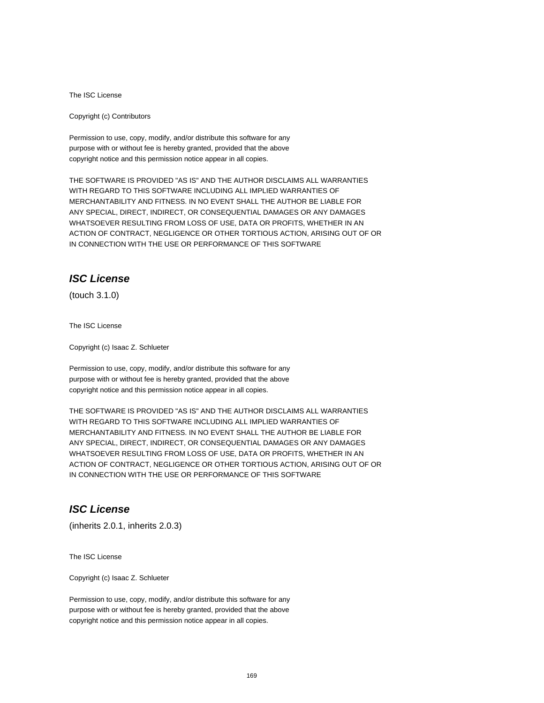The ISC License

Copyright (c) Contributors

Permission to use, copy, modify, and/or distribute this software for any purpose with or without fee is hereby granted, provided that the above copyright notice and this permission notice appear in all copies.

THE SOFTWARE IS PROVIDED "AS IS" AND THE AUTHOR DISCLAIMS ALL WARRANTIES WITH REGARD TO THIS SOFTWARE INCLUDING ALL IMPLIED WARRANTIES OF MERCHANTABILITY AND FITNESS. IN NO EVENT SHALL THE AUTHOR BE LIABLE FOR ANY SPECIAL, DIRECT, INDIRECT, OR CONSEQUENTIAL DAMAGES OR ANY DAMAGES WHATSOEVER RESULTING FROM LOSS OF USE, DATA OR PROFITS, WHETHER IN AN ACTION OF CONTRACT, NEGLIGENCE OR OTHER TORTIOUS ACTION, ARISING OUT OF OR IN CONNECTION WITH THE USE OR PERFORMANCE OF THIS SOFTWARE

# **ISC License**

(touch 3.1.0)

The ISC License

Copyright (c) Isaac Z. Schlueter

Permission to use, copy, modify, and/or distribute this software for any purpose with or without fee is hereby granted, provided that the above copyright notice and this permission notice appear in all copies.

THE SOFTWARE IS PROVIDED "AS IS" AND THE AUTHOR DISCLAIMS ALL WARRANTIES WITH REGARD TO THIS SOFTWARE INCLUDING ALL IMPLIED WARRANTIES OF MERCHANTABILITY AND FITNESS. IN NO EVENT SHALL THE AUTHOR BE LIABLE FOR ANY SPECIAL, DIRECT, INDIRECT, OR CONSEQUENTIAL DAMAGES OR ANY DAMAGES WHATSOEVER RESULTING FROM LOSS OF USE, DATA OR PROFITS, WHETHER IN AN ACTION OF CONTRACT, NEGLIGENCE OR OTHER TORTIOUS ACTION, ARISING OUT OF OR IN CONNECTION WITH THE USE OR PERFORMANCE OF THIS SOFTWARE

# **ISC License**

(inherits 2.0.1, inherits 2.0.3)

The ISC License

Copyright (c) Isaac Z. Schlueter

Permission to use, copy, modify, and/or distribute this software for any purpose with or without fee is hereby granted, provided that the above copyright notice and this permission notice appear in all copies.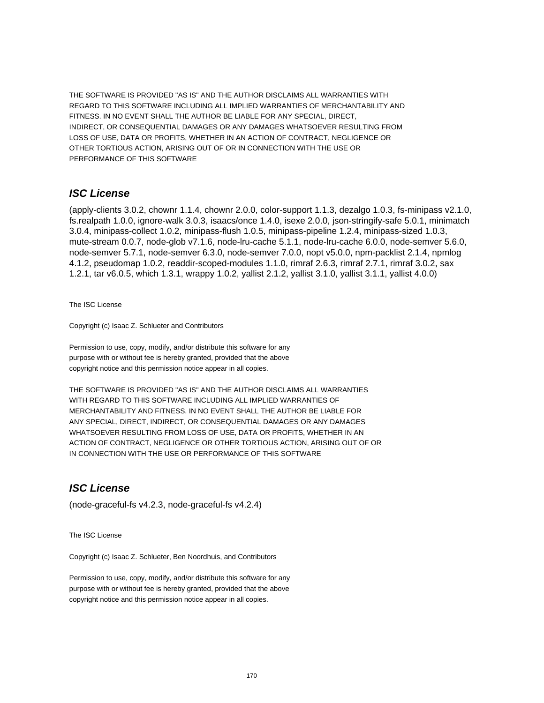THE SOFTWARE IS PROVIDED "AS IS" AND THE AUTHOR DISCLAIMS ALL WARRANTIES WITH REGARD TO THIS SOFTWARE INCLUDING ALL IMPLIED WARRANTIES OF MERCHANTABILITY AND FITNESS. IN NO EVENT SHALL THE AUTHOR BE LIABLE FOR ANY SPECIAL, DIRECT, INDIRECT, OR CONSEQUENTIAL DAMAGES OR ANY DAMAGES WHATSOEVER RESULTING FROM LOSS OF USE, DATA OR PROFITS, WHETHER IN AN ACTION OF CONTRACT, NEGLIGENCE OR OTHER TORTIOUS ACTION, ARISING OUT OF OR IN CONNECTION WITH THE USE OR PERFORMANCE OF THIS SOFTWARE

#### **ISC License**

(apply-clients 3.0.2, chownr 1.1.4, chownr 2.0.0, color-support 1.1.3, dezalgo 1.0.3, fs-minipass v2.1.0, fs.realpath 1.0.0, ignore-walk 3.0.3, isaacs/once 1.4.0, isexe 2.0.0, json-stringify-safe 5.0.1, minimatch 3.0.4, minipass-collect 1.0.2, minipass-flush 1.0.5, minipass-pipeline 1.2.4, minipass-sized 1.0.3, mute-stream 0.0.7, node-glob v7.1.6, node-lru-cache 5.1.1, node-lru-cache 6.0.0, node-semver 5.6.0, node-semver 5.7.1, node-semver 6.3.0, node-semver 7.0.0, nopt v5.0.0, npm-packlist 2.1.4, npmlog 4.1.2, pseudomap 1.0.2, readdir-scoped-modules 1.1.0, rimraf 2.6.3, rimraf 2.7.1, rimraf 3.0.2, sax 1.2.1, tar v6.0.5, which 1.3.1, wrappy 1.0.2, yallist 2.1.2, yallist 3.1.0, yallist 3.1.1, yallist 4.0.0)

The ISC License

Copyright (c) Isaac Z. Schlueter and Contributors

Permission to use, copy, modify, and/or distribute this software for any purpose with or without fee is hereby granted, provided that the above copyright notice and this permission notice appear in all copies.

THE SOFTWARE IS PROVIDED "AS IS" AND THE AUTHOR DISCLAIMS ALL WARRANTIES WITH REGARD TO THIS SOFTWARE INCLUDING ALL IMPLIED WARRANTIES OF MERCHANTABILITY AND FITNESS. IN NO EVENT SHALL THE AUTHOR BE LIABLE FOR ANY SPECIAL, DIRECT, INDIRECT, OR CONSEQUENTIAL DAMAGES OR ANY DAMAGES WHATSOEVER RESULTING FROM LOSS OF USE, DATA OR PROFITS, WHETHER IN AN ACTION OF CONTRACT, NEGLIGENCE OR OTHER TORTIOUS ACTION, ARISING OUT OF OR IN CONNECTION WITH THE USE OR PERFORMANCE OF THIS SOFTWARE

# **ISC License**

(node-graceful-fs v4.2.3, node-graceful-fs v4.2.4)

The ISC License

Copyright (c) Isaac Z. Schlueter, Ben Noordhuis, and Contributors

Permission to use, copy, modify, and/or distribute this software for any purpose with or without fee is hereby granted, provided that the above copyright notice and this permission notice appear in all copies.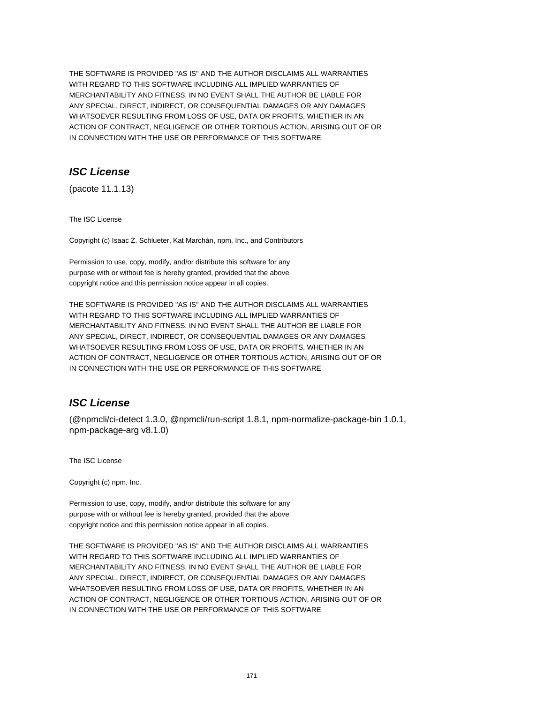THE SOFTWARE IS PROVIDED "AS IS" AND THE AUTHOR DISCLAIMS ALL WARRANTIES WITH REGARD TO THIS SOFTWARE INCLUDING ALL IMPLIED WARRANTIES OF MERCHANTABILITY AND FITNESS. IN NO EVENT SHALL THE AUTHOR BE LIABLE FOR ANY SPECIAL, DIRECT, INDIRECT, OR CONSEQUENTIAL DAMAGES OR ANY DAMAGES WHATSOEVER RESULTING FROM LOSS OF USE, DATA OR PROFITS, WHETHER IN AN ACTION OF CONTRACT, NEGLIGENCE OR OTHER TORTIOUS ACTION, ARISING OUT OF OR IN CONNECTION WITH THE USE OR PERFORMANCE OF THIS SOFTWARE

# **ISC License**

(pacote 11.1.13)

The ISC License

Copyright (c) Isaac Z. Schlueter, Kat Marchán, npm, Inc., and Contributors

Permission to use, copy, modify, and/or distribute this software for any purpose with or without fee is hereby granted, provided that the above copyright notice and this permission notice appear in all copies.

THE SOFTWARE IS PROVIDED "AS IS" AND THE AUTHOR DISCLAIMS ALL WARRANTIES WITH REGARD TO THIS SOFTWARE INCLUDING ALL IMPLIED WARRANTIES OF MERCHANTABILITY AND FITNESS. IN NO EVENT SHALL THE AUTHOR BE LIABLE FOR ANY SPECIAL, DIRECT, INDIRECT, OR CONSEQUENTIAL DAMAGES OR ANY DAMAGES WHATSOEVER RESULTING FROM LOSS OF USE, DATA OR PROFITS, WHETHER IN AN ACTION OF CONTRACT, NEGLIGENCE OR OTHER TORTIOUS ACTION, ARISING OUT OF OR IN CONNECTION WITH THE USE OR PERFORMANCE OF THIS SOFTWARE

# **ISC License**

(@npmcli/ci-detect 1.3.0, @npmcli/run-script 1.8.1, npm-normalize-package-bin 1.0.1, npm-package-arg v8.1.0)

The ISC License

Copyright (c) npm, Inc.

Permission to use, copy, modify, and/or distribute this software for any purpose with or without fee is hereby granted, provided that the above copyright notice and this permission notice appear in all copies.

THE SOFTWARE IS PROVIDED "AS IS" AND THE AUTHOR DISCLAIMS ALL WARRANTIES WITH REGARD TO THIS SOFTWARE INCLUDING ALL IMPLIED WARRANTIES OF MERCHANTABILITY AND FITNESS. IN NO EVENT SHALL THE AUTHOR BE LIABLE FOR ANY SPECIAL, DIRECT, INDIRECT, OR CONSEQUENTIAL DAMAGES OR ANY DAMAGES WHATSOEVER RESULTING FROM LOSS OF USE, DATA OR PROFITS, WHETHER IN AN ACTION OF CONTRACT, NEGLIGENCE OR OTHER TORTIOUS ACTION, ARISING OUT OF OR IN CONNECTION WITH THE USE OR PERFORMANCE OF THIS SOFTWARE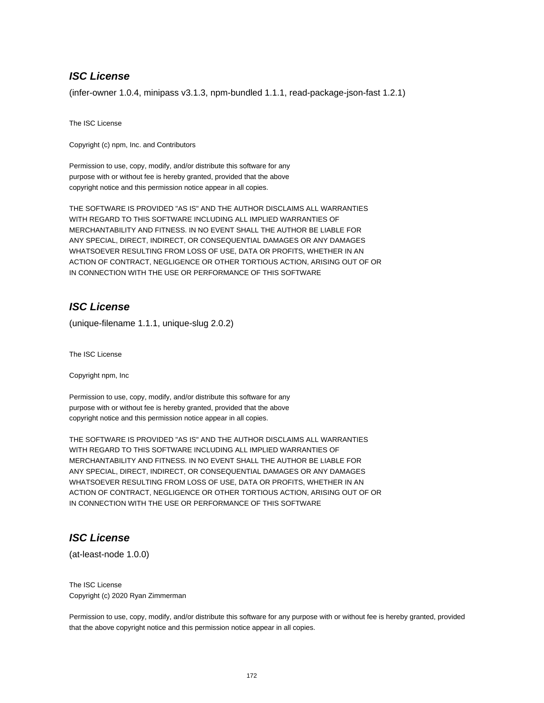# **ISC License**

(infer-owner 1.0.4, minipass v3.1.3, npm-bundled 1.1.1, read-package-json-fast 1.2.1)

The ISC License

Copyright (c) npm, Inc. and Contributors

Permission to use, copy, modify, and/or distribute this software for any purpose with or without fee is hereby granted, provided that the above copyright notice and this permission notice appear in all copies.

THE SOFTWARE IS PROVIDED "AS IS" AND THE AUTHOR DISCLAIMS ALL WARRANTIES WITH REGARD TO THIS SOFTWARE INCLUDING ALL IMPLIED WARRANTIES OF MERCHANTABILITY AND FITNESS. IN NO EVENT SHALL THE AUTHOR BE LIABLE FOR ANY SPECIAL, DIRECT, INDIRECT, OR CONSEQUENTIAL DAMAGES OR ANY DAMAGES WHATSOEVER RESULTING FROM LOSS OF USE, DATA OR PROFITS, WHETHER IN AN ACTION OF CONTRACT, NEGLIGENCE OR OTHER TORTIOUS ACTION, ARISING OUT OF OR IN CONNECTION WITH THE USE OR PERFORMANCE OF THIS SOFTWARE

# **ISC License**

(unique-filename 1.1.1, unique-slug 2.0.2)

The ISC License

Copyright npm, Inc

Permission to use, copy, modify, and/or distribute this software for any purpose with or without fee is hereby granted, provided that the above copyright notice and this permission notice appear in all copies.

THE SOFTWARE IS PROVIDED "AS IS" AND THE AUTHOR DISCLAIMS ALL WARRANTIES WITH REGARD TO THIS SOFTWARE INCLUDING ALL IMPLIED WARRANTIES OF MERCHANTABILITY AND FITNESS. IN NO EVENT SHALL THE AUTHOR BE LIABLE FOR ANY SPECIAL, DIRECT, INDIRECT, OR CONSEQUENTIAL DAMAGES OR ANY DAMAGES WHATSOEVER RESULTING FROM LOSS OF USE, DATA OR PROFITS, WHETHER IN AN ACTION OF CONTRACT, NEGLIGENCE OR OTHER TORTIOUS ACTION, ARISING OUT OF OR IN CONNECTION WITH THE USE OR PERFORMANCE OF THIS SOFTWARE

## **ISC License**

(at-least-node 1.0.0)

The ISC License Copyright (c) 2020 Ryan Zimmerman

Permission to use, copy, modify, and/or distribute this software for any purpose with or without fee is hereby granted, provided that the above copyright notice and this permission notice appear in all copies.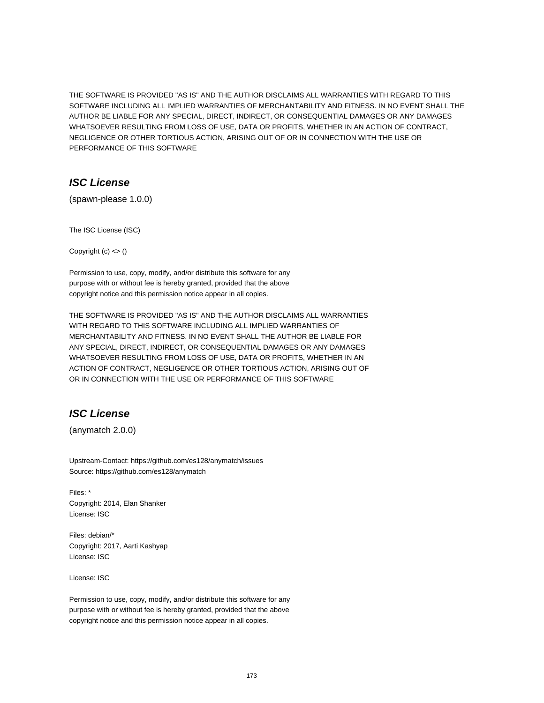THE SOFTWARE IS PROVIDED "AS IS" AND THE AUTHOR DISCLAIMS ALL WARRANTIES WITH REGARD TO THIS SOFTWARE INCLUDING ALL IMPLIED WARRANTIES OF MERCHANTABILITY AND FITNESS. IN NO EVENT SHALL THE AUTHOR BE LIABLE FOR ANY SPECIAL, DIRECT, INDIRECT, OR CONSEQUENTIAL DAMAGES OR ANY DAMAGES WHATSOEVER RESULTING FROM LOSS OF USE, DATA OR PROFITS, WHETHER IN AN ACTION OF CONTRACT, NEGLIGENCE OR OTHER TORTIOUS ACTION, ARISING OUT OF OR IN CONNECTION WITH THE USE OR PERFORMANCE OF THIS SOFTWARE

# **ISC License**

(spawn-please 1.0.0)

The ISC License (ISC)

Copyright  $(c) \leq ($ 

Permission to use, copy, modify, and/or distribute this software for any purpose with or without fee is hereby granted, provided that the above copyright notice and this permission notice appear in all copies.

THE SOFTWARE IS PROVIDED "AS IS" AND THE AUTHOR DISCLAIMS ALL WARRANTIES WITH REGARD TO THIS SOFTWARE INCLUDING ALL IMPLIED WARRANTIES OF MERCHANTABILITY AND FITNESS. IN NO EVENT SHALL THE AUTHOR BE LIABLE FOR ANY SPECIAL, DIRECT, INDIRECT, OR CONSEQUENTIAL DAMAGES OR ANY DAMAGES WHATSOEVER RESULTING FROM LOSS OF USE, DATA OR PROFITS, WHETHER IN AN ACTION OF CONTRACT, NEGLIGENCE OR OTHER TORTIOUS ACTION, ARISING OUT OF OR IN CONNECTION WITH THE USE OR PERFORMANCE OF THIS SOFTWARE

# **ISC License**

(anymatch 2.0.0)

Upstream-Contact: https://github.com/es128/anymatch/issues Source: https://github.com/es128/anymatch

Files: \* Copyright: 2014, Elan Shanker License: ISC

Files: debian/\* Copyright: 2017, Aarti Kashyap License: ISC

License: ISC

Permission to use, copy, modify, and/or distribute this software for any purpose with or without fee is hereby granted, provided that the above copyright notice and this permission notice appear in all copies.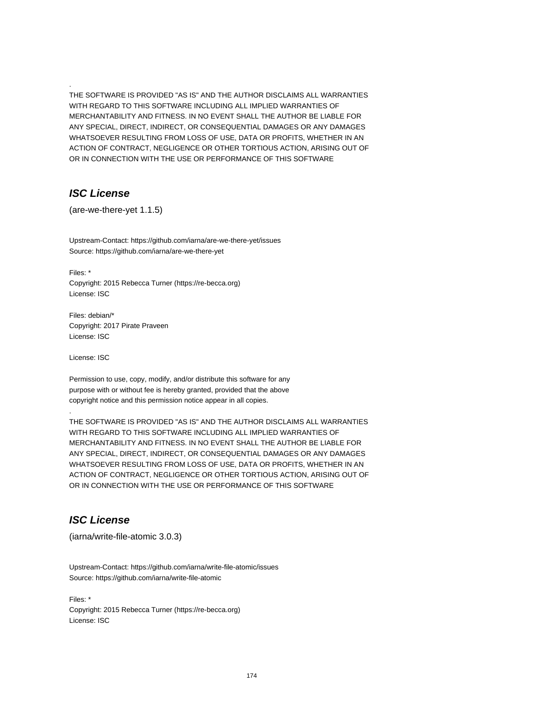THE SOFTWARE IS PROVIDED "AS IS" AND THE AUTHOR DISCLAIMS ALL WARRANTIES WITH REGARD TO THIS SOFTWARE INCLUDING ALL IMPLIED WARRANTIES OF MERCHANTABILITY AND FITNESS. IN NO EVENT SHALL THE AUTHOR BE LIABLE FOR ANY SPECIAL, DIRECT, INDIRECT, OR CONSEQUENTIAL DAMAGES OR ANY DAMAGES WHATSOEVER RESULTING FROM LOSS OF USE, DATA OR PROFITS, WHETHER IN AN ACTION OF CONTRACT, NEGLIGENCE OR OTHER TORTIOUS ACTION, ARISING OUT OF OR IN CONNECTION WITH THE USE OR PERFORMANCE OF THIS SOFTWARE

### **ISC License**

.

(are-we-there-yet 1.1.5)

Upstream-Contact: https://github.com/iarna/are-we-there-yet/issues Source: https://github.com/iarna/are-we-there-yet

Files: \* Copyright: 2015 Rebecca Turner (https://re-becca.org) License: ISC

Files: debian/\* Copyright: 2017 Pirate Praveen License: ISC

License: ISC

.

Permission to use, copy, modify, and/or distribute this software for any purpose with or without fee is hereby granted, provided that the above copyright notice and this permission notice appear in all copies.

THE SOFTWARE IS PROVIDED "AS IS" AND THE AUTHOR DISCLAIMS ALL WARRANTIES WITH REGARD TO THIS SOFTWARE INCLUDING ALL IMPLIED WARRANTIES OF MERCHANTABILITY AND FITNESS. IN NO EVENT SHALL THE AUTHOR BE LIABLE FOR ANY SPECIAL, DIRECT, INDIRECT, OR CONSEQUENTIAL DAMAGES OR ANY DAMAGES WHATSOEVER RESULTING FROM LOSS OF USE, DATA OR PROFITS, WHETHER IN AN ACTION OF CONTRACT, NEGLIGENCE OR OTHER TORTIOUS ACTION, ARISING OUT OF OR IN CONNECTION WITH THE USE OR PERFORMANCE OF THIS SOFTWARE

# **ISC License**

(iarna/write-file-atomic 3.0.3)

Upstream-Contact: https://github.com/iarna/write-file-atomic/issues Source: https://github.com/iarna/write-file-atomic

Files: \* Copyright: 2015 Rebecca Turner (https://re-becca.org) License: ISC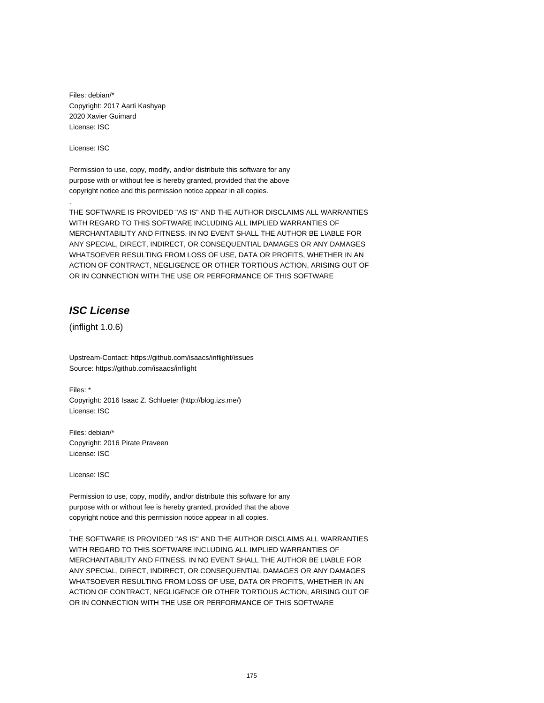Files: debian/\* Copyright: 2017 Aarti Kashyap 2020 Xavier Guimard License: ISC

License: ISC

.

Permission to use, copy, modify, and/or distribute this software for any purpose with or without fee is hereby granted, provided that the above copyright notice and this permission notice appear in all copies.

THE SOFTWARE IS PROVIDED "AS IS" AND THE AUTHOR DISCLAIMS ALL WARRANTIES WITH REGARD TO THIS SOFTWARE INCLUDING ALL IMPLIED WARRANTIES OF MERCHANTABILITY AND FITNESS. IN NO EVENT SHALL THE AUTHOR BE LIABLE FOR ANY SPECIAL, DIRECT, INDIRECT, OR CONSEQUENTIAL DAMAGES OR ANY DAMAGES WHATSOEVER RESULTING FROM LOSS OF USE, DATA OR PROFITS, WHETHER IN AN ACTION OF CONTRACT, NEGLIGENCE OR OTHER TORTIOUS ACTION, ARISING OUT OF OR IN CONNECTION WITH THE USE OR PERFORMANCE OF THIS SOFTWARE

### **ISC License**

(inflight 1.0.6)

Upstream-Contact: https://github.com/isaacs/inflight/issues Source: https://github.com/isaacs/inflight

Files: \* Copyright: 2016 Isaac Z. Schlueter (http://blog.izs.me/) License: ISC

Files: debian/\* Copyright: 2016 Pirate Praveen License: ISC

License: ISC

.

Permission to use, copy, modify, and/or distribute this software for any purpose with or without fee is hereby granted, provided that the above copyright notice and this permission notice appear in all copies.

THE SOFTWARE IS PROVIDED "AS IS" AND THE AUTHOR DISCLAIMS ALL WARRANTIES WITH REGARD TO THIS SOFTWARE INCLUDING ALL IMPLIED WARRANTIES OF MERCHANTABILITY AND FITNESS. IN NO EVENT SHALL THE AUTHOR BE LIABLE FOR ANY SPECIAL, DIRECT, INDIRECT, OR CONSEQUENTIAL DAMAGES OR ANY DAMAGES WHATSOEVER RESULTING FROM LOSS OF USE, DATA OR PROFITS, WHETHER IN AN ACTION OF CONTRACT, NEGLIGENCE OR OTHER TORTIOUS ACTION, ARISING OUT OF OR IN CONNECTION WITH THE USE OR PERFORMANCE OF THIS SOFTWARE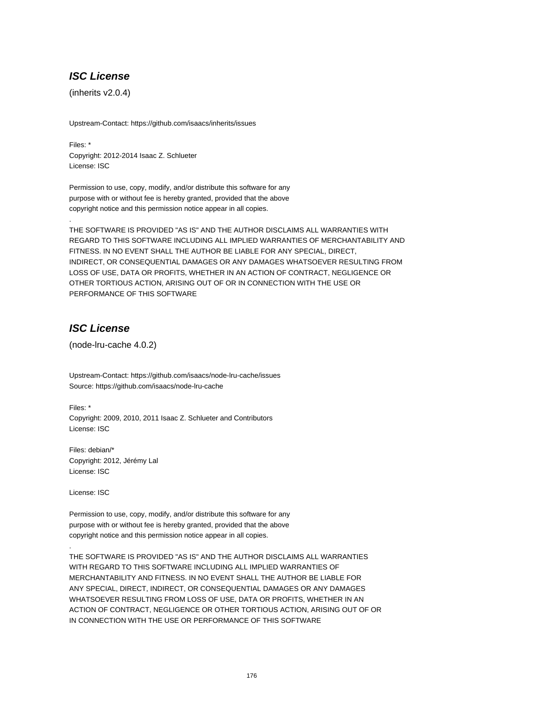# **ISC License**

(inherits v2.0.4)

Upstream-Contact: https://github.com/isaacs/inherits/issues

Files: \* Copyright: 2012-2014 Isaac Z. Schlueter License: ISC

Permission to use, copy, modify, and/or distribute this software for any purpose with or without fee is hereby granted, provided that the above copyright notice and this permission notice appear in all copies.

THE SOFTWARE IS PROVIDED "AS IS" AND THE AUTHOR DISCLAIMS ALL WARRANTIES WITH REGARD TO THIS SOFTWARE INCLUDING ALL IMPLIED WARRANTIES OF MERCHANTABILITY AND FITNESS. IN NO EVENT SHALL THE AUTHOR BE LIABLE FOR ANY SPECIAL, DIRECT, INDIRECT, OR CONSEQUENTIAL DAMAGES OR ANY DAMAGES WHATSOEVER RESULTING FROM LOSS OF USE, DATA OR PROFITS, WHETHER IN AN ACTION OF CONTRACT, NEGLIGENCE OR OTHER TORTIOUS ACTION, ARISING OUT OF OR IN CONNECTION WITH THE USE OR PERFORMANCE OF THIS SOFTWARE

# **ISC License**

.

(node-lru-cache 4.0.2)

Upstream-Contact: https://github.com/isaacs/node-lru-cache/issues Source: https://github.com/isaacs/node-lru-cache

Files: \* Copyright: 2009, 2010, 2011 Isaac Z. Schlueter and Contributors License: ISC

Files: debian/\* Copyright: 2012, Jérémy Lal License: ISC

License: ISC

.

Permission to use, copy, modify, and/or distribute this software for any purpose with or without fee is hereby granted, provided that the above copyright notice and this permission notice appear in all copies.

THE SOFTWARE IS PROVIDED "AS IS" AND THE AUTHOR DISCLAIMS ALL WARRANTIES WITH REGARD TO THIS SOFTWARE INCLUDING ALL IMPLIED WARRANTIES OF MERCHANTABILITY AND FITNESS. IN NO EVENT SHALL THE AUTHOR BE LIABLE FOR ANY SPECIAL, DIRECT, INDIRECT, OR CONSEQUENTIAL DAMAGES OR ANY DAMAGES WHATSOEVER RESULTING FROM LOSS OF USE, DATA OR PROFITS, WHETHER IN AN ACTION OF CONTRACT, NEGLIGENCE OR OTHER TORTIOUS ACTION, ARISING OUT OF OR IN CONNECTION WITH THE USE OR PERFORMANCE OF THIS SOFTWARE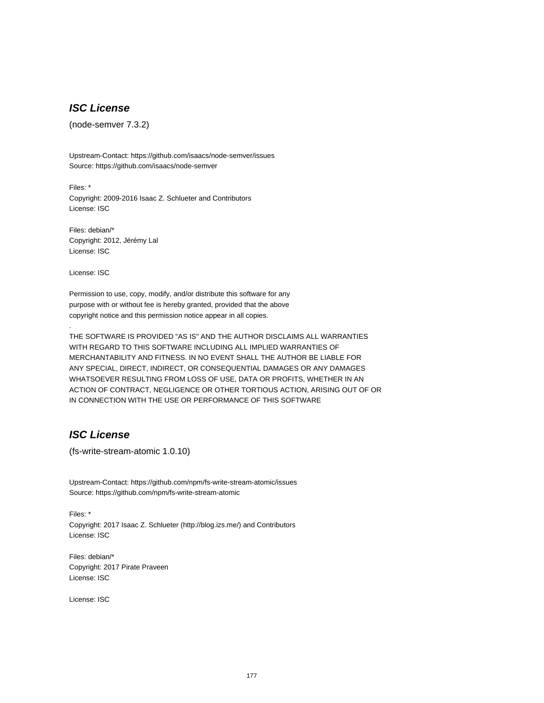# **ISC License**

(node-semver 7.3.2)

Upstream-Contact: https://github.com/isaacs/node-semver/issues Source: https://github.com/isaacs/node-semver

Files: \* Copyright: 2009-2016 Isaac Z. Schlueter and Contributors License: ISC

Files: debian/\* Copyright: 2012, Jérémy Lal License: ISC

License: ISC

.

Permission to use, copy, modify, and/or distribute this software for any purpose with or without fee is hereby granted, provided that the above copyright notice and this permission notice appear in all copies.

THE SOFTWARE IS PROVIDED "AS IS" AND THE AUTHOR DISCLAIMS ALL WARRANTIES WITH REGARD TO THIS SOFTWARE INCLUDING ALL IMPLIED WARRANTIES OF MERCHANTABILITY AND FITNESS. IN NO EVENT SHALL THE AUTHOR BE LIABLE FOR ANY SPECIAL, DIRECT, INDIRECT, OR CONSEQUENTIAL DAMAGES OR ANY DAMAGES WHATSOEVER RESULTING FROM LOSS OF USE, DATA OR PROFITS, WHETHER IN AN ACTION OF CONTRACT, NEGLIGENCE OR OTHER TORTIOUS ACTION, ARISING OUT OF OR IN CONNECTION WITH THE USE OR PERFORMANCE OF THIS SOFTWARE

# **ISC License**

(fs-write-stream-atomic 1.0.10)

Upstream-Contact: https://github.com/npm/fs-write-stream-atomic/issues Source: https://github.com/npm/fs-write-stream-atomic

Files: \* Copyright: 2017 Isaac Z. Schlueter (http://blog.izs.me/) and Contributors License: ISC

Files: debian/\* Copyright: 2017 Pirate Praveen License: ISC

License: ISC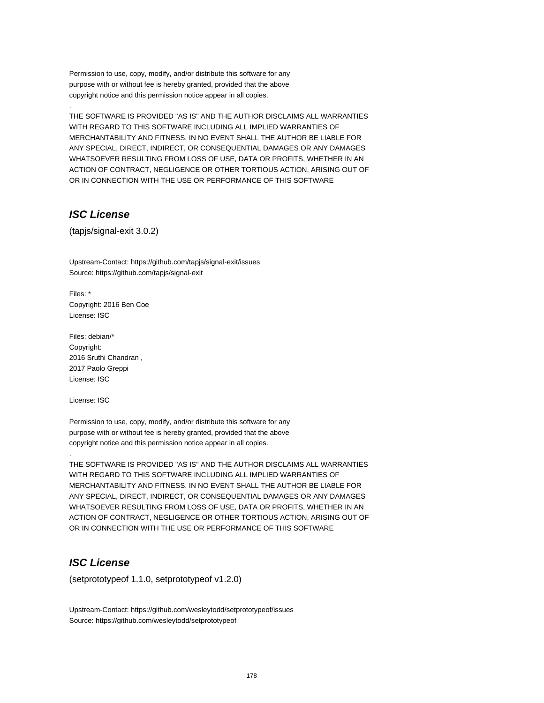Permission to use, copy, modify, and/or distribute this software for any purpose with or without fee is hereby granted, provided that the above copyright notice and this permission notice appear in all copies.

THE SOFTWARE IS PROVIDED "AS IS" AND THE AUTHOR DISCLAIMS ALL WARRANTIES WITH REGARD TO THIS SOFTWARE INCLUDING ALL IMPLIED WARRANTIES OF MERCHANTABILITY AND FITNESS. IN NO EVENT SHALL THE AUTHOR BE LIABLE FOR ANY SPECIAL, DIRECT, INDIRECT, OR CONSEQUENTIAL DAMAGES OR ANY DAMAGES WHATSOEVER RESULTING FROM LOSS OF USE, DATA OR PROFITS, WHETHER IN AN ACTION OF CONTRACT, NEGLIGENCE OR OTHER TORTIOUS ACTION, ARISING OUT OF OR IN CONNECTION WITH THE USE OR PERFORMANCE OF THIS SOFTWARE

# **ISC License**

.

(tapjs/signal-exit 3.0.2)

Upstream-Contact: https://github.com/tapjs/signal-exit/issues Source: https://github.com/tapjs/signal-exit

Files: \* Copyright: 2016 Ben Coe License: ISC

Files: debian/\* Copyright: 2016 Sruthi Chandran , 2017 Paolo Greppi License: ISC

License: ISC

.

Permission to use, copy, modify, and/or distribute this software for any purpose with or without fee is hereby granted, provided that the above copyright notice and this permission notice appear in all copies.

THE SOFTWARE IS PROVIDED "AS IS" AND THE AUTHOR DISCLAIMS ALL WARRANTIES WITH REGARD TO THIS SOFTWARE INCLUDING ALL IMPLIED WARRANTIES OF MERCHANTABILITY AND FITNESS. IN NO EVENT SHALL THE AUTHOR BE LIABLE FOR ANY SPECIAL, DIRECT, INDIRECT, OR CONSEQUENTIAL DAMAGES OR ANY DAMAGES WHATSOEVER RESULTING FROM LOSS OF USE, DATA OR PROFITS, WHETHER IN AN ACTION OF CONTRACT, NEGLIGENCE OR OTHER TORTIOUS ACTION, ARISING OUT OF OR IN CONNECTION WITH THE USE OR PERFORMANCE OF THIS SOFTWARE

# **ISC License**

(setprototypeof 1.1.0, setprototypeof v1.2.0)

Upstream-Contact: https://github.com/wesleytodd/setprototypeof/issues Source: https://github.com/wesleytodd/setprototypeof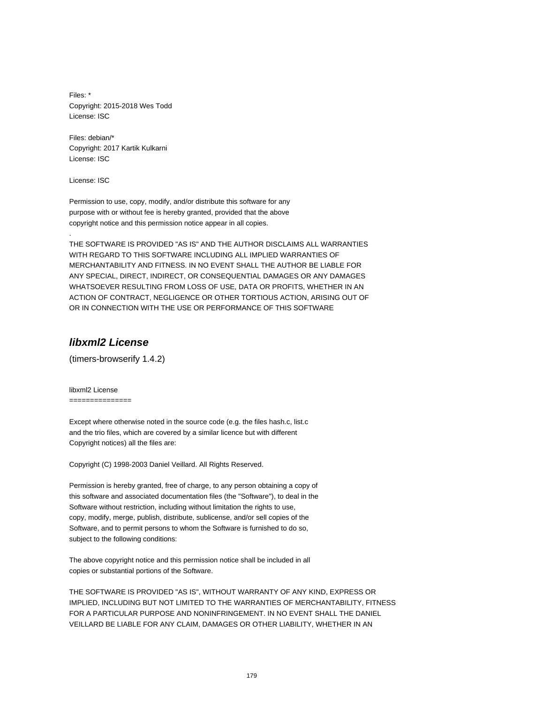Files: \* Copyright: 2015-2018 Wes Todd License: ISC

Files: debian/\* Copyright: 2017 Kartik Kulkarni License: ISC

License: ISC

.

Permission to use, copy, modify, and/or distribute this software for any purpose with or without fee is hereby granted, provided that the above copyright notice and this permission notice appear in all copies.

THE SOFTWARE IS PROVIDED "AS IS" AND THE AUTHOR DISCLAIMS ALL WARRANTIES WITH REGARD TO THIS SOFTWARE INCLUDING ALL IMPLIED WARRANTIES OF MERCHANTABILITY AND FITNESS. IN NO EVENT SHALL THE AUTHOR BE LIABLE FOR ANY SPECIAL, DIRECT, INDIRECT, OR CONSEQUENTIAL DAMAGES OR ANY DAMAGES WHATSOEVER RESULTING FROM LOSS OF USE, DATA OR PROFITS, WHETHER IN AN ACTION OF CONTRACT, NEGLIGENCE OR OTHER TORTIOUS ACTION, ARISING OUT OF OR IN CONNECTION WITH THE USE OR PERFORMANCE OF THIS SOFTWARE

# **libxml2 License**

(timers-browserify 1.4.2)

libxml2 License ===============

Except where otherwise noted in the source code (e.g. the files hash.c, list.c and the trio files, which are covered by a similar licence but with different Copyright notices) all the files are:

Copyright (C) 1998-2003 Daniel Veillard. All Rights Reserved.

Permission is hereby granted, free of charge, to any person obtaining a copy of this software and associated documentation files (the "Software"), to deal in the Software without restriction, including without limitation the rights to use, copy, modify, merge, publish, distribute, sublicense, and/or sell copies of the Software, and to permit persons to whom the Software is furnished to do so, subject to the following conditions:

The above copyright notice and this permission notice shall be included in all copies or substantial portions of the Software.

THE SOFTWARE IS PROVIDED "AS IS", WITHOUT WARRANTY OF ANY KIND, EXPRESS OR IMPLIED, INCLUDING BUT NOT LIMITED TO THE WARRANTIES OF MERCHANTABILITY, FITNESS FOR A PARTICULAR PURPOSE AND NONINFRINGEMENT. IN NO EVENT SHALL THE DANIEL VEILLARD BE LIABLE FOR ANY CLAIM, DAMAGES OR OTHER LIABILITY, WHETHER IN AN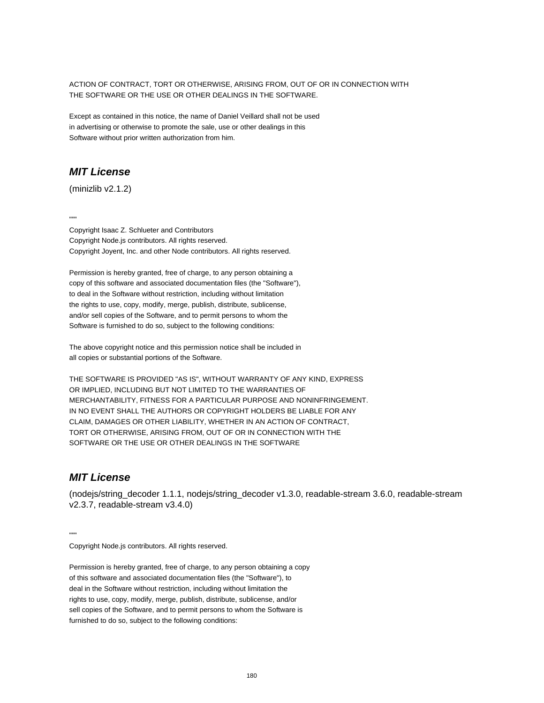ACTION OF CONTRACT, TORT OR OTHERWISE, ARISING FROM, OUT OF OR IN CONNECTION WITH THE SOFTWARE OR THE USE OR OTHER DEALINGS IN THE SOFTWARE.

Except as contained in this notice, the name of Daniel Veillard shall not be used in advertising or otherwise to promote the sale, use or other dealings in this Software without prior written authorization from him.

# **MIT License**

(minizlib v2.1.2)

...

Copyright Isaac Z. Schlueter and Contributors Copyright Node.js contributors. All rights reserved. Copyright Joyent, Inc. and other Node contributors. All rights reserved.

Permission is hereby granted, free of charge, to any person obtaining a copy of this software and associated documentation files (the "Software"), to deal in the Software without restriction, including without limitation the rights to use, copy, modify, merge, publish, distribute, sublicense, and/or sell copies of the Software, and to permit persons to whom the Software is furnished to do so, subject to the following conditions:

The above copyright notice and this permission notice shall be included in all copies or substantial portions of the Software.

THE SOFTWARE IS PROVIDED "AS IS", WITHOUT WARRANTY OF ANY KIND, EXPRESS OR IMPLIED, INCLUDING BUT NOT LIMITED TO THE WARRANTIES OF MERCHANTABILITY, FITNESS FOR A PARTICULAR PURPOSE AND NONINFRINGEMENT. IN NO EVENT SHALL THE AUTHORS OR COPYRIGHT HOLDERS BE LIABLE FOR ANY CLAIM, DAMAGES OR OTHER LIABILITY, WHETHER IN AN ACTION OF CONTRACT, TORT OR OTHERWISE, ARISING FROM, OUT OF OR IN CONNECTION WITH THE SOFTWARE OR THE USE OR OTHER DEALINGS IN THE SOFTWARE

### **MIT License**

(nodejs/string\_decoder 1.1.1, nodejs/string\_decoder v1.3.0, readable-stream 3.6.0, readable-stream v2.3.7, readable-stream v3.4.0)

...

Copyright Node.js contributors. All rights reserved.

Permission is hereby granted, free of charge, to any person obtaining a copy of this software and associated documentation files (the "Software"), to deal in the Software without restriction, including without limitation the rights to use, copy, modify, merge, publish, distribute, sublicense, and/or sell copies of the Software, and to permit persons to whom the Software is furnished to do so, subject to the following conditions: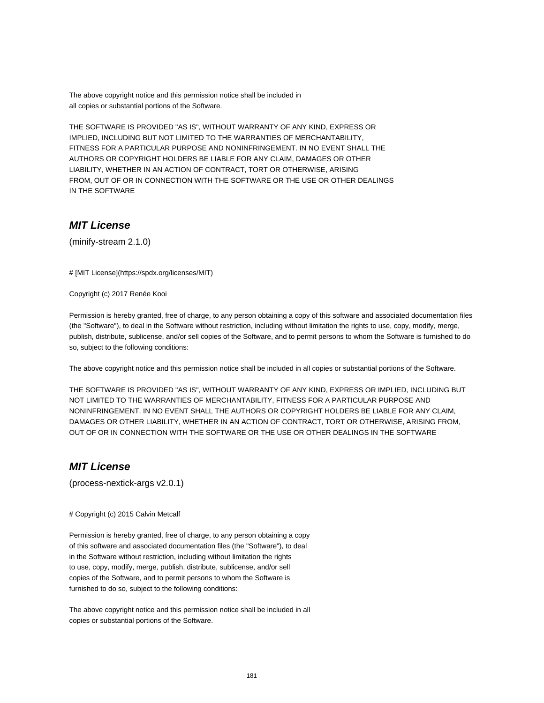The above copyright notice and this permission notice shall be included in all copies or substantial portions of the Software.

THE SOFTWARE IS PROVIDED "AS IS", WITHOUT WARRANTY OF ANY KIND, EXPRESS OR IMPLIED, INCLUDING BUT NOT LIMITED TO THE WARRANTIES OF MERCHANTABILITY, FITNESS FOR A PARTICULAR PURPOSE AND NONINFRINGEMENT. IN NO EVENT SHALL THE AUTHORS OR COPYRIGHT HOLDERS BE LIABLE FOR ANY CLAIM, DAMAGES OR OTHER LIABILITY, WHETHER IN AN ACTION OF CONTRACT, TORT OR OTHERWISE, ARISING FROM, OUT OF OR IN CONNECTION WITH THE SOFTWARE OR THE USE OR OTHER DEALINGS IN THE SOFTWARE

## **MIT License**

(minify-stream 2.1.0)

# [MIT License](https://spdx.org/licenses/MIT)

Copyright (c) 2017 Renée Kooi

Permission is hereby granted, free of charge, to any person obtaining a copy of this software and associated documentation files (the "Software"), to deal in the Software without restriction, including without limitation the rights to use, copy, modify, merge, publish, distribute, sublicense, and/or sell copies of the Software, and to permit persons to whom the Software is furnished to do so, subject to the following conditions:

The above copyright notice and this permission notice shall be included in all copies or substantial portions of the Software.

THE SOFTWARE IS PROVIDED "AS IS", WITHOUT WARRANTY OF ANY KIND, EXPRESS OR IMPLIED, INCLUDING BUT NOT LIMITED TO THE WARRANTIES OF MERCHANTABILITY, FITNESS FOR A PARTICULAR PURPOSE AND NONINFRINGEMENT. IN NO EVENT SHALL THE AUTHORS OR COPYRIGHT HOLDERS BE LIABLE FOR ANY CLAIM, DAMAGES OR OTHER LIABILITY, WHETHER IN AN ACTION OF CONTRACT, TORT OR OTHERWISE, ARISING FROM, OUT OF OR IN CONNECTION WITH THE SOFTWARE OR THE USE OR OTHER DEALINGS IN THE SOFTWARE

## **MIT License**

(process-nextick-args v2.0.1)

# Copyright (c) 2015 Calvin Metcalf

Permission is hereby granted, free of charge, to any person obtaining a copy of this software and associated documentation files (the "Software"), to deal in the Software without restriction, including without limitation the rights to use, copy, modify, merge, publish, distribute, sublicense, and/or sell copies of the Software, and to permit persons to whom the Software is furnished to do so, subject to the following conditions:

The above copyright notice and this permission notice shall be included in all copies or substantial portions of the Software.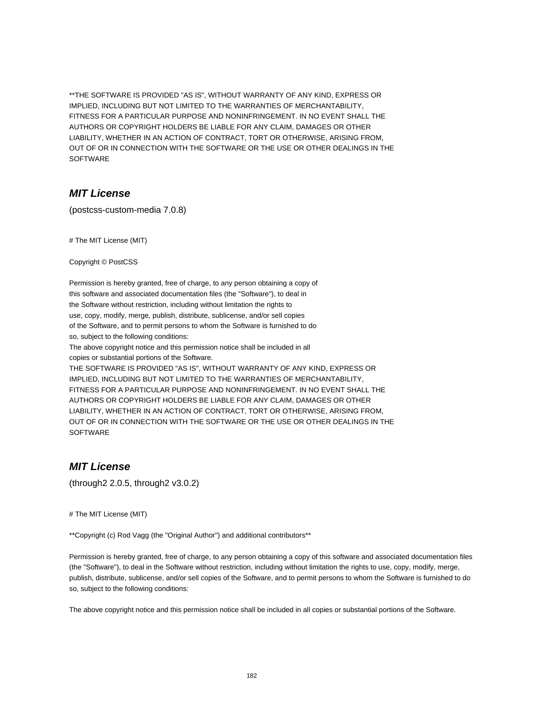\*\*THE SOFTWARE IS PROVIDED "AS IS", WITHOUT WARRANTY OF ANY KIND, EXPRESS OR IMPLIED, INCLUDING BUT NOT LIMITED TO THE WARRANTIES OF MERCHANTABILITY, FITNESS FOR A PARTICULAR PURPOSE AND NONINFRINGEMENT. IN NO EVENT SHALL THE AUTHORS OR COPYRIGHT HOLDERS BE LIABLE FOR ANY CLAIM, DAMAGES OR OTHER LIABILITY, WHETHER IN AN ACTION OF CONTRACT, TORT OR OTHERWISE, ARISING FROM, OUT OF OR IN CONNECTION WITH THE SOFTWARE OR THE USE OR OTHER DEALINGS IN THE **SOFTWARE** 

#### **MIT License**

(postcss-custom-media 7.0.8)

# The MIT License (MIT)

Copyright © PostCSS

Permission is hereby granted, free of charge, to any person obtaining a copy of this software and associated documentation files (the "Software"), to deal in the Software without restriction, including without limitation the rights to use, copy, modify, merge, publish, distribute, sublicense, and/or sell copies of the Software, and to permit persons to whom the Software is furnished to do so, subject to the following conditions:

The above copyright notice and this permission notice shall be included in all copies or substantial portions of the Software.

THE SOFTWARE IS PROVIDED "AS IS", WITHOUT WARRANTY OF ANY KIND, EXPRESS OR IMPLIED, INCLUDING BUT NOT LIMITED TO THE WARRANTIES OF MERCHANTABILITY, FITNESS FOR A PARTICULAR PURPOSE AND NONINFRINGEMENT. IN NO EVENT SHALL THE AUTHORS OR COPYRIGHT HOLDERS BE LIABLE FOR ANY CLAIM, DAMAGES OR OTHER LIABILITY, WHETHER IN AN ACTION OF CONTRACT, TORT OR OTHERWISE, ARISING FROM, OUT OF OR IN CONNECTION WITH THE SOFTWARE OR THE USE OR OTHER DEALINGS IN THE **SOFTWARE** 

#### **MIT License**

(through2 2.0.5, through2 v3.0.2)

# The MIT License (MIT)

\*\*Copyright (c) Rod Vagg (the "Original Author") and additional contributors\*\*

Permission is hereby granted, free of charge, to any person obtaining a copy of this software and associated documentation files (the "Software"), to deal in the Software without restriction, including without limitation the rights to use, copy, modify, merge, publish, distribute, sublicense, and/or sell copies of the Software, and to permit persons to whom the Software is furnished to do so, subject to the following conditions:

The above copyright notice and this permission notice shall be included in all copies or substantial portions of the Software.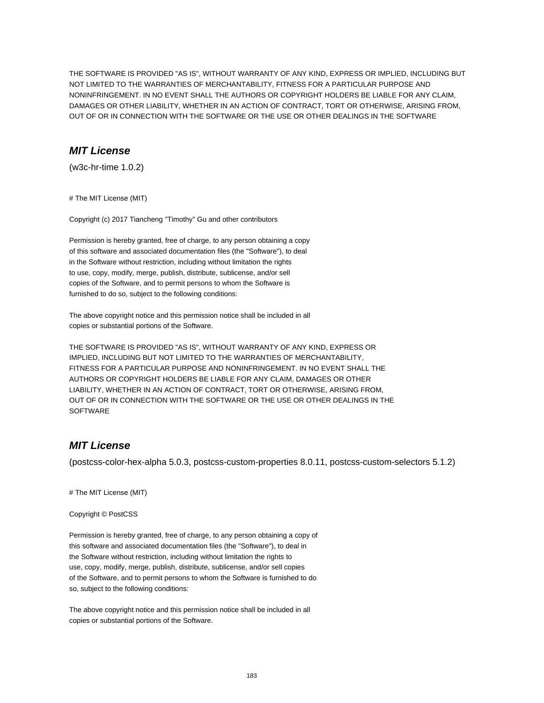THE SOFTWARE IS PROVIDED "AS IS", WITHOUT WARRANTY OF ANY KIND, EXPRESS OR IMPLIED, INCLUDING BUT NOT LIMITED TO THE WARRANTIES OF MERCHANTABILITY, FITNESS FOR A PARTICULAR PURPOSE AND NONINFRINGEMENT. IN NO EVENT SHALL THE AUTHORS OR COPYRIGHT HOLDERS BE LIABLE FOR ANY CLAIM, DAMAGES OR OTHER LIABILITY, WHETHER IN AN ACTION OF CONTRACT, TORT OR OTHERWISE, ARISING FROM, OUT OF OR IN CONNECTION WITH THE SOFTWARE OR THE USE OR OTHER DEALINGS IN THE SOFTWARE

## **MIT License**

(w3c-hr-time 1.0.2)

# The MIT License (MIT)

Copyright (c) 2017 Tiancheng "Timothy" Gu and other contributors

Permission is hereby granted, free of charge, to any person obtaining a copy of this software and associated documentation files (the "Software"), to deal in the Software without restriction, including without limitation the rights to use, copy, modify, merge, publish, distribute, sublicense, and/or sell copies of the Software, and to permit persons to whom the Software is furnished to do so, subject to the following conditions:

The above copyright notice and this permission notice shall be included in all copies or substantial portions of the Software.

THE SOFTWARE IS PROVIDED "AS IS", WITHOUT WARRANTY OF ANY KIND, EXPRESS OR IMPLIED, INCLUDING BUT NOT LIMITED TO THE WARRANTIES OF MERCHANTABILITY, FITNESS FOR A PARTICULAR PURPOSE AND NONINFRINGEMENT. IN NO EVENT SHALL THE AUTHORS OR COPYRIGHT HOLDERS BE LIABLE FOR ANY CLAIM, DAMAGES OR OTHER LIABILITY, WHETHER IN AN ACTION OF CONTRACT, TORT OR OTHERWISE, ARISING FROM, OUT OF OR IN CONNECTION WITH THE SOFTWARE OR THE USE OR OTHER DEALINGS IN THE **SOFTWARE** 

## **MIT License**

(postcss-color-hex-alpha 5.0.3, postcss-custom-properties 8.0.11, postcss-custom-selectors 5.1.2)

# The MIT License (MIT)

Copyright © PostCSS

Permission is hereby granted, free of charge, to any person obtaining a copy of this software and associated documentation files (the "Software"), to deal in the Software without restriction, including without limitation the rights to use, copy, modify, merge, publish, distribute, sublicense, and/or sell copies of the Software, and to permit persons to whom the Software is furnished to do so, subject to the following conditions:

The above copyright notice and this permission notice shall be included in all copies or substantial portions of the Software.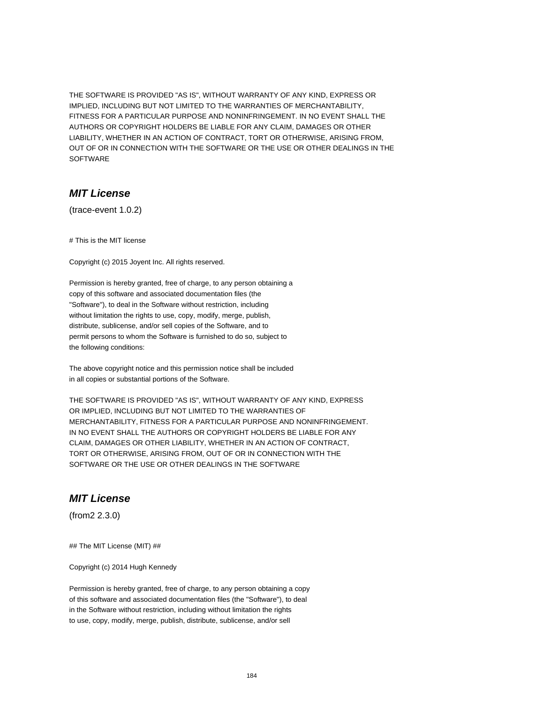THE SOFTWARE IS PROVIDED "AS IS", WITHOUT WARRANTY OF ANY KIND, EXPRESS OR IMPLIED, INCLUDING BUT NOT LIMITED TO THE WARRANTIES OF MERCHANTABILITY, FITNESS FOR A PARTICULAR PURPOSE AND NONINFRINGEMENT. IN NO EVENT SHALL THE AUTHORS OR COPYRIGHT HOLDERS BE LIABLE FOR ANY CLAIM, DAMAGES OR OTHER LIABILITY, WHETHER IN AN ACTION OF CONTRACT, TORT OR OTHERWISE, ARISING FROM, OUT OF OR IN CONNECTION WITH THE SOFTWARE OR THE USE OR OTHER DEALINGS IN THE **SOFTWARE** 

#### **MIT License**

(trace-event 1.0.2)

# This is the MIT license

Copyright (c) 2015 Joyent Inc. All rights reserved.

Permission is hereby granted, free of charge, to any person obtaining a copy of this software and associated documentation files (the "Software"), to deal in the Software without restriction, including without limitation the rights to use, copy, modify, merge, publish, distribute, sublicense, and/or sell copies of the Software, and to permit persons to whom the Software is furnished to do so, subject to the following conditions:

The above copyright notice and this permission notice shall be included in all copies or substantial portions of the Software.

THE SOFTWARE IS PROVIDED "AS IS", WITHOUT WARRANTY OF ANY KIND, EXPRESS OR IMPLIED, INCLUDING BUT NOT LIMITED TO THE WARRANTIES OF MERCHANTABILITY, FITNESS FOR A PARTICULAR PURPOSE AND NONINFRINGEMENT. IN NO EVENT SHALL THE AUTHORS OR COPYRIGHT HOLDERS BE LIABLE FOR ANY CLAIM, DAMAGES OR OTHER LIABILITY, WHETHER IN AN ACTION OF CONTRACT, TORT OR OTHERWISE, ARISING FROM, OUT OF OR IN CONNECTION WITH THE SOFTWARE OR THE USE OR OTHER DEALINGS IN THE SOFTWARE

# **MIT License**

(from2 2.3.0)

## The MIT License (MIT) ##

Copyright (c) 2014 Hugh Kennedy

Permission is hereby granted, free of charge, to any person obtaining a copy of this software and associated documentation files (the "Software"), to deal in the Software without restriction, including without limitation the rights to use, copy, modify, merge, publish, distribute, sublicense, and/or sell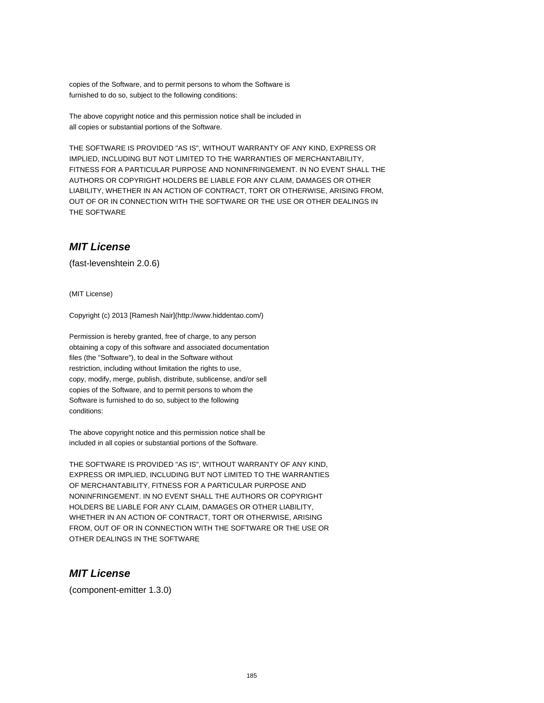copies of the Software, and to permit persons to whom the Software is furnished to do so, subject to the following conditions:

The above copyright notice and this permission notice shall be included in all copies or substantial portions of the Software.

THE SOFTWARE IS PROVIDED "AS IS", WITHOUT WARRANTY OF ANY KIND, EXPRESS OR IMPLIED, INCLUDING BUT NOT LIMITED TO THE WARRANTIES OF MERCHANTABILITY, FITNESS FOR A PARTICULAR PURPOSE AND NONINFRINGEMENT. IN NO EVENT SHALL THE AUTHORS OR COPYRIGHT HOLDERS BE LIABLE FOR ANY CLAIM, DAMAGES OR OTHER LIABILITY, WHETHER IN AN ACTION OF CONTRACT, TORT OR OTHERWISE, ARISING FROM, OUT OF OR IN CONNECTION WITH THE SOFTWARE OR THE USE OR OTHER DEALINGS IN THE SOFTWARE

## **MIT License**

(fast-levenshtein 2.0.6)

(MIT License)

Copyright (c) 2013 [Ramesh Nair](http://www.hiddentao.com/)

Permission is hereby granted, free of charge, to any person obtaining a copy of this software and associated documentation files (the "Software"), to deal in the Software without restriction, including without limitation the rights to use, copy, modify, merge, publish, distribute, sublicense, and/or sell copies of the Software, and to permit persons to whom the Software is furnished to do so, subject to the following conditions:

The above copyright notice and this permission notice shall be included in all copies or substantial portions of the Software.

THE SOFTWARE IS PROVIDED "AS IS", WITHOUT WARRANTY OF ANY KIND, EXPRESS OR IMPLIED, INCLUDING BUT NOT LIMITED TO THE WARRANTIES OF MERCHANTABILITY, FITNESS FOR A PARTICULAR PURPOSE AND NONINFRINGEMENT. IN NO EVENT SHALL THE AUTHORS OR COPYRIGHT HOLDERS BE LIABLE FOR ANY CLAIM, DAMAGES OR OTHER LIABILITY, WHETHER IN AN ACTION OF CONTRACT, TORT OR OTHERWISE, ARISING FROM, OUT OF OR IN CONNECTION WITH THE SOFTWARE OR THE USE OR OTHER DEALINGS IN THE SOFTWARE

## **MIT License**

(component-emitter 1.3.0)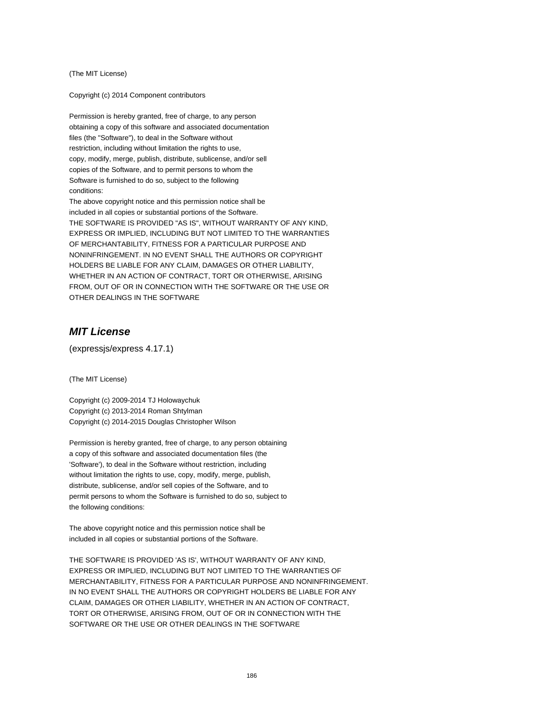(The MIT License)

Copyright (c) 2014 Component contributors

Permission is hereby granted, free of charge, to any person obtaining a copy of this software and associated documentation files (the "Software"), to deal in the Software without restriction, including without limitation the rights to use, copy, modify, merge, publish, distribute, sublicense, and/or sell copies of the Software, and to permit persons to whom the Software is furnished to do so, subject to the following conditions:

The above copyright notice and this permission notice shall be included in all copies or substantial portions of the Software. THE SOFTWARE IS PROVIDED "AS IS", WITHOUT WARRANTY OF ANY KIND, EXPRESS OR IMPLIED, INCLUDING BUT NOT LIMITED TO THE WARRANTIES OF MERCHANTABILITY, FITNESS FOR A PARTICULAR PURPOSE AND NONINFRINGEMENT. IN NO EVENT SHALL THE AUTHORS OR COPYRIGHT HOLDERS BE LIABLE FOR ANY CLAIM, DAMAGES OR OTHER LIABILITY, WHETHER IN AN ACTION OF CONTRACT, TORT OR OTHERWISE, ARISING FROM, OUT OF OR IN CONNECTION WITH THE SOFTWARE OR THE USE OR OTHER DEALINGS IN THE SOFTWARE

## **MIT License**

(expressjs/express 4.17.1)

(The MIT License)

Copyright (c) 2009-2014 TJ Holowaychuk Copyright (c) 2013-2014 Roman Shtylman Copyright (c) 2014-2015 Douglas Christopher Wilson

Permission is hereby granted, free of charge, to any person obtaining a copy of this software and associated documentation files (the 'Software'), to deal in the Software without restriction, including without limitation the rights to use, copy, modify, merge, publish, distribute, sublicense, and/or sell copies of the Software, and to permit persons to whom the Software is furnished to do so, subject to the following conditions:

The above copyright notice and this permission notice shall be included in all copies or substantial portions of the Software.

THE SOFTWARE IS PROVIDED 'AS IS', WITHOUT WARRANTY OF ANY KIND, EXPRESS OR IMPLIED, INCLUDING BUT NOT LIMITED TO THE WARRANTIES OF MERCHANTABILITY, FITNESS FOR A PARTICULAR PURPOSE AND NONINFRINGEMENT. IN NO EVENT SHALL THE AUTHORS OR COPYRIGHT HOLDERS BE LIABLE FOR ANY CLAIM, DAMAGES OR OTHER LIABILITY, WHETHER IN AN ACTION OF CONTRACT, TORT OR OTHERWISE, ARISING FROM, OUT OF OR IN CONNECTION WITH THE SOFTWARE OR THE USE OR OTHER DEALINGS IN THE SOFTWARE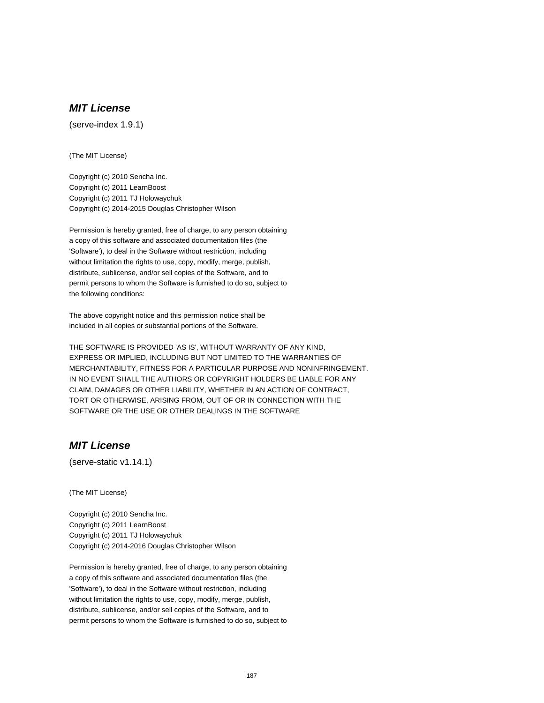# **MIT License**

(serve-index 1.9.1)

(The MIT License)

Copyright (c) 2010 Sencha Inc. Copyright (c) 2011 LearnBoost Copyright (c) 2011 TJ Holowaychuk Copyright (c) 2014-2015 Douglas Christopher Wilson

Permission is hereby granted, free of charge, to any person obtaining a copy of this software and associated documentation files (the 'Software'), to deal in the Software without restriction, including without limitation the rights to use, copy, modify, merge, publish, distribute, sublicense, and/or sell copies of the Software, and to permit persons to whom the Software is furnished to do so, subject to the following conditions:

The above copyright notice and this permission notice shall be included in all copies or substantial portions of the Software.

THE SOFTWARE IS PROVIDED 'AS IS', WITHOUT WARRANTY OF ANY KIND, EXPRESS OR IMPLIED, INCLUDING BUT NOT LIMITED TO THE WARRANTIES OF MERCHANTABILITY, FITNESS FOR A PARTICULAR PURPOSE AND NONINFRINGEMENT. IN NO EVENT SHALL THE AUTHORS OR COPYRIGHT HOLDERS BE LIABLE FOR ANY CLAIM, DAMAGES OR OTHER LIABILITY, WHETHER IN AN ACTION OF CONTRACT, TORT OR OTHERWISE, ARISING FROM, OUT OF OR IN CONNECTION WITH THE SOFTWARE OR THE USE OR OTHER DEALINGS IN THE SOFTWARE

# **MIT License**

(serve-static v1.14.1)

(The MIT License)

Copyright (c) 2010 Sencha Inc. Copyright (c) 2011 LearnBoost Copyright (c) 2011 TJ Holowaychuk Copyright (c) 2014-2016 Douglas Christopher Wilson

Permission is hereby granted, free of charge, to any person obtaining a copy of this software and associated documentation files (the 'Software'), to deal in the Software without restriction, including without limitation the rights to use, copy, modify, merge, publish, distribute, sublicense, and/or sell copies of the Software, and to permit persons to whom the Software is furnished to do so, subject to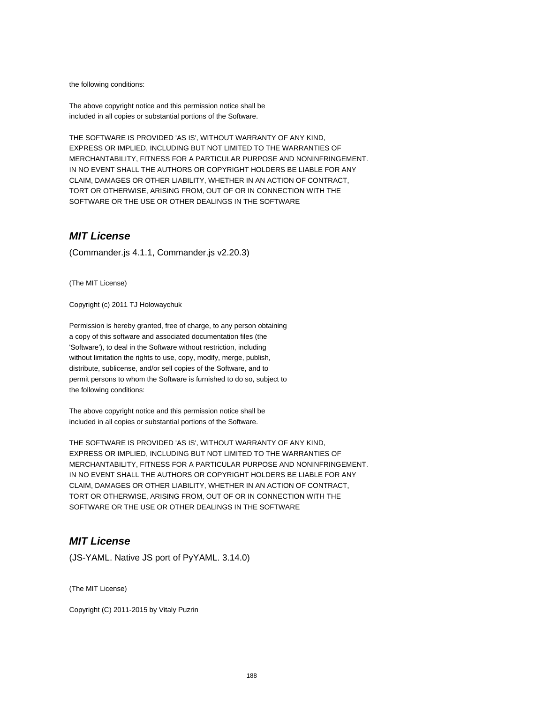the following conditions:

The above copyright notice and this permission notice shall be included in all copies or substantial portions of the Software.

THE SOFTWARE IS PROVIDED 'AS IS', WITHOUT WARRANTY OF ANY KIND, EXPRESS OR IMPLIED, INCLUDING BUT NOT LIMITED TO THE WARRANTIES OF MERCHANTABILITY, FITNESS FOR A PARTICULAR PURPOSE AND NONINFRINGEMENT. IN NO EVENT SHALL THE AUTHORS OR COPYRIGHT HOLDERS BE LIABLE FOR ANY CLAIM, DAMAGES OR OTHER LIABILITY, WHETHER IN AN ACTION OF CONTRACT, TORT OR OTHERWISE, ARISING FROM, OUT OF OR IN CONNECTION WITH THE SOFTWARE OR THE USE OR OTHER DEALINGS IN THE SOFTWARE

## **MIT License**

(Commander.js 4.1.1, Commander.js v2.20.3)

(The MIT License)

Copyright (c) 2011 TJ Holowaychuk

Permission is hereby granted, free of charge, to any person obtaining a copy of this software and associated documentation files (the 'Software'), to deal in the Software without restriction, including without limitation the rights to use, copy, modify, merge, publish, distribute, sublicense, and/or sell copies of the Software, and to permit persons to whom the Software is furnished to do so, subject to the following conditions:

The above copyright notice and this permission notice shall be included in all copies or substantial portions of the Software.

THE SOFTWARE IS PROVIDED 'AS IS', WITHOUT WARRANTY OF ANY KIND, EXPRESS OR IMPLIED, INCLUDING BUT NOT LIMITED TO THE WARRANTIES OF MERCHANTABILITY, FITNESS FOR A PARTICULAR PURPOSE AND NONINFRINGEMENT. IN NO EVENT SHALL THE AUTHORS OR COPYRIGHT HOLDERS BE LIABLE FOR ANY CLAIM, DAMAGES OR OTHER LIABILITY, WHETHER IN AN ACTION OF CONTRACT, TORT OR OTHERWISE, ARISING FROM, OUT OF OR IN CONNECTION WITH THE SOFTWARE OR THE USE OR OTHER DEALINGS IN THE SOFTWARE

## **MIT License**

(JS-YAML. Native JS port of PyYAML. 3.14.0)

(The MIT License)

Copyright (C) 2011-2015 by Vitaly Puzrin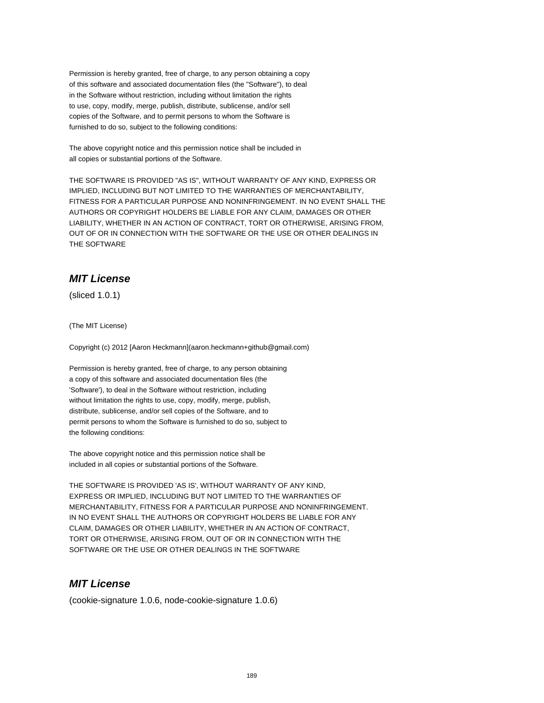Permission is hereby granted, free of charge, to any person obtaining a copy of this software and associated documentation files (the "Software"), to deal in the Software without restriction, including without limitation the rights to use, copy, modify, merge, publish, distribute, sublicense, and/or sell copies of the Software, and to permit persons to whom the Software is furnished to do so, subject to the following conditions:

The above copyright notice and this permission notice shall be included in all copies or substantial portions of the Software.

THE SOFTWARE IS PROVIDED "AS IS", WITHOUT WARRANTY OF ANY KIND, EXPRESS OR IMPLIED, INCLUDING BUT NOT LIMITED TO THE WARRANTIES OF MERCHANTABILITY, FITNESS FOR A PARTICULAR PURPOSE AND NONINFRINGEMENT. IN NO EVENT SHALL THE AUTHORS OR COPYRIGHT HOLDERS BE LIABLE FOR ANY CLAIM, DAMAGES OR OTHER LIABILITY, WHETHER IN AN ACTION OF CONTRACT, TORT OR OTHERWISE, ARISING FROM, OUT OF OR IN CONNECTION WITH THE SOFTWARE OR THE USE OR OTHER DEALINGS IN THE SOFTWARE

## **MIT License**

(sliced 1.0.1)

(The MIT License)

Copyright (c) 2012 [Aaron Heckmann](aaron.heckmann+github@gmail.com)

Permission is hereby granted, free of charge, to any person obtaining a copy of this software and associated documentation files (the 'Software'), to deal in the Software without restriction, including without limitation the rights to use, copy, modify, merge, publish, distribute, sublicense, and/or sell copies of the Software, and to permit persons to whom the Software is furnished to do so, subject to the following conditions:

The above copyright notice and this permission notice shall be included in all copies or substantial portions of the Software.

THE SOFTWARE IS PROVIDED 'AS IS', WITHOUT WARRANTY OF ANY KIND, EXPRESS OR IMPLIED, INCLUDING BUT NOT LIMITED TO THE WARRANTIES OF MERCHANTABILITY, FITNESS FOR A PARTICULAR PURPOSE AND NONINFRINGEMENT. IN NO EVENT SHALL THE AUTHORS OR COPYRIGHT HOLDERS BE LIABLE FOR ANY CLAIM, DAMAGES OR OTHER LIABILITY, WHETHER IN AN ACTION OF CONTRACT, TORT OR OTHERWISE, ARISING FROM, OUT OF OR IN CONNECTION WITH THE SOFTWARE OR THE USE OR OTHER DEALINGS IN THE SOFTWARE

## **MIT License**

(cookie-signature 1.0.6, node-cookie-signature 1.0.6)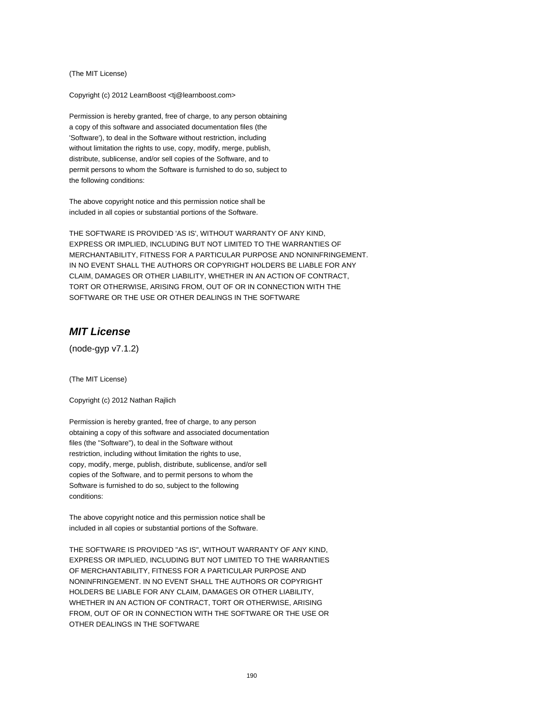(The MIT License)

Copyright (c) 2012 LearnBoost <tj@learnboost.com>

Permission is hereby granted, free of charge, to any person obtaining a copy of this software and associated documentation files (the 'Software'), to deal in the Software without restriction, including without limitation the rights to use, copy, modify, merge, publish, distribute, sublicense, and/or sell copies of the Software, and to permit persons to whom the Software is furnished to do so, subject to the following conditions:

The above copyright notice and this permission notice shall be included in all copies or substantial portions of the Software.

THE SOFTWARE IS PROVIDED 'AS IS', WITHOUT WARRANTY OF ANY KIND, EXPRESS OR IMPLIED, INCLUDING BUT NOT LIMITED TO THE WARRANTIES OF MERCHANTABILITY, FITNESS FOR A PARTICULAR PURPOSE AND NONINFRINGEMENT. IN NO EVENT SHALL THE AUTHORS OR COPYRIGHT HOLDERS BE LIABLE FOR ANY CLAIM, DAMAGES OR OTHER LIABILITY, WHETHER IN AN ACTION OF CONTRACT, TORT OR OTHERWISE, ARISING FROM, OUT OF OR IN CONNECTION WITH THE SOFTWARE OR THE USE OR OTHER DEALINGS IN THE SOFTWARE

## **MIT License**

(node-gyp v7.1.2)

(The MIT License)

Copyright (c) 2012 Nathan Rajlich

Permission is hereby granted, free of charge, to any person obtaining a copy of this software and associated documentation files (the "Software"), to deal in the Software without restriction, including without limitation the rights to use, copy, modify, merge, publish, distribute, sublicense, and/or sell copies of the Software, and to permit persons to whom the Software is furnished to do so, subject to the following conditions:

The above copyright notice and this permission notice shall be included in all copies or substantial portions of the Software.

THE SOFTWARE IS PROVIDED "AS IS", WITHOUT WARRANTY OF ANY KIND, EXPRESS OR IMPLIED, INCLUDING BUT NOT LIMITED TO THE WARRANTIES OF MERCHANTABILITY, FITNESS FOR A PARTICULAR PURPOSE AND NONINFRINGEMENT. IN NO EVENT SHALL THE AUTHORS OR COPYRIGHT HOLDERS BE LIABLE FOR ANY CLAIM, DAMAGES OR OTHER LIABILITY, WHETHER IN AN ACTION OF CONTRACT, TORT OR OTHERWISE, ARISING FROM, OUT OF OR IN CONNECTION WITH THE SOFTWARE OR THE USE OR OTHER DEALINGS IN THE SOFTWARE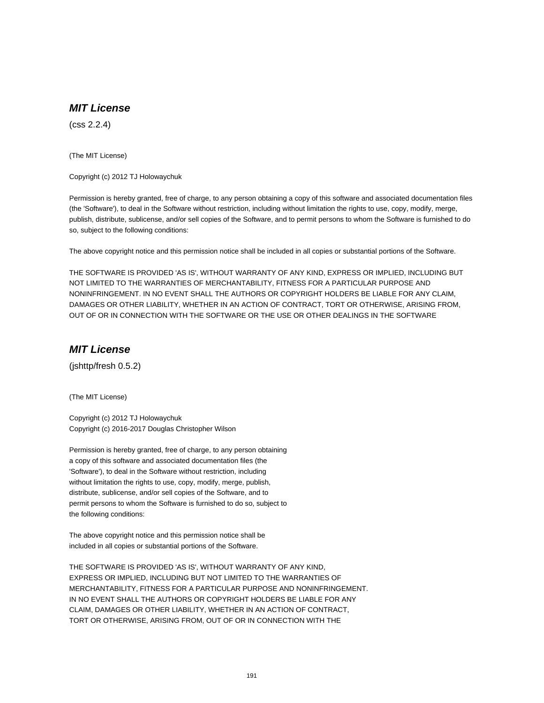## **MIT License**

(css 2.2.4)

(The MIT License)

Copyright (c) 2012 TJ Holowaychuk

Permission is hereby granted, free of charge, to any person obtaining a copy of this software and associated documentation files (the 'Software'), to deal in the Software without restriction, including without limitation the rights to use, copy, modify, merge, publish, distribute, sublicense, and/or sell copies of the Software, and to permit persons to whom the Software is furnished to do so, subject to the following conditions:

The above copyright notice and this permission notice shall be included in all copies or substantial portions of the Software.

THE SOFTWARE IS PROVIDED 'AS IS', WITHOUT WARRANTY OF ANY KIND, EXPRESS OR IMPLIED, INCLUDING BUT NOT LIMITED TO THE WARRANTIES OF MERCHANTABILITY, FITNESS FOR A PARTICULAR PURPOSE AND NONINFRINGEMENT. IN NO EVENT SHALL THE AUTHORS OR COPYRIGHT HOLDERS BE LIABLE FOR ANY CLAIM, DAMAGES OR OTHER LIABILITY, WHETHER IN AN ACTION OF CONTRACT, TORT OR OTHERWISE, ARISING FROM, OUT OF OR IN CONNECTION WITH THE SOFTWARE OR THE USE OR OTHER DEALINGS IN THE SOFTWARE

#### **MIT License**

(jshttp/fresh 0.5.2)

(The MIT License)

Copyright (c) 2012 TJ Holowaychuk Copyright (c) 2016-2017 Douglas Christopher Wilson

Permission is hereby granted, free of charge, to any person obtaining a copy of this software and associated documentation files (the 'Software'), to deal in the Software without restriction, including without limitation the rights to use, copy, modify, merge, publish, distribute, sublicense, and/or sell copies of the Software, and to permit persons to whom the Software is furnished to do so, subject to the following conditions:

The above copyright notice and this permission notice shall be included in all copies or substantial portions of the Software.

THE SOFTWARE IS PROVIDED 'AS IS', WITHOUT WARRANTY OF ANY KIND, EXPRESS OR IMPLIED, INCLUDING BUT NOT LIMITED TO THE WARRANTIES OF MERCHANTABILITY, FITNESS FOR A PARTICULAR PURPOSE AND NONINFRINGEMENT. IN NO EVENT SHALL THE AUTHORS OR COPYRIGHT HOLDERS BE LIABLE FOR ANY CLAIM, DAMAGES OR OTHER LIABILITY, WHETHER IN AN ACTION OF CONTRACT, TORT OR OTHERWISE, ARISING FROM, OUT OF OR IN CONNECTION WITH THE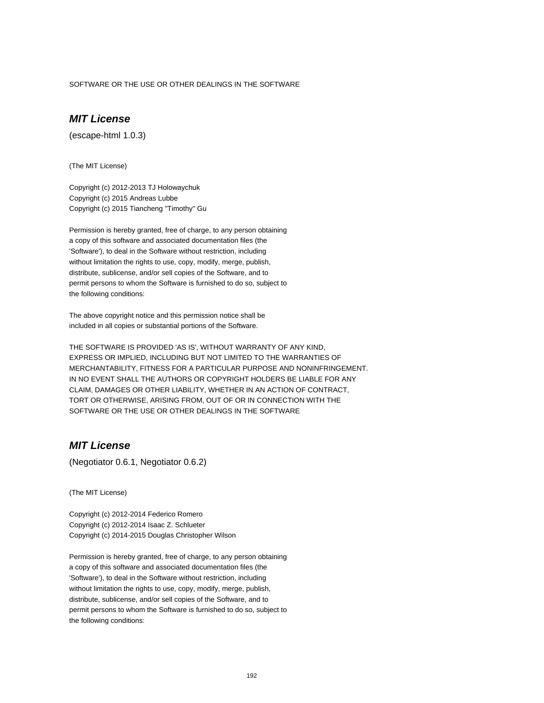SOFTWARE OR THE USE OR OTHER DEALINGS IN THE SOFTWARE

# **MIT License**

(escape-html 1.0.3)

(The MIT License)

Copyright (c) 2012-2013 TJ Holowaychuk Copyright (c) 2015 Andreas Lubbe Copyright (c) 2015 Tiancheng "Timothy" Gu

Permission is hereby granted, free of charge, to any person obtaining a copy of this software and associated documentation files (the 'Software'), to deal in the Software without restriction, including without limitation the rights to use, copy, modify, merge, publish, distribute, sublicense, and/or sell copies of the Software, and to permit persons to whom the Software is furnished to do so, subject to the following conditions:

The above copyright notice and this permission notice shall be included in all copies or substantial portions of the Software.

THE SOFTWARE IS PROVIDED 'AS IS', WITHOUT WARRANTY OF ANY KIND, EXPRESS OR IMPLIED, INCLUDING BUT NOT LIMITED TO THE WARRANTIES OF MERCHANTABILITY, FITNESS FOR A PARTICULAR PURPOSE AND NONINFRINGEMENT. IN NO EVENT SHALL THE AUTHORS OR COPYRIGHT HOLDERS BE LIABLE FOR ANY CLAIM, DAMAGES OR OTHER LIABILITY, WHETHER IN AN ACTION OF CONTRACT, TORT OR OTHERWISE, ARISING FROM, OUT OF OR IN CONNECTION WITH THE SOFTWARE OR THE USE OR OTHER DEALINGS IN THE SOFTWARE

# **MIT License**

(Negotiator 0.6.1, Negotiator 0.6.2)

(The MIT License)

Copyright (c) 2012-2014 Federico Romero Copyright (c) 2012-2014 Isaac Z. Schlueter Copyright (c) 2014-2015 Douglas Christopher Wilson

Permission is hereby granted, free of charge, to any person obtaining a copy of this software and associated documentation files (the 'Software'), to deal in the Software without restriction, including without limitation the rights to use, copy, modify, merge, publish, distribute, sublicense, and/or sell copies of the Software, and to permit persons to whom the Software is furnished to do so, subject to the following conditions: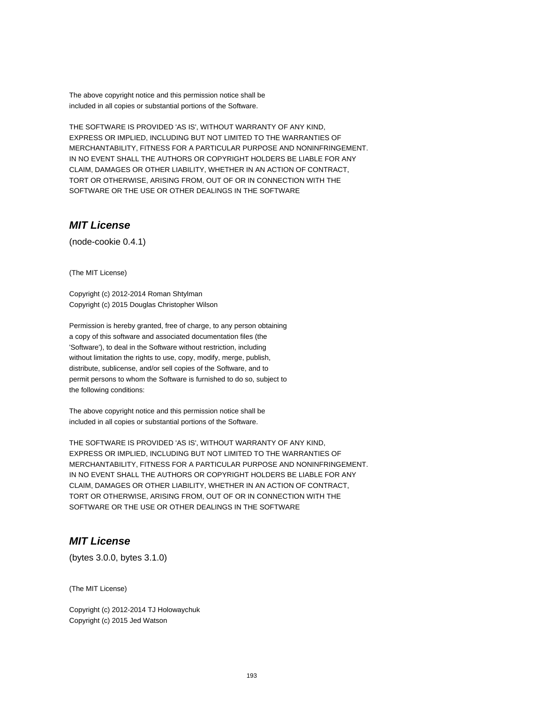The above copyright notice and this permission notice shall be included in all copies or substantial portions of the Software.

THE SOFTWARE IS PROVIDED 'AS IS', WITHOUT WARRANTY OF ANY KIND, EXPRESS OR IMPLIED, INCLUDING BUT NOT LIMITED TO THE WARRANTIES OF MERCHANTABILITY, FITNESS FOR A PARTICULAR PURPOSE AND NONINFRINGEMENT. IN NO EVENT SHALL THE AUTHORS OR COPYRIGHT HOLDERS BE LIABLE FOR ANY CLAIM, DAMAGES OR OTHER LIABILITY, WHETHER IN AN ACTION OF CONTRACT, TORT OR OTHERWISE, ARISING FROM, OUT OF OR IN CONNECTION WITH THE SOFTWARE OR THE USE OR OTHER DEALINGS IN THE SOFTWARE

# **MIT License**

(node-cookie 0.4.1)

(The MIT License)

Copyright (c) 2012-2014 Roman Shtylman Copyright (c) 2015 Douglas Christopher Wilson

Permission is hereby granted, free of charge, to any person obtaining a copy of this software and associated documentation files (the 'Software'), to deal in the Software without restriction, including without limitation the rights to use, copy, modify, merge, publish, distribute, sublicense, and/or sell copies of the Software, and to permit persons to whom the Software is furnished to do so, subject to the following conditions:

The above copyright notice and this permission notice shall be included in all copies or substantial portions of the Software.

THE SOFTWARE IS PROVIDED 'AS IS', WITHOUT WARRANTY OF ANY KIND, EXPRESS OR IMPLIED, INCLUDING BUT NOT LIMITED TO THE WARRANTIES OF MERCHANTABILITY, FITNESS FOR A PARTICULAR PURPOSE AND NONINFRINGEMENT. IN NO EVENT SHALL THE AUTHORS OR COPYRIGHT HOLDERS BE LIABLE FOR ANY CLAIM, DAMAGES OR OTHER LIABILITY, WHETHER IN AN ACTION OF CONTRACT, TORT OR OTHERWISE, ARISING FROM, OUT OF OR IN CONNECTION WITH THE SOFTWARE OR THE USE OR OTHER DEALINGS IN THE SOFTWARE

## **MIT License**

(bytes 3.0.0, bytes 3.1.0)

(The MIT License)

Copyright (c) 2012-2014 TJ Holowaychuk Copyright (c) 2015 Jed Watson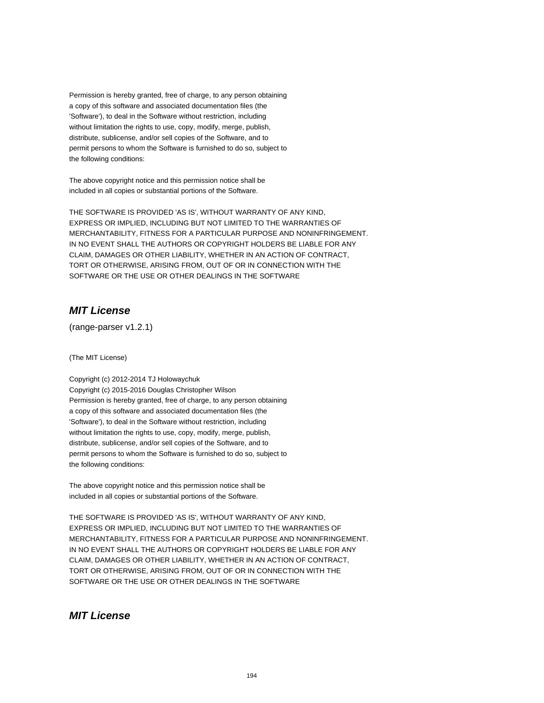Permission is hereby granted, free of charge, to any person obtaining a copy of this software and associated documentation files (the 'Software'), to deal in the Software without restriction, including without limitation the rights to use, copy, modify, merge, publish, distribute, sublicense, and/or sell copies of the Software, and to permit persons to whom the Software is furnished to do so, subject to the following conditions:

The above copyright notice and this permission notice shall be included in all copies or substantial portions of the Software.

THE SOFTWARE IS PROVIDED 'AS IS', WITHOUT WARRANTY OF ANY KIND, EXPRESS OR IMPLIED, INCLUDING BUT NOT LIMITED TO THE WARRANTIES OF MERCHANTABILITY, FITNESS FOR A PARTICULAR PURPOSE AND NONINFRINGEMENT. IN NO EVENT SHALL THE AUTHORS OR COPYRIGHT HOLDERS BE LIABLE FOR ANY CLAIM, DAMAGES OR OTHER LIABILITY, WHETHER IN AN ACTION OF CONTRACT, TORT OR OTHERWISE, ARISING FROM, OUT OF OR IN CONNECTION WITH THE SOFTWARE OR THE USE OR OTHER DEALINGS IN THE SOFTWARE

## **MIT License**

(range-parser v1.2.1)

(The MIT License)

Copyright (c) 2012-2014 TJ Holowaychuk

Copyright (c) 2015-2016 Douglas Christopher Wilson Permission is hereby granted, free of charge, to any person obtaining a copy of this software and associated documentation files (the 'Software'), to deal in the Software without restriction, including without limitation the rights to use, copy, modify, merge, publish, distribute, sublicense, and/or sell copies of the Software, and to permit persons to whom the Software is furnished to do so, subject to the following conditions:

The above copyright notice and this permission notice shall be included in all copies or substantial portions of the Software.

THE SOFTWARE IS PROVIDED 'AS IS', WITHOUT WARRANTY OF ANY KIND, EXPRESS OR IMPLIED, INCLUDING BUT NOT LIMITED TO THE WARRANTIES OF MERCHANTABILITY, FITNESS FOR A PARTICULAR PURPOSE AND NONINFRINGEMENT. IN NO EVENT SHALL THE AUTHORS OR COPYRIGHT HOLDERS BE LIABLE FOR ANY CLAIM, DAMAGES OR OTHER LIABILITY, WHETHER IN AN ACTION OF CONTRACT, TORT OR OTHERWISE, ARISING FROM, OUT OF OR IN CONNECTION WITH THE SOFTWARE OR THE USE OR OTHER DEALINGS IN THE SOFTWARE

#### **MIT License**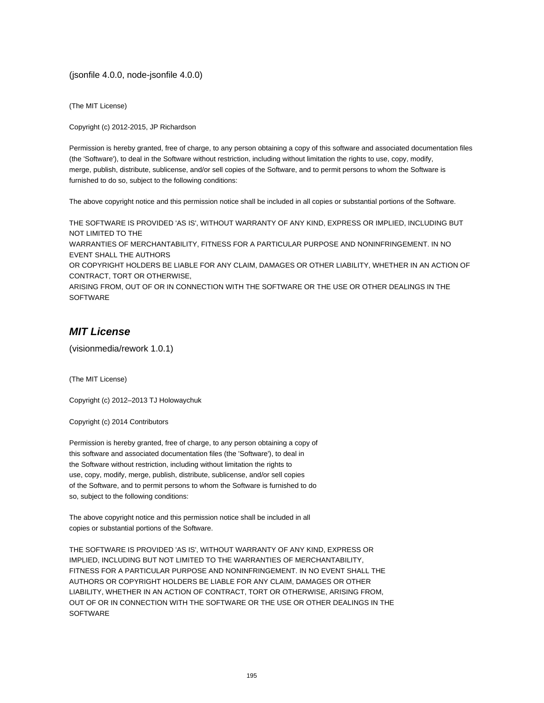(jsonfile 4.0.0, node-jsonfile 4.0.0)

(The MIT License)

Copyright (c) 2012-2015, JP Richardson

Permission is hereby granted, free of charge, to any person obtaining a copy of this software and associated documentation files (the 'Software'), to deal in the Software without restriction, including without limitation the rights to use, copy, modify, merge, publish, distribute, sublicense, and/or sell copies of the Software, and to permit persons to whom the Software is furnished to do so, subject to the following conditions:

The above copyright notice and this permission notice shall be included in all copies or substantial portions of the Software.

THE SOFTWARE IS PROVIDED 'AS IS', WITHOUT WARRANTY OF ANY KIND, EXPRESS OR IMPLIED, INCLUDING BUT NOT LIMITED TO THE WARRANTIES OF MERCHANTABILITY, FITNESS FOR A PARTICULAR PURPOSE AND NONINFRINGEMENT. IN NO

EVENT SHALL THE AUTHORS OR COPYRIGHT HOLDERS BE LIABLE FOR ANY CLAIM, DAMAGES OR OTHER LIABILITY, WHETHER IN AN ACTION OF

CONTRACT, TORT OR OTHERWISE,

ARISING FROM, OUT OF OR IN CONNECTION WITH THE SOFTWARE OR THE USE OR OTHER DEALINGS IN THE SOFTWARE

## **MIT License**

(visionmedia/rework 1.0.1)

(The MIT License)

Copyright (c) 2012–2013 TJ Holowaychuk

Copyright (c) 2014 Contributors

Permission is hereby granted, free of charge, to any person obtaining a copy of this software and associated documentation files (the 'Software'), to deal in the Software without restriction, including without limitation the rights to use, copy, modify, merge, publish, distribute, sublicense, and/or sell copies of the Software, and to permit persons to whom the Software is furnished to do so, subject to the following conditions:

The above copyright notice and this permission notice shall be included in all copies or substantial portions of the Software.

THE SOFTWARE IS PROVIDED 'AS IS', WITHOUT WARRANTY OF ANY KIND, EXPRESS OR IMPLIED, INCLUDING BUT NOT LIMITED TO THE WARRANTIES OF MERCHANTABILITY, FITNESS FOR A PARTICULAR PURPOSE AND NONINFRINGEMENT. IN NO EVENT SHALL THE AUTHORS OR COPYRIGHT HOLDERS BE LIABLE FOR ANY CLAIM, DAMAGES OR OTHER LIABILITY, WHETHER IN AN ACTION OF CONTRACT, TORT OR OTHERWISE, ARISING FROM, OUT OF OR IN CONNECTION WITH THE SOFTWARE OR THE USE OR OTHER DEALINGS IN THE **SOFTWARE**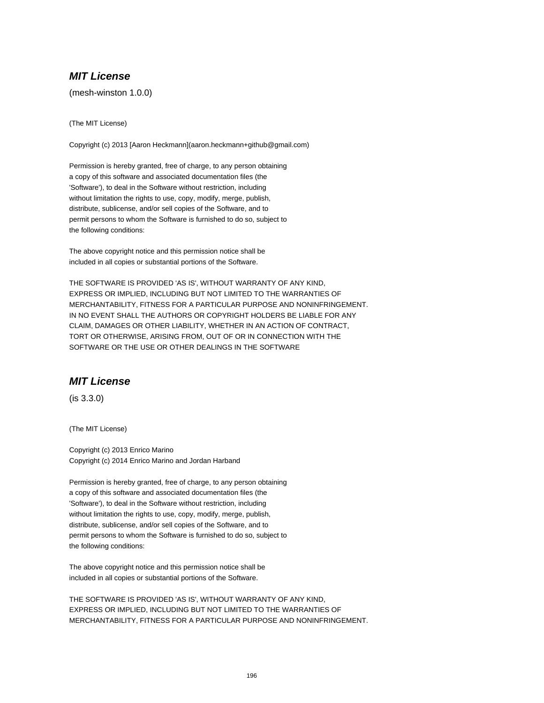## **MIT License**

(mesh-winston 1.0.0)

(The MIT License)

Copyright (c) 2013 [Aaron Heckmann](aaron.heckmann+github@gmail.com)

Permission is hereby granted, free of charge, to any person obtaining a copy of this software and associated documentation files (the 'Software'), to deal in the Software without restriction, including without limitation the rights to use, copy, modify, merge, publish, distribute, sublicense, and/or sell copies of the Software, and to permit persons to whom the Software is furnished to do so, subject to the following conditions:

The above copyright notice and this permission notice shall be included in all copies or substantial portions of the Software.

THE SOFTWARE IS PROVIDED 'AS IS', WITHOUT WARRANTY OF ANY KIND, EXPRESS OR IMPLIED, INCLUDING BUT NOT LIMITED TO THE WARRANTIES OF MERCHANTABILITY, FITNESS FOR A PARTICULAR PURPOSE AND NONINFRINGEMENT. IN NO EVENT SHALL THE AUTHORS OR COPYRIGHT HOLDERS BE LIABLE FOR ANY CLAIM, DAMAGES OR OTHER LIABILITY, WHETHER IN AN ACTION OF CONTRACT, TORT OR OTHERWISE, ARISING FROM, OUT OF OR IN CONNECTION WITH THE SOFTWARE OR THE USE OR OTHER DEALINGS IN THE SOFTWARE

# **MIT License**

(is 3.3.0)

(The MIT License)

Copyright (c) 2013 Enrico Marino Copyright (c) 2014 Enrico Marino and Jordan Harband

Permission is hereby granted, free of charge, to any person obtaining a copy of this software and associated documentation files (the 'Software'), to deal in the Software without restriction, including without limitation the rights to use, copy, modify, merge, publish, distribute, sublicense, and/or sell copies of the Software, and to permit persons to whom the Software is furnished to do so, subject to the following conditions:

The above copyright notice and this permission notice shall be included in all copies or substantial portions of the Software.

THE SOFTWARE IS PROVIDED 'AS IS', WITHOUT WARRANTY OF ANY KIND, EXPRESS OR IMPLIED, INCLUDING BUT NOT LIMITED TO THE WARRANTIES OF MERCHANTABILITY, FITNESS FOR A PARTICULAR PURPOSE AND NONINFRINGEMENT.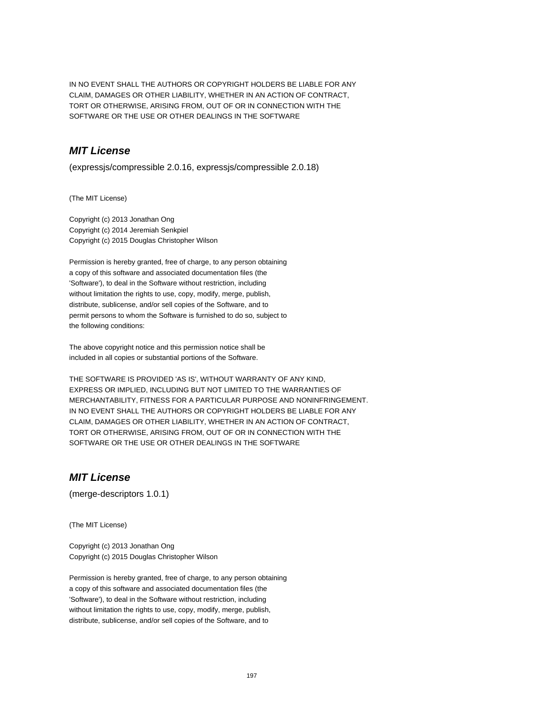IN NO EVENT SHALL THE AUTHORS OR COPYRIGHT HOLDERS BE LIABLE FOR ANY CLAIM, DAMAGES OR OTHER LIABILITY, WHETHER IN AN ACTION OF CONTRACT, TORT OR OTHERWISE, ARISING FROM, OUT OF OR IN CONNECTION WITH THE SOFTWARE OR THE USE OR OTHER DEALINGS IN THE SOFTWARE

## **MIT License**

(expressjs/compressible 2.0.16, expressjs/compressible 2.0.18)

(The MIT License)

Copyright (c) 2013 Jonathan Ong Copyright (c) 2014 Jeremiah Senkpiel Copyright (c) 2015 Douglas Christopher Wilson

Permission is hereby granted, free of charge, to any person obtaining a copy of this software and associated documentation files (the 'Software'), to deal in the Software without restriction, including without limitation the rights to use, copy, modify, merge, publish, distribute, sublicense, and/or sell copies of the Software, and to permit persons to whom the Software is furnished to do so, subject to the following conditions:

The above copyright notice and this permission notice shall be included in all copies or substantial portions of the Software.

THE SOFTWARE IS PROVIDED 'AS IS', WITHOUT WARRANTY OF ANY KIND, EXPRESS OR IMPLIED, INCLUDING BUT NOT LIMITED TO THE WARRANTIES OF MERCHANTABILITY, FITNESS FOR A PARTICULAR PURPOSE AND NONINFRINGEMENT. IN NO EVENT SHALL THE AUTHORS OR COPYRIGHT HOLDERS BE LIABLE FOR ANY CLAIM, DAMAGES OR OTHER LIABILITY, WHETHER IN AN ACTION OF CONTRACT, TORT OR OTHERWISE, ARISING FROM, OUT OF OR IN CONNECTION WITH THE SOFTWARE OR THE USE OR OTHER DEALINGS IN THE SOFTWARE

## **MIT License**

(merge-descriptors 1.0.1)

(The MIT License)

Copyright (c) 2013 Jonathan Ong Copyright (c) 2015 Douglas Christopher Wilson

Permission is hereby granted, free of charge, to any person obtaining a copy of this software and associated documentation files (the 'Software'), to deal in the Software without restriction, including without limitation the rights to use, copy, modify, merge, publish, distribute, sublicense, and/or sell copies of the Software, and to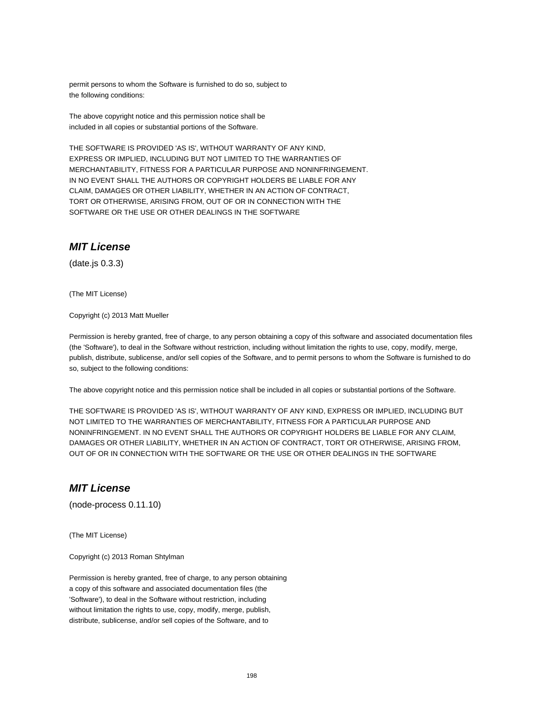permit persons to whom the Software is furnished to do so, subject to the following conditions:

The above copyright notice and this permission notice shall be included in all copies or substantial portions of the Software.

THE SOFTWARE IS PROVIDED 'AS IS', WITHOUT WARRANTY OF ANY KIND, EXPRESS OR IMPLIED, INCLUDING BUT NOT LIMITED TO THE WARRANTIES OF MERCHANTABILITY, FITNESS FOR A PARTICULAR PURPOSE AND NONINFRINGEMENT. IN NO EVENT SHALL THE AUTHORS OR COPYRIGHT HOLDERS BE LIABLE FOR ANY CLAIM, DAMAGES OR OTHER LIABILITY, WHETHER IN AN ACTION OF CONTRACT, TORT OR OTHERWISE, ARISING FROM, OUT OF OR IN CONNECTION WITH THE SOFTWARE OR THE USE OR OTHER DEALINGS IN THE SOFTWARE

## **MIT License**

(date.js 0.3.3)

(The MIT License)

Copyright (c) 2013 Matt Mueller

Permission is hereby granted, free of charge, to any person obtaining a copy of this software and associated documentation files (the 'Software'), to deal in the Software without restriction, including without limitation the rights to use, copy, modify, merge, publish, distribute, sublicense, and/or sell copies of the Software, and to permit persons to whom the Software is furnished to do so, subject to the following conditions:

The above copyright notice and this permission notice shall be included in all copies or substantial portions of the Software.

THE SOFTWARE IS PROVIDED 'AS IS', WITHOUT WARRANTY OF ANY KIND, EXPRESS OR IMPLIED, INCLUDING BUT NOT LIMITED TO THE WARRANTIES OF MERCHANTABILITY, FITNESS FOR A PARTICULAR PURPOSE AND NONINFRINGEMENT. IN NO EVENT SHALL THE AUTHORS OR COPYRIGHT HOLDERS BE LIABLE FOR ANY CLAIM, DAMAGES OR OTHER LIABILITY, WHETHER IN AN ACTION OF CONTRACT, TORT OR OTHERWISE, ARISING FROM, OUT OF OR IN CONNECTION WITH THE SOFTWARE OR THE USE OR OTHER DEALINGS IN THE SOFTWARE

#### **MIT License**

(node-process 0.11.10)

(The MIT License)

Copyright (c) 2013 Roman Shtylman

Permission is hereby granted, free of charge, to any person obtaining a copy of this software and associated documentation files (the 'Software'), to deal in the Software without restriction, including without limitation the rights to use, copy, modify, merge, publish, distribute, sublicense, and/or sell copies of the Software, and to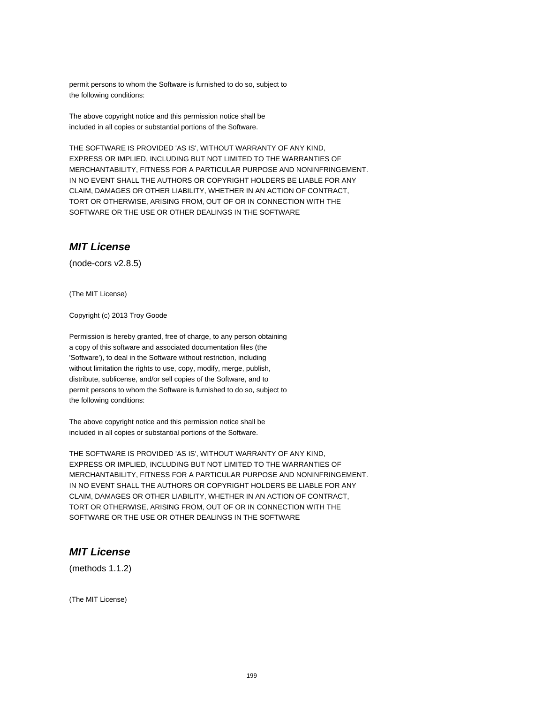permit persons to whom the Software is furnished to do so, subject to the following conditions:

The above copyright notice and this permission notice shall be included in all copies or substantial portions of the Software.

THE SOFTWARE IS PROVIDED 'AS IS', WITHOUT WARRANTY OF ANY KIND, EXPRESS OR IMPLIED, INCLUDING BUT NOT LIMITED TO THE WARRANTIES OF MERCHANTABILITY, FITNESS FOR A PARTICULAR PURPOSE AND NONINFRINGEMENT. IN NO EVENT SHALL THE AUTHORS OR COPYRIGHT HOLDERS BE LIABLE FOR ANY CLAIM, DAMAGES OR OTHER LIABILITY, WHETHER IN AN ACTION OF CONTRACT, TORT OR OTHERWISE, ARISING FROM, OUT OF OR IN CONNECTION WITH THE SOFTWARE OR THE USE OR OTHER DEALINGS IN THE SOFTWARE

## **MIT License**

(node-cors v2.8.5)

(The MIT License)

Copyright (c) 2013 Troy Goode

Permission is hereby granted, free of charge, to any person obtaining a copy of this software and associated documentation files (the 'Software'), to deal in the Software without restriction, including without limitation the rights to use, copy, modify, merge, publish, distribute, sublicense, and/or sell copies of the Software, and to permit persons to whom the Software is furnished to do so, subject to the following conditions:

The above copyright notice and this permission notice shall be included in all copies or substantial portions of the Software.

THE SOFTWARE IS PROVIDED 'AS IS', WITHOUT WARRANTY OF ANY KIND, EXPRESS OR IMPLIED, INCLUDING BUT NOT LIMITED TO THE WARRANTIES OF MERCHANTABILITY, FITNESS FOR A PARTICULAR PURPOSE AND NONINFRINGEMENT. IN NO EVENT SHALL THE AUTHORS OR COPYRIGHT HOLDERS BE LIABLE FOR ANY CLAIM, DAMAGES OR OTHER LIABILITY, WHETHER IN AN ACTION OF CONTRACT, TORT OR OTHERWISE, ARISING FROM, OUT OF OR IN CONNECTION WITH THE SOFTWARE OR THE USE OR OTHER DEALINGS IN THE SOFTWARE

#### **MIT License**

(methods 1.1.2)

(The MIT License)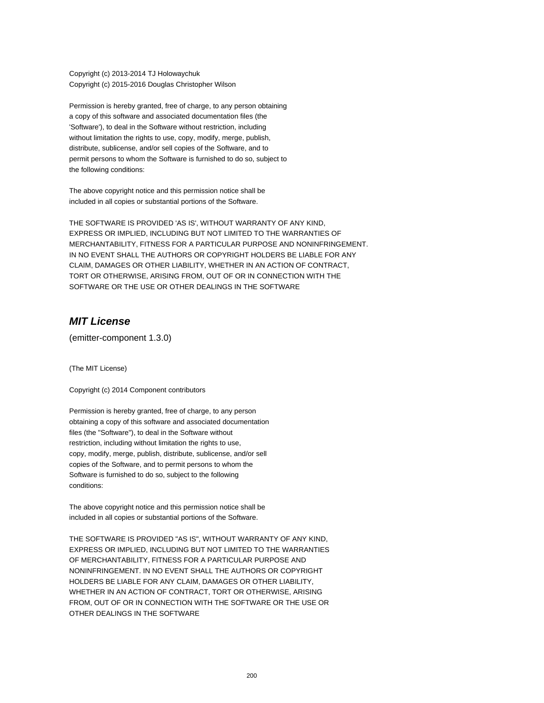Copyright (c) 2013-2014 TJ Holowaychuk Copyright (c) 2015-2016 Douglas Christopher Wilson

Permission is hereby granted, free of charge, to any person obtaining a copy of this software and associated documentation files (the 'Software'), to deal in the Software without restriction, including without limitation the rights to use, copy, modify, merge, publish, distribute, sublicense, and/or sell copies of the Software, and to permit persons to whom the Software is furnished to do so, subject to the following conditions:

The above copyright notice and this permission notice shall be included in all copies or substantial portions of the Software.

THE SOFTWARE IS PROVIDED 'AS IS', WITHOUT WARRANTY OF ANY KIND, EXPRESS OR IMPLIED, INCLUDING BUT NOT LIMITED TO THE WARRANTIES OF MERCHANTABILITY, FITNESS FOR A PARTICULAR PURPOSE AND NONINFRINGEMENT. IN NO EVENT SHALL THE AUTHORS OR COPYRIGHT HOLDERS BE LIABLE FOR ANY CLAIM, DAMAGES OR OTHER LIABILITY, WHETHER IN AN ACTION OF CONTRACT, TORT OR OTHERWISE, ARISING FROM, OUT OF OR IN CONNECTION WITH THE SOFTWARE OR THE USE OR OTHER DEALINGS IN THE SOFTWARE

## **MIT License**

(emitter-component 1.3.0)

(The MIT License)

Copyright (c) 2014 Component contributors

Permission is hereby granted, free of charge, to any person obtaining a copy of this software and associated documentation files (the "Software"), to deal in the Software without restriction, including without limitation the rights to use, copy, modify, merge, publish, distribute, sublicense, and/or sell copies of the Software, and to permit persons to whom the Software is furnished to do so, subject to the following conditions:

The above copyright notice and this permission notice shall be included in all copies or substantial portions of the Software.

THE SOFTWARE IS PROVIDED "AS IS", WITHOUT WARRANTY OF ANY KIND, EXPRESS OR IMPLIED, INCLUDING BUT NOT LIMITED TO THE WARRANTIES OF MERCHANTABILITY, FITNESS FOR A PARTICULAR PURPOSE AND NONINFRINGEMENT. IN NO EVENT SHALL THE AUTHORS OR COPYRIGHT HOLDERS BE LIABLE FOR ANY CLAIM, DAMAGES OR OTHER LIABILITY, WHETHER IN AN ACTION OF CONTRACT, TORT OR OTHERWISE, ARISING FROM, OUT OF OR IN CONNECTION WITH THE SOFTWARE OR THE USE OR OTHER DEALINGS IN THE SOFTWARE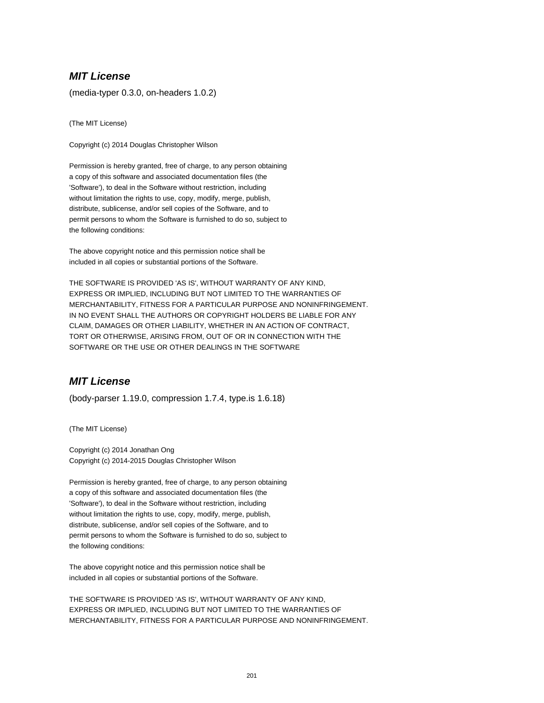## **MIT License**

(media-typer 0.3.0, on-headers 1.0.2)

(The MIT License)

Copyright (c) 2014 Douglas Christopher Wilson

Permission is hereby granted, free of charge, to any person obtaining a copy of this software and associated documentation files (the 'Software'), to deal in the Software without restriction, including without limitation the rights to use, copy, modify, merge, publish, distribute, sublicense, and/or sell copies of the Software, and to permit persons to whom the Software is furnished to do so, subject to the following conditions:

The above copyright notice and this permission notice shall be included in all copies or substantial portions of the Software.

THE SOFTWARE IS PROVIDED 'AS IS', WITHOUT WARRANTY OF ANY KIND, EXPRESS OR IMPLIED, INCLUDING BUT NOT LIMITED TO THE WARRANTIES OF MERCHANTABILITY, FITNESS FOR A PARTICULAR PURPOSE AND NONINFRINGEMENT. IN NO EVENT SHALL THE AUTHORS OR COPYRIGHT HOLDERS BE LIABLE FOR ANY CLAIM, DAMAGES OR OTHER LIABILITY, WHETHER IN AN ACTION OF CONTRACT, TORT OR OTHERWISE, ARISING FROM, OUT OF OR IN CONNECTION WITH THE SOFTWARE OR THE USE OR OTHER DEALINGS IN THE SOFTWARE

## **MIT License**

(body-parser 1.19.0, compression 1.7.4, type.is 1.6.18)

(The MIT License)

Copyright (c) 2014 Jonathan Ong Copyright (c) 2014-2015 Douglas Christopher Wilson

Permission is hereby granted, free of charge, to any person obtaining a copy of this software and associated documentation files (the 'Software'), to deal in the Software without restriction, including without limitation the rights to use, copy, modify, merge, publish, distribute, sublicense, and/or sell copies of the Software, and to permit persons to whom the Software is furnished to do so, subject to the following conditions:

The above copyright notice and this permission notice shall be included in all copies or substantial portions of the Software.

THE SOFTWARE IS PROVIDED 'AS IS', WITHOUT WARRANTY OF ANY KIND, EXPRESS OR IMPLIED, INCLUDING BUT NOT LIMITED TO THE WARRANTIES OF MERCHANTABILITY, FITNESS FOR A PARTICULAR PURPOSE AND NONINFRINGEMENT.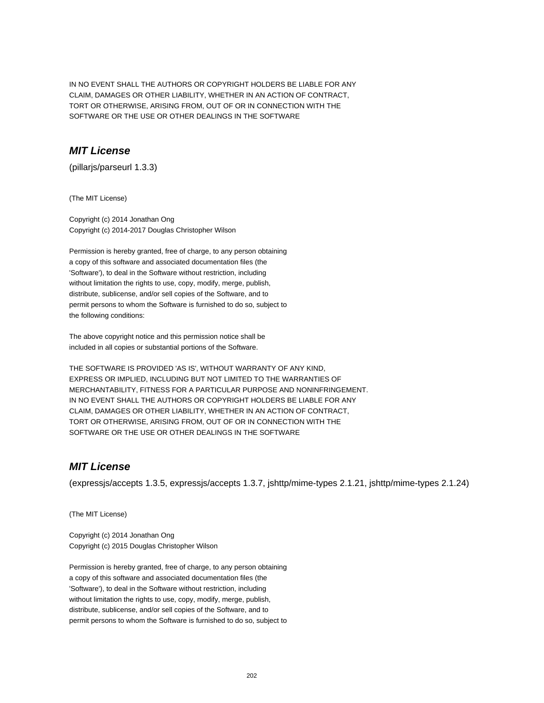IN NO EVENT SHALL THE AUTHORS OR COPYRIGHT HOLDERS BE LIABLE FOR ANY CLAIM, DAMAGES OR OTHER LIABILITY, WHETHER IN AN ACTION OF CONTRACT, TORT OR OTHERWISE, ARISING FROM, OUT OF OR IN CONNECTION WITH THE SOFTWARE OR THE USE OR OTHER DEALINGS IN THE SOFTWARE

## **MIT License**

(pillarjs/parseurl 1.3.3)

(The MIT License)

Copyright (c) 2014 Jonathan Ong Copyright (c) 2014-2017 Douglas Christopher Wilson

Permission is hereby granted, free of charge, to any person obtaining a copy of this software and associated documentation files (the 'Software'), to deal in the Software without restriction, including without limitation the rights to use, copy, modify, merge, publish, distribute, sublicense, and/or sell copies of the Software, and to permit persons to whom the Software is furnished to do so, subject to the following conditions:

The above copyright notice and this permission notice shall be included in all copies or substantial portions of the Software.

THE SOFTWARE IS PROVIDED 'AS IS', WITHOUT WARRANTY OF ANY KIND, EXPRESS OR IMPLIED, INCLUDING BUT NOT LIMITED TO THE WARRANTIES OF MERCHANTABILITY, FITNESS FOR A PARTICULAR PURPOSE AND NONINFRINGEMENT. IN NO EVENT SHALL THE AUTHORS OR COPYRIGHT HOLDERS BE LIABLE FOR ANY CLAIM, DAMAGES OR OTHER LIABILITY, WHETHER IN AN ACTION OF CONTRACT, TORT OR OTHERWISE, ARISING FROM, OUT OF OR IN CONNECTION WITH THE SOFTWARE OR THE USE OR OTHER DEALINGS IN THE SOFTWARE

## **MIT License**

(expressjs/accepts 1.3.5, expressjs/accepts 1.3.7, jshttp/mime-types 2.1.21, jshttp/mime-types 2.1.24)

(The MIT License)

Copyright (c) 2014 Jonathan Ong Copyright (c) 2015 Douglas Christopher Wilson

Permission is hereby granted, free of charge, to any person obtaining a copy of this software and associated documentation files (the 'Software'), to deal in the Software without restriction, including without limitation the rights to use, copy, modify, merge, publish, distribute, sublicense, and/or sell copies of the Software, and to permit persons to whom the Software is furnished to do so, subject to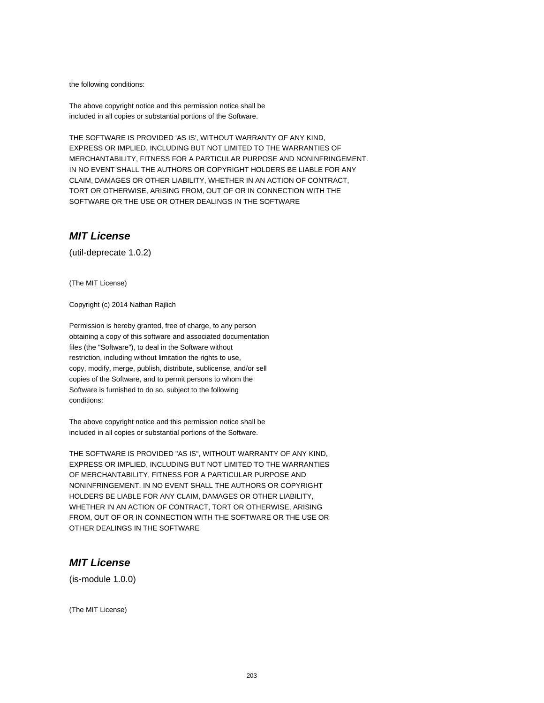the following conditions:

The above copyright notice and this permission notice shall be included in all copies or substantial portions of the Software.

THE SOFTWARE IS PROVIDED 'AS IS', WITHOUT WARRANTY OF ANY KIND, EXPRESS OR IMPLIED, INCLUDING BUT NOT LIMITED TO THE WARRANTIES OF MERCHANTABILITY, FITNESS FOR A PARTICULAR PURPOSE AND NONINFRINGEMENT. IN NO EVENT SHALL THE AUTHORS OR COPYRIGHT HOLDERS BE LIABLE FOR ANY CLAIM, DAMAGES OR OTHER LIABILITY, WHETHER IN AN ACTION OF CONTRACT, TORT OR OTHERWISE, ARISING FROM, OUT OF OR IN CONNECTION WITH THE SOFTWARE OR THE USE OR OTHER DEALINGS IN THE SOFTWARE

#### **MIT License**

(util-deprecate 1.0.2)

(The MIT License)

Copyright (c) 2014 Nathan Rajlich

Permission is hereby granted, free of charge, to any person obtaining a copy of this software and associated documentation files (the "Software"), to deal in the Software without restriction, including without limitation the rights to use, copy, modify, merge, publish, distribute, sublicense, and/or sell copies of the Software, and to permit persons to whom the Software is furnished to do so, subject to the following conditions:

The above copyright notice and this permission notice shall be included in all copies or substantial portions of the Software.

THE SOFTWARE IS PROVIDED "AS IS", WITHOUT WARRANTY OF ANY KIND, EXPRESS OR IMPLIED, INCLUDING BUT NOT LIMITED TO THE WARRANTIES OF MERCHANTABILITY, FITNESS FOR A PARTICULAR PURPOSE AND NONINFRINGEMENT. IN NO EVENT SHALL THE AUTHORS OR COPYRIGHT HOLDERS BE LIABLE FOR ANY CLAIM, DAMAGES OR OTHER LIABILITY, WHETHER IN AN ACTION OF CONTRACT, TORT OR OTHERWISE, ARISING FROM, OUT OF OR IN CONNECTION WITH THE SOFTWARE OR THE USE OR OTHER DEALINGS IN THE SOFTWARE

## **MIT License**

(is-module 1.0.0)

(The MIT License)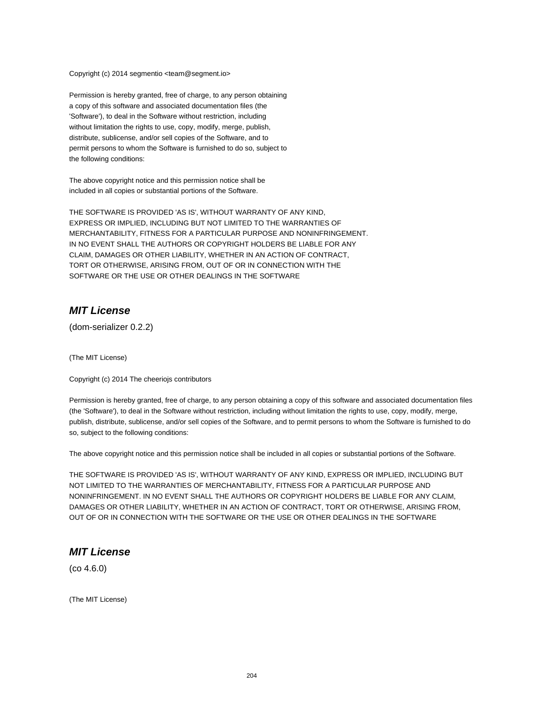Copyright (c) 2014 segmentio <team@segment.io>

Permission is hereby granted, free of charge, to any person obtaining a copy of this software and associated documentation files (the 'Software'), to deal in the Software without restriction, including without limitation the rights to use, copy, modify, merge, publish, distribute, sublicense, and/or sell copies of the Software, and to permit persons to whom the Software is furnished to do so, subject to the following conditions:

The above copyright notice and this permission notice shall be included in all copies or substantial portions of the Software.

THE SOFTWARE IS PROVIDED 'AS IS', WITHOUT WARRANTY OF ANY KIND, EXPRESS OR IMPLIED, INCLUDING BUT NOT LIMITED TO THE WARRANTIES OF MERCHANTABILITY, FITNESS FOR A PARTICULAR PURPOSE AND NONINFRINGEMENT. IN NO EVENT SHALL THE AUTHORS OR COPYRIGHT HOLDERS BE LIABLE FOR ANY CLAIM, DAMAGES OR OTHER LIABILITY, WHETHER IN AN ACTION OF CONTRACT, TORT OR OTHERWISE, ARISING FROM, OUT OF OR IN CONNECTION WITH THE SOFTWARE OR THE USE OR OTHER DEALINGS IN THE SOFTWARE

#### **MIT License**

(dom-serializer 0.2.2)

(The MIT License)

Copyright (c) 2014 The cheeriojs contributors

Permission is hereby granted, free of charge, to any person obtaining a copy of this software and associated documentation files (the 'Software'), to deal in the Software without restriction, including without limitation the rights to use, copy, modify, merge, publish, distribute, sublicense, and/or sell copies of the Software, and to permit persons to whom the Software is furnished to do so, subject to the following conditions:

The above copyright notice and this permission notice shall be included in all copies or substantial portions of the Software.

THE SOFTWARE IS PROVIDED 'AS IS', WITHOUT WARRANTY OF ANY KIND, EXPRESS OR IMPLIED, INCLUDING BUT NOT LIMITED TO THE WARRANTIES OF MERCHANTABILITY, FITNESS FOR A PARTICULAR PURPOSE AND NONINFRINGEMENT. IN NO EVENT SHALL THE AUTHORS OR COPYRIGHT HOLDERS BE LIABLE FOR ANY CLAIM, DAMAGES OR OTHER LIABILITY, WHETHER IN AN ACTION OF CONTRACT, TORT OR OTHERWISE, ARISING FROM, OUT OF OR IN CONNECTION WITH THE SOFTWARE OR THE USE OR OTHER DEALINGS IN THE SOFTWARE

## **MIT License**

(co 4.6.0)

(The MIT License)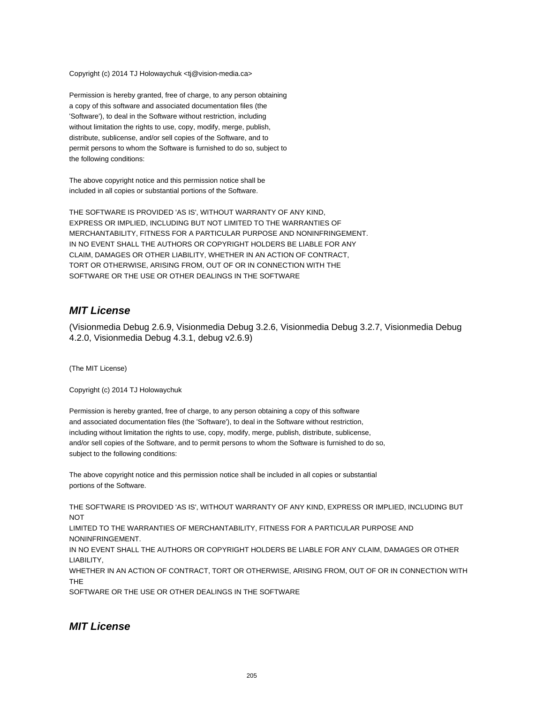Copyright (c) 2014 TJ Holowaychuk <tj@vision-media.ca>

Permission is hereby granted, free of charge, to any person obtaining a copy of this software and associated documentation files (the 'Software'), to deal in the Software without restriction, including without limitation the rights to use, copy, modify, merge, publish, distribute, sublicense, and/or sell copies of the Software, and to permit persons to whom the Software is furnished to do so, subject to the following conditions:

The above copyright notice and this permission notice shall be included in all copies or substantial portions of the Software.

THE SOFTWARE IS PROVIDED 'AS IS', WITHOUT WARRANTY OF ANY KIND, EXPRESS OR IMPLIED, INCLUDING BUT NOT LIMITED TO THE WARRANTIES OF MERCHANTABILITY, FITNESS FOR A PARTICULAR PURPOSE AND NONINFRINGEMENT. IN NO EVENT SHALL THE AUTHORS OR COPYRIGHT HOLDERS BE LIABLE FOR ANY CLAIM, DAMAGES OR OTHER LIABILITY, WHETHER IN AN ACTION OF CONTRACT, TORT OR OTHERWISE, ARISING FROM, OUT OF OR IN CONNECTION WITH THE SOFTWARE OR THE USE OR OTHER DEALINGS IN THE SOFTWARE

#### **MIT License**

(Visionmedia Debug 2.6.9, Visionmedia Debug 3.2.6, Visionmedia Debug 3.2.7, Visionmedia Debug 4.2.0, Visionmedia Debug 4.3.1, debug v2.6.9)

(The MIT License)

Copyright (c) 2014 TJ Holowaychuk

Permission is hereby granted, free of charge, to any person obtaining a copy of this software and associated documentation files (the 'Software'), to deal in the Software without restriction, including without limitation the rights to use, copy, modify, merge, publish, distribute, sublicense, and/or sell copies of the Software, and to permit persons to whom the Software is furnished to do so, subject to the following conditions:

The above copyright notice and this permission notice shall be included in all copies or substantial portions of the Software.

THE SOFTWARE IS PROVIDED 'AS IS', WITHOUT WARRANTY OF ANY KIND, EXPRESS OR IMPLIED, INCLUDING BUT **NOT** 

LIMITED TO THE WARRANTIES OF MERCHANTABILITY, FITNESS FOR A PARTICULAR PURPOSE AND NONINFRINGEMENT.

IN NO EVENT SHALL THE AUTHORS OR COPYRIGHT HOLDERS BE LIABLE FOR ANY CLAIM, DAMAGES OR OTHER LIABILITY,

WHETHER IN AN ACTION OF CONTRACT, TORT OR OTHERWISE, ARISING FROM, OUT OF OR IN CONNECTION WITH THE

SOFTWARE OR THE USE OR OTHER DEALINGS IN THE SOFTWARE

#### **MIT License**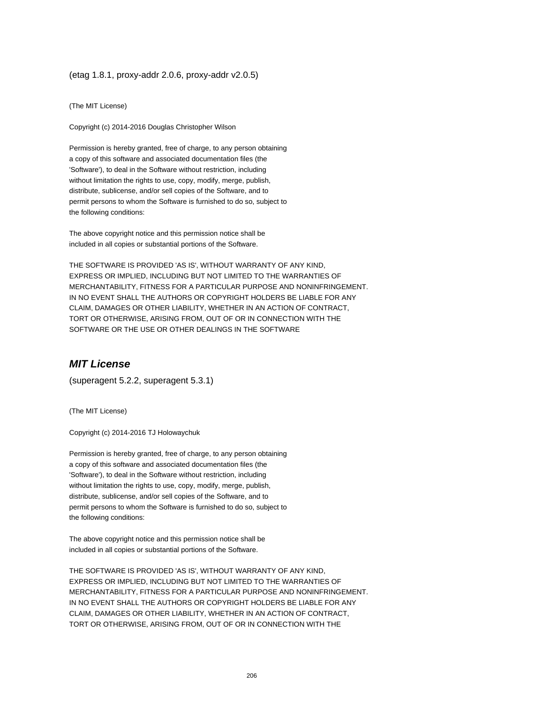#### (etag 1.8.1, proxy-addr 2.0.6, proxy-addr v2.0.5)

(The MIT License)

Copyright (c) 2014-2016 Douglas Christopher Wilson

Permission is hereby granted, free of charge, to any person obtaining a copy of this software and associated documentation files (the 'Software'), to deal in the Software without restriction, including without limitation the rights to use, copy, modify, merge, publish, distribute, sublicense, and/or sell copies of the Software, and to permit persons to whom the Software is furnished to do so, subject to the following conditions:

The above copyright notice and this permission notice shall be included in all copies or substantial portions of the Software.

THE SOFTWARE IS PROVIDED 'AS IS', WITHOUT WARRANTY OF ANY KIND, EXPRESS OR IMPLIED, INCLUDING BUT NOT LIMITED TO THE WARRANTIES OF MERCHANTABILITY, FITNESS FOR A PARTICULAR PURPOSE AND NONINFRINGEMENT. IN NO EVENT SHALL THE AUTHORS OR COPYRIGHT HOLDERS BE LIABLE FOR ANY CLAIM, DAMAGES OR OTHER LIABILITY, WHETHER IN AN ACTION OF CONTRACT, TORT OR OTHERWISE, ARISING FROM, OUT OF OR IN CONNECTION WITH THE SOFTWARE OR THE USE OR OTHER DEALINGS IN THE SOFTWARE

# **MIT License**

(superagent 5.2.2, superagent 5.3.1)

(The MIT License)

Copyright (c) 2014-2016 TJ Holowaychuk

Permission is hereby granted, free of charge, to any person obtaining a copy of this software and associated documentation files (the 'Software'), to deal in the Software without restriction, including without limitation the rights to use, copy, modify, merge, publish, distribute, sublicense, and/or sell copies of the Software, and to permit persons to whom the Software is furnished to do so, subject to the following conditions:

The above copyright notice and this permission notice shall be included in all copies or substantial portions of the Software.

THE SOFTWARE IS PROVIDED 'AS IS', WITHOUT WARRANTY OF ANY KIND, EXPRESS OR IMPLIED, INCLUDING BUT NOT LIMITED TO THE WARRANTIES OF MERCHANTABILITY, FITNESS FOR A PARTICULAR PURPOSE AND NONINFRINGEMENT. IN NO EVENT SHALL THE AUTHORS OR COPYRIGHT HOLDERS BE LIABLE FOR ANY CLAIM, DAMAGES OR OTHER LIABILITY, WHETHER IN AN ACTION OF CONTRACT, TORT OR OTHERWISE, ARISING FROM, OUT OF OR IN CONNECTION WITH THE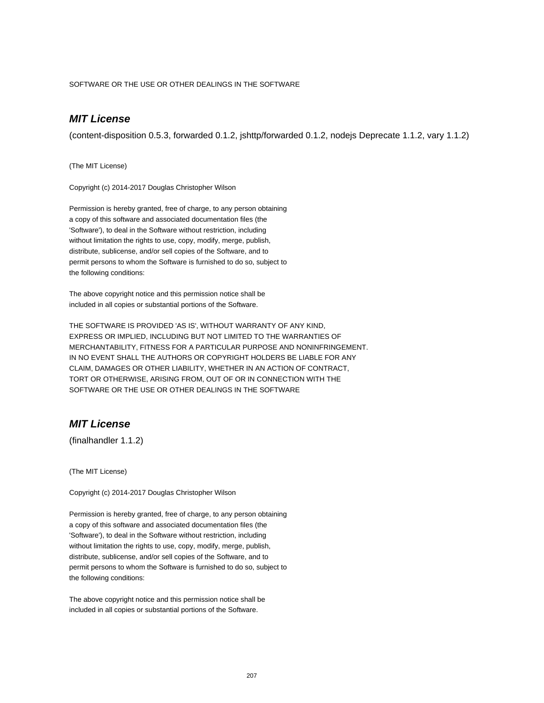SOFTWARE OR THE USE OR OTHER DEALINGS IN THE SOFTWARE

# **MIT License**

(content-disposition 0.5.3, forwarded 0.1.2, jshttp/forwarded 0.1.2, nodejs Deprecate 1.1.2, vary 1.1.2)

(The MIT License)

Copyright (c) 2014-2017 Douglas Christopher Wilson

Permission is hereby granted, free of charge, to any person obtaining a copy of this software and associated documentation files (the 'Software'), to deal in the Software without restriction, including without limitation the rights to use, copy, modify, merge, publish, distribute, sublicense, and/or sell copies of the Software, and to permit persons to whom the Software is furnished to do so, subject to the following conditions:

The above copyright notice and this permission notice shall be included in all copies or substantial portions of the Software.

THE SOFTWARE IS PROVIDED 'AS IS', WITHOUT WARRANTY OF ANY KIND, EXPRESS OR IMPLIED, INCLUDING BUT NOT LIMITED TO THE WARRANTIES OF MERCHANTABILITY, FITNESS FOR A PARTICULAR PURPOSE AND NONINFRINGEMENT. IN NO EVENT SHALL THE AUTHORS OR COPYRIGHT HOLDERS BE LIABLE FOR ANY CLAIM, DAMAGES OR OTHER LIABILITY, WHETHER IN AN ACTION OF CONTRACT, TORT OR OTHERWISE, ARISING FROM, OUT OF OR IN CONNECTION WITH THE SOFTWARE OR THE USE OR OTHER DEALINGS IN THE SOFTWARE

## **MIT License**

(finalhandler 1.1.2)

(The MIT License)

Copyright (c) 2014-2017 Douglas Christopher Wilson

Permission is hereby granted, free of charge, to any person obtaining a copy of this software and associated documentation files (the 'Software'), to deal in the Software without restriction, including without limitation the rights to use, copy, modify, merge, publish, distribute, sublicense, and/or sell copies of the Software, and to permit persons to whom the Software is furnished to do so, subject to the following conditions:

The above copyright notice and this permission notice shall be included in all copies or substantial portions of the Software.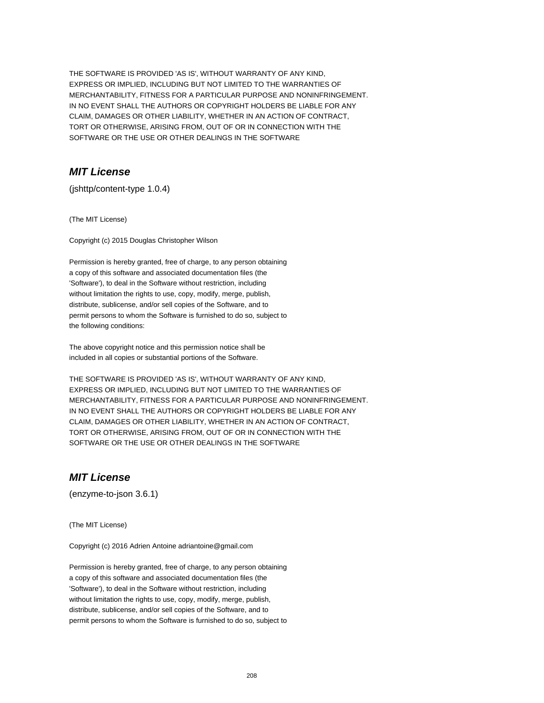THE SOFTWARE IS PROVIDED 'AS IS', WITHOUT WARRANTY OF ANY KIND, EXPRESS OR IMPLIED, INCLUDING BUT NOT LIMITED TO THE WARRANTIES OF MERCHANTABILITY, FITNESS FOR A PARTICULAR PURPOSE AND NONINFRINGEMENT. IN NO EVENT SHALL THE AUTHORS OR COPYRIGHT HOLDERS BE LIABLE FOR ANY CLAIM, DAMAGES OR OTHER LIABILITY, WHETHER IN AN ACTION OF CONTRACT, TORT OR OTHERWISE, ARISING FROM, OUT OF OR IN CONNECTION WITH THE SOFTWARE OR THE USE OR OTHER DEALINGS IN THE SOFTWARE

# **MIT License**

(jshttp/content-type 1.0.4)

(The MIT License)

Copyright (c) 2015 Douglas Christopher Wilson

Permission is hereby granted, free of charge, to any person obtaining a copy of this software and associated documentation files (the 'Software'), to deal in the Software without restriction, including without limitation the rights to use, copy, modify, merge, publish, distribute, sublicense, and/or sell copies of the Software, and to permit persons to whom the Software is furnished to do so, subject to the following conditions:

The above copyright notice and this permission notice shall be included in all copies or substantial portions of the Software.

THE SOFTWARE IS PROVIDED 'AS IS', WITHOUT WARRANTY OF ANY KIND, EXPRESS OR IMPLIED, INCLUDING BUT NOT LIMITED TO THE WARRANTIES OF MERCHANTABILITY, FITNESS FOR A PARTICULAR PURPOSE AND NONINFRINGEMENT. IN NO EVENT SHALL THE AUTHORS OR COPYRIGHT HOLDERS BE LIABLE FOR ANY CLAIM, DAMAGES OR OTHER LIABILITY, WHETHER IN AN ACTION OF CONTRACT, TORT OR OTHERWISE, ARISING FROM, OUT OF OR IN CONNECTION WITH THE SOFTWARE OR THE USE OR OTHER DEALINGS IN THE SOFTWARE

## **MIT License**

(enzyme-to-json 3.6.1)

(The MIT License)

Copyright (c) 2016 Adrien Antoine adriantoine@gmail.com

Permission is hereby granted, free of charge, to any person obtaining a copy of this software and associated documentation files (the 'Software'), to deal in the Software without restriction, including without limitation the rights to use, copy, modify, merge, publish, distribute, sublicense, and/or sell copies of the Software, and to permit persons to whom the Software is furnished to do so, subject to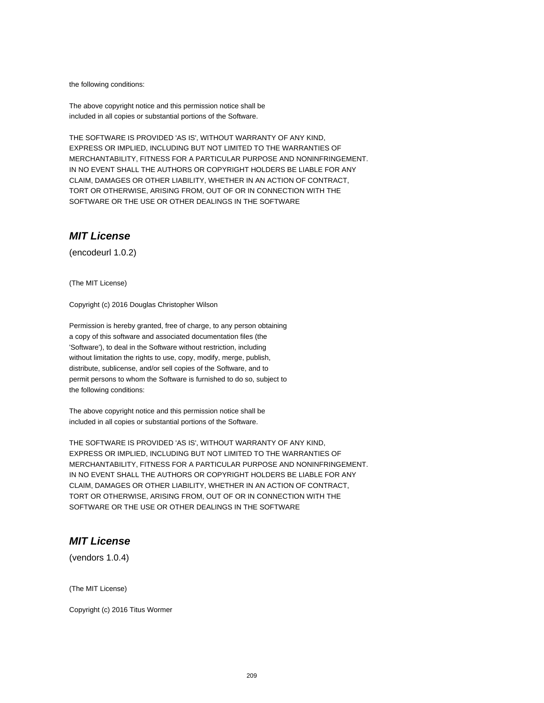the following conditions:

The above copyright notice and this permission notice shall be included in all copies or substantial portions of the Software.

THE SOFTWARE IS PROVIDED 'AS IS', WITHOUT WARRANTY OF ANY KIND, EXPRESS OR IMPLIED, INCLUDING BUT NOT LIMITED TO THE WARRANTIES OF MERCHANTABILITY, FITNESS FOR A PARTICULAR PURPOSE AND NONINFRINGEMENT. IN NO EVENT SHALL THE AUTHORS OR COPYRIGHT HOLDERS BE LIABLE FOR ANY CLAIM, DAMAGES OR OTHER LIABILITY, WHETHER IN AN ACTION OF CONTRACT, TORT OR OTHERWISE, ARISING FROM, OUT OF OR IN CONNECTION WITH THE SOFTWARE OR THE USE OR OTHER DEALINGS IN THE SOFTWARE

## **MIT License**

(encodeurl 1.0.2)

(The MIT License)

Copyright (c) 2016 Douglas Christopher Wilson

Permission is hereby granted, free of charge, to any person obtaining a copy of this software and associated documentation files (the 'Software'), to deal in the Software without restriction, including without limitation the rights to use, copy, modify, merge, publish, distribute, sublicense, and/or sell copies of the Software, and to permit persons to whom the Software is furnished to do so, subject to the following conditions:

The above copyright notice and this permission notice shall be included in all copies or substantial portions of the Software.

THE SOFTWARE IS PROVIDED 'AS IS', WITHOUT WARRANTY OF ANY KIND, EXPRESS OR IMPLIED, INCLUDING BUT NOT LIMITED TO THE WARRANTIES OF MERCHANTABILITY, FITNESS FOR A PARTICULAR PURPOSE AND NONINFRINGEMENT. IN NO EVENT SHALL THE AUTHORS OR COPYRIGHT HOLDERS BE LIABLE FOR ANY CLAIM, DAMAGES OR OTHER LIABILITY, WHETHER IN AN ACTION OF CONTRACT, TORT OR OTHERWISE, ARISING FROM, OUT OF OR IN CONNECTION WITH THE SOFTWARE OR THE USE OR OTHER DEALINGS IN THE SOFTWARE

## **MIT License**

(vendors 1.0.4)

(The MIT License)

Copyright (c) 2016 Titus Wormer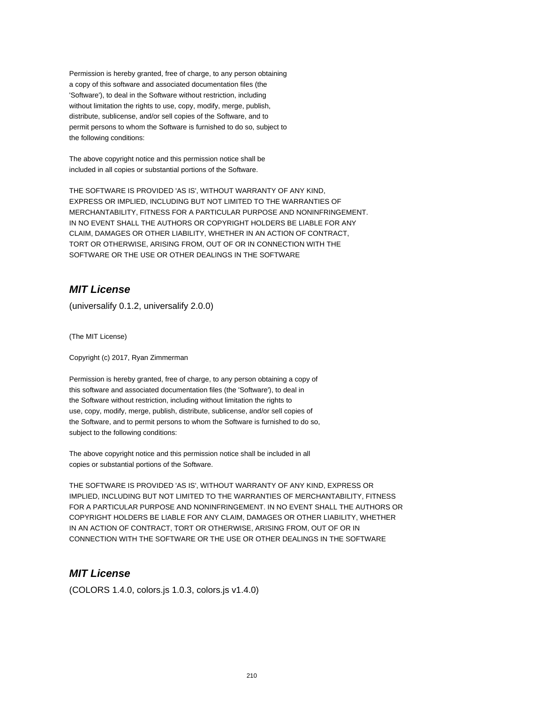Permission is hereby granted, free of charge, to any person obtaining a copy of this software and associated documentation files (the 'Software'), to deal in the Software without restriction, including without limitation the rights to use, copy, modify, merge, publish, distribute, sublicense, and/or sell copies of the Software, and to permit persons to whom the Software is furnished to do so, subject to the following conditions:

The above copyright notice and this permission notice shall be included in all copies or substantial portions of the Software.

THE SOFTWARE IS PROVIDED 'AS IS', WITHOUT WARRANTY OF ANY KIND, EXPRESS OR IMPLIED, INCLUDING BUT NOT LIMITED TO THE WARRANTIES OF MERCHANTABILITY, FITNESS FOR A PARTICULAR PURPOSE AND NONINFRINGEMENT. IN NO EVENT SHALL THE AUTHORS OR COPYRIGHT HOLDERS BE LIABLE FOR ANY CLAIM, DAMAGES OR OTHER LIABILITY, WHETHER IN AN ACTION OF CONTRACT, TORT OR OTHERWISE, ARISING FROM, OUT OF OR IN CONNECTION WITH THE SOFTWARE OR THE USE OR OTHER DEALINGS IN THE SOFTWARE

# **MIT License**

(universalify 0.1.2, universalify 2.0.0)

(The MIT License)

Copyright (c) 2017, Ryan Zimmerman

Permission is hereby granted, free of charge, to any person obtaining a copy of this software and associated documentation files (the 'Software'), to deal in the Software without restriction, including without limitation the rights to use, copy, modify, merge, publish, distribute, sublicense, and/or sell copies of the Software, and to permit persons to whom the Software is furnished to do so, subject to the following conditions:

The above copyright notice and this permission notice shall be included in all copies or substantial portions of the Software.

THE SOFTWARE IS PROVIDED 'AS IS', WITHOUT WARRANTY OF ANY KIND, EXPRESS OR IMPLIED, INCLUDING BUT NOT LIMITED TO THE WARRANTIES OF MERCHANTABILITY, FITNESS FOR A PARTICULAR PURPOSE AND NONINFRINGEMENT. IN NO EVENT SHALL THE AUTHORS OR COPYRIGHT HOLDERS BE LIABLE FOR ANY CLAIM, DAMAGES OR OTHER LIABILITY, WHETHER IN AN ACTION OF CONTRACT, TORT OR OTHERWISE, ARISING FROM, OUT OF OR IN CONNECTION WITH THE SOFTWARE OR THE USE OR OTHER DEALINGS IN THE SOFTWARE

## **MIT License**

(COLORS 1.4.0, colors.js 1.0.3, colors.js v1.4.0)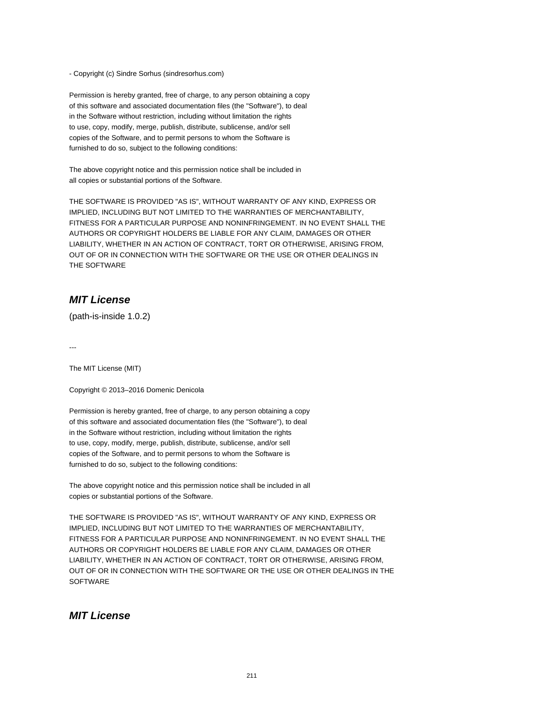- Copyright (c) Sindre Sorhus (sindresorhus.com)

Permission is hereby granted, free of charge, to any person obtaining a copy of this software and associated documentation files (the "Software"), to deal in the Software without restriction, including without limitation the rights to use, copy, modify, merge, publish, distribute, sublicense, and/or sell copies of the Software, and to permit persons to whom the Software is furnished to do so, subject to the following conditions:

The above copyright notice and this permission notice shall be included in all copies or substantial portions of the Software.

THE SOFTWARE IS PROVIDED "AS IS", WITHOUT WARRANTY OF ANY KIND, EXPRESS OR IMPLIED, INCLUDING BUT NOT LIMITED TO THE WARRANTIES OF MERCHANTABILITY, FITNESS FOR A PARTICULAR PURPOSE AND NONINFRINGEMENT. IN NO EVENT SHALL THE AUTHORS OR COPYRIGHT HOLDERS BE LIABLE FOR ANY CLAIM, DAMAGES OR OTHER LIABILITY, WHETHER IN AN ACTION OF CONTRACT, TORT OR OTHERWISE, ARISING FROM, OUT OF OR IN CONNECTION WITH THE SOFTWARE OR THE USE OR OTHER DEALINGS IN THE SOFTWARE

## **MIT License**

(path-is-inside 1.0.2)

---

The MIT License (MIT)

Copyright © 2013–2016 Domenic Denicola

Permission is hereby granted, free of charge, to any person obtaining a copy of this software and associated documentation files (the "Software"), to deal in the Software without restriction, including without limitation the rights to use, copy, modify, merge, publish, distribute, sublicense, and/or sell copies of the Software, and to permit persons to whom the Software is furnished to do so, subject to the following conditions:

The above copyright notice and this permission notice shall be included in all copies or substantial portions of the Software.

THE SOFTWARE IS PROVIDED "AS IS", WITHOUT WARRANTY OF ANY KIND, EXPRESS OR IMPLIED, INCLUDING BUT NOT LIMITED TO THE WARRANTIES OF MERCHANTABILITY, FITNESS FOR A PARTICULAR PURPOSE AND NONINFRINGEMENT. IN NO EVENT SHALL THE AUTHORS OR COPYRIGHT HOLDERS BE LIABLE FOR ANY CLAIM, DAMAGES OR OTHER LIABILITY, WHETHER IN AN ACTION OF CONTRACT, TORT OR OTHERWISE, ARISING FROM, OUT OF OR IN CONNECTION WITH THE SOFTWARE OR THE USE OR OTHER DEALINGS IN THE **SOFTWARE** 

## **MIT License**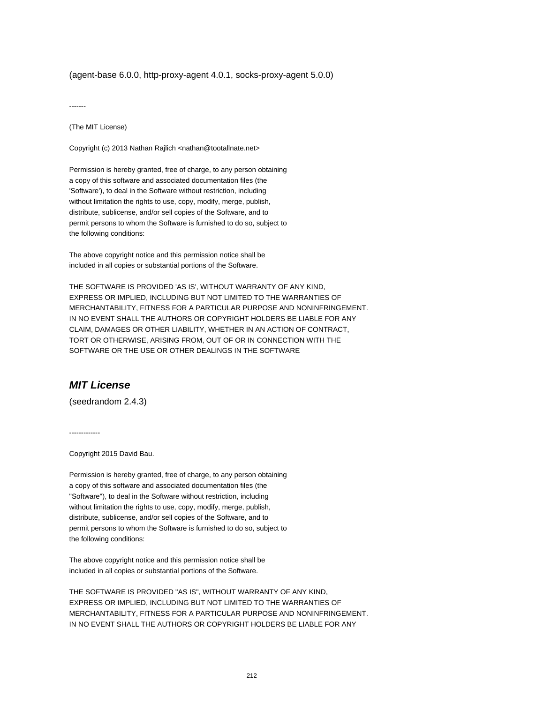(agent-base 6.0.0, http-proxy-agent 4.0.1, socks-proxy-agent 5.0.0)

-------

(The MIT License)

Copyright (c) 2013 Nathan Rajlich <nathan@tootallnate.net>

Permission is hereby granted, free of charge, to any person obtaining a copy of this software and associated documentation files (the 'Software'), to deal in the Software without restriction, including without limitation the rights to use, copy, modify, merge, publish, distribute, sublicense, and/or sell copies of the Software, and to permit persons to whom the Software is furnished to do so, subject to the following conditions:

The above copyright notice and this permission notice shall be included in all copies or substantial portions of the Software.

THE SOFTWARE IS PROVIDED 'AS IS', WITHOUT WARRANTY OF ANY KIND, EXPRESS OR IMPLIED, INCLUDING BUT NOT LIMITED TO THE WARRANTIES OF MERCHANTABILITY, FITNESS FOR A PARTICULAR PURPOSE AND NONINFRINGEMENT. IN NO EVENT SHALL THE AUTHORS OR COPYRIGHT HOLDERS BE LIABLE FOR ANY CLAIM, DAMAGES OR OTHER LIABILITY, WHETHER IN AN ACTION OF CONTRACT, TORT OR OTHERWISE, ARISING FROM, OUT OF OR IN CONNECTION WITH THE SOFTWARE OR THE USE OR OTHER DEALINGS IN THE SOFTWARE

# **MIT License**

(seedrandom 2.4.3)

-------------

Copyright 2015 David Bau.

Permission is hereby granted, free of charge, to any person obtaining a copy of this software and associated documentation files (the "Software"), to deal in the Software without restriction, including without limitation the rights to use, copy, modify, merge, publish, distribute, sublicense, and/or sell copies of the Software, and to permit persons to whom the Software is furnished to do so, subject to the following conditions:

The above copyright notice and this permission notice shall be included in all copies or substantial portions of the Software.

THE SOFTWARE IS PROVIDED "AS IS", WITHOUT WARRANTY OF ANY KIND, EXPRESS OR IMPLIED, INCLUDING BUT NOT LIMITED TO THE WARRANTIES OF MERCHANTABILITY, FITNESS FOR A PARTICULAR PURPOSE AND NONINFRINGEMENT. IN NO EVENT SHALL THE AUTHORS OR COPYRIGHT HOLDERS BE LIABLE FOR ANY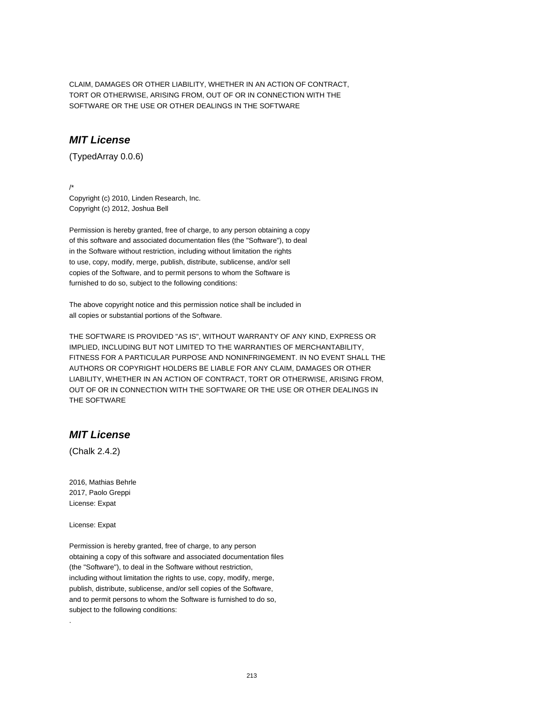CLAIM, DAMAGES OR OTHER LIABILITY, WHETHER IN AN ACTION OF CONTRACT, TORT OR OTHERWISE, ARISING FROM, OUT OF OR IN CONNECTION WITH THE SOFTWARE OR THE USE OR OTHER DEALINGS IN THE SOFTWARE

## **MIT License**

(TypedArray 0.0.6)

/\*

Copyright (c) 2010, Linden Research, Inc. Copyright (c) 2012, Joshua Bell

Permission is hereby granted, free of charge, to any person obtaining a copy of this software and associated documentation files (the "Software"), to deal in the Software without restriction, including without limitation the rights to use, copy, modify, merge, publish, distribute, sublicense, and/or sell copies of the Software, and to permit persons to whom the Software is furnished to do so, subject to the following conditions:

The above copyright notice and this permission notice shall be included in all copies or substantial portions of the Software.

THE SOFTWARE IS PROVIDED "AS IS", WITHOUT WARRANTY OF ANY KIND, EXPRESS OR IMPLIED, INCLUDING BUT NOT LIMITED TO THE WARRANTIES OF MERCHANTABILITY, FITNESS FOR A PARTICULAR PURPOSE AND NONINFRINGEMENT. IN NO EVENT SHALL THE AUTHORS OR COPYRIGHT HOLDERS BE LIABLE FOR ANY CLAIM, DAMAGES OR OTHER LIABILITY, WHETHER IN AN ACTION OF CONTRACT, TORT OR OTHERWISE, ARISING FROM, OUT OF OR IN CONNECTION WITH THE SOFTWARE OR THE USE OR OTHER DEALINGS IN THE SOFTWARE

#### **MIT License**

(Chalk 2.4.2)

2016, Mathias Behrle 2017, Paolo Greppi License: Expat

License: Expat

.

Permission is hereby granted, free of charge, to any person obtaining a copy of this software and associated documentation files (the "Software"), to deal in the Software without restriction, including without limitation the rights to use, copy, modify, merge, publish, distribute, sublicense, and/or sell copies of the Software, and to permit persons to whom the Software is furnished to do so, subject to the following conditions: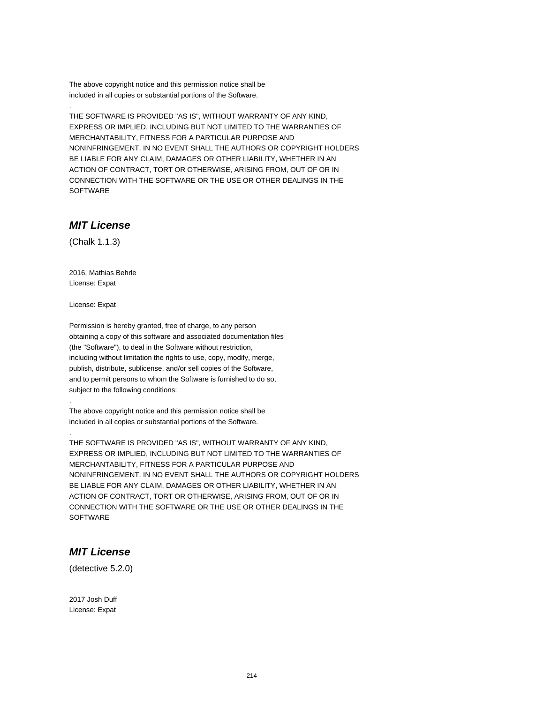The above copyright notice and this permission notice shall be included in all copies or substantial portions of the Software.

THE SOFTWARE IS PROVIDED "AS IS", WITHOUT WARRANTY OF ANY KIND, EXPRESS OR IMPLIED, INCLUDING BUT NOT LIMITED TO THE WARRANTIES OF MERCHANTABILITY, FITNESS FOR A PARTICULAR PURPOSE AND NONINFRINGEMENT. IN NO EVENT SHALL THE AUTHORS OR COPYRIGHT HOLDERS BE LIABLE FOR ANY CLAIM, DAMAGES OR OTHER LIABILITY, WHETHER IN AN ACTION OF CONTRACT, TORT OR OTHERWISE, ARISING FROM, OUT OF OR IN CONNECTION WITH THE SOFTWARE OR THE USE OR OTHER DEALINGS IN THE **SOFTWARE** 

## **MIT License**

(Chalk 1.1.3)

.

2016, Mathias Behrle License: Expat

License: Expat

.

.

Permission is hereby granted, free of charge, to any person obtaining a copy of this software and associated documentation files (the "Software"), to deal in the Software without restriction, including without limitation the rights to use, copy, modify, merge, publish, distribute, sublicense, and/or sell copies of the Software, and to permit persons to whom the Software is furnished to do so, subject to the following conditions:

The above copyright notice and this permission notice shall be included in all copies or substantial portions of the Software.

THE SOFTWARE IS PROVIDED "AS IS", WITHOUT WARRANTY OF ANY KIND, EXPRESS OR IMPLIED, INCLUDING BUT NOT LIMITED TO THE WARRANTIES OF MERCHANTABILITY, FITNESS FOR A PARTICULAR PURPOSE AND NONINFRINGEMENT. IN NO EVENT SHALL THE AUTHORS OR COPYRIGHT HOLDERS BE LIABLE FOR ANY CLAIM, DAMAGES OR OTHER LIABILITY, WHETHER IN AN ACTION OF CONTRACT, TORT OR OTHERWISE, ARISING FROM, OUT OF OR IN CONNECTION WITH THE SOFTWARE OR THE USE OR OTHER DEALINGS IN THE **SOFTWARE** 

## **MIT License**

(detective 5.2.0)

2017 Josh Duff License: Expat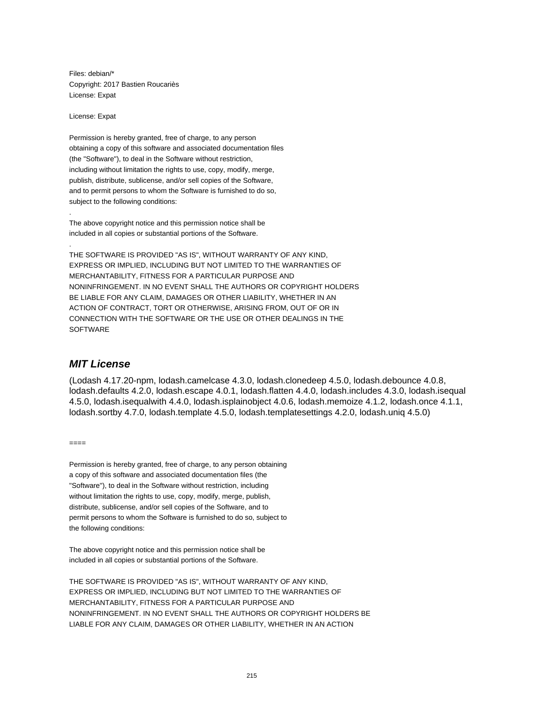Files: debian/\* Copyright: 2017 Bastien Roucariès License: Expat

License: Expat

.

.

Permission is hereby granted, free of charge, to any person obtaining a copy of this software and associated documentation files (the "Software"), to deal in the Software without restriction, including without limitation the rights to use, copy, modify, merge, publish, distribute, sublicense, and/or sell copies of the Software, and to permit persons to whom the Software is furnished to do so, subject to the following conditions:

The above copyright notice and this permission notice shall be included in all copies or substantial portions of the Software.

THE SOFTWARE IS PROVIDED "AS IS", WITHOUT WARRANTY OF ANY KIND, EXPRESS OR IMPLIED, INCLUDING BUT NOT LIMITED TO THE WARRANTIES OF MERCHANTABILITY, FITNESS FOR A PARTICULAR PURPOSE AND NONINFRINGEMENT. IN NO EVENT SHALL THE AUTHORS OR COPYRIGHT HOLDERS BE LIABLE FOR ANY CLAIM, DAMAGES OR OTHER LIABILITY, WHETHER IN AN ACTION OF CONTRACT, TORT OR OTHERWISE, ARISING FROM, OUT OF OR IN CONNECTION WITH THE SOFTWARE OR THE USE OR OTHER DEALINGS IN THE **SOFTWARE** 

#### **MIT License**

(Lodash 4.17.20-npm, lodash.camelcase 4.3.0, lodash.clonedeep 4.5.0, lodash.debounce 4.0.8, lodash.defaults 4.2.0, lodash.escape 4.0.1, lodash.flatten 4.4.0, lodash.includes 4.3.0, lodash.isequal 4.5.0, lodash.isequalwith 4.4.0, lodash.isplainobject 4.0.6, lodash.memoize 4.1.2, lodash.once 4.1.1, lodash.sortby 4.7.0, lodash.template 4.5.0, lodash.templatesettings 4.2.0, lodash.uniq 4.5.0)

====

Permission is hereby granted, free of charge, to any person obtaining a copy of this software and associated documentation files (the "Software"), to deal in the Software without restriction, including without limitation the rights to use, copy, modify, merge, publish, distribute, sublicense, and/or sell copies of the Software, and to permit persons to whom the Software is furnished to do so, subject to the following conditions:

The above copyright notice and this permission notice shall be included in all copies or substantial portions of the Software.

THE SOFTWARE IS PROVIDED "AS IS", WITHOUT WARRANTY OF ANY KIND, EXPRESS OR IMPLIED, INCLUDING BUT NOT LIMITED TO THE WARRANTIES OF MERCHANTABILITY, FITNESS FOR A PARTICULAR PURPOSE AND NONINFRINGEMENT. IN NO EVENT SHALL THE AUTHORS OR COPYRIGHT HOLDERS BE LIABLE FOR ANY CLAIM, DAMAGES OR OTHER LIABILITY, WHETHER IN AN ACTION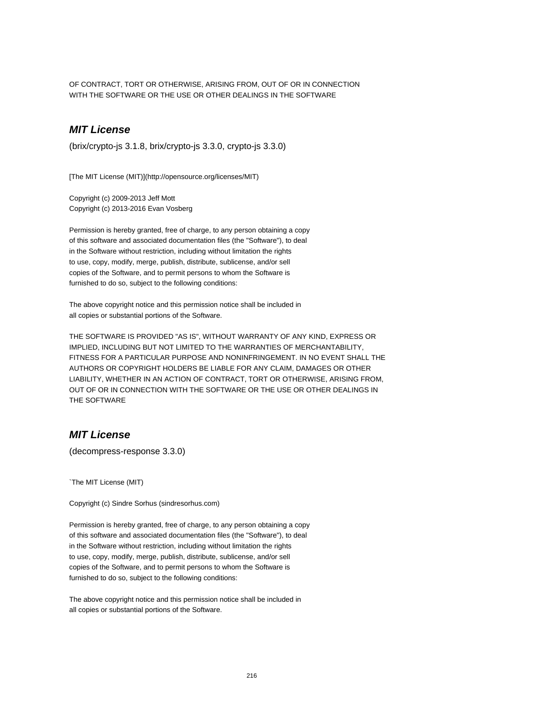OF CONTRACT, TORT OR OTHERWISE, ARISING FROM, OUT OF OR IN CONNECTION WITH THE SOFTWARE OR THE USE OR OTHER DEALINGS IN THE SOFTWARE

## **MIT License**

(brix/crypto-js 3.1.8, brix/crypto-js 3.3.0, crypto-js 3.3.0)

[The MIT License (MIT)](http://opensource.org/licenses/MIT)

Copyright (c) 2009-2013 Jeff Mott Copyright (c) 2013-2016 Evan Vosberg

Permission is hereby granted, free of charge, to any person obtaining a copy of this software and associated documentation files (the "Software"), to deal in the Software without restriction, including without limitation the rights to use, copy, modify, merge, publish, distribute, sublicense, and/or sell copies of the Software, and to permit persons to whom the Software is furnished to do so, subject to the following conditions:

The above copyright notice and this permission notice shall be included in all copies or substantial portions of the Software.

THE SOFTWARE IS PROVIDED "AS IS", WITHOUT WARRANTY OF ANY KIND, EXPRESS OR IMPLIED, INCLUDING BUT NOT LIMITED TO THE WARRANTIES OF MERCHANTABILITY, FITNESS FOR A PARTICULAR PURPOSE AND NONINFRINGEMENT. IN NO EVENT SHALL THE AUTHORS OR COPYRIGHT HOLDERS BE LIABLE FOR ANY CLAIM, DAMAGES OR OTHER LIABILITY, WHETHER IN AN ACTION OF CONTRACT, TORT OR OTHERWISE, ARISING FROM, OUT OF OR IN CONNECTION WITH THE SOFTWARE OR THE USE OR OTHER DEALINGS IN THE SOFTWARE

## **MIT License**

(decompress-response 3.3.0)

`The MIT License (MIT)

Copyright (c) Sindre Sorhus (sindresorhus.com)

Permission is hereby granted, free of charge, to any person obtaining a copy of this software and associated documentation files (the "Software"), to deal in the Software without restriction, including without limitation the rights to use, copy, modify, merge, publish, distribute, sublicense, and/or sell copies of the Software, and to permit persons to whom the Software is furnished to do so, subject to the following conditions:

The above copyright notice and this permission notice shall be included in all copies or substantial portions of the Software.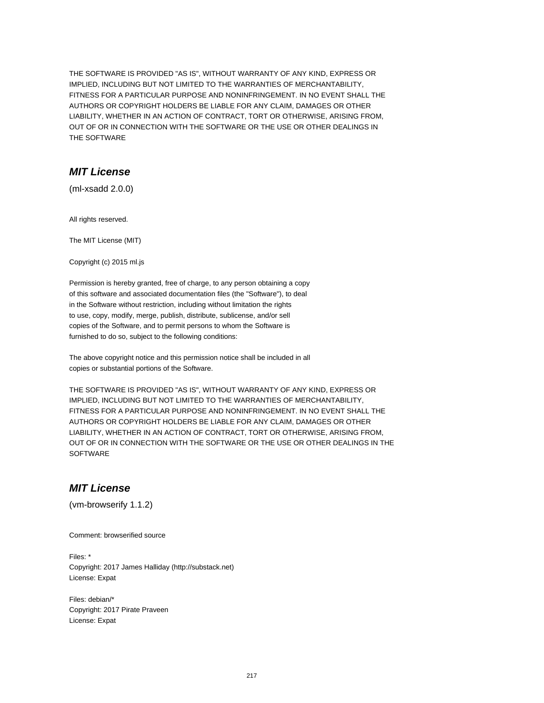THE SOFTWARE IS PROVIDED "AS IS", WITHOUT WARRANTY OF ANY KIND, EXPRESS OR IMPLIED, INCLUDING BUT NOT LIMITED TO THE WARRANTIES OF MERCHANTABILITY, FITNESS FOR A PARTICULAR PURPOSE AND NONINFRINGEMENT. IN NO EVENT SHALL THE AUTHORS OR COPYRIGHT HOLDERS BE LIABLE FOR ANY CLAIM, DAMAGES OR OTHER LIABILITY, WHETHER IN AN ACTION OF CONTRACT, TORT OR OTHERWISE, ARISING FROM, OUT OF OR IN CONNECTION WITH THE SOFTWARE OR THE USE OR OTHER DEALINGS IN THE SOFTWARE

## **MIT License**

(ml-xsadd 2.0.0)

All rights reserved.

The MIT License (MIT)

Copyright (c) 2015 ml.js

Permission is hereby granted, free of charge, to any person obtaining a copy of this software and associated documentation files (the "Software"), to deal in the Software without restriction, including without limitation the rights to use, copy, modify, merge, publish, distribute, sublicense, and/or sell copies of the Software, and to permit persons to whom the Software is furnished to do so, subject to the following conditions:

The above copyright notice and this permission notice shall be included in all copies or substantial portions of the Software.

THE SOFTWARE IS PROVIDED "AS IS", WITHOUT WARRANTY OF ANY KIND, EXPRESS OR IMPLIED, INCLUDING BUT NOT LIMITED TO THE WARRANTIES OF MERCHANTABILITY, FITNESS FOR A PARTICULAR PURPOSE AND NONINFRINGEMENT. IN NO EVENT SHALL THE AUTHORS OR COPYRIGHT HOLDERS BE LIABLE FOR ANY CLAIM, DAMAGES OR OTHER LIABILITY, WHETHER IN AN ACTION OF CONTRACT, TORT OR OTHERWISE, ARISING FROM, OUT OF OR IN CONNECTION WITH THE SOFTWARE OR THE USE OR OTHER DEALINGS IN THE **SOFTWARE** 

## **MIT License**

(vm-browserify 1.1.2)

Comment: browserified source

Files: \* Copyright: 2017 James Halliday (http://substack.net) License: Expat

Files: debian/\* Copyright: 2017 Pirate Praveen License: Expat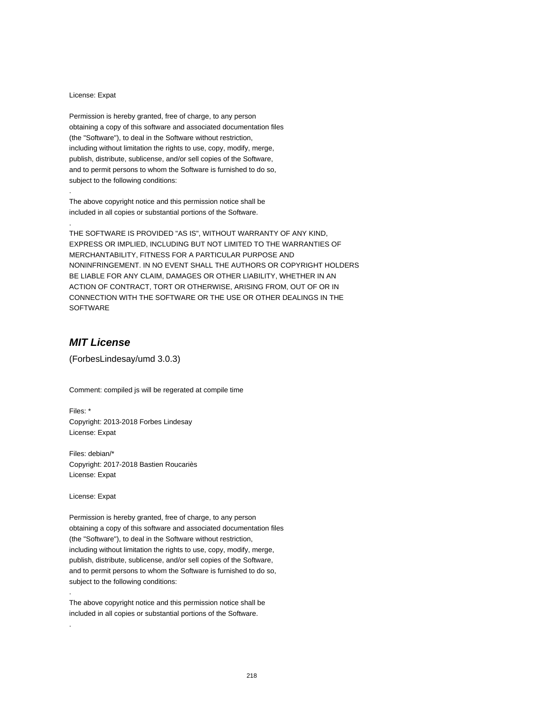#### License: Expat

.

.

Permission is hereby granted, free of charge, to any person obtaining a copy of this software and associated documentation files (the "Software"), to deal in the Software without restriction, including without limitation the rights to use, copy, modify, merge, publish, distribute, sublicense, and/or sell copies of the Software, and to permit persons to whom the Software is furnished to do so, subject to the following conditions:

The above copyright notice and this permission notice shall be included in all copies or substantial portions of the Software.

THE SOFTWARE IS PROVIDED "AS IS", WITHOUT WARRANTY OF ANY KIND, EXPRESS OR IMPLIED, INCLUDING BUT NOT LIMITED TO THE WARRANTIES OF MERCHANTABILITY, FITNESS FOR A PARTICULAR PURPOSE AND NONINFRINGEMENT. IN NO EVENT SHALL THE AUTHORS OR COPYRIGHT HOLDERS BE LIABLE FOR ANY CLAIM, DAMAGES OR OTHER LIABILITY, WHETHER IN AN ACTION OF CONTRACT, TORT OR OTHERWISE, ARISING FROM, OUT OF OR IN CONNECTION WITH THE SOFTWARE OR THE USE OR OTHER DEALINGS IN THE **SOFTWARE** 

# **MIT License**

(ForbesLindesay/umd 3.0.3)

Comment: compiled js will be regerated at compile time

Files: \* Copyright: 2013-2018 Forbes Lindesay License: Expat

Files: debian/\* Copyright: 2017-2018 Bastien Roucariès License: Expat

License: Expat

.

.

Permission is hereby granted, free of charge, to any person obtaining a copy of this software and associated documentation files (the "Software"), to deal in the Software without restriction, including without limitation the rights to use, copy, modify, merge, publish, distribute, sublicense, and/or sell copies of the Software, and to permit persons to whom the Software is furnished to do so, subject to the following conditions:

The above copyright notice and this permission notice shall be included in all copies or substantial portions of the Software.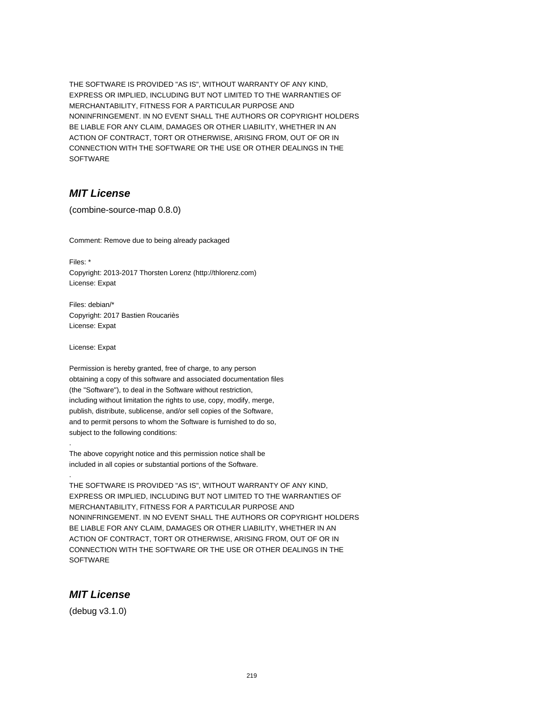THE SOFTWARE IS PROVIDED "AS IS", WITHOUT WARRANTY OF ANY KIND, EXPRESS OR IMPLIED, INCLUDING BUT NOT LIMITED TO THE WARRANTIES OF MERCHANTABILITY, FITNESS FOR A PARTICULAR PURPOSE AND NONINFRINGEMENT. IN NO EVENT SHALL THE AUTHORS OR COPYRIGHT HOLDERS BE LIABLE FOR ANY CLAIM, DAMAGES OR OTHER LIABILITY, WHETHER IN AN ACTION OF CONTRACT, TORT OR OTHERWISE, ARISING FROM, OUT OF OR IN CONNECTION WITH THE SOFTWARE OR THE USE OR OTHER DEALINGS IN THE **SOFTWARE** 

## **MIT License**

(combine-source-map 0.8.0)

Comment: Remove due to being already packaged

Files: \* Copyright: 2013-2017 Thorsten Lorenz (http://thlorenz.com) License: Expat

Files: debian/\* Copyright: 2017 Bastien Roucariès License: Expat

License: Expat

.

.

Permission is hereby granted, free of charge, to any person obtaining a copy of this software and associated documentation files (the "Software"), to deal in the Software without restriction, including without limitation the rights to use, copy, modify, merge, publish, distribute, sublicense, and/or sell copies of the Software, and to permit persons to whom the Software is furnished to do so, subject to the following conditions:

The above copyright notice and this permission notice shall be included in all copies or substantial portions of the Software.

THE SOFTWARE IS PROVIDED "AS IS", WITHOUT WARRANTY OF ANY KIND, EXPRESS OR IMPLIED, INCLUDING BUT NOT LIMITED TO THE WARRANTIES OF MERCHANTABILITY, FITNESS FOR A PARTICULAR PURPOSE AND NONINFRINGEMENT. IN NO EVENT SHALL THE AUTHORS OR COPYRIGHT HOLDERS BE LIABLE FOR ANY CLAIM, DAMAGES OR OTHER LIABILITY, WHETHER IN AN ACTION OF CONTRACT, TORT OR OTHERWISE, ARISING FROM, OUT OF OR IN CONNECTION WITH THE SOFTWARE OR THE USE OR OTHER DEALINGS IN THE **SOFTWARE** 

#### **MIT License**

(debug v3.1.0)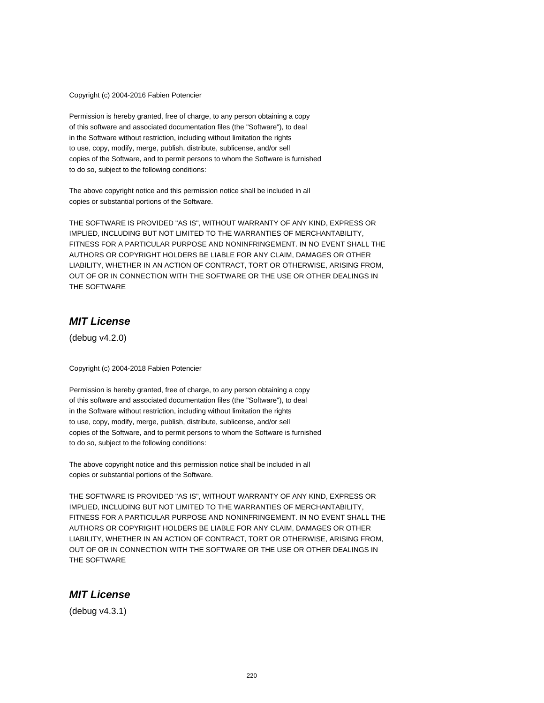Copyright (c) 2004-2016 Fabien Potencier

Permission is hereby granted, free of charge, to any person obtaining a copy of this software and associated documentation files (the "Software"), to deal in the Software without restriction, including without limitation the rights to use, copy, modify, merge, publish, distribute, sublicense, and/or sell copies of the Software, and to permit persons to whom the Software is furnished to do so, subject to the following conditions:

The above copyright notice and this permission notice shall be included in all copies or substantial portions of the Software.

THE SOFTWARE IS PROVIDED "AS IS", WITHOUT WARRANTY OF ANY KIND, EXPRESS OR IMPLIED, INCLUDING BUT NOT LIMITED TO THE WARRANTIES OF MERCHANTABILITY, FITNESS FOR A PARTICULAR PURPOSE AND NONINFRINGEMENT. IN NO EVENT SHALL THE AUTHORS OR COPYRIGHT HOLDERS BE LIABLE FOR ANY CLAIM, DAMAGES OR OTHER LIABILITY, WHETHER IN AN ACTION OF CONTRACT, TORT OR OTHERWISE, ARISING FROM, OUT OF OR IN CONNECTION WITH THE SOFTWARE OR THE USE OR OTHER DEALINGS IN THE SOFTWARE

# **MIT License**

(debug v4.2.0)

Copyright (c) 2004-2018 Fabien Potencier

Permission is hereby granted, free of charge, to any person obtaining a copy of this software and associated documentation files (the "Software"), to deal in the Software without restriction, including without limitation the rights to use, copy, modify, merge, publish, distribute, sublicense, and/or sell copies of the Software, and to permit persons to whom the Software is furnished to do so, subject to the following conditions:

The above copyright notice and this permission notice shall be included in all copies or substantial portions of the Software.

THE SOFTWARE IS PROVIDED "AS IS", WITHOUT WARRANTY OF ANY KIND, EXPRESS OR IMPLIED, INCLUDING BUT NOT LIMITED TO THE WARRANTIES OF MERCHANTABILITY, FITNESS FOR A PARTICULAR PURPOSE AND NONINFRINGEMENT. IN NO EVENT SHALL THE AUTHORS OR COPYRIGHT HOLDERS BE LIABLE FOR ANY CLAIM, DAMAGES OR OTHER LIABILITY, WHETHER IN AN ACTION OF CONTRACT, TORT OR OTHERWISE, ARISING FROM, OUT OF OR IN CONNECTION WITH THE SOFTWARE OR THE USE OR OTHER DEALINGS IN THE SOFTWARE

#### **MIT License**

(debug v4.3.1)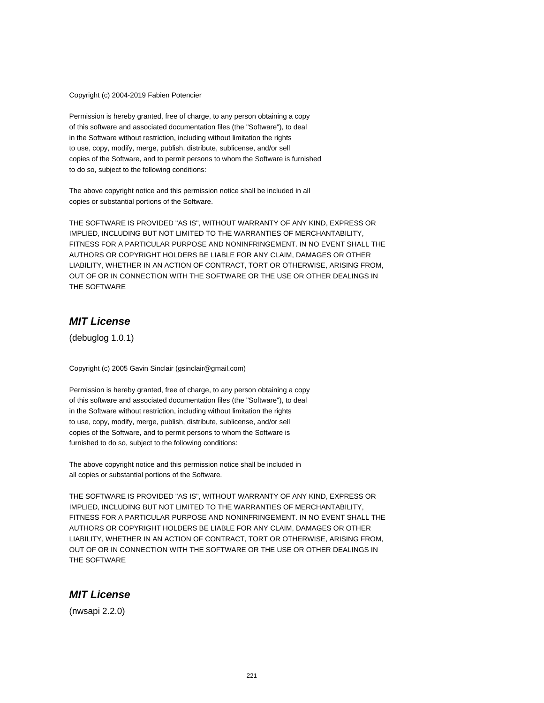Copyright (c) 2004-2019 Fabien Potencier

Permission is hereby granted, free of charge, to any person obtaining a copy of this software and associated documentation files (the "Software"), to deal in the Software without restriction, including without limitation the rights to use, copy, modify, merge, publish, distribute, sublicense, and/or sell copies of the Software, and to permit persons to whom the Software is furnished to do so, subject to the following conditions:

The above copyright notice and this permission notice shall be included in all copies or substantial portions of the Software.

THE SOFTWARE IS PROVIDED "AS IS", WITHOUT WARRANTY OF ANY KIND, EXPRESS OR IMPLIED, INCLUDING BUT NOT LIMITED TO THE WARRANTIES OF MERCHANTABILITY, FITNESS FOR A PARTICULAR PURPOSE AND NONINFRINGEMENT. IN NO EVENT SHALL THE AUTHORS OR COPYRIGHT HOLDERS BE LIABLE FOR ANY CLAIM, DAMAGES OR OTHER LIABILITY, WHETHER IN AN ACTION OF CONTRACT, TORT OR OTHERWISE, ARISING FROM, OUT OF OR IN CONNECTION WITH THE SOFTWARE OR THE USE OR OTHER DEALINGS IN THE SOFTWARE

# **MIT License**

(debuglog 1.0.1)

Copyright (c) 2005 Gavin Sinclair (gsinclair@gmail.com)

Permission is hereby granted, free of charge, to any person obtaining a copy of this software and associated documentation files (the "Software"), to deal in the Software without restriction, including without limitation the rights to use, copy, modify, merge, publish, distribute, sublicense, and/or sell copies of the Software, and to permit persons to whom the Software is furnished to do so, subject to the following conditions:

The above copyright notice and this permission notice shall be included in all copies or substantial portions of the Software.

THE SOFTWARE IS PROVIDED "AS IS", WITHOUT WARRANTY OF ANY KIND, EXPRESS OR IMPLIED, INCLUDING BUT NOT LIMITED TO THE WARRANTIES OF MERCHANTABILITY, FITNESS FOR A PARTICULAR PURPOSE AND NONINFRINGEMENT. IN NO EVENT SHALL THE AUTHORS OR COPYRIGHT HOLDERS BE LIABLE FOR ANY CLAIM, DAMAGES OR OTHER LIABILITY, WHETHER IN AN ACTION OF CONTRACT, TORT OR OTHERWISE, ARISING FROM, OUT OF OR IN CONNECTION WITH THE SOFTWARE OR THE USE OR OTHER DEALINGS IN THE SOFTWARE

## **MIT License**

(nwsapi 2.2.0)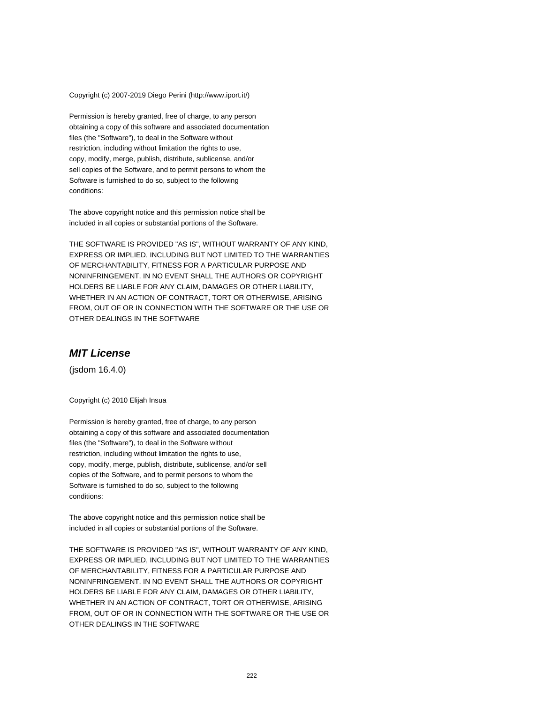#### Copyright (c) 2007-2019 Diego Perini (http://www.iport.it/)

Permission is hereby granted, free of charge, to any person obtaining a copy of this software and associated documentation files (the "Software"), to deal in the Software without restriction, including without limitation the rights to use, copy, modify, merge, publish, distribute, sublicense, and/or sell copies of the Software, and to permit persons to whom the Software is furnished to do so, subject to the following conditions:

The above copyright notice and this permission notice shall be included in all copies or substantial portions of the Software.

THE SOFTWARE IS PROVIDED "AS IS", WITHOUT WARRANTY OF ANY KIND, EXPRESS OR IMPLIED, INCLUDING BUT NOT LIMITED TO THE WARRANTIES OF MERCHANTABILITY, FITNESS FOR A PARTICULAR PURPOSE AND NONINFRINGEMENT. IN NO EVENT SHALL THE AUTHORS OR COPYRIGHT HOLDERS BE LIABLE FOR ANY CLAIM, DAMAGES OR OTHER LIABILITY, WHETHER IN AN ACTION OF CONTRACT, TORT OR OTHERWISE, ARISING FROM, OUT OF OR IN CONNECTION WITH THE SOFTWARE OR THE USE OR OTHER DEALINGS IN THE SOFTWARE

## **MIT License**

(jsdom 16.4.0)

Copyright (c) 2010 Elijah Insua

Permission is hereby granted, free of charge, to any person obtaining a copy of this software and associated documentation files (the "Software"), to deal in the Software without restriction, including without limitation the rights to use, copy, modify, merge, publish, distribute, sublicense, and/or sell copies of the Software, and to permit persons to whom the Software is furnished to do so, subject to the following conditions:

The above copyright notice and this permission notice shall be included in all copies or substantial portions of the Software.

THE SOFTWARE IS PROVIDED "AS IS", WITHOUT WARRANTY OF ANY KIND, EXPRESS OR IMPLIED, INCLUDING BUT NOT LIMITED TO THE WARRANTIES OF MERCHANTABILITY, FITNESS FOR A PARTICULAR PURPOSE AND NONINFRINGEMENT. IN NO EVENT SHALL THE AUTHORS OR COPYRIGHT HOLDERS BE LIABLE FOR ANY CLAIM, DAMAGES OR OTHER LIABILITY, WHETHER IN AN ACTION OF CONTRACT, TORT OR OTHERWISE, ARISING FROM, OUT OF OR IN CONNECTION WITH THE SOFTWARE OR THE USE OR OTHER DEALINGS IN THE SOFTWARE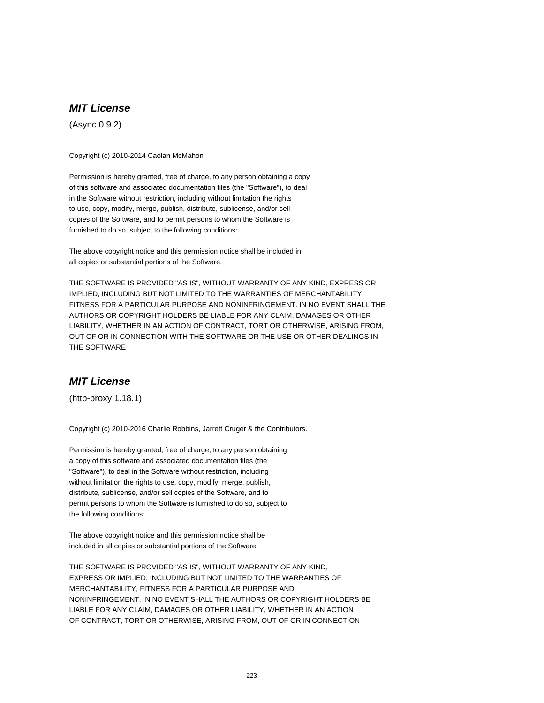# **MIT License**

(Async 0.9.2)

Copyright (c) 2010-2014 Caolan McMahon

Permission is hereby granted, free of charge, to any person obtaining a copy of this software and associated documentation files (the "Software"), to deal in the Software without restriction, including without limitation the rights to use, copy, modify, merge, publish, distribute, sublicense, and/or sell copies of the Software, and to permit persons to whom the Software is furnished to do so, subject to the following conditions:

The above copyright notice and this permission notice shall be included in all copies or substantial portions of the Software.

THE SOFTWARE IS PROVIDED "AS IS", WITHOUT WARRANTY OF ANY KIND, EXPRESS OR IMPLIED, INCLUDING BUT NOT LIMITED TO THE WARRANTIES OF MERCHANTABILITY, FITNESS FOR A PARTICULAR PURPOSE AND NONINFRINGEMENT. IN NO EVENT SHALL THE AUTHORS OR COPYRIGHT HOLDERS BE LIABLE FOR ANY CLAIM, DAMAGES OR OTHER LIABILITY, WHETHER IN AN ACTION OF CONTRACT, TORT OR OTHERWISE, ARISING FROM, OUT OF OR IN CONNECTION WITH THE SOFTWARE OR THE USE OR OTHER DEALINGS IN THE SOFTWARE

# **MIT License**

(http-proxy 1.18.1)

Copyright (c) 2010-2016 Charlie Robbins, Jarrett Cruger & the Contributors.

Permission is hereby granted, free of charge, to any person obtaining a copy of this software and associated documentation files (the "Software"), to deal in the Software without restriction, including without limitation the rights to use, copy, modify, merge, publish, distribute, sublicense, and/or sell copies of the Software, and to permit persons to whom the Software is furnished to do so, subject to the following conditions:

The above copyright notice and this permission notice shall be included in all copies or substantial portions of the Software.

THE SOFTWARE IS PROVIDED "AS IS", WITHOUT WARRANTY OF ANY KIND, EXPRESS OR IMPLIED, INCLUDING BUT NOT LIMITED TO THE WARRANTIES OF MERCHANTABILITY, FITNESS FOR A PARTICULAR PURPOSE AND NONINFRINGEMENT. IN NO EVENT SHALL THE AUTHORS OR COPYRIGHT HOLDERS BE LIABLE FOR ANY CLAIM, DAMAGES OR OTHER LIABILITY, WHETHER IN AN ACTION OF CONTRACT, TORT OR OTHERWISE, ARISING FROM, OUT OF OR IN CONNECTION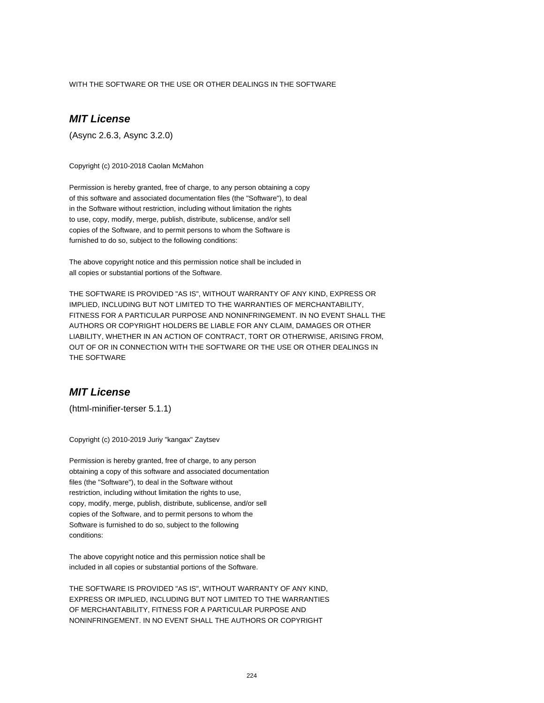WITH THE SOFTWARE OR THE USE OR OTHER DEALINGS IN THE SOFTWARE

# **MIT License**

(Async 2.6.3, Async 3.2.0)

Copyright (c) 2010-2018 Caolan McMahon

Permission is hereby granted, free of charge, to any person obtaining a copy of this software and associated documentation files (the "Software"), to deal in the Software without restriction, including without limitation the rights to use, copy, modify, merge, publish, distribute, sublicense, and/or sell copies of the Software, and to permit persons to whom the Software is furnished to do so, subject to the following conditions:

The above copyright notice and this permission notice shall be included in all copies or substantial portions of the Software.

THE SOFTWARE IS PROVIDED "AS IS", WITHOUT WARRANTY OF ANY KIND, EXPRESS OR IMPLIED, INCLUDING BUT NOT LIMITED TO THE WARRANTIES OF MERCHANTABILITY, FITNESS FOR A PARTICULAR PURPOSE AND NONINFRINGEMENT. IN NO EVENT SHALL THE AUTHORS OR COPYRIGHT HOLDERS BE LIABLE FOR ANY CLAIM, DAMAGES OR OTHER LIABILITY, WHETHER IN AN ACTION OF CONTRACT, TORT OR OTHERWISE, ARISING FROM, OUT OF OR IN CONNECTION WITH THE SOFTWARE OR THE USE OR OTHER DEALINGS IN THE SOFTWARE

# **MIT License**

(html-minifier-terser 5.1.1)

Copyright (c) 2010-2019 Juriy "kangax" Zaytsev

Permission is hereby granted, free of charge, to any person obtaining a copy of this software and associated documentation files (the "Software"), to deal in the Software without restriction, including without limitation the rights to use, copy, modify, merge, publish, distribute, sublicense, and/or sell copies of the Software, and to permit persons to whom the Software is furnished to do so, subject to the following conditions:

The above copyright notice and this permission notice shall be included in all copies or substantial portions of the Software.

THE SOFTWARE IS PROVIDED "AS IS", WITHOUT WARRANTY OF ANY KIND, EXPRESS OR IMPLIED, INCLUDING BUT NOT LIMITED TO THE WARRANTIES OF MERCHANTABILITY, FITNESS FOR A PARTICULAR PURPOSE AND NONINFRINGEMENT. IN NO EVENT SHALL THE AUTHORS OR COPYRIGHT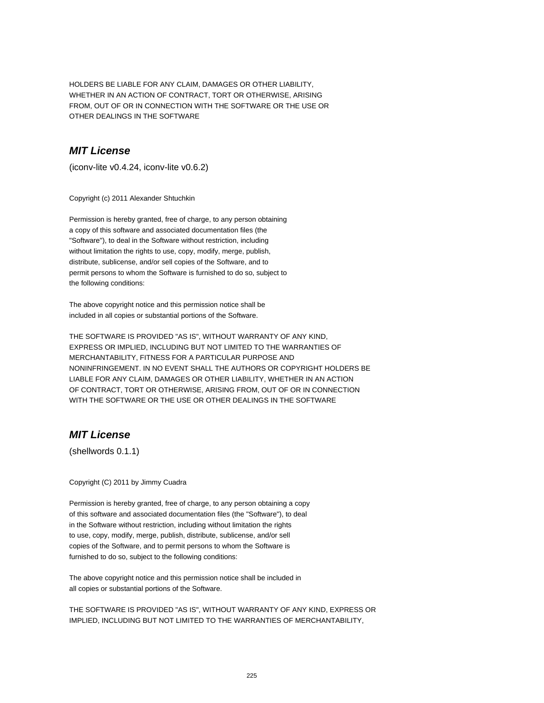HOLDERS BE LIABLE FOR ANY CLAIM, DAMAGES OR OTHER LIABILITY, WHETHER IN AN ACTION OF CONTRACT, TORT OR OTHERWISE, ARISING FROM, OUT OF OR IN CONNECTION WITH THE SOFTWARE OR THE USE OR OTHER DEALINGS IN THE SOFTWARE

## **MIT License**

(iconv-lite v0.4.24, iconv-lite v0.6.2)

Copyright (c) 2011 Alexander Shtuchkin

Permission is hereby granted, free of charge, to any person obtaining a copy of this software and associated documentation files (the "Software"), to deal in the Software without restriction, including without limitation the rights to use, copy, modify, merge, publish, distribute, sublicense, and/or sell copies of the Software, and to permit persons to whom the Software is furnished to do so, subject to the following conditions:

The above copyright notice and this permission notice shall be included in all copies or substantial portions of the Software.

THE SOFTWARE IS PROVIDED "AS IS", WITHOUT WARRANTY OF ANY KIND, EXPRESS OR IMPLIED, INCLUDING BUT NOT LIMITED TO THE WARRANTIES OF MERCHANTABILITY, FITNESS FOR A PARTICULAR PURPOSE AND NONINFRINGEMENT. IN NO EVENT SHALL THE AUTHORS OR COPYRIGHT HOLDERS BE LIABLE FOR ANY CLAIM, DAMAGES OR OTHER LIABILITY, WHETHER IN AN ACTION OF CONTRACT, TORT OR OTHERWISE, ARISING FROM, OUT OF OR IN CONNECTION WITH THE SOFTWARE OR THE USE OR OTHER DEALINGS IN THE SOFTWARE

# **MIT License**

(shellwords 0.1.1)

Copyright (C) 2011 by Jimmy Cuadra

Permission is hereby granted, free of charge, to any person obtaining a copy of this software and associated documentation files (the "Software"), to deal in the Software without restriction, including without limitation the rights to use, copy, modify, merge, publish, distribute, sublicense, and/or sell copies of the Software, and to permit persons to whom the Software is furnished to do so, subject to the following conditions:

The above copyright notice and this permission notice shall be included in all copies or substantial portions of the Software.

THE SOFTWARE IS PROVIDED "AS IS", WITHOUT WARRANTY OF ANY KIND, EXPRESS OR IMPLIED, INCLUDING BUT NOT LIMITED TO THE WARRANTIES OF MERCHANTABILITY,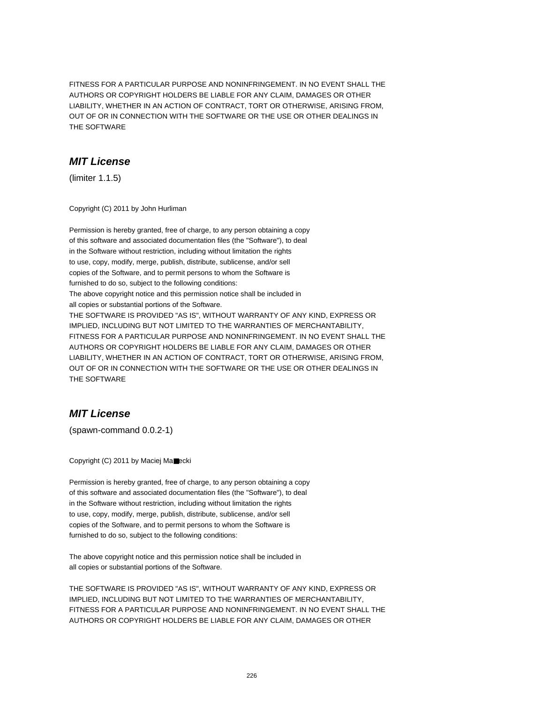FITNESS FOR A PARTICULAR PURPOSE AND NONINFRINGEMENT. IN NO EVENT SHALL THE AUTHORS OR COPYRIGHT HOLDERS BE LIABLE FOR ANY CLAIM, DAMAGES OR OTHER LIABILITY, WHETHER IN AN ACTION OF CONTRACT, TORT OR OTHERWISE, ARISING FROM, OUT OF OR IN CONNECTION WITH THE SOFTWARE OR THE USE OR OTHER DEALINGS IN THE SOFTWARE

# **MIT License**

(limiter 1.1.5)

Copyright (C) 2011 by John Hurliman

Permission is hereby granted, free of charge, to any person obtaining a copy of this software and associated documentation files (the "Software"), to deal in the Software without restriction, including without limitation the rights to use, copy, modify, merge, publish, distribute, sublicense, and/or sell copies of the Software, and to permit persons to whom the Software is furnished to do so, subject to the following conditions: The above copyright notice and this permission notice shall be included in all copies or substantial portions of the Software. THE SOFTWARE IS PROVIDED "AS IS", WITHOUT WARRANTY OF ANY KIND, EXPRESS OR IMPLIED, INCLUDING BUT NOT LIMITED TO THE WARRANTIES OF MERCHANTABILITY, FITNESS FOR A PARTICULAR PURPOSE AND NONINFRINGEMENT. IN NO EVENT SHALL THE AUTHORS OR COPYRIGHT HOLDERS BE LIABLE FOR ANY CLAIM, DAMAGES OR OTHER LIABILITY, WHETHER IN AN ACTION OF CONTRACT, TORT OR OTHERWISE, ARISING FROM, OUT OF OR IN CONNECTION WITH THE SOFTWARE OR THE USE OR OTHER DEALINGS IN THE SOFTWARE

# **MIT License**

(spawn-command 0.0.2-1)

Copyright (C) 2011 by Maciej Ma■ecki

Permission is hereby granted, free of charge, to any person obtaining a copy of this software and associated documentation files (the "Software"), to deal in the Software without restriction, including without limitation the rights to use, copy, modify, merge, publish, distribute, sublicense, and/or sell copies of the Software, and to permit persons to whom the Software is furnished to do so, subject to the following conditions:

The above copyright notice and this permission notice shall be included in all copies or substantial portions of the Software.

THE SOFTWARE IS PROVIDED "AS IS", WITHOUT WARRANTY OF ANY KIND, EXPRESS OR IMPLIED, INCLUDING BUT NOT LIMITED TO THE WARRANTIES OF MERCHANTABILITY, FITNESS FOR A PARTICULAR PURPOSE AND NONINFRINGEMENT. IN NO EVENT SHALL THE AUTHORS OR COPYRIGHT HOLDERS BE LIABLE FOR ANY CLAIM, DAMAGES OR OTHER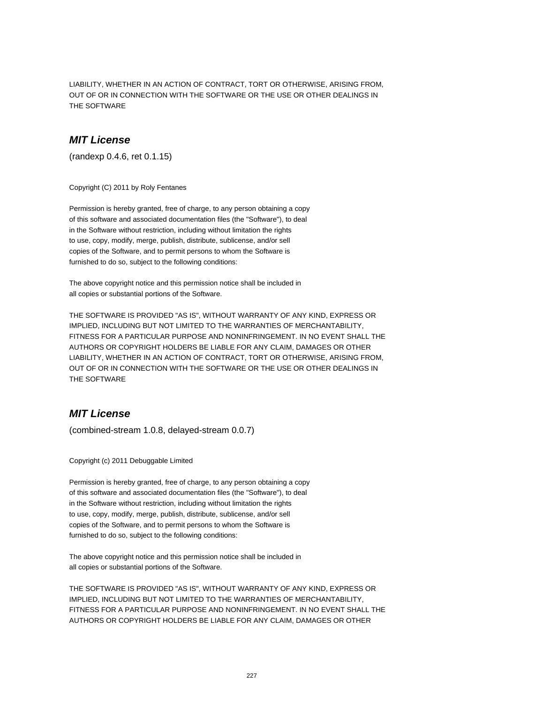LIABILITY, WHETHER IN AN ACTION OF CONTRACT, TORT OR OTHERWISE, ARISING FROM, OUT OF OR IN CONNECTION WITH THE SOFTWARE OR THE USE OR OTHER DEALINGS IN THE SOFTWARE

#### **MIT License**

(randexp 0.4.6, ret 0.1.15)

Copyright (C) 2011 by Roly Fentanes

Permission is hereby granted, free of charge, to any person obtaining a copy of this software and associated documentation files (the "Software"), to deal in the Software without restriction, including without limitation the rights to use, copy, modify, merge, publish, distribute, sublicense, and/or sell copies of the Software, and to permit persons to whom the Software is furnished to do so, subject to the following conditions:

The above copyright notice and this permission notice shall be included in all copies or substantial portions of the Software.

THE SOFTWARE IS PROVIDED "AS IS", WITHOUT WARRANTY OF ANY KIND, EXPRESS OR IMPLIED, INCLUDING BUT NOT LIMITED TO THE WARRANTIES OF MERCHANTABILITY, FITNESS FOR A PARTICULAR PURPOSE AND NONINFRINGEMENT. IN NO EVENT SHALL THE AUTHORS OR COPYRIGHT HOLDERS BE LIABLE FOR ANY CLAIM, DAMAGES OR OTHER LIABILITY, WHETHER IN AN ACTION OF CONTRACT, TORT OR OTHERWISE, ARISING FROM, OUT OF OR IN CONNECTION WITH THE SOFTWARE OR THE USE OR OTHER DEALINGS IN THE SOFTWARE

## **MIT License**

(combined-stream 1.0.8, delayed-stream 0.0.7)

Copyright (c) 2011 Debuggable Limited

Permission is hereby granted, free of charge, to any person obtaining a copy of this software and associated documentation files (the "Software"), to deal in the Software without restriction, including without limitation the rights to use, copy, modify, merge, publish, distribute, sublicense, and/or sell copies of the Software, and to permit persons to whom the Software is furnished to do so, subject to the following conditions:

The above copyright notice and this permission notice shall be included in all copies or substantial portions of the Software.

THE SOFTWARE IS PROVIDED "AS IS", WITHOUT WARRANTY OF ANY KIND, EXPRESS OR IMPLIED, INCLUDING BUT NOT LIMITED TO THE WARRANTIES OF MERCHANTABILITY, FITNESS FOR A PARTICULAR PURPOSE AND NONINFRINGEMENT. IN NO EVENT SHALL THE AUTHORS OR COPYRIGHT HOLDERS BE LIABLE FOR ANY CLAIM, DAMAGES OR OTHER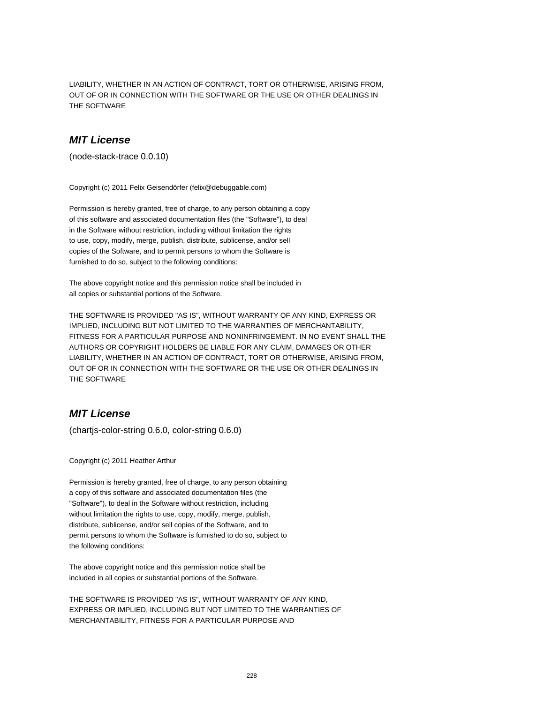LIABILITY, WHETHER IN AN ACTION OF CONTRACT, TORT OR OTHERWISE, ARISING FROM, OUT OF OR IN CONNECTION WITH THE SOFTWARE OR THE USE OR OTHER DEALINGS IN THE SOFTWARE

#### **MIT License**

(node-stack-trace 0.0.10)

Copyright (c) 2011 Felix Geisendörfer (felix@debuggable.com)

Permission is hereby granted, free of charge, to any person obtaining a copy of this software and associated documentation files (the "Software"), to deal in the Software without restriction, including without limitation the rights to use, copy, modify, merge, publish, distribute, sublicense, and/or sell copies of the Software, and to permit persons to whom the Software is furnished to do so, subject to the following conditions:

The above copyright notice and this permission notice shall be included in all copies or substantial portions of the Software.

THE SOFTWARE IS PROVIDED "AS IS", WITHOUT WARRANTY OF ANY KIND, EXPRESS OR IMPLIED, INCLUDING BUT NOT LIMITED TO THE WARRANTIES OF MERCHANTABILITY, FITNESS FOR A PARTICULAR PURPOSE AND NONINFRINGEMENT. IN NO EVENT SHALL THE AUTHORS OR COPYRIGHT HOLDERS BE LIABLE FOR ANY CLAIM, DAMAGES OR OTHER LIABILITY, WHETHER IN AN ACTION OF CONTRACT, TORT OR OTHERWISE, ARISING FROM, OUT OF OR IN CONNECTION WITH THE SOFTWARE OR THE USE OR OTHER DEALINGS IN THE SOFTWARE

# **MIT License**

(chartjs-color-string 0.6.0, color-string 0.6.0)

Copyright (c) 2011 Heather Arthur

Permission is hereby granted, free of charge, to any person obtaining a copy of this software and associated documentation files (the "Software"), to deal in the Software without restriction, including without limitation the rights to use, copy, modify, merge, publish, distribute, sublicense, and/or sell copies of the Software, and to permit persons to whom the Software is furnished to do so, subject to the following conditions:

The above copyright notice and this permission notice shall be included in all copies or substantial portions of the Software.

THE SOFTWARE IS PROVIDED "AS IS", WITHOUT WARRANTY OF ANY KIND, EXPRESS OR IMPLIED, INCLUDING BUT NOT LIMITED TO THE WARRANTIES OF MERCHANTABILITY, FITNESS FOR A PARTICULAR PURPOSE AND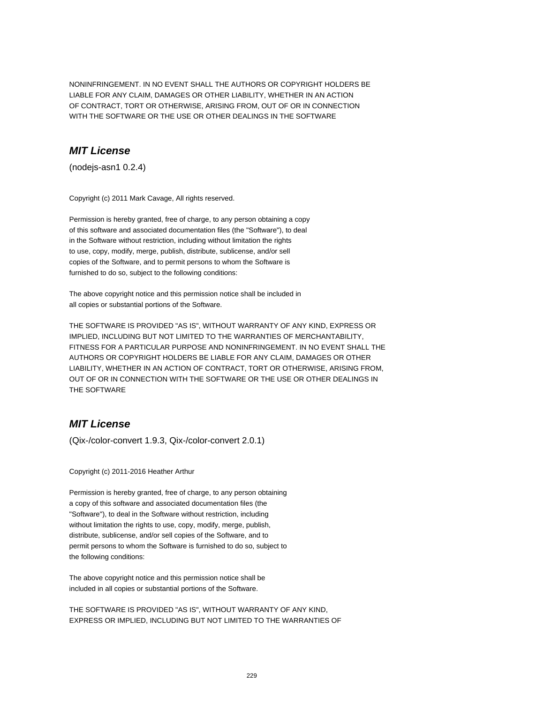NONINFRINGEMENT. IN NO EVENT SHALL THE AUTHORS OR COPYRIGHT HOLDERS BE LIABLE FOR ANY CLAIM, DAMAGES OR OTHER LIABILITY, WHETHER IN AN ACTION OF CONTRACT, TORT OR OTHERWISE, ARISING FROM, OUT OF OR IN CONNECTION WITH THE SOFTWARE OR THE USE OR OTHER DEALINGS IN THE SOFTWARE

# **MIT License**

(nodejs-asn1 0.2.4)

Copyright (c) 2011 Mark Cavage, All rights reserved.

Permission is hereby granted, free of charge, to any person obtaining a copy of this software and associated documentation files (the "Software"), to deal in the Software without restriction, including without limitation the rights to use, copy, modify, merge, publish, distribute, sublicense, and/or sell copies of the Software, and to permit persons to whom the Software is furnished to do so, subject to the following conditions:

The above copyright notice and this permission notice shall be included in all copies or substantial portions of the Software.

THE SOFTWARE IS PROVIDED "AS IS", WITHOUT WARRANTY OF ANY KIND, EXPRESS OR IMPLIED, INCLUDING BUT NOT LIMITED TO THE WARRANTIES OF MERCHANTABILITY, FITNESS FOR A PARTICULAR PURPOSE AND NONINFRINGEMENT. IN NO EVENT SHALL THE AUTHORS OR COPYRIGHT HOLDERS BE LIABLE FOR ANY CLAIM, DAMAGES OR OTHER LIABILITY, WHETHER IN AN ACTION OF CONTRACT, TORT OR OTHERWISE, ARISING FROM, OUT OF OR IN CONNECTION WITH THE SOFTWARE OR THE USE OR OTHER DEALINGS IN THE SOFTWARE

# **MIT License**

(Qix-/color-convert 1.9.3, Qix-/color-convert 2.0.1)

Copyright (c) 2011-2016 Heather Arthur

Permission is hereby granted, free of charge, to any person obtaining a copy of this software and associated documentation files (the "Software"), to deal in the Software without restriction, including without limitation the rights to use, copy, modify, merge, publish, distribute, sublicense, and/or sell copies of the Software, and to permit persons to whom the Software is furnished to do so, subject to the following conditions:

The above copyright notice and this permission notice shall be included in all copies or substantial portions of the Software.

THE SOFTWARE IS PROVIDED "AS IS", WITHOUT WARRANTY OF ANY KIND, EXPRESS OR IMPLIED, INCLUDING BUT NOT LIMITED TO THE WARRANTIES OF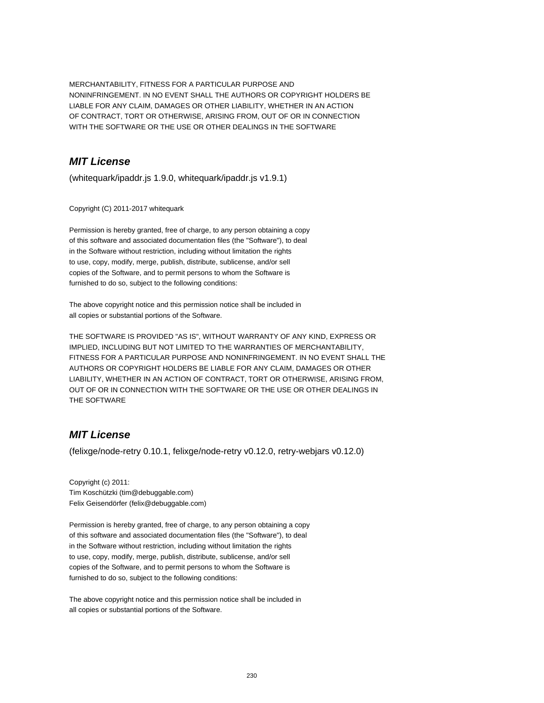MERCHANTABILITY, FITNESS FOR A PARTICULAR PURPOSE AND NONINFRINGEMENT. IN NO EVENT SHALL THE AUTHORS OR COPYRIGHT HOLDERS BE LIABLE FOR ANY CLAIM, DAMAGES OR OTHER LIABILITY, WHETHER IN AN ACTION OF CONTRACT, TORT OR OTHERWISE, ARISING FROM, OUT OF OR IN CONNECTION WITH THE SOFTWARE OR THE USE OR OTHER DEALINGS IN THE SOFTWARE

# **MIT License**

(whitequark/ipaddr.js 1.9.0, whitequark/ipaddr.js v1.9.1)

Copyright (C) 2011-2017 whitequark

Permission is hereby granted, free of charge, to any person obtaining a copy of this software and associated documentation files (the "Software"), to deal in the Software without restriction, including without limitation the rights to use, copy, modify, merge, publish, distribute, sublicense, and/or sell copies of the Software, and to permit persons to whom the Software is furnished to do so, subject to the following conditions:

The above copyright notice and this permission notice shall be included in all copies or substantial portions of the Software.

THE SOFTWARE IS PROVIDED "AS IS", WITHOUT WARRANTY OF ANY KIND, EXPRESS OR IMPLIED, INCLUDING BUT NOT LIMITED TO THE WARRANTIES OF MERCHANTABILITY, FITNESS FOR A PARTICULAR PURPOSE AND NONINFRINGEMENT. IN NO EVENT SHALL THE AUTHORS OR COPYRIGHT HOLDERS BE LIABLE FOR ANY CLAIM, DAMAGES OR OTHER LIABILITY, WHETHER IN AN ACTION OF CONTRACT, TORT OR OTHERWISE, ARISING FROM, OUT OF OR IN CONNECTION WITH THE SOFTWARE OR THE USE OR OTHER DEALINGS IN THE SOFTWARE

# **MIT License**

(felixge/node-retry 0.10.1, felixge/node-retry v0.12.0, retry-webjars v0.12.0)

Copyright (c) 2011: Tim Koschützki (tim@debuggable.com) Felix Geisendörfer (felix@debuggable.com)

Permission is hereby granted, free of charge, to any person obtaining a copy of this software and associated documentation files (the "Software"), to deal in the Software without restriction, including without limitation the rights to use, copy, modify, merge, publish, distribute, sublicense, and/or sell copies of the Software, and to permit persons to whom the Software is furnished to do so, subject to the following conditions:

The above copyright notice and this permission notice shall be included in all copies or substantial portions of the Software.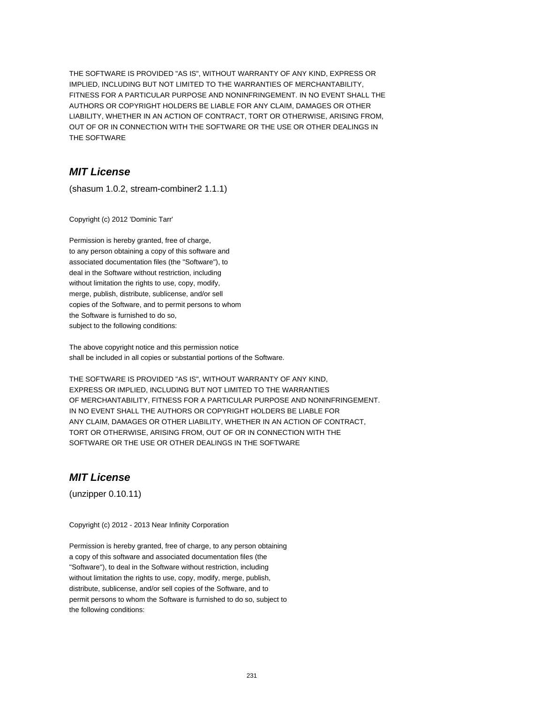THE SOFTWARE IS PROVIDED "AS IS", WITHOUT WARRANTY OF ANY KIND, EXPRESS OR IMPLIED, INCLUDING BUT NOT LIMITED TO THE WARRANTIES OF MERCHANTABILITY, FITNESS FOR A PARTICULAR PURPOSE AND NONINFRINGEMENT. IN NO EVENT SHALL THE AUTHORS OR COPYRIGHT HOLDERS BE LIABLE FOR ANY CLAIM, DAMAGES OR OTHER LIABILITY, WHETHER IN AN ACTION OF CONTRACT, TORT OR OTHERWISE, ARISING FROM, OUT OF OR IN CONNECTION WITH THE SOFTWARE OR THE USE OR OTHER DEALINGS IN THE SOFTWARE

# **MIT License**

(shasum 1.0.2, stream-combiner2 1.1.1)

Copyright (c) 2012 'Dominic Tarr'

Permission is hereby granted, free of charge, to any person obtaining a copy of this software and associated documentation files (the "Software"), to deal in the Software without restriction, including without limitation the rights to use, copy, modify, merge, publish, distribute, sublicense, and/or sell copies of the Software, and to permit persons to whom the Software is furnished to do so, subject to the following conditions:

The above copyright notice and this permission notice shall be included in all copies or substantial portions of the Software.

THE SOFTWARE IS PROVIDED "AS IS", WITHOUT WARRANTY OF ANY KIND, EXPRESS OR IMPLIED, INCLUDING BUT NOT LIMITED TO THE WARRANTIES OF MERCHANTABILITY, FITNESS FOR A PARTICULAR PURPOSE AND NONINFRINGEMENT. IN NO EVENT SHALL THE AUTHORS OR COPYRIGHT HOLDERS BE LIABLE FOR ANY CLAIM, DAMAGES OR OTHER LIABILITY, WHETHER IN AN ACTION OF CONTRACT, TORT OR OTHERWISE, ARISING FROM, OUT OF OR IN CONNECTION WITH THE SOFTWARE OR THE USE OR OTHER DEALINGS IN THE SOFTWARE

## **MIT License**

(unzipper 0.10.11)

Copyright (c) 2012 - 2013 Near Infinity Corporation

Permission is hereby granted, free of charge, to any person obtaining a copy of this software and associated documentation files (the "Software"), to deal in the Software without restriction, including without limitation the rights to use, copy, modify, merge, publish, distribute, sublicense, and/or sell copies of the Software, and to permit persons to whom the Software is furnished to do so, subject to the following conditions: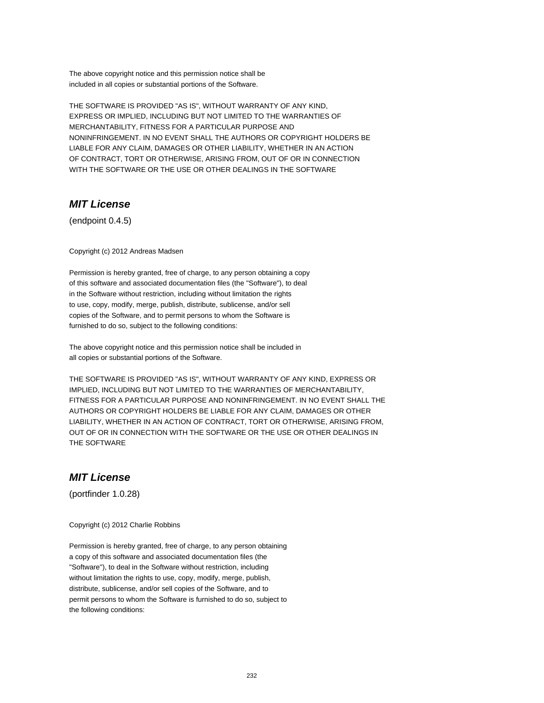THE SOFTWARE IS PROVIDED "AS IS", WITHOUT WARRANTY OF ANY KIND, EXPRESS OR IMPLIED, INCLUDING BUT NOT LIMITED TO THE WARRANTIES OF MERCHANTABILITY, FITNESS FOR A PARTICULAR PURPOSE AND NONINFRINGEMENT. IN NO EVENT SHALL THE AUTHORS OR COPYRIGHT HOLDERS BE LIABLE FOR ANY CLAIM, DAMAGES OR OTHER LIABILITY, WHETHER IN AN ACTION OF CONTRACT, TORT OR OTHERWISE, ARISING FROM, OUT OF OR IN CONNECTION WITH THE SOFTWARE OR THE USE OR OTHER DEALINGS IN THE SOFTWARE

# **MIT License**

(endpoint 0.4.5)

Copyright (c) 2012 Andreas Madsen

Permission is hereby granted, free of charge, to any person obtaining a copy of this software and associated documentation files (the "Software"), to deal in the Software without restriction, including without limitation the rights to use, copy, modify, merge, publish, distribute, sublicense, and/or sell copies of the Software, and to permit persons to whom the Software is furnished to do so, subject to the following conditions:

The above copyright notice and this permission notice shall be included in all copies or substantial portions of the Software.

THE SOFTWARE IS PROVIDED "AS IS", WITHOUT WARRANTY OF ANY KIND, EXPRESS OR IMPLIED, INCLUDING BUT NOT LIMITED TO THE WARRANTIES OF MERCHANTABILITY, FITNESS FOR A PARTICULAR PURPOSE AND NONINFRINGEMENT. IN NO EVENT SHALL THE AUTHORS OR COPYRIGHT HOLDERS BE LIABLE FOR ANY CLAIM, DAMAGES OR OTHER LIABILITY, WHETHER IN AN ACTION OF CONTRACT, TORT OR OTHERWISE, ARISING FROM, OUT OF OR IN CONNECTION WITH THE SOFTWARE OR THE USE OR OTHER DEALINGS IN THE SOFTWARE

## **MIT License**

(portfinder 1.0.28)

Copyright (c) 2012 Charlie Robbins

Permission is hereby granted, free of charge, to any person obtaining a copy of this software and associated documentation files (the "Software"), to deal in the Software without restriction, including without limitation the rights to use, copy, modify, merge, publish, distribute, sublicense, and/or sell copies of the Software, and to permit persons to whom the Software is furnished to do so, subject to the following conditions: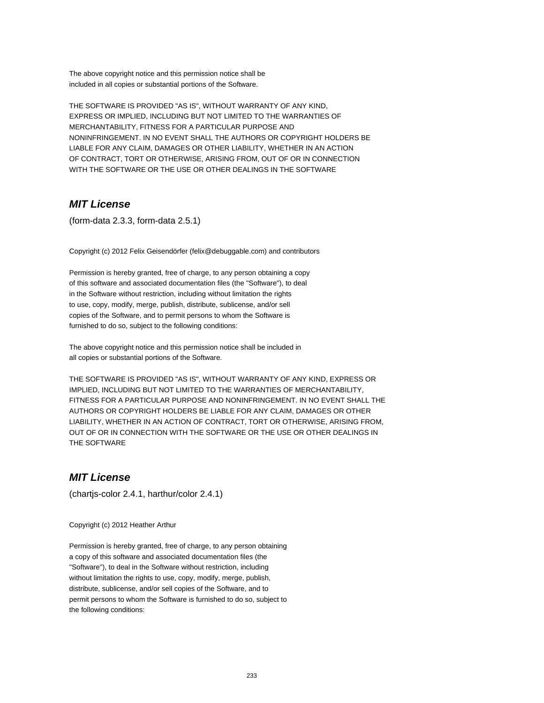THE SOFTWARE IS PROVIDED "AS IS", WITHOUT WARRANTY OF ANY KIND, EXPRESS OR IMPLIED, INCLUDING BUT NOT LIMITED TO THE WARRANTIES OF MERCHANTABILITY, FITNESS FOR A PARTICULAR PURPOSE AND NONINFRINGEMENT. IN NO EVENT SHALL THE AUTHORS OR COPYRIGHT HOLDERS BE LIABLE FOR ANY CLAIM, DAMAGES OR OTHER LIABILITY, WHETHER IN AN ACTION OF CONTRACT, TORT OR OTHERWISE, ARISING FROM, OUT OF OR IN CONNECTION WITH THE SOFTWARE OR THE USE OR OTHER DEALINGS IN THE SOFTWARE

# **MIT License**

(form-data 2.3.3, form-data 2.5.1)

Copyright (c) 2012 Felix Geisendörfer (felix@debuggable.com) and contributors

Permission is hereby granted, free of charge, to any person obtaining a copy of this software and associated documentation files (the "Software"), to deal in the Software without restriction, including without limitation the rights to use, copy, modify, merge, publish, distribute, sublicense, and/or sell copies of the Software, and to permit persons to whom the Software is furnished to do so, subject to the following conditions:

The above copyright notice and this permission notice shall be included in all copies or substantial portions of the Software.

THE SOFTWARE IS PROVIDED "AS IS", WITHOUT WARRANTY OF ANY KIND, EXPRESS OR IMPLIED, INCLUDING BUT NOT LIMITED TO THE WARRANTIES OF MERCHANTABILITY, FITNESS FOR A PARTICULAR PURPOSE AND NONINFRINGEMENT. IN NO EVENT SHALL THE AUTHORS OR COPYRIGHT HOLDERS BE LIABLE FOR ANY CLAIM, DAMAGES OR OTHER LIABILITY, WHETHER IN AN ACTION OF CONTRACT, TORT OR OTHERWISE, ARISING FROM, OUT OF OR IN CONNECTION WITH THE SOFTWARE OR THE USE OR OTHER DEALINGS IN THE SOFTWARE

## **MIT License**

(chartjs-color 2.4.1, harthur/color 2.4.1)

Copyright (c) 2012 Heather Arthur

Permission is hereby granted, free of charge, to any person obtaining a copy of this software and associated documentation files (the "Software"), to deal in the Software without restriction, including without limitation the rights to use, copy, modify, merge, publish, distribute, sublicense, and/or sell copies of the Software, and to permit persons to whom the Software is furnished to do so, subject to the following conditions: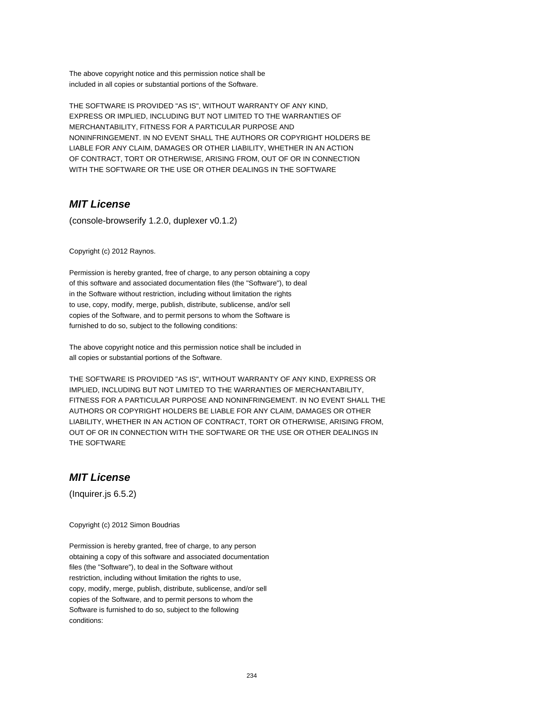THE SOFTWARE IS PROVIDED "AS IS", WITHOUT WARRANTY OF ANY KIND, EXPRESS OR IMPLIED, INCLUDING BUT NOT LIMITED TO THE WARRANTIES OF MERCHANTABILITY, FITNESS FOR A PARTICULAR PURPOSE AND NONINFRINGEMENT. IN NO EVENT SHALL THE AUTHORS OR COPYRIGHT HOLDERS BE LIABLE FOR ANY CLAIM, DAMAGES OR OTHER LIABILITY, WHETHER IN AN ACTION OF CONTRACT, TORT OR OTHERWISE, ARISING FROM, OUT OF OR IN CONNECTION WITH THE SOFTWARE OR THE USE OR OTHER DEALINGS IN THE SOFTWARE

## **MIT License**

(console-browserify 1.2.0, duplexer v0.1.2)

Copyright (c) 2012 Raynos.

Permission is hereby granted, free of charge, to any person obtaining a copy of this software and associated documentation files (the "Software"), to deal in the Software without restriction, including without limitation the rights to use, copy, modify, merge, publish, distribute, sublicense, and/or sell copies of the Software, and to permit persons to whom the Software is furnished to do so, subject to the following conditions:

The above copyright notice and this permission notice shall be included in all copies or substantial portions of the Software.

THE SOFTWARE IS PROVIDED "AS IS", WITHOUT WARRANTY OF ANY KIND, EXPRESS OR IMPLIED, INCLUDING BUT NOT LIMITED TO THE WARRANTIES OF MERCHANTABILITY, FITNESS FOR A PARTICULAR PURPOSE AND NONINFRINGEMENT. IN NO EVENT SHALL THE AUTHORS OR COPYRIGHT HOLDERS BE LIABLE FOR ANY CLAIM, DAMAGES OR OTHER LIABILITY, WHETHER IN AN ACTION OF CONTRACT, TORT OR OTHERWISE, ARISING FROM, OUT OF OR IN CONNECTION WITH THE SOFTWARE OR THE USE OR OTHER DEALINGS IN THE SOFTWARE

## **MIT License**

(Inquirer.js 6.5.2)

Copyright (c) 2012 Simon Boudrias

Permission is hereby granted, free of charge, to any person obtaining a copy of this software and associated documentation files (the "Software"), to deal in the Software without restriction, including without limitation the rights to use, copy, modify, merge, publish, distribute, sublicense, and/or sell copies of the Software, and to permit persons to whom the Software is furnished to do so, subject to the following conditions: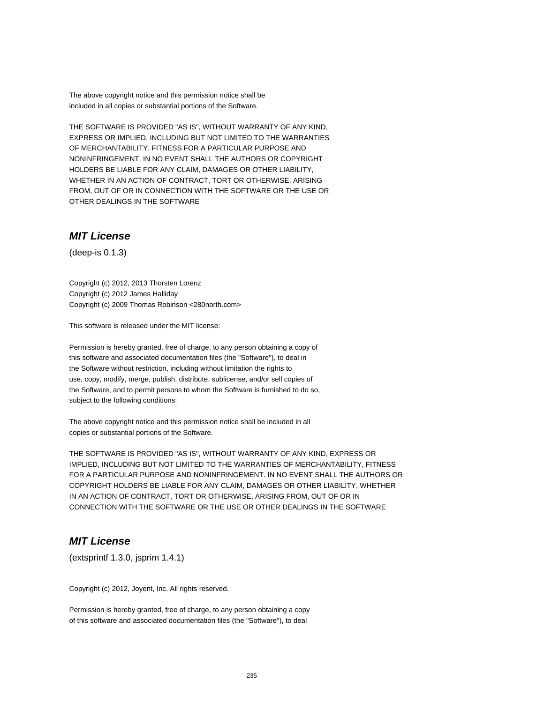THE SOFTWARE IS PROVIDED "AS IS", WITHOUT WARRANTY OF ANY KIND, EXPRESS OR IMPLIED, INCLUDING BUT NOT LIMITED TO THE WARRANTIES OF MERCHANTABILITY, FITNESS FOR A PARTICULAR PURPOSE AND NONINFRINGEMENT. IN NO EVENT SHALL THE AUTHORS OR COPYRIGHT HOLDERS BE LIABLE FOR ANY CLAIM, DAMAGES OR OTHER LIABILITY, WHETHER IN AN ACTION OF CONTRACT, TORT OR OTHERWISE, ARISING FROM, OUT OF OR IN CONNECTION WITH THE SOFTWARE OR THE USE OR OTHER DEALINGS IN THE SOFTWARE

## **MIT License**

(deep-is 0.1.3)

Copyright (c) 2012, 2013 Thorsten Lorenz Copyright (c) 2012 James Halliday Copyright (c) 2009 Thomas Robinson <280north.com>

This software is released under the MIT license:

Permission is hereby granted, free of charge, to any person obtaining a copy of this software and associated documentation files (the "Software"), to deal in the Software without restriction, including without limitation the rights to use, copy, modify, merge, publish, distribute, sublicense, and/or sell copies of the Software, and to permit persons to whom the Software is furnished to do so, subject to the following conditions:

The above copyright notice and this permission notice shall be included in all copies or substantial portions of the Software.

THE SOFTWARE IS PROVIDED "AS IS", WITHOUT WARRANTY OF ANY KIND, EXPRESS OR IMPLIED, INCLUDING BUT NOT LIMITED TO THE WARRANTIES OF MERCHANTABILITY, FITNESS FOR A PARTICULAR PURPOSE AND NONINFRINGEMENT. IN NO EVENT SHALL THE AUTHORS OR COPYRIGHT HOLDERS BE LIABLE FOR ANY CLAIM, DAMAGES OR OTHER LIABILITY, WHETHER IN AN ACTION OF CONTRACT, TORT OR OTHERWISE, ARISING FROM, OUT OF OR IN CONNECTION WITH THE SOFTWARE OR THE USE OR OTHER DEALINGS IN THE SOFTWARE

## **MIT License**

(extsprintf 1.3.0, jsprim 1.4.1)

Copyright (c) 2012, Joyent, Inc. All rights reserved.

Permission is hereby granted, free of charge, to any person obtaining a copy of this software and associated documentation files (the "Software"), to deal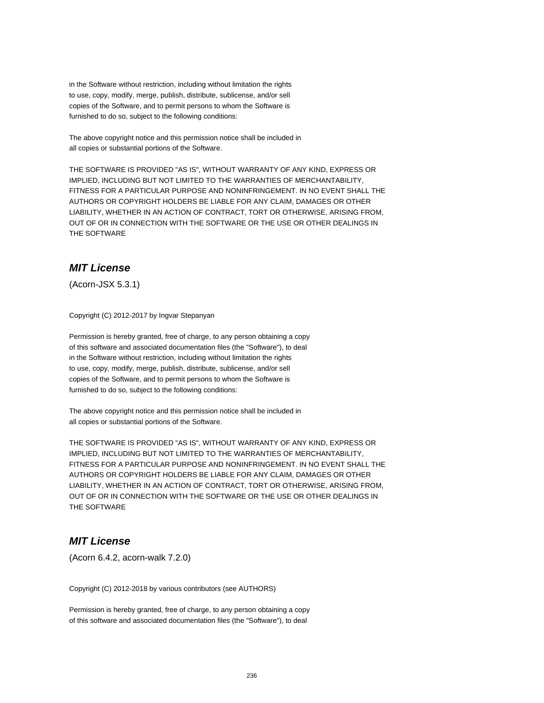in the Software without restriction, including without limitation the rights to use, copy, modify, merge, publish, distribute, sublicense, and/or sell copies of the Software, and to permit persons to whom the Software is furnished to do so, subject to the following conditions:

The above copyright notice and this permission notice shall be included in all copies or substantial portions of the Software.

THE SOFTWARE IS PROVIDED "AS IS", WITHOUT WARRANTY OF ANY KIND, EXPRESS OR IMPLIED, INCLUDING BUT NOT LIMITED TO THE WARRANTIES OF MERCHANTABILITY, FITNESS FOR A PARTICULAR PURPOSE AND NONINFRINGEMENT. IN NO EVENT SHALL THE AUTHORS OR COPYRIGHT HOLDERS BE LIABLE FOR ANY CLAIM, DAMAGES OR OTHER LIABILITY, WHETHER IN AN ACTION OF CONTRACT, TORT OR OTHERWISE, ARISING FROM, OUT OF OR IN CONNECTION WITH THE SOFTWARE OR THE USE OR OTHER DEALINGS IN THE SOFTWARE

# **MIT License**

(Acorn-JSX 5.3.1)

Copyright (C) 2012-2017 by Ingvar Stepanyan

Permission is hereby granted, free of charge, to any person obtaining a copy of this software and associated documentation files (the "Software"), to deal in the Software without restriction, including without limitation the rights to use, copy, modify, merge, publish, distribute, sublicense, and/or sell copies of the Software, and to permit persons to whom the Software is furnished to do so, subject to the following conditions:

The above copyright notice and this permission notice shall be included in all copies or substantial portions of the Software.

THE SOFTWARE IS PROVIDED "AS IS", WITHOUT WARRANTY OF ANY KIND, EXPRESS OR IMPLIED, INCLUDING BUT NOT LIMITED TO THE WARRANTIES OF MERCHANTABILITY, FITNESS FOR A PARTICULAR PURPOSE AND NONINFRINGEMENT. IN NO EVENT SHALL THE AUTHORS OR COPYRIGHT HOLDERS BE LIABLE FOR ANY CLAIM, DAMAGES OR OTHER LIABILITY, WHETHER IN AN ACTION OF CONTRACT, TORT OR OTHERWISE, ARISING FROM, OUT OF OR IN CONNECTION WITH THE SOFTWARE OR THE USE OR OTHER DEALINGS IN THE SOFTWARE

# **MIT License**

(Acorn 6.4.2, acorn-walk 7.2.0)

Copyright (C) 2012-2018 by various contributors (see AUTHORS)

Permission is hereby granted, free of charge, to any person obtaining a copy of this software and associated documentation files (the "Software"), to deal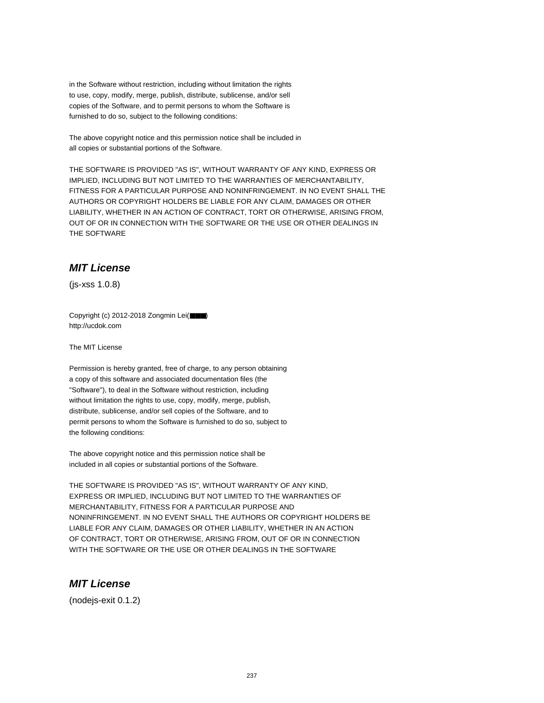in the Software without restriction, including without limitation the rights to use, copy, modify, merge, publish, distribute, sublicense, and/or sell copies of the Software, and to permit persons to whom the Software is furnished to do so, subject to the following conditions:

The above copyright notice and this permission notice shall be included in all copies or substantial portions of the Software.

THE SOFTWARE IS PROVIDED "AS IS", WITHOUT WARRANTY OF ANY KIND, EXPRESS OR IMPLIED, INCLUDING BUT NOT LIMITED TO THE WARRANTIES OF MERCHANTABILITY, FITNESS FOR A PARTICULAR PURPOSE AND NONINFRINGEMENT. IN NO EVENT SHALL THE AUTHORS OR COPYRIGHT HOLDERS BE LIABLE FOR ANY CLAIM, DAMAGES OR OTHER LIABILITY, WHETHER IN AN ACTION OF CONTRACT, TORT OR OTHERWISE, ARISING FROM, OUT OF OR IN CONNECTION WITH THE SOFTWARE OR THE USE OR OTHER DEALINGS IN THE SOFTWARE

# **MIT License**

(js-xss 1.0.8)

Copyright (c) 2012-2018 Zongmin Lei(■■■) http://ucdok.com

The MIT License

Permission is hereby granted, free of charge, to any person obtaining a copy of this software and associated documentation files (the "Software"), to deal in the Software without restriction, including without limitation the rights to use, copy, modify, merge, publish, distribute, sublicense, and/or sell copies of the Software, and to permit persons to whom the Software is furnished to do so, subject to the following conditions:

The above copyright notice and this permission notice shall be included in all copies or substantial portions of the Software.

THE SOFTWARE IS PROVIDED "AS IS", WITHOUT WARRANTY OF ANY KIND, EXPRESS OR IMPLIED, INCLUDING BUT NOT LIMITED TO THE WARRANTIES OF MERCHANTABILITY, FITNESS FOR A PARTICULAR PURPOSE AND NONINFRINGEMENT. IN NO EVENT SHALL THE AUTHORS OR COPYRIGHT HOLDERS BE LIABLE FOR ANY CLAIM, DAMAGES OR OTHER LIABILITY, WHETHER IN AN ACTION OF CONTRACT, TORT OR OTHERWISE, ARISING FROM, OUT OF OR IN CONNECTION WITH THE SOFTWARE OR THE USE OR OTHER DEALINGS IN THE SOFTWARE

# **MIT License**

(nodejs-exit 0.1.2)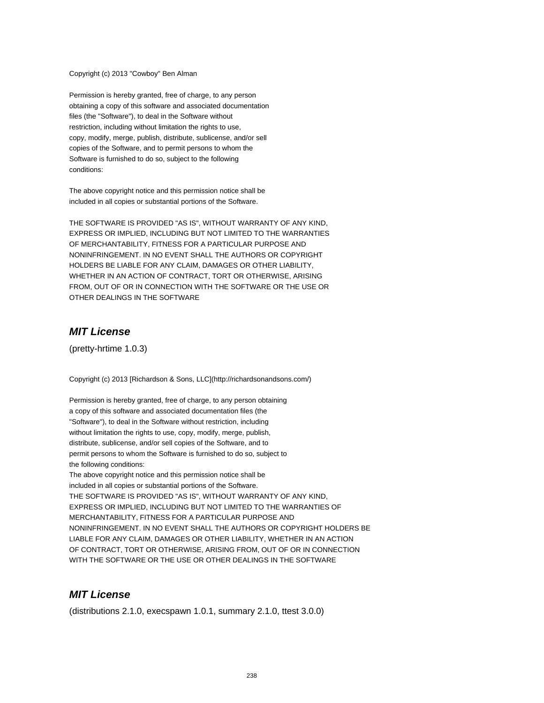Copyright (c) 2013 "Cowboy" Ben Alman

Permission is hereby granted, free of charge, to any person obtaining a copy of this software and associated documentation files (the "Software"), to deal in the Software without restriction, including without limitation the rights to use, copy, modify, merge, publish, distribute, sublicense, and/or sell copies of the Software, and to permit persons to whom the Software is furnished to do so, subject to the following conditions:

The above copyright notice and this permission notice shall be included in all copies or substantial portions of the Software.

THE SOFTWARE IS PROVIDED "AS IS", WITHOUT WARRANTY OF ANY KIND, EXPRESS OR IMPLIED, INCLUDING BUT NOT LIMITED TO THE WARRANTIES OF MERCHANTABILITY, FITNESS FOR A PARTICULAR PURPOSE AND NONINFRINGEMENT. IN NO EVENT SHALL THE AUTHORS OR COPYRIGHT HOLDERS BE LIABLE FOR ANY CLAIM, DAMAGES OR OTHER LIABILITY, WHETHER IN AN ACTION OF CONTRACT, TORT OR OTHERWISE, ARISING FROM, OUT OF OR IN CONNECTION WITH THE SOFTWARE OR THE USE OR OTHER DEALINGS IN THE SOFTWARE

## **MIT License**

(pretty-hrtime 1.0.3)

Copyright (c) 2013 [Richardson & Sons, LLC](http://richardsonandsons.com/)

Permission is hereby granted, free of charge, to any person obtaining a copy of this software and associated documentation files (the "Software"), to deal in the Software without restriction, including without limitation the rights to use, copy, modify, merge, publish, distribute, sublicense, and/or sell copies of the Software, and to permit persons to whom the Software is furnished to do so, subject to the following conditions:

The above copyright notice and this permission notice shall be included in all copies or substantial portions of the Software. THE SOFTWARE IS PROVIDED "AS IS", WITHOUT WARRANTY OF ANY KIND, EXPRESS OR IMPLIED, INCLUDING BUT NOT LIMITED TO THE WARRANTIES OF MERCHANTABILITY, FITNESS FOR A PARTICULAR PURPOSE AND NONINFRINGEMENT. IN NO EVENT SHALL THE AUTHORS OR COPYRIGHT HOLDERS BE LIABLE FOR ANY CLAIM, DAMAGES OR OTHER LIABILITY, WHETHER IN AN ACTION OF CONTRACT, TORT OR OTHERWISE, ARISING FROM, OUT OF OR IN CONNECTION WITH THE SOFTWARE OR THE USE OR OTHER DEALINGS IN THE SOFTWARE

## **MIT License**

(distributions 2.1.0, execspawn 1.0.1, summary 2.1.0, ttest 3.0.0)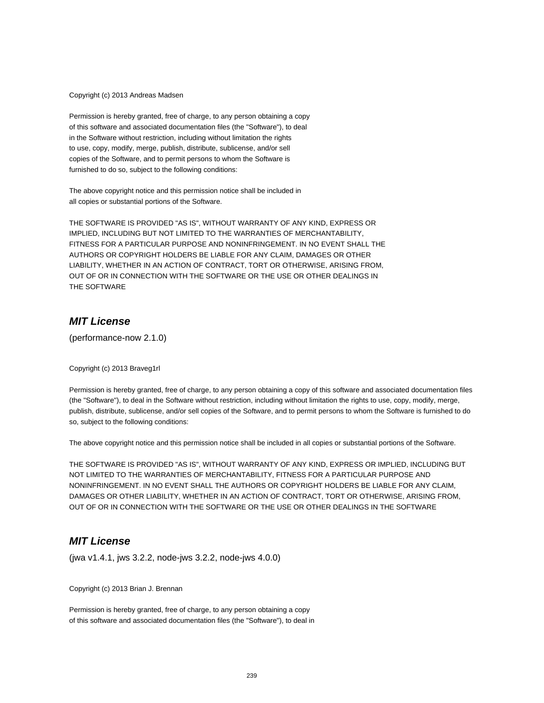Copyright (c) 2013 Andreas Madsen

Permission is hereby granted, free of charge, to any person obtaining a copy of this software and associated documentation files (the "Software"), to deal in the Software without restriction, including without limitation the rights to use, copy, modify, merge, publish, distribute, sublicense, and/or sell copies of the Software, and to permit persons to whom the Software is furnished to do so, subject to the following conditions:

The above copyright notice and this permission notice shall be included in all copies or substantial portions of the Software.

THE SOFTWARE IS PROVIDED "AS IS", WITHOUT WARRANTY OF ANY KIND, EXPRESS OR IMPLIED, INCLUDING BUT NOT LIMITED TO THE WARRANTIES OF MERCHANTABILITY, FITNESS FOR A PARTICULAR PURPOSE AND NONINFRINGEMENT. IN NO EVENT SHALL THE AUTHORS OR COPYRIGHT HOLDERS BE LIABLE FOR ANY CLAIM, DAMAGES OR OTHER LIABILITY, WHETHER IN AN ACTION OF CONTRACT, TORT OR OTHERWISE, ARISING FROM, OUT OF OR IN CONNECTION WITH THE SOFTWARE OR THE USE OR OTHER DEALINGS IN THE SOFTWARE

# **MIT License**

(performance-now 2.1.0)

Copyright (c) 2013 Braveg1rl

Permission is hereby granted, free of charge, to any person obtaining a copy of this software and associated documentation files (the "Software"), to deal in the Software without restriction, including without limitation the rights to use, copy, modify, merge, publish, distribute, sublicense, and/or sell copies of the Software, and to permit persons to whom the Software is furnished to do so, subject to the following conditions:

The above copyright notice and this permission notice shall be included in all copies or substantial portions of the Software.

THE SOFTWARE IS PROVIDED "AS IS", WITHOUT WARRANTY OF ANY KIND, EXPRESS OR IMPLIED, INCLUDING BUT NOT LIMITED TO THE WARRANTIES OF MERCHANTABILITY, FITNESS FOR A PARTICULAR PURPOSE AND NONINFRINGEMENT. IN NO EVENT SHALL THE AUTHORS OR COPYRIGHT HOLDERS BE LIABLE FOR ANY CLAIM, DAMAGES OR OTHER LIABILITY, WHETHER IN AN ACTION OF CONTRACT, TORT OR OTHERWISE, ARISING FROM, OUT OF OR IN CONNECTION WITH THE SOFTWARE OR THE USE OR OTHER DEALINGS IN THE SOFTWARE

## **MIT License**

(jwa v1.4.1, jws 3.2.2, node-jws 3.2.2, node-jws 4.0.0)

Copyright (c) 2013 Brian J. Brennan

Permission is hereby granted, free of charge, to any person obtaining a copy of this software and associated documentation files (the "Software"), to deal in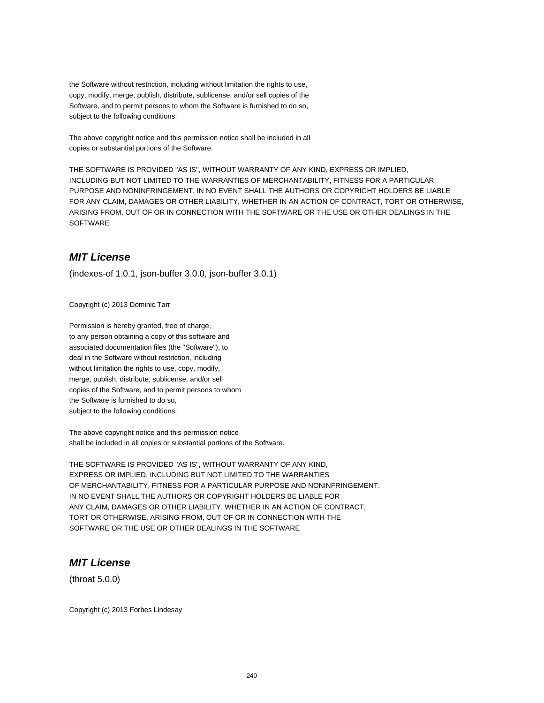the Software without restriction, including without limitation the rights to use, copy, modify, merge, publish, distribute, sublicense, and/or sell copies of the Software, and to permit persons to whom the Software is furnished to do so, subject to the following conditions:

The above copyright notice and this permission notice shall be included in all copies or substantial portions of the Software.

THE SOFTWARE IS PROVIDED "AS IS", WITHOUT WARRANTY OF ANY KIND, EXPRESS OR IMPLIED, INCLUDING BUT NOT LIMITED TO THE WARRANTIES OF MERCHANTABILITY, FITNESS FOR A PARTICULAR PURPOSE AND NONINFRINGEMENT. IN NO EVENT SHALL THE AUTHORS OR COPYRIGHT HOLDERS BE LIABLE FOR ANY CLAIM, DAMAGES OR OTHER LIABILITY, WHETHER IN AN ACTION OF CONTRACT, TORT OR OTHERWISE, ARISING FROM, OUT OF OR IN CONNECTION WITH THE SOFTWARE OR THE USE OR OTHER DEALINGS IN THE **SOFTWARE** 

## **MIT License**

(indexes-of 1.0.1, json-buffer 3.0.0, json-buffer 3.0.1)

Copyright (c) 2013 Dominic Tarr

Permission is hereby granted, free of charge, to any person obtaining a copy of this software and associated documentation files (the "Software"), to deal in the Software without restriction, including without limitation the rights to use, copy, modify, merge, publish, distribute, sublicense, and/or sell copies of the Software, and to permit persons to whom the Software is furnished to do so, subject to the following conditions:

The above copyright notice and this permission notice shall be included in all copies or substantial portions of the Software.

THE SOFTWARE IS PROVIDED "AS IS", WITHOUT WARRANTY OF ANY KIND, EXPRESS OR IMPLIED, INCLUDING BUT NOT LIMITED TO THE WARRANTIES OF MERCHANTABILITY, FITNESS FOR A PARTICULAR PURPOSE AND NONINFRINGEMENT. IN NO EVENT SHALL THE AUTHORS OR COPYRIGHT HOLDERS BE LIABLE FOR ANY CLAIM, DAMAGES OR OTHER LIABILITY, WHETHER IN AN ACTION OF CONTRACT, TORT OR OTHERWISE, ARISING FROM, OUT OF OR IN CONNECTION WITH THE SOFTWARE OR THE USE OR OTHER DEALINGS IN THE SOFTWARE

# **MIT License**

(throat 5.0.0)

Copyright (c) 2013 Forbes Lindesay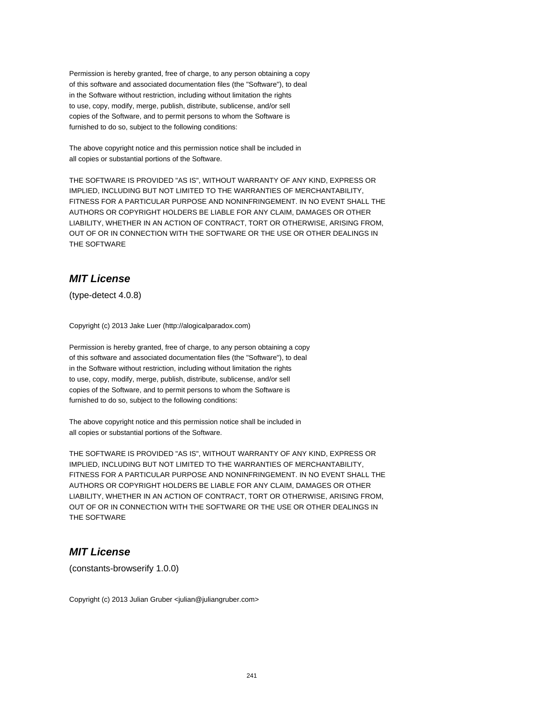The above copyright notice and this permission notice shall be included in all copies or substantial portions of the Software.

THE SOFTWARE IS PROVIDED "AS IS", WITHOUT WARRANTY OF ANY KIND, EXPRESS OR IMPLIED, INCLUDING BUT NOT LIMITED TO THE WARRANTIES OF MERCHANTABILITY, FITNESS FOR A PARTICULAR PURPOSE AND NONINFRINGEMENT. IN NO EVENT SHALL THE AUTHORS OR COPYRIGHT HOLDERS BE LIABLE FOR ANY CLAIM, DAMAGES OR OTHER LIABILITY, WHETHER IN AN ACTION OF CONTRACT, TORT OR OTHERWISE, ARISING FROM, OUT OF OR IN CONNECTION WITH THE SOFTWARE OR THE USE OR OTHER DEALINGS IN THE SOFTWARE

# **MIT License**

(type-detect 4.0.8)

Copyright (c) 2013 Jake Luer (http://alogicalparadox.com)

Permission is hereby granted, free of charge, to any person obtaining a copy of this software and associated documentation files (the "Software"), to deal in the Software without restriction, including without limitation the rights to use, copy, modify, merge, publish, distribute, sublicense, and/or sell copies of the Software, and to permit persons to whom the Software is furnished to do so, subject to the following conditions:

The above copyright notice and this permission notice shall be included in all copies or substantial portions of the Software.

THE SOFTWARE IS PROVIDED "AS IS", WITHOUT WARRANTY OF ANY KIND, EXPRESS OR IMPLIED, INCLUDING BUT NOT LIMITED TO THE WARRANTIES OF MERCHANTABILITY, FITNESS FOR A PARTICULAR PURPOSE AND NONINFRINGEMENT. IN NO EVENT SHALL THE AUTHORS OR COPYRIGHT HOLDERS BE LIABLE FOR ANY CLAIM, DAMAGES OR OTHER LIABILITY, WHETHER IN AN ACTION OF CONTRACT, TORT OR OTHERWISE, ARISING FROM, OUT OF OR IN CONNECTION WITH THE SOFTWARE OR THE USE OR OTHER DEALINGS IN THE SOFTWARE

#### **MIT License**

(constants-browserify 1.0.0)

Copyright (c) 2013 Julian Gruber <julian@juliangruber.com>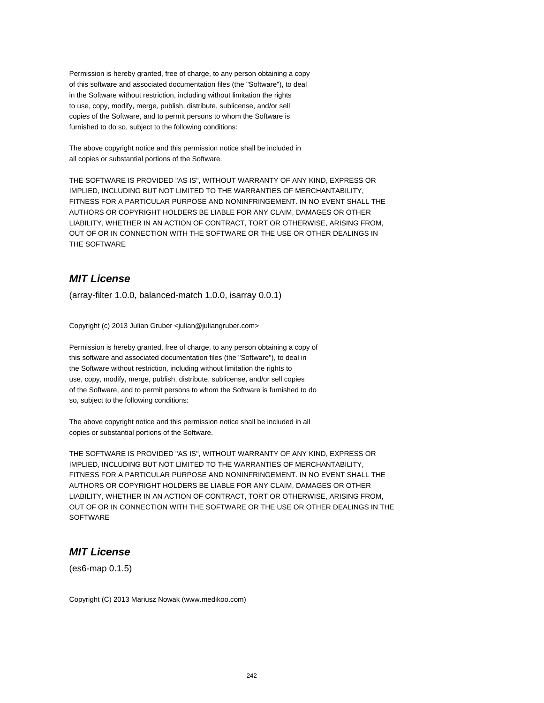The above copyright notice and this permission notice shall be included in all copies or substantial portions of the Software.

THE SOFTWARE IS PROVIDED "AS IS", WITHOUT WARRANTY OF ANY KIND, EXPRESS OR IMPLIED, INCLUDING BUT NOT LIMITED TO THE WARRANTIES OF MERCHANTABILITY, FITNESS FOR A PARTICULAR PURPOSE AND NONINFRINGEMENT. IN NO EVENT SHALL THE AUTHORS OR COPYRIGHT HOLDERS BE LIABLE FOR ANY CLAIM, DAMAGES OR OTHER LIABILITY, WHETHER IN AN ACTION OF CONTRACT, TORT OR OTHERWISE, ARISING FROM, OUT OF OR IN CONNECTION WITH THE SOFTWARE OR THE USE OR OTHER DEALINGS IN THE SOFTWARE

# **MIT License**

(array-filter 1.0.0, balanced-match 1.0.0, isarray 0.0.1)

Copyright (c) 2013 Julian Gruber <julian@juliangruber.com>

Permission is hereby granted, free of charge, to any person obtaining a copy of this software and associated documentation files (the "Software"), to deal in the Software without restriction, including without limitation the rights to use, copy, modify, merge, publish, distribute, sublicense, and/or sell copies of the Software, and to permit persons to whom the Software is furnished to do so, subject to the following conditions:

The above copyright notice and this permission notice shall be included in all copies or substantial portions of the Software.

THE SOFTWARE IS PROVIDED "AS IS", WITHOUT WARRANTY OF ANY KIND, EXPRESS OR IMPLIED, INCLUDING BUT NOT LIMITED TO THE WARRANTIES OF MERCHANTABILITY, FITNESS FOR A PARTICULAR PURPOSE AND NONINFRINGEMENT. IN NO EVENT SHALL THE AUTHORS OR COPYRIGHT HOLDERS BE LIABLE FOR ANY CLAIM, DAMAGES OR OTHER LIABILITY, WHETHER IN AN ACTION OF CONTRACT, TORT OR OTHERWISE, ARISING FROM, OUT OF OR IN CONNECTION WITH THE SOFTWARE OR THE USE OR OTHER DEALINGS IN THE **SOFTWARE** 

## **MIT License**

(es6-map 0.1.5)

Copyright (C) 2013 Mariusz Nowak (www.medikoo.com)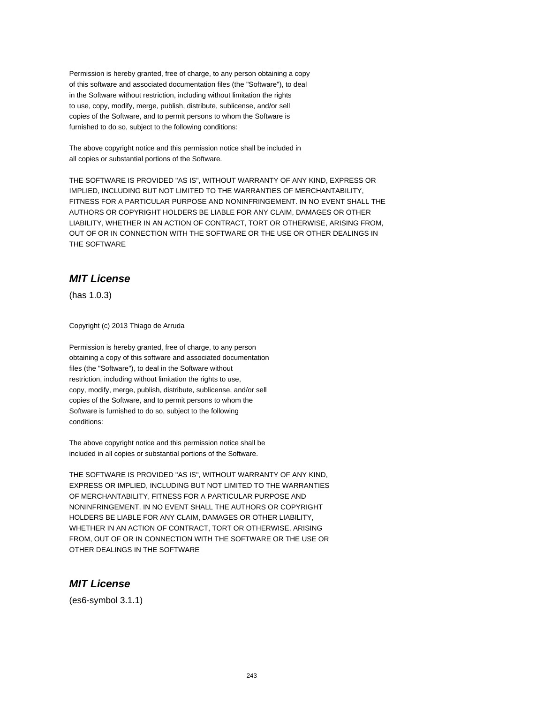The above copyright notice and this permission notice shall be included in all copies or substantial portions of the Software.

THE SOFTWARE IS PROVIDED "AS IS", WITHOUT WARRANTY OF ANY KIND, EXPRESS OR IMPLIED, INCLUDING BUT NOT LIMITED TO THE WARRANTIES OF MERCHANTABILITY, FITNESS FOR A PARTICULAR PURPOSE AND NONINFRINGEMENT. IN NO EVENT SHALL THE AUTHORS OR COPYRIGHT HOLDERS BE LIABLE FOR ANY CLAIM, DAMAGES OR OTHER LIABILITY, WHETHER IN AN ACTION OF CONTRACT, TORT OR OTHERWISE, ARISING FROM, OUT OF OR IN CONNECTION WITH THE SOFTWARE OR THE USE OR OTHER DEALINGS IN THE SOFTWARE

# **MIT License**

(has 1.0.3)

Copyright (c) 2013 Thiago de Arruda

Permission is hereby granted, free of charge, to any person obtaining a copy of this software and associated documentation files (the "Software"), to deal in the Software without restriction, including without limitation the rights to use, copy, modify, merge, publish, distribute, sublicense, and/or sell copies of the Software, and to permit persons to whom the Software is furnished to do so, subject to the following conditions:

The above copyright notice and this permission notice shall be included in all copies or substantial portions of the Software.

THE SOFTWARE IS PROVIDED "AS IS", WITHOUT WARRANTY OF ANY KIND, EXPRESS OR IMPLIED, INCLUDING BUT NOT LIMITED TO THE WARRANTIES OF MERCHANTABILITY, FITNESS FOR A PARTICULAR PURPOSE AND NONINFRINGEMENT. IN NO EVENT SHALL THE AUTHORS OR COPYRIGHT HOLDERS BE LIABLE FOR ANY CLAIM, DAMAGES OR OTHER LIABILITY, WHETHER IN AN ACTION OF CONTRACT, TORT OR OTHERWISE, ARISING FROM, OUT OF OR IN CONNECTION WITH THE SOFTWARE OR THE USE OR OTHER DEALINGS IN THE SOFTWARE

# **MIT License**

(es6-symbol 3.1.1)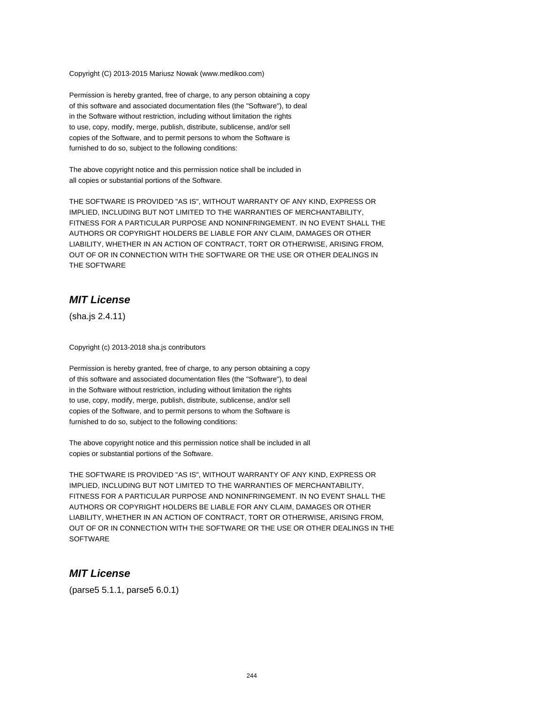Copyright (C) 2013-2015 Mariusz Nowak (www.medikoo.com)

Permission is hereby granted, free of charge, to any person obtaining a copy of this software and associated documentation files (the "Software"), to deal in the Software without restriction, including without limitation the rights to use, copy, modify, merge, publish, distribute, sublicense, and/or sell copies of the Software, and to permit persons to whom the Software is furnished to do so, subject to the following conditions:

The above copyright notice and this permission notice shall be included in all copies or substantial portions of the Software.

THE SOFTWARE IS PROVIDED "AS IS", WITHOUT WARRANTY OF ANY KIND, EXPRESS OR IMPLIED, INCLUDING BUT NOT LIMITED TO THE WARRANTIES OF MERCHANTABILITY, FITNESS FOR A PARTICULAR PURPOSE AND NONINFRINGEMENT. IN NO EVENT SHALL THE AUTHORS OR COPYRIGHT HOLDERS BE LIABLE FOR ANY CLAIM, DAMAGES OR OTHER LIABILITY, WHETHER IN AN ACTION OF CONTRACT, TORT OR OTHERWISE, ARISING FROM, OUT OF OR IN CONNECTION WITH THE SOFTWARE OR THE USE OR OTHER DEALINGS IN THE SOFTWARE

# **MIT License**

(sha.js 2.4.11)

Copyright (c) 2013-2018 sha.js contributors

Permission is hereby granted, free of charge, to any person obtaining a copy of this software and associated documentation files (the "Software"), to deal in the Software without restriction, including without limitation the rights to use, copy, modify, merge, publish, distribute, sublicense, and/or sell copies of the Software, and to permit persons to whom the Software is furnished to do so, subject to the following conditions:

The above copyright notice and this permission notice shall be included in all copies or substantial portions of the Software.

THE SOFTWARE IS PROVIDED "AS IS", WITHOUT WARRANTY OF ANY KIND, EXPRESS OR IMPLIED, INCLUDING BUT NOT LIMITED TO THE WARRANTIES OF MERCHANTABILITY, FITNESS FOR A PARTICULAR PURPOSE AND NONINFRINGEMENT. IN NO EVENT SHALL THE AUTHORS OR COPYRIGHT HOLDERS BE LIABLE FOR ANY CLAIM, DAMAGES OR OTHER LIABILITY, WHETHER IN AN ACTION OF CONTRACT, TORT OR OTHERWISE, ARISING FROM, OUT OF OR IN CONNECTION WITH THE SOFTWARE OR THE USE OR OTHER DEALINGS IN THE **SOFTWARE** 

#### **MIT License**

(parse5 5.1.1, parse5 6.0.1)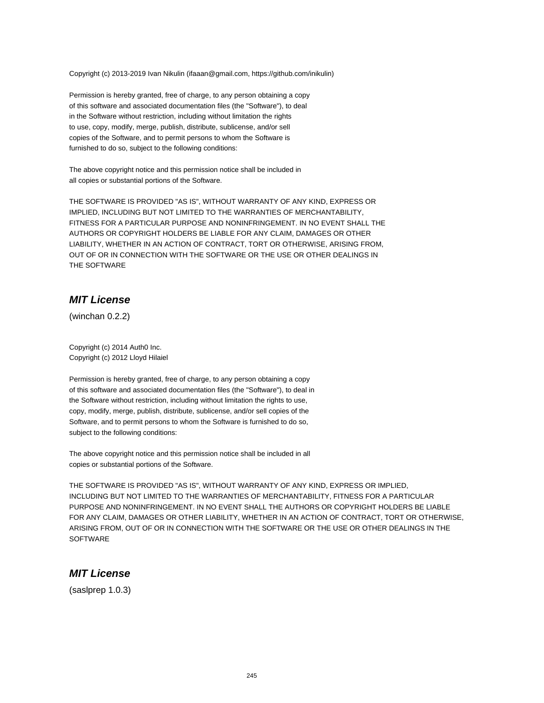Copyright (c) 2013-2019 Ivan Nikulin (ifaaan@gmail.com, https://github.com/inikulin)

Permission is hereby granted, free of charge, to any person obtaining a copy of this software and associated documentation files (the "Software"), to deal in the Software without restriction, including without limitation the rights to use, copy, modify, merge, publish, distribute, sublicense, and/or sell copies of the Software, and to permit persons to whom the Software is furnished to do so, subject to the following conditions:

The above copyright notice and this permission notice shall be included in all copies or substantial portions of the Software.

THE SOFTWARE IS PROVIDED "AS IS", WITHOUT WARRANTY OF ANY KIND, EXPRESS OR IMPLIED, INCLUDING BUT NOT LIMITED TO THE WARRANTIES OF MERCHANTABILITY, FITNESS FOR A PARTICULAR PURPOSE AND NONINFRINGEMENT. IN NO EVENT SHALL THE AUTHORS OR COPYRIGHT HOLDERS BE LIABLE FOR ANY CLAIM, DAMAGES OR OTHER LIABILITY, WHETHER IN AN ACTION OF CONTRACT, TORT OR OTHERWISE, ARISING FROM, OUT OF OR IN CONNECTION WITH THE SOFTWARE OR THE USE OR OTHER DEALINGS IN THE SOFTWARE

## **MIT License**

(winchan 0.2.2)

Copyright (c) 2014 Auth0 Inc. Copyright (c) 2012 Lloyd Hilaiel

Permission is hereby granted, free of charge, to any person obtaining a copy of this software and associated documentation files (the "Software"), to deal in the Software without restriction, including without limitation the rights to use, copy, modify, merge, publish, distribute, sublicense, and/or sell copies of the Software, and to permit persons to whom the Software is furnished to do so, subject to the following conditions:

The above copyright notice and this permission notice shall be included in all copies or substantial portions of the Software.

THE SOFTWARE IS PROVIDED "AS IS", WITHOUT WARRANTY OF ANY KIND, EXPRESS OR IMPLIED, INCLUDING BUT NOT LIMITED TO THE WARRANTIES OF MERCHANTABILITY, FITNESS FOR A PARTICULAR PURPOSE AND NONINFRINGEMENT. IN NO EVENT SHALL THE AUTHORS OR COPYRIGHT HOLDERS BE LIABLE FOR ANY CLAIM, DAMAGES OR OTHER LIABILITY, WHETHER IN AN ACTION OF CONTRACT, TORT OR OTHERWISE, ARISING FROM, OUT OF OR IN CONNECTION WITH THE SOFTWARE OR THE USE OR OTHER DEALINGS IN THE **SOFTWARE** 

## **MIT License**

(saslprep 1.0.3)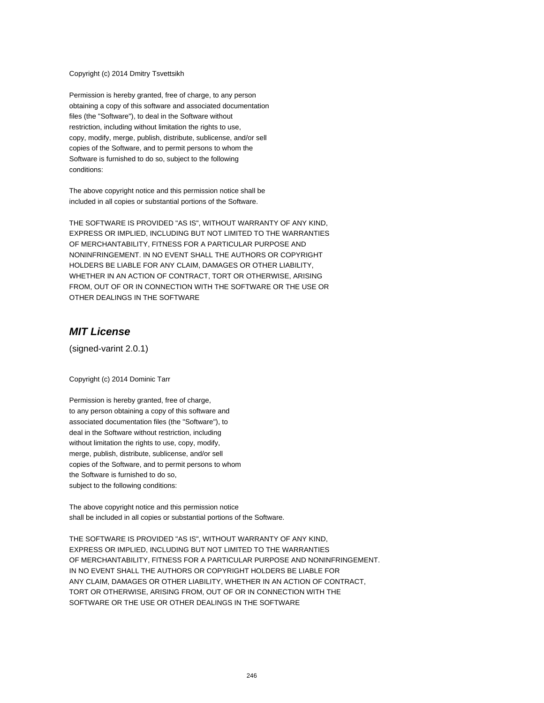Copyright (c) 2014 Dmitry Tsvettsikh

Permission is hereby granted, free of charge, to any person obtaining a copy of this software and associated documentation files (the "Software"), to deal in the Software without restriction, including without limitation the rights to use, copy, modify, merge, publish, distribute, sublicense, and/or sell copies of the Software, and to permit persons to whom the Software is furnished to do so, subject to the following conditions:

The above copyright notice and this permission notice shall be included in all copies or substantial portions of the Software.

THE SOFTWARE IS PROVIDED "AS IS", WITHOUT WARRANTY OF ANY KIND, EXPRESS OR IMPLIED, INCLUDING BUT NOT LIMITED TO THE WARRANTIES OF MERCHANTABILITY, FITNESS FOR A PARTICULAR PURPOSE AND NONINFRINGEMENT. IN NO EVENT SHALL THE AUTHORS OR COPYRIGHT HOLDERS BE LIABLE FOR ANY CLAIM, DAMAGES OR OTHER LIABILITY, WHETHER IN AN ACTION OF CONTRACT, TORT OR OTHERWISE, ARISING FROM, OUT OF OR IN CONNECTION WITH THE SOFTWARE OR THE USE OR OTHER DEALINGS IN THE SOFTWARE

## **MIT License**

(signed-varint 2.0.1)

Copyright (c) 2014 Dominic Tarr

Permission is hereby granted, free of charge, to any person obtaining a copy of this software and associated documentation files (the "Software"), to deal in the Software without restriction, including without limitation the rights to use, copy, modify, merge, publish, distribute, sublicense, and/or sell copies of the Software, and to permit persons to whom the Software is furnished to do so, subject to the following conditions:

The above copyright notice and this permission notice shall be included in all copies or substantial portions of the Software.

THE SOFTWARE IS PROVIDED "AS IS", WITHOUT WARRANTY OF ANY KIND, EXPRESS OR IMPLIED, INCLUDING BUT NOT LIMITED TO THE WARRANTIES OF MERCHANTABILITY, FITNESS FOR A PARTICULAR PURPOSE AND NONINFRINGEMENT. IN NO EVENT SHALL THE AUTHORS OR COPYRIGHT HOLDERS BE LIABLE FOR ANY CLAIM, DAMAGES OR OTHER LIABILITY, WHETHER IN AN ACTION OF CONTRACT, TORT OR OTHERWISE, ARISING FROM, OUT OF OR IN CONNECTION WITH THE SOFTWARE OR THE USE OR OTHER DEALINGS IN THE SOFTWARE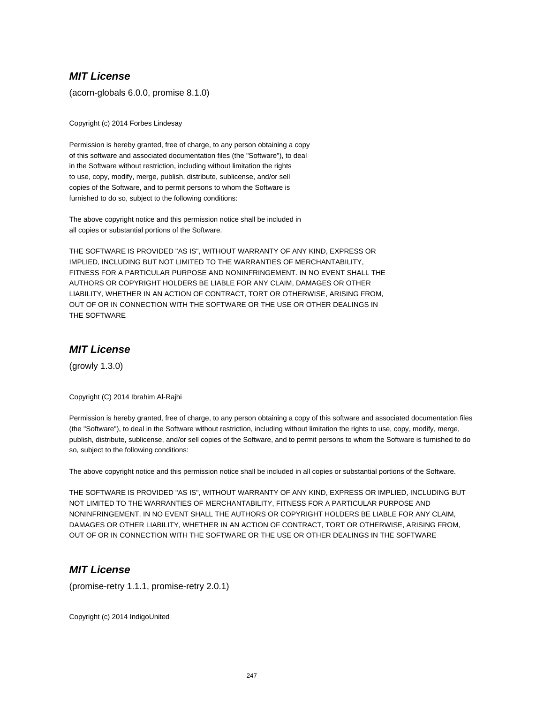# **MIT License**

(acorn-globals 6.0.0, promise 8.1.0)

Copyright (c) 2014 Forbes Lindesay

Permission is hereby granted, free of charge, to any person obtaining a copy of this software and associated documentation files (the "Software"), to deal in the Software without restriction, including without limitation the rights to use, copy, modify, merge, publish, distribute, sublicense, and/or sell copies of the Software, and to permit persons to whom the Software is furnished to do so, subject to the following conditions:

The above copyright notice and this permission notice shall be included in all copies or substantial portions of the Software.

THE SOFTWARE IS PROVIDED "AS IS", WITHOUT WARRANTY OF ANY KIND, EXPRESS OR IMPLIED, INCLUDING BUT NOT LIMITED TO THE WARRANTIES OF MERCHANTABILITY, FITNESS FOR A PARTICULAR PURPOSE AND NONINFRINGEMENT. IN NO EVENT SHALL THE AUTHORS OR COPYRIGHT HOLDERS BE LIABLE FOR ANY CLAIM, DAMAGES OR OTHER LIABILITY, WHETHER IN AN ACTION OF CONTRACT, TORT OR OTHERWISE, ARISING FROM, OUT OF OR IN CONNECTION WITH THE SOFTWARE OR THE USE OR OTHER DEALINGS IN THE SOFTWARE

## **MIT License**

(growly 1.3.0)

Copyright (C) 2014 Ibrahim Al-Rajhi

Permission is hereby granted, free of charge, to any person obtaining a copy of this software and associated documentation files (the "Software"), to deal in the Software without restriction, including without limitation the rights to use, copy, modify, merge, publish, distribute, sublicense, and/or sell copies of the Software, and to permit persons to whom the Software is furnished to do so, subject to the following conditions:

The above copyright notice and this permission notice shall be included in all copies or substantial portions of the Software.

THE SOFTWARE IS PROVIDED "AS IS", WITHOUT WARRANTY OF ANY KIND, EXPRESS OR IMPLIED, INCLUDING BUT NOT LIMITED TO THE WARRANTIES OF MERCHANTABILITY, FITNESS FOR A PARTICULAR PURPOSE AND NONINFRINGEMENT. IN NO EVENT SHALL THE AUTHORS OR COPYRIGHT HOLDERS BE LIABLE FOR ANY CLAIM, DAMAGES OR OTHER LIABILITY, WHETHER IN AN ACTION OF CONTRACT, TORT OR OTHERWISE, ARISING FROM, OUT OF OR IN CONNECTION WITH THE SOFTWARE OR THE USE OR OTHER DEALINGS IN THE SOFTWARE

# **MIT License**

(promise-retry 1.1.1, promise-retry 2.0.1)

Copyright (c) 2014 IndigoUnited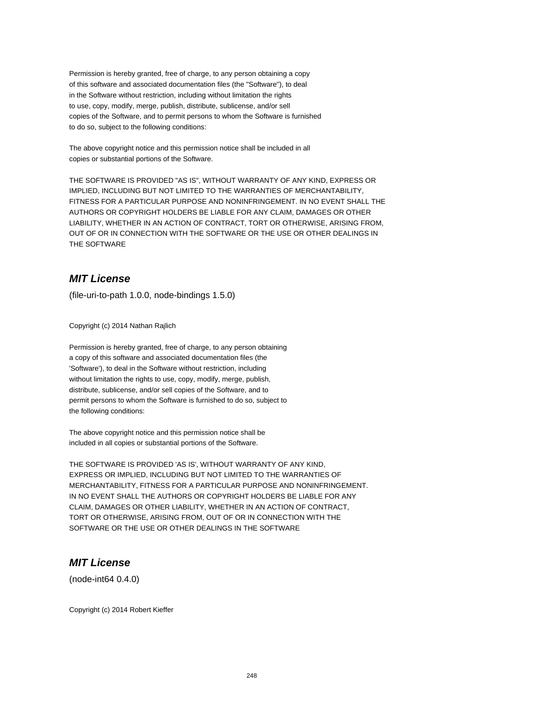The above copyright notice and this permission notice shall be included in all copies or substantial portions of the Software.

THE SOFTWARE IS PROVIDED "AS IS", WITHOUT WARRANTY OF ANY KIND, EXPRESS OR IMPLIED, INCLUDING BUT NOT LIMITED TO THE WARRANTIES OF MERCHANTABILITY, FITNESS FOR A PARTICULAR PURPOSE AND NONINFRINGEMENT. IN NO EVENT SHALL THE AUTHORS OR COPYRIGHT HOLDERS BE LIABLE FOR ANY CLAIM, DAMAGES OR OTHER LIABILITY, WHETHER IN AN ACTION OF CONTRACT, TORT OR OTHERWISE, ARISING FROM, OUT OF OR IN CONNECTION WITH THE SOFTWARE OR THE USE OR OTHER DEALINGS IN THE SOFTWARE

# **MIT License**

(file-uri-to-path 1.0.0, node-bindings 1.5.0)

Copyright (c) 2014 Nathan Rajlich

Permission is hereby granted, free of charge, to any person obtaining a copy of this software and associated documentation files (the 'Software'), to deal in the Software without restriction, including without limitation the rights to use, copy, modify, merge, publish, distribute, sublicense, and/or sell copies of the Software, and to permit persons to whom the Software is furnished to do so, subject to the following conditions:

The above copyright notice and this permission notice shall be included in all copies or substantial portions of the Software.

THE SOFTWARE IS PROVIDED 'AS IS', WITHOUT WARRANTY OF ANY KIND, EXPRESS OR IMPLIED, INCLUDING BUT NOT LIMITED TO THE WARRANTIES OF MERCHANTABILITY, FITNESS FOR A PARTICULAR PURPOSE AND NONINFRINGEMENT. IN NO EVENT SHALL THE AUTHORS OR COPYRIGHT HOLDERS BE LIABLE FOR ANY CLAIM, DAMAGES OR OTHER LIABILITY, WHETHER IN AN ACTION OF CONTRACT, TORT OR OTHERWISE, ARISING FROM, OUT OF OR IN CONNECTION WITH THE SOFTWARE OR THE USE OR OTHER DEALINGS IN THE SOFTWARE

#### **MIT License**

(node-int64 0.4.0)

Copyright (c) 2014 Robert Kieffer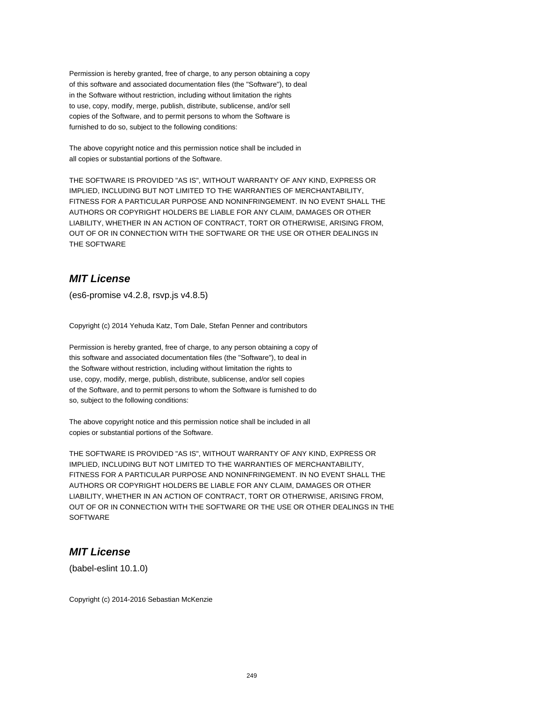The above copyright notice and this permission notice shall be included in all copies or substantial portions of the Software.

THE SOFTWARE IS PROVIDED "AS IS", WITHOUT WARRANTY OF ANY KIND, EXPRESS OR IMPLIED, INCLUDING BUT NOT LIMITED TO THE WARRANTIES OF MERCHANTABILITY, FITNESS FOR A PARTICULAR PURPOSE AND NONINFRINGEMENT. IN NO EVENT SHALL THE AUTHORS OR COPYRIGHT HOLDERS BE LIABLE FOR ANY CLAIM, DAMAGES OR OTHER LIABILITY, WHETHER IN AN ACTION OF CONTRACT, TORT OR OTHERWISE, ARISING FROM, OUT OF OR IN CONNECTION WITH THE SOFTWARE OR THE USE OR OTHER DEALINGS IN THE SOFTWARE

# **MIT License**

(es6-promise v4.2.8, rsvp.js v4.8.5)

Copyright (c) 2014 Yehuda Katz, Tom Dale, Stefan Penner and contributors

Permission is hereby granted, free of charge, to any person obtaining a copy of this software and associated documentation files (the "Software"), to deal in the Software without restriction, including without limitation the rights to use, copy, modify, merge, publish, distribute, sublicense, and/or sell copies of the Software, and to permit persons to whom the Software is furnished to do so, subject to the following conditions:

The above copyright notice and this permission notice shall be included in all copies or substantial portions of the Software.

THE SOFTWARE IS PROVIDED "AS IS", WITHOUT WARRANTY OF ANY KIND, EXPRESS OR IMPLIED, INCLUDING BUT NOT LIMITED TO THE WARRANTIES OF MERCHANTABILITY, FITNESS FOR A PARTICULAR PURPOSE AND NONINFRINGEMENT. IN NO EVENT SHALL THE AUTHORS OR COPYRIGHT HOLDERS BE LIABLE FOR ANY CLAIM, DAMAGES OR OTHER LIABILITY, WHETHER IN AN ACTION OF CONTRACT, TORT OR OTHERWISE, ARISING FROM, OUT OF OR IN CONNECTION WITH THE SOFTWARE OR THE USE OR OTHER DEALINGS IN THE **SOFTWARE** 

# **MIT License**

(babel-eslint 10.1.0)

Copyright (c) 2014-2016 Sebastian McKenzie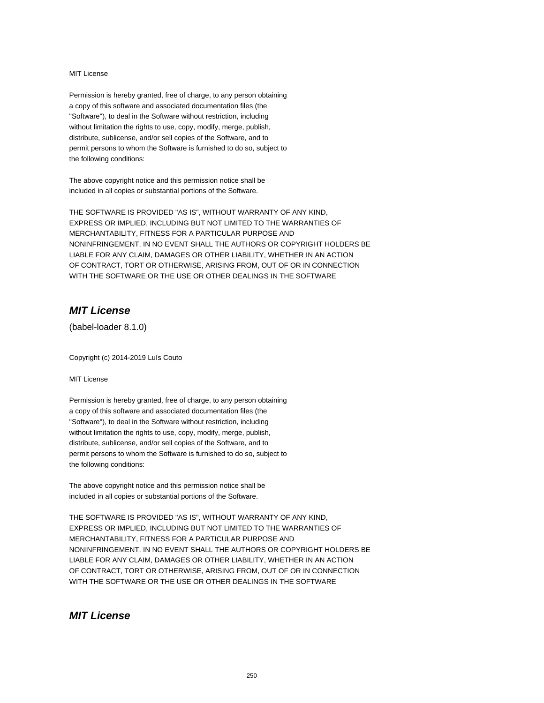#### MIT License

Permission is hereby granted, free of charge, to any person obtaining a copy of this software and associated documentation files (the "Software"), to deal in the Software without restriction, including without limitation the rights to use, copy, modify, merge, publish, distribute, sublicense, and/or sell copies of the Software, and to permit persons to whom the Software is furnished to do so, subject to the following conditions:

The above copyright notice and this permission notice shall be included in all copies or substantial portions of the Software.

THE SOFTWARE IS PROVIDED "AS IS", WITHOUT WARRANTY OF ANY KIND, EXPRESS OR IMPLIED, INCLUDING BUT NOT LIMITED TO THE WARRANTIES OF MERCHANTABILITY, FITNESS FOR A PARTICULAR PURPOSE AND NONINFRINGEMENT. IN NO EVENT SHALL THE AUTHORS OR COPYRIGHT HOLDERS BE LIABLE FOR ANY CLAIM, DAMAGES OR OTHER LIABILITY, WHETHER IN AN ACTION OF CONTRACT, TORT OR OTHERWISE, ARISING FROM, OUT OF OR IN CONNECTION WITH THE SOFTWARE OR THE USE OR OTHER DEALINGS IN THE SOFTWARE

## **MIT License**

(babel-loader 8.1.0)

Copyright (c) 2014-2019 Luís Couto

#### MIT License

Permission is hereby granted, free of charge, to any person obtaining a copy of this software and associated documentation files (the "Software"), to deal in the Software without restriction, including without limitation the rights to use, copy, modify, merge, publish, distribute, sublicense, and/or sell copies of the Software, and to permit persons to whom the Software is furnished to do so, subject to the following conditions:

The above copyright notice and this permission notice shall be included in all copies or substantial portions of the Software.

THE SOFTWARE IS PROVIDED "AS IS", WITHOUT WARRANTY OF ANY KIND, EXPRESS OR IMPLIED, INCLUDING BUT NOT LIMITED TO THE WARRANTIES OF MERCHANTABILITY, FITNESS FOR A PARTICULAR PURPOSE AND NONINFRINGEMENT. IN NO EVENT SHALL THE AUTHORS OR COPYRIGHT HOLDERS BE LIABLE FOR ANY CLAIM, DAMAGES OR OTHER LIABILITY, WHETHER IN AN ACTION OF CONTRACT, TORT OR OTHERWISE, ARISING FROM, OUT OF OR IN CONNECTION WITH THE SOFTWARE OR THE USE OR OTHER DEALINGS IN THE SOFTWARE

## **MIT License**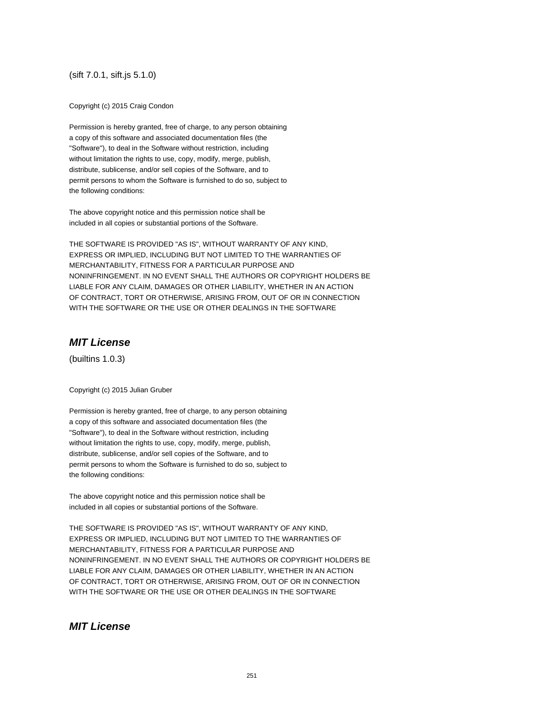(sift 7.0.1, sift.js 5.1.0)

Copyright (c) 2015 Craig Condon

Permission is hereby granted, free of charge, to any person obtaining a copy of this software and associated documentation files (the "Software"), to deal in the Software without restriction, including without limitation the rights to use, copy, modify, merge, publish, distribute, sublicense, and/or sell copies of the Software, and to permit persons to whom the Software is furnished to do so, subject to the following conditions:

The above copyright notice and this permission notice shall be included in all copies or substantial portions of the Software.

THE SOFTWARE IS PROVIDED "AS IS", WITHOUT WARRANTY OF ANY KIND, EXPRESS OR IMPLIED, INCLUDING BUT NOT LIMITED TO THE WARRANTIES OF MERCHANTABILITY, FITNESS FOR A PARTICULAR PURPOSE AND NONINFRINGEMENT. IN NO EVENT SHALL THE AUTHORS OR COPYRIGHT HOLDERS BE LIABLE FOR ANY CLAIM, DAMAGES OR OTHER LIABILITY, WHETHER IN AN ACTION OF CONTRACT, TORT OR OTHERWISE, ARISING FROM, OUT OF OR IN CONNECTION WITH THE SOFTWARE OR THE USE OR OTHER DEALINGS IN THE SOFTWARE

# **MIT License**

(builtins 1.0.3)

Copyright (c) 2015 Julian Gruber

Permission is hereby granted, free of charge, to any person obtaining a copy of this software and associated documentation files (the "Software"), to deal in the Software without restriction, including without limitation the rights to use, copy, modify, merge, publish, distribute, sublicense, and/or sell copies of the Software, and to permit persons to whom the Software is furnished to do so, subject to the following conditions:

The above copyright notice and this permission notice shall be included in all copies or substantial portions of the Software.

THE SOFTWARE IS PROVIDED "AS IS", WITHOUT WARRANTY OF ANY KIND, EXPRESS OR IMPLIED, INCLUDING BUT NOT LIMITED TO THE WARRANTIES OF MERCHANTABILITY, FITNESS FOR A PARTICULAR PURPOSE AND NONINFRINGEMENT. IN NO EVENT SHALL THE AUTHORS OR COPYRIGHT HOLDERS BE LIABLE FOR ANY CLAIM, DAMAGES OR OTHER LIABILITY, WHETHER IN AN ACTION OF CONTRACT, TORT OR OTHERWISE, ARISING FROM, OUT OF OR IN CONNECTION WITH THE SOFTWARE OR THE USE OR OTHER DEALINGS IN THE SOFTWARE

## **MIT License**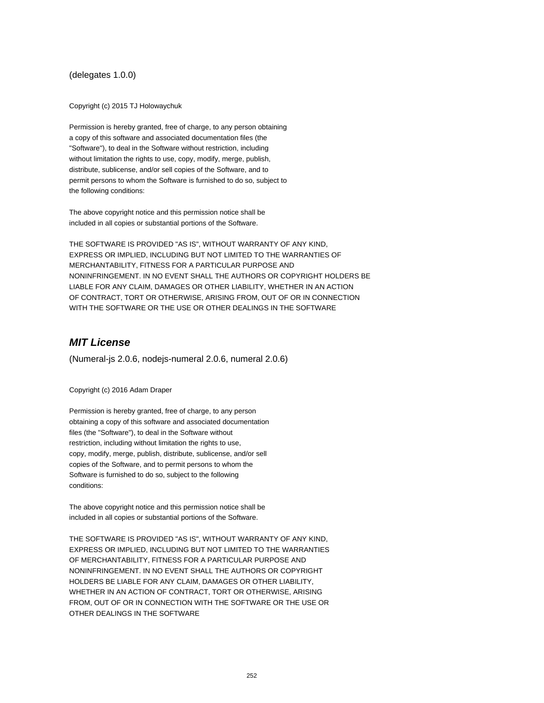#### (delegates 1.0.0)

Copyright (c) 2015 TJ Holowaychuk

Permission is hereby granted, free of charge, to any person obtaining a copy of this software and associated documentation files (the "Software"), to deal in the Software without restriction, including without limitation the rights to use, copy, modify, merge, publish, distribute, sublicense, and/or sell copies of the Software, and to permit persons to whom the Software is furnished to do so, subject to the following conditions:

The above copyright notice and this permission notice shall be included in all copies or substantial portions of the Software.

THE SOFTWARE IS PROVIDED "AS IS", WITHOUT WARRANTY OF ANY KIND, EXPRESS OR IMPLIED, INCLUDING BUT NOT LIMITED TO THE WARRANTIES OF MERCHANTABILITY, FITNESS FOR A PARTICULAR PURPOSE AND NONINFRINGEMENT. IN NO EVENT SHALL THE AUTHORS OR COPYRIGHT HOLDERS BE LIABLE FOR ANY CLAIM, DAMAGES OR OTHER LIABILITY, WHETHER IN AN ACTION OF CONTRACT, TORT OR OTHERWISE, ARISING FROM, OUT OF OR IN CONNECTION WITH THE SOFTWARE OR THE USE OR OTHER DEALINGS IN THE SOFTWARE

# **MIT License**

(Numeral-js 2.0.6, nodejs-numeral 2.0.6, numeral 2.0.6)

Copyright (c) 2016 Adam Draper

Permission is hereby granted, free of charge, to any person obtaining a copy of this software and associated documentation files (the "Software"), to deal in the Software without restriction, including without limitation the rights to use, copy, modify, merge, publish, distribute, sublicense, and/or sell copies of the Software, and to permit persons to whom the Software is furnished to do so, subject to the following conditions:

The above copyright notice and this permission notice shall be included in all copies or substantial portions of the Software.

THE SOFTWARE IS PROVIDED "AS IS", WITHOUT WARRANTY OF ANY KIND, EXPRESS OR IMPLIED, INCLUDING BUT NOT LIMITED TO THE WARRANTIES OF MERCHANTABILITY, FITNESS FOR A PARTICULAR PURPOSE AND NONINFRINGEMENT. IN NO EVENT SHALL THE AUTHORS OR COPYRIGHT HOLDERS BE LIABLE FOR ANY CLAIM, DAMAGES OR OTHER LIABILITY, WHETHER IN AN ACTION OF CONTRACT, TORT OR OTHERWISE, ARISING FROM, OUT OF OR IN CONNECTION WITH THE SOFTWARE OR THE USE OR OTHER DEALINGS IN THE SOFTWARE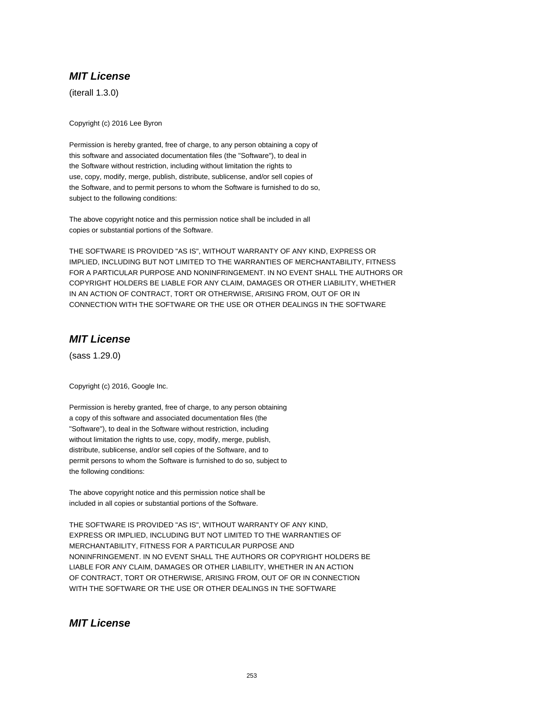(iterall 1.3.0)

Copyright (c) 2016 Lee Byron

Permission is hereby granted, free of charge, to any person obtaining a copy of this software and associated documentation files (the "Software"), to deal in the Software without restriction, including without limitation the rights to use, copy, modify, merge, publish, distribute, sublicense, and/or sell copies of the Software, and to permit persons to whom the Software is furnished to do so, subject to the following conditions:

The above copyright notice and this permission notice shall be included in all copies or substantial portions of the Software.

THE SOFTWARE IS PROVIDED "AS IS", WITHOUT WARRANTY OF ANY KIND, EXPRESS OR IMPLIED, INCLUDING BUT NOT LIMITED TO THE WARRANTIES OF MERCHANTABILITY, FITNESS FOR A PARTICULAR PURPOSE AND NONINFRINGEMENT. IN NO EVENT SHALL THE AUTHORS OR COPYRIGHT HOLDERS BE LIABLE FOR ANY CLAIM, DAMAGES OR OTHER LIABILITY, WHETHER IN AN ACTION OF CONTRACT, TORT OR OTHERWISE, ARISING FROM, OUT OF OR IN CONNECTION WITH THE SOFTWARE OR THE USE OR OTHER DEALINGS IN THE SOFTWARE

## **MIT License**

(sass 1.29.0)

Copyright (c) 2016, Google Inc.

Permission is hereby granted, free of charge, to any person obtaining a copy of this software and associated documentation files (the "Software"), to deal in the Software without restriction, including without limitation the rights to use, copy, modify, merge, publish, distribute, sublicense, and/or sell copies of the Software, and to permit persons to whom the Software is furnished to do so, subject to the following conditions:

The above copyright notice and this permission notice shall be included in all copies or substantial portions of the Software.

THE SOFTWARE IS PROVIDED "AS IS", WITHOUT WARRANTY OF ANY KIND, EXPRESS OR IMPLIED, INCLUDING BUT NOT LIMITED TO THE WARRANTIES OF MERCHANTABILITY, FITNESS FOR A PARTICULAR PURPOSE AND NONINFRINGEMENT. IN NO EVENT SHALL THE AUTHORS OR COPYRIGHT HOLDERS BE LIABLE FOR ANY CLAIM, DAMAGES OR OTHER LIABILITY, WHETHER IN AN ACTION OF CONTRACT, TORT OR OTHERWISE, ARISING FROM, OUT OF OR IN CONNECTION WITH THE SOFTWARE OR THE USE OR OTHER DEALINGS IN THE SOFTWARE

## **MIT License**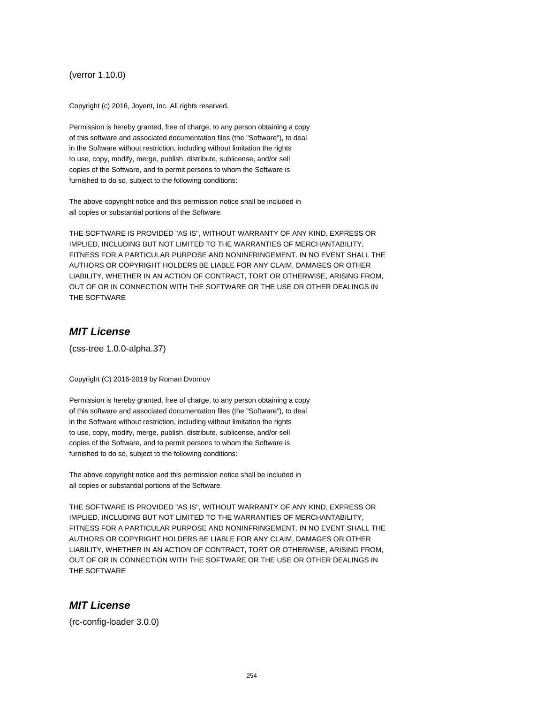(verror 1.10.0)

Copyright (c) 2016, Joyent, Inc. All rights reserved.

Permission is hereby granted, free of charge, to any person obtaining a copy of this software and associated documentation files (the "Software"), to deal in the Software without restriction, including without limitation the rights to use, copy, modify, merge, publish, distribute, sublicense, and/or sell copies of the Software, and to permit persons to whom the Software is furnished to do so, subject to the following conditions:

The above copyright notice and this permission notice shall be included in all copies or substantial portions of the Software.

THE SOFTWARE IS PROVIDED "AS IS", WITHOUT WARRANTY OF ANY KIND, EXPRESS OR IMPLIED, INCLUDING BUT NOT LIMITED TO THE WARRANTIES OF MERCHANTABILITY, FITNESS FOR A PARTICULAR PURPOSE AND NONINFRINGEMENT. IN NO EVENT SHALL THE AUTHORS OR COPYRIGHT HOLDERS BE LIABLE FOR ANY CLAIM, DAMAGES OR OTHER LIABILITY, WHETHER IN AN ACTION OF CONTRACT, TORT OR OTHERWISE, ARISING FROM, OUT OF OR IN CONNECTION WITH THE SOFTWARE OR THE USE OR OTHER DEALINGS IN THE SOFTWARE

#### **MIT License**

(css-tree 1.0.0-alpha.37)

Copyright (C) 2016-2019 by Roman Dvornov

Permission is hereby granted, free of charge, to any person obtaining a copy of this software and associated documentation files (the "Software"), to deal in the Software without restriction, including without limitation the rights to use, copy, modify, merge, publish, distribute, sublicense, and/or sell copies of the Software, and to permit persons to whom the Software is furnished to do so, subject to the following conditions:

The above copyright notice and this permission notice shall be included in all copies or substantial portions of the Software.

THE SOFTWARE IS PROVIDED "AS IS", WITHOUT WARRANTY OF ANY KIND, EXPRESS OR IMPLIED, INCLUDING BUT NOT LIMITED TO THE WARRANTIES OF MERCHANTABILITY, FITNESS FOR A PARTICULAR PURPOSE AND NONINFRINGEMENT. IN NO EVENT SHALL THE AUTHORS OR COPYRIGHT HOLDERS BE LIABLE FOR ANY CLAIM, DAMAGES OR OTHER LIABILITY, WHETHER IN AN ACTION OF CONTRACT, TORT OR OTHERWISE, ARISING FROM, OUT OF OR IN CONNECTION WITH THE SOFTWARE OR THE USE OR OTHER DEALINGS IN THE SOFTWARE

## **MIT License**

(rc-config-loader 3.0.0)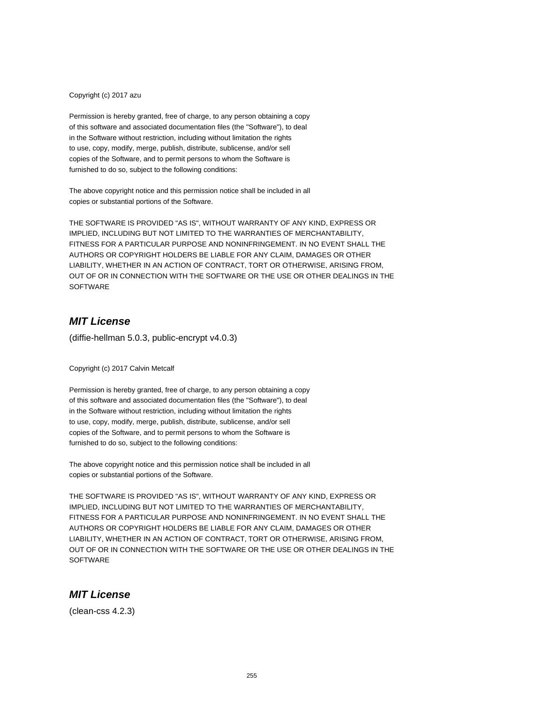Copyright (c) 2017 azu

Permission is hereby granted, free of charge, to any person obtaining a copy of this software and associated documentation files (the "Software"), to deal in the Software without restriction, including without limitation the rights to use, copy, modify, merge, publish, distribute, sublicense, and/or sell copies of the Software, and to permit persons to whom the Software is furnished to do so, subject to the following conditions:

The above copyright notice and this permission notice shall be included in all copies or substantial portions of the Software.

THE SOFTWARE IS PROVIDED "AS IS", WITHOUT WARRANTY OF ANY KIND, EXPRESS OR IMPLIED, INCLUDING BUT NOT LIMITED TO THE WARRANTIES OF MERCHANTABILITY, FITNESS FOR A PARTICULAR PURPOSE AND NONINFRINGEMENT. IN NO EVENT SHALL THE AUTHORS OR COPYRIGHT HOLDERS BE LIABLE FOR ANY CLAIM, DAMAGES OR OTHER LIABILITY, WHETHER IN AN ACTION OF CONTRACT, TORT OR OTHERWISE, ARISING FROM, OUT OF OR IN CONNECTION WITH THE SOFTWARE OR THE USE OR OTHER DEALINGS IN THE **SOFTWARE** 

## **MIT License**

(diffie-hellman 5.0.3, public-encrypt v4.0.3)

Copyright (c) 2017 Calvin Metcalf

Permission is hereby granted, free of charge, to any person obtaining a copy of this software and associated documentation files (the "Software"), to deal in the Software without restriction, including without limitation the rights to use, copy, modify, merge, publish, distribute, sublicense, and/or sell copies of the Software, and to permit persons to whom the Software is furnished to do so, subject to the following conditions:

The above copyright notice and this permission notice shall be included in all copies or substantial portions of the Software.

THE SOFTWARE IS PROVIDED "AS IS", WITHOUT WARRANTY OF ANY KIND, EXPRESS OR IMPLIED, INCLUDING BUT NOT LIMITED TO THE WARRANTIES OF MERCHANTABILITY, FITNESS FOR A PARTICULAR PURPOSE AND NONINFRINGEMENT. IN NO EVENT SHALL THE AUTHORS OR COPYRIGHT HOLDERS BE LIABLE FOR ANY CLAIM, DAMAGES OR OTHER LIABILITY, WHETHER IN AN ACTION OF CONTRACT, TORT OR OTHERWISE, ARISING FROM, OUT OF OR IN CONNECTION WITH THE SOFTWARE OR THE USE OR OTHER DEALINGS IN THE **SOFTWARE** 

#### **MIT License**

(clean-css 4.2.3)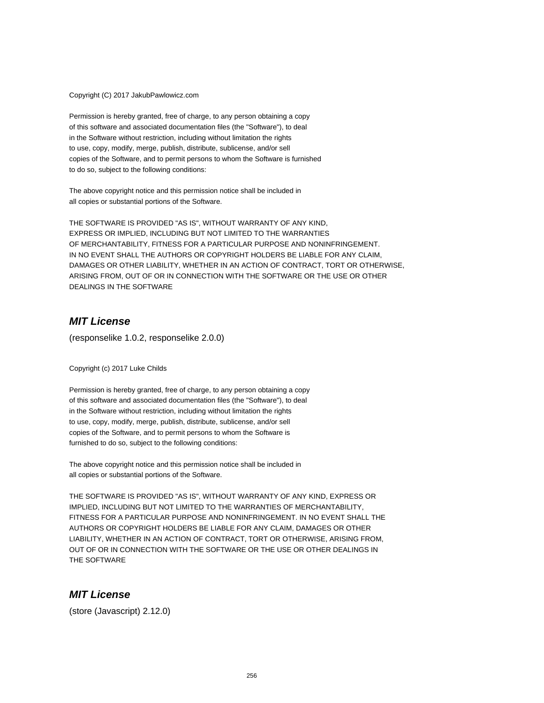Copyright (C) 2017 JakubPawlowicz.com

Permission is hereby granted, free of charge, to any person obtaining a copy of this software and associated documentation files (the "Software"), to deal in the Software without restriction, including without limitation the rights to use, copy, modify, merge, publish, distribute, sublicense, and/or sell copies of the Software, and to permit persons to whom the Software is furnished to do so, subject to the following conditions:

The above copyright notice and this permission notice shall be included in all copies or substantial portions of the Software.

THE SOFTWARE IS PROVIDED "AS IS", WITHOUT WARRANTY OF ANY KIND, EXPRESS OR IMPLIED, INCLUDING BUT NOT LIMITED TO THE WARRANTIES OF MERCHANTABILITY, FITNESS FOR A PARTICULAR PURPOSE AND NONINFRINGEMENT. IN NO EVENT SHALL THE AUTHORS OR COPYRIGHT HOLDERS BE LIABLE FOR ANY CLAIM, DAMAGES OR OTHER LIABILITY, WHETHER IN AN ACTION OF CONTRACT, TORT OR OTHERWISE, ARISING FROM, OUT OF OR IN CONNECTION WITH THE SOFTWARE OR THE USE OR OTHER DEALINGS IN THE SOFTWARE

## **MIT License**

(responselike 1.0.2, responselike 2.0.0)

Copyright (c) 2017 Luke Childs

Permission is hereby granted, free of charge, to any person obtaining a copy of this software and associated documentation files (the "Software"), to deal in the Software without restriction, including without limitation the rights to use, copy, modify, merge, publish, distribute, sublicense, and/or sell copies of the Software, and to permit persons to whom the Software is furnished to do so, subject to the following conditions:

The above copyright notice and this permission notice shall be included in all copies or substantial portions of the Software.

THE SOFTWARE IS PROVIDED "AS IS", WITHOUT WARRANTY OF ANY KIND, EXPRESS OR IMPLIED, INCLUDING BUT NOT LIMITED TO THE WARRANTIES OF MERCHANTABILITY, FITNESS FOR A PARTICULAR PURPOSE AND NONINFRINGEMENT. IN NO EVENT SHALL THE AUTHORS OR COPYRIGHT HOLDERS BE LIABLE FOR ANY CLAIM, DAMAGES OR OTHER LIABILITY, WHETHER IN AN ACTION OF CONTRACT, TORT OR OTHERWISE, ARISING FROM, OUT OF OR IN CONNECTION WITH THE SOFTWARE OR THE USE OR OTHER DEALINGS IN THE SOFTWARE

#### **MIT License**

(store (Javascript) 2.12.0)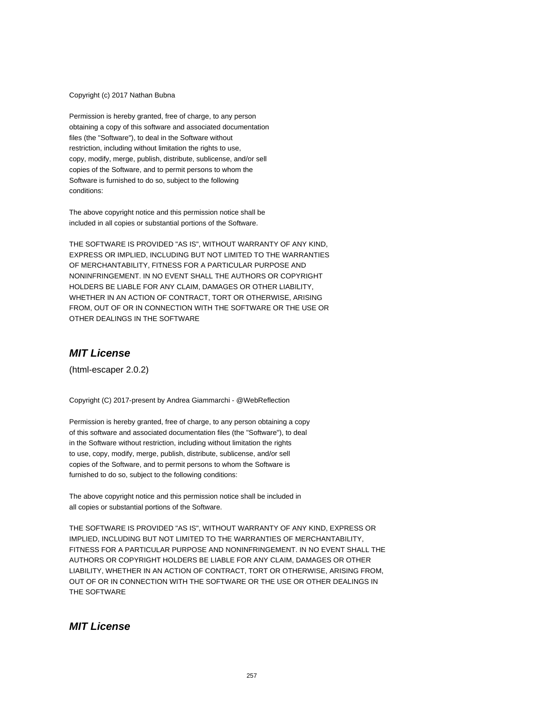#### Copyright (c) 2017 Nathan Bubna

Permission is hereby granted, free of charge, to any person obtaining a copy of this software and associated documentation files (the "Software"), to deal in the Software without restriction, including without limitation the rights to use, copy, modify, merge, publish, distribute, sublicense, and/or sell copies of the Software, and to permit persons to whom the Software is furnished to do so, subject to the following conditions:

The above copyright notice and this permission notice shall be included in all copies or substantial portions of the Software.

THE SOFTWARE IS PROVIDED "AS IS", WITHOUT WARRANTY OF ANY KIND, EXPRESS OR IMPLIED, INCLUDING BUT NOT LIMITED TO THE WARRANTIES OF MERCHANTABILITY, FITNESS FOR A PARTICULAR PURPOSE AND NONINFRINGEMENT. IN NO EVENT SHALL THE AUTHORS OR COPYRIGHT HOLDERS BE LIABLE FOR ANY CLAIM, DAMAGES OR OTHER LIABILITY, WHETHER IN AN ACTION OF CONTRACT, TORT OR OTHERWISE, ARISING FROM, OUT OF OR IN CONNECTION WITH THE SOFTWARE OR THE USE OR OTHER DEALINGS IN THE SOFTWARE

#### **MIT License**

(html-escaper 2.0.2)

Copyright (C) 2017-present by Andrea Giammarchi - @WebReflection

Permission is hereby granted, free of charge, to any person obtaining a copy of this software and associated documentation files (the "Software"), to deal in the Software without restriction, including without limitation the rights to use, copy, modify, merge, publish, distribute, sublicense, and/or sell copies of the Software, and to permit persons to whom the Software is furnished to do so, subject to the following conditions:

The above copyright notice and this permission notice shall be included in all copies or substantial portions of the Software.

THE SOFTWARE IS PROVIDED "AS IS", WITHOUT WARRANTY OF ANY KIND, EXPRESS OR IMPLIED, INCLUDING BUT NOT LIMITED TO THE WARRANTIES OF MERCHANTABILITY, FITNESS FOR A PARTICULAR PURPOSE AND NONINFRINGEMENT. IN NO EVENT SHALL THE AUTHORS OR COPYRIGHT HOLDERS BE LIABLE FOR ANY CLAIM, DAMAGES OR OTHER LIABILITY, WHETHER IN AN ACTION OF CONTRACT, TORT OR OTHERWISE, ARISING FROM, OUT OF OR IN CONNECTION WITH THE SOFTWARE OR THE USE OR OTHER DEALINGS IN THE SOFTWARE

#### **MIT License**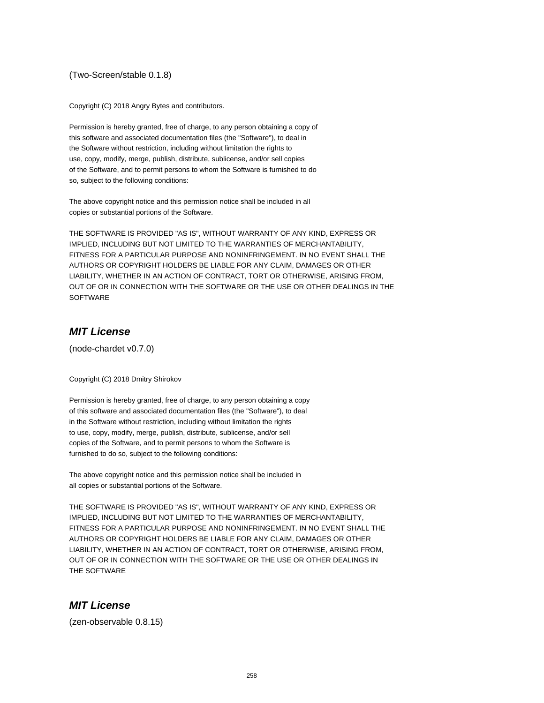#### (Two-Screen/stable 0.1.8)

Copyright (C) 2018 Angry Bytes and contributors.

Permission is hereby granted, free of charge, to any person obtaining a copy of this software and associated documentation files (the "Software"), to deal in the Software without restriction, including without limitation the rights to use, copy, modify, merge, publish, distribute, sublicense, and/or sell copies of the Software, and to permit persons to whom the Software is furnished to do so, subject to the following conditions:

The above copyright notice and this permission notice shall be included in all copies or substantial portions of the Software.

THE SOFTWARE IS PROVIDED "AS IS", WITHOUT WARRANTY OF ANY KIND, EXPRESS OR IMPLIED, INCLUDING BUT NOT LIMITED TO THE WARRANTIES OF MERCHANTABILITY, FITNESS FOR A PARTICULAR PURPOSE AND NONINFRINGEMENT. IN NO EVENT SHALL THE AUTHORS OR COPYRIGHT HOLDERS BE LIABLE FOR ANY CLAIM, DAMAGES OR OTHER LIABILITY, WHETHER IN AN ACTION OF CONTRACT, TORT OR OTHERWISE, ARISING FROM, OUT OF OR IN CONNECTION WITH THE SOFTWARE OR THE USE OR OTHER DEALINGS IN THE SOFTWARE

### **MIT License**

(node-chardet v0.7.0)

Copyright (C) 2018 Dmitry Shirokov

Permission is hereby granted, free of charge, to any person obtaining a copy of this software and associated documentation files (the "Software"), to deal in the Software without restriction, including without limitation the rights to use, copy, modify, merge, publish, distribute, sublicense, and/or sell copies of the Software, and to permit persons to whom the Software is furnished to do so, subject to the following conditions:

The above copyright notice and this permission notice shall be included in all copies or substantial portions of the Software.

THE SOFTWARE IS PROVIDED "AS IS", WITHOUT WARRANTY OF ANY KIND, EXPRESS OR IMPLIED, INCLUDING BUT NOT LIMITED TO THE WARRANTIES OF MERCHANTABILITY, FITNESS FOR A PARTICULAR PURPOSE AND NONINFRINGEMENT. IN NO EVENT SHALL THE AUTHORS OR COPYRIGHT HOLDERS BE LIABLE FOR ANY CLAIM, DAMAGES OR OTHER LIABILITY, WHETHER IN AN ACTION OF CONTRACT, TORT OR OTHERWISE, ARISING FROM, OUT OF OR IN CONNECTION WITH THE SOFTWARE OR THE USE OR OTHER DEALINGS IN THE SOFTWARE

#### **MIT License**

(zen-observable 0.8.15)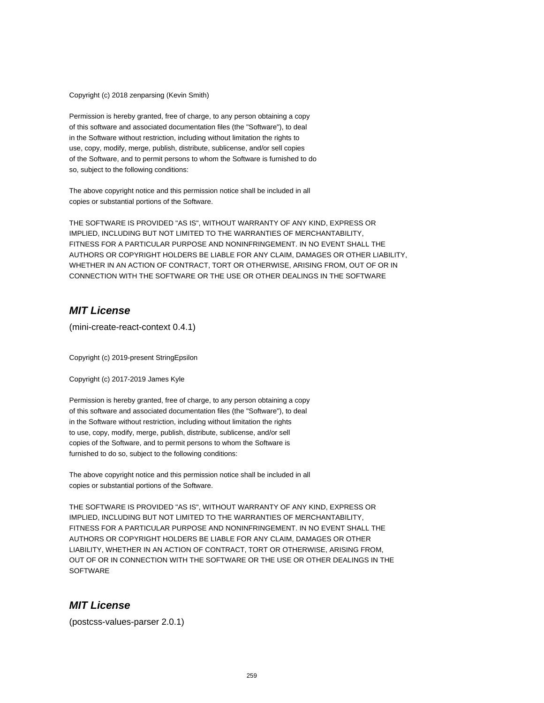Copyright (c) 2018 zenparsing (Kevin Smith)

Permission is hereby granted, free of charge, to any person obtaining a copy of this software and associated documentation files (the "Software"), to deal in the Software without restriction, including without limitation the rights to use, copy, modify, merge, publish, distribute, sublicense, and/or sell copies of the Software, and to permit persons to whom the Software is furnished to do so, subject to the following conditions:

The above copyright notice and this permission notice shall be included in all copies or substantial portions of the Software.

THE SOFTWARE IS PROVIDED "AS IS", WITHOUT WARRANTY OF ANY KIND, EXPRESS OR IMPLIED, INCLUDING BUT NOT LIMITED TO THE WARRANTIES OF MERCHANTABILITY, FITNESS FOR A PARTICULAR PURPOSE AND NONINFRINGEMENT. IN NO EVENT SHALL THE AUTHORS OR COPYRIGHT HOLDERS BE LIABLE FOR ANY CLAIM, DAMAGES OR OTHER LIABILITY, WHETHER IN AN ACTION OF CONTRACT, TORT OR OTHERWISE, ARISING FROM, OUT OF OR IN CONNECTION WITH THE SOFTWARE OR THE USE OR OTHER DEALINGS IN THE SOFTWARE

## **MIT License**

(mini-create-react-context 0.4.1)

Copyright (c) 2019-present StringEpsilon

Copyright (c) 2017-2019 James Kyle

Permission is hereby granted, free of charge, to any person obtaining a copy of this software and associated documentation files (the "Software"), to deal in the Software without restriction, including without limitation the rights to use, copy, modify, merge, publish, distribute, sublicense, and/or sell copies of the Software, and to permit persons to whom the Software is furnished to do so, subject to the following conditions:

The above copyright notice and this permission notice shall be included in all copies or substantial portions of the Software.

THE SOFTWARE IS PROVIDED "AS IS", WITHOUT WARRANTY OF ANY KIND, EXPRESS OR IMPLIED, INCLUDING BUT NOT LIMITED TO THE WARRANTIES OF MERCHANTABILITY, FITNESS FOR A PARTICULAR PURPOSE AND NONINFRINGEMENT. IN NO EVENT SHALL THE AUTHORS OR COPYRIGHT HOLDERS BE LIABLE FOR ANY CLAIM, DAMAGES OR OTHER LIABILITY, WHETHER IN AN ACTION OF CONTRACT, TORT OR OTHERWISE, ARISING FROM, OUT OF OR IN CONNECTION WITH THE SOFTWARE OR THE USE OR OTHER DEALINGS IN THE **SOFTWARE** 

#### **MIT License**

(postcss-values-parser 2.0.1)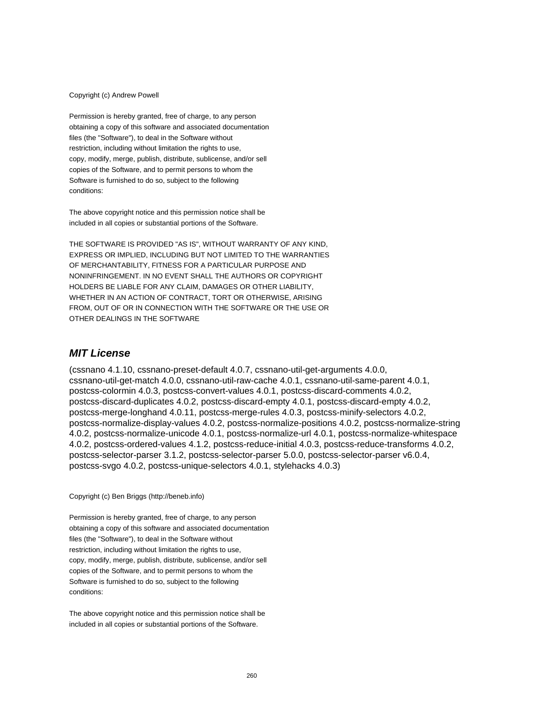#### Copyright (c) Andrew Powell

Permission is hereby granted, free of charge, to any person obtaining a copy of this software and associated documentation files (the "Software"), to deal in the Software without restriction, including without limitation the rights to use, copy, modify, merge, publish, distribute, sublicense, and/or sell copies of the Software, and to permit persons to whom the Software is furnished to do so, subject to the following conditions:

The above copyright notice and this permission notice shall be included in all copies or substantial portions of the Software.

THE SOFTWARE IS PROVIDED "AS IS", WITHOUT WARRANTY OF ANY KIND, EXPRESS OR IMPLIED, INCLUDING BUT NOT LIMITED TO THE WARRANTIES OF MERCHANTABILITY, FITNESS FOR A PARTICULAR PURPOSE AND NONINFRINGEMENT. IN NO EVENT SHALL THE AUTHORS OR COPYRIGHT HOLDERS BE LIABLE FOR ANY CLAIM, DAMAGES OR OTHER LIABILITY, WHETHER IN AN ACTION OF CONTRACT, TORT OR OTHERWISE, ARISING FROM, OUT OF OR IN CONNECTION WITH THE SOFTWARE OR THE USE OR OTHER DEALINGS IN THE SOFTWARE

#### **MIT License**

(cssnano 4.1.10, cssnano-preset-default 4.0.7, cssnano-util-get-arguments 4.0.0, cssnano-util-get-match 4.0.0, cssnano-util-raw-cache 4.0.1, cssnano-util-same-parent 4.0.1, postcss-colormin 4.0.3, postcss-convert-values 4.0.1, postcss-discard-comments 4.0.2, postcss-discard-duplicates 4.0.2, postcss-discard-empty 4.0.1, postcss-discard-empty 4.0.2, postcss-merge-longhand 4.0.11, postcss-merge-rules 4.0.3, postcss-minify-selectors 4.0.2, postcss-normalize-display-values 4.0.2, postcss-normalize-positions 4.0.2, postcss-normalize-string 4.0.2, postcss-normalize-unicode 4.0.1, postcss-normalize-url 4.0.1, postcss-normalize-whitespace 4.0.2, postcss-ordered-values 4.1.2, postcss-reduce-initial 4.0.3, postcss-reduce-transforms 4.0.2, postcss-selector-parser 3.1.2, postcss-selector-parser 5.0.0, postcss-selector-parser v6.0.4, postcss-svgo 4.0.2, postcss-unique-selectors 4.0.1, stylehacks 4.0.3)

Copyright (c) Ben Briggs (http://beneb.info)

Permission is hereby granted, free of charge, to any person obtaining a copy of this software and associated documentation files (the "Software"), to deal in the Software without restriction, including without limitation the rights to use, copy, modify, merge, publish, distribute, sublicense, and/or sell copies of the Software, and to permit persons to whom the Software is furnished to do so, subject to the following conditions:

The above copyright notice and this permission notice shall be included in all copies or substantial portions of the Software.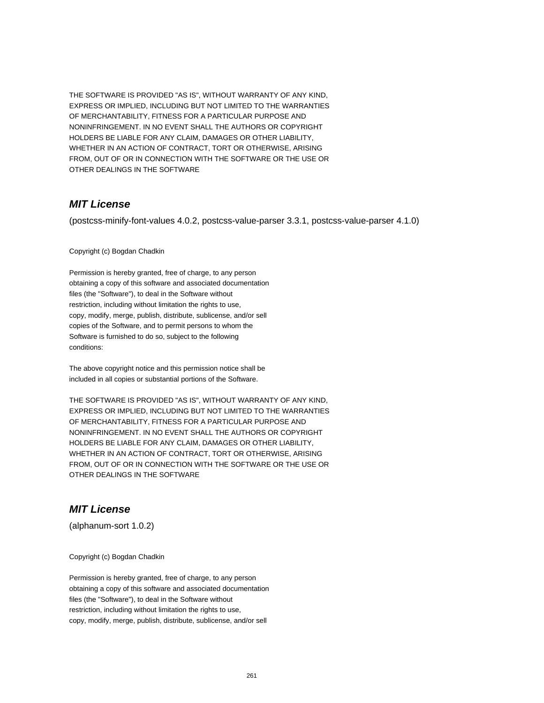THE SOFTWARE IS PROVIDED "AS IS", WITHOUT WARRANTY OF ANY KIND, EXPRESS OR IMPLIED, INCLUDING BUT NOT LIMITED TO THE WARRANTIES OF MERCHANTABILITY, FITNESS FOR A PARTICULAR PURPOSE AND NONINFRINGEMENT. IN NO EVENT SHALL THE AUTHORS OR COPYRIGHT HOLDERS BE LIABLE FOR ANY CLAIM, DAMAGES OR OTHER LIABILITY, WHETHER IN AN ACTION OF CONTRACT, TORT OR OTHERWISE, ARISING FROM, OUT OF OR IN CONNECTION WITH THE SOFTWARE OR THE USE OR OTHER DEALINGS IN THE SOFTWARE

## **MIT License**

(postcss-minify-font-values 4.0.2, postcss-value-parser 3.3.1, postcss-value-parser 4.1.0)

Copyright (c) Bogdan Chadkin

Permission is hereby granted, free of charge, to any person obtaining a copy of this software and associated documentation files (the "Software"), to deal in the Software without restriction, including without limitation the rights to use, copy, modify, merge, publish, distribute, sublicense, and/or sell copies of the Software, and to permit persons to whom the Software is furnished to do so, subject to the following conditions:

The above copyright notice and this permission notice shall be included in all copies or substantial portions of the Software.

THE SOFTWARE IS PROVIDED "AS IS", WITHOUT WARRANTY OF ANY KIND, EXPRESS OR IMPLIED, INCLUDING BUT NOT LIMITED TO THE WARRANTIES OF MERCHANTABILITY, FITNESS FOR A PARTICULAR PURPOSE AND NONINFRINGEMENT. IN NO EVENT SHALL THE AUTHORS OR COPYRIGHT HOLDERS BE LIABLE FOR ANY CLAIM, DAMAGES OR OTHER LIABILITY, WHETHER IN AN ACTION OF CONTRACT, TORT OR OTHERWISE, ARISING FROM, OUT OF OR IN CONNECTION WITH THE SOFTWARE OR THE USE OR OTHER DEALINGS IN THE SOFTWARE

## **MIT License**

(alphanum-sort 1.0.2)

Copyright (c) Bogdan Chadkin

Permission is hereby granted, free of charge, to any person obtaining a copy of this software and associated documentation files (the "Software"), to deal in the Software without restriction, including without limitation the rights to use, copy, modify, merge, publish, distribute, sublicense, and/or sell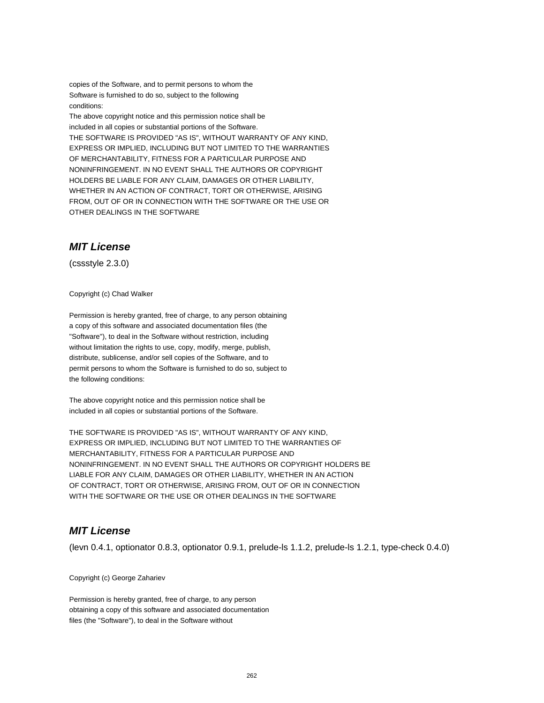copies of the Software, and to permit persons to whom the Software is furnished to do so, subject to the following conditions:

The above copyright notice and this permission notice shall be included in all copies or substantial portions of the Software. THE SOFTWARE IS PROVIDED "AS IS", WITHOUT WARRANTY OF ANY KIND, EXPRESS OR IMPLIED, INCLUDING BUT NOT LIMITED TO THE WARRANTIES OF MERCHANTABILITY, FITNESS FOR A PARTICULAR PURPOSE AND NONINFRINGEMENT. IN NO EVENT SHALL THE AUTHORS OR COPYRIGHT HOLDERS BE LIABLE FOR ANY CLAIM, DAMAGES OR OTHER LIABILITY, WHETHER IN AN ACTION OF CONTRACT, TORT OR OTHERWISE, ARISING FROM, OUT OF OR IN CONNECTION WITH THE SOFTWARE OR THE USE OR OTHER DEALINGS IN THE SOFTWARE

## **MIT License**

(cssstyle 2.3.0)

Copyright (c) Chad Walker

Permission is hereby granted, free of charge, to any person obtaining a copy of this software and associated documentation files (the "Software"), to deal in the Software without restriction, including without limitation the rights to use, copy, modify, merge, publish, distribute, sublicense, and/or sell copies of the Software, and to permit persons to whom the Software is furnished to do so, subject to the following conditions:

The above copyright notice and this permission notice shall be included in all copies or substantial portions of the Software.

THE SOFTWARE IS PROVIDED "AS IS", WITHOUT WARRANTY OF ANY KIND, EXPRESS OR IMPLIED, INCLUDING BUT NOT LIMITED TO THE WARRANTIES OF MERCHANTABILITY, FITNESS FOR A PARTICULAR PURPOSE AND NONINFRINGEMENT. IN NO EVENT SHALL THE AUTHORS OR COPYRIGHT HOLDERS BE LIABLE FOR ANY CLAIM, DAMAGES OR OTHER LIABILITY, WHETHER IN AN ACTION OF CONTRACT, TORT OR OTHERWISE, ARISING FROM, OUT OF OR IN CONNECTION WITH THE SOFTWARE OR THE USE OR OTHER DEALINGS IN THE SOFTWARE

## **MIT License**

(levn 0.4.1, optionator 0.8.3, optionator 0.9.1, prelude-ls 1.1.2, prelude-ls 1.2.1, type-check 0.4.0)

Copyright (c) George Zahariev

Permission is hereby granted, free of charge, to any person obtaining a copy of this software and associated documentation files (the "Software"), to deal in the Software without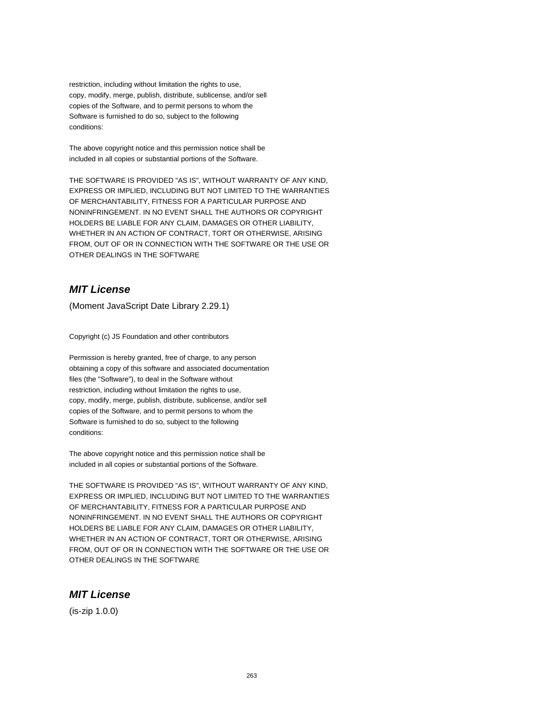restriction, including without limitation the rights to use, copy, modify, merge, publish, distribute, sublicense, and/or sell copies of the Software, and to permit persons to whom the Software is furnished to do so, subject to the following conditions:

The above copyright notice and this permission notice shall be included in all copies or substantial portions of the Software.

THE SOFTWARE IS PROVIDED "AS IS", WITHOUT WARRANTY OF ANY KIND, EXPRESS OR IMPLIED, INCLUDING BUT NOT LIMITED TO THE WARRANTIES OF MERCHANTABILITY, FITNESS FOR A PARTICULAR PURPOSE AND NONINFRINGEMENT. IN NO EVENT SHALL THE AUTHORS OR COPYRIGHT HOLDERS BE LIABLE FOR ANY CLAIM, DAMAGES OR OTHER LIABILITY, WHETHER IN AN ACTION OF CONTRACT, TORT OR OTHERWISE, ARISING FROM, OUT OF OR IN CONNECTION WITH THE SOFTWARE OR THE USE OR OTHER DEALINGS IN THE SOFTWARE

## **MIT License**

(Moment JavaScript Date Library 2.29.1)

Copyright (c) JS Foundation and other contributors

Permission is hereby granted, free of charge, to any person obtaining a copy of this software and associated documentation files (the "Software"), to deal in the Software without restriction, including without limitation the rights to use, copy, modify, merge, publish, distribute, sublicense, and/or sell copies of the Software, and to permit persons to whom the Software is furnished to do so, subject to the following conditions:

The above copyright notice and this permission notice shall be included in all copies or substantial portions of the Software.

THE SOFTWARE IS PROVIDED "AS IS", WITHOUT WARRANTY OF ANY KIND, EXPRESS OR IMPLIED, INCLUDING BUT NOT LIMITED TO THE WARRANTIES OF MERCHANTABILITY, FITNESS FOR A PARTICULAR PURPOSE AND NONINFRINGEMENT. IN NO EVENT SHALL THE AUTHORS OR COPYRIGHT HOLDERS BE LIABLE FOR ANY CLAIM, DAMAGES OR OTHER LIABILITY, WHETHER IN AN ACTION OF CONTRACT, TORT OR OTHERWISE, ARISING FROM, OUT OF OR IN CONNECTION WITH THE SOFTWARE OR THE USE OR OTHER DEALINGS IN THE SOFTWARE

#### **MIT License**

(is-zip 1.0.0)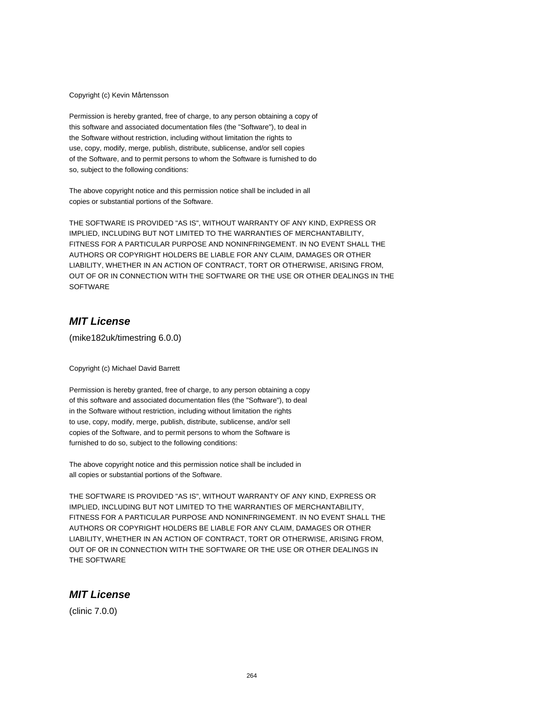Copyright (c) Kevin Mårtensson

Permission is hereby granted, free of charge, to any person obtaining a copy of this software and associated documentation files (the "Software"), to deal in the Software without restriction, including without limitation the rights to use, copy, modify, merge, publish, distribute, sublicense, and/or sell copies of the Software, and to permit persons to whom the Software is furnished to do so, subject to the following conditions:

The above copyright notice and this permission notice shall be included in all copies or substantial portions of the Software.

THE SOFTWARE IS PROVIDED "AS IS", WITHOUT WARRANTY OF ANY KIND, EXPRESS OR IMPLIED, INCLUDING BUT NOT LIMITED TO THE WARRANTIES OF MERCHANTABILITY, FITNESS FOR A PARTICULAR PURPOSE AND NONINFRINGEMENT. IN NO EVENT SHALL THE AUTHORS OR COPYRIGHT HOLDERS BE LIABLE FOR ANY CLAIM, DAMAGES OR OTHER LIABILITY, WHETHER IN AN ACTION OF CONTRACT, TORT OR OTHERWISE, ARISING FROM, OUT OF OR IN CONNECTION WITH THE SOFTWARE OR THE USE OR OTHER DEALINGS IN THE **SOFTWARE** 

## **MIT License**

(mike182uk/timestring 6.0.0)

Copyright (c) Michael David Barrett

Permission is hereby granted, free of charge, to any person obtaining a copy of this software and associated documentation files (the "Software"), to deal in the Software without restriction, including without limitation the rights to use, copy, modify, merge, publish, distribute, sublicense, and/or sell copies of the Software, and to permit persons to whom the Software is furnished to do so, subject to the following conditions:

The above copyright notice and this permission notice shall be included in all copies or substantial portions of the Software.

THE SOFTWARE IS PROVIDED "AS IS", WITHOUT WARRANTY OF ANY KIND, EXPRESS OR IMPLIED, INCLUDING BUT NOT LIMITED TO THE WARRANTIES OF MERCHANTABILITY, FITNESS FOR A PARTICULAR PURPOSE AND NONINFRINGEMENT. IN NO EVENT SHALL THE AUTHORS OR COPYRIGHT HOLDERS BE LIABLE FOR ANY CLAIM, DAMAGES OR OTHER LIABILITY, WHETHER IN AN ACTION OF CONTRACT, TORT OR OTHERWISE, ARISING FROM, OUT OF OR IN CONNECTION WITH THE SOFTWARE OR THE USE OR OTHER DEALINGS IN THE SOFTWARE

#### **MIT License**

(clinic 7.0.0)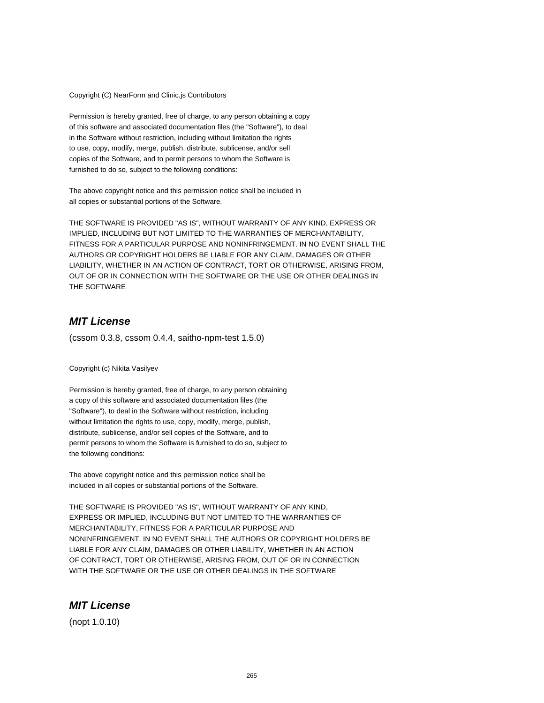Copyright (C) NearForm and Clinic.js Contributors

Permission is hereby granted, free of charge, to any person obtaining a copy of this software and associated documentation files (the "Software"), to deal in the Software without restriction, including without limitation the rights to use, copy, modify, merge, publish, distribute, sublicense, and/or sell copies of the Software, and to permit persons to whom the Software is furnished to do so, subject to the following conditions:

The above copyright notice and this permission notice shall be included in all copies or substantial portions of the Software.

THE SOFTWARE IS PROVIDED "AS IS", WITHOUT WARRANTY OF ANY KIND, EXPRESS OR IMPLIED, INCLUDING BUT NOT LIMITED TO THE WARRANTIES OF MERCHANTABILITY, FITNESS FOR A PARTICULAR PURPOSE AND NONINFRINGEMENT. IN NO EVENT SHALL THE AUTHORS OR COPYRIGHT HOLDERS BE LIABLE FOR ANY CLAIM, DAMAGES OR OTHER LIABILITY, WHETHER IN AN ACTION OF CONTRACT, TORT OR OTHERWISE, ARISING FROM, OUT OF OR IN CONNECTION WITH THE SOFTWARE OR THE USE OR OTHER DEALINGS IN THE SOFTWARE

## **MIT License**

(cssom 0.3.8, cssom 0.4.4, saitho-npm-test 1.5.0)

Copyright (c) Nikita Vasilyev

Permission is hereby granted, free of charge, to any person obtaining a copy of this software and associated documentation files (the "Software"), to deal in the Software without restriction, including without limitation the rights to use, copy, modify, merge, publish, distribute, sublicense, and/or sell copies of the Software, and to permit persons to whom the Software is furnished to do so, subject to the following conditions:

The above copyright notice and this permission notice shall be included in all copies or substantial portions of the Software.

THE SOFTWARE IS PROVIDED "AS IS", WITHOUT WARRANTY OF ANY KIND, EXPRESS OR IMPLIED, INCLUDING BUT NOT LIMITED TO THE WARRANTIES OF MERCHANTABILITY, FITNESS FOR A PARTICULAR PURPOSE AND NONINFRINGEMENT. IN NO EVENT SHALL THE AUTHORS OR COPYRIGHT HOLDERS BE LIABLE FOR ANY CLAIM, DAMAGES OR OTHER LIABILITY, WHETHER IN AN ACTION OF CONTRACT, TORT OR OTHERWISE, ARISING FROM, OUT OF OR IN CONNECTION WITH THE SOFTWARE OR THE USE OR OTHER DEALINGS IN THE SOFTWARE

#### **MIT License**

(nopt 1.0.10)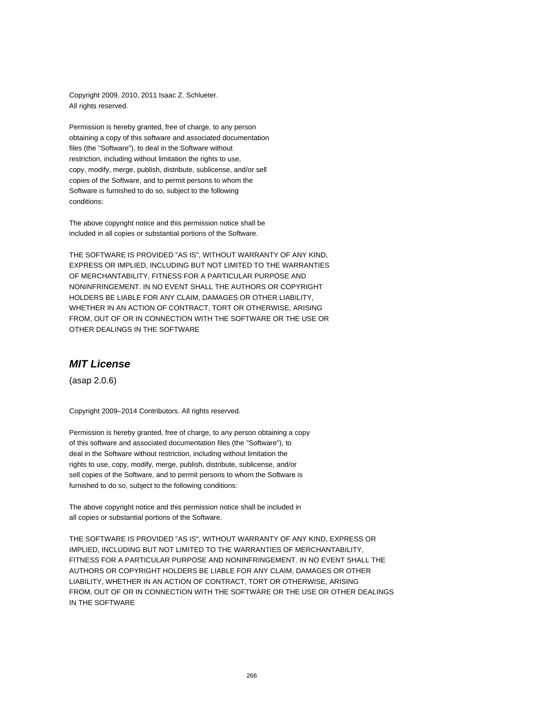Copyright 2009, 2010, 2011 Isaac Z. Schlueter. All rights reserved.

Permission is hereby granted, free of charge, to any person obtaining a copy of this software and associated documentation files (the "Software"), to deal in the Software without restriction, including without limitation the rights to use, copy, modify, merge, publish, distribute, sublicense, and/or sell copies of the Software, and to permit persons to whom the Software is furnished to do so, subject to the following conditions:

The above copyright notice and this permission notice shall be included in all copies or substantial portions of the Software.

THE SOFTWARE IS PROVIDED "AS IS", WITHOUT WARRANTY OF ANY KIND, EXPRESS OR IMPLIED, INCLUDING BUT NOT LIMITED TO THE WARRANTIES OF MERCHANTABILITY, FITNESS FOR A PARTICULAR PURPOSE AND NONINFRINGEMENT. IN NO EVENT SHALL THE AUTHORS OR COPYRIGHT HOLDERS BE LIABLE FOR ANY CLAIM, DAMAGES OR OTHER LIABILITY, WHETHER IN AN ACTION OF CONTRACT, TORT OR OTHERWISE, ARISING FROM, OUT OF OR IN CONNECTION WITH THE SOFTWARE OR THE USE OR OTHER DEALINGS IN THE SOFTWARE

#### **MIT License**

(asap 2.0.6)

Copyright 2009–2014 Contributors. All rights reserved.

Permission is hereby granted, free of charge, to any person obtaining a copy of this software and associated documentation files (the "Software"), to deal in the Software without restriction, including without limitation the rights to use, copy, modify, merge, publish, distribute, sublicense, and/or sell copies of the Software, and to permit persons to whom the Software is furnished to do so, subject to the following conditions:

The above copyright notice and this permission notice shall be included in all copies or substantial portions of the Software.

THE SOFTWARE IS PROVIDED "AS IS", WITHOUT WARRANTY OF ANY KIND, EXPRESS OR IMPLIED, INCLUDING BUT NOT LIMITED TO THE WARRANTIES OF MERCHANTABILITY, FITNESS FOR A PARTICULAR PURPOSE AND NONINFRINGEMENT. IN NO EVENT SHALL THE AUTHORS OR COPYRIGHT HOLDERS BE LIABLE FOR ANY CLAIM, DAMAGES OR OTHER LIABILITY, WHETHER IN AN ACTION OF CONTRACT, TORT OR OTHERWISE, ARISING FROM, OUT OF OR IN CONNECTION WITH THE SOFTWARE OR THE USE OR OTHER DEALINGS IN THE SOFTWARE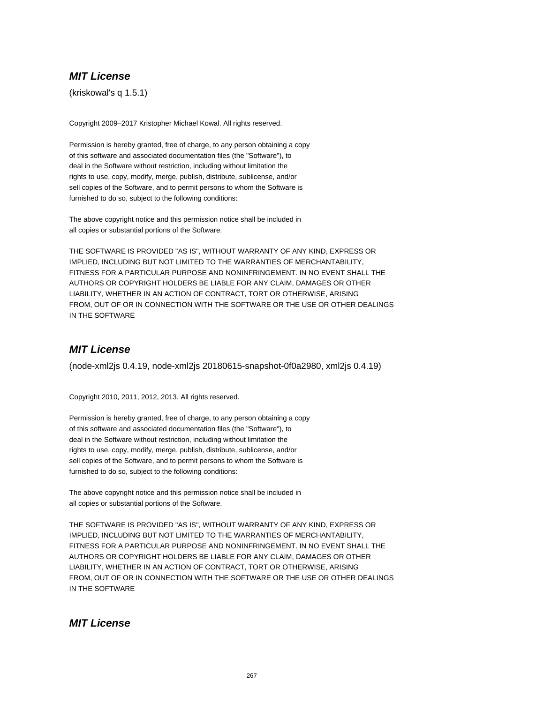(kriskowal's q 1.5.1)

Copyright 2009–2017 Kristopher Michael Kowal. All rights reserved.

Permission is hereby granted, free of charge, to any person obtaining a copy of this software and associated documentation files (the "Software"), to deal in the Software without restriction, including without limitation the rights to use, copy, modify, merge, publish, distribute, sublicense, and/or sell copies of the Software, and to permit persons to whom the Software is furnished to do so, subject to the following conditions:

The above copyright notice and this permission notice shall be included in all copies or substantial portions of the Software.

THE SOFTWARE IS PROVIDED "AS IS", WITHOUT WARRANTY OF ANY KIND, EXPRESS OR IMPLIED, INCLUDING BUT NOT LIMITED TO THE WARRANTIES OF MERCHANTABILITY, FITNESS FOR A PARTICULAR PURPOSE AND NONINFRINGEMENT. IN NO EVENT SHALL THE AUTHORS OR COPYRIGHT HOLDERS BE LIABLE FOR ANY CLAIM, DAMAGES OR OTHER LIABILITY, WHETHER IN AN ACTION OF CONTRACT, TORT OR OTHERWISE, ARISING FROM, OUT OF OR IN CONNECTION WITH THE SOFTWARE OR THE USE OR OTHER DEALINGS IN THE SOFTWARE

## **MIT License**

(node-xml2js 0.4.19, node-xml2js 20180615-snapshot-0f0a2980, xml2js 0.4.19)

Copyright 2010, 2011, 2012, 2013. All rights reserved.

Permission is hereby granted, free of charge, to any person obtaining a copy of this software and associated documentation files (the "Software"), to deal in the Software without restriction, including without limitation the rights to use, copy, modify, merge, publish, distribute, sublicense, and/or sell copies of the Software, and to permit persons to whom the Software is furnished to do so, subject to the following conditions:

The above copyright notice and this permission notice shall be included in all copies or substantial portions of the Software.

THE SOFTWARE IS PROVIDED "AS IS", WITHOUT WARRANTY OF ANY KIND, EXPRESS OR IMPLIED, INCLUDING BUT NOT LIMITED TO THE WARRANTIES OF MERCHANTABILITY, FITNESS FOR A PARTICULAR PURPOSE AND NONINFRINGEMENT. IN NO EVENT SHALL THE AUTHORS OR COPYRIGHT HOLDERS BE LIABLE FOR ANY CLAIM, DAMAGES OR OTHER LIABILITY, WHETHER IN AN ACTION OF CONTRACT, TORT OR OTHERWISE, ARISING FROM, OUT OF OR IN CONNECTION WITH THE SOFTWARE OR THE USE OR OTHER DEALINGS IN THE SOFTWARE

## **MIT License**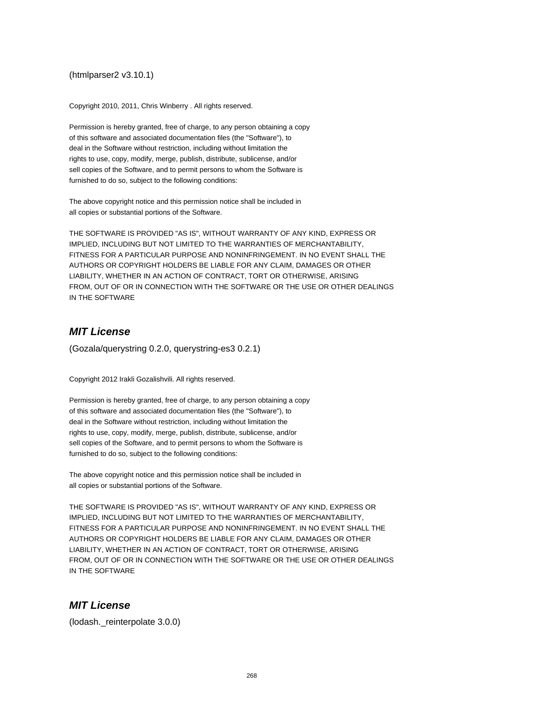#### (htmlparser2 v3.10.1)

Copyright 2010, 2011, Chris Winberry . All rights reserved.

Permission is hereby granted, free of charge, to any person obtaining a copy of this software and associated documentation files (the "Software"), to deal in the Software without restriction, including without limitation the rights to use, copy, modify, merge, publish, distribute, sublicense, and/or sell copies of the Software, and to permit persons to whom the Software is furnished to do so, subject to the following conditions:

The above copyright notice and this permission notice shall be included in all copies or substantial portions of the Software.

THE SOFTWARE IS PROVIDED "AS IS", WITHOUT WARRANTY OF ANY KIND, EXPRESS OR IMPLIED, INCLUDING BUT NOT LIMITED TO THE WARRANTIES OF MERCHANTABILITY, FITNESS FOR A PARTICULAR PURPOSE AND NONINFRINGEMENT. IN NO EVENT SHALL THE AUTHORS OR COPYRIGHT HOLDERS BE LIABLE FOR ANY CLAIM, DAMAGES OR OTHER LIABILITY, WHETHER IN AN ACTION OF CONTRACT, TORT OR OTHERWISE, ARISING FROM, OUT OF OR IN CONNECTION WITH THE SOFTWARE OR THE USE OR OTHER DEALINGS IN THE SOFTWARE

## **MIT License**

(Gozala/querystring 0.2.0, querystring-es3 0.2.1)

Copyright 2012 Irakli Gozalishvili. All rights reserved.

Permission is hereby granted, free of charge, to any person obtaining a copy of this software and associated documentation files (the "Software"), to deal in the Software without restriction, including without limitation the rights to use, copy, modify, merge, publish, distribute, sublicense, and/or sell copies of the Software, and to permit persons to whom the Software is furnished to do so, subject to the following conditions:

The above copyright notice and this permission notice shall be included in all copies or substantial portions of the Software.

THE SOFTWARE IS PROVIDED "AS IS", WITHOUT WARRANTY OF ANY KIND, EXPRESS OR IMPLIED, INCLUDING BUT NOT LIMITED TO THE WARRANTIES OF MERCHANTABILITY, FITNESS FOR A PARTICULAR PURPOSE AND NONINFRINGEMENT. IN NO EVENT SHALL THE AUTHORS OR COPYRIGHT HOLDERS BE LIABLE FOR ANY CLAIM, DAMAGES OR OTHER LIABILITY, WHETHER IN AN ACTION OF CONTRACT, TORT OR OTHERWISE, ARISING FROM, OUT OF OR IN CONNECTION WITH THE SOFTWARE OR THE USE OR OTHER DEALINGS IN THE SOFTWARE

## **MIT License**

(lodash.\_reinterpolate 3.0.0)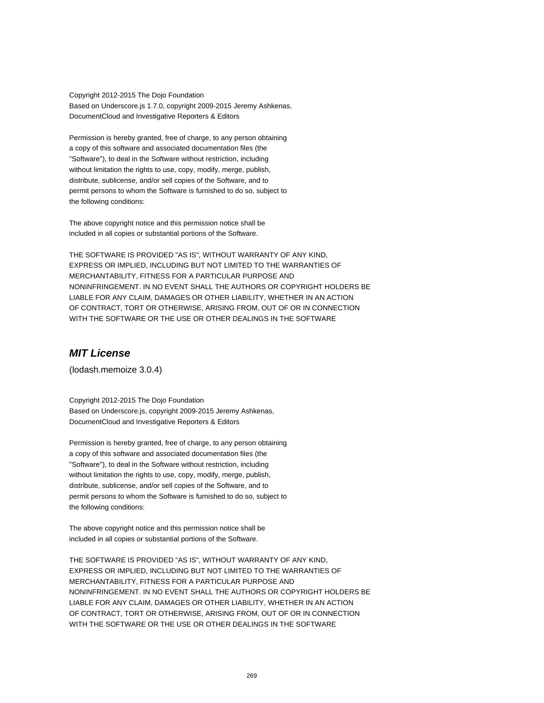Copyright 2012-2015 The Dojo Foundation Based on Underscore.js 1.7.0, copyright 2009-2015 Jeremy Ashkenas, DocumentCloud and Investigative Reporters & Editors

Permission is hereby granted, free of charge, to any person obtaining a copy of this software and associated documentation files (the "Software"), to deal in the Software without restriction, including without limitation the rights to use, copy, modify, merge, publish, distribute, sublicense, and/or sell copies of the Software, and to permit persons to whom the Software is furnished to do so, subject to the following conditions:

The above copyright notice and this permission notice shall be included in all copies or substantial portions of the Software.

THE SOFTWARE IS PROVIDED "AS IS", WITHOUT WARRANTY OF ANY KIND, EXPRESS OR IMPLIED, INCLUDING BUT NOT LIMITED TO THE WARRANTIES OF MERCHANTABILITY, FITNESS FOR A PARTICULAR PURPOSE AND NONINFRINGEMENT. IN NO EVENT SHALL THE AUTHORS OR COPYRIGHT HOLDERS BE LIABLE FOR ANY CLAIM, DAMAGES OR OTHER LIABILITY, WHETHER IN AN ACTION OF CONTRACT, TORT OR OTHERWISE, ARISING FROM, OUT OF OR IN CONNECTION WITH THE SOFTWARE OR THE USE OR OTHER DEALINGS IN THE SOFTWARE

## **MIT License**

(lodash.memoize 3.0.4)

Copyright 2012-2015 The Dojo Foundation Based on Underscore.js, copyright 2009-2015 Jeremy Ashkenas, DocumentCloud and Investigative Reporters & Editors

Permission is hereby granted, free of charge, to any person obtaining a copy of this software and associated documentation files (the "Software"), to deal in the Software without restriction, including without limitation the rights to use, copy, modify, merge, publish, distribute, sublicense, and/or sell copies of the Software, and to permit persons to whom the Software is furnished to do so, subject to the following conditions:

The above copyright notice and this permission notice shall be included in all copies or substantial portions of the Software.

THE SOFTWARE IS PROVIDED "AS IS", WITHOUT WARRANTY OF ANY KIND, EXPRESS OR IMPLIED, INCLUDING BUT NOT LIMITED TO THE WARRANTIES OF MERCHANTABILITY, FITNESS FOR A PARTICULAR PURPOSE AND NONINFRINGEMENT. IN NO EVENT SHALL THE AUTHORS OR COPYRIGHT HOLDERS BE LIABLE FOR ANY CLAIM, DAMAGES OR OTHER LIABILITY, WHETHER IN AN ACTION OF CONTRACT, TORT OR OTHERWISE, ARISING FROM, OUT OF OR IN CONNECTION WITH THE SOFTWARE OR THE USE OR OTHER DEALINGS IN THE SOFTWARE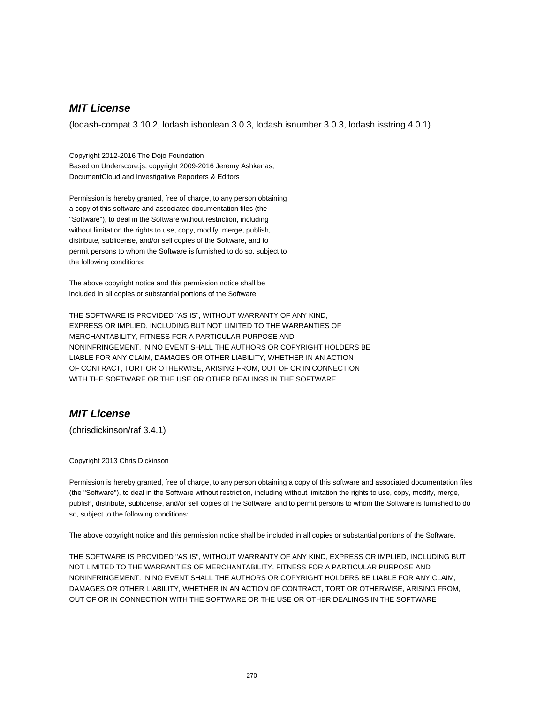(lodash-compat 3.10.2, lodash.isboolean 3.0.3, lodash.isnumber 3.0.3, lodash.isstring 4.0.1)

Copyright 2012-2016 The Dojo Foundation Based on Underscore.js, copyright 2009-2016 Jeremy Ashkenas, DocumentCloud and Investigative Reporters & Editors

Permission is hereby granted, free of charge, to any person obtaining a copy of this software and associated documentation files (the "Software"), to deal in the Software without restriction, including without limitation the rights to use, copy, modify, merge, publish, distribute, sublicense, and/or sell copies of the Software, and to permit persons to whom the Software is furnished to do so, subject to the following conditions:

The above copyright notice and this permission notice shall be included in all copies or substantial portions of the Software.

THE SOFTWARE IS PROVIDED "AS IS", WITHOUT WARRANTY OF ANY KIND, EXPRESS OR IMPLIED, INCLUDING BUT NOT LIMITED TO THE WARRANTIES OF MERCHANTABILITY, FITNESS FOR A PARTICULAR PURPOSE AND NONINFRINGEMENT. IN NO EVENT SHALL THE AUTHORS OR COPYRIGHT HOLDERS BE LIABLE FOR ANY CLAIM, DAMAGES OR OTHER LIABILITY, WHETHER IN AN ACTION OF CONTRACT, TORT OR OTHERWISE, ARISING FROM, OUT OF OR IN CONNECTION WITH THE SOFTWARE OR THE USE OR OTHER DEALINGS IN THE SOFTWARE

## **MIT License**

(chrisdickinson/raf 3.4.1)

Copyright 2013 Chris Dickinson

Permission is hereby granted, free of charge, to any person obtaining a copy of this software and associated documentation files (the "Software"), to deal in the Software without restriction, including without limitation the rights to use, copy, modify, merge, publish, distribute, sublicense, and/or sell copies of the Software, and to permit persons to whom the Software is furnished to do so, subject to the following conditions:

The above copyright notice and this permission notice shall be included in all copies or substantial portions of the Software.

THE SOFTWARE IS PROVIDED "AS IS", WITHOUT WARRANTY OF ANY KIND, EXPRESS OR IMPLIED, INCLUDING BUT NOT LIMITED TO THE WARRANTIES OF MERCHANTABILITY, FITNESS FOR A PARTICULAR PURPOSE AND NONINFRINGEMENT. IN NO EVENT SHALL THE AUTHORS OR COPYRIGHT HOLDERS BE LIABLE FOR ANY CLAIM, DAMAGES OR OTHER LIABILITY, WHETHER IN AN ACTION OF CONTRACT, TORT OR OTHERWISE, ARISING FROM, OUT OF OR IN CONNECTION WITH THE SOFTWARE OR THE USE OR OTHER DEALINGS IN THE SOFTWARE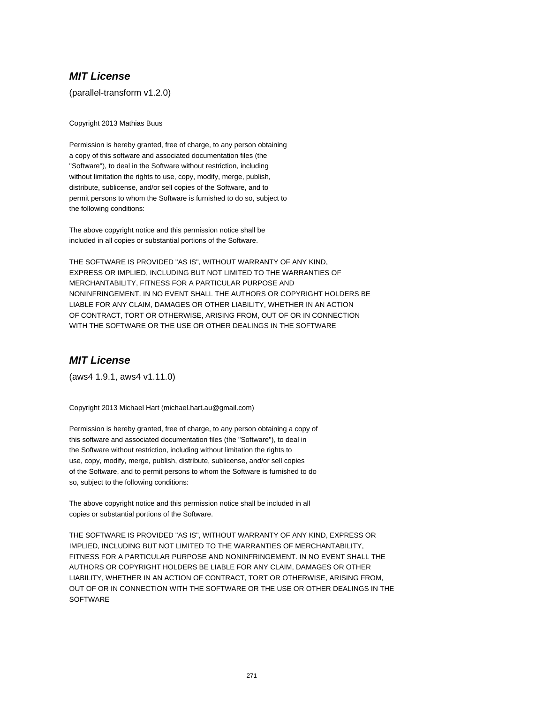(parallel-transform v1.2.0)

Copyright 2013 Mathias Buus

Permission is hereby granted, free of charge, to any person obtaining a copy of this software and associated documentation files (the "Software"), to deal in the Software without restriction, including without limitation the rights to use, copy, modify, merge, publish, distribute, sublicense, and/or sell copies of the Software, and to permit persons to whom the Software is furnished to do so, subject to the following conditions:

The above copyright notice and this permission notice shall be included in all copies or substantial portions of the Software.

THE SOFTWARE IS PROVIDED "AS IS", WITHOUT WARRANTY OF ANY KIND, EXPRESS OR IMPLIED, INCLUDING BUT NOT LIMITED TO THE WARRANTIES OF MERCHANTABILITY, FITNESS FOR A PARTICULAR PURPOSE AND NONINFRINGEMENT. IN NO EVENT SHALL THE AUTHORS OR COPYRIGHT HOLDERS BE LIABLE FOR ANY CLAIM, DAMAGES OR OTHER LIABILITY, WHETHER IN AN ACTION OF CONTRACT, TORT OR OTHERWISE, ARISING FROM, OUT OF OR IN CONNECTION WITH THE SOFTWARE OR THE USE OR OTHER DEALINGS IN THE SOFTWARE

## **MIT License**

(aws4 1.9.1, aws4 v1.11.0)

Copyright 2013 Michael Hart (michael.hart.au@gmail.com)

Permission is hereby granted, free of charge, to any person obtaining a copy of this software and associated documentation files (the "Software"), to deal in the Software without restriction, including without limitation the rights to use, copy, modify, merge, publish, distribute, sublicense, and/or sell copies of the Software, and to permit persons to whom the Software is furnished to do so, subject to the following conditions:

The above copyright notice and this permission notice shall be included in all copies or substantial portions of the Software.

THE SOFTWARE IS PROVIDED "AS IS", WITHOUT WARRANTY OF ANY KIND, EXPRESS OR IMPLIED, INCLUDING BUT NOT LIMITED TO THE WARRANTIES OF MERCHANTABILITY, FITNESS FOR A PARTICULAR PURPOSE AND NONINFRINGEMENT. IN NO EVENT SHALL THE AUTHORS OR COPYRIGHT HOLDERS BE LIABLE FOR ANY CLAIM, DAMAGES OR OTHER LIABILITY, WHETHER IN AN ACTION OF CONTRACT, TORT OR OTHERWISE, ARISING FROM, OUT OF OR IN CONNECTION WITH THE SOFTWARE OR THE USE OR OTHER DEALINGS IN THE **SOFTWARE**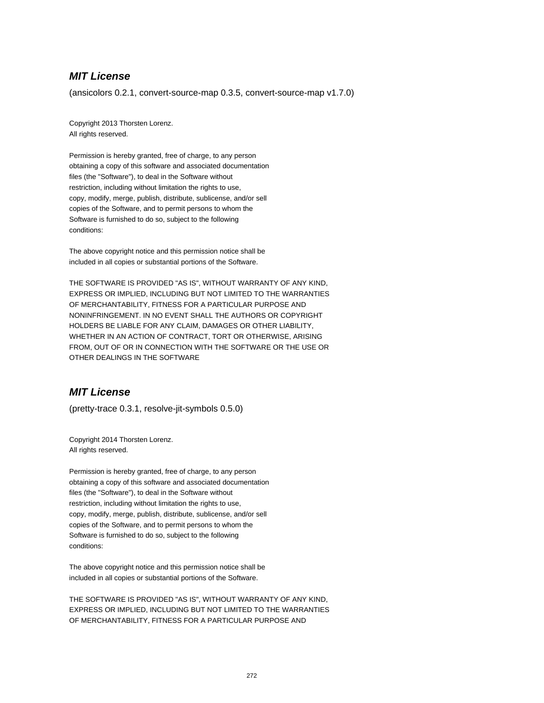(ansicolors 0.2.1, convert-source-map 0.3.5, convert-source-map v1.7.0)

Copyright 2013 Thorsten Lorenz. All rights reserved.

Permission is hereby granted, free of charge, to any person obtaining a copy of this software and associated documentation files (the "Software"), to deal in the Software without restriction, including without limitation the rights to use, copy, modify, merge, publish, distribute, sublicense, and/or sell copies of the Software, and to permit persons to whom the Software is furnished to do so, subject to the following conditions:

The above copyright notice and this permission notice shall be included in all copies or substantial portions of the Software.

THE SOFTWARE IS PROVIDED "AS IS", WITHOUT WARRANTY OF ANY KIND, EXPRESS OR IMPLIED, INCLUDING BUT NOT LIMITED TO THE WARRANTIES OF MERCHANTABILITY, FITNESS FOR A PARTICULAR PURPOSE AND NONINFRINGEMENT. IN NO EVENT SHALL THE AUTHORS OR COPYRIGHT HOLDERS BE LIABLE FOR ANY CLAIM, DAMAGES OR OTHER LIABILITY, WHETHER IN AN ACTION OF CONTRACT, TORT OR OTHERWISE, ARISING FROM, OUT OF OR IN CONNECTION WITH THE SOFTWARE OR THE USE OR OTHER DEALINGS IN THE SOFTWARE

## **MIT License**

(pretty-trace 0.3.1, resolve-jit-symbols 0.5.0)

Copyright 2014 Thorsten Lorenz. All rights reserved.

Permission is hereby granted, free of charge, to any person obtaining a copy of this software and associated documentation files (the "Software"), to deal in the Software without restriction, including without limitation the rights to use, copy, modify, merge, publish, distribute, sublicense, and/or sell copies of the Software, and to permit persons to whom the Software is furnished to do so, subject to the following conditions:

The above copyright notice and this permission notice shall be included in all copies or substantial portions of the Software.

THE SOFTWARE IS PROVIDED "AS IS", WITHOUT WARRANTY OF ANY KIND, EXPRESS OR IMPLIED, INCLUDING BUT NOT LIMITED TO THE WARRANTIES OF MERCHANTABILITY, FITNESS FOR A PARTICULAR PURPOSE AND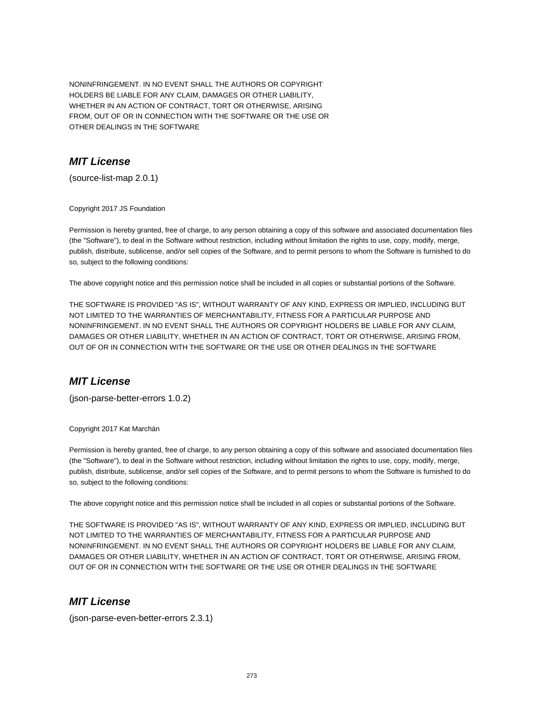NONINFRINGEMENT. IN NO EVENT SHALL THE AUTHORS OR COPYRIGHT HOLDERS BE LIABLE FOR ANY CLAIM, DAMAGES OR OTHER LIABILITY, WHETHER IN AN ACTION OF CONTRACT, TORT OR OTHERWISE, ARISING FROM, OUT OF OR IN CONNECTION WITH THE SOFTWARE OR THE USE OR OTHER DEALINGS IN THE SOFTWARE

## **MIT License**

(source-list-map 2.0.1)

Copyright 2017 JS Foundation

Permission is hereby granted, free of charge, to any person obtaining a copy of this software and associated documentation files (the "Software"), to deal in the Software without restriction, including without limitation the rights to use, copy, modify, merge, publish, distribute, sublicense, and/or sell copies of the Software, and to permit persons to whom the Software is furnished to do so, subject to the following conditions:

The above copyright notice and this permission notice shall be included in all copies or substantial portions of the Software.

THE SOFTWARE IS PROVIDED "AS IS", WITHOUT WARRANTY OF ANY KIND, EXPRESS OR IMPLIED, INCLUDING BUT NOT LIMITED TO THE WARRANTIES OF MERCHANTABILITY, FITNESS FOR A PARTICULAR PURPOSE AND NONINFRINGEMENT. IN NO EVENT SHALL THE AUTHORS OR COPYRIGHT HOLDERS BE LIABLE FOR ANY CLAIM, DAMAGES OR OTHER LIABILITY, WHETHER IN AN ACTION OF CONTRACT, TORT OR OTHERWISE, ARISING FROM, OUT OF OR IN CONNECTION WITH THE SOFTWARE OR THE USE OR OTHER DEALINGS IN THE SOFTWARE

## **MIT License**

(json-parse-better-errors 1.0.2)

Copyright 2017 Kat Marchán

Permission is hereby granted, free of charge, to any person obtaining a copy of this software and associated documentation files (the "Software"), to deal in the Software without restriction, including without limitation the rights to use, copy, modify, merge, publish, distribute, sublicense, and/or sell copies of the Software, and to permit persons to whom the Software is furnished to do so, subject to the following conditions:

The above copyright notice and this permission notice shall be included in all copies or substantial portions of the Software.

THE SOFTWARE IS PROVIDED "AS IS", WITHOUT WARRANTY OF ANY KIND, EXPRESS OR IMPLIED, INCLUDING BUT NOT LIMITED TO THE WARRANTIES OF MERCHANTABILITY, FITNESS FOR A PARTICULAR PURPOSE AND NONINFRINGEMENT. IN NO EVENT SHALL THE AUTHORS OR COPYRIGHT HOLDERS BE LIABLE FOR ANY CLAIM, DAMAGES OR OTHER LIABILITY, WHETHER IN AN ACTION OF CONTRACT, TORT OR OTHERWISE, ARISING FROM, OUT OF OR IN CONNECTION WITH THE SOFTWARE OR THE USE OR OTHER DEALINGS IN THE SOFTWARE

#### **MIT License**

(json-parse-even-better-errors 2.3.1)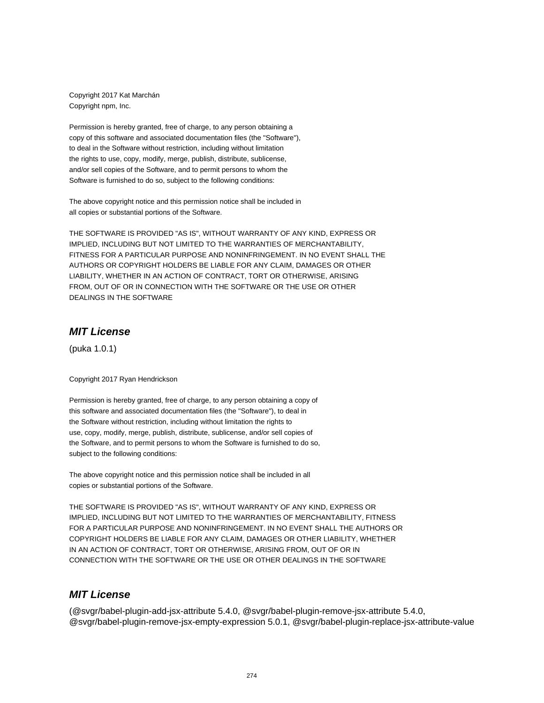Copyright 2017 Kat Marchán Copyright npm, Inc.

Permission is hereby granted, free of charge, to any person obtaining a copy of this software and associated documentation files (the "Software"), to deal in the Software without restriction, including without limitation the rights to use, copy, modify, merge, publish, distribute, sublicense, and/or sell copies of the Software, and to permit persons to whom the Software is furnished to do so, subject to the following conditions:

The above copyright notice and this permission notice shall be included in all copies or substantial portions of the Software.

THE SOFTWARE IS PROVIDED "AS IS", WITHOUT WARRANTY OF ANY KIND, EXPRESS OR IMPLIED, INCLUDING BUT NOT LIMITED TO THE WARRANTIES OF MERCHANTABILITY, FITNESS FOR A PARTICULAR PURPOSE AND NONINFRINGEMENT. IN NO EVENT SHALL THE AUTHORS OR COPYRIGHT HOLDERS BE LIABLE FOR ANY CLAIM, DAMAGES OR OTHER LIABILITY, WHETHER IN AN ACTION OF CONTRACT, TORT OR OTHERWISE, ARISING FROM, OUT OF OR IN CONNECTION WITH THE SOFTWARE OR THE USE OR OTHER DEALINGS IN THE SOFTWARE

#### **MIT License**

(puka 1.0.1)

Copyright 2017 Ryan Hendrickson

Permission is hereby granted, free of charge, to any person obtaining a copy of this software and associated documentation files (the "Software"), to deal in the Software without restriction, including without limitation the rights to use, copy, modify, merge, publish, distribute, sublicense, and/or sell copies of the Software, and to permit persons to whom the Software is furnished to do so, subject to the following conditions:

The above copyright notice and this permission notice shall be included in all copies or substantial portions of the Software.

THE SOFTWARE IS PROVIDED "AS IS", WITHOUT WARRANTY OF ANY KIND, EXPRESS OR IMPLIED, INCLUDING BUT NOT LIMITED TO THE WARRANTIES OF MERCHANTABILITY, FITNESS FOR A PARTICULAR PURPOSE AND NONINFRINGEMENT. IN NO EVENT SHALL THE AUTHORS OR COPYRIGHT HOLDERS BE LIABLE FOR ANY CLAIM, DAMAGES OR OTHER LIABILITY, WHETHER IN AN ACTION OF CONTRACT, TORT OR OTHERWISE, ARISING FROM, OUT OF OR IN CONNECTION WITH THE SOFTWARE OR THE USE OR OTHER DEALINGS IN THE SOFTWARE

## **MIT License**

(@svgr/babel-plugin-add-jsx-attribute 5.4.0, @svgr/babel-plugin-remove-jsx-attribute 5.4.0, @svgr/babel-plugin-remove-jsx-empty-expression 5.0.1, @svgr/babel-plugin-replace-jsx-attribute-value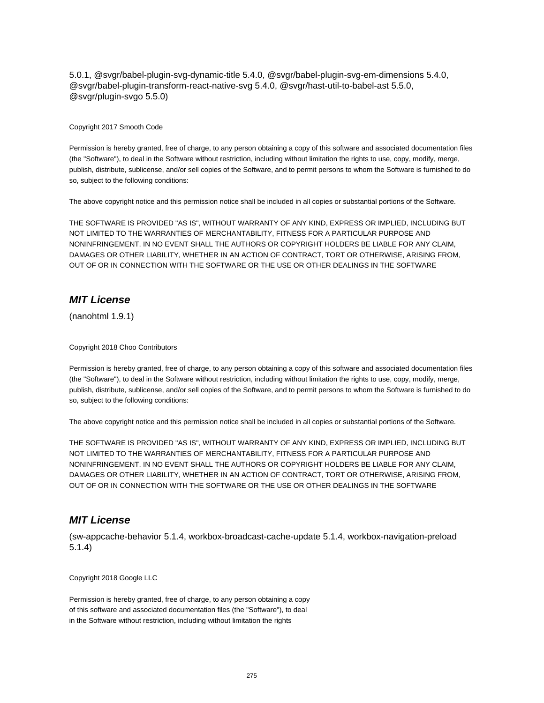5.0.1, @svgr/babel-plugin-svg-dynamic-title 5.4.0, @svgr/babel-plugin-svg-em-dimensions 5.4.0, @svgr/babel-plugin-transform-react-native-svg 5.4.0, @svgr/hast-util-to-babel-ast 5.5.0, @svgr/plugin-svgo 5.5.0)

#### Copyright 2017 Smooth Code

Permission is hereby granted, free of charge, to any person obtaining a copy of this software and associated documentation files (the "Software"), to deal in the Software without restriction, including without limitation the rights to use, copy, modify, merge, publish, distribute, sublicense, and/or sell copies of the Software, and to permit persons to whom the Software is furnished to do so, subject to the following conditions:

The above copyright notice and this permission notice shall be included in all copies or substantial portions of the Software.

THE SOFTWARE IS PROVIDED "AS IS", WITHOUT WARRANTY OF ANY KIND, EXPRESS OR IMPLIED, INCLUDING BUT NOT LIMITED TO THE WARRANTIES OF MERCHANTABILITY, FITNESS FOR A PARTICULAR PURPOSE AND NONINFRINGEMENT. IN NO EVENT SHALL THE AUTHORS OR COPYRIGHT HOLDERS BE LIABLE FOR ANY CLAIM, DAMAGES OR OTHER LIABILITY, WHETHER IN AN ACTION OF CONTRACT, TORT OR OTHERWISE, ARISING FROM, OUT OF OR IN CONNECTION WITH THE SOFTWARE OR THE USE OR OTHER DEALINGS IN THE SOFTWARE

## **MIT License**

(nanohtml 1.9.1)

#### Copyright 2018 Choo Contributors

Permission is hereby granted, free of charge, to any person obtaining a copy of this software and associated documentation files (the "Software"), to deal in the Software without restriction, including without limitation the rights to use, copy, modify, merge, publish, distribute, sublicense, and/or sell copies of the Software, and to permit persons to whom the Software is furnished to do so, subject to the following conditions:

The above copyright notice and this permission notice shall be included in all copies or substantial portions of the Software.

THE SOFTWARE IS PROVIDED "AS IS", WITHOUT WARRANTY OF ANY KIND, EXPRESS OR IMPLIED, INCLUDING BUT NOT LIMITED TO THE WARRANTIES OF MERCHANTABILITY, FITNESS FOR A PARTICULAR PURPOSE AND NONINFRINGEMENT. IN NO EVENT SHALL THE AUTHORS OR COPYRIGHT HOLDERS BE LIABLE FOR ANY CLAIM, DAMAGES OR OTHER LIABILITY, WHETHER IN AN ACTION OF CONTRACT, TORT OR OTHERWISE, ARISING FROM, OUT OF OR IN CONNECTION WITH THE SOFTWARE OR THE USE OR OTHER DEALINGS IN THE SOFTWARE

#### **MIT License**

(sw-appcache-behavior 5.1.4, workbox-broadcast-cache-update 5.1.4, workbox-navigation-preload 5.1.4)

Copyright 2018 Google LLC

Permission is hereby granted, free of charge, to any person obtaining a copy of this software and associated documentation files (the "Software"), to deal in the Software without restriction, including without limitation the rights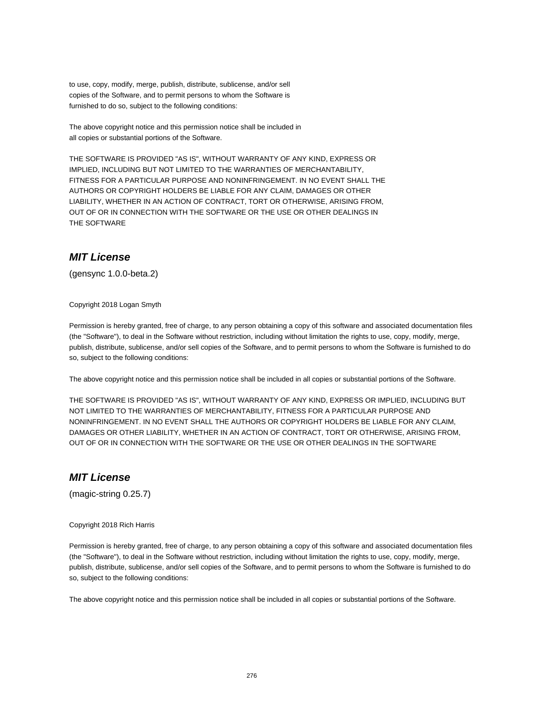to use, copy, modify, merge, publish, distribute, sublicense, and/or sell copies of the Software, and to permit persons to whom the Software is furnished to do so, subject to the following conditions:

The above copyright notice and this permission notice shall be included in all copies or substantial portions of the Software.

THE SOFTWARE IS PROVIDED "AS IS", WITHOUT WARRANTY OF ANY KIND, EXPRESS OR IMPLIED, INCLUDING BUT NOT LIMITED TO THE WARRANTIES OF MERCHANTABILITY, FITNESS FOR A PARTICULAR PURPOSE AND NONINFRINGEMENT. IN NO EVENT SHALL THE AUTHORS OR COPYRIGHT HOLDERS BE LIABLE FOR ANY CLAIM, DAMAGES OR OTHER LIABILITY, WHETHER IN AN ACTION OF CONTRACT, TORT OR OTHERWISE, ARISING FROM, OUT OF OR IN CONNECTION WITH THE SOFTWARE OR THE USE OR OTHER DEALINGS IN THE SOFTWARE

#### **MIT License**

(gensync 1.0.0-beta.2)

Copyright 2018 Logan Smyth

Permission is hereby granted, free of charge, to any person obtaining a copy of this software and associated documentation files (the "Software"), to deal in the Software without restriction, including without limitation the rights to use, copy, modify, merge, publish, distribute, sublicense, and/or sell copies of the Software, and to permit persons to whom the Software is furnished to do so, subject to the following conditions:

The above copyright notice and this permission notice shall be included in all copies or substantial portions of the Software.

THE SOFTWARE IS PROVIDED "AS IS", WITHOUT WARRANTY OF ANY KIND, EXPRESS OR IMPLIED, INCLUDING BUT NOT LIMITED TO THE WARRANTIES OF MERCHANTABILITY, FITNESS FOR A PARTICULAR PURPOSE AND NONINFRINGEMENT. IN NO EVENT SHALL THE AUTHORS OR COPYRIGHT HOLDERS BE LIABLE FOR ANY CLAIM, DAMAGES OR OTHER LIABILITY, WHETHER IN AN ACTION OF CONTRACT, TORT OR OTHERWISE, ARISING FROM, OUT OF OR IN CONNECTION WITH THE SOFTWARE OR THE USE OR OTHER DEALINGS IN THE SOFTWARE

## **MIT License**

(magic-string 0.25.7)

#### Copyright 2018 Rich Harris

Permission is hereby granted, free of charge, to any person obtaining a copy of this software and associated documentation files (the "Software"), to deal in the Software without restriction, including without limitation the rights to use, copy, modify, merge, publish, distribute, sublicense, and/or sell copies of the Software, and to permit persons to whom the Software is furnished to do so, subject to the following conditions:

The above copyright notice and this permission notice shall be included in all copies or substantial portions of the Software.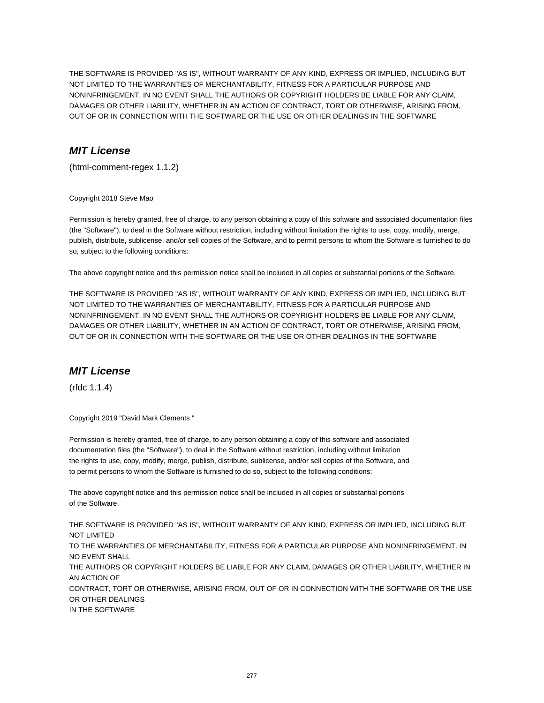THE SOFTWARE IS PROVIDED "AS IS", WITHOUT WARRANTY OF ANY KIND, EXPRESS OR IMPLIED, INCLUDING BUT NOT LIMITED TO THE WARRANTIES OF MERCHANTABILITY, FITNESS FOR A PARTICULAR PURPOSE AND NONINFRINGEMENT. IN NO EVENT SHALL THE AUTHORS OR COPYRIGHT HOLDERS BE LIABLE FOR ANY CLAIM, DAMAGES OR OTHER LIABILITY, WHETHER IN AN ACTION OF CONTRACT, TORT OR OTHERWISE, ARISING FROM, OUT OF OR IN CONNECTION WITH THE SOFTWARE OR THE USE OR OTHER DEALINGS IN THE SOFTWARE

# **MIT License**

(html-comment-regex 1.1.2)

Copyright 2018 Steve Mao

Permission is hereby granted, free of charge, to any person obtaining a copy of this software and associated documentation files (the "Software"), to deal in the Software without restriction, including without limitation the rights to use, copy, modify, merge, publish, distribute, sublicense, and/or sell copies of the Software, and to permit persons to whom the Software is furnished to do so, subject to the following conditions:

The above copyright notice and this permission notice shall be included in all copies or substantial portions of the Software.

THE SOFTWARE IS PROVIDED "AS IS", WITHOUT WARRANTY OF ANY KIND, EXPRESS OR IMPLIED, INCLUDING BUT NOT LIMITED TO THE WARRANTIES OF MERCHANTABILITY, FITNESS FOR A PARTICULAR PURPOSE AND NONINFRINGEMENT. IN NO EVENT SHALL THE AUTHORS OR COPYRIGHT HOLDERS BE LIABLE FOR ANY CLAIM, DAMAGES OR OTHER LIABILITY, WHETHER IN AN ACTION OF CONTRACT, TORT OR OTHERWISE, ARISING FROM, OUT OF OR IN CONNECTION WITH THE SOFTWARE OR THE USE OR OTHER DEALINGS IN THE SOFTWARE

## **MIT License**

(rfdc 1.1.4)

Copyright 2019 "David Mark Clements "

Permission is hereby granted, free of charge, to any person obtaining a copy of this software and associated documentation files (the "Software"), to deal in the Software without restriction, including without limitation the rights to use, copy, modify, merge, publish, distribute, sublicense, and/or sell copies of the Software, and to permit persons to whom the Software is furnished to do so, subject to the following conditions:

The above copyright notice and this permission notice shall be included in all copies or substantial portions of the Software.

THE SOFTWARE IS PROVIDED "AS IS", WITHOUT WARRANTY OF ANY KIND, EXPRESS OR IMPLIED, INCLUDING BUT NOT LIMITED TO THE WARRANTIES OF MERCHANTABILITY, FITNESS FOR A PARTICULAR PURPOSE AND NONINFRINGEMENT. IN NO EVENT SHALL THE AUTHORS OR COPYRIGHT HOLDERS BE LIABLE FOR ANY CLAIM, DAMAGES OR OTHER LIABILITY, WHETHER IN AN ACTION OF CONTRACT, TORT OR OTHERWISE, ARISING FROM, OUT OF OR IN CONNECTION WITH THE SOFTWARE OR THE USE OR OTHER DEALINGS IN THE SOFTWARE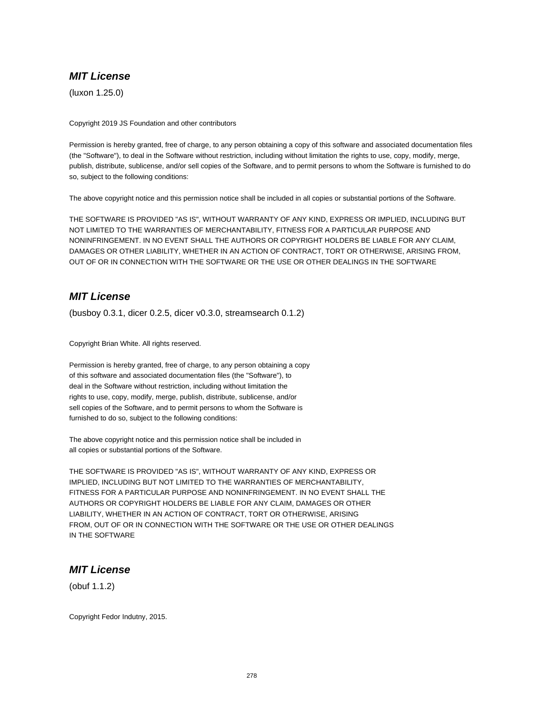(luxon 1.25.0)

Copyright 2019 JS Foundation and other contributors

Permission is hereby granted, free of charge, to any person obtaining a copy of this software and associated documentation files (the "Software"), to deal in the Software without restriction, including without limitation the rights to use, copy, modify, merge, publish, distribute, sublicense, and/or sell copies of the Software, and to permit persons to whom the Software is furnished to do so, subject to the following conditions:

The above copyright notice and this permission notice shall be included in all copies or substantial portions of the Software.

THE SOFTWARE IS PROVIDED "AS IS", WITHOUT WARRANTY OF ANY KIND, EXPRESS OR IMPLIED, INCLUDING BUT NOT LIMITED TO THE WARRANTIES OF MERCHANTABILITY, FITNESS FOR A PARTICULAR PURPOSE AND NONINFRINGEMENT. IN NO EVENT SHALL THE AUTHORS OR COPYRIGHT HOLDERS BE LIABLE FOR ANY CLAIM, DAMAGES OR OTHER LIABILITY, WHETHER IN AN ACTION OF CONTRACT, TORT OR OTHERWISE, ARISING FROM, OUT OF OR IN CONNECTION WITH THE SOFTWARE OR THE USE OR OTHER DEALINGS IN THE SOFTWARE

# **MIT License**

(busboy 0.3.1, dicer 0.2.5, dicer v0.3.0, streamsearch 0.1.2)

Copyright Brian White. All rights reserved.

Permission is hereby granted, free of charge, to any person obtaining a copy of this software and associated documentation files (the "Software"), to deal in the Software without restriction, including without limitation the rights to use, copy, modify, merge, publish, distribute, sublicense, and/or sell copies of the Software, and to permit persons to whom the Software is furnished to do so, subject to the following conditions:

The above copyright notice and this permission notice shall be included in all copies or substantial portions of the Software.

THE SOFTWARE IS PROVIDED "AS IS", WITHOUT WARRANTY OF ANY KIND, EXPRESS OR IMPLIED, INCLUDING BUT NOT LIMITED TO THE WARRANTIES OF MERCHANTABILITY, FITNESS FOR A PARTICULAR PURPOSE AND NONINFRINGEMENT. IN NO EVENT SHALL THE AUTHORS OR COPYRIGHT HOLDERS BE LIABLE FOR ANY CLAIM, DAMAGES OR OTHER LIABILITY, WHETHER IN AN ACTION OF CONTRACT, TORT OR OTHERWISE, ARISING FROM, OUT OF OR IN CONNECTION WITH THE SOFTWARE OR THE USE OR OTHER DEALINGS IN THE SOFTWARE

## **MIT License**

(obuf 1.1.2)

Copyright Fedor Indutny, 2015.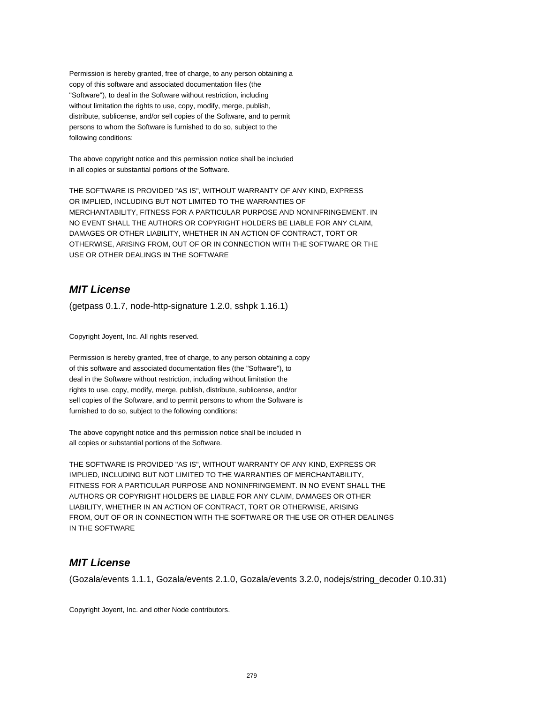Permission is hereby granted, free of charge, to any person obtaining a copy of this software and associated documentation files (the "Software"), to deal in the Software without restriction, including without limitation the rights to use, copy, modify, merge, publish, distribute, sublicense, and/or sell copies of the Software, and to permit persons to whom the Software is furnished to do so, subject to the following conditions:

The above copyright notice and this permission notice shall be included in all copies or substantial portions of the Software.

THE SOFTWARE IS PROVIDED "AS IS", WITHOUT WARRANTY OF ANY KIND, EXPRESS OR IMPLIED, INCLUDING BUT NOT LIMITED TO THE WARRANTIES OF MERCHANTABILITY, FITNESS FOR A PARTICULAR PURPOSE AND NONINFRINGEMENT. IN NO EVENT SHALL THE AUTHORS OR COPYRIGHT HOLDERS BE LIABLE FOR ANY CLAIM, DAMAGES OR OTHER LIABILITY, WHETHER IN AN ACTION OF CONTRACT, TORT OR OTHERWISE, ARISING FROM, OUT OF OR IN CONNECTION WITH THE SOFTWARE OR THE USE OR OTHER DEALINGS IN THE SOFTWARE

## **MIT License**

(getpass 0.1.7, node-http-signature 1.2.0, sshpk 1.16.1)

Copyright Joyent, Inc. All rights reserved.

Permission is hereby granted, free of charge, to any person obtaining a copy of this software and associated documentation files (the "Software"), to deal in the Software without restriction, including without limitation the rights to use, copy, modify, merge, publish, distribute, sublicense, and/or sell copies of the Software, and to permit persons to whom the Software is furnished to do so, subject to the following conditions:

The above copyright notice and this permission notice shall be included in all copies or substantial portions of the Software.

THE SOFTWARE IS PROVIDED "AS IS", WITHOUT WARRANTY OF ANY KIND, EXPRESS OR IMPLIED, INCLUDING BUT NOT LIMITED TO THE WARRANTIES OF MERCHANTABILITY, FITNESS FOR A PARTICULAR PURPOSE AND NONINFRINGEMENT. IN NO EVENT SHALL THE AUTHORS OR COPYRIGHT HOLDERS BE LIABLE FOR ANY CLAIM, DAMAGES OR OTHER LIABILITY, WHETHER IN AN ACTION OF CONTRACT, TORT OR OTHERWISE, ARISING FROM, OUT OF OR IN CONNECTION WITH THE SOFTWARE OR THE USE OR OTHER DEALINGS IN THE SOFTWARE

## **MIT License**

(Gozala/events 1.1.1, Gozala/events 2.1.0, Gozala/events 3.2.0, nodejs/string\_decoder 0.10.31)

Copyright Joyent, Inc. and other Node contributors.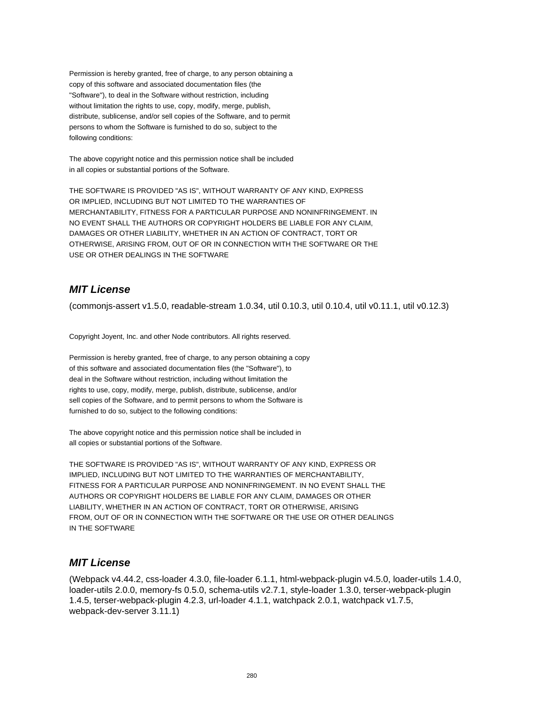Permission is hereby granted, free of charge, to any person obtaining a copy of this software and associated documentation files (the "Software"), to deal in the Software without restriction, including without limitation the rights to use, copy, modify, merge, publish, distribute, sublicense, and/or sell copies of the Software, and to permit persons to whom the Software is furnished to do so, subject to the following conditions:

The above copyright notice and this permission notice shall be included in all copies or substantial portions of the Software.

THE SOFTWARE IS PROVIDED "AS IS", WITHOUT WARRANTY OF ANY KIND, EXPRESS OR IMPLIED, INCLUDING BUT NOT LIMITED TO THE WARRANTIES OF MERCHANTABILITY, FITNESS FOR A PARTICULAR PURPOSE AND NONINFRINGEMENT. IN NO EVENT SHALL THE AUTHORS OR COPYRIGHT HOLDERS BE LIABLE FOR ANY CLAIM, DAMAGES OR OTHER LIABILITY, WHETHER IN AN ACTION OF CONTRACT, TORT OR OTHERWISE, ARISING FROM, OUT OF OR IN CONNECTION WITH THE SOFTWARE OR THE USE OR OTHER DEALINGS IN THE SOFTWARE

# **MIT License**

(commonjs-assert v1.5.0, readable-stream 1.0.34, util 0.10.3, util 0.10.4, util v0.11.1, util v0.12.3)

Copyright Joyent, Inc. and other Node contributors. All rights reserved.

Permission is hereby granted, free of charge, to any person obtaining a copy of this software and associated documentation files (the "Software"), to deal in the Software without restriction, including without limitation the rights to use, copy, modify, merge, publish, distribute, sublicense, and/or sell copies of the Software, and to permit persons to whom the Software is furnished to do so, subject to the following conditions:

The above copyright notice and this permission notice shall be included in all copies or substantial portions of the Software.

THE SOFTWARE IS PROVIDED "AS IS", WITHOUT WARRANTY OF ANY KIND, EXPRESS OR IMPLIED, INCLUDING BUT NOT LIMITED TO THE WARRANTIES OF MERCHANTABILITY, FITNESS FOR A PARTICULAR PURPOSE AND NONINFRINGEMENT. IN NO EVENT SHALL THE AUTHORS OR COPYRIGHT HOLDERS BE LIABLE FOR ANY CLAIM, DAMAGES OR OTHER LIABILITY, WHETHER IN AN ACTION OF CONTRACT, TORT OR OTHERWISE, ARISING FROM, OUT OF OR IN CONNECTION WITH THE SOFTWARE OR THE USE OR OTHER DEALINGS IN THE SOFTWARE

## **MIT License**

(Webpack v4.44.2, css-loader 4.3.0, file-loader 6.1.1, html-webpack-plugin v4.5.0, loader-utils 1.4.0, loader-utils 2.0.0, memory-fs 0.5.0, schema-utils v2.7.1, style-loader 1.3.0, terser-webpack-plugin 1.4.5, terser-webpack-plugin 4.2.3, url-loader 4.1.1, watchpack 2.0.1, watchpack v1.7.5, webpack-dev-server 3.11.1)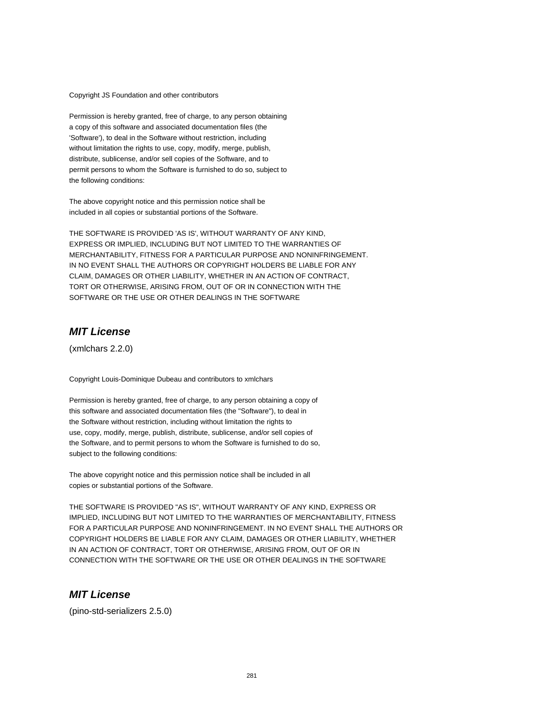Copyright JS Foundation and other contributors

Permission is hereby granted, free of charge, to any person obtaining a copy of this software and associated documentation files (the 'Software'), to deal in the Software without restriction, including without limitation the rights to use, copy, modify, merge, publish, distribute, sublicense, and/or sell copies of the Software, and to permit persons to whom the Software is furnished to do so, subject to the following conditions:

The above copyright notice and this permission notice shall be included in all copies or substantial portions of the Software.

THE SOFTWARE IS PROVIDED 'AS IS', WITHOUT WARRANTY OF ANY KIND, EXPRESS OR IMPLIED, INCLUDING BUT NOT LIMITED TO THE WARRANTIES OF MERCHANTABILITY, FITNESS FOR A PARTICULAR PURPOSE AND NONINFRINGEMENT. IN NO EVENT SHALL THE AUTHORS OR COPYRIGHT HOLDERS BE LIABLE FOR ANY CLAIM, DAMAGES OR OTHER LIABILITY, WHETHER IN AN ACTION OF CONTRACT, TORT OR OTHERWISE, ARISING FROM, OUT OF OR IN CONNECTION WITH THE SOFTWARE OR THE USE OR OTHER DEALINGS IN THE SOFTWARE

### **MIT License**

(xmlchars 2.2.0)

Copyright Louis-Dominique Dubeau and contributors to xmlchars

Permission is hereby granted, free of charge, to any person obtaining a copy of this software and associated documentation files (the "Software"), to deal in the Software without restriction, including without limitation the rights to use, copy, modify, merge, publish, distribute, sublicense, and/or sell copies of the Software, and to permit persons to whom the Software is furnished to do so, subject to the following conditions:

The above copyright notice and this permission notice shall be included in all copies or substantial portions of the Software.

THE SOFTWARE IS PROVIDED "AS IS", WITHOUT WARRANTY OF ANY KIND, EXPRESS OR IMPLIED, INCLUDING BUT NOT LIMITED TO THE WARRANTIES OF MERCHANTABILITY, FITNESS FOR A PARTICULAR PURPOSE AND NONINFRINGEMENT. IN NO EVENT SHALL THE AUTHORS OR COPYRIGHT HOLDERS BE LIABLE FOR ANY CLAIM, DAMAGES OR OTHER LIABILITY, WHETHER IN AN ACTION OF CONTRACT, TORT OR OTHERWISE, ARISING FROM, OUT OF OR IN CONNECTION WITH THE SOFTWARE OR THE USE OR OTHER DEALINGS IN THE SOFTWARE

## **MIT License**

(pino-std-serializers 2.5.0)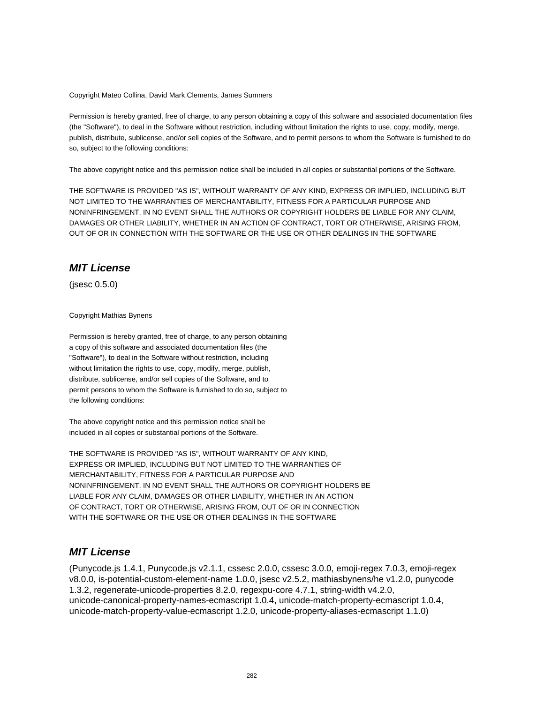Copyright Mateo Collina, David Mark Clements, James Sumners

Permission is hereby granted, free of charge, to any person obtaining a copy of this software and associated documentation files (the "Software"), to deal in the Software without restriction, including without limitation the rights to use, copy, modify, merge, publish, distribute, sublicense, and/or sell copies of the Software, and to permit persons to whom the Software is furnished to do so, subject to the following conditions:

The above copyright notice and this permission notice shall be included in all copies or substantial portions of the Software.

THE SOFTWARE IS PROVIDED "AS IS", WITHOUT WARRANTY OF ANY KIND, EXPRESS OR IMPLIED, INCLUDING BUT NOT LIMITED TO THE WARRANTIES OF MERCHANTABILITY, FITNESS FOR A PARTICULAR PURPOSE AND NONINFRINGEMENT. IN NO EVENT SHALL THE AUTHORS OR COPYRIGHT HOLDERS BE LIABLE FOR ANY CLAIM, DAMAGES OR OTHER LIABILITY, WHETHER IN AN ACTION OF CONTRACT, TORT OR OTHERWISE, ARISING FROM, OUT OF OR IN CONNECTION WITH THE SOFTWARE OR THE USE OR OTHER DEALINGS IN THE SOFTWARE

## **MIT License**

(jsesc 0.5.0)

Copyright Mathias Bynens

Permission is hereby granted, free of charge, to any person obtaining a copy of this software and associated documentation files (the "Software"), to deal in the Software without restriction, including without limitation the rights to use, copy, modify, merge, publish, distribute, sublicense, and/or sell copies of the Software, and to permit persons to whom the Software is furnished to do so, subject to the following conditions:

The above copyright notice and this permission notice shall be included in all copies or substantial portions of the Software.

THE SOFTWARE IS PROVIDED "AS IS", WITHOUT WARRANTY OF ANY KIND, EXPRESS OR IMPLIED, INCLUDING BUT NOT LIMITED TO THE WARRANTIES OF MERCHANTABILITY, FITNESS FOR A PARTICULAR PURPOSE AND NONINFRINGEMENT. IN NO EVENT SHALL THE AUTHORS OR COPYRIGHT HOLDERS BE LIABLE FOR ANY CLAIM, DAMAGES OR OTHER LIABILITY, WHETHER IN AN ACTION OF CONTRACT, TORT OR OTHERWISE, ARISING FROM, OUT OF OR IN CONNECTION WITH THE SOFTWARE OR THE USE OR OTHER DEALINGS IN THE SOFTWARE

### **MIT License**

(Punycode.js 1.4.1, Punycode.js v2.1.1, cssesc 2.0.0, cssesc 3.0.0, emoji-regex 7.0.3, emoji-regex v8.0.0, is-potential-custom-element-name 1.0.0, jsesc v2.5.2, mathiasbynens/he v1.2.0, punycode 1.3.2, regenerate-unicode-properties 8.2.0, regexpu-core 4.7.1, string-width v4.2.0, unicode-canonical-property-names-ecmascript 1.0.4, unicode-match-property-ecmascript 1.0.4, unicode-match-property-value-ecmascript 1.2.0, unicode-property-aliases-ecmascript 1.1.0)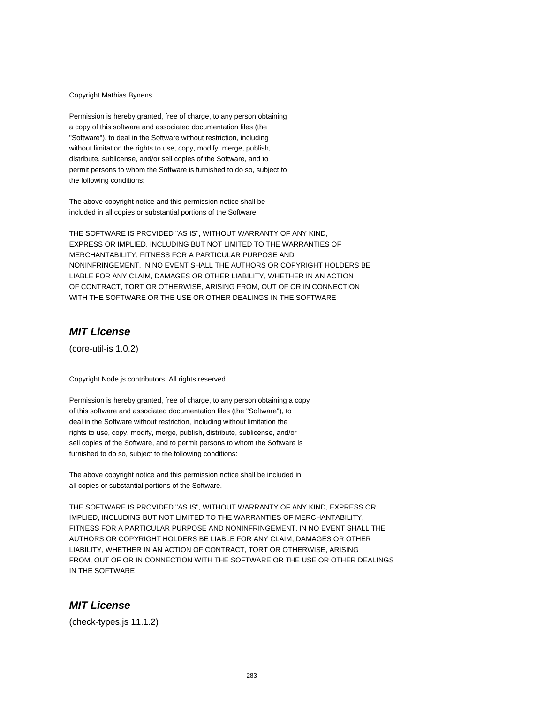#### Copyright Mathias Bynens

Permission is hereby granted, free of charge, to any person obtaining a copy of this software and associated documentation files (the "Software"), to deal in the Software without restriction, including without limitation the rights to use, copy, modify, merge, publish, distribute, sublicense, and/or sell copies of the Software, and to permit persons to whom the Software is furnished to do so, subject to the following conditions:

The above copyright notice and this permission notice shall be included in all copies or substantial portions of the Software.

THE SOFTWARE IS PROVIDED "AS IS", WITHOUT WARRANTY OF ANY KIND, EXPRESS OR IMPLIED, INCLUDING BUT NOT LIMITED TO THE WARRANTIES OF MERCHANTABILITY, FITNESS FOR A PARTICULAR PURPOSE AND NONINFRINGEMENT. IN NO EVENT SHALL THE AUTHORS OR COPYRIGHT HOLDERS BE LIABLE FOR ANY CLAIM, DAMAGES OR OTHER LIABILITY, WHETHER IN AN ACTION OF CONTRACT, TORT OR OTHERWISE, ARISING FROM, OUT OF OR IN CONNECTION WITH THE SOFTWARE OR THE USE OR OTHER DEALINGS IN THE SOFTWARE

### **MIT License**

(core-util-is 1.0.2)

Copyright Node.js contributors. All rights reserved.

Permission is hereby granted, free of charge, to any person obtaining a copy of this software and associated documentation files (the "Software"), to deal in the Software without restriction, including without limitation the rights to use, copy, modify, merge, publish, distribute, sublicense, and/or sell copies of the Software, and to permit persons to whom the Software is furnished to do so, subject to the following conditions:

The above copyright notice and this permission notice shall be included in all copies or substantial portions of the Software.

THE SOFTWARE IS PROVIDED "AS IS", WITHOUT WARRANTY OF ANY KIND, EXPRESS OR IMPLIED, INCLUDING BUT NOT LIMITED TO THE WARRANTIES OF MERCHANTABILITY, FITNESS FOR A PARTICULAR PURPOSE AND NONINFRINGEMENT. IN NO EVENT SHALL THE AUTHORS OR COPYRIGHT HOLDERS BE LIABLE FOR ANY CLAIM, DAMAGES OR OTHER LIABILITY, WHETHER IN AN ACTION OF CONTRACT, TORT OR OTHERWISE, ARISING FROM, OUT OF OR IN CONNECTION WITH THE SOFTWARE OR THE USE OR OTHER DEALINGS IN THE SOFTWARE

## **MIT License**

(check-types.js 11.1.2)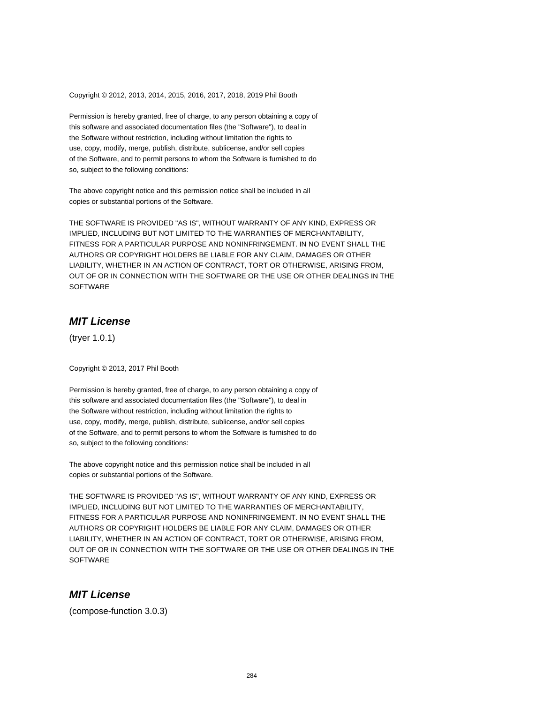Copyright © 2012, 2013, 2014, 2015, 2016, 2017, 2018, 2019 Phil Booth

Permission is hereby granted, free of charge, to any person obtaining a copy of this software and associated documentation files (the "Software"), to deal in the Software without restriction, including without limitation the rights to use, copy, modify, merge, publish, distribute, sublicense, and/or sell copies of the Software, and to permit persons to whom the Software is furnished to do so, subject to the following conditions:

The above copyright notice and this permission notice shall be included in all copies or substantial portions of the Software.

THE SOFTWARE IS PROVIDED "AS IS", WITHOUT WARRANTY OF ANY KIND, EXPRESS OR IMPLIED, INCLUDING BUT NOT LIMITED TO THE WARRANTIES OF MERCHANTABILITY, FITNESS FOR A PARTICULAR PURPOSE AND NONINFRINGEMENT. IN NO EVENT SHALL THE AUTHORS OR COPYRIGHT HOLDERS BE LIABLE FOR ANY CLAIM, DAMAGES OR OTHER LIABILITY, WHETHER IN AN ACTION OF CONTRACT, TORT OR OTHERWISE, ARISING FROM, OUT OF OR IN CONNECTION WITH THE SOFTWARE OR THE USE OR OTHER DEALINGS IN THE **SOFTWARE** 

## **MIT License**

(tryer 1.0.1)

Copyright © 2013, 2017 Phil Booth

Permission is hereby granted, free of charge, to any person obtaining a copy of this software and associated documentation files (the "Software"), to deal in the Software without restriction, including without limitation the rights to use, copy, modify, merge, publish, distribute, sublicense, and/or sell copies of the Software, and to permit persons to whom the Software is furnished to do so, subject to the following conditions:

The above copyright notice and this permission notice shall be included in all copies or substantial portions of the Software.

THE SOFTWARE IS PROVIDED "AS IS", WITHOUT WARRANTY OF ANY KIND, EXPRESS OR IMPLIED, INCLUDING BUT NOT LIMITED TO THE WARRANTIES OF MERCHANTABILITY, FITNESS FOR A PARTICULAR PURPOSE AND NONINFRINGEMENT. IN NO EVENT SHALL THE AUTHORS OR COPYRIGHT HOLDERS BE LIABLE FOR ANY CLAIM, DAMAGES OR OTHER LIABILITY, WHETHER IN AN ACTION OF CONTRACT, TORT OR OTHERWISE, ARISING FROM, OUT OF OR IN CONNECTION WITH THE SOFTWARE OR THE USE OR OTHER DEALINGS IN THE **SOFTWARE** 

## **MIT License**

(compose-function 3.0.3)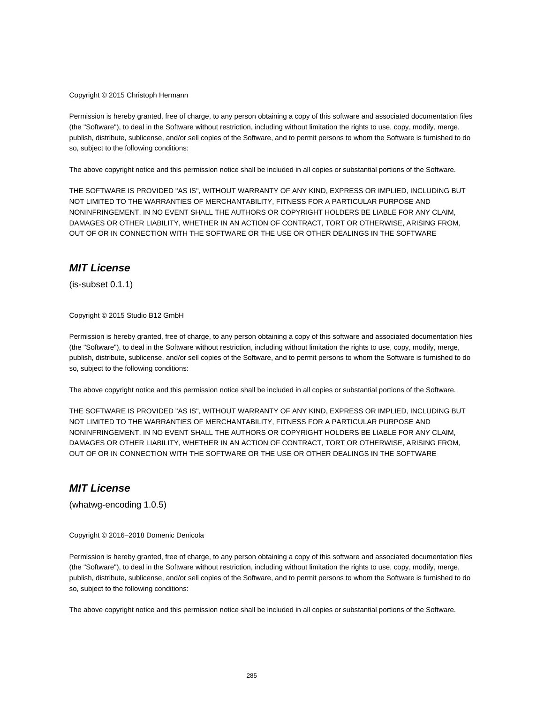Copyright © 2015 Christoph Hermann

Permission is hereby granted, free of charge, to any person obtaining a copy of this software and associated documentation files (the "Software"), to deal in the Software without restriction, including without limitation the rights to use, copy, modify, merge, publish, distribute, sublicense, and/or sell copies of the Software, and to permit persons to whom the Software is furnished to do so, subject to the following conditions:

The above copyright notice and this permission notice shall be included in all copies or substantial portions of the Software.

THE SOFTWARE IS PROVIDED "AS IS", WITHOUT WARRANTY OF ANY KIND, EXPRESS OR IMPLIED, INCLUDING BUT NOT LIMITED TO THE WARRANTIES OF MERCHANTABILITY, FITNESS FOR A PARTICULAR PURPOSE AND NONINFRINGEMENT. IN NO EVENT SHALL THE AUTHORS OR COPYRIGHT HOLDERS BE LIABLE FOR ANY CLAIM, DAMAGES OR OTHER LIABILITY, WHETHER IN AN ACTION OF CONTRACT, TORT OR OTHERWISE, ARISING FROM, OUT OF OR IN CONNECTION WITH THE SOFTWARE OR THE USE OR OTHER DEALINGS IN THE SOFTWARE

## **MIT License**

(is-subset 0.1.1)

Copyright © 2015 Studio B12 GmbH

Permission is hereby granted, free of charge, to any person obtaining a copy of this software and associated documentation files (the "Software"), to deal in the Software without restriction, including without limitation the rights to use, copy, modify, merge, publish, distribute, sublicense, and/or sell copies of the Software, and to permit persons to whom the Software is furnished to do so, subject to the following conditions:

The above copyright notice and this permission notice shall be included in all copies or substantial portions of the Software.

THE SOFTWARE IS PROVIDED "AS IS", WITHOUT WARRANTY OF ANY KIND, EXPRESS OR IMPLIED, INCLUDING BUT NOT LIMITED TO THE WARRANTIES OF MERCHANTABILITY, FITNESS FOR A PARTICULAR PURPOSE AND NONINFRINGEMENT. IN NO EVENT SHALL THE AUTHORS OR COPYRIGHT HOLDERS BE LIABLE FOR ANY CLAIM, DAMAGES OR OTHER LIABILITY, WHETHER IN AN ACTION OF CONTRACT, TORT OR OTHERWISE, ARISING FROM, OUT OF OR IN CONNECTION WITH THE SOFTWARE OR THE USE OR OTHER DEALINGS IN THE SOFTWARE

## **MIT License**

(whatwg-encoding 1.0.5)

Copyright © 2016–2018 Domenic Denicola

Permission is hereby granted, free of charge, to any person obtaining a copy of this software and associated documentation files (the "Software"), to deal in the Software without restriction, including without limitation the rights to use, copy, modify, merge, publish, distribute, sublicense, and/or sell copies of the Software, and to permit persons to whom the Software is furnished to do so, subject to the following conditions:

The above copyright notice and this permission notice shall be included in all copies or substantial portions of the Software.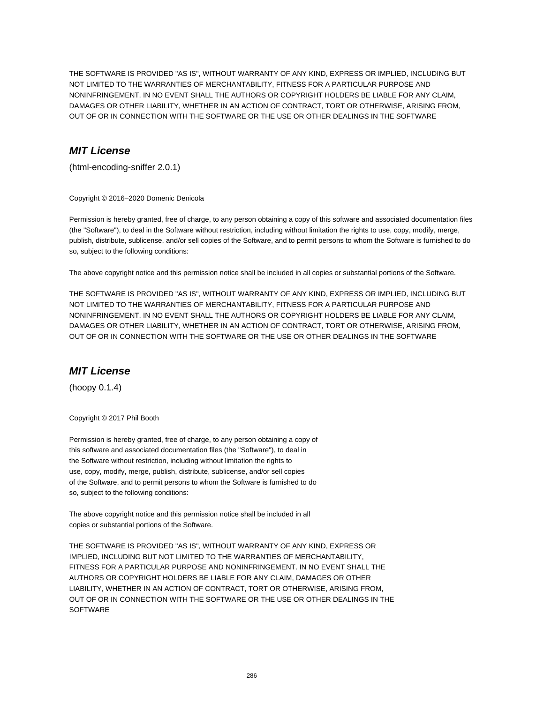THE SOFTWARE IS PROVIDED "AS IS", WITHOUT WARRANTY OF ANY KIND, EXPRESS OR IMPLIED, INCLUDING BUT NOT LIMITED TO THE WARRANTIES OF MERCHANTABILITY, FITNESS FOR A PARTICULAR PURPOSE AND NONINFRINGEMENT. IN NO EVENT SHALL THE AUTHORS OR COPYRIGHT HOLDERS BE LIABLE FOR ANY CLAIM, DAMAGES OR OTHER LIABILITY, WHETHER IN AN ACTION OF CONTRACT, TORT OR OTHERWISE, ARISING FROM, OUT OF OR IN CONNECTION WITH THE SOFTWARE OR THE USE OR OTHER DEALINGS IN THE SOFTWARE

## **MIT License**

(html-encoding-sniffer 2.0.1)

Copyright © 2016–2020 Domenic Denicola

Permission is hereby granted, free of charge, to any person obtaining a copy of this software and associated documentation files (the "Software"), to deal in the Software without restriction, including without limitation the rights to use, copy, modify, merge, publish, distribute, sublicense, and/or sell copies of the Software, and to permit persons to whom the Software is furnished to do so, subject to the following conditions:

The above copyright notice and this permission notice shall be included in all copies or substantial portions of the Software.

THE SOFTWARE IS PROVIDED "AS IS", WITHOUT WARRANTY OF ANY KIND, EXPRESS OR IMPLIED, INCLUDING BUT NOT LIMITED TO THE WARRANTIES OF MERCHANTABILITY, FITNESS FOR A PARTICULAR PURPOSE AND NONINFRINGEMENT. IN NO EVENT SHALL THE AUTHORS OR COPYRIGHT HOLDERS BE LIABLE FOR ANY CLAIM, DAMAGES OR OTHER LIABILITY, WHETHER IN AN ACTION OF CONTRACT, TORT OR OTHERWISE, ARISING FROM, OUT OF OR IN CONNECTION WITH THE SOFTWARE OR THE USE OR OTHER DEALINGS IN THE SOFTWARE

#### **MIT License**

(hoopy 0.1.4)

Copyright © 2017 Phil Booth

Permission is hereby granted, free of charge, to any person obtaining a copy of this software and associated documentation files (the "Software"), to deal in the Software without restriction, including without limitation the rights to use, copy, modify, merge, publish, distribute, sublicense, and/or sell copies of the Software, and to permit persons to whom the Software is furnished to do so, subject to the following conditions:

The above copyright notice and this permission notice shall be included in all copies or substantial portions of the Software.

THE SOFTWARE IS PROVIDED "AS IS", WITHOUT WARRANTY OF ANY KIND, EXPRESS OR IMPLIED, INCLUDING BUT NOT LIMITED TO THE WARRANTIES OF MERCHANTABILITY, FITNESS FOR A PARTICULAR PURPOSE AND NONINFRINGEMENT. IN NO EVENT SHALL THE AUTHORS OR COPYRIGHT HOLDERS BE LIABLE FOR ANY CLAIM, DAMAGES OR OTHER LIABILITY, WHETHER IN AN ACTION OF CONTRACT, TORT OR OTHERWISE, ARISING FROM, OUT OF OR IN CONNECTION WITH THE SOFTWARE OR THE USE OR OTHER DEALINGS IN THE **SOFTWARE**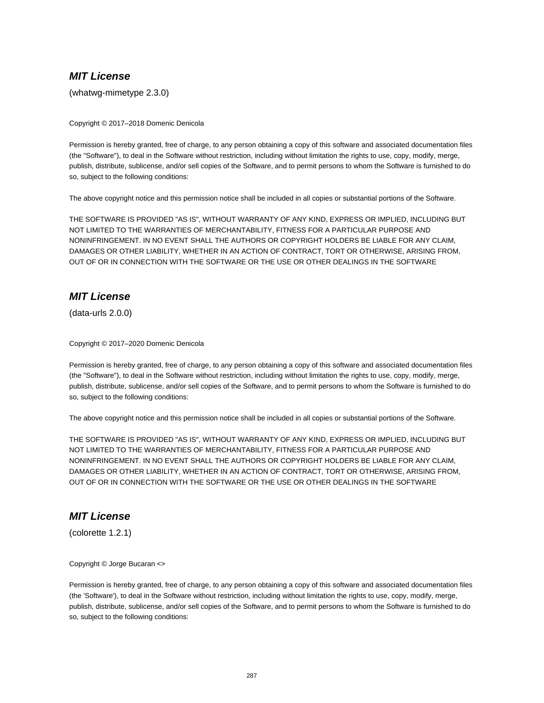(whatwg-mimetype 2.3.0)

Copyright © 2017–2018 Domenic Denicola

Permission is hereby granted, free of charge, to any person obtaining a copy of this software and associated documentation files (the "Software"), to deal in the Software without restriction, including without limitation the rights to use, copy, modify, merge, publish, distribute, sublicense, and/or sell copies of the Software, and to permit persons to whom the Software is furnished to do so, subject to the following conditions:

The above copyright notice and this permission notice shall be included in all copies or substantial portions of the Software.

THE SOFTWARE IS PROVIDED "AS IS", WITHOUT WARRANTY OF ANY KIND, EXPRESS OR IMPLIED, INCLUDING BUT NOT LIMITED TO THE WARRANTIES OF MERCHANTABILITY, FITNESS FOR A PARTICULAR PURPOSE AND NONINFRINGEMENT. IN NO EVENT SHALL THE AUTHORS OR COPYRIGHT HOLDERS BE LIABLE FOR ANY CLAIM, DAMAGES OR OTHER LIABILITY, WHETHER IN AN ACTION OF CONTRACT, TORT OR OTHERWISE, ARISING FROM, OUT OF OR IN CONNECTION WITH THE SOFTWARE OR THE USE OR OTHER DEALINGS IN THE SOFTWARE

# **MIT License**

(data-urls 2.0.0)

Copyright © 2017–2020 Domenic Denicola

Permission is hereby granted, free of charge, to any person obtaining a copy of this software and associated documentation files (the "Software"), to deal in the Software without restriction, including without limitation the rights to use, copy, modify, merge, publish, distribute, sublicense, and/or sell copies of the Software, and to permit persons to whom the Software is furnished to do so, subject to the following conditions:

The above copyright notice and this permission notice shall be included in all copies or substantial portions of the Software.

THE SOFTWARE IS PROVIDED "AS IS", WITHOUT WARRANTY OF ANY KIND, EXPRESS OR IMPLIED, INCLUDING BUT NOT LIMITED TO THE WARRANTIES OF MERCHANTABILITY, FITNESS FOR A PARTICULAR PURPOSE AND NONINFRINGEMENT. IN NO EVENT SHALL THE AUTHORS OR COPYRIGHT HOLDERS BE LIABLE FOR ANY CLAIM, DAMAGES OR OTHER LIABILITY, WHETHER IN AN ACTION OF CONTRACT, TORT OR OTHERWISE, ARISING FROM, OUT OF OR IN CONNECTION WITH THE SOFTWARE OR THE USE OR OTHER DEALINGS IN THE SOFTWARE

## **MIT License**

(colorette 1.2.1)

Copyright © Jorge Bucaran <>

Permission is hereby granted, free of charge, to any person obtaining a copy of this software and associated documentation files (the 'Software'), to deal in the Software without restriction, including without limitation the rights to use, copy, modify, merge, publish, distribute, sublicense, and/or sell copies of the Software, and to permit persons to whom the Software is furnished to do so, subject to the following conditions: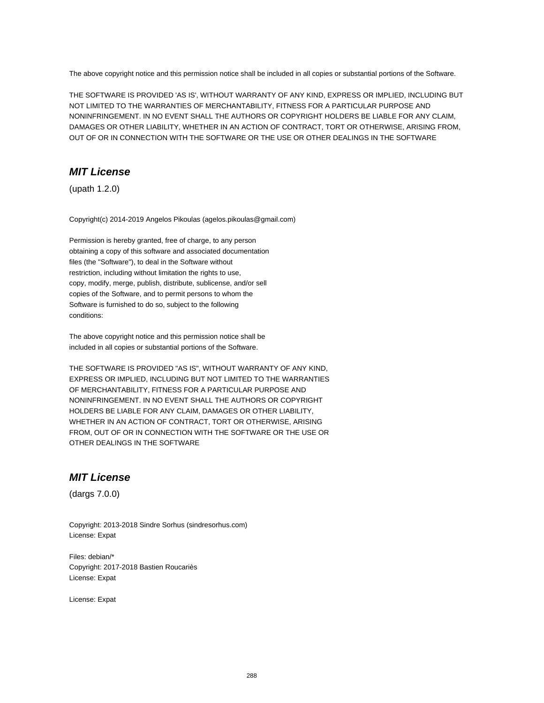The above copyright notice and this permission notice shall be included in all copies or substantial portions of the Software.

THE SOFTWARE IS PROVIDED 'AS IS', WITHOUT WARRANTY OF ANY KIND, EXPRESS OR IMPLIED, INCLUDING BUT NOT LIMITED TO THE WARRANTIES OF MERCHANTABILITY, FITNESS FOR A PARTICULAR PURPOSE AND NONINFRINGEMENT. IN NO EVENT SHALL THE AUTHORS OR COPYRIGHT HOLDERS BE LIABLE FOR ANY CLAIM, DAMAGES OR OTHER LIABILITY, WHETHER IN AN ACTION OF CONTRACT, TORT OR OTHERWISE, ARISING FROM, OUT OF OR IN CONNECTION WITH THE SOFTWARE OR THE USE OR OTHER DEALINGS IN THE SOFTWARE

## **MIT License**

(upath 1.2.0)

Copyright(c) 2014-2019 Angelos Pikoulas (agelos.pikoulas@gmail.com)

Permission is hereby granted, free of charge, to any person obtaining a copy of this software and associated documentation files (the "Software"), to deal in the Software without restriction, including without limitation the rights to use, copy, modify, merge, publish, distribute, sublicense, and/or sell copies of the Software, and to permit persons to whom the Software is furnished to do so, subject to the following conditions:

The above copyright notice and this permission notice shall be included in all copies or substantial portions of the Software.

THE SOFTWARE IS PROVIDED "AS IS", WITHOUT WARRANTY OF ANY KIND, EXPRESS OR IMPLIED, INCLUDING BUT NOT LIMITED TO THE WARRANTIES OF MERCHANTABILITY, FITNESS FOR A PARTICULAR PURPOSE AND NONINFRINGEMENT. IN NO EVENT SHALL THE AUTHORS OR COPYRIGHT HOLDERS BE LIABLE FOR ANY CLAIM, DAMAGES OR OTHER LIABILITY, WHETHER IN AN ACTION OF CONTRACT, TORT OR OTHERWISE, ARISING FROM, OUT OF OR IN CONNECTION WITH THE SOFTWARE OR THE USE OR OTHER DEALINGS IN THE SOFTWARE

## **MIT License**

(dargs 7.0.0)

Copyright: 2013-2018 Sindre Sorhus (sindresorhus.com) License: Expat

Files: debian/\* Copyright: 2017-2018 Bastien Roucariès License: Expat

License: Expat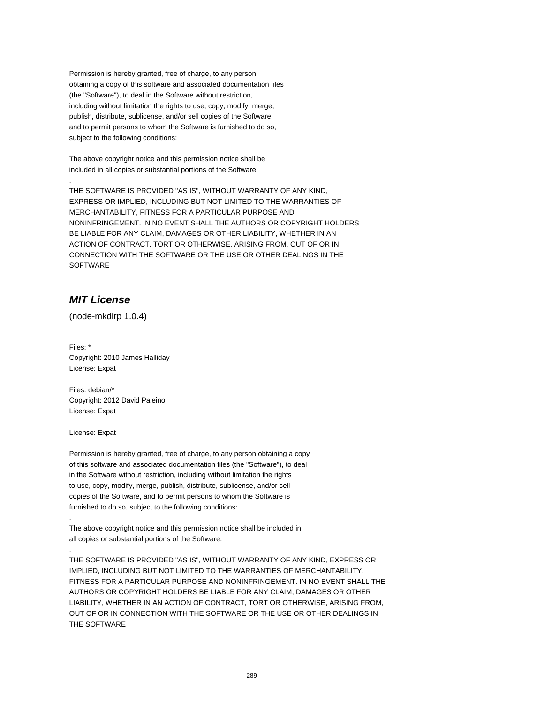Permission is hereby granted, free of charge, to any person obtaining a copy of this software and associated documentation files (the "Software"), to deal in the Software without restriction, including without limitation the rights to use, copy, modify, merge, publish, distribute, sublicense, and/or sell copies of the Software, and to permit persons to whom the Software is furnished to do so, subject to the following conditions:

The above copyright notice and this permission notice shall be included in all copies or substantial portions of the Software.

THE SOFTWARE IS PROVIDED "AS IS", WITHOUT WARRANTY OF ANY KIND, EXPRESS OR IMPLIED, INCLUDING BUT NOT LIMITED TO THE WARRANTIES OF MERCHANTABILITY, FITNESS FOR A PARTICULAR PURPOSE AND NONINFRINGEMENT. IN NO EVENT SHALL THE AUTHORS OR COPYRIGHT HOLDERS BE LIABLE FOR ANY CLAIM, DAMAGES OR OTHER LIABILITY, WHETHER IN AN ACTION OF CONTRACT, TORT OR OTHERWISE, ARISING FROM, OUT OF OR IN CONNECTION WITH THE SOFTWARE OR THE USE OR OTHER DEALINGS IN THE **SOFTWARE** 

# **MIT License**

.

.

(node-mkdirp 1.0.4)

Files: \* Copyright: 2010 James Halliday License: Expat

Files: debian/\* Copyright: 2012 David Paleino License: Expat

License: Expat

.

.

Permission is hereby granted, free of charge, to any person obtaining a copy of this software and associated documentation files (the "Software"), to deal in the Software without restriction, including without limitation the rights to use, copy, modify, merge, publish, distribute, sublicense, and/or sell copies of the Software, and to permit persons to whom the Software is furnished to do so, subject to the following conditions:

The above copyright notice and this permission notice shall be included in all copies or substantial portions of the Software.

THE SOFTWARE IS PROVIDED "AS IS", WITHOUT WARRANTY OF ANY KIND, EXPRESS OR IMPLIED, INCLUDING BUT NOT LIMITED TO THE WARRANTIES OF MERCHANTABILITY, FITNESS FOR A PARTICULAR PURPOSE AND NONINFRINGEMENT. IN NO EVENT SHALL THE AUTHORS OR COPYRIGHT HOLDERS BE LIABLE FOR ANY CLAIM, DAMAGES OR OTHER LIABILITY, WHETHER IN AN ACTION OF CONTRACT, TORT OR OTHERWISE, ARISING FROM, OUT OF OR IN CONNECTION WITH THE SOFTWARE OR THE USE OR OTHER DEALINGS IN THE SOFTWARE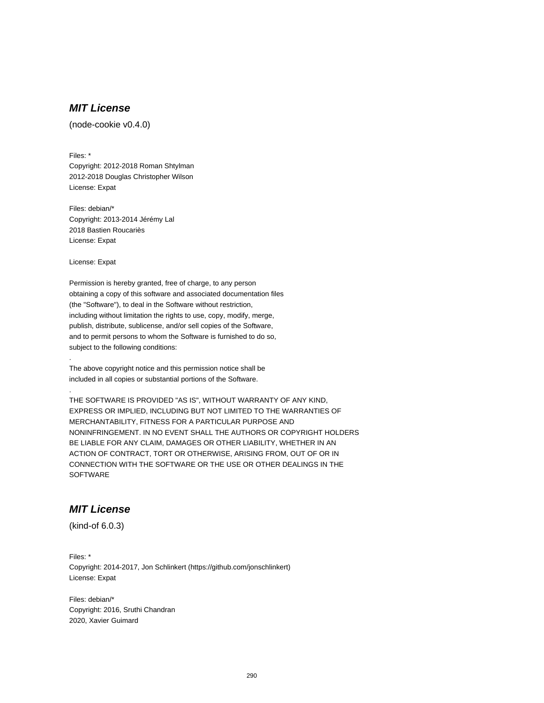# **MIT License**

(node-cookie v0.4.0)

Files: \*

Copyright: 2012-2018 Roman Shtylman 2012-2018 Douglas Christopher Wilson License: Expat

Files: debian/\* Copyright: 2013-2014 Jérémy Lal 2018 Bastien Roucariès License: Expat

License: Expat

.

.

Permission is hereby granted, free of charge, to any person obtaining a copy of this software and associated documentation files (the "Software"), to deal in the Software without restriction, including without limitation the rights to use, copy, modify, merge, publish, distribute, sublicense, and/or sell copies of the Software, and to permit persons to whom the Software is furnished to do so, subject to the following conditions:

The above copyright notice and this permission notice shall be included in all copies or substantial portions of the Software.

THE SOFTWARE IS PROVIDED "AS IS", WITHOUT WARRANTY OF ANY KIND, EXPRESS OR IMPLIED, INCLUDING BUT NOT LIMITED TO THE WARRANTIES OF MERCHANTABILITY, FITNESS FOR A PARTICULAR PURPOSE AND NONINFRINGEMENT. IN NO EVENT SHALL THE AUTHORS OR COPYRIGHT HOLDERS BE LIABLE FOR ANY CLAIM, DAMAGES OR OTHER LIABILITY, WHETHER IN AN ACTION OF CONTRACT, TORT OR OTHERWISE, ARISING FROM, OUT OF OR IN CONNECTION WITH THE SOFTWARE OR THE USE OR OTHER DEALINGS IN THE **SOFTWARE** 

# **MIT License**

(kind-of 6.0.3)

Files: \* Copyright: 2014-2017, Jon Schlinkert (https://github.com/jonschlinkert) License: Expat

Files: debian/\* Copyright: 2016, Sruthi Chandran 2020, Xavier Guimard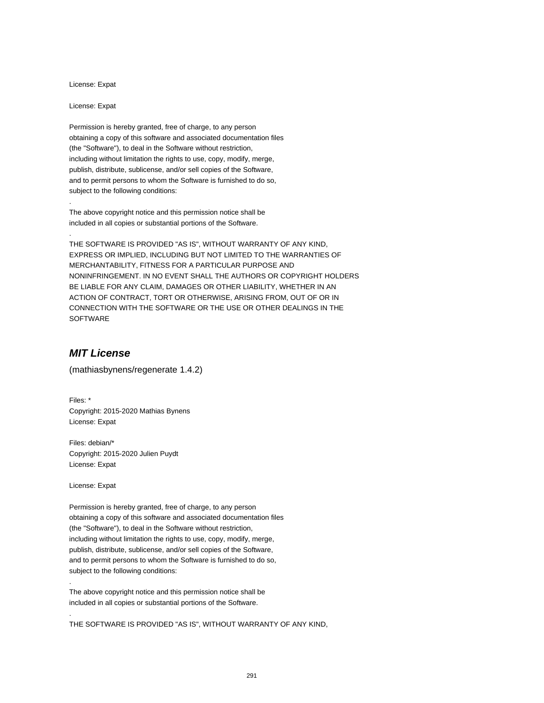License: Expat

License: Expat

.

.

Permission is hereby granted, free of charge, to any person obtaining a copy of this software and associated documentation files (the "Software"), to deal in the Software without restriction, including without limitation the rights to use, copy, modify, merge, publish, distribute, sublicense, and/or sell copies of the Software, and to permit persons to whom the Software is furnished to do so, subject to the following conditions:

The above copyright notice and this permission notice shall be included in all copies or substantial portions of the Software.

THE SOFTWARE IS PROVIDED "AS IS", WITHOUT WARRANTY OF ANY KIND, EXPRESS OR IMPLIED, INCLUDING BUT NOT LIMITED TO THE WARRANTIES OF MERCHANTABILITY, FITNESS FOR A PARTICULAR PURPOSE AND NONINFRINGEMENT. IN NO EVENT SHALL THE AUTHORS OR COPYRIGHT HOLDERS BE LIABLE FOR ANY CLAIM, DAMAGES OR OTHER LIABILITY, WHETHER IN AN ACTION OF CONTRACT, TORT OR OTHERWISE, ARISING FROM, OUT OF OR IN CONNECTION WITH THE SOFTWARE OR THE USE OR OTHER DEALINGS IN THE SOFTWARE

### **MIT License**

(mathiasbynens/regenerate 1.4.2)

Files: \* Copyright: 2015-2020 Mathias Bynens License: Expat

Files: debian/\* Copyright: 2015-2020 Julien Puydt License: Expat

License: Expat

.

.

Permission is hereby granted, free of charge, to any person obtaining a copy of this software and associated documentation files (the "Software"), to deal in the Software without restriction, including without limitation the rights to use, copy, modify, merge, publish, distribute, sublicense, and/or sell copies of the Software, and to permit persons to whom the Software is furnished to do so, subject to the following conditions:

The above copyright notice and this permission notice shall be included in all copies or substantial portions of the Software.

THE SOFTWARE IS PROVIDED "AS IS", WITHOUT WARRANTY OF ANY KIND,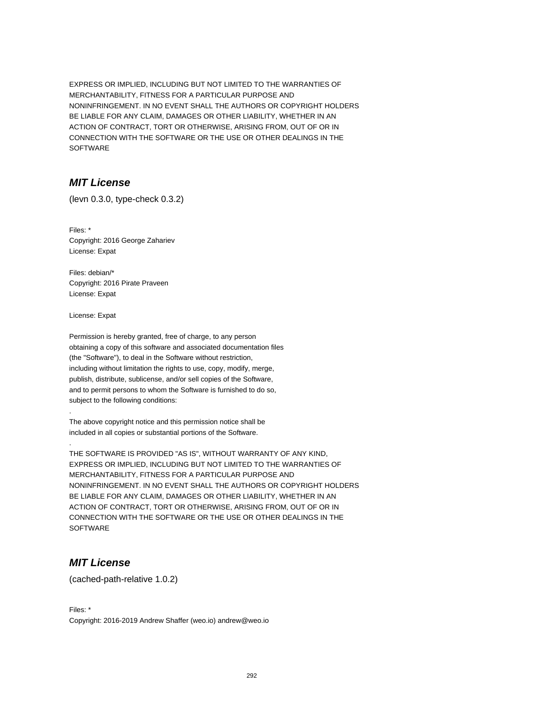EXPRESS OR IMPLIED, INCLUDING BUT NOT LIMITED TO THE WARRANTIES OF MERCHANTABILITY, FITNESS FOR A PARTICULAR PURPOSE AND NONINFRINGEMENT. IN NO EVENT SHALL THE AUTHORS OR COPYRIGHT HOLDERS BE LIABLE FOR ANY CLAIM, DAMAGES OR OTHER LIABILITY, WHETHER IN AN ACTION OF CONTRACT, TORT OR OTHERWISE, ARISING FROM, OUT OF OR IN CONNECTION WITH THE SOFTWARE OR THE USE OR OTHER DEALINGS IN THE SOFTWARE

# **MIT License**

(levn 0.3.0, type-check 0.3.2)

Files: \* Copyright: 2016 George Zahariev License: Expat

Files: debian/\* Copyright: 2016 Pirate Praveen License: Expat

License: Expat

.

.

Permission is hereby granted, free of charge, to any person obtaining a copy of this software and associated documentation files (the "Software"), to deal in the Software without restriction, including without limitation the rights to use, copy, modify, merge, publish, distribute, sublicense, and/or sell copies of the Software, and to permit persons to whom the Software is furnished to do so, subject to the following conditions:

The above copyright notice and this permission notice shall be included in all copies or substantial portions of the Software.

THE SOFTWARE IS PROVIDED "AS IS", WITHOUT WARRANTY OF ANY KIND, EXPRESS OR IMPLIED, INCLUDING BUT NOT LIMITED TO THE WARRANTIES OF MERCHANTABILITY, FITNESS FOR A PARTICULAR PURPOSE AND NONINFRINGEMENT. IN NO EVENT SHALL THE AUTHORS OR COPYRIGHT HOLDERS BE LIABLE FOR ANY CLAIM, DAMAGES OR OTHER LIABILITY, WHETHER IN AN ACTION OF CONTRACT, TORT OR OTHERWISE, ARISING FROM, OUT OF OR IN CONNECTION WITH THE SOFTWARE OR THE USE OR OTHER DEALINGS IN THE **SOFTWARE** 

# **MIT License**

(cached-path-relative 1.0.2)

Files: \* Copyright: 2016-2019 Andrew Shaffer (weo.io) andrew@weo.io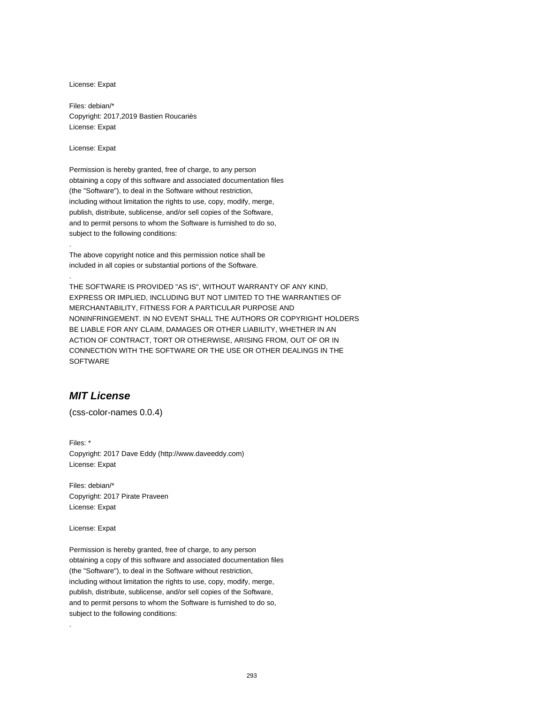License: Expat

Files: debian/\* Copyright: 2017,2019 Bastien Roucariès License: Expat

License: Expat

.

.

Permission is hereby granted, free of charge, to any person obtaining a copy of this software and associated documentation files (the "Software"), to deal in the Software without restriction, including without limitation the rights to use, copy, modify, merge, publish, distribute, sublicense, and/or sell copies of the Software, and to permit persons to whom the Software is furnished to do so, subject to the following conditions:

The above copyright notice and this permission notice shall be included in all copies or substantial portions of the Software.

THE SOFTWARE IS PROVIDED "AS IS", WITHOUT WARRANTY OF ANY KIND, EXPRESS OR IMPLIED, INCLUDING BUT NOT LIMITED TO THE WARRANTIES OF MERCHANTABILITY, FITNESS FOR A PARTICULAR PURPOSE AND NONINFRINGEMENT. IN NO EVENT SHALL THE AUTHORS OR COPYRIGHT HOLDERS BE LIABLE FOR ANY CLAIM, DAMAGES OR OTHER LIABILITY, WHETHER IN AN ACTION OF CONTRACT, TORT OR OTHERWISE, ARISING FROM, OUT OF OR IN CONNECTION WITH THE SOFTWARE OR THE USE OR OTHER DEALINGS IN THE **SOFTWARE** 

# **MIT License**

(css-color-names 0.0.4)

Files: \* Copyright: 2017 Dave Eddy (http://www.daveeddy.com) License: Expat

Files: debian/\* Copyright: 2017 Pirate Praveen License: Expat

License: Expat

.

Permission is hereby granted, free of charge, to any person obtaining a copy of this software and associated documentation files (the "Software"), to deal in the Software without restriction, including without limitation the rights to use, copy, modify, merge, publish, distribute, sublicense, and/or sell copies of the Software, and to permit persons to whom the Software is furnished to do so, subject to the following conditions: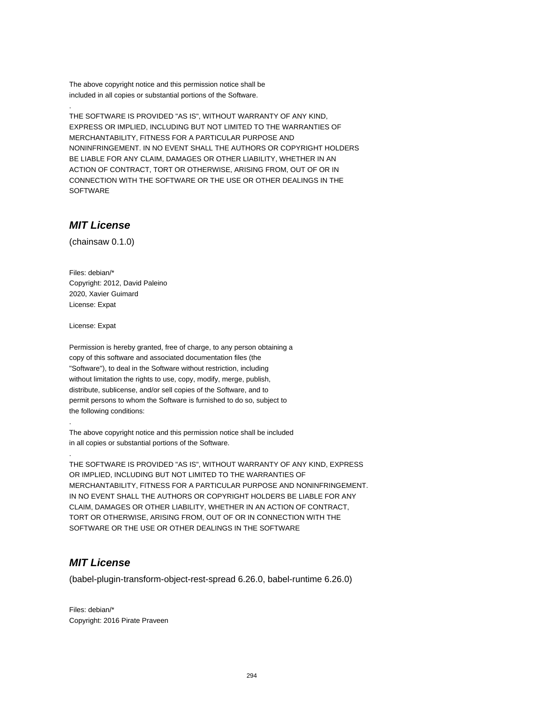The above copyright notice and this permission notice shall be included in all copies or substantial portions of the Software.

THE SOFTWARE IS PROVIDED "AS IS", WITHOUT WARRANTY OF ANY KIND, EXPRESS OR IMPLIED, INCLUDING BUT NOT LIMITED TO THE WARRANTIES OF MERCHANTABILITY, FITNESS FOR A PARTICULAR PURPOSE AND NONINFRINGEMENT. IN NO EVENT SHALL THE AUTHORS OR COPYRIGHT HOLDERS BE LIABLE FOR ANY CLAIM, DAMAGES OR OTHER LIABILITY, WHETHER IN AN ACTION OF CONTRACT, TORT OR OTHERWISE, ARISING FROM, OUT OF OR IN CONNECTION WITH THE SOFTWARE OR THE USE OR OTHER DEALINGS IN THE **SOFTWARE** 

# **MIT License**

.

(chainsaw 0.1.0)

Files: debian/\* Copyright: 2012, David Paleino 2020, Xavier Guimard License: Expat

License: Expat

.

.

Permission is hereby granted, free of charge, to any person obtaining a copy of this software and associated documentation files (the "Software"), to deal in the Software without restriction, including without limitation the rights to use, copy, modify, merge, publish, distribute, sublicense, and/or sell copies of the Software, and to permit persons to whom the Software is furnished to do so, subject to the following conditions:

The above copyright notice and this permission notice shall be included in all copies or substantial portions of the Software.

THE SOFTWARE IS PROVIDED "AS IS", WITHOUT WARRANTY OF ANY KIND, EXPRESS OR IMPLIED, INCLUDING BUT NOT LIMITED TO THE WARRANTIES OF MERCHANTABILITY, FITNESS FOR A PARTICULAR PURPOSE AND NONINFRINGEMENT. IN NO EVENT SHALL THE AUTHORS OR COPYRIGHT HOLDERS BE LIABLE FOR ANY CLAIM, DAMAGES OR OTHER LIABILITY, WHETHER IN AN ACTION OF CONTRACT, TORT OR OTHERWISE, ARISING FROM, OUT OF OR IN CONNECTION WITH THE SOFTWARE OR THE USE OR OTHER DEALINGS IN THE SOFTWARE

### **MIT License**

(babel-plugin-transform-object-rest-spread 6.26.0, babel-runtime 6.26.0)

Files: debian/\* Copyright: 2016 Pirate Praveen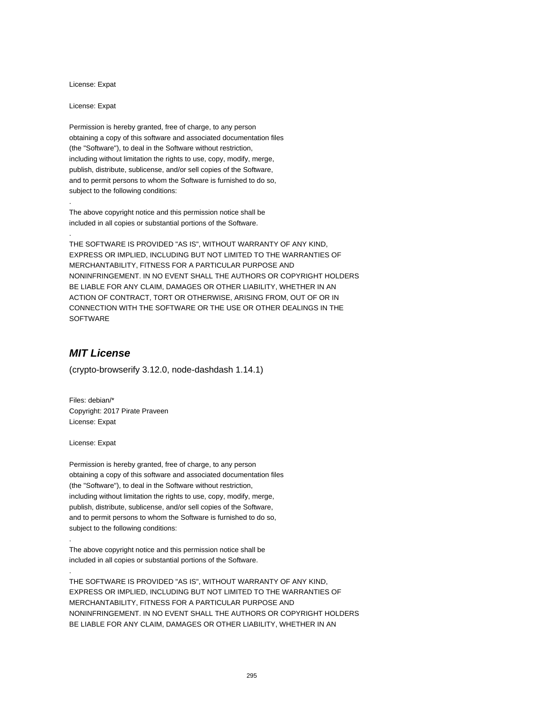License: Expat

License: Expat

.

.

Permission is hereby granted, free of charge, to any person obtaining a copy of this software and associated documentation files (the "Software"), to deal in the Software without restriction, including without limitation the rights to use, copy, modify, merge, publish, distribute, sublicense, and/or sell copies of the Software, and to permit persons to whom the Software is furnished to do so, subject to the following conditions:

The above copyright notice and this permission notice shall be included in all copies or substantial portions of the Software.

THE SOFTWARE IS PROVIDED "AS IS", WITHOUT WARRANTY OF ANY KIND, EXPRESS OR IMPLIED, INCLUDING BUT NOT LIMITED TO THE WARRANTIES OF MERCHANTABILITY, FITNESS FOR A PARTICULAR PURPOSE AND NONINFRINGEMENT. IN NO EVENT SHALL THE AUTHORS OR COPYRIGHT HOLDERS BE LIABLE FOR ANY CLAIM, DAMAGES OR OTHER LIABILITY, WHETHER IN AN ACTION OF CONTRACT, TORT OR OTHERWISE, ARISING FROM, OUT OF OR IN CONNECTION WITH THE SOFTWARE OR THE USE OR OTHER DEALINGS IN THE SOFTWARE

### **MIT License**

(crypto-browserify 3.12.0, node-dashdash 1.14.1)

Files: debian/\* Copyright: 2017 Pirate Praveen License: Expat

License: Expat

.

.

Permission is hereby granted, free of charge, to any person obtaining a copy of this software and associated documentation files (the "Software"), to deal in the Software without restriction, including without limitation the rights to use, copy, modify, merge, publish, distribute, sublicense, and/or sell copies of the Software, and to permit persons to whom the Software is furnished to do so, subject to the following conditions:

The above copyright notice and this permission notice shall be included in all copies or substantial portions of the Software.

THE SOFTWARE IS PROVIDED "AS IS", WITHOUT WARRANTY OF ANY KIND, EXPRESS OR IMPLIED, INCLUDING BUT NOT LIMITED TO THE WARRANTIES OF MERCHANTABILITY, FITNESS FOR A PARTICULAR PURPOSE AND NONINFRINGEMENT. IN NO EVENT SHALL THE AUTHORS OR COPYRIGHT HOLDERS BE LIABLE FOR ANY CLAIM, DAMAGES OR OTHER LIABILITY, WHETHER IN AN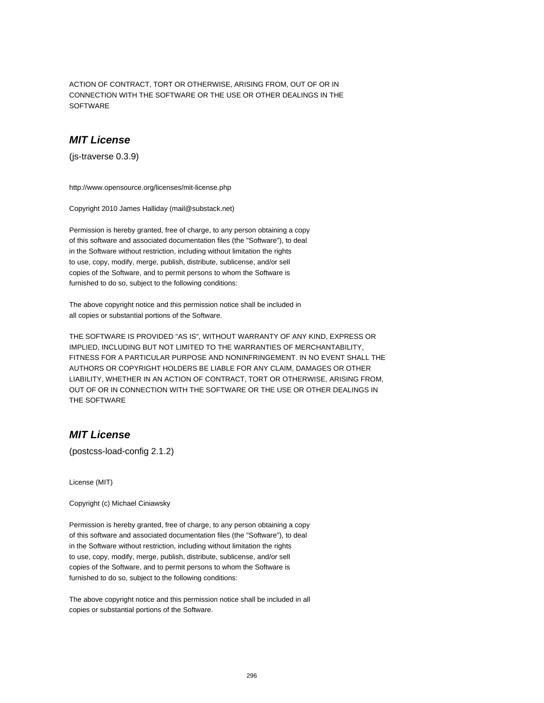ACTION OF CONTRACT, TORT OR OTHERWISE, ARISING FROM, OUT OF OR IN CONNECTION WITH THE SOFTWARE OR THE USE OR OTHER DEALINGS IN THE **SOFTWARE** 

### **MIT License**

(js-traverse 0.3.9)

http://www.opensource.org/licenses/mit-license.php

Copyright 2010 James Halliday (mail@substack.net)

Permission is hereby granted, free of charge, to any person obtaining a copy of this software and associated documentation files (the "Software"), to deal in the Software without restriction, including without limitation the rights to use, copy, modify, merge, publish, distribute, sublicense, and/or sell copies of the Software, and to permit persons to whom the Software is furnished to do so, subject to the following conditions:

The above copyright notice and this permission notice shall be included in all copies or substantial portions of the Software.

THE SOFTWARE IS PROVIDED "AS IS", WITHOUT WARRANTY OF ANY KIND, EXPRESS OR IMPLIED, INCLUDING BUT NOT LIMITED TO THE WARRANTIES OF MERCHANTABILITY, FITNESS FOR A PARTICULAR PURPOSE AND NONINFRINGEMENT. IN NO EVENT SHALL THE AUTHORS OR COPYRIGHT HOLDERS BE LIABLE FOR ANY CLAIM, DAMAGES OR OTHER LIABILITY, WHETHER IN AN ACTION OF CONTRACT, TORT OR OTHERWISE, ARISING FROM, OUT OF OR IN CONNECTION WITH THE SOFTWARE OR THE USE OR OTHER DEALINGS IN THE SOFTWARE

# **MIT License**

(postcss-load-config 2.1.2)

License (MIT)

Copyright (c) Michael Ciniawsky

Permission is hereby granted, free of charge, to any person obtaining a copy of this software and associated documentation files (the "Software"), to deal in the Software without restriction, including without limitation the rights to use, copy, modify, merge, publish, distribute, sublicense, and/or sell copies of the Software, and to permit persons to whom the Software is furnished to do so, subject to the following conditions:

The above copyright notice and this permission notice shall be included in all copies or substantial portions of the Software.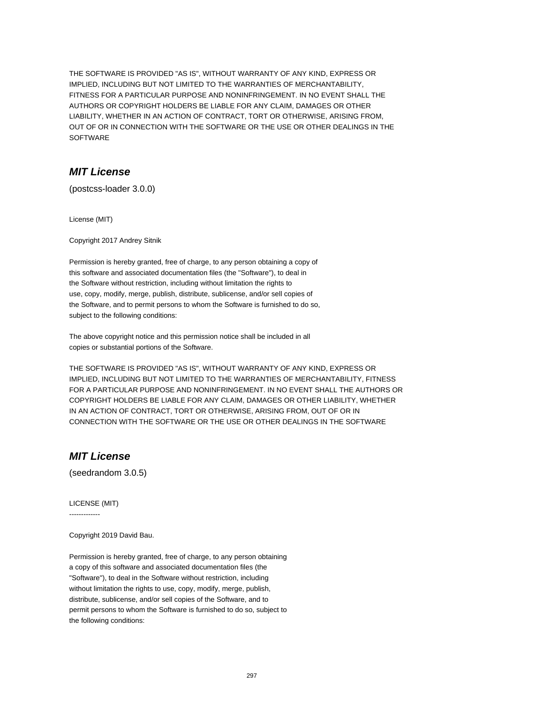THE SOFTWARE IS PROVIDED "AS IS", WITHOUT WARRANTY OF ANY KIND, EXPRESS OR IMPLIED, INCLUDING BUT NOT LIMITED TO THE WARRANTIES OF MERCHANTABILITY, FITNESS FOR A PARTICULAR PURPOSE AND NONINFRINGEMENT. IN NO EVENT SHALL THE AUTHORS OR COPYRIGHT HOLDERS BE LIABLE FOR ANY CLAIM, DAMAGES OR OTHER LIABILITY, WHETHER IN AN ACTION OF CONTRACT, TORT OR OTHERWISE, ARISING FROM, OUT OF OR IN CONNECTION WITH THE SOFTWARE OR THE USE OR OTHER DEALINGS IN THE SOFTWARE

# **MIT License**

(postcss-loader 3.0.0)

License (MIT)

Copyright 2017 Andrey Sitnik

Permission is hereby granted, free of charge, to any person obtaining a copy of this software and associated documentation files (the "Software"), to deal in the Software without restriction, including without limitation the rights to use, copy, modify, merge, publish, distribute, sublicense, and/or sell copies of the Software, and to permit persons to whom the Software is furnished to do so, subject to the following conditions:

The above copyright notice and this permission notice shall be included in all copies or substantial portions of the Software.

THE SOFTWARE IS PROVIDED "AS IS", WITHOUT WARRANTY OF ANY KIND, EXPRESS OR IMPLIED, INCLUDING BUT NOT LIMITED TO THE WARRANTIES OF MERCHANTABILITY, FITNESS FOR A PARTICULAR PURPOSE AND NONINFRINGEMENT. IN NO EVENT SHALL THE AUTHORS OR COPYRIGHT HOLDERS BE LIABLE FOR ANY CLAIM, DAMAGES OR OTHER LIABILITY, WHETHER IN AN ACTION OF CONTRACT, TORT OR OTHERWISE, ARISING FROM, OUT OF OR IN CONNECTION WITH THE SOFTWARE OR THE USE OR OTHER DEALINGS IN THE SOFTWARE

# **MIT License**

(seedrandom 3.0.5)

LICENSE (MIT)

-------------

Copyright 2019 David Bau.

Permission is hereby granted, free of charge, to any person obtaining a copy of this software and associated documentation files (the "Software"), to deal in the Software without restriction, including without limitation the rights to use, copy, modify, merge, publish, distribute, sublicense, and/or sell copies of the Software, and to permit persons to whom the Software is furnished to do so, subject to the following conditions: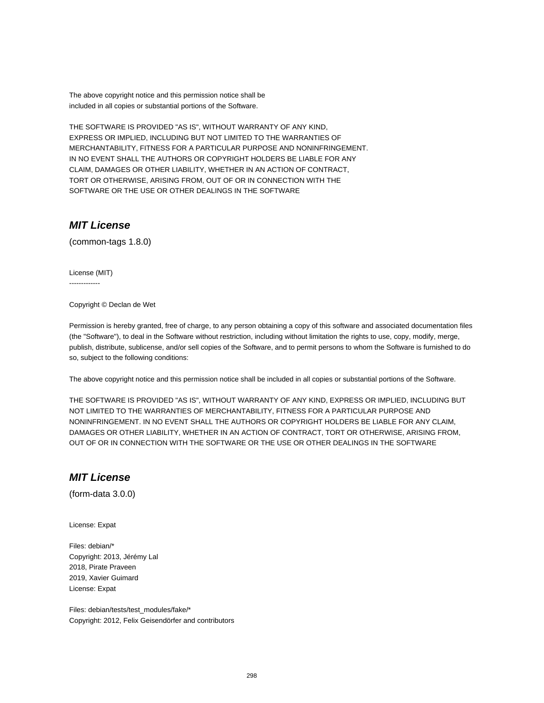The above copyright notice and this permission notice shall be included in all copies or substantial portions of the Software.

THE SOFTWARE IS PROVIDED "AS IS", WITHOUT WARRANTY OF ANY KIND, EXPRESS OR IMPLIED, INCLUDING BUT NOT LIMITED TO THE WARRANTIES OF MERCHANTABILITY, FITNESS FOR A PARTICULAR PURPOSE AND NONINFRINGEMENT. IN NO EVENT SHALL THE AUTHORS OR COPYRIGHT HOLDERS BE LIABLE FOR ANY CLAIM, DAMAGES OR OTHER LIABILITY, WHETHER IN AN ACTION OF CONTRACT, TORT OR OTHERWISE, ARISING FROM, OUT OF OR IN CONNECTION WITH THE SOFTWARE OR THE USE OR OTHER DEALINGS IN THE SOFTWARE

# **MIT License**

(common-tags 1.8.0)

License (MIT) -------------

Copyright © Declan de Wet

Permission is hereby granted, free of charge, to any person obtaining a copy of this software and associated documentation files (the "Software"), to deal in the Software without restriction, including without limitation the rights to use, copy, modify, merge, publish, distribute, sublicense, and/or sell copies of the Software, and to permit persons to whom the Software is furnished to do so, subject to the following conditions:

The above copyright notice and this permission notice shall be included in all copies or substantial portions of the Software.

THE SOFTWARE IS PROVIDED "AS IS", WITHOUT WARRANTY OF ANY KIND, EXPRESS OR IMPLIED, INCLUDING BUT NOT LIMITED TO THE WARRANTIES OF MERCHANTABILITY, FITNESS FOR A PARTICULAR PURPOSE AND NONINFRINGEMENT. IN NO EVENT SHALL THE AUTHORS OR COPYRIGHT HOLDERS BE LIABLE FOR ANY CLAIM, DAMAGES OR OTHER LIABILITY, WHETHER IN AN ACTION OF CONTRACT, TORT OR OTHERWISE, ARISING FROM, OUT OF OR IN CONNECTION WITH THE SOFTWARE OR THE USE OR OTHER DEALINGS IN THE SOFTWARE

### **MIT License**

(form-data 3.0.0)

License: Expat

Files: debian/\* Copyright: 2013, Jérémy Lal 2018, Pirate Praveen 2019, Xavier Guimard License: Expat

Files: debian/tests/test\_modules/fake/\* Copyright: 2012, Felix Geisendörfer and contributors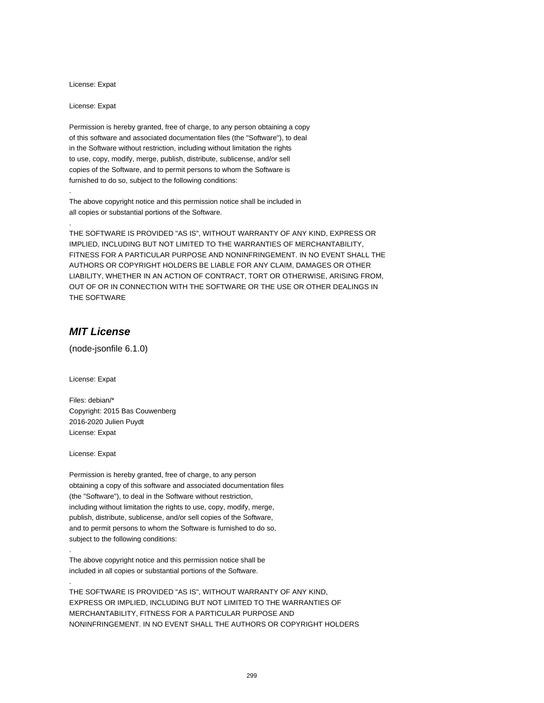License: Expat

License: Expat

.

.

Permission is hereby granted, free of charge, to any person obtaining a copy of this software and associated documentation files (the "Software"), to deal in the Software without restriction, including without limitation the rights to use, copy, modify, merge, publish, distribute, sublicense, and/or sell copies of the Software, and to permit persons to whom the Software is furnished to do so, subject to the following conditions:

The above copyright notice and this permission notice shall be included in all copies or substantial portions of the Software.

THE SOFTWARE IS PROVIDED "AS IS", WITHOUT WARRANTY OF ANY KIND, EXPRESS OR IMPLIED, INCLUDING BUT NOT LIMITED TO THE WARRANTIES OF MERCHANTABILITY, FITNESS FOR A PARTICULAR PURPOSE AND NONINFRINGEMENT. IN NO EVENT SHALL THE AUTHORS OR COPYRIGHT HOLDERS BE LIABLE FOR ANY CLAIM, DAMAGES OR OTHER LIABILITY, WHETHER IN AN ACTION OF CONTRACT, TORT OR OTHERWISE, ARISING FROM, OUT OF OR IN CONNECTION WITH THE SOFTWARE OR THE USE OR OTHER DEALINGS IN THE SOFTWARE

### **MIT License**

(node-jsonfile 6.1.0)

License: Expat

Files: debian/\* Copyright: 2015 Bas Couwenberg 2016-2020 Julien Puydt License: Expat

License: Expat

.

.

Permission is hereby granted, free of charge, to any person obtaining a copy of this software and associated documentation files (the "Software"), to deal in the Software without restriction, including without limitation the rights to use, copy, modify, merge, publish, distribute, sublicense, and/or sell copies of the Software, and to permit persons to whom the Software is furnished to do so, subject to the following conditions:

The above copyright notice and this permission notice shall be included in all copies or substantial portions of the Software.

THE SOFTWARE IS PROVIDED "AS IS", WITHOUT WARRANTY OF ANY KIND, EXPRESS OR IMPLIED, INCLUDING BUT NOT LIMITED TO THE WARRANTIES OF MERCHANTABILITY, FITNESS FOR A PARTICULAR PURPOSE AND NONINFRINGEMENT. IN NO EVENT SHALL THE AUTHORS OR COPYRIGHT HOLDERS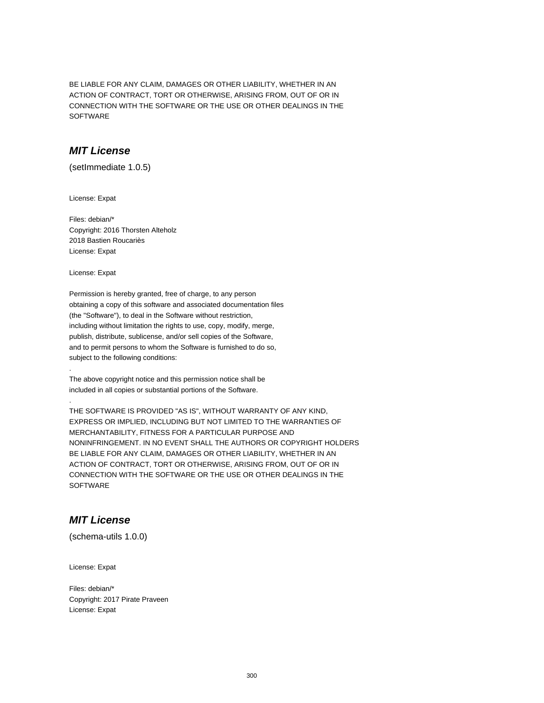BE LIABLE FOR ANY CLAIM, DAMAGES OR OTHER LIABILITY, WHETHER IN AN ACTION OF CONTRACT, TORT OR OTHERWISE, ARISING FROM, OUT OF OR IN CONNECTION WITH THE SOFTWARE OR THE USE OR OTHER DEALINGS IN THE SOFTWARE

### **MIT License**

(setImmediate 1.0.5)

License: Expat

Files: debian/\* Copyright: 2016 Thorsten Alteholz 2018 Bastien Roucariès License: Expat

License: Expat

.

.

Permission is hereby granted, free of charge, to any person obtaining a copy of this software and associated documentation files (the "Software"), to deal in the Software without restriction, including without limitation the rights to use, copy, modify, merge, publish, distribute, sublicense, and/or sell copies of the Software, and to permit persons to whom the Software is furnished to do so, subject to the following conditions:

The above copyright notice and this permission notice shall be included in all copies or substantial portions of the Software.

THE SOFTWARE IS PROVIDED "AS IS", WITHOUT WARRANTY OF ANY KIND, EXPRESS OR IMPLIED, INCLUDING BUT NOT LIMITED TO THE WARRANTIES OF MERCHANTABILITY, FITNESS FOR A PARTICULAR PURPOSE AND NONINFRINGEMENT. IN NO EVENT SHALL THE AUTHORS OR COPYRIGHT HOLDERS BE LIABLE FOR ANY CLAIM, DAMAGES OR OTHER LIABILITY, WHETHER IN AN ACTION OF CONTRACT, TORT OR OTHERWISE, ARISING FROM, OUT OF OR IN CONNECTION WITH THE SOFTWARE OR THE USE OR OTHER DEALINGS IN THE **SOFTWARE** 

# **MIT License**

(schema-utils 1.0.0)

License: Expat

Files: debian/\* Copyright: 2017 Pirate Praveen License: Expat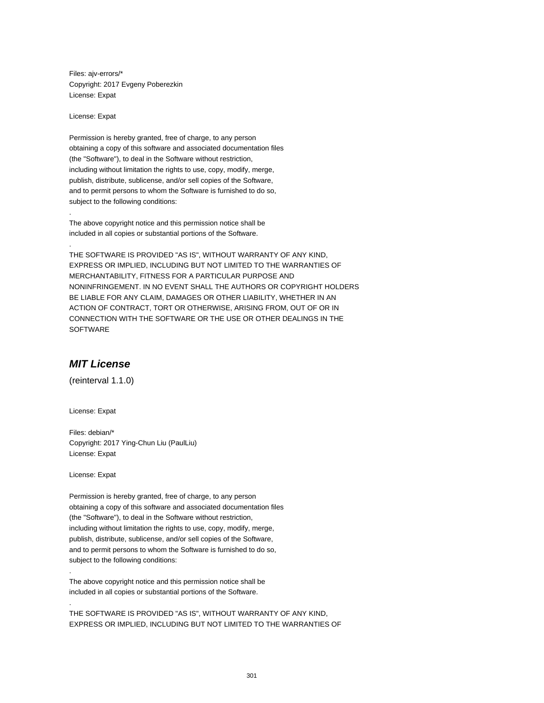Files: ajv-errors/\* Copyright: 2017 Evgeny Poberezkin License: Expat

License: Expat

.

.

Permission is hereby granted, free of charge, to any person obtaining a copy of this software and associated documentation files (the "Software"), to deal in the Software without restriction, including without limitation the rights to use, copy, modify, merge, publish, distribute, sublicense, and/or sell copies of the Software, and to permit persons to whom the Software is furnished to do so, subject to the following conditions:

The above copyright notice and this permission notice shall be included in all copies or substantial portions of the Software.

THE SOFTWARE IS PROVIDED "AS IS", WITHOUT WARRANTY OF ANY KIND, EXPRESS OR IMPLIED, INCLUDING BUT NOT LIMITED TO THE WARRANTIES OF MERCHANTABILITY, FITNESS FOR A PARTICULAR PURPOSE AND NONINFRINGEMENT. IN NO EVENT SHALL THE AUTHORS OR COPYRIGHT HOLDERS BE LIABLE FOR ANY CLAIM, DAMAGES OR OTHER LIABILITY, WHETHER IN AN ACTION OF CONTRACT, TORT OR OTHERWISE, ARISING FROM, OUT OF OR IN CONNECTION WITH THE SOFTWARE OR THE USE OR OTHER DEALINGS IN THE SOFTWARE

### **MIT License**

(reinterval 1.1.0)

License: Expat

Files: debian/\* Copyright: 2017 Ying-Chun Liu (PaulLiu) License: Expat

License: Expat

.

.

Permission is hereby granted, free of charge, to any person obtaining a copy of this software and associated documentation files (the "Software"), to deal in the Software without restriction, including without limitation the rights to use, copy, modify, merge, publish, distribute, sublicense, and/or sell copies of the Software, and to permit persons to whom the Software is furnished to do so, subject to the following conditions:

The above copyright notice and this permission notice shall be included in all copies or substantial portions of the Software.

THE SOFTWARE IS PROVIDED "AS IS", WITHOUT WARRANTY OF ANY KIND, EXPRESS OR IMPLIED, INCLUDING BUT NOT LIMITED TO THE WARRANTIES OF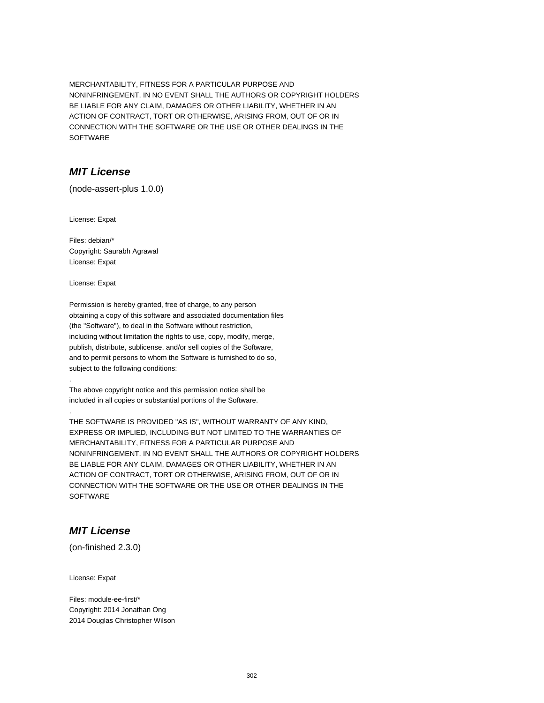MERCHANTABILITY, FITNESS FOR A PARTICULAR PURPOSE AND NONINFRINGEMENT. IN NO EVENT SHALL THE AUTHORS OR COPYRIGHT HOLDERS BE LIABLE FOR ANY CLAIM, DAMAGES OR OTHER LIABILITY, WHETHER IN AN ACTION OF CONTRACT, TORT OR OTHERWISE, ARISING FROM, OUT OF OR IN CONNECTION WITH THE SOFTWARE OR THE USE OR OTHER DEALINGS IN THE SOFTWARE

### **MIT License**

(node-assert-plus 1.0.0)

License: Expat

Files: debian/\* Copyright: Saurabh Agrawal License: Expat

License: Expat

.

.

Permission is hereby granted, free of charge, to any person obtaining a copy of this software and associated documentation files (the "Software"), to deal in the Software without restriction, including without limitation the rights to use, copy, modify, merge, publish, distribute, sublicense, and/or sell copies of the Software, and to permit persons to whom the Software is furnished to do so, subject to the following conditions:

The above copyright notice and this permission notice shall be included in all copies or substantial portions of the Software.

THE SOFTWARE IS PROVIDED "AS IS", WITHOUT WARRANTY OF ANY KIND, EXPRESS OR IMPLIED, INCLUDING BUT NOT LIMITED TO THE WARRANTIES OF MERCHANTABILITY, FITNESS FOR A PARTICULAR PURPOSE AND NONINFRINGEMENT. IN NO EVENT SHALL THE AUTHORS OR COPYRIGHT HOLDERS BE LIABLE FOR ANY CLAIM, DAMAGES OR OTHER LIABILITY, WHETHER IN AN ACTION OF CONTRACT, TORT OR OTHERWISE, ARISING FROM, OUT OF OR IN CONNECTION WITH THE SOFTWARE OR THE USE OR OTHER DEALINGS IN THE **SOFTWARE** 

# **MIT License**

(on-finished 2.3.0)

License: Expat

Files: module-ee-first/\* Copyright: 2014 Jonathan Ong 2014 Douglas Christopher Wilson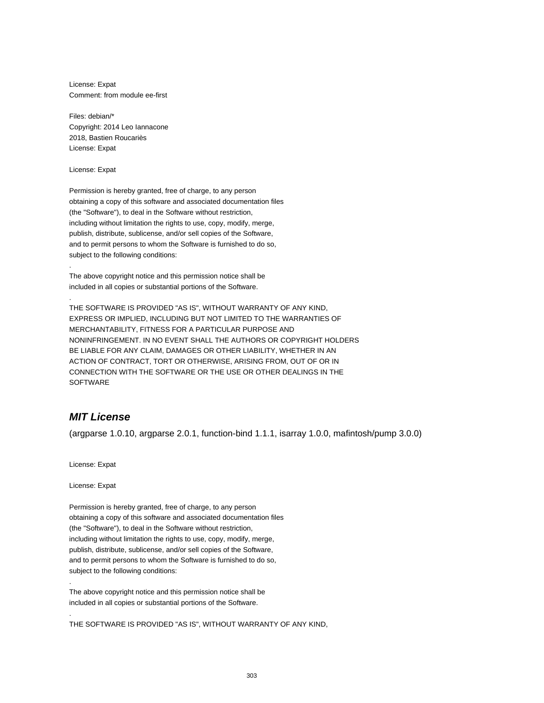License: Expat Comment: from module ee-first

Files: debian/\* Copyright: 2014 Leo Iannacone 2018, Bastien Roucariès License: Expat

License: Expat

.

.

Permission is hereby granted, free of charge, to any person obtaining a copy of this software and associated documentation files (the "Software"), to deal in the Software without restriction, including without limitation the rights to use, copy, modify, merge, publish, distribute, sublicense, and/or sell copies of the Software, and to permit persons to whom the Software is furnished to do so, subject to the following conditions:

The above copyright notice and this permission notice shall be included in all copies or substantial portions of the Software.

THE SOFTWARE IS PROVIDED "AS IS", WITHOUT WARRANTY OF ANY KIND, EXPRESS OR IMPLIED, INCLUDING BUT NOT LIMITED TO THE WARRANTIES OF MERCHANTABILITY, FITNESS FOR A PARTICULAR PURPOSE AND NONINFRINGEMENT. IN NO EVENT SHALL THE AUTHORS OR COPYRIGHT HOLDERS BE LIABLE FOR ANY CLAIM, DAMAGES OR OTHER LIABILITY, WHETHER IN AN ACTION OF CONTRACT, TORT OR OTHERWISE, ARISING FROM, OUT OF OR IN CONNECTION WITH THE SOFTWARE OR THE USE OR OTHER DEALINGS IN THE SOFTWARE

# **MIT License**

(argparse 1.0.10, argparse 2.0.1, function-bind 1.1.1, isarray 1.0.0, mafintosh/pump 3.0.0)

License: Expat

License: Expat

.

.

Permission is hereby granted, free of charge, to any person obtaining a copy of this software and associated documentation files (the "Software"), to deal in the Software without restriction, including without limitation the rights to use, copy, modify, merge, publish, distribute, sublicense, and/or sell copies of the Software, and to permit persons to whom the Software is furnished to do so, subject to the following conditions:

The above copyright notice and this permission notice shall be included in all copies or substantial portions of the Software.

THE SOFTWARE IS PROVIDED "AS IS", WITHOUT WARRANTY OF ANY KIND,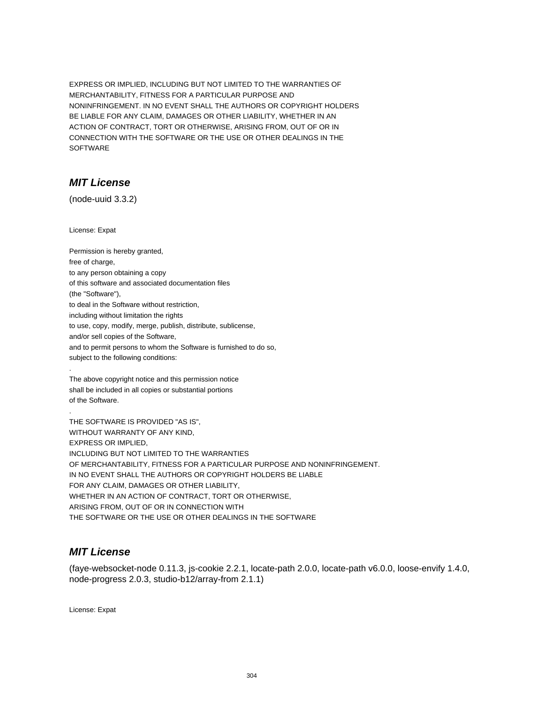EXPRESS OR IMPLIED, INCLUDING BUT NOT LIMITED TO THE WARRANTIES OF MERCHANTABILITY, FITNESS FOR A PARTICULAR PURPOSE AND NONINFRINGEMENT. IN NO EVENT SHALL THE AUTHORS OR COPYRIGHT HOLDERS BE LIABLE FOR ANY CLAIM, DAMAGES OR OTHER LIABILITY, WHETHER IN AN ACTION OF CONTRACT, TORT OR OTHERWISE, ARISING FROM, OUT OF OR IN CONNECTION WITH THE SOFTWARE OR THE USE OR OTHER DEALINGS IN THE SOFTWARE

# **MIT License**

(node-uuid 3.3.2)

License: Expat

.

.

Permission is hereby granted, free of charge, to any person obtaining a copy of this software and associated documentation files (the "Software"), to deal in the Software without restriction, including without limitation the rights to use, copy, modify, merge, publish, distribute, sublicense, and/or sell copies of the Software, and to permit persons to whom the Software is furnished to do so, subject to the following conditions:

The above copyright notice and this permission notice shall be included in all copies or substantial portions of the Software.

THE SOFTWARE IS PROVIDED "AS IS", WITHOUT WARRANTY OF ANY KIND, EXPRESS OR IMPLIED, INCLUDING BUT NOT LIMITED TO THE WARRANTIES OF MERCHANTABILITY, FITNESS FOR A PARTICULAR PURPOSE AND NONINFRINGEMENT. IN NO EVENT SHALL THE AUTHORS OR COPYRIGHT HOLDERS BE LIABLE FOR ANY CLAIM, DAMAGES OR OTHER LIABILITY, WHETHER IN AN ACTION OF CONTRACT, TORT OR OTHERWISE, ARISING FROM, OUT OF OR IN CONNECTION WITH THE SOFTWARE OR THE USE OR OTHER DEALINGS IN THE SOFTWARE

# **MIT License**

(faye-websocket-node 0.11.3, js-cookie 2.2.1, locate-path 2.0.0, locate-path v6.0.0, loose-envify 1.4.0, node-progress 2.0.3, studio-b12/array-from 2.1.1)

License: Expat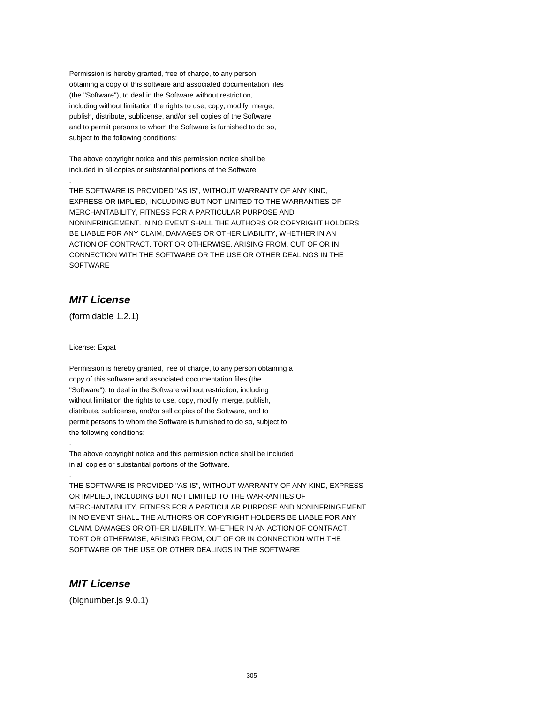Permission is hereby granted, free of charge, to any person obtaining a copy of this software and associated documentation files (the "Software"), to deal in the Software without restriction, including without limitation the rights to use, copy, modify, merge, publish, distribute, sublicense, and/or sell copies of the Software, and to permit persons to whom the Software is furnished to do so, subject to the following conditions:

The above copyright notice and this permission notice shall be included in all copies or substantial portions of the Software.

THE SOFTWARE IS PROVIDED "AS IS", WITHOUT WARRANTY OF ANY KIND, EXPRESS OR IMPLIED, INCLUDING BUT NOT LIMITED TO THE WARRANTIES OF MERCHANTABILITY, FITNESS FOR A PARTICULAR PURPOSE AND NONINFRINGEMENT. IN NO EVENT SHALL THE AUTHORS OR COPYRIGHT HOLDERS BE LIABLE FOR ANY CLAIM, DAMAGES OR OTHER LIABILITY, WHETHER IN AN ACTION OF CONTRACT, TORT OR OTHERWISE, ARISING FROM, OUT OF OR IN CONNECTION WITH THE SOFTWARE OR THE USE OR OTHER DEALINGS IN THE **SOFTWARE** 

# **MIT License**

.

.

(formidable 1.2.1)

License: Expat

.

.

Permission is hereby granted, free of charge, to any person obtaining a copy of this software and associated documentation files (the "Software"), to deal in the Software without restriction, including without limitation the rights to use, copy, modify, merge, publish, distribute, sublicense, and/or sell copies of the Software, and to permit persons to whom the Software is furnished to do so, subject to the following conditions:

The above copyright notice and this permission notice shall be included in all copies or substantial portions of the Software.

THE SOFTWARE IS PROVIDED "AS IS", WITHOUT WARRANTY OF ANY KIND, EXPRESS OR IMPLIED, INCLUDING BUT NOT LIMITED TO THE WARRANTIES OF MERCHANTABILITY, FITNESS FOR A PARTICULAR PURPOSE AND NONINFRINGEMENT. IN NO EVENT SHALL THE AUTHORS OR COPYRIGHT HOLDERS BE LIABLE FOR ANY CLAIM, DAMAGES OR OTHER LIABILITY, WHETHER IN AN ACTION OF CONTRACT, TORT OR OTHERWISE, ARISING FROM, OUT OF OR IN CONNECTION WITH THE SOFTWARE OR THE USE OR OTHER DEALINGS IN THE SOFTWARE

# **MIT License**

(bignumber.js 9.0.1)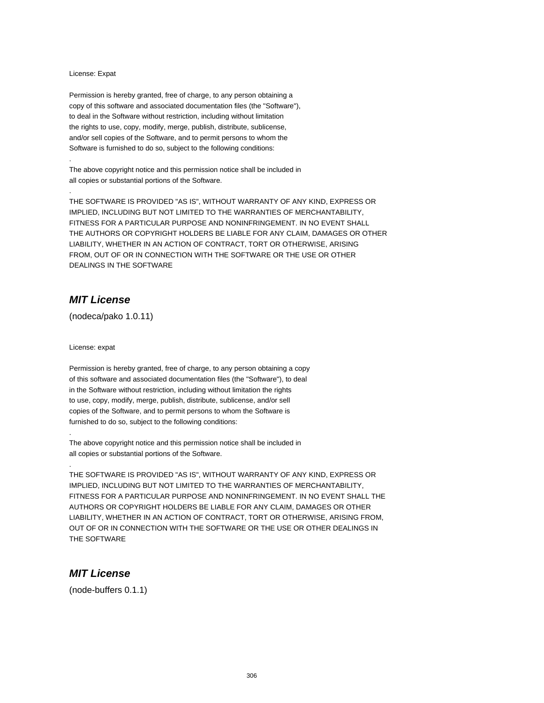#### License: Expat

.

.

Permission is hereby granted, free of charge, to any person obtaining a copy of this software and associated documentation files (the "Software"), to deal in the Software without restriction, including without limitation the rights to use, copy, modify, merge, publish, distribute, sublicense, and/or sell copies of the Software, and to permit persons to whom the Software is furnished to do so, subject to the following conditions:

The above copyright notice and this permission notice shall be included in all copies or substantial portions of the Software.

THE SOFTWARE IS PROVIDED "AS IS", WITHOUT WARRANTY OF ANY KIND, EXPRESS OR IMPLIED, INCLUDING BUT NOT LIMITED TO THE WARRANTIES OF MERCHANTABILITY, FITNESS FOR A PARTICULAR PURPOSE AND NONINFRINGEMENT. IN NO EVENT SHALL THE AUTHORS OR COPYRIGHT HOLDERS BE LIABLE FOR ANY CLAIM, DAMAGES OR OTHER LIABILITY, WHETHER IN AN ACTION OF CONTRACT, TORT OR OTHERWISE, ARISING FROM, OUT OF OR IN CONNECTION WITH THE SOFTWARE OR THE USE OR OTHER DEALINGS IN THE SOFTWARE

### **MIT License**

(nodeca/pako 1.0.11)

License: expat

.

.

Permission is hereby granted, free of charge, to any person obtaining a copy of this software and associated documentation files (the "Software"), to deal in the Software without restriction, including without limitation the rights to use, copy, modify, merge, publish, distribute, sublicense, and/or sell copies of the Software, and to permit persons to whom the Software is furnished to do so, subject to the following conditions:

The above copyright notice and this permission notice shall be included in all copies or substantial portions of the Software.

THE SOFTWARE IS PROVIDED "AS IS", WITHOUT WARRANTY OF ANY KIND, EXPRESS OR IMPLIED, INCLUDING BUT NOT LIMITED TO THE WARRANTIES OF MERCHANTABILITY, FITNESS FOR A PARTICULAR PURPOSE AND NONINFRINGEMENT. IN NO EVENT SHALL THE AUTHORS OR COPYRIGHT HOLDERS BE LIABLE FOR ANY CLAIM, DAMAGES OR OTHER LIABILITY, WHETHER IN AN ACTION OF CONTRACT, TORT OR OTHERWISE, ARISING FROM, OUT OF OR IN CONNECTION WITH THE SOFTWARE OR THE USE OR OTHER DEALINGS IN THE SOFTWARE

### **MIT License**

(node-buffers 0.1.1)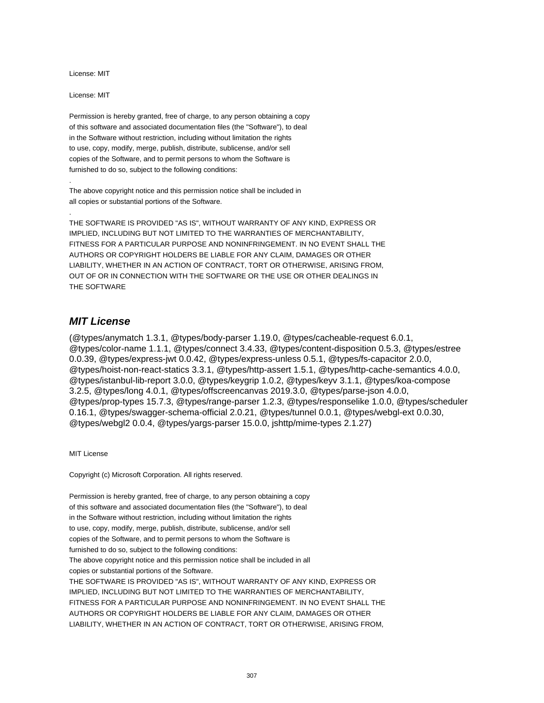License: MIT

License: MIT

.

.

Permission is hereby granted, free of charge, to any person obtaining a copy of this software and associated documentation files (the "Software"), to deal in the Software without restriction, including without limitation the rights to use, copy, modify, merge, publish, distribute, sublicense, and/or sell copies of the Software, and to permit persons to whom the Software is furnished to do so, subject to the following conditions:

The above copyright notice and this permission notice shall be included in all copies or substantial portions of the Software.

THE SOFTWARE IS PROVIDED "AS IS", WITHOUT WARRANTY OF ANY KIND, EXPRESS OR IMPLIED, INCLUDING BUT NOT LIMITED TO THE WARRANTIES OF MERCHANTABILITY, FITNESS FOR A PARTICULAR PURPOSE AND NONINFRINGEMENT. IN NO EVENT SHALL THE AUTHORS OR COPYRIGHT HOLDERS BE LIABLE FOR ANY CLAIM, DAMAGES OR OTHER LIABILITY, WHETHER IN AN ACTION OF CONTRACT, TORT OR OTHERWISE, ARISING FROM, OUT OF OR IN CONNECTION WITH THE SOFTWARE OR THE USE OR OTHER DEALINGS IN THE SOFTWARE

### **MIT License**

(@types/anymatch 1.3.1, @types/body-parser 1.19.0, @types/cacheable-request 6.0.1, @types/color-name 1.1.1, @types/connect 3.4.33, @types/content-disposition 0.5.3, @types/estree 0.0.39, @types/express-jwt 0.0.42, @types/express-unless 0.5.1, @types/fs-capacitor 2.0.0, @types/hoist-non-react-statics 3.3.1, @types/http-assert 1.5.1, @types/http-cache-semantics 4.0.0, @types/istanbul-lib-report 3.0.0, @types/keygrip 1.0.2, @types/keyv 3.1.1, @types/koa-compose 3.2.5, @types/long 4.0.1, @types/offscreencanvas 2019.3.0, @types/parse-json 4.0.0, @types/prop-types 15.7.3, @types/range-parser 1.2.3, @types/responselike 1.0.0, @types/scheduler 0.16.1, @types/swagger-schema-official 2.0.21, @types/tunnel 0.0.1, @types/webgl-ext 0.0.30, @types/webgl2 0.0.4, @types/yargs-parser 15.0.0, jshttp/mime-types 2.1.27)

MIT License

Copyright (c) Microsoft Corporation. All rights reserved.

Permission is hereby granted, free of charge, to any person obtaining a copy of this software and associated documentation files (the "Software"), to deal in the Software without restriction, including without limitation the rights to use, copy, modify, merge, publish, distribute, sublicense, and/or sell copies of the Software, and to permit persons to whom the Software is furnished to do so, subject to the following conditions: The above copyright notice and this permission notice shall be included in all copies or substantial portions of the Software. THE SOFTWARE IS PROVIDED "AS IS", WITHOUT WARRANTY OF ANY KIND, EXPRESS OR IMPLIED, INCLUDING BUT NOT LIMITED TO THE WARRANTIES OF MERCHANTABILITY, FITNESS FOR A PARTICULAR PURPOSE AND NONINFRINGEMENT. IN NO EVENT SHALL THE AUTHORS OR COPYRIGHT HOLDERS BE LIABLE FOR ANY CLAIM, DAMAGES OR OTHER LIABILITY, WHETHER IN AN ACTION OF CONTRACT, TORT OR OTHERWISE, ARISING FROM,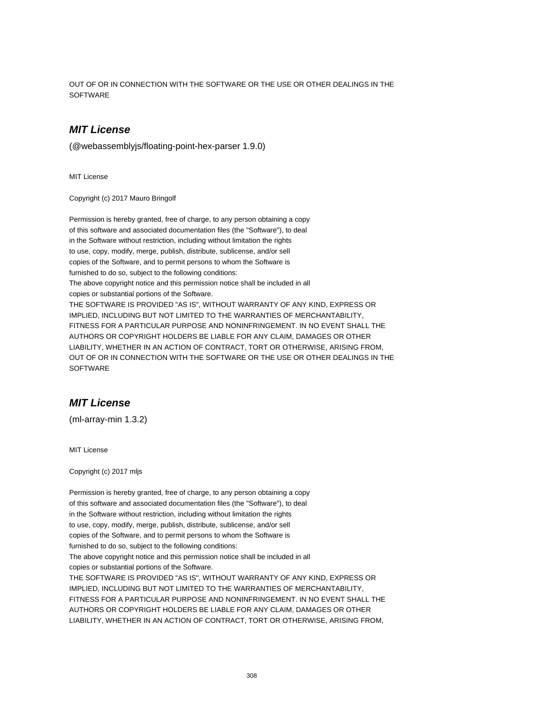OUT OF OR IN CONNECTION WITH THE SOFTWARE OR THE USE OR OTHER DEALINGS IN THE **SOFTWARE** 

### **MIT License**

(@webassemblyjs/floating-point-hex-parser 1.9.0)

MIT License

Copyright (c) 2017 Mauro Bringolf

Permission is hereby granted, free of charge, to any person obtaining a copy of this software and associated documentation files (the "Software"), to deal in the Software without restriction, including without limitation the rights to use, copy, modify, merge, publish, distribute, sublicense, and/or sell copies of the Software, and to permit persons to whom the Software is furnished to do so, subject to the following conditions: The above copyright notice and this permission notice shall be included in all copies or substantial portions of the Software. THE SOFTWARE IS PROVIDED "AS IS", WITHOUT WARRANTY OF ANY KIND, EXPRESS OR IMPLIED, INCLUDING BUT NOT LIMITED TO THE WARRANTIES OF MERCHANTABILITY, FITNESS FOR A PARTICULAR PURPOSE AND NONINFRINGEMENT. IN NO EVENT SHALL THE AUTHORS OR COPYRIGHT HOLDERS BE LIABLE FOR ANY CLAIM, DAMAGES OR OTHER LIABILITY, WHETHER IN AN ACTION OF CONTRACT, TORT OR OTHERWISE, ARISING FROM, OUT OF OR IN CONNECTION WITH THE SOFTWARE OR THE USE OR OTHER DEALINGS IN THE **SOFTWARE** 

### **MIT License**

(ml-array-min 1.3.2)

MIT License

Copyright (c) 2017 mljs

Permission is hereby granted, free of charge, to any person obtaining a copy of this software and associated documentation files (the "Software"), to deal in the Software without restriction, including without limitation the rights to use, copy, modify, merge, publish, distribute, sublicense, and/or sell copies of the Software, and to permit persons to whom the Software is furnished to do so, subject to the following conditions: The above copyright notice and this permission notice shall be included in all copies or substantial portions of the Software. THE SOFTWARE IS PROVIDED "AS IS", WITHOUT WARRANTY OF ANY KIND, EXPRESS OR IMPLIED, INCLUDING BUT NOT LIMITED TO THE WARRANTIES OF MERCHANTABILITY, FITNESS FOR A PARTICULAR PURPOSE AND NONINFRINGEMENT. IN NO EVENT SHALL THE AUTHORS OR COPYRIGHT HOLDERS BE LIABLE FOR ANY CLAIM, DAMAGES OR OTHER LIABILITY, WHETHER IN AN ACTION OF CONTRACT, TORT OR OTHERWISE, ARISING FROM,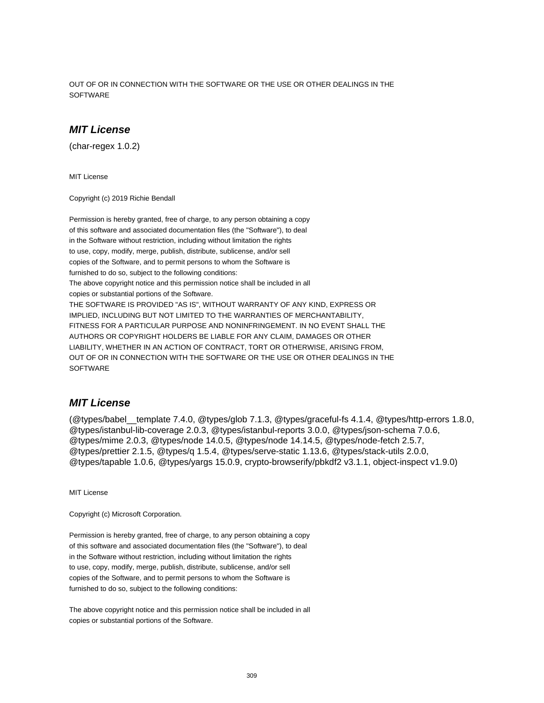OUT OF OR IN CONNECTION WITH THE SOFTWARE OR THE USE OR OTHER DEALINGS IN THE **SOFTWARE** 

### **MIT License**

(char-regex 1.0.2)

MIT License

Copyright (c) 2019 Richie Bendall

Permission is hereby granted, free of charge, to any person obtaining a copy of this software and associated documentation files (the "Software"), to deal in the Software without restriction, including without limitation the rights to use, copy, modify, merge, publish, distribute, sublicense, and/or sell copies of the Software, and to permit persons to whom the Software is furnished to do so, subject to the following conditions: The above copyright notice and this permission notice shall be included in all copies or substantial portions of the Software. THE SOFTWARE IS PROVIDED "AS IS", WITHOUT WARRANTY OF ANY KIND, EXPRESS OR IMPLIED, INCLUDING BUT NOT LIMITED TO THE WARRANTIES OF MERCHANTABILITY, FITNESS FOR A PARTICULAR PURPOSE AND NONINFRINGEMENT. IN NO EVENT SHALL THE AUTHORS OR COPYRIGHT HOLDERS BE LIABLE FOR ANY CLAIM, DAMAGES OR OTHER LIABILITY, WHETHER IN AN ACTION OF CONTRACT, TORT OR OTHERWISE, ARISING FROM, OUT OF OR IN CONNECTION WITH THE SOFTWARE OR THE USE OR OTHER DEALINGS IN THE **SOFTWARE** 

#### **MIT License**

(@types/babel\_\_template 7.4.0, @types/glob 7.1.3, @types/graceful-fs 4.1.4, @types/http-errors 1.8.0, @types/istanbul-lib-coverage 2.0.3, @types/istanbul-reports 3.0.0, @types/json-schema 7.0.6, @types/mime 2.0.3, @types/node 14.0.5, @types/node 14.14.5, @types/node-fetch 2.5.7, @types/prettier 2.1.5, @types/q 1.5.4, @types/serve-static 1.13.6, @types/stack-utils 2.0.0, @types/tapable 1.0.6, @types/yargs 15.0.9, crypto-browserify/pbkdf2 v3.1.1, object-inspect v1.9.0)

MIT License

Copyright (c) Microsoft Corporation.

Permission is hereby granted, free of charge, to any person obtaining a copy of this software and associated documentation files (the "Software"), to deal in the Software without restriction, including without limitation the rights to use, copy, modify, merge, publish, distribute, sublicense, and/or sell copies of the Software, and to permit persons to whom the Software is furnished to do so, subject to the following conditions:

The above copyright notice and this permission notice shall be included in all copies or substantial portions of the Software.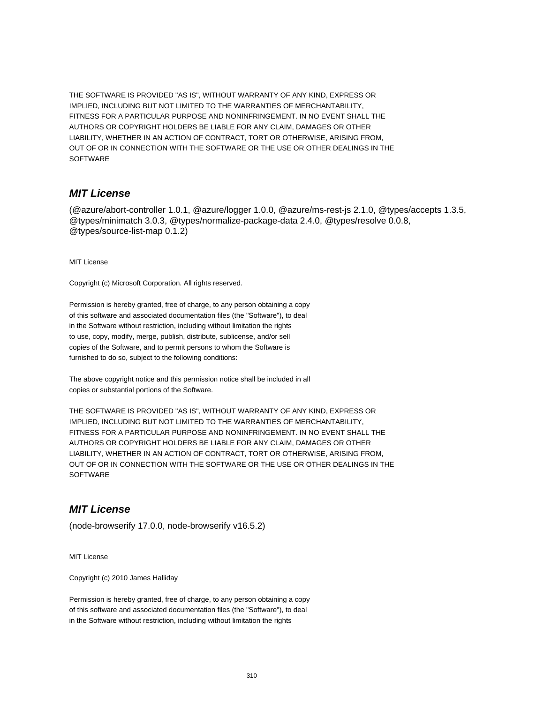THE SOFTWARE IS PROVIDED "AS IS", WITHOUT WARRANTY OF ANY KIND, EXPRESS OR IMPLIED, INCLUDING BUT NOT LIMITED TO THE WARRANTIES OF MERCHANTABILITY, FITNESS FOR A PARTICULAR PURPOSE AND NONINFRINGEMENT. IN NO EVENT SHALL THE AUTHORS OR COPYRIGHT HOLDERS BE LIABLE FOR ANY CLAIM, DAMAGES OR OTHER LIABILITY, WHETHER IN AN ACTION OF CONTRACT, TORT OR OTHERWISE, ARISING FROM, OUT OF OR IN CONNECTION WITH THE SOFTWARE OR THE USE OR OTHER DEALINGS IN THE **SOFTWARE** 

### **MIT License**

(@azure/abort-controller 1.0.1, @azure/logger 1.0.0, @azure/ms-rest-js 2.1.0, @types/accepts 1.3.5, @types/minimatch 3.0.3, @types/normalize-package-data 2.4.0, @types/resolve 0.0.8, @types/source-list-map 0.1.2)

MIT License

Copyright (c) Microsoft Corporation. All rights reserved.

Permission is hereby granted, free of charge, to any person obtaining a copy of this software and associated documentation files (the "Software"), to deal in the Software without restriction, including without limitation the rights to use, copy, modify, merge, publish, distribute, sublicense, and/or sell copies of the Software, and to permit persons to whom the Software is furnished to do so, subject to the following conditions:

The above copyright notice and this permission notice shall be included in all copies or substantial portions of the Software.

THE SOFTWARE IS PROVIDED "AS IS", WITHOUT WARRANTY OF ANY KIND, EXPRESS OR IMPLIED, INCLUDING BUT NOT LIMITED TO THE WARRANTIES OF MERCHANTABILITY, FITNESS FOR A PARTICULAR PURPOSE AND NONINFRINGEMENT. IN NO EVENT SHALL THE AUTHORS OR COPYRIGHT HOLDERS BE LIABLE FOR ANY CLAIM, DAMAGES OR OTHER LIABILITY, WHETHER IN AN ACTION OF CONTRACT, TORT OR OTHERWISE, ARISING FROM, OUT OF OR IN CONNECTION WITH THE SOFTWARE OR THE USE OR OTHER DEALINGS IN THE **SOFTWARE** 

# **MIT License**

(node-browserify 17.0.0, node-browserify v16.5.2)

MIT License

Copyright (c) 2010 James Halliday

Permission is hereby granted, free of charge, to any person obtaining a copy of this software and associated documentation files (the "Software"), to deal in the Software without restriction, including without limitation the rights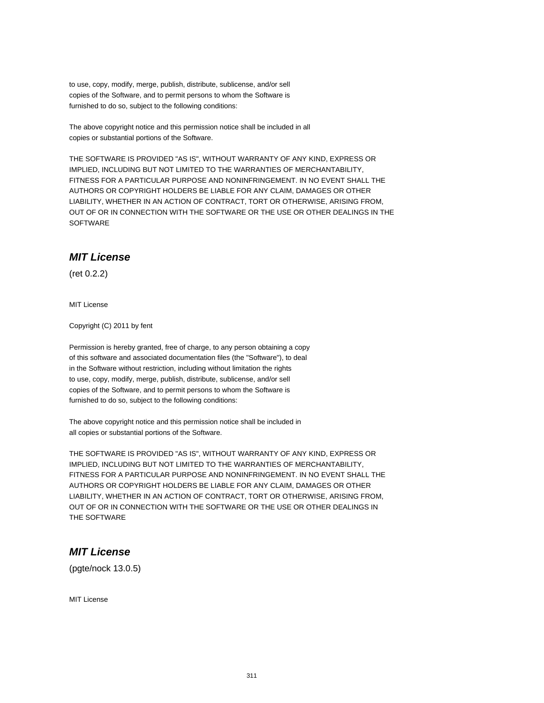to use, copy, modify, merge, publish, distribute, sublicense, and/or sell copies of the Software, and to permit persons to whom the Software is furnished to do so, subject to the following conditions:

The above copyright notice and this permission notice shall be included in all copies or substantial portions of the Software.

THE SOFTWARE IS PROVIDED "AS IS", WITHOUT WARRANTY OF ANY KIND, EXPRESS OR IMPLIED, INCLUDING BUT NOT LIMITED TO THE WARRANTIES OF MERCHANTABILITY, FITNESS FOR A PARTICULAR PURPOSE AND NONINFRINGEMENT. IN NO EVENT SHALL THE AUTHORS OR COPYRIGHT HOLDERS BE LIABLE FOR ANY CLAIM, DAMAGES OR OTHER LIABILITY, WHETHER IN AN ACTION OF CONTRACT, TORT OR OTHERWISE, ARISING FROM, OUT OF OR IN CONNECTION WITH THE SOFTWARE OR THE USE OR OTHER DEALINGS IN THE **SOFTWARE** 

### **MIT License**

(ret 0.2.2)

MIT License

Copyright (C) 2011 by fent

Permission is hereby granted, free of charge, to any person obtaining a copy of this software and associated documentation files (the "Software"), to deal in the Software without restriction, including without limitation the rights to use, copy, modify, merge, publish, distribute, sublicense, and/or sell copies of the Software, and to permit persons to whom the Software is furnished to do so, subject to the following conditions:

The above copyright notice and this permission notice shall be included in all copies or substantial portions of the Software.

THE SOFTWARE IS PROVIDED "AS IS", WITHOUT WARRANTY OF ANY KIND, EXPRESS OR IMPLIED, INCLUDING BUT NOT LIMITED TO THE WARRANTIES OF MERCHANTABILITY, FITNESS FOR A PARTICULAR PURPOSE AND NONINFRINGEMENT. IN NO EVENT SHALL THE AUTHORS OR COPYRIGHT HOLDERS BE LIABLE FOR ANY CLAIM, DAMAGES OR OTHER LIABILITY, WHETHER IN AN ACTION OF CONTRACT, TORT OR OTHERWISE, ARISING FROM, OUT OF OR IN CONNECTION WITH THE SOFTWARE OR THE USE OR OTHER DEALINGS IN THE SOFTWARE

#### **MIT License**

(pgte/nock 13.0.5)

MIT License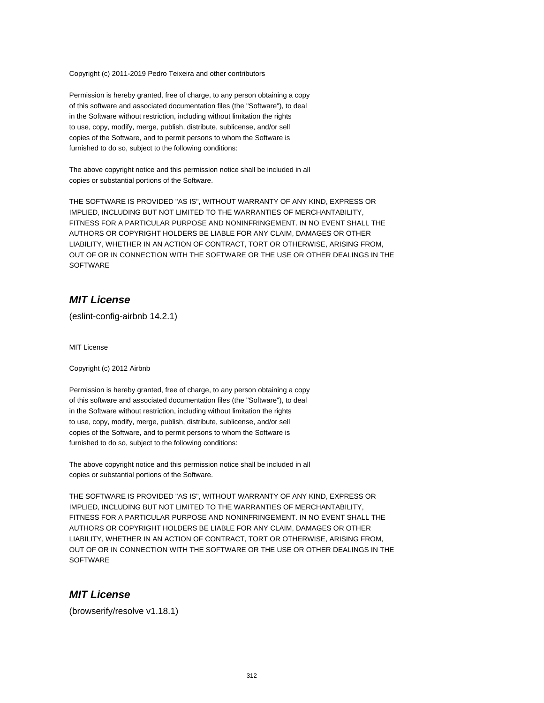Copyright (c) 2011-2019 Pedro Teixeira and other contributors

Permission is hereby granted, free of charge, to any person obtaining a copy of this software and associated documentation files (the "Software"), to deal in the Software without restriction, including without limitation the rights to use, copy, modify, merge, publish, distribute, sublicense, and/or sell copies of the Software, and to permit persons to whom the Software is furnished to do so, subject to the following conditions:

The above copyright notice and this permission notice shall be included in all copies or substantial portions of the Software.

THE SOFTWARE IS PROVIDED "AS IS", WITHOUT WARRANTY OF ANY KIND, EXPRESS OR IMPLIED, INCLUDING BUT NOT LIMITED TO THE WARRANTIES OF MERCHANTABILITY, FITNESS FOR A PARTICULAR PURPOSE AND NONINFRINGEMENT. IN NO EVENT SHALL THE AUTHORS OR COPYRIGHT HOLDERS BE LIABLE FOR ANY CLAIM, DAMAGES OR OTHER LIABILITY, WHETHER IN AN ACTION OF CONTRACT, TORT OR OTHERWISE, ARISING FROM, OUT OF OR IN CONNECTION WITH THE SOFTWARE OR THE USE OR OTHER DEALINGS IN THE **SOFTWARE** 

### **MIT License**

(eslint-config-airbnb 14.2.1)

MIT License

Copyright (c) 2012 Airbnb

Permission is hereby granted, free of charge, to any person obtaining a copy of this software and associated documentation files (the "Software"), to deal in the Software without restriction, including without limitation the rights to use, copy, modify, merge, publish, distribute, sublicense, and/or sell copies of the Software, and to permit persons to whom the Software is furnished to do so, subject to the following conditions:

The above copyright notice and this permission notice shall be included in all copies or substantial portions of the Software.

THE SOFTWARE IS PROVIDED "AS IS", WITHOUT WARRANTY OF ANY KIND, EXPRESS OR IMPLIED, INCLUDING BUT NOT LIMITED TO THE WARRANTIES OF MERCHANTABILITY, FITNESS FOR A PARTICULAR PURPOSE AND NONINFRINGEMENT. IN NO EVENT SHALL THE AUTHORS OR COPYRIGHT HOLDERS BE LIABLE FOR ANY CLAIM, DAMAGES OR OTHER LIABILITY, WHETHER IN AN ACTION OF CONTRACT, TORT OR OTHERWISE, ARISING FROM, OUT OF OR IN CONNECTION WITH THE SOFTWARE OR THE USE OR OTHER DEALINGS IN THE **SOFTWARE** 

### **MIT License**

(browserify/resolve v1.18.1)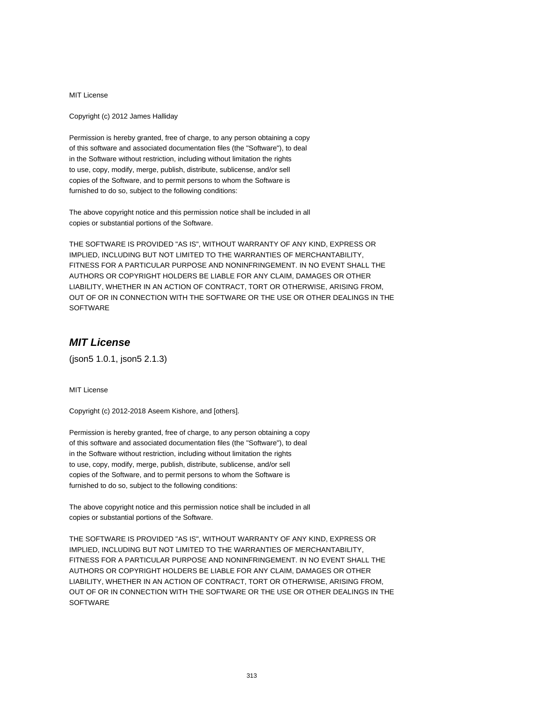MIT License

Copyright (c) 2012 James Halliday

Permission is hereby granted, free of charge, to any person obtaining a copy of this software and associated documentation files (the "Software"), to deal in the Software without restriction, including without limitation the rights to use, copy, modify, merge, publish, distribute, sublicense, and/or sell copies of the Software, and to permit persons to whom the Software is furnished to do so, subject to the following conditions:

The above copyright notice and this permission notice shall be included in all copies or substantial portions of the Software.

THE SOFTWARE IS PROVIDED "AS IS", WITHOUT WARRANTY OF ANY KIND, EXPRESS OR IMPLIED, INCLUDING BUT NOT LIMITED TO THE WARRANTIES OF MERCHANTABILITY, FITNESS FOR A PARTICULAR PURPOSE AND NONINFRINGEMENT. IN NO EVENT SHALL THE AUTHORS OR COPYRIGHT HOLDERS BE LIABLE FOR ANY CLAIM, DAMAGES OR OTHER LIABILITY, WHETHER IN AN ACTION OF CONTRACT, TORT OR OTHERWISE, ARISING FROM, OUT OF OR IN CONNECTION WITH THE SOFTWARE OR THE USE OR OTHER DEALINGS IN THE **SOFTWARE** 

# **MIT License**

(json5 1.0.1, json5 2.1.3)

MIT License

Copyright (c) 2012-2018 Aseem Kishore, and [others].

Permission is hereby granted, free of charge, to any person obtaining a copy of this software and associated documentation files (the "Software"), to deal in the Software without restriction, including without limitation the rights to use, copy, modify, merge, publish, distribute, sublicense, and/or sell copies of the Software, and to permit persons to whom the Software is furnished to do so, subject to the following conditions:

The above copyright notice and this permission notice shall be included in all copies or substantial portions of the Software.

THE SOFTWARE IS PROVIDED "AS IS", WITHOUT WARRANTY OF ANY KIND, EXPRESS OR IMPLIED, INCLUDING BUT NOT LIMITED TO THE WARRANTIES OF MERCHANTABILITY, FITNESS FOR A PARTICULAR PURPOSE AND NONINFRINGEMENT. IN NO EVENT SHALL THE AUTHORS OR COPYRIGHT HOLDERS BE LIABLE FOR ANY CLAIM, DAMAGES OR OTHER LIABILITY, WHETHER IN AN ACTION OF CONTRACT, TORT OR OTHERWISE, ARISING FROM, OUT OF OR IN CONNECTION WITH THE SOFTWARE OR THE USE OR OTHER DEALINGS IN THE **SOFTWARE**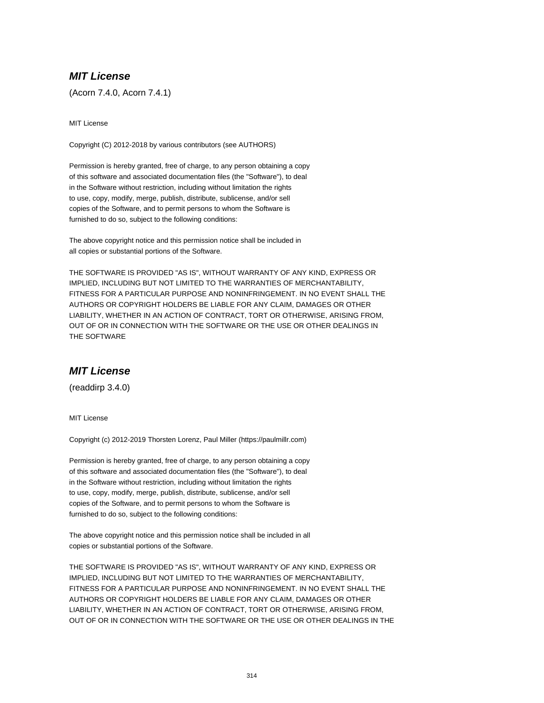# **MIT License**

(Acorn 7.4.0, Acorn 7.4.1)

MIT License

Copyright (C) 2012-2018 by various contributors (see AUTHORS)

Permission is hereby granted, free of charge, to any person obtaining a copy of this software and associated documentation files (the "Software"), to deal in the Software without restriction, including without limitation the rights to use, copy, modify, merge, publish, distribute, sublicense, and/or sell copies of the Software, and to permit persons to whom the Software is furnished to do so, subject to the following conditions:

The above copyright notice and this permission notice shall be included in all copies or substantial portions of the Software.

THE SOFTWARE IS PROVIDED "AS IS", WITHOUT WARRANTY OF ANY KIND, EXPRESS OR IMPLIED, INCLUDING BUT NOT LIMITED TO THE WARRANTIES OF MERCHANTABILITY, FITNESS FOR A PARTICULAR PURPOSE AND NONINFRINGEMENT. IN NO EVENT SHALL THE AUTHORS OR COPYRIGHT HOLDERS BE LIABLE FOR ANY CLAIM, DAMAGES OR OTHER LIABILITY, WHETHER IN AN ACTION OF CONTRACT, TORT OR OTHERWISE, ARISING FROM, OUT OF OR IN CONNECTION WITH THE SOFTWARE OR THE USE OR OTHER DEALINGS IN THE SOFTWARE

# **MIT License**

(readdirp 3.4.0)

MIT License

Copyright (c) 2012-2019 Thorsten Lorenz, Paul Miller (https://paulmillr.com)

Permission is hereby granted, free of charge, to any person obtaining a copy of this software and associated documentation files (the "Software"), to deal in the Software without restriction, including without limitation the rights to use, copy, modify, merge, publish, distribute, sublicense, and/or sell copies of the Software, and to permit persons to whom the Software is furnished to do so, subject to the following conditions:

The above copyright notice and this permission notice shall be included in all copies or substantial portions of the Software.

THE SOFTWARE IS PROVIDED "AS IS", WITHOUT WARRANTY OF ANY KIND, EXPRESS OR IMPLIED, INCLUDING BUT NOT LIMITED TO THE WARRANTIES OF MERCHANTABILITY, FITNESS FOR A PARTICULAR PURPOSE AND NONINFRINGEMENT. IN NO EVENT SHALL THE AUTHORS OR COPYRIGHT HOLDERS BE LIABLE FOR ANY CLAIM, DAMAGES OR OTHER LIABILITY, WHETHER IN AN ACTION OF CONTRACT, TORT OR OTHERWISE, ARISING FROM, OUT OF OR IN CONNECTION WITH THE SOFTWARE OR THE USE OR OTHER DEALINGS IN THE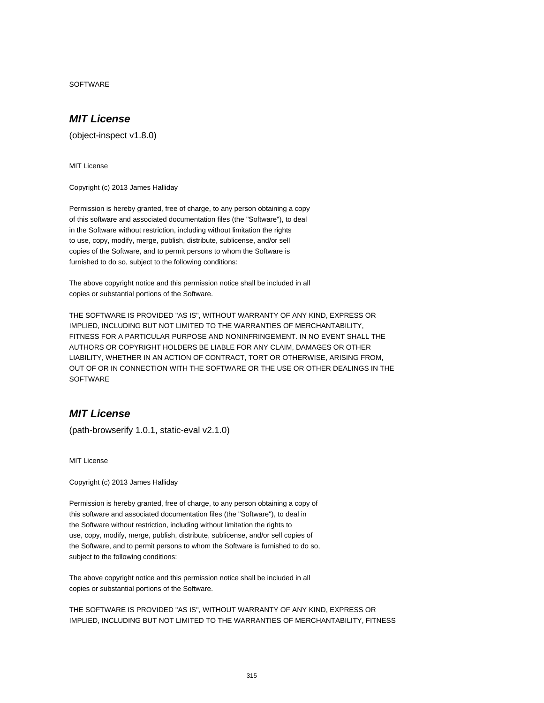SOFTWARE

# **MIT License**

(object-inspect v1.8.0)

MIT License

Copyright (c) 2013 James Halliday

Permission is hereby granted, free of charge, to any person obtaining a copy of this software and associated documentation files (the "Software"), to deal in the Software without restriction, including without limitation the rights to use, copy, modify, merge, publish, distribute, sublicense, and/or sell copies of the Software, and to permit persons to whom the Software is furnished to do so, subject to the following conditions:

The above copyright notice and this permission notice shall be included in all copies or substantial portions of the Software.

THE SOFTWARE IS PROVIDED "AS IS", WITHOUT WARRANTY OF ANY KIND, EXPRESS OR IMPLIED, INCLUDING BUT NOT LIMITED TO THE WARRANTIES OF MERCHANTABILITY, FITNESS FOR A PARTICULAR PURPOSE AND NONINFRINGEMENT. IN NO EVENT SHALL THE AUTHORS OR COPYRIGHT HOLDERS BE LIABLE FOR ANY CLAIM, DAMAGES OR OTHER LIABILITY, WHETHER IN AN ACTION OF CONTRACT, TORT OR OTHERWISE, ARISING FROM, OUT OF OR IN CONNECTION WITH THE SOFTWARE OR THE USE OR OTHER DEALINGS IN THE **SOFTWARE** 

# **MIT License**

(path-browserify 1.0.1, static-eval v2.1.0)

MIT License

Copyright (c) 2013 James Halliday

Permission is hereby granted, free of charge, to any person obtaining a copy of this software and associated documentation files (the "Software"), to deal in the Software without restriction, including without limitation the rights to use, copy, modify, merge, publish, distribute, sublicense, and/or sell copies of the Software, and to permit persons to whom the Software is furnished to do so, subject to the following conditions:

The above copyright notice and this permission notice shall be included in all copies or substantial portions of the Software.

THE SOFTWARE IS PROVIDED "AS IS", WITHOUT WARRANTY OF ANY KIND, EXPRESS OR IMPLIED, INCLUDING BUT NOT LIMITED TO THE WARRANTIES OF MERCHANTABILITY, FITNESS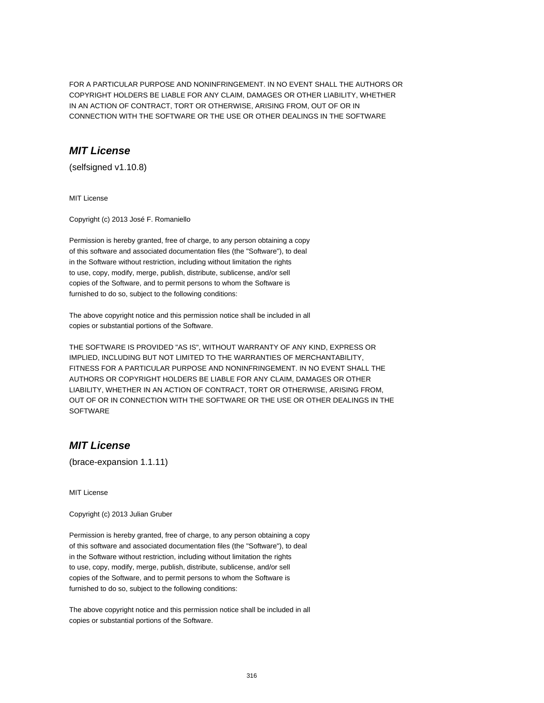FOR A PARTICULAR PURPOSE AND NONINFRINGEMENT. IN NO EVENT SHALL THE AUTHORS OR COPYRIGHT HOLDERS BE LIABLE FOR ANY CLAIM, DAMAGES OR OTHER LIABILITY, WHETHER IN AN ACTION OF CONTRACT, TORT OR OTHERWISE, ARISING FROM, OUT OF OR IN CONNECTION WITH THE SOFTWARE OR THE USE OR OTHER DEALINGS IN THE SOFTWARE

### **MIT License**

(selfsigned v1.10.8)

MIT License

Copyright (c) 2013 José F. Romaniello

Permission is hereby granted, free of charge, to any person obtaining a copy of this software and associated documentation files (the "Software"), to deal in the Software without restriction, including without limitation the rights to use, copy, modify, merge, publish, distribute, sublicense, and/or sell copies of the Software, and to permit persons to whom the Software is furnished to do so, subject to the following conditions:

The above copyright notice and this permission notice shall be included in all copies or substantial portions of the Software.

THE SOFTWARE IS PROVIDED "AS IS", WITHOUT WARRANTY OF ANY KIND, EXPRESS OR IMPLIED, INCLUDING BUT NOT LIMITED TO THE WARRANTIES OF MERCHANTABILITY, FITNESS FOR A PARTICULAR PURPOSE AND NONINFRINGEMENT. IN NO EVENT SHALL THE AUTHORS OR COPYRIGHT HOLDERS BE LIABLE FOR ANY CLAIM, DAMAGES OR OTHER LIABILITY, WHETHER IN AN ACTION OF CONTRACT, TORT OR OTHERWISE, ARISING FROM, OUT OF OR IN CONNECTION WITH THE SOFTWARE OR THE USE OR OTHER DEALINGS IN THE **SOFTWARE** 

### **MIT License**

(brace-expansion 1.1.11)

MIT License

Copyright (c) 2013 Julian Gruber

Permission is hereby granted, free of charge, to any person obtaining a copy of this software and associated documentation files (the "Software"), to deal in the Software without restriction, including without limitation the rights to use, copy, modify, merge, publish, distribute, sublicense, and/or sell copies of the Software, and to permit persons to whom the Software is furnished to do so, subject to the following conditions:

The above copyright notice and this permission notice shall be included in all copies or substantial portions of the Software.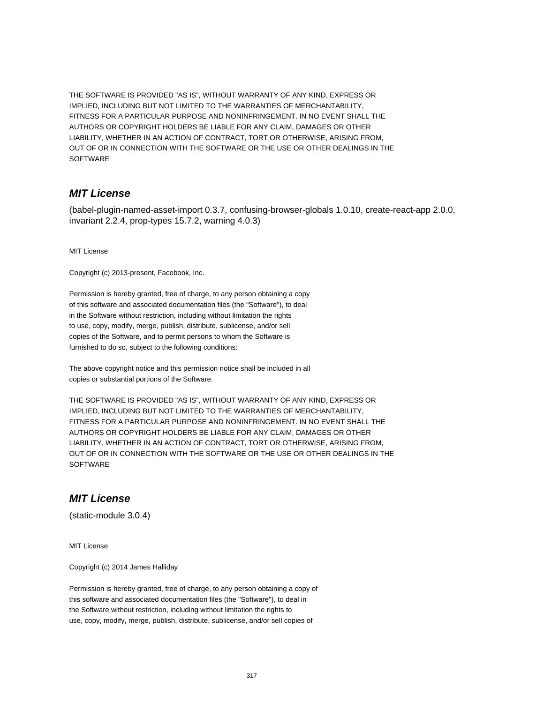THE SOFTWARE IS PROVIDED "AS IS", WITHOUT WARRANTY OF ANY KIND, EXPRESS OR IMPLIED, INCLUDING BUT NOT LIMITED TO THE WARRANTIES OF MERCHANTABILITY, FITNESS FOR A PARTICULAR PURPOSE AND NONINFRINGEMENT. IN NO EVENT SHALL THE AUTHORS OR COPYRIGHT HOLDERS BE LIABLE FOR ANY CLAIM, DAMAGES OR OTHER LIABILITY, WHETHER IN AN ACTION OF CONTRACT, TORT OR OTHERWISE, ARISING FROM, OUT OF OR IN CONNECTION WITH THE SOFTWARE OR THE USE OR OTHER DEALINGS IN THE **SOFTWARE** 

### **MIT License**

(babel-plugin-named-asset-import 0.3.7, confusing-browser-globals 1.0.10, create-react-app 2.0.0, invariant 2.2.4, prop-types 15.7.2, warning 4.0.3)

MIT License

Copyright (c) 2013-present, Facebook, Inc.

Permission is hereby granted, free of charge, to any person obtaining a copy of this software and associated documentation files (the "Software"), to deal in the Software without restriction, including without limitation the rights to use, copy, modify, merge, publish, distribute, sublicense, and/or sell copies of the Software, and to permit persons to whom the Software is furnished to do so, subject to the following conditions:

The above copyright notice and this permission notice shall be included in all copies or substantial portions of the Software.

THE SOFTWARE IS PROVIDED "AS IS", WITHOUT WARRANTY OF ANY KIND, EXPRESS OR IMPLIED, INCLUDING BUT NOT LIMITED TO THE WARRANTIES OF MERCHANTABILITY, FITNESS FOR A PARTICULAR PURPOSE AND NONINFRINGEMENT. IN NO EVENT SHALL THE AUTHORS OR COPYRIGHT HOLDERS BE LIABLE FOR ANY CLAIM, DAMAGES OR OTHER LIABILITY, WHETHER IN AN ACTION OF CONTRACT, TORT OR OTHERWISE, ARISING FROM, OUT OF OR IN CONNECTION WITH THE SOFTWARE OR THE USE OR OTHER DEALINGS IN THE **SOFTWARE** 

### **MIT License**

(static-module 3.0.4)

MIT License

Copyright (c) 2014 James Halliday

Permission is hereby granted, free of charge, to any person obtaining a copy of this software and associated documentation files (the "Software"), to deal in the Software without restriction, including without limitation the rights to use, copy, modify, merge, publish, distribute, sublicense, and/or sell copies of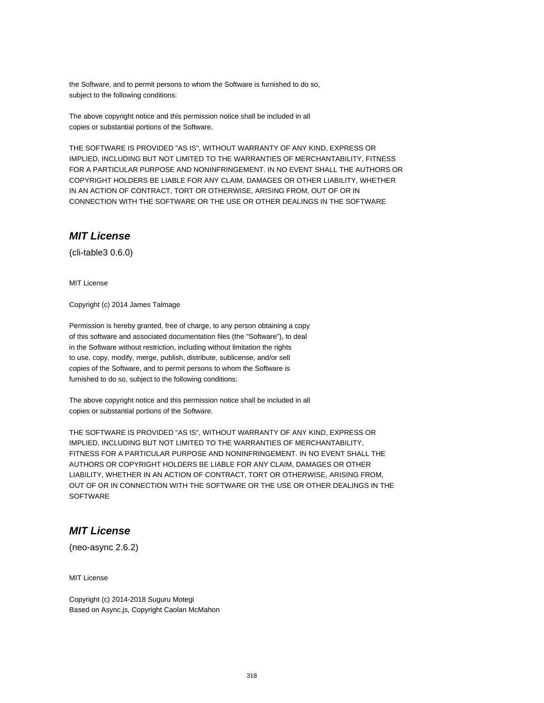the Software, and to permit persons to whom the Software is furnished to do so, subject to the following conditions:

The above copyright notice and this permission notice shall be included in all copies or substantial portions of the Software.

THE SOFTWARE IS PROVIDED "AS IS", WITHOUT WARRANTY OF ANY KIND, EXPRESS OR IMPLIED, INCLUDING BUT NOT LIMITED TO THE WARRANTIES OF MERCHANTABILITY, FITNESS FOR A PARTICULAR PURPOSE AND NONINFRINGEMENT. IN NO EVENT SHALL THE AUTHORS OR COPYRIGHT HOLDERS BE LIABLE FOR ANY CLAIM, DAMAGES OR OTHER LIABILITY, WHETHER IN AN ACTION OF CONTRACT, TORT OR OTHERWISE, ARISING FROM, OUT OF OR IN CONNECTION WITH THE SOFTWARE OR THE USE OR OTHER DEALINGS IN THE SOFTWARE

### **MIT License**

(cli-table3 0.6.0)

MIT License

Copyright (c) 2014 James Talmage

Permission is hereby granted, free of charge, to any person obtaining a copy of this software and associated documentation files (the "Software"), to deal in the Software without restriction, including without limitation the rights to use, copy, modify, merge, publish, distribute, sublicense, and/or sell copies of the Software, and to permit persons to whom the Software is furnished to do so, subject to the following conditions:

The above copyright notice and this permission notice shall be included in all copies or substantial portions of the Software.

THE SOFTWARE IS PROVIDED "AS IS", WITHOUT WARRANTY OF ANY KIND, EXPRESS OR IMPLIED, INCLUDING BUT NOT LIMITED TO THE WARRANTIES OF MERCHANTABILITY, FITNESS FOR A PARTICULAR PURPOSE AND NONINFRINGEMENT. IN NO EVENT SHALL THE AUTHORS OR COPYRIGHT HOLDERS BE LIABLE FOR ANY CLAIM, DAMAGES OR OTHER LIABILITY, WHETHER IN AN ACTION OF CONTRACT, TORT OR OTHERWISE, ARISING FROM, OUT OF OR IN CONNECTION WITH THE SOFTWARE OR THE USE OR OTHER DEALINGS IN THE **SOFTWARE** 

# **MIT License**

(neo-async 2.6.2)

MIT License

Copyright (c) 2014-2018 Suguru Motegi Based on Async.js, Copyright Caolan McMahon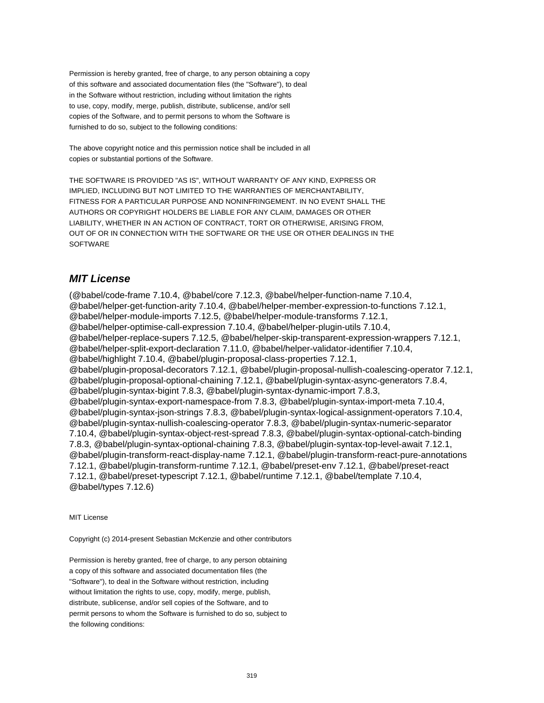Permission is hereby granted, free of charge, to any person obtaining a copy of this software and associated documentation files (the "Software"), to deal in the Software without restriction, including without limitation the rights to use, copy, modify, merge, publish, distribute, sublicense, and/or sell copies of the Software, and to permit persons to whom the Software is furnished to do so, subject to the following conditions:

The above copyright notice and this permission notice shall be included in all copies or substantial portions of the Software.

THE SOFTWARE IS PROVIDED "AS IS", WITHOUT WARRANTY OF ANY KIND, EXPRESS OR IMPLIED, INCLUDING BUT NOT LIMITED TO THE WARRANTIES OF MERCHANTABILITY, FITNESS FOR A PARTICULAR PURPOSE AND NONINFRINGEMENT. IN NO EVENT SHALL THE AUTHORS OR COPYRIGHT HOLDERS BE LIABLE FOR ANY CLAIM, DAMAGES OR OTHER LIABILITY, WHETHER IN AN ACTION OF CONTRACT, TORT OR OTHERWISE, ARISING FROM, OUT OF OR IN CONNECTION WITH THE SOFTWARE OR THE USE OR OTHER DEALINGS IN THE SOFTWARE

# **MIT License**

(@babel/code-frame 7.10.4, @babel/core 7.12.3, @babel/helper-function-name 7.10.4, @babel/helper-get-function-arity 7.10.4, @babel/helper-member-expression-to-functions 7.12.1, @babel/helper-module-imports 7.12.5, @babel/helper-module-transforms 7.12.1, @babel/helper-optimise-call-expression 7.10.4, @babel/helper-plugin-utils 7.10.4, @babel/helper-replace-supers 7.12.5, @babel/helper-skip-transparent-expression-wrappers 7.12.1, @babel/helper-split-export-declaration 7.11.0, @babel/helper-validator-identifier 7.10.4, @babel/highlight 7.10.4, @babel/plugin-proposal-class-properties 7.12.1, @babel/plugin-proposal-decorators 7.12.1, @babel/plugin-proposal-nullish-coalescing-operator 7.12.1, @babel/plugin-proposal-optional-chaining 7.12.1, @babel/plugin-syntax-async-generators 7.8.4, @babel/plugin-syntax-bigint 7.8.3, @babel/plugin-syntax-dynamic-import 7.8.3, @babel/plugin-syntax-export-namespace-from 7.8.3, @babel/plugin-syntax-import-meta 7.10.4, @babel/plugin-syntax-json-strings 7.8.3, @babel/plugin-syntax-logical-assignment-operators 7.10.4, @babel/plugin-syntax-nullish-coalescing-operator 7.8.3, @babel/plugin-syntax-numeric-separator 7.10.4, @babel/plugin-syntax-object-rest-spread 7.8.3, @babel/plugin-syntax-optional-catch-binding 7.8.3, @babel/plugin-syntax-optional-chaining 7.8.3, @babel/plugin-syntax-top-level-await 7.12.1, @babel/plugin-transform-react-display-name 7.12.1, @babel/plugin-transform-react-pure-annotations 7.12.1, @babel/plugin-transform-runtime 7.12.1, @babel/preset-env 7.12.1, @babel/preset-react 7.12.1, @babel/preset-typescript 7.12.1, @babel/runtime 7.12.1, @babel/template 7.10.4, @babel/types 7.12.6)

MIT License

Copyright (c) 2014-present Sebastian McKenzie and other contributors

Permission is hereby granted, free of charge, to any person obtaining a copy of this software and associated documentation files (the "Software"), to deal in the Software without restriction, including without limitation the rights to use, copy, modify, merge, publish, distribute, sublicense, and/or sell copies of the Software, and to permit persons to whom the Software is furnished to do so, subject to the following conditions: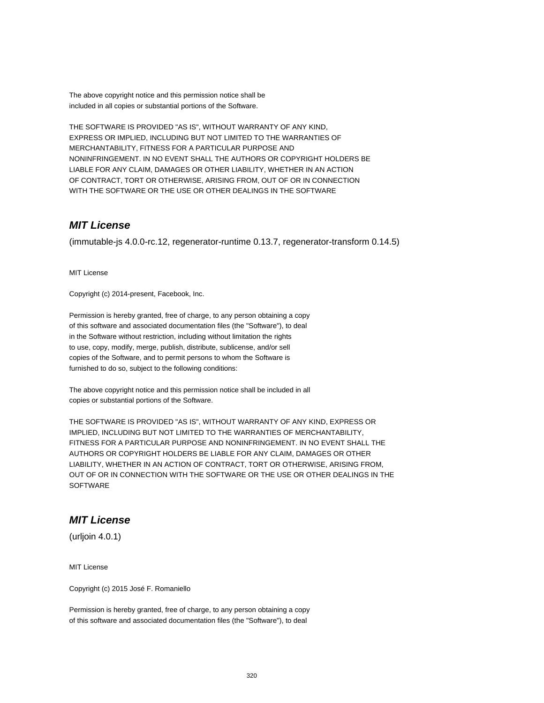The above copyright notice and this permission notice shall be included in all copies or substantial portions of the Software.

THE SOFTWARE IS PROVIDED "AS IS", WITHOUT WARRANTY OF ANY KIND, EXPRESS OR IMPLIED, INCLUDING BUT NOT LIMITED TO THE WARRANTIES OF MERCHANTABILITY, FITNESS FOR A PARTICULAR PURPOSE AND NONINFRINGEMENT. IN NO EVENT SHALL THE AUTHORS OR COPYRIGHT HOLDERS BE LIABLE FOR ANY CLAIM, DAMAGES OR OTHER LIABILITY, WHETHER IN AN ACTION OF CONTRACT, TORT OR OTHERWISE, ARISING FROM, OUT OF OR IN CONNECTION WITH THE SOFTWARE OR THE USE OR OTHER DEALINGS IN THE SOFTWARE

### **MIT License**

(immutable-js 4.0.0-rc.12, regenerator-runtime 0.13.7, regenerator-transform 0.14.5)

MIT License

Copyright (c) 2014-present, Facebook, Inc.

Permission is hereby granted, free of charge, to any person obtaining a copy of this software and associated documentation files (the "Software"), to deal in the Software without restriction, including without limitation the rights to use, copy, modify, merge, publish, distribute, sublicense, and/or sell copies of the Software, and to permit persons to whom the Software is furnished to do so, subject to the following conditions:

The above copyright notice and this permission notice shall be included in all copies or substantial portions of the Software.

THE SOFTWARE IS PROVIDED "AS IS", WITHOUT WARRANTY OF ANY KIND, EXPRESS OR IMPLIED, INCLUDING BUT NOT LIMITED TO THE WARRANTIES OF MERCHANTABILITY, FITNESS FOR A PARTICULAR PURPOSE AND NONINFRINGEMENT. IN NO EVENT SHALL THE AUTHORS OR COPYRIGHT HOLDERS BE LIABLE FOR ANY CLAIM, DAMAGES OR OTHER LIABILITY, WHETHER IN AN ACTION OF CONTRACT, TORT OR OTHERWISE, ARISING FROM, OUT OF OR IN CONNECTION WITH THE SOFTWARE OR THE USE OR OTHER DEALINGS IN THE **SOFTWARE** 

# **MIT License**

(urljoin 4.0.1)

MIT License

Copyright (c) 2015 José F. Romaniello

Permission is hereby granted, free of charge, to any person obtaining a copy of this software and associated documentation files (the "Software"), to deal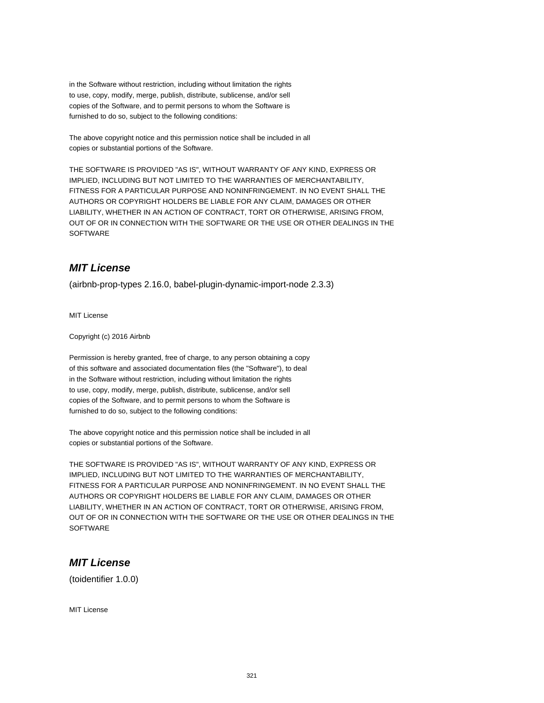in the Software without restriction, including without limitation the rights to use, copy, modify, merge, publish, distribute, sublicense, and/or sell copies of the Software, and to permit persons to whom the Software is furnished to do so, subject to the following conditions:

The above copyright notice and this permission notice shall be included in all copies or substantial portions of the Software.

THE SOFTWARE IS PROVIDED "AS IS", WITHOUT WARRANTY OF ANY KIND, EXPRESS OR IMPLIED, INCLUDING BUT NOT LIMITED TO THE WARRANTIES OF MERCHANTABILITY, FITNESS FOR A PARTICULAR PURPOSE AND NONINFRINGEMENT. IN NO EVENT SHALL THE AUTHORS OR COPYRIGHT HOLDERS BE LIABLE FOR ANY CLAIM, DAMAGES OR OTHER LIABILITY, WHETHER IN AN ACTION OF CONTRACT, TORT OR OTHERWISE, ARISING FROM, OUT OF OR IN CONNECTION WITH THE SOFTWARE OR THE USE OR OTHER DEALINGS IN THE SOFTWARE

# **MIT License**

(airbnb-prop-types 2.16.0, babel-plugin-dynamic-import-node 2.3.3)

MIT License

Copyright (c) 2016 Airbnb

Permission is hereby granted, free of charge, to any person obtaining a copy of this software and associated documentation files (the "Software"), to deal in the Software without restriction, including without limitation the rights to use, copy, modify, merge, publish, distribute, sublicense, and/or sell copies of the Software, and to permit persons to whom the Software is furnished to do so, subject to the following conditions:

The above copyright notice and this permission notice shall be included in all copies or substantial portions of the Software.

THE SOFTWARE IS PROVIDED "AS IS", WITHOUT WARRANTY OF ANY KIND, EXPRESS OR IMPLIED, INCLUDING BUT NOT LIMITED TO THE WARRANTIES OF MERCHANTABILITY, FITNESS FOR A PARTICULAR PURPOSE AND NONINFRINGEMENT. IN NO EVENT SHALL THE AUTHORS OR COPYRIGHT HOLDERS BE LIABLE FOR ANY CLAIM, DAMAGES OR OTHER LIABILITY, WHETHER IN AN ACTION OF CONTRACT, TORT OR OTHERWISE, ARISING FROM, OUT OF OR IN CONNECTION WITH THE SOFTWARE OR THE USE OR OTHER DEALINGS IN THE **SOFTWARE** 

### **MIT License**

(toidentifier 1.0.0)

MIT License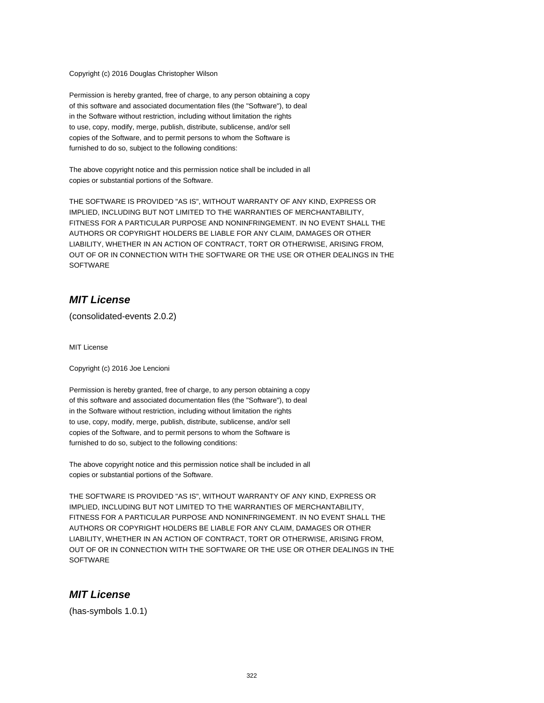Copyright (c) 2016 Douglas Christopher Wilson

Permission is hereby granted, free of charge, to any person obtaining a copy of this software and associated documentation files (the "Software"), to deal in the Software without restriction, including without limitation the rights to use, copy, modify, merge, publish, distribute, sublicense, and/or sell copies of the Software, and to permit persons to whom the Software is furnished to do so, subject to the following conditions:

The above copyright notice and this permission notice shall be included in all copies or substantial portions of the Software.

THE SOFTWARE IS PROVIDED "AS IS", WITHOUT WARRANTY OF ANY KIND, EXPRESS OR IMPLIED, INCLUDING BUT NOT LIMITED TO THE WARRANTIES OF MERCHANTABILITY, FITNESS FOR A PARTICULAR PURPOSE AND NONINFRINGEMENT. IN NO EVENT SHALL THE AUTHORS OR COPYRIGHT HOLDERS BE LIABLE FOR ANY CLAIM, DAMAGES OR OTHER LIABILITY, WHETHER IN AN ACTION OF CONTRACT, TORT OR OTHERWISE, ARISING FROM, OUT OF OR IN CONNECTION WITH THE SOFTWARE OR THE USE OR OTHER DEALINGS IN THE **SOFTWARE** 

### **MIT License**

(consolidated-events 2.0.2)

MIT License

Copyright (c) 2016 Joe Lencioni

Permission is hereby granted, free of charge, to any person obtaining a copy of this software and associated documentation files (the "Software"), to deal in the Software without restriction, including without limitation the rights to use, copy, modify, merge, publish, distribute, sublicense, and/or sell copies of the Software, and to permit persons to whom the Software is furnished to do so, subject to the following conditions:

The above copyright notice and this permission notice shall be included in all copies or substantial portions of the Software.

THE SOFTWARE IS PROVIDED "AS IS", WITHOUT WARRANTY OF ANY KIND, EXPRESS OR IMPLIED, INCLUDING BUT NOT LIMITED TO THE WARRANTIES OF MERCHANTABILITY, FITNESS FOR A PARTICULAR PURPOSE AND NONINFRINGEMENT. IN NO EVENT SHALL THE AUTHORS OR COPYRIGHT HOLDERS BE LIABLE FOR ANY CLAIM, DAMAGES OR OTHER LIABILITY, WHETHER IN AN ACTION OF CONTRACT, TORT OR OTHERWISE, ARISING FROM, OUT OF OR IN CONNECTION WITH THE SOFTWARE OR THE USE OR OTHER DEALINGS IN THE **SOFTWARE** 

### **MIT License**

(has-symbols 1.0.1)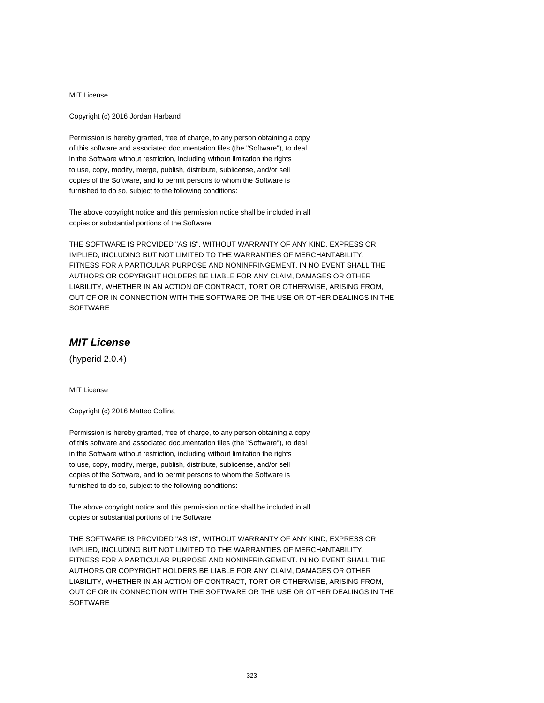MIT License

Copyright (c) 2016 Jordan Harband

Permission is hereby granted, free of charge, to any person obtaining a copy of this software and associated documentation files (the "Software"), to deal in the Software without restriction, including without limitation the rights to use, copy, modify, merge, publish, distribute, sublicense, and/or sell copies of the Software, and to permit persons to whom the Software is furnished to do so, subject to the following conditions:

The above copyright notice and this permission notice shall be included in all copies or substantial portions of the Software.

THE SOFTWARE IS PROVIDED "AS IS", WITHOUT WARRANTY OF ANY KIND, EXPRESS OR IMPLIED, INCLUDING BUT NOT LIMITED TO THE WARRANTIES OF MERCHANTABILITY, FITNESS FOR A PARTICULAR PURPOSE AND NONINFRINGEMENT. IN NO EVENT SHALL THE AUTHORS OR COPYRIGHT HOLDERS BE LIABLE FOR ANY CLAIM, DAMAGES OR OTHER LIABILITY, WHETHER IN AN ACTION OF CONTRACT, TORT OR OTHERWISE, ARISING FROM, OUT OF OR IN CONNECTION WITH THE SOFTWARE OR THE USE OR OTHER DEALINGS IN THE **SOFTWARE** 

# **MIT License**

(hyperid 2.0.4)

MIT License

Copyright (c) 2016 Matteo Collina

Permission is hereby granted, free of charge, to any person obtaining a copy of this software and associated documentation files (the "Software"), to deal in the Software without restriction, including without limitation the rights to use, copy, modify, merge, publish, distribute, sublicense, and/or sell copies of the Software, and to permit persons to whom the Software is furnished to do so, subject to the following conditions:

The above copyright notice and this permission notice shall be included in all copies or substantial portions of the Software.

THE SOFTWARE IS PROVIDED "AS IS", WITHOUT WARRANTY OF ANY KIND, EXPRESS OR IMPLIED, INCLUDING BUT NOT LIMITED TO THE WARRANTIES OF MERCHANTABILITY, FITNESS FOR A PARTICULAR PURPOSE AND NONINFRINGEMENT. IN NO EVENT SHALL THE AUTHORS OR COPYRIGHT HOLDERS BE LIABLE FOR ANY CLAIM, DAMAGES OR OTHER LIABILITY, WHETHER IN AN ACTION OF CONTRACT, TORT OR OTHERWISE, ARISING FROM, OUT OF OR IN CONNECTION WITH THE SOFTWARE OR THE USE OR OTHER DEALINGS IN THE **SOFTWARE**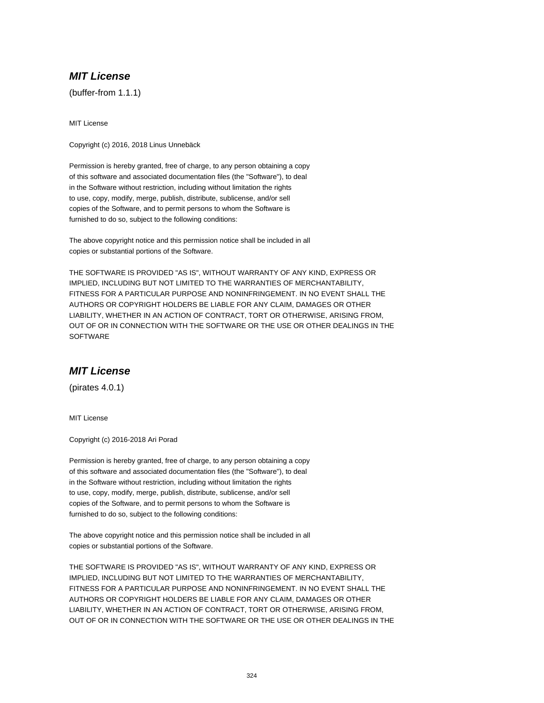# **MIT License**

(buffer-from 1.1.1)

MIT License

Copyright (c) 2016, 2018 Linus Unnebäck

Permission is hereby granted, free of charge, to any person obtaining a copy of this software and associated documentation files (the "Software"), to deal in the Software without restriction, including without limitation the rights to use, copy, modify, merge, publish, distribute, sublicense, and/or sell copies of the Software, and to permit persons to whom the Software is furnished to do so, subject to the following conditions:

The above copyright notice and this permission notice shall be included in all copies or substantial portions of the Software.

THE SOFTWARE IS PROVIDED "AS IS", WITHOUT WARRANTY OF ANY KIND, EXPRESS OR IMPLIED, INCLUDING BUT NOT LIMITED TO THE WARRANTIES OF MERCHANTABILITY, FITNESS FOR A PARTICULAR PURPOSE AND NONINFRINGEMENT. IN NO EVENT SHALL THE AUTHORS OR COPYRIGHT HOLDERS BE LIABLE FOR ANY CLAIM, DAMAGES OR OTHER LIABILITY, WHETHER IN AN ACTION OF CONTRACT, TORT OR OTHERWISE, ARISING FROM, OUT OF OR IN CONNECTION WITH THE SOFTWARE OR THE USE OR OTHER DEALINGS IN THE **SOFTWARE** 

# **MIT License**

(pirates 4.0.1)

MIT License

Copyright (c) 2016-2018 Ari Porad

Permission is hereby granted, free of charge, to any person obtaining a copy of this software and associated documentation files (the "Software"), to deal in the Software without restriction, including without limitation the rights to use, copy, modify, merge, publish, distribute, sublicense, and/or sell copies of the Software, and to permit persons to whom the Software is furnished to do so, subject to the following conditions:

The above copyright notice and this permission notice shall be included in all copies or substantial portions of the Software.

THE SOFTWARE IS PROVIDED "AS IS", WITHOUT WARRANTY OF ANY KIND, EXPRESS OR IMPLIED, INCLUDING BUT NOT LIMITED TO THE WARRANTIES OF MERCHANTABILITY, FITNESS FOR A PARTICULAR PURPOSE AND NONINFRINGEMENT. IN NO EVENT SHALL THE AUTHORS OR COPYRIGHT HOLDERS BE LIABLE FOR ANY CLAIM, DAMAGES OR OTHER LIABILITY, WHETHER IN AN ACTION OF CONTRACT, TORT OR OTHERWISE, ARISING FROM, OUT OF OR IN CONNECTION WITH THE SOFTWARE OR THE USE OR OTHER DEALINGS IN THE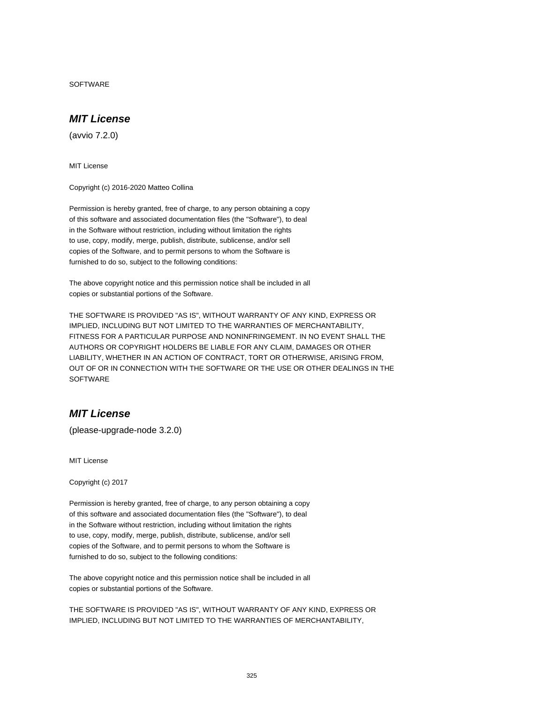SOFTWARE

# **MIT License**

(avvio 7.2.0)

MIT License

Copyright (c) 2016-2020 Matteo Collina

Permission is hereby granted, free of charge, to any person obtaining a copy of this software and associated documentation files (the "Software"), to deal in the Software without restriction, including without limitation the rights to use, copy, modify, merge, publish, distribute, sublicense, and/or sell copies of the Software, and to permit persons to whom the Software is furnished to do so, subject to the following conditions:

The above copyright notice and this permission notice shall be included in all copies or substantial portions of the Software.

THE SOFTWARE IS PROVIDED "AS IS", WITHOUT WARRANTY OF ANY KIND, EXPRESS OR IMPLIED, INCLUDING BUT NOT LIMITED TO THE WARRANTIES OF MERCHANTABILITY, FITNESS FOR A PARTICULAR PURPOSE AND NONINFRINGEMENT. IN NO EVENT SHALL THE AUTHORS OR COPYRIGHT HOLDERS BE LIABLE FOR ANY CLAIM, DAMAGES OR OTHER LIABILITY, WHETHER IN AN ACTION OF CONTRACT, TORT OR OTHERWISE, ARISING FROM, OUT OF OR IN CONNECTION WITH THE SOFTWARE OR THE USE OR OTHER DEALINGS IN THE **SOFTWARE** 

# **MIT License**

(please-upgrade-node 3.2.0)

MIT License

Copyright (c) 2017

Permission is hereby granted, free of charge, to any person obtaining a copy of this software and associated documentation files (the "Software"), to deal in the Software without restriction, including without limitation the rights to use, copy, modify, merge, publish, distribute, sublicense, and/or sell copies of the Software, and to permit persons to whom the Software is furnished to do so, subject to the following conditions:

The above copyright notice and this permission notice shall be included in all copies or substantial portions of the Software.

THE SOFTWARE IS PROVIDED "AS IS", WITHOUT WARRANTY OF ANY KIND, EXPRESS OR IMPLIED, INCLUDING BUT NOT LIMITED TO THE WARRANTIES OF MERCHANTABILITY,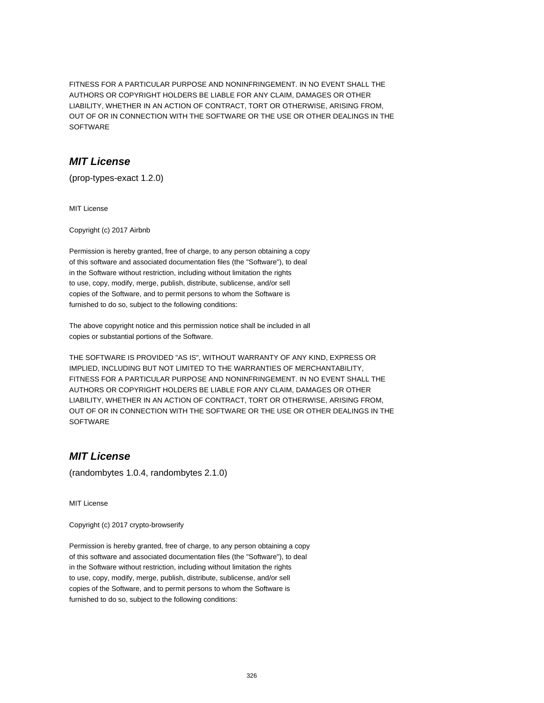FITNESS FOR A PARTICULAR PURPOSE AND NONINFRINGEMENT. IN NO EVENT SHALL THE AUTHORS OR COPYRIGHT HOLDERS BE LIABLE FOR ANY CLAIM, DAMAGES OR OTHER LIABILITY, WHETHER IN AN ACTION OF CONTRACT, TORT OR OTHERWISE, ARISING FROM, OUT OF OR IN CONNECTION WITH THE SOFTWARE OR THE USE OR OTHER DEALINGS IN THE SOFTWARE

### **MIT License**

(prop-types-exact 1.2.0)

MIT License

Copyright (c) 2017 Airbnb

Permission is hereby granted, free of charge, to any person obtaining a copy of this software and associated documentation files (the "Software"), to deal in the Software without restriction, including without limitation the rights to use, copy, modify, merge, publish, distribute, sublicense, and/or sell copies of the Software, and to permit persons to whom the Software is furnished to do so, subject to the following conditions:

The above copyright notice and this permission notice shall be included in all copies or substantial portions of the Software.

THE SOFTWARE IS PROVIDED "AS IS", WITHOUT WARRANTY OF ANY KIND, EXPRESS OR IMPLIED, INCLUDING BUT NOT LIMITED TO THE WARRANTIES OF MERCHANTABILITY, FITNESS FOR A PARTICULAR PURPOSE AND NONINFRINGEMENT. IN NO EVENT SHALL THE AUTHORS OR COPYRIGHT HOLDERS BE LIABLE FOR ANY CLAIM, DAMAGES OR OTHER LIABILITY, WHETHER IN AN ACTION OF CONTRACT, TORT OR OTHERWISE, ARISING FROM, OUT OF OR IN CONNECTION WITH THE SOFTWARE OR THE USE OR OTHER DEALINGS IN THE **SOFTWARE** 

# **MIT License**

(randombytes 1.0.4, randombytes 2.1.0)

MIT License

Copyright (c) 2017 crypto-browserify

Permission is hereby granted, free of charge, to any person obtaining a copy of this software and associated documentation files (the "Software"), to deal in the Software without restriction, including without limitation the rights to use, copy, modify, merge, publish, distribute, sublicense, and/or sell copies of the Software, and to permit persons to whom the Software is furnished to do so, subject to the following conditions: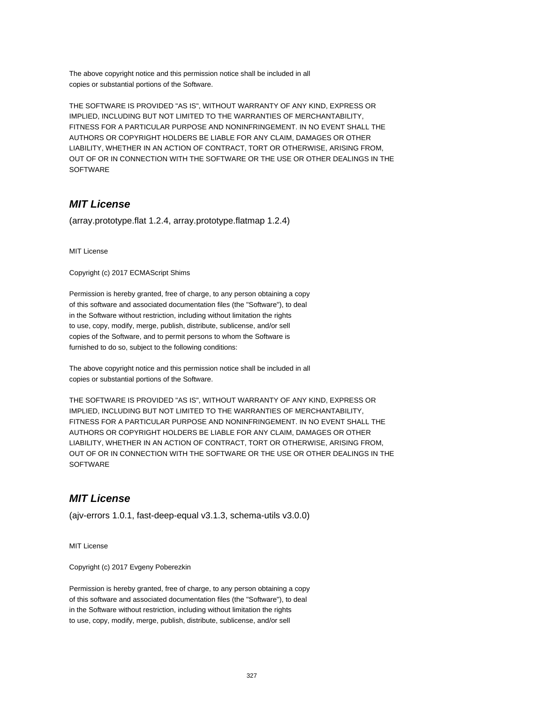The above copyright notice and this permission notice shall be included in all copies or substantial portions of the Software.

THE SOFTWARE IS PROVIDED "AS IS", WITHOUT WARRANTY OF ANY KIND, EXPRESS OR IMPLIED, INCLUDING BUT NOT LIMITED TO THE WARRANTIES OF MERCHANTABILITY, FITNESS FOR A PARTICULAR PURPOSE AND NONINFRINGEMENT. IN NO EVENT SHALL THE AUTHORS OR COPYRIGHT HOLDERS BE LIABLE FOR ANY CLAIM, DAMAGES OR OTHER LIABILITY, WHETHER IN AN ACTION OF CONTRACT, TORT OR OTHERWISE, ARISING FROM, OUT OF OR IN CONNECTION WITH THE SOFTWARE OR THE USE OR OTHER DEALINGS IN THE **SOFTWARE** 

# **MIT License**

(array.prototype.flat 1.2.4, array.prototype.flatmap 1.2.4)

MIT License

Copyright (c) 2017 ECMAScript Shims

Permission is hereby granted, free of charge, to any person obtaining a copy of this software and associated documentation files (the "Software"), to deal in the Software without restriction, including without limitation the rights to use, copy, modify, merge, publish, distribute, sublicense, and/or sell copies of the Software, and to permit persons to whom the Software is furnished to do so, subject to the following conditions:

The above copyright notice and this permission notice shall be included in all copies or substantial portions of the Software.

THE SOFTWARE IS PROVIDED "AS IS", WITHOUT WARRANTY OF ANY KIND, EXPRESS OR IMPLIED, INCLUDING BUT NOT LIMITED TO THE WARRANTIES OF MERCHANTABILITY, FITNESS FOR A PARTICULAR PURPOSE AND NONINFRINGEMENT. IN NO EVENT SHALL THE AUTHORS OR COPYRIGHT HOLDERS BE LIABLE FOR ANY CLAIM, DAMAGES OR OTHER LIABILITY, WHETHER IN AN ACTION OF CONTRACT, TORT OR OTHERWISE, ARISING FROM, OUT OF OR IN CONNECTION WITH THE SOFTWARE OR THE USE OR OTHER DEALINGS IN THE **SOFTWARE** 

# **MIT License**

(ajv-errors 1.0.1, fast-deep-equal v3.1.3, schema-utils v3.0.0)

MIT License

Copyright (c) 2017 Evgeny Poberezkin

Permission is hereby granted, free of charge, to any person obtaining a copy of this software and associated documentation files (the "Software"), to deal in the Software without restriction, including without limitation the rights to use, copy, modify, merge, publish, distribute, sublicense, and/or sell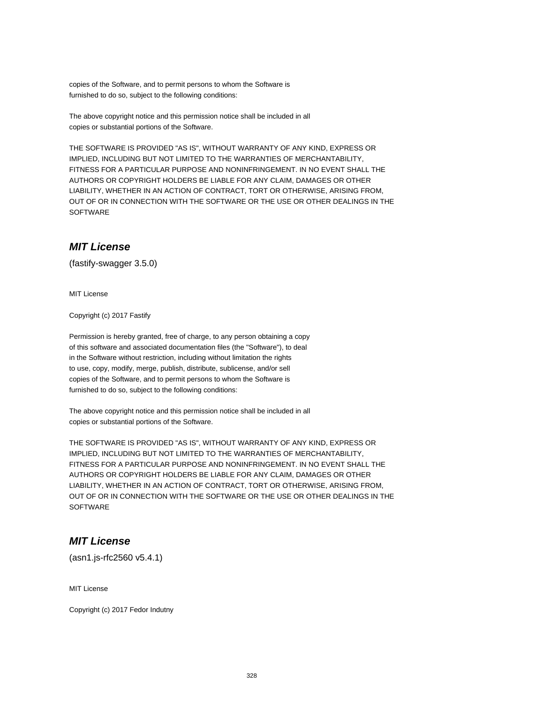copies of the Software, and to permit persons to whom the Software is furnished to do so, subject to the following conditions:

The above copyright notice and this permission notice shall be included in all copies or substantial portions of the Software.

THE SOFTWARE IS PROVIDED "AS IS", WITHOUT WARRANTY OF ANY KIND, EXPRESS OR IMPLIED, INCLUDING BUT NOT LIMITED TO THE WARRANTIES OF MERCHANTABILITY, FITNESS FOR A PARTICULAR PURPOSE AND NONINFRINGEMENT. IN NO EVENT SHALL THE AUTHORS OR COPYRIGHT HOLDERS BE LIABLE FOR ANY CLAIM, DAMAGES OR OTHER LIABILITY, WHETHER IN AN ACTION OF CONTRACT, TORT OR OTHERWISE, ARISING FROM, OUT OF OR IN CONNECTION WITH THE SOFTWARE OR THE USE OR OTHER DEALINGS IN THE **SOFTWARE** 

# **MIT License**

(fastify-swagger 3.5.0)

MIT License

Copyright (c) 2017 Fastify

Permission is hereby granted, free of charge, to any person obtaining a copy of this software and associated documentation files (the "Software"), to deal in the Software without restriction, including without limitation the rights to use, copy, modify, merge, publish, distribute, sublicense, and/or sell copies of the Software, and to permit persons to whom the Software is furnished to do so, subject to the following conditions:

The above copyright notice and this permission notice shall be included in all copies or substantial portions of the Software.

THE SOFTWARE IS PROVIDED "AS IS", WITHOUT WARRANTY OF ANY KIND, EXPRESS OR IMPLIED, INCLUDING BUT NOT LIMITED TO THE WARRANTIES OF MERCHANTABILITY, FITNESS FOR A PARTICULAR PURPOSE AND NONINFRINGEMENT. IN NO EVENT SHALL THE AUTHORS OR COPYRIGHT HOLDERS BE LIABLE FOR ANY CLAIM, DAMAGES OR OTHER LIABILITY, WHETHER IN AN ACTION OF CONTRACT, TORT OR OTHERWISE, ARISING FROM, OUT OF OR IN CONNECTION WITH THE SOFTWARE OR THE USE OR OTHER DEALINGS IN THE **SOFTWARE** 

### **MIT License**

(asn1.js-rfc2560 v5.4.1)

MIT License

Copyright (c) 2017 Fedor Indutny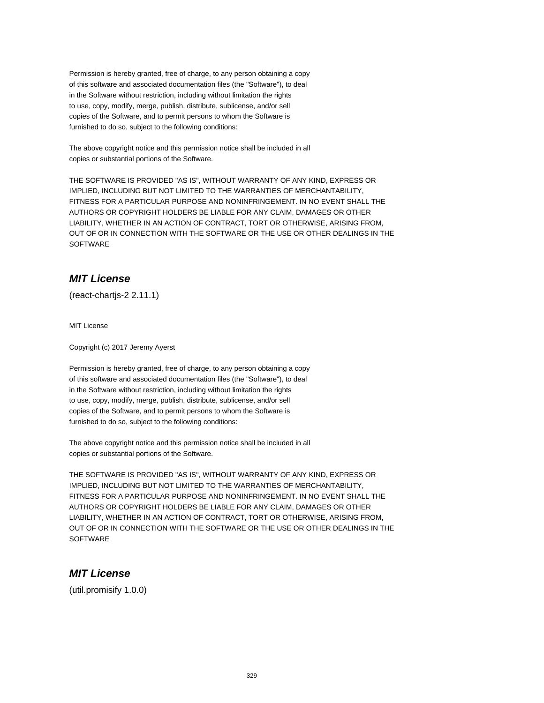Permission is hereby granted, free of charge, to any person obtaining a copy of this software and associated documentation files (the "Software"), to deal in the Software without restriction, including without limitation the rights to use, copy, modify, merge, publish, distribute, sublicense, and/or sell copies of the Software, and to permit persons to whom the Software is furnished to do so, subject to the following conditions:

The above copyright notice and this permission notice shall be included in all copies or substantial portions of the Software.

THE SOFTWARE IS PROVIDED "AS IS", WITHOUT WARRANTY OF ANY KIND, EXPRESS OR IMPLIED, INCLUDING BUT NOT LIMITED TO THE WARRANTIES OF MERCHANTABILITY, FITNESS FOR A PARTICULAR PURPOSE AND NONINFRINGEMENT. IN NO EVENT SHALL THE AUTHORS OR COPYRIGHT HOLDERS BE LIABLE FOR ANY CLAIM, DAMAGES OR OTHER LIABILITY, WHETHER IN AN ACTION OF CONTRACT, TORT OR OTHERWISE, ARISING FROM, OUT OF OR IN CONNECTION WITH THE SOFTWARE OR THE USE OR OTHER DEALINGS IN THE SOFTWARE

# **MIT License**

(react-chartjs-2 2.11.1)

MIT License

Copyright (c) 2017 Jeremy Ayerst

Permission is hereby granted, free of charge, to any person obtaining a copy of this software and associated documentation files (the "Software"), to deal in the Software without restriction, including without limitation the rights to use, copy, modify, merge, publish, distribute, sublicense, and/or sell copies of the Software, and to permit persons to whom the Software is furnished to do so, subject to the following conditions:

The above copyright notice and this permission notice shall be included in all copies or substantial portions of the Software.

THE SOFTWARE IS PROVIDED "AS IS", WITHOUT WARRANTY OF ANY KIND, EXPRESS OR IMPLIED, INCLUDING BUT NOT LIMITED TO THE WARRANTIES OF MERCHANTABILITY, FITNESS FOR A PARTICULAR PURPOSE AND NONINFRINGEMENT. IN NO EVENT SHALL THE AUTHORS OR COPYRIGHT HOLDERS BE LIABLE FOR ANY CLAIM, DAMAGES OR OTHER LIABILITY, WHETHER IN AN ACTION OF CONTRACT, TORT OR OTHERWISE, ARISING FROM, OUT OF OR IN CONNECTION WITH THE SOFTWARE OR THE USE OR OTHER DEALINGS IN THE **SOFTWARE** 

# **MIT License**

(util.promisify 1.0.0)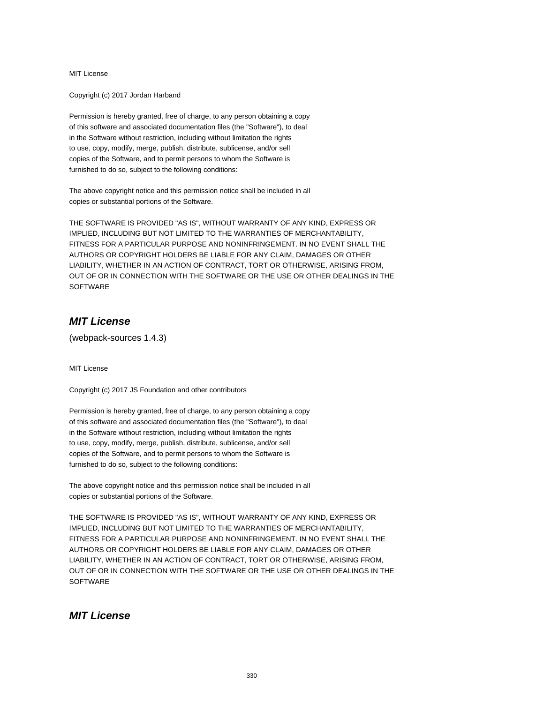Copyright (c) 2017 Jordan Harband

Permission is hereby granted, free of charge, to any person obtaining a copy of this software and associated documentation files (the "Software"), to deal in the Software without restriction, including without limitation the rights to use, copy, modify, merge, publish, distribute, sublicense, and/or sell copies of the Software, and to permit persons to whom the Software is furnished to do so, subject to the following conditions:

The above copyright notice and this permission notice shall be included in all copies or substantial portions of the Software.

THE SOFTWARE IS PROVIDED "AS IS", WITHOUT WARRANTY OF ANY KIND, EXPRESS OR IMPLIED, INCLUDING BUT NOT LIMITED TO THE WARRANTIES OF MERCHANTABILITY, FITNESS FOR A PARTICULAR PURPOSE AND NONINFRINGEMENT. IN NO EVENT SHALL THE AUTHORS OR COPYRIGHT HOLDERS BE LIABLE FOR ANY CLAIM, DAMAGES OR OTHER LIABILITY, WHETHER IN AN ACTION OF CONTRACT, TORT OR OTHERWISE, ARISING FROM, OUT OF OR IN CONNECTION WITH THE SOFTWARE OR THE USE OR OTHER DEALINGS IN THE **SOFTWARE** 

# **MIT License**

(webpack-sources 1.4.3)

MIT License

Copyright (c) 2017 JS Foundation and other contributors

Permission is hereby granted, free of charge, to any person obtaining a copy of this software and associated documentation files (the "Software"), to deal in the Software without restriction, including without limitation the rights to use, copy, modify, merge, publish, distribute, sublicense, and/or sell copies of the Software, and to permit persons to whom the Software is furnished to do so, subject to the following conditions:

The above copyright notice and this permission notice shall be included in all copies or substantial portions of the Software.

THE SOFTWARE IS PROVIDED "AS IS", WITHOUT WARRANTY OF ANY KIND, EXPRESS OR IMPLIED, INCLUDING BUT NOT LIMITED TO THE WARRANTIES OF MERCHANTABILITY, FITNESS FOR A PARTICULAR PURPOSE AND NONINFRINGEMENT. IN NO EVENT SHALL THE AUTHORS OR COPYRIGHT HOLDERS BE LIABLE FOR ANY CLAIM, DAMAGES OR OTHER LIABILITY, WHETHER IN AN ACTION OF CONTRACT, TORT OR OTHERWISE, ARISING FROM, OUT OF OR IN CONNECTION WITH THE SOFTWARE OR THE USE OR OTHER DEALINGS IN THE **SOFTWARE** 

### **MIT License**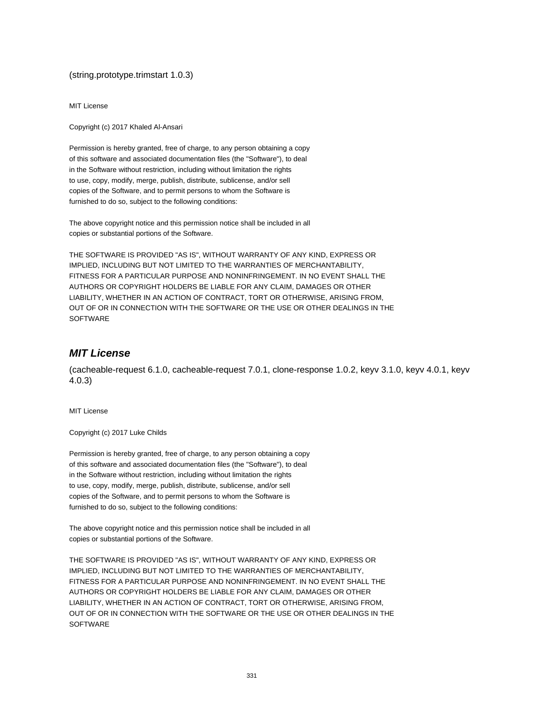#### (string.prototype.trimstart 1.0.3)

MIT License

Copyright (c) 2017 Khaled Al-Ansari

Permission is hereby granted, free of charge, to any person obtaining a copy of this software and associated documentation files (the "Software"), to deal in the Software without restriction, including without limitation the rights to use, copy, modify, merge, publish, distribute, sublicense, and/or sell copies of the Software, and to permit persons to whom the Software is furnished to do so, subject to the following conditions:

The above copyright notice and this permission notice shall be included in all copies or substantial portions of the Software.

THE SOFTWARE IS PROVIDED "AS IS", WITHOUT WARRANTY OF ANY KIND, EXPRESS OR IMPLIED, INCLUDING BUT NOT LIMITED TO THE WARRANTIES OF MERCHANTABILITY, FITNESS FOR A PARTICULAR PURPOSE AND NONINFRINGEMENT. IN NO EVENT SHALL THE AUTHORS OR COPYRIGHT HOLDERS BE LIABLE FOR ANY CLAIM, DAMAGES OR OTHER LIABILITY, WHETHER IN AN ACTION OF CONTRACT, TORT OR OTHERWISE, ARISING FROM, OUT OF OR IN CONNECTION WITH THE SOFTWARE OR THE USE OR OTHER DEALINGS IN THE SOFTWARE

### **MIT License**

(cacheable-request 6.1.0, cacheable-request 7.0.1, clone-response 1.0.2, keyv 3.1.0, keyv 4.0.1, keyv 4.0.3)

MIT License

Copyright (c) 2017 Luke Childs

Permission is hereby granted, free of charge, to any person obtaining a copy of this software and associated documentation files (the "Software"), to deal in the Software without restriction, including without limitation the rights to use, copy, modify, merge, publish, distribute, sublicense, and/or sell copies of the Software, and to permit persons to whom the Software is furnished to do so, subject to the following conditions:

The above copyright notice and this permission notice shall be included in all copies or substantial portions of the Software.

THE SOFTWARE IS PROVIDED "AS IS", WITHOUT WARRANTY OF ANY KIND, EXPRESS OR IMPLIED, INCLUDING BUT NOT LIMITED TO THE WARRANTIES OF MERCHANTABILITY, FITNESS FOR A PARTICULAR PURPOSE AND NONINFRINGEMENT. IN NO EVENT SHALL THE AUTHORS OR COPYRIGHT HOLDERS BE LIABLE FOR ANY CLAIM, DAMAGES OR OTHER LIABILITY, WHETHER IN AN ACTION OF CONTRACT, TORT OR OTHERWISE, ARISING FROM, OUT OF OR IN CONNECTION WITH THE SOFTWARE OR THE USE OR OTHER DEALINGS IN THE **SOFTWARE**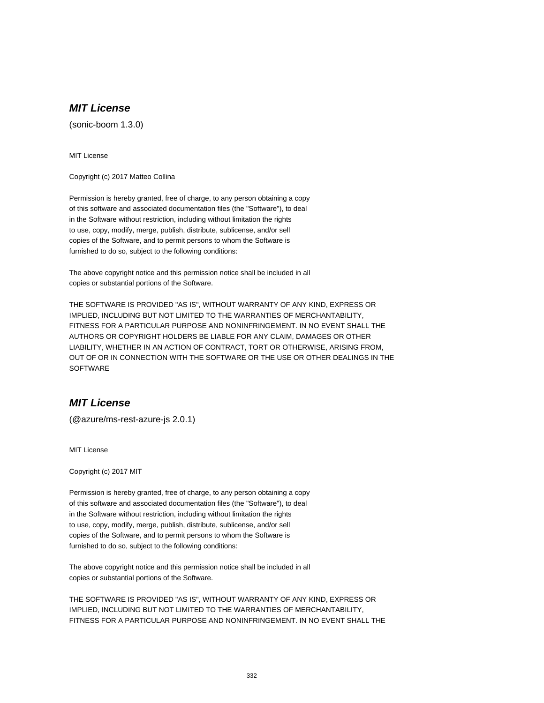(sonic-boom 1.3.0)

MIT License

Copyright (c) 2017 Matteo Collina

Permission is hereby granted, free of charge, to any person obtaining a copy of this software and associated documentation files (the "Software"), to deal in the Software without restriction, including without limitation the rights to use, copy, modify, merge, publish, distribute, sublicense, and/or sell copies of the Software, and to permit persons to whom the Software is furnished to do so, subject to the following conditions:

The above copyright notice and this permission notice shall be included in all copies or substantial portions of the Software.

THE SOFTWARE IS PROVIDED "AS IS", WITHOUT WARRANTY OF ANY KIND, EXPRESS OR IMPLIED, INCLUDING BUT NOT LIMITED TO THE WARRANTIES OF MERCHANTABILITY, FITNESS FOR A PARTICULAR PURPOSE AND NONINFRINGEMENT. IN NO EVENT SHALL THE AUTHORS OR COPYRIGHT HOLDERS BE LIABLE FOR ANY CLAIM, DAMAGES OR OTHER LIABILITY, WHETHER IN AN ACTION OF CONTRACT, TORT OR OTHERWISE, ARISING FROM, OUT OF OR IN CONNECTION WITH THE SOFTWARE OR THE USE OR OTHER DEALINGS IN THE **SOFTWARE** 

### **MIT License**

(@azure/ms-rest-azure-js 2.0.1)

MIT License

Copyright (c) 2017 MIT

Permission is hereby granted, free of charge, to any person obtaining a copy of this software and associated documentation files (the "Software"), to deal in the Software without restriction, including without limitation the rights to use, copy, modify, merge, publish, distribute, sublicense, and/or sell copies of the Software, and to permit persons to whom the Software is furnished to do so, subject to the following conditions:

The above copyright notice and this permission notice shall be included in all copies or substantial portions of the Software.

THE SOFTWARE IS PROVIDED "AS IS", WITHOUT WARRANTY OF ANY KIND, EXPRESS OR IMPLIED, INCLUDING BUT NOT LIMITED TO THE WARRANTIES OF MERCHANTABILITY, FITNESS FOR A PARTICULAR PURPOSE AND NONINFRINGEMENT. IN NO EVENT SHALL THE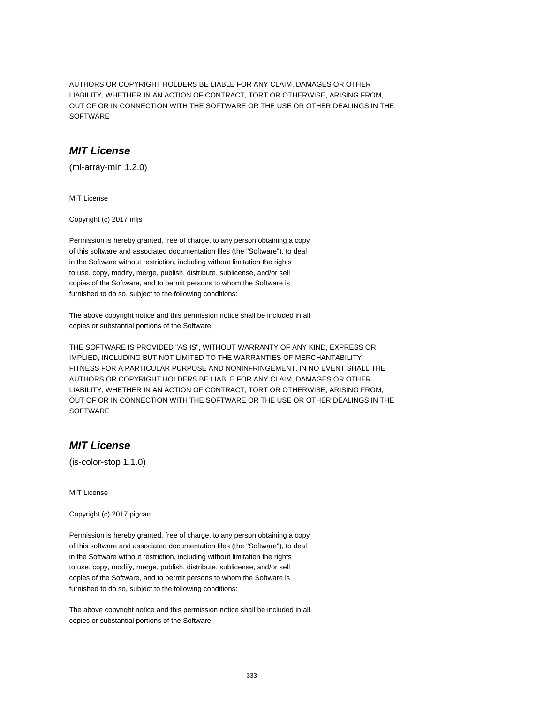AUTHORS OR COPYRIGHT HOLDERS BE LIABLE FOR ANY CLAIM, DAMAGES OR OTHER LIABILITY, WHETHER IN AN ACTION OF CONTRACT, TORT OR OTHERWISE, ARISING FROM, OUT OF OR IN CONNECTION WITH THE SOFTWARE OR THE USE OR OTHER DEALINGS IN THE SOFTWARE

### **MIT License**

(ml-array-min 1.2.0)

MIT License

Copyright (c) 2017 mljs

Permission is hereby granted, free of charge, to any person obtaining a copy of this software and associated documentation files (the "Software"), to deal in the Software without restriction, including without limitation the rights to use, copy, modify, merge, publish, distribute, sublicense, and/or sell copies of the Software, and to permit persons to whom the Software is furnished to do so, subject to the following conditions:

The above copyright notice and this permission notice shall be included in all copies or substantial portions of the Software.

THE SOFTWARE IS PROVIDED "AS IS", WITHOUT WARRANTY OF ANY KIND, EXPRESS OR IMPLIED, INCLUDING BUT NOT LIMITED TO THE WARRANTIES OF MERCHANTABILITY, FITNESS FOR A PARTICULAR PURPOSE AND NONINFRINGEMENT. IN NO EVENT SHALL THE AUTHORS OR COPYRIGHT HOLDERS BE LIABLE FOR ANY CLAIM, DAMAGES OR OTHER LIABILITY, WHETHER IN AN ACTION OF CONTRACT, TORT OR OTHERWISE, ARISING FROM, OUT OF OR IN CONNECTION WITH THE SOFTWARE OR THE USE OR OTHER DEALINGS IN THE **SOFTWARE** 

### **MIT License**

(is-color-stop 1.1.0)

MIT License

Copyright (c) 2017 pigcan

Permission is hereby granted, free of charge, to any person obtaining a copy of this software and associated documentation files (the "Software"), to deal in the Software without restriction, including without limitation the rights to use, copy, modify, merge, publish, distribute, sublicense, and/or sell copies of the Software, and to permit persons to whom the Software is furnished to do so, subject to the following conditions:

The above copyright notice and this permission notice shall be included in all copies or substantial portions of the Software.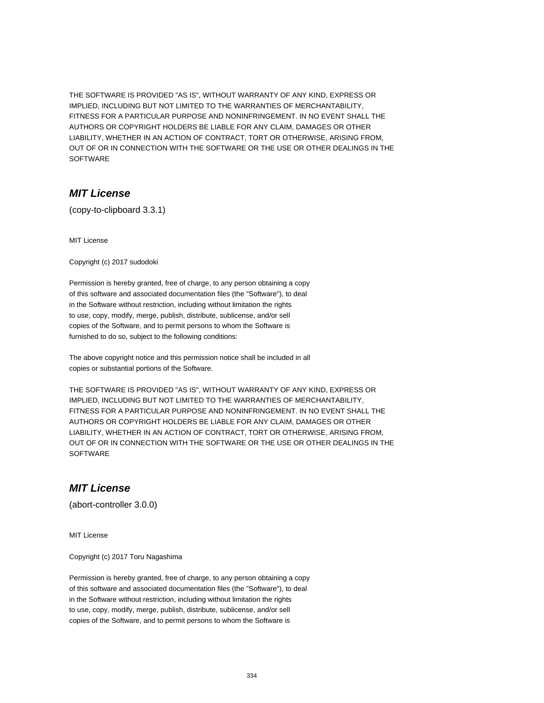THE SOFTWARE IS PROVIDED "AS IS", WITHOUT WARRANTY OF ANY KIND, EXPRESS OR IMPLIED, INCLUDING BUT NOT LIMITED TO THE WARRANTIES OF MERCHANTABILITY, FITNESS FOR A PARTICULAR PURPOSE AND NONINFRINGEMENT. IN NO EVENT SHALL THE AUTHORS OR COPYRIGHT HOLDERS BE LIABLE FOR ANY CLAIM, DAMAGES OR OTHER LIABILITY, WHETHER IN AN ACTION OF CONTRACT, TORT OR OTHERWISE, ARISING FROM, OUT OF OR IN CONNECTION WITH THE SOFTWARE OR THE USE OR OTHER DEALINGS IN THE **SOFTWARE** 

### **MIT License**

(copy-to-clipboard 3.3.1)

MIT License

Copyright (c) 2017 sudodoki

Permission is hereby granted, free of charge, to any person obtaining a copy of this software and associated documentation files (the "Software"), to deal in the Software without restriction, including without limitation the rights to use, copy, modify, merge, publish, distribute, sublicense, and/or sell copies of the Software, and to permit persons to whom the Software is furnished to do so, subject to the following conditions:

The above copyright notice and this permission notice shall be included in all copies or substantial portions of the Software.

THE SOFTWARE IS PROVIDED "AS IS", WITHOUT WARRANTY OF ANY KIND, EXPRESS OR IMPLIED, INCLUDING BUT NOT LIMITED TO THE WARRANTIES OF MERCHANTABILITY, FITNESS FOR A PARTICULAR PURPOSE AND NONINFRINGEMENT. IN NO EVENT SHALL THE AUTHORS OR COPYRIGHT HOLDERS BE LIABLE FOR ANY CLAIM, DAMAGES OR OTHER LIABILITY, WHETHER IN AN ACTION OF CONTRACT, TORT OR OTHERWISE, ARISING FROM, OUT OF OR IN CONNECTION WITH THE SOFTWARE OR THE USE OR OTHER DEALINGS IN THE **SOFTWARE** 

### **MIT License**

(abort-controller 3.0.0)

MIT License

Copyright (c) 2017 Toru Nagashima

Permission is hereby granted, free of charge, to any person obtaining a copy of this software and associated documentation files (the "Software"), to deal in the Software without restriction, including without limitation the rights to use, copy, modify, merge, publish, distribute, sublicense, and/or sell copies of the Software, and to permit persons to whom the Software is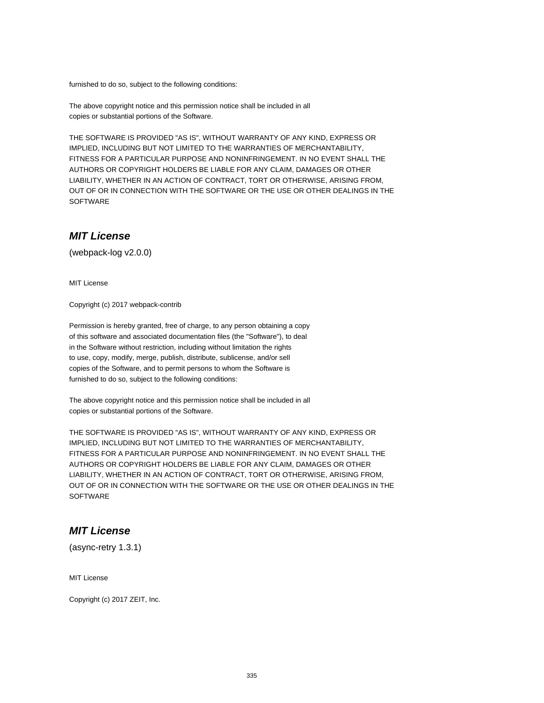furnished to do so, subject to the following conditions:

The above copyright notice and this permission notice shall be included in all copies or substantial portions of the Software.

THE SOFTWARE IS PROVIDED "AS IS", WITHOUT WARRANTY OF ANY KIND, EXPRESS OR IMPLIED, INCLUDING BUT NOT LIMITED TO THE WARRANTIES OF MERCHANTABILITY, FITNESS FOR A PARTICULAR PURPOSE AND NONINFRINGEMENT. IN NO EVENT SHALL THE AUTHORS OR COPYRIGHT HOLDERS BE LIABLE FOR ANY CLAIM, DAMAGES OR OTHER LIABILITY, WHETHER IN AN ACTION OF CONTRACT, TORT OR OTHERWISE, ARISING FROM, OUT OF OR IN CONNECTION WITH THE SOFTWARE OR THE USE OR OTHER DEALINGS IN THE SOFTWARE

### **MIT License**

(webpack-log v2.0.0)

MIT License

Copyright (c) 2017 webpack-contrib

Permission is hereby granted, free of charge, to any person obtaining a copy of this software and associated documentation files (the "Software"), to deal in the Software without restriction, including without limitation the rights to use, copy, modify, merge, publish, distribute, sublicense, and/or sell copies of the Software, and to permit persons to whom the Software is furnished to do so, subject to the following conditions:

The above copyright notice and this permission notice shall be included in all copies or substantial portions of the Software.

THE SOFTWARE IS PROVIDED "AS IS", WITHOUT WARRANTY OF ANY KIND, EXPRESS OR IMPLIED, INCLUDING BUT NOT LIMITED TO THE WARRANTIES OF MERCHANTABILITY, FITNESS FOR A PARTICULAR PURPOSE AND NONINFRINGEMENT. IN NO EVENT SHALL THE AUTHORS OR COPYRIGHT HOLDERS BE LIABLE FOR ANY CLAIM, DAMAGES OR OTHER LIABILITY, WHETHER IN AN ACTION OF CONTRACT, TORT OR OTHERWISE, ARISING FROM, OUT OF OR IN CONNECTION WITH THE SOFTWARE OR THE USE OR OTHER DEALINGS IN THE **SOFTWARE** 

# **MIT License**

(async-retry 1.3.1)

MIT License

Copyright (c) 2017 ZEIT, Inc.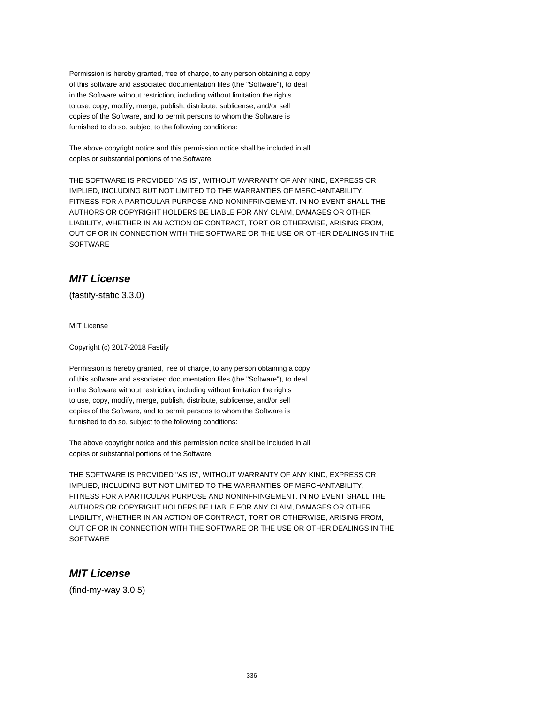Permission is hereby granted, free of charge, to any person obtaining a copy of this software and associated documentation files (the "Software"), to deal in the Software without restriction, including without limitation the rights to use, copy, modify, merge, publish, distribute, sublicense, and/or sell copies of the Software, and to permit persons to whom the Software is furnished to do so, subject to the following conditions:

The above copyright notice and this permission notice shall be included in all copies or substantial portions of the Software.

THE SOFTWARE IS PROVIDED "AS IS", WITHOUT WARRANTY OF ANY KIND, EXPRESS OR IMPLIED, INCLUDING BUT NOT LIMITED TO THE WARRANTIES OF MERCHANTABILITY, FITNESS FOR A PARTICULAR PURPOSE AND NONINFRINGEMENT. IN NO EVENT SHALL THE AUTHORS OR COPYRIGHT HOLDERS BE LIABLE FOR ANY CLAIM, DAMAGES OR OTHER LIABILITY, WHETHER IN AN ACTION OF CONTRACT, TORT OR OTHERWISE, ARISING FROM, OUT OF OR IN CONNECTION WITH THE SOFTWARE OR THE USE OR OTHER DEALINGS IN THE SOFTWARE

# **MIT License**

(fastify-static 3.3.0)

MIT License

Copyright (c) 2017-2018 Fastify

Permission is hereby granted, free of charge, to any person obtaining a copy of this software and associated documentation files (the "Software"), to deal in the Software without restriction, including without limitation the rights to use, copy, modify, merge, publish, distribute, sublicense, and/or sell copies of the Software, and to permit persons to whom the Software is furnished to do so, subject to the following conditions:

The above copyright notice and this permission notice shall be included in all copies or substantial portions of the Software.

THE SOFTWARE IS PROVIDED "AS IS", WITHOUT WARRANTY OF ANY KIND, EXPRESS OR IMPLIED, INCLUDING BUT NOT LIMITED TO THE WARRANTIES OF MERCHANTABILITY, FITNESS FOR A PARTICULAR PURPOSE AND NONINFRINGEMENT. IN NO EVENT SHALL THE AUTHORS OR COPYRIGHT HOLDERS BE LIABLE FOR ANY CLAIM, DAMAGES OR OTHER LIABILITY, WHETHER IN AN ACTION OF CONTRACT, TORT OR OTHERWISE, ARISING FROM, OUT OF OR IN CONNECTION WITH THE SOFTWARE OR THE USE OR OTHER DEALINGS IN THE **SOFTWARE** 

# **MIT License**

(find-my-way 3.0.5)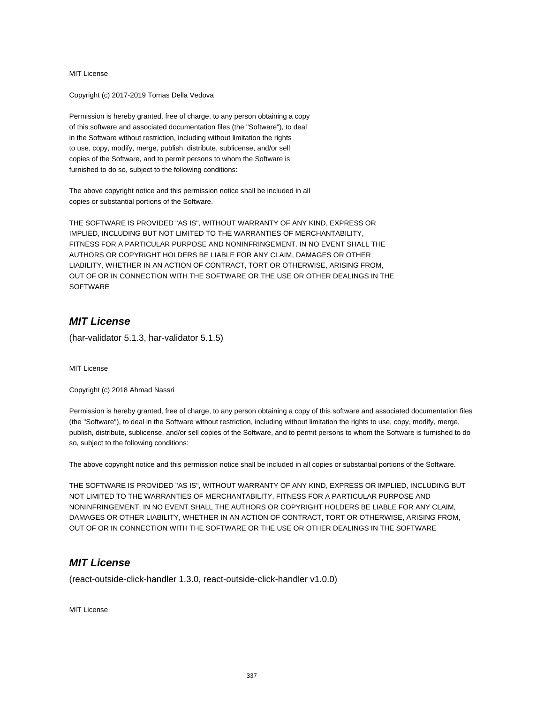Copyright (c) 2017-2019 Tomas Della Vedova

Permission is hereby granted, free of charge, to any person obtaining a copy of this software and associated documentation files (the "Software"), to deal in the Software without restriction, including without limitation the rights to use, copy, modify, merge, publish, distribute, sublicense, and/or sell copies of the Software, and to permit persons to whom the Software is furnished to do so, subject to the following conditions:

The above copyright notice and this permission notice shall be included in all copies or substantial portions of the Software.

THE SOFTWARE IS PROVIDED "AS IS", WITHOUT WARRANTY OF ANY KIND, EXPRESS OR IMPLIED, INCLUDING BUT NOT LIMITED TO THE WARRANTIES OF MERCHANTABILITY, FITNESS FOR A PARTICULAR PURPOSE AND NONINFRINGEMENT. IN NO EVENT SHALL THE AUTHORS OR COPYRIGHT HOLDERS BE LIABLE FOR ANY CLAIM, DAMAGES OR OTHER LIABILITY, WHETHER IN AN ACTION OF CONTRACT, TORT OR OTHERWISE, ARISING FROM, OUT OF OR IN CONNECTION WITH THE SOFTWARE OR THE USE OR OTHER DEALINGS IN THE **SOFTWARE** 

# **MIT License**

(har-validator 5.1.3, har-validator 5.1.5)

MIT License

Copyright (c) 2018 Ahmad Nassri

Permission is hereby granted, free of charge, to any person obtaining a copy of this software and associated documentation files (the "Software"), to deal in the Software without restriction, including without limitation the rights to use, copy, modify, merge, publish, distribute, sublicense, and/or sell copies of the Software, and to permit persons to whom the Software is furnished to do so, subject to the following conditions:

The above copyright notice and this permission notice shall be included in all copies or substantial portions of the Software.

THE SOFTWARE IS PROVIDED "AS IS", WITHOUT WARRANTY OF ANY KIND, EXPRESS OR IMPLIED, INCLUDING BUT NOT LIMITED TO THE WARRANTIES OF MERCHANTABILITY, FITNESS FOR A PARTICULAR PURPOSE AND NONINFRINGEMENT. IN NO EVENT SHALL THE AUTHORS OR COPYRIGHT HOLDERS BE LIABLE FOR ANY CLAIM, DAMAGES OR OTHER LIABILITY, WHETHER IN AN ACTION OF CONTRACT, TORT OR OTHERWISE, ARISING FROM, OUT OF OR IN CONNECTION WITH THE SOFTWARE OR THE USE OR OTHER DEALINGS IN THE SOFTWARE

### **MIT License**

(react-outside-click-handler 1.3.0, react-outside-click-handler v1.0.0)

MIT License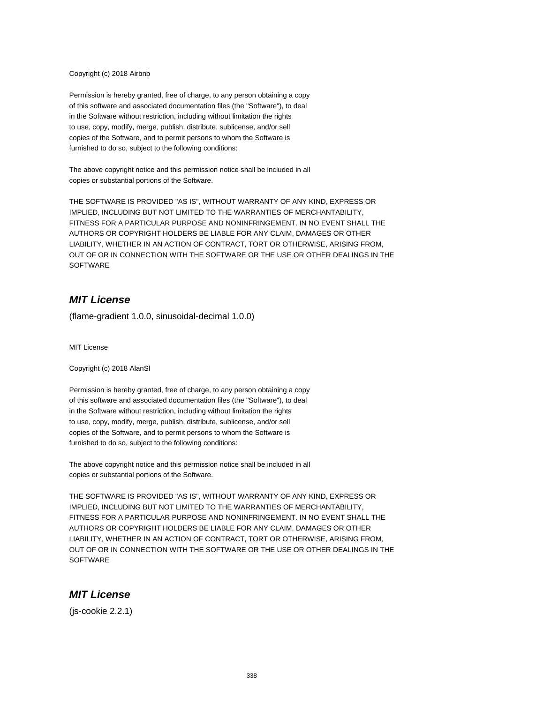#### Copyright (c) 2018 Airbnb

Permission is hereby granted, free of charge, to any person obtaining a copy of this software and associated documentation files (the "Software"), to deal in the Software without restriction, including without limitation the rights to use, copy, modify, merge, publish, distribute, sublicense, and/or sell copies of the Software, and to permit persons to whom the Software is furnished to do so, subject to the following conditions:

The above copyright notice and this permission notice shall be included in all copies or substantial portions of the Software.

THE SOFTWARE IS PROVIDED "AS IS", WITHOUT WARRANTY OF ANY KIND, EXPRESS OR IMPLIED, INCLUDING BUT NOT LIMITED TO THE WARRANTIES OF MERCHANTABILITY, FITNESS FOR A PARTICULAR PURPOSE AND NONINFRINGEMENT. IN NO EVENT SHALL THE AUTHORS OR COPYRIGHT HOLDERS BE LIABLE FOR ANY CLAIM, DAMAGES OR OTHER LIABILITY, WHETHER IN AN ACTION OF CONTRACT, TORT OR OTHERWISE, ARISING FROM, OUT OF OR IN CONNECTION WITH THE SOFTWARE OR THE USE OR OTHER DEALINGS IN THE **SOFTWARE** 

### **MIT License**

(flame-gradient 1.0.0, sinusoidal-decimal 1.0.0)

MIT License

Copyright (c) 2018 AlanSl

Permission is hereby granted, free of charge, to any person obtaining a copy of this software and associated documentation files (the "Software"), to deal in the Software without restriction, including without limitation the rights to use, copy, modify, merge, publish, distribute, sublicense, and/or sell copies of the Software, and to permit persons to whom the Software is furnished to do so, subject to the following conditions:

The above copyright notice and this permission notice shall be included in all copies or substantial portions of the Software.

THE SOFTWARE IS PROVIDED "AS IS", WITHOUT WARRANTY OF ANY KIND, EXPRESS OR IMPLIED, INCLUDING BUT NOT LIMITED TO THE WARRANTIES OF MERCHANTABILITY, FITNESS FOR A PARTICULAR PURPOSE AND NONINFRINGEMENT. IN NO EVENT SHALL THE AUTHORS OR COPYRIGHT HOLDERS BE LIABLE FOR ANY CLAIM, DAMAGES OR OTHER LIABILITY, WHETHER IN AN ACTION OF CONTRACT, TORT OR OTHERWISE, ARISING FROM, OUT OF OR IN CONNECTION WITH THE SOFTWARE OR THE USE OR OTHER DEALINGS IN THE **SOFTWARE** 

#### **MIT License**

(js-cookie 2.2.1)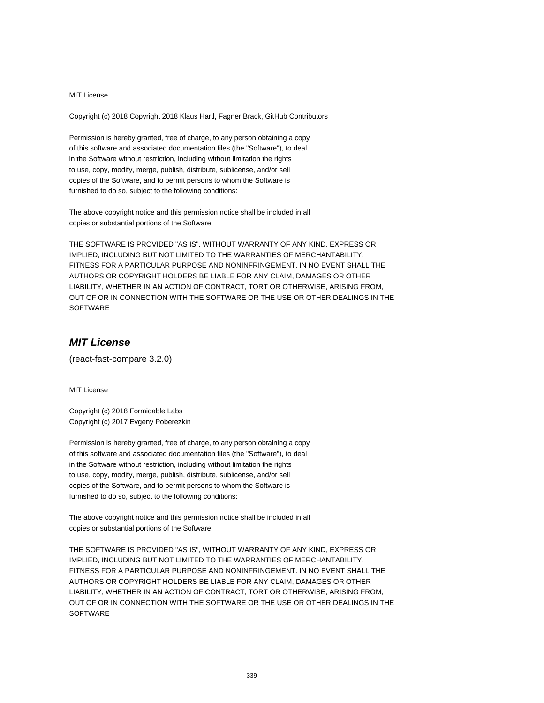Copyright (c) 2018 Copyright 2018 Klaus Hartl, Fagner Brack, GitHub Contributors

Permission is hereby granted, free of charge, to any person obtaining a copy of this software and associated documentation files (the "Software"), to deal in the Software without restriction, including without limitation the rights to use, copy, modify, merge, publish, distribute, sublicense, and/or sell copies of the Software, and to permit persons to whom the Software is furnished to do so, subject to the following conditions:

The above copyright notice and this permission notice shall be included in all copies or substantial portions of the Software.

THE SOFTWARE IS PROVIDED "AS IS", WITHOUT WARRANTY OF ANY KIND, EXPRESS OR IMPLIED, INCLUDING BUT NOT LIMITED TO THE WARRANTIES OF MERCHANTABILITY, FITNESS FOR A PARTICULAR PURPOSE AND NONINFRINGEMENT. IN NO EVENT SHALL THE AUTHORS OR COPYRIGHT HOLDERS BE LIABLE FOR ANY CLAIM, DAMAGES OR OTHER LIABILITY, WHETHER IN AN ACTION OF CONTRACT, TORT OR OTHERWISE, ARISING FROM, OUT OF OR IN CONNECTION WITH THE SOFTWARE OR THE USE OR OTHER DEALINGS IN THE SOFTWARE

# **MIT License**

(react-fast-compare 3.2.0)

MIT License

Copyright (c) 2018 Formidable Labs Copyright (c) 2017 Evgeny Poberezkin

Permission is hereby granted, free of charge, to any person obtaining a copy of this software and associated documentation files (the "Software"), to deal in the Software without restriction, including without limitation the rights to use, copy, modify, merge, publish, distribute, sublicense, and/or sell copies of the Software, and to permit persons to whom the Software is furnished to do so, subject to the following conditions:

The above copyright notice and this permission notice shall be included in all copies or substantial portions of the Software.

THE SOFTWARE IS PROVIDED "AS IS", WITHOUT WARRANTY OF ANY KIND, EXPRESS OR IMPLIED, INCLUDING BUT NOT LIMITED TO THE WARRANTIES OF MERCHANTABILITY, FITNESS FOR A PARTICULAR PURPOSE AND NONINFRINGEMENT. IN NO EVENT SHALL THE AUTHORS OR COPYRIGHT HOLDERS BE LIABLE FOR ANY CLAIM, DAMAGES OR OTHER LIABILITY, WHETHER IN AN ACTION OF CONTRACT, TORT OR OTHERWISE, ARISING FROM, OUT OF OR IN CONNECTION WITH THE SOFTWARE OR THE USE OR OTHER DEALINGS IN THE **SOFTWARE**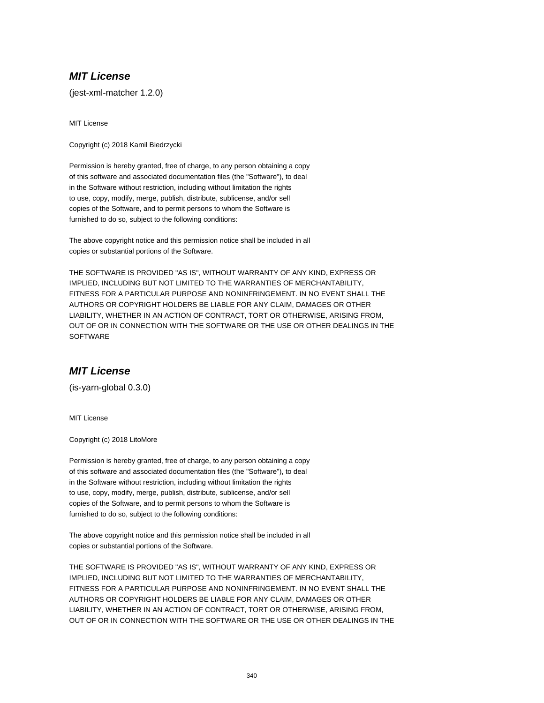(jest-xml-matcher 1.2.0)

MIT License

Copyright (c) 2018 Kamil Biedrzycki

Permission is hereby granted, free of charge, to any person obtaining a copy of this software and associated documentation files (the "Software"), to deal in the Software without restriction, including without limitation the rights to use, copy, modify, merge, publish, distribute, sublicense, and/or sell copies of the Software, and to permit persons to whom the Software is furnished to do so, subject to the following conditions:

The above copyright notice and this permission notice shall be included in all copies or substantial portions of the Software.

THE SOFTWARE IS PROVIDED "AS IS", WITHOUT WARRANTY OF ANY KIND, EXPRESS OR IMPLIED, INCLUDING BUT NOT LIMITED TO THE WARRANTIES OF MERCHANTABILITY, FITNESS FOR A PARTICULAR PURPOSE AND NONINFRINGEMENT. IN NO EVENT SHALL THE AUTHORS OR COPYRIGHT HOLDERS BE LIABLE FOR ANY CLAIM, DAMAGES OR OTHER LIABILITY, WHETHER IN AN ACTION OF CONTRACT, TORT OR OTHERWISE, ARISING FROM, OUT OF OR IN CONNECTION WITH THE SOFTWARE OR THE USE OR OTHER DEALINGS IN THE **SOFTWARE** 

# **MIT License**

(is-yarn-global 0.3.0)

MIT License

Copyright (c) 2018 LitoMore

Permission is hereby granted, free of charge, to any person obtaining a copy of this software and associated documentation files (the "Software"), to deal in the Software without restriction, including without limitation the rights to use, copy, modify, merge, publish, distribute, sublicense, and/or sell copies of the Software, and to permit persons to whom the Software is furnished to do so, subject to the following conditions:

The above copyright notice and this permission notice shall be included in all copies or substantial portions of the Software.

THE SOFTWARE IS PROVIDED "AS IS", WITHOUT WARRANTY OF ANY KIND, EXPRESS OR IMPLIED, INCLUDING BUT NOT LIMITED TO THE WARRANTIES OF MERCHANTABILITY, FITNESS FOR A PARTICULAR PURPOSE AND NONINFRINGEMENT. IN NO EVENT SHALL THE AUTHORS OR COPYRIGHT HOLDERS BE LIABLE FOR ANY CLAIM, DAMAGES OR OTHER LIABILITY, WHETHER IN AN ACTION OF CONTRACT, TORT OR OTHERWISE, ARISING FROM, OUT OF OR IN CONNECTION WITH THE SOFTWARE OR THE USE OR OTHER DEALINGS IN THE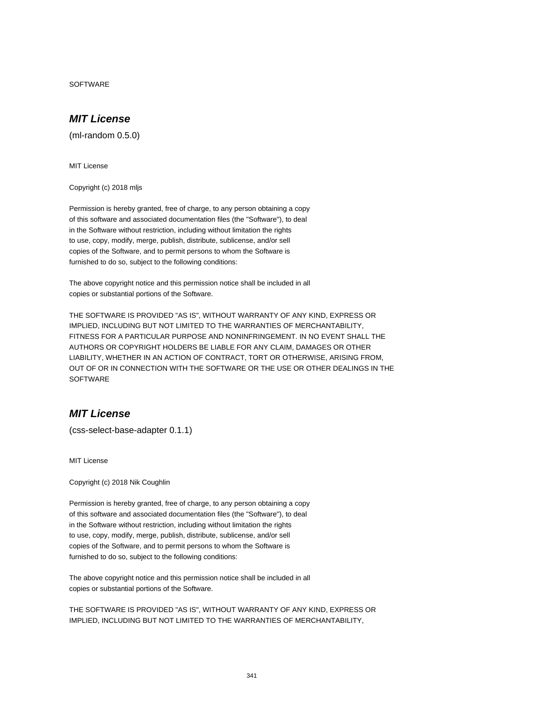SOFTWARE

### **MIT License**

(ml-random 0.5.0)

MIT License

Copyright (c) 2018 mljs

Permission is hereby granted, free of charge, to any person obtaining a copy of this software and associated documentation files (the "Software"), to deal in the Software without restriction, including without limitation the rights to use, copy, modify, merge, publish, distribute, sublicense, and/or sell copies of the Software, and to permit persons to whom the Software is furnished to do so, subject to the following conditions:

The above copyright notice and this permission notice shall be included in all copies or substantial portions of the Software.

THE SOFTWARE IS PROVIDED "AS IS", WITHOUT WARRANTY OF ANY KIND, EXPRESS OR IMPLIED, INCLUDING BUT NOT LIMITED TO THE WARRANTIES OF MERCHANTABILITY, FITNESS FOR A PARTICULAR PURPOSE AND NONINFRINGEMENT. IN NO EVENT SHALL THE AUTHORS OR COPYRIGHT HOLDERS BE LIABLE FOR ANY CLAIM, DAMAGES OR OTHER LIABILITY, WHETHER IN AN ACTION OF CONTRACT, TORT OR OTHERWISE, ARISING FROM, OUT OF OR IN CONNECTION WITH THE SOFTWARE OR THE USE OR OTHER DEALINGS IN THE **SOFTWARE** 

# **MIT License**

(css-select-base-adapter 0.1.1)

MIT License

Copyright (c) 2018 Nik Coughlin

Permission is hereby granted, free of charge, to any person obtaining a copy of this software and associated documentation files (the "Software"), to deal in the Software without restriction, including without limitation the rights to use, copy, modify, merge, publish, distribute, sublicense, and/or sell copies of the Software, and to permit persons to whom the Software is furnished to do so, subject to the following conditions:

The above copyright notice and this permission notice shall be included in all copies or substantial portions of the Software.

THE SOFTWARE IS PROVIDED "AS IS", WITHOUT WARRANTY OF ANY KIND, EXPRESS OR IMPLIED, INCLUDING BUT NOT LIMITED TO THE WARRANTIES OF MERCHANTABILITY,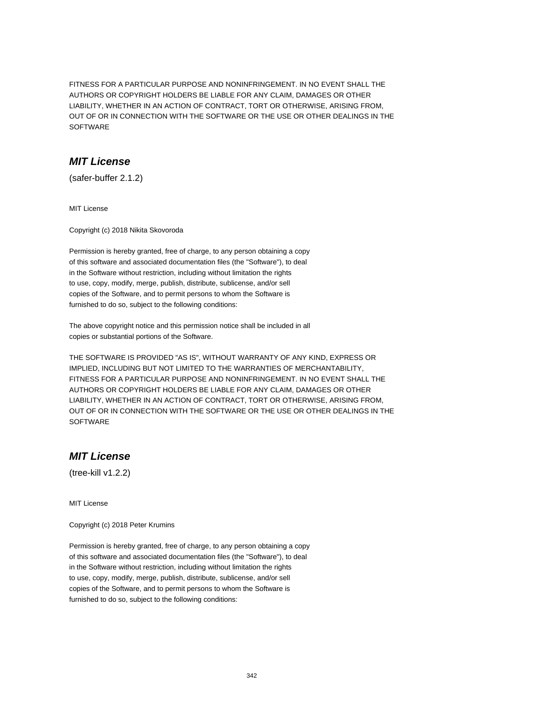FITNESS FOR A PARTICULAR PURPOSE AND NONINFRINGEMENT. IN NO EVENT SHALL THE AUTHORS OR COPYRIGHT HOLDERS BE LIABLE FOR ANY CLAIM, DAMAGES OR OTHER LIABILITY, WHETHER IN AN ACTION OF CONTRACT, TORT OR OTHERWISE, ARISING FROM, OUT OF OR IN CONNECTION WITH THE SOFTWARE OR THE USE OR OTHER DEALINGS IN THE SOFTWARE

### **MIT License**

(safer-buffer 2.1.2)

MIT License

Copyright (c) 2018 Nikita Skovoroda

Permission is hereby granted, free of charge, to any person obtaining a copy of this software and associated documentation files (the "Software"), to deal in the Software without restriction, including without limitation the rights to use, copy, modify, merge, publish, distribute, sublicense, and/or sell copies of the Software, and to permit persons to whom the Software is furnished to do so, subject to the following conditions:

The above copyright notice and this permission notice shall be included in all copies or substantial portions of the Software.

THE SOFTWARE IS PROVIDED "AS IS", WITHOUT WARRANTY OF ANY KIND, EXPRESS OR IMPLIED, INCLUDING BUT NOT LIMITED TO THE WARRANTIES OF MERCHANTABILITY, FITNESS FOR A PARTICULAR PURPOSE AND NONINFRINGEMENT. IN NO EVENT SHALL THE AUTHORS OR COPYRIGHT HOLDERS BE LIABLE FOR ANY CLAIM, DAMAGES OR OTHER LIABILITY, WHETHER IN AN ACTION OF CONTRACT, TORT OR OTHERWISE, ARISING FROM, OUT OF OR IN CONNECTION WITH THE SOFTWARE OR THE USE OR OTHER DEALINGS IN THE **SOFTWARE** 

# **MIT License**

(tree-kill v1.2.2)

MIT License

Copyright (c) 2018 Peter Krumins

Permission is hereby granted, free of charge, to any person obtaining a copy of this software and associated documentation files (the "Software"), to deal in the Software without restriction, including without limitation the rights to use, copy, modify, merge, publish, distribute, sublicense, and/or sell copies of the Software, and to permit persons to whom the Software is furnished to do so, subject to the following conditions: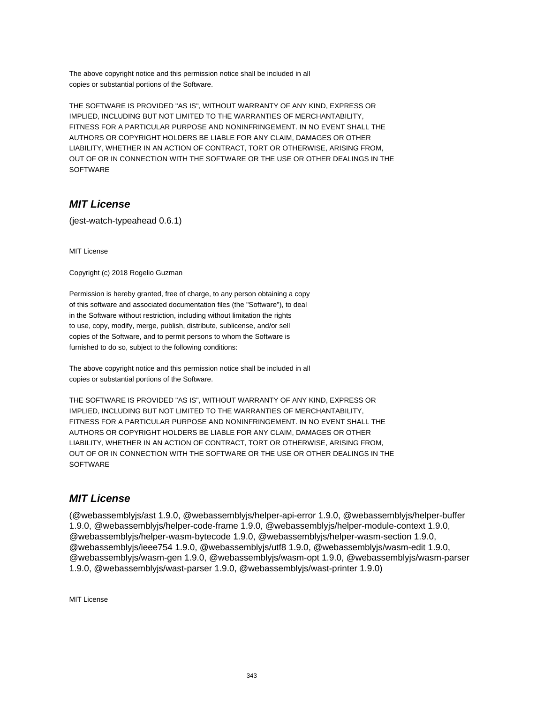The above copyright notice and this permission notice shall be included in all copies or substantial portions of the Software.

THE SOFTWARE IS PROVIDED "AS IS", WITHOUT WARRANTY OF ANY KIND, EXPRESS OR IMPLIED, INCLUDING BUT NOT LIMITED TO THE WARRANTIES OF MERCHANTABILITY, FITNESS FOR A PARTICULAR PURPOSE AND NONINFRINGEMENT. IN NO EVENT SHALL THE AUTHORS OR COPYRIGHT HOLDERS BE LIABLE FOR ANY CLAIM, DAMAGES OR OTHER LIABILITY, WHETHER IN AN ACTION OF CONTRACT, TORT OR OTHERWISE, ARISING FROM, OUT OF OR IN CONNECTION WITH THE SOFTWARE OR THE USE OR OTHER DEALINGS IN THE **SOFTWARE** 

# **MIT License**

(jest-watch-typeahead 0.6.1)

MIT License

Copyright (c) 2018 Rogelio Guzman

Permission is hereby granted, free of charge, to any person obtaining a copy of this software and associated documentation files (the "Software"), to deal in the Software without restriction, including without limitation the rights to use, copy, modify, merge, publish, distribute, sublicense, and/or sell copies of the Software, and to permit persons to whom the Software is furnished to do so, subject to the following conditions:

The above copyright notice and this permission notice shall be included in all copies or substantial portions of the Software.

THE SOFTWARE IS PROVIDED "AS IS", WITHOUT WARRANTY OF ANY KIND, EXPRESS OR IMPLIED, INCLUDING BUT NOT LIMITED TO THE WARRANTIES OF MERCHANTABILITY, FITNESS FOR A PARTICULAR PURPOSE AND NONINFRINGEMENT. IN NO EVENT SHALL THE AUTHORS OR COPYRIGHT HOLDERS BE LIABLE FOR ANY CLAIM, DAMAGES OR OTHER LIABILITY, WHETHER IN AN ACTION OF CONTRACT, TORT OR OTHERWISE, ARISING FROM, OUT OF OR IN CONNECTION WITH THE SOFTWARE OR THE USE OR OTHER DEALINGS IN THE **SOFTWARE** 

### **MIT License**

(@webassemblyjs/ast 1.9.0, @webassemblyjs/helper-api-error 1.9.0, @webassemblyjs/helper-buffer 1.9.0, @webassemblyjs/helper-code-frame 1.9.0, @webassemblyjs/helper-module-context 1.9.0, @webassemblyjs/helper-wasm-bytecode 1.9.0, @webassemblyjs/helper-wasm-section 1.9.0, @webassemblyjs/ieee754 1.9.0, @webassemblyjs/utf8 1.9.0, @webassemblyjs/wasm-edit 1.9.0, @webassemblyjs/wasm-gen 1.9.0, @webassemblyjs/wasm-opt 1.9.0, @webassemblyjs/wasm-parser 1.9.0, @webassemblyjs/wast-parser 1.9.0, @webassemblyjs/wast-printer 1.9.0)

MIT License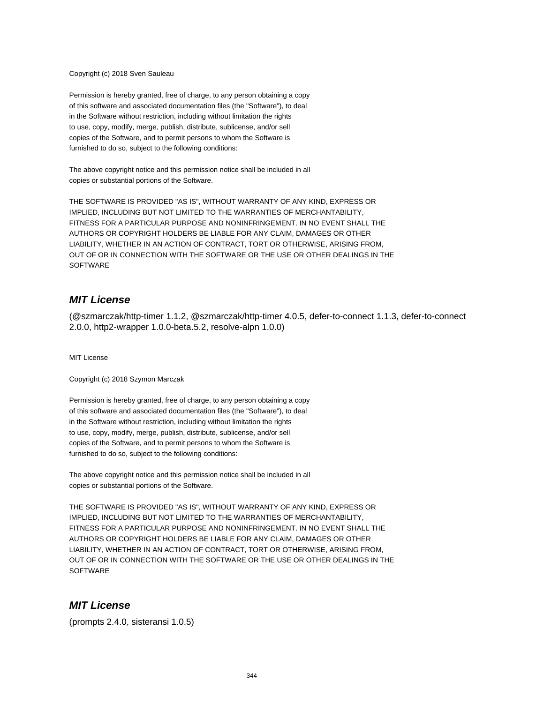Copyright (c) 2018 Sven Sauleau

Permission is hereby granted, free of charge, to any person obtaining a copy of this software and associated documentation files (the "Software"), to deal in the Software without restriction, including without limitation the rights to use, copy, modify, merge, publish, distribute, sublicense, and/or sell copies of the Software, and to permit persons to whom the Software is furnished to do so, subject to the following conditions:

The above copyright notice and this permission notice shall be included in all copies or substantial portions of the Software.

THE SOFTWARE IS PROVIDED "AS IS", WITHOUT WARRANTY OF ANY KIND, EXPRESS OR IMPLIED, INCLUDING BUT NOT LIMITED TO THE WARRANTIES OF MERCHANTABILITY, FITNESS FOR A PARTICULAR PURPOSE AND NONINFRINGEMENT. IN NO EVENT SHALL THE AUTHORS OR COPYRIGHT HOLDERS BE LIABLE FOR ANY CLAIM, DAMAGES OR OTHER LIABILITY, WHETHER IN AN ACTION OF CONTRACT, TORT OR OTHERWISE, ARISING FROM, OUT OF OR IN CONNECTION WITH THE SOFTWARE OR THE USE OR OTHER DEALINGS IN THE **SOFTWARE** 

### **MIT License**

(@szmarczak/http-timer 1.1.2, @szmarczak/http-timer 4.0.5, defer-to-connect 1.1.3, defer-to-connect 2.0.0, http2-wrapper 1.0.0-beta.5.2, resolve-alpn 1.0.0)

MIT License

Copyright (c) 2018 Szymon Marczak

Permission is hereby granted, free of charge, to any person obtaining a copy of this software and associated documentation files (the "Software"), to deal in the Software without restriction, including without limitation the rights to use, copy, modify, merge, publish, distribute, sublicense, and/or sell copies of the Software, and to permit persons to whom the Software is furnished to do so, subject to the following conditions:

The above copyright notice and this permission notice shall be included in all copies or substantial portions of the Software.

THE SOFTWARE IS PROVIDED "AS IS", WITHOUT WARRANTY OF ANY KIND, EXPRESS OR IMPLIED, INCLUDING BUT NOT LIMITED TO THE WARRANTIES OF MERCHANTABILITY, FITNESS FOR A PARTICULAR PURPOSE AND NONINFRINGEMENT. IN NO EVENT SHALL THE AUTHORS OR COPYRIGHT HOLDERS BE LIABLE FOR ANY CLAIM, DAMAGES OR OTHER LIABILITY, WHETHER IN AN ACTION OF CONTRACT, TORT OR OTHERWISE, ARISING FROM, OUT OF OR IN CONNECTION WITH THE SOFTWARE OR THE USE OR OTHER DEALINGS IN THE **SOFTWARE** 

# **MIT License**

(prompts 2.4.0, sisteransi 1.0.5)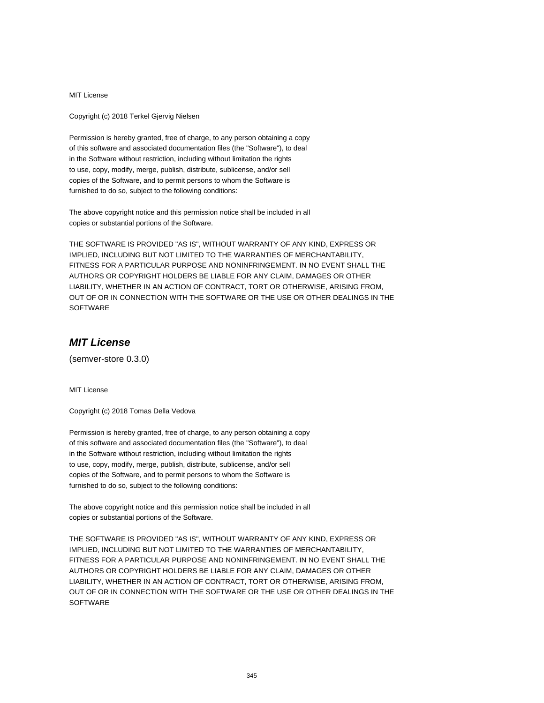Copyright (c) 2018 Terkel Gjervig Nielsen

Permission is hereby granted, free of charge, to any person obtaining a copy of this software and associated documentation files (the "Software"), to deal in the Software without restriction, including without limitation the rights to use, copy, modify, merge, publish, distribute, sublicense, and/or sell copies of the Software, and to permit persons to whom the Software is furnished to do so, subject to the following conditions:

The above copyright notice and this permission notice shall be included in all copies or substantial portions of the Software.

THE SOFTWARE IS PROVIDED "AS IS", WITHOUT WARRANTY OF ANY KIND, EXPRESS OR IMPLIED, INCLUDING BUT NOT LIMITED TO THE WARRANTIES OF MERCHANTABILITY, FITNESS FOR A PARTICULAR PURPOSE AND NONINFRINGEMENT. IN NO EVENT SHALL THE AUTHORS OR COPYRIGHT HOLDERS BE LIABLE FOR ANY CLAIM, DAMAGES OR OTHER LIABILITY, WHETHER IN AN ACTION OF CONTRACT, TORT OR OTHERWISE, ARISING FROM, OUT OF OR IN CONNECTION WITH THE SOFTWARE OR THE USE OR OTHER DEALINGS IN THE **SOFTWARE** 

# **MIT License**

(semver-store 0.3.0)

MIT License

Copyright (c) 2018 Tomas Della Vedova

Permission is hereby granted, free of charge, to any person obtaining a copy of this software and associated documentation files (the "Software"), to deal in the Software without restriction, including without limitation the rights to use, copy, modify, merge, publish, distribute, sublicense, and/or sell copies of the Software, and to permit persons to whom the Software is furnished to do so, subject to the following conditions:

The above copyright notice and this permission notice shall be included in all copies or substantial portions of the Software.

THE SOFTWARE IS PROVIDED "AS IS", WITHOUT WARRANTY OF ANY KIND, EXPRESS OR IMPLIED, INCLUDING BUT NOT LIMITED TO THE WARRANTIES OF MERCHANTABILITY, FITNESS FOR A PARTICULAR PURPOSE AND NONINFRINGEMENT. IN NO EVENT SHALL THE AUTHORS OR COPYRIGHT HOLDERS BE LIABLE FOR ANY CLAIM, DAMAGES OR OTHER LIABILITY, WHETHER IN AN ACTION OF CONTRACT, TORT OR OTHERWISE, ARISING FROM, OUT OF OR IN CONNECTION WITH THE SOFTWARE OR THE USE OR OTHER DEALINGS IN THE **SOFTWARE**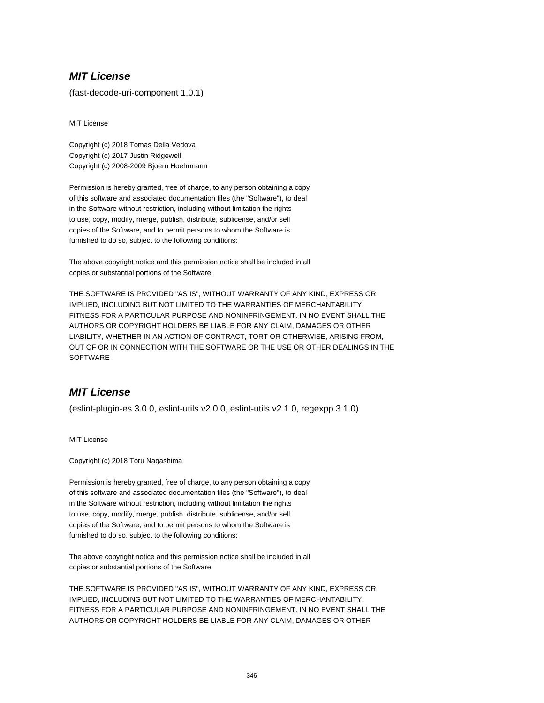(fast-decode-uri-component 1.0.1)

MIT License

Copyright (c) 2018 Tomas Della Vedova Copyright (c) 2017 Justin Ridgewell Copyright (c) 2008-2009 Bjoern Hoehrmann

Permission is hereby granted, free of charge, to any person obtaining a copy of this software and associated documentation files (the "Software"), to deal in the Software without restriction, including without limitation the rights to use, copy, modify, merge, publish, distribute, sublicense, and/or sell copies of the Software, and to permit persons to whom the Software is furnished to do so, subject to the following conditions:

The above copyright notice and this permission notice shall be included in all copies or substantial portions of the Software.

THE SOFTWARE IS PROVIDED "AS IS", WITHOUT WARRANTY OF ANY KIND, EXPRESS OR IMPLIED, INCLUDING BUT NOT LIMITED TO THE WARRANTIES OF MERCHANTABILITY, FITNESS FOR A PARTICULAR PURPOSE AND NONINFRINGEMENT. IN NO EVENT SHALL THE AUTHORS OR COPYRIGHT HOLDERS BE LIABLE FOR ANY CLAIM, DAMAGES OR OTHER LIABILITY, WHETHER IN AN ACTION OF CONTRACT, TORT OR OTHERWISE, ARISING FROM, OUT OF OR IN CONNECTION WITH THE SOFTWARE OR THE USE OR OTHER DEALINGS IN THE **SOFTWARE** 

# **MIT License**

(eslint-plugin-es 3.0.0, eslint-utils v2.0.0, eslint-utils v2.1.0, regexpp 3.1.0)

MIT License

Copyright (c) 2018 Toru Nagashima

Permission is hereby granted, free of charge, to any person obtaining a copy of this software and associated documentation files (the "Software"), to deal in the Software without restriction, including without limitation the rights to use, copy, modify, merge, publish, distribute, sublicense, and/or sell copies of the Software, and to permit persons to whom the Software is furnished to do so, subject to the following conditions:

The above copyright notice and this permission notice shall be included in all copies or substantial portions of the Software.

THE SOFTWARE IS PROVIDED "AS IS", WITHOUT WARRANTY OF ANY KIND, EXPRESS OR IMPLIED, INCLUDING BUT NOT LIMITED TO THE WARRANTIES OF MERCHANTABILITY, FITNESS FOR A PARTICULAR PURPOSE AND NONINFRINGEMENT. IN NO EVENT SHALL THE AUTHORS OR COPYRIGHT HOLDERS BE LIABLE FOR ANY CLAIM, DAMAGES OR OTHER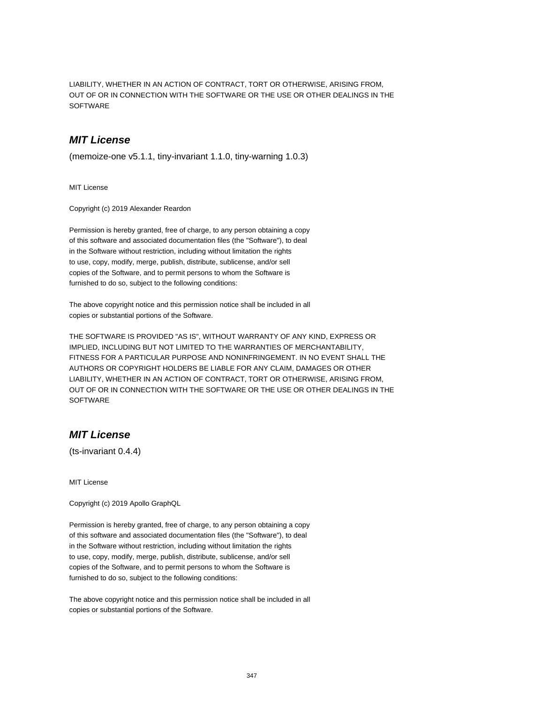LIABILITY, WHETHER IN AN ACTION OF CONTRACT, TORT OR OTHERWISE, ARISING FROM, OUT OF OR IN CONNECTION WITH THE SOFTWARE OR THE USE OR OTHER DEALINGS IN THE SOFTWARE

### **MIT License**

(memoize-one v5.1.1, tiny-invariant 1.1.0, tiny-warning 1.0.3)

MIT License

Copyright (c) 2019 Alexander Reardon

Permission is hereby granted, free of charge, to any person obtaining a copy of this software and associated documentation files (the "Software"), to deal in the Software without restriction, including without limitation the rights to use, copy, modify, merge, publish, distribute, sublicense, and/or sell copies of the Software, and to permit persons to whom the Software is furnished to do so, subject to the following conditions:

The above copyright notice and this permission notice shall be included in all copies or substantial portions of the Software.

THE SOFTWARE IS PROVIDED "AS IS", WITHOUT WARRANTY OF ANY KIND, EXPRESS OR IMPLIED, INCLUDING BUT NOT LIMITED TO THE WARRANTIES OF MERCHANTABILITY, FITNESS FOR A PARTICULAR PURPOSE AND NONINFRINGEMENT. IN NO EVENT SHALL THE AUTHORS OR COPYRIGHT HOLDERS BE LIABLE FOR ANY CLAIM, DAMAGES OR OTHER LIABILITY, WHETHER IN AN ACTION OF CONTRACT, TORT OR OTHERWISE, ARISING FROM, OUT OF OR IN CONNECTION WITH THE SOFTWARE OR THE USE OR OTHER DEALINGS IN THE **SOFTWARE** 

# **MIT License**

(ts-invariant 0.4.4)

MIT License

Copyright (c) 2019 Apollo GraphQL

Permission is hereby granted, free of charge, to any person obtaining a copy of this software and associated documentation files (the "Software"), to deal in the Software without restriction, including without limitation the rights to use, copy, modify, merge, publish, distribute, sublicense, and/or sell copies of the Software, and to permit persons to whom the Software is furnished to do so, subject to the following conditions:

The above copyright notice and this permission notice shall be included in all copies or substantial portions of the Software.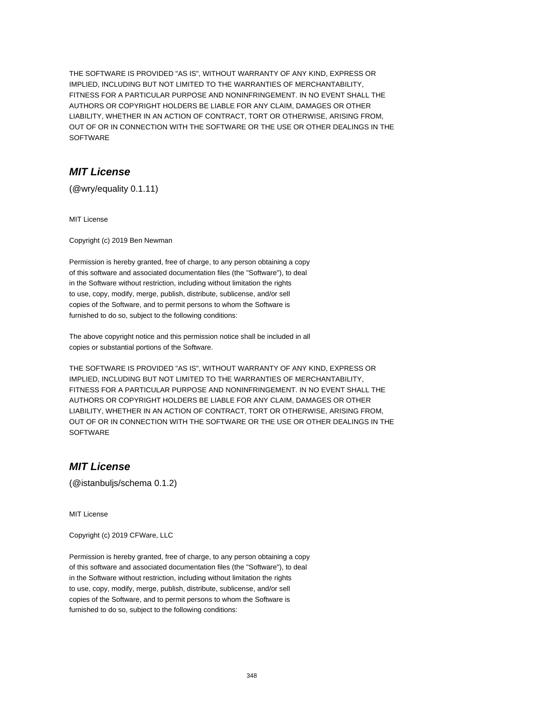THE SOFTWARE IS PROVIDED "AS IS", WITHOUT WARRANTY OF ANY KIND, EXPRESS OR IMPLIED, INCLUDING BUT NOT LIMITED TO THE WARRANTIES OF MERCHANTABILITY, FITNESS FOR A PARTICULAR PURPOSE AND NONINFRINGEMENT. IN NO EVENT SHALL THE AUTHORS OR COPYRIGHT HOLDERS BE LIABLE FOR ANY CLAIM, DAMAGES OR OTHER LIABILITY, WHETHER IN AN ACTION OF CONTRACT, TORT OR OTHERWISE, ARISING FROM, OUT OF OR IN CONNECTION WITH THE SOFTWARE OR THE USE OR OTHER DEALINGS IN THE SOFTWARE

### **MIT License**

(@wry/equality 0.1.11)

MIT License

Copyright (c) 2019 Ben Newman

Permission is hereby granted, free of charge, to any person obtaining a copy of this software and associated documentation files (the "Software"), to deal in the Software without restriction, including without limitation the rights to use, copy, modify, merge, publish, distribute, sublicense, and/or sell copies of the Software, and to permit persons to whom the Software is furnished to do so, subject to the following conditions:

The above copyright notice and this permission notice shall be included in all copies or substantial portions of the Software.

THE SOFTWARE IS PROVIDED "AS IS", WITHOUT WARRANTY OF ANY KIND, EXPRESS OR IMPLIED, INCLUDING BUT NOT LIMITED TO THE WARRANTIES OF MERCHANTABILITY, FITNESS FOR A PARTICULAR PURPOSE AND NONINFRINGEMENT. IN NO EVENT SHALL THE AUTHORS OR COPYRIGHT HOLDERS BE LIABLE FOR ANY CLAIM, DAMAGES OR OTHER LIABILITY, WHETHER IN AN ACTION OF CONTRACT, TORT OR OTHERWISE, ARISING FROM, OUT OF OR IN CONNECTION WITH THE SOFTWARE OR THE USE OR OTHER DEALINGS IN THE **SOFTWARE** 

### **MIT License**

(@istanbuljs/schema 0.1.2)

MIT License

Copyright (c) 2019 CFWare, LLC

Permission is hereby granted, free of charge, to any person obtaining a copy of this software and associated documentation files (the "Software"), to deal in the Software without restriction, including without limitation the rights to use, copy, modify, merge, publish, distribute, sublicense, and/or sell copies of the Software, and to permit persons to whom the Software is furnished to do so, subject to the following conditions: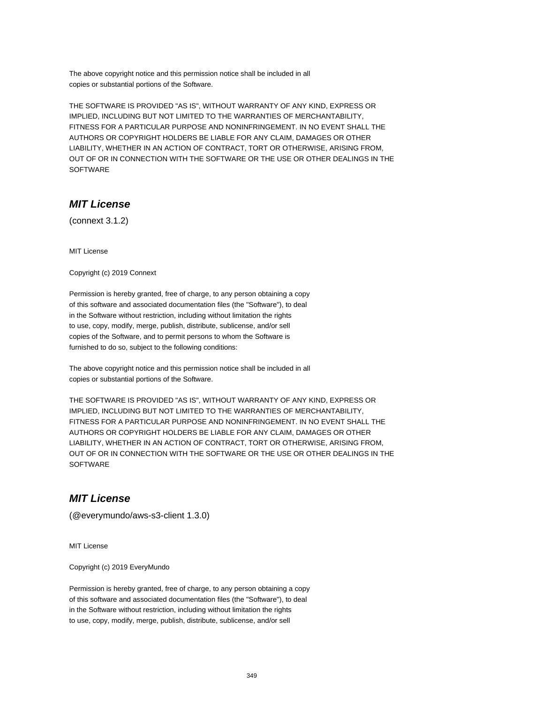The above copyright notice and this permission notice shall be included in all copies or substantial portions of the Software.

THE SOFTWARE IS PROVIDED "AS IS", WITHOUT WARRANTY OF ANY KIND, EXPRESS OR IMPLIED, INCLUDING BUT NOT LIMITED TO THE WARRANTIES OF MERCHANTABILITY, FITNESS FOR A PARTICULAR PURPOSE AND NONINFRINGEMENT. IN NO EVENT SHALL THE AUTHORS OR COPYRIGHT HOLDERS BE LIABLE FOR ANY CLAIM, DAMAGES OR OTHER LIABILITY, WHETHER IN AN ACTION OF CONTRACT, TORT OR OTHERWISE, ARISING FROM, OUT OF OR IN CONNECTION WITH THE SOFTWARE OR THE USE OR OTHER DEALINGS IN THE SOFTWARE

# **MIT License**

(connext 3.1.2)

MIT License

Copyright (c) 2019 Connext

Permission is hereby granted, free of charge, to any person obtaining a copy of this software and associated documentation files (the "Software"), to deal in the Software without restriction, including without limitation the rights to use, copy, modify, merge, publish, distribute, sublicense, and/or sell copies of the Software, and to permit persons to whom the Software is furnished to do so, subject to the following conditions:

The above copyright notice and this permission notice shall be included in all copies or substantial portions of the Software.

THE SOFTWARE IS PROVIDED "AS IS", WITHOUT WARRANTY OF ANY KIND, EXPRESS OR IMPLIED, INCLUDING BUT NOT LIMITED TO THE WARRANTIES OF MERCHANTABILITY, FITNESS FOR A PARTICULAR PURPOSE AND NONINFRINGEMENT. IN NO EVENT SHALL THE AUTHORS OR COPYRIGHT HOLDERS BE LIABLE FOR ANY CLAIM, DAMAGES OR OTHER LIABILITY, WHETHER IN AN ACTION OF CONTRACT, TORT OR OTHERWISE, ARISING FROM, OUT OF OR IN CONNECTION WITH THE SOFTWARE OR THE USE OR OTHER DEALINGS IN THE **SOFTWARE** 

### **MIT License**

(@everymundo/aws-s3-client 1.3.0)

MIT License

Copyright (c) 2019 EveryMundo

Permission is hereby granted, free of charge, to any person obtaining a copy of this software and associated documentation files (the "Software"), to deal in the Software without restriction, including without limitation the rights to use, copy, modify, merge, publish, distribute, sublicense, and/or sell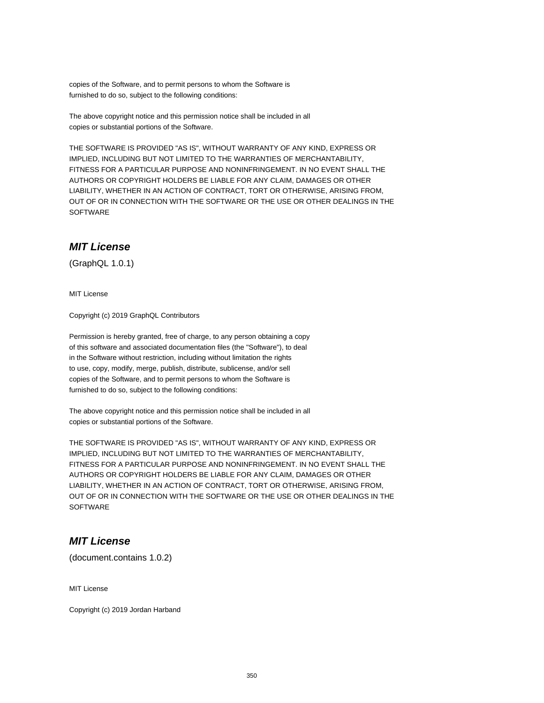copies of the Software, and to permit persons to whom the Software is furnished to do so, subject to the following conditions:

The above copyright notice and this permission notice shall be included in all copies or substantial portions of the Software.

THE SOFTWARE IS PROVIDED "AS IS", WITHOUT WARRANTY OF ANY KIND, EXPRESS OR IMPLIED, INCLUDING BUT NOT LIMITED TO THE WARRANTIES OF MERCHANTABILITY, FITNESS FOR A PARTICULAR PURPOSE AND NONINFRINGEMENT. IN NO EVENT SHALL THE AUTHORS OR COPYRIGHT HOLDERS BE LIABLE FOR ANY CLAIM, DAMAGES OR OTHER LIABILITY, WHETHER IN AN ACTION OF CONTRACT, TORT OR OTHERWISE, ARISING FROM, OUT OF OR IN CONNECTION WITH THE SOFTWARE OR THE USE OR OTHER DEALINGS IN THE **SOFTWARE** 

# **MIT License**

(GraphQL 1.0.1)

MIT License

Copyright (c) 2019 GraphQL Contributors

Permission is hereby granted, free of charge, to any person obtaining a copy of this software and associated documentation files (the "Software"), to deal in the Software without restriction, including without limitation the rights to use, copy, modify, merge, publish, distribute, sublicense, and/or sell copies of the Software, and to permit persons to whom the Software is furnished to do so, subject to the following conditions:

The above copyright notice and this permission notice shall be included in all copies or substantial portions of the Software.

THE SOFTWARE IS PROVIDED "AS IS", WITHOUT WARRANTY OF ANY KIND, EXPRESS OR IMPLIED, INCLUDING BUT NOT LIMITED TO THE WARRANTIES OF MERCHANTABILITY, FITNESS FOR A PARTICULAR PURPOSE AND NONINFRINGEMENT. IN NO EVENT SHALL THE AUTHORS OR COPYRIGHT HOLDERS BE LIABLE FOR ANY CLAIM, DAMAGES OR OTHER LIABILITY, WHETHER IN AN ACTION OF CONTRACT, TORT OR OTHERWISE, ARISING FROM, OUT OF OR IN CONNECTION WITH THE SOFTWARE OR THE USE OR OTHER DEALINGS IN THE **SOFTWARE** 

# **MIT License**

(document.contains 1.0.2)

MIT License

Copyright (c) 2019 Jordan Harband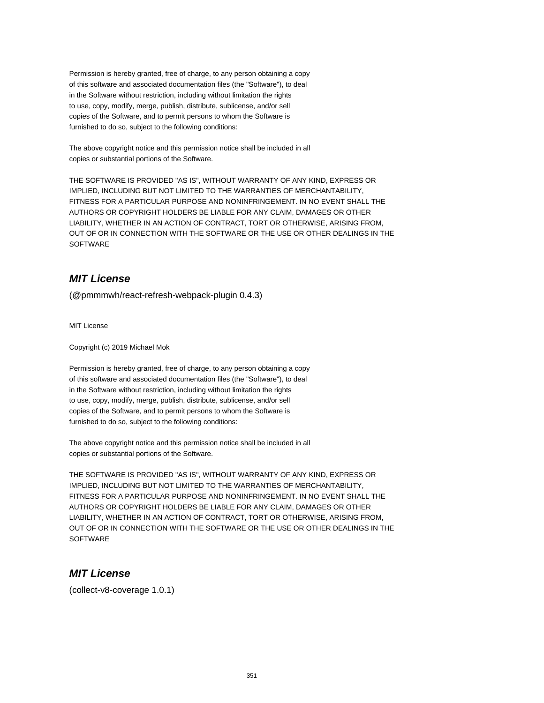Permission is hereby granted, free of charge, to any person obtaining a copy of this software and associated documentation files (the "Software"), to deal in the Software without restriction, including without limitation the rights to use, copy, modify, merge, publish, distribute, sublicense, and/or sell copies of the Software, and to permit persons to whom the Software is furnished to do so, subject to the following conditions:

The above copyright notice and this permission notice shall be included in all copies or substantial portions of the Software.

THE SOFTWARE IS PROVIDED "AS IS", WITHOUT WARRANTY OF ANY KIND, EXPRESS OR IMPLIED, INCLUDING BUT NOT LIMITED TO THE WARRANTIES OF MERCHANTABILITY, FITNESS FOR A PARTICULAR PURPOSE AND NONINFRINGEMENT. IN NO EVENT SHALL THE AUTHORS OR COPYRIGHT HOLDERS BE LIABLE FOR ANY CLAIM, DAMAGES OR OTHER LIABILITY, WHETHER IN AN ACTION OF CONTRACT, TORT OR OTHERWISE, ARISING FROM, OUT OF OR IN CONNECTION WITH THE SOFTWARE OR THE USE OR OTHER DEALINGS IN THE SOFTWARE

# **MIT License**

(@pmmmwh/react-refresh-webpack-plugin 0.4.3)

MIT License

Copyright (c) 2019 Michael Mok

Permission is hereby granted, free of charge, to any person obtaining a copy of this software and associated documentation files (the "Software"), to deal in the Software without restriction, including without limitation the rights to use, copy, modify, merge, publish, distribute, sublicense, and/or sell copies of the Software, and to permit persons to whom the Software is furnished to do so, subject to the following conditions:

The above copyright notice and this permission notice shall be included in all copies or substantial portions of the Software.

THE SOFTWARE IS PROVIDED "AS IS", WITHOUT WARRANTY OF ANY KIND, EXPRESS OR IMPLIED, INCLUDING BUT NOT LIMITED TO THE WARRANTIES OF MERCHANTABILITY, FITNESS FOR A PARTICULAR PURPOSE AND NONINFRINGEMENT. IN NO EVENT SHALL THE AUTHORS OR COPYRIGHT HOLDERS BE LIABLE FOR ANY CLAIM, DAMAGES OR OTHER LIABILITY, WHETHER IN AN ACTION OF CONTRACT, TORT OR OTHERWISE, ARISING FROM, OUT OF OR IN CONNECTION WITH THE SOFTWARE OR THE USE OR OTHER DEALINGS IN THE **SOFTWARE** 

# **MIT License**

(collect-v8-coverage 1.0.1)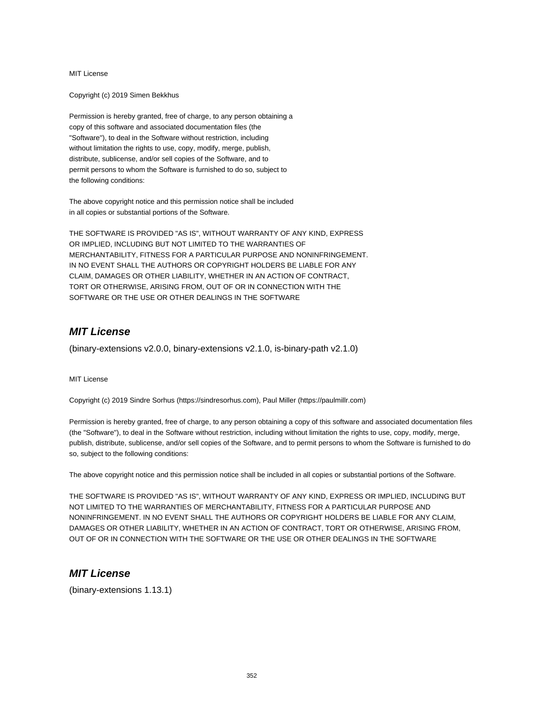Copyright (c) 2019 Simen Bekkhus

Permission is hereby granted, free of charge, to any person obtaining a copy of this software and associated documentation files (the "Software"), to deal in the Software without restriction, including without limitation the rights to use, copy, modify, merge, publish, distribute, sublicense, and/or sell copies of the Software, and to permit persons to whom the Software is furnished to do so, subject to the following conditions:

The above copyright notice and this permission notice shall be included in all copies or substantial portions of the Software.

THE SOFTWARE IS PROVIDED "AS IS", WITHOUT WARRANTY OF ANY KIND, EXPRESS OR IMPLIED, INCLUDING BUT NOT LIMITED TO THE WARRANTIES OF MERCHANTABILITY, FITNESS FOR A PARTICULAR PURPOSE AND NONINFRINGEMENT. IN NO EVENT SHALL THE AUTHORS OR COPYRIGHT HOLDERS BE LIABLE FOR ANY CLAIM, DAMAGES OR OTHER LIABILITY, WHETHER IN AN ACTION OF CONTRACT, TORT OR OTHERWISE, ARISING FROM, OUT OF OR IN CONNECTION WITH THE SOFTWARE OR THE USE OR OTHER DEALINGS IN THE SOFTWARE

### **MIT License**

(binary-extensions v2.0.0, binary-extensions v2.1.0, is-binary-path v2.1.0)

MIT License

Copyright (c) 2019 Sindre Sorhus (https://sindresorhus.com), Paul Miller (https://paulmillr.com)

Permission is hereby granted, free of charge, to any person obtaining a copy of this software and associated documentation files (the "Software"), to deal in the Software without restriction, including without limitation the rights to use, copy, modify, merge, publish, distribute, sublicense, and/or sell copies of the Software, and to permit persons to whom the Software is furnished to do so, subject to the following conditions:

The above copyright notice and this permission notice shall be included in all copies or substantial portions of the Software.

THE SOFTWARE IS PROVIDED "AS IS", WITHOUT WARRANTY OF ANY KIND, EXPRESS OR IMPLIED, INCLUDING BUT NOT LIMITED TO THE WARRANTIES OF MERCHANTABILITY, FITNESS FOR A PARTICULAR PURPOSE AND NONINFRINGEMENT. IN NO EVENT SHALL THE AUTHORS OR COPYRIGHT HOLDERS BE LIABLE FOR ANY CLAIM, DAMAGES OR OTHER LIABILITY, WHETHER IN AN ACTION OF CONTRACT, TORT OR OTHERWISE, ARISING FROM, OUT OF OR IN CONNECTION WITH THE SOFTWARE OR THE USE OR OTHER DEALINGS IN THE SOFTWARE

### **MIT License**

(binary-extensions 1.13.1)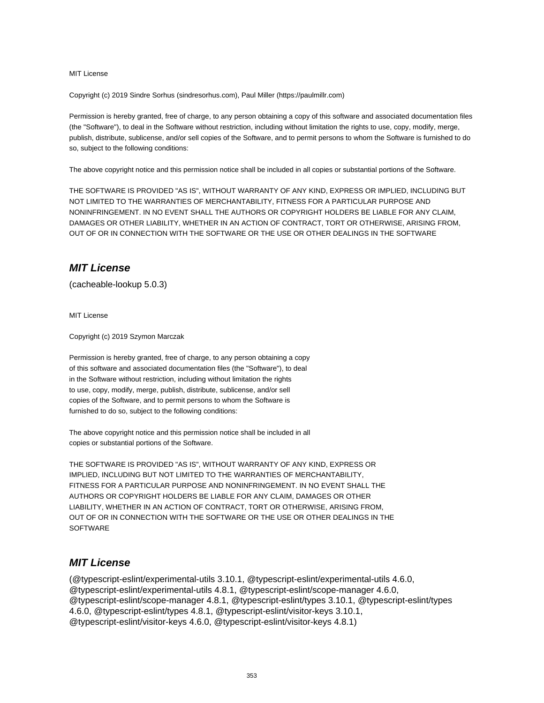Copyright (c) 2019 Sindre Sorhus (sindresorhus.com), Paul Miller (https://paulmillr.com)

Permission is hereby granted, free of charge, to any person obtaining a copy of this software and associated documentation files (the "Software"), to deal in the Software without restriction, including without limitation the rights to use, copy, modify, merge, publish, distribute, sublicense, and/or sell copies of the Software, and to permit persons to whom the Software is furnished to do so, subject to the following conditions:

The above copyright notice and this permission notice shall be included in all copies or substantial portions of the Software.

THE SOFTWARE IS PROVIDED "AS IS", WITHOUT WARRANTY OF ANY KIND, EXPRESS OR IMPLIED, INCLUDING BUT NOT LIMITED TO THE WARRANTIES OF MERCHANTABILITY, FITNESS FOR A PARTICULAR PURPOSE AND NONINFRINGEMENT. IN NO EVENT SHALL THE AUTHORS OR COPYRIGHT HOLDERS BE LIABLE FOR ANY CLAIM, DAMAGES OR OTHER LIABILITY, WHETHER IN AN ACTION OF CONTRACT, TORT OR OTHERWISE, ARISING FROM, OUT OF OR IN CONNECTION WITH THE SOFTWARE OR THE USE OR OTHER DEALINGS IN THE SOFTWARE

### **MIT License**

(cacheable-lookup 5.0.3)

MIT License

Copyright (c) 2019 Szymon Marczak

Permission is hereby granted, free of charge, to any person obtaining a copy of this software and associated documentation files (the "Software"), to deal in the Software without restriction, including without limitation the rights to use, copy, modify, merge, publish, distribute, sublicense, and/or sell copies of the Software, and to permit persons to whom the Software is furnished to do so, subject to the following conditions:

The above copyright notice and this permission notice shall be included in all copies or substantial portions of the Software.

THE SOFTWARE IS PROVIDED "AS IS", WITHOUT WARRANTY OF ANY KIND, EXPRESS OR IMPLIED, INCLUDING BUT NOT LIMITED TO THE WARRANTIES OF MERCHANTABILITY, FITNESS FOR A PARTICULAR PURPOSE AND NONINFRINGEMENT. IN NO EVENT SHALL THE AUTHORS OR COPYRIGHT HOLDERS BE LIABLE FOR ANY CLAIM, DAMAGES OR OTHER LIABILITY, WHETHER IN AN ACTION OF CONTRACT, TORT OR OTHERWISE, ARISING FROM, OUT OF OR IN CONNECTION WITH THE SOFTWARE OR THE USE OR OTHER DEALINGS IN THE **SOFTWARE** 

### **MIT License**

(@typescript-eslint/experimental-utils 3.10.1, @typescript-eslint/experimental-utils 4.6.0, @typescript-eslint/experimental-utils 4.8.1, @typescript-eslint/scope-manager 4.6.0, @typescript-eslint/scope-manager 4.8.1, @typescript-eslint/types 3.10.1, @typescript-eslint/types 4.6.0, @typescript-eslint/types 4.8.1, @typescript-eslint/visitor-keys 3.10.1, @typescript-eslint/visitor-keys 4.6.0, @typescript-eslint/visitor-keys 4.8.1)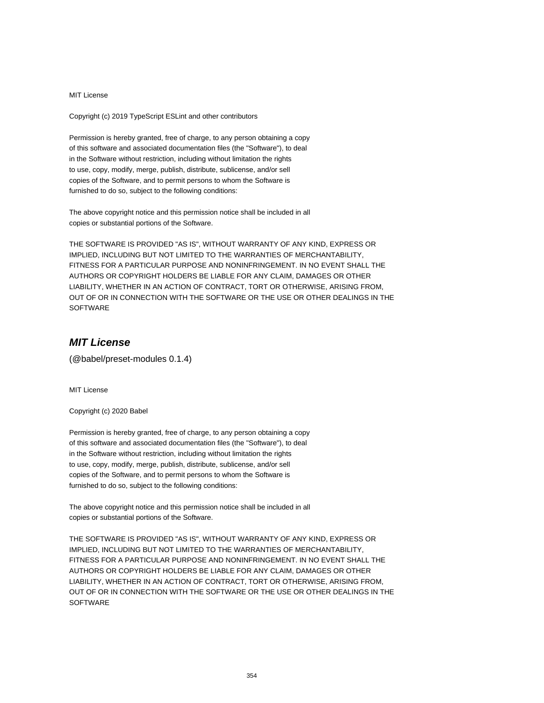Copyright (c) 2019 TypeScript ESLint and other contributors

Permission is hereby granted, free of charge, to any person obtaining a copy of this software and associated documentation files (the "Software"), to deal in the Software without restriction, including without limitation the rights to use, copy, modify, merge, publish, distribute, sublicense, and/or sell copies of the Software, and to permit persons to whom the Software is furnished to do so, subject to the following conditions:

The above copyright notice and this permission notice shall be included in all copies or substantial portions of the Software.

THE SOFTWARE IS PROVIDED "AS IS", WITHOUT WARRANTY OF ANY KIND, EXPRESS OR IMPLIED, INCLUDING BUT NOT LIMITED TO THE WARRANTIES OF MERCHANTABILITY, FITNESS FOR A PARTICULAR PURPOSE AND NONINFRINGEMENT. IN NO EVENT SHALL THE AUTHORS OR COPYRIGHT HOLDERS BE LIABLE FOR ANY CLAIM, DAMAGES OR OTHER LIABILITY, WHETHER IN AN ACTION OF CONTRACT, TORT OR OTHERWISE, ARISING FROM, OUT OF OR IN CONNECTION WITH THE SOFTWARE OR THE USE OR OTHER DEALINGS IN THE SOFTWARE

# **MIT License**

(@babel/preset-modules 0.1.4)

MIT License

Copyright (c) 2020 Babel

Permission is hereby granted, free of charge, to any person obtaining a copy of this software and associated documentation files (the "Software"), to deal in the Software without restriction, including without limitation the rights to use, copy, modify, merge, publish, distribute, sublicense, and/or sell copies of the Software, and to permit persons to whom the Software is furnished to do so, subject to the following conditions:

The above copyright notice and this permission notice shall be included in all copies or substantial portions of the Software.

THE SOFTWARE IS PROVIDED "AS IS", WITHOUT WARRANTY OF ANY KIND, EXPRESS OR IMPLIED, INCLUDING BUT NOT LIMITED TO THE WARRANTIES OF MERCHANTABILITY, FITNESS FOR A PARTICULAR PURPOSE AND NONINFRINGEMENT. IN NO EVENT SHALL THE AUTHORS OR COPYRIGHT HOLDERS BE LIABLE FOR ANY CLAIM, DAMAGES OR OTHER LIABILITY, WHETHER IN AN ACTION OF CONTRACT, TORT OR OTHERWISE, ARISING FROM, OUT OF OR IN CONNECTION WITH THE SOFTWARE OR THE USE OR OTHER DEALINGS IN THE **SOFTWARE**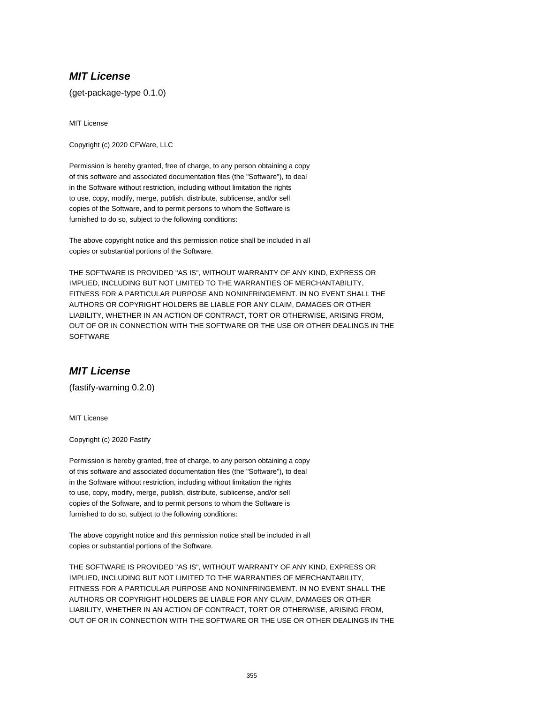(get-package-type 0.1.0)

MIT License

Copyright (c) 2020 CFWare, LLC

Permission is hereby granted, free of charge, to any person obtaining a copy of this software and associated documentation files (the "Software"), to deal in the Software without restriction, including without limitation the rights to use, copy, modify, merge, publish, distribute, sublicense, and/or sell copies of the Software, and to permit persons to whom the Software is furnished to do so, subject to the following conditions:

The above copyright notice and this permission notice shall be included in all copies or substantial portions of the Software.

THE SOFTWARE IS PROVIDED "AS IS", WITHOUT WARRANTY OF ANY KIND, EXPRESS OR IMPLIED, INCLUDING BUT NOT LIMITED TO THE WARRANTIES OF MERCHANTABILITY, FITNESS FOR A PARTICULAR PURPOSE AND NONINFRINGEMENT. IN NO EVENT SHALL THE AUTHORS OR COPYRIGHT HOLDERS BE LIABLE FOR ANY CLAIM, DAMAGES OR OTHER LIABILITY, WHETHER IN AN ACTION OF CONTRACT, TORT OR OTHERWISE, ARISING FROM, OUT OF OR IN CONNECTION WITH THE SOFTWARE OR THE USE OR OTHER DEALINGS IN THE **SOFTWARE** 

# **MIT License**

(fastify-warning 0.2.0)

MIT License

Copyright (c) 2020 Fastify

Permission is hereby granted, free of charge, to any person obtaining a copy of this software and associated documentation files (the "Software"), to deal in the Software without restriction, including without limitation the rights to use, copy, modify, merge, publish, distribute, sublicense, and/or sell copies of the Software, and to permit persons to whom the Software is furnished to do so, subject to the following conditions:

The above copyright notice and this permission notice shall be included in all copies or substantial portions of the Software.

THE SOFTWARE IS PROVIDED "AS IS", WITHOUT WARRANTY OF ANY KIND, EXPRESS OR IMPLIED, INCLUDING BUT NOT LIMITED TO THE WARRANTIES OF MERCHANTABILITY, FITNESS FOR A PARTICULAR PURPOSE AND NONINFRINGEMENT. IN NO EVENT SHALL THE AUTHORS OR COPYRIGHT HOLDERS BE LIABLE FOR ANY CLAIM, DAMAGES OR OTHER LIABILITY, WHETHER IN AN ACTION OF CONTRACT, TORT OR OTHERWISE, ARISING FROM, OUT OF OR IN CONNECTION WITH THE SOFTWARE OR THE USE OR OTHER DEALINGS IN THE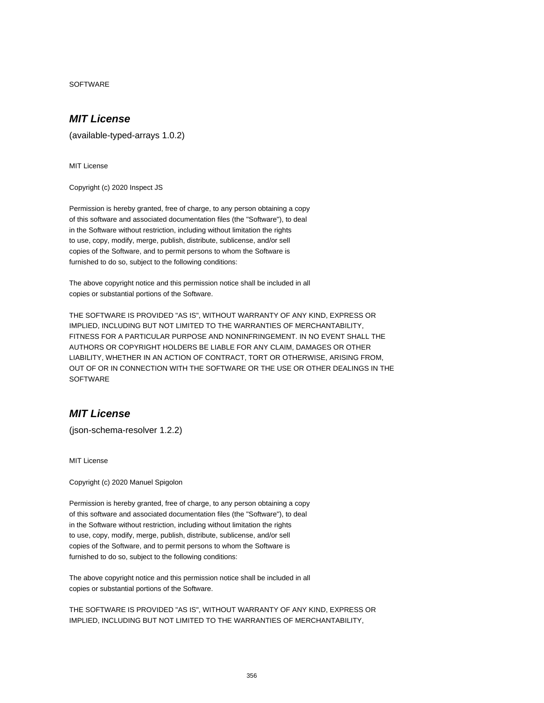SOFTWARE

### **MIT License**

(available-typed-arrays 1.0.2)

MIT License

Copyright (c) 2020 Inspect JS

Permission is hereby granted, free of charge, to any person obtaining a copy of this software and associated documentation files (the "Software"), to deal in the Software without restriction, including without limitation the rights to use, copy, modify, merge, publish, distribute, sublicense, and/or sell copies of the Software, and to permit persons to whom the Software is furnished to do so, subject to the following conditions:

The above copyright notice and this permission notice shall be included in all copies or substantial portions of the Software.

THE SOFTWARE IS PROVIDED "AS IS", WITHOUT WARRANTY OF ANY KIND, EXPRESS OR IMPLIED, INCLUDING BUT NOT LIMITED TO THE WARRANTIES OF MERCHANTABILITY, FITNESS FOR A PARTICULAR PURPOSE AND NONINFRINGEMENT. IN NO EVENT SHALL THE AUTHORS OR COPYRIGHT HOLDERS BE LIABLE FOR ANY CLAIM, DAMAGES OR OTHER LIABILITY, WHETHER IN AN ACTION OF CONTRACT, TORT OR OTHERWISE, ARISING FROM, OUT OF OR IN CONNECTION WITH THE SOFTWARE OR THE USE OR OTHER DEALINGS IN THE **SOFTWARE** 

### **MIT License**

(json-schema-resolver 1.2.2)

MIT License

Copyright (c) 2020 Manuel Spigolon

Permission is hereby granted, free of charge, to any person obtaining a copy of this software and associated documentation files (the "Software"), to deal in the Software without restriction, including without limitation the rights to use, copy, modify, merge, publish, distribute, sublicense, and/or sell copies of the Software, and to permit persons to whom the Software is furnished to do so, subject to the following conditions:

The above copyright notice and this permission notice shall be included in all copies or substantial portions of the Software.

THE SOFTWARE IS PROVIDED "AS IS", WITHOUT WARRANTY OF ANY KIND, EXPRESS OR IMPLIED, INCLUDING BUT NOT LIMITED TO THE WARRANTIES OF MERCHANTABILITY,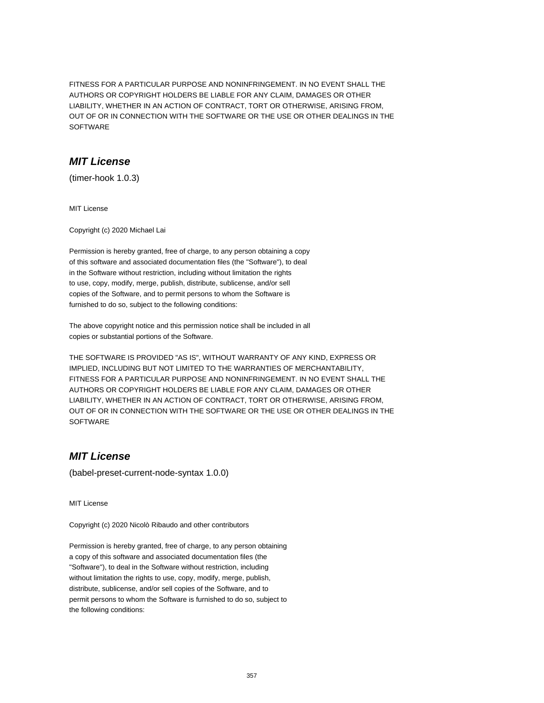FITNESS FOR A PARTICULAR PURPOSE AND NONINFRINGEMENT. IN NO EVENT SHALL THE AUTHORS OR COPYRIGHT HOLDERS BE LIABLE FOR ANY CLAIM, DAMAGES OR OTHER LIABILITY, WHETHER IN AN ACTION OF CONTRACT, TORT OR OTHERWISE, ARISING FROM, OUT OF OR IN CONNECTION WITH THE SOFTWARE OR THE USE OR OTHER DEALINGS IN THE SOFTWARE

### **MIT License**

(timer-hook 1.0.3)

MIT License

Copyright (c) 2020 Michael Lai

Permission is hereby granted, free of charge, to any person obtaining a copy of this software and associated documentation files (the "Software"), to deal in the Software without restriction, including without limitation the rights to use, copy, modify, merge, publish, distribute, sublicense, and/or sell copies of the Software, and to permit persons to whom the Software is furnished to do so, subject to the following conditions:

The above copyright notice and this permission notice shall be included in all copies or substantial portions of the Software.

THE SOFTWARE IS PROVIDED "AS IS", WITHOUT WARRANTY OF ANY KIND, EXPRESS OR IMPLIED, INCLUDING BUT NOT LIMITED TO THE WARRANTIES OF MERCHANTABILITY, FITNESS FOR A PARTICULAR PURPOSE AND NONINFRINGEMENT. IN NO EVENT SHALL THE AUTHORS OR COPYRIGHT HOLDERS BE LIABLE FOR ANY CLAIM, DAMAGES OR OTHER LIABILITY, WHETHER IN AN ACTION OF CONTRACT, TORT OR OTHERWISE, ARISING FROM, OUT OF OR IN CONNECTION WITH THE SOFTWARE OR THE USE OR OTHER DEALINGS IN THE **SOFTWARE** 

# **MIT License**

(babel-preset-current-node-syntax 1.0.0)

MIT License

Copyright (c) 2020 Nicolò Ribaudo and other contributors

Permission is hereby granted, free of charge, to any person obtaining a copy of this software and associated documentation files (the "Software"), to deal in the Software without restriction, including without limitation the rights to use, copy, modify, merge, publish, distribute, sublicense, and/or sell copies of the Software, and to permit persons to whom the Software is furnished to do so, subject to the following conditions: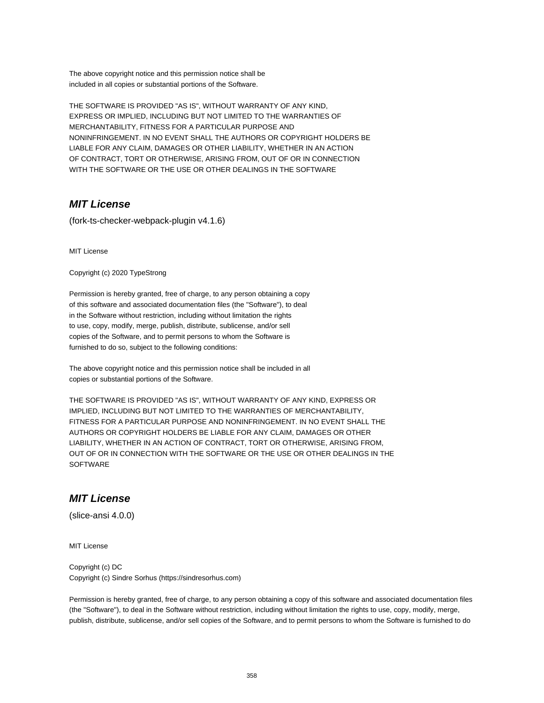The above copyright notice and this permission notice shall be included in all copies or substantial portions of the Software.

THE SOFTWARE IS PROVIDED "AS IS", WITHOUT WARRANTY OF ANY KIND, EXPRESS OR IMPLIED, INCLUDING BUT NOT LIMITED TO THE WARRANTIES OF MERCHANTABILITY, FITNESS FOR A PARTICULAR PURPOSE AND NONINFRINGEMENT. IN NO EVENT SHALL THE AUTHORS OR COPYRIGHT HOLDERS BE LIABLE FOR ANY CLAIM, DAMAGES OR OTHER LIABILITY, WHETHER IN AN ACTION OF CONTRACT, TORT OR OTHERWISE, ARISING FROM, OUT OF OR IN CONNECTION WITH THE SOFTWARE OR THE USE OR OTHER DEALINGS IN THE SOFTWARE

# **MIT License**

(fork-ts-checker-webpack-plugin v4.1.6)

MIT License

Copyright (c) 2020 TypeStrong

Permission is hereby granted, free of charge, to any person obtaining a copy of this software and associated documentation files (the "Software"), to deal in the Software without restriction, including without limitation the rights to use, copy, modify, merge, publish, distribute, sublicense, and/or sell copies of the Software, and to permit persons to whom the Software is furnished to do so, subject to the following conditions:

The above copyright notice and this permission notice shall be included in all copies or substantial portions of the Software.

THE SOFTWARE IS PROVIDED "AS IS", WITHOUT WARRANTY OF ANY KIND, EXPRESS OR IMPLIED, INCLUDING BUT NOT LIMITED TO THE WARRANTIES OF MERCHANTABILITY, FITNESS FOR A PARTICULAR PURPOSE AND NONINFRINGEMENT. IN NO EVENT SHALL THE AUTHORS OR COPYRIGHT HOLDERS BE LIABLE FOR ANY CLAIM, DAMAGES OR OTHER LIABILITY, WHETHER IN AN ACTION OF CONTRACT, TORT OR OTHERWISE, ARISING FROM, OUT OF OR IN CONNECTION WITH THE SOFTWARE OR THE USE OR OTHER DEALINGS IN THE **SOFTWARE** 

# **MIT License**

(slice-ansi 4.0.0)

MIT License

Copyright (c) DC Copyright (c) Sindre Sorhus (https://sindresorhus.com)

Permission is hereby granted, free of charge, to any person obtaining a copy of this software and associated documentation files (the "Software"), to deal in the Software without restriction, including without limitation the rights to use, copy, modify, merge, publish, distribute, sublicense, and/or sell copies of the Software, and to permit persons to whom the Software is furnished to do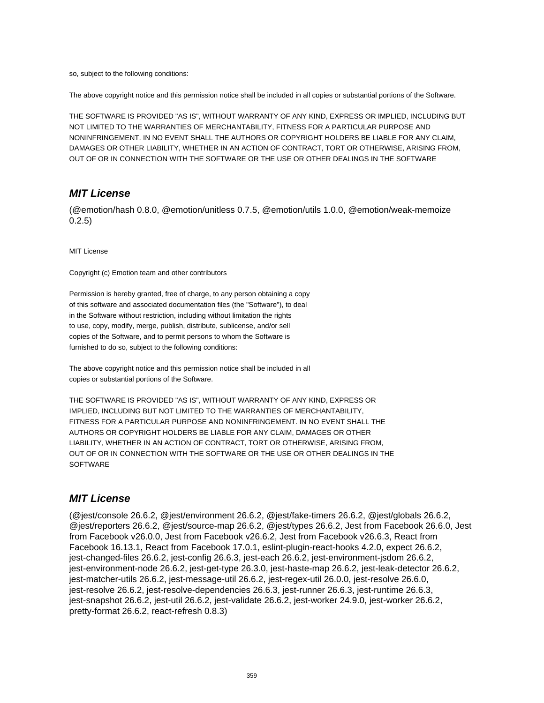so, subject to the following conditions:

The above copyright notice and this permission notice shall be included in all copies or substantial portions of the Software.

THE SOFTWARE IS PROVIDED "AS IS", WITHOUT WARRANTY OF ANY KIND, EXPRESS OR IMPLIED, INCLUDING BUT NOT LIMITED TO THE WARRANTIES OF MERCHANTABILITY, FITNESS FOR A PARTICULAR PURPOSE AND NONINFRINGEMENT. IN NO EVENT SHALL THE AUTHORS OR COPYRIGHT HOLDERS BE LIABLE FOR ANY CLAIM, DAMAGES OR OTHER LIABILITY, WHETHER IN AN ACTION OF CONTRACT, TORT OR OTHERWISE, ARISING FROM, OUT OF OR IN CONNECTION WITH THE SOFTWARE OR THE USE OR OTHER DEALINGS IN THE SOFTWARE

#### **MIT License**

(@emotion/hash 0.8.0, @emotion/unitless 0.7.5, @emotion/utils 1.0.0, @emotion/weak-memoize 0.2.5)

MIT License

Copyright (c) Emotion team and other contributors

Permission is hereby granted, free of charge, to any person obtaining a copy of this software and associated documentation files (the "Software"), to deal in the Software without restriction, including without limitation the rights to use, copy, modify, merge, publish, distribute, sublicense, and/or sell copies of the Software, and to permit persons to whom the Software is furnished to do so, subject to the following conditions:

The above copyright notice and this permission notice shall be included in all copies or substantial portions of the Software.

THE SOFTWARE IS PROVIDED "AS IS", WITHOUT WARRANTY OF ANY KIND, EXPRESS OR IMPLIED, INCLUDING BUT NOT LIMITED TO THE WARRANTIES OF MERCHANTABILITY, FITNESS FOR A PARTICULAR PURPOSE AND NONINFRINGEMENT. IN NO EVENT SHALL THE AUTHORS OR COPYRIGHT HOLDERS BE LIABLE FOR ANY CLAIM, DAMAGES OR OTHER LIABILITY, WHETHER IN AN ACTION OF CONTRACT, TORT OR OTHERWISE, ARISING FROM, OUT OF OR IN CONNECTION WITH THE SOFTWARE OR THE USE OR OTHER DEALINGS IN THE **SOFTWARE** 

### **MIT License**

(@jest/console 26.6.2, @jest/environment 26.6.2, @jest/fake-timers 26.6.2, @jest/globals 26.6.2, @jest/reporters 26.6.2, @jest/source-map 26.6.2, @jest/types 26.6.2, Jest from Facebook 26.6.0, Jest from Facebook v26.0.0, Jest from Facebook v26.6.2, Jest from Facebook v26.6.3, React from Facebook 16.13.1, React from Facebook 17.0.1, eslint-plugin-react-hooks 4.2.0, expect 26.6.2, jest-changed-files 26.6.2, jest-config 26.6.3, jest-each 26.6.2, jest-environment-jsdom 26.6.2, jest-environment-node 26.6.2, jest-get-type 26.3.0, jest-haste-map 26.6.2, jest-leak-detector 26.6.2, jest-matcher-utils 26.6.2, jest-message-util 26.6.2, jest-regex-util 26.0.0, jest-resolve 26.6.0, jest-resolve 26.6.2, jest-resolve-dependencies 26.6.3, jest-runner 26.6.3, jest-runtime 26.6.3, jest-snapshot 26.6.2, jest-util 26.6.2, jest-validate 26.6.2, jest-worker 24.9.0, jest-worker 26.6.2, pretty-format 26.6.2, react-refresh 0.8.3)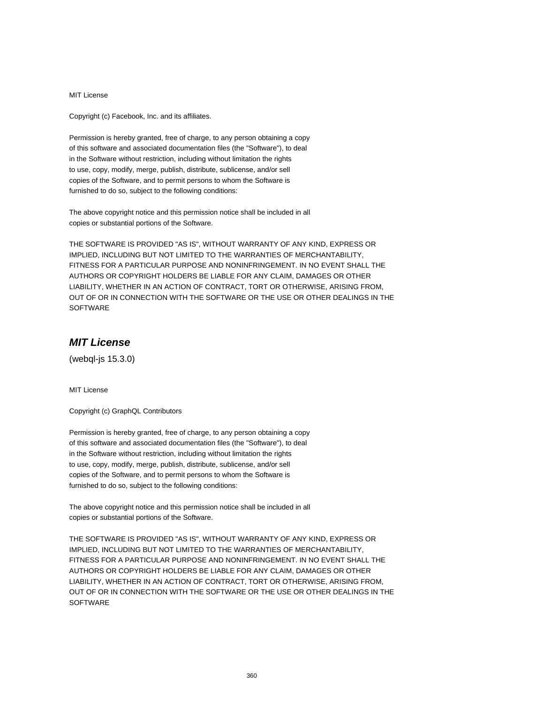Copyright (c) Facebook, Inc. and its affiliates.

Permission is hereby granted, free of charge, to any person obtaining a copy of this software and associated documentation files (the "Software"), to deal in the Software without restriction, including without limitation the rights to use, copy, modify, merge, publish, distribute, sublicense, and/or sell copies of the Software, and to permit persons to whom the Software is furnished to do so, subject to the following conditions:

The above copyright notice and this permission notice shall be included in all copies or substantial portions of the Software.

THE SOFTWARE IS PROVIDED "AS IS", WITHOUT WARRANTY OF ANY KIND, EXPRESS OR IMPLIED, INCLUDING BUT NOT LIMITED TO THE WARRANTIES OF MERCHANTABILITY, FITNESS FOR A PARTICULAR PURPOSE AND NONINFRINGEMENT. IN NO EVENT SHALL THE AUTHORS OR COPYRIGHT HOLDERS BE LIABLE FOR ANY CLAIM, DAMAGES OR OTHER LIABILITY, WHETHER IN AN ACTION OF CONTRACT, TORT OR OTHERWISE, ARISING FROM, OUT OF OR IN CONNECTION WITH THE SOFTWARE OR THE USE OR OTHER DEALINGS IN THE **SOFTWARE** 

# **MIT License**

(webql-js 15.3.0)

MIT License

Copyright (c) GraphQL Contributors

Permission is hereby granted, free of charge, to any person obtaining a copy of this software and associated documentation files (the "Software"), to deal in the Software without restriction, including without limitation the rights to use, copy, modify, merge, publish, distribute, sublicense, and/or sell copies of the Software, and to permit persons to whom the Software is furnished to do so, subject to the following conditions:

The above copyright notice and this permission notice shall be included in all copies or substantial portions of the Software.

THE SOFTWARE IS PROVIDED "AS IS", WITHOUT WARRANTY OF ANY KIND, EXPRESS OR IMPLIED, INCLUDING BUT NOT LIMITED TO THE WARRANTIES OF MERCHANTABILITY, FITNESS FOR A PARTICULAR PURPOSE AND NONINFRINGEMENT. IN NO EVENT SHALL THE AUTHORS OR COPYRIGHT HOLDERS BE LIABLE FOR ANY CLAIM, DAMAGES OR OTHER LIABILITY, WHETHER IN AN ACTION OF CONTRACT, TORT OR OTHERWISE, ARISING FROM, OUT OF OR IN CONNECTION WITH THE SOFTWARE OR THE USE OR OTHER DEALINGS IN THE **SOFTWARE**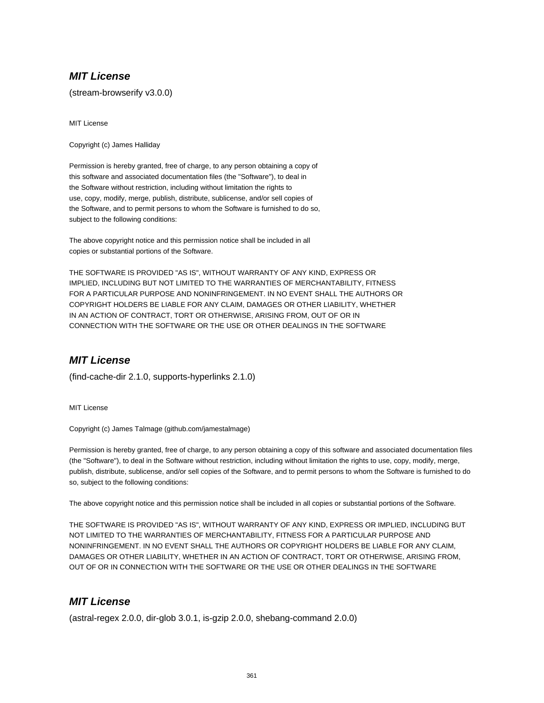## **MIT License**

(stream-browserify v3.0.0)

MIT License

Copyright (c) James Halliday

Permission is hereby granted, free of charge, to any person obtaining a copy of this software and associated documentation files (the "Software"), to deal in the Software without restriction, including without limitation the rights to use, copy, modify, merge, publish, distribute, sublicense, and/or sell copies of the Software, and to permit persons to whom the Software is furnished to do so, subject to the following conditions:

The above copyright notice and this permission notice shall be included in all copies or substantial portions of the Software.

THE SOFTWARE IS PROVIDED "AS IS", WITHOUT WARRANTY OF ANY KIND, EXPRESS OR IMPLIED, INCLUDING BUT NOT LIMITED TO THE WARRANTIES OF MERCHANTABILITY, FITNESS FOR A PARTICULAR PURPOSE AND NONINFRINGEMENT. IN NO EVENT SHALL THE AUTHORS OR COPYRIGHT HOLDERS BE LIABLE FOR ANY CLAIM, DAMAGES OR OTHER LIABILITY, WHETHER IN AN ACTION OF CONTRACT, TORT OR OTHERWISE, ARISING FROM, OUT OF OR IN CONNECTION WITH THE SOFTWARE OR THE USE OR OTHER DEALINGS IN THE SOFTWARE

# **MIT License**

(find-cache-dir 2.1.0, supports-hyperlinks 2.1.0)

MIT License

Copyright (c) James Talmage (github.com/jamestalmage)

Permission is hereby granted, free of charge, to any person obtaining a copy of this software and associated documentation files (the "Software"), to deal in the Software without restriction, including without limitation the rights to use, copy, modify, merge, publish, distribute, sublicense, and/or sell copies of the Software, and to permit persons to whom the Software is furnished to do so, subject to the following conditions:

The above copyright notice and this permission notice shall be included in all copies or substantial portions of the Software.

THE SOFTWARE IS PROVIDED "AS IS", WITHOUT WARRANTY OF ANY KIND, EXPRESS OR IMPLIED, INCLUDING BUT NOT LIMITED TO THE WARRANTIES OF MERCHANTABILITY, FITNESS FOR A PARTICULAR PURPOSE AND NONINFRINGEMENT. IN NO EVENT SHALL THE AUTHORS OR COPYRIGHT HOLDERS BE LIABLE FOR ANY CLAIM, DAMAGES OR OTHER LIABILITY, WHETHER IN AN ACTION OF CONTRACT, TORT OR OTHERWISE, ARISING FROM, OUT OF OR IN CONNECTION WITH THE SOFTWARE OR THE USE OR OTHER DEALINGS IN THE SOFTWARE

## **MIT License**

(astral-regex 2.0.0, dir-glob 3.0.1, is-gzip 2.0.0, shebang-command 2.0.0)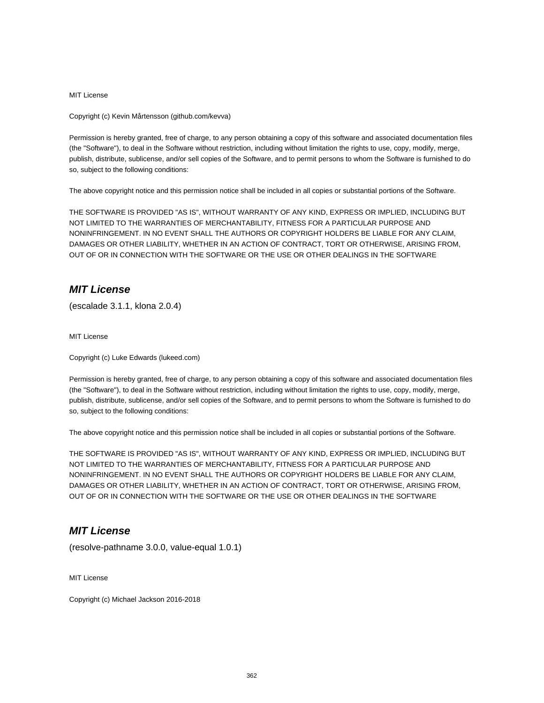MIT License

Copyright (c) Kevin Mårtensson (github.com/kevva)

Permission is hereby granted, free of charge, to any person obtaining a copy of this software and associated documentation files (the "Software"), to deal in the Software without restriction, including without limitation the rights to use, copy, modify, merge, publish, distribute, sublicense, and/or sell copies of the Software, and to permit persons to whom the Software is furnished to do so, subject to the following conditions:

The above copyright notice and this permission notice shall be included in all copies or substantial portions of the Software.

THE SOFTWARE IS PROVIDED "AS IS", WITHOUT WARRANTY OF ANY KIND, EXPRESS OR IMPLIED, INCLUDING BUT NOT LIMITED TO THE WARRANTIES OF MERCHANTABILITY, FITNESS FOR A PARTICULAR PURPOSE AND NONINFRINGEMENT. IN NO EVENT SHALL THE AUTHORS OR COPYRIGHT HOLDERS BE LIABLE FOR ANY CLAIM, DAMAGES OR OTHER LIABILITY, WHETHER IN AN ACTION OF CONTRACT, TORT OR OTHERWISE, ARISING FROM, OUT OF OR IN CONNECTION WITH THE SOFTWARE OR THE USE OR OTHER DEALINGS IN THE SOFTWARE

#### **MIT License**

(escalade 3.1.1, klona 2.0.4)

MIT License

Copyright (c) Luke Edwards (lukeed.com)

Permission is hereby granted, free of charge, to any person obtaining a copy of this software and associated documentation files (the "Software"), to deal in the Software without restriction, including without limitation the rights to use, copy, modify, merge, publish, distribute, sublicense, and/or sell copies of the Software, and to permit persons to whom the Software is furnished to do so, subject to the following conditions:

The above copyright notice and this permission notice shall be included in all copies or substantial portions of the Software.

THE SOFTWARE IS PROVIDED "AS IS", WITHOUT WARRANTY OF ANY KIND, EXPRESS OR IMPLIED, INCLUDING BUT NOT LIMITED TO THE WARRANTIES OF MERCHANTABILITY, FITNESS FOR A PARTICULAR PURPOSE AND NONINFRINGEMENT. IN NO EVENT SHALL THE AUTHORS OR COPYRIGHT HOLDERS BE LIABLE FOR ANY CLAIM, DAMAGES OR OTHER LIABILITY, WHETHER IN AN ACTION OF CONTRACT, TORT OR OTHERWISE, ARISING FROM, OUT OF OR IN CONNECTION WITH THE SOFTWARE OR THE USE OR OTHER DEALINGS IN THE SOFTWARE

## **MIT License**

(resolve-pathname 3.0.0, value-equal 1.0.1)

MIT License

Copyright (c) Michael Jackson 2016-2018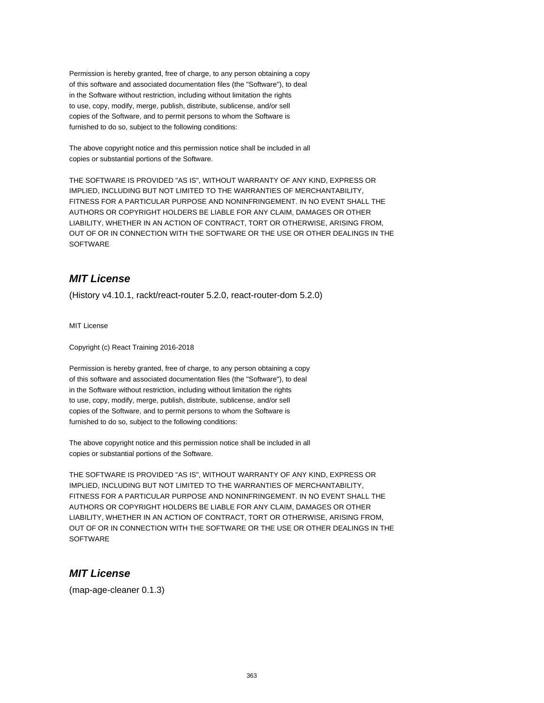Permission is hereby granted, free of charge, to any person obtaining a copy of this software and associated documentation files (the "Software"), to deal in the Software without restriction, including without limitation the rights to use, copy, modify, merge, publish, distribute, sublicense, and/or sell copies of the Software, and to permit persons to whom the Software is furnished to do so, subject to the following conditions:

The above copyright notice and this permission notice shall be included in all copies or substantial portions of the Software.

THE SOFTWARE IS PROVIDED "AS IS", WITHOUT WARRANTY OF ANY KIND, EXPRESS OR IMPLIED, INCLUDING BUT NOT LIMITED TO THE WARRANTIES OF MERCHANTABILITY, FITNESS FOR A PARTICULAR PURPOSE AND NONINFRINGEMENT. IN NO EVENT SHALL THE AUTHORS OR COPYRIGHT HOLDERS BE LIABLE FOR ANY CLAIM, DAMAGES OR OTHER LIABILITY, WHETHER IN AN ACTION OF CONTRACT, TORT OR OTHERWISE, ARISING FROM, OUT OF OR IN CONNECTION WITH THE SOFTWARE OR THE USE OR OTHER DEALINGS IN THE SOFTWARE

## **MIT License**

(History v4.10.1, rackt/react-router 5.2.0, react-router-dom 5.2.0)

MIT License

Copyright (c) React Training 2016-2018

Permission is hereby granted, free of charge, to any person obtaining a copy of this software and associated documentation files (the "Software"), to deal in the Software without restriction, including without limitation the rights to use, copy, modify, merge, publish, distribute, sublicense, and/or sell copies of the Software, and to permit persons to whom the Software is furnished to do so, subject to the following conditions:

The above copyright notice and this permission notice shall be included in all copies or substantial portions of the Software.

THE SOFTWARE IS PROVIDED "AS IS", WITHOUT WARRANTY OF ANY KIND, EXPRESS OR IMPLIED, INCLUDING BUT NOT LIMITED TO THE WARRANTIES OF MERCHANTABILITY, FITNESS FOR A PARTICULAR PURPOSE AND NONINFRINGEMENT. IN NO EVENT SHALL THE AUTHORS OR COPYRIGHT HOLDERS BE LIABLE FOR ANY CLAIM, DAMAGES OR OTHER LIABILITY, WHETHER IN AN ACTION OF CONTRACT, TORT OR OTHERWISE, ARISING FROM, OUT OF OR IN CONNECTION WITH THE SOFTWARE OR THE USE OR OTHER DEALINGS IN THE **SOFTWARE** 

## **MIT License**

(map-age-cleaner 0.1.3)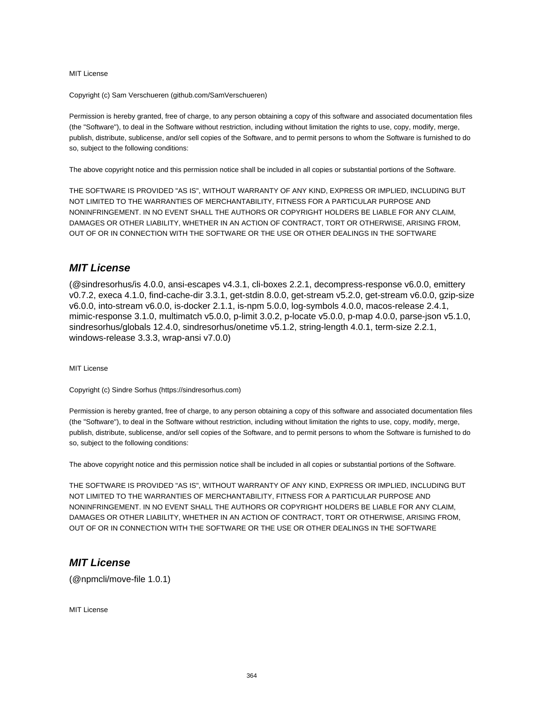MIT License

Copyright (c) Sam Verschueren (github.com/SamVerschueren)

Permission is hereby granted, free of charge, to any person obtaining a copy of this software and associated documentation files (the "Software"), to deal in the Software without restriction, including without limitation the rights to use, copy, modify, merge, publish, distribute, sublicense, and/or sell copies of the Software, and to permit persons to whom the Software is furnished to do so, subject to the following conditions:

The above copyright notice and this permission notice shall be included in all copies or substantial portions of the Software.

THE SOFTWARE IS PROVIDED "AS IS", WITHOUT WARRANTY OF ANY KIND, EXPRESS OR IMPLIED, INCLUDING BUT NOT LIMITED TO THE WARRANTIES OF MERCHANTABILITY, FITNESS FOR A PARTICULAR PURPOSE AND NONINFRINGEMENT. IN NO EVENT SHALL THE AUTHORS OR COPYRIGHT HOLDERS BE LIABLE FOR ANY CLAIM, DAMAGES OR OTHER LIABILITY, WHETHER IN AN ACTION OF CONTRACT, TORT OR OTHERWISE, ARISING FROM, OUT OF OR IN CONNECTION WITH THE SOFTWARE OR THE USE OR OTHER DEALINGS IN THE SOFTWARE

#### **MIT License**

(@sindresorhus/is 4.0.0, ansi-escapes v4.3.1, cli-boxes 2.2.1, decompress-response v6.0.0, emittery v0.7.2, execa 4.1.0, find-cache-dir 3.3.1, get-stdin 8.0.0, get-stream v5.2.0, get-stream v6.0.0, gzip-size v6.0.0, into-stream v6.0.0, is-docker 2.1.1, is-npm 5.0.0, log-symbols 4.0.0, macos-release 2.4.1, mimic-response 3.1.0, multimatch v5.0.0, p-limit 3.0.2, p-locate v5.0.0, p-map 4.0.0, parse-json v5.1.0, sindresorhus/globals 12.4.0, sindresorhus/onetime v5.1.2, string-length 4.0.1, term-size 2.2.1, windows-release 3.3.3, wrap-ansi v7.0.0)

MIT License

Copyright (c) Sindre Sorhus (https://sindresorhus.com)

Permission is hereby granted, free of charge, to any person obtaining a copy of this software and associated documentation files (the "Software"), to deal in the Software without restriction, including without limitation the rights to use, copy, modify, merge, publish, distribute, sublicense, and/or sell copies of the Software, and to permit persons to whom the Software is furnished to do so, subject to the following conditions:

The above copyright notice and this permission notice shall be included in all copies or substantial portions of the Software.

THE SOFTWARE IS PROVIDED "AS IS", WITHOUT WARRANTY OF ANY KIND, EXPRESS OR IMPLIED, INCLUDING BUT NOT LIMITED TO THE WARRANTIES OF MERCHANTABILITY, FITNESS FOR A PARTICULAR PURPOSE AND NONINFRINGEMENT. IN NO EVENT SHALL THE AUTHORS OR COPYRIGHT HOLDERS BE LIABLE FOR ANY CLAIM, DAMAGES OR OTHER LIABILITY, WHETHER IN AN ACTION OF CONTRACT, TORT OR OTHERWISE, ARISING FROM, OUT OF OR IN CONNECTION WITH THE SOFTWARE OR THE USE OR OTHER DEALINGS IN THE SOFTWARE

#### **MIT License**

(@npmcli/move-file 1.0.1)

MIT License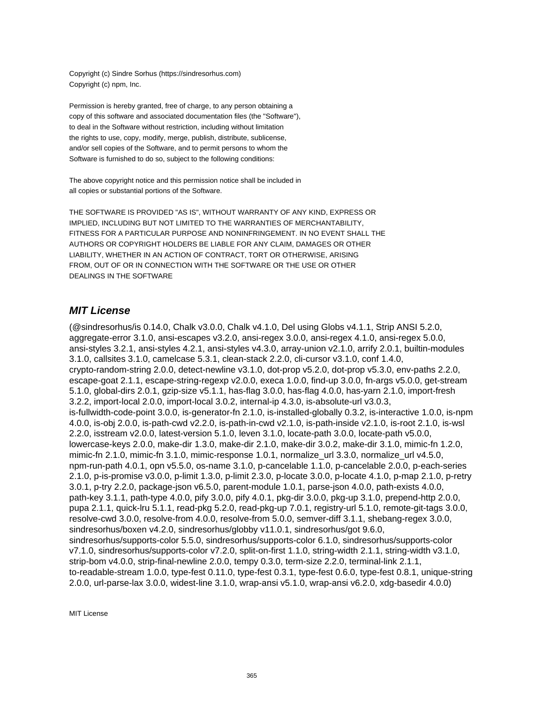Copyright (c) Sindre Sorhus (https://sindresorhus.com) Copyright (c) npm, Inc.

Permission is hereby granted, free of charge, to any person obtaining a copy of this software and associated documentation files (the "Software"), to deal in the Software without restriction, including without limitation the rights to use, copy, modify, merge, publish, distribute, sublicense, and/or sell copies of the Software, and to permit persons to whom the Software is furnished to do so, subject to the following conditions:

The above copyright notice and this permission notice shall be included in all copies or substantial portions of the Software.

THE SOFTWARE IS PROVIDED "AS IS", WITHOUT WARRANTY OF ANY KIND, EXPRESS OR IMPLIED, INCLUDING BUT NOT LIMITED TO THE WARRANTIES OF MERCHANTABILITY, FITNESS FOR A PARTICULAR PURPOSE AND NONINFRINGEMENT. IN NO EVENT SHALL THE AUTHORS OR COPYRIGHT HOLDERS BE LIABLE FOR ANY CLAIM, DAMAGES OR OTHER LIABILITY, WHETHER IN AN ACTION OF CONTRACT, TORT OR OTHERWISE, ARISING FROM, OUT OF OR IN CONNECTION WITH THE SOFTWARE OR THE USE OR OTHER DEALINGS IN THE SOFTWARE

#### **MIT License**

(@sindresorhus/is 0.14.0, Chalk v3.0.0, Chalk v4.1.0, Del using Globs v4.1.1, Strip ANSI 5.2.0, aggregate-error 3.1.0, ansi-escapes v3.2.0, ansi-regex 3.0.0, ansi-regex 4.1.0, ansi-regex 5.0.0, ansi-styles 3.2.1, ansi-styles 4.2.1, ansi-styles v4.3.0, array-union v2.1.0, arrify 2.0.1, builtin-modules 3.1.0, callsites 3.1.0, camelcase 5.3.1, clean-stack 2.2.0, cli-cursor v3.1.0, conf 1.4.0, crypto-random-string 2.0.0, detect-newline v3.1.0, dot-prop v5.2.0, dot-prop v5.3.0, env-paths 2.2.0, escape-goat 2.1.1, escape-string-regexp v2.0.0, execa 1.0.0, find-up 3.0.0, fn-args v5.0.0, get-stream 5.1.0, global-dirs 2.0.1, gzip-size v5.1.1, has-flag 3.0.0, has-flag 4.0.0, has-yarn 2.1.0, import-fresh 3.2.2, import-local 2.0.0, import-local 3.0.2, internal-ip 4.3.0, is-absolute-url v3.0.3, is-fullwidth-code-point 3.0.0, is-generator-fn 2.1.0, is-installed-globally 0.3.2, is-interactive 1.0.0, is-npm 4.0.0, is-obj 2.0.0, is-path-cwd v2.2.0, is-path-in-cwd v2.1.0, is-path-inside v2.1.0, is-root 2.1.0, is-wsl 2.2.0, isstream v2.0.0, latest-version 5.1.0, leven 3.1.0, locate-path 3.0.0, locate-path v5.0.0, lowercase-keys 2.0.0, make-dir 1.3.0, make-dir 2.1.0, make-dir 3.0.2, make-dir 3.1.0, mimic-fn 1.2.0, mimic-fn 2.1.0, mimic-fn 3.1.0, mimic-response 1.0.1, normalize\_url 3.3.0, normalize\_url v4.5.0, npm-run-path 4.0.1, opn v5.5.0, os-name 3.1.0, p-cancelable 1.1.0, p-cancelable 2.0.0, p-each-series 2.1.0, p-is-promise v3.0.0, p-limit 1.3.0, p-limit 2.3.0, p-locate 3.0.0, p-locate 4.1.0, p-map 2.1.0, p-retry 3.0.1, p-try 2.2.0, package-json v6.5.0, parent-module 1.0.1, parse-json 4.0.0, path-exists 4.0.0, path-key 3.1.1, path-type 4.0.0, pify 3.0.0, pify 4.0.1, pkg-dir 3.0.0, pkg-up 3.1.0, prepend-http 2.0.0, pupa 2.1.1, quick-lru 5.1.1, read-pkg 5.2.0, read-pkg-up 7.0.1, registry-url 5.1.0, remote-git-tags 3.0.0, resolve-cwd 3.0.0, resolve-from 4.0.0, resolve-from 5.0.0, semver-diff 3.1.1, shebang-regex 3.0.0, sindresorhus/boxen v4.2.0, sindresorhus/globby v11.0.1, sindresorhus/got 9.6.0, sindresorhus/supports-color 5.5.0, sindresorhus/supports-color 6.1.0, sindresorhus/supports-color v7.1.0, sindresorhus/supports-color v7.2.0, split-on-first 1.1.0, string-width 2.1.1, string-width v3.1.0, strip-bom v4.0.0, strip-final-newline 2.0.0, tempy 0.3.0, term-size 2.2.0, terminal-link 2.1.1, to-readable-stream 1.0.0, type-fest 0.11.0, type-fest 0.3.1, type-fest 0.6.0, type-fest 0.8.1, unique-string 2.0.0, url-parse-lax 3.0.0, widest-line 3.1.0, wrap-ansi v5.1.0, wrap-ansi v6.2.0, xdg-basedir 4.0.0)

MIT License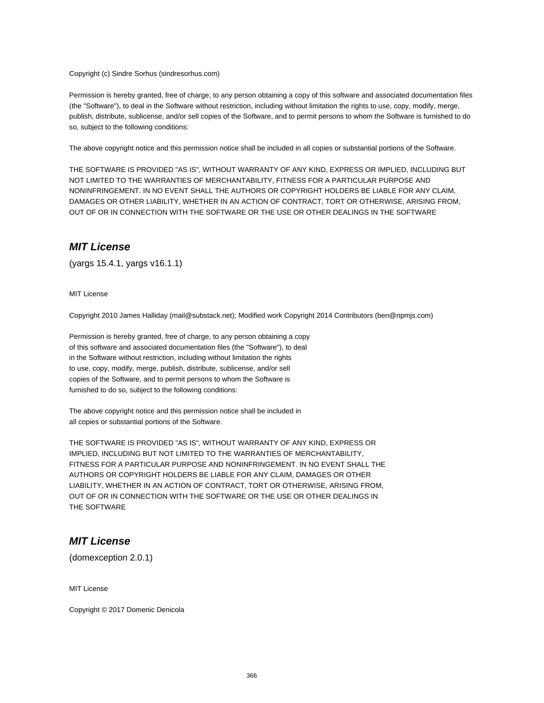Copyright (c) Sindre Sorhus (sindresorhus.com)

Permission is hereby granted, free of charge, to any person obtaining a copy of this software and associated documentation files (the "Software"), to deal in the Software without restriction, including without limitation the rights to use, copy, modify, merge, publish, distribute, sublicense, and/or sell copies of the Software, and to permit persons to whom the Software is furnished to do so, subject to the following conditions:

The above copyright notice and this permission notice shall be included in all copies or substantial portions of the Software.

THE SOFTWARE IS PROVIDED "AS IS", WITHOUT WARRANTY OF ANY KIND, EXPRESS OR IMPLIED, INCLUDING BUT NOT LIMITED TO THE WARRANTIES OF MERCHANTABILITY, FITNESS FOR A PARTICULAR PURPOSE AND NONINFRINGEMENT. IN NO EVENT SHALL THE AUTHORS OR COPYRIGHT HOLDERS BE LIABLE FOR ANY CLAIM, DAMAGES OR OTHER LIABILITY, WHETHER IN AN ACTION OF CONTRACT, TORT OR OTHERWISE, ARISING FROM, OUT OF OR IN CONNECTION WITH THE SOFTWARE OR THE USE OR OTHER DEALINGS IN THE SOFTWARE

#### **MIT License**

(yargs 15.4.1, yargs v16.1.1)

MIT License

Copyright 2010 James Halliday (mail@substack.net); Modified work Copyright 2014 Contributors (ben@npmjs.com)

Permission is hereby granted, free of charge, to any person obtaining a copy of this software and associated documentation files (the "Software"), to deal in the Software without restriction, including without limitation the rights to use, copy, modify, merge, publish, distribute, sublicense, and/or sell copies of the Software, and to permit persons to whom the Software is furnished to do so, subject to the following conditions:

The above copyright notice and this permission notice shall be included in all copies or substantial portions of the Software.

THE SOFTWARE IS PROVIDED "AS IS", WITHOUT WARRANTY OF ANY KIND, EXPRESS OR IMPLIED, INCLUDING BUT NOT LIMITED TO THE WARRANTIES OF MERCHANTABILITY, FITNESS FOR A PARTICULAR PURPOSE AND NONINFRINGEMENT. IN NO EVENT SHALL THE AUTHORS OR COPYRIGHT HOLDERS BE LIABLE FOR ANY CLAIM, DAMAGES OR OTHER LIABILITY, WHETHER IN AN ACTION OF CONTRACT, TORT OR OTHERWISE, ARISING FROM, OUT OF OR IN CONNECTION WITH THE SOFTWARE OR THE USE OR OTHER DEALINGS IN THE SOFTWARE

#### **MIT License**

(domexception 2.0.1)

MIT License

Copyright © 2017 Domenic Denicola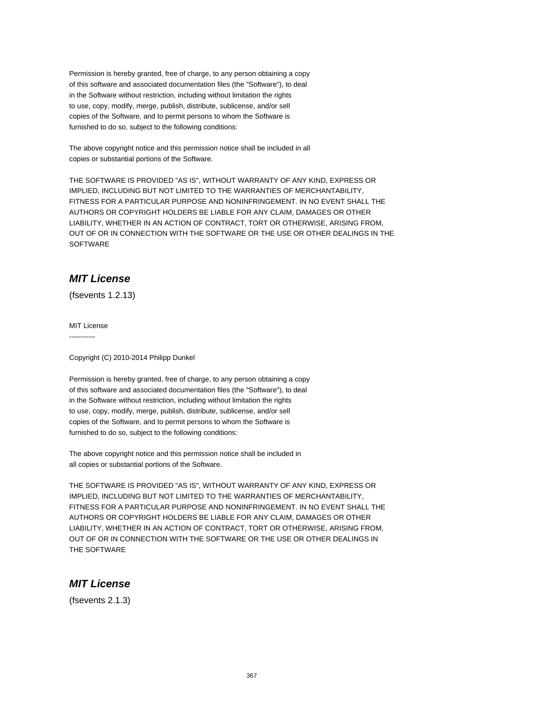Permission is hereby granted, free of charge, to any person obtaining a copy of this software and associated documentation files (the "Software"), to deal in the Software without restriction, including without limitation the rights to use, copy, modify, merge, publish, distribute, sublicense, and/or sell copies of the Software, and to permit persons to whom the Software is furnished to do so, subject to the following conditions:

The above copyright notice and this permission notice shall be included in all copies or substantial portions of the Software.

THE SOFTWARE IS PROVIDED "AS IS", WITHOUT WARRANTY OF ANY KIND, EXPRESS OR IMPLIED, INCLUDING BUT NOT LIMITED TO THE WARRANTIES OF MERCHANTABILITY, FITNESS FOR A PARTICULAR PURPOSE AND NONINFRINGEMENT. IN NO EVENT SHALL THE AUTHORS OR COPYRIGHT HOLDERS BE LIABLE FOR ANY CLAIM, DAMAGES OR OTHER LIABILITY, WHETHER IN AN ACTION OF CONTRACT, TORT OR OTHERWISE, ARISING FROM, OUT OF OR IN CONNECTION WITH THE SOFTWARE OR THE USE OR OTHER DEALINGS IN THE SOFTWARE

## **MIT License**

(fsevents 1.2.13)

MIT License -----------

Copyright (C) 2010-2014 Philipp Dunkel

Permission is hereby granted, free of charge, to any person obtaining a copy of this software and associated documentation files (the "Software"), to deal in the Software without restriction, including without limitation the rights to use, copy, modify, merge, publish, distribute, sublicense, and/or sell copies of the Software, and to permit persons to whom the Software is furnished to do so, subject to the following conditions:

The above copyright notice and this permission notice shall be included in all copies or substantial portions of the Software.

THE SOFTWARE IS PROVIDED "AS IS", WITHOUT WARRANTY OF ANY KIND, EXPRESS OR IMPLIED, INCLUDING BUT NOT LIMITED TO THE WARRANTIES OF MERCHANTABILITY, FITNESS FOR A PARTICULAR PURPOSE AND NONINFRINGEMENT. IN NO EVENT SHALL THE AUTHORS OR COPYRIGHT HOLDERS BE LIABLE FOR ANY CLAIM, DAMAGES OR OTHER LIABILITY, WHETHER IN AN ACTION OF CONTRACT, TORT OR OTHERWISE, ARISING FROM, OUT OF OR IN CONNECTION WITH THE SOFTWARE OR THE USE OR OTHER DEALINGS IN THE SOFTWARE

## **MIT License**

(fsevents 2.1.3)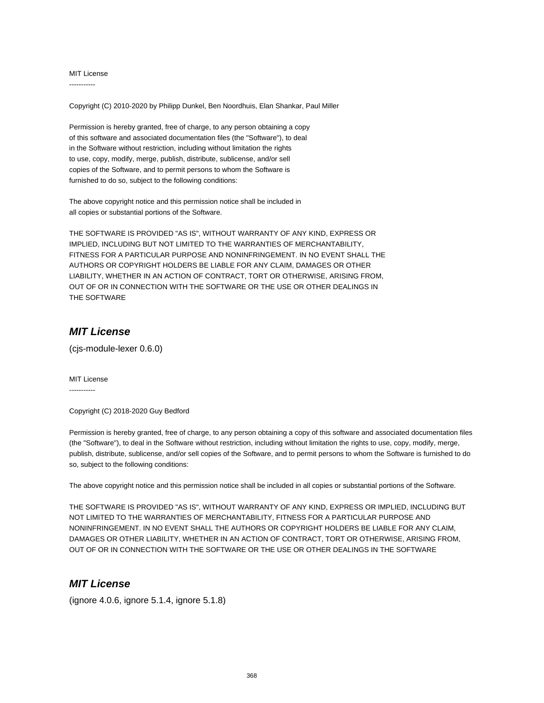MIT License -----------

Copyright (C) 2010-2020 by Philipp Dunkel, Ben Noordhuis, Elan Shankar, Paul Miller

Permission is hereby granted, free of charge, to any person obtaining a copy of this software and associated documentation files (the "Software"), to deal in the Software without restriction, including without limitation the rights to use, copy, modify, merge, publish, distribute, sublicense, and/or sell copies of the Software, and to permit persons to whom the Software is furnished to do so, subject to the following conditions:

The above copyright notice and this permission notice shall be included in all copies or substantial portions of the Software.

THE SOFTWARE IS PROVIDED "AS IS", WITHOUT WARRANTY OF ANY KIND, EXPRESS OR IMPLIED, INCLUDING BUT NOT LIMITED TO THE WARRANTIES OF MERCHANTABILITY, FITNESS FOR A PARTICULAR PURPOSE AND NONINFRINGEMENT. IN NO EVENT SHALL THE AUTHORS OR COPYRIGHT HOLDERS BE LIABLE FOR ANY CLAIM, DAMAGES OR OTHER LIABILITY, WHETHER IN AN ACTION OF CONTRACT, TORT OR OTHERWISE, ARISING FROM, OUT OF OR IN CONNECTION WITH THE SOFTWARE OR THE USE OR OTHER DEALINGS IN THE SOFTWARE

#### **MIT License**

(cjs-module-lexer 0.6.0)

MIT License -----------

Copyright (C) 2018-2020 Guy Bedford

Permission is hereby granted, free of charge, to any person obtaining a copy of this software and associated documentation files (the "Software"), to deal in the Software without restriction, including without limitation the rights to use, copy, modify, merge, publish, distribute, sublicense, and/or sell copies of the Software, and to permit persons to whom the Software is furnished to do so, subject to the following conditions:

The above copyright notice and this permission notice shall be included in all copies or substantial portions of the Software.

THE SOFTWARE IS PROVIDED "AS IS", WITHOUT WARRANTY OF ANY KIND, EXPRESS OR IMPLIED, INCLUDING BUT NOT LIMITED TO THE WARRANTIES OF MERCHANTABILITY, FITNESS FOR A PARTICULAR PURPOSE AND NONINFRINGEMENT. IN NO EVENT SHALL THE AUTHORS OR COPYRIGHT HOLDERS BE LIABLE FOR ANY CLAIM, DAMAGES OR OTHER LIABILITY, WHETHER IN AN ACTION OF CONTRACT, TORT OR OTHERWISE, ARISING FROM, OUT OF OR IN CONNECTION WITH THE SOFTWARE OR THE USE OR OTHER DEALINGS IN THE SOFTWARE

#### **MIT License**

(ignore 4.0.6, ignore 5.1.4, ignore 5.1.8)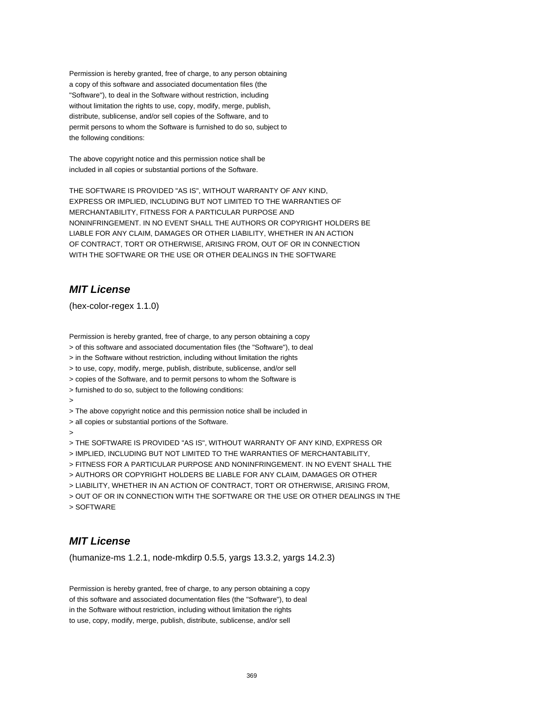Permission is hereby granted, free of charge, to any person obtaining a copy of this software and associated documentation files (the "Software"), to deal in the Software without restriction, including without limitation the rights to use, copy, modify, merge, publish, distribute, sublicense, and/or sell copies of the Software, and to permit persons to whom the Software is furnished to do so, subject to the following conditions:

The above copyright notice and this permission notice shall be included in all copies or substantial portions of the Software.

THE SOFTWARE IS PROVIDED "AS IS", WITHOUT WARRANTY OF ANY KIND, EXPRESS OR IMPLIED, INCLUDING BUT NOT LIMITED TO THE WARRANTIES OF MERCHANTABILITY, FITNESS FOR A PARTICULAR PURPOSE AND NONINFRINGEMENT. IN NO EVENT SHALL THE AUTHORS OR COPYRIGHT HOLDERS BE LIABLE FOR ANY CLAIM, DAMAGES OR OTHER LIABILITY, WHETHER IN AN ACTION OF CONTRACT, TORT OR OTHERWISE, ARISING FROM, OUT OF OR IN CONNECTION WITH THE SOFTWARE OR THE USE OR OTHER DEALINGS IN THE SOFTWARE

## **MIT License**

(hex-color-regex 1.1.0)

Permission is hereby granted, free of charge, to any person obtaining a copy > of this software and associated documentation files (the "Software"), to deal > in the Software without restriction, including without limitation the rights > to use, copy, modify, merge, publish, distribute, sublicense, and/or sell > copies of the Software, and to permit persons to whom the Software is > furnished to do so, subject to the following conditions: > > The above copyright notice and this permission notice shall be included in > all copies or substantial portions of the Software. > > THE SOFTWARE IS PROVIDED "AS IS", WITHOUT WARRANTY OF ANY KIND, EXPRESS OR > IMPLIED, INCLUDING BUT NOT LIMITED TO THE WARRANTIES OF MERCHANTABILITY, > FITNESS FOR A PARTICULAR PURPOSE AND NONINFRINGEMENT. IN NO EVENT SHALL THE > AUTHORS OR COPYRIGHT HOLDERS BE LIABLE FOR ANY CLAIM, DAMAGES OR OTHER > LIABILITY, WHETHER IN AN ACTION OF CONTRACT, TORT OR OTHERWISE, ARISING FROM, > OUT OF OR IN CONNECTION WITH THE SOFTWARE OR THE USE OR OTHER DEALINGS IN THE > SOFTWARE

## **MIT License**

(humanize-ms 1.2.1, node-mkdirp 0.5.5, yargs 13.3.2, yargs 14.2.3)

Permission is hereby granted, free of charge, to any person obtaining a copy of this software and associated documentation files (the "Software"), to deal in the Software without restriction, including without limitation the rights to use, copy, modify, merge, publish, distribute, sublicense, and/or sell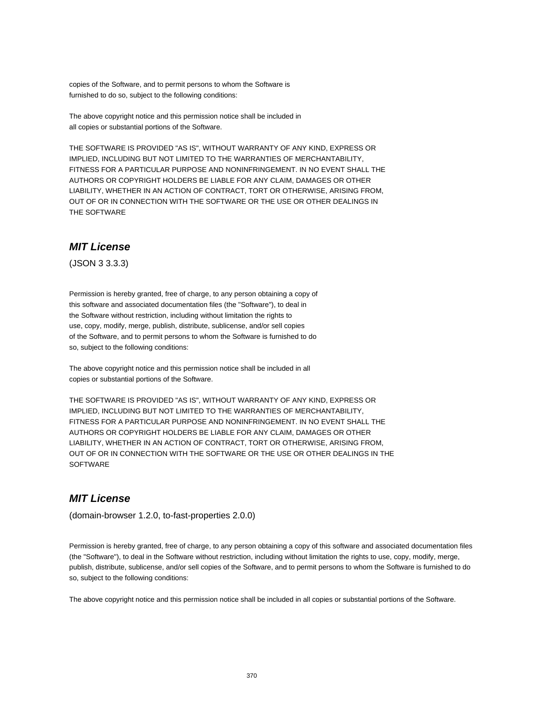copies of the Software, and to permit persons to whom the Software is furnished to do so, subject to the following conditions:

The above copyright notice and this permission notice shall be included in all copies or substantial portions of the Software.

THE SOFTWARE IS PROVIDED "AS IS", WITHOUT WARRANTY OF ANY KIND, EXPRESS OR IMPLIED, INCLUDING BUT NOT LIMITED TO THE WARRANTIES OF MERCHANTABILITY, FITNESS FOR A PARTICULAR PURPOSE AND NONINFRINGEMENT. IN NO EVENT SHALL THE AUTHORS OR COPYRIGHT HOLDERS BE LIABLE FOR ANY CLAIM, DAMAGES OR OTHER LIABILITY, WHETHER IN AN ACTION OF CONTRACT, TORT OR OTHERWISE, ARISING FROM, OUT OF OR IN CONNECTION WITH THE SOFTWARE OR THE USE OR OTHER DEALINGS IN THE SOFTWARE

#### **MIT License**

(JSON 3 3.3.3)

Permission is hereby granted, free of charge, to any person obtaining a copy of this software and associated documentation files (the "Software"), to deal in the Software without restriction, including without limitation the rights to use, copy, modify, merge, publish, distribute, sublicense, and/or sell copies of the Software, and to permit persons to whom the Software is furnished to do so, subject to the following conditions:

The above copyright notice and this permission notice shall be included in all copies or substantial portions of the Software.

THE SOFTWARE IS PROVIDED "AS IS", WITHOUT WARRANTY OF ANY KIND, EXPRESS OR IMPLIED, INCLUDING BUT NOT LIMITED TO THE WARRANTIES OF MERCHANTABILITY, FITNESS FOR A PARTICULAR PURPOSE AND NONINFRINGEMENT. IN NO EVENT SHALL THE AUTHORS OR COPYRIGHT HOLDERS BE LIABLE FOR ANY CLAIM, DAMAGES OR OTHER LIABILITY, WHETHER IN AN ACTION OF CONTRACT, TORT OR OTHERWISE, ARISING FROM, OUT OF OR IN CONNECTION WITH THE SOFTWARE OR THE USE OR OTHER DEALINGS IN THE **SOFTWARE** 

#### **MIT License**

(domain-browser 1.2.0, to-fast-properties 2.0.0)

Permission is hereby granted, free of charge, to any person obtaining a copy of this software and associated documentation files (the "Software"), to deal in the Software without restriction, including without limitation the rights to use, copy, modify, merge, publish, distribute, sublicense, and/or sell copies of the Software, and to permit persons to whom the Software is furnished to do so, subject to the following conditions:

The above copyright notice and this permission notice shall be included in all copies or substantial portions of the Software.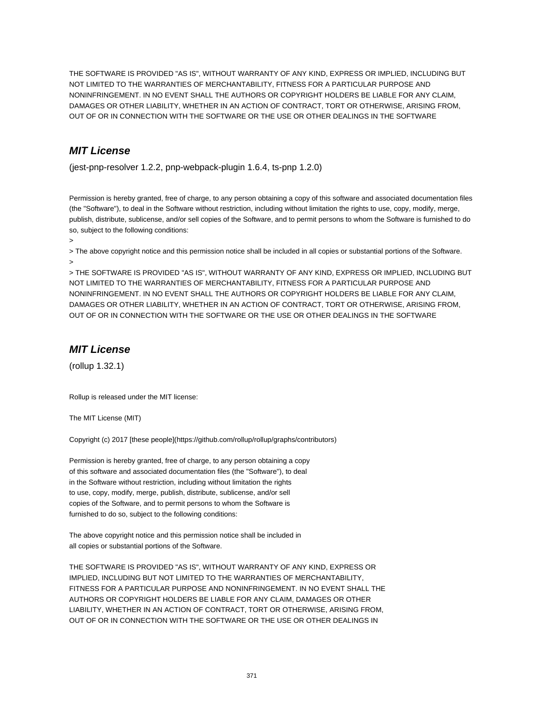THE SOFTWARE IS PROVIDED "AS IS", WITHOUT WARRANTY OF ANY KIND, EXPRESS OR IMPLIED, INCLUDING BUT NOT LIMITED TO THE WARRANTIES OF MERCHANTABILITY, FITNESS FOR A PARTICULAR PURPOSE AND NONINFRINGEMENT. IN NO EVENT SHALL THE AUTHORS OR COPYRIGHT HOLDERS BE LIABLE FOR ANY CLAIM, DAMAGES OR OTHER LIABILITY, WHETHER IN AN ACTION OF CONTRACT, TORT OR OTHERWISE, ARISING FROM, OUT OF OR IN CONNECTION WITH THE SOFTWARE OR THE USE OR OTHER DEALINGS IN THE SOFTWARE

## **MIT License**

(jest-pnp-resolver 1.2.2, pnp-webpack-plugin 1.6.4, ts-pnp 1.2.0)

Permission is hereby granted, free of charge, to any person obtaining a copy of this software and associated documentation files (the "Software"), to deal in the Software without restriction, including without limitation the rights to use, copy, modify, merge, publish, distribute, sublicense, and/or sell copies of the Software, and to permit persons to whom the Software is furnished to do so, subject to the following conditions:

>

> The above copyright notice and this permission notice shall be included in all copies or substantial portions of the Software. >

> THE SOFTWARE IS PROVIDED "AS IS", WITHOUT WARRANTY OF ANY KIND, EXPRESS OR IMPLIED, INCLUDING BUT NOT LIMITED TO THE WARRANTIES OF MERCHANTABILITY, FITNESS FOR A PARTICULAR PURPOSE AND NONINFRINGEMENT. IN NO EVENT SHALL THE AUTHORS OR COPYRIGHT HOLDERS BE LIABLE FOR ANY CLAIM, DAMAGES OR OTHER LIABILITY, WHETHER IN AN ACTION OF CONTRACT, TORT OR OTHERWISE, ARISING FROM, OUT OF OR IN CONNECTION WITH THE SOFTWARE OR THE USE OR OTHER DEALINGS IN THE SOFTWARE

## **MIT License**

(rollup 1.32.1)

Rollup is released under the MIT license:

The MIT License (MIT)

Copyright (c) 2017 [these people](https://github.com/rollup/rollup/graphs/contributors)

Permission is hereby granted, free of charge, to any person obtaining a copy of this software and associated documentation files (the "Software"), to deal in the Software without restriction, including without limitation the rights to use, copy, modify, merge, publish, distribute, sublicense, and/or sell copies of the Software, and to permit persons to whom the Software is furnished to do so, subject to the following conditions:

The above copyright notice and this permission notice shall be included in all copies or substantial portions of the Software.

THE SOFTWARE IS PROVIDED "AS IS", WITHOUT WARRANTY OF ANY KIND, EXPRESS OR IMPLIED, INCLUDING BUT NOT LIMITED TO THE WARRANTIES OF MERCHANTABILITY, FITNESS FOR A PARTICULAR PURPOSE AND NONINFRINGEMENT. IN NO EVENT SHALL THE AUTHORS OR COPYRIGHT HOLDERS BE LIABLE FOR ANY CLAIM, DAMAGES OR OTHER LIABILITY, WHETHER IN AN ACTION OF CONTRACT, TORT OR OTHERWISE, ARISING FROM, OUT OF OR IN CONNECTION WITH THE SOFTWARE OR THE USE OR OTHER DEALINGS IN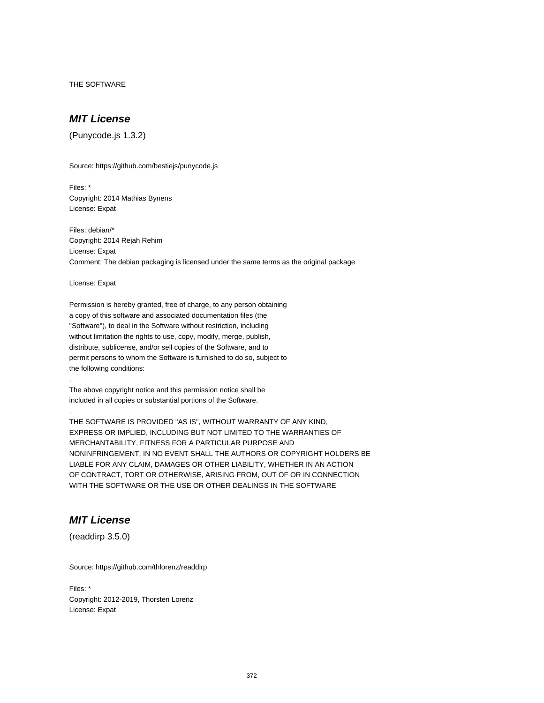THE SOFTWARE

## **MIT License**

(Punycode.js 1.3.2)

Source: https://github.com/bestiejs/punycode.js

Files: \* Copyright: 2014 Mathias Bynens License: Expat

Files: debian/\* Copyright: 2014 Rejah Rehim License: Expat Comment: The debian packaging is licensed under the same terms as the original package

License: Expat

.

.

Permission is hereby granted, free of charge, to any person obtaining a copy of this software and associated documentation files (the "Software"), to deal in the Software without restriction, including without limitation the rights to use, copy, modify, merge, publish, distribute, sublicense, and/or sell copies of the Software, and to permit persons to whom the Software is furnished to do so, subject to the following conditions:

The above copyright notice and this permission notice shall be included in all copies or substantial portions of the Software.

THE SOFTWARE IS PROVIDED "AS IS", WITHOUT WARRANTY OF ANY KIND, EXPRESS OR IMPLIED, INCLUDING BUT NOT LIMITED TO THE WARRANTIES OF MERCHANTABILITY, FITNESS FOR A PARTICULAR PURPOSE AND NONINFRINGEMENT. IN NO EVENT SHALL THE AUTHORS OR COPYRIGHT HOLDERS BE LIABLE FOR ANY CLAIM, DAMAGES OR OTHER LIABILITY, WHETHER IN AN ACTION OF CONTRACT, TORT OR OTHERWISE, ARISING FROM, OUT OF OR IN CONNECTION WITH THE SOFTWARE OR THE USE OR OTHER DEALINGS IN THE SOFTWARE

## **MIT License**

(readdirp 3.5.0)

Source: https://github.com/thlorenz/readdirp

Files: \* Copyright: 2012-2019, Thorsten Lorenz License: Expat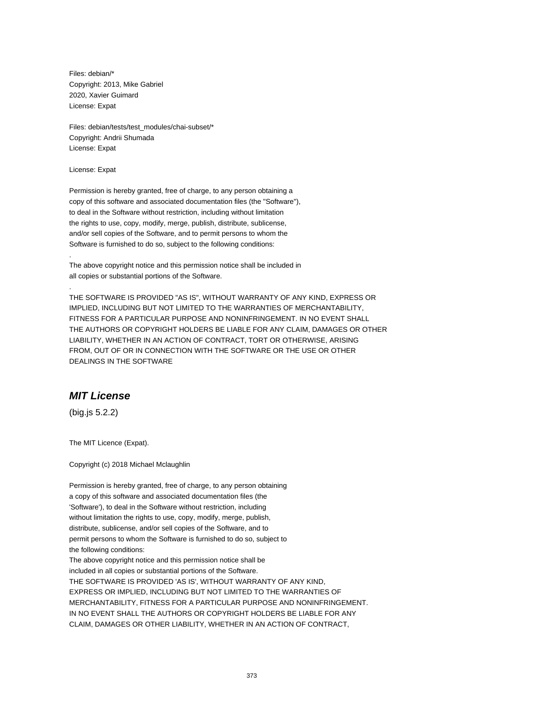Files: debian/\* Copyright: 2013, Mike Gabriel 2020, Xavier Guimard License: Expat

Files: debian/tests/test\_modules/chai-subset/\* Copyright: Andrii Shumada License: Expat

License: Expat

.

.

Permission is hereby granted, free of charge, to any person obtaining a copy of this software and associated documentation files (the "Software"), to deal in the Software without restriction, including without limitation the rights to use, copy, modify, merge, publish, distribute, sublicense, and/or sell copies of the Software, and to permit persons to whom the Software is furnished to do so, subject to the following conditions:

The above copyright notice and this permission notice shall be included in all copies or substantial portions of the Software.

THE SOFTWARE IS PROVIDED "AS IS", WITHOUT WARRANTY OF ANY KIND, EXPRESS OR IMPLIED, INCLUDING BUT NOT LIMITED TO THE WARRANTIES OF MERCHANTABILITY, FITNESS FOR A PARTICULAR PURPOSE AND NONINFRINGEMENT. IN NO EVENT SHALL THE AUTHORS OR COPYRIGHT HOLDERS BE LIABLE FOR ANY CLAIM, DAMAGES OR OTHER LIABILITY, WHETHER IN AN ACTION OF CONTRACT, TORT OR OTHERWISE, ARISING FROM, OUT OF OR IN CONNECTION WITH THE SOFTWARE OR THE USE OR OTHER DEALINGS IN THE SOFTWARE

# **MIT License**

(big.js 5.2.2)

The MIT Licence (Expat).

Copyright (c) 2018 Michael Mclaughlin

Permission is hereby granted, free of charge, to any person obtaining a copy of this software and associated documentation files (the 'Software'), to deal in the Software without restriction, including without limitation the rights to use, copy, modify, merge, publish, distribute, sublicense, and/or sell copies of the Software, and to permit persons to whom the Software is furnished to do so, subject to the following conditions: The above copyright notice and this permission notice shall be included in all copies or substantial portions of the Software. THE SOFTWARE IS PROVIDED 'AS IS', WITHOUT WARRANTY OF ANY KIND, EXPRESS OR IMPLIED, INCLUDING BUT NOT LIMITED TO THE WARRANTIES OF MERCHANTABILITY, FITNESS FOR A PARTICULAR PURPOSE AND NONINFRINGEMENT. IN NO EVENT SHALL THE AUTHORS OR COPYRIGHT HOLDERS BE LIABLE FOR ANY CLAIM, DAMAGES OR OTHER LIABILITY, WHETHER IN AN ACTION OF CONTRACT,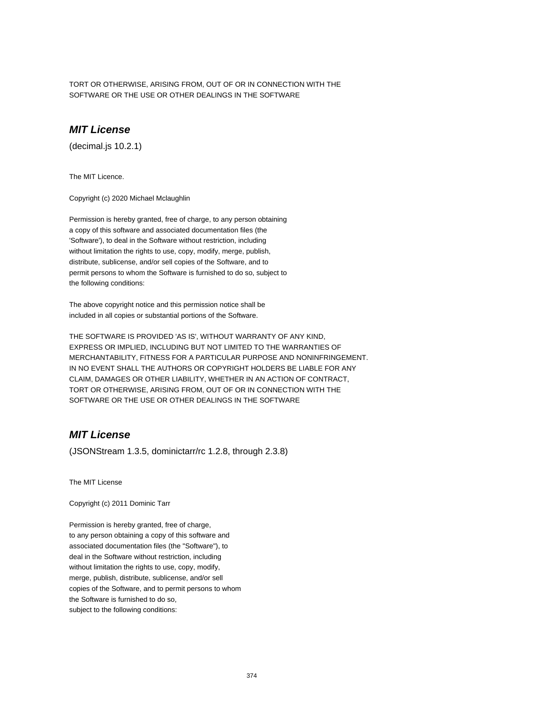TORT OR OTHERWISE, ARISING FROM, OUT OF OR IN CONNECTION WITH THE SOFTWARE OR THE USE OR OTHER DEALINGS IN THE SOFTWARE

# **MIT License**

(decimal.js 10.2.1)

The MIT Licence.

Copyright (c) 2020 Michael Mclaughlin

Permission is hereby granted, free of charge, to any person obtaining a copy of this software and associated documentation files (the 'Software'), to deal in the Software without restriction, including without limitation the rights to use, copy, modify, merge, publish, distribute, sublicense, and/or sell copies of the Software, and to permit persons to whom the Software is furnished to do so, subject to the following conditions:

The above copyright notice and this permission notice shall be included in all copies or substantial portions of the Software.

THE SOFTWARE IS PROVIDED 'AS IS', WITHOUT WARRANTY OF ANY KIND, EXPRESS OR IMPLIED, INCLUDING BUT NOT LIMITED TO THE WARRANTIES OF MERCHANTABILITY, FITNESS FOR A PARTICULAR PURPOSE AND NONINFRINGEMENT. IN NO EVENT SHALL THE AUTHORS OR COPYRIGHT HOLDERS BE LIABLE FOR ANY CLAIM, DAMAGES OR OTHER LIABILITY, WHETHER IN AN ACTION OF CONTRACT, TORT OR OTHERWISE, ARISING FROM, OUT OF OR IN CONNECTION WITH THE SOFTWARE OR THE USE OR OTHER DEALINGS IN THE SOFTWARE

## **MIT License**

(JSONStream 1.3.5, dominictarr/rc 1.2.8, through 2.3.8)

The MIT License

Copyright (c) 2011 Dominic Tarr

Permission is hereby granted, free of charge, to any person obtaining a copy of this software and associated documentation files (the "Software"), to deal in the Software without restriction, including without limitation the rights to use, copy, modify, merge, publish, distribute, sublicense, and/or sell copies of the Software, and to permit persons to whom the Software is furnished to do so, subject to the following conditions: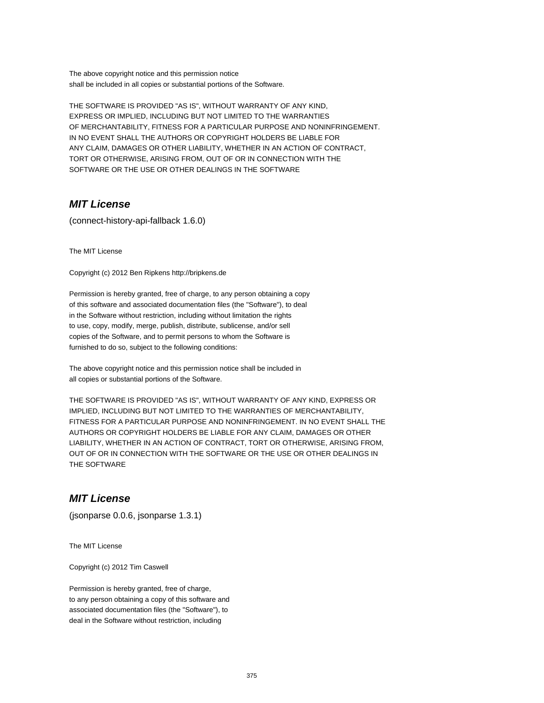The above copyright notice and this permission notice shall be included in all copies or substantial portions of the Software.

THE SOFTWARE IS PROVIDED "AS IS", WITHOUT WARRANTY OF ANY KIND, EXPRESS OR IMPLIED, INCLUDING BUT NOT LIMITED TO THE WARRANTIES OF MERCHANTABILITY, FITNESS FOR A PARTICULAR PURPOSE AND NONINFRINGEMENT. IN NO EVENT SHALL THE AUTHORS OR COPYRIGHT HOLDERS BE LIABLE FOR ANY CLAIM, DAMAGES OR OTHER LIABILITY, WHETHER IN AN ACTION OF CONTRACT, TORT OR OTHERWISE, ARISING FROM, OUT OF OR IN CONNECTION WITH THE SOFTWARE OR THE USE OR OTHER DEALINGS IN THE SOFTWARE

## **MIT License**

(connect-history-api-fallback 1.6.0)

The MIT License

Copyright (c) 2012 Ben Ripkens http://bripkens.de

Permission is hereby granted, free of charge, to any person obtaining a copy of this software and associated documentation files (the "Software"), to deal in the Software without restriction, including without limitation the rights to use, copy, modify, merge, publish, distribute, sublicense, and/or sell copies of the Software, and to permit persons to whom the Software is furnished to do so, subject to the following conditions:

The above copyright notice and this permission notice shall be included in all copies or substantial portions of the Software.

THE SOFTWARE IS PROVIDED "AS IS", WITHOUT WARRANTY OF ANY KIND, EXPRESS OR IMPLIED, INCLUDING BUT NOT LIMITED TO THE WARRANTIES OF MERCHANTABILITY, FITNESS FOR A PARTICULAR PURPOSE AND NONINFRINGEMENT. IN NO EVENT SHALL THE AUTHORS OR COPYRIGHT HOLDERS BE LIABLE FOR ANY CLAIM, DAMAGES OR OTHER LIABILITY, WHETHER IN AN ACTION OF CONTRACT, TORT OR OTHERWISE, ARISING FROM, OUT OF OR IN CONNECTION WITH THE SOFTWARE OR THE USE OR OTHER DEALINGS IN THE SOFTWARE

## **MIT License**

(jsonparse 0.0.6, jsonparse 1.3.1)

The MIT License

Copyright (c) 2012 Tim Caswell

Permission is hereby granted, free of charge, to any person obtaining a copy of this software and associated documentation files (the "Software"), to deal in the Software without restriction, including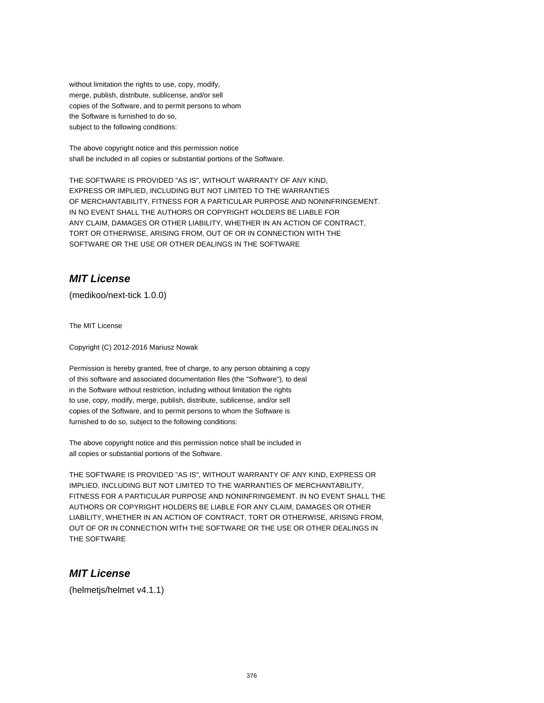without limitation the rights to use, copy, modify, merge, publish, distribute, sublicense, and/or sell copies of the Software, and to permit persons to whom the Software is furnished to do so, subject to the following conditions:

The above copyright notice and this permission notice shall be included in all copies or substantial portions of the Software.

THE SOFTWARE IS PROVIDED "AS IS", WITHOUT WARRANTY OF ANY KIND, EXPRESS OR IMPLIED, INCLUDING BUT NOT LIMITED TO THE WARRANTIES OF MERCHANTABILITY, FITNESS FOR A PARTICULAR PURPOSE AND NONINFRINGEMENT. IN NO EVENT SHALL THE AUTHORS OR COPYRIGHT HOLDERS BE LIABLE FOR ANY CLAIM, DAMAGES OR OTHER LIABILITY, WHETHER IN AN ACTION OF CONTRACT, TORT OR OTHERWISE, ARISING FROM, OUT OF OR IN CONNECTION WITH THE SOFTWARE OR THE USE OR OTHER DEALINGS IN THE SOFTWARE

## **MIT License**

(medikoo/next-tick 1.0.0)

The MIT License

Copyright (C) 2012-2016 Mariusz Nowak

Permission is hereby granted, free of charge, to any person obtaining a copy of this software and associated documentation files (the "Software"), to deal in the Software without restriction, including without limitation the rights to use, copy, modify, merge, publish, distribute, sublicense, and/or sell copies of the Software, and to permit persons to whom the Software is furnished to do so, subject to the following conditions:

The above copyright notice and this permission notice shall be included in all copies or substantial portions of the Software.

THE SOFTWARE IS PROVIDED "AS IS", WITHOUT WARRANTY OF ANY KIND, EXPRESS OR IMPLIED, INCLUDING BUT NOT LIMITED TO THE WARRANTIES OF MERCHANTABILITY, FITNESS FOR A PARTICULAR PURPOSE AND NONINFRINGEMENT. IN NO EVENT SHALL THE AUTHORS OR COPYRIGHT HOLDERS BE LIABLE FOR ANY CLAIM, DAMAGES OR OTHER LIABILITY, WHETHER IN AN ACTION OF CONTRACT, TORT OR OTHERWISE, ARISING FROM, OUT OF OR IN CONNECTION WITH THE SOFTWARE OR THE USE OR OTHER DEALINGS IN THE SOFTWARE

#### **MIT License**

(helmetjs/helmet v4.1.1)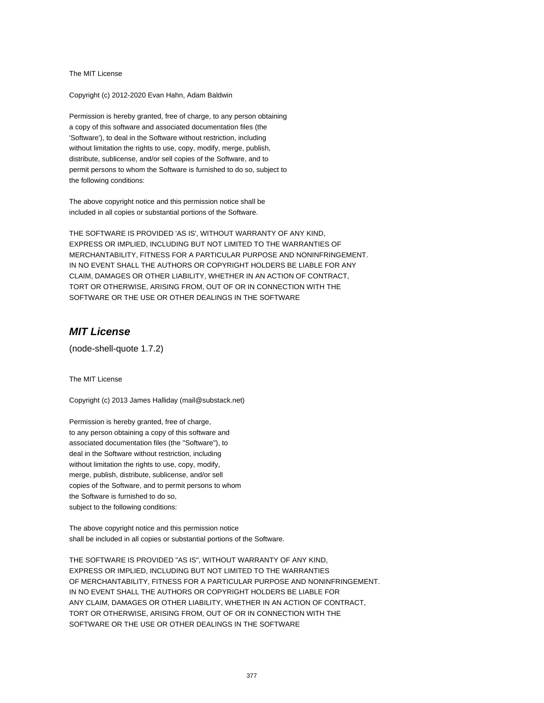The MIT License

Copyright (c) 2012-2020 Evan Hahn, Adam Baldwin

Permission is hereby granted, free of charge, to any person obtaining a copy of this software and associated documentation files (the 'Software'), to deal in the Software without restriction, including without limitation the rights to use, copy, modify, merge, publish, distribute, sublicense, and/or sell copies of the Software, and to permit persons to whom the Software is furnished to do so, subject to the following conditions:

The above copyright notice and this permission notice shall be included in all copies or substantial portions of the Software.

THE SOFTWARE IS PROVIDED 'AS IS', WITHOUT WARRANTY OF ANY KIND, EXPRESS OR IMPLIED, INCLUDING BUT NOT LIMITED TO THE WARRANTIES OF MERCHANTABILITY, FITNESS FOR A PARTICULAR PURPOSE AND NONINFRINGEMENT. IN NO EVENT SHALL THE AUTHORS OR COPYRIGHT HOLDERS BE LIABLE FOR ANY CLAIM, DAMAGES OR OTHER LIABILITY, WHETHER IN AN ACTION OF CONTRACT, TORT OR OTHERWISE, ARISING FROM, OUT OF OR IN CONNECTION WITH THE SOFTWARE OR THE USE OR OTHER DEALINGS IN THE SOFTWARE

#### **MIT License**

(node-shell-quote 1.7.2)

The MIT License

Copyright (c) 2013 James Halliday (mail@substack.net)

Permission is hereby granted, free of charge, to any person obtaining a copy of this software and associated documentation files (the "Software"), to deal in the Software without restriction, including without limitation the rights to use, copy, modify, merge, publish, distribute, sublicense, and/or sell copies of the Software, and to permit persons to whom the Software is furnished to do so, subject to the following conditions:

The above copyright notice and this permission notice shall be included in all copies or substantial portions of the Software.

THE SOFTWARE IS PROVIDED "AS IS", WITHOUT WARRANTY OF ANY KIND, EXPRESS OR IMPLIED, INCLUDING BUT NOT LIMITED TO THE WARRANTIES OF MERCHANTABILITY, FITNESS FOR A PARTICULAR PURPOSE AND NONINFRINGEMENT. IN NO EVENT SHALL THE AUTHORS OR COPYRIGHT HOLDERS BE LIABLE FOR ANY CLAIM, DAMAGES OR OTHER LIABILITY, WHETHER IN AN ACTION OF CONTRACT, TORT OR OTHERWISE, ARISING FROM, OUT OF OR IN CONNECTION WITH THE SOFTWARE OR THE USE OR OTHER DEALINGS IN THE SOFTWARE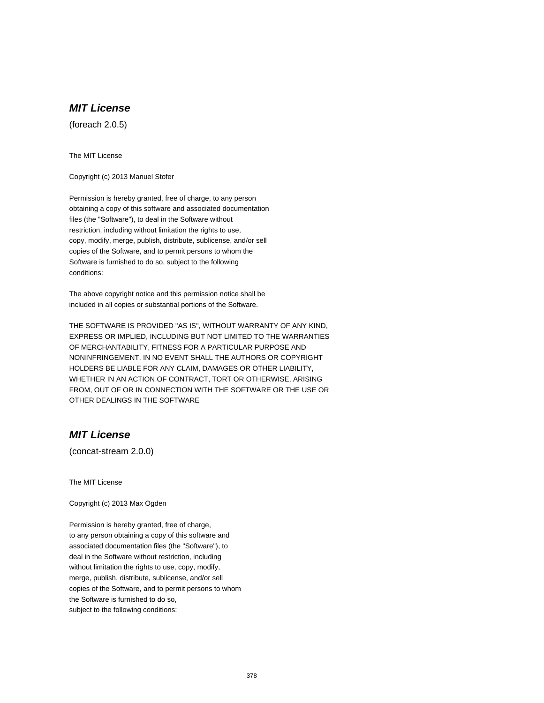# **MIT License**

(foreach 2.0.5)

The MIT License

Copyright (c) 2013 Manuel Stofer

Permission is hereby granted, free of charge, to any person obtaining a copy of this software and associated documentation files (the "Software"), to deal in the Software without restriction, including without limitation the rights to use, copy, modify, merge, publish, distribute, sublicense, and/or sell copies of the Software, and to permit persons to whom the Software is furnished to do so, subject to the following conditions:

The above copyright notice and this permission notice shall be included in all copies or substantial portions of the Software.

THE SOFTWARE IS PROVIDED "AS IS", WITHOUT WARRANTY OF ANY KIND, EXPRESS OR IMPLIED, INCLUDING BUT NOT LIMITED TO THE WARRANTIES OF MERCHANTABILITY, FITNESS FOR A PARTICULAR PURPOSE AND NONINFRINGEMENT. IN NO EVENT SHALL THE AUTHORS OR COPYRIGHT HOLDERS BE LIABLE FOR ANY CLAIM, DAMAGES OR OTHER LIABILITY, WHETHER IN AN ACTION OF CONTRACT, TORT OR OTHERWISE, ARISING FROM, OUT OF OR IN CONNECTION WITH THE SOFTWARE OR THE USE OR OTHER DEALINGS IN THE SOFTWARE

## **MIT License**

(concat-stream 2.0.0)

The MIT License

Copyright (c) 2013 Max Ogden

Permission is hereby granted, free of charge, to any person obtaining a copy of this software and associated documentation files (the "Software"), to deal in the Software without restriction, including without limitation the rights to use, copy, modify, merge, publish, distribute, sublicense, and/or sell copies of the Software, and to permit persons to whom the Software is furnished to do so, subject to the following conditions: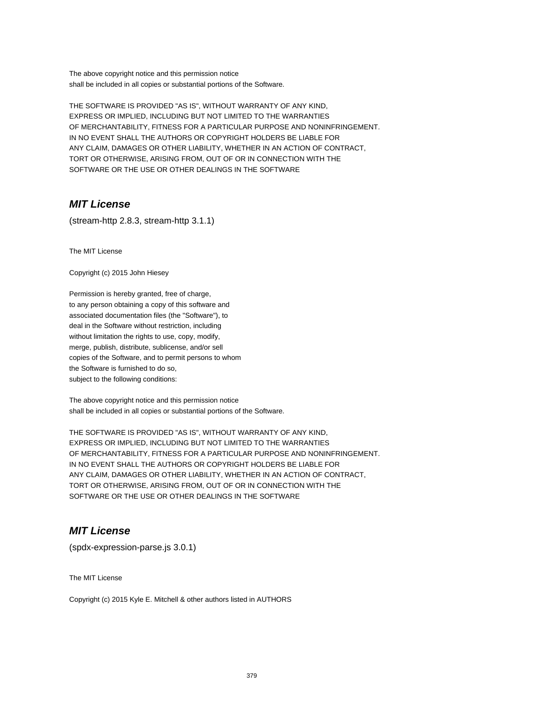The above copyright notice and this permission notice shall be included in all copies or substantial portions of the Software.

THE SOFTWARE IS PROVIDED "AS IS", WITHOUT WARRANTY OF ANY KIND, EXPRESS OR IMPLIED, INCLUDING BUT NOT LIMITED TO THE WARRANTIES OF MERCHANTABILITY, FITNESS FOR A PARTICULAR PURPOSE AND NONINFRINGEMENT. IN NO EVENT SHALL THE AUTHORS OR COPYRIGHT HOLDERS BE LIABLE FOR ANY CLAIM, DAMAGES OR OTHER LIABILITY, WHETHER IN AN ACTION OF CONTRACT, TORT OR OTHERWISE, ARISING FROM, OUT OF OR IN CONNECTION WITH THE SOFTWARE OR THE USE OR OTHER DEALINGS IN THE SOFTWARE

## **MIT License**

(stream-http 2.8.3, stream-http 3.1.1)

The MIT License

Copyright (c) 2015 John Hiesey

Permission is hereby granted, free of charge, to any person obtaining a copy of this software and associated documentation files (the "Software"), to deal in the Software without restriction, including without limitation the rights to use, copy, modify, merge, publish, distribute, sublicense, and/or sell copies of the Software, and to permit persons to whom the Software is furnished to do so, subject to the following conditions:

The above copyright notice and this permission notice shall be included in all copies or substantial portions of the Software.

THE SOFTWARE IS PROVIDED "AS IS", WITHOUT WARRANTY OF ANY KIND, EXPRESS OR IMPLIED, INCLUDING BUT NOT LIMITED TO THE WARRANTIES OF MERCHANTABILITY, FITNESS FOR A PARTICULAR PURPOSE AND NONINFRINGEMENT. IN NO EVENT SHALL THE AUTHORS OR COPYRIGHT HOLDERS BE LIABLE FOR ANY CLAIM, DAMAGES OR OTHER LIABILITY, WHETHER IN AN ACTION OF CONTRACT, TORT OR OTHERWISE, ARISING FROM, OUT OF OR IN CONNECTION WITH THE SOFTWARE OR THE USE OR OTHER DEALINGS IN THE SOFTWARE

## **MIT License**

(spdx-expression-parse.js 3.0.1)

The MIT License

Copyright (c) 2015 Kyle E. Mitchell & other authors listed in AUTHORS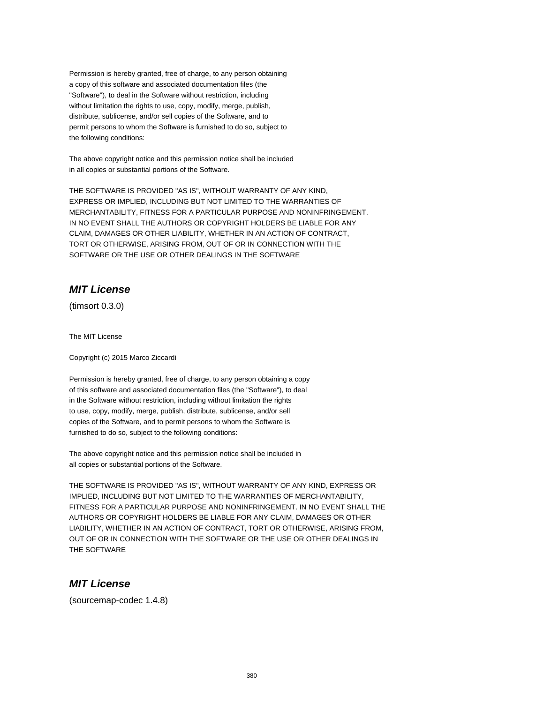Permission is hereby granted, free of charge, to any person obtaining a copy of this software and associated documentation files (the "Software"), to deal in the Software without restriction, including without limitation the rights to use, copy, modify, merge, publish, distribute, sublicense, and/or sell copies of the Software, and to permit persons to whom the Software is furnished to do so, subject to the following conditions:

The above copyright notice and this permission notice shall be included in all copies or substantial portions of the Software.

THE SOFTWARE IS PROVIDED "AS IS", WITHOUT WARRANTY OF ANY KIND, EXPRESS OR IMPLIED, INCLUDING BUT NOT LIMITED TO THE WARRANTIES OF MERCHANTABILITY, FITNESS FOR A PARTICULAR PURPOSE AND NONINFRINGEMENT. IN NO EVENT SHALL THE AUTHORS OR COPYRIGHT HOLDERS BE LIABLE FOR ANY CLAIM, DAMAGES OR OTHER LIABILITY, WHETHER IN AN ACTION OF CONTRACT, TORT OR OTHERWISE, ARISING FROM, OUT OF OR IN CONNECTION WITH THE SOFTWARE OR THE USE OR OTHER DEALINGS IN THE SOFTWARE

## **MIT License**

(timsort 0.3.0)

The MIT License

Copyright (c) 2015 Marco Ziccardi

Permission is hereby granted, free of charge, to any person obtaining a copy of this software and associated documentation files (the "Software"), to deal in the Software without restriction, including without limitation the rights to use, copy, modify, merge, publish, distribute, sublicense, and/or sell copies of the Software, and to permit persons to whom the Software is furnished to do so, subject to the following conditions:

The above copyright notice and this permission notice shall be included in all copies or substantial portions of the Software.

THE SOFTWARE IS PROVIDED "AS IS", WITHOUT WARRANTY OF ANY KIND, EXPRESS OR IMPLIED, INCLUDING BUT NOT LIMITED TO THE WARRANTIES OF MERCHANTABILITY, FITNESS FOR A PARTICULAR PURPOSE AND NONINFRINGEMENT. IN NO EVENT SHALL THE AUTHORS OR COPYRIGHT HOLDERS BE LIABLE FOR ANY CLAIM, DAMAGES OR OTHER LIABILITY, WHETHER IN AN ACTION OF CONTRACT, TORT OR OTHERWISE, ARISING FROM, OUT OF OR IN CONNECTION WITH THE SOFTWARE OR THE USE OR OTHER DEALINGS IN THE SOFTWARE

## **MIT License**

(sourcemap-codec 1.4.8)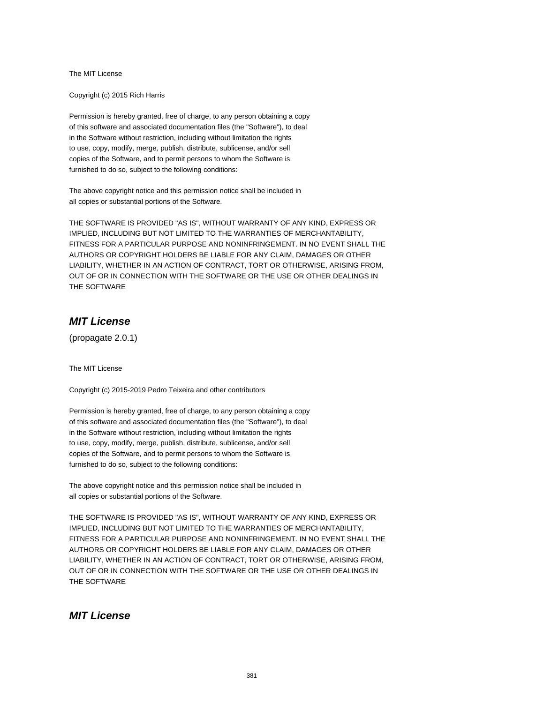The MIT License

Copyright (c) 2015 Rich Harris

Permission is hereby granted, free of charge, to any person obtaining a copy of this software and associated documentation files (the "Software"), to deal in the Software without restriction, including without limitation the rights to use, copy, modify, merge, publish, distribute, sublicense, and/or sell copies of the Software, and to permit persons to whom the Software is furnished to do so, subject to the following conditions:

The above copyright notice and this permission notice shall be included in all copies or substantial portions of the Software.

THE SOFTWARE IS PROVIDED "AS IS", WITHOUT WARRANTY OF ANY KIND, EXPRESS OR IMPLIED, INCLUDING BUT NOT LIMITED TO THE WARRANTIES OF MERCHANTABILITY, FITNESS FOR A PARTICULAR PURPOSE AND NONINFRINGEMENT. IN NO EVENT SHALL THE AUTHORS OR COPYRIGHT HOLDERS BE LIABLE FOR ANY CLAIM, DAMAGES OR OTHER LIABILITY, WHETHER IN AN ACTION OF CONTRACT, TORT OR OTHERWISE, ARISING FROM, OUT OF OR IN CONNECTION WITH THE SOFTWARE OR THE USE OR OTHER DEALINGS IN THE SOFTWARE

## **MIT License**

(propagate 2.0.1)

The MIT License

Copyright (c) 2015-2019 Pedro Teixeira and other contributors

Permission is hereby granted, free of charge, to any person obtaining a copy of this software and associated documentation files (the "Software"), to deal in the Software without restriction, including without limitation the rights to use, copy, modify, merge, publish, distribute, sublicense, and/or sell copies of the Software, and to permit persons to whom the Software is furnished to do so, subject to the following conditions:

The above copyright notice and this permission notice shall be included in all copies or substantial portions of the Software.

THE SOFTWARE IS PROVIDED "AS IS", WITHOUT WARRANTY OF ANY KIND, EXPRESS OR IMPLIED, INCLUDING BUT NOT LIMITED TO THE WARRANTIES OF MERCHANTABILITY, FITNESS FOR A PARTICULAR PURPOSE AND NONINFRINGEMENT. IN NO EVENT SHALL THE AUTHORS OR COPYRIGHT HOLDERS BE LIABLE FOR ANY CLAIM, DAMAGES OR OTHER LIABILITY, WHETHER IN AN ACTION OF CONTRACT, TORT OR OTHERWISE, ARISING FROM, OUT OF OR IN CONNECTION WITH THE SOFTWARE OR THE USE OR OTHER DEALINGS IN THE SOFTWARE

#### **MIT License**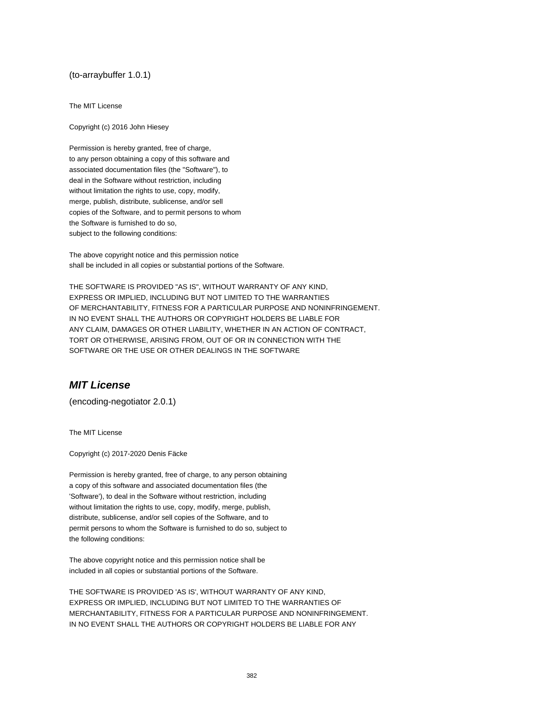#### (to-arraybuffer 1.0.1)

The MIT License

Copyright (c) 2016 John Hiesey

Permission is hereby granted, free of charge, to any person obtaining a copy of this software and associated documentation files (the "Software"), to deal in the Software without restriction, including without limitation the rights to use, copy, modify, merge, publish, distribute, sublicense, and/or sell copies of the Software, and to permit persons to whom the Software is furnished to do so, subject to the following conditions:

The above copyright notice and this permission notice shall be included in all copies or substantial portions of the Software.

THE SOFTWARE IS PROVIDED "AS IS", WITHOUT WARRANTY OF ANY KIND, EXPRESS OR IMPLIED, INCLUDING BUT NOT LIMITED TO THE WARRANTIES OF MERCHANTABILITY, FITNESS FOR A PARTICULAR PURPOSE AND NONINFRINGEMENT. IN NO EVENT SHALL THE AUTHORS OR COPYRIGHT HOLDERS BE LIABLE FOR ANY CLAIM, DAMAGES OR OTHER LIABILITY, WHETHER IN AN ACTION OF CONTRACT, TORT OR OTHERWISE, ARISING FROM, OUT OF OR IN CONNECTION WITH THE SOFTWARE OR THE USE OR OTHER DEALINGS IN THE SOFTWARE

## **MIT License**

(encoding-negotiator 2.0.1)

The MIT License

Copyright (c) 2017-2020 Denis Fäcke

Permission is hereby granted, free of charge, to any person obtaining a copy of this software and associated documentation files (the 'Software'), to deal in the Software without restriction, including without limitation the rights to use, copy, modify, merge, publish, distribute, sublicense, and/or sell copies of the Software, and to permit persons to whom the Software is furnished to do so, subject to the following conditions:

The above copyright notice and this permission notice shall be included in all copies or substantial portions of the Software.

THE SOFTWARE IS PROVIDED 'AS IS', WITHOUT WARRANTY OF ANY KIND, EXPRESS OR IMPLIED, INCLUDING BUT NOT LIMITED TO THE WARRANTIES OF MERCHANTABILITY, FITNESS FOR A PARTICULAR PURPOSE AND NONINFRINGEMENT. IN NO EVENT SHALL THE AUTHORS OR COPYRIGHT HOLDERS BE LIABLE FOR ANY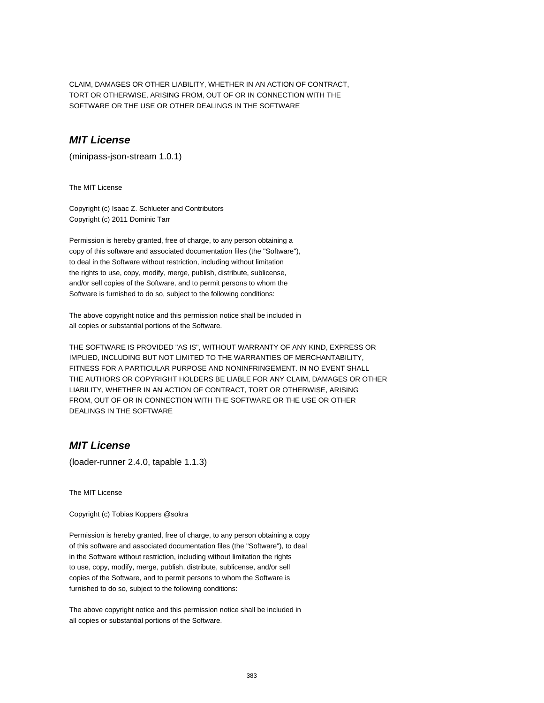CLAIM, DAMAGES OR OTHER LIABILITY, WHETHER IN AN ACTION OF CONTRACT, TORT OR OTHERWISE, ARISING FROM, OUT OF OR IN CONNECTION WITH THE SOFTWARE OR THE USE OR OTHER DEALINGS IN THE SOFTWARE

#### **MIT License**

(minipass-json-stream 1.0.1)

The MIT License

Copyright (c) Isaac Z. Schlueter and Contributors Copyright (c) 2011 Dominic Tarr

Permission is hereby granted, free of charge, to any person obtaining a copy of this software and associated documentation files (the "Software"), to deal in the Software without restriction, including without limitation the rights to use, copy, modify, merge, publish, distribute, sublicense, and/or sell copies of the Software, and to permit persons to whom the Software is furnished to do so, subject to the following conditions:

The above copyright notice and this permission notice shall be included in all copies or substantial portions of the Software.

THE SOFTWARE IS PROVIDED "AS IS", WITHOUT WARRANTY OF ANY KIND, EXPRESS OR IMPLIED, INCLUDING BUT NOT LIMITED TO THE WARRANTIES OF MERCHANTABILITY, FITNESS FOR A PARTICULAR PURPOSE AND NONINFRINGEMENT. IN NO EVENT SHALL THE AUTHORS OR COPYRIGHT HOLDERS BE LIABLE FOR ANY CLAIM, DAMAGES OR OTHER LIABILITY, WHETHER IN AN ACTION OF CONTRACT, TORT OR OTHERWISE, ARISING FROM, OUT OF OR IN CONNECTION WITH THE SOFTWARE OR THE USE OR OTHER DEALINGS IN THE SOFTWARE

#### **MIT License**

(loader-runner 2.4.0, tapable 1.1.3)

The MIT License

Copyright (c) Tobias Koppers @sokra

Permission is hereby granted, free of charge, to any person obtaining a copy of this software and associated documentation files (the "Software"), to deal in the Software without restriction, including without limitation the rights to use, copy, modify, merge, publish, distribute, sublicense, and/or sell copies of the Software, and to permit persons to whom the Software is furnished to do so, subject to the following conditions:

The above copyright notice and this permission notice shall be included in all copies or substantial portions of the Software.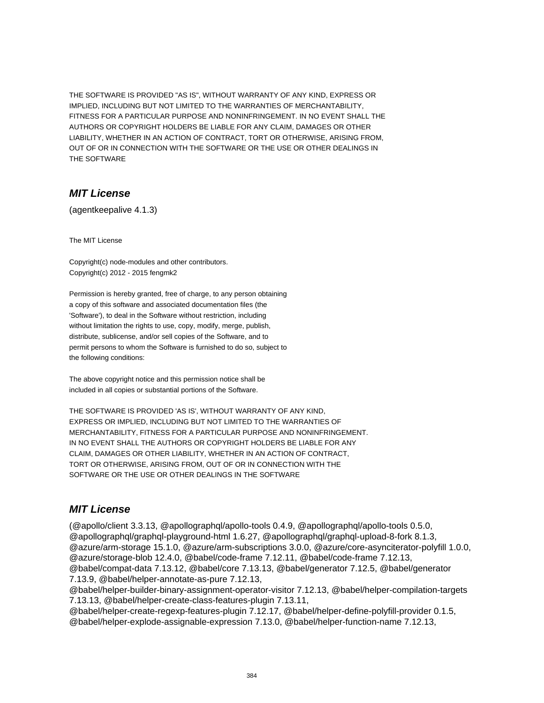THE SOFTWARE IS PROVIDED "AS IS", WITHOUT WARRANTY OF ANY KIND, EXPRESS OR IMPLIED, INCLUDING BUT NOT LIMITED TO THE WARRANTIES OF MERCHANTABILITY, FITNESS FOR A PARTICULAR PURPOSE AND NONINFRINGEMENT. IN NO EVENT SHALL THE AUTHORS OR COPYRIGHT HOLDERS BE LIABLE FOR ANY CLAIM, DAMAGES OR OTHER LIABILITY, WHETHER IN AN ACTION OF CONTRACT, TORT OR OTHERWISE, ARISING FROM, OUT OF OR IN CONNECTION WITH THE SOFTWARE OR THE USE OR OTHER DEALINGS IN THE SOFTWARE

#### **MIT License**

(agentkeepalive 4.1.3)

The MIT License

Copyright(c) node-modules and other contributors. Copyright(c) 2012 - 2015 fengmk2

Permission is hereby granted, free of charge, to any person obtaining a copy of this software and associated documentation files (the 'Software'), to deal in the Software without restriction, including without limitation the rights to use, copy, modify, merge, publish, distribute, sublicense, and/or sell copies of the Software, and to permit persons to whom the Software is furnished to do so, subject to the following conditions:

The above copyright notice and this permission notice shall be included in all copies or substantial portions of the Software.

THE SOFTWARE IS PROVIDED 'AS IS', WITHOUT WARRANTY OF ANY KIND, EXPRESS OR IMPLIED, INCLUDING BUT NOT LIMITED TO THE WARRANTIES OF MERCHANTABILITY, FITNESS FOR A PARTICULAR PURPOSE AND NONINFRINGEMENT. IN NO EVENT SHALL THE AUTHORS OR COPYRIGHT HOLDERS BE LIABLE FOR ANY CLAIM, DAMAGES OR OTHER LIABILITY, WHETHER IN AN ACTION OF CONTRACT, TORT OR OTHERWISE, ARISING FROM, OUT OF OR IN CONNECTION WITH THE SOFTWARE OR THE USE OR OTHER DEALINGS IN THE SOFTWARE

## **MIT License**

(@apollo/client 3.3.13, @apollographql/apollo-tools 0.4.9, @apollographql/apollo-tools 0.5.0, @apollographql/graphql-playground-html 1.6.27, @apollographql/graphql-upload-8-fork 8.1.3, @azure/arm-storage 15.1.0, @azure/arm-subscriptions 3.0.0, @azure/core-asynciterator-polyfill 1.0.0, @azure/storage-blob 12.4.0, @babel/code-frame 7.12.11, @babel/code-frame 7.12.13, @babel/compat-data 7.13.12, @babel/core 7.13.13, @babel/generator 7.12.5, @babel/generator 7.13.9, @babel/helper-annotate-as-pure 7.12.13, @babel/helper-builder-binary-assignment-operator-visitor 7.12.13, @babel/helper-compilation-targets

7.13.13, @babel/helper-create-class-features-plugin 7.13.11, @babel/helper-create-regexp-features-plugin 7.12.17, @babel/helper-define-polyfill-provider 0.1.5, @babel/helper-explode-assignable-expression 7.13.0, @babel/helper-function-name 7.12.13,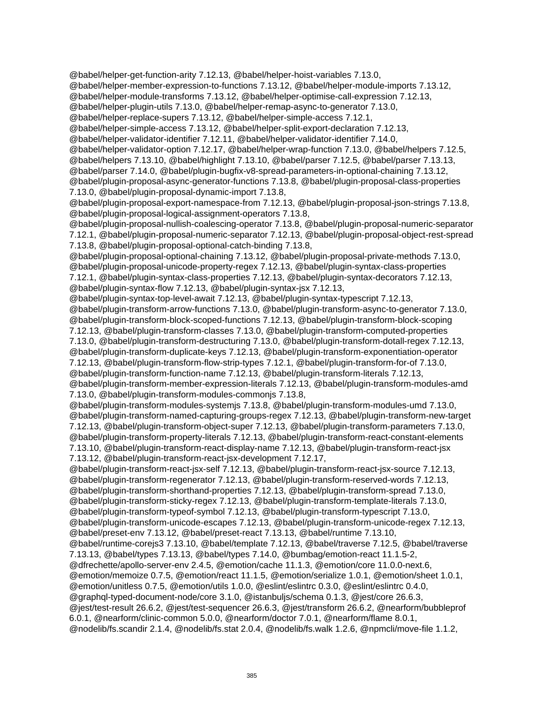@babel/helper-get-function-arity 7.12.13, @babel/helper-hoist-variables 7.13.0, @babel/helper-member-expression-to-functions 7.13.12, @babel/helper-module-imports 7.13.12, @babel/helper-module-transforms 7.13.12, @babel/helper-optimise-call-expression 7.12.13, @babel/helper-plugin-utils 7.13.0, @babel/helper-remap-async-to-generator 7.13.0, @babel/helper-replace-supers 7.13.12, @babel/helper-simple-access 7.12.1, @babel/helper-simple-access 7.13.12, @babel/helper-split-export-declaration 7.12.13, @babel/helper-validator-identifier 7.12.11, @babel/helper-validator-identifier 7.14.0, @babel/helper-validator-option 7.12.17, @babel/helper-wrap-function 7.13.0, @babel/helpers 7.12.5, @babel/helpers 7.13.10, @babel/highlight 7.13.10, @babel/parser 7.12.5, @babel/parser 7.13.13, @babel/parser 7.14.0, @babel/plugin-bugfix-v8-spread-parameters-in-optional-chaining 7.13.12, @babel/plugin-proposal-async-generator-functions 7.13.8, @babel/plugin-proposal-class-properties 7.13.0, @babel/plugin-proposal-dynamic-import 7.13.8, @babel/plugin-proposal-export-namespace-from 7.12.13, @babel/plugin-proposal-json-strings 7.13.8, @babel/plugin-proposal-logical-assignment-operators 7.13.8, @babel/plugin-proposal-nullish-coalescing-operator 7.13.8, @babel/plugin-proposal-numeric-separator 7.12.1, @babel/plugin-proposal-numeric-separator 7.12.13, @babel/plugin-proposal-object-rest-spread 7.13.8, @babel/plugin-proposal-optional-catch-binding 7.13.8, @babel/plugin-proposal-optional-chaining 7.13.12, @babel/plugin-proposal-private-methods 7.13.0, @babel/plugin-proposal-unicode-property-regex 7.12.13, @babel/plugin-syntax-class-properties 7.12.1, @babel/plugin-syntax-class-properties 7.12.13, @babel/plugin-syntax-decorators 7.12.13, @babel/plugin-syntax-flow 7.12.13, @babel/plugin-syntax-jsx 7.12.13, @babel/plugin-syntax-top-level-await 7.12.13, @babel/plugin-syntax-typescript 7.12.13, @babel/plugin-transform-arrow-functions 7.13.0, @babel/plugin-transform-async-to-generator 7.13.0, @babel/plugin-transform-block-scoped-functions 7.12.13, @babel/plugin-transform-block-scoping 7.12.13, @babel/plugin-transform-classes 7.13.0, @babel/plugin-transform-computed-properties 7.13.0, @babel/plugin-transform-destructuring 7.13.0, @babel/plugin-transform-dotall-regex 7.12.13, @babel/plugin-transform-duplicate-keys 7.12.13, @babel/plugin-transform-exponentiation-operator 7.12.13, @babel/plugin-transform-flow-strip-types 7.12.1, @babel/plugin-transform-for-of 7.13.0, @babel/plugin-transform-function-name 7.12.13, @babel/plugin-transform-literals 7.12.13, @babel/plugin-transform-member-expression-literals 7.12.13, @babel/plugin-transform-modules-amd 7.13.0, @babel/plugin-transform-modules-commonjs 7.13.8, @babel/plugin-transform-modules-systemjs 7.13.8, @babel/plugin-transform-modules-umd 7.13.0, @babel/plugin-transform-named-capturing-groups-regex 7.12.13, @babel/plugin-transform-new-target 7.12.13, @babel/plugin-transform-object-super 7.12.13, @babel/plugin-transform-parameters 7.13.0, @babel/plugin-transform-property-literals 7.12.13, @babel/plugin-transform-react-constant-elements 7.13.10, @babel/plugin-transform-react-display-name 7.12.13, @babel/plugin-transform-react-jsx 7.13.12, @babel/plugin-transform-react-jsx-development 7.12.17, @babel/plugin-transform-react-jsx-self 7.12.13, @babel/plugin-transform-react-jsx-source 7.12.13, @babel/plugin-transform-regenerator 7.12.13, @babel/plugin-transform-reserved-words 7.12.13, @babel/plugin-transform-shorthand-properties 7.12.13, @babel/plugin-transform-spread 7.13.0, @babel/plugin-transform-sticky-regex 7.12.13, @babel/plugin-transform-template-literals 7.13.0, @babel/plugin-transform-typeof-symbol 7.12.13, @babel/plugin-transform-typescript 7.13.0, @babel/plugin-transform-unicode-escapes 7.12.13, @babel/plugin-transform-unicode-regex 7.12.13, @babel/preset-env 7.13.12, @babel/preset-react 7.13.13, @babel/runtime 7.13.10, @babel/runtime-corejs3 7.13.10, @babel/template 7.12.13, @babel/traverse 7.12.5, @babel/traverse 7.13.13, @babel/types 7.13.13, @babel/types 7.14.0, @bumbag/emotion-react 11.1.5-2, @dfrechette/apollo-server-env 2.4.5, @emotion/cache 11.1.3, @emotion/core 11.0.0-next.6, @emotion/memoize 0.7.5, @emotion/react 11.1.5, @emotion/serialize 1.0.1, @emotion/sheet 1.0.1, @emotion/unitless 0.7.5, @emotion/utils 1.0.0, @eslint/eslintrc 0.3.0, @eslint/eslintrc 0.4.0, @graphql-typed-document-node/core 3.1.0, @istanbuljs/schema 0.1.3, @jest/core 26.6.3, @jest/test-result 26.6.2, @jest/test-sequencer 26.6.3, @jest/transform 26.6.2, @nearform/bubbleprof 6.0.1, @nearform/clinic-common 5.0.0, @nearform/doctor 7.0.1, @nearform/flame 8.0.1, @nodelib/fs.scandir 2.1.4, @nodelib/fs.stat 2.0.4, @nodelib/fs.walk 1.2.6, @npmcli/move-file 1.1.2,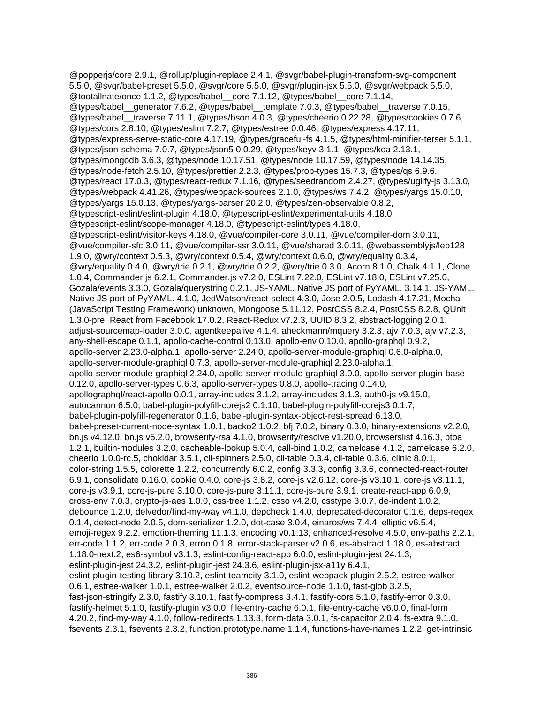@popperjs/core 2.9.1, @rollup/plugin-replace 2.4.1, @svgr/babel-plugin-transform-svg-component 5.5.0, @svgr/babel-preset 5.5.0, @svgr/core 5.5.0, @svgr/plugin-jsx 5.5.0, @svgr/webpack 5.5.0, @tootallnate/once 1.1.2, @types/babel\_\_core 7.1.12, @types/babel\_\_core 7.1.14, @types/babel\_\_generator 7.6.2, @types/babel\_\_template 7.0.3, @types/babel\_\_traverse 7.0.15, @types/babel\_\_traverse 7.11.1, @types/bson 4.0.3, @types/cheerio 0.22.28, @types/cookies 0.7.6, @types/cors 2.8.10, @types/eslint 7.2.7, @types/estree 0.0.46, @types/express 4.17.11, @types/express-serve-static-core 4.17.19, @types/graceful-fs 4.1.5, @types/html-minifier-terser 5.1.1, @types/json-schema 7.0.7, @types/json5 0.0.29, @types/keyv 3.1.1, @types/koa 2.13.1, @types/mongodb 3.6.3, @types/node 10.17.51, @types/node 10.17.59, @types/node 14.14.35, @types/node-fetch 2.5.10, @types/prettier 2.2.3, @types/prop-types 15.7.3, @types/qs 6.9.6, @types/react 17.0.3, @types/react-redux 7.1.16, @types/seedrandom 2.4.27, @types/uglify-js 3.13.0, @types/webpack 4.41.26, @types/webpack-sources 2.1.0, @types/ws 7.4.2, @types/yargs 15.0.10, @types/yargs 15.0.13, @types/yargs-parser 20.2.0, @types/zen-observable 0.8.2, @typescript-eslint/eslint-plugin 4.18.0, @typescript-eslint/experimental-utils 4.18.0, @typescript-eslint/scope-manager 4.18.0, @typescript-eslint/types 4.18.0, @typescript-eslint/visitor-keys 4.18.0, @vue/compiler-core 3.0.11, @vue/compiler-dom 3.0.11, @vue/compiler-sfc 3.0.11, @vue/compiler-ssr 3.0.11, @vue/shared 3.0.11, @webassemblyjs/leb128 1.9.0, @wry/context 0.5.3, @wry/context 0.5.4, @wry/context 0.6.0, @wry/equality 0.3.4, @wry/equality 0.4.0, @wry/trie 0.2.1, @wry/trie 0.2.2, @wry/trie 0.3.0, Acorn 8.1.0, Chalk 4.1.1, Clone 1.0.4, Commander.js 6.2.1, Commander.js v7.2.0, ESLint 7.22.0, ESLint v7.18.0, ESLint v7.25.0, Gozala/events 3.3.0, Gozala/querystring 0.2.1, JS-YAML. Native JS port of PyYAML. 3.14.1, JS-YAML. Native JS port of PyYAML. 4.1.0, JedWatson/react-select 4.3.0, Jose 2.0.5, Lodash 4.17.21, Mocha (JavaScript Testing Framework) unknown, Mongoose 5.11.12, PostCSS 8.2.4, PostCSS 8.2.8, QUnit 1.3.0-pre, React from Facebook 17.0.2, React-Redux v7.2.3, UUID 8.3.2, abstract-logging 2.0.1, adjust-sourcemap-loader 3.0.0, agentkeepalive 4.1.4, aheckmann/mquery 3.2.3, ajv 7.0.3, ajv v7.2.3, any-shell-escape 0.1.1, apollo-cache-control 0.13.0, apollo-env 0.10.0, apollo-graphql 0.9.2, apollo-server 2.23.0-alpha.1, apollo-server 2.24.0, apollo-server-module-graphiql 0.6.0-alpha.0, apollo-server-module-graphiql 0.7.3, apollo-server-module-graphiql 2.23.0-alpha.1, apollo-server-module-graphiql 2.24.0, apollo-server-module-graphiql 3.0.0, apollo-server-plugin-base 0.12.0, apollo-server-types 0.6.3, apollo-server-types 0.8.0, apollo-tracing 0.14.0, apollographql/react-apollo 0.0.1, array-includes 3.1.2, array-includes 3.1.3, auth0-js v9.15.0, autocannon 6.5.0, babel-plugin-polyfill-corejs2 0.1.10, babel-plugin-polyfill-corejs3 0.1.7, babel-plugin-polyfill-regenerator 0.1.6, babel-plugin-syntax-object-rest-spread 6.13.0, babel-preset-current-node-syntax 1.0.1, backo2 1.0.2, bfj 7.0.2, binary 0.3.0, binary-extensions v2.2.0, bn.js v4.12.0, bn.js v5.2.0, browserify-rsa 4.1.0, browserify/resolve v1.20.0, browserslist 4.16.3, btoa 1.2.1, builtin-modules 3.2.0, cacheable-lookup 5.0.4, call-bind 1.0.2, camelcase 4.1.2, camelcase 6.2.0, cheerio 1.0.0-rc.5, chokidar 3.5.1, cli-spinners 2.5.0, cli-table 0.3.4, cli-table 0.3.6, clinic 8.0.1, color-string 1.5.5, colorette 1.2.2, concurrently 6.0.2, config 3.3.3, config 3.3.6, connected-react-router 6.9.1, consolidate 0.16.0, cookie 0.4.0, core-js 3.8.2, core-js v2.6.12, core-js v3.10.1, core-js v3.11.1, core-js v3.9.1, core-js-pure 3.10.0, core-js-pure 3.11.1, core-js-pure 3.9.1, create-react-app 6.0.9, cross-env 7.0.3, crypto-js-aes 1.0.0, css-tree 1.1.2, csso v4.2.0, csstype 3.0.7, de-indent 1.0.2, debounce 1.2.0, delvedor/find-my-way v4.1.0, depcheck 1.4.0, deprecated-decorator 0.1.6, deps-regex 0.1.4, detect-node 2.0.5, dom-serializer 1.2.0, dot-case 3.0.4, einaros/ws 7.4.4, elliptic v6.5.4, emoji-regex 9.2.2, emotion-theming 11.1.3, encoding v0.1.13, enhanced-resolve 4.5.0, env-paths 2.2.1, err-code 1.1.2, err-code 2.0.3, errno 0.1.8, error-stack-parser v2.0.6, es-abstract 1.18.0, es-abstract 1.18.0-next.2, es6-symbol v3.1.3, eslint-config-react-app 6.0.0, eslint-plugin-jest 24.1.3, eslint-plugin-jest 24.3.2, eslint-plugin-jest 24.3.6, eslint-plugin-jsx-a11y 6.4.1, eslint-plugin-testing-library 3.10.2, eslint-teamcity 3.1.0, eslint-webpack-plugin 2.5.2, estree-walker 0.6.1, estree-walker 1.0.1, estree-walker 2.0.2, eventsource-node 1.1.0, fast-glob 3.2.5, fast-json-stringify 2.3.0, fastify 3.10.1, fastify-compress 3.4.1, fastify-cors 5.1.0, fastify-error 0.3.0, fastify-helmet 5.1.0, fastify-plugin v3.0.0, file-entry-cache 6.0.1, file-entry-cache v6.0.0, final-form 4.20.2, find-my-way 4.1.0, follow-redirects 1.13.3, form-data 3.0.1, fs-capacitor 2.0.4, fs-extra 9.1.0, fsevents 2.3.1, fsevents 2.3.2, function.prototype.name 1.1.4, functions-have-names 1.2.2, get-intrinsic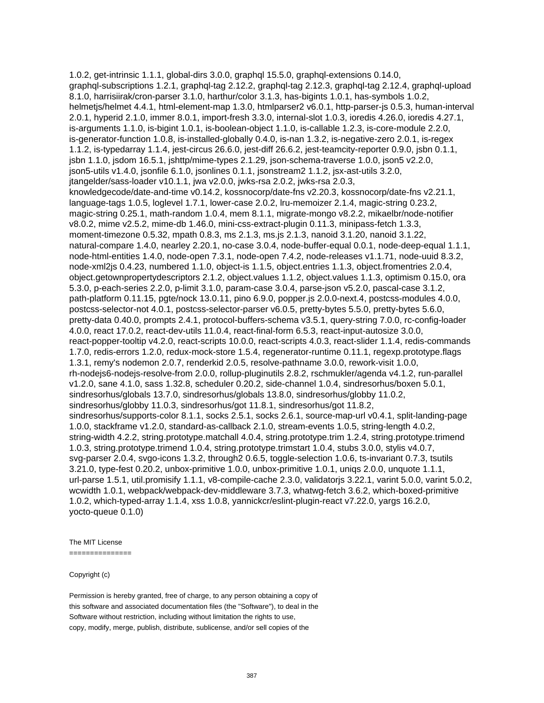1.0.2, get-intrinsic 1.1.1, global-dirs 3.0.0, graphql 15.5.0, graphql-extensions 0.14.0, graphql-subscriptions 1.2.1, graphql-tag 2.12.2, graphql-tag 2.12.3, graphql-tag 2.12.4, graphql-upload 8.1.0, harrisiirak/cron-parser 3.1.0, harthur/color 3.1.3, has-bigints 1.0.1, has-symbols 1.0.2, helmetjs/helmet 4.4.1, html-element-map 1.3.0, htmlparser2 v6.0.1, http-parser-js 0.5.3, human-interval 2.0.1, hyperid 2.1.0, immer 8.0.1, import-fresh 3.3.0, internal-slot 1.0.3, ioredis 4.26.0, ioredis 4.27.1, is-arguments 1.1.0, is-bigint 1.0.1, is-boolean-object 1.1.0, is-callable 1.2.3, is-core-module 2.2.0, is-generator-function 1.0.8, is-installed-globally 0.4.0, is-nan 1.3.2, is-negative-zero 2.0.1, is-regex 1.1.2, is-typedarray 1.1.4, jest-circus 26.6.0, jest-diff 26.6.2, jest-teamcity-reporter 0.9.0, jsbn 0.1.1, jsbn 1.1.0, jsdom 16.5.1, jshttp/mime-types 2.1.29, json-schema-traverse 1.0.0, json5 v2.2.0, json5-utils v1.4.0, jsonfile 6.1.0, jsonlines 0.1.1, jsonstream2 1.1.2, jsx-ast-utils 3.2.0, jtangelder/sass-loader v10.1.1, jwa v2.0.0, jwks-rsa 2.0.2, jwks-rsa 2.0.3, knowledgecode/date-and-time v0.14.2, kossnocorp/date-fns v2.20.3, kossnocorp/date-fns v2.21.1, language-tags 1.0.5, loglevel 1.7.1, lower-case 2.0.2, lru-memoizer 2.1.4, magic-string 0.23.2, magic-string 0.25.1, math-random 1.0.4, mem 8.1.1, migrate-mongo v8.2.2, mikaelbr/node-notifier v8.0.2, mime v2.5.2, mime-db 1.46.0, mini-css-extract-plugin 0.11.3, minipass-fetch 1.3.3, moment-timezone 0.5.32, mpath 0.8.3, ms 2.1.3, ms.js 2.1.3, nanoid 3.1.20, nanoid 3.1.22, natural-compare 1.4.0, nearley 2.20.1, no-case 3.0.4, node-buffer-equal 0.0.1, node-deep-equal 1.1.1, node-html-entities 1.4.0, node-open 7.3.1, node-open 7.4.2, node-releases v1.1.71, node-uuid 8.3.2, node-xml2js 0.4.23, numbered 1.1.0, object-is 1.1.5, object.entries 1.1.3, object.fromentries 2.0.4, object.getownpropertydescriptors 2.1.2, object.values 1.1.2, object.values 1.1.3, optimism 0.15.0, ora 5.3.0, p-each-series 2.2.0, p-limit 3.1.0, param-case 3.0.4, parse-json v5.2.0, pascal-case 3.1.2, path-platform 0.11.15, pgte/nock 13.0.11, pino 6.9.0, popper.js 2.0.0-next.4, postcss-modules 4.0.0, postcss-selector-not 4.0.1, postcss-selector-parser v6.0.5, pretty-bytes 5.5.0, pretty-bytes 5.6.0, pretty-data 0.40.0, prompts 2.4.1, protocol-buffers-schema v3.5.1, query-string 7.0.0, rc-config-loader 4.0.0, react 17.0.2, react-dev-utils 11.0.4, react-final-form 6.5.3, react-input-autosize 3.0.0, react-popper-tooltip v4.2.0, react-scripts 10.0.0, react-scripts 4.0.3, react-slider 1.1.4, redis-commands 1.7.0, redis-errors 1.2.0, redux-mock-store 1.5.4, regenerator-runtime 0.11.1, regexp.prototype.flags 1.3.1, remy's nodemon 2.0.7, renderkid 2.0.5, resolve-pathname 3.0.0, rework-visit 1.0.0, rh-nodejs6-nodejs-resolve-from 2.0.0, rollup-pluginutils 2.8.2, rschmukler/agenda v4.1.2, run-parallel v1.2.0, sane 4.1.0, sass 1.32.8, scheduler 0.20.2, side-channel 1.0.4, sindresorhus/boxen 5.0.1, sindresorhus/globals 13.7.0, sindresorhus/globals 13.8.0, sindresorhus/globby 11.0.2, sindresorhus/globby 11.0.3, sindresorhus/got 11.8.1, sindresorhus/got 11.8.2, sindresorhus/supports-color 8.1.1, socks 2.5.1, socks 2.6.1, source-map-url v0.4.1, split-landing-page 1.0.0, stackframe v1.2.0, standard-as-callback 2.1.0, stream-events 1.0.5, string-length 4.0.2, string-width 4.2.2, string.prototype.matchall 4.0.4, string.prototype.trim 1.2.4, string.prototype.trimend 1.0.3, string.prototype.trimend 1.0.4, string.prototype.trimstart 1.0.4, stubs 3.0.0, stylis v4.0.7, svg-parser 2.0.4, svgo-icons 1.3.2, through2 0.6.5, toggle-selection 1.0.6, ts-invariant 0.7.3, tsutils 3.21.0, type-fest 0.20.2, unbox-primitive 1.0.0, unbox-primitive 1.0.1, uniqs 2.0.0, unquote 1.1.1, url-parse 1.5.1, util.promisify 1.1.1, v8-compile-cache 2.3.0, validatorjs 3.22.1, varint 5.0.0, varint 5.0.2, wcwidth 1.0.1, webpack/webpack-dev-middleware 3.7.3, whatwg-fetch 3.6.2, which-boxed-primitive 1.0.2, which-typed-array 1.1.4, xss 1.0.8, yannickcr/eslint-plugin-react v7.22.0, yargs 16.2.0, yocto-queue 0.1.0)

#### The MIT License

===============

#### Copyright (c)

Permission is hereby granted, free of charge, to any person obtaining a copy of this software and associated documentation files (the "Software"), to deal in the Software without restriction, including without limitation the rights to use, copy, modify, merge, publish, distribute, sublicense, and/or sell copies of the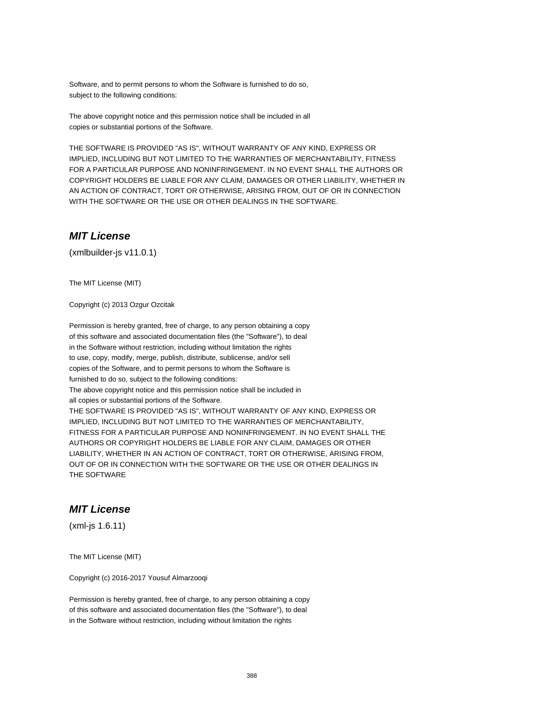Software, and to permit persons to whom the Software is furnished to do so, subject to the following conditions:

The above copyright notice and this permission notice shall be included in all copies or substantial portions of the Software.

THE SOFTWARE IS PROVIDED "AS IS", WITHOUT WARRANTY OF ANY KIND, EXPRESS OR IMPLIED, INCLUDING BUT NOT LIMITED TO THE WARRANTIES OF MERCHANTABILITY, FITNESS FOR A PARTICULAR PURPOSE AND NONINFRINGEMENT. IN NO EVENT SHALL THE AUTHORS OR COPYRIGHT HOLDERS BE LIABLE FOR ANY CLAIM, DAMAGES OR OTHER LIABILITY, WHETHER IN AN ACTION OF CONTRACT, TORT OR OTHERWISE, ARISING FROM, OUT OF OR IN CONNECTION WITH THE SOFTWARE OR THE USE OR OTHER DEALINGS IN THE SOFTWARE.

#### **MIT License**

(xmlbuilder-js v11.0.1)

The MIT License (MIT)

Copyright (c) 2013 Ozgur Ozcitak

Permission is hereby granted, free of charge, to any person obtaining a copy of this software and associated documentation files (the "Software"), to deal in the Software without restriction, including without limitation the rights to use, copy, modify, merge, publish, distribute, sublicense, and/or sell copies of the Software, and to permit persons to whom the Software is furnished to do so, subject to the following conditions: The above copyright notice and this permission notice shall be included in all copies or substantial portions of the Software. THE SOFTWARE IS PROVIDED "AS IS", WITHOUT WARRANTY OF ANY KIND, EXPRESS OR IMPLIED, INCLUDING BUT NOT LIMITED TO THE WARRANTIES OF MERCHANTABILITY, FITNESS FOR A PARTICULAR PURPOSE AND NONINFRINGEMENT. IN NO EVENT SHALL THE AUTHORS OR COPYRIGHT HOLDERS BE LIABLE FOR ANY CLAIM, DAMAGES OR OTHER LIABILITY, WHETHER IN AN ACTION OF CONTRACT, TORT OR OTHERWISE, ARISING FROM, OUT OF OR IN CONNECTION WITH THE SOFTWARE OR THE USE OR OTHER DEALINGS IN THE SOFTWARE

#### **MIT License**

(xml-js 1.6.11)

The MIT License (MIT)

Copyright (c) 2016-2017 Yousuf Almarzooqi

Permission is hereby granted, free of charge, to any person obtaining a copy of this software and associated documentation files (the "Software"), to deal in the Software without restriction, including without limitation the rights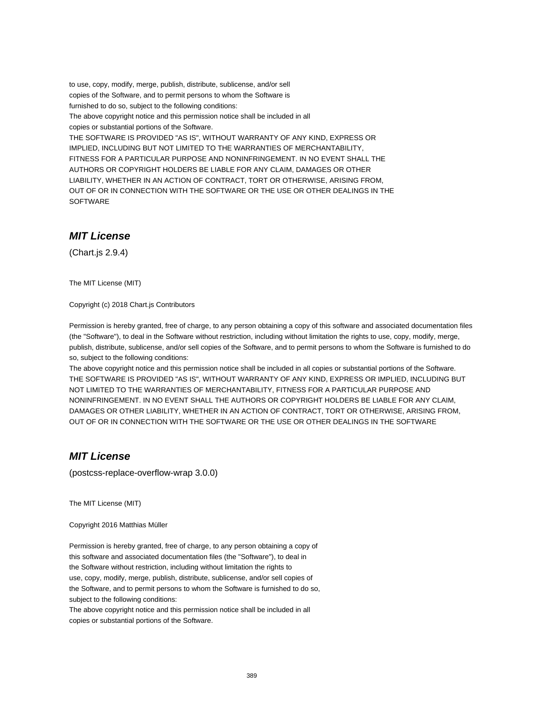to use, copy, modify, merge, publish, distribute, sublicense, and/or sell copies of the Software, and to permit persons to whom the Software is furnished to do so, subject to the following conditions:

The above copyright notice and this permission notice shall be included in all copies or substantial portions of the Software.

THE SOFTWARE IS PROVIDED "AS IS", WITHOUT WARRANTY OF ANY KIND, EXPRESS OR IMPLIED, INCLUDING BUT NOT LIMITED TO THE WARRANTIES OF MERCHANTABILITY, FITNESS FOR A PARTICULAR PURPOSE AND NONINFRINGEMENT. IN NO EVENT SHALL THE AUTHORS OR COPYRIGHT HOLDERS BE LIABLE FOR ANY CLAIM, DAMAGES OR OTHER LIABILITY, WHETHER IN AN ACTION OF CONTRACT, TORT OR OTHERWISE, ARISING FROM, OUT OF OR IN CONNECTION WITH THE SOFTWARE OR THE USE OR OTHER DEALINGS IN THE SOFTWARE

## **MIT License**

(Chart.js 2.9.4)

The MIT License (MIT)

Copyright (c) 2018 Chart.js Contributors

Permission is hereby granted, free of charge, to any person obtaining a copy of this software and associated documentation files (the "Software"), to deal in the Software without restriction, including without limitation the rights to use, copy, modify, merge, publish, distribute, sublicense, and/or sell copies of the Software, and to permit persons to whom the Software is furnished to do so, subject to the following conditions:

The above copyright notice and this permission notice shall be included in all copies or substantial portions of the Software. THE SOFTWARE IS PROVIDED "AS IS", WITHOUT WARRANTY OF ANY KIND, EXPRESS OR IMPLIED, INCLUDING BUT NOT LIMITED TO THE WARRANTIES OF MERCHANTABILITY, FITNESS FOR A PARTICULAR PURPOSE AND NONINFRINGEMENT. IN NO EVENT SHALL THE AUTHORS OR COPYRIGHT HOLDERS BE LIABLE FOR ANY CLAIM, DAMAGES OR OTHER LIABILITY, WHETHER IN AN ACTION OF CONTRACT, TORT OR OTHERWISE, ARISING FROM, OUT OF OR IN CONNECTION WITH THE SOFTWARE OR THE USE OR OTHER DEALINGS IN THE SOFTWARE

## **MIT License**

(postcss-replace-overflow-wrap 3.0.0)

The MIT License (MIT)

Copyright 2016 Matthias Müller

Permission is hereby granted, free of charge, to any person obtaining a copy of this software and associated documentation files (the "Software"), to deal in the Software without restriction, including without limitation the rights to use, copy, modify, merge, publish, distribute, sublicense, and/or sell copies of the Software, and to permit persons to whom the Software is furnished to do so, subject to the following conditions:

The above copyright notice and this permission notice shall be included in all copies or substantial portions of the Software.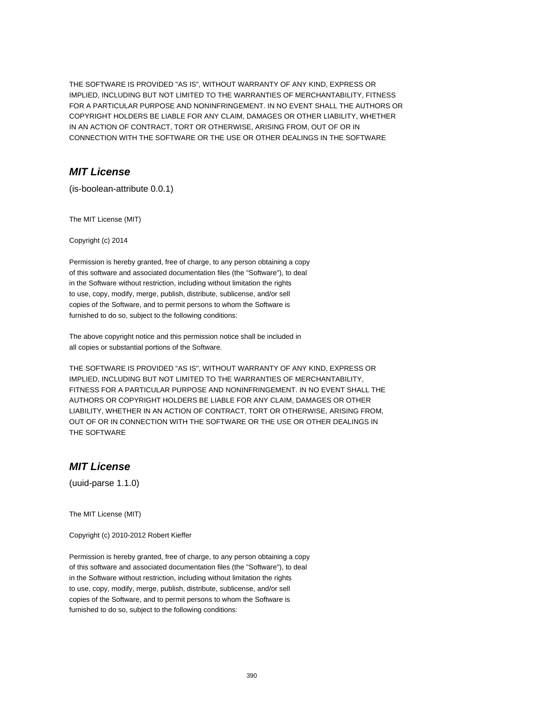THE SOFTWARE IS PROVIDED "AS IS", WITHOUT WARRANTY OF ANY KIND, EXPRESS OR IMPLIED, INCLUDING BUT NOT LIMITED TO THE WARRANTIES OF MERCHANTABILITY, FITNESS FOR A PARTICULAR PURPOSE AND NONINFRINGEMENT. IN NO EVENT SHALL THE AUTHORS OR COPYRIGHT HOLDERS BE LIABLE FOR ANY CLAIM, DAMAGES OR OTHER LIABILITY, WHETHER IN AN ACTION OF CONTRACT, TORT OR OTHERWISE, ARISING FROM, OUT OF OR IN CONNECTION WITH THE SOFTWARE OR THE USE OR OTHER DEALINGS IN THE SOFTWARE

#### **MIT License**

(is-boolean-attribute 0.0.1)

The MIT License (MIT)

Copyright (c) 2014

Permission is hereby granted, free of charge, to any person obtaining a copy of this software and associated documentation files (the "Software"), to deal in the Software without restriction, including without limitation the rights to use, copy, modify, merge, publish, distribute, sublicense, and/or sell copies of the Software, and to permit persons to whom the Software is furnished to do so, subject to the following conditions:

The above copyright notice and this permission notice shall be included in all copies or substantial portions of the Software.

THE SOFTWARE IS PROVIDED "AS IS", WITHOUT WARRANTY OF ANY KIND, EXPRESS OR IMPLIED, INCLUDING BUT NOT LIMITED TO THE WARRANTIES OF MERCHANTABILITY, FITNESS FOR A PARTICULAR PURPOSE AND NONINFRINGEMENT. IN NO EVENT SHALL THE AUTHORS OR COPYRIGHT HOLDERS BE LIABLE FOR ANY CLAIM, DAMAGES OR OTHER LIABILITY, WHETHER IN AN ACTION OF CONTRACT, TORT OR OTHERWISE, ARISING FROM, OUT OF OR IN CONNECTION WITH THE SOFTWARE OR THE USE OR OTHER DEALINGS IN THE SOFTWARE

#### **MIT License**

(uuid-parse 1.1.0)

The MIT License (MIT)

Copyright (c) 2010-2012 Robert Kieffer

Permission is hereby granted, free of charge, to any person obtaining a copy of this software and associated documentation files (the "Software"), to deal in the Software without restriction, including without limitation the rights to use, copy, modify, merge, publish, distribute, sublicense, and/or sell copies of the Software, and to permit persons to whom the Software is furnished to do so, subject to the following conditions: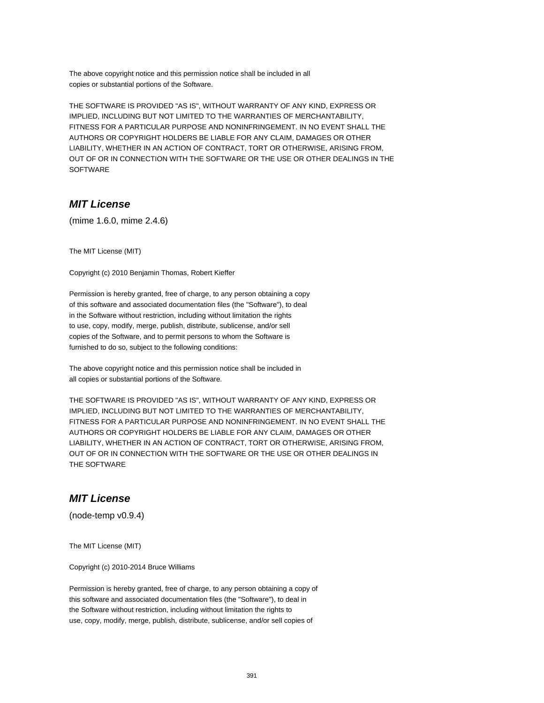The above copyright notice and this permission notice shall be included in all copies or substantial portions of the Software.

THE SOFTWARE IS PROVIDED "AS IS", WITHOUT WARRANTY OF ANY KIND, EXPRESS OR IMPLIED, INCLUDING BUT NOT LIMITED TO THE WARRANTIES OF MERCHANTABILITY, FITNESS FOR A PARTICULAR PURPOSE AND NONINFRINGEMENT. IN NO EVENT SHALL THE AUTHORS OR COPYRIGHT HOLDERS BE LIABLE FOR ANY CLAIM, DAMAGES OR OTHER LIABILITY, WHETHER IN AN ACTION OF CONTRACT, TORT OR OTHERWISE, ARISING FROM, OUT OF OR IN CONNECTION WITH THE SOFTWARE OR THE USE OR OTHER DEALINGS IN THE SOFTWARE

#### **MIT License**

(mime 1.6.0, mime 2.4.6)

The MIT License (MIT)

Copyright (c) 2010 Benjamin Thomas, Robert Kieffer

Permission is hereby granted, free of charge, to any person obtaining a copy of this software and associated documentation files (the "Software"), to deal in the Software without restriction, including without limitation the rights to use, copy, modify, merge, publish, distribute, sublicense, and/or sell copies of the Software, and to permit persons to whom the Software is furnished to do so, subject to the following conditions:

The above copyright notice and this permission notice shall be included in all copies or substantial portions of the Software.

THE SOFTWARE IS PROVIDED "AS IS", WITHOUT WARRANTY OF ANY KIND, EXPRESS OR IMPLIED, INCLUDING BUT NOT LIMITED TO THE WARRANTIES OF MERCHANTABILITY, FITNESS FOR A PARTICULAR PURPOSE AND NONINFRINGEMENT. IN NO EVENT SHALL THE AUTHORS OR COPYRIGHT HOLDERS BE LIABLE FOR ANY CLAIM, DAMAGES OR OTHER LIABILITY, WHETHER IN AN ACTION OF CONTRACT, TORT OR OTHERWISE, ARISING FROM, OUT OF OR IN CONNECTION WITH THE SOFTWARE OR THE USE OR OTHER DEALINGS IN THE SOFTWARE

#### **MIT License**

(node-temp v0.9.4)

The MIT License (MIT)

Copyright (c) 2010-2014 Bruce Williams

Permission is hereby granted, free of charge, to any person obtaining a copy of this software and associated documentation files (the "Software"), to deal in the Software without restriction, including without limitation the rights to use, copy, modify, merge, publish, distribute, sublicense, and/or sell copies of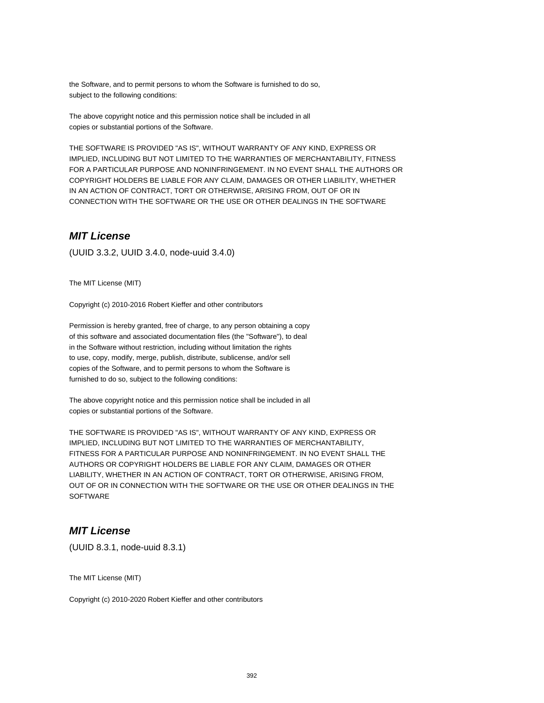the Software, and to permit persons to whom the Software is furnished to do so, subject to the following conditions:

The above copyright notice and this permission notice shall be included in all copies or substantial portions of the Software.

THE SOFTWARE IS PROVIDED "AS IS", WITHOUT WARRANTY OF ANY KIND, EXPRESS OR IMPLIED, INCLUDING BUT NOT LIMITED TO THE WARRANTIES OF MERCHANTABILITY, FITNESS FOR A PARTICULAR PURPOSE AND NONINFRINGEMENT. IN NO EVENT SHALL THE AUTHORS OR COPYRIGHT HOLDERS BE LIABLE FOR ANY CLAIM, DAMAGES OR OTHER LIABILITY, WHETHER IN AN ACTION OF CONTRACT, TORT OR OTHERWISE, ARISING FROM, OUT OF OR IN CONNECTION WITH THE SOFTWARE OR THE USE OR OTHER DEALINGS IN THE SOFTWARE

#### **MIT License**

(UUID 3.3.2, UUID 3.4.0, node-uuid 3.4.0)

The MIT License (MIT)

Copyright (c) 2010-2016 Robert Kieffer and other contributors

Permission is hereby granted, free of charge, to any person obtaining a copy of this software and associated documentation files (the "Software"), to deal in the Software without restriction, including without limitation the rights to use, copy, modify, merge, publish, distribute, sublicense, and/or sell copies of the Software, and to permit persons to whom the Software is furnished to do so, subject to the following conditions:

The above copyright notice and this permission notice shall be included in all copies or substantial portions of the Software.

THE SOFTWARE IS PROVIDED "AS IS", WITHOUT WARRANTY OF ANY KIND, EXPRESS OR IMPLIED, INCLUDING BUT NOT LIMITED TO THE WARRANTIES OF MERCHANTABILITY, FITNESS FOR A PARTICULAR PURPOSE AND NONINFRINGEMENT. IN NO EVENT SHALL THE AUTHORS OR COPYRIGHT HOLDERS BE LIABLE FOR ANY CLAIM, DAMAGES OR OTHER LIABILITY, WHETHER IN AN ACTION OF CONTRACT, TORT OR OTHERWISE, ARISING FROM, OUT OF OR IN CONNECTION WITH THE SOFTWARE OR THE USE OR OTHER DEALINGS IN THE **SOFTWARE** 

## **MIT License**

(UUID 8.3.1, node-uuid 8.3.1)

The MIT License (MIT)

Copyright (c) 2010-2020 Robert Kieffer and other contributors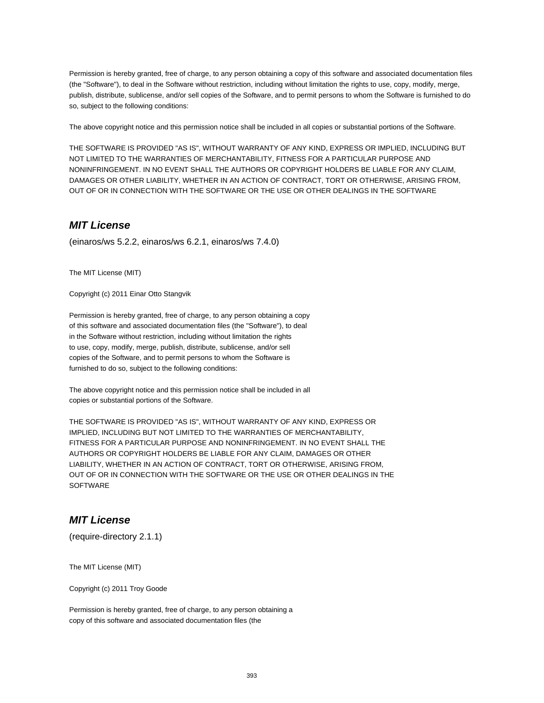Permission is hereby granted, free of charge, to any person obtaining a copy of this software and associated documentation files (the "Software"), to deal in the Software without restriction, including without limitation the rights to use, copy, modify, merge, publish, distribute, sublicense, and/or sell copies of the Software, and to permit persons to whom the Software is furnished to do so, subject to the following conditions:

The above copyright notice and this permission notice shall be included in all copies or substantial portions of the Software.

THE SOFTWARE IS PROVIDED "AS IS", WITHOUT WARRANTY OF ANY KIND, EXPRESS OR IMPLIED, INCLUDING BUT NOT LIMITED TO THE WARRANTIES OF MERCHANTABILITY, FITNESS FOR A PARTICULAR PURPOSE AND NONINFRINGEMENT. IN NO EVENT SHALL THE AUTHORS OR COPYRIGHT HOLDERS BE LIABLE FOR ANY CLAIM, DAMAGES OR OTHER LIABILITY, WHETHER IN AN ACTION OF CONTRACT, TORT OR OTHERWISE, ARISING FROM, OUT OF OR IN CONNECTION WITH THE SOFTWARE OR THE USE OR OTHER DEALINGS IN THE SOFTWARE

#### **MIT License**

(einaros/ws 5.2.2, einaros/ws 6.2.1, einaros/ws 7.4.0)

The MIT License (MIT)

Copyright (c) 2011 Einar Otto Stangvik

Permission is hereby granted, free of charge, to any person obtaining a copy of this software and associated documentation files (the "Software"), to deal in the Software without restriction, including without limitation the rights to use, copy, modify, merge, publish, distribute, sublicense, and/or sell copies of the Software, and to permit persons to whom the Software is furnished to do so, subject to the following conditions:

The above copyright notice and this permission notice shall be included in all copies or substantial portions of the Software.

THE SOFTWARE IS PROVIDED "AS IS", WITHOUT WARRANTY OF ANY KIND, EXPRESS OR IMPLIED, INCLUDING BUT NOT LIMITED TO THE WARRANTIES OF MERCHANTABILITY, FITNESS FOR A PARTICULAR PURPOSE AND NONINFRINGEMENT. IN NO EVENT SHALL THE AUTHORS OR COPYRIGHT HOLDERS BE LIABLE FOR ANY CLAIM, DAMAGES OR OTHER LIABILITY, WHETHER IN AN ACTION OF CONTRACT, TORT OR OTHERWISE, ARISING FROM, OUT OF OR IN CONNECTION WITH THE SOFTWARE OR THE USE OR OTHER DEALINGS IN THE **SOFTWARE** 

#### **MIT License**

(require-directory 2.1.1)

The MIT License (MIT)

Copyright (c) 2011 Troy Goode

Permission is hereby granted, free of charge, to any person obtaining a copy of this software and associated documentation files (the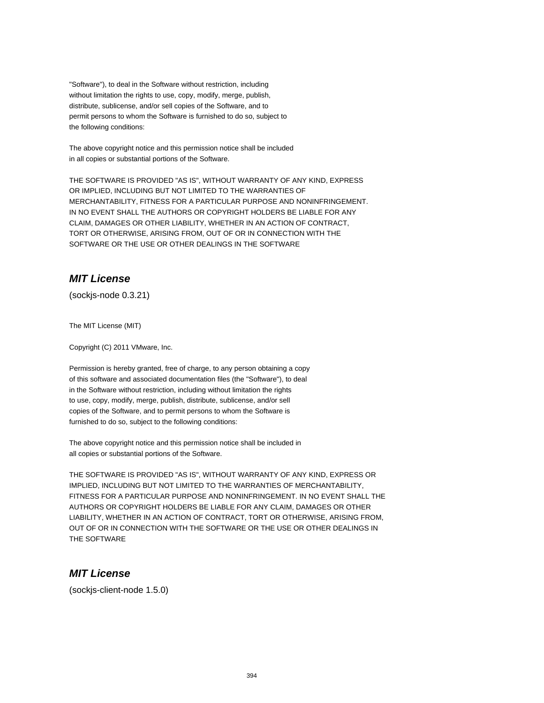"Software"), to deal in the Software without restriction, including without limitation the rights to use, copy, modify, merge, publish, distribute, sublicense, and/or sell copies of the Software, and to permit persons to whom the Software is furnished to do so, subject to the following conditions:

The above copyright notice and this permission notice shall be included in all copies or substantial portions of the Software.

THE SOFTWARE IS PROVIDED "AS IS", WITHOUT WARRANTY OF ANY KIND, EXPRESS OR IMPLIED, INCLUDING BUT NOT LIMITED TO THE WARRANTIES OF MERCHANTABILITY, FITNESS FOR A PARTICULAR PURPOSE AND NONINFRINGEMENT. IN NO EVENT SHALL THE AUTHORS OR COPYRIGHT HOLDERS BE LIABLE FOR ANY CLAIM, DAMAGES OR OTHER LIABILITY, WHETHER IN AN ACTION OF CONTRACT, TORT OR OTHERWISE, ARISING FROM, OUT OF OR IN CONNECTION WITH THE SOFTWARE OR THE USE OR OTHER DEALINGS IN THE SOFTWARE

## **MIT License**

(sockjs-node 0.3.21)

The MIT License (MIT)

Copyright (C) 2011 VMware, Inc.

Permission is hereby granted, free of charge, to any person obtaining a copy of this software and associated documentation files (the "Software"), to deal in the Software without restriction, including without limitation the rights to use, copy, modify, merge, publish, distribute, sublicense, and/or sell copies of the Software, and to permit persons to whom the Software is furnished to do so, subject to the following conditions:

The above copyright notice and this permission notice shall be included in all copies or substantial portions of the Software.

THE SOFTWARE IS PROVIDED "AS IS", WITHOUT WARRANTY OF ANY KIND, EXPRESS OR IMPLIED, INCLUDING BUT NOT LIMITED TO THE WARRANTIES OF MERCHANTABILITY, FITNESS FOR A PARTICULAR PURPOSE AND NONINFRINGEMENT. IN NO EVENT SHALL THE AUTHORS OR COPYRIGHT HOLDERS BE LIABLE FOR ANY CLAIM, DAMAGES OR OTHER LIABILITY, WHETHER IN AN ACTION OF CONTRACT, TORT OR OTHERWISE, ARISING FROM, OUT OF OR IN CONNECTION WITH THE SOFTWARE OR THE USE OR OTHER DEALINGS IN THE SOFTWARE

#### **MIT License**

(sockjs-client-node 1.5.0)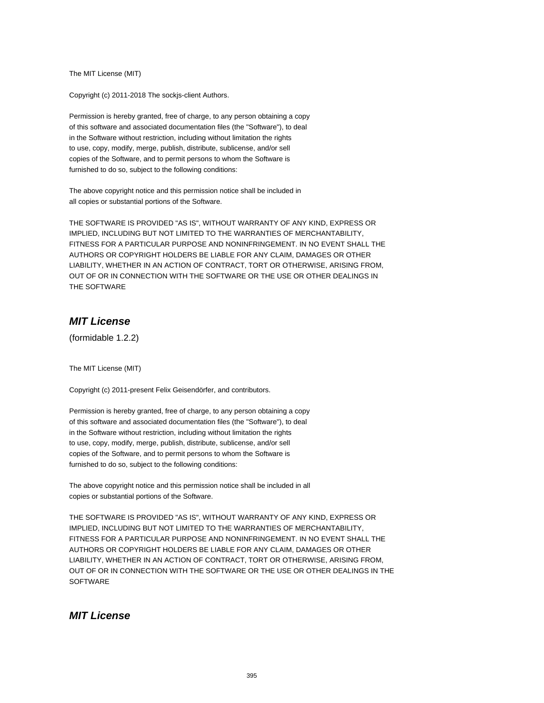The MIT License (MIT)

Copyright (c) 2011-2018 The sockjs-client Authors.

Permission is hereby granted, free of charge, to any person obtaining a copy of this software and associated documentation files (the "Software"), to deal in the Software without restriction, including without limitation the rights to use, copy, modify, merge, publish, distribute, sublicense, and/or sell copies of the Software, and to permit persons to whom the Software is furnished to do so, subject to the following conditions:

The above copyright notice and this permission notice shall be included in all copies or substantial portions of the Software.

THE SOFTWARE IS PROVIDED "AS IS", WITHOUT WARRANTY OF ANY KIND, EXPRESS OR IMPLIED, INCLUDING BUT NOT LIMITED TO THE WARRANTIES OF MERCHANTABILITY, FITNESS FOR A PARTICULAR PURPOSE AND NONINFRINGEMENT. IN NO EVENT SHALL THE AUTHORS OR COPYRIGHT HOLDERS BE LIABLE FOR ANY CLAIM, DAMAGES OR OTHER LIABILITY, WHETHER IN AN ACTION OF CONTRACT, TORT OR OTHERWISE, ARISING FROM, OUT OF OR IN CONNECTION WITH THE SOFTWARE OR THE USE OR OTHER DEALINGS IN THE SOFTWARE

## **MIT License**

(formidable 1.2.2)

The MIT License (MIT)

Copyright (c) 2011-present Felix Geisendörfer, and contributors.

Permission is hereby granted, free of charge, to any person obtaining a copy of this software and associated documentation files (the "Software"), to deal in the Software without restriction, including without limitation the rights to use, copy, modify, merge, publish, distribute, sublicense, and/or sell copies of the Software, and to permit persons to whom the Software is furnished to do so, subject to the following conditions:

The above copyright notice and this permission notice shall be included in all copies or substantial portions of the Software.

THE SOFTWARE IS PROVIDED "AS IS", WITHOUT WARRANTY OF ANY KIND, EXPRESS OR IMPLIED, INCLUDING BUT NOT LIMITED TO THE WARRANTIES OF MERCHANTABILITY, FITNESS FOR A PARTICULAR PURPOSE AND NONINFRINGEMENT. IN NO EVENT SHALL THE AUTHORS OR COPYRIGHT HOLDERS BE LIABLE FOR ANY CLAIM, DAMAGES OR OTHER LIABILITY, WHETHER IN AN ACTION OF CONTRACT, TORT OR OTHERWISE, ARISING FROM, OUT OF OR IN CONNECTION WITH THE SOFTWARE OR THE USE OR OTHER DEALINGS IN THE **SOFTWARE** 

#### **MIT License**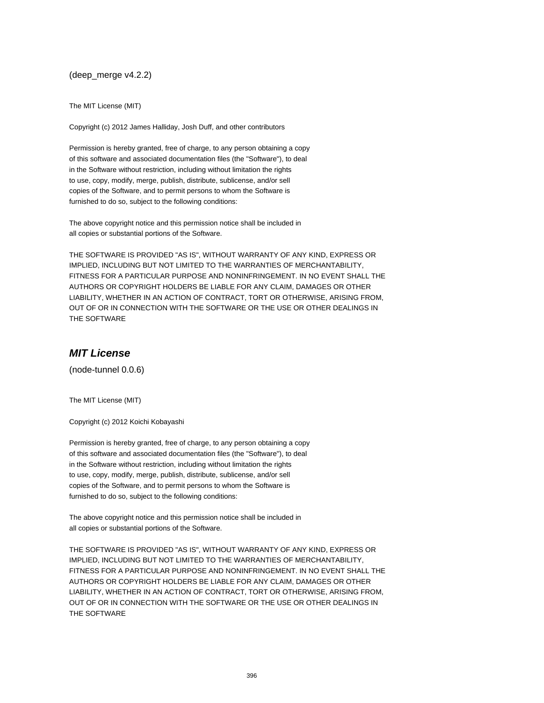(deep\_merge v4.2.2)

The MIT License (MIT)

Copyright (c) 2012 James Halliday, Josh Duff, and other contributors

Permission is hereby granted, free of charge, to any person obtaining a copy of this software and associated documentation files (the "Software"), to deal in the Software without restriction, including without limitation the rights to use, copy, modify, merge, publish, distribute, sublicense, and/or sell copies of the Software, and to permit persons to whom the Software is furnished to do so, subject to the following conditions:

The above copyright notice and this permission notice shall be included in all copies or substantial portions of the Software.

THE SOFTWARE IS PROVIDED "AS IS", WITHOUT WARRANTY OF ANY KIND, EXPRESS OR IMPLIED, INCLUDING BUT NOT LIMITED TO THE WARRANTIES OF MERCHANTABILITY, FITNESS FOR A PARTICULAR PURPOSE AND NONINFRINGEMENT. IN NO EVENT SHALL THE AUTHORS OR COPYRIGHT HOLDERS BE LIABLE FOR ANY CLAIM, DAMAGES OR OTHER LIABILITY, WHETHER IN AN ACTION OF CONTRACT, TORT OR OTHERWISE, ARISING FROM, OUT OF OR IN CONNECTION WITH THE SOFTWARE OR THE USE OR OTHER DEALINGS IN THE SOFTWARE

#### **MIT License**

(node-tunnel 0.0.6)

The MIT License (MIT)

Copyright (c) 2012 Koichi Kobayashi

Permission is hereby granted, free of charge, to any person obtaining a copy of this software and associated documentation files (the "Software"), to deal in the Software without restriction, including without limitation the rights to use, copy, modify, merge, publish, distribute, sublicense, and/or sell copies of the Software, and to permit persons to whom the Software is furnished to do so, subject to the following conditions:

The above copyright notice and this permission notice shall be included in all copies or substantial portions of the Software.

THE SOFTWARE IS PROVIDED "AS IS", WITHOUT WARRANTY OF ANY KIND, EXPRESS OR IMPLIED, INCLUDING BUT NOT LIMITED TO THE WARRANTIES OF MERCHANTABILITY, FITNESS FOR A PARTICULAR PURPOSE AND NONINFRINGEMENT. IN NO EVENT SHALL THE AUTHORS OR COPYRIGHT HOLDERS BE LIABLE FOR ANY CLAIM, DAMAGES OR OTHER LIABILITY, WHETHER IN AN ACTION OF CONTRACT, TORT OR OTHERWISE, ARISING FROM, OUT OF OR IN CONNECTION WITH THE SOFTWARE OR THE USE OR OTHER DEALINGS IN THE SOFTWARE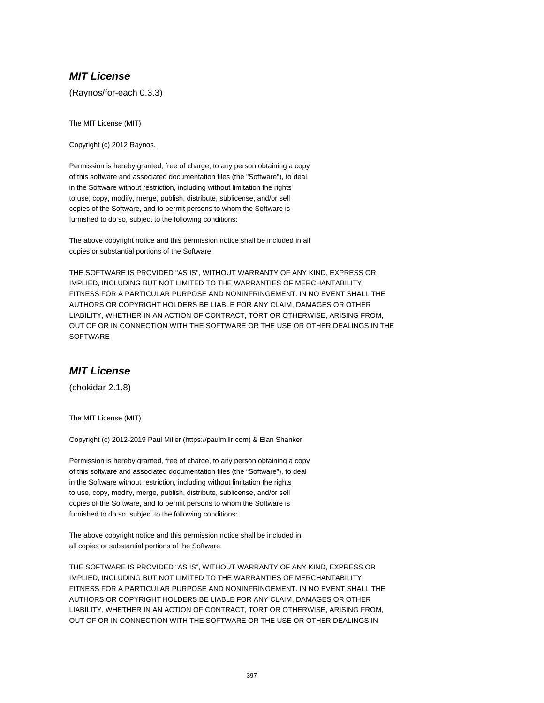## **MIT License**

(Raynos/for-each 0.3.3)

The MIT License (MIT)

Copyright (c) 2012 Raynos.

Permission is hereby granted, free of charge, to any person obtaining a copy of this software and associated documentation files (the "Software"), to deal in the Software without restriction, including without limitation the rights to use, copy, modify, merge, publish, distribute, sublicense, and/or sell copies of the Software, and to permit persons to whom the Software is furnished to do so, subject to the following conditions:

The above copyright notice and this permission notice shall be included in all copies or substantial portions of the Software.

THE SOFTWARE IS PROVIDED "AS IS", WITHOUT WARRANTY OF ANY KIND, EXPRESS OR IMPLIED, INCLUDING BUT NOT LIMITED TO THE WARRANTIES OF MERCHANTABILITY, FITNESS FOR A PARTICULAR PURPOSE AND NONINFRINGEMENT. IN NO EVENT SHALL THE AUTHORS OR COPYRIGHT HOLDERS BE LIABLE FOR ANY CLAIM, DAMAGES OR OTHER LIABILITY, WHETHER IN AN ACTION OF CONTRACT, TORT OR OTHERWISE, ARISING FROM, OUT OF OR IN CONNECTION WITH THE SOFTWARE OR THE USE OR OTHER DEALINGS IN THE **SOFTWARE** 

# **MIT License**

(chokidar 2.1.8)

The MIT License (MIT)

Copyright (c) 2012-2019 Paul Miller (https://paulmillr.com) & Elan Shanker

Permission is hereby granted, free of charge, to any person obtaining a copy of this software and associated documentation files (the "Software"), to deal in the Software without restriction, including without limitation the rights to use, copy, modify, merge, publish, distribute, sublicense, and/or sell copies of the Software, and to permit persons to whom the Software is furnished to do so, subject to the following conditions:

The above copyright notice and this permission notice shall be included in all copies or substantial portions of the Software.

THE SOFTWARE IS PROVIDED "AS IS", WITHOUT WARRANTY OF ANY KIND, EXPRESS OR IMPLIED, INCLUDING BUT NOT LIMITED TO THE WARRANTIES OF MERCHANTABILITY, FITNESS FOR A PARTICULAR PURPOSE AND NONINFRINGEMENT. IN NO EVENT SHALL THE AUTHORS OR COPYRIGHT HOLDERS BE LIABLE FOR ANY CLAIM, DAMAGES OR OTHER LIABILITY, WHETHER IN AN ACTION OF CONTRACT, TORT OR OTHERWISE, ARISING FROM, OUT OF OR IN CONNECTION WITH THE SOFTWARE OR THE USE OR OTHER DEALINGS IN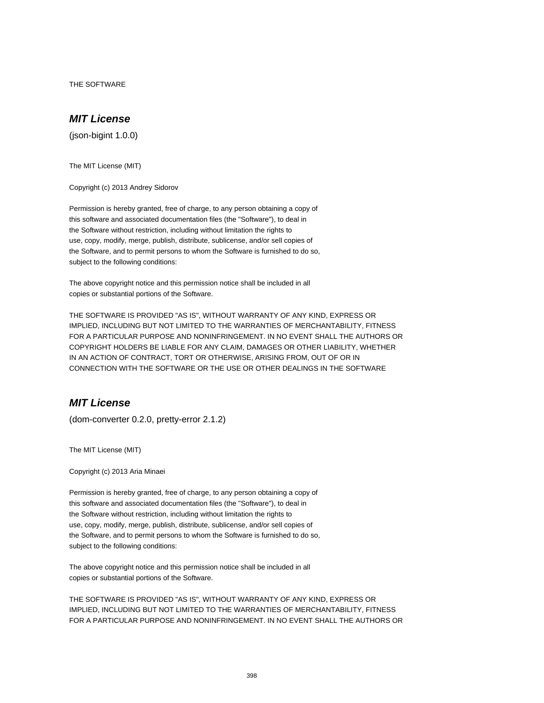THE SOFTWARE

#### **MIT License**

(json-bigint 1.0.0)

The MIT License (MIT)

Copyright (c) 2013 Andrey Sidorov

Permission is hereby granted, free of charge, to any person obtaining a copy of this software and associated documentation files (the "Software"), to deal in the Software without restriction, including without limitation the rights to use, copy, modify, merge, publish, distribute, sublicense, and/or sell copies of the Software, and to permit persons to whom the Software is furnished to do so, subject to the following conditions:

The above copyright notice and this permission notice shall be included in all copies or substantial portions of the Software.

THE SOFTWARE IS PROVIDED "AS IS", WITHOUT WARRANTY OF ANY KIND, EXPRESS OR IMPLIED, INCLUDING BUT NOT LIMITED TO THE WARRANTIES OF MERCHANTABILITY, FITNESS FOR A PARTICULAR PURPOSE AND NONINFRINGEMENT. IN NO EVENT SHALL THE AUTHORS OR COPYRIGHT HOLDERS BE LIABLE FOR ANY CLAIM, DAMAGES OR OTHER LIABILITY, WHETHER IN AN ACTION OF CONTRACT, TORT OR OTHERWISE, ARISING FROM, OUT OF OR IN CONNECTION WITH THE SOFTWARE OR THE USE OR OTHER DEALINGS IN THE SOFTWARE

# **MIT License**

(dom-converter 0.2.0, pretty-error 2.1.2)

The MIT License (MIT)

Copyright (c) 2013 Aria Minaei

Permission is hereby granted, free of charge, to any person obtaining a copy of this software and associated documentation files (the "Software"), to deal in the Software without restriction, including without limitation the rights to use, copy, modify, merge, publish, distribute, sublicense, and/or sell copies of the Software, and to permit persons to whom the Software is furnished to do so, subject to the following conditions:

The above copyright notice and this permission notice shall be included in all copies or substantial portions of the Software.

THE SOFTWARE IS PROVIDED "AS IS", WITHOUT WARRANTY OF ANY KIND, EXPRESS OR IMPLIED, INCLUDING BUT NOT LIMITED TO THE WARRANTIES OF MERCHANTABILITY, FITNESS FOR A PARTICULAR PURPOSE AND NONINFRINGEMENT. IN NO EVENT SHALL THE AUTHORS OR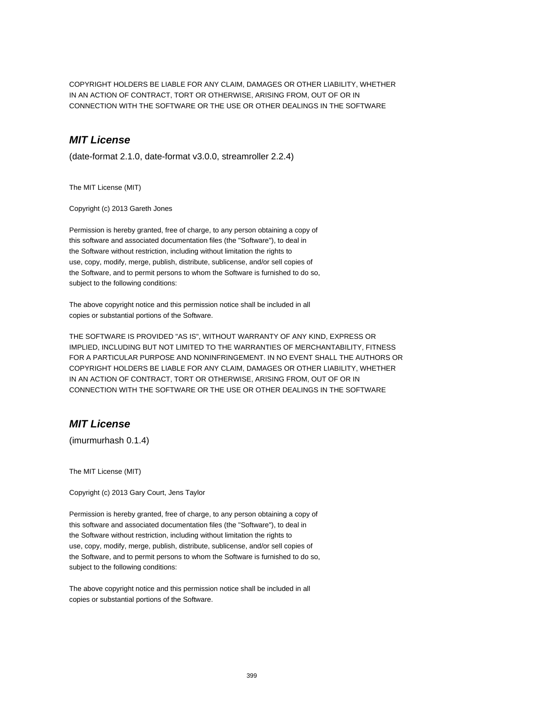COPYRIGHT HOLDERS BE LIABLE FOR ANY CLAIM, DAMAGES OR OTHER LIABILITY, WHETHER IN AN ACTION OF CONTRACT, TORT OR OTHERWISE, ARISING FROM, OUT OF OR IN CONNECTION WITH THE SOFTWARE OR THE USE OR OTHER DEALINGS IN THE SOFTWARE

#### **MIT License**

(date-format 2.1.0, date-format v3.0.0, streamroller 2.2.4)

The MIT License (MIT)

Copyright (c) 2013 Gareth Jones

Permission is hereby granted, free of charge, to any person obtaining a copy of this software and associated documentation files (the "Software"), to deal in the Software without restriction, including without limitation the rights to use, copy, modify, merge, publish, distribute, sublicense, and/or sell copies of the Software, and to permit persons to whom the Software is furnished to do so, subject to the following conditions:

The above copyright notice and this permission notice shall be included in all copies or substantial portions of the Software.

THE SOFTWARE IS PROVIDED "AS IS", WITHOUT WARRANTY OF ANY KIND, EXPRESS OR IMPLIED, INCLUDING BUT NOT LIMITED TO THE WARRANTIES OF MERCHANTABILITY, FITNESS FOR A PARTICULAR PURPOSE AND NONINFRINGEMENT. IN NO EVENT SHALL THE AUTHORS OR COPYRIGHT HOLDERS BE LIABLE FOR ANY CLAIM, DAMAGES OR OTHER LIABILITY, WHETHER IN AN ACTION OF CONTRACT, TORT OR OTHERWISE, ARISING FROM, OUT OF OR IN CONNECTION WITH THE SOFTWARE OR THE USE OR OTHER DEALINGS IN THE SOFTWARE

## **MIT License**

(imurmurhash 0.1.4)

The MIT License (MIT)

Copyright (c) 2013 Gary Court, Jens Taylor

Permission is hereby granted, free of charge, to any person obtaining a copy of this software and associated documentation files (the "Software"), to deal in the Software without restriction, including without limitation the rights to use, copy, modify, merge, publish, distribute, sublicense, and/or sell copies of the Software, and to permit persons to whom the Software is furnished to do so, subject to the following conditions:

The above copyright notice and this permission notice shall be included in all copies or substantial portions of the Software.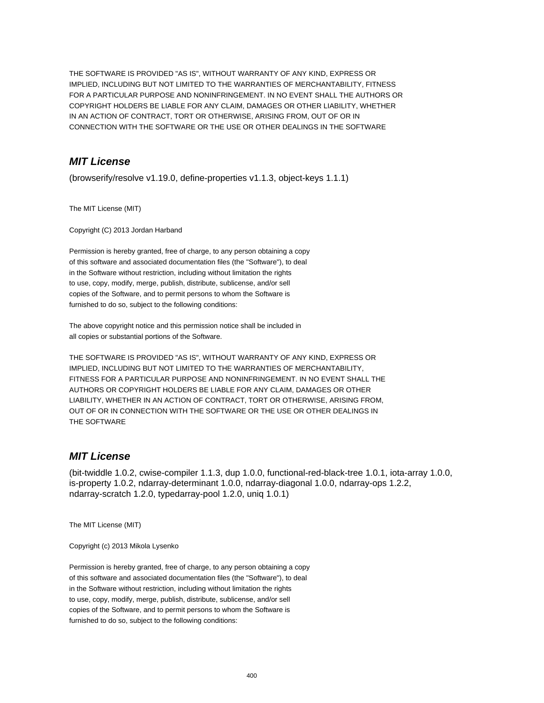THE SOFTWARE IS PROVIDED "AS IS", WITHOUT WARRANTY OF ANY KIND, EXPRESS OR IMPLIED, INCLUDING BUT NOT LIMITED TO THE WARRANTIES OF MERCHANTABILITY, FITNESS FOR A PARTICULAR PURPOSE AND NONINFRINGEMENT. IN NO EVENT SHALL THE AUTHORS OR COPYRIGHT HOLDERS BE LIABLE FOR ANY CLAIM, DAMAGES OR OTHER LIABILITY, WHETHER IN AN ACTION OF CONTRACT, TORT OR OTHERWISE, ARISING FROM, OUT OF OR IN CONNECTION WITH THE SOFTWARE OR THE USE OR OTHER DEALINGS IN THE SOFTWARE

# **MIT License**

(browserify/resolve v1.19.0, define-properties v1.1.3, object-keys 1.1.1)

The MIT License (MIT)

Copyright (C) 2013 Jordan Harband

Permission is hereby granted, free of charge, to any person obtaining a copy of this software and associated documentation files (the "Software"), to deal in the Software without restriction, including without limitation the rights to use, copy, modify, merge, publish, distribute, sublicense, and/or sell copies of the Software, and to permit persons to whom the Software is furnished to do so, subject to the following conditions:

The above copyright notice and this permission notice shall be included in all copies or substantial portions of the Software.

THE SOFTWARE IS PROVIDED "AS IS", WITHOUT WARRANTY OF ANY KIND, EXPRESS OR IMPLIED, INCLUDING BUT NOT LIMITED TO THE WARRANTIES OF MERCHANTABILITY, FITNESS FOR A PARTICULAR PURPOSE AND NONINFRINGEMENT. IN NO EVENT SHALL THE AUTHORS OR COPYRIGHT HOLDERS BE LIABLE FOR ANY CLAIM, DAMAGES OR OTHER LIABILITY, WHETHER IN AN ACTION OF CONTRACT, TORT OR OTHERWISE, ARISING FROM, OUT OF OR IN CONNECTION WITH THE SOFTWARE OR THE USE OR OTHER DEALINGS IN THE SOFTWARE

# **MIT License**

(bit-twiddle 1.0.2, cwise-compiler 1.1.3, dup 1.0.0, functional-red-black-tree 1.0.1, iota-array 1.0.0, is-property 1.0.2, ndarray-determinant 1.0.0, ndarray-diagonal 1.0.0, ndarray-ops 1.2.2, ndarray-scratch 1.2.0, typedarray-pool 1.2.0, uniq 1.0.1)

The MIT License (MIT)

Copyright (c) 2013 Mikola Lysenko

Permission is hereby granted, free of charge, to any person obtaining a copy of this software and associated documentation files (the "Software"), to deal in the Software without restriction, including without limitation the rights to use, copy, modify, merge, publish, distribute, sublicense, and/or sell copies of the Software, and to permit persons to whom the Software is furnished to do so, subject to the following conditions: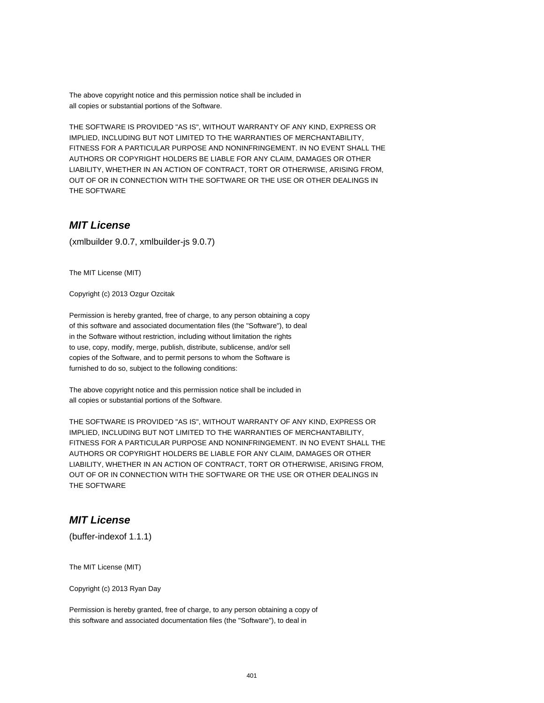The above copyright notice and this permission notice shall be included in all copies or substantial portions of the Software.

THE SOFTWARE IS PROVIDED "AS IS", WITHOUT WARRANTY OF ANY KIND, EXPRESS OR IMPLIED, INCLUDING BUT NOT LIMITED TO THE WARRANTIES OF MERCHANTABILITY, FITNESS FOR A PARTICULAR PURPOSE AND NONINFRINGEMENT. IN NO EVENT SHALL THE AUTHORS OR COPYRIGHT HOLDERS BE LIABLE FOR ANY CLAIM, DAMAGES OR OTHER LIABILITY, WHETHER IN AN ACTION OF CONTRACT, TORT OR OTHERWISE, ARISING FROM, OUT OF OR IN CONNECTION WITH THE SOFTWARE OR THE USE OR OTHER DEALINGS IN THE SOFTWARE

## **MIT License**

(xmlbuilder 9.0.7, xmlbuilder-js 9.0.7)

The MIT License (MIT)

Copyright (c) 2013 Ozgur Ozcitak

Permission is hereby granted, free of charge, to any person obtaining a copy of this software and associated documentation files (the "Software"), to deal in the Software without restriction, including without limitation the rights to use, copy, modify, merge, publish, distribute, sublicense, and/or sell copies of the Software, and to permit persons to whom the Software is furnished to do so, subject to the following conditions:

The above copyright notice and this permission notice shall be included in all copies or substantial portions of the Software.

THE SOFTWARE IS PROVIDED "AS IS", WITHOUT WARRANTY OF ANY KIND, EXPRESS OR IMPLIED, INCLUDING BUT NOT LIMITED TO THE WARRANTIES OF MERCHANTABILITY, FITNESS FOR A PARTICULAR PURPOSE AND NONINFRINGEMENT. IN NO EVENT SHALL THE AUTHORS OR COPYRIGHT HOLDERS BE LIABLE FOR ANY CLAIM, DAMAGES OR OTHER LIABILITY, WHETHER IN AN ACTION OF CONTRACT, TORT OR OTHERWISE, ARISING FROM, OUT OF OR IN CONNECTION WITH THE SOFTWARE OR THE USE OR OTHER DEALINGS IN THE SOFTWARE

#### **MIT License**

(buffer-indexof 1.1.1)

The MIT License (MIT)

Copyright (c) 2013 Ryan Day

Permission is hereby granted, free of charge, to any person obtaining a copy of this software and associated documentation files (the "Software"), to deal in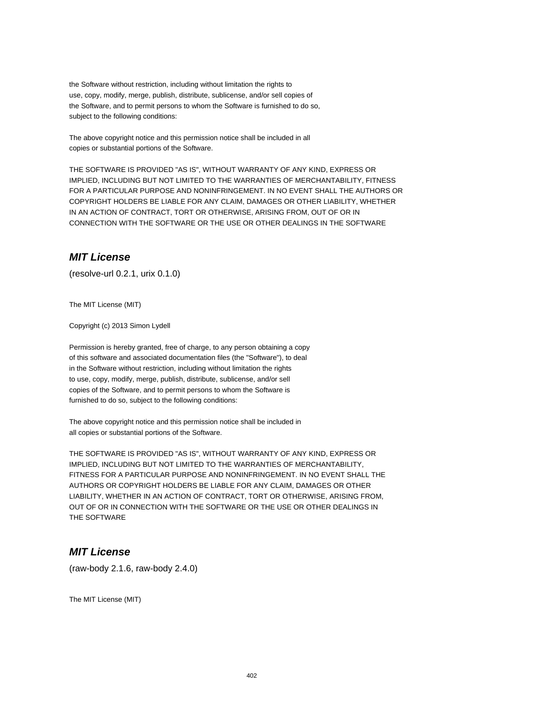the Software without restriction, including without limitation the rights to use, copy, modify, merge, publish, distribute, sublicense, and/or sell copies of the Software, and to permit persons to whom the Software is furnished to do so, subject to the following conditions:

The above copyright notice and this permission notice shall be included in all copies or substantial portions of the Software.

THE SOFTWARE IS PROVIDED "AS IS", WITHOUT WARRANTY OF ANY KIND, EXPRESS OR IMPLIED, INCLUDING BUT NOT LIMITED TO THE WARRANTIES OF MERCHANTABILITY, FITNESS FOR A PARTICULAR PURPOSE AND NONINFRINGEMENT. IN NO EVENT SHALL THE AUTHORS OR COPYRIGHT HOLDERS BE LIABLE FOR ANY CLAIM, DAMAGES OR OTHER LIABILITY, WHETHER IN AN ACTION OF CONTRACT, TORT OR OTHERWISE, ARISING FROM, OUT OF OR IN CONNECTION WITH THE SOFTWARE OR THE USE OR OTHER DEALINGS IN THE SOFTWARE

#### **MIT License**

(resolve-url 0.2.1, urix 0.1.0)

The MIT License (MIT)

Copyright (c) 2013 Simon Lydell

Permission is hereby granted, free of charge, to any person obtaining a copy of this software and associated documentation files (the "Software"), to deal in the Software without restriction, including without limitation the rights to use, copy, modify, merge, publish, distribute, sublicense, and/or sell copies of the Software, and to permit persons to whom the Software is furnished to do so, subject to the following conditions:

The above copyright notice and this permission notice shall be included in all copies or substantial portions of the Software.

THE SOFTWARE IS PROVIDED "AS IS", WITHOUT WARRANTY OF ANY KIND, EXPRESS OR IMPLIED, INCLUDING BUT NOT LIMITED TO THE WARRANTIES OF MERCHANTABILITY, FITNESS FOR A PARTICULAR PURPOSE AND NONINFRINGEMENT. IN NO EVENT SHALL THE AUTHORS OR COPYRIGHT HOLDERS BE LIABLE FOR ANY CLAIM, DAMAGES OR OTHER LIABILITY, WHETHER IN AN ACTION OF CONTRACT, TORT OR OTHERWISE, ARISING FROM, OUT OF OR IN CONNECTION WITH THE SOFTWARE OR THE USE OR OTHER DEALINGS IN THE SOFTWARE

#### **MIT License**

(raw-body 2.1.6, raw-body 2.4.0)

The MIT License (MIT)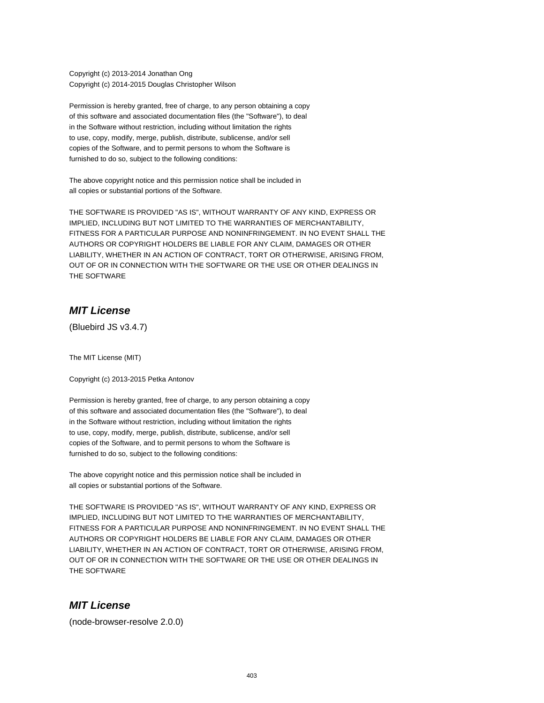Copyright (c) 2013-2014 Jonathan Ong Copyright (c) 2014-2015 Douglas Christopher Wilson

Permission is hereby granted, free of charge, to any person obtaining a copy of this software and associated documentation files (the "Software"), to deal in the Software without restriction, including without limitation the rights to use, copy, modify, merge, publish, distribute, sublicense, and/or sell copies of the Software, and to permit persons to whom the Software is furnished to do so, subject to the following conditions:

The above copyright notice and this permission notice shall be included in all copies or substantial portions of the Software.

THE SOFTWARE IS PROVIDED "AS IS", WITHOUT WARRANTY OF ANY KIND, EXPRESS OR IMPLIED, INCLUDING BUT NOT LIMITED TO THE WARRANTIES OF MERCHANTABILITY, FITNESS FOR A PARTICULAR PURPOSE AND NONINFRINGEMENT. IN NO EVENT SHALL THE AUTHORS OR COPYRIGHT HOLDERS BE LIABLE FOR ANY CLAIM, DAMAGES OR OTHER LIABILITY, WHETHER IN AN ACTION OF CONTRACT, TORT OR OTHERWISE, ARISING FROM, OUT OF OR IN CONNECTION WITH THE SOFTWARE OR THE USE OR OTHER DEALINGS IN THE SOFTWARE

#### **MIT License**

(Bluebird JS v3.4.7)

The MIT License (MIT)

Copyright (c) 2013-2015 Petka Antonov

Permission is hereby granted, free of charge, to any person obtaining a copy of this software and associated documentation files (the "Software"), to deal in the Software without restriction, including without limitation the rights to use, copy, modify, merge, publish, distribute, sublicense, and/or sell copies of the Software, and to permit persons to whom the Software is furnished to do so, subject to the following conditions:

The above copyright notice and this permission notice shall be included in all copies or substantial portions of the Software.

THE SOFTWARE IS PROVIDED "AS IS", WITHOUT WARRANTY OF ANY KIND, EXPRESS OR IMPLIED, INCLUDING BUT NOT LIMITED TO THE WARRANTIES OF MERCHANTABILITY, FITNESS FOR A PARTICULAR PURPOSE AND NONINFRINGEMENT. IN NO EVENT SHALL THE AUTHORS OR COPYRIGHT HOLDERS BE LIABLE FOR ANY CLAIM, DAMAGES OR OTHER LIABILITY, WHETHER IN AN ACTION OF CONTRACT, TORT OR OTHERWISE, ARISING FROM, OUT OF OR IN CONNECTION WITH THE SOFTWARE OR THE USE OR OTHER DEALINGS IN THE SOFTWARE

# **MIT License**

(node-browser-resolve 2.0.0)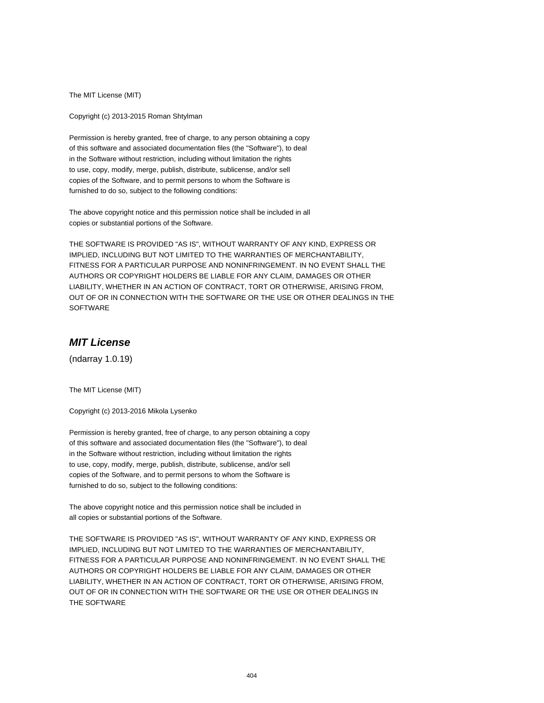The MIT License (MIT)

Copyright (c) 2013-2015 Roman Shtylman

Permission is hereby granted, free of charge, to any person obtaining a copy of this software and associated documentation files (the "Software"), to deal in the Software without restriction, including without limitation the rights to use, copy, modify, merge, publish, distribute, sublicense, and/or sell copies of the Software, and to permit persons to whom the Software is furnished to do so, subject to the following conditions:

The above copyright notice and this permission notice shall be included in all copies or substantial portions of the Software.

THE SOFTWARE IS PROVIDED "AS IS", WITHOUT WARRANTY OF ANY KIND, EXPRESS OR IMPLIED, INCLUDING BUT NOT LIMITED TO THE WARRANTIES OF MERCHANTABILITY, FITNESS FOR A PARTICULAR PURPOSE AND NONINFRINGEMENT. IN NO EVENT SHALL THE AUTHORS OR COPYRIGHT HOLDERS BE LIABLE FOR ANY CLAIM, DAMAGES OR OTHER LIABILITY, WHETHER IN AN ACTION OF CONTRACT, TORT OR OTHERWISE, ARISING FROM, OUT OF OR IN CONNECTION WITH THE SOFTWARE OR THE USE OR OTHER DEALINGS IN THE **SOFTWARE** 

# **MIT License**

(ndarray 1.0.19)

The MIT License (MIT)

Copyright (c) 2013-2016 Mikola Lysenko

Permission is hereby granted, free of charge, to any person obtaining a copy of this software and associated documentation files (the "Software"), to deal in the Software without restriction, including without limitation the rights to use, copy, modify, merge, publish, distribute, sublicense, and/or sell copies of the Software, and to permit persons to whom the Software is furnished to do so, subject to the following conditions:

The above copyright notice and this permission notice shall be included in all copies or substantial portions of the Software.

THE SOFTWARE IS PROVIDED "AS IS", WITHOUT WARRANTY OF ANY KIND, EXPRESS OR IMPLIED, INCLUDING BUT NOT LIMITED TO THE WARRANTIES OF MERCHANTABILITY, FITNESS FOR A PARTICULAR PURPOSE AND NONINFRINGEMENT. IN NO EVENT SHALL THE AUTHORS OR COPYRIGHT HOLDERS BE LIABLE FOR ANY CLAIM, DAMAGES OR OTHER LIABILITY, WHETHER IN AN ACTION OF CONTRACT, TORT OR OTHERWISE, ARISING FROM, OUT OF OR IN CONNECTION WITH THE SOFTWARE OR THE USE OR OTHER DEALINGS IN THE SOFTWARE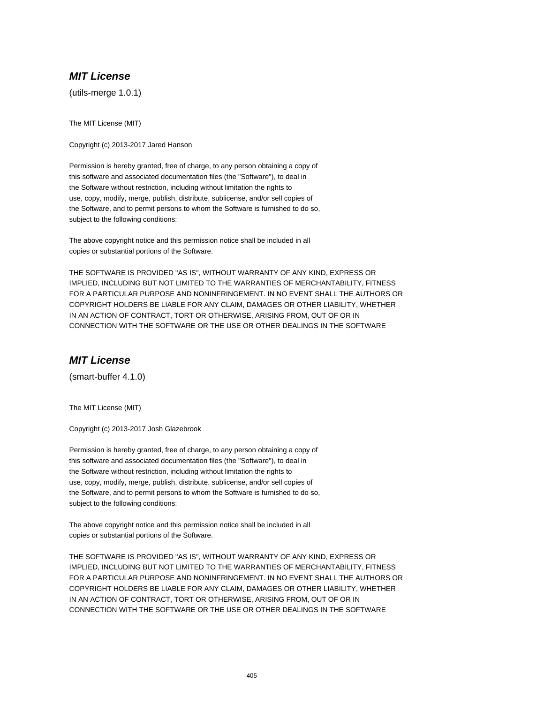## **MIT License**

(utils-merge 1.0.1)

The MIT License (MIT)

Copyright (c) 2013-2017 Jared Hanson

Permission is hereby granted, free of charge, to any person obtaining a copy of this software and associated documentation files (the "Software"), to deal in the Software without restriction, including without limitation the rights to use, copy, modify, merge, publish, distribute, sublicense, and/or sell copies of the Software, and to permit persons to whom the Software is furnished to do so, subject to the following conditions:

The above copyright notice and this permission notice shall be included in all copies or substantial portions of the Software.

THE SOFTWARE IS PROVIDED "AS IS", WITHOUT WARRANTY OF ANY KIND, EXPRESS OR IMPLIED, INCLUDING BUT NOT LIMITED TO THE WARRANTIES OF MERCHANTABILITY, FITNESS FOR A PARTICULAR PURPOSE AND NONINFRINGEMENT. IN NO EVENT SHALL THE AUTHORS OR COPYRIGHT HOLDERS BE LIABLE FOR ANY CLAIM, DAMAGES OR OTHER LIABILITY, WHETHER IN AN ACTION OF CONTRACT, TORT OR OTHERWISE, ARISING FROM, OUT OF OR IN CONNECTION WITH THE SOFTWARE OR THE USE OR OTHER DEALINGS IN THE SOFTWARE

#### **MIT License**

(smart-buffer 4.1.0)

The MIT License (MIT)

Copyright (c) 2013-2017 Josh Glazebrook

Permission is hereby granted, free of charge, to any person obtaining a copy of this software and associated documentation files (the "Software"), to deal in the Software without restriction, including without limitation the rights to use, copy, modify, merge, publish, distribute, sublicense, and/or sell copies of the Software, and to permit persons to whom the Software is furnished to do so, subject to the following conditions:

The above copyright notice and this permission notice shall be included in all copies or substantial portions of the Software.

THE SOFTWARE IS PROVIDED "AS IS", WITHOUT WARRANTY OF ANY KIND, EXPRESS OR IMPLIED, INCLUDING BUT NOT LIMITED TO THE WARRANTIES OF MERCHANTABILITY, FITNESS FOR A PARTICULAR PURPOSE AND NONINFRINGEMENT. IN NO EVENT SHALL THE AUTHORS OR COPYRIGHT HOLDERS BE LIABLE FOR ANY CLAIM, DAMAGES OR OTHER LIABILITY, WHETHER IN AN ACTION OF CONTRACT, TORT OR OTHERWISE, ARISING FROM, OUT OF OR IN CONNECTION WITH THE SOFTWARE OR THE USE OR OTHER DEALINGS IN THE SOFTWARE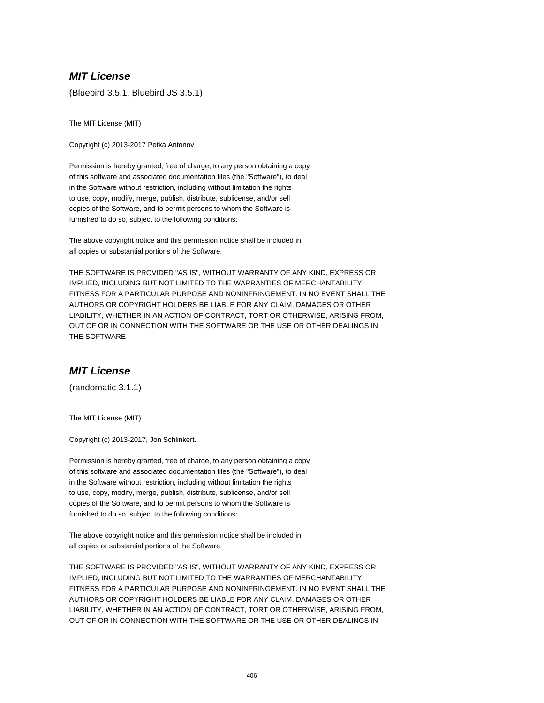## **MIT License**

(Bluebird 3.5.1, Bluebird JS 3.5.1)

The MIT License (MIT)

Copyright (c) 2013-2017 Petka Antonov

Permission is hereby granted, free of charge, to any person obtaining a copy of this software and associated documentation files (the "Software"), to deal in the Software without restriction, including without limitation the rights to use, copy, modify, merge, publish, distribute, sublicense, and/or sell copies of the Software, and to permit persons to whom the Software is furnished to do so, subject to the following conditions:

The above copyright notice and this permission notice shall be included in all copies or substantial portions of the Software.

THE SOFTWARE IS PROVIDED "AS IS", WITHOUT WARRANTY OF ANY KIND, EXPRESS OR IMPLIED, INCLUDING BUT NOT LIMITED TO THE WARRANTIES OF MERCHANTABILITY, FITNESS FOR A PARTICULAR PURPOSE AND NONINFRINGEMENT. IN NO EVENT SHALL THE AUTHORS OR COPYRIGHT HOLDERS BE LIABLE FOR ANY CLAIM, DAMAGES OR OTHER LIABILITY, WHETHER IN AN ACTION OF CONTRACT, TORT OR OTHERWISE, ARISING FROM, OUT OF OR IN CONNECTION WITH THE SOFTWARE OR THE USE OR OTHER DEALINGS IN THE SOFTWARE

#### **MIT License**

(randomatic 3.1.1)

The MIT License (MIT)

Copyright (c) 2013-2017, Jon Schlinkert.

Permission is hereby granted, free of charge, to any person obtaining a copy of this software and associated documentation files (the "Software"), to deal in the Software without restriction, including without limitation the rights to use, copy, modify, merge, publish, distribute, sublicense, and/or sell copies of the Software, and to permit persons to whom the Software is furnished to do so, subject to the following conditions:

The above copyright notice and this permission notice shall be included in all copies or substantial portions of the Software.

THE SOFTWARE IS PROVIDED "AS IS", WITHOUT WARRANTY OF ANY KIND, EXPRESS OR IMPLIED, INCLUDING BUT NOT LIMITED TO THE WARRANTIES OF MERCHANTABILITY, FITNESS FOR A PARTICULAR PURPOSE AND NONINFRINGEMENT. IN NO EVENT SHALL THE AUTHORS OR COPYRIGHT HOLDERS BE LIABLE FOR ANY CLAIM, DAMAGES OR OTHER LIABILITY, WHETHER IN AN ACTION OF CONTRACT, TORT OR OTHERWISE, ARISING FROM, OUT OF OR IN CONNECTION WITH THE SOFTWARE OR THE USE OR OTHER DEALINGS IN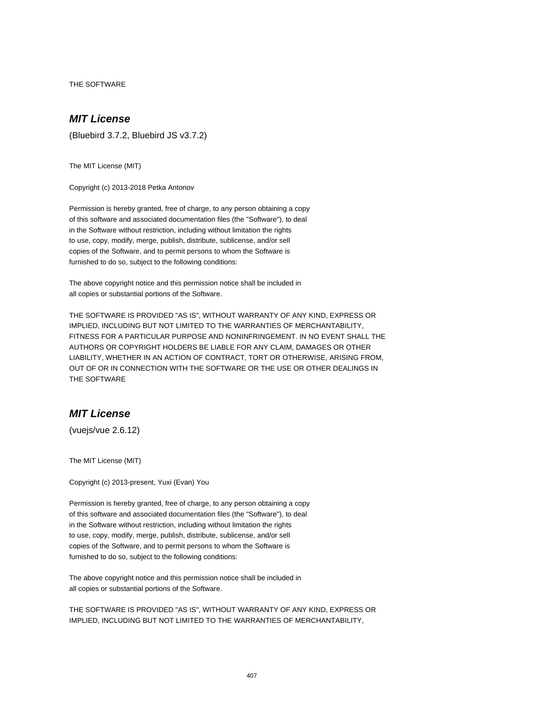THE SOFTWARE

## **MIT License**

(Bluebird 3.7.2, Bluebird JS v3.7.2)

The MIT License (MIT)

Copyright (c) 2013-2018 Petka Antonov

Permission is hereby granted, free of charge, to any person obtaining a copy of this software and associated documentation files (the "Software"), to deal in the Software without restriction, including without limitation the rights to use, copy, modify, merge, publish, distribute, sublicense, and/or sell copies of the Software, and to permit persons to whom the Software is furnished to do so, subject to the following conditions:

The above copyright notice and this permission notice shall be included in all copies or substantial portions of the Software.

THE SOFTWARE IS PROVIDED "AS IS", WITHOUT WARRANTY OF ANY KIND, EXPRESS OR IMPLIED, INCLUDING BUT NOT LIMITED TO THE WARRANTIES OF MERCHANTABILITY, FITNESS FOR A PARTICULAR PURPOSE AND NONINFRINGEMENT. IN NO EVENT SHALL THE AUTHORS OR COPYRIGHT HOLDERS BE LIABLE FOR ANY CLAIM, DAMAGES OR OTHER LIABILITY, WHETHER IN AN ACTION OF CONTRACT, TORT OR OTHERWISE, ARISING FROM, OUT OF OR IN CONNECTION WITH THE SOFTWARE OR THE USE OR OTHER DEALINGS IN THE SOFTWARE

## **MIT License**

(vuejs/vue 2.6.12)

The MIT License (MIT)

Copyright (c) 2013-present, Yuxi (Evan) You

Permission is hereby granted, free of charge, to any person obtaining a copy of this software and associated documentation files (the "Software"), to deal in the Software without restriction, including without limitation the rights to use, copy, modify, merge, publish, distribute, sublicense, and/or sell copies of the Software, and to permit persons to whom the Software is furnished to do so, subject to the following conditions:

The above copyright notice and this permission notice shall be included in all copies or substantial portions of the Software.

THE SOFTWARE IS PROVIDED "AS IS", WITHOUT WARRANTY OF ANY KIND, EXPRESS OR IMPLIED, INCLUDING BUT NOT LIMITED TO THE WARRANTIES OF MERCHANTABILITY,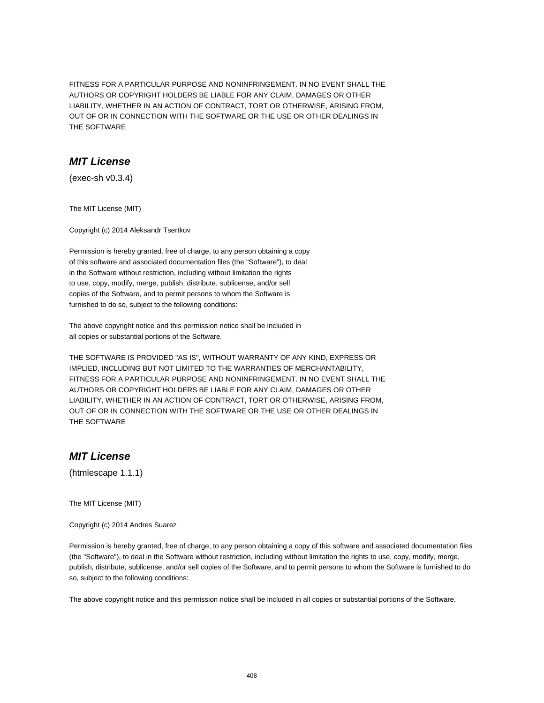FITNESS FOR A PARTICULAR PURPOSE AND NONINFRINGEMENT. IN NO EVENT SHALL THE AUTHORS OR COPYRIGHT HOLDERS BE LIABLE FOR ANY CLAIM, DAMAGES OR OTHER LIABILITY, WHETHER IN AN ACTION OF CONTRACT, TORT OR OTHERWISE, ARISING FROM, OUT OF OR IN CONNECTION WITH THE SOFTWARE OR THE USE OR OTHER DEALINGS IN THE SOFTWARE

## **MIT License**

(exec-sh v0.3.4)

The MIT License (MIT)

Copyright (c) 2014 Aleksandr Tsertkov

Permission is hereby granted, free of charge, to any person obtaining a copy of this software and associated documentation files (the "Software"), to deal in the Software without restriction, including without limitation the rights to use, copy, modify, merge, publish, distribute, sublicense, and/or sell copies of the Software, and to permit persons to whom the Software is furnished to do so, subject to the following conditions:

The above copyright notice and this permission notice shall be included in all copies or substantial portions of the Software.

THE SOFTWARE IS PROVIDED "AS IS", WITHOUT WARRANTY OF ANY KIND, EXPRESS OR IMPLIED, INCLUDING BUT NOT LIMITED TO THE WARRANTIES OF MERCHANTABILITY, FITNESS FOR A PARTICULAR PURPOSE AND NONINFRINGEMENT. IN NO EVENT SHALL THE AUTHORS OR COPYRIGHT HOLDERS BE LIABLE FOR ANY CLAIM, DAMAGES OR OTHER LIABILITY, WHETHER IN AN ACTION OF CONTRACT, TORT OR OTHERWISE, ARISING FROM, OUT OF OR IN CONNECTION WITH THE SOFTWARE OR THE USE OR OTHER DEALINGS IN THE SOFTWARE

# **MIT License**

(htmlescape 1.1.1)

The MIT License (MIT)

Copyright (c) 2014 Andres Suarez

Permission is hereby granted, free of charge, to any person obtaining a copy of this software and associated documentation files (the "Software"), to deal in the Software without restriction, including without limitation the rights to use, copy, modify, merge, publish, distribute, sublicense, and/or sell copies of the Software, and to permit persons to whom the Software is furnished to do so, subject to the following conditions:

The above copyright notice and this permission notice shall be included in all copies or substantial portions of the Software.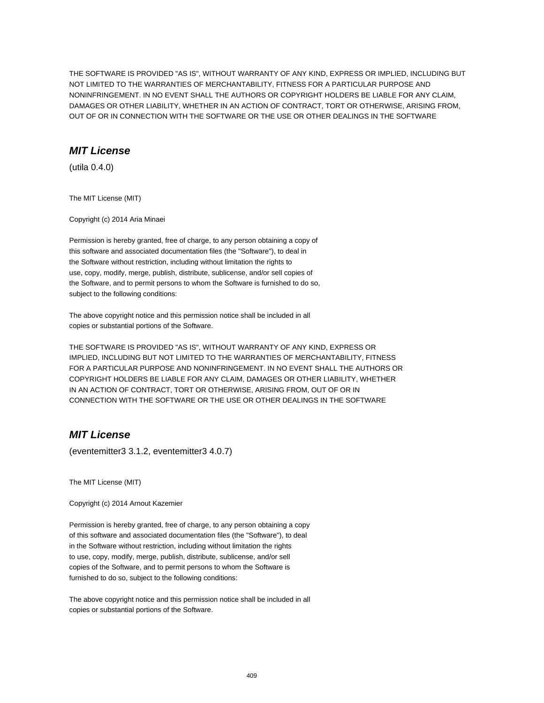THE SOFTWARE IS PROVIDED "AS IS", WITHOUT WARRANTY OF ANY KIND, EXPRESS OR IMPLIED, INCLUDING BUT NOT LIMITED TO THE WARRANTIES OF MERCHANTABILITY, FITNESS FOR A PARTICULAR PURPOSE AND NONINFRINGEMENT. IN NO EVENT SHALL THE AUTHORS OR COPYRIGHT HOLDERS BE LIABLE FOR ANY CLAIM, DAMAGES OR OTHER LIABILITY, WHETHER IN AN ACTION OF CONTRACT, TORT OR OTHERWISE, ARISING FROM, OUT OF OR IN CONNECTION WITH THE SOFTWARE OR THE USE OR OTHER DEALINGS IN THE SOFTWARE

## **MIT License**

(utila 0.4.0)

The MIT License (MIT)

Copyright (c) 2014 Aria Minaei

Permission is hereby granted, free of charge, to any person obtaining a copy of this software and associated documentation files (the "Software"), to deal in the Software without restriction, including without limitation the rights to use, copy, modify, merge, publish, distribute, sublicense, and/or sell copies of the Software, and to permit persons to whom the Software is furnished to do so, subject to the following conditions:

The above copyright notice and this permission notice shall be included in all copies or substantial portions of the Software.

THE SOFTWARE IS PROVIDED "AS IS", WITHOUT WARRANTY OF ANY KIND, EXPRESS OR IMPLIED, INCLUDING BUT NOT LIMITED TO THE WARRANTIES OF MERCHANTABILITY, FITNESS FOR A PARTICULAR PURPOSE AND NONINFRINGEMENT. IN NO EVENT SHALL THE AUTHORS OR COPYRIGHT HOLDERS BE LIABLE FOR ANY CLAIM, DAMAGES OR OTHER LIABILITY, WHETHER IN AN ACTION OF CONTRACT, TORT OR OTHERWISE, ARISING FROM, OUT OF OR IN CONNECTION WITH THE SOFTWARE OR THE USE OR OTHER DEALINGS IN THE SOFTWARE

# **MIT License**

(eventemitter3 3.1.2, eventemitter3 4.0.7)

The MIT License (MIT)

Copyright (c) 2014 Arnout Kazemier

Permission is hereby granted, free of charge, to any person obtaining a copy of this software and associated documentation files (the "Software"), to deal in the Software without restriction, including without limitation the rights to use, copy, modify, merge, publish, distribute, sublicense, and/or sell copies of the Software, and to permit persons to whom the Software is furnished to do so, subject to the following conditions:

The above copyright notice and this permission notice shall be included in all copies or substantial portions of the Software.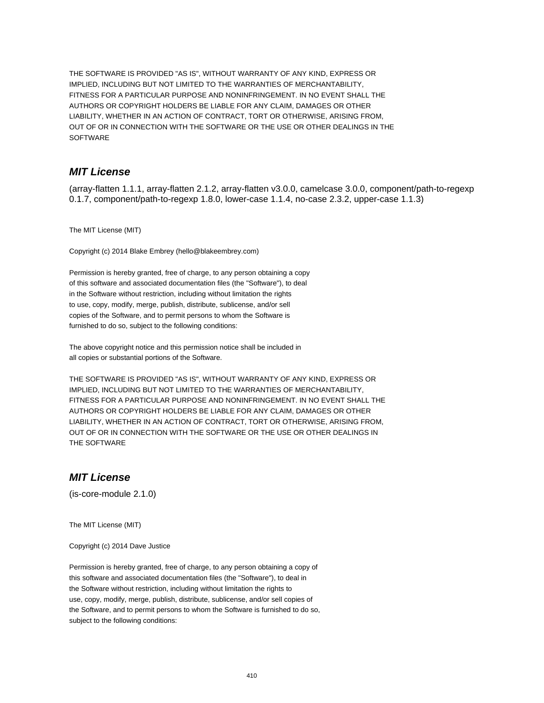THE SOFTWARE IS PROVIDED "AS IS", WITHOUT WARRANTY OF ANY KIND, EXPRESS OR IMPLIED, INCLUDING BUT NOT LIMITED TO THE WARRANTIES OF MERCHANTABILITY, FITNESS FOR A PARTICULAR PURPOSE AND NONINFRINGEMENT. IN NO EVENT SHALL THE AUTHORS OR COPYRIGHT HOLDERS BE LIABLE FOR ANY CLAIM, DAMAGES OR OTHER LIABILITY, WHETHER IN AN ACTION OF CONTRACT, TORT OR OTHERWISE, ARISING FROM, OUT OF OR IN CONNECTION WITH THE SOFTWARE OR THE USE OR OTHER DEALINGS IN THE SOFTWARE

## **MIT License**

(array-flatten 1.1.1, array-flatten 2.1.2, array-flatten v3.0.0, camelcase 3.0.0, component/path-to-regexp 0.1.7, component/path-to-regexp 1.8.0, lower-case 1.1.4, no-case 2.3.2, upper-case 1.1.3)

The MIT License (MIT)

Copyright (c) 2014 Blake Embrey (hello@blakeembrey.com)

Permission is hereby granted, free of charge, to any person obtaining a copy of this software and associated documentation files (the "Software"), to deal in the Software without restriction, including without limitation the rights to use, copy, modify, merge, publish, distribute, sublicense, and/or sell copies of the Software, and to permit persons to whom the Software is furnished to do so, subject to the following conditions:

The above copyright notice and this permission notice shall be included in all copies or substantial portions of the Software.

THE SOFTWARE IS PROVIDED "AS IS", WITHOUT WARRANTY OF ANY KIND, EXPRESS OR IMPLIED, INCLUDING BUT NOT LIMITED TO THE WARRANTIES OF MERCHANTABILITY, FITNESS FOR A PARTICULAR PURPOSE AND NONINFRINGEMENT. IN NO EVENT SHALL THE AUTHORS OR COPYRIGHT HOLDERS BE LIABLE FOR ANY CLAIM, DAMAGES OR OTHER LIABILITY, WHETHER IN AN ACTION OF CONTRACT, TORT OR OTHERWISE, ARISING FROM, OUT OF OR IN CONNECTION WITH THE SOFTWARE OR THE USE OR OTHER DEALINGS IN THE SOFTWARE

# **MIT License**

(is-core-module 2.1.0)

The MIT License (MIT)

Copyright (c) 2014 Dave Justice

Permission is hereby granted, free of charge, to any person obtaining a copy of this software and associated documentation files (the "Software"), to deal in the Software without restriction, including without limitation the rights to use, copy, modify, merge, publish, distribute, sublicense, and/or sell copies of the Software, and to permit persons to whom the Software is furnished to do so, subject to the following conditions: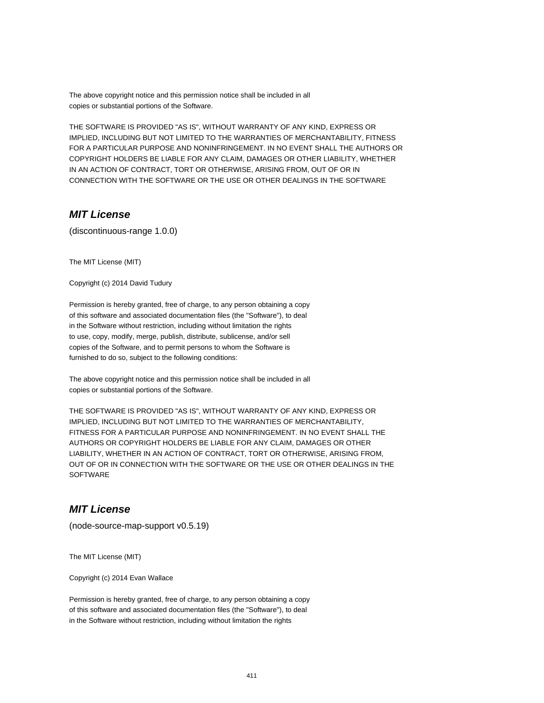The above copyright notice and this permission notice shall be included in all copies or substantial portions of the Software.

THE SOFTWARE IS PROVIDED "AS IS", WITHOUT WARRANTY OF ANY KIND, EXPRESS OR IMPLIED, INCLUDING BUT NOT LIMITED TO THE WARRANTIES OF MERCHANTABILITY, FITNESS FOR A PARTICULAR PURPOSE AND NONINFRINGEMENT. IN NO EVENT SHALL THE AUTHORS OR COPYRIGHT HOLDERS BE LIABLE FOR ANY CLAIM, DAMAGES OR OTHER LIABILITY, WHETHER IN AN ACTION OF CONTRACT, TORT OR OTHERWISE, ARISING FROM, OUT OF OR IN CONNECTION WITH THE SOFTWARE OR THE USE OR OTHER DEALINGS IN THE SOFTWARE

## **MIT License**

(discontinuous-range 1.0.0)

The MIT License (MIT)

Copyright (c) 2014 David Tudury

Permission is hereby granted, free of charge, to any person obtaining a copy of this software and associated documentation files (the "Software"), to deal in the Software without restriction, including without limitation the rights to use, copy, modify, merge, publish, distribute, sublicense, and/or sell copies of the Software, and to permit persons to whom the Software is furnished to do so, subject to the following conditions:

The above copyright notice and this permission notice shall be included in all copies or substantial portions of the Software.

THE SOFTWARE IS PROVIDED "AS IS", WITHOUT WARRANTY OF ANY KIND, EXPRESS OR IMPLIED, INCLUDING BUT NOT LIMITED TO THE WARRANTIES OF MERCHANTABILITY, FITNESS FOR A PARTICULAR PURPOSE AND NONINFRINGEMENT. IN NO EVENT SHALL THE AUTHORS OR COPYRIGHT HOLDERS BE LIABLE FOR ANY CLAIM, DAMAGES OR OTHER LIABILITY, WHETHER IN AN ACTION OF CONTRACT, TORT OR OTHERWISE, ARISING FROM, OUT OF OR IN CONNECTION WITH THE SOFTWARE OR THE USE OR OTHER DEALINGS IN THE **SOFTWARE** 

# **MIT License**

(node-source-map-support v0.5.19)

The MIT License (MIT)

Copyright (c) 2014 Evan Wallace

Permission is hereby granted, free of charge, to any person obtaining a copy of this software and associated documentation files (the "Software"), to deal in the Software without restriction, including without limitation the rights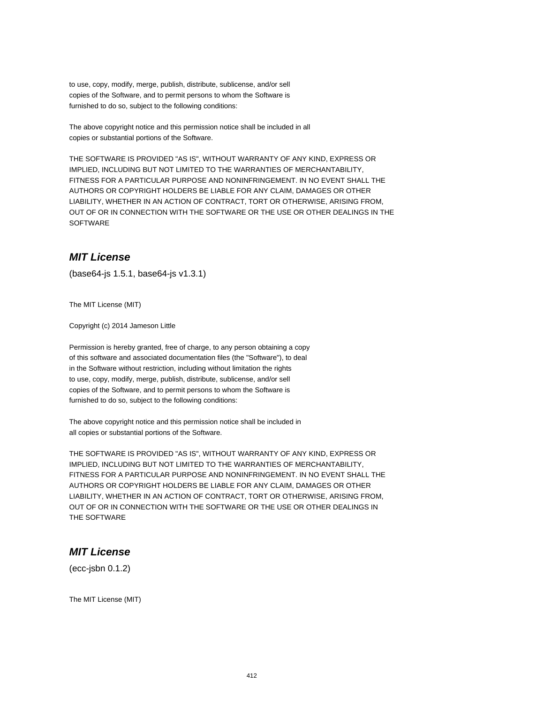to use, copy, modify, merge, publish, distribute, sublicense, and/or sell copies of the Software, and to permit persons to whom the Software is furnished to do so, subject to the following conditions:

The above copyright notice and this permission notice shall be included in all copies or substantial portions of the Software.

THE SOFTWARE IS PROVIDED "AS IS", WITHOUT WARRANTY OF ANY KIND, EXPRESS OR IMPLIED, INCLUDING BUT NOT LIMITED TO THE WARRANTIES OF MERCHANTABILITY, FITNESS FOR A PARTICULAR PURPOSE AND NONINFRINGEMENT. IN NO EVENT SHALL THE AUTHORS OR COPYRIGHT HOLDERS BE LIABLE FOR ANY CLAIM, DAMAGES OR OTHER LIABILITY, WHETHER IN AN ACTION OF CONTRACT, TORT OR OTHERWISE, ARISING FROM, OUT OF OR IN CONNECTION WITH THE SOFTWARE OR THE USE OR OTHER DEALINGS IN THE **SOFTWARE** 

#### **MIT License**

(base64-js 1.5.1, base64-js v1.3.1)

The MIT License (MIT)

Copyright (c) 2014 Jameson Little

Permission is hereby granted, free of charge, to any person obtaining a copy of this software and associated documentation files (the "Software"), to deal in the Software without restriction, including without limitation the rights to use, copy, modify, merge, publish, distribute, sublicense, and/or sell copies of the Software, and to permit persons to whom the Software is furnished to do so, subject to the following conditions:

The above copyright notice and this permission notice shall be included in all copies or substantial portions of the Software.

THE SOFTWARE IS PROVIDED "AS IS", WITHOUT WARRANTY OF ANY KIND, EXPRESS OR IMPLIED, INCLUDING BUT NOT LIMITED TO THE WARRANTIES OF MERCHANTABILITY, FITNESS FOR A PARTICULAR PURPOSE AND NONINFRINGEMENT. IN NO EVENT SHALL THE AUTHORS OR COPYRIGHT HOLDERS BE LIABLE FOR ANY CLAIM, DAMAGES OR OTHER LIABILITY, WHETHER IN AN ACTION OF CONTRACT, TORT OR OTHERWISE, ARISING FROM, OUT OF OR IN CONNECTION WITH THE SOFTWARE OR THE USE OR OTHER DEALINGS IN THE SOFTWARE

#### **MIT License**

(ecc-jsbn 0.1.2)

The MIT License (MIT)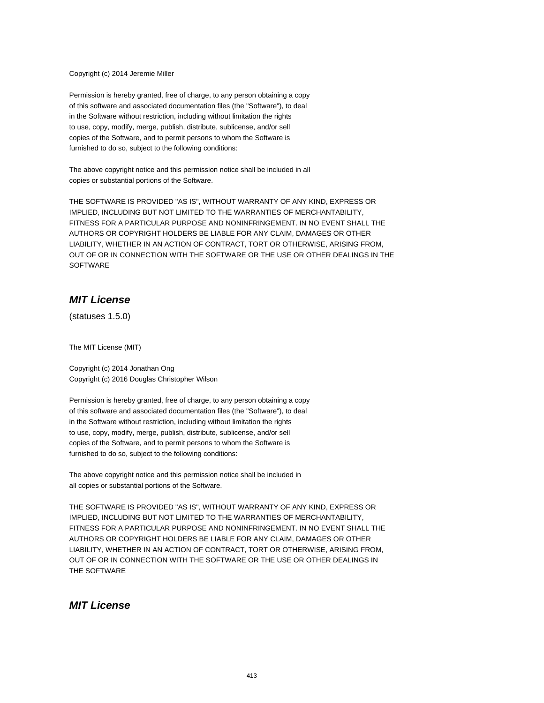Copyright (c) 2014 Jeremie Miller

Permission is hereby granted, free of charge, to any person obtaining a copy of this software and associated documentation files (the "Software"), to deal in the Software without restriction, including without limitation the rights to use, copy, modify, merge, publish, distribute, sublicense, and/or sell copies of the Software, and to permit persons to whom the Software is furnished to do so, subject to the following conditions:

The above copyright notice and this permission notice shall be included in all copies or substantial portions of the Software.

THE SOFTWARE IS PROVIDED "AS IS", WITHOUT WARRANTY OF ANY KIND, EXPRESS OR IMPLIED, INCLUDING BUT NOT LIMITED TO THE WARRANTIES OF MERCHANTABILITY, FITNESS FOR A PARTICULAR PURPOSE AND NONINFRINGEMENT. IN NO EVENT SHALL THE AUTHORS OR COPYRIGHT HOLDERS BE LIABLE FOR ANY CLAIM, DAMAGES OR OTHER LIABILITY, WHETHER IN AN ACTION OF CONTRACT, TORT OR OTHERWISE, ARISING FROM, OUT OF OR IN CONNECTION WITH THE SOFTWARE OR THE USE OR OTHER DEALINGS IN THE **SOFTWARE** 

# **MIT License**

(statuses 1.5.0)

The MIT License (MIT)

Copyright (c) 2014 Jonathan Ong Copyright (c) 2016 Douglas Christopher Wilson

Permission is hereby granted, free of charge, to any person obtaining a copy of this software and associated documentation files (the "Software"), to deal in the Software without restriction, including without limitation the rights to use, copy, modify, merge, publish, distribute, sublicense, and/or sell copies of the Software, and to permit persons to whom the Software is furnished to do so, subject to the following conditions:

The above copyright notice and this permission notice shall be included in all copies or substantial portions of the Software.

THE SOFTWARE IS PROVIDED "AS IS", WITHOUT WARRANTY OF ANY KIND, EXPRESS OR IMPLIED, INCLUDING BUT NOT LIMITED TO THE WARRANTIES OF MERCHANTABILITY, FITNESS FOR A PARTICULAR PURPOSE AND NONINFRINGEMENT. IN NO EVENT SHALL THE AUTHORS OR COPYRIGHT HOLDERS BE LIABLE FOR ANY CLAIM, DAMAGES OR OTHER LIABILITY, WHETHER IN AN ACTION OF CONTRACT, TORT OR OTHERWISE, ARISING FROM, OUT OF OR IN CONNECTION WITH THE SOFTWARE OR THE USE OR OTHER DEALINGS IN THE SOFTWARE

## **MIT License**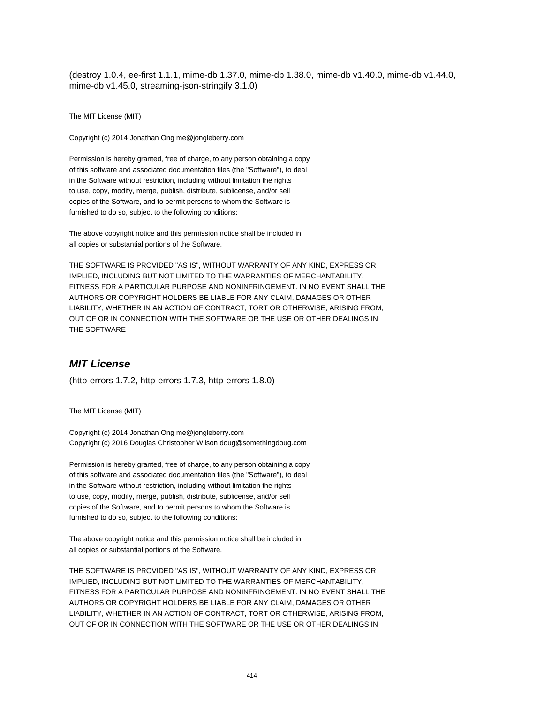(destroy 1.0.4, ee-first 1.1.1, mime-db 1.37.0, mime-db 1.38.0, mime-db v1.40.0, mime-db v1.44.0, mime-db v1.45.0, streaming-json-stringify 3.1.0)

The MIT License (MIT)

Copyright (c) 2014 Jonathan Ong me@jongleberry.com

Permission is hereby granted, free of charge, to any person obtaining a copy of this software and associated documentation files (the "Software"), to deal in the Software without restriction, including without limitation the rights to use, copy, modify, merge, publish, distribute, sublicense, and/or sell copies of the Software, and to permit persons to whom the Software is furnished to do so, subject to the following conditions:

The above copyright notice and this permission notice shall be included in all copies or substantial portions of the Software.

THE SOFTWARE IS PROVIDED "AS IS", WITHOUT WARRANTY OF ANY KIND, EXPRESS OR IMPLIED, INCLUDING BUT NOT LIMITED TO THE WARRANTIES OF MERCHANTABILITY, FITNESS FOR A PARTICULAR PURPOSE AND NONINFRINGEMENT. IN NO EVENT SHALL THE AUTHORS OR COPYRIGHT HOLDERS BE LIABLE FOR ANY CLAIM, DAMAGES OR OTHER LIABILITY, WHETHER IN AN ACTION OF CONTRACT, TORT OR OTHERWISE, ARISING FROM, OUT OF OR IN CONNECTION WITH THE SOFTWARE OR THE USE OR OTHER DEALINGS IN THE SOFTWARE

#### **MIT License**

(http-errors 1.7.2, http-errors 1.7.3, http-errors 1.8.0)

The MIT License (MIT)

Copyright (c) 2014 Jonathan Ong me@jongleberry.com Copyright (c) 2016 Douglas Christopher Wilson doug@somethingdoug.com

Permission is hereby granted, free of charge, to any person obtaining a copy of this software and associated documentation files (the "Software"), to deal in the Software without restriction, including without limitation the rights to use, copy, modify, merge, publish, distribute, sublicense, and/or sell copies of the Software, and to permit persons to whom the Software is furnished to do so, subject to the following conditions:

The above copyright notice and this permission notice shall be included in all copies or substantial portions of the Software.

THE SOFTWARE IS PROVIDED "AS IS", WITHOUT WARRANTY OF ANY KIND, EXPRESS OR IMPLIED, INCLUDING BUT NOT LIMITED TO THE WARRANTIES OF MERCHANTABILITY, FITNESS FOR A PARTICULAR PURPOSE AND NONINFRINGEMENT. IN NO EVENT SHALL THE AUTHORS OR COPYRIGHT HOLDERS BE LIABLE FOR ANY CLAIM, DAMAGES OR OTHER LIABILITY, WHETHER IN AN ACTION OF CONTRACT, TORT OR OTHERWISE, ARISING FROM, OUT OF OR IN CONNECTION WITH THE SOFTWARE OR THE USE OR OTHER DEALINGS IN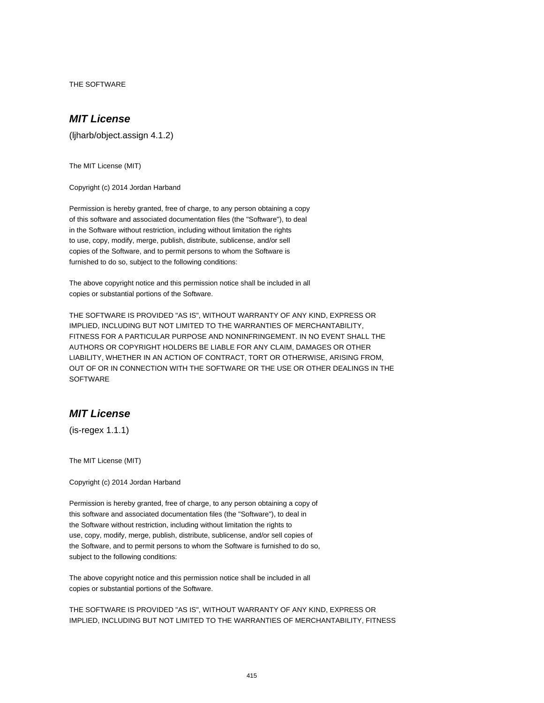THE SOFTWARE

# **MIT License**

(ljharb/object.assign 4.1.2)

The MIT License (MIT)

Copyright (c) 2014 Jordan Harband

Permission is hereby granted, free of charge, to any person obtaining a copy of this software and associated documentation files (the "Software"), to deal in the Software without restriction, including without limitation the rights to use, copy, modify, merge, publish, distribute, sublicense, and/or sell copies of the Software, and to permit persons to whom the Software is furnished to do so, subject to the following conditions:

The above copyright notice and this permission notice shall be included in all copies or substantial portions of the Software.

THE SOFTWARE IS PROVIDED "AS IS", WITHOUT WARRANTY OF ANY KIND, EXPRESS OR IMPLIED, INCLUDING BUT NOT LIMITED TO THE WARRANTIES OF MERCHANTABILITY, FITNESS FOR A PARTICULAR PURPOSE AND NONINFRINGEMENT. IN NO EVENT SHALL THE AUTHORS OR COPYRIGHT HOLDERS BE LIABLE FOR ANY CLAIM, DAMAGES OR OTHER LIABILITY, WHETHER IN AN ACTION OF CONTRACT, TORT OR OTHERWISE, ARISING FROM, OUT OF OR IN CONNECTION WITH THE SOFTWARE OR THE USE OR OTHER DEALINGS IN THE **SOFTWARE** 

# **MIT License**

(is-regex 1.1.1)

The MIT License (MIT)

Copyright (c) 2014 Jordan Harband

Permission is hereby granted, free of charge, to any person obtaining a copy of this software and associated documentation files (the "Software"), to deal in the Software without restriction, including without limitation the rights to use, copy, modify, merge, publish, distribute, sublicense, and/or sell copies of the Software, and to permit persons to whom the Software is furnished to do so, subject to the following conditions:

The above copyright notice and this permission notice shall be included in all copies or substantial portions of the Software.

THE SOFTWARE IS PROVIDED "AS IS", WITHOUT WARRANTY OF ANY KIND, EXPRESS OR IMPLIED, INCLUDING BUT NOT LIMITED TO THE WARRANTIES OF MERCHANTABILITY, FITNESS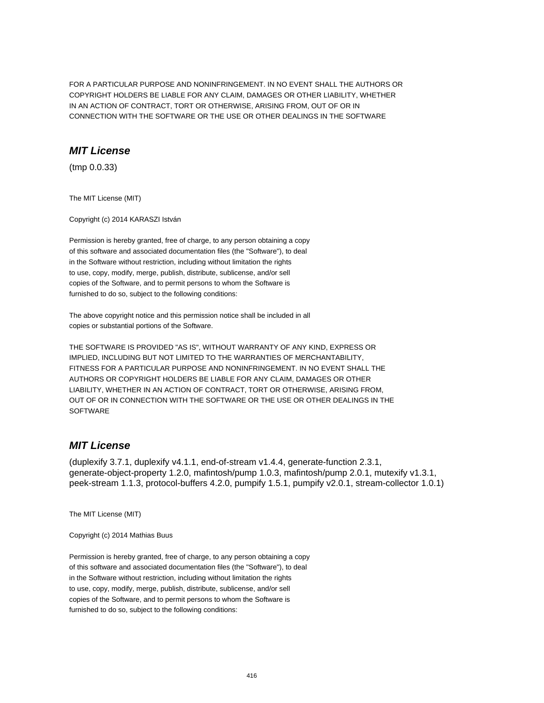FOR A PARTICULAR PURPOSE AND NONINFRINGEMENT. IN NO EVENT SHALL THE AUTHORS OR COPYRIGHT HOLDERS BE LIABLE FOR ANY CLAIM, DAMAGES OR OTHER LIABILITY, WHETHER IN AN ACTION OF CONTRACT, TORT OR OTHERWISE, ARISING FROM, OUT OF OR IN CONNECTION WITH THE SOFTWARE OR THE USE OR OTHER DEALINGS IN THE SOFTWARE

# **MIT License**

(tmp 0.0.33)

The MIT License (MIT)

Copyright (c) 2014 KARASZI István

Permission is hereby granted, free of charge, to any person obtaining a copy of this software and associated documentation files (the "Software"), to deal in the Software without restriction, including without limitation the rights to use, copy, modify, merge, publish, distribute, sublicense, and/or sell copies of the Software, and to permit persons to whom the Software is furnished to do so, subject to the following conditions:

The above copyright notice and this permission notice shall be included in all copies or substantial portions of the Software.

THE SOFTWARE IS PROVIDED "AS IS", WITHOUT WARRANTY OF ANY KIND, EXPRESS OR IMPLIED, INCLUDING BUT NOT LIMITED TO THE WARRANTIES OF MERCHANTABILITY, FITNESS FOR A PARTICULAR PURPOSE AND NONINFRINGEMENT. IN NO EVENT SHALL THE AUTHORS OR COPYRIGHT HOLDERS BE LIABLE FOR ANY CLAIM, DAMAGES OR OTHER LIABILITY, WHETHER IN AN ACTION OF CONTRACT, TORT OR OTHERWISE, ARISING FROM, OUT OF OR IN CONNECTION WITH THE SOFTWARE OR THE USE OR OTHER DEALINGS IN THE **SOFTWARE** 

# **MIT License**

(duplexify 3.7.1, duplexify v4.1.1, end-of-stream v1.4.4, generate-function 2.3.1, generate-object-property 1.2.0, mafintosh/pump 1.0.3, mafintosh/pump 2.0.1, mutexify v1.3.1, peek-stream 1.1.3, protocol-buffers 4.2.0, pumpify 1.5.1, pumpify v2.0.1, stream-collector 1.0.1)

The MIT License (MIT)

Copyright (c) 2014 Mathias Buus

Permission is hereby granted, free of charge, to any person obtaining a copy of this software and associated documentation files (the "Software"), to deal in the Software without restriction, including without limitation the rights to use, copy, modify, merge, publish, distribute, sublicense, and/or sell copies of the Software, and to permit persons to whom the Software is furnished to do so, subject to the following conditions: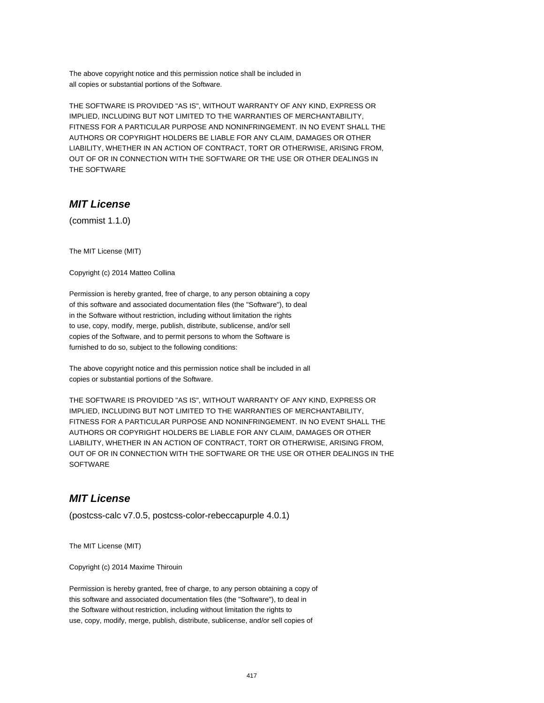The above copyright notice and this permission notice shall be included in all copies or substantial portions of the Software.

THE SOFTWARE IS PROVIDED "AS IS", WITHOUT WARRANTY OF ANY KIND, EXPRESS OR IMPLIED, INCLUDING BUT NOT LIMITED TO THE WARRANTIES OF MERCHANTABILITY, FITNESS FOR A PARTICULAR PURPOSE AND NONINFRINGEMENT. IN NO EVENT SHALL THE AUTHORS OR COPYRIGHT HOLDERS BE LIABLE FOR ANY CLAIM, DAMAGES OR OTHER LIABILITY, WHETHER IN AN ACTION OF CONTRACT, TORT OR OTHERWISE, ARISING FROM, OUT OF OR IN CONNECTION WITH THE SOFTWARE OR THE USE OR OTHER DEALINGS IN THE SOFTWARE

# **MIT License**

(commist 1.1.0)

The MIT License (MIT)

Copyright (c) 2014 Matteo Collina

Permission is hereby granted, free of charge, to any person obtaining a copy of this software and associated documentation files (the "Software"), to deal in the Software without restriction, including without limitation the rights to use, copy, modify, merge, publish, distribute, sublicense, and/or sell copies of the Software, and to permit persons to whom the Software is furnished to do so, subject to the following conditions:

The above copyright notice and this permission notice shall be included in all copies or substantial portions of the Software.

THE SOFTWARE IS PROVIDED "AS IS", WITHOUT WARRANTY OF ANY KIND, EXPRESS OR IMPLIED, INCLUDING BUT NOT LIMITED TO THE WARRANTIES OF MERCHANTABILITY, FITNESS FOR A PARTICULAR PURPOSE AND NONINFRINGEMENT. IN NO EVENT SHALL THE AUTHORS OR COPYRIGHT HOLDERS BE LIABLE FOR ANY CLAIM, DAMAGES OR OTHER LIABILITY, WHETHER IN AN ACTION OF CONTRACT, TORT OR OTHERWISE, ARISING FROM, OUT OF OR IN CONNECTION WITH THE SOFTWARE OR THE USE OR OTHER DEALINGS IN THE **SOFTWARE** 

#### **MIT License**

(postcss-calc v7.0.5, postcss-color-rebeccapurple 4.0.1)

The MIT License (MIT)

Copyright (c) 2014 Maxime Thirouin

Permission is hereby granted, free of charge, to any person obtaining a copy of this software and associated documentation files (the "Software"), to deal in the Software without restriction, including without limitation the rights to use, copy, modify, merge, publish, distribute, sublicense, and/or sell copies of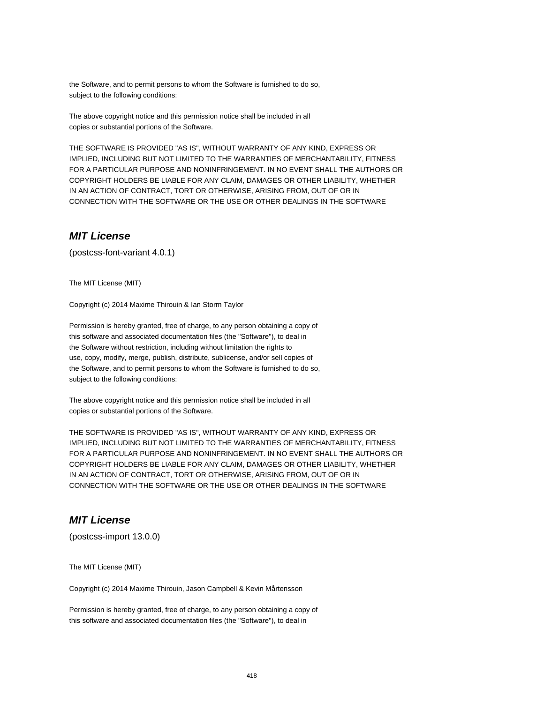the Software, and to permit persons to whom the Software is furnished to do so, subject to the following conditions:

The above copyright notice and this permission notice shall be included in all copies or substantial portions of the Software.

THE SOFTWARE IS PROVIDED "AS IS", WITHOUT WARRANTY OF ANY KIND, EXPRESS OR IMPLIED, INCLUDING BUT NOT LIMITED TO THE WARRANTIES OF MERCHANTABILITY, FITNESS FOR A PARTICULAR PURPOSE AND NONINFRINGEMENT. IN NO EVENT SHALL THE AUTHORS OR COPYRIGHT HOLDERS BE LIABLE FOR ANY CLAIM, DAMAGES OR OTHER LIABILITY, WHETHER IN AN ACTION OF CONTRACT, TORT OR OTHERWISE, ARISING FROM, OUT OF OR IN CONNECTION WITH THE SOFTWARE OR THE USE OR OTHER DEALINGS IN THE SOFTWARE

#### **MIT License**

(postcss-font-variant 4.0.1)

The MIT License (MIT)

Copyright (c) 2014 Maxime Thirouin & Ian Storm Taylor

Permission is hereby granted, free of charge, to any person obtaining a copy of this software and associated documentation files (the "Software"), to deal in the Software without restriction, including without limitation the rights to use, copy, modify, merge, publish, distribute, sublicense, and/or sell copies of the Software, and to permit persons to whom the Software is furnished to do so, subject to the following conditions:

The above copyright notice and this permission notice shall be included in all copies or substantial portions of the Software.

THE SOFTWARE IS PROVIDED "AS IS", WITHOUT WARRANTY OF ANY KIND, EXPRESS OR IMPLIED, INCLUDING BUT NOT LIMITED TO THE WARRANTIES OF MERCHANTABILITY, FITNESS FOR A PARTICULAR PURPOSE AND NONINFRINGEMENT. IN NO EVENT SHALL THE AUTHORS OR COPYRIGHT HOLDERS BE LIABLE FOR ANY CLAIM, DAMAGES OR OTHER LIABILITY, WHETHER IN AN ACTION OF CONTRACT, TORT OR OTHERWISE, ARISING FROM, OUT OF OR IN CONNECTION WITH THE SOFTWARE OR THE USE OR OTHER DEALINGS IN THE SOFTWARE

# **MIT License**

(postcss-import 13.0.0)

The MIT License (MIT)

Copyright (c) 2014 Maxime Thirouin, Jason Campbell & Kevin Mårtensson

Permission is hereby granted, free of charge, to any person obtaining a copy of this software and associated documentation files (the "Software"), to deal in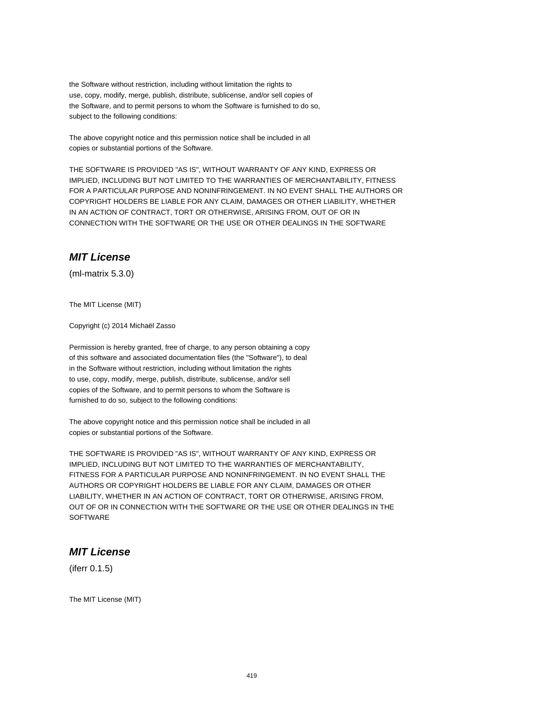the Software without restriction, including without limitation the rights to use, copy, modify, merge, publish, distribute, sublicense, and/or sell copies of the Software, and to permit persons to whom the Software is furnished to do so, subject to the following conditions:

The above copyright notice and this permission notice shall be included in all copies or substantial portions of the Software.

THE SOFTWARE IS PROVIDED "AS IS", WITHOUT WARRANTY OF ANY KIND, EXPRESS OR IMPLIED, INCLUDING BUT NOT LIMITED TO THE WARRANTIES OF MERCHANTABILITY, FITNESS FOR A PARTICULAR PURPOSE AND NONINFRINGEMENT. IN NO EVENT SHALL THE AUTHORS OR COPYRIGHT HOLDERS BE LIABLE FOR ANY CLAIM, DAMAGES OR OTHER LIABILITY, WHETHER IN AN ACTION OF CONTRACT, TORT OR OTHERWISE, ARISING FROM, OUT OF OR IN CONNECTION WITH THE SOFTWARE OR THE USE OR OTHER DEALINGS IN THE SOFTWARE

#### **MIT License**

(ml-matrix 5.3.0)

The MIT License (MIT)

Copyright (c) 2014 Michaël Zasso

Permission is hereby granted, free of charge, to any person obtaining a copy of this software and associated documentation files (the "Software"), to deal in the Software without restriction, including without limitation the rights to use, copy, modify, merge, publish, distribute, sublicense, and/or sell copies of the Software, and to permit persons to whom the Software is furnished to do so, subject to the following conditions:

The above copyright notice and this permission notice shall be included in all copies or substantial portions of the Software.

THE SOFTWARE IS PROVIDED "AS IS", WITHOUT WARRANTY OF ANY KIND, EXPRESS OR IMPLIED, INCLUDING BUT NOT LIMITED TO THE WARRANTIES OF MERCHANTABILITY, FITNESS FOR A PARTICULAR PURPOSE AND NONINFRINGEMENT. IN NO EVENT SHALL THE AUTHORS OR COPYRIGHT HOLDERS BE LIABLE FOR ANY CLAIM, DAMAGES OR OTHER LIABILITY, WHETHER IN AN ACTION OF CONTRACT, TORT OR OTHERWISE, ARISING FROM, OUT OF OR IN CONNECTION WITH THE SOFTWARE OR THE USE OR OTHER DEALINGS IN THE **SOFTWARE** 

#### **MIT License**

(iferr 0.1.5)

The MIT License (MIT)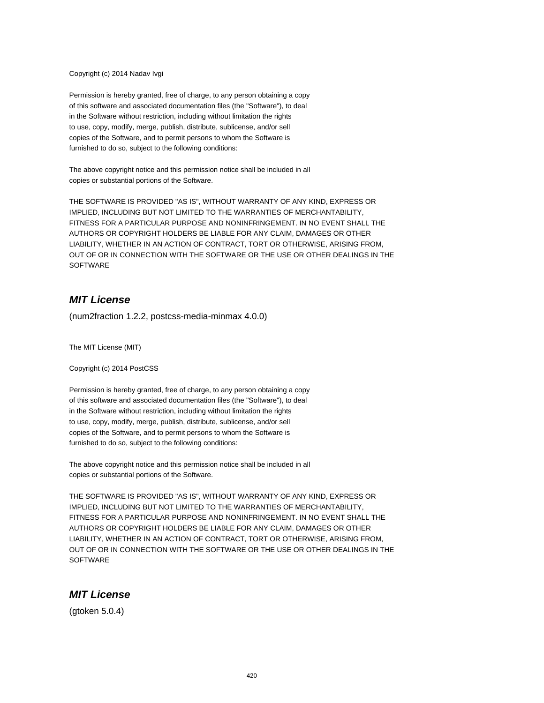#### Copyright (c) 2014 Nadav Ivgi

Permission is hereby granted, free of charge, to any person obtaining a copy of this software and associated documentation files (the "Software"), to deal in the Software without restriction, including without limitation the rights to use, copy, modify, merge, publish, distribute, sublicense, and/or sell copies of the Software, and to permit persons to whom the Software is furnished to do so, subject to the following conditions:

The above copyright notice and this permission notice shall be included in all copies or substantial portions of the Software.

THE SOFTWARE IS PROVIDED "AS IS", WITHOUT WARRANTY OF ANY KIND, EXPRESS OR IMPLIED, INCLUDING BUT NOT LIMITED TO THE WARRANTIES OF MERCHANTABILITY, FITNESS FOR A PARTICULAR PURPOSE AND NONINFRINGEMENT. IN NO EVENT SHALL THE AUTHORS OR COPYRIGHT HOLDERS BE LIABLE FOR ANY CLAIM, DAMAGES OR OTHER LIABILITY, WHETHER IN AN ACTION OF CONTRACT, TORT OR OTHERWISE, ARISING FROM, OUT OF OR IN CONNECTION WITH THE SOFTWARE OR THE USE OR OTHER DEALINGS IN THE **SOFTWARE** 

#### **MIT License**

(num2fraction 1.2.2, postcss-media-minmax 4.0.0)

The MIT License (MIT)

Copyright (c) 2014 PostCSS

Permission is hereby granted, free of charge, to any person obtaining a copy of this software and associated documentation files (the "Software"), to deal in the Software without restriction, including without limitation the rights to use, copy, modify, merge, publish, distribute, sublicense, and/or sell copies of the Software, and to permit persons to whom the Software is furnished to do so, subject to the following conditions:

The above copyright notice and this permission notice shall be included in all copies or substantial portions of the Software.

THE SOFTWARE IS PROVIDED "AS IS", WITHOUT WARRANTY OF ANY KIND, EXPRESS OR IMPLIED, INCLUDING BUT NOT LIMITED TO THE WARRANTIES OF MERCHANTABILITY, FITNESS FOR A PARTICULAR PURPOSE AND NONINFRINGEMENT. IN NO EVENT SHALL THE AUTHORS OR COPYRIGHT HOLDERS BE LIABLE FOR ANY CLAIM, DAMAGES OR OTHER LIABILITY, WHETHER IN AN ACTION OF CONTRACT, TORT OR OTHERWISE, ARISING FROM, OUT OF OR IN CONNECTION WITH THE SOFTWARE OR THE USE OR OTHER DEALINGS IN THE **SOFTWARE** 

#### **MIT License**

(gtoken 5.0.4)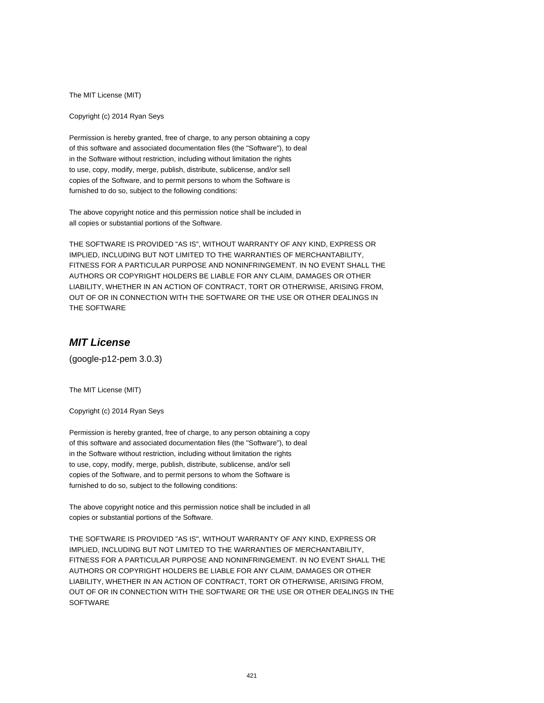The MIT License (MIT)

Copyright (c) 2014 Ryan Seys

Permission is hereby granted, free of charge, to any person obtaining a copy of this software and associated documentation files (the "Software"), to deal in the Software without restriction, including without limitation the rights to use, copy, modify, merge, publish, distribute, sublicense, and/or sell copies of the Software, and to permit persons to whom the Software is furnished to do so, subject to the following conditions:

The above copyright notice and this permission notice shall be included in all copies or substantial portions of the Software.

THE SOFTWARE IS PROVIDED "AS IS", WITHOUT WARRANTY OF ANY KIND, EXPRESS OR IMPLIED, INCLUDING BUT NOT LIMITED TO THE WARRANTIES OF MERCHANTABILITY, FITNESS FOR A PARTICULAR PURPOSE AND NONINFRINGEMENT. IN NO EVENT SHALL THE AUTHORS OR COPYRIGHT HOLDERS BE LIABLE FOR ANY CLAIM, DAMAGES OR OTHER LIABILITY, WHETHER IN AN ACTION OF CONTRACT, TORT OR OTHERWISE, ARISING FROM, OUT OF OR IN CONNECTION WITH THE SOFTWARE OR THE USE OR OTHER DEALINGS IN THE SOFTWARE

# **MIT License**

(google-p12-pem 3.0.3)

The MIT License (MIT)

Copyright (c) 2014 Ryan Seys

Permission is hereby granted, free of charge, to any person obtaining a copy of this software and associated documentation files (the "Software"), to deal in the Software without restriction, including without limitation the rights to use, copy, modify, merge, publish, distribute, sublicense, and/or sell copies of the Software, and to permit persons to whom the Software is furnished to do so, subject to the following conditions:

The above copyright notice and this permission notice shall be included in all copies or substantial portions of the Software.

THE SOFTWARE IS PROVIDED "AS IS", WITHOUT WARRANTY OF ANY KIND, EXPRESS OR IMPLIED, INCLUDING BUT NOT LIMITED TO THE WARRANTIES OF MERCHANTABILITY, FITNESS FOR A PARTICULAR PURPOSE AND NONINFRINGEMENT. IN NO EVENT SHALL THE AUTHORS OR COPYRIGHT HOLDERS BE LIABLE FOR ANY CLAIM, DAMAGES OR OTHER LIABILITY, WHETHER IN AN ACTION OF CONTRACT, TORT OR OTHERWISE, ARISING FROM, OUT OF OR IN CONNECTION WITH THE SOFTWARE OR THE USE OR OTHER DEALINGS IN THE **SOFTWARE**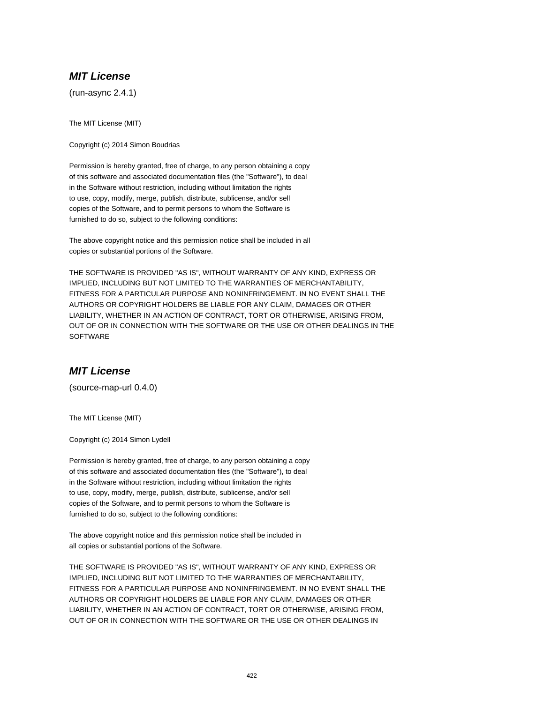# **MIT License**

(run-async 2.4.1)

The MIT License (MIT)

Copyright (c) 2014 Simon Boudrias

Permission is hereby granted, free of charge, to any person obtaining a copy of this software and associated documentation files (the "Software"), to deal in the Software without restriction, including without limitation the rights to use, copy, modify, merge, publish, distribute, sublicense, and/or sell copies of the Software, and to permit persons to whom the Software is furnished to do so, subject to the following conditions:

The above copyright notice and this permission notice shall be included in all copies or substantial portions of the Software.

THE SOFTWARE IS PROVIDED "AS IS", WITHOUT WARRANTY OF ANY KIND, EXPRESS OR IMPLIED, INCLUDING BUT NOT LIMITED TO THE WARRANTIES OF MERCHANTABILITY, FITNESS FOR A PARTICULAR PURPOSE AND NONINFRINGEMENT. IN NO EVENT SHALL THE AUTHORS OR COPYRIGHT HOLDERS BE LIABLE FOR ANY CLAIM, DAMAGES OR OTHER LIABILITY, WHETHER IN AN ACTION OF CONTRACT, TORT OR OTHERWISE, ARISING FROM, OUT OF OR IN CONNECTION WITH THE SOFTWARE OR THE USE OR OTHER DEALINGS IN THE **SOFTWARE** 

# **MIT License**

(source-map-url 0.4.0)

The MIT License (MIT)

Copyright (c) 2014 Simon Lydell

Permission is hereby granted, free of charge, to any person obtaining a copy of this software and associated documentation files (the "Software"), to deal in the Software without restriction, including without limitation the rights to use, copy, modify, merge, publish, distribute, sublicense, and/or sell copies of the Software, and to permit persons to whom the Software is furnished to do so, subject to the following conditions:

The above copyright notice and this permission notice shall be included in all copies or substantial portions of the Software.

THE SOFTWARE IS PROVIDED "AS IS", WITHOUT WARRANTY OF ANY KIND, EXPRESS OR IMPLIED, INCLUDING BUT NOT LIMITED TO THE WARRANTIES OF MERCHANTABILITY, FITNESS FOR A PARTICULAR PURPOSE AND NONINFRINGEMENT. IN NO EVENT SHALL THE AUTHORS OR COPYRIGHT HOLDERS BE LIABLE FOR ANY CLAIM, DAMAGES OR OTHER LIABILITY, WHETHER IN AN ACTION OF CONTRACT, TORT OR OTHERWISE, ARISING FROM, OUT OF OR IN CONNECTION WITH THE SOFTWARE OR THE USE OR OTHER DEALINGS IN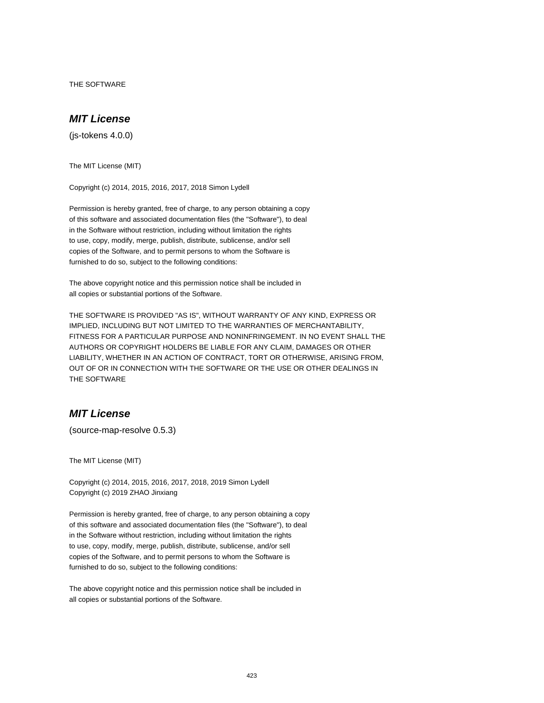THE SOFTWARE

## **MIT License**

(js-tokens 4.0.0)

The MIT License (MIT)

Copyright (c) 2014, 2015, 2016, 2017, 2018 Simon Lydell

Permission is hereby granted, free of charge, to any person obtaining a copy of this software and associated documentation files (the "Software"), to deal in the Software without restriction, including without limitation the rights to use, copy, modify, merge, publish, distribute, sublicense, and/or sell copies of the Software, and to permit persons to whom the Software is furnished to do so, subject to the following conditions:

The above copyright notice and this permission notice shall be included in all copies or substantial portions of the Software.

THE SOFTWARE IS PROVIDED "AS IS", WITHOUT WARRANTY OF ANY KIND, EXPRESS OR IMPLIED, INCLUDING BUT NOT LIMITED TO THE WARRANTIES OF MERCHANTABILITY, FITNESS FOR A PARTICULAR PURPOSE AND NONINFRINGEMENT. IN NO EVENT SHALL THE AUTHORS OR COPYRIGHT HOLDERS BE LIABLE FOR ANY CLAIM, DAMAGES OR OTHER LIABILITY, WHETHER IN AN ACTION OF CONTRACT, TORT OR OTHERWISE, ARISING FROM, OUT OF OR IN CONNECTION WITH THE SOFTWARE OR THE USE OR OTHER DEALINGS IN THE SOFTWARE

## **MIT License**

(source-map-resolve 0.5.3)

The MIT License (MIT)

Copyright (c) 2014, 2015, 2016, 2017, 2018, 2019 Simon Lydell Copyright (c) 2019 ZHAO Jinxiang

Permission is hereby granted, free of charge, to any person obtaining a copy of this software and associated documentation files (the "Software"), to deal in the Software without restriction, including without limitation the rights to use, copy, modify, merge, publish, distribute, sublicense, and/or sell copies of the Software, and to permit persons to whom the Software is furnished to do so, subject to the following conditions:

The above copyright notice and this permission notice shall be included in all copies or substantial portions of the Software.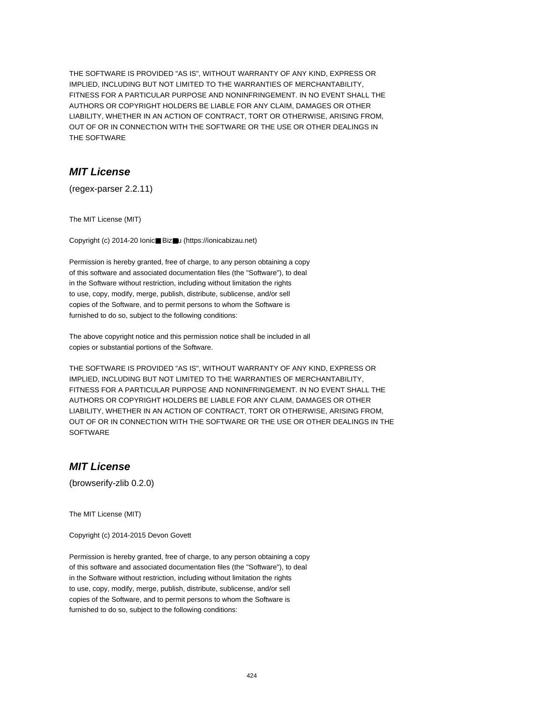THE SOFTWARE IS PROVIDED "AS IS", WITHOUT WARRANTY OF ANY KIND, EXPRESS OR IMPLIED, INCLUDING BUT NOT LIMITED TO THE WARRANTIES OF MERCHANTABILITY, FITNESS FOR A PARTICULAR PURPOSE AND NONINFRINGEMENT. IN NO EVENT SHALL THE AUTHORS OR COPYRIGHT HOLDERS BE LIABLE FOR ANY CLAIM, DAMAGES OR OTHER LIABILITY, WHETHER IN AN ACTION OF CONTRACT, TORT OR OTHERWISE, ARISING FROM, OUT OF OR IN CONNECTION WITH THE SOFTWARE OR THE USE OR OTHER DEALINGS IN THE SOFTWARE

# **MIT License**

(regex-parser 2.2.11)

The MIT License (MIT)

Copyright (c) 2014-20 Ionic■ Biz■u (https://ionicabizau.net)

Permission is hereby granted, free of charge, to any person obtaining a copy of this software and associated documentation files (the "Software"), to deal in the Software without restriction, including without limitation the rights to use, copy, modify, merge, publish, distribute, sublicense, and/or sell copies of the Software, and to permit persons to whom the Software is furnished to do so, subject to the following conditions:

The above copyright notice and this permission notice shall be included in all copies or substantial portions of the Software.

THE SOFTWARE IS PROVIDED "AS IS", WITHOUT WARRANTY OF ANY KIND, EXPRESS OR IMPLIED, INCLUDING BUT NOT LIMITED TO THE WARRANTIES OF MERCHANTABILITY, FITNESS FOR A PARTICULAR PURPOSE AND NONINFRINGEMENT. IN NO EVENT SHALL THE AUTHORS OR COPYRIGHT HOLDERS BE LIABLE FOR ANY CLAIM, DAMAGES OR OTHER LIABILITY, WHETHER IN AN ACTION OF CONTRACT, TORT OR OTHERWISE, ARISING FROM, OUT OF OR IN CONNECTION WITH THE SOFTWARE OR THE USE OR OTHER DEALINGS IN THE **SOFTWARE** 

## **MIT License**

(browserify-zlib 0.2.0)

The MIT License (MIT)

Copyright (c) 2014-2015 Devon Govett

Permission is hereby granted, free of charge, to any person obtaining a copy of this software and associated documentation files (the "Software"), to deal in the Software without restriction, including without limitation the rights to use, copy, modify, merge, publish, distribute, sublicense, and/or sell copies of the Software, and to permit persons to whom the Software is furnished to do so, subject to the following conditions: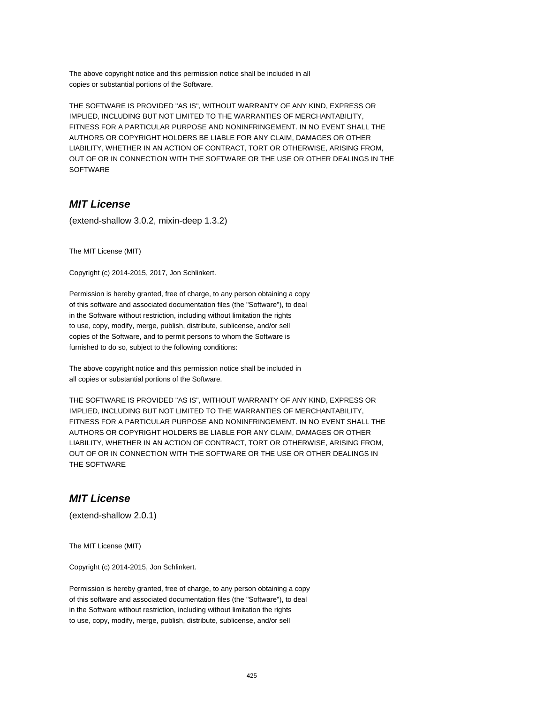The above copyright notice and this permission notice shall be included in all copies or substantial portions of the Software.

THE SOFTWARE IS PROVIDED "AS IS", WITHOUT WARRANTY OF ANY KIND, EXPRESS OR IMPLIED, INCLUDING BUT NOT LIMITED TO THE WARRANTIES OF MERCHANTABILITY, FITNESS FOR A PARTICULAR PURPOSE AND NONINFRINGEMENT. IN NO EVENT SHALL THE AUTHORS OR COPYRIGHT HOLDERS BE LIABLE FOR ANY CLAIM, DAMAGES OR OTHER LIABILITY, WHETHER IN AN ACTION OF CONTRACT, TORT OR OTHERWISE, ARISING FROM, OUT OF OR IN CONNECTION WITH THE SOFTWARE OR THE USE OR OTHER DEALINGS IN THE SOFTWARE

# **MIT License**

(extend-shallow 3.0.2, mixin-deep 1.3.2)

The MIT License (MIT)

Copyright (c) 2014-2015, 2017, Jon Schlinkert.

Permission is hereby granted, free of charge, to any person obtaining a copy of this software and associated documentation files (the "Software"), to deal in the Software without restriction, including without limitation the rights to use, copy, modify, merge, publish, distribute, sublicense, and/or sell copies of the Software, and to permit persons to whom the Software is furnished to do so, subject to the following conditions:

The above copyright notice and this permission notice shall be included in all copies or substantial portions of the Software.

THE SOFTWARE IS PROVIDED "AS IS", WITHOUT WARRANTY OF ANY KIND, EXPRESS OR IMPLIED, INCLUDING BUT NOT LIMITED TO THE WARRANTIES OF MERCHANTABILITY, FITNESS FOR A PARTICULAR PURPOSE AND NONINFRINGEMENT. IN NO EVENT SHALL THE AUTHORS OR COPYRIGHT HOLDERS BE LIABLE FOR ANY CLAIM, DAMAGES OR OTHER LIABILITY, WHETHER IN AN ACTION OF CONTRACT, TORT OR OTHERWISE, ARISING FROM, OUT OF OR IN CONNECTION WITH THE SOFTWARE OR THE USE OR OTHER DEALINGS IN THE SOFTWARE

#### **MIT License**

(extend-shallow 2.0.1)

The MIT License (MIT)

Copyright (c) 2014-2015, Jon Schlinkert.

Permission is hereby granted, free of charge, to any person obtaining a copy of this software and associated documentation files (the "Software"), to deal in the Software without restriction, including without limitation the rights to use, copy, modify, merge, publish, distribute, sublicense, and/or sell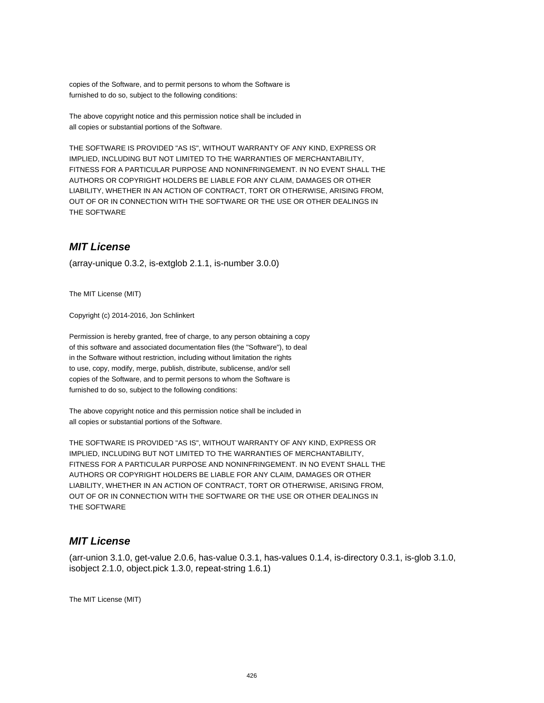copies of the Software, and to permit persons to whom the Software is furnished to do so, subject to the following conditions:

The above copyright notice and this permission notice shall be included in all copies or substantial portions of the Software.

THE SOFTWARE IS PROVIDED "AS IS", WITHOUT WARRANTY OF ANY KIND, EXPRESS OR IMPLIED, INCLUDING BUT NOT LIMITED TO THE WARRANTIES OF MERCHANTABILITY, FITNESS FOR A PARTICULAR PURPOSE AND NONINFRINGEMENT. IN NO EVENT SHALL THE AUTHORS OR COPYRIGHT HOLDERS BE LIABLE FOR ANY CLAIM, DAMAGES OR OTHER LIABILITY, WHETHER IN AN ACTION OF CONTRACT, TORT OR OTHERWISE, ARISING FROM, OUT OF OR IN CONNECTION WITH THE SOFTWARE OR THE USE OR OTHER DEALINGS IN THE SOFTWARE

# **MIT License**

(array-unique 0.3.2, is-extglob 2.1.1, is-number 3.0.0)

The MIT License (MIT)

Copyright (c) 2014-2016, Jon Schlinkert

Permission is hereby granted, free of charge, to any person obtaining a copy of this software and associated documentation files (the "Software"), to deal in the Software without restriction, including without limitation the rights to use, copy, modify, merge, publish, distribute, sublicense, and/or sell copies of the Software, and to permit persons to whom the Software is furnished to do so, subject to the following conditions:

The above copyright notice and this permission notice shall be included in all copies or substantial portions of the Software.

THE SOFTWARE IS PROVIDED "AS IS", WITHOUT WARRANTY OF ANY KIND, EXPRESS OR IMPLIED, INCLUDING BUT NOT LIMITED TO THE WARRANTIES OF MERCHANTABILITY, FITNESS FOR A PARTICULAR PURPOSE AND NONINFRINGEMENT. IN NO EVENT SHALL THE AUTHORS OR COPYRIGHT HOLDERS BE LIABLE FOR ANY CLAIM, DAMAGES OR OTHER LIABILITY, WHETHER IN AN ACTION OF CONTRACT, TORT OR OTHERWISE, ARISING FROM, OUT OF OR IN CONNECTION WITH THE SOFTWARE OR THE USE OR OTHER DEALINGS IN THE SOFTWARE

#### **MIT License**

(arr-union 3.1.0, get-value 2.0.6, has-value 0.3.1, has-values 0.1.4, is-directory 0.3.1, is-glob 3.1.0, isobject 2.1.0, object.pick 1.3.0, repeat-string 1.6.1)

The MIT License (MIT)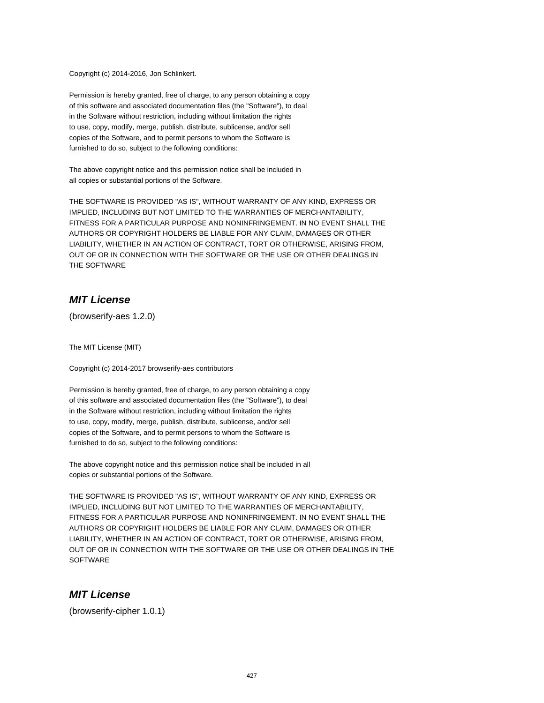Copyright (c) 2014-2016, Jon Schlinkert.

Permission is hereby granted, free of charge, to any person obtaining a copy of this software and associated documentation files (the "Software"), to deal in the Software without restriction, including without limitation the rights to use, copy, modify, merge, publish, distribute, sublicense, and/or sell copies of the Software, and to permit persons to whom the Software is furnished to do so, subject to the following conditions:

The above copyright notice and this permission notice shall be included in all copies or substantial portions of the Software.

THE SOFTWARE IS PROVIDED "AS IS", WITHOUT WARRANTY OF ANY KIND, EXPRESS OR IMPLIED, INCLUDING BUT NOT LIMITED TO THE WARRANTIES OF MERCHANTABILITY, FITNESS FOR A PARTICULAR PURPOSE AND NONINFRINGEMENT. IN NO EVENT SHALL THE AUTHORS OR COPYRIGHT HOLDERS BE LIABLE FOR ANY CLAIM, DAMAGES OR OTHER LIABILITY, WHETHER IN AN ACTION OF CONTRACT, TORT OR OTHERWISE, ARISING FROM, OUT OF OR IN CONNECTION WITH THE SOFTWARE OR THE USE OR OTHER DEALINGS IN THE SOFTWARE

# **MIT License**

(browserify-aes 1.2.0)

The MIT License (MIT)

Copyright (c) 2014-2017 browserify-aes contributors

Permission is hereby granted, free of charge, to any person obtaining a copy of this software and associated documentation files (the "Software"), to deal in the Software without restriction, including without limitation the rights to use, copy, modify, merge, publish, distribute, sublicense, and/or sell copies of the Software, and to permit persons to whom the Software is furnished to do so, subject to the following conditions:

The above copyright notice and this permission notice shall be included in all copies or substantial portions of the Software.

THE SOFTWARE IS PROVIDED "AS IS", WITHOUT WARRANTY OF ANY KIND, EXPRESS OR IMPLIED, INCLUDING BUT NOT LIMITED TO THE WARRANTIES OF MERCHANTABILITY, FITNESS FOR A PARTICULAR PURPOSE AND NONINFRINGEMENT. IN NO EVENT SHALL THE AUTHORS OR COPYRIGHT HOLDERS BE LIABLE FOR ANY CLAIM, DAMAGES OR OTHER LIABILITY, WHETHER IN AN ACTION OF CONTRACT, TORT OR OTHERWISE, ARISING FROM, OUT OF OR IN CONNECTION WITH THE SOFTWARE OR THE USE OR OTHER DEALINGS IN THE **SOFTWARE** 

#### **MIT License**

(browserify-cipher 1.0.1)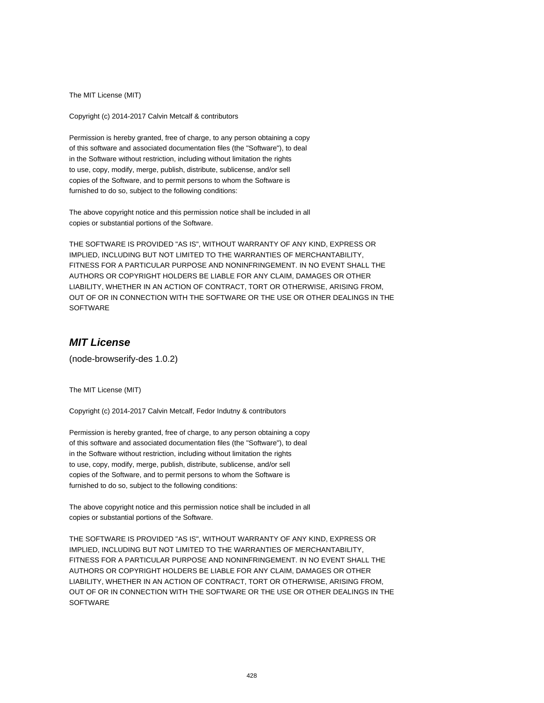The MIT License (MIT)

Copyright (c) 2014-2017 Calvin Metcalf & contributors

Permission is hereby granted, free of charge, to any person obtaining a copy of this software and associated documentation files (the "Software"), to deal in the Software without restriction, including without limitation the rights to use, copy, modify, merge, publish, distribute, sublicense, and/or sell copies of the Software, and to permit persons to whom the Software is furnished to do so, subject to the following conditions:

The above copyright notice and this permission notice shall be included in all copies or substantial portions of the Software.

THE SOFTWARE IS PROVIDED "AS IS", WITHOUT WARRANTY OF ANY KIND, EXPRESS OR IMPLIED, INCLUDING BUT NOT LIMITED TO THE WARRANTIES OF MERCHANTABILITY, FITNESS FOR A PARTICULAR PURPOSE AND NONINFRINGEMENT. IN NO EVENT SHALL THE AUTHORS OR COPYRIGHT HOLDERS BE LIABLE FOR ANY CLAIM, DAMAGES OR OTHER LIABILITY, WHETHER IN AN ACTION OF CONTRACT, TORT OR OTHERWISE, ARISING FROM, OUT OF OR IN CONNECTION WITH THE SOFTWARE OR THE USE OR OTHER DEALINGS IN THE SOFTWARE

# **MIT License**

(node-browserify-des 1.0.2)

The MIT License (MIT)

Copyright (c) 2014-2017 Calvin Metcalf, Fedor Indutny & contributors

Permission is hereby granted, free of charge, to any person obtaining a copy of this software and associated documentation files (the "Software"), to deal in the Software without restriction, including without limitation the rights to use, copy, modify, merge, publish, distribute, sublicense, and/or sell copies of the Software, and to permit persons to whom the Software is furnished to do so, subject to the following conditions:

The above copyright notice and this permission notice shall be included in all copies or substantial portions of the Software.

THE SOFTWARE IS PROVIDED "AS IS", WITHOUT WARRANTY OF ANY KIND, EXPRESS OR IMPLIED, INCLUDING BUT NOT LIMITED TO THE WARRANTIES OF MERCHANTABILITY, FITNESS FOR A PARTICULAR PURPOSE AND NONINFRINGEMENT. IN NO EVENT SHALL THE AUTHORS OR COPYRIGHT HOLDERS BE LIABLE FOR ANY CLAIM, DAMAGES OR OTHER LIABILITY, WHETHER IN AN ACTION OF CONTRACT, TORT OR OTHERWISE, ARISING FROM, OUT OF OR IN CONNECTION WITH THE SOFTWARE OR THE USE OR OTHER DEALINGS IN THE **SOFTWARE**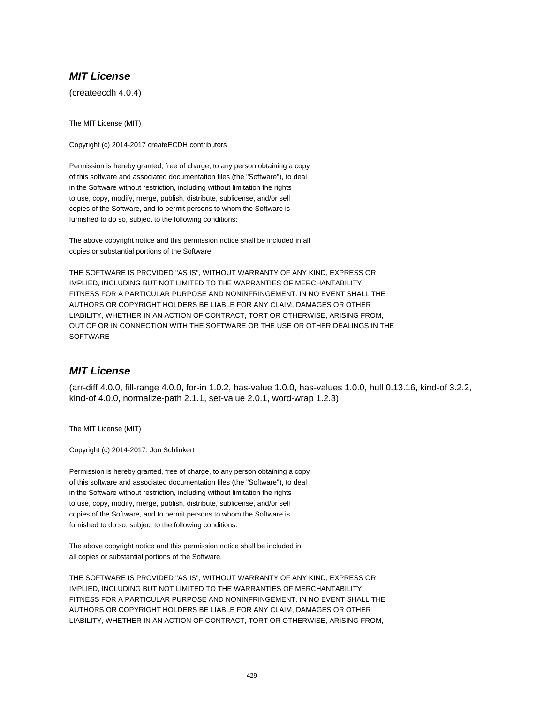# **MIT License**

(createecdh 4.0.4)

The MIT License (MIT)

Copyright (c) 2014-2017 createECDH contributors

Permission is hereby granted, free of charge, to any person obtaining a copy of this software and associated documentation files (the "Software"), to deal in the Software without restriction, including without limitation the rights to use, copy, modify, merge, publish, distribute, sublicense, and/or sell copies of the Software, and to permit persons to whom the Software is furnished to do so, subject to the following conditions:

The above copyright notice and this permission notice shall be included in all copies or substantial portions of the Software.

THE SOFTWARE IS PROVIDED "AS IS", WITHOUT WARRANTY OF ANY KIND, EXPRESS OR IMPLIED, INCLUDING BUT NOT LIMITED TO THE WARRANTIES OF MERCHANTABILITY, FITNESS FOR A PARTICULAR PURPOSE AND NONINFRINGEMENT. IN NO EVENT SHALL THE AUTHORS OR COPYRIGHT HOLDERS BE LIABLE FOR ANY CLAIM, DAMAGES OR OTHER LIABILITY, WHETHER IN AN ACTION OF CONTRACT, TORT OR OTHERWISE, ARISING FROM, OUT OF OR IN CONNECTION WITH THE SOFTWARE OR THE USE OR OTHER DEALINGS IN THE **SOFTWARE** 

# **MIT License**

(arr-diff 4.0.0, fill-range 4.0.0, for-in 1.0.2, has-value 1.0.0, has-values 1.0.0, hull 0.13.16, kind-of 3.2.2, kind-of 4.0.0, normalize-path 2.1.1, set-value 2.0.1, word-wrap 1.2.3)

The MIT License (MIT)

Copyright (c) 2014-2017, Jon Schlinkert

Permission is hereby granted, free of charge, to any person obtaining a copy of this software and associated documentation files (the "Software"), to deal in the Software without restriction, including without limitation the rights to use, copy, modify, merge, publish, distribute, sublicense, and/or sell copies of the Software, and to permit persons to whom the Software is furnished to do so, subject to the following conditions:

The above copyright notice and this permission notice shall be included in all copies or substantial portions of the Software.

THE SOFTWARE IS PROVIDED "AS IS", WITHOUT WARRANTY OF ANY KIND, EXPRESS OR IMPLIED, INCLUDING BUT NOT LIMITED TO THE WARRANTIES OF MERCHANTABILITY, FITNESS FOR A PARTICULAR PURPOSE AND NONINFRINGEMENT. IN NO EVENT SHALL THE AUTHORS OR COPYRIGHT HOLDERS BE LIABLE FOR ANY CLAIM, DAMAGES OR OTHER LIABILITY, WHETHER IN AN ACTION OF CONTRACT, TORT OR OTHERWISE, ARISING FROM,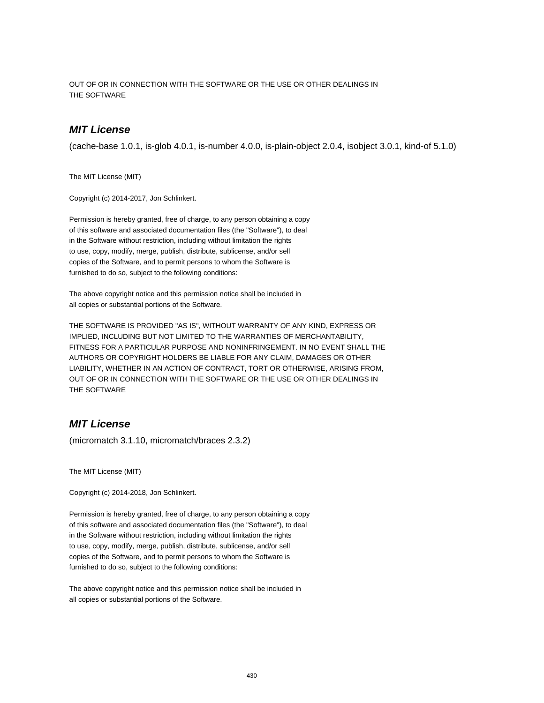OUT OF OR IN CONNECTION WITH THE SOFTWARE OR THE USE OR OTHER DEALINGS IN THE SOFTWARE

## **MIT License**

(cache-base 1.0.1, is-glob 4.0.1, is-number 4.0.0, is-plain-object 2.0.4, isobject 3.0.1, kind-of 5.1.0)

The MIT License (MIT)

Copyright (c) 2014-2017, Jon Schlinkert.

Permission is hereby granted, free of charge, to any person obtaining a copy of this software and associated documentation files (the "Software"), to deal in the Software without restriction, including without limitation the rights to use, copy, modify, merge, publish, distribute, sublicense, and/or sell copies of the Software, and to permit persons to whom the Software is furnished to do so, subject to the following conditions:

The above copyright notice and this permission notice shall be included in all copies or substantial portions of the Software.

THE SOFTWARE IS PROVIDED "AS IS", WITHOUT WARRANTY OF ANY KIND, EXPRESS OR IMPLIED, INCLUDING BUT NOT LIMITED TO THE WARRANTIES OF MERCHANTABILITY, FITNESS FOR A PARTICULAR PURPOSE AND NONINFRINGEMENT. IN NO EVENT SHALL THE AUTHORS OR COPYRIGHT HOLDERS BE LIABLE FOR ANY CLAIM, DAMAGES OR OTHER LIABILITY, WHETHER IN AN ACTION OF CONTRACT, TORT OR OTHERWISE, ARISING FROM, OUT OF OR IN CONNECTION WITH THE SOFTWARE OR THE USE OR OTHER DEALINGS IN THE SOFTWARE

## **MIT License**

(micromatch 3.1.10, micromatch/braces 2.3.2)

The MIT License (MIT)

Copyright (c) 2014-2018, Jon Schlinkert.

Permission is hereby granted, free of charge, to any person obtaining a copy of this software and associated documentation files (the "Software"), to deal in the Software without restriction, including without limitation the rights to use, copy, modify, merge, publish, distribute, sublicense, and/or sell copies of the Software, and to permit persons to whom the Software is furnished to do so, subject to the following conditions:

The above copyright notice and this permission notice shall be included in all copies or substantial portions of the Software.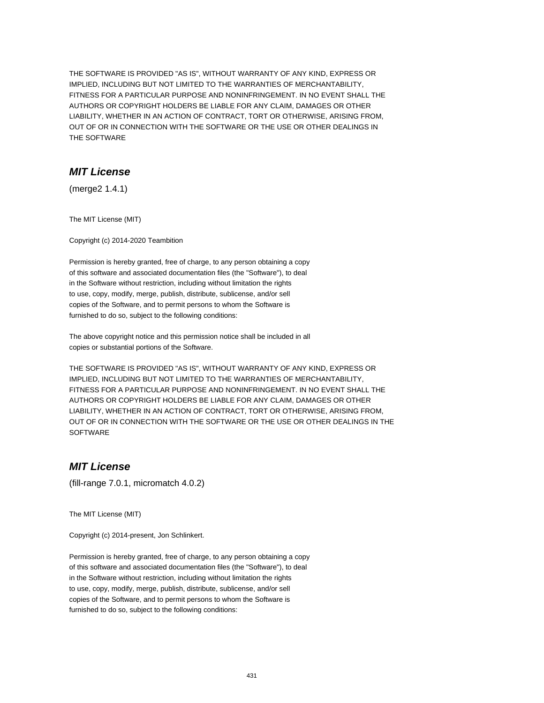THE SOFTWARE IS PROVIDED "AS IS", WITHOUT WARRANTY OF ANY KIND, EXPRESS OR IMPLIED, INCLUDING BUT NOT LIMITED TO THE WARRANTIES OF MERCHANTABILITY, FITNESS FOR A PARTICULAR PURPOSE AND NONINFRINGEMENT. IN NO EVENT SHALL THE AUTHORS OR COPYRIGHT HOLDERS BE LIABLE FOR ANY CLAIM, DAMAGES OR OTHER LIABILITY, WHETHER IN AN ACTION OF CONTRACT, TORT OR OTHERWISE, ARISING FROM, OUT OF OR IN CONNECTION WITH THE SOFTWARE OR THE USE OR OTHER DEALINGS IN THE SOFTWARE

## **MIT License**

(merge2 1.4.1)

The MIT License (MIT)

Copyright (c) 2014-2020 Teambition

Permission is hereby granted, free of charge, to any person obtaining a copy of this software and associated documentation files (the "Software"), to deal in the Software without restriction, including without limitation the rights to use, copy, modify, merge, publish, distribute, sublicense, and/or sell copies of the Software, and to permit persons to whom the Software is furnished to do so, subject to the following conditions:

The above copyright notice and this permission notice shall be included in all copies or substantial portions of the Software.

THE SOFTWARE IS PROVIDED "AS IS", WITHOUT WARRANTY OF ANY KIND, EXPRESS OR IMPLIED, INCLUDING BUT NOT LIMITED TO THE WARRANTIES OF MERCHANTABILITY, FITNESS FOR A PARTICULAR PURPOSE AND NONINFRINGEMENT. IN NO EVENT SHALL THE AUTHORS OR COPYRIGHT HOLDERS BE LIABLE FOR ANY CLAIM, DAMAGES OR OTHER LIABILITY, WHETHER IN AN ACTION OF CONTRACT, TORT OR OTHERWISE, ARISING FROM, OUT OF OR IN CONNECTION WITH THE SOFTWARE OR THE USE OR OTHER DEALINGS IN THE **SOFTWARE** 

# **MIT License**

(fill-range 7.0.1, micromatch 4.0.2)

The MIT License (MIT)

Copyright (c) 2014-present, Jon Schlinkert.

Permission is hereby granted, free of charge, to any person obtaining a copy of this software and associated documentation files (the "Software"), to deal in the Software without restriction, including without limitation the rights to use, copy, modify, merge, publish, distribute, sublicense, and/or sell copies of the Software, and to permit persons to whom the Software is furnished to do so, subject to the following conditions: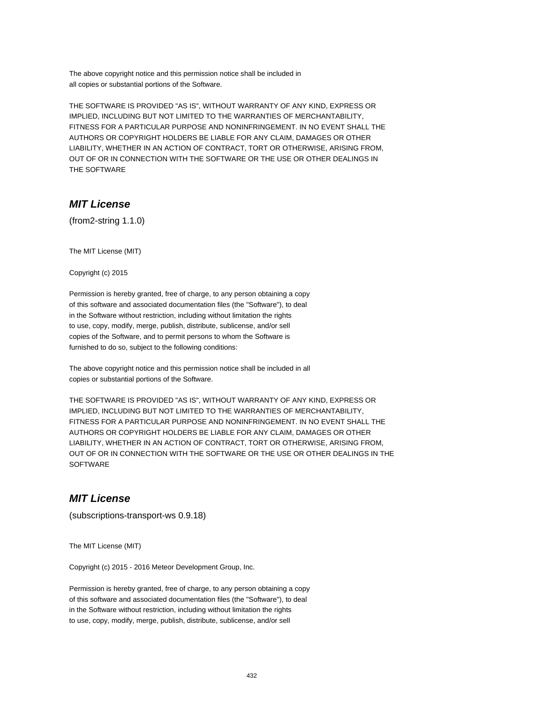The above copyright notice and this permission notice shall be included in all copies or substantial portions of the Software.

THE SOFTWARE IS PROVIDED "AS IS", WITHOUT WARRANTY OF ANY KIND, EXPRESS OR IMPLIED, INCLUDING BUT NOT LIMITED TO THE WARRANTIES OF MERCHANTABILITY, FITNESS FOR A PARTICULAR PURPOSE AND NONINFRINGEMENT. IN NO EVENT SHALL THE AUTHORS OR COPYRIGHT HOLDERS BE LIABLE FOR ANY CLAIM, DAMAGES OR OTHER LIABILITY, WHETHER IN AN ACTION OF CONTRACT, TORT OR OTHERWISE, ARISING FROM, OUT OF OR IN CONNECTION WITH THE SOFTWARE OR THE USE OR OTHER DEALINGS IN THE SOFTWARE

# **MIT License**

(from2-string 1.1.0)

The MIT License (MIT)

Copyright (c) 2015

Permission is hereby granted, free of charge, to any person obtaining a copy of this software and associated documentation files (the "Software"), to deal in the Software without restriction, including without limitation the rights to use, copy, modify, merge, publish, distribute, sublicense, and/or sell copies of the Software, and to permit persons to whom the Software is furnished to do so, subject to the following conditions:

The above copyright notice and this permission notice shall be included in all copies or substantial portions of the Software.

THE SOFTWARE IS PROVIDED "AS IS", WITHOUT WARRANTY OF ANY KIND, EXPRESS OR IMPLIED, INCLUDING BUT NOT LIMITED TO THE WARRANTIES OF MERCHANTABILITY, FITNESS FOR A PARTICULAR PURPOSE AND NONINFRINGEMENT. IN NO EVENT SHALL THE AUTHORS OR COPYRIGHT HOLDERS BE LIABLE FOR ANY CLAIM, DAMAGES OR OTHER LIABILITY, WHETHER IN AN ACTION OF CONTRACT, TORT OR OTHERWISE, ARISING FROM, OUT OF OR IN CONNECTION WITH THE SOFTWARE OR THE USE OR OTHER DEALINGS IN THE **SOFTWARE** 

## **MIT License**

(subscriptions-transport-ws 0.9.18)

The MIT License (MIT)

Copyright (c) 2015 - 2016 Meteor Development Group, Inc.

Permission is hereby granted, free of charge, to any person obtaining a copy of this software and associated documentation files (the "Software"), to deal in the Software without restriction, including without limitation the rights to use, copy, modify, merge, publish, distribute, sublicense, and/or sell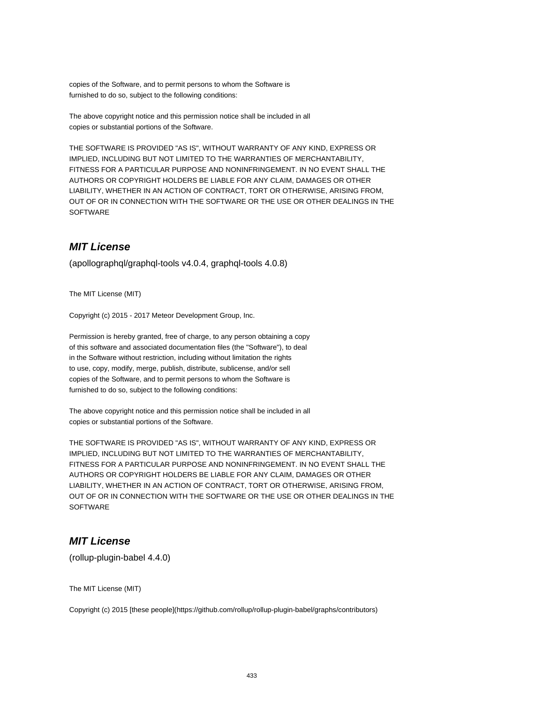copies of the Software, and to permit persons to whom the Software is furnished to do so, subject to the following conditions:

The above copyright notice and this permission notice shall be included in all copies or substantial portions of the Software.

THE SOFTWARE IS PROVIDED "AS IS", WITHOUT WARRANTY OF ANY KIND, EXPRESS OR IMPLIED, INCLUDING BUT NOT LIMITED TO THE WARRANTIES OF MERCHANTABILITY, FITNESS FOR A PARTICULAR PURPOSE AND NONINFRINGEMENT. IN NO EVENT SHALL THE AUTHORS OR COPYRIGHT HOLDERS BE LIABLE FOR ANY CLAIM, DAMAGES OR OTHER LIABILITY, WHETHER IN AN ACTION OF CONTRACT, TORT OR OTHERWISE, ARISING FROM, OUT OF OR IN CONNECTION WITH THE SOFTWARE OR THE USE OR OTHER DEALINGS IN THE **SOFTWARE** 

## **MIT License**

(apollographql/graphql-tools v4.0.4, graphql-tools 4.0.8)

The MIT License (MIT)

Copyright (c) 2015 - 2017 Meteor Development Group, Inc.

Permission is hereby granted, free of charge, to any person obtaining a copy of this software and associated documentation files (the "Software"), to deal in the Software without restriction, including without limitation the rights to use, copy, modify, merge, publish, distribute, sublicense, and/or sell copies of the Software, and to permit persons to whom the Software is furnished to do so, subject to the following conditions:

The above copyright notice and this permission notice shall be included in all copies or substantial portions of the Software.

THE SOFTWARE IS PROVIDED "AS IS", WITHOUT WARRANTY OF ANY KIND, EXPRESS OR IMPLIED, INCLUDING BUT NOT LIMITED TO THE WARRANTIES OF MERCHANTABILITY, FITNESS FOR A PARTICULAR PURPOSE AND NONINFRINGEMENT. IN NO EVENT SHALL THE AUTHORS OR COPYRIGHT HOLDERS BE LIABLE FOR ANY CLAIM, DAMAGES OR OTHER LIABILITY, WHETHER IN AN ACTION OF CONTRACT, TORT OR OTHERWISE, ARISING FROM, OUT OF OR IN CONNECTION WITH THE SOFTWARE OR THE USE OR OTHER DEALINGS IN THE **SOFTWARE** 

#### **MIT License**

(rollup-plugin-babel 4.4.0)

The MIT License (MIT)

Copyright (c) 2015 [these people](https://github.com/rollup/rollup-plugin-babel/graphs/contributors)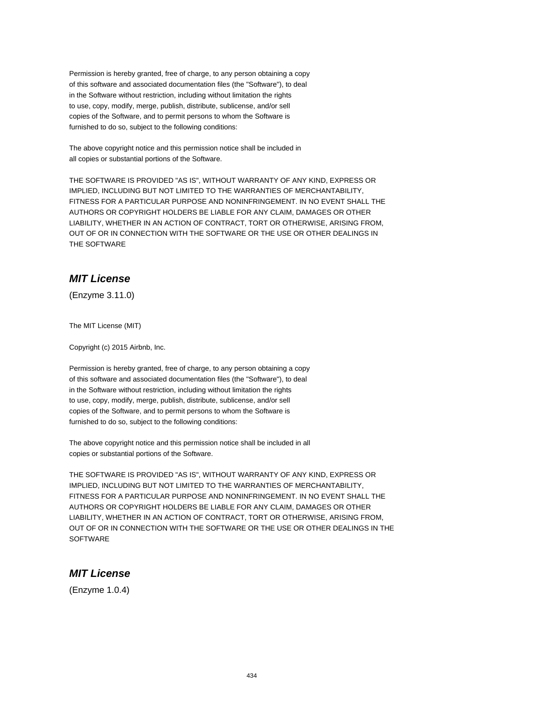Permission is hereby granted, free of charge, to any person obtaining a copy of this software and associated documentation files (the "Software"), to deal in the Software without restriction, including without limitation the rights to use, copy, modify, merge, publish, distribute, sublicense, and/or sell copies of the Software, and to permit persons to whom the Software is furnished to do so, subject to the following conditions:

The above copyright notice and this permission notice shall be included in all copies or substantial portions of the Software.

THE SOFTWARE IS PROVIDED "AS IS", WITHOUT WARRANTY OF ANY KIND, EXPRESS OR IMPLIED, INCLUDING BUT NOT LIMITED TO THE WARRANTIES OF MERCHANTABILITY, FITNESS FOR A PARTICULAR PURPOSE AND NONINFRINGEMENT. IN NO EVENT SHALL THE AUTHORS OR COPYRIGHT HOLDERS BE LIABLE FOR ANY CLAIM, DAMAGES OR OTHER LIABILITY, WHETHER IN AN ACTION OF CONTRACT, TORT OR OTHERWISE, ARISING FROM, OUT OF OR IN CONNECTION WITH THE SOFTWARE OR THE USE OR OTHER DEALINGS IN THE SOFTWARE

## **MIT License**

(Enzyme 3.11.0)

The MIT License (MIT)

Copyright (c) 2015 Airbnb, Inc.

Permission is hereby granted, free of charge, to any person obtaining a copy of this software and associated documentation files (the "Software"), to deal in the Software without restriction, including without limitation the rights to use, copy, modify, merge, publish, distribute, sublicense, and/or sell copies of the Software, and to permit persons to whom the Software is furnished to do so, subject to the following conditions:

The above copyright notice and this permission notice shall be included in all copies or substantial portions of the Software.

THE SOFTWARE IS PROVIDED "AS IS", WITHOUT WARRANTY OF ANY KIND, EXPRESS OR IMPLIED, INCLUDING BUT NOT LIMITED TO THE WARRANTIES OF MERCHANTABILITY, FITNESS FOR A PARTICULAR PURPOSE AND NONINFRINGEMENT. IN NO EVENT SHALL THE AUTHORS OR COPYRIGHT HOLDERS BE LIABLE FOR ANY CLAIM, DAMAGES OR OTHER LIABILITY, WHETHER IN AN ACTION OF CONTRACT, TORT OR OTHERWISE, ARISING FROM, OUT OF OR IN CONNECTION WITH THE SOFTWARE OR THE USE OR OTHER DEALINGS IN THE **SOFTWARE** 

## **MIT License**

(Enzyme 1.0.4)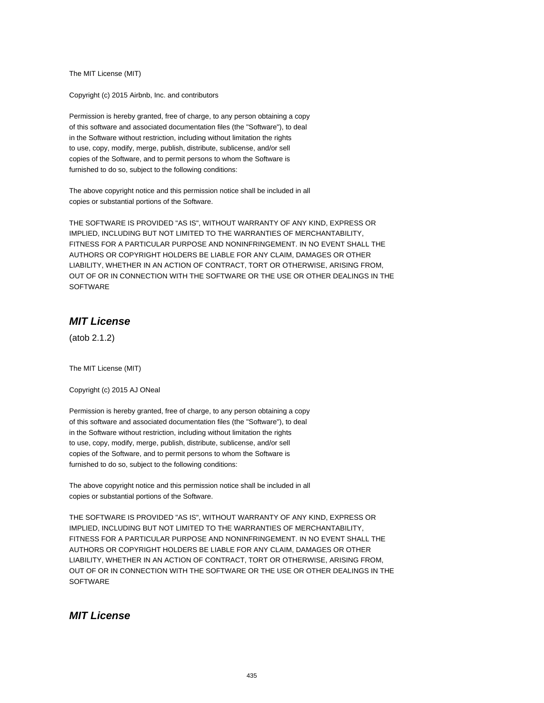The MIT License (MIT)

Copyright (c) 2015 Airbnb, Inc. and contributors

Permission is hereby granted, free of charge, to any person obtaining a copy of this software and associated documentation files (the "Software"), to deal in the Software without restriction, including without limitation the rights to use, copy, modify, merge, publish, distribute, sublicense, and/or sell copies of the Software, and to permit persons to whom the Software is furnished to do so, subject to the following conditions:

The above copyright notice and this permission notice shall be included in all copies or substantial portions of the Software.

THE SOFTWARE IS PROVIDED "AS IS", WITHOUT WARRANTY OF ANY KIND, EXPRESS OR IMPLIED, INCLUDING BUT NOT LIMITED TO THE WARRANTIES OF MERCHANTABILITY, FITNESS FOR A PARTICULAR PURPOSE AND NONINFRINGEMENT. IN NO EVENT SHALL THE AUTHORS OR COPYRIGHT HOLDERS BE LIABLE FOR ANY CLAIM, DAMAGES OR OTHER LIABILITY, WHETHER IN AN ACTION OF CONTRACT, TORT OR OTHERWISE, ARISING FROM, OUT OF OR IN CONNECTION WITH THE SOFTWARE OR THE USE OR OTHER DEALINGS IN THE **SOFTWARE** 

#### **MIT License**

(atob 2.1.2)

The MIT License (MIT)

Copyright (c) 2015 AJ ONeal

Permission is hereby granted, free of charge, to any person obtaining a copy of this software and associated documentation files (the "Software"), to deal in the Software without restriction, including without limitation the rights to use, copy, modify, merge, publish, distribute, sublicense, and/or sell copies of the Software, and to permit persons to whom the Software is furnished to do so, subject to the following conditions:

The above copyright notice and this permission notice shall be included in all copies or substantial portions of the Software.

THE SOFTWARE IS PROVIDED "AS IS", WITHOUT WARRANTY OF ANY KIND, EXPRESS OR IMPLIED, INCLUDING BUT NOT LIMITED TO THE WARRANTIES OF MERCHANTABILITY, FITNESS FOR A PARTICULAR PURPOSE AND NONINFRINGEMENT. IN NO EVENT SHALL THE AUTHORS OR COPYRIGHT HOLDERS BE LIABLE FOR ANY CLAIM, DAMAGES OR OTHER LIABILITY, WHETHER IN AN ACTION OF CONTRACT, TORT OR OTHERWISE, ARISING FROM, OUT OF OR IN CONNECTION WITH THE SOFTWARE OR THE USE OR OTHER DEALINGS IN THE **SOFTWARE** 

#### **MIT License**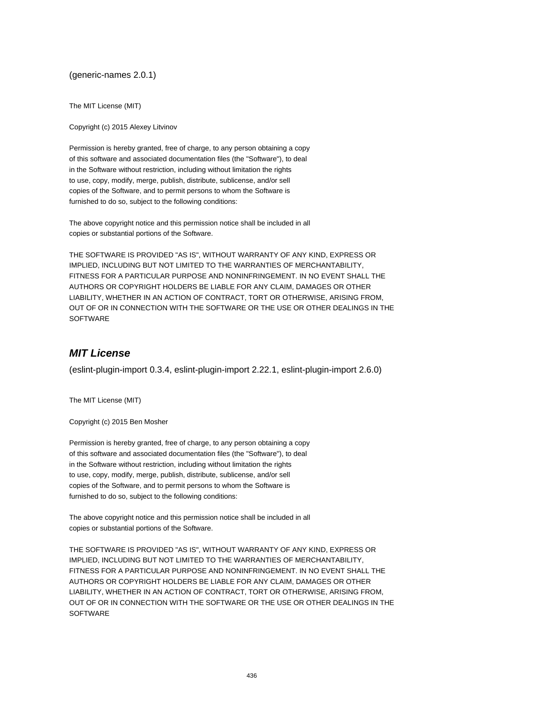(generic-names 2.0.1)

The MIT License (MIT)

Copyright (c) 2015 Alexey Litvinov

Permission is hereby granted, free of charge, to any person obtaining a copy of this software and associated documentation files (the "Software"), to deal in the Software without restriction, including without limitation the rights to use, copy, modify, merge, publish, distribute, sublicense, and/or sell copies of the Software, and to permit persons to whom the Software is furnished to do so, subject to the following conditions:

The above copyright notice and this permission notice shall be included in all copies or substantial portions of the Software.

THE SOFTWARE IS PROVIDED "AS IS", WITHOUT WARRANTY OF ANY KIND, EXPRESS OR IMPLIED, INCLUDING BUT NOT LIMITED TO THE WARRANTIES OF MERCHANTABILITY, FITNESS FOR A PARTICULAR PURPOSE AND NONINFRINGEMENT. IN NO EVENT SHALL THE AUTHORS OR COPYRIGHT HOLDERS BE LIABLE FOR ANY CLAIM, DAMAGES OR OTHER LIABILITY, WHETHER IN AN ACTION OF CONTRACT, TORT OR OTHERWISE, ARISING FROM, OUT OF OR IN CONNECTION WITH THE SOFTWARE OR THE USE OR OTHER DEALINGS IN THE SOFTWARE

#### **MIT License**

(eslint-plugin-import 0.3.4, eslint-plugin-import 2.22.1, eslint-plugin-import 2.6.0)

The MIT License (MIT)

Copyright (c) 2015 Ben Mosher

Permission is hereby granted, free of charge, to any person obtaining a copy of this software and associated documentation files (the "Software"), to deal in the Software without restriction, including without limitation the rights to use, copy, modify, merge, publish, distribute, sublicense, and/or sell copies of the Software, and to permit persons to whom the Software is furnished to do so, subject to the following conditions:

The above copyright notice and this permission notice shall be included in all copies or substantial portions of the Software.

THE SOFTWARE IS PROVIDED "AS IS", WITHOUT WARRANTY OF ANY KIND, EXPRESS OR IMPLIED, INCLUDING BUT NOT LIMITED TO THE WARRANTIES OF MERCHANTABILITY, FITNESS FOR A PARTICULAR PURPOSE AND NONINFRINGEMENT. IN NO EVENT SHALL THE AUTHORS OR COPYRIGHT HOLDERS BE LIABLE FOR ANY CLAIM, DAMAGES OR OTHER LIABILITY, WHETHER IN AN ACTION OF CONTRACT, TORT OR OTHERWISE, ARISING FROM, OUT OF OR IN CONNECTION WITH THE SOFTWARE OR THE USE OR OTHER DEALINGS IN THE **SOFTWARE**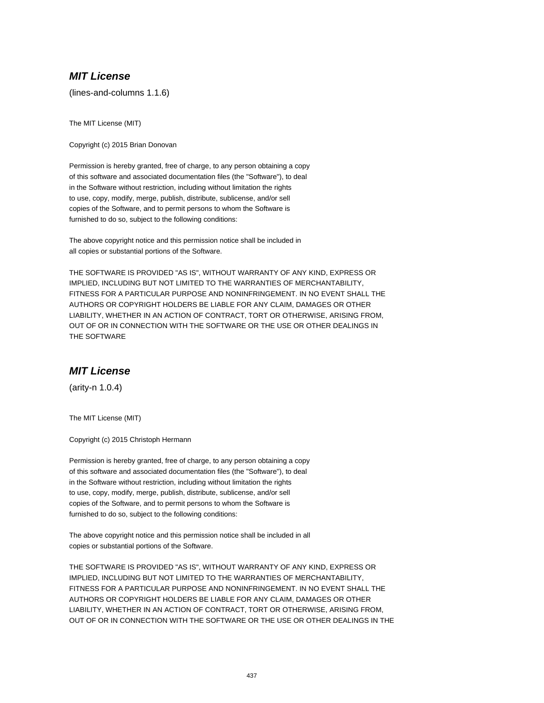## **MIT License**

(lines-and-columns 1.1.6)

The MIT License (MIT)

Copyright (c) 2015 Brian Donovan

Permission is hereby granted, free of charge, to any person obtaining a copy of this software and associated documentation files (the "Software"), to deal in the Software without restriction, including without limitation the rights to use, copy, modify, merge, publish, distribute, sublicense, and/or sell copies of the Software, and to permit persons to whom the Software is furnished to do so, subject to the following conditions:

The above copyright notice and this permission notice shall be included in all copies or substantial portions of the Software.

THE SOFTWARE IS PROVIDED "AS IS", WITHOUT WARRANTY OF ANY KIND, EXPRESS OR IMPLIED, INCLUDING BUT NOT LIMITED TO THE WARRANTIES OF MERCHANTABILITY, FITNESS FOR A PARTICULAR PURPOSE AND NONINFRINGEMENT. IN NO EVENT SHALL THE AUTHORS OR COPYRIGHT HOLDERS BE LIABLE FOR ANY CLAIM, DAMAGES OR OTHER LIABILITY, WHETHER IN AN ACTION OF CONTRACT, TORT OR OTHERWISE, ARISING FROM, OUT OF OR IN CONNECTION WITH THE SOFTWARE OR THE USE OR OTHER DEALINGS IN THE SOFTWARE

#### **MIT License**

(arity-n 1.0.4)

The MIT License (MIT)

Copyright (c) 2015 Christoph Hermann

Permission is hereby granted, free of charge, to any person obtaining a copy of this software and associated documentation files (the "Software"), to deal in the Software without restriction, including without limitation the rights to use, copy, modify, merge, publish, distribute, sublicense, and/or sell copies of the Software, and to permit persons to whom the Software is furnished to do so, subject to the following conditions:

The above copyright notice and this permission notice shall be included in all copies or substantial portions of the Software.

THE SOFTWARE IS PROVIDED "AS IS", WITHOUT WARRANTY OF ANY KIND, EXPRESS OR IMPLIED, INCLUDING BUT NOT LIMITED TO THE WARRANTIES OF MERCHANTABILITY, FITNESS FOR A PARTICULAR PURPOSE AND NONINFRINGEMENT. IN NO EVENT SHALL THE AUTHORS OR COPYRIGHT HOLDERS BE LIABLE FOR ANY CLAIM, DAMAGES OR OTHER LIABILITY, WHETHER IN AN ACTION OF CONTRACT, TORT OR OTHERWISE, ARISING FROM, OUT OF OR IN CONNECTION WITH THE SOFTWARE OR THE USE OR OTHER DEALINGS IN THE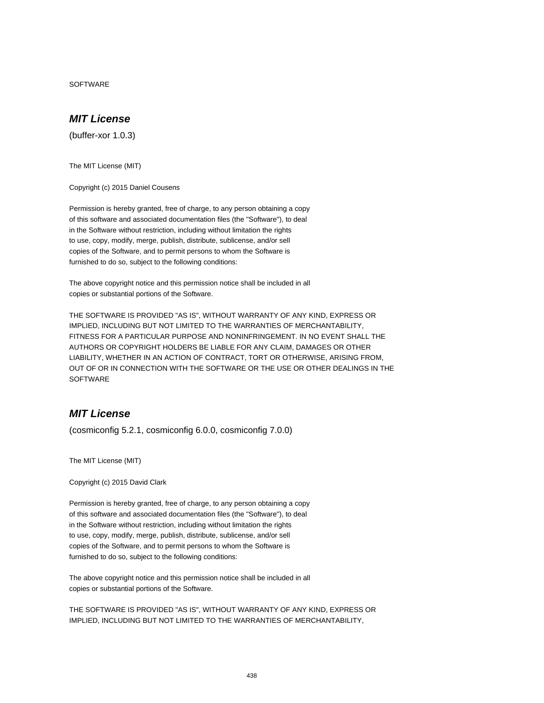SOFTWARE

## **MIT License**

(buffer-xor 1.0.3)

The MIT License (MIT)

Copyright (c) 2015 Daniel Cousens

Permission is hereby granted, free of charge, to any person obtaining a copy of this software and associated documentation files (the "Software"), to deal in the Software without restriction, including without limitation the rights to use, copy, modify, merge, publish, distribute, sublicense, and/or sell copies of the Software, and to permit persons to whom the Software is furnished to do so, subject to the following conditions:

The above copyright notice and this permission notice shall be included in all copies or substantial portions of the Software.

THE SOFTWARE IS PROVIDED "AS IS", WITHOUT WARRANTY OF ANY KIND, EXPRESS OR IMPLIED, INCLUDING BUT NOT LIMITED TO THE WARRANTIES OF MERCHANTABILITY, FITNESS FOR A PARTICULAR PURPOSE AND NONINFRINGEMENT. IN NO EVENT SHALL THE AUTHORS OR COPYRIGHT HOLDERS BE LIABLE FOR ANY CLAIM, DAMAGES OR OTHER LIABILITY, WHETHER IN AN ACTION OF CONTRACT, TORT OR OTHERWISE, ARISING FROM, OUT OF OR IN CONNECTION WITH THE SOFTWARE OR THE USE OR OTHER DEALINGS IN THE **SOFTWARE** 

### **MIT License**

(cosmiconfig 5.2.1, cosmiconfig 6.0.0, cosmiconfig 7.0.0)

The MIT License (MIT)

Copyright (c) 2015 David Clark

Permission is hereby granted, free of charge, to any person obtaining a copy of this software and associated documentation files (the "Software"), to deal in the Software without restriction, including without limitation the rights to use, copy, modify, merge, publish, distribute, sublicense, and/or sell copies of the Software, and to permit persons to whom the Software is furnished to do so, subject to the following conditions:

The above copyright notice and this permission notice shall be included in all copies or substantial portions of the Software.

THE SOFTWARE IS PROVIDED "AS IS", WITHOUT WARRANTY OF ANY KIND, EXPRESS OR IMPLIED, INCLUDING BUT NOT LIMITED TO THE WARRANTIES OF MERCHANTABILITY,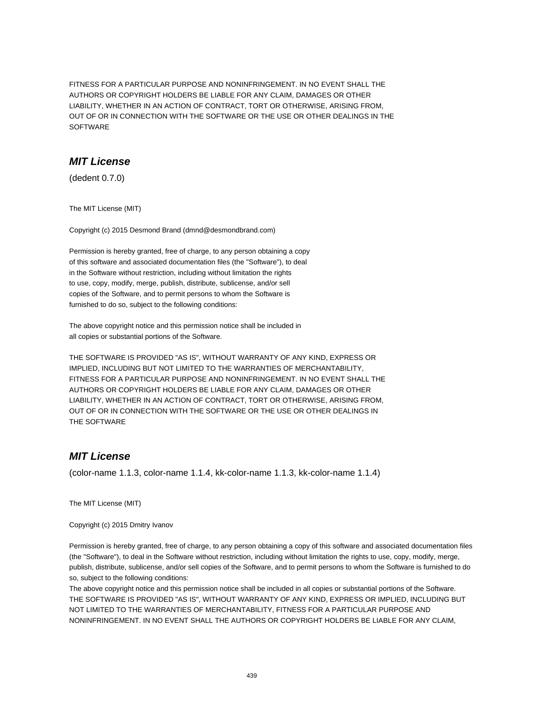FITNESS FOR A PARTICULAR PURPOSE AND NONINFRINGEMENT. IN NO EVENT SHALL THE AUTHORS OR COPYRIGHT HOLDERS BE LIABLE FOR ANY CLAIM, DAMAGES OR OTHER LIABILITY, WHETHER IN AN ACTION OF CONTRACT, TORT OR OTHERWISE, ARISING FROM, OUT OF OR IN CONNECTION WITH THE SOFTWARE OR THE USE OR OTHER DEALINGS IN THE SOFTWARE

#### **MIT License**

(dedent 0.7.0)

The MIT License (MIT)

Copyright (c) 2015 Desmond Brand (dmnd@desmondbrand.com)

Permission is hereby granted, free of charge, to any person obtaining a copy of this software and associated documentation files (the "Software"), to deal in the Software without restriction, including without limitation the rights to use, copy, modify, merge, publish, distribute, sublicense, and/or sell copies of the Software, and to permit persons to whom the Software is furnished to do so, subject to the following conditions:

The above copyright notice and this permission notice shall be included in all copies or substantial portions of the Software.

THE SOFTWARE IS PROVIDED "AS IS", WITHOUT WARRANTY OF ANY KIND, EXPRESS OR IMPLIED, INCLUDING BUT NOT LIMITED TO THE WARRANTIES OF MERCHANTABILITY, FITNESS FOR A PARTICULAR PURPOSE AND NONINFRINGEMENT. IN NO EVENT SHALL THE AUTHORS OR COPYRIGHT HOLDERS BE LIABLE FOR ANY CLAIM, DAMAGES OR OTHER LIABILITY, WHETHER IN AN ACTION OF CONTRACT, TORT OR OTHERWISE, ARISING FROM, OUT OF OR IN CONNECTION WITH THE SOFTWARE OR THE USE OR OTHER DEALINGS IN THE SOFTWARE

## **MIT License**

(color-name 1.1.3, color-name 1.1.4, kk-color-name 1.1.3, kk-color-name 1.1.4)

The MIT License (MIT)

Copyright (c) 2015 Dmitry Ivanov

Permission is hereby granted, free of charge, to any person obtaining a copy of this software and associated documentation files (the "Software"), to deal in the Software without restriction, including without limitation the rights to use, copy, modify, merge, publish, distribute, sublicense, and/or sell copies of the Software, and to permit persons to whom the Software is furnished to do so, subject to the following conditions:

The above copyright notice and this permission notice shall be included in all copies or substantial portions of the Software. THE SOFTWARE IS PROVIDED "AS IS", WITHOUT WARRANTY OF ANY KIND, EXPRESS OR IMPLIED, INCLUDING BUT NOT LIMITED TO THE WARRANTIES OF MERCHANTABILITY, FITNESS FOR A PARTICULAR PURPOSE AND NONINFRINGEMENT. IN NO EVENT SHALL THE AUTHORS OR COPYRIGHT HOLDERS BE LIABLE FOR ANY CLAIM,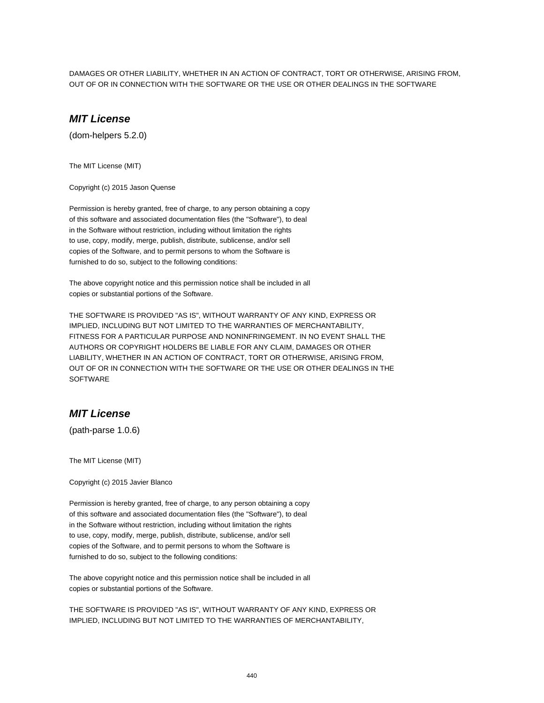DAMAGES OR OTHER LIABILITY, WHETHER IN AN ACTION OF CONTRACT, TORT OR OTHERWISE, ARISING FROM, OUT OF OR IN CONNECTION WITH THE SOFTWARE OR THE USE OR OTHER DEALINGS IN THE SOFTWARE

## **MIT License**

(dom-helpers 5.2.0)

The MIT License (MIT)

Copyright (c) 2015 Jason Quense

Permission is hereby granted, free of charge, to any person obtaining a copy of this software and associated documentation files (the "Software"), to deal in the Software without restriction, including without limitation the rights to use, copy, modify, merge, publish, distribute, sublicense, and/or sell copies of the Software, and to permit persons to whom the Software is furnished to do so, subject to the following conditions:

The above copyright notice and this permission notice shall be included in all copies or substantial portions of the Software.

THE SOFTWARE IS PROVIDED "AS IS", WITHOUT WARRANTY OF ANY KIND, EXPRESS OR IMPLIED, INCLUDING BUT NOT LIMITED TO THE WARRANTIES OF MERCHANTABILITY, FITNESS FOR A PARTICULAR PURPOSE AND NONINFRINGEMENT. IN NO EVENT SHALL THE AUTHORS OR COPYRIGHT HOLDERS BE LIABLE FOR ANY CLAIM, DAMAGES OR OTHER LIABILITY, WHETHER IN AN ACTION OF CONTRACT, TORT OR OTHERWISE, ARISING FROM, OUT OF OR IN CONNECTION WITH THE SOFTWARE OR THE USE OR OTHER DEALINGS IN THE **SOFTWARE** 

### **MIT License**

(path-parse 1.0.6)

The MIT License (MIT)

Copyright (c) 2015 Javier Blanco

Permission is hereby granted, free of charge, to any person obtaining a copy of this software and associated documentation files (the "Software"), to deal in the Software without restriction, including without limitation the rights to use, copy, modify, merge, publish, distribute, sublicense, and/or sell copies of the Software, and to permit persons to whom the Software is furnished to do so, subject to the following conditions:

The above copyright notice and this permission notice shall be included in all copies or substantial portions of the Software.

THE SOFTWARE IS PROVIDED "AS IS", WITHOUT WARRANTY OF ANY KIND, EXPRESS OR IMPLIED, INCLUDING BUT NOT LIMITED TO THE WARRANTIES OF MERCHANTABILITY,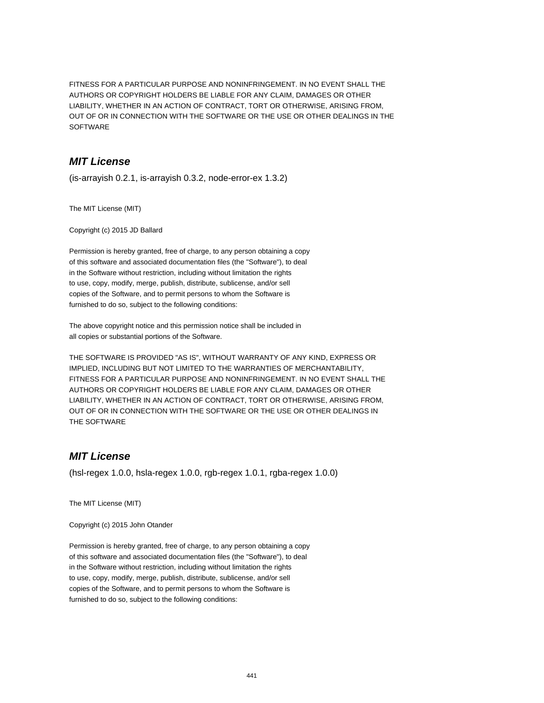FITNESS FOR A PARTICULAR PURPOSE AND NONINFRINGEMENT. IN NO EVENT SHALL THE AUTHORS OR COPYRIGHT HOLDERS BE LIABLE FOR ANY CLAIM, DAMAGES OR OTHER LIABILITY, WHETHER IN AN ACTION OF CONTRACT, TORT OR OTHERWISE, ARISING FROM, OUT OF OR IN CONNECTION WITH THE SOFTWARE OR THE USE OR OTHER DEALINGS IN THE **SOFTWARE** 

# **MIT License**

(is-arrayish 0.2.1, is-arrayish 0.3.2, node-error-ex 1.3.2)

The MIT License (MIT)

Copyright (c) 2015 JD Ballard

Permission is hereby granted, free of charge, to any person obtaining a copy of this software and associated documentation files (the "Software"), to deal in the Software without restriction, including without limitation the rights to use, copy, modify, merge, publish, distribute, sublicense, and/or sell copies of the Software, and to permit persons to whom the Software is furnished to do so, subject to the following conditions:

The above copyright notice and this permission notice shall be included in all copies or substantial portions of the Software.

THE SOFTWARE IS PROVIDED "AS IS", WITHOUT WARRANTY OF ANY KIND, EXPRESS OR IMPLIED, INCLUDING BUT NOT LIMITED TO THE WARRANTIES OF MERCHANTABILITY, FITNESS FOR A PARTICULAR PURPOSE AND NONINFRINGEMENT. IN NO EVENT SHALL THE AUTHORS OR COPYRIGHT HOLDERS BE LIABLE FOR ANY CLAIM, DAMAGES OR OTHER LIABILITY, WHETHER IN AN ACTION OF CONTRACT, TORT OR OTHERWISE, ARISING FROM, OUT OF OR IN CONNECTION WITH THE SOFTWARE OR THE USE OR OTHER DEALINGS IN THE SOFTWARE

# **MIT License**

(hsl-regex 1.0.0, hsla-regex 1.0.0, rgb-regex 1.0.1, rgba-regex 1.0.0)

The MIT License (MIT)

Copyright (c) 2015 John Otander

Permission is hereby granted, free of charge, to any person obtaining a copy of this software and associated documentation files (the "Software"), to deal in the Software without restriction, including without limitation the rights to use, copy, modify, merge, publish, distribute, sublicense, and/or sell copies of the Software, and to permit persons to whom the Software is furnished to do so, subject to the following conditions: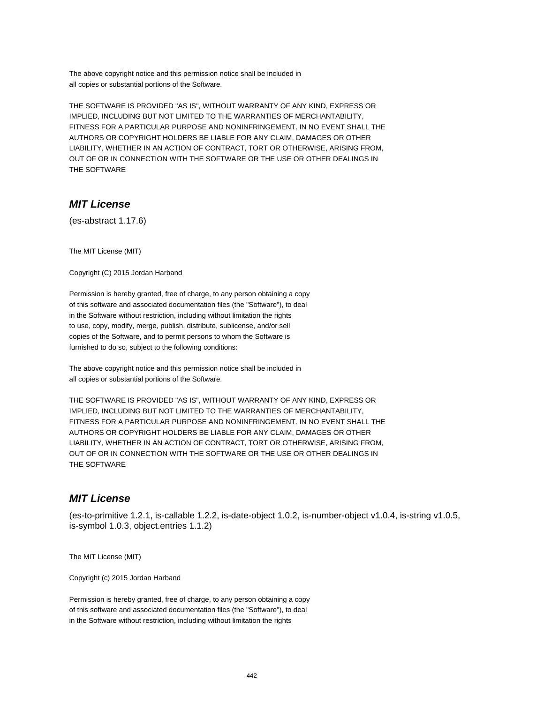The above copyright notice and this permission notice shall be included in all copies or substantial portions of the Software.

THE SOFTWARE IS PROVIDED "AS IS", WITHOUT WARRANTY OF ANY KIND, EXPRESS OR IMPLIED, INCLUDING BUT NOT LIMITED TO THE WARRANTIES OF MERCHANTABILITY, FITNESS FOR A PARTICULAR PURPOSE AND NONINFRINGEMENT. IN NO EVENT SHALL THE AUTHORS OR COPYRIGHT HOLDERS BE LIABLE FOR ANY CLAIM, DAMAGES OR OTHER LIABILITY, WHETHER IN AN ACTION OF CONTRACT, TORT OR OTHERWISE, ARISING FROM, OUT OF OR IN CONNECTION WITH THE SOFTWARE OR THE USE OR OTHER DEALINGS IN THE SOFTWARE

## **MIT License**

(es-abstract 1.17.6)

The MIT License (MIT)

Copyright (C) 2015 Jordan Harband

Permission is hereby granted, free of charge, to any person obtaining a copy of this software and associated documentation files (the "Software"), to deal in the Software without restriction, including without limitation the rights to use, copy, modify, merge, publish, distribute, sublicense, and/or sell copies of the Software, and to permit persons to whom the Software is furnished to do so, subject to the following conditions:

The above copyright notice and this permission notice shall be included in all copies or substantial portions of the Software.

THE SOFTWARE IS PROVIDED "AS IS", WITHOUT WARRANTY OF ANY KIND, EXPRESS OR IMPLIED, INCLUDING BUT NOT LIMITED TO THE WARRANTIES OF MERCHANTABILITY, FITNESS FOR A PARTICULAR PURPOSE AND NONINFRINGEMENT. IN NO EVENT SHALL THE AUTHORS OR COPYRIGHT HOLDERS BE LIABLE FOR ANY CLAIM, DAMAGES OR OTHER LIABILITY, WHETHER IN AN ACTION OF CONTRACT, TORT OR OTHERWISE, ARISING FROM, OUT OF OR IN CONNECTION WITH THE SOFTWARE OR THE USE OR OTHER DEALINGS IN THE SOFTWARE

#### **MIT License**

(es-to-primitive 1.2.1, is-callable 1.2.2, is-date-object 1.0.2, is-number-object v1.0.4, is-string v1.0.5, is-symbol 1.0.3, object.entries 1.1.2)

The MIT License (MIT)

Copyright (c) 2015 Jordan Harband

Permission is hereby granted, free of charge, to any person obtaining a copy of this software and associated documentation files (the "Software"), to deal in the Software without restriction, including without limitation the rights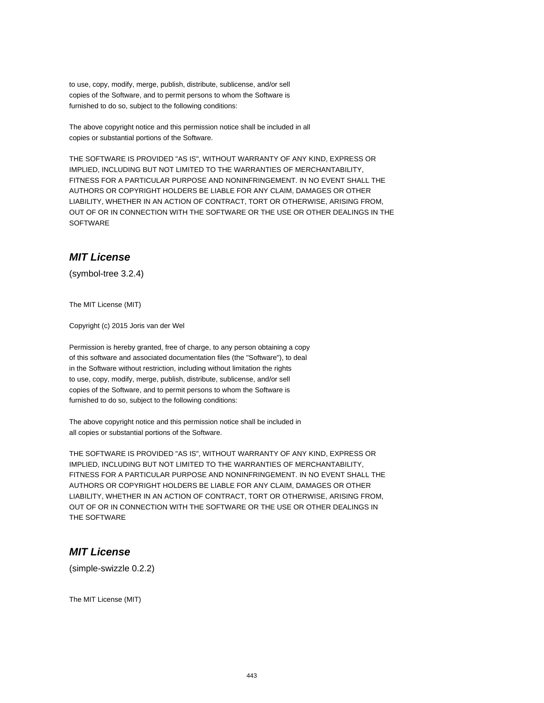to use, copy, modify, merge, publish, distribute, sublicense, and/or sell copies of the Software, and to permit persons to whom the Software is furnished to do so, subject to the following conditions:

The above copyright notice and this permission notice shall be included in all copies or substantial portions of the Software.

THE SOFTWARE IS PROVIDED "AS IS", WITHOUT WARRANTY OF ANY KIND, EXPRESS OR IMPLIED, INCLUDING BUT NOT LIMITED TO THE WARRANTIES OF MERCHANTABILITY, FITNESS FOR A PARTICULAR PURPOSE AND NONINFRINGEMENT. IN NO EVENT SHALL THE AUTHORS OR COPYRIGHT HOLDERS BE LIABLE FOR ANY CLAIM, DAMAGES OR OTHER LIABILITY, WHETHER IN AN ACTION OF CONTRACT, TORT OR OTHERWISE, ARISING FROM, OUT OF OR IN CONNECTION WITH THE SOFTWARE OR THE USE OR OTHER DEALINGS IN THE **SOFTWARE** 

#### **MIT License**

(symbol-tree 3.2.4)

The MIT License (MIT)

Copyright (c) 2015 Joris van der Wel

Permission is hereby granted, free of charge, to any person obtaining a copy of this software and associated documentation files (the "Software"), to deal in the Software without restriction, including without limitation the rights to use, copy, modify, merge, publish, distribute, sublicense, and/or sell copies of the Software, and to permit persons to whom the Software is furnished to do so, subject to the following conditions:

The above copyright notice and this permission notice shall be included in all copies or substantial portions of the Software.

THE SOFTWARE IS PROVIDED "AS IS", WITHOUT WARRANTY OF ANY KIND, EXPRESS OR IMPLIED, INCLUDING BUT NOT LIMITED TO THE WARRANTIES OF MERCHANTABILITY, FITNESS FOR A PARTICULAR PURPOSE AND NONINFRINGEMENT. IN NO EVENT SHALL THE AUTHORS OR COPYRIGHT HOLDERS BE LIABLE FOR ANY CLAIM, DAMAGES OR OTHER LIABILITY, WHETHER IN AN ACTION OF CONTRACT, TORT OR OTHERWISE, ARISING FROM, OUT OF OR IN CONNECTION WITH THE SOFTWARE OR THE USE OR OTHER DEALINGS IN THE SOFTWARE

#### **MIT License**

(simple-swizzle 0.2.2)

The MIT License (MIT)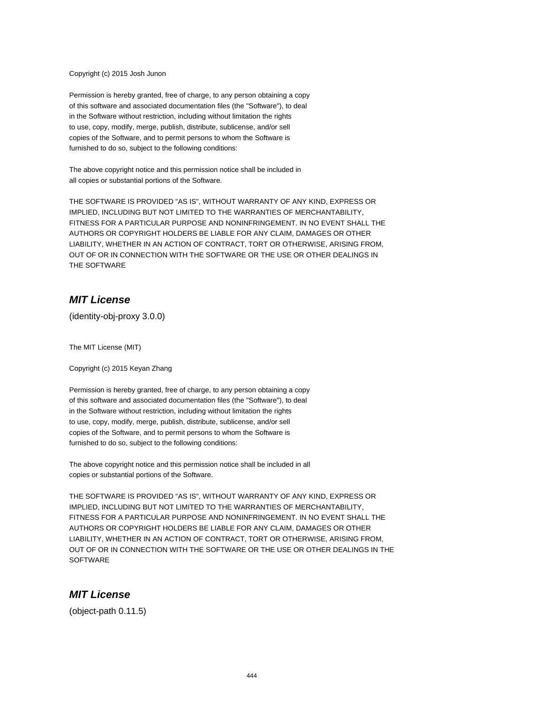Copyright (c) 2015 Josh Junon

Permission is hereby granted, free of charge, to any person obtaining a copy of this software and associated documentation files (the "Software"), to deal in the Software without restriction, including without limitation the rights to use, copy, modify, merge, publish, distribute, sublicense, and/or sell copies of the Software, and to permit persons to whom the Software is furnished to do so, subject to the following conditions:

The above copyright notice and this permission notice shall be included in all copies or substantial portions of the Software.

THE SOFTWARE IS PROVIDED "AS IS", WITHOUT WARRANTY OF ANY KIND, EXPRESS OR IMPLIED, INCLUDING BUT NOT LIMITED TO THE WARRANTIES OF MERCHANTABILITY, FITNESS FOR A PARTICULAR PURPOSE AND NONINFRINGEMENT. IN NO EVENT SHALL THE AUTHORS OR COPYRIGHT HOLDERS BE LIABLE FOR ANY CLAIM, DAMAGES OR OTHER LIABILITY, WHETHER IN AN ACTION OF CONTRACT, TORT OR OTHERWISE, ARISING FROM, OUT OF OR IN CONNECTION WITH THE SOFTWARE OR THE USE OR OTHER DEALINGS IN THE SOFTWARE

## **MIT License**

(identity-obj-proxy 3.0.0)

The MIT License (MIT)

Copyright (c) 2015 Keyan Zhang

Permission is hereby granted, free of charge, to any person obtaining a copy of this software and associated documentation files (the "Software"), to deal in the Software without restriction, including without limitation the rights to use, copy, modify, merge, publish, distribute, sublicense, and/or sell copies of the Software, and to permit persons to whom the Software is furnished to do so, subject to the following conditions:

The above copyright notice and this permission notice shall be included in all copies or substantial portions of the Software.

THE SOFTWARE IS PROVIDED "AS IS", WITHOUT WARRANTY OF ANY KIND, EXPRESS OR IMPLIED, INCLUDING BUT NOT LIMITED TO THE WARRANTIES OF MERCHANTABILITY, FITNESS FOR A PARTICULAR PURPOSE AND NONINFRINGEMENT. IN NO EVENT SHALL THE AUTHORS OR COPYRIGHT HOLDERS BE LIABLE FOR ANY CLAIM, DAMAGES OR OTHER LIABILITY, WHETHER IN AN ACTION OF CONTRACT, TORT OR OTHERWISE, ARISING FROM, OUT OF OR IN CONNECTION WITH THE SOFTWARE OR THE USE OR OTHER DEALINGS IN THE **SOFTWARE** 

## **MIT License**

(object-path 0.11.5)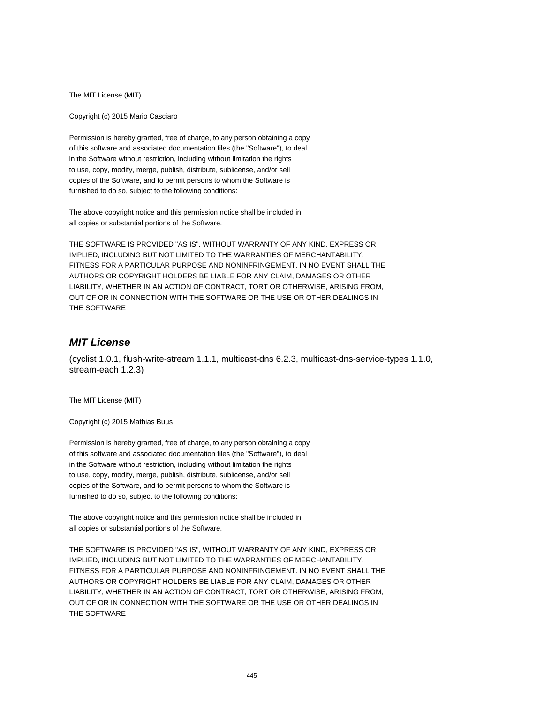The MIT License (MIT)

Copyright (c) 2015 Mario Casciaro

Permission is hereby granted, free of charge, to any person obtaining a copy of this software and associated documentation files (the "Software"), to deal in the Software without restriction, including without limitation the rights to use, copy, modify, merge, publish, distribute, sublicense, and/or sell copies of the Software, and to permit persons to whom the Software is furnished to do so, subject to the following conditions:

The above copyright notice and this permission notice shall be included in all copies or substantial portions of the Software.

THE SOFTWARE IS PROVIDED "AS IS", WITHOUT WARRANTY OF ANY KIND, EXPRESS OR IMPLIED, INCLUDING BUT NOT LIMITED TO THE WARRANTIES OF MERCHANTABILITY, FITNESS FOR A PARTICULAR PURPOSE AND NONINFRINGEMENT. IN NO EVENT SHALL THE AUTHORS OR COPYRIGHT HOLDERS BE LIABLE FOR ANY CLAIM, DAMAGES OR OTHER LIABILITY, WHETHER IN AN ACTION OF CONTRACT, TORT OR OTHERWISE, ARISING FROM, OUT OF OR IN CONNECTION WITH THE SOFTWARE OR THE USE OR OTHER DEALINGS IN THE SOFTWARE

# **MIT License**

(cyclist 1.0.1, flush-write-stream 1.1.1, multicast-dns 6.2.3, multicast-dns-service-types 1.1.0, stream-each 1.2.3)

The MIT License (MIT)

Copyright (c) 2015 Mathias Buus

Permission is hereby granted, free of charge, to any person obtaining a copy of this software and associated documentation files (the "Software"), to deal in the Software without restriction, including without limitation the rights to use, copy, modify, merge, publish, distribute, sublicense, and/or sell copies of the Software, and to permit persons to whom the Software is furnished to do so, subject to the following conditions:

The above copyright notice and this permission notice shall be included in all copies or substantial portions of the Software.

THE SOFTWARE IS PROVIDED "AS IS", WITHOUT WARRANTY OF ANY KIND, EXPRESS OR IMPLIED, INCLUDING BUT NOT LIMITED TO THE WARRANTIES OF MERCHANTABILITY, FITNESS FOR A PARTICULAR PURPOSE AND NONINFRINGEMENT. IN NO EVENT SHALL THE AUTHORS OR COPYRIGHT HOLDERS BE LIABLE FOR ANY CLAIM, DAMAGES OR OTHER LIABILITY, WHETHER IN AN ACTION OF CONTRACT, TORT OR OTHERWISE, ARISING FROM, OUT OF OR IN CONNECTION WITH THE SOFTWARE OR THE USE OR OTHER DEALINGS IN THE SOFTWARE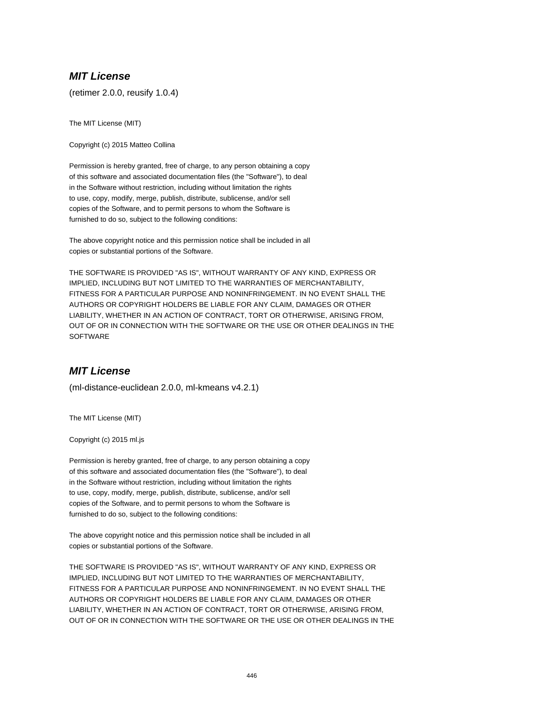## **MIT License**

(retimer 2.0.0, reusify 1.0.4)

The MIT License (MIT)

Copyright (c) 2015 Matteo Collina

Permission is hereby granted, free of charge, to any person obtaining a copy of this software and associated documentation files (the "Software"), to deal in the Software without restriction, including without limitation the rights to use, copy, modify, merge, publish, distribute, sublicense, and/or sell copies of the Software, and to permit persons to whom the Software is furnished to do so, subject to the following conditions:

The above copyright notice and this permission notice shall be included in all copies or substantial portions of the Software.

THE SOFTWARE IS PROVIDED "AS IS", WITHOUT WARRANTY OF ANY KIND, EXPRESS OR IMPLIED, INCLUDING BUT NOT LIMITED TO THE WARRANTIES OF MERCHANTABILITY, FITNESS FOR A PARTICULAR PURPOSE AND NONINFRINGEMENT. IN NO EVENT SHALL THE AUTHORS OR COPYRIGHT HOLDERS BE LIABLE FOR ANY CLAIM, DAMAGES OR OTHER LIABILITY, WHETHER IN AN ACTION OF CONTRACT, TORT OR OTHERWISE, ARISING FROM, OUT OF OR IN CONNECTION WITH THE SOFTWARE OR THE USE OR OTHER DEALINGS IN THE **SOFTWARE** 

#### **MIT License**

(ml-distance-euclidean 2.0.0, ml-kmeans v4.2.1)

The MIT License (MIT)

Copyright (c) 2015 ml.js

Permission is hereby granted, free of charge, to any person obtaining a copy of this software and associated documentation files (the "Software"), to deal in the Software without restriction, including without limitation the rights to use, copy, modify, merge, publish, distribute, sublicense, and/or sell copies of the Software, and to permit persons to whom the Software is furnished to do so, subject to the following conditions:

The above copyright notice and this permission notice shall be included in all copies or substantial portions of the Software.

THE SOFTWARE IS PROVIDED "AS IS", WITHOUT WARRANTY OF ANY KIND, EXPRESS OR IMPLIED, INCLUDING BUT NOT LIMITED TO THE WARRANTIES OF MERCHANTABILITY, FITNESS FOR A PARTICULAR PURPOSE AND NONINFRINGEMENT. IN NO EVENT SHALL THE AUTHORS OR COPYRIGHT HOLDERS BE LIABLE FOR ANY CLAIM, DAMAGES OR OTHER LIABILITY, WHETHER IN AN ACTION OF CONTRACT, TORT OR OTHERWISE, ARISING FROM, OUT OF OR IN CONNECTION WITH THE SOFTWARE OR THE USE OR OTHER DEALINGS IN THE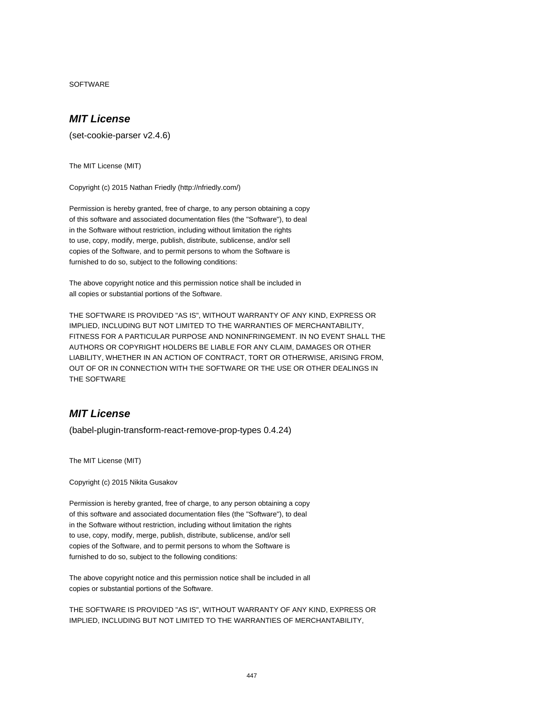SOFTWARE

#### **MIT License**

(set-cookie-parser v2.4.6)

The MIT License (MIT)

Copyright (c) 2015 Nathan Friedly (http://nfriedly.com/)

Permission is hereby granted, free of charge, to any person obtaining a copy of this software and associated documentation files (the "Software"), to deal in the Software without restriction, including without limitation the rights to use, copy, modify, merge, publish, distribute, sublicense, and/or sell copies of the Software, and to permit persons to whom the Software is furnished to do so, subject to the following conditions:

The above copyright notice and this permission notice shall be included in all copies or substantial portions of the Software.

THE SOFTWARE IS PROVIDED "AS IS", WITHOUT WARRANTY OF ANY KIND, EXPRESS OR IMPLIED, INCLUDING BUT NOT LIMITED TO THE WARRANTIES OF MERCHANTABILITY, FITNESS FOR A PARTICULAR PURPOSE AND NONINFRINGEMENT. IN NO EVENT SHALL THE AUTHORS OR COPYRIGHT HOLDERS BE LIABLE FOR ANY CLAIM, DAMAGES OR OTHER LIABILITY, WHETHER IN AN ACTION OF CONTRACT, TORT OR OTHERWISE, ARISING FROM, OUT OF OR IN CONNECTION WITH THE SOFTWARE OR THE USE OR OTHER DEALINGS IN THE SOFTWARE

# **MIT License**

(babel-plugin-transform-react-remove-prop-types 0.4.24)

The MIT License (MIT)

Copyright (c) 2015 Nikita Gusakov

Permission is hereby granted, free of charge, to any person obtaining a copy of this software and associated documentation files (the "Software"), to deal in the Software without restriction, including without limitation the rights to use, copy, modify, merge, publish, distribute, sublicense, and/or sell copies of the Software, and to permit persons to whom the Software is furnished to do so, subject to the following conditions:

The above copyright notice and this permission notice shall be included in all copies or substantial portions of the Software.

THE SOFTWARE IS PROVIDED "AS IS", WITHOUT WARRANTY OF ANY KIND, EXPRESS OR IMPLIED, INCLUDING BUT NOT LIMITED TO THE WARRANTIES OF MERCHANTABILITY,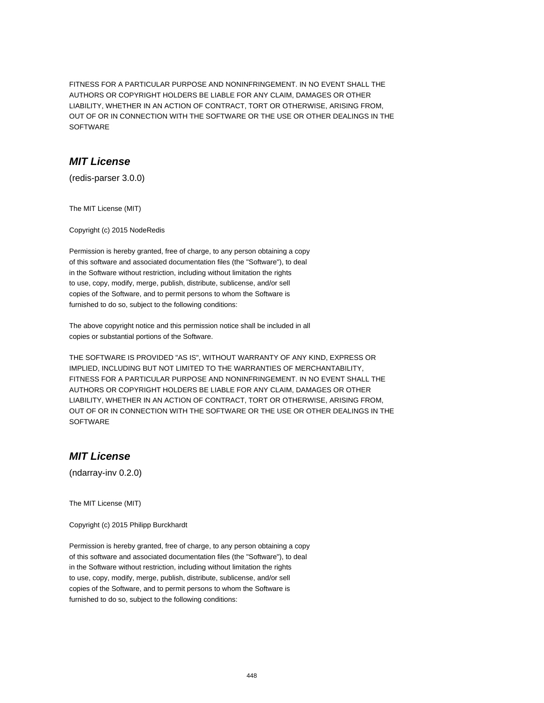FITNESS FOR A PARTICULAR PURPOSE AND NONINFRINGEMENT. IN NO EVENT SHALL THE AUTHORS OR COPYRIGHT HOLDERS BE LIABLE FOR ANY CLAIM, DAMAGES OR OTHER LIABILITY, WHETHER IN AN ACTION OF CONTRACT, TORT OR OTHERWISE, ARISING FROM, OUT OF OR IN CONNECTION WITH THE SOFTWARE OR THE USE OR OTHER DEALINGS IN THE SOFTWARE

## **MIT License**

(redis-parser 3.0.0)

The MIT License (MIT)

Copyright (c) 2015 NodeRedis

Permission is hereby granted, free of charge, to any person obtaining a copy of this software and associated documentation files (the "Software"), to deal in the Software without restriction, including without limitation the rights to use, copy, modify, merge, publish, distribute, sublicense, and/or sell copies of the Software, and to permit persons to whom the Software is furnished to do so, subject to the following conditions:

The above copyright notice and this permission notice shall be included in all copies or substantial portions of the Software.

THE SOFTWARE IS PROVIDED "AS IS", WITHOUT WARRANTY OF ANY KIND, EXPRESS OR IMPLIED, INCLUDING BUT NOT LIMITED TO THE WARRANTIES OF MERCHANTABILITY, FITNESS FOR A PARTICULAR PURPOSE AND NONINFRINGEMENT. IN NO EVENT SHALL THE AUTHORS OR COPYRIGHT HOLDERS BE LIABLE FOR ANY CLAIM, DAMAGES OR OTHER LIABILITY, WHETHER IN AN ACTION OF CONTRACT, TORT OR OTHERWISE, ARISING FROM, OUT OF OR IN CONNECTION WITH THE SOFTWARE OR THE USE OR OTHER DEALINGS IN THE **SOFTWARE** 

# **MIT License**

(ndarray-inv 0.2.0)

The MIT License (MIT)

Copyright (c) 2015 Philipp Burckhardt

Permission is hereby granted, free of charge, to any person obtaining a copy of this software and associated documentation files (the "Software"), to deal in the Software without restriction, including without limitation the rights to use, copy, modify, merge, publish, distribute, sublicense, and/or sell copies of the Software, and to permit persons to whom the Software is furnished to do so, subject to the following conditions: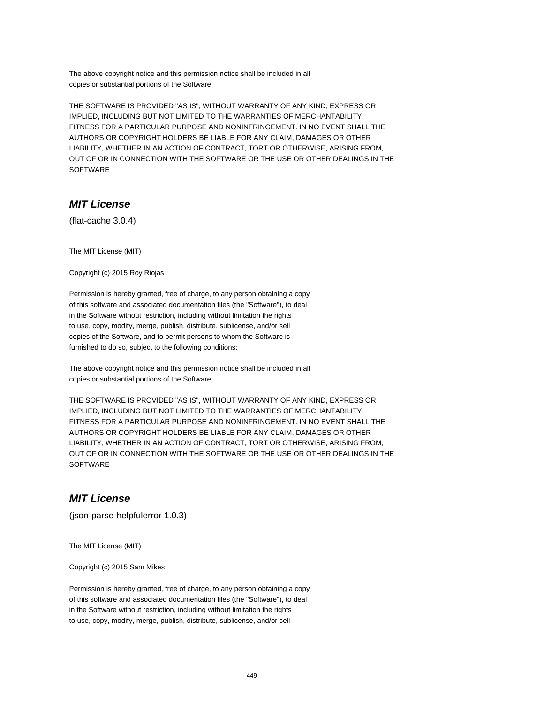The above copyright notice and this permission notice shall be included in all copies or substantial portions of the Software.

THE SOFTWARE IS PROVIDED "AS IS", WITHOUT WARRANTY OF ANY KIND, EXPRESS OR IMPLIED, INCLUDING BUT NOT LIMITED TO THE WARRANTIES OF MERCHANTABILITY, FITNESS FOR A PARTICULAR PURPOSE AND NONINFRINGEMENT. IN NO EVENT SHALL THE AUTHORS OR COPYRIGHT HOLDERS BE LIABLE FOR ANY CLAIM, DAMAGES OR OTHER LIABILITY, WHETHER IN AN ACTION OF CONTRACT, TORT OR OTHERWISE, ARISING FROM, OUT OF OR IN CONNECTION WITH THE SOFTWARE OR THE USE OR OTHER DEALINGS IN THE SOFTWARE

## **MIT License**

(flat-cache 3.0.4)

The MIT License (MIT)

Copyright (c) 2015 Roy Riojas

Permission is hereby granted, free of charge, to any person obtaining a copy of this software and associated documentation files (the "Software"), to deal in the Software without restriction, including without limitation the rights to use, copy, modify, merge, publish, distribute, sublicense, and/or sell copies of the Software, and to permit persons to whom the Software is furnished to do so, subject to the following conditions:

The above copyright notice and this permission notice shall be included in all copies or substantial portions of the Software.

THE SOFTWARE IS PROVIDED "AS IS", WITHOUT WARRANTY OF ANY KIND, EXPRESS OR IMPLIED, INCLUDING BUT NOT LIMITED TO THE WARRANTIES OF MERCHANTABILITY, FITNESS FOR A PARTICULAR PURPOSE AND NONINFRINGEMENT. IN NO EVENT SHALL THE AUTHORS OR COPYRIGHT HOLDERS BE LIABLE FOR ANY CLAIM, DAMAGES OR OTHER LIABILITY, WHETHER IN AN ACTION OF CONTRACT, TORT OR OTHERWISE, ARISING FROM, OUT OF OR IN CONNECTION WITH THE SOFTWARE OR THE USE OR OTHER DEALINGS IN THE **SOFTWARE** 

#### **MIT License**

(json-parse-helpfulerror 1.0.3)

The MIT License (MIT)

Copyright (c) 2015 Sam Mikes

Permission is hereby granted, free of charge, to any person obtaining a copy of this software and associated documentation files (the "Software"), to deal in the Software without restriction, including without limitation the rights to use, copy, modify, merge, publish, distribute, sublicense, and/or sell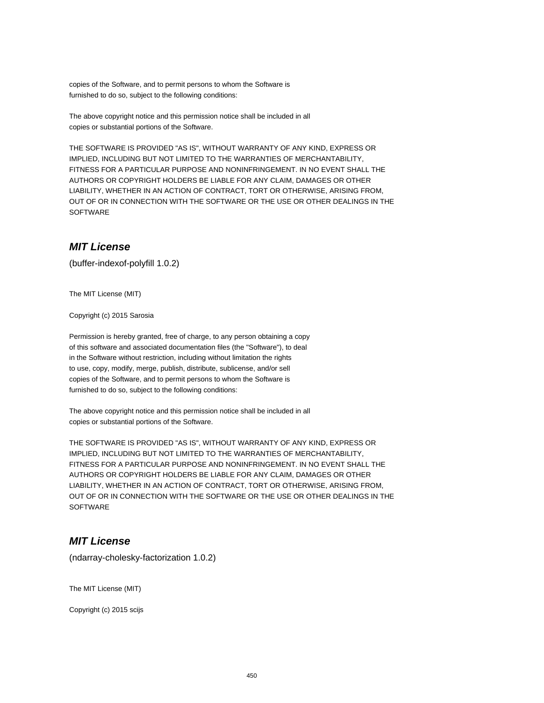copies of the Software, and to permit persons to whom the Software is furnished to do so, subject to the following conditions:

The above copyright notice and this permission notice shall be included in all copies or substantial portions of the Software.

THE SOFTWARE IS PROVIDED "AS IS", WITHOUT WARRANTY OF ANY KIND, EXPRESS OR IMPLIED, INCLUDING BUT NOT LIMITED TO THE WARRANTIES OF MERCHANTABILITY, FITNESS FOR A PARTICULAR PURPOSE AND NONINFRINGEMENT. IN NO EVENT SHALL THE AUTHORS OR COPYRIGHT HOLDERS BE LIABLE FOR ANY CLAIM, DAMAGES OR OTHER LIABILITY, WHETHER IN AN ACTION OF CONTRACT, TORT OR OTHERWISE, ARISING FROM, OUT OF OR IN CONNECTION WITH THE SOFTWARE OR THE USE OR OTHER DEALINGS IN THE **SOFTWARE** 

## **MIT License**

(buffer-indexof-polyfill 1.0.2)

The MIT License (MIT)

Copyright (c) 2015 Sarosia

Permission is hereby granted, free of charge, to any person obtaining a copy of this software and associated documentation files (the "Software"), to deal in the Software without restriction, including without limitation the rights to use, copy, modify, merge, publish, distribute, sublicense, and/or sell copies of the Software, and to permit persons to whom the Software is furnished to do so, subject to the following conditions:

The above copyright notice and this permission notice shall be included in all copies or substantial portions of the Software.

THE SOFTWARE IS PROVIDED "AS IS", WITHOUT WARRANTY OF ANY KIND, EXPRESS OR IMPLIED, INCLUDING BUT NOT LIMITED TO THE WARRANTIES OF MERCHANTABILITY, FITNESS FOR A PARTICULAR PURPOSE AND NONINFRINGEMENT. IN NO EVENT SHALL THE AUTHORS OR COPYRIGHT HOLDERS BE LIABLE FOR ANY CLAIM, DAMAGES OR OTHER LIABILITY, WHETHER IN AN ACTION OF CONTRACT, TORT OR OTHERWISE, ARISING FROM, OUT OF OR IN CONNECTION WITH THE SOFTWARE OR THE USE OR OTHER DEALINGS IN THE **SOFTWARE** 

#### **MIT License**

(ndarray-cholesky-factorization 1.0.2)

The MIT License (MIT)

Copyright (c) 2015 scijs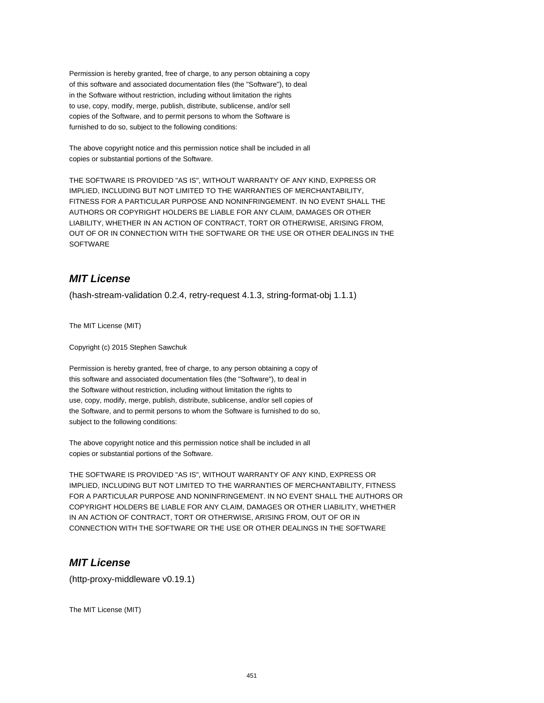Permission is hereby granted, free of charge, to any person obtaining a copy of this software and associated documentation files (the "Software"), to deal in the Software without restriction, including without limitation the rights to use, copy, modify, merge, publish, distribute, sublicense, and/or sell copies of the Software, and to permit persons to whom the Software is furnished to do so, subject to the following conditions:

The above copyright notice and this permission notice shall be included in all copies or substantial portions of the Software.

THE SOFTWARE IS PROVIDED "AS IS", WITHOUT WARRANTY OF ANY KIND, EXPRESS OR IMPLIED, INCLUDING BUT NOT LIMITED TO THE WARRANTIES OF MERCHANTABILITY, FITNESS FOR A PARTICULAR PURPOSE AND NONINFRINGEMENT. IN NO EVENT SHALL THE AUTHORS OR COPYRIGHT HOLDERS BE LIABLE FOR ANY CLAIM, DAMAGES OR OTHER LIABILITY, WHETHER IN AN ACTION OF CONTRACT, TORT OR OTHERWISE, ARISING FROM, OUT OF OR IN CONNECTION WITH THE SOFTWARE OR THE USE OR OTHER DEALINGS IN THE SOFTWARE

# **MIT License**

(hash-stream-validation 0.2.4, retry-request 4.1.3, string-format-obj 1.1.1)

The MIT License (MIT)

Copyright (c) 2015 Stephen Sawchuk

Permission is hereby granted, free of charge, to any person obtaining a copy of this software and associated documentation files (the "Software"), to deal in the Software without restriction, including without limitation the rights to use, copy, modify, merge, publish, distribute, sublicense, and/or sell copies of the Software, and to permit persons to whom the Software is furnished to do so, subject to the following conditions:

The above copyright notice and this permission notice shall be included in all copies or substantial portions of the Software.

THE SOFTWARE IS PROVIDED "AS IS", WITHOUT WARRANTY OF ANY KIND, EXPRESS OR IMPLIED, INCLUDING BUT NOT LIMITED TO THE WARRANTIES OF MERCHANTABILITY, FITNESS FOR A PARTICULAR PURPOSE AND NONINFRINGEMENT. IN NO EVENT SHALL THE AUTHORS OR COPYRIGHT HOLDERS BE LIABLE FOR ANY CLAIM, DAMAGES OR OTHER LIABILITY, WHETHER IN AN ACTION OF CONTRACT, TORT OR OTHERWISE, ARISING FROM, OUT OF OR IN CONNECTION WITH THE SOFTWARE OR THE USE OR OTHER DEALINGS IN THE SOFTWARE

#### **MIT License**

(http-proxy-middleware v0.19.1)

The MIT License (MIT)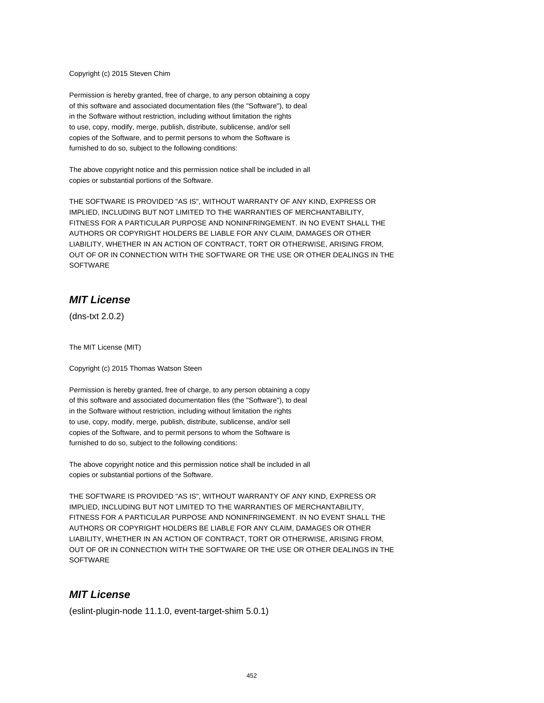#### Copyright (c) 2015 Steven Chim

Permission is hereby granted, free of charge, to any person obtaining a copy of this software and associated documentation files (the "Software"), to deal in the Software without restriction, including without limitation the rights to use, copy, modify, merge, publish, distribute, sublicense, and/or sell copies of the Software, and to permit persons to whom the Software is furnished to do so, subject to the following conditions:

The above copyright notice and this permission notice shall be included in all copies or substantial portions of the Software.

THE SOFTWARE IS PROVIDED "AS IS", WITHOUT WARRANTY OF ANY KIND, EXPRESS OR IMPLIED, INCLUDING BUT NOT LIMITED TO THE WARRANTIES OF MERCHANTABILITY, FITNESS FOR A PARTICULAR PURPOSE AND NONINFRINGEMENT. IN NO EVENT SHALL THE AUTHORS OR COPYRIGHT HOLDERS BE LIABLE FOR ANY CLAIM, DAMAGES OR OTHER LIABILITY, WHETHER IN AN ACTION OF CONTRACT, TORT OR OTHERWISE, ARISING FROM, OUT OF OR IN CONNECTION WITH THE SOFTWARE OR THE USE OR OTHER DEALINGS IN THE **SOFTWARE** 

#### **MIT License**

(dns-txt 2.0.2)

The MIT License (MIT)

Copyright (c) 2015 Thomas Watson Steen

Permission is hereby granted, free of charge, to any person obtaining a copy of this software and associated documentation files (the "Software"), to deal in the Software without restriction, including without limitation the rights to use, copy, modify, merge, publish, distribute, sublicense, and/or sell copies of the Software, and to permit persons to whom the Software is furnished to do so, subject to the following conditions:

The above copyright notice and this permission notice shall be included in all copies or substantial portions of the Software.

THE SOFTWARE IS PROVIDED "AS IS", WITHOUT WARRANTY OF ANY KIND, EXPRESS OR IMPLIED, INCLUDING BUT NOT LIMITED TO THE WARRANTIES OF MERCHANTABILITY, FITNESS FOR A PARTICULAR PURPOSE AND NONINFRINGEMENT. IN NO EVENT SHALL THE AUTHORS OR COPYRIGHT HOLDERS BE LIABLE FOR ANY CLAIM, DAMAGES OR OTHER LIABILITY, WHETHER IN AN ACTION OF CONTRACT, TORT OR OTHERWISE, ARISING FROM, OUT OF OR IN CONNECTION WITH THE SOFTWARE OR THE USE OR OTHER DEALINGS IN THE **SOFTWARE** 

#### **MIT License**

(eslint-plugin-node 11.1.0, event-target-shim 5.0.1)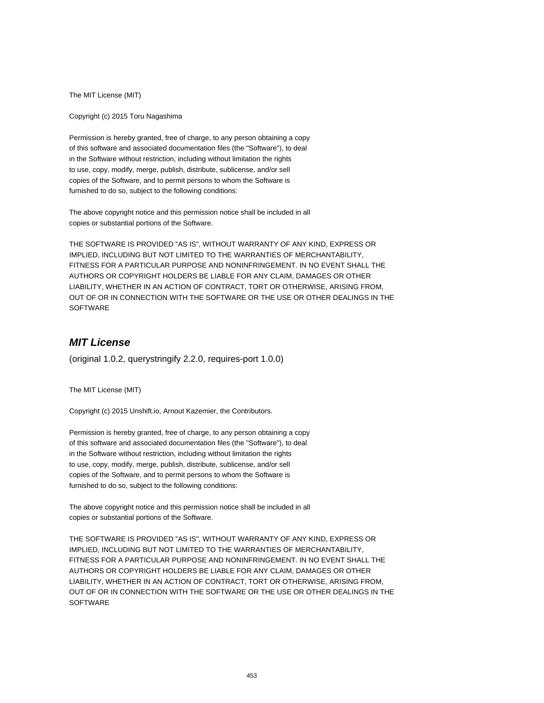The MIT License (MIT)

Copyright (c) 2015 Toru Nagashima

Permission is hereby granted, free of charge, to any person obtaining a copy of this software and associated documentation files (the "Software"), to deal in the Software without restriction, including without limitation the rights to use, copy, modify, merge, publish, distribute, sublicense, and/or sell copies of the Software, and to permit persons to whom the Software is furnished to do so, subject to the following conditions:

The above copyright notice and this permission notice shall be included in all copies or substantial portions of the Software.

THE SOFTWARE IS PROVIDED "AS IS", WITHOUT WARRANTY OF ANY KIND, EXPRESS OR IMPLIED, INCLUDING BUT NOT LIMITED TO THE WARRANTIES OF MERCHANTABILITY, FITNESS FOR A PARTICULAR PURPOSE AND NONINFRINGEMENT. IN NO EVENT SHALL THE AUTHORS OR COPYRIGHT HOLDERS BE LIABLE FOR ANY CLAIM, DAMAGES OR OTHER LIABILITY, WHETHER IN AN ACTION OF CONTRACT, TORT OR OTHERWISE, ARISING FROM, OUT OF OR IN CONNECTION WITH THE SOFTWARE OR THE USE OR OTHER DEALINGS IN THE SOFTWARE

# **MIT License**

(original 1.0.2, querystringify 2.2.0, requires-port 1.0.0)

The MIT License (MIT)

Copyright (c) 2015 Unshift.io, Arnout Kazemier, the Contributors.

Permission is hereby granted, free of charge, to any person obtaining a copy of this software and associated documentation files (the "Software"), to deal in the Software without restriction, including without limitation the rights to use, copy, modify, merge, publish, distribute, sublicense, and/or sell copies of the Software, and to permit persons to whom the Software is furnished to do so, subject to the following conditions:

The above copyright notice and this permission notice shall be included in all copies or substantial portions of the Software.

THE SOFTWARE IS PROVIDED "AS IS", WITHOUT WARRANTY OF ANY KIND, EXPRESS OR IMPLIED, INCLUDING BUT NOT LIMITED TO THE WARRANTIES OF MERCHANTABILITY, FITNESS FOR A PARTICULAR PURPOSE AND NONINFRINGEMENT. IN NO EVENT SHALL THE AUTHORS OR COPYRIGHT HOLDERS BE LIABLE FOR ANY CLAIM, DAMAGES OR OTHER LIABILITY, WHETHER IN AN ACTION OF CONTRACT, TORT OR OTHERWISE, ARISING FROM, OUT OF OR IN CONNECTION WITH THE SOFTWARE OR THE USE OR OTHER DEALINGS IN THE **SOFTWARE**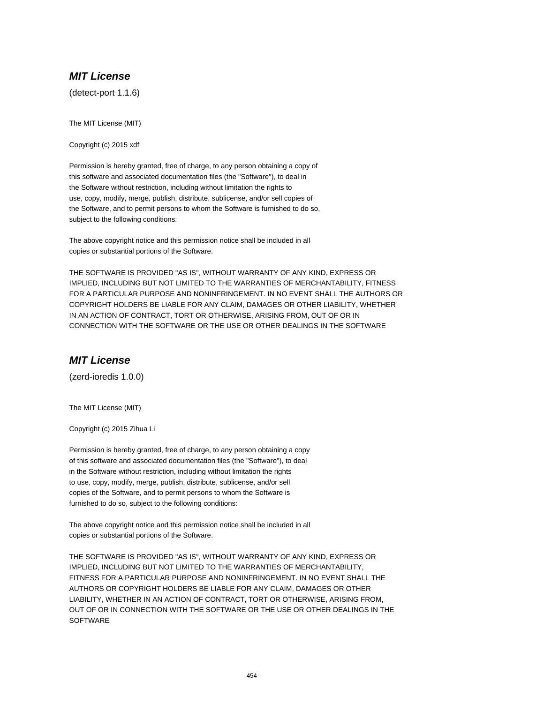#### **MIT License**

(detect-port 1.1.6)

The MIT License (MIT)

Copyright (c) 2015 xdf

Permission is hereby granted, free of charge, to any person obtaining a copy of this software and associated documentation files (the "Software"), to deal in the Software without restriction, including without limitation the rights to use, copy, modify, merge, publish, distribute, sublicense, and/or sell copies of the Software, and to permit persons to whom the Software is furnished to do so, subject to the following conditions:

The above copyright notice and this permission notice shall be included in all copies or substantial portions of the Software.

THE SOFTWARE IS PROVIDED "AS IS", WITHOUT WARRANTY OF ANY KIND, EXPRESS OR IMPLIED, INCLUDING BUT NOT LIMITED TO THE WARRANTIES OF MERCHANTABILITY, FITNESS FOR A PARTICULAR PURPOSE AND NONINFRINGEMENT. IN NO EVENT SHALL THE AUTHORS OR COPYRIGHT HOLDERS BE LIABLE FOR ANY CLAIM, DAMAGES OR OTHER LIABILITY, WHETHER IN AN ACTION OF CONTRACT, TORT OR OTHERWISE, ARISING FROM, OUT OF OR IN CONNECTION WITH THE SOFTWARE OR THE USE OR OTHER DEALINGS IN THE SOFTWARE

## **MIT License**

(zerd-ioredis 1.0.0)

The MIT License (MIT)

Copyright (c) 2015 Zihua Li

Permission is hereby granted, free of charge, to any person obtaining a copy of this software and associated documentation files (the "Software"), to deal in the Software without restriction, including without limitation the rights to use, copy, modify, merge, publish, distribute, sublicense, and/or sell copies of the Software, and to permit persons to whom the Software is furnished to do so, subject to the following conditions:

The above copyright notice and this permission notice shall be included in all copies or substantial portions of the Software.

THE SOFTWARE IS PROVIDED "AS IS", WITHOUT WARRANTY OF ANY KIND, EXPRESS OR IMPLIED, INCLUDING BUT NOT LIMITED TO THE WARRANTIES OF MERCHANTABILITY, FITNESS FOR A PARTICULAR PURPOSE AND NONINFRINGEMENT. IN NO EVENT SHALL THE AUTHORS OR COPYRIGHT HOLDERS BE LIABLE FOR ANY CLAIM, DAMAGES OR OTHER LIABILITY, WHETHER IN AN ACTION OF CONTRACT, TORT OR OTHERWISE, ARISING FROM, OUT OF OR IN CONNECTION WITH THE SOFTWARE OR THE USE OR OTHER DEALINGS IN THE **SOFTWARE**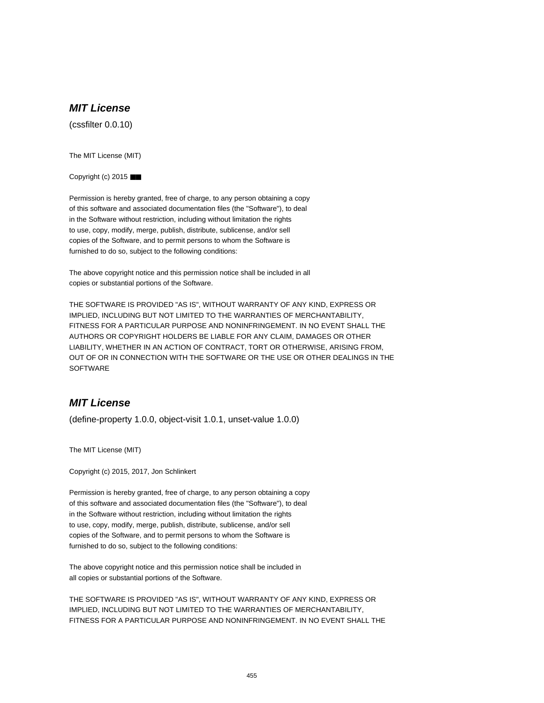# **MIT License**

(cssfilter 0.0.10)

The MIT License (MIT)

Copyright (c) 2015 ■■

Permission is hereby granted, free of charge, to any person obtaining a copy of this software and associated documentation files (the "Software"), to deal in the Software without restriction, including without limitation the rights to use, copy, modify, merge, publish, distribute, sublicense, and/or sell copies of the Software, and to permit persons to whom the Software is furnished to do so, subject to the following conditions:

The above copyright notice and this permission notice shall be included in all copies or substantial portions of the Software.

THE SOFTWARE IS PROVIDED "AS IS", WITHOUT WARRANTY OF ANY KIND, EXPRESS OR IMPLIED, INCLUDING BUT NOT LIMITED TO THE WARRANTIES OF MERCHANTABILITY, FITNESS FOR A PARTICULAR PURPOSE AND NONINFRINGEMENT. IN NO EVENT SHALL THE AUTHORS OR COPYRIGHT HOLDERS BE LIABLE FOR ANY CLAIM, DAMAGES OR OTHER LIABILITY, WHETHER IN AN ACTION OF CONTRACT, TORT OR OTHERWISE, ARISING FROM, OUT OF OR IN CONNECTION WITH THE SOFTWARE OR THE USE OR OTHER DEALINGS IN THE **SOFTWARE** 

## **MIT License**

(define-property 1.0.0, object-visit 1.0.1, unset-value 1.0.0)

The MIT License (MIT)

Copyright (c) 2015, 2017, Jon Schlinkert

Permission is hereby granted, free of charge, to any person obtaining a copy of this software and associated documentation files (the "Software"), to deal in the Software without restriction, including without limitation the rights to use, copy, modify, merge, publish, distribute, sublicense, and/or sell copies of the Software, and to permit persons to whom the Software is furnished to do so, subject to the following conditions:

The above copyright notice and this permission notice shall be included in all copies or substantial portions of the Software.

THE SOFTWARE IS PROVIDED "AS IS", WITHOUT WARRANTY OF ANY KIND, EXPRESS OR IMPLIED, INCLUDING BUT NOT LIMITED TO THE WARRANTIES OF MERCHANTABILITY, FITNESS FOR A PARTICULAR PURPOSE AND NONINFRINGEMENT. IN NO EVENT SHALL THE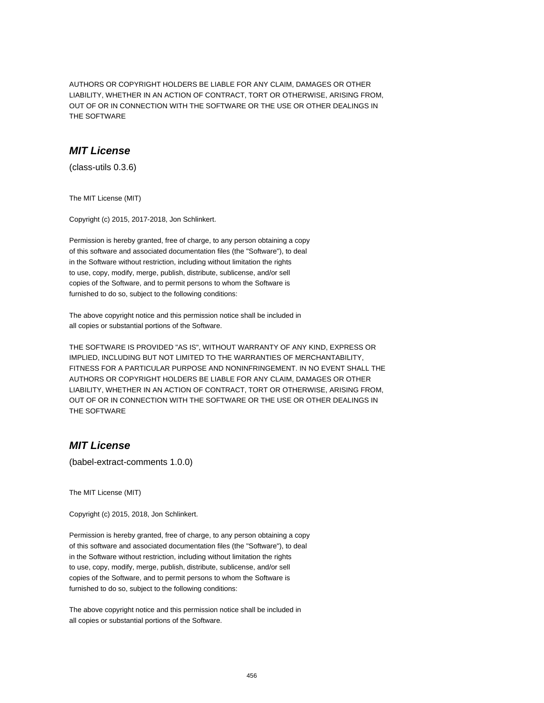AUTHORS OR COPYRIGHT HOLDERS BE LIABLE FOR ANY CLAIM, DAMAGES OR OTHER LIABILITY, WHETHER IN AN ACTION OF CONTRACT, TORT OR OTHERWISE, ARISING FROM, OUT OF OR IN CONNECTION WITH THE SOFTWARE OR THE USE OR OTHER DEALINGS IN THE SOFTWARE

## **MIT License**

(class-utils 0.3.6)

The MIT License (MIT)

Copyright (c) 2015, 2017-2018, Jon Schlinkert.

Permission is hereby granted, free of charge, to any person obtaining a copy of this software and associated documentation files (the "Software"), to deal in the Software without restriction, including without limitation the rights to use, copy, modify, merge, publish, distribute, sublicense, and/or sell copies of the Software, and to permit persons to whom the Software is furnished to do so, subject to the following conditions:

The above copyright notice and this permission notice shall be included in all copies or substantial portions of the Software.

THE SOFTWARE IS PROVIDED "AS IS", WITHOUT WARRANTY OF ANY KIND, EXPRESS OR IMPLIED, INCLUDING BUT NOT LIMITED TO THE WARRANTIES OF MERCHANTABILITY, FITNESS FOR A PARTICULAR PURPOSE AND NONINFRINGEMENT. IN NO EVENT SHALL THE AUTHORS OR COPYRIGHT HOLDERS BE LIABLE FOR ANY CLAIM, DAMAGES OR OTHER LIABILITY, WHETHER IN AN ACTION OF CONTRACT, TORT OR OTHERWISE, ARISING FROM, OUT OF OR IN CONNECTION WITH THE SOFTWARE OR THE USE OR OTHER DEALINGS IN THE SOFTWARE

### **MIT License**

(babel-extract-comments 1.0.0)

The MIT License (MIT)

Copyright (c) 2015, 2018, Jon Schlinkert.

Permission is hereby granted, free of charge, to any person obtaining a copy of this software and associated documentation files (the "Software"), to deal in the Software without restriction, including without limitation the rights to use, copy, modify, merge, publish, distribute, sublicense, and/or sell copies of the Software, and to permit persons to whom the Software is furnished to do so, subject to the following conditions:

The above copyright notice and this permission notice shall be included in all copies or substantial portions of the Software.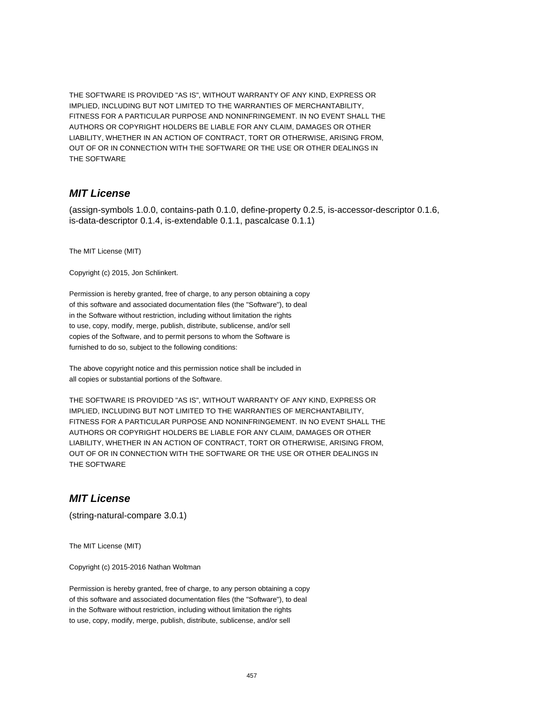THE SOFTWARE IS PROVIDED "AS IS", WITHOUT WARRANTY OF ANY KIND, EXPRESS OR IMPLIED, INCLUDING BUT NOT LIMITED TO THE WARRANTIES OF MERCHANTABILITY, FITNESS FOR A PARTICULAR PURPOSE AND NONINFRINGEMENT. IN NO EVENT SHALL THE AUTHORS OR COPYRIGHT HOLDERS BE LIABLE FOR ANY CLAIM, DAMAGES OR OTHER LIABILITY, WHETHER IN AN ACTION OF CONTRACT, TORT OR OTHERWISE, ARISING FROM, OUT OF OR IN CONNECTION WITH THE SOFTWARE OR THE USE OR OTHER DEALINGS IN THE SOFTWARE

#### **MIT License**

(assign-symbols 1.0.0, contains-path 0.1.0, define-property 0.2.5, is-accessor-descriptor 0.1.6, is-data-descriptor 0.1.4, is-extendable 0.1.1, pascalcase 0.1.1)

The MIT License (MIT)

Copyright (c) 2015, Jon Schlinkert.

Permission is hereby granted, free of charge, to any person obtaining a copy of this software and associated documentation files (the "Software"), to deal in the Software without restriction, including without limitation the rights to use, copy, modify, merge, publish, distribute, sublicense, and/or sell copies of the Software, and to permit persons to whom the Software is furnished to do so, subject to the following conditions:

The above copyright notice and this permission notice shall be included in all copies or substantial portions of the Software.

THE SOFTWARE IS PROVIDED "AS IS", WITHOUT WARRANTY OF ANY KIND, EXPRESS OR IMPLIED, INCLUDING BUT NOT LIMITED TO THE WARRANTIES OF MERCHANTABILITY, FITNESS FOR A PARTICULAR PURPOSE AND NONINFRINGEMENT. IN NO EVENT SHALL THE AUTHORS OR COPYRIGHT HOLDERS BE LIABLE FOR ANY CLAIM, DAMAGES OR OTHER LIABILITY, WHETHER IN AN ACTION OF CONTRACT, TORT OR OTHERWISE, ARISING FROM, OUT OF OR IN CONNECTION WITH THE SOFTWARE OR THE USE OR OTHER DEALINGS IN THE SOFTWARE

#### **MIT License**

(string-natural-compare 3.0.1)

The MIT License (MIT)

Copyright (c) 2015-2016 Nathan Woltman

Permission is hereby granted, free of charge, to any person obtaining a copy of this software and associated documentation files (the "Software"), to deal in the Software without restriction, including without limitation the rights to use, copy, modify, merge, publish, distribute, sublicense, and/or sell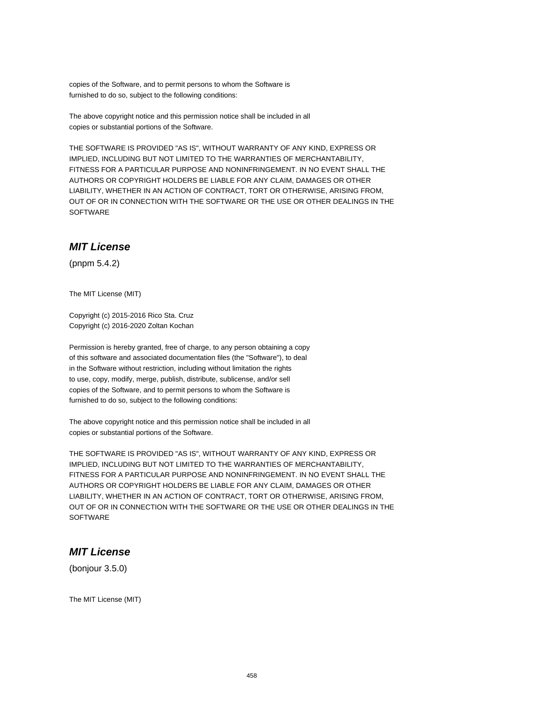copies of the Software, and to permit persons to whom the Software is furnished to do so, subject to the following conditions:

The above copyright notice and this permission notice shall be included in all copies or substantial portions of the Software.

THE SOFTWARE IS PROVIDED "AS IS", WITHOUT WARRANTY OF ANY KIND, EXPRESS OR IMPLIED, INCLUDING BUT NOT LIMITED TO THE WARRANTIES OF MERCHANTABILITY, FITNESS FOR A PARTICULAR PURPOSE AND NONINFRINGEMENT. IN NO EVENT SHALL THE AUTHORS OR COPYRIGHT HOLDERS BE LIABLE FOR ANY CLAIM, DAMAGES OR OTHER LIABILITY, WHETHER IN AN ACTION OF CONTRACT, TORT OR OTHERWISE, ARISING FROM, OUT OF OR IN CONNECTION WITH THE SOFTWARE OR THE USE OR OTHER DEALINGS IN THE **SOFTWARE** 

### **MIT License**

(pnpm 5.4.2)

The MIT License (MIT)

Copyright (c) 2015-2016 Rico Sta. Cruz Copyright (c) 2016-2020 Zoltan Kochan

Permission is hereby granted, free of charge, to any person obtaining a copy of this software and associated documentation files (the "Software"), to deal in the Software without restriction, including without limitation the rights to use, copy, modify, merge, publish, distribute, sublicense, and/or sell copies of the Software, and to permit persons to whom the Software is furnished to do so, subject to the following conditions:

The above copyright notice and this permission notice shall be included in all copies or substantial portions of the Software.

THE SOFTWARE IS PROVIDED "AS IS", WITHOUT WARRANTY OF ANY KIND, EXPRESS OR IMPLIED, INCLUDING BUT NOT LIMITED TO THE WARRANTIES OF MERCHANTABILITY, FITNESS FOR A PARTICULAR PURPOSE AND NONINFRINGEMENT. IN NO EVENT SHALL THE AUTHORS OR COPYRIGHT HOLDERS BE LIABLE FOR ANY CLAIM, DAMAGES OR OTHER LIABILITY, WHETHER IN AN ACTION OF CONTRACT, TORT OR OTHERWISE, ARISING FROM, OUT OF OR IN CONNECTION WITH THE SOFTWARE OR THE USE OR OTHER DEALINGS IN THE **SOFTWARE** 

#### **MIT License**

(bonjour 3.5.0)

The MIT License (MIT)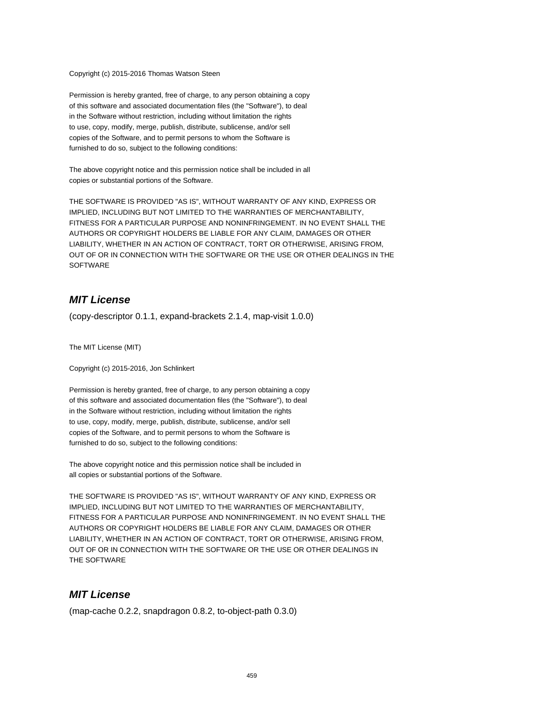Copyright (c) 2015-2016 Thomas Watson Steen

Permission is hereby granted, free of charge, to any person obtaining a copy of this software and associated documentation files (the "Software"), to deal in the Software without restriction, including without limitation the rights to use, copy, modify, merge, publish, distribute, sublicense, and/or sell copies of the Software, and to permit persons to whom the Software is furnished to do so, subject to the following conditions:

The above copyright notice and this permission notice shall be included in all copies or substantial portions of the Software.

THE SOFTWARE IS PROVIDED "AS IS", WITHOUT WARRANTY OF ANY KIND, EXPRESS OR IMPLIED, INCLUDING BUT NOT LIMITED TO THE WARRANTIES OF MERCHANTABILITY, FITNESS FOR A PARTICULAR PURPOSE AND NONINFRINGEMENT. IN NO EVENT SHALL THE AUTHORS OR COPYRIGHT HOLDERS BE LIABLE FOR ANY CLAIM, DAMAGES OR OTHER LIABILITY, WHETHER IN AN ACTION OF CONTRACT, TORT OR OTHERWISE, ARISING FROM, OUT OF OR IN CONNECTION WITH THE SOFTWARE OR THE USE OR OTHER DEALINGS IN THE **SOFTWARE** 

## **MIT License**

(copy-descriptor 0.1.1, expand-brackets 2.1.4, map-visit 1.0.0)

The MIT License (MIT)

Copyright (c) 2015-2016, Jon Schlinkert

Permission is hereby granted, free of charge, to any person obtaining a copy of this software and associated documentation files (the "Software"), to deal in the Software without restriction, including without limitation the rights to use, copy, modify, merge, publish, distribute, sublicense, and/or sell copies of the Software, and to permit persons to whom the Software is furnished to do so, subject to the following conditions:

The above copyright notice and this permission notice shall be included in all copies or substantial portions of the Software.

THE SOFTWARE IS PROVIDED "AS IS", WITHOUT WARRANTY OF ANY KIND, EXPRESS OR IMPLIED, INCLUDING BUT NOT LIMITED TO THE WARRANTIES OF MERCHANTABILITY, FITNESS FOR A PARTICULAR PURPOSE AND NONINFRINGEMENT. IN NO EVENT SHALL THE AUTHORS OR COPYRIGHT HOLDERS BE LIABLE FOR ANY CLAIM, DAMAGES OR OTHER LIABILITY, WHETHER IN AN ACTION OF CONTRACT, TORT OR OTHERWISE, ARISING FROM, OUT OF OR IN CONNECTION WITH THE SOFTWARE OR THE USE OR OTHER DEALINGS IN THE SOFTWARE

#### **MIT License**

(map-cache 0.2.2, snapdragon 0.8.2, to-object-path 0.3.0)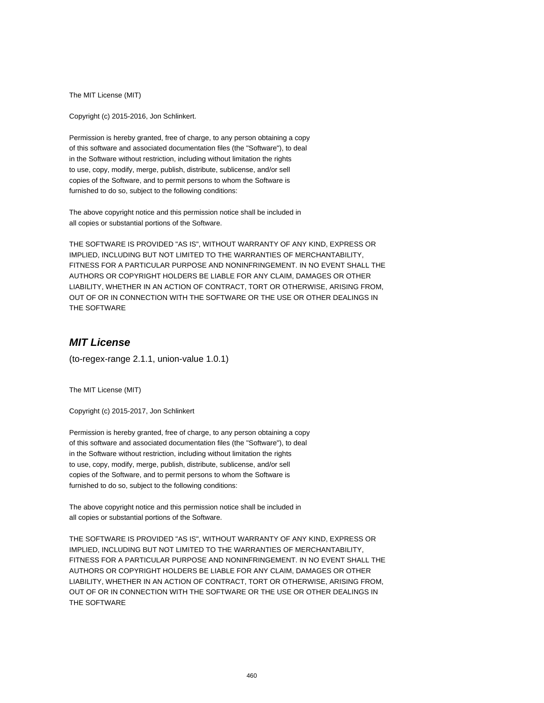The MIT License (MIT)

Copyright (c) 2015-2016, Jon Schlinkert.

Permission is hereby granted, free of charge, to any person obtaining a copy of this software and associated documentation files (the "Software"), to deal in the Software without restriction, including without limitation the rights to use, copy, modify, merge, publish, distribute, sublicense, and/or sell copies of the Software, and to permit persons to whom the Software is furnished to do so, subject to the following conditions:

The above copyright notice and this permission notice shall be included in all copies or substantial portions of the Software.

THE SOFTWARE IS PROVIDED "AS IS", WITHOUT WARRANTY OF ANY KIND, EXPRESS OR IMPLIED, INCLUDING BUT NOT LIMITED TO THE WARRANTIES OF MERCHANTABILITY, FITNESS FOR A PARTICULAR PURPOSE AND NONINFRINGEMENT. IN NO EVENT SHALL THE AUTHORS OR COPYRIGHT HOLDERS BE LIABLE FOR ANY CLAIM, DAMAGES OR OTHER LIABILITY, WHETHER IN AN ACTION OF CONTRACT, TORT OR OTHERWISE, ARISING FROM, OUT OF OR IN CONNECTION WITH THE SOFTWARE OR THE USE OR OTHER DEALINGS IN THE SOFTWARE

## **MIT License**

(to-regex-range 2.1.1, union-value 1.0.1)

The MIT License (MIT)

Copyright (c) 2015-2017, Jon Schlinkert

Permission is hereby granted, free of charge, to any person obtaining a copy of this software and associated documentation files (the "Software"), to deal in the Software without restriction, including without limitation the rights to use, copy, modify, merge, publish, distribute, sublicense, and/or sell copies of the Software, and to permit persons to whom the Software is furnished to do so, subject to the following conditions:

The above copyright notice and this permission notice shall be included in all copies or substantial portions of the Software.

THE SOFTWARE IS PROVIDED "AS IS", WITHOUT WARRANTY OF ANY KIND, EXPRESS OR IMPLIED, INCLUDING BUT NOT LIMITED TO THE WARRANTIES OF MERCHANTABILITY, FITNESS FOR A PARTICULAR PURPOSE AND NONINFRINGEMENT. IN NO EVENT SHALL THE AUTHORS OR COPYRIGHT HOLDERS BE LIABLE FOR ANY CLAIM, DAMAGES OR OTHER LIABILITY, WHETHER IN AN ACTION OF CONTRACT, TORT OR OTHERWISE, ARISING FROM, OUT OF OR IN CONNECTION WITH THE SOFTWARE OR THE USE OR OTHER DEALINGS IN THE SOFTWARE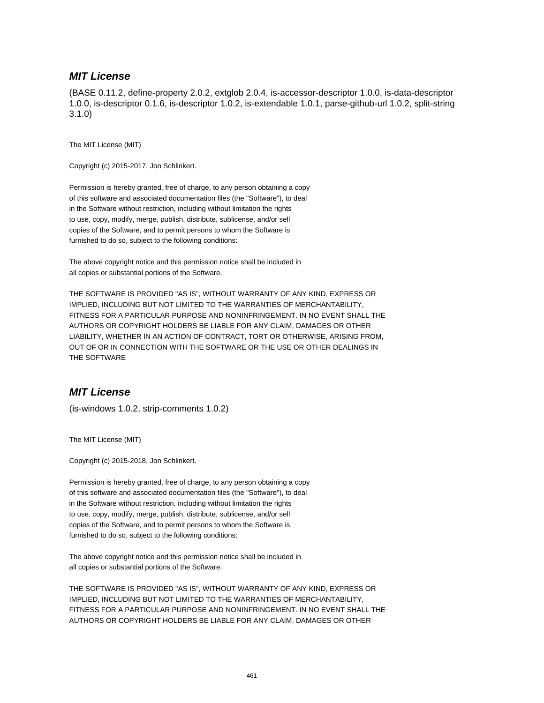#### **MIT License**

(BASE 0.11.2, define-property 2.0.2, extglob 2.0.4, is-accessor-descriptor 1.0.0, is-data-descriptor 1.0.0, is-descriptor 0.1.6, is-descriptor 1.0.2, is-extendable 1.0.1, parse-github-url 1.0.2, split-string 3.1.0)

The MIT License (MIT)

Copyright (c) 2015-2017, Jon Schlinkert.

Permission is hereby granted, free of charge, to any person obtaining a copy of this software and associated documentation files (the "Software"), to deal in the Software without restriction, including without limitation the rights to use, copy, modify, merge, publish, distribute, sublicense, and/or sell copies of the Software, and to permit persons to whom the Software is furnished to do so, subject to the following conditions:

The above copyright notice and this permission notice shall be included in all copies or substantial portions of the Software.

THE SOFTWARE IS PROVIDED "AS IS", WITHOUT WARRANTY OF ANY KIND, EXPRESS OR IMPLIED, INCLUDING BUT NOT LIMITED TO THE WARRANTIES OF MERCHANTABILITY, FITNESS FOR A PARTICULAR PURPOSE AND NONINFRINGEMENT. IN NO EVENT SHALL THE AUTHORS OR COPYRIGHT HOLDERS BE LIABLE FOR ANY CLAIM, DAMAGES OR OTHER LIABILITY, WHETHER IN AN ACTION OF CONTRACT, TORT OR OTHERWISE, ARISING FROM, OUT OF OR IN CONNECTION WITH THE SOFTWARE OR THE USE OR OTHER DEALINGS IN THE SOFTWARE

## **MIT License**

(is-windows 1.0.2, strip-comments 1.0.2)

The MIT License (MIT)

Copyright (c) 2015-2018, Jon Schlinkert.

Permission is hereby granted, free of charge, to any person obtaining a copy of this software and associated documentation files (the "Software"), to deal in the Software without restriction, including without limitation the rights to use, copy, modify, merge, publish, distribute, sublicense, and/or sell copies of the Software, and to permit persons to whom the Software is furnished to do so, subject to the following conditions:

The above copyright notice and this permission notice shall be included in all copies or substantial portions of the Software.

THE SOFTWARE IS PROVIDED "AS IS", WITHOUT WARRANTY OF ANY KIND, EXPRESS OR IMPLIED, INCLUDING BUT NOT LIMITED TO THE WARRANTIES OF MERCHANTABILITY, FITNESS FOR A PARTICULAR PURPOSE AND NONINFRINGEMENT. IN NO EVENT SHALL THE AUTHORS OR COPYRIGHT HOLDERS BE LIABLE FOR ANY CLAIM, DAMAGES OR OTHER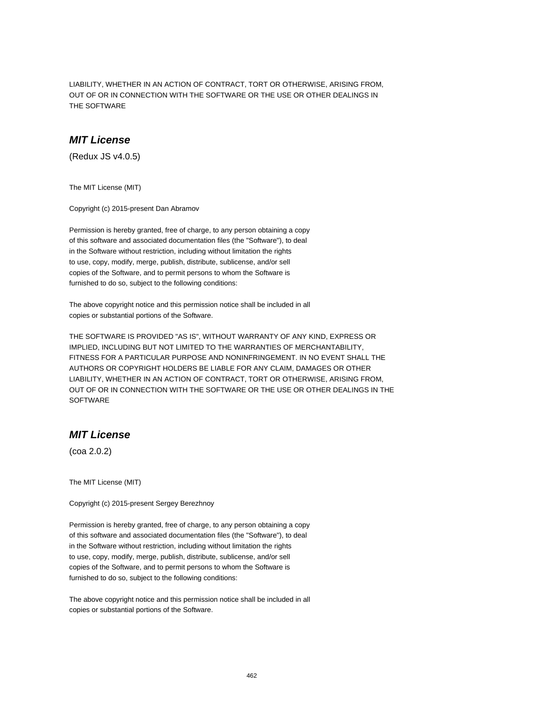LIABILITY, WHETHER IN AN ACTION OF CONTRACT, TORT OR OTHERWISE, ARISING FROM, OUT OF OR IN CONNECTION WITH THE SOFTWARE OR THE USE OR OTHER DEALINGS IN THE SOFTWARE

#### **MIT License**

(Redux JS v4.0.5)

The MIT License (MIT)

Copyright (c) 2015-present Dan Abramov

Permission is hereby granted, free of charge, to any person obtaining a copy of this software and associated documentation files (the "Software"), to deal in the Software without restriction, including without limitation the rights to use, copy, modify, merge, publish, distribute, sublicense, and/or sell copies of the Software, and to permit persons to whom the Software is furnished to do so, subject to the following conditions:

The above copyright notice and this permission notice shall be included in all copies or substantial portions of the Software.

THE SOFTWARE IS PROVIDED "AS IS", WITHOUT WARRANTY OF ANY KIND, EXPRESS OR IMPLIED, INCLUDING BUT NOT LIMITED TO THE WARRANTIES OF MERCHANTABILITY, FITNESS FOR A PARTICULAR PURPOSE AND NONINFRINGEMENT. IN NO EVENT SHALL THE AUTHORS OR COPYRIGHT HOLDERS BE LIABLE FOR ANY CLAIM, DAMAGES OR OTHER LIABILITY, WHETHER IN AN ACTION OF CONTRACT, TORT OR OTHERWISE, ARISING FROM, OUT OF OR IN CONNECTION WITH THE SOFTWARE OR THE USE OR OTHER DEALINGS IN THE **SOFTWARE** 

## **MIT License**

(coa 2.0.2)

The MIT License (MIT)

Copyright (c) 2015-present Sergey Berezhnoy

Permission is hereby granted, free of charge, to any person obtaining a copy of this software and associated documentation files (the "Software"), to deal in the Software without restriction, including without limitation the rights to use, copy, modify, merge, publish, distribute, sublicense, and/or sell copies of the Software, and to permit persons to whom the Software is furnished to do so, subject to the following conditions:

The above copyright notice and this permission notice shall be included in all copies or substantial portions of the Software.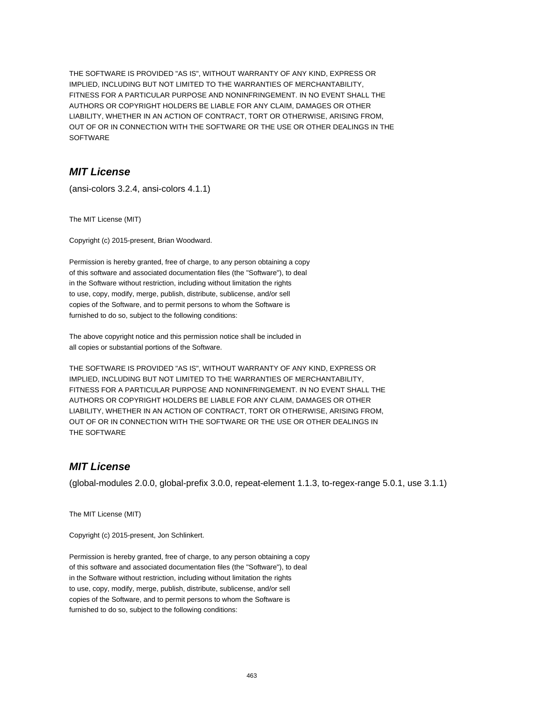THE SOFTWARE IS PROVIDED "AS IS", WITHOUT WARRANTY OF ANY KIND, EXPRESS OR IMPLIED, INCLUDING BUT NOT LIMITED TO THE WARRANTIES OF MERCHANTABILITY, FITNESS FOR A PARTICULAR PURPOSE AND NONINFRINGEMENT. IN NO EVENT SHALL THE AUTHORS OR COPYRIGHT HOLDERS BE LIABLE FOR ANY CLAIM, DAMAGES OR OTHER LIABILITY, WHETHER IN AN ACTION OF CONTRACT, TORT OR OTHERWISE, ARISING FROM, OUT OF OR IN CONNECTION WITH THE SOFTWARE OR THE USE OR OTHER DEALINGS IN THE SOFTWARE

## **MIT License**

(ansi-colors 3.2.4, ansi-colors 4.1.1)

The MIT License (MIT)

Copyright (c) 2015-present, Brian Woodward.

Permission is hereby granted, free of charge, to any person obtaining a copy of this software and associated documentation files (the "Software"), to deal in the Software without restriction, including without limitation the rights to use, copy, modify, merge, publish, distribute, sublicense, and/or sell copies of the Software, and to permit persons to whom the Software is furnished to do so, subject to the following conditions:

The above copyright notice and this permission notice shall be included in all copies or substantial portions of the Software.

THE SOFTWARE IS PROVIDED "AS IS", WITHOUT WARRANTY OF ANY KIND, EXPRESS OR IMPLIED, INCLUDING BUT NOT LIMITED TO THE WARRANTIES OF MERCHANTABILITY, FITNESS FOR A PARTICULAR PURPOSE AND NONINFRINGEMENT. IN NO EVENT SHALL THE AUTHORS OR COPYRIGHT HOLDERS BE LIABLE FOR ANY CLAIM, DAMAGES OR OTHER LIABILITY, WHETHER IN AN ACTION OF CONTRACT, TORT OR OTHERWISE, ARISING FROM, OUT OF OR IN CONNECTION WITH THE SOFTWARE OR THE USE OR OTHER DEALINGS IN THE SOFTWARE

## **MIT License**

(global-modules 2.0.0, global-prefix 3.0.0, repeat-element 1.1.3, to-regex-range 5.0.1, use 3.1.1)

The MIT License (MIT)

Copyright (c) 2015-present, Jon Schlinkert.

Permission is hereby granted, free of charge, to any person obtaining a copy of this software and associated documentation files (the "Software"), to deal in the Software without restriction, including without limitation the rights to use, copy, modify, merge, publish, distribute, sublicense, and/or sell copies of the Software, and to permit persons to whom the Software is furnished to do so, subject to the following conditions: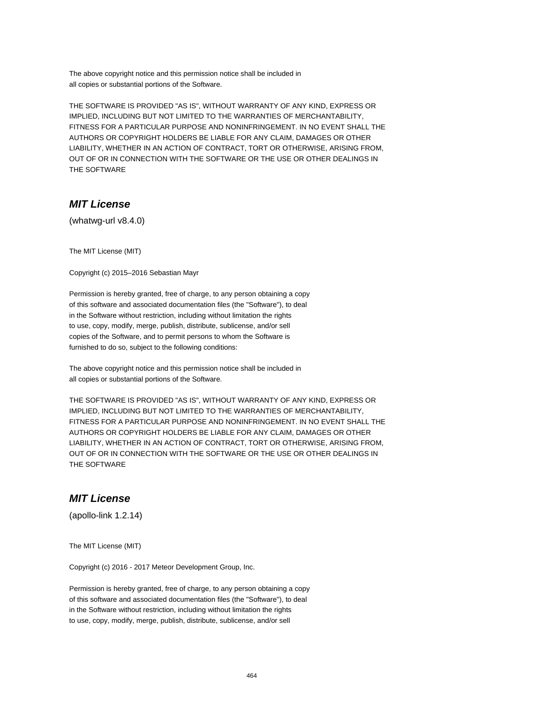The above copyright notice and this permission notice shall be included in all copies or substantial portions of the Software.

THE SOFTWARE IS PROVIDED "AS IS", WITHOUT WARRANTY OF ANY KIND, EXPRESS OR IMPLIED, INCLUDING BUT NOT LIMITED TO THE WARRANTIES OF MERCHANTABILITY, FITNESS FOR A PARTICULAR PURPOSE AND NONINFRINGEMENT. IN NO EVENT SHALL THE AUTHORS OR COPYRIGHT HOLDERS BE LIABLE FOR ANY CLAIM, DAMAGES OR OTHER LIABILITY, WHETHER IN AN ACTION OF CONTRACT, TORT OR OTHERWISE, ARISING FROM, OUT OF OR IN CONNECTION WITH THE SOFTWARE OR THE USE OR OTHER DEALINGS IN THE SOFTWARE

## **MIT License**

(whatwg-url v8.4.0)

The MIT License (MIT)

Copyright (c) 2015–2016 Sebastian Mayr

Permission is hereby granted, free of charge, to any person obtaining a copy of this software and associated documentation files (the "Software"), to deal in the Software without restriction, including without limitation the rights to use, copy, modify, merge, publish, distribute, sublicense, and/or sell copies of the Software, and to permit persons to whom the Software is furnished to do so, subject to the following conditions:

The above copyright notice and this permission notice shall be included in all copies or substantial portions of the Software.

THE SOFTWARE IS PROVIDED "AS IS", WITHOUT WARRANTY OF ANY KIND, EXPRESS OR IMPLIED, INCLUDING BUT NOT LIMITED TO THE WARRANTIES OF MERCHANTABILITY, FITNESS FOR A PARTICULAR PURPOSE AND NONINFRINGEMENT. IN NO EVENT SHALL THE AUTHORS OR COPYRIGHT HOLDERS BE LIABLE FOR ANY CLAIM, DAMAGES OR OTHER LIABILITY, WHETHER IN AN ACTION OF CONTRACT, TORT OR OTHERWISE, ARISING FROM, OUT OF OR IN CONNECTION WITH THE SOFTWARE OR THE USE OR OTHER DEALINGS IN THE SOFTWARE

#### **MIT License**

(apollo-link 1.2.14)

The MIT License (MIT)

Copyright (c) 2016 - 2017 Meteor Development Group, Inc.

Permission is hereby granted, free of charge, to any person obtaining a copy of this software and associated documentation files (the "Software"), to deal in the Software without restriction, including without limitation the rights to use, copy, modify, merge, publish, distribute, sublicense, and/or sell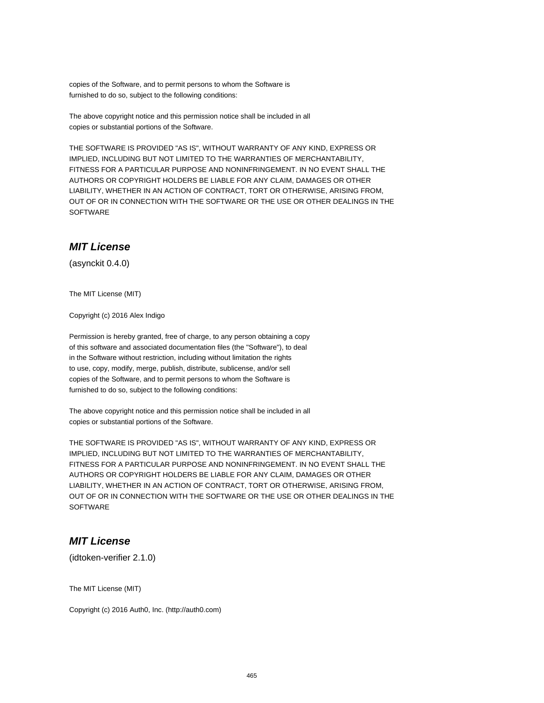copies of the Software, and to permit persons to whom the Software is furnished to do so, subject to the following conditions:

The above copyright notice and this permission notice shall be included in all copies or substantial portions of the Software.

THE SOFTWARE IS PROVIDED "AS IS", WITHOUT WARRANTY OF ANY KIND, EXPRESS OR IMPLIED, INCLUDING BUT NOT LIMITED TO THE WARRANTIES OF MERCHANTABILITY, FITNESS FOR A PARTICULAR PURPOSE AND NONINFRINGEMENT. IN NO EVENT SHALL THE AUTHORS OR COPYRIGHT HOLDERS BE LIABLE FOR ANY CLAIM, DAMAGES OR OTHER LIABILITY, WHETHER IN AN ACTION OF CONTRACT, TORT OR OTHERWISE, ARISING FROM, OUT OF OR IN CONNECTION WITH THE SOFTWARE OR THE USE OR OTHER DEALINGS IN THE **SOFTWARE** 

### **MIT License**

(asynckit 0.4.0)

The MIT License (MIT)

Copyright (c) 2016 Alex Indigo

Permission is hereby granted, free of charge, to any person obtaining a copy of this software and associated documentation files (the "Software"), to deal in the Software without restriction, including without limitation the rights to use, copy, modify, merge, publish, distribute, sublicense, and/or sell copies of the Software, and to permit persons to whom the Software is furnished to do so, subject to the following conditions:

The above copyright notice and this permission notice shall be included in all copies or substantial portions of the Software.

THE SOFTWARE IS PROVIDED "AS IS", WITHOUT WARRANTY OF ANY KIND, EXPRESS OR IMPLIED, INCLUDING BUT NOT LIMITED TO THE WARRANTIES OF MERCHANTABILITY, FITNESS FOR A PARTICULAR PURPOSE AND NONINFRINGEMENT. IN NO EVENT SHALL THE AUTHORS OR COPYRIGHT HOLDERS BE LIABLE FOR ANY CLAIM, DAMAGES OR OTHER LIABILITY, WHETHER IN AN ACTION OF CONTRACT, TORT OR OTHERWISE, ARISING FROM, OUT OF OR IN CONNECTION WITH THE SOFTWARE OR THE USE OR OTHER DEALINGS IN THE **SOFTWARE** 

#### **MIT License**

(idtoken-verifier 2.1.0)

The MIT License (MIT)

Copyright (c) 2016 Auth0, Inc. (http://auth0.com)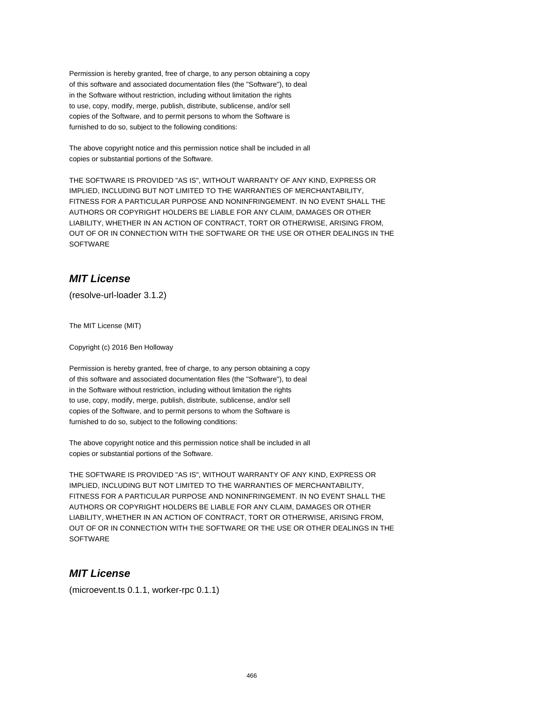Permission is hereby granted, free of charge, to any person obtaining a copy of this software and associated documentation files (the "Software"), to deal in the Software without restriction, including without limitation the rights to use, copy, modify, merge, publish, distribute, sublicense, and/or sell copies of the Software, and to permit persons to whom the Software is furnished to do so, subject to the following conditions:

The above copyright notice and this permission notice shall be included in all copies or substantial portions of the Software.

THE SOFTWARE IS PROVIDED "AS IS", WITHOUT WARRANTY OF ANY KIND, EXPRESS OR IMPLIED, INCLUDING BUT NOT LIMITED TO THE WARRANTIES OF MERCHANTABILITY, FITNESS FOR A PARTICULAR PURPOSE AND NONINFRINGEMENT. IN NO EVENT SHALL THE AUTHORS OR COPYRIGHT HOLDERS BE LIABLE FOR ANY CLAIM, DAMAGES OR OTHER LIABILITY, WHETHER IN AN ACTION OF CONTRACT, TORT OR OTHERWISE, ARISING FROM, OUT OF OR IN CONNECTION WITH THE SOFTWARE OR THE USE OR OTHER DEALINGS IN THE SOFTWARE

# **MIT License**

(resolve-url-loader 3.1.2)

The MIT License (MIT)

Copyright (c) 2016 Ben Holloway

Permission is hereby granted, free of charge, to any person obtaining a copy of this software and associated documentation files (the "Software"), to deal in the Software without restriction, including without limitation the rights to use, copy, modify, merge, publish, distribute, sublicense, and/or sell copies of the Software, and to permit persons to whom the Software is furnished to do so, subject to the following conditions:

The above copyright notice and this permission notice shall be included in all copies or substantial portions of the Software.

THE SOFTWARE IS PROVIDED "AS IS", WITHOUT WARRANTY OF ANY KIND, EXPRESS OR IMPLIED, INCLUDING BUT NOT LIMITED TO THE WARRANTIES OF MERCHANTABILITY, FITNESS FOR A PARTICULAR PURPOSE AND NONINFRINGEMENT. IN NO EVENT SHALL THE AUTHORS OR COPYRIGHT HOLDERS BE LIABLE FOR ANY CLAIM, DAMAGES OR OTHER LIABILITY, WHETHER IN AN ACTION OF CONTRACT, TORT OR OTHERWISE, ARISING FROM, OUT OF OR IN CONNECTION WITH THE SOFTWARE OR THE USE OR OTHER DEALINGS IN THE **SOFTWARE** 

## **MIT License**

(microevent.ts 0.1.1, worker-rpc 0.1.1)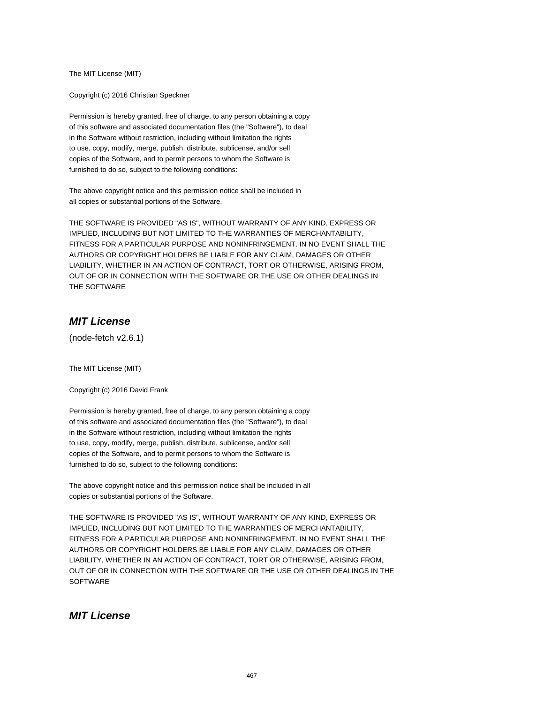The MIT License (MIT)

Copyright (c) 2016 Christian Speckner

Permission is hereby granted, free of charge, to any person obtaining a copy of this software and associated documentation files (the "Software"), to deal in the Software without restriction, including without limitation the rights to use, copy, modify, merge, publish, distribute, sublicense, and/or sell copies of the Software, and to permit persons to whom the Software is furnished to do so, subject to the following conditions:

The above copyright notice and this permission notice shall be included in all copies or substantial portions of the Software.

THE SOFTWARE IS PROVIDED "AS IS", WITHOUT WARRANTY OF ANY KIND, EXPRESS OR IMPLIED, INCLUDING BUT NOT LIMITED TO THE WARRANTIES OF MERCHANTABILITY, FITNESS FOR A PARTICULAR PURPOSE AND NONINFRINGEMENT. IN NO EVENT SHALL THE AUTHORS OR COPYRIGHT HOLDERS BE LIABLE FOR ANY CLAIM, DAMAGES OR OTHER LIABILITY, WHETHER IN AN ACTION OF CONTRACT, TORT OR OTHERWISE, ARISING FROM, OUT OF OR IN CONNECTION WITH THE SOFTWARE OR THE USE OR OTHER DEALINGS IN THE SOFTWARE

## **MIT License**

(node-fetch v2.6.1)

The MIT License (MIT)

Copyright (c) 2016 David Frank

Permission is hereby granted, free of charge, to any person obtaining a copy of this software and associated documentation files (the "Software"), to deal in the Software without restriction, including without limitation the rights to use, copy, modify, merge, publish, distribute, sublicense, and/or sell copies of the Software, and to permit persons to whom the Software is furnished to do so, subject to the following conditions:

The above copyright notice and this permission notice shall be included in all copies or substantial portions of the Software.

THE SOFTWARE IS PROVIDED "AS IS", WITHOUT WARRANTY OF ANY KIND, EXPRESS OR IMPLIED, INCLUDING BUT NOT LIMITED TO THE WARRANTIES OF MERCHANTABILITY, FITNESS FOR A PARTICULAR PURPOSE AND NONINFRINGEMENT. IN NO EVENT SHALL THE AUTHORS OR COPYRIGHT HOLDERS BE LIABLE FOR ANY CLAIM, DAMAGES OR OTHER LIABILITY, WHETHER IN AN ACTION OF CONTRACT, TORT OR OTHERWISE, ARISING FROM, OUT OF OR IN CONNECTION WITH THE SOFTWARE OR THE USE OR OTHER DEALINGS IN THE **SOFTWARE** 

## **MIT License**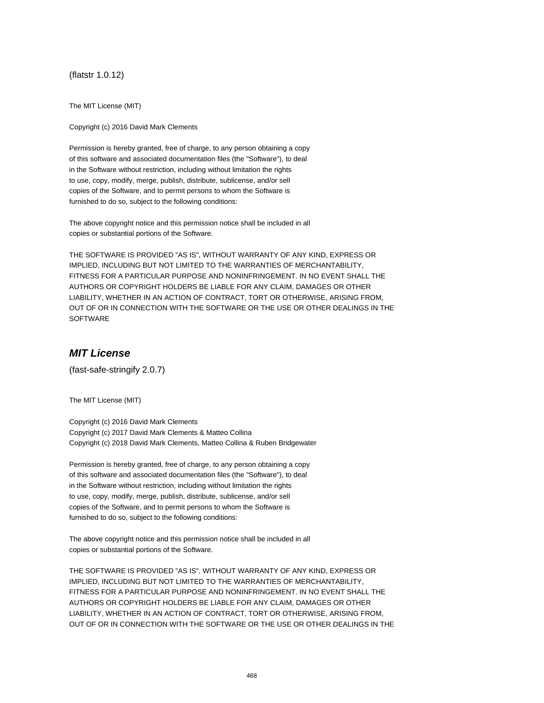(flatstr 1.0.12)

The MIT License (MIT)

Copyright (c) 2016 David Mark Clements

Permission is hereby granted, free of charge, to any person obtaining a copy of this software and associated documentation files (the "Software"), to deal in the Software without restriction, including without limitation the rights to use, copy, modify, merge, publish, distribute, sublicense, and/or sell copies of the Software, and to permit persons to whom the Software is furnished to do so, subject to the following conditions:

The above copyright notice and this permission notice shall be included in all copies or substantial portions of the Software.

THE SOFTWARE IS PROVIDED "AS IS", WITHOUT WARRANTY OF ANY KIND, EXPRESS OR IMPLIED, INCLUDING BUT NOT LIMITED TO THE WARRANTIES OF MERCHANTABILITY, FITNESS FOR A PARTICULAR PURPOSE AND NONINFRINGEMENT. IN NO EVENT SHALL THE AUTHORS OR COPYRIGHT HOLDERS BE LIABLE FOR ANY CLAIM, DAMAGES OR OTHER LIABILITY, WHETHER IN AN ACTION OF CONTRACT, TORT OR OTHERWISE, ARISING FROM, OUT OF OR IN CONNECTION WITH THE SOFTWARE OR THE USE OR OTHER DEALINGS IN THE SOFTWARE

#### **MIT License**

(fast-safe-stringify 2.0.7)

The MIT License (MIT)

Copyright (c) 2016 David Mark Clements Copyright (c) 2017 David Mark Clements & Matteo Collina Copyright (c) 2018 David Mark Clements, Matteo Collina & Ruben Bridgewater

Permission is hereby granted, free of charge, to any person obtaining a copy of this software and associated documentation files (the "Software"), to deal in the Software without restriction, including without limitation the rights to use, copy, modify, merge, publish, distribute, sublicense, and/or sell copies of the Software, and to permit persons to whom the Software is furnished to do so, subject to the following conditions:

The above copyright notice and this permission notice shall be included in all copies or substantial portions of the Software.

THE SOFTWARE IS PROVIDED "AS IS", WITHOUT WARRANTY OF ANY KIND, EXPRESS OR IMPLIED, INCLUDING BUT NOT LIMITED TO THE WARRANTIES OF MERCHANTABILITY, FITNESS FOR A PARTICULAR PURPOSE AND NONINFRINGEMENT. IN NO EVENT SHALL THE AUTHORS OR COPYRIGHT HOLDERS BE LIABLE FOR ANY CLAIM, DAMAGES OR OTHER LIABILITY, WHETHER IN AN ACTION OF CONTRACT, TORT OR OTHERWISE, ARISING FROM, OUT OF OR IN CONNECTION WITH THE SOFTWARE OR THE USE OR OTHER DEALINGS IN THE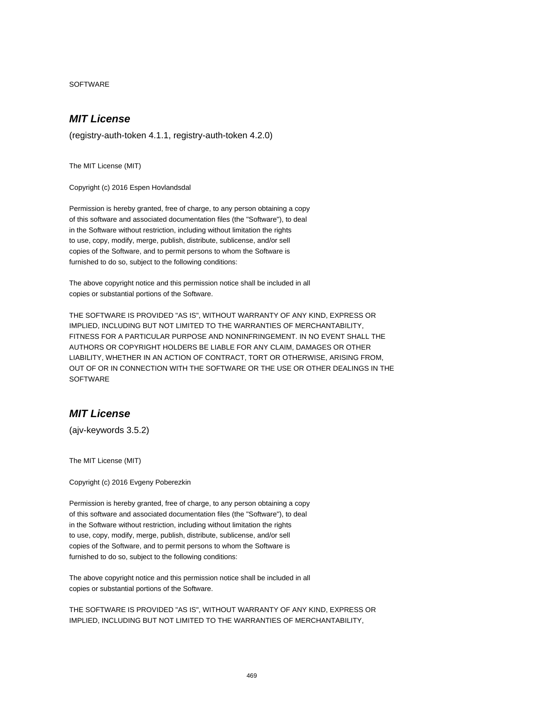SOFTWARE

# **MIT License**

(registry-auth-token 4.1.1, registry-auth-token 4.2.0)

The MIT License (MIT)

Copyright (c) 2016 Espen Hovlandsdal

Permission is hereby granted, free of charge, to any person obtaining a copy of this software and associated documentation files (the "Software"), to deal in the Software without restriction, including without limitation the rights to use, copy, modify, merge, publish, distribute, sublicense, and/or sell copies of the Software, and to permit persons to whom the Software is furnished to do so, subject to the following conditions:

The above copyright notice and this permission notice shall be included in all copies or substantial portions of the Software.

THE SOFTWARE IS PROVIDED "AS IS", WITHOUT WARRANTY OF ANY KIND, EXPRESS OR IMPLIED, INCLUDING BUT NOT LIMITED TO THE WARRANTIES OF MERCHANTABILITY, FITNESS FOR A PARTICULAR PURPOSE AND NONINFRINGEMENT. IN NO EVENT SHALL THE AUTHORS OR COPYRIGHT HOLDERS BE LIABLE FOR ANY CLAIM, DAMAGES OR OTHER LIABILITY, WHETHER IN AN ACTION OF CONTRACT, TORT OR OTHERWISE, ARISING FROM, OUT OF OR IN CONNECTION WITH THE SOFTWARE OR THE USE OR OTHER DEALINGS IN THE **SOFTWARE** 

### **MIT License**

(ajv-keywords 3.5.2)

The MIT License (MIT)

Copyright (c) 2016 Evgeny Poberezkin

Permission is hereby granted, free of charge, to any person obtaining a copy of this software and associated documentation files (the "Software"), to deal in the Software without restriction, including without limitation the rights to use, copy, modify, merge, publish, distribute, sublicense, and/or sell copies of the Software, and to permit persons to whom the Software is furnished to do so, subject to the following conditions:

The above copyright notice and this permission notice shall be included in all copies or substantial portions of the Software.

THE SOFTWARE IS PROVIDED "AS IS", WITHOUT WARRANTY OF ANY KIND, EXPRESS OR IMPLIED, INCLUDING BUT NOT LIMITED TO THE WARRANTIES OF MERCHANTABILITY,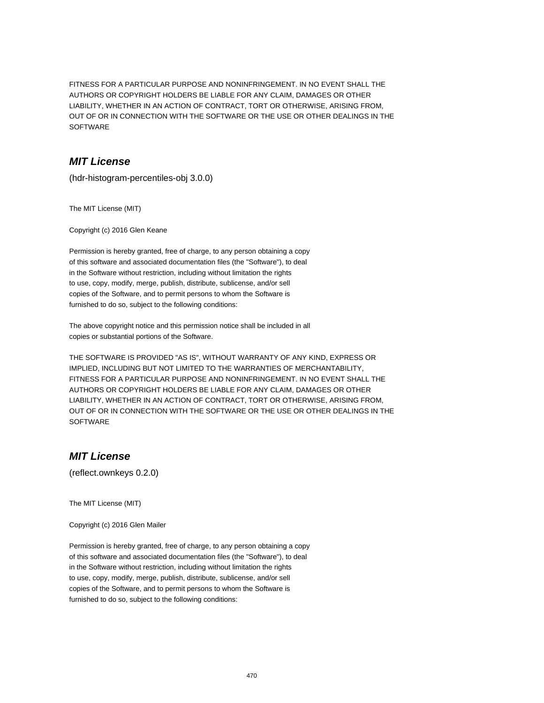FITNESS FOR A PARTICULAR PURPOSE AND NONINFRINGEMENT. IN NO EVENT SHALL THE AUTHORS OR COPYRIGHT HOLDERS BE LIABLE FOR ANY CLAIM, DAMAGES OR OTHER LIABILITY, WHETHER IN AN ACTION OF CONTRACT, TORT OR OTHERWISE, ARISING FROM, OUT OF OR IN CONNECTION WITH THE SOFTWARE OR THE USE OR OTHER DEALINGS IN THE SOFTWARE

## **MIT License**

(hdr-histogram-percentiles-obj 3.0.0)

The MIT License (MIT)

Copyright (c) 2016 Glen Keane

Permission is hereby granted, free of charge, to any person obtaining a copy of this software and associated documentation files (the "Software"), to deal in the Software without restriction, including without limitation the rights to use, copy, modify, merge, publish, distribute, sublicense, and/or sell copies of the Software, and to permit persons to whom the Software is furnished to do so, subject to the following conditions:

The above copyright notice and this permission notice shall be included in all copies or substantial portions of the Software.

THE SOFTWARE IS PROVIDED "AS IS", WITHOUT WARRANTY OF ANY KIND, EXPRESS OR IMPLIED, INCLUDING BUT NOT LIMITED TO THE WARRANTIES OF MERCHANTABILITY, FITNESS FOR A PARTICULAR PURPOSE AND NONINFRINGEMENT. IN NO EVENT SHALL THE AUTHORS OR COPYRIGHT HOLDERS BE LIABLE FOR ANY CLAIM, DAMAGES OR OTHER LIABILITY, WHETHER IN AN ACTION OF CONTRACT, TORT OR OTHERWISE, ARISING FROM, OUT OF OR IN CONNECTION WITH THE SOFTWARE OR THE USE OR OTHER DEALINGS IN THE **SOFTWARE** 

# **MIT License**

(reflect.ownkeys 0.2.0)

The MIT License (MIT)

Copyright (c) 2016 Glen Mailer

Permission is hereby granted, free of charge, to any person obtaining a copy of this software and associated documentation files (the "Software"), to deal in the Software without restriction, including without limitation the rights to use, copy, modify, merge, publish, distribute, sublicense, and/or sell copies of the Software, and to permit persons to whom the Software is furnished to do so, subject to the following conditions: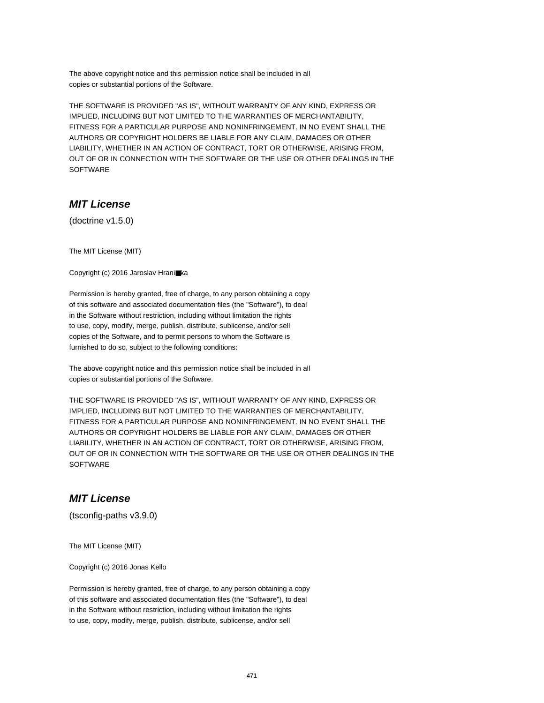The above copyright notice and this permission notice shall be included in all copies or substantial portions of the Software.

THE SOFTWARE IS PROVIDED "AS IS", WITHOUT WARRANTY OF ANY KIND, EXPRESS OR IMPLIED, INCLUDING BUT NOT LIMITED TO THE WARRANTIES OF MERCHANTABILITY, FITNESS FOR A PARTICULAR PURPOSE AND NONINFRINGEMENT. IN NO EVENT SHALL THE AUTHORS OR COPYRIGHT HOLDERS BE LIABLE FOR ANY CLAIM, DAMAGES OR OTHER LIABILITY, WHETHER IN AN ACTION OF CONTRACT, TORT OR OTHERWISE, ARISING FROM, OUT OF OR IN CONNECTION WITH THE SOFTWARE OR THE USE OR OTHER DEALINGS IN THE SOFTWARE

# **MIT License**

(doctrine v1.5.0)

The MIT License (MIT)

Copyright (c) 2016 Jaroslav Hrani■ka

Permission is hereby granted, free of charge, to any person obtaining a copy of this software and associated documentation files (the "Software"), to deal in the Software without restriction, including without limitation the rights to use, copy, modify, merge, publish, distribute, sublicense, and/or sell copies of the Software, and to permit persons to whom the Software is furnished to do so, subject to the following conditions:

The above copyright notice and this permission notice shall be included in all copies or substantial portions of the Software.

THE SOFTWARE IS PROVIDED "AS IS", WITHOUT WARRANTY OF ANY KIND, EXPRESS OR IMPLIED, INCLUDING BUT NOT LIMITED TO THE WARRANTIES OF MERCHANTABILITY, FITNESS FOR A PARTICULAR PURPOSE AND NONINFRINGEMENT. IN NO EVENT SHALL THE AUTHORS OR COPYRIGHT HOLDERS BE LIABLE FOR ANY CLAIM, DAMAGES OR OTHER LIABILITY, WHETHER IN AN ACTION OF CONTRACT, TORT OR OTHERWISE, ARISING FROM, OUT OF OR IN CONNECTION WITH THE SOFTWARE OR THE USE OR OTHER DEALINGS IN THE **SOFTWARE** 

#### **MIT License**

(tsconfig-paths v3.9.0)

The MIT License (MIT)

Copyright (c) 2016 Jonas Kello

Permission is hereby granted, free of charge, to any person obtaining a copy of this software and associated documentation files (the "Software"), to deal in the Software without restriction, including without limitation the rights to use, copy, modify, merge, publish, distribute, sublicense, and/or sell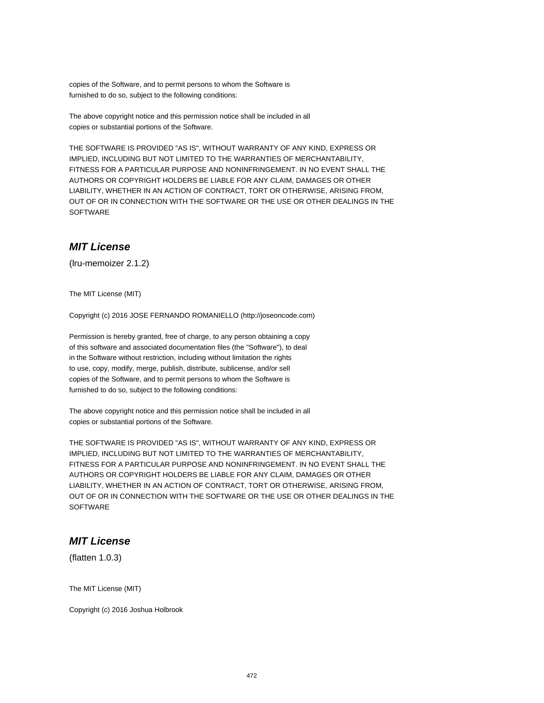copies of the Software, and to permit persons to whom the Software is furnished to do so, subject to the following conditions:

The above copyright notice and this permission notice shall be included in all copies or substantial portions of the Software.

THE SOFTWARE IS PROVIDED "AS IS", WITHOUT WARRANTY OF ANY KIND, EXPRESS OR IMPLIED, INCLUDING BUT NOT LIMITED TO THE WARRANTIES OF MERCHANTABILITY, FITNESS FOR A PARTICULAR PURPOSE AND NONINFRINGEMENT. IN NO EVENT SHALL THE AUTHORS OR COPYRIGHT HOLDERS BE LIABLE FOR ANY CLAIM, DAMAGES OR OTHER LIABILITY, WHETHER IN AN ACTION OF CONTRACT, TORT OR OTHERWISE, ARISING FROM, OUT OF OR IN CONNECTION WITH THE SOFTWARE OR THE USE OR OTHER DEALINGS IN THE **SOFTWARE** 

## **MIT License**

(lru-memoizer 2.1.2)

The MIT License (MIT)

Copyright (c) 2016 JOSE FERNANDO ROMANIELLO (http://joseoncode.com)

Permission is hereby granted, free of charge, to any person obtaining a copy of this software and associated documentation files (the "Software"), to deal in the Software without restriction, including without limitation the rights to use, copy, modify, merge, publish, distribute, sublicense, and/or sell copies of the Software, and to permit persons to whom the Software is furnished to do so, subject to the following conditions:

The above copyright notice and this permission notice shall be included in all copies or substantial portions of the Software.

THE SOFTWARE IS PROVIDED "AS IS", WITHOUT WARRANTY OF ANY KIND, EXPRESS OR IMPLIED, INCLUDING BUT NOT LIMITED TO THE WARRANTIES OF MERCHANTABILITY, FITNESS FOR A PARTICULAR PURPOSE AND NONINFRINGEMENT. IN NO EVENT SHALL THE AUTHORS OR COPYRIGHT HOLDERS BE LIABLE FOR ANY CLAIM, DAMAGES OR OTHER LIABILITY, WHETHER IN AN ACTION OF CONTRACT, TORT OR OTHERWISE, ARISING FROM, OUT OF OR IN CONNECTION WITH THE SOFTWARE OR THE USE OR OTHER DEALINGS IN THE **SOFTWARE** 

#### **MIT License**

(flatten 1.0.3)

The MIT License (MIT)

Copyright (c) 2016 Joshua Holbrook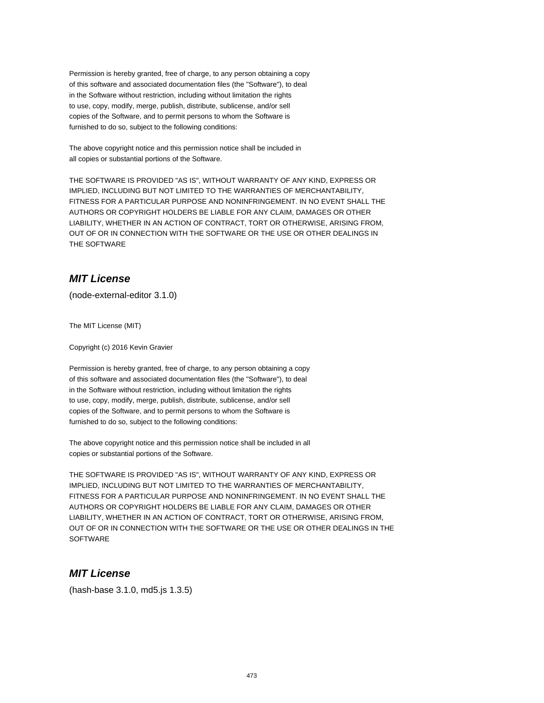Permission is hereby granted, free of charge, to any person obtaining a copy of this software and associated documentation files (the "Software"), to deal in the Software without restriction, including without limitation the rights to use, copy, modify, merge, publish, distribute, sublicense, and/or sell copies of the Software, and to permit persons to whom the Software is furnished to do so, subject to the following conditions:

The above copyright notice and this permission notice shall be included in all copies or substantial portions of the Software.

THE SOFTWARE IS PROVIDED "AS IS", WITHOUT WARRANTY OF ANY KIND, EXPRESS OR IMPLIED, INCLUDING BUT NOT LIMITED TO THE WARRANTIES OF MERCHANTABILITY, FITNESS FOR A PARTICULAR PURPOSE AND NONINFRINGEMENT. IN NO EVENT SHALL THE AUTHORS OR COPYRIGHT HOLDERS BE LIABLE FOR ANY CLAIM, DAMAGES OR OTHER LIABILITY, WHETHER IN AN ACTION OF CONTRACT, TORT OR OTHERWISE, ARISING FROM, OUT OF OR IN CONNECTION WITH THE SOFTWARE OR THE USE OR OTHER DEALINGS IN THE SOFTWARE

# **MIT License**

(node-external-editor 3.1.0)

The MIT License (MIT)

Copyright (c) 2016 Kevin Gravier

Permission is hereby granted, free of charge, to any person obtaining a copy of this software and associated documentation files (the "Software"), to deal in the Software without restriction, including without limitation the rights to use, copy, modify, merge, publish, distribute, sublicense, and/or sell copies of the Software, and to permit persons to whom the Software is furnished to do so, subject to the following conditions:

The above copyright notice and this permission notice shall be included in all copies or substantial portions of the Software.

THE SOFTWARE IS PROVIDED "AS IS", WITHOUT WARRANTY OF ANY KIND, EXPRESS OR IMPLIED, INCLUDING BUT NOT LIMITED TO THE WARRANTIES OF MERCHANTABILITY, FITNESS FOR A PARTICULAR PURPOSE AND NONINFRINGEMENT. IN NO EVENT SHALL THE AUTHORS OR COPYRIGHT HOLDERS BE LIABLE FOR ANY CLAIM, DAMAGES OR OTHER LIABILITY, WHETHER IN AN ACTION OF CONTRACT, TORT OR OTHERWISE, ARISING FROM, OUT OF OR IN CONNECTION WITH THE SOFTWARE OR THE USE OR OTHER DEALINGS IN THE **SOFTWARE** 

## **MIT License**

(hash-base 3.1.0, md5.js 1.3.5)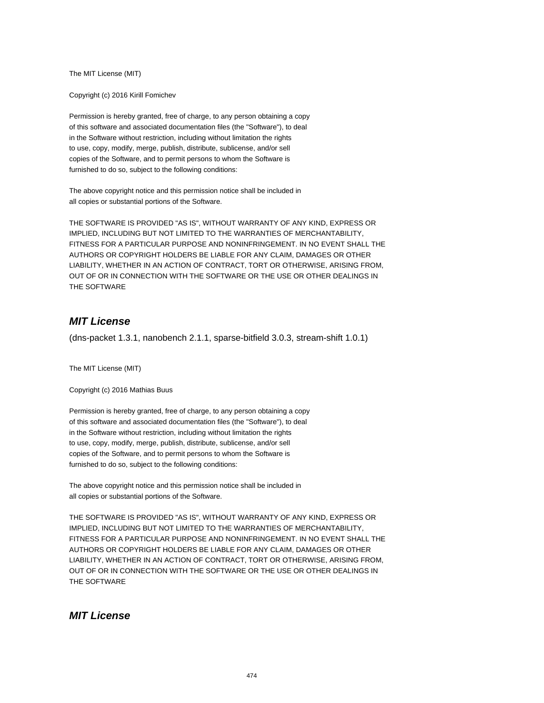The MIT License (MIT)

Copyright (c) 2016 Kirill Fomichev

Permission is hereby granted, free of charge, to any person obtaining a copy of this software and associated documentation files (the "Software"), to deal in the Software without restriction, including without limitation the rights to use, copy, modify, merge, publish, distribute, sublicense, and/or sell copies of the Software, and to permit persons to whom the Software is furnished to do so, subject to the following conditions:

The above copyright notice and this permission notice shall be included in all copies or substantial portions of the Software.

THE SOFTWARE IS PROVIDED "AS IS", WITHOUT WARRANTY OF ANY KIND, EXPRESS OR IMPLIED, INCLUDING BUT NOT LIMITED TO THE WARRANTIES OF MERCHANTABILITY, FITNESS FOR A PARTICULAR PURPOSE AND NONINFRINGEMENT. IN NO EVENT SHALL THE AUTHORS OR COPYRIGHT HOLDERS BE LIABLE FOR ANY CLAIM, DAMAGES OR OTHER LIABILITY, WHETHER IN AN ACTION OF CONTRACT, TORT OR OTHERWISE, ARISING FROM, OUT OF OR IN CONNECTION WITH THE SOFTWARE OR THE USE OR OTHER DEALINGS IN THE SOFTWARE

## **MIT License**

(dns-packet 1.3.1, nanobench 2.1.1, sparse-bitfield 3.0.3, stream-shift 1.0.1)

The MIT License (MIT)

Copyright (c) 2016 Mathias Buus

Permission is hereby granted, free of charge, to any person obtaining a copy of this software and associated documentation files (the "Software"), to deal in the Software without restriction, including without limitation the rights to use, copy, modify, merge, publish, distribute, sublicense, and/or sell copies of the Software, and to permit persons to whom the Software is furnished to do so, subject to the following conditions:

The above copyright notice and this permission notice shall be included in all copies or substantial portions of the Software.

THE SOFTWARE IS PROVIDED "AS IS", WITHOUT WARRANTY OF ANY KIND, EXPRESS OR IMPLIED, INCLUDING BUT NOT LIMITED TO THE WARRANTIES OF MERCHANTABILITY, FITNESS FOR A PARTICULAR PURPOSE AND NONINFRINGEMENT. IN NO EVENT SHALL THE AUTHORS OR COPYRIGHT HOLDERS BE LIABLE FOR ANY CLAIM, DAMAGES OR OTHER LIABILITY, WHETHER IN AN ACTION OF CONTRACT, TORT OR OTHERWISE, ARISING FROM, OUT OF OR IN CONNECTION WITH THE SOFTWARE OR THE USE OR OTHER DEALINGS IN THE SOFTWARE

#### **MIT License**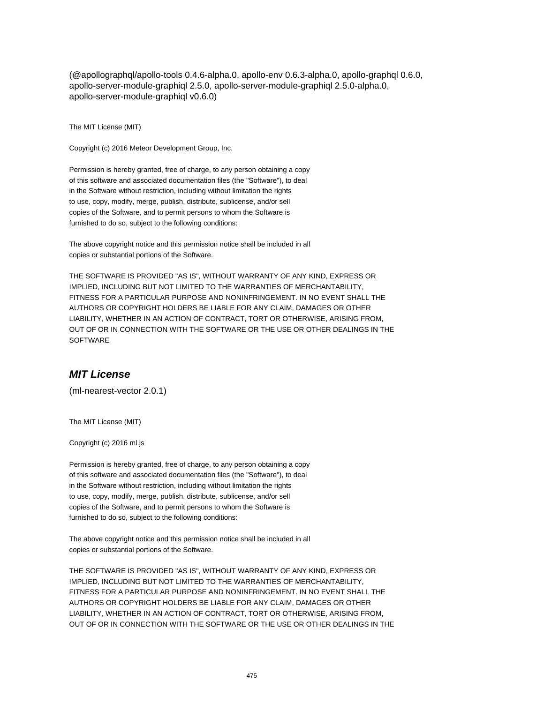(@apollographql/apollo-tools 0.4.6-alpha.0, apollo-env 0.6.3-alpha.0, apollo-graphql 0.6.0, apollo-server-module-graphiql 2.5.0, apollo-server-module-graphiql 2.5.0-alpha.0, apollo-server-module-graphiql v0.6.0)

The MIT License (MIT)

Copyright (c) 2016 Meteor Development Group, Inc.

Permission is hereby granted, free of charge, to any person obtaining a copy of this software and associated documentation files (the "Software"), to deal in the Software without restriction, including without limitation the rights to use, copy, modify, merge, publish, distribute, sublicense, and/or sell copies of the Software, and to permit persons to whom the Software is furnished to do so, subject to the following conditions:

The above copyright notice and this permission notice shall be included in all copies or substantial portions of the Software.

THE SOFTWARE IS PROVIDED "AS IS", WITHOUT WARRANTY OF ANY KIND, EXPRESS OR IMPLIED, INCLUDING BUT NOT LIMITED TO THE WARRANTIES OF MERCHANTABILITY, FITNESS FOR A PARTICULAR PURPOSE AND NONINFRINGEMENT. IN NO EVENT SHALL THE AUTHORS OR COPYRIGHT HOLDERS BE LIABLE FOR ANY CLAIM, DAMAGES OR OTHER LIABILITY, WHETHER IN AN ACTION OF CONTRACT, TORT OR OTHERWISE, ARISING FROM, OUT OF OR IN CONNECTION WITH THE SOFTWARE OR THE USE OR OTHER DEALINGS IN THE **SOFTWARE** 

#### **MIT License**

(ml-nearest-vector 2.0.1)

The MIT License (MIT)

Copyright (c) 2016 ml.js

Permission is hereby granted, free of charge, to any person obtaining a copy of this software and associated documentation files (the "Software"), to deal in the Software without restriction, including without limitation the rights to use, copy, modify, merge, publish, distribute, sublicense, and/or sell copies of the Software, and to permit persons to whom the Software is furnished to do so, subject to the following conditions:

The above copyright notice and this permission notice shall be included in all copies or substantial portions of the Software.

THE SOFTWARE IS PROVIDED "AS IS", WITHOUT WARRANTY OF ANY KIND, EXPRESS OR IMPLIED, INCLUDING BUT NOT LIMITED TO THE WARRANTIES OF MERCHANTABILITY, FITNESS FOR A PARTICULAR PURPOSE AND NONINFRINGEMENT. IN NO EVENT SHALL THE AUTHORS OR COPYRIGHT HOLDERS BE LIABLE FOR ANY CLAIM, DAMAGES OR OTHER LIABILITY, WHETHER IN AN ACTION OF CONTRACT, TORT OR OTHERWISE, ARISING FROM, OUT OF OR IN CONNECTION WITH THE SOFTWARE OR THE USE OR OTHER DEALINGS IN THE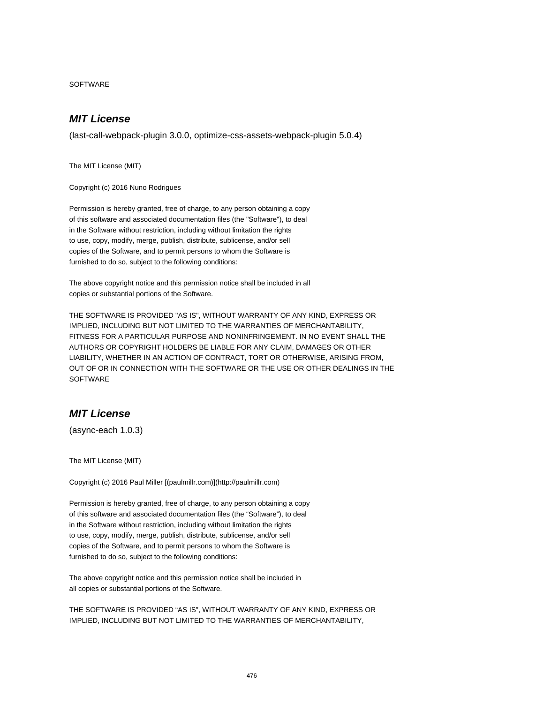SOFTWARE

## **MIT License**

(last-call-webpack-plugin 3.0.0, optimize-css-assets-webpack-plugin 5.0.4)

The MIT License (MIT)

Copyright (c) 2016 Nuno Rodrigues

Permission is hereby granted, free of charge, to any person obtaining a copy of this software and associated documentation files (the "Software"), to deal in the Software without restriction, including without limitation the rights to use, copy, modify, merge, publish, distribute, sublicense, and/or sell copies of the Software, and to permit persons to whom the Software is furnished to do so, subject to the following conditions:

The above copyright notice and this permission notice shall be included in all copies or substantial portions of the Software.

THE SOFTWARE IS PROVIDED "AS IS", WITHOUT WARRANTY OF ANY KIND, EXPRESS OR IMPLIED, INCLUDING BUT NOT LIMITED TO THE WARRANTIES OF MERCHANTABILITY, FITNESS FOR A PARTICULAR PURPOSE AND NONINFRINGEMENT. IN NO EVENT SHALL THE AUTHORS OR COPYRIGHT HOLDERS BE LIABLE FOR ANY CLAIM, DAMAGES OR OTHER LIABILITY, WHETHER IN AN ACTION OF CONTRACT, TORT OR OTHERWISE, ARISING FROM, OUT OF OR IN CONNECTION WITH THE SOFTWARE OR THE USE OR OTHER DEALINGS IN THE **SOFTWARE** 

### **MIT License**

(async-each 1.0.3)

The MIT License (MIT)

Copyright (c) 2016 Paul Miller [(paulmillr.com)](http://paulmillr.com)

Permission is hereby granted, free of charge, to any person obtaining a copy of this software and associated documentation files (the "Software"), to deal in the Software without restriction, including without limitation the rights to use, copy, modify, merge, publish, distribute, sublicense, and/or sell copies of the Software, and to permit persons to whom the Software is furnished to do so, subject to the following conditions:

The above copyright notice and this permission notice shall be included in all copies or substantial portions of the Software.

THE SOFTWARE IS PROVIDED "AS IS", WITHOUT WARRANTY OF ANY KIND, EXPRESS OR IMPLIED, INCLUDING BUT NOT LIMITED TO THE WARRANTIES OF MERCHANTABILITY,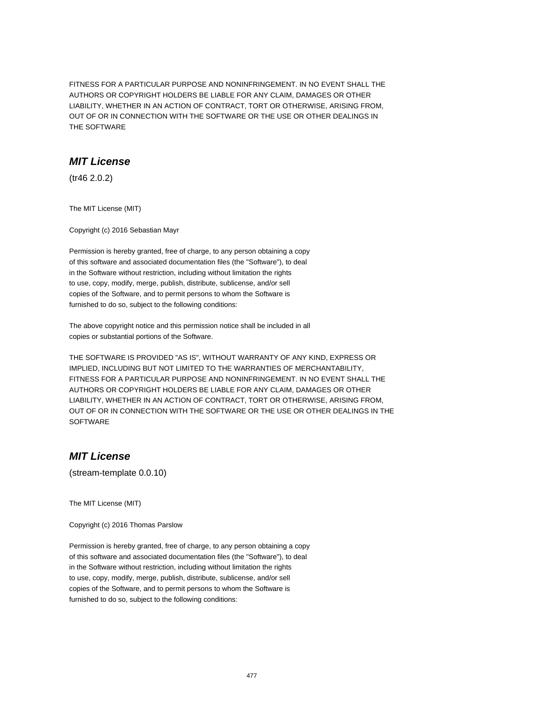FITNESS FOR A PARTICULAR PURPOSE AND NONINFRINGEMENT. IN NO EVENT SHALL THE AUTHORS OR COPYRIGHT HOLDERS BE LIABLE FOR ANY CLAIM, DAMAGES OR OTHER LIABILITY, WHETHER IN AN ACTION OF CONTRACT, TORT OR OTHERWISE, ARISING FROM, OUT OF OR IN CONNECTION WITH THE SOFTWARE OR THE USE OR OTHER DEALINGS IN THE SOFTWARE

#### **MIT License**

(tr46 2.0.2)

The MIT License (MIT)

Copyright (c) 2016 Sebastian Mayr

Permission is hereby granted, free of charge, to any person obtaining a copy of this software and associated documentation files (the "Software"), to deal in the Software without restriction, including without limitation the rights to use, copy, modify, merge, publish, distribute, sublicense, and/or sell copies of the Software, and to permit persons to whom the Software is furnished to do so, subject to the following conditions:

The above copyright notice and this permission notice shall be included in all copies or substantial portions of the Software.

THE SOFTWARE IS PROVIDED "AS IS", WITHOUT WARRANTY OF ANY KIND, EXPRESS OR IMPLIED, INCLUDING BUT NOT LIMITED TO THE WARRANTIES OF MERCHANTABILITY, FITNESS FOR A PARTICULAR PURPOSE AND NONINFRINGEMENT. IN NO EVENT SHALL THE AUTHORS OR COPYRIGHT HOLDERS BE LIABLE FOR ANY CLAIM, DAMAGES OR OTHER LIABILITY, WHETHER IN AN ACTION OF CONTRACT, TORT OR OTHERWISE, ARISING FROM, OUT OF OR IN CONNECTION WITH THE SOFTWARE OR THE USE OR OTHER DEALINGS IN THE **SOFTWARE** 

# **MIT License**

(stream-template 0.0.10)

The MIT License (MIT)

Copyright (c) 2016 Thomas Parslow

Permission is hereby granted, free of charge, to any person obtaining a copy of this software and associated documentation files (the "Software"), to deal in the Software without restriction, including without limitation the rights to use, copy, modify, merge, publish, distribute, sublicense, and/or sell copies of the Software, and to permit persons to whom the Software is furnished to do so, subject to the following conditions: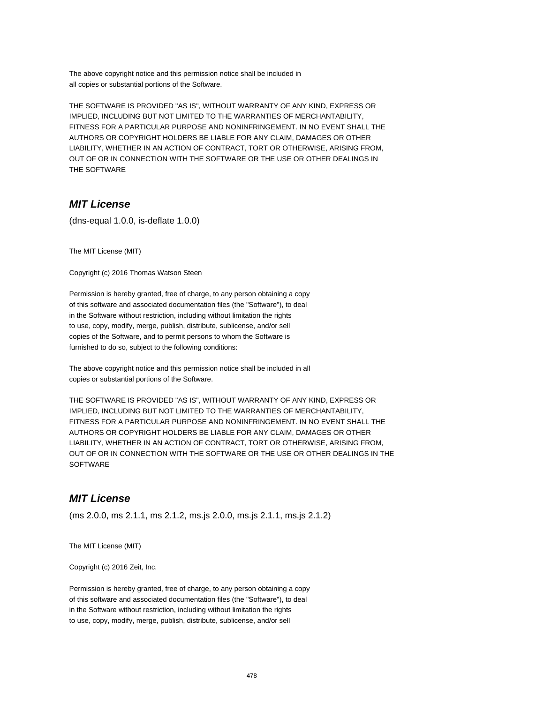The above copyright notice and this permission notice shall be included in all copies or substantial portions of the Software.

THE SOFTWARE IS PROVIDED "AS IS", WITHOUT WARRANTY OF ANY KIND, EXPRESS OR IMPLIED, INCLUDING BUT NOT LIMITED TO THE WARRANTIES OF MERCHANTABILITY, FITNESS FOR A PARTICULAR PURPOSE AND NONINFRINGEMENT. IN NO EVENT SHALL THE AUTHORS OR COPYRIGHT HOLDERS BE LIABLE FOR ANY CLAIM, DAMAGES OR OTHER LIABILITY, WHETHER IN AN ACTION OF CONTRACT, TORT OR OTHERWISE, ARISING FROM, OUT OF OR IN CONNECTION WITH THE SOFTWARE OR THE USE OR OTHER DEALINGS IN THE SOFTWARE

### **MIT License**

(dns-equal 1.0.0, is-deflate 1.0.0)

The MIT License (MIT)

Copyright (c) 2016 Thomas Watson Steen

Permission is hereby granted, free of charge, to any person obtaining a copy of this software and associated documentation files (the "Software"), to deal in the Software without restriction, including without limitation the rights to use, copy, modify, merge, publish, distribute, sublicense, and/or sell copies of the Software, and to permit persons to whom the Software is furnished to do so, subject to the following conditions:

The above copyright notice and this permission notice shall be included in all copies or substantial portions of the Software.

THE SOFTWARE IS PROVIDED "AS IS", WITHOUT WARRANTY OF ANY KIND, EXPRESS OR IMPLIED, INCLUDING BUT NOT LIMITED TO THE WARRANTIES OF MERCHANTABILITY, FITNESS FOR A PARTICULAR PURPOSE AND NONINFRINGEMENT. IN NO EVENT SHALL THE AUTHORS OR COPYRIGHT HOLDERS BE LIABLE FOR ANY CLAIM, DAMAGES OR OTHER LIABILITY, WHETHER IN AN ACTION OF CONTRACT, TORT OR OTHERWISE, ARISING FROM, OUT OF OR IN CONNECTION WITH THE SOFTWARE OR THE USE OR OTHER DEALINGS IN THE **SOFTWARE** 

## **MIT License**

(ms 2.0.0, ms 2.1.1, ms 2.1.2, ms.js 2.0.0, ms.js 2.1.1, ms.js 2.1.2)

The MIT License (MIT)

Copyright (c) 2016 Zeit, Inc.

Permission is hereby granted, free of charge, to any person obtaining a copy of this software and associated documentation files (the "Software"), to deal in the Software without restriction, including without limitation the rights to use, copy, modify, merge, publish, distribute, sublicense, and/or sell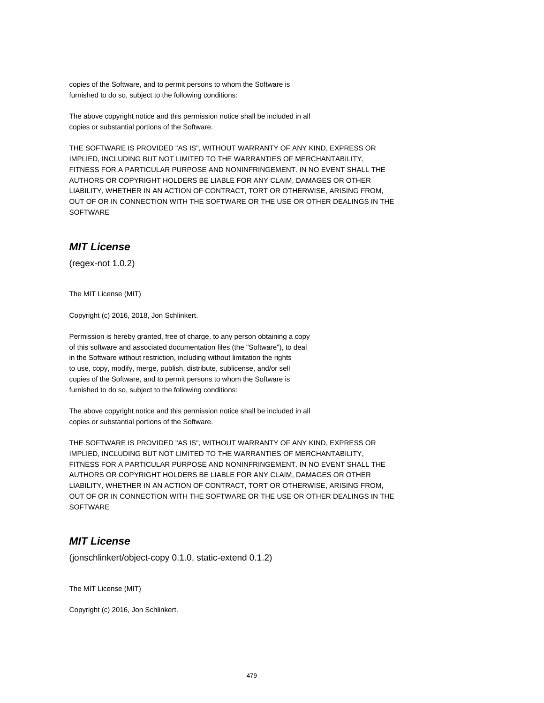copies of the Software, and to permit persons to whom the Software is furnished to do so, subject to the following conditions:

The above copyright notice and this permission notice shall be included in all copies or substantial portions of the Software.

THE SOFTWARE IS PROVIDED "AS IS", WITHOUT WARRANTY OF ANY KIND, EXPRESS OR IMPLIED, INCLUDING BUT NOT LIMITED TO THE WARRANTIES OF MERCHANTABILITY, FITNESS FOR A PARTICULAR PURPOSE AND NONINFRINGEMENT. IN NO EVENT SHALL THE AUTHORS OR COPYRIGHT HOLDERS BE LIABLE FOR ANY CLAIM, DAMAGES OR OTHER LIABILITY, WHETHER IN AN ACTION OF CONTRACT, TORT OR OTHERWISE, ARISING FROM, OUT OF OR IN CONNECTION WITH THE SOFTWARE OR THE USE OR OTHER DEALINGS IN THE **SOFTWARE** 

### **MIT License**

(regex-not 1.0.2)

The MIT License (MIT)

Copyright (c) 2016, 2018, Jon Schlinkert.

Permission is hereby granted, free of charge, to any person obtaining a copy of this software and associated documentation files (the "Software"), to deal in the Software without restriction, including without limitation the rights to use, copy, modify, merge, publish, distribute, sublicense, and/or sell copies of the Software, and to permit persons to whom the Software is furnished to do so, subject to the following conditions:

The above copyright notice and this permission notice shall be included in all copies or substantial portions of the Software.

THE SOFTWARE IS PROVIDED "AS IS", WITHOUT WARRANTY OF ANY KIND, EXPRESS OR IMPLIED, INCLUDING BUT NOT LIMITED TO THE WARRANTIES OF MERCHANTABILITY, FITNESS FOR A PARTICULAR PURPOSE AND NONINFRINGEMENT. IN NO EVENT SHALL THE AUTHORS OR COPYRIGHT HOLDERS BE LIABLE FOR ANY CLAIM, DAMAGES OR OTHER LIABILITY, WHETHER IN AN ACTION OF CONTRACT, TORT OR OTHERWISE, ARISING FROM, OUT OF OR IN CONNECTION WITH THE SOFTWARE OR THE USE OR OTHER DEALINGS IN THE **SOFTWARE** 

## **MIT License**

(jonschlinkert/object-copy 0.1.0, static-extend 0.1.2)

The MIT License (MIT)

Copyright (c) 2016, Jon Schlinkert.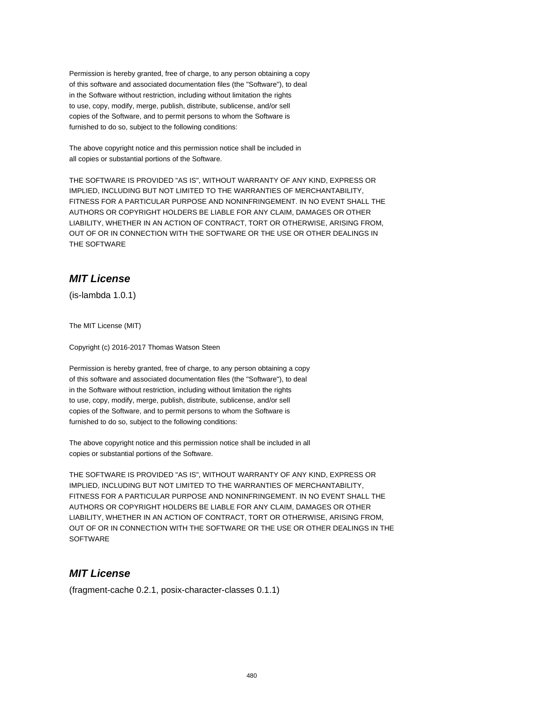Permission is hereby granted, free of charge, to any person obtaining a copy of this software and associated documentation files (the "Software"), to deal in the Software without restriction, including without limitation the rights to use, copy, modify, merge, publish, distribute, sublicense, and/or sell copies of the Software, and to permit persons to whom the Software is furnished to do so, subject to the following conditions:

The above copyright notice and this permission notice shall be included in all copies or substantial portions of the Software.

THE SOFTWARE IS PROVIDED "AS IS", WITHOUT WARRANTY OF ANY KIND, EXPRESS OR IMPLIED, INCLUDING BUT NOT LIMITED TO THE WARRANTIES OF MERCHANTABILITY, FITNESS FOR A PARTICULAR PURPOSE AND NONINFRINGEMENT. IN NO EVENT SHALL THE AUTHORS OR COPYRIGHT HOLDERS BE LIABLE FOR ANY CLAIM, DAMAGES OR OTHER LIABILITY, WHETHER IN AN ACTION OF CONTRACT, TORT OR OTHERWISE, ARISING FROM, OUT OF OR IN CONNECTION WITH THE SOFTWARE OR THE USE OR OTHER DEALINGS IN THE SOFTWARE

# **MIT License**

(is-lambda 1.0.1)

The MIT License (MIT)

Copyright (c) 2016-2017 Thomas Watson Steen

Permission is hereby granted, free of charge, to any person obtaining a copy of this software and associated documentation files (the "Software"), to deal in the Software without restriction, including without limitation the rights to use, copy, modify, merge, publish, distribute, sublicense, and/or sell copies of the Software, and to permit persons to whom the Software is furnished to do so, subject to the following conditions:

The above copyright notice and this permission notice shall be included in all copies or substantial portions of the Software.

THE SOFTWARE IS PROVIDED "AS IS", WITHOUT WARRANTY OF ANY KIND, EXPRESS OR IMPLIED, INCLUDING BUT NOT LIMITED TO THE WARRANTIES OF MERCHANTABILITY, FITNESS FOR A PARTICULAR PURPOSE AND NONINFRINGEMENT. IN NO EVENT SHALL THE AUTHORS OR COPYRIGHT HOLDERS BE LIABLE FOR ANY CLAIM, DAMAGES OR OTHER LIABILITY, WHETHER IN AN ACTION OF CONTRACT, TORT OR OTHERWISE, ARISING FROM, OUT OF OR IN CONNECTION WITH THE SOFTWARE OR THE USE OR OTHER DEALINGS IN THE **SOFTWARE** 

## **MIT License**

(fragment-cache 0.2.1, posix-character-classes 0.1.1)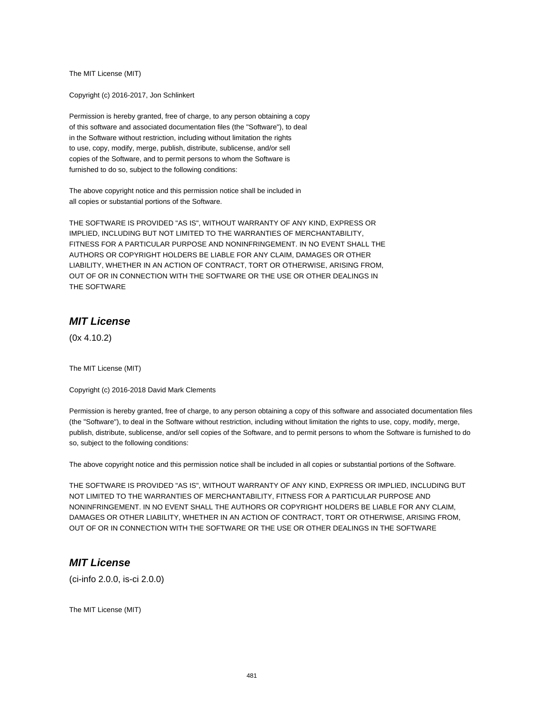The MIT License (MIT)

Copyright (c) 2016-2017, Jon Schlinkert

Permission is hereby granted, free of charge, to any person obtaining a copy of this software and associated documentation files (the "Software"), to deal in the Software without restriction, including without limitation the rights to use, copy, modify, merge, publish, distribute, sublicense, and/or sell copies of the Software, and to permit persons to whom the Software is furnished to do so, subject to the following conditions:

The above copyright notice and this permission notice shall be included in all copies or substantial portions of the Software.

THE SOFTWARE IS PROVIDED "AS IS", WITHOUT WARRANTY OF ANY KIND, EXPRESS OR IMPLIED, INCLUDING BUT NOT LIMITED TO THE WARRANTIES OF MERCHANTABILITY, FITNESS FOR A PARTICULAR PURPOSE AND NONINFRINGEMENT. IN NO EVENT SHALL THE AUTHORS OR COPYRIGHT HOLDERS BE LIABLE FOR ANY CLAIM, DAMAGES OR OTHER LIABILITY, WHETHER IN AN ACTION OF CONTRACT, TORT OR OTHERWISE, ARISING FROM, OUT OF OR IN CONNECTION WITH THE SOFTWARE OR THE USE OR OTHER DEALINGS IN THE SOFTWARE

### **MIT License**

(0x 4.10.2)

The MIT License (MIT)

Copyright (c) 2016-2018 David Mark Clements

Permission is hereby granted, free of charge, to any person obtaining a copy of this software and associated documentation files (the "Software"), to deal in the Software without restriction, including without limitation the rights to use, copy, modify, merge, publish, distribute, sublicense, and/or sell copies of the Software, and to permit persons to whom the Software is furnished to do so, subject to the following conditions:

The above copyright notice and this permission notice shall be included in all copies or substantial portions of the Software.

THE SOFTWARE IS PROVIDED "AS IS", WITHOUT WARRANTY OF ANY KIND, EXPRESS OR IMPLIED, INCLUDING BUT NOT LIMITED TO THE WARRANTIES OF MERCHANTABILITY, FITNESS FOR A PARTICULAR PURPOSE AND NONINFRINGEMENT. IN NO EVENT SHALL THE AUTHORS OR COPYRIGHT HOLDERS BE LIABLE FOR ANY CLAIM, DAMAGES OR OTHER LIABILITY, WHETHER IN AN ACTION OF CONTRACT, TORT OR OTHERWISE, ARISING FROM, OUT OF OR IN CONNECTION WITH THE SOFTWARE OR THE USE OR OTHER DEALINGS IN THE SOFTWARE

#### **MIT License**

(ci-info 2.0.0, is-ci 2.0.0)

The MIT License (MIT)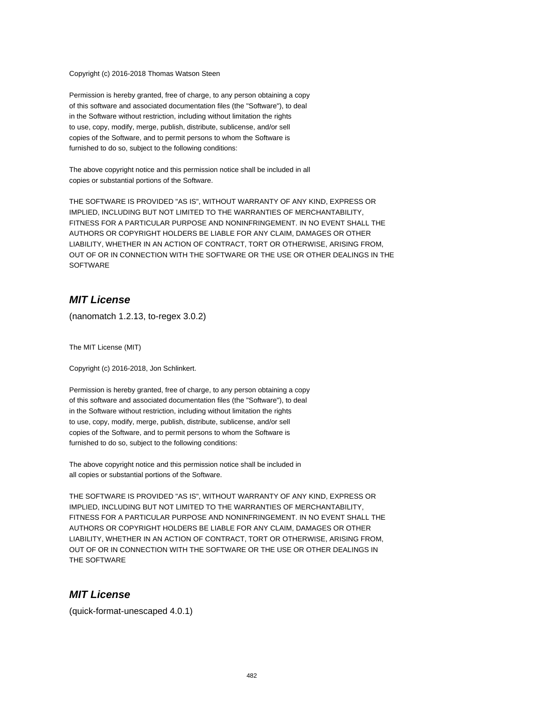Copyright (c) 2016-2018 Thomas Watson Steen

Permission is hereby granted, free of charge, to any person obtaining a copy of this software and associated documentation files (the "Software"), to deal in the Software without restriction, including without limitation the rights to use, copy, modify, merge, publish, distribute, sublicense, and/or sell copies of the Software, and to permit persons to whom the Software is furnished to do so, subject to the following conditions:

The above copyright notice and this permission notice shall be included in all copies or substantial portions of the Software.

THE SOFTWARE IS PROVIDED "AS IS", WITHOUT WARRANTY OF ANY KIND, EXPRESS OR IMPLIED, INCLUDING BUT NOT LIMITED TO THE WARRANTIES OF MERCHANTABILITY, FITNESS FOR A PARTICULAR PURPOSE AND NONINFRINGEMENT. IN NO EVENT SHALL THE AUTHORS OR COPYRIGHT HOLDERS BE LIABLE FOR ANY CLAIM, DAMAGES OR OTHER LIABILITY, WHETHER IN AN ACTION OF CONTRACT, TORT OR OTHERWISE, ARISING FROM, OUT OF OR IN CONNECTION WITH THE SOFTWARE OR THE USE OR OTHER DEALINGS IN THE **SOFTWARE** 

## **MIT License**

(nanomatch 1.2.13, to-regex 3.0.2)

The MIT License (MIT)

Copyright (c) 2016-2018, Jon Schlinkert.

Permission is hereby granted, free of charge, to any person obtaining a copy of this software and associated documentation files (the "Software"), to deal in the Software without restriction, including without limitation the rights to use, copy, modify, merge, publish, distribute, sublicense, and/or sell copies of the Software, and to permit persons to whom the Software is furnished to do so, subject to the following conditions:

The above copyright notice and this permission notice shall be included in all copies or substantial portions of the Software.

THE SOFTWARE IS PROVIDED "AS IS", WITHOUT WARRANTY OF ANY KIND, EXPRESS OR IMPLIED, INCLUDING BUT NOT LIMITED TO THE WARRANTIES OF MERCHANTABILITY, FITNESS FOR A PARTICULAR PURPOSE AND NONINFRINGEMENT. IN NO EVENT SHALL THE AUTHORS OR COPYRIGHT HOLDERS BE LIABLE FOR ANY CLAIM, DAMAGES OR OTHER LIABILITY, WHETHER IN AN ACTION OF CONTRACT, TORT OR OTHERWISE, ARISING FROM, OUT OF OR IN CONNECTION WITH THE SOFTWARE OR THE USE OR OTHER DEALINGS IN THE SOFTWARE

#### **MIT License**

(quick-format-unescaped 4.0.1)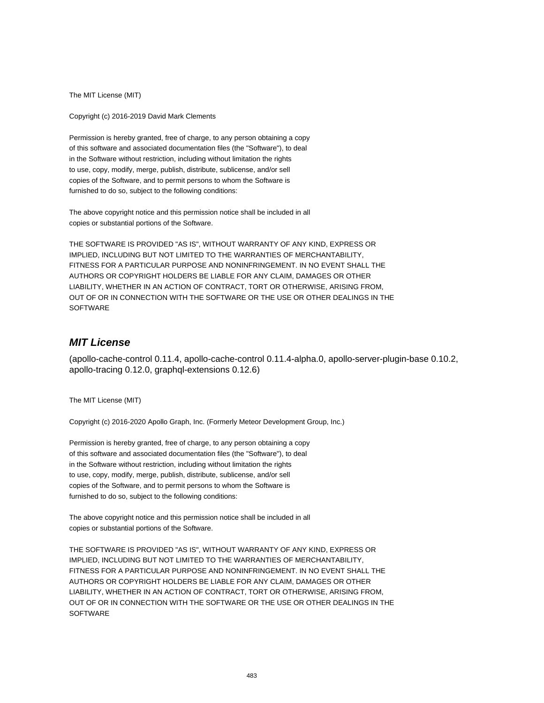The MIT License (MIT)

Copyright (c) 2016-2019 David Mark Clements

Permission is hereby granted, free of charge, to any person obtaining a copy of this software and associated documentation files (the "Software"), to deal in the Software without restriction, including without limitation the rights to use, copy, modify, merge, publish, distribute, sublicense, and/or sell copies of the Software, and to permit persons to whom the Software is furnished to do so, subject to the following conditions:

The above copyright notice and this permission notice shall be included in all copies or substantial portions of the Software.

THE SOFTWARE IS PROVIDED "AS IS", WITHOUT WARRANTY OF ANY KIND, EXPRESS OR IMPLIED, INCLUDING BUT NOT LIMITED TO THE WARRANTIES OF MERCHANTABILITY, FITNESS FOR A PARTICULAR PURPOSE AND NONINFRINGEMENT. IN NO EVENT SHALL THE AUTHORS OR COPYRIGHT HOLDERS BE LIABLE FOR ANY CLAIM, DAMAGES OR OTHER LIABILITY, WHETHER IN AN ACTION OF CONTRACT, TORT OR OTHERWISE, ARISING FROM, OUT OF OR IN CONNECTION WITH THE SOFTWARE OR THE USE OR OTHER DEALINGS IN THE SOFTWARE

# **MIT License**

(apollo-cache-control 0.11.4, apollo-cache-control 0.11.4-alpha.0, apollo-server-plugin-base 0.10.2, apollo-tracing 0.12.0, graphql-extensions 0.12.6)

The MIT License (MIT)

Copyright (c) 2016-2020 Apollo Graph, Inc. (Formerly Meteor Development Group, Inc.)

Permission is hereby granted, free of charge, to any person obtaining a copy of this software and associated documentation files (the "Software"), to deal in the Software without restriction, including without limitation the rights to use, copy, modify, merge, publish, distribute, sublicense, and/or sell copies of the Software, and to permit persons to whom the Software is furnished to do so, subject to the following conditions:

The above copyright notice and this permission notice shall be included in all copies or substantial portions of the Software.

THE SOFTWARE IS PROVIDED "AS IS", WITHOUT WARRANTY OF ANY KIND, EXPRESS OR IMPLIED, INCLUDING BUT NOT LIMITED TO THE WARRANTIES OF MERCHANTABILITY, FITNESS FOR A PARTICULAR PURPOSE AND NONINFRINGEMENT. IN NO EVENT SHALL THE AUTHORS OR COPYRIGHT HOLDERS BE LIABLE FOR ANY CLAIM, DAMAGES OR OTHER LIABILITY, WHETHER IN AN ACTION OF CONTRACT, TORT OR OTHERWISE, ARISING FROM, OUT OF OR IN CONNECTION WITH THE SOFTWARE OR THE USE OR OTHER DEALINGS IN THE **SOFTWARE**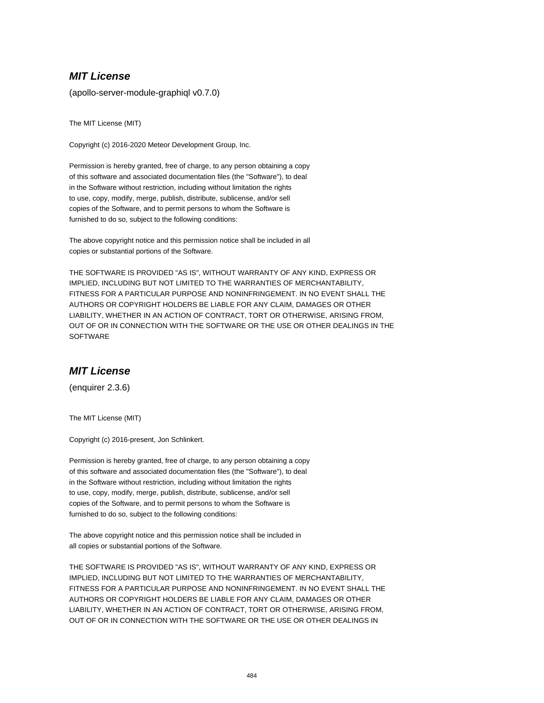### **MIT License**

(apollo-server-module-graphiql v0.7.0)

The MIT License (MIT)

Copyright (c) 2016-2020 Meteor Development Group, Inc.

Permission is hereby granted, free of charge, to any person obtaining a copy of this software and associated documentation files (the "Software"), to deal in the Software without restriction, including without limitation the rights to use, copy, modify, merge, publish, distribute, sublicense, and/or sell copies of the Software, and to permit persons to whom the Software is furnished to do so, subject to the following conditions:

The above copyright notice and this permission notice shall be included in all copies or substantial portions of the Software.

THE SOFTWARE IS PROVIDED "AS IS", WITHOUT WARRANTY OF ANY KIND, EXPRESS OR IMPLIED, INCLUDING BUT NOT LIMITED TO THE WARRANTIES OF MERCHANTABILITY, FITNESS FOR A PARTICULAR PURPOSE AND NONINFRINGEMENT. IN NO EVENT SHALL THE AUTHORS OR COPYRIGHT HOLDERS BE LIABLE FOR ANY CLAIM, DAMAGES OR OTHER LIABILITY, WHETHER IN AN ACTION OF CONTRACT, TORT OR OTHERWISE, ARISING FROM, OUT OF OR IN CONNECTION WITH THE SOFTWARE OR THE USE OR OTHER DEALINGS IN THE **SOFTWARE** 

## **MIT License**

(enquirer 2.3.6)

The MIT License (MIT)

Copyright (c) 2016-present, Jon Schlinkert.

Permission is hereby granted, free of charge, to any person obtaining a copy of this software and associated documentation files (the "Software"), to deal in the Software without restriction, including without limitation the rights to use, copy, modify, merge, publish, distribute, sublicense, and/or sell copies of the Software, and to permit persons to whom the Software is furnished to do so, subject to the following conditions:

The above copyright notice and this permission notice shall be included in all copies or substantial portions of the Software.

THE SOFTWARE IS PROVIDED "AS IS", WITHOUT WARRANTY OF ANY KIND, EXPRESS OR IMPLIED, INCLUDING BUT NOT LIMITED TO THE WARRANTIES OF MERCHANTABILITY, FITNESS FOR A PARTICULAR PURPOSE AND NONINFRINGEMENT. IN NO EVENT SHALL THE AUTHORS OR COPYRIGHT HOLDERS BE LIABLE FOR ANY CLAIM, DAMAGES OR OTHER LIABILITY, WHETHER IN AN ACTION OF CONTRACT, TORT OR OTHERWISE, ARISING FROM, OUT OF OR IN CONNECTION WITH THE SOFTWARE OR THE USE OR OTHER DEALINGS IN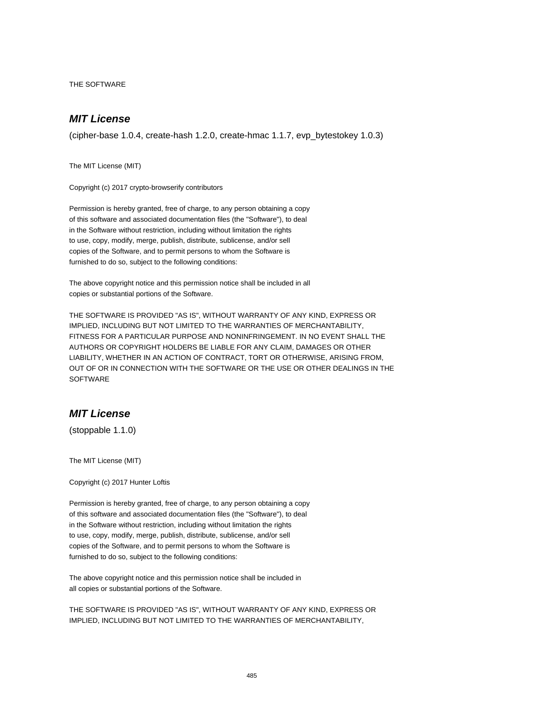THE SOFTWARE

# **MIT License**

(cipher-base 1.0.4, create-hash 1.2.0, create-hmac 1.1.7, evp\_bytestokey 1.0.3)

The MIT License (MIT)

Copyright (c) 2017 crypto-browserify contributors

Permission is hereby granted, free of charge, to any person obtaining a copy of this software and associated documentation files (the "Software"), to deal in the Software without restriction, including without limitation the rights to use, copy, modify, merge, publish, distribute, sublicense, and/or sell copies of the Software, and to permit persons to whom the Software is furnished to do so, subject to the following conditions:

The above copyright notice and this permission notice shall be included in all copies or substantial portions of the Software.

THE SOFTWARE IS PROVIDED "AS IS", WITHOUT WARRANTY OF ANY KIND, EXPRESS OR IMPLIED, INCLUDING BUT NOT LIMITED TO THE WARRANTIES OF MERCHANTABILITY, FITNESS FOR A PARTICULAR PURPOSE AND NONINFRINGEMENT. IN NO EVENT SHALL THE AUTHORS OR COPYRIGHT HOLDERS BE LIABLE FOR ANY CLAIM, DAMAGES OR OTHER LIABILITY, WHETHER IN AN ACTION OF CONTRACT, TORT OR OTHERWISE, ARISING FROM, OUT OF OR IN CONNECTION WITH THE SOFTWARE OR THE USE OR OTHER DEALINGS IN THE **SOFTWARE** 

# **MIT License**

(stoppable 1.1.0)

The MIT License (MIT)

Copyright (c) 2017 Hunter Loftis

Permission is hereby granted, free of charge, to any person obtaining a copy of this software and associated documentation files (the "Software"), to deal in the Software without restriction, including without limitation the rights to use, copy, modify, merge, publish, distribute, sublicense, and/or sell copies of the Software, and to permit persons to whom the Software is furnished to do so, subject to the following conditions:

The above copyright notice and this permission notice shall be included in all copies or substantial portions of the Software.

THE SOFTWARE IS PROVIDED "AS IS", WITHOUT WARRANTY OF ANY KIND, EXPRESS OR IMPLIED, INCLUDING BUT NOT LIMITED TO THE WARRANTIES OF MERCHANTABILITY,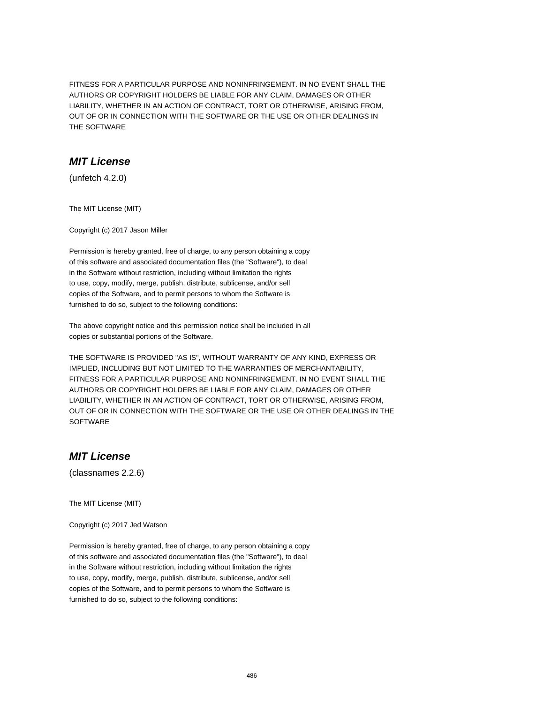FITNESS FOR A PARTICULAR PURPOSE AND NONINFRINGEMENT. IN NO EVENT SHALL THE AUTHORS OR COPYRIGHT HOLDERS BE LIABLE FOR ANY CLAIM, DAMAGES OR OTHER LIABILITY, WHETHER IN AN ACTION OF CONTRACT, TORT OR OTHERWISE, ARISING FROM, OUT OF OR IN CONNECTION WITH THE SOFTWARE OR THE USE OR OTHER DEALINGS IN THE SOFTWARE

#### **MIT License**

(unfetch 4.2.0)

The MIT License (MIT)

Copyright (c) 2017 Jason Miller

Permission is hereby granted, free of charge, to any person obtaining a copy of this software and associated documentation files (the "Software"), to deal in the Software without restriction, including without limitation the rights to use, copy, modify, merge, publish, distribute, sublicense, and/or sell copies of the Software, and to permit persons to whom the Software is furnished to do so, subject to the following conditions:

The above copyright notice and this permission notice shall be included in all copies or substantial portions of the Software.

THE SOFTWARE IS PROVIDED "AS IS", WITHOUT WARRANTY OF ANY KIND, EXPRESS OR IMPLIED, INCLUDING BUT NOT LIMITED TO THE WARRANTIES OF MERCHANTABILITY, FITNESS FOR A PARTICULAR PURPOSE AND NONINFRINGEMENT. IN NO EVENT SHALL THE AUTHORS OR COPYRIGHT HOLDERS BE LIABLE FOR ANY CLAIM, DAMAGES OR OTHER LIABILITY, WHETHER IN AN ACTION OF CONTRACT, TORT OR OTHERWISE, ARISING FROM, OUT OF OR IN CONNECTION WITH THE SOFTWARE OR THE USE OR OTHER DEALINGS IN THE **SOFTWARE** 

# **MIT License**

(classnames 2.2.6)

The MIT License (MIT)

Copyright (c) 2017 Jed Watson

Permission is hereby granted, free of charge, to any person obtaining a copy of this software and associated documentation files (the "Software"), to deal in the Software without restriction, including without limitation the rights to use, copy, modify, merge, publish, distribute, sublicense, and/or sell copies of the Software, and to permit persons to whom the Software is furnished to do so, subject to the following conditions: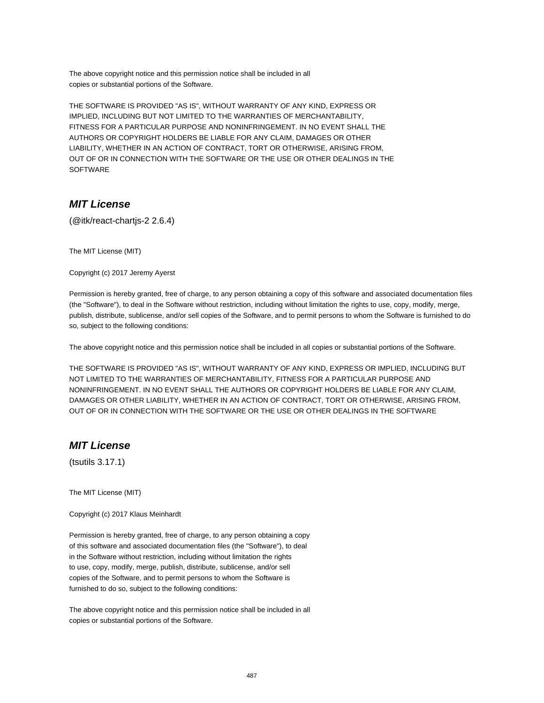The above copyright notice and this permission notice shall be included in all copies or substantial portions of the Software.

THE SOFTWARE IS PROVIDED "AS IS", WITHOUT WARRANTY OF ANY KIND, EXPRESS OR IMPLIED, INCLUDING BUT NOT LIMITED TO THE WARRANTIES OF MERCHANTABILITY, FITNESS FOR A PARTICULAR PURPOSE AND NONINFRINGEMENT. IN NO EVENT SHALL THE AUTHORS OR COPYRIGHT HOLDERS BE LIABLE FOR ANY CLAIM, DAMAGES OR OTHER LIABILITY, WHETHER IN AN ACTION OF CONTRACT, TORT OR OTHERWISE, ARISING FROM, OUT OF OR IN CONNECTION WITH THE SOFTWARE OR THE USE OR OTHER DEALINGS IN THE **SOFTWARE** 

## **MIT License**

(@itk/react-chartjs-2 2.6.4)

The MIT License (MIT)

Copyright (c) 2017 Jeremy Ayerst

Permission is hereby granted, free of charge, to any person obtaining a copy of this software and associated documentation files (the "Software"), to deal in the Software without restriction, including without limitation the rights to use, copy, modify, merge, publish, distribute, sublicense, and/or sell copies of the Software, and to permit persons to whom the Software is furnished to do so, subject to the following conditions:

The above copyright notice and this permission notice shall be included in all copies or substantial portions of the Software.

THE SOFTWARE IS PROVIDED "AS IS", WITHOUT WARRANTY OF ANY KIND, EXPRESS OR IMPLIED, INCLUDING BUT NOT LIMITED TO THE WARRANTIES OF MERCHANTABILITY, FITNESS FOR A PARTICULAR PURPOSE AND NONINFRINGEMENT. IN NO EVENT SHALL THE AUTHORS OR COPYRIGHT HOLDERS BE LIABLE FOR ANY CLAIM, DAMAGES OR OTHER LIABILITY, WHETHER IN AN ACTION OF CONTRACT, TORT OR OTHERWISE, ARISING FROM, OUT OF OR IN CONNECTION WITH THE SOFTWARE OR THE USE OR OTHER DEALINGS IN THE SOFTWARE

## **MIT License**

(tsutils 3.17.1)

The MIT License (MIT)

Copyright (c) 2017 Klaus Meinhardt

Permission is hereby granted, free of charge, to any person obtaining a copy of this software and associated documentation files (the "Software"), to deal in the Software without restriction, including without limitation the rights to use, copy, modify, merge, publish, distribute, sublicense, and/or sell copies of the Software, and to permit persons to whom the Software is furnished to do so, subject to the following conditions:

The above copyright notice and this permission notice shall be included in all copies or substantial portions of the Software.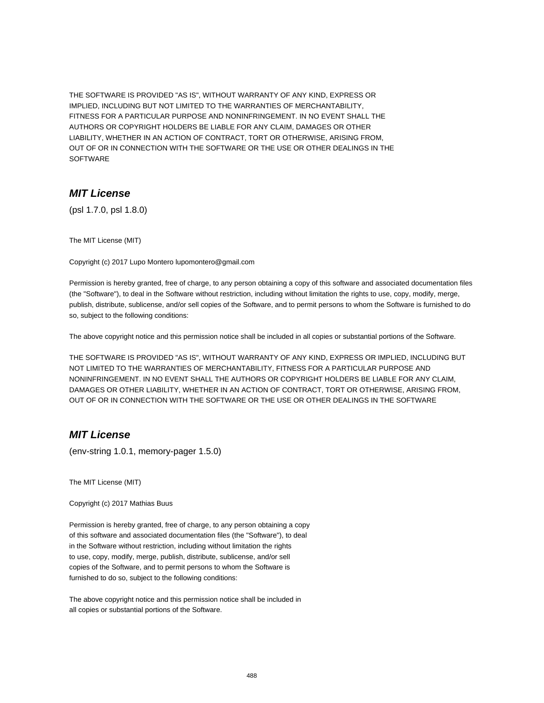THE SOFTWARE IS PROVIDED "AS IS", WITHOUT WARRANTY OF ANY KIND, EXPRESS OR IMPLIED, INCLUDING BUT NOT LIMITED TO THE WARRANTIES OF MERCHANTABILITY, FITNESS FOR A PARTICULAR PURPOSE AND NONINFRINGEMENT. IN NO EVENT SHALL THE AUTHORS OR COPYRIGHT HOLDERS BE LIABLE FOR ANY CLAIM, DAMAGES OR OTHER LIABILITY, WHETHER IN AN ACTION OF CONTRACT, TORT OR OTHERWISE, ARISING FROM, OUT OF OR IN CONNECTION WITH THE SOFTWARE OR THE USE OR OTHER DEALINGS IN THE **SOFTWARE** 

#### **MIT License**

(psl 1.7.0, psl 1.8.0)

The MIT License (MIT)

Copyright (c) 2017 Lupo Montero lupomontero@gmail.com

Permission is hereby granted, free of charge, to any person obtaining a copy of this software and associated documentation files (the "Software"), to deal in the Software without restriction, including without limitation the rights to use, copy, modify, merge, publish, distribute, sublicense, and/or sell copies of the Software, and to permit persons to whom the Software is furnished to do so, subject to the following conditions:

The above copyright notice and this permission notice shall be included in all copies or substantial portions of the Software.

THE SOFTWARE IS PROVIDED "AS IS", WITHOUT WARRANTY OF ANY KIND, EXPRESS OR IMPLIED, INCLUDING BUT NOT LIMITED TO THE WARRANTIES OF MERCHANTABILITY, FITNESS FOR A PARTICULAR PURPOSE AND NONINFRINGEMENT. IN NO EVENT SHALL THE AUTHORS OR COPYRIGHT HOLDERS BE LIABLE FOR ANY CLAIM, DAMAGES OR OTHER LIABILITY, WHETHER IN AN ACTION OF CONTRACT, TORT OR OTHERWISE, ARISING FROM, OUT OF OR IN CONNECTION WITH THE SOFTWARE OR THE USE OR OTHER DEALINGS IN THE SOFTWARE

## **MIT License**

(env-string 1.0.1, memory-pager 1.5.0)

The MIT License (MIT)

Copyright (c) 2017 Mathias Buus

Permission is hereby granted, free of charge, to any person obtaining a copy of this software and associated documentation files (the "Software"), to deal in the Software without restriction, including without limitation the rights to use, copy, modify, merge, publish, distribute, sublicense, and/or sell copies of the Software, and to permit persons to whom the Software is furnished to do so, subject to the following conditions:

The above copyright notice and this permission notice shall be included in all copies or substantial portions of the Software.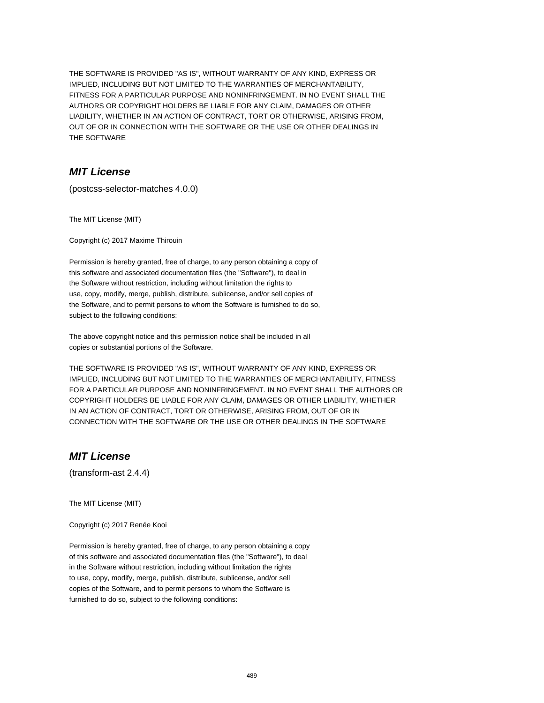THE SOFTWARE IS PROVIDED "AS IS", WITHOUT WARRANTY OF ANY KIND, EXPRESS OR IMPLIED, INCLUDING BUT NOT LIMITED TO THE WARRANTIES OF MERCHANTABILITY, FITNESS FOR A PARTICULAR PURPOSE AND NONINFRINGEMENT. IN NO EVENT SHALL THE AUTHORS OR COPYRIGHT HOLDERS BE LIABLE FOR ANY CLAIM, DAMAGES OR OTHER LIABILITY, WHETHER IN AN ACTION OF CONTRACT, TORT OR OTHERWISE, ARISING FROM, OUT OF OR IN CONNECTION WITH THE SOFTWARE OR THE USE OR OTHER DEALINGS IN THE SOFTWARE

### **MIT License**

(postcss-selector-matches 4.0.0)

The MIT License (MIT)

Copyright (c) 2017 Maxime Thirouin

Permission is hereby granted, free of charge, to any person obtaining a copy of this software and associated documentation files (the "Software"), to deal in the Software without restriction, including without limitation the rights to use, copy, modify, merge, publish, distribute, sublicense, and/or sell copies of the Software, and to permit persons to whom the Software is furnished to do so, subject to the following conditions:

The above copyright notice and this permission notice shall be included in all copies or substantial portions of the Software.

THE SOFTWARE IS PROVIDED "AS IS", WITHOUT WARRANTY OF ANY KIND, EXPRESS OR IMPLIED, INCLUDING BUT NOT LIMITED TO THE WARRANTIES OF MERCHANTABILITY, FITNESS FOR A PARTICULAR PURPOSE AND NONINFRINGEMENT. IN NO EVENT SHALL THE AUTHORS OR COPYRIGHT HOLDERS BE LIABLE FOR ANY CLAIM, DAMAGES OR OTHER LIABILITY, WHETHER IN AN ACTION OF CONTRACT, TORT OR OTHERWISE, ARISING FROM, OUT OF OR IN CONNECTION WITH THE SOFTWARE OR THE USE OR OTHER DEALINGS IN THE SOFTWARE

# **MIT License**

(transform-ast 2.4.4)

The MIT License (MIT)

Copyright (c) 2017 Renée Kooi

Permission is hereby granted, free of charge, to any person obtaining a copy of this software and associated documentation files (the "Software"), to deal in the Software without restriction, including without limitation the rights to use, copy, modify, merge, publish, distribute, sublicense, and/or sell copies of the Software, and to permit persons to whom the Software is furnished to do so, subject to the following conditions: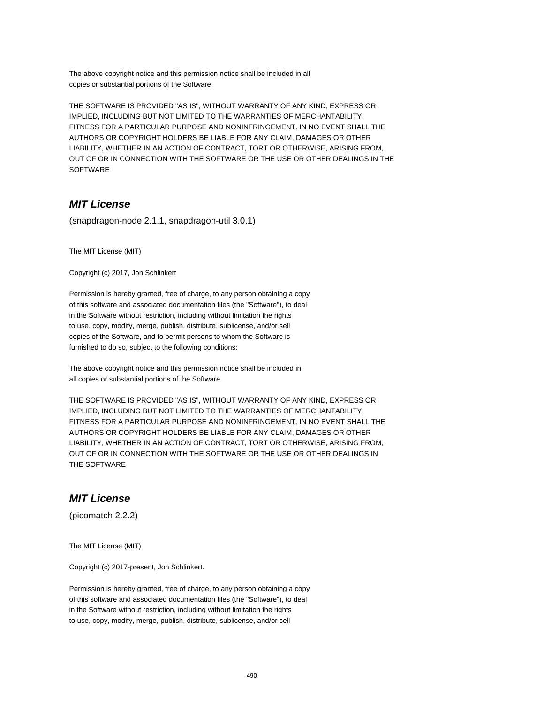The above copyright notice and this permission notice shall be included in all copies or substantial portions of the Software.

THE SOFTWARE IS PROVIDED "AS IS", WITHOUT WARRANTY OF ANY KIND, EXPRESS OR IMPLIED, INCLUDING BUT NOT LIMITED TO THE WARRANTIES OF MERCHANTABILITY, FITNESS FOR A PARTICULAR PURPOSE AND NONINFRINGEMENT. IN NO EVENT SHALL THE AUTHORS OR COPYRIGHT HOLDERS BE LIABLE FOR ANY CLAIM, DAMAGES OR OTHER LIABILITY, WHETHER IN AN ACTION OF CONTRACT, TORT OR OTHERWISE, ARISING FROM, OUT OF OR IN CONNECTION WITH THE SOFTWARE OR THE USE OR OTHER DEALINGS IN THE SOFTWARE

## **MIT License**

(snapdragon-node 2.1.1, snapdragon-util 3.0.1)

The MIT License (MIT)

Copyright (c) 2017, Jon Schlinkert

Permission is hereby granted, free of charge, to any person obtaining a copy of this software and associated documentation files (the "Software"), to deal in the Software without restriction, including without limitation the rights to use, copy, modify, merge, publish, distribute, sublicense, and/or sell copies of the Software, and to permit persons to whom the Software is furnished to do so, subject to the following conditions:

The above copyright notice and this permission notice shall be included in all copies or substantial portions of the Software.

THE SOFTWARE IS PROVIDED "AS IS", WITHOUT WARRANTY OF ANY KIND, EXPRESS OR IMPLIED, INCLUDING BUT NOT LIMITED TO THE WARRANTIES OF MERCHANTABILITY, FITNESS FOR A PARTICULAR PURPOSE AND NONINFRINGEMENT. IN NO EVENT SHALL THE AUTHORS OR COPYRIGHT HOLDERS BE LIABLE FOR ANY CLAIM, DAMAGES OR OTHER LIABILITY, WHETHER IN AN ACTION OF CONTRACT, TORT OR OTHERWISE, ARISING FROM, OUT OF OR IN CONNECTION WITH THE SOFTWARE OR THE USE OR OTHER DEALINGS IN THE SOFTWARE

#### **MIT License**

(picomatch 2.2.2)

The MIT License (MIT)

Copyright (c) 2017-present, Jon Schlinkert.

Permission is hereby granted, free of charge, to any person obtaining a copy of this software and associated documentation files (the "Software"), to deal in the Software without restriction, including without limitation the rights to use, copy, modify, merge, publish, distribute, sublicense, and/or sell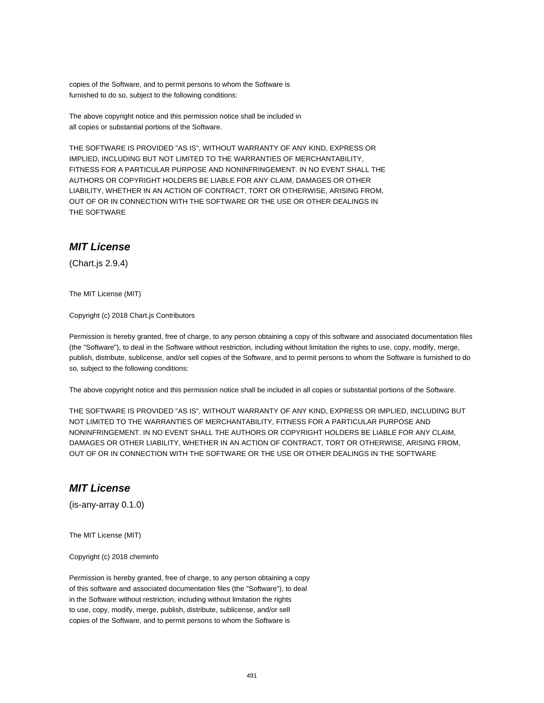copies of the Software, and to permit persons to whom the Software is furnished to do so, subject to the following conditions:

The above copyright notice and this permission notice shall be included in all copies or substantial portions of the Software.

THE SOFTWARE IS PROVIDED "AS IS", WITHOUT WARRANTY OF ANY KIND, EXPRESS OR IMPLIED, INCLUDING BUT NOT LIMITED TO THE WARRANTIES OF MERCHANTABILITY, FITNESS FOR A PARTICULAR PURPOSE AND NONINFRINGEMENT. IN NO EVENT SHALL THE AUTHORS OR COPYRIGHT HOLDERS BE LIABLE FOR ANY CLAIM, DAMAGES OR OTHER LIABILITY, WHETHER IN AN ACTION OF CONTRACT, TORT OR OTHERWISE, ARISING FROM, OUT OF OR IN CONNECTION WITH THE SOFTWARE OR THE USE OR OTHER DEALINGS IN THE SOFTWARE

## **MIT License**

(Chart.js 2.9.4)

The MIT License (MIT)

Copyright (c) 2018 Chart.js Contributors

Permission is hereby granted, free of charge, to any person obtaining a copy of this software and associated documentation files (the "Software"), to deal in the Software without restriction, including without limitation the rights to use, copy, modify, merge, publish, distribute, sublicense, and/or sell copies of the Software, and to permit persons to whom the Software is furnished to do so, subject to the following conditions:

The above copyright notice and this permission notice shall be included in all copies or substantial portions of the Software.

THE SOFTWARE IS PROVIDED "AS IS", WITHOUT WARRANTY OF ANY KIND, EXPRESS OR IMPLIED, INCLUDING BUT NOT LIMITED TO THE WARRANTIES OF MERCHANTABILITY, FITNESS FOR A PARTICULAR PURPOSE AND NONINFRINGEMENT. IN NO EVENT SHALL THE AUTHORS OR COPYRIGHT HOLDERS BE LIABLE FOR ANY CLAIM, DAMAGES OR OTHER LIABILITY, WHETHER IN AN ACTION OF CONTRACT, TORT OR OTHERWISE, ARISING FROM, OUT OF OR IN CONNECTION WITH THE SOFTWARE OR THE USE OR OTHER DEALINGS IN THE SOFTWARE

#### **MIT License**

(is-any-array 0.1.0)

The MIT License (MIT)

Copyright (c) 2018 cheminfo

Permission is hereby granted, free of charge, to any person obtaining a copy of this software and associated documentation files (the "Software"), to deal in the Software without restriction, including without limitation the rights to use, copy, modify, merge, publish, distribute, sublicense, and/or sell copies of the Software, and to permit persons to whom the Software is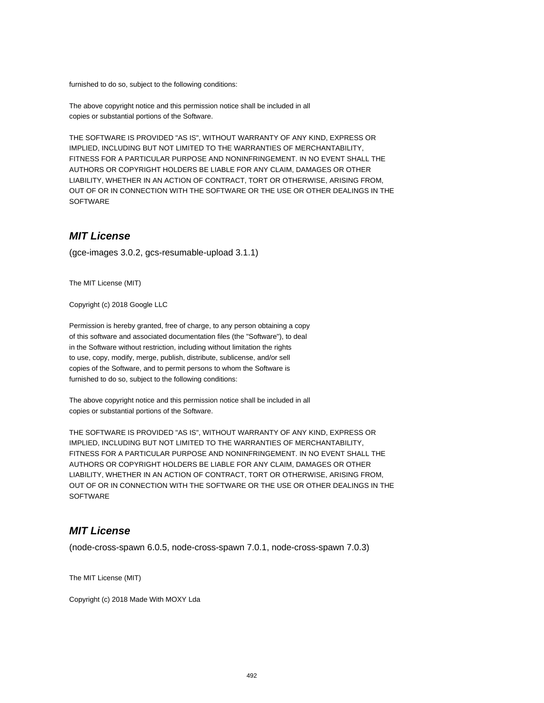furnished to do so, subject to the following conditions:

The above copyright notice and this permission notice shall be included in all copies or substantial portions of the Software.

THE SOFTWARE IS PROVIDED "AS IS", WITHOUT WARRANTY OF ANY KIND, EXPRESS OR IMPLIED, INCLUDING BUT NOT LIMITED TO THE WARRANTIES OF MERCHANTABILITY, FITNESS FOR A PARTICULAR PURPOSE AND NONINFRINGEMENT. IN NO EVENT SHALL THE AUTHORS OR COPYRIGHT HOLDERS BE LIABLE FOR ANY CLAIM, DAMAGES OR OTHER LIABILITY, WHETHER IN AN ACTION OF CONTRACT, TORT OR OTHERWISE, ARISING FROM, OUT OF OR IN CONNECTION WITH THE SOFTWARE OR THE USE OR OTHER DEALINGS IN THE SOFTWARE

#### **MIT License**

(gce-images 3.0.2, gcs-resumable-upload 3.1.1)

The MIT License (MIT)

Copyright (c) 2018 Google LLC

Permission is hereby granted, free of charge, to any person obtaining a copy of this software and associated documentation files (the "Software"), to deal in the Software without restriction, including without limitation the rights to use, copy, modify, merge, publish, distribute, sublicense, and/or sell copies of the Software, and to permit persons to whom the Software is furnished to do so, subject to the following conditions:

The above copyright notice and this permission notice shall be included in all copies or substantial portions of the Software.

THE SOFTWARE IS PROVIDED "AS IS", WITHOUT WARRANTY OF ANY KIND, EXPRESS OR IMPLIED, INCLUDING BUT NOT LIMITED TO THE WARRANTIES OF MERCHANTABILITY, FITNESS FOR A PARTICULAR PURPOSE AND NONINFRINGEMENT. IN NO EVENT SHALL THE AUTHORS OR COPYRIGHT HOLDERS BE LIABLE FOR ANY CLAIM, DAMAGES OR OTHER LIABILITY, WHETHER IN AN ACTION OF CONTRACT, TORT OR OTHERWISE, ARISING FROM, OUT OF OR IN CONNECTION WITH THE SOFTWARE OR THE USE OR OTHER DEALINGS IN THE **SOFTWARE** 

#### **MIT License**

(node-cross-spawn 6.0.5, node-cross-spawn 7.0.1, node-cross-spawn 7.0.3)

The MIT License (MIT)

Copyright (c) 2018 Made With MOXY Lda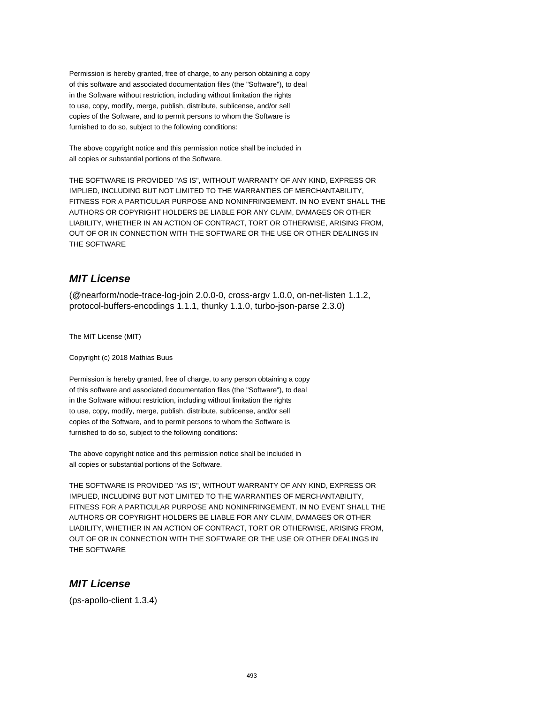Permission is hereby granted, free of charge, to any person obtaining a copy of this software and associated documentation files (the "Software"), to deal in the Software without restriction, including without limitation the rights to use, copy, modify, merge, publish, distribute, sublicense, and/or sell copies of the Software, and to permit persons to whom the Software is furnished to do so, subject to the following conditions:

The above copyright notice and this permission notice shall be included in all copies or substantial portions of the Software.

THE SOFTWARE IS PROVIDED "AS IS", WITHOUT WARRANTY OF ANY KIND, EXPRESS OR IMPLIED, INCLUDING BUT NOT LIMITED TO THE WARRANTIES OF MERCHANTABILITY, FITNESS FOR A PARTICULAR PURPOSE AND NONINFRINGEMENT. IN NO EVENT SHALL THE AUTHORS OR COPYRIGHT HOLDERS BE LIABLE FOR ANY CLAIM, DAMAGES OR OTHER LIABILITY, WHETHER IN AN ACTION OF CONTRACT, TORT OR OTHERWISE, ARISING FROM, OUT OF OR IN CONNECTION WITH THE SOFTWARE OR THE USE OR OTHER DEALINGS IN THE SOFTWARE

## **MIT License**

(@nearform/node-trace-log-join 2.0.0-0, cross-argv 1.0.0, on-net-listen 1.1.2, protocol-buffers-encodings 1.1.1, thunky 1.1.0, turbo-json-parse 2.3.0)

The MIT License (MIT)

Copyright (c) 2018 Mathias Buus

Permission is hereby granted, free of charge, to any person obtaining a copy of this software and associated documentation files (the "Software"), to deal in the Software without restriction, including without limitation the rights to use, copy, modify, merge, publish, distribute, sublicense, and/or sell copies of the Software, and to permit persons to whom the Software is furnished to do so, subject to the following conditions:

The above copyright notice and this permission notice shall be included in all copies or substantial portions of the Software.

THE SOFTWARE IS PROVIDED "AS IS", WITHOUT WARRANTY OF ANY KIND, EXPRESS OR IMPLIED, INCLUDING BUT NOT LIMITED TO THE WARRANTIES OF MERCHANTABILITY, FITNESS FOR A PARTICULAR PURPOSE AND NONINFRINGEMENT. IN NO EVENT SHALL THE AUTHORS OR COPYRIGHT HOLDERS BE LIABLE FOR ANY CLAIM, DAMAGES OR OTHER LIABILITY, WHETHER IN AN ACTION OF CONTRACT, TORT OR OTHERWISE, ARISING FROM, OUT OF OR IN CONNECTION WITH THE SOFTWARE OR THE USE OR OTHER DEALINGS IN THE SOFTWARE

#### **MIT License**

(ps-apollo-client 1.3.4)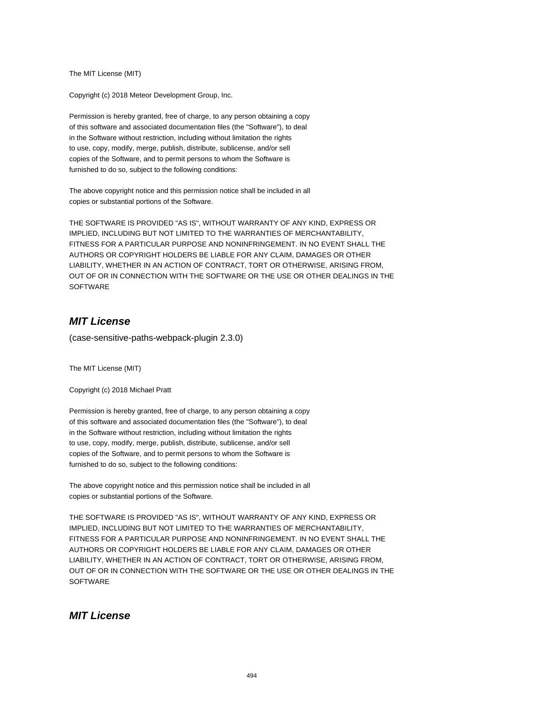The MIT License (MIT)

Copyright (c) 2018 Meteor Development Group, Inc.

Permission is hereby granted, free of charge, to any person obtaining a copy of this software and associated documentation files (the "Software"), to deal in the Software without restriction, including without limitation the rights to use, copy, modify, merge, publish, distribute, sublicense, and/or sell copies of the Software, and to permit persons to whom the Software is furnished to do so, subject to the following conditions:

The above copyright notice and this permission notice shall be included in all copies or substantial portions of the Software.

THE SOFTWARE IS PROVIDED "AS IS", WITHOUT WARRANTY OF ANY KIND, EXPRESS OR IMPLIED, INCLUDING BUT NOT LIMITED TO THE WARRANTIES OF MERCHANTABILITY, FITNESS FOR A PARTICULAR PURPOSE AND NONINFRINGEMENT. IN NO EVENT SHALL THE AUTHORS OR COPYRIGHT HOLDERS BE LIABLE FOR ANY CLAIM, DAMAGES OR OTHER LIABILITY, WHETHER IN AN ACTION OF CONTRACT, TORT OR OTHERWISE, ARISING FROM, OUT OF OR IN CONNECTION WITH THE SOFTWARE OR THE USE OR OTHER DEALINGS IN THE **SOFTWARE** 

## **MIT License**

(case-sensitive-paths-webpack-plugin 2.3.0)

The MIT License (MIT)

Copyright (c) 2018 Michael Pratt

Permission is hereby granted, free of charge, to any person obtaining a copy of this software and associated documentation files (the "Software"), to deal in the Software without restriction, including without limitation the rights to use, copy, modify, merge, publish, distribute, sublicense, and/or sell copies of the Software, and to permit persons to whom the Software is furnished to do so, subject to the following conditions:

The above copyright notice and this permission notice shall be included in all copies or substantial portions of the Software.

THE SOFTWARE IS PROVIDED "AS IS", WITHOUT WARRANTY OF ANY KIND, EXPRESS OR IMPLIED, INCLUDING BUT NOT LIMITED TO THE WARRANTIES OF MERCHANTABILITY, FITNESS FOR A PARTICULAR PURPOSE AND NONINFRINGEMENT. IN NO EVENT SHALL THE AUTHORS OR COPYRIGHT HOLDERS BE LIABLE FOR ANY CLAIM, DAMAGES OR OTHER LIABILITY, WHETHER IN AN ACTION OF CONTRACT, TORT OR OTHERWISE, ARISING FROM, OUT OF OR IN CONNECTION WITH THE SOFTWARE OR THE USE OR OTHER DEALINGS IN THE **SOFTWARE** 

### **MIT License**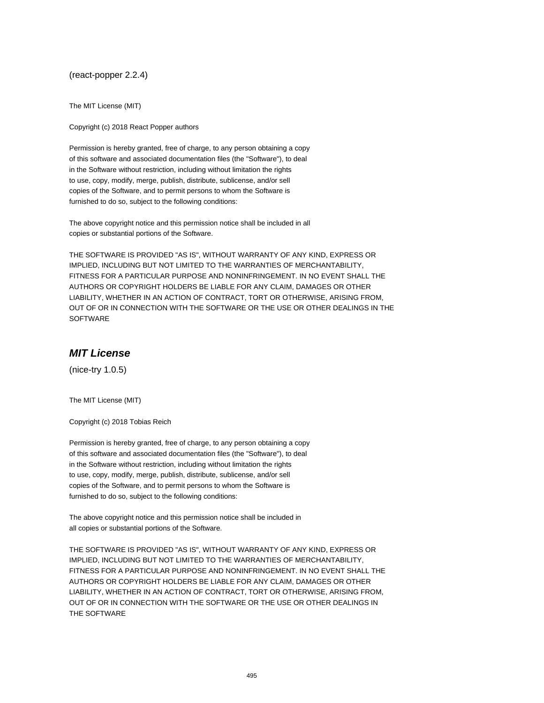(react-popper 2.2.4)

The MIT License (MIT)

Copyright (c) 2018 React Popper authors

Permission is hereby granted, free of charge, to any person obtaining a copy of this software and associated documentation files (the "Software"), to deal in the Software without restriction, including without limitation the rights to use, copy, modify, merge, publish, distribute, sublicense, and/or sell copies of the Software, and to permit persons to whom the Software is furnished to do so, subject to the following conditions:

The above copyright notice and this permission notice shall be included in all copies or substantial portions of the Software.

THE SOFTWARE IS PROVIDED "AS IS", WITHOUT WARRANTY OF ANY KIND, EXPRESS OR IMPLIED, INCLUDING BUT NOT LIMITED TO THE WARRANTIES OF MERCHANTABILITY, FITNESS FOR A PARTICULAR PURPOSE AND NONINFRINGEMENT. IN NO EVENT SHALL THE AUTHORS OR COPYRIGHT HOLDERS BE LIABLE FOR ANY CLAIM, DAMAGES OR OTHER LIABILITY, WHETHER IN AN ACTION OF CONTRACT, TORT OR OTHERWISE, ARISING FROM, OUT OF OR IN CONNECTION WITH THE SOFTWARE OR THE USE OR OTHER DEALINGS IN THE SOFTWARE

### **MIT License**

(nice-try 1.0.5)

The MIT License (MIT)

Copyright (c) 2018 Tobias Reich

Permission is hereby granted, free of charge, to any person obtaining a copy of this software and associated documentation files (the "Software"), to deal in the Software without restriction, including without limitation the rights to use, copy, modify, merge, publish, distribute, sublicense, and/or sell copies of the Software, and to permit persons to whom the Software is furnished to do so, subject to the following conditions:

The above copyright notice and this permission notice shall be included in all copies or substantial portions of the Software.

THE SOFTWARE IS PROVIDED "AS IS", WITHOUT WARRANTY OF ANY KIND, EXPRESS OR IMPLIED, INCLUDING BUT NOT LIMITED TO THE WARRANTIES OF MERCHANTABILITY, FITNESS FOR A PARTICULAR PURPOSE AND NONINFRINGEMENT. IN NO EVENT SHALL THE AUTHORS OR COPYRIGHT HOLDERS BE LIABLE FOR ANY CLAIM, DAMAGES OR OTHER LIABILITY, WHETHER IN AN ACTION OF CONTRACT, TORT OR OTHERWISE, ARISING FROM, OUT OF OR IN CONNECTION WITH THE SOFTWARE OR THE USE OR OTHER DEALINGS IN THE SOFTWARE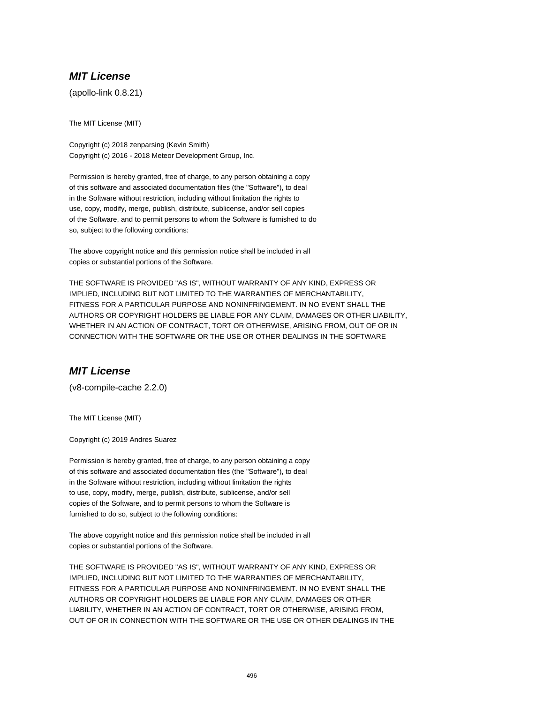### **MIT License**

(apollo-link 0.8.21)

The MIT License (MIT)

Copyright (c) 2018 zenparsing (Kevin Smith) Copyright (c) 2016 - 2018 Meteor Development Group, Inc.

Permission is hereby granted, free of charge, to any person obtaining a copy of this software and associated documentation files (the "Software"), to deal in the Software without restriction, including without limitation the rights to use, copy, modify, merge, publish, distribute, sublicense, and/or sell copies of the Software, and to permit persons to whom the Software is furnished to do so, subject to the following conditions:

The above copyright notice and this permission notice shall be included in all copies or substantial portions of the Software.

THE SOFTWARE IS PROVIDED "AS IS", WITHOUT WARRANTY OF ANY KIND, EXPRESS OR IMPLIED, INCLUDING BUT NOT LIMITED TO THE WARRANTIES OF MERCHANTABILITY, FITNESS FOR A PARTICULAR PURPOSE AND NONINFRINGEMENT. IN NO EVENT SHALL THE AUTHORS OR COPYRIGHT HOLDERS BE LIABLE FOR ANY CLAIM, DAMAGES OR OTHER LIABILITY, WHETHER IN AN ACTION OF CONTRACT, TORT OR OTHERWISE, ARISING FROM, OUT OF OR IN CONNECTION WITH THE SOFTWARE OR THE USE OR OTHER DEALINGS IN THE SOFTWARE

#### **MIT License**

(v8-compile-cache 2.2.0)

The MIT License (MIT)

Copyright (c) 2019 Andres Suarez

Permission is hereby granted, free of charge, to any person obtaining a copy of this software and associated documentation files (the "Software"), to deal in the Software without restriction, including without limitation the rights to use, copy, modify, merge, publish, distribute, sublicense, and/or sell copies of the Software, and to permit persons to whom the Software is furnished to do so, subject to the following conditions:

The above copyright notice and this permission notice shall be included in all copies or substantial portions of the Software.

THE SOFTWARE IS PROVIDED "AS IS", WITHOUT WARRANTY OF ANY KIND, EXPRESS OR IMPLIED, INCLUDING BUT NOT LIMITED TO THE WARRANTIES OF MERCHANTABILITY, FITNESS FOR A PARTICULAR PURPOSE AND NONINFRINGEMENT. IN NO EVENT SHALL THE AUTHORS OR COPYRIGHT HOLDERS BE LIABLE FOR ANY CLAIM, DAMAGES OR OTHER LIABILITY, WHETHER IN AN ACTION OF CONTRACT, TORT OR OTHERWISE, ARISING FROM, OUT OF OR IN CONNECTION WITH THE SOFTWARE OR THE USE OR OTHER DEALINGS IN THE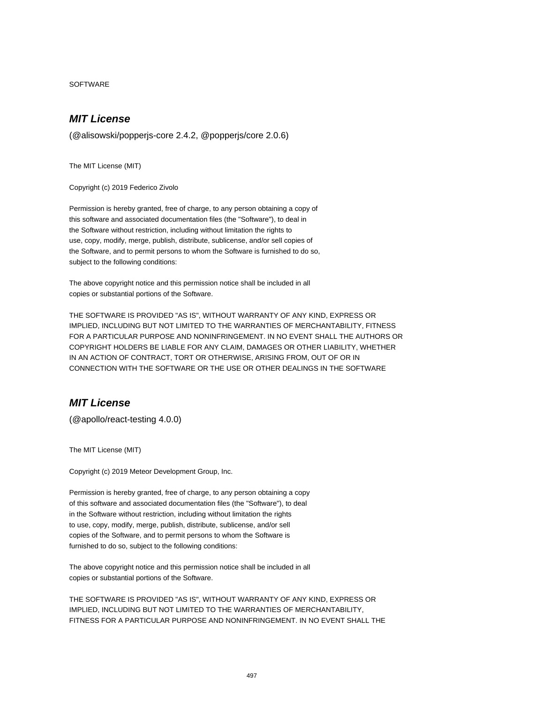SOFTWARE

#### **MIT License**

(@alisowski/popperjs-core 2.4.2, @popperjs/core 2.0.6)

The MIT License (MIT)

Copyright (c) 2019 Federico Zivolo

Permission is hereby granted, free of charge, to any person obtaining a copy of this software and associated documentation files (the "Software"), to deal in the Software without restriction, including without limitation the rights to use, copy, modify, merge, publish, distribute, sublicense, and/or sell copies of the Software, and to permit persons to whom the Software is furnished to do so, subject to the following conditions:

The above copyright notice and this permission notice shall be included in all copies or substantial portions of the Software.

THE SOFTWARE IS PROVIDED "AS IS", WITHOUT WARRANTY OF ANY KIND, EXPRESS OR IMPLIED, INCLUDING BUT NOT LIMITED TO THE WARRANTIES OF MERCHANTABILITY, FITNESS FOR A PARTICULAR PURPOSE AND NONINFRINGEMENT. IN NO EVENT SHALL THE AUTHORS OR COPYRIGHT HOLDERS BE LIABLE FOR ANY CLAIM, DAMAGES OR OTHER LIABILITY, WHETHER IN AN ACTION OF CONTRACT, TORT OR OTHERWISE, ARISING FROM, OUT OF OR IN CONNECTION WITH THE SOFTWARE OR THE USE OR OTHER DEALINGS IN THE SOFTWARE

#### **MIT License**

(@apollo/react-testing 4.0.0)

The MIT License (MIT)

Copyright (c) 2019 Meteor Development Group, Inc.

Permission is hereby granted, free of charge, to any person obtaining a copy of this software and associated documentation files (the "Software"), to deal in the Software without restriction, including without limitation the rights to use, copy, modify, merge, publish, distribute, sublicense, and/or sell copies of the Software, and to permit persons to whom the Software is furnished to do so, subject to the following conditions:

The above copyright notice and this permission notice shall be included in all copies or substantial portions of the Software.

THE SOFTWARE IS PROVIDED "AS IS", WITHOUT WARRANTY OF ANY KIND, EXPRESS OR IMPLIED, INCLUDING BUT NOT LIMITED TO THE WARRANTIES OF MERCHANTABILITY, FITNESS FOR A PARTICULAR PURPOSE AND NONINFRINGEMENT. IN NO EVENT SHALL THE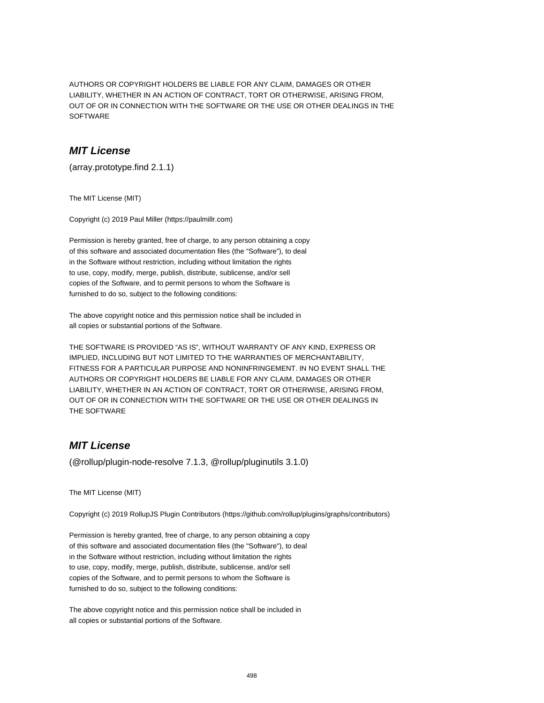AUTHORS OR COPYRIGHT HOLDERS BE LIABLE FOR ANY CLAIM, DAMAGES OR OTHER LIABILITY, WHETHER IN AN ACTION OF CONTRACT, TORT OR OTHERWISE, ARISING FROM, OUT OF OR IN CONNECTION WITH THE SOFTWARE OR THE USE OR OTHER DEALINGS IN THE SOFTWARE

### **MIT License**

(array.prototype.find 2.1.1)

The MIT License (MIT)

Copyright (c) 2019 Paul Miller (https://paulmillr.com)

Permission is hereby granted, free of charge, to any person obtaining a copy of this software and associated documentation files (the "Software"), to deal in the Software without restriction, including without limitation the rights to use, copy, modify, merge, publish, distribute, sublicense, and/or sell copies of the Software, and to permit persons to whom the Software is furnished to do so, subject to the following conditions:

The above copyright notice and this permission notice shall be included in all copies or substantial portions of the Software.

THE SOFTWARE IS PROVIDED "AS IS", WITHOUT WARRANTY OF ANY KIND, EXPRESS OR IMPLIED, INCLUDING BUT NOT LIMITED TO THE WARRANTIES OF MERCHANTABILITY, FITNESS FOR A PARTICULAR PURPOSE AND NONINFRINGEMENT. IN NO EVENT SHALL THE AUTHORS OR COPYRIGHT HOLDERS BE LIABLE FOR ANY CLAIM, DAMAGES OR OTHER LIABILITY, WHETHER IN AN ACTION OF CONTRACT, TORT OR OTHERWISE, ARISING FROM, OUT OF OR IN CONNECTION WITH THE SOFTWARE OR THE USE OR OTHER DEALINGS IN THE SOFTWARE

## **MIT License**

(@rollup/plugin-node-resolve 7.1.3, @rollup/pluginutils 3.1.0)

The MIT License (MIT)

Copyright (c) 2019 RollupJS Plugin Contributors (https://github.com/rollup/plugins/graphs/contributors)

Permission is hereby granted, free of charge, to any person obtaining a copy of this software and associated documentation files (the "Software"), to deal in the Software without restriction, including without limitation the rights to use, copy, modify, merge, publish, distribute, sublicense, and/or sell copies of the Software, and to permit persons to whom the Software is furnished to do so, subject to the following conditions:

The above copyright notice and this permission notice shall be included in all copies or substantial portions of the Software.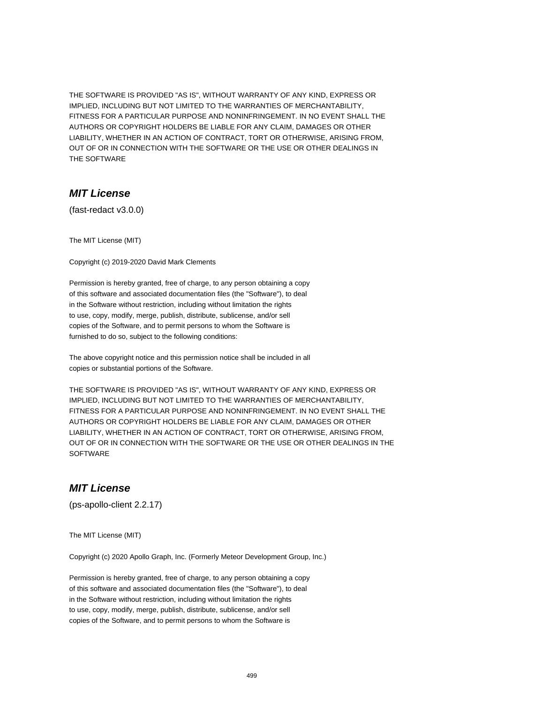THE SOFTWARE IS PROVIDED "AS IS", WITHOUT WARRANTY OF ANY KIND, EXPRESS OR IMPLIED, INCLUDING BUT NOT LIMITED TO THE WARRANTIES OF MERCHANTABILITY, FITNESS FOR A PARTICULAR PURPOSE AND NONINFRINGEMENT. IN NO EVENT SHALL THE AUTHORS OR COPYRIGHT HOLDERS BE LIABLE FOR ANY CLAIM, DAMAGES OR OTHER LIABILITY, WHETHER IN AN ACTION OF CONTRACT, TORT OR OTHERWISE, ARISING FROM, OUT OF OR IN CONNECTION WITH THE SOFTWARE OR THE USE OR OTHER DEALINGS IN THE SOFTWARE

#### **MIT License**

(fast-redact v3.0.0)

The MIT License (MIT)

Copyright (c) 2019-2020 David Mark Clements

Permission is hereby granted, free of charge, to any person obtaining a copy of this software and associated documentation files (the "Software"), to deal in the Software without restriction, including without limitation the rights to use, copy, modify, merge, publish, distribute, sublicense, and/or sell copies of the Software, and to permit persons to whom the Software is furnished to do so, subject to the following conditions:

The above copyright notice and this permission notice shall be included in all copies or substantial portions of the Software.

THE SOFTWARE IS PROVIDED "AS IS", WITHOUT WARRANTY OF ANY KIND, EXPRESS OR IMPLIED, INCLUDING BUT NOT LIMITED TO THE WARRANTIES OF MERCHANTABILITY, FITNESS FOR A PARTICULAR PURPOSE AND NONINFRINGEMENT. IN NO EVENT SHALL THE AUTHORS OR COPYRIGHT HOLDERS BE LIABLE FOR ANY CLAIM, DAMAGES OR OTHER LIABILITY, WHETHER IN AN ACTION OF CONTRACT, TORT OR OTHERWISE, ARISING FROM, OUT OF OR IN CONNECTION WITH THE SOFTWARE OR THE USE OR OTHER DEALINGS IN THE **SOFTWARE** 

### **MIT License**

(ps-apollo-client 2.2.17)

The MIT License (MIT)

Copyright (c) 2020 Apollo Graph, Inc. (Formerly Meteor Development Group, Inc.)

Permission is hereby granted, free of charge, to any person obtaining a copy of this software and associated documentation files (the "Software"), to deal in the Software without restriction, including without limitation the rights to use, copy, modify, merge, publish, distribute, sublicense, and/or sell copies of the Software, and to permit persons to whom the Software is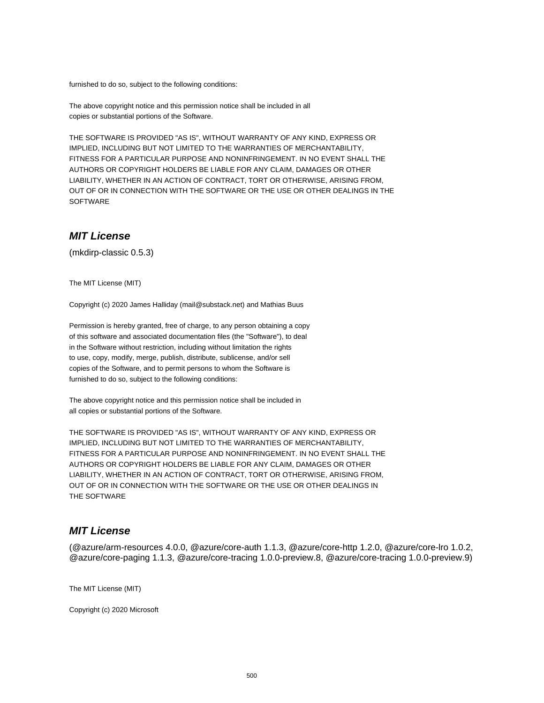furnished to do so, subject to the following conditions:

The above copyright notice and this permission notice shall be included in all copies or substantial portions of the Software.

THE SOFTWARE IS PROVIDED "AS IS", WITHOUT WARRANTY OF ANY KIND, EXPRESS OR IMPLIED, INCLUDING BUT NOT LIMITED TO THE WARRANTIES OF MERCHANTABILITY, FITNESS FOR A PARTICULAR PURPOSE AND NONINFRINGEMENT. IN NO EVENT SHALL THE AUTHORS OR COPYRIGHT HOLDERS BE LIABLE FOR ANY CLAIM, DAMAGES OR OTHER LIABILITY, WHETHER IN AN ACTION OF CONTRACT, TORT OR OTHERWISE, ARISING FROM, OUT OF OR IN CONNECTION WITH THE SOFTWARE OR THE USE OR OTHER DEALINGS IN THE SOFTWARE

#### **MIT License**

(mkdirp-classic 0.5.3)

The MIT License (MIT)

Copyright (c) 2020 James Halliday (mail@substack.net) and Mathias Buus

Permission is hereby granted, free of charge, to any person obtaining a copy of this software and associated documentation files (the "Software"), to deal in the Software without restriction, including without limitation the rights to use, copy, modify, merge, publish, distribute, sublicense, and/or sell copies of the Software, and to permit persons to whom the Software is furnished to do so, subject to the following conditions:

The above copyright notice and this permission notice shall be included in all copies or substantial portions of the Software.

THE SOFTWARE IS PROVIDED "AS IS", WITHOUT WARRANTY OF ANY KIND, EXPRESS OR IMPLIED, INCLUDING BUT NOT LIMITED TO THE WARRANTIES OF MERCHANTABILITY, FITNESS FOR A PARTICULAR PURPOSE AND NONINFRINGEMENT. IN NO EVENT SHALL THE AUTHORS OR COPYRIGHT HOLDERS BE LIABLE FOR ANY CLAIM, DAMAGES OR OTHER LIABILITY, WHETHER IN AN ACTION OF CONTRACT, TORT OR OTHERWISE, ARISING FROM, OUT OF OR IN CONNECTION WITH THE SOFTWARE OR THE USE OR OTHER DEALINGS IN THE SOFTWARE

#### **MIT License**

(@azure/arm-resources 4.0.0, @azure/core-auth 1.1.3, @azure/core-http 1.2.0, @azure/core-lro 1.0.2, @azure/core-paging 1.1.3, @azure/core-tracing 1.0.0-preview.8, @azure/core-tracing 1.0.0-preview.9)

The MIT License (MIT)

Copyright (c) 2020 Microsoft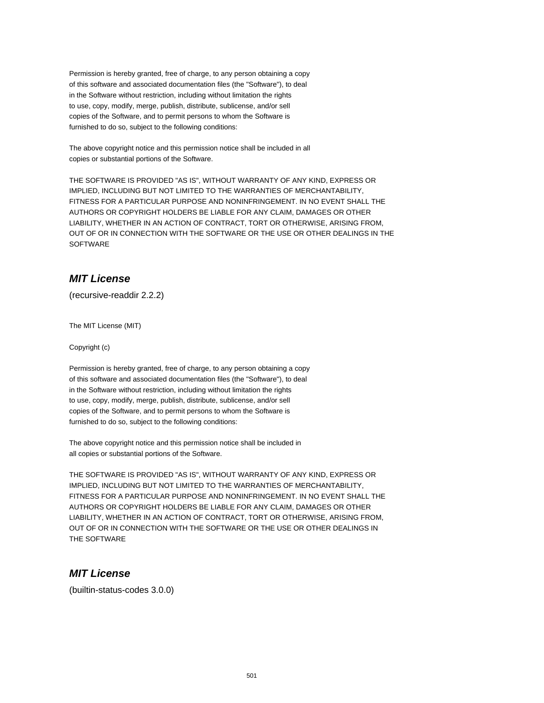Permission is hereby granted, free of charge, to any person obtaining a copy of this software and associated documentation files (the "Software"), to deal in the Software without restriction, including without limitation the rights to use, copy, modify, merge, publish, distribute, sublicense, and/or sell copies of the Software, and to permit persons to whom the Software is furnished to do so, subject to the following conditions:

The above copyright notice and this permission notice shall be included in all copies or substantial portions of the Software.

THE SOFTWARE IS PROVIDED "AS IS", WITHOUT WARRANTY OF ANY KIND, EXPRESS OR IMPLIED, INCLUDING BUT NOT LIMITED TO THE WARRANTIES OF MERCHANTABILITY, FITNESS FOR A PARTICULAR PURPOSE AND NONINFRINGEMENT. IN NO EVENT SHALL THE AUTHORS OR COPYRIGHT HOLDERS BE LIABLE FOR ANY CLAIM, DAMAGES OR OTHER LIABILITY, WHETHER IN AN ACTION OF CONTRACT, TORT OR OTHERWISE, ARISING FROM, OUT OF OR IN CONNECTION WITH THE SOFTWARE OR THE USE OR OTHER DEALINGS IN THE SOFTWARE

# **MIT License**

(recursive-readdir 2.2.2)

The MIT License (MIT)

Copyright (c)

Permission is hereby granted, free of charge, to any person obtaining a copy of this software and associated documentation files (the "Software"), to deal in the Software without restriction, including without limitation the rights to use, copy, modify, merge, publish, distribute, sublicense, and/or sell copies of the Software, and to permit persons to whom the Software is furnished to do so, subject to the following conditions:

The above copyright notice and this permission notice shall be included in all copies or substantial portions of the Software.

THE SOFTWARE IS PROVIDED "AS IS", WITHOUT WARRANTY OF ANY KIND, EXPRESS OR IMPLIED, INCLUDING BUT NOT LIMITED TO THE WARRANTIES OF MERCHANTABILITY, FITNESS FOR A PARTICULAR PURPOSE AND NONINFRINGEMENT. IN NO EVENT SHALL THE AUTHORS OR COPYRIGHT HOLDERS BE LIABLE FOR ANY CLAIM, DAMAGES OR OTHER LIABILITY, WHETHER IN AN ACTION OF CONTRACT, TORT OR OTHERWISE, ARISING FROM, OUT OF OR IN CONNECTION WITH THE SOFTWARE OR THE USE OR OTHER DEALINGS IN THE SOFTWARE

#### **MIT License**

(builtin-status-codes 3.0.0)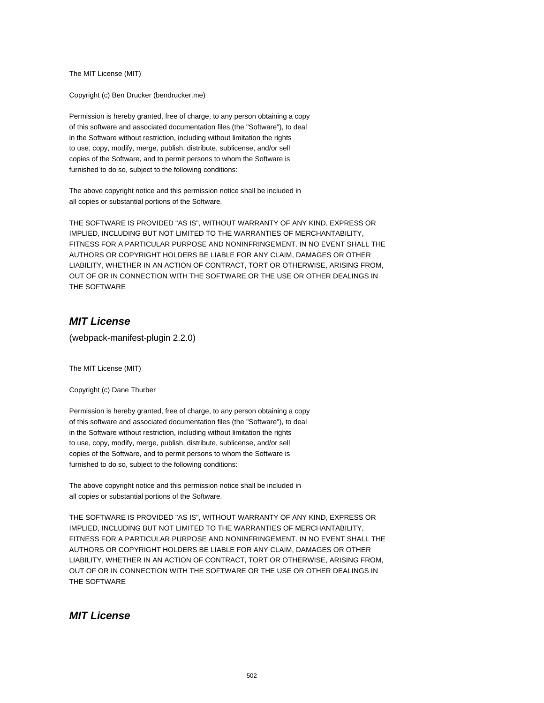The MIT License (MIT)

Copyright (c) Ben Drucker (bendrucker.me)

Permission is hereby granted, free of charge, to any person obtaining a copy of this software and associated documentation files (the "Software"), to deal in the Software without restriction, including without limitation the rights to use, copy, modify, merge, publish, distribute, sublicense, and/or sell copies of the Software, and to permit persons to whom the Software is furnished to do so, subject to the following conditions:

The above copyright notice and this permission notice shall be included in all copies or substantial portions of the Software.

THE SOFTWARE IS PROVIDED "AS IS", WITHOUT WARRANTY OF ANY KIND, EXPRESS OR IMPLIED, INCLUDING BUT NOT LIMITED TO THE WARRANTIES OF MERCHANTABILITY, FITNESS FOR A PARTICULAR PURPOSE AND NONINFRINGEMENT. IN NO EVENT SHALL THE AUTHORS OR COPYRIGHT HOLDERS BE LIABLE FOR ANY CLAIM, DAMAGES OR OTHER LIABILITY, WHETHER IN AN ACTION OF CONTRACT, TORT OR OTHERWISE, ARISING FROM, OUT OF OR IN CONNECTION WITH THE SOFTWARE OR THE USE OR OTHER DEALINGS IN THE SOFTWARE

### **MIT License**

(webpack-manifest-plugin 2.2.0)

The MIT License (MIT)

Copyright (c) Dane Thurber

Permission is hereby granted, free of charge, to any person obtaining a copy of this software and associated documentation files (the "Software"), to deal in the Software without restriction, including without limitation the rights to use, copy, modify, merge, publish, distribute, sublicense, and/or sell copies of the Software, and to permit persons to whom the Software is furnished to do so, subject to the following conditions:

The above copyright notice and this permission notice shall be included in all copies or substantial portions of the Software.

THE SOFTWARE IS PROVIDED "AS IS", WITHOUT WARRANTY OF ANY KIND, EXPRESS OR IMPLIED, INCLUDING BUT NOT LIMITED TO THE WARRANTIES OF MERCHANTABILITY, FITNESS FOR A PARTICULAR PURPOSE AND NONINFRINGEMENT. IN NO EVENT SHALL THE AUTHORS OR COPYRIGHT HOLDERS BE LIABLE FOR ANY CLAIM, DAMAGES OR OTHER LIABILITY, WHETHER IN AN ACTION OF CONTRACT, TORT OR OTHERWISE, ARISING FROM, OUT OF OR IN CONNECTION WITH THE SOFTWARE OR THE USE OR OTHER DEALINGS IN THE SOFTWARE

#### **MIT License**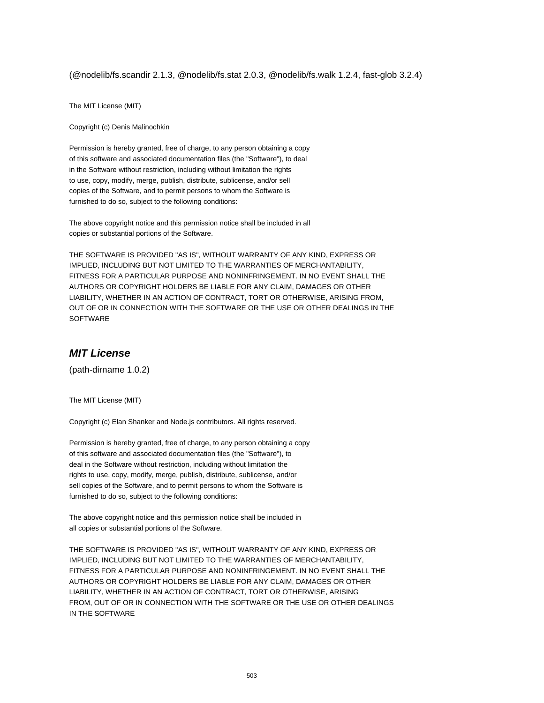(@nodelib/fs.scandir 2.1.3, @nodelib/fs.stat 2.0.3, @nodelib/fs.walk 1.2.4, fast-glob 3.2.4)

The MIT License (MIT)

Copyright (c) Denis Malinochkin

Permission is hereby granted, free of charge, to any person obtaining a copy of this software and associated documentation files (the "Software"), to deal in the Software without restriction, including without limitation the rights to use, copy, modify, merge, publish, distribute, sublicense, and/or sell copies of the Software, and to permit persons to whom the Software is furnished to do so, subject to the following conditions:

The above copyright notice and this permission notice shall be included in all copies or substantial portions of the Software.

THE SOFTWARE IS PROVIDED "AS IS", WITHOUT WARRANTY OF ANY KIND, EXPRESS OR IMPLIED, INCLUDING BUT NOT LIMITED TO THE WARRANTIES OF MERCHANTABILITY, FITNESS FOR A PARTICULAR PURPOSE AND NONINFRINGEMENT. IN NO EVENT SHALL THE AUTHORS OR COPYRIGHT HOLDERS BE LIABLE FOR ANY CLAIM, DAMAGES OR OTHER LIABILITY, WHETHER IN AN ACTION OF CONTRACT, TORT OR OTHERWISE, ARISING FROM, OUT OF OR IN CONNECTION WITH THE SOFTWARE OR THE USE OR OTHER DEALINGS IN THE SOFTWARE

## **MIT License**

(path-dirname 1.0.2)

The MIT License (MIT)

Copyright (c) Elan Shanker and Node.js contributors. All rights reserved.

Permission is hereby granted, free of charge, to any person obtaining a copy of this software and associated documentation files (the "Software"), to deal in the Software without restriction, including without limitation the rights to use, copy, modify, merge, publish, distribute, sublicense, and/or sell copies of the Software, and to permit persons to whom the Software is furnished to do so, subject to the following conditions:

The above copyright notice and this permission notice shall be included in all copies or substantial portions of the Software.

THE SOFTWARE IS PROVIDED "AS IS", WITHOUT WARRANTY OF ANY KIND, EXPRESS OR IMPLIED, INCLUDING BUT NOT LIMITED TO THE WARRANTIES OF MERCHANTABILITY, FITNESS FOR A PARTICULAR PURPOSE AND NONINFRINGEMENT. IN NO EVENT SHALL THE AUTHORS OR COPYRIGHT HOLDERS BE LIABLE FOR ANY CLAIM, DAMAGES OR OTHER LIABILITY, WHETHER IN AN ACTION OF CONTRACT, TORT OR OTHERWISE, ARISING FROM, OUT OF OR IN CONNECTION WITH THE SOFTWARE OR THE USE OR OTHER DEALINGS IN THE SOFTWARE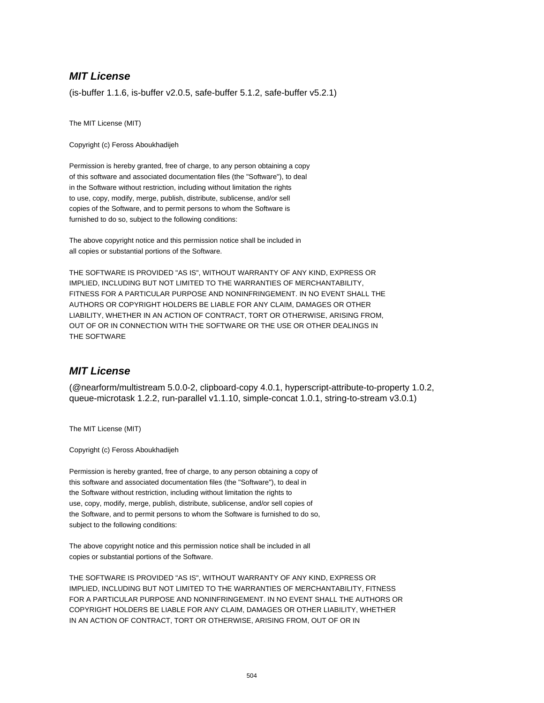# **MIT License**

(is-buffer 1.1.6, is-buffer v2.0.5, safe-buffer 5.1.2, safe-buffer v5.2.1)

The MIT License (MIT)

Copyright (c) Feross Aboukhadijeh

Permission is hereby granted, free of charge, to any person obtaining a copy of this software and associated documentation files (the "Software"), to deal in the Software without restriction, including without limitation the rights to use, copy, modify, merge, publish, distribute, sublicense, and/or sell copies of the Software, and to permit persons to whom the Software is furnished to do so, subject to the following conditions:

The above copyright notice and this permission notice shall be included in all copies or substantial portions of the Software.

THE SOFTWARE IS PROVIDED "AS IS", WITHOUT WARRANTY OF ANY KIND, EXPRESS OR IMPLIED, INCLUDING BUT NOT LIMITED TO THE WARRANTIES OF MERCHANTABILITY, FITNESS FOR A PARTICULAR PURPOSE AND NONINFRINGEMENT. IN NO EVENT SHALL THE AUTHORS OR COPYRIGHT HOLDERS BE LIABLE FOR ANY CLAIM, DAMAGES OR OTHER LIABILITY, WHETHER IN AN ACTION OF CONTRACT, TORT OR OTHERWISE, ARISING FROM, OUT OF OR IN CONNECTION WITH THE SOFTWARE OR THE USE OR OTHER DEALINGS IN THE SOFTWARE

## **MIT License**

(@nearform/multistream 5.0.0-2, clipboard-copy 4.0.1, hyperscript-attribute-to-property 1.0.2, queue-microtask 1.2.2, run-parallel v1.1.10, simple-concat 1.0.1, string-to-stream v3.0.1)

The MIT License (MIT)

Copyright (c) Feross Aboukhadijeh

Permission is hereby granted, free of charge, to any person obtaining a copy of this software and associated documentation files (the "Software"), to deal in the Software without restriction, including without limitation the rights to use, copy, modify, merge, publish, distribute, sublicense, and/or sell copies of the Software, and to permit persons to whom the Software is furnished to do so, subject to the following conditions:

The above copyright notice and this permission notice shall be included in all copies or substantial portions of the Software.

THE SOFTWARE IS PROVIDED "AS IS", WITHOUT WARRANTY OF ANY KIND, EXPRESS OR IMPLIED, INCLUDING BUT NOT LIMITED TO THE WARRANTIES OF MERCHANTABILITY, FITNESS FOR A PARTICULAR PURPOSE AND NONINFRINGEMENT. IN NO EVENT SHALL THE AUTHORS OR COPYRIGHT HOLDERS BE LIABLE FOR ANY CLAIM, DAMAGES OR OTHER LIABILITY, WHETHER IN AN ACTION OF CONTRACT, TORT OR OTHERWISE, ARISING FROM, OUT OF OR IN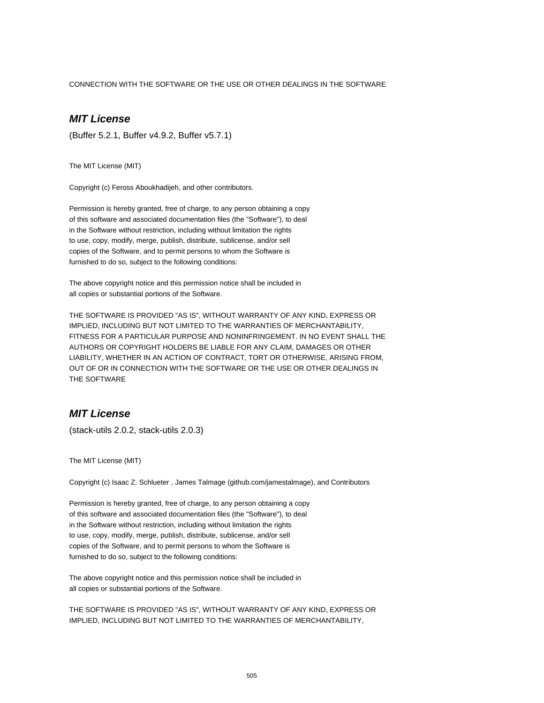CONNECTION WITH THE SOFTWARE OR THE USE OR OTHER DEALINGS IN THE SOFTWARE

# **MIT License**

(Buffer 5.2.1, Buffer v4.9.2, Buffer v5.7.1)

The MIT License (MIT)

Copyright (c) Feross Aboukhadijeh, and other contributors.

Permission is hereby granted, free of charge, to any person obtaining a copy of this software and associated documentation files (the "Software"), to deal in the Software without restriction, including without limitation the rights to use, copy, modify, merge, publish, distribute, sublicense, and/or sell copies of the Software, and to permit persons to whom the Software is furnished to do so, subject to the following conditions:

The above copyright notice and this permission notice shall be included in all copies or substantial portions of the Software.

THE SOFTWARE IS PROVIDED "AS IS", WITHOUT WARRANTY OF ANY KIND, EXPRESS OR IMPLIED, INCLUDING BUT NOT LIMITED TO THE WARRANTIES OF MERCHANTABILITY, FITNESS FOR A PARTICULAR PURPOSE AND NONINFRINGEMENT. IN NO EVENT SHALL THE AUTHORS OR COPYRIGHT HOLDERS BE LIABLE FOR ANY CLAIM, DAMAGES OR OTHER LIABILITY, WHETHER IN AN ACTION OF CONTRACT, TORT OR OTHERWISE, ARISING FROM, OUT OF OR IN CONNECTION WITH THE SOFTWARE OR THE USE OR OTHER DEALINGS IN THE SOFTWARE

## **MIT License**

(stack-utils 2.0.2, stack-utils 2.0.3)

The MIT License (MIT)

Copyright (c) Isaac Z. Schlueter , James Talmage (github.com/jamestalmage), and Contributors

Permission is hereby granted, free of charge, to any person obtaining a copy of this software and associated documentation files (the "Software"), to deal in the Software without restriction, including without limitation the rights to use, copy, modify, merge, publish, distribute, sublicense, and/or sell copies of the Software, and to permit persons to whom the Software is furnished to do so, subject to the following conditions:

The above copyright notice and this permission notice shall be included in all copies or substantial portions of the Software.

THE SOFTWARE IS PROVIDED "AS IS", WITHOUT WARRANTY OF ANY KIND, EXPRESS OR IMPLIED, INCLUDING BUT NOT LIMITED TO THE WARRANTIES OF MERCHANTABILITY,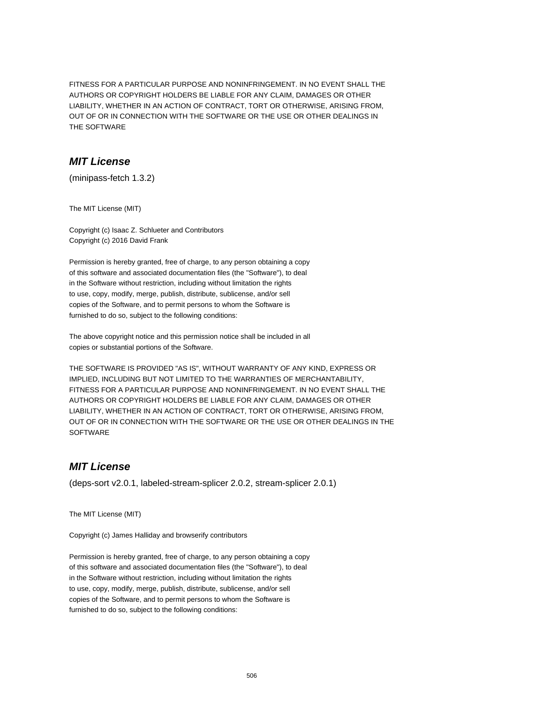FITNESS FOR A PARTICULAR PURPOSE AND NONINFRINGEMENT. IN NO EVENT SHALL THE AUTHORS OR COPYRIGHT HOLDERS BE LIABLE FOR ANY CLAIM, DAMAGES OR OTHER LIABILITY, WHETHER IN AN ACTION OF CONTRACT, TORT OR OTHERWISE, ARISING FROM, OUT OF OR IN CONNECTION WITH THE SOFTWARE OR THE USE OR OTHER DEALINGS IN THE SOFTWARE

#### **MIT License**

(minipass-fetch 1.3.2)

The MIT License (MIT)

Copyright (c) Isaac Z. Schlueter and Contributors Copyright (c) 2016 David Frank

Permission is hereby granted, free of charge, to any person obtaining a copy of this software and associated documentation files (the "Software"), to deal in the Software without restriction, including without limitation the rights to use, copy, modify, merge, publish, distribute, sublicense, and/or sell copies of the Software, and to permit persons to whom the Software is furnished to do so, subject to the following conditions:

The above copyright notice and this permission notice shall be included in all copies or substantial portions of the Software.

THE SOFTWARE IS PROVIDED "AS IS", WITHOUT WARRANTY OF ANY KIND, EXPRESS OR IMPLIED, INCLUDING BUT NOT LIMITED TO THE WARRANTIES OF MERCHANTABILITY, FITNESS FOR A PARTICULAR PURPOSE AND NONINFRINGEMENT. IN NO EVENT SHALL THE AUTHORS OR COPYRIGHT HOLDERS BE LIABLE FOR ANY CLAIM, DAMAGES OR OTHER LIABILITY, WHETHER IN AN ACTION OF CONTRACT, TORT OR OTHERWISE, ARISING FROM, OUT OF OR IN CONNECTION WITH THE SOFTWARE OR THE USE OR OTHER DEALINGS IN THE **SOFTWARE** 

### **MIT License**

(deps-sort v2.0.1, labeled-stream-splicer 2.0.2, stream-splicer 2.0.1)

The MIT License (MIT)

Copyright (c) James Halliday and browserify contributors

Permission is hereby granted, free of charge, to any person obtaining a copy of this software and associated documentation files (the "Software"), to deal in the Software without restriction, including without limitation the rights to use, copy, modify, merge, publish, distribute, sublicense, and/or sell copies of the Software, and to permit persons to whom the Software is furnished to do so, subject to the following conditions: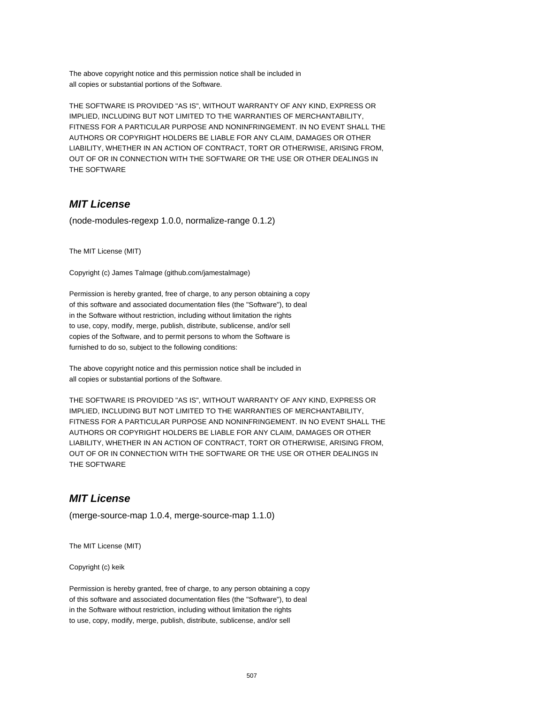The above copyright notice and this permission notice shall be included in all copies or substantial portions of the Software.

THE SOFTWARE IS PROVIDED "AS IS", WITHOUT WARRANTY OF ANY KIND, EXPRESS OR IMPLIED, INCLUDING BUT NOT LIMITED TO THE WARRANTIES OF MERCHANTABILITY, FITNESS FOR A PARTICULAR PURPOSE AND NONINFRINGEMENT. IN NO EVENT SHALL THE AUTHORS OR COPYRIGHT HOLDERS BE LIABLE FOR ANY CLAIM, DAMAGES OR OTHER LIABILITY, WHETHER IN AN ACTION OF CONTRACT, TORT OR OTHERWISE, ARISING FROM, OUT OF OR IN CONNECTION WITH THE SOFTWARE OR THE USE OR OTHER DEALINGS IN THE SOFTWARE

## **MIT License**

(node-modules-regexp 1.0.0, normalize-range 0.1.2)

The MIT License (MIT)

Copyright (c) James Talmage (github.com/jamestalmage)

Permission is hereby granted, free of charge, to any person obtaining a copy of this software and associated documentation files (the "Software"), to deal in the Software without restriction, including without limitation the rights to use, copy, modify, merge, publish, distribute, sublicense, and/or sell copies of the Software, and to permit persons to whom the Software is furnished to do so, subject to the following conditions:

The above copyright notice and this permission notice shall be included in all copies or substantial portions of the Software.

THE SOFTWARE IS PROVIDED "AS IS", WITHOUT WARRANTY OF ANY KIND, EXPRESS OR IMPLIED, INCLUDING BUT NOT LIMITED TO THE WARRANTIES OF MERCHANTABILITY, FITNESS FOR A PARTICULAR PURPOSE AND NONINFRINGEMENT. IN NO EVENT SHALL THE AUTHORS OR COPYRIGHT HOLDERS BE LIABLE FOR ANY CLAIM, DAMAGES OR OTHER LIABILITY, WHETHER IN AN ACTION OF CONTRACT, TORT OR OTHERWISE, ARISING FROM, OUT OF OR IN CONNECTION WITH THE SOFTWARE OR THE USE OR OTHER DEALINGS IN THE SOFTWARE

#### **MIT License**

(merge-source-map 1.0.4, merge-source-map 1.1.0)

The MIT License (MIT)

Copyright (c) keik

Permission is hereby granted, free of charge, to any person obtaining a copy of this software and associated documentation files (the "Software"), to deal in the Software without restriction, including without limitation the rights to use, copy, modify, merge, publish, distribute, sublicense, and/or sell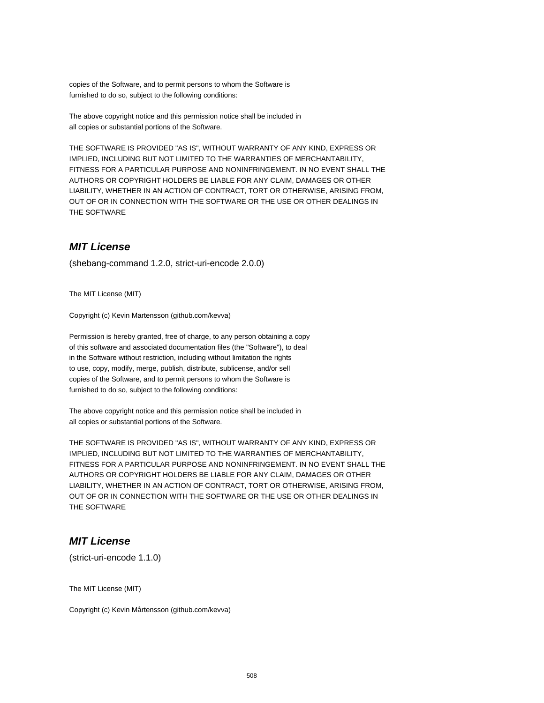copies of the Software, and to permit persons to whom the Software is furnished to do so, subject to the following conditions:

The above copyright notice and this permission notice shall be included in all copies or substantial portions of the Software.

THE SOFTWARE IS PROVIDED "AS IS", WITHOUT WARRANTY OF ANY KIND, EXPRESS OR IMPLIED, INCLUDING BUT NOT LIMITED TO THE WARRANTIES OF MERCHANTABILITY, FITNESS FOR A PARTICULAR PURPOSE AND NONINFRINGEMENT. IN NO EVENT SHALL THE AUTHORS OR COPYRIGHT HOLDERS BE LIABLE FOR ANY CLAIM, DAMAGES OR OTHER LIABILITY, WHETHER IN AN ACTION OF CONTRACT, TORT OR OTHERWISE, ARISING FROM, OUT OF OR IN CONNECTION WITH THE SOFTWARE OR THE USE OR OTHER DEALINGS IN THE SOFTWARE

### **MIT License**

(shebang-command 1.2.0, strict-uri-encode 2.0.0)

The MIT License (MIT)

Copyright (c) Kevin Martensson (github.com/kevva)

Permission is hereby granted, free of charge, to any person obtaining a copy of this software and associated documentation files (the "Software"), to deal in the Software without restriction, including without limitation the rights to use, copy, modify, merge, publish, distribute, sublicense, and/or sell copies of the Software, and to permit persons to whom the Software is furnished to do so, subject to the following conditions:

The above copyright notice and this permission notice shall be included in all copies or substantial portions of the Software.

THE SOFTWARE IS PROVIDED "AS IS", WITHOUT WARRANTY OF ANY KIND, EXPRESS OR IMPLIED, INCLUDING BUT NOT LIMITED TO THE WARRANTIES OF MERCHANTABILITY, FITNESS FOR A PARTICULAR PURPOSE AND NONINFRINGEMENT. IN NO EVENT SHALL THE AUTHORS OR COPYRIGHT HOLDERS BE LIABLE FOR ANY CLAIM, DAMAGES OR OTHER LIABILITY, WHETHER IN AN ACTION OF CONTRACT, TORT OR OTHERWISE, ARISING FROM, OUT OF OR IN CONNECTION WITH THE SOFTWARE OR THE USE OR OTHER DEALINGS IN THE SOFTWARE

## **MIT License**

(strict-uri-encode 1.1.0)

The MIT License (MIT)

Copyright (c) Kevin Mårtensson (github.com/kevva)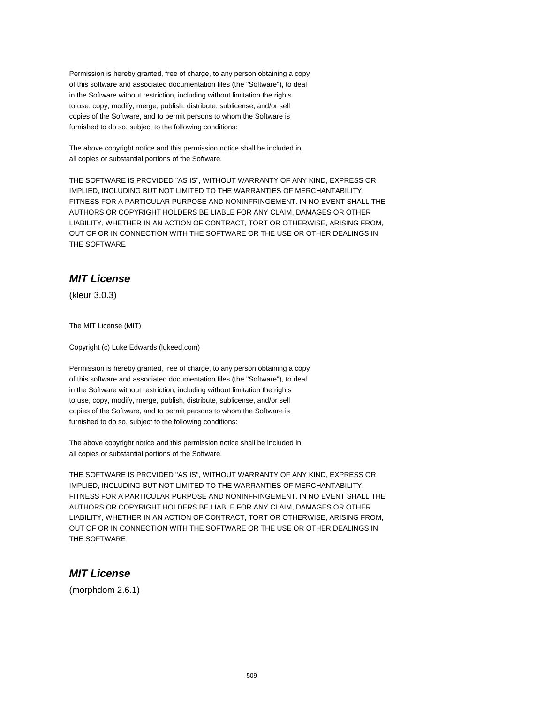Permission is hereby granted, free of charge, to any person obtaining a copy of this software and associated documentation files (the "Software"), to deal in the Software without restriction, including without limitation the rights to use, copy, modify, merge, publish, distribute, sublicense, and/or sell copies of the Software, and to permit persons to whom the Software is furnished to do so, subject to the following conditions:

The above copyright notice and this permission notice shall be included in all copies or substantial portions of the Software.

THE SOFTWARE IS PROVIDED "AS IS", WITHOUT WARRANTY OF ANY KIND, EXPRESS OR IMPLIED, INCLUDING BUT NOT LIMITED TO THE WARRANTIES OF MERCHANTABILITY, FITNESS FOR A PARTICULAR PURPOSE AND NONINFRINGEMENT. IN NO EVENT SHALL THE AUTHORS OR COPYRIGHT HOLDERS BE LIABLE FOR ANY CLAIM, DAMAGES OR OTHER LIABILITY, WHETHER IN AN ACTION OF CONTRACT, TORT OR OTHERWISE, ARISING FROM, OUT OF OR IN CONNECTION WITH THE SOFTWARE OR THE USE OR OTHER DEALINGS IN THE SOFTWARE

# **MIT License**

(kleur 3.0.3)

The MIT License (MIT)

Copyright (c) Luke Edwards (lukeed.com)

Permission is hereby granted, free of charge, to any person obtaining a copy of this software and associated documentation files (the "Software"), to deal in the Software without restriction, including without limitation the rights to use, copy, modify, merge, publish, distribute, sublicense, and/or sell copies of the Software, and to permit persons to whom the Software is furnished to do so, subject to the following conditions:

The above copyright notice and this permission notice shall be included in all copies or substantial portions of the Software.

THE SOFTWARE IS PROVIDED "AS IS", WITHOUT WARRANTY OF ANY KIND, EXPRESS OR IMPLIED, INCLUDING BUT NOT LIMITED TO THE WARRANTIES OF MERCHANTABILITY, FITNESS FOR A PARTICULAR PURPOSE AND NONINFRINGEMENT. IN NO EVENT SHALL THE AUTHORS OR COPYRIGHT HOLDERS BE LIABLE FOR ANY CLAIM, DAMAGES OR OTHER LIABILITY, WHETHER IN AN ACTION OF CONTRACT, TORT OR OTHERWISE, ARISING FROM, OUT OF OR IN CONNECTION WITH THE SOFTWARE OR THE USE OR OTHER DEALINGS IN THE SOFTWARE

## **MIT License**

(morphdom 2.6.1)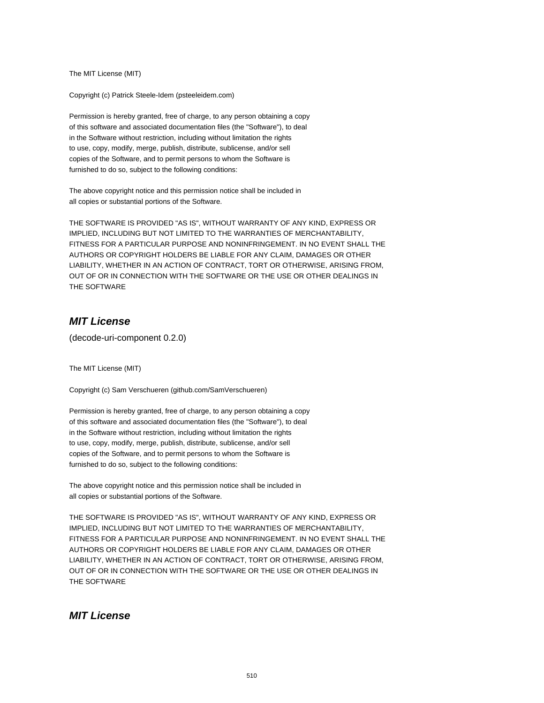The MIT License (MIT)

Copyright (c) Patrick Steele-Idem (psteeleidem.com)

Permission is hereby granted, free of charge, to any person obtaining a copy of this software and associated documentation files (the "Software"), to deal in the Software without restriction, including without limitation the rights to use, copy, modify, merge, publish, distribute, sublicense, and/or sell copies of the Software, and to permit persons to whom the Software is furnished to do so, subject to the following conditions:

The above copyright notice and this permission notice shall be included in all copies or substantial portions of the Software.

THE SOFTWARE IS PROVIDED "AS IS", WITHOUT WARRANTY OF ANY KIND, EXPRESS OR IMPLIED, INCLUDING BUT NOT LIMITED TO THE WARRANTIES OF MERCHANTABILITY, FITNESS FOR A PARTICULAR PURPOSE AND NONINFRINGEMENT. IN NO EVENT SHALL THE AUTHORS OR COPYRIGHT HOLDERS BE LIABLE FOR ANY CLAIM, DAMAGES OR OTHER LIABILITY, WHETHER IN AN ACTION OF CONTRACT, TORT OR OTHERWISE, ARISING FROM, OUT OF OR IN CONNECTION WITH THE SOFTWARE OR THE USE OR OTHER DEALINGS IN THE SOFTWARE

## **MIT License**

(decode-uri-component 0.2.0)

The MIT License (MIT)

Copyright (c) Sam Verschueren (github.com/SamVerschueren)

Permission is hereby granted, free of charge, to any person obtaining a copy of this software and associated documentation files (the "Software"), to deal in the Software without restriction, including without limitation the rights to use, copy, modify, merge, publish, distribute, sublicense, and/or sell copies of the Software, and to permit persons to whom the Software is furnished to do so, subject to the following conditions:

The above copyright notice and this permission notice shall be included in all copies or substantial portions of the Software.

THE SOFTWARE IS PROVIDED "AS IS", WITHOUT WARRANTY OF ANY KIND, EXPRESS OR IMPLIED, INCLUDING BUT NOT LIMITED TO THE WARRANTIES OF MERCHANTABILITY, FITNESS FOR A PARTICULAR PURPOSE AND NONINFRINGEMENT. IN NO EVENT SHALL THE AUTHORS OR COPYRIGHT HOLDERS BE LIABLE FOR ANY CLAIM, DAMAGES OR OTHER LIABILITY, WHETHER IN AN ACTION OF CONTRACT, TORT OR OTHERWISE, ARISING FROM, OUT OF OR IN CONNECTION WITH THE SOFTWARE OR THE USE OR OTHER DEALINGS IN THE SOFTWARE

#### **MIT License**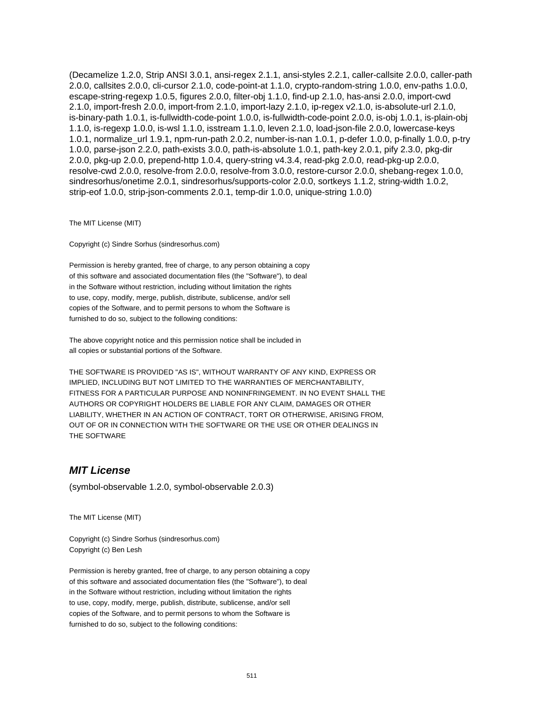(Decamelize 1.2.0, Strip ANSI 3.0.1, ansi-regex 2.1.1, ansi-styles 2.2.1, caller-callsite 2.0.0, caller-path 2.0.0, callsites 2.0.0, cli-cursor 2.1.0, code-point-at 1.1.0, crypto-random-string 1.0.0, env-paths 1.0.0, escape-string-regexp 1.0.5, figures 2.0.0, filter-obj 1.1.0, find-up 2.1.0, has-ansi 2.0.0, import-cwd 2.1.0, import-fresh 2.0.0, import-from 2.1.0, import-lazy 2.1.0, ip-regex v2.1.0, is-absolute-url 2.1.0, is-binary-path 1.0.1, is-fullwidth-code-point 1.0.0, is-fullwidth-code-point 2.0.0, is-obj 1.0.1, is-plain-obj 1.1.0, is-regexp 1.0.0, is-wsl 1.1.0, isstream 1.1.0, leven 2.1.0, load-json-file 2.0.0, lowercase-keys 1.0.1, normalize\_url 1.9.1, npm-run-path 2.0.2, number-is-nan 1.0.1, p-defer 1.0.0, p-finally 1.0.0, p-try 1.0.0, parse-json 2.2.0, path-exists 3.0.0, path-is-absolute 1.0.1, path-key 2.0.1, pify 2.3.0, pkg-dir 2.0.0, pkg-up 2.0.0, prepend-http 1.0.4, query-string v4.3.4, read-pkg 2.0.0, read-pkg-up 2.0.0, resolve-cwd 2.0.0, resolve-from 2.0.0, resolve-from 3.0.0, restore-cursor 2.0.0, shebang-regex 1.0.0, sindresorhus/onetime 2.0.1, sindresorhus/supports-color 2.0.0, sortkeys 1.1.2, string-width 1.0.2, strip-eof 1.0.0, strip-json-comments 2.0.1, temp-dir 1.0.0, unique-string 1.0.0)

The MIT License (MIT)

Copyright (c) Sindre Sorhus (sindresorhus.com)

Permission is hereby granted, free of charge, to any person obtaining a copy of this software and associated documentation files (the "Software"), to deal in the Software without restriction, including without limitation the rights to use, copy, modify, merge, publish, distribute, sublicense, and/or sell copies of the Software, and to permit persons to whom the Software is furnished to do so, subject to the following conditions:

The above copyright notice and this permission notice shall be included in all copies or substantial portions of the Software.

THE SOFTWARE IS PROVIDED "AS IS", WITHOUT WARRANTY OF ANY KIND, EXPRESS OR IMPLIED, INCLUDING BUT NOT LIMITED TO THE WARRANTIES OF MERCHANTABILITY, FITNESS FOR A PARTICULAR PURPOSE AND NONINFRINGEMENT. IN NO EVENT SHALL THE AUTHORS OR COPYRIGHT HOLDERS BE LIABLE FOR ANY CLAIM, DAMAGES OR OTHER LIABILITY, WHETHER IN AN ACTION OF CONTRACT, TORT OR OTHERWISE, ARISING FROM, OUT OF OR IN CONNECTION WITH THE SOFTWARE OR THE USE OR OTHER DEALINGS IN THE SOFTWARE

#### **MIT License**

(symbol-observable 1.2.0, symbol-observable 2.0.3)

The MIT License (MIT)

Copyright (c) Sindre Sorhus (sindresorhus.com) Copyright (c) Ben Lesh

Permission is hereby granted, free of charge, to any person obtaining a copy of this software and associated documentation files (the "Software"), to deal in the Software without restriction, including without limitation the rights to use, copy, modify, merge, publish, distribute, sublicense, and/or sell copies of the Software, and to permit persons to whom the Software is furnished to do so, subject to the following conditions: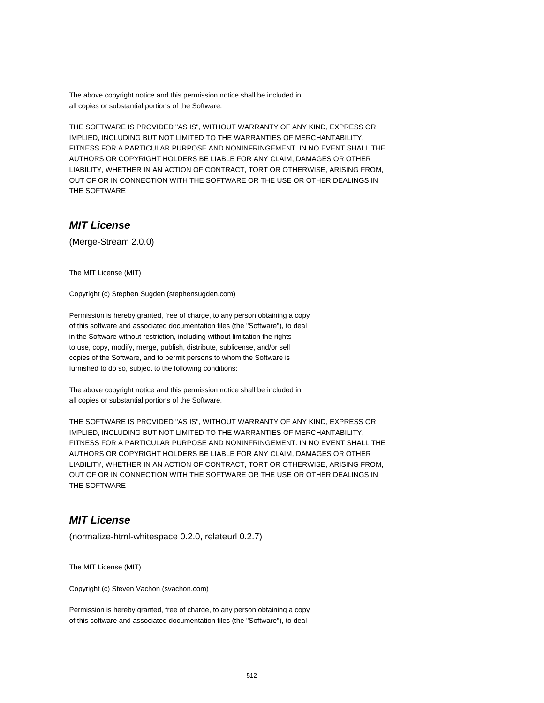The above copyright notice and this permission notice shall be included in all copies or substantial portions of the Software.

THE SOFTWARE IS PROVIDED "AS IS", WITHOUT WARRANTY OF ANY KIND, EXPRESS OR IMPLIED, INCLUDING BUT NOT LIMITED TO THE WARRANTIES OF MERCHANTABILITY, FITNESS FOR A PARTICULAR PURPOSE AND NONINFRINGEMENT. IN NO EVENT SHALL THE AUTHORS OR COPYRIGHT HOLDERS BE LIABLE FOR ANY CLAIM, DAMAGES OR OTHER LIABILITY, WHETHER IN AN ACTION OF CONTRACT, TORT OR OTHERWISE, ARISING FROM, OUT OF OR IN CONNECTION WITH THE SOFTWARE OR THE USE OR OTHER DEALINGS IN THE SOFTWARE

### **MIT License**

(Merge-Stream 2.0.0)

The MIT License (MIT)

Copyright (c) Stephen Sugden (stephensugden.com)

Permission is hereby granted, free of charge, to any person obtaining a copy of this software and associated documentation files (the "Software"), to deal in the Software without restriction, including without limitation the rights to use, copy, modify, merge, publish, distribute, sublicense, and/or sell copies of the Software, and to permit persons to whom the Software is furnished to do so, subject to the following conditions:

The above copyright notice and this permission notice shall be included in all copies or substantial portions of the Software.

THE SOFTWARE IS PROVIDED "AS IS", WITHOUT WARRANTY OF ANY KIND, EXPRESS OR IMPLIED, INCLUDING BUT NOT LIMITED TO THE WARRANTIES OF MERCHANTABILITY, FITNESS FOR A PARTICULAR PURPOSE AND NONINFRINGEMENT. IN NO EVENT SHALL THE AUTHORS OR COPYRIGHT HOLDERS BE LIABLE FOR ANY CLAIM, DAMAGES OR OTHER LIABILITY, WHETHER IN AN ACTION OF CONTRACT, TORT OR OTHERWISE, ARISING FROM, OUT OF OR IN CONNECTION WITH THE SOFTWARE OR THE USE OR OTHER DEALINGS IN THE SOFTWARE

#### **MIT License**

(normalize-html-whitespace 0.2.0, relateurl 0.2.7)

The MIT License (MIT)

Copyright (c) Steven Vachon (svachon.com)

Permission is hereby granted, free of charge, to any person obtaining a copy of this software and associated documentation files (the "Software"), to deal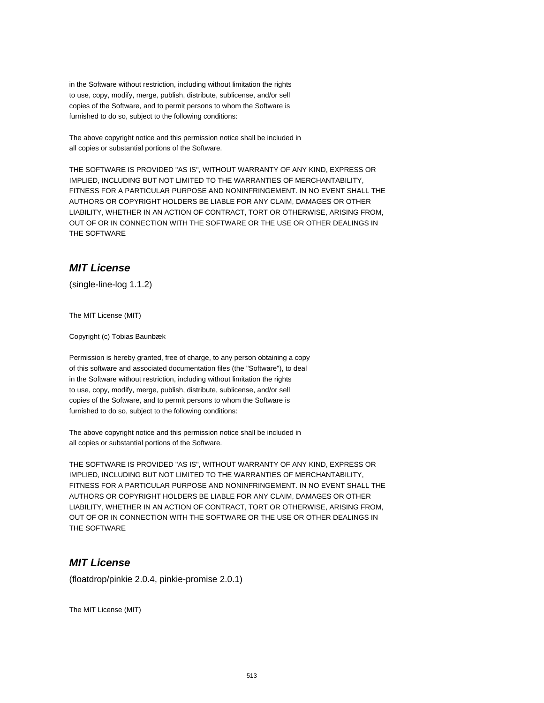in the Software without restriction, including without limitation the rights to use, copy, modify, merge, publish, distribute, sublicense, and/or sell copies of the Software, and to permit persons to whom the Software is furnished to do so, subject to the following conditions:

The above copyright notice and this permission notice shall be included in all copies or substantial portions of the Software.

THE SOFTWARE IS PROVIDED "AS IS", WITHOUT WARRANTY OF ANY KIND, EXPRESS OR IMPLIED, INCLUDING BUT NOT LIMITED TO THE WARRANTIES OF MERCHANTABILITY, FITNESS FOR A PARTICULAR PURPOSE AND NONINFRINGEMENT. IN NO EVENT SHALL THE AUTHORS OR COPYRIGHT HOLDERS BE LIABLE FOR ANY CLAIM, DAMAGES OR OTHER LIABILITY, WHETHER IN AN ACTION OF CONTRACT, TORT OR OTHERWISE, ARISING FROM, OUT OF OR IN CONNECTION WITH THE SOFTWARE OR THE USE OR OTHER DEALINGS IN THE SOFTWARE

# **MIT License**

(single-line-log 1.1.2)

The MIT License (MIT)

Copyright (c) Tobias Baunbæk

Permission is hereby granted, free of charge, to any person obtaining a copy of this software and associated documentation files (the "Software"), to deal in the Software without restriction, including without limitation the rights to use, copy, modify, merge, publish, distribute, sublicense, and/or sell copies of the Software, and to permit persons to whom the Software is furnished to do so, subject to the following conditions:

The above copyright notice and this permission notice shall be included in all copies or substantial portions of the Software.

THE SOFTWARE IS PROVIDED "AS IS", WITHOUT WARRANTY OF ANY KIND, EXPRESS OR IMPLIED, INCLUDING BUT NOT LIMITED TO THE WARRANTIES OF MERCHANTABILITY, FITNESS FOR A PARTICULAR PURPOSE AND NONINFRINGEMENT. IN NO EVENT SHALL THE AUTHORS OR COPYRIGHT HOLDERS BE LIABLE FOR ANY CLAIM, DAMAGES OR OTHER LIABILITY, WHETHER IN AN ACTION OF CONTRACT, TORT OR OTHERWISE, ARISING FROM, OUT OF OR IN CONNECTION WITH THE SOFTWARE OR THE USE OR OTHER DEALINGS IN THE SOFTWARE

## **MIT License**

(floatdrop/pinkie 2.0.4, pinkie-promise 2.0.1)

The MIT License (MIT)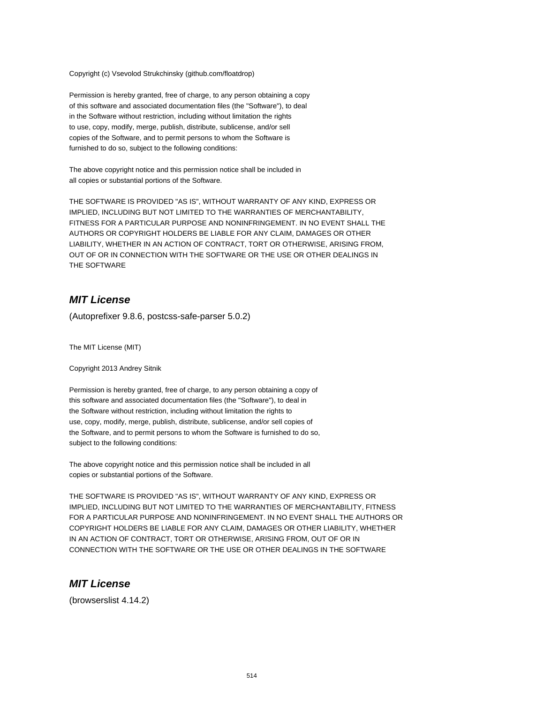Copyright (c) Vsevolod Strukchinsky (github.com/floatdrop)

Permission is hereby granted, free of charge, to any person obtaining a copy of this software and associated documentation files (the "Software"), to deal in the Software without restriction, including without limitation the rights to use, copy, modify, merge, publish, distribute, sublicense, and/or sell copies of the Software, and to permit persons to whom the Software is furnished to do so, subject to the following conditions:

The above copyright notice and this permission notice shall be included in all copies or substantial portions of the Software.

THE SOFTWARE IS PROVIDED "AS IS", WITHOUT WARRANTY OF ANY KIND, EXPRESS OR IMPLIED, INCLUDING BUT NOT LIMITED TO THE WARRANTIES OF MERCHANTABILITY, FITNESS FOR A PARTICULAR PURPOSE AND NONINFRINGEMENT. IN NO EVENT SHALL THE AUTHORS OR COPYRIGHT HOLDERS BE LIABLE FOR ANY CLAIM, DAMAGES OR OTHER LIABILITY, WHETHER IN AN ACTION OF CONTRACT, TORT OR OTHERWISE, ARISING FROM, OUT OF OR IN CONNECTION WITH THE SOFTWARE OR THE USE OR OTHER DEALINGS IN THE SOFTWARE

#### **MIT License**

(Autoprefixer 9.8.6, postcss-safe-parser 5.0.2)

The MIT License (MIT)

Copyright 2013 Andrey Sitnik

Permission is hereby granted, free of charge, to any person obtaining a copy of this software and associated documentation files (the "Software"), to deal in the Software without restriction, including without limitation the rights to use, copy, modify, merge, publish, distribute, sublicense, and/or sell copies of the Software, and to permit persons to whom the Software is furnished to do so, subject to the following conditions:

The above copyright notice and this permission notice shall be included in all copies or substantial portions of the Software.

THE SOFTWARE IS PROVIDED "AS IS", WITHOUT WARRANTY OF ANY KIND, EXPRESS OR IMPLIED, INCLUDING BUT NOT LIMITED TO THE WARRANTIES OF MERCHANTABILITY, FITNESS FOR A PARTICULAR PURPOSE AND NONINFRINGEMENT. IN NO EVENT SHALL THE AUTHORS OR COPYRIGHT HOLDERS BE LIABLE FOR ANY CLAIM, DAMAGES OR OTHER LIABILITY, WHETHER IN AN ACTION OF CONTRACT, TORT OR OTHERWISE, ARISING FROM, OUT OF OR IN CONNECTION WITH THE SOFTWARE OR THE USE OR OTHER DEALINGS IN THE SOFTWARE

#### **MIT License**

(browserslist 4.14.2)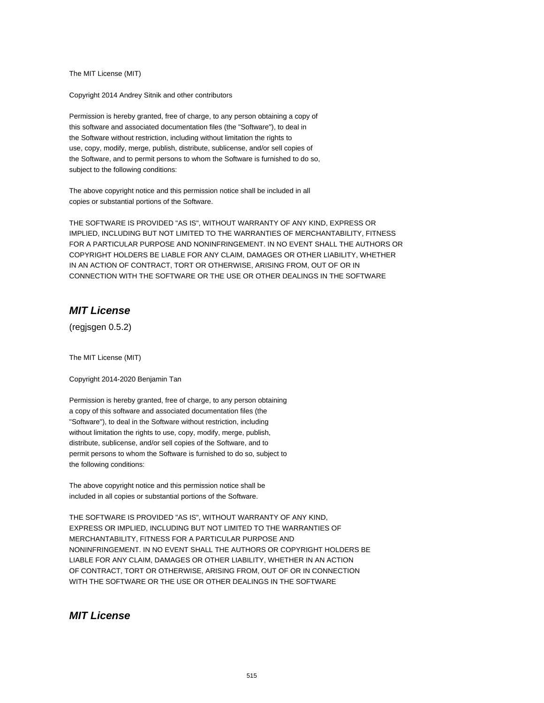The MIT License (MIT)

Copyright 2014 Andrey Sitnik and other contributors

Permission is hereby granted, free of charge, to any person obtaining a copy of this software and associated documentation files (the "Software"), to deal in the Software without restriction, including without limitation the rights to use, copy, modify, merge, publish, distribute, sublicense, and/or sell copies of the Software, and to permit persons to whom the Software is furnished to do so, subject to the following conditions:

The above copyright notice and this permission notice shall be included in all copies or substantial portions of the Software.

THE SOFTWARE IS PROVIDED "AS IS", WITHOUT WARRANTY OF ANY KIND, EXPRESS OR IMPLIED, INCLUDING BUT NOT LIMITED TO THE WARRANTIES OF MERCHANTABILITY, FITNESS FOR A PARTICULAR PURPOSE AND NONINFRINGEMENT. IN NO EVENT SHALL THE AUTHORS OR COPYRIGHT HOLDERS BE LIABLE FOR ANY CLAIM, DAMAGES OR OTHER LIABILITY, WHETHER IN AN ACTION OF CONTRACT, TORT OR OTHERWISE, ARISING FROM, OUT OF OR IN CONNECTION WITH THE SOFTWARE OR THE USE OR OTHER DEALINGS IN THE SOFTWARE

#### **MIT License**

(regjsgen 0.5.2)

The MIT License (MIT)

Copyright 2014-2020 Benjamin Tan

Permission is hereby granted, free of charge, to any person obtaining a copy of this software and associated documentation files (the "Software"), to deal in the Software without restriction, including without limitation the rights to use, copy, modify, merge, publish, distribute, sublicense, and/or sell copies of the Software, and to permit persons to whom the Software is furnished to do so, subject to the following conditions:

The above copyright notice and this permission notice shall be included in all copies or substantial portions of the Software.

THE SOFTWARE IS PROVIDED "AS IS", WITHOUT WARRANTY OF ANY KIND, EXPRESS OR IMPLIED, INCLUDING BUT NOT LIMITED TO THE WARRANTIES OF MERCHANTABILITY, FITNESS FOR A PARTICULAR PURPOSE AND NONINFRINGEMENT. IN NO EVENT SHALL THE AUTHORS OR COPYRIGHT HOLDERS BE LIABLE FOR ANY CLAIM, DAMAGES OR OTHER LIABILITY, WHETHER IN AN ACTION OF CONTRACT, TORT OR OTHERWISE, ARISING FROM, OUT OF OR IN CONNECTION WITH THE SOFTWARE OR THE USE OR OTHER DEALINGS IN THE SOFTWARE

#### **MIT License**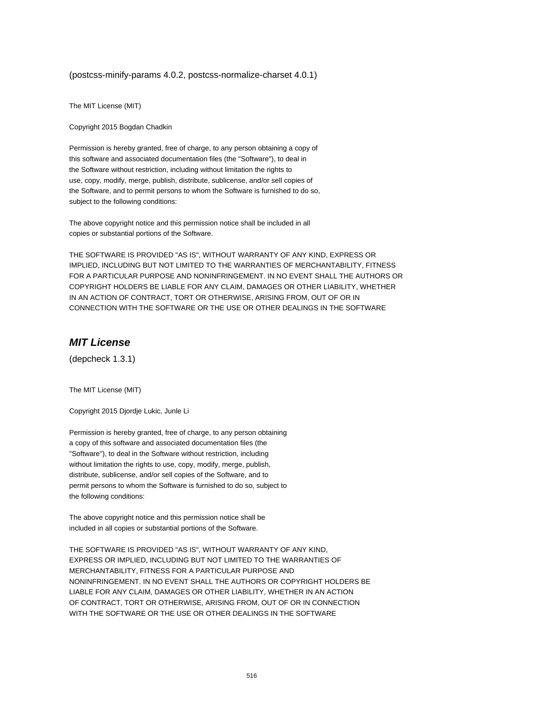#### (postcss-minify-params 4.0.2, postcss-normalize-charset 4.0.1)

The MIT License (MIT)

Copyright 2015 Bogdan Chadkin

Permission is hereby granted, free of charge, to any person obtaining a copy of this software and associated documentation files (the "Software"), to deal in the Software without restriction, including without limitation the rights to use, copy, modify, merge, publish, distribute, sublicense, and/or sell copies of the Software, and to permit persons to whom the Software is furnished to do so, subject to the following conditions:

The above copyright notice and this permission notice shall be included in all copies or substantial portions of the Software.

THE SOFTWARE IS PROVIDED "AS IS", WITHOUT WARRANTY OF ANY KIND, EXPRESS OR IMPLIED, INCLUDING BUT NOT LIMITED TO THE WARRANTIES OF MERCHANTABILITY, FITNESS FOR A PARTICULAR PURPOSE AND NONINFRINGEMENT. IN NO EVENT SHALL THE AUTHORS OR COPYRIGHT HOLDERS BE LIABLE FOR ANY CLAIM, DAMAGES OR OTHER LIABILITY, WHETHER IN AN ACTION OF CONTRACT, TORT OR OTHERWISE, ARISING FROM, OUT OF OR IN CONNECTION WITH THE SOFTWARE OR THE USE OR OTHER DEALINGS IN THE SOFTWARE

# **MIT License**

(depcheck 1.3.1)

The MIT License (MIT)

Copyright 2015 Djordje Lukic, Junle Li

Permission is hereby granted, free of charge, to any person obtaining a copy of this software and associated documentation files (the "Software"), to deal in the Software without restriction, including without limitation the rights to use, copy, modify, merge, publish, distribute, sublicense, and/or sell copies of the Software, and to permit persons to whom the Software is furnished to do so, subject to the following conditions:

The above copyright notice and this permission notice shall be included in all copies or substantial portions of the Software.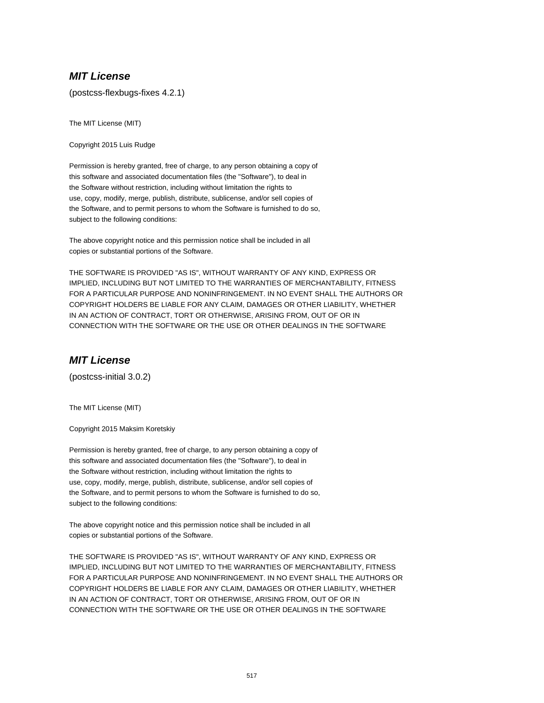(postcss-flexbugs-fixes 4.2.1)

The MIT License (MIT)

Copyright 2015 Luis Rudge

Permission is hereby granted, free of charge, to any person obtaining a copy of this software and associated documentation files (the "Software"), to deal in the Software without restriction, including without limitation the rights to use, copy, modify, merge, publish, distribute, sublicense, and/or sell copies of the Software, and to permit persons to whom the Software is furnished to do so, subject to the following conditions:

The above copyright notice and this permission notice shall be included in all copies or substantial portions of the Software.

THE SOFTWARE IS PROVIDED "AS IS", WITHOUT WARRANTY OF ANY KIND, EXPRESS OR IMPLIED, INCLUDING BUT NOT LIMITED TO THE WARRANTIES OF MERCHANTABILITY, FITNESS FOR A PARTICULAR PURPOSE AND NONINFRINGEMENT. IN NO EVENT SHALL THE AUTHORS OR COPYRIGHT HOLDERS BE LIABLE FOR ANY CLAIM, DAMAGES OR OTHER LIABILITY, WHETHER IN AN ACTION OF CONTRACT, TORT OR OTHERWISE, ARISING FROM, OUT OF OR IN CONNECTION WITH THE SOFTWARE OR THE USE OR OTHER DEALINGS IN THE SOFTWARE

## **MIT License**

(postcss-initial 3.0.2)

The MIT License (MIT)

Copyright 2015 Maksim Koretskiy

Permission is hereby granted, free of charge, to any person obtaining a copy of this software and associated documentation files (the "Software"), to deal in the Software without restriction, including without limitation the rights to use, copy, modify, merge, publish, distribute, sublicense, and/or sell copies of the Software, and to permit persons to whom the Software is furnished to do so, subject to the following conditions:

The above copyright notice and this permission notice shall be included in all copies or substantial portions of the Software.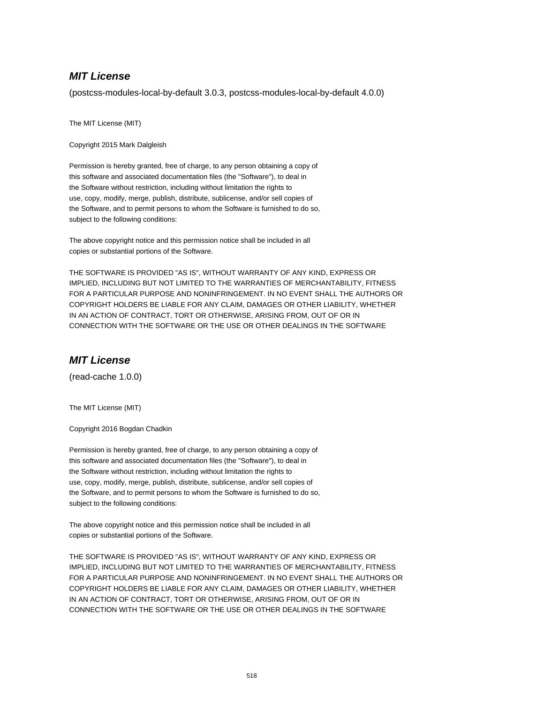(postcss-modules-local-by-default 3.0.3, postcss-modules-local-by-default 4.0.0)

The MIT License (MIT)

Copyright 2015 Mark Dalgleish

Permission is hereby granted, free of charge, to any person obtaining a copy of this software and associated documentation files (the "Software"), to deal in the Software without restriction, including without limitation the rights to use, copy, modify, merge, publish, distribute, sublicense, and/or sell copies of the Software, and to permit persons to whom the Software is furnished to do so, subject to the following conditions:

The above copyright notice and this permission notice shall be included in all copies or substantial portions of the Software.

THE SOFTWARE IS PROVIDED "AS IS", WITHOUT WARRANTY OF ANY KIND, EXPRESS OR IMPLIED, INCLUDING BUT NOT LIMITED TO THE WARRANTIES OF MERCHANTABILITY, FITNESS FOR A PARTICULAR PURPOSE AND NONINFRINGEMENT. IN NO EVENT SHALL THE AUTHORS OR COPYRIGHT HOLDERS BE LIABLE FOR ANY CLAIM, DAMAGES OR OTHER LIABILITY, WHETHER IN AN ACTION OF CONTRACT, TORT OR OTHERWISE, ARISING FROM, OUT OF OR IN CONNECTION WITH THE SOFTWARE OR THE USE OR OTHER DEALINGS IN THE SOFTWARE

## **MIT License**

(read-cache 1.0.0)

The MIT License (MIT)

Copyright 2016 Bogdan Chadkin

Permission is hereby granted, free of charge, to any person obtaining a copy of this software and associated documentation files (the "Software"), to deal in the Software without restriction, including without limitation the rights to use, copy, modify, merge, publish, distribute, sublicense, and/or sell copies of the Software, and to permit persons to whom the Software is furnished to do so, subject to the following conditions:

The above copyright notice and this permission notice shall be included in all copies or substantial portions of the Software.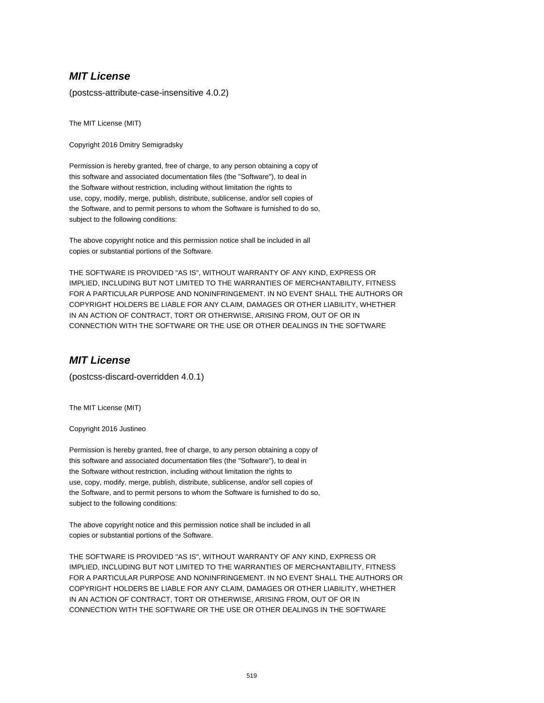(postcss-attribute-case-insensitive 4.0.2)

The MIT License (MIT)

Copyright 2016 Dmitry Semigradsky

Permission is hereby granted, free of charge, to any person obtaining a copy of this software and associated documentation files (the "Software"), to deal in the Software without restriction, including without limitation the rights to use, copy, modify, merge, publish, distribute, sublicense, and/or sell copies of the Software, and to permit persons to whom the Software is furnished to do so, subject to the following conditions:

The above copyright notice and this permission notice shall be included in all copies or substantial portions of the Software.

THE SOFTWARE IS PROVIDED "AS IS", WITHOUT WARRANTY OF ANY KIND, EXPRESS OR IMPLIED, INCLUDING BUT NOT LIMITED TO THE WARRANTIES OF MERCHANTABILITY, FITNESS FOR A PARTICULAR PURPOSE AND NONINFRINGEMENT. IN NO EVENT SHALL THE AUTHORS OR COPYRIGHT HOLDERS BE LIABLE FOR ANY CLAIM, DAMAGES OR OTHER LIABILITY, WHETHER IN AN ACTION OF CONTRACT, TORT OR OTHERWISE, ARISING FROM, OUT OF OR IN CONNECTION WITH THE SOFTWARE OR THE USE OR OTHER DEALINGS IN THE SOFTWARE

## **MIT License**

(postcss-discard-overridden 4.0.1)

The MIT License (MIT)

Copyright 2016 Justineo

Permission is hereby granted, free of charge, to any person obtaining a copy of this software and associated documentation files (the "Software"), to deal in the Software without restriction, including without limitation the rights to use, copy, modify, merge, publish, distribute, sublicense, and/or sell copies of the Software, and to permit persons to whom the Software is furnished to do so, subject to the following conditions:

The above copyright notice and this permission notice shall be included in all copies or substantial portions of the Software.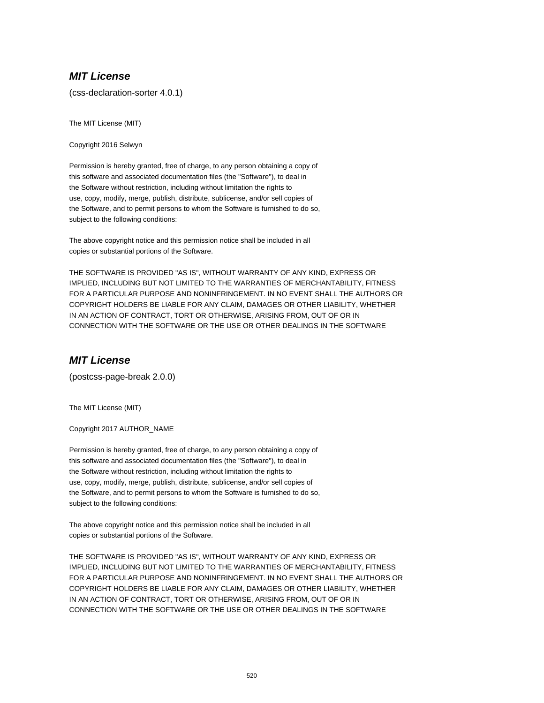(css-declaration-sorter 4.0.1)

The MIT License (MIT)

Copyright 2016 Selwyn

Permission is hereby granted, free of charge, to any person obtaining a copy of this software and associated documentation files (the "Software"), to deal in the Software without restriction, including without limitation the rights to use, copy, modify, merge, publish, distribute, sublicense, and/or sell copies of the Software, and to permit persons to whom the Software is furnished to do so, subject to the following conditions:

The above copyright notice and this permission notice shall be included in all copies or substantial portions of the Software.

THE SOFTWARE IS PROVIDED "AS IS", WITHOUT WARRANTY OF ANY KIND, EXPRESS OR IMPLIED, INCLUDING BUT NOT LIMITED TO THE WARRANTIES OF MERCHANTABILITY, FITNESS FOR A PARTICULAR PURPOSE AND NONINFRINGEMENT. IN NO EVENT SHALL THE AUTHORS OR COPYRIGHT HOLDERS BE LIABLE FOR ANY CLAIM, DAMAGES OR OTHER LIABILITY, WHETHER IN AN ACTION OF CONTRACT, TORT OR OTHERWISE, ARISING FROM, OUT OF OR IN CONNECTION WITH THE SOFTWARE OR THE USE OR OTHER DEALINGS IN THE SOFTWARE

## **MIT License**

(postcss-page-break 2.0.0)

The MIT License (MIT)

Copyright 2017 AUTHOR\_NAME

Permission is hereby granted, free of charge, to any person obtaining a copy of this software and associated documentation files (the "Software"), to deal in the Software without restriction, including without limitation the rights to use, copy, modify, merge, publish, distribute, sublicense, and/or sell copies of the Software, and to permit persons to whom the Software is furnished to do so, subject to the following conditions:

The above copyright notice and this permission notice shall be included in all copies or substantial portions of the Software.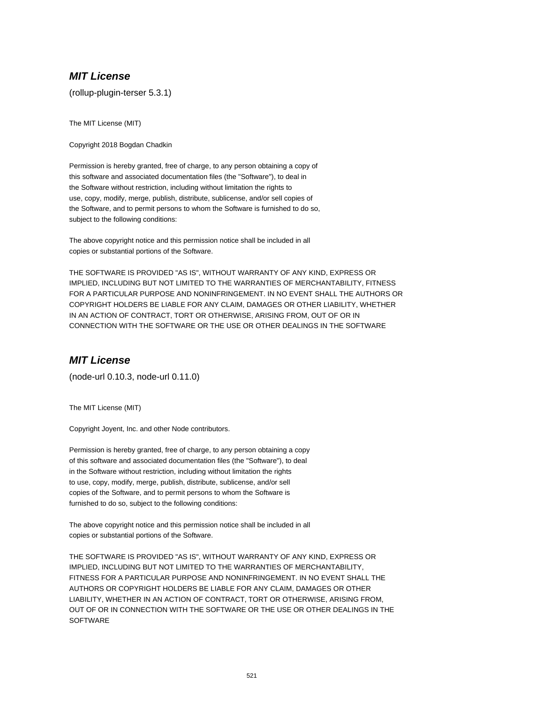(rollup-plugin-terser 5.3.1)

The MIT License (MIT)

Copyright 2018 Bogdan Chadkin

Permission is hereby granted, free of charge, to any person obtaining a copy of this software and associated documentation files (the "Software"), to deal in the Software without restriction, including without limitation the rights to use, copy, modify, merge, publish, distribute, sublicense, and/or sell copies of the Software, and to permit persons to whom the Software is furnished to do so, subject to the following conditions:

The above copyright notice and this permission notice shall be included in all copies or substantial portions of the Software.

THE SOFTWARE IS PROVIDED "AS IS", WITHOUT WARRANTY OF ANY KIND, EXPRESS OR IMPLIED, INCLUDING BUT NOT LIMITED TO THE WARRANTIES OF MERCHANTABILITY, FITNESS FOR A PARTICULAR PURPOSE AND NONINFRINGEMENT. IN NO EVENT SHALL THE AUTHORS OR COPYRIGHT HOLDERS BE LIABLE FOR ANY CLAIM, DAMAGES OR OTHER LIABILITY, WHETHER IN AN ACTION OF CONTRACT, TORT OR OTHERWISE, ARISING FROM, OUT OF OR IN CONNECTION WITH THE SOFTWARE OR THE USE OR OTHER DEALINGS IN THE SOFTWARE

## **MIT License**

(node-url 0.10.3, node-url 0.11.0)

The MIT License (MIT)

Copyright Joyent, Inc. and other Node contributors.

Permission is hereby granted, free of charge, to any person obtaining a copy of this software and associated documentation files (the "Software"), to deal in the Software without restriction, including without limitation the rights to use, copy, modify, merge, publish, distribute, sublicense, and/or sell copies of the Software, and to permit persons to whom the Software is furnished to do so, subject to the following conditions:

The above copyright notice and this permission notice shall be included in all copies or substantial portions of the Software.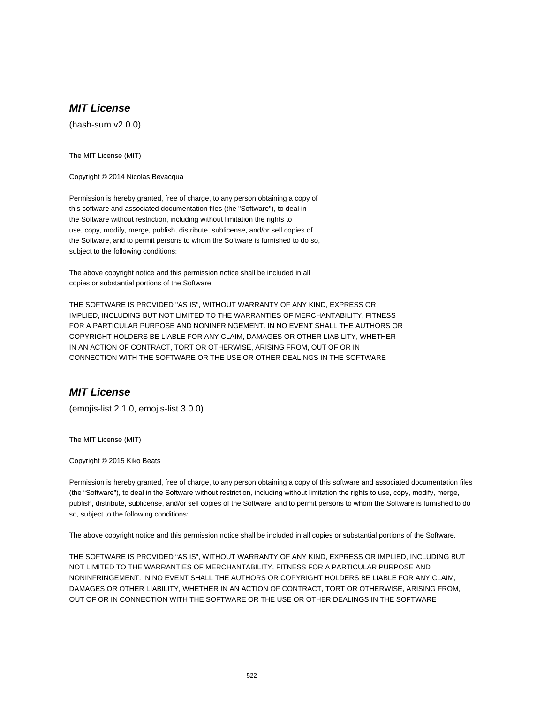(hash-sum v2.0.0)

The MIT License (MIT)

Copyright © 2014 Nicolas Bevacqua

Permission is hereby granted, free of charge, to any person obtaining a copy of this software and associated documentation files (the "Software"), to deal in the Software without restriction, including without limitation the rights to use, copy, modify, merge, publish, distribute, sublicense, and/or sell copies of the Software, and to permit persons to whom the Software is furnished to do so, subject to the following conditions:

The above copyright notice and this permission notice shall be included in all copies or substantial portions of the Software.

THE SOFTWARE IS PROVIDED "AS IS", WITHOUT WARRANTY OF ANY KIND, EXPRESS OR IMPLIED, INCLUDING BUT NOT LIMITED TO THE WARRANTIES OF MERCHANTABILITY, FITNESS FOR A PARTICULAR PURPOSE AND NONINFRINGEMENT. IN NO EVENT SHALL THE AUTHORS OR COPYRIGHT HOLDERS BE LIABLE FOR ANY CLAIM, DAMAGES OR OTHER LIABILITY, WHETHER IN AN ACTION OF CONTRACT, TORT OR OTHERWISE, ARISING FROM, OUT OF OR IN CONNECTION WITH THE SOFTWARE OR THE USE OR OTHER DEALINGS IN THE SOFTWARE

#### **MIT License**

(emojis-list 2.1.0, emojis-list 3.0.0)

The MIT License (MIT)

Copyright © 2015 Kiko Beats

Permission is hereby granted, free of charge, to any person obtaining a copy of this software and associated documentation files (the "Software"), to deal in the Software without restriction, including without limitation the rights to use, copy, modify, merge, publish, distribute, sublicense, and/or sell copies of the Software, and to permit persons to whom the Software is furnished to do so, subject to the following conditions:

The above copyright notice and this permission notice shall be included in all copies or substantial portions of the Software.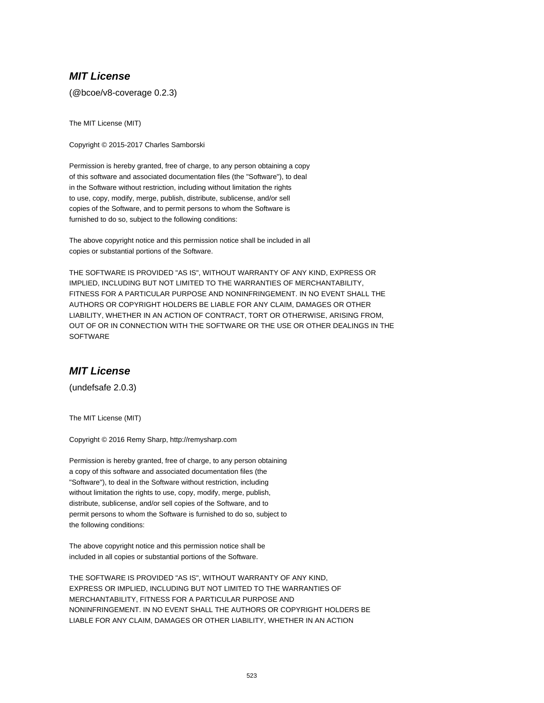(@bcoe/v8-coverage 0.2.3)

The MIT License (MIT)

Copyright © 2015-2017 Charles Samborski

Permission is hereby granted, free of charge, to any person obtaining a copy of this software and associated documentation files (the "Software"), to deal in the Software without restriction, including without limitation the rights to use, copy, modify, merge, publish, distribute, sublicense, and/or sell copies of the Software, and to permit persons to whom the Software is furnished to do so, subject to the following conditions:

The above copyright notice and this permission notice shall be included in all copies or substantial portions of the Software.

THE SOFTWARE IS PROVIDED "AS IS", WITHOUT WARRANTY OF ANY KIND, EXPRESS OR IMPLIED, INCLUDING BUT NOT LIMITED TO THE WARRANTIES OF MERCHANTABILITY, FITNESS FOR A PARTICULAR PURPOSE AND NONINFRINGEMENT. IN NO EVENT SHALL THE AUTHORS OR COPYRIGHT HOLDERS BE LIABLE FOR ANY CLAIM, DAMAGES OR OTHER LIABILITY, WHETHER IN AN ACTION OF CONTRACT, TORT OR OTHERWISE, ARISING FROM, OUT OF OR IN CONNECTION WITH THE SOFTWARE OR THE USE OR OTHER DEALINGS IN THE **SOFTWARE** 

## **MIT License**

(undefsafe 2.0.3)

The MIT License (MIT)

Copyright © 2016 Remy Sharp, http://remysharp.com

Permission is hereby granted, free of charge, to any person obtaining a copy of this software and associated documentation files (the "Software"), to deal in the Software without restriction, including without limitation the rights to use, copy, modify, merge, publish, distribute, sublicense, and/or sell copies of the Software, and to permit persons to whom the Software is furnished to do so, subject to the following conditions:

The above copyright notice and this permission notice shall be included in all copies or substantial portions of the Software.

THE SOFTWARE IS PROVIDED "AS IS", WITHOUT WARRANTY OF ANY KIND, EXPRESS OR IMPLIED, INCLUDING BUT NOT LIMITED TO THE WARRANTIES OF MERCHANTABILITY, FITNESS FOR A PARTICULAR PURPOSE AND NONINFRINGEMENT. IN NO EVENT SHALL THE AUTHORS OR COPYRIGHT HOLDERS BE LIABLE FOR ANY CLAIM, DAMAGES OR OTHER LIABILITY, WHETHER IN AN ACTION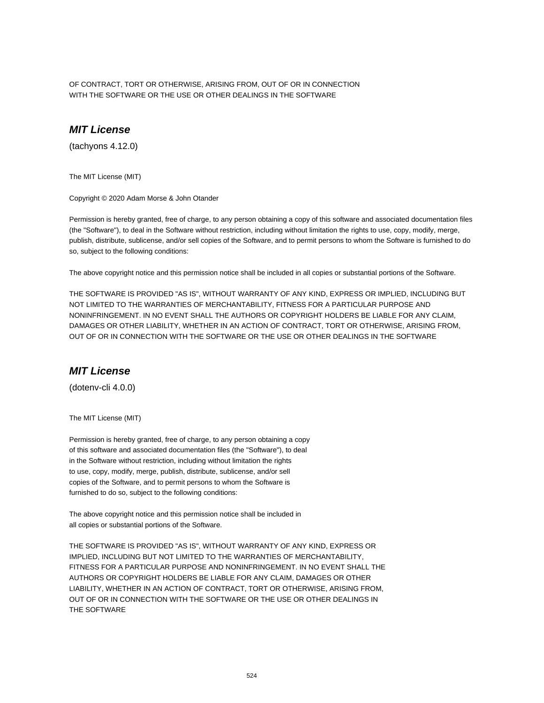OF CONTRACT, TORT OR OTHERWISE, ARISING FROM, OUT OF OR IN CONNECTION WITH THE SOFTWARE OR THE USE OR OTHER DEALINGS IN THE SOFTWARE

### **MIT License**

(tachyons 4.12.0)

The MIT License (MIT)

Copyright © 2020 Adam Morse & John Otander

Permission is hereby granted, free of charge, to any person obtaining a copy of this software and associated documentation files (the "Software"), to deal in the Software without restriction, including without limitation the rights to use, copy, modify, merge, publish, distribute, sublicense, and/or sell copies of the Software, and to permit persons to whom the Software is furnished to do so, subject to the following conditions:

The above copyright notice and this permission notice shall be included in all copies or substantial portions of the Software.

THE SOFTWARE IS PROVIDED "AS IS", WITHOUT WARRANTY OF ANY KIND, EXPRESS OR IMPLIED, INCLUDING BUT NOT LIMITED TO THE WARRANTIES OF MERCHANTABILITY, FITNESS FOR A PARTICULAR PURPOSE AND NONINFRINGEMENT. IN NO EVENT SHALL THE AUTHORS OR COPYRIGHT HOLDERS BE LIABLE FOR ANY CLAIM, DAMAGES OR OTHER LIABILITY, WHETHER IN AN ACTION OF CONTRACT, TORT OR OTHERWISE, ARISING FROM, OUT OF OR IN CONNECTION WITH THE SOFTWARE OR THE USE OR OTHER DEALINGS IN THE SOFTWARE

#### **MIT License**

(dotenv-cli 4.0.0)

The MIT License (MIT)

Permission is hereby granted, free of charge, to any person obtaining a copy of this software and associated documentation files (the "Software"), to deal in the Software without restriction, including without limitation the rights to use, copy, modify, merge, publish, distribute, sublicense, and/or sell copies of the Software, and to permit persons to whom the Software is furnished to do so, subject to the following conditions:

The above copyright notice and this permission notice shall be included in all copies or substantial portions of the Software.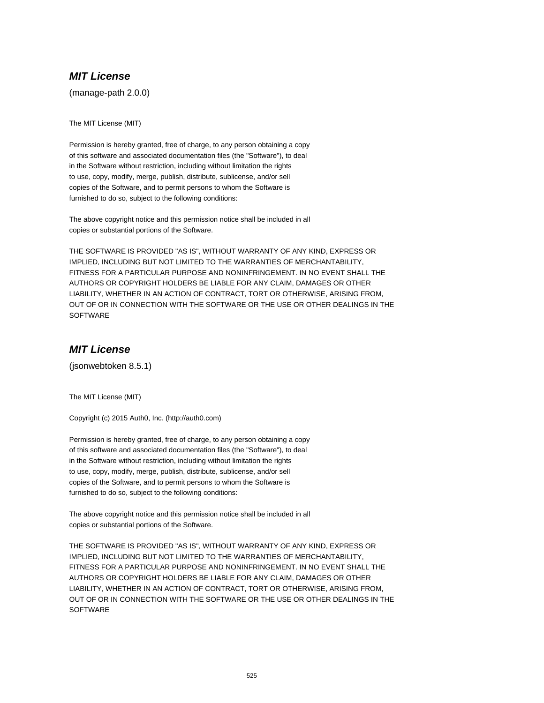(manage-path 2.0.0)

The MIT License (MIT)

Permission is hereby granted, free of charge, to any person obtaining a copy of this software and associated documentation files (the "Software"), to deal in the Software without restriction, including without limitation the rights to use, copy, modify, merge, publish, distribute, sublicense, and/or sell copies of the Software, and to permit persons to whom the Software is furnished to do so, subject to the following conditions:

The above copyright notice and this permission notice shall be included in all copies or substantial portions of the Software.

THE SOFTWARE IS PROVIDED "AS IS", WITHOUT WARRANTY OF ANY KIND, EXPRESS OR IMPLIED, INCLUDING BUT NOT LIMITED TO THE WARRANTIES OF MERCHANTABILITY, FITNESS FOR A PARTICULAR PURPOSE AND NONINFRINGEMENT. IN NO EVENT SHALL THE AUTHORS OR COPYRIGHT HOLDERS BE LIABLE FOR ANY CLAIM, DAMAGES OR OTHER LIABILITY, WHETHER IN AN ACTION OF CONTRACT, TORT OR OTHERWISE, ARISING FROM, OUT OF OR IN CONNECTION WITH THE SOFTWARE OR THE USE OR OTHER DEALINGS IN THE **SOFTWARE** 

### **MIT License**

(jsonwebtoken 8.5.1)

The MIT License (MIT)

Copyright (c) 2015 Auth0, Inc. (http://auth0.com)

Permission is hereby granted, free of charge, to any person obtaining a copy of this software and associated documentation files (the "Software"), to deal in the Software without restriction, including without limitation the rights to use, copy, modify, merge, publish, distribute, sublicense, and/or sell copies of the Software, and to permit persons to whom the Software is furnished to do so, subject to the following conditions:

The above copyright notice and this permission notice shall be included in all copies or substantial portions of the Software.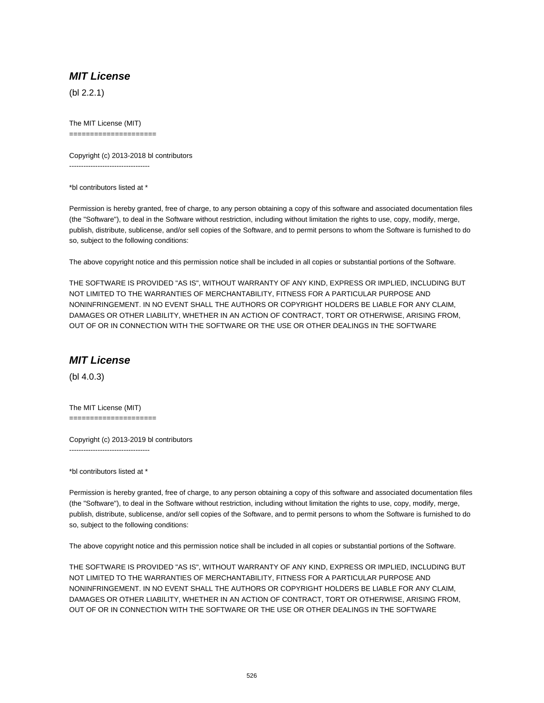(bl 2.2.1)

The MIT License (MIT) =====================

Copyright (c) 2013-2018 bl contributors ----------------------------------

\*bl contributors listed at \*

Permission is hereby granted, free of charge, to any person obtaining a copy of this software and associated documentation files (the "Software"), to deal in the Software without restriction, including without limitation the rights to use, copy, modify, merge, publish, distribute, sublicense, and/or sell copies of the Software, and to permit persons to whom the Software is furnished to do so, subject to the following conditions:

The above copyright notice and this permission notice shall be included in all copies or substantial portions of the Software.

THE SOFTWARE IS PROVIDED "AS IS", WITHOUT WARRANTY OF ANY KIND, EXPRESS OR IMPLIED, INCLUDING BUT NOT LIMITED TO THE WARRANTIES OF MERCHANTABILITY, FITNESS FOR A PARTICULAR PURPOSE AND NONINFRINGEMENT. IN NO EVENT SHALL THE AUTHORS OR COPYRIGHT HOLDERS BE LIABLE FOR ANY CLAIM, DAMAGES OR OTHER LIABILITY, WHETHER IN AN ACTION OF CONTRACT, TORT OR OTHERWISE, ARISING FROM, OUT OF OR IN CONNECTION WITH THE SOFTWARE OR THE USE OR OTHER DEALINGS IN THE SOFTWARE

## **MIT License**

(bl 4.0.3)

The MIT License (MIT) =====================

Copyright (c) 2013-2019 bl contributors ----------------------------------

\*bl contributors listed at \*

Permission is hereby granted, free of charge, to any person obtaining a copy of this software and associated documentation files (the "Software"), to deal in the Software without restriction, including without limitation the rights to use, copy, modify, merge, publish, distribute, sublicense, and/or sell copies of the Software, and to permit persons to whom the Software is furnished to do so, subject to the following conditions:

The above copyright notice and this permission notice shall be included in all copies or substantial portions of the Software.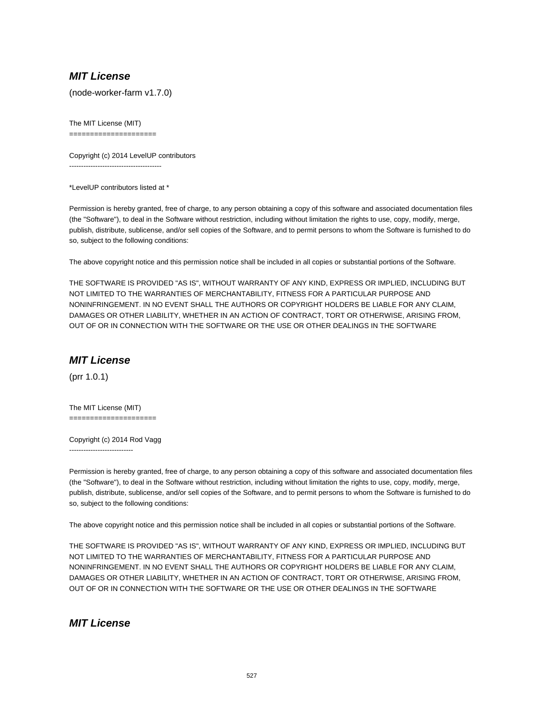(node-worker-farm v1.7.0)

The MIT License (MIT) =====================

Copyright (c) 2014 LevelUP contributors ---------------------------------------

\*LevelUP contributors listed at \*

Permission is hereby granted, free of charge, to any person obtaining a copy of this software and associated documentation files (the "Software"), to deal in the Software without restriction, including without limitation the rights to use, copy, modify, merge, publish, distribute, sublicense, and/or sell copies of the Software, and to permit persons to whom the Software is furnished to do so, subject to the following conditions:

The above copyright notice and this permission notice shall be included in all copies or substantial portions of the Software.

THE SOFTWARE IS PROVIDED "AS IS", WITHOUT WARRANTY OF ANY KIND, EXPRESS OR IMPLIED, INCLUDING BUT NOT LIMITED TO THE WARRANTIES OF MERCHANTABILITY, FITNESS FOR A PARTICULAR PURPOSE AND NONINFRINGEMENT. IN NO EVENT SHALL THE AUTHORS OR COPYRIGHT HOLDERS BE LIABLE FOR ANY CLAIM, DAMAGES OR OTHER LIABILITY, WHETHER IN AN ACTION OF CONTRACT, TORT OR OTHERWISE, ARISING FROM, OUT OF OR IN CONNECTION WITH THE SOFTWARE OR THE USE OR OTHER DEALINGS IN THE SOFTWARE

## **MIT License**

(prr 1.0.1)

The MIT License (MIT) =====================

Copyright (c) 2014 Rod Vagg ---------------------------

Permission is hereby granted, free of charge, to any person obtaining a copy of this software and associated documentation files (the "Software"), to deal in the Software without restriction, including without limitation the rights to use, copy, modify, merge, publish, distribute, sublicense, and/or sell copies of the Software, and to permit persons to whom the Software is furnished to do so, subject to the following conditions:

The above copyright notice and this permission notice shall be included in all copies or substantial portions of the Software.

THE SOFTWARE IS PROVIDED "AS IS", WITHOUT WARRANTY OF ANY KIND, EXPRESS OR IMPLIED, INCLUDING BUT NOT LIMITED TO THE WARRANTIES OF MERCHANTABILITY, FITNESS FOR A PARTICULAR PURPOSE AND NONINFRINGEMENT. IN NO EVENT SHALL THE AUTHORS OR COPYRIGHT HOLDERS BE LIABLE FOR ANY CLAIM, DAMAGES OR OTHER LIABILITY, WHETHER IN AN ACTION OF CONTRACT, TORT OR OTHERWISE, ARISING FROM, OUT OF OR IN CONNECTION WITH THE SOFTWARE OR THE USE OR OTHER DEALINGS IN THE SOFTWARE

**MIT License**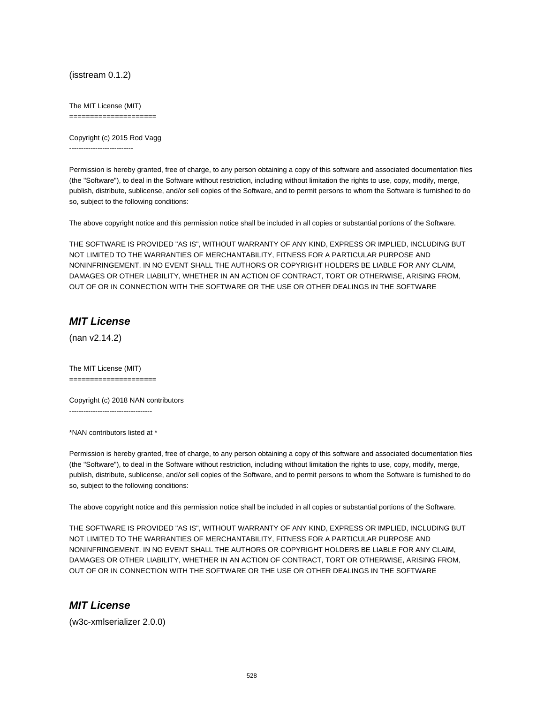(isstream 0.1.2)

The MIT License (MIT)

=====================

Copyright (c) 2015 Rod Vagg ---------------------------

Permission is hereby granted, free of charge, to any person obtaining a copy of this software and associated documentation files (the "Software"), to deal in the Software without restriction, including without limitation the rights to use, copy, modify, merge, publish, distribute, sublicense, and/or sell copies of the Software, and to permit persons to whom the Software is furnished to do so, subject to the following conditions:

The above copyright notice and this permission notice shall be included in all copies or substantial portions of the Software.

THE SOFTWARE IS PROVIDED "AS IS", WITHOUT WARRANTY OF ANY KIND, EXPRESS OR IMPLIED, INCLUDING BUT NOT LIMITED TO THE WARRANTIES OF MERCHANTABILITY, FITNESS FOR A PARTICULAR PURPOSE AND NONINFRINGEMENT. IN NO EVENT SHALL THE AUTHORS OR COPYRIGHT HOLDERS BE LIABLE FOR ANY CLAIM, DAMAGES OR OTHER LIABILITY, WHETHER IN AN ACTION OF CONTRACT, TORT OR OTHERWISE, ARISING FROM, OUT OF OR IN CONNECTION WITH THE SOFTWARE OR THE USE OR OTHER DEALINGS IN THE SOFTWARE

### **MIT License**

(nan v2.14.2)

The MIT License (MIT) =====================

Copyright (c) 2018 NAN contributors

-----------------------------------

\*NAN contributors listed at \*

Permission is hereby granted, free of charge, to any person obtaining a copy of this software and associated documentation files (the "Software"), to deal in the Software without restriction, including without limitation the rights to use, copy, modify, merge, publish, distribute, sublicense, and/or sell copies of the Software, and to permit persons to whom the Software is furnished to do so, subject to the following conditions:

The above copyright notice and this permission notice shall be included in all copies or substantial portions of the Software.

THE SOFTWARE IS PROVIDED "AS IS", WITHOUT WARRANTY OF ANY KIND, EXPRESS OR IMPLIED, INCLUDING BUT NOT LIMITED TO THE WARRANTIES OF MERCHANTABILITY, FITNESS FOR A PARTICULAR PURPOSE AND NONINFRINGEMENT. IN NO EVENT SHALL THE AUTHORS OR COPYRIGHT HOLDERS BE LIABLE FOR ANY CLAIM, DAMAGES OR OTHER LIABILITY, WHETHER IN AN ACTION OF CONTRACT, TORT OR OTHERWISE, ARISING FROM, OUT OF OR IN CONNECTION WITH THE SOFTWARE OR THE USE OR OTHER DEALINGS IN THE SOFTWARE

## **MIT License**

(w3c-xmlserializer 2.0.0)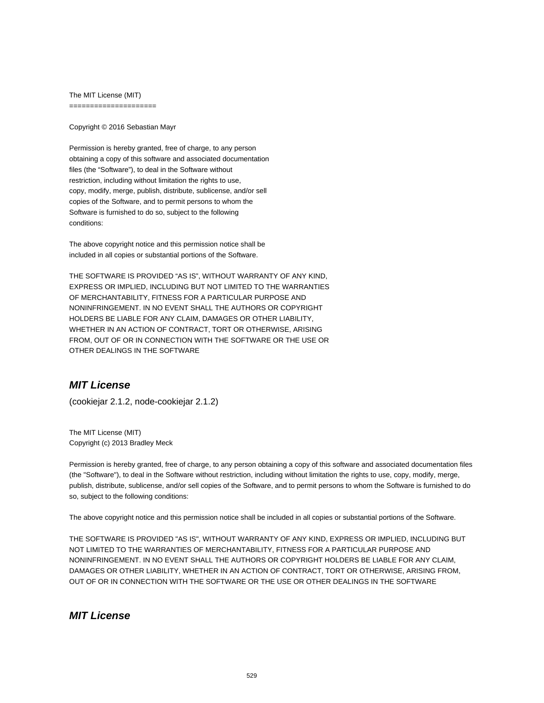The MIT License (MIT) =====================

Copyright © 2016 Sebastian Mayr

Permission is hereby granted, free of charge, to any person obtaining a copy of this software and associated documentation files (the "Software"), to deal in the Software without restriction, including without limitation the rights to use, copy, modify, merge, publish, distribute, sublicense, and/or sell copies of the Software, and to permit persons to whom the Software is furnished to do so, subject to the following conditions:

The above copyright notice and this permission notice shall be included in all copies or substantial portions of the Software.

THE SOFTWARE IS PROVIDED "AS IS", WITHOUT WARRANTY OF ANY KIND, EXPRESS OR IMPLIED, INCLUDING BUT NOT LIMITED TO THE WARRANTIES OF MERCHANTABILITY, FITNESS FOR A PARTICULAR PURPOSE AND NONINFRINGEMENT. IN NO EVENT SHALL THE AUTHORS OR COPYRIGHT HOLDERS BE LIABLE FOR ANY CLAIM, DAMAGES OR OTHER LIABILITY, WHETHER IN AN ACTION OF CONTRACT, TORT OR OTHERWISE, ARISING FROM, OUT OF OR IN CONNECTION WITH THE SOFTWARE OR THE USE OR OTHER DEALINGS IN THE SOFTWARE

# **MIT License**

(cookiejar 2.1.2, node-cookiejar 2.1.2)

The MIT License (MIT) Copyright (c) 2013 Bradley Meck

Permission is hereby granted, free of charge, to any person obtaining a copy of this software and associated documentation files (the "Software"), to deal in the Software without restriction, including without limitation the rights to use, copy, modify, merge, publish, distribute, sublicense, and/or sell copies of the Software, and to permit persons to whom the Software is furnished to do so, subject to the following conditions:

The above copyright notice and this permission notice shall be included in all copies or substantial portions of the Software.

THE SOFTWARE IS PROVIDED "AS IS", WITHOUT WARRANTY OF ANY KIND, EXPRESS OR IMPLIED, INCLUDING BUT NOT LIMITED TO THE WARRANTIES OF MERCHANTABILITY, FITNESS FOR A PARTICULAR PURPOSE AND NONINFRINGEMENT. IN NO EVENT SHALL THE AUTHORS OR COPYRIGHT HOLDERS BE LIABLE FOR ANY CLAIM, DAMAGES OR OTHER LIABILITY, WHETHER IN AN ACTION OF CONTRACT, TORT OR OTHERWISE, ARISING FROM, OUT OF OR IN CONNECTION WITH THE SOFTWARE OR THE USE OR OTHER DEALINGS IN THE SOFTWARE

### **MIT License**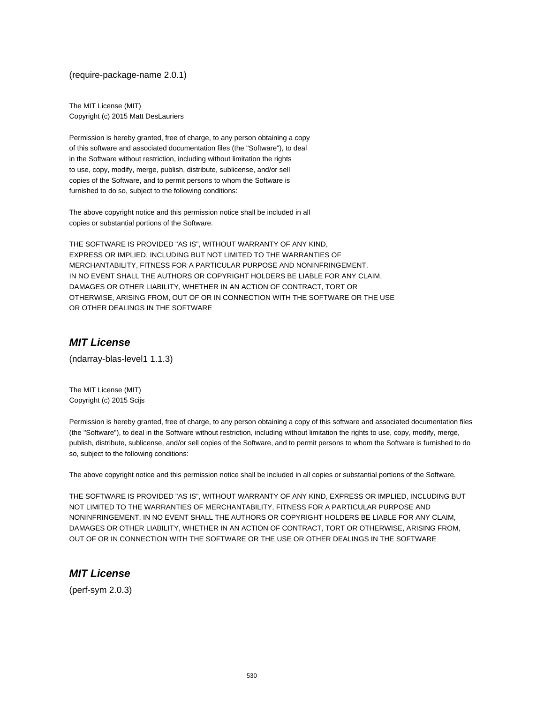(require-package-name 2.0.1)

The MIT License (MIT) Copyright (c) 2015 Matt DesLauriers

Permission is hereby granted, free of charge, to any person obtaining a copy of this software and associated documentation files (the "Software"), to deal in the Software without restriction, including without limitation the rights to use, copy, modify, merge, publish, distribute, sublicense, and/or sell copies of the Software, and to permit persons to whom the Software is furnished to do so, subject to the following conditions:

The above copyright notice and this permission notice shall be included in all copies or substantial portions of the Software.

THE SOFTWARE IS PROVIDED "AS IS", WITHOUT WARRANTY OF ANY KIND, EXPRESS OR IMPLIED, INCLUDING BUT NOT LIMITED TO THE WARRANTIES OF MERCHANTABILITY, FITNESS FOR A PARTICULAR PURPOSE AND NONINFRINGEMENT. IN NO EVENT SHALL THE AUTHORS OR COPYRIGHT HOLDERS BE LIABLE FOR ANY CLAIM, DAMAGES OR OTHER LIABILITY, WHETHER IN AN ACTION OF CONTRACT, TORT OR OTHERWISE, ARISING FROM, OUT OF OR IN CONNECTION WITH THE SOFTWARE OR THE USE OR OTHER DEALINGS IN THE SOFTWARE

## **MIT License**

(ndarray-blas-level1 1.1.3)

The MIT License (MIT) Copyright (c) 2015 Scijs

Permission is hereby granted, free of charge, to any person obtaining a copy of this software and associated documentation files (the "Software"), to deal in the Software without restriction, including without limitation the rights to use, copy, modify, merge, publish, distribute, sublicense, and/or sell copies of the Software, and to permit persons to whom the Software is furnished to do so, subject to the following conditions:

The above copyright notice and this permission notice shall be included in all copies or substantial portions of the Software.

THE SOFTWARE IS PROVIDED "AS IS", WITHOUT WARRANTY OF ANY KIND, EXPRESS OR IMPLIED, INCLUDING BUT NOT LIMITED TO THE WARRANTIES OF MERCHANTABILITY, FITNESS FOR A PARTICULAR PURPOSE AND NONINFRINGEMENT. IN NO EVENT SHALL THE AUTHORS OR COPYRIGHT HOLDERS BE LIABLE FOR ANY CLAIM, DAMAGES OR OTHER LIABILITY, WHETHER IN AN ACTION OF CONTRACT, TORT OR OTHERWISE, ARISING FROM, OUT OF OR IN CONNECTION WITH THE SOFTWARE OR THE USE OR OTHER DEALINGS IN THE SOFTWARE

## **MIT License**

(perf-sym 2.0.3)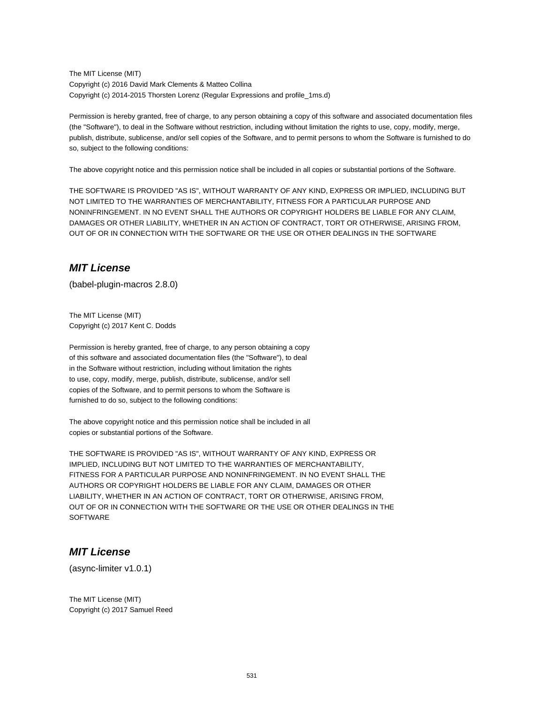The MIT License (MIT) Copyright (c) 2016 David Mark Clements & Matteo Collina Copyright (c) 2014-2015 Thorsten Lorenz (Regular Expressions and profile\_1ms.d)

Permission is hereby granted, free of charge, to any person obtaining a copy of this software and associated documentation files (the "Software"), to deal in the Software without restriction, including without limitation the rights to use, copy, modify, merge, publish, distribute, sublicense, and/or sell copies of the Software, and to permit persons to whom the Software is furnished to do so, subject to the following conditions:

The above copyright notice and this permission notice shall be included in all copies or substantial portions of the Software.

THE SOFTWARE IS PROVIDED "AS IS", WITHOUT WARRANTY OF ANY KIND, EXPRESS OR IMPLIED, INCLUDING BUT NOT LIMITED TO THE WARRANTIES OF MERCHANTABILITY, FITNESS FOR A PARTICULAR PURPOSE AND NONINFRINGEMENT. IN NO EVENT SHALL THE AUTHORS OR COPYRIGHT HOLDERS BE LIABLE FOR ANY CLAIM, DAMAGES OR OTHER LIABILITY, WHETHER IN AN ACTION OF CONTRACT, TORT OR OTHERWISE, ARISING FROM, OUT OF OR IN CONNECTION WITH THE SOFTWARE OR THE USE OR OTHER DEALINGS IN THE SOFTWARE

# **MIT License**

(babel-plugin-macros 2.8.0)

The MIT License (MIT) Copyright (c) 2017 Kent C. Dodds

Permission is hereby granted, free of charge, to any person obtaining a copy of this software and associated documentation files (the "Software"), to deal in the Software without restriction, including without limitation the rights to use, copy, modify, merge, publish, distribute, sublicense, and/or sell copies of the Software, and to permit persons to whom the Software is furnished to do so, subject to the following conditions:

The above copyright notice and this permission notice shall be included in all copies or substantial portions of the Software.

THE SOFTWARE IS PROVIDED "AS IS", WITHOUT WARRANTY OF ANY KIND, EXPRESS OR IMPLIED, INCLUDING BUT NOT LIMITED TO THE WARRANTIES OF MERCHANTABILITY, FITNESS FOR A PARTICULAR PURPOSE AND NONINFRINGEMENT. IN NO EVENT SHALL THE AUTHORS OR COPYRIGHT HOLDERS BE LIABLE FOR ANY CLAIM, DAMAGES OR OTHER LIABILITY, WHETHER IN AN ACTION OF CONTRACT, TORT OR OTHERWISE, ARISING FROM, OUT OF OR IN CONNECTION WITH THE SOFTWARE OR THE USE OR OTHER DEALINGS IN THE **SOFTWARE** 

## **MIT License**

(async-limiter v1.0.1)

The MIT License (MIT) Copyright (c) 2017 Samuel Reed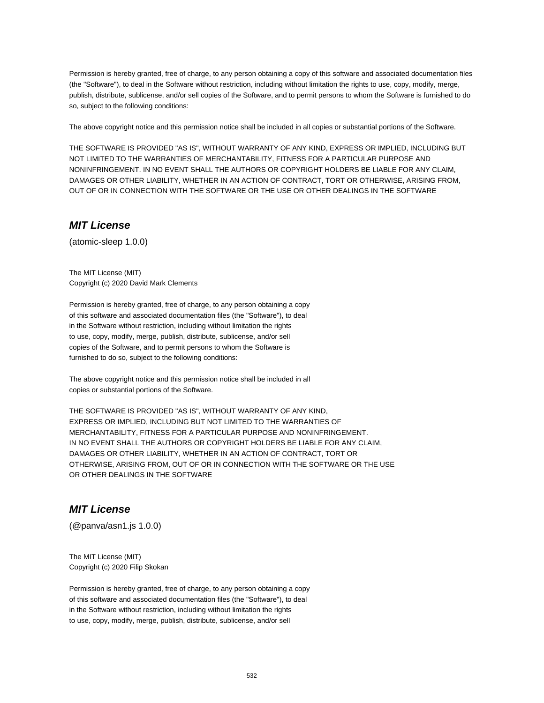Permission is hereby granted, free of charge, to any person obtaining a copy of this software and associated documentation files (the "Software"), to deal in the Software without restriction, including without limitation the rights to use, copy, modify, merge, publish, distribute, sublicense, and/or sell copies of the Software, and to permit persons to whom the Software is furnished to do so, subject to the following conditions:

The above copyright notice and this permission notice shall be included in all copies or substantial portions of the Software.

THE SOFTWARE IS PROVIDED "AS IS", WITHOUT WARRANTY OF ANY KIND, EXPRESS OR IMPLIED, INCLUDING BUT NOT LIMITED TO THE WARRANTIES OF MERCHANTABILITY, FITNESS FOR A PARTICULAR PURPOSE AND NONINFRINGEMENT. IN NO EVENT SHALL THE AUTHORS OR COPYRIGHT HOLDERS BE LIABLE FOR ANY CLAIM, DAMAGES OR OTHER LIABILITY, WHETHER IN AN ACTION OF CONTRACT, TORT OR OTHERWISE, ARISING FROM, OUT OF OR IN CONNECTION WITH THE SOFTWARE OR THE USE OR OTHER DEALINGS IN THE SOFTWARE

#### **MIT License**

(atomic-sleep 1.0.0)

The MIT License (MIT) Copyright (c) 2020 David Mark Clements

Permission is hereby granted, free of charge, to any person obtaining a copy of this software and associated documentation files (the "Software"), to deal in the Software without restriction, including without limitation the rights to use, copy, modify, merge, publish, distribute, sublicense, and/or sell copies of the Software, and to permit persons to whom the Software is furnished to do so, subject to the following conditions:

The above copyright notice and this permission notice shall be included in all copies or substantial portions of the Software.

THE SOFTWARE IS PROVIDED "AS IS", WITHOUT WARRANTY OF ANY KIND, EXPRESS OR IMPLIED, INCLUDING BUT NOT LIMITED TO THE WARRANTIES OF MERCHANTABILITY, FITNESS FOR A PARTICULAR PURPOSE AND NONINFRINGEMENT. IN NO EVENT SHALL THE AUTHORS OR COPYRIGHT HOLDERS BE LIABLE FOR ANY CLAIM, DAMAGES OR OTHER LIABILITY, WHETHER IN AN ACTION OF CONTRACT, TORT OR OTHERWISE, ARISING FROM, OUT OF OR IN CONNECTION WITH THE SOFTWARE OR THE USE OR OTHER DEALINGS IN THE SOFTWARE

### **MIT License**

(@panva/asn1.js 1.0.0)

The MIT License (MIT) Copyright (c) 2020 Filip Skokan

Permission is hereby granted, free of charge, to any person obtaining a copy of this software and associated documentation files (the "Software"), to deal in the Software without restriction, including without limitation the rights to use, copy, modify, merge, publish, distribute, sublicense, and/or sell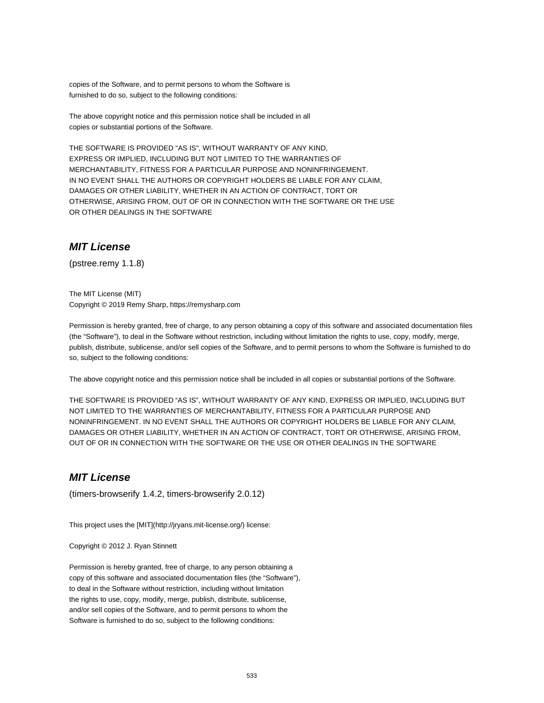copies of the Software, and to permit persons to whom the Software is furnished to do so, subject to the following conditions:

The above copyright notice and this permission notice shall be included in all copies or substantial portions of the Software.

THE SOFTWARE IS PROVIDED "AS IS", WITHOUT WARRANTY OF ANY KIND, EXPRESS OR IMPLIED, INCLUDING BUT NOT LIMITED TO THE WARRANTIES OF MERCHANTABILITY, FITNESS FOR A PARTICULAR PURPOSE AND NONINFRINGEMENT. IN NO EVENT SHALL THE AUTHORS OR COPYRIGHT HOLDERS BE LIABLE FOR ANY CLAIM, DAMAGES OR OTHER LIABILITY, WHETHER IN AN ACTION OF CONTRACT, TORT OR OTHERWISE, ARISING FROM, OUT OF OR IN CONNECTION WITH THE SOFTWARE OR THE USE OR OTHER DEALINGS IN THE SOFTWARE

### **MIT License**

(pstree.remy 1.1.8)

The MIT License (MIT) Copyright © 2019 Remy Sharp, https://remysharp.com

Permission is hereby granted, free of charge, to any person obtaining a copy of this software and associated documentation files (the "Software"), to deal in the Software without restriction, including without limitation the rights to use, copy, modify, merge, publish, distribute, sublicense, and/or sell copies of the Software, and to permit persons to whom the Software is furnished to do so, subject to the following conditions:

The above copyright notice and this permission notice shall be included in all copies or substantial portions of the Software.

THE SOFTWARE IS PROVIDED "AS IS", WITHOUT WARRANTY OF ANY KIND, EXPRESS OR IMPLIED, INCLUDING BUT NOT LIMITED TO THE WARRANTIES OF MERCHANTABILITY, FITNESS FOR A PARTICULAR PURPOSE AND NONINFRINGEMENT. IN NO EVENT SHALL THE AUTHORS OR COPYRIGHT HOLDERS BE LIABLE FOR ANY CLAIM, DAMAGES OR OTHER LIABILITY, WHETHER IN AN ACTION OF CONTRACT, TORT OR OTHERWISE, ARISING FROM, OUT OF OR IN CONNECTION WITH THE SOFTWARE OR THE USE OR OTHER DEALINGS IN THE SOFTWARE

### **MIT License**

(timers-browserify 1.4.2, timers-browserify 2.0.12)

This project uses the [MIT](http://jryans.mit-license.org/) license:

Copyright © 2012 J. Ryan Stinnett

Permission is hereby granted, free of charge, to any person obtaining a copy of this software and associated documentation files (the "Software"), to deal in the Software without restriction, including without limitation the rights to use, copy, modify, merge, publish, distribute, sublicense, and/or sell copies of the Software, and to permit persons to whom the Software is furnished to do so, subject to the following conditions: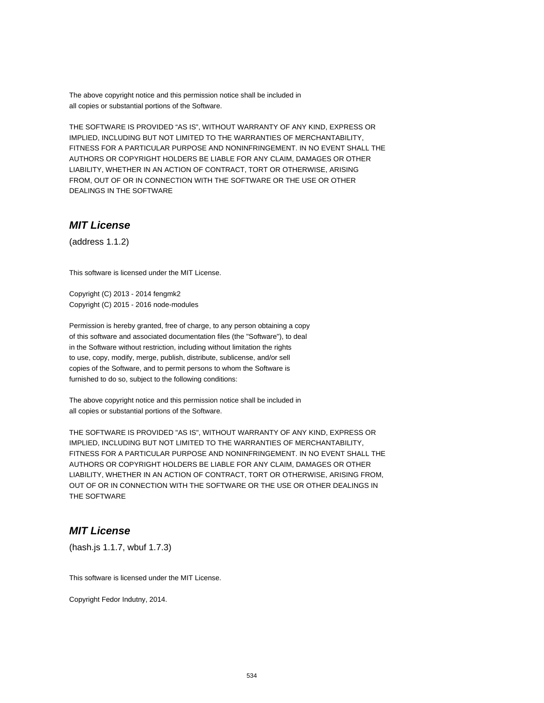The above copyright notice and this permission notice shall be included in all copies or substantial portions of the Software.

THE SOFTWARE IS PROVIDED "AS IS", WITHOUT WARRANTY OF ANY KIND, EXPRESS OR IMPLIED, INCLUDING BUT NOT LIMITED TO THE WARRANTIES OF MERCHANTABILITY, FITNESS FOR A PARTICULAR PURPOSE AND NONINFRINGEMENT. IN NO EVENT SHALL THE AUTHORS OR COPYRIGHT HOLDERS BE LIABLE FOR ANY CLAIM, DAMAGES OR OTHER LIABILITY, WHETHER IN AN ACTION OF CONTRACT, TORT OR OTHERWISE, ARISING FROM, OUT OF OR IN CONNECTION WITH THE SOFTWARE OR THE USE OR OTHER DEALINGS IN THE SOFTWARE

### **MIT License**

(address 1.1.2)

This software is licensed under the MIT License.

Copyright (C) 2013 - 2014 fengmk2 Copyright (C) 2015 - 2016 node-modules

Permission is hereby granted, free of charge, to any person obtaining a copy of this software and associated documentation files (the "Software"), to deal in the Software without restriction, including without limitation the rights to use, copy, modify, merge, publish, distribute, sublicense, and/or sell copies of the Software, and to permit persons to whom the Software is furnished to do so, subject to the following conditions:

The above copyright notice and this permission notice shall be included in all copies or substantial portions of the Software.

THE SOFTWARE IS PROVIDED "AS IS", WITHOUT WARRANTY OF ANY KIND, EXPRESS OR IMPLIED, INCLUDING BUT NOT LIMITED TO THE WARRANTIES OF MERCHANTABILITY, FITNESS FOR A PARTICULAR PURPOSE AND NONINFRINGEMENT. IN NO EVENT SHALL THE AUTHORS OR COPYRIGHT HOLDERS BE LIABLE FOR ANY CLAIM, DAMAGES OR OTHER LIABILITY, WHETHER IN AN ACTION OF CONTRACT, TORT OR OTHERWISE, ARISING FROM, OUT OF OR IN CONNECTION WITH THE SOFTWARE OR THE USE OR OTHER DEALINGS IN THE SOFTWARE

### **MIT License**

(hash.js 1.1.7, wbuf 1.7.3)

This software is licensed under the MIT License.

Copyright Fedor Indutny, 2014.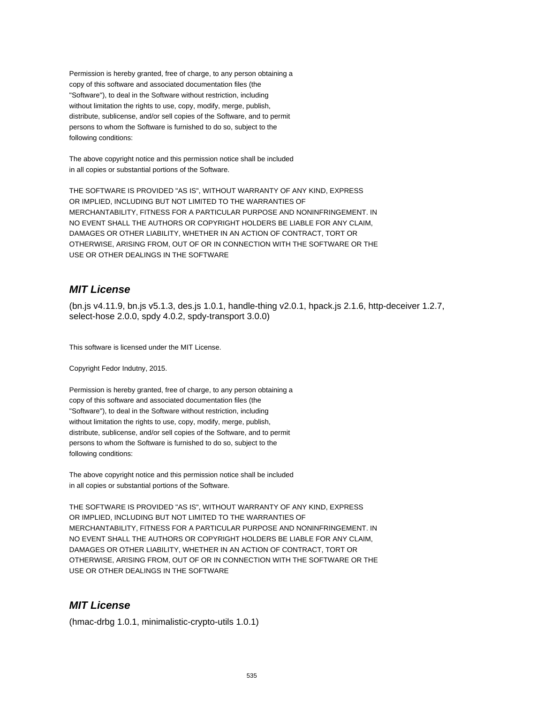Permission is hereby granted, free of charge, to any person obtaining a copy of this software and associated documentation files (the "Software"), to deal in the Software without restriction, including without limitation the rights to use, copy, modify, merge, publish, distribute, sublicense, and/or sell copies of the Software, and to permit persons to whom the Software is furnished to do so, subject to the following conditions:

The above copyright notice and this permission notice shall be included in all copies or substantial portions of the Software.

THE SOFTWARE IS PROVIDED "AS IS", WITHOUT WARRANTY OF ANY KIND, EXPRESS OR IMPLIED, INCLUDING BUT NOT LIMITED TO THE WARRANTIES OF MERCHANTABILITY, FITNESS FOR A PARTICULAR PURPOSE AND NONINFRINGEMENT. IN NO EVENT SHALL THE AUTHORS OR COPYRIGHT HOLDERS BE LIABLE FOR ANY CLAIM, DAMAGES OR OTHER LIABILITY, WHETHER IN AN ACTION OF CONTRACT, TORT OR OTHERWISE, ARISING FROM, OUT OF OR IN CONNECTION WITH THE SOFTWARE OR THE USE OR OTHER DEALINGS IN THE SOFTWARE

# **MIT License**

(bn.js v4.11.9, bn.js v5.1.3, des.js 1.0.1, handle-thing v2.0.1, hpack.js 2.1.6, http-deceiver 1.2.7, select-hose 2.0.0, spdy 4.0.2, spdy-transport 3.0.0)

This software is licensed under the MIT License.

Copyright Fedor Indutny, 2015.

Permission is hereby granted, free of charge, to any person obtaining a copy of this software and associated documentation files (the "Software"), to deal in the Software without restriction, including without limitation the rights to use, copy, modify, merge, publish, distribute, sublicense, and/or sell copies of the Software, and to permit persons to whom the Software is furnished to do so, subject to the following conditions:

The above copyright notice and this permission notice shall be included in all copies or substantial portions of the Software.

THE SOFTWARE IS PROVIDED "AS IS", WITHOUT WARRANTY OF ANY KIND, EXPRESS OR IMPLIED, INCLUDING BUT NOT LIMITED TO THE WARRANTIES OF MERCHANTABILITY, FITNESS FOR A PARTICULAR PURPOSE AND NONINFRINGEMENT. IN NO EVENT SHALL THE AUTHORS OR COPYRIGHT HOLDERS BE LIABLE FOR ANY CLAIM, DAMAGES OR OTHER LIABILITY, WHETHER IN AN ACTION OF CONTRACT, TORT OR OTHERWISE, ARISING FROM, OUT OF OR IN CONNECTION WITH THE SOFTWARE OR THE USE OR OTHER DEALINGS IN THE SOFTWARE

## **MIT License**

(hmac-drbg 1.0.1, minimalistic-crypto-utils 1.0.1)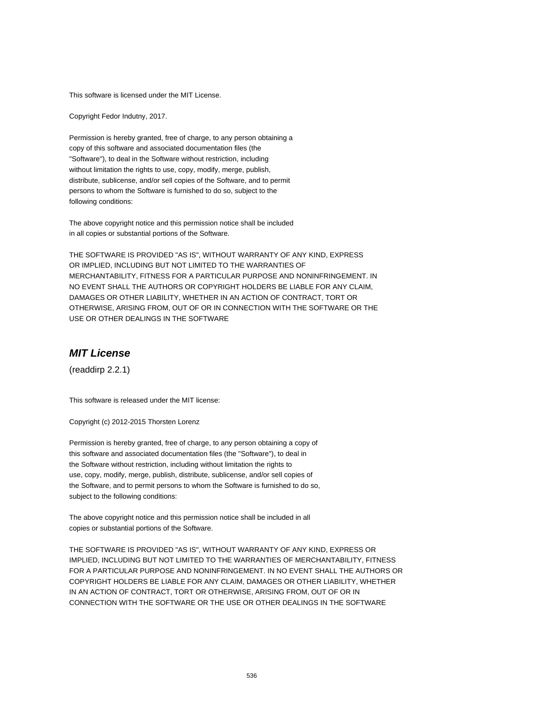This software is licensed under the MIT License.

Copyright Fedor Indutny, 2017.

Permission is hereby granted, free of charge, to any person obtaining a copy of this software and associated documentation files (the "Software"), to deal in the Software without restriction, including without limitation the rights to use, copy, modify, merge, publish, distribute, sublicense, and/or sell copies of the Software, and to permit persons to whom the Software is furnished to do so, subject to the following conditions:

The above copyright notice and this permission notice shall be included in all copies or substantial portions of the Software.

THE SOFTWARE IS PROVIDED "AS IS", WITHOUT WARRANTY OF ANY KIND, EXPRESS OR IMPLIED, INCLUDING BUT NOT LIMITED TO THE WARRANTIES OF MERCHANTABILITY, FITNESS FOR A PARTICULAR PURPOSE AND NONINFRINGEMENT. IN NO EVENT SHALL THE AUTHORS OR COPYRIGHT HOLDERS BE LIABLE FOR ANY CLAIM, DAMAGES OR OTHER LIABILITY, WHETHER IN AN ACTION OF CONTRACT, TORT OR OTHERWISE, ARISING FROM, OUT OF OR IN CONNECTION WITH THE SOFTWARE OR THE USE OR OTHER DEALINGS IN THE SOFTWARE

#### **MIT License**

(readdirp 2.2.1)

This software is released under the MIT license:

Copyright (c) 2012-2015 Thorsten Lorenz

Permission is hereby granted, free of charge, to any person obtaining a copy of this software and associated documentation files (the "Software"), to deal in the Software without restriction, including without limitation the rights to use, copy, modify, merge, publish, distribute, sublicense, and/or sell copies of the Software, and to permit persons to whom the Software is furnished to do so, subject to the following conditions:

The above copyright notice and this permission notice shall be included in all copies or substantial portions of the Software.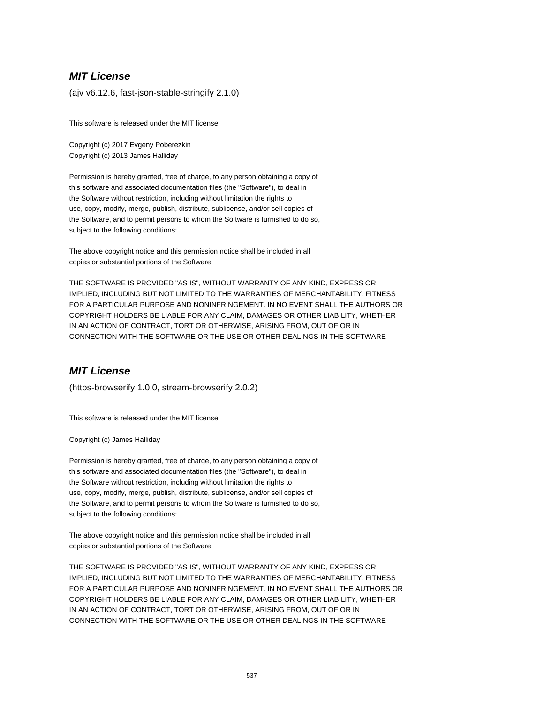(ajv v6.12.6, fast-json-stable-stringify 2.1.0)

This software is released under the MIT license:

Copyright (c) 2017 Evgeny Poberezkin Copyright (c) 2013 James Halliday

Permission is hereby granted, free of charge, to any person obtaining a copy of this software and associated documentation files (the "Software"), to deal in the Software without restriction, including without limitation the rights to use, copy, modify, merge, publish, distribute, sublicense, and/or sell copies of the Software, and to permit persons to whom the Software is furnished to do so, subject to the following conditions:

The above copyright notice and this permission notice shall be included in all copies or substantial portions of the Software.

THE SOFTWARE IS PROVIDED "AS IS", WITHOUT WARRANTY OF ANY KIND, EXPRESS OR IMPLIED, INCLUDING BUT NOT LIMITED TO THE WARRANTIES OF MERCHANTABILITY, FITNESS FOR A PARTICULAR PURPOSE AND NONINFRINGEMENT. IN NO EVENT SHALL THE AUTHORS OR COPYRIGHT HOLDERS BE LIABLE FOR ANY CLAIM, DAMAGES OR OTHER LIABILITY, WHETHER IN AN ACTION OF CONTRACT, TORT OR OTHERWISE, ARISING FROM, OUT OF OR IN CONNECTION WITH THE SOFTWARE OR THE USE OR OTHER DEALINGS IN THE SOFTWARE

## **MIT License**

(https-browserify 1.0.0, stream-browserify 2.0.2)

This software is released under the MIT license:

Copyright (c) James Halliday

Permission is hereby granted, free of charge, to any person obtaining a copy of this software and associated documentation files (the "Software"), to deal in the Software without restriction, including without limitation the rights to use, copy, modify, merge, publish, distribute, sublicense, and/or sell copies of the Software, and to permit persons to whom the Software is furnished to do so, subject to the following conditions:

The above copyright notice and this permission notice shall be included in all copies or substantial portions of the Software.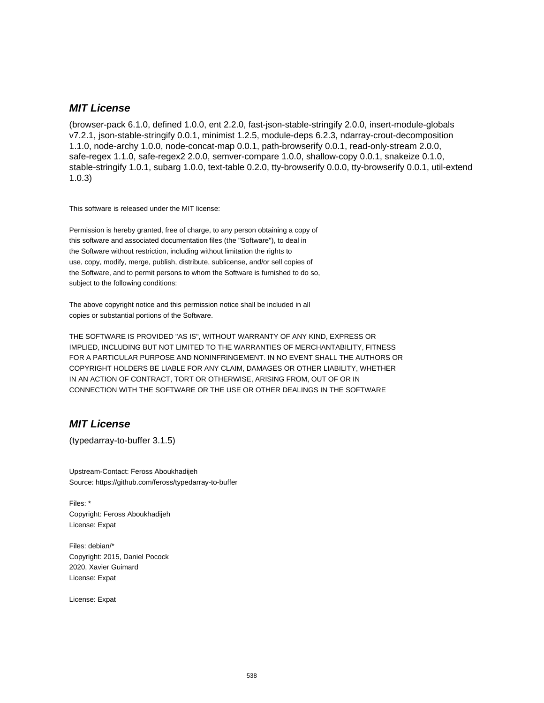(browser-pack 6.1.0, defined 1.0.0, ent 2.2.0, fast-json-stable-stringify 2.0.0, insert-module-globals v7.2.1, json-stable-stringify 0.0.1, minimist 1.2.5, module-deps 6.2.3, ndarray-crout-decomposition 1.1.0, node-archy 1.0.0, node-concat-map 0.0.1, path-browserify 0.0.1, read-only-stream 2.0.0, safe-regex 1.1.0, safe-regex2 2.0.0, semver-compare 1.0.0, shallow-copy 0.0.1, snakeize 0.1.0, stable-stringify 1.0.1, subarg 1.0.0, text-table 0.2.0, tty-browserify 0.0.0, tty-browserify 0.0.1, util-extend 1.0.3)

This software is released under the MIT license:

Permission is hereby granted, free of charge, to any person obtaining a copy of this software and associated documentation files (the "Software"), to deal in the Software without restriction, including without limitation the rights to use, copy, modify, merge, publish, distribute, sublicense, and/or sell copies of the Software, and to permit persons to whom the Software is furnished to do so, subject to the following conditions:

The above copyright notice and this permission notice shall be included in all copies or substantial portions of the Software.

THE SOFTWARE IS PROVIDED "AS IS", WITHOUT WARRANTY OF ANY KIND, EXPRESS OR IMPLIED, INCLUDING BUT NOT LIMITED TO THE WARRANTIES OF MERCHANTABILITY, FITNESS FOR A PARTICULAR PURPOSE AND NONINFRINGEMENT. IN NO EVENT SHALL THE AUTHORS OR COPYRIGHT HOLDERS BE LIABLE FOR ANY CLAIM, DAMAGES OR OTHER LIABILITY, WHETHER IN AN ACTION OF CONTRACT, TORT OR OTHERWISE, ARISING FROM, OUT OF OR IN CONNECTION WITH THE SOFTWARE OR THE USE OR OTHER DEALINGS IN THE SOFTWARE

### **MIT License**

(typedarray-to-buffer 3.1.5)

Upstream-Contact: Feross Aboukhadijeh Source: https://github.com/feross/typedarray-to-buffer

Files: \* Copyright: Feross Aboukhadijeh License: Expat

Files: debian/\* Copyright: 2015, Daniel Pocock 2020, Xavier Guimard License: Expat

License: Expat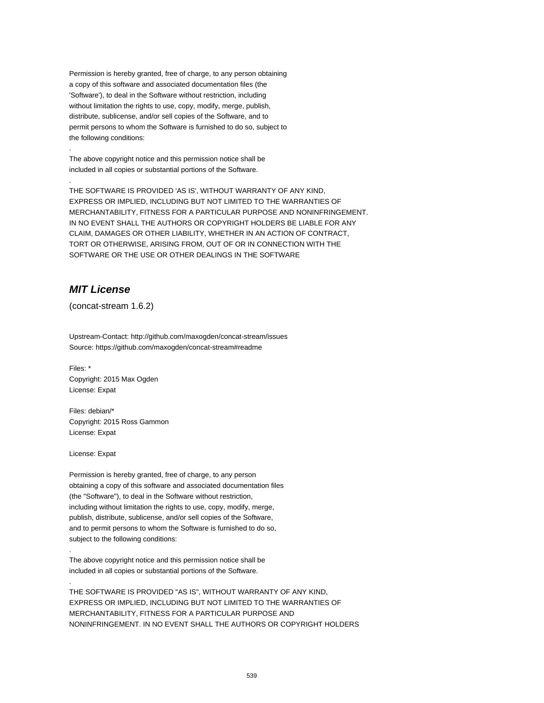Permission is hereby granted, free of charge, to any person obtaining a copy of this software and associated documentation files (the 'Software'), to deal in the Software without restriction, including without limitation the rights to use, copy, modify, merge, publish, distribute, sublicense, and/or sell copies of the Software, and to permit persons to whom the Software is furnished to do so, subject to the following conditions:

The above copyright notice and this permission notice shall be included in all copies or substantial portions of the Software.

THE SOFTWARE IS PROVIDED 'AS IS', WITHOUT WARRANTY OF ANY KIND, EXPRESS OR IMPLIED, INCLUDING BUT NOT LIMITED TO THE WARRANTIES OF MERCHANTABILITY, FITNESS FOR A PARTICULAR PURPOSE AND NONINFRINGEMENT. IN NO EVENT SHALL THE AUTHORS OR COPYRIGHT HOLDERS BE LIABLE FOR ANY CLAIM, DAMAGES OR OTHER LIABILITY, WHETHER IN AN ACTION OF CONTRACT, TORT OR OTHERWISE, ARISING FROM, OUT OF OR IN CONNECTION WITH THE SOFTWARE OR THE USE OR OTHER DEALINGS IN THE SOFTWARE

## **MIT License**

.

.

(concat-stream 1.6.2)

Upstream-Contact: http://github.com/maxogden/concat-stream/issues Source: https://github.com/maxogden/concat-stream#readme

Files: \* Copyright: 2015 Max Ogden License: Expat

Files: debian/\* Copyright: 2015 Ross Gammon License: Expat

License: Expat

.

.

Permission is hereby granted, free of charge, to any person obtaining a copy of this software and associated documentation files (the "Software"), to deal in the Software without restriction, including without limitation the rights to use, copy, modify, merge, publish, distribute, sublicense, and/or sell copies of the Software, and to permit persons to whom the Software is furnished to do so, subject to the following conditions:

The above copyright notice and this permission notice shall be included in all copies or substantial portions of the Software.

THE SOFTWARE IS PROVIDED "AS IS", WITHOUT WARRANTY OF ANY KIND, EXPRESS OR IMPLIED, INCLUDING BUT NOT LIMITED TO THE WARRANTIES OF MERCHANTABILITY, FITNESS FOR A PARTICULAR PURPOSE AND NONINFRINGEMENT. IN NO EVENT SHALL THE AUTHORS OR COPYRIGHT HOLDERS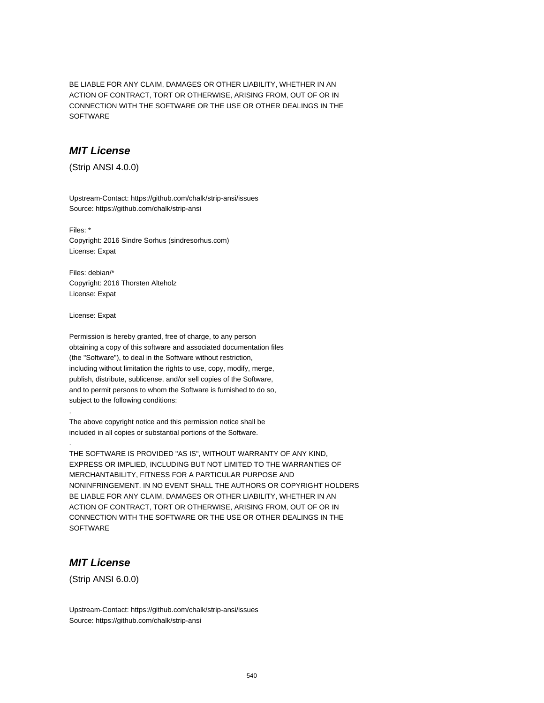BE LIABLE FOR ANY CLAIM, DAMAGES OR OTHER LIABILITY, WHETHER IN AN ACTION OF CONTRACT, TORT OR OTHERWISE, ARISING FROM, OUT OF OR IN CONNECTION WITH THE SOFTWARE OR THE USE OR OTHER DEALINGS IN THE SOFTWARE

### **MIT License**

(Strip ANSI 4.0.0)

Upstream-Contact: https://github.com/chalk/strip-ansi/issues Source: https://github.com/chalk/strip-ansi

Files: \* Copyright: 2016 Sindre Sorhus (sindresorhus.com) License: Expat

Files: debian/\* Copyright: 2016 Thorsten Alteholz License: Expat

License: Expat

.

.

Permission is hereby granted, free of charge, to any person obtaining a copy of this software and associated documentation files (the "Software"), to deal in the Software without restriction, including without limitation the rights to use, copy, modify, merge, publish, distribute, sublicense, and/or sell copies of the Software, and to permit persons to whom the Software is furnished to do so, subject to the following conditions:

The above copyright notice and this permission notice shall be included in all copies or substantial portions of the Software.

THE SOFTWARE IS PROVIDED "AS IS", WITHOUT WARRANTY OF ANY KIND, EXPRESS OR IMPLIED, INCLUDING BUT NOT LIMITED TO THE WARRANTIES OF MERCHANTABILITY, FITNESS FOR A PARTICULAR PURPOSE AND NONINFRINGEMENT. IN NO EVENT SHALL THE AUTHORS OR COPYRIGHT HOLDERS BE LIABLE FOR ANY CLAIM, DAMAGES OR OTHER LIABILITY, WHETHER IN AN ACTION OF CONTRACT, TORT OR OTHERWISE, ARISING FROM, OUT OF OR IN CONNECTION WITH THE SOFTWARE OR THE USE OR OTHER DEALINGS IN THE **SOFTWARE** 

#### **MIT License**

(Strip ANSI 6.0.0)

Upstream-Contact: https://github.com/chalk/strip-ansi/issues Source: https://github.com/chalk/strip-ansi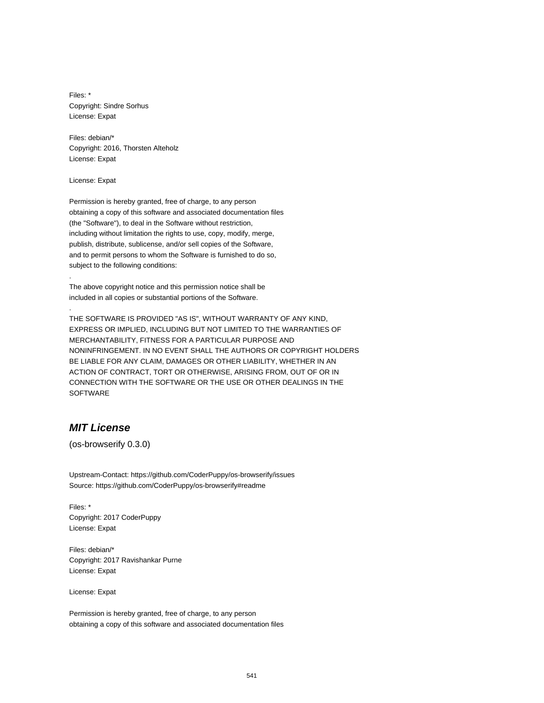Files: \* Copyright: Sindre Sorhus License: Expat

Files: debian/\* Copyright: 2016, Thorsten Alteholz License: Expat

License: Expat

.

.

Permission is hereby granted, free of charge, to any person obtaining a copy of this software and associated documentation files (the "Software"), to deal in the Software without restriction, including without limitation the rights to use, copy, modify, merge, publish, distribute, sublicense, and/or sell copies of the Software, and to permit persons to whom the Software is furnished to do so, subject to the following conditions:

The above copyright notice and this permission notice shall be included in all copies or substantial portions of the Software.

THE SOFTWARE IS PROVIDED "AS IS", WITHOUT WARRANTY OF ANY KIND, EXPRESS OR IMPLIED, INCLUDING BUT NOT LIMITED TO THE WARRANTIES OF MERCHANTABILITY, FITNESS FOR A PARTICULAR PURPOSE AND NONINFRINGEMENT. IN NO EVENT SHALL THE AUTHORS OR COPYRIGHT HOLDERS BE LIABLE FOR ANY CLAIM, DAMAGES OR OTHER LIABILITY, WHETHER IN AN ACTION OF CONTRACT, TORT OR OTHERWISE, ARISING FROM, OUT OF OR IN CONNECTION WITH THE SOFTWARE OR THE USE OR OTHER DEALINGS IN THE **SOFTWARE** 

#### **MIT License**

(os-browserify 0.3.0)

Upstream-Contact: https://github.com/CoderPuppy/os-browserify/issues Source: https://github.com/CoderPuppy/os-browserify#readme

Files: \* Copyright: 2017 CoderPuppy License: Expat

Files: debian/\* Copyright: 2017 Ravishankar Purne License: Expat

License: Expat

Permission is hereby granted, free of charge, to any person obtaining a copy of this software and associated documentation files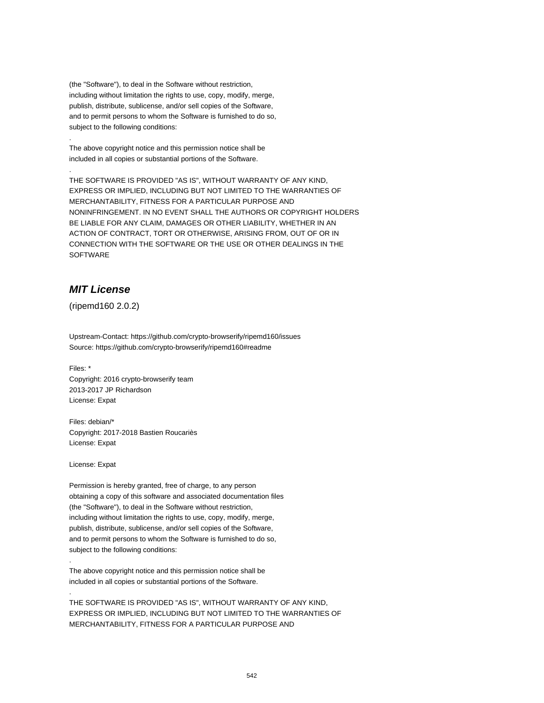(the "Software"), to deal in the Software without restriction, including without limitation the rights to use, copy, modify, merge, publish, distribute, sublicense, and/or sell copies of the Software, and to permit persons to whom the Software is furnished to do so, subject to the following conditions:

The above copyright notice and this permission notice shall be included in all copies or substantial portions of the Software.

THE SOFTWARE IS PROVIDED "AS IS", WITHOUT WARRANTY OF ANY KIND, EXPRESS OR IMPLIED, INCLUDING BUT NOT LIMITED TO THE WARRANTIES OF MERCHANTABILITY, FITNESS FOR A PARTICULAR PURPOSE AND NONINFRINGEMENT. IN NO EVENT SHALL THE AUTHORS OR COPYRIGHT HOLDERS BE LIABLE FOR ANY CLAIM, DAMAGES OR OTHER LIABILITY, WHETHER IN AN ACTION OF CONTRACT, TORT OR OTHERWISE, ARISING FROM, OUT OF OR IN CONNECTION WITH THE SOFTWARE OR THE USE OR OTHER DEALINGS IN THE SOFTWARE

## **MIT License**

.

.

(ripemd160 2.0.2)

Upstream-Contact: https://github.com/crypto-browserify/ripemd160/issues Source: https://github.com/crypto-browserify/ripemd160#readme

Files: \* Copyright: 2016 crypto-browserify team 2013-2017 JP Richardson License: Expat

Files: debian/\* Copyright: 2017-2018 Bastien Roucariès License: Expat

License: Expat

.

.

Permission is hereby granted, free of charge, to any person obtaining a copy of this software and associated documentation files (the "Software"), to deal in the Software without restriction, including without limitation the rights to use, copy, modify, merge, publish, distribute, sublicense, and/or sell copies of the Software, and to permit persons to whom the Software is furnished to do so, subject to the following conditions:

The above copyright notice and this permission notice shall be included in all copies or substantial portions of the Software.

THE SOFTWARE IS PROVIDED "AS IS", WITHOUT WARRANTY OF ANY KIND, EXPRESS OR IMPLIED, INCLUDING BUT NOT LIMITED TO THE WARRANTIES OF MERCHANTABILITY, FITNESS FOR A PARTICULAR PURPOSE AND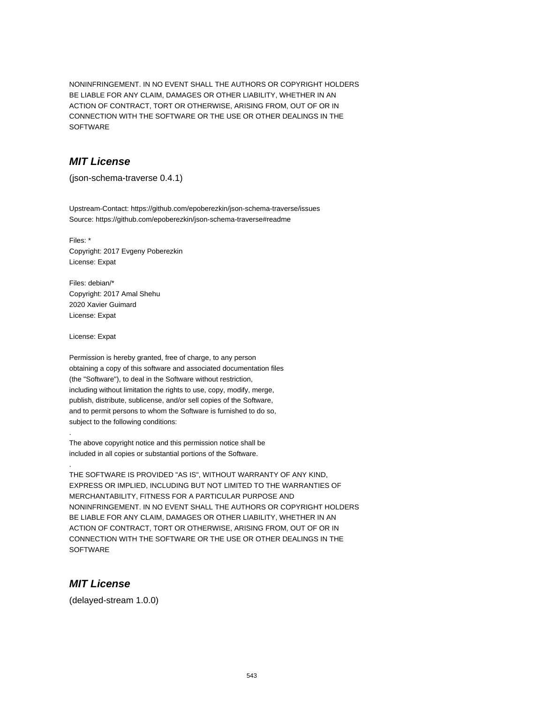NONINFRINGEMENT. IN NO EVENT SHALL THE AUTHORS OR COPYRIGHT HOLDERS BE LIABLE FOR ANY CLAIM, DAMAGES OR OTHER LIABILITY, WHETHER IN AN ACTION OF CONTRACT, TORT OR OTHERWISE, ARISING FROM, OUT OF OR IN CONNECTION WITH THE SOFTWARE OR THE USE OR OTHER DEALINGS IN THE SOFTWARE

## **MIT License**

(json-schema-traverse 0.4.1)

Upstream-Contact: https://github.com/epoberezkin/json-schema-traverse/issues Source: https://github.com/epoberezkin/json-schema-traverse#readme

Files: \* Copyright: 2017 Evgeny Poberezkin License: Expat

Files: debian/\* Copyright: 2017 Amal Shehu 2020 Xavier Guimard License: Expat

License: Expat

.

.

Permission is hereby granted, free of charge, to any person obtaining a copy of this software and associated documentation files (the "Software"), to deal in the Software without restriction, including without limitation the rights to use, copy, modify, merge, publish, distribute, sublicense, and/or sell copies of the Software, and to permit persons to whom the Software is furnished to do so, subject to the following conditions:

The above copyright notice and this permission notice shall be included in all copies or substantial portions of the Software.

THE SOFTWARE IS PROVIDED "AS IS", WITHOUT WARRANTY OF ANY KIND, EXPRESS OR IMPLIED, INCLUDING BUT NOT LIMITED TO THE WARRANTIES OF MERCHANTABILITY, FITNESS FOR A PARTICULAR PURPOSE AND NONINFRINGEMENT. IN NO EVENT SHALL THE AUTHORS OR COPYRIGHT HOLDERS BE LIABLE FOR ANY CLAIM, DAMAGES OR OTHER LIABILITY, WHETHER IN AN ACTION OF CONTRACT, TORT OR OTHERWISE, ARISING FROM, OUT OF OR IN CONNECTION WITH THE SOFTWARE OR THE USE OR OTHER DEALINGS IN THE **SOFTWARE** 

## **MIT License**

(delayed-stream 1.0.0)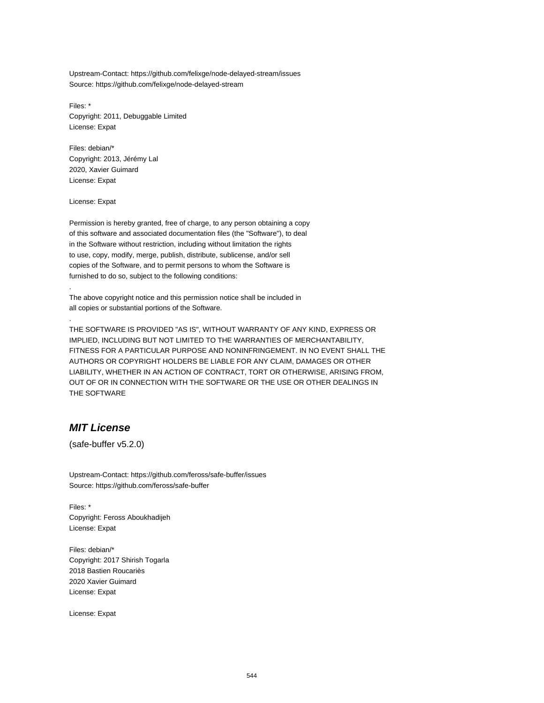Upstream-Contact: https://github.com/felixge/node-delayed-stream/issues Source: https://github.com/felixge/node-delayed-stream

Files: \* Copyright: 2011, Debuggable Limited License: Expat

Files: debian/\* Copyright: 2013, Jérémy Lal 2020, Xavier Guimard License: Expat

License: Expat

.

.

Permission is hereby granted, free of charge, to any person obtaining a copy of this software and associated documentation files (the "Software"), to deal in the Software without restriction, including without limitation the rights to use, copy, modify, merge, publish, distribute, sublicense, and/or sell copies of the Software, and to permit persons to whom the Software is furnished to do so, subject to the following conditions:

The above copyright notice and this permission notice shall be included in all copies or substantial portions of the Software.

THE SOFTWARE IS PROVIDED "AS IS", WITHOUT WARRANTY OF ANY KIND, EXPRESS OR IMPLIED, INCLUDING BUT NOT LIMITED TO THE WARRANTIES OF MERCHANTABILITY, FITNESS FOR A PARTICULAR PURPOSE AND NONINFRINGEMENT. IN NO EVENT SHALL THE AUTHORS OR COPYRIGHT HOLDERS BE LIABLE FOR ANY CLAIM, DAMAGES OR OTHER LIABILITY, WHETHER IN AN ACTION OF CONTRACT, TORT OR OTHERWISE, ARISING FROM, OUT OF OR IN CONNECTION WITH THE SOFTWARE OR THE USE OR OTHER DEALINGS IN THE SOFTWARE

#### **MIT License**

(safe-buffer v5.2.0)

Upstream-Contact: https://github.com/feross/safe-buffer/issues Source: https://github.com/feross/safe-buffer

Files: \* Copyright: Feross Aboukhadijeh License: Expat

Files: debian/\* Copyright: 2017 Shirish Togarla 2018 Bastien Roucariès 2020 Xavier Guimard License: Expat

License: Expat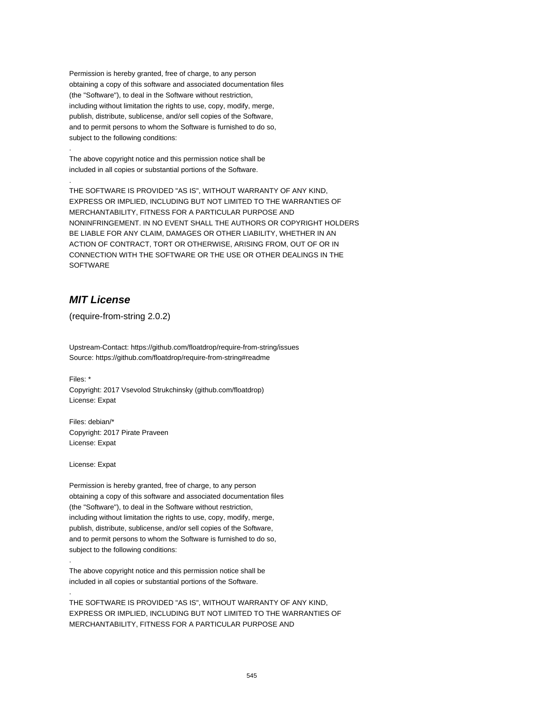Permission is hereby granted, free of charge, to any person obtaining a copy of this software and associated documentation files (the "Software"), to deal in the Software without restriction, including without limitation the rights to use, copy, modify, merge, publish, distribute, sublicense, and/or sell copies of the Software, and to permit persons to whom the Software is furnished to do so, subject to the following conditions:

The above copyright notice and this permission notice shall be included in all copies or substantial portions of the Software.

THE SOFTWARE IS PROVIDED "AS IS", WITHOUT WARRANTY OF ANY KIND, EXPRESS OR IMPLIED, INCLUDING BUT NOT LIMITED TO THE WARRANTIES OF MERCHANTABILITY, FITNESS FOR A PARTICULAR PURPOSE AND NONINFRINGEMENT. IN NO EVENT SHALL THE AUTHORS OR COPYRIGHT HOLDERS BE LIABLE FOR ANY CLAIM, DAMAGES OR OTHER LIABILITY, WHETHER IN AN ACTION OF CONTRACT, TORT OR OTHERWISE, ARISING FROM, OUT OF OR IN CONNECTION WITH THE SOFTWARE OR THE USE OR OTHER DEALINGS IN THE **SOFTWARE** 

## **MIT License**

(require-from-string 2.0.2)

Upstream-Contact: https://github.com/floatdrop/require-from-string/issues Source: https://github.com/floatdrop/require-from-string#readme

Files: \*

.

.

Copyright: 2017 Vsevolod Strukchinsky (github.com/floatdrop) License: Expat

Files: debian/\* Copyright: 2017 Pirate Praveen License: Expat

License: Expat

.

.

Permission is hereby granted, free of charge, to any person obtaining a copy of this software and associated documentation files (the "Software"), to deal in the Software without restriction, including without limitation the rights to use, copy, modify, merge, publish, distribute, sublicense, and/or sell copies of the Software, and to permit persons to whom the Software is furnished to do so, subject to the following conditions:

The above copyright notice and this permission notice shall be included in all copies or substantial portions of the Software.

THE SOFTWARE IS PROVIDED "AS IS", WITHOUT WARRANTY OF ANY KIND, EXPRESS OR IMPLIED, INCLUDING BUT NOT LIMITED TO THE WARRANTIES OF MERCHANTABILITY, FITNESS FOR A PARTICULAR PURPOSE AND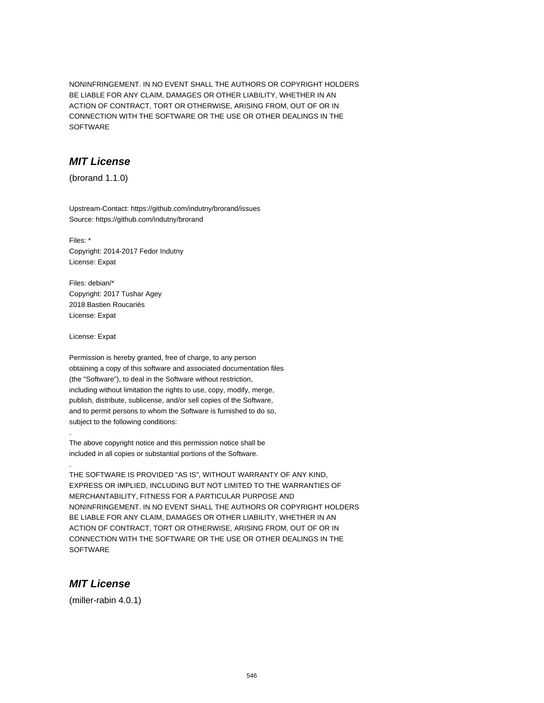NONINFRINGEMENT. IN NO EVENT SHALL THE AUTHORS OR COPYRIGHT HOLDERS BE LIABLE FOR ANY CLAIM, DAMAGES OR OTHER LIABILITY, WHETHER IN AN ACTION OF CONTRACT, TORT OR OTHERWISE, ARISING FROM, OUT OF OR IN CONNECTION WITH THE SOFTWARE OR THE USE OR OTHER DEALINGS IN THE **SOFTWARE** 

## **MIT License**

(brorand 1.1.0)

Upstream-Contact: https://github.com/indutny/brorand/issues Source: https://github.com/indutny/brorand

Files: \* Copyright: 2014-2017 Fedor Indutny License: Expat

Files: debian/\* Copyright: 2017 Tushar Agey 2018 Bastien Roucariès License: Expat

License: Expat

.

.

Permission is hereby granted, free of charge, to any person obtaining a copy of this software and associated documentation files (the "Software"), to deal in the Software without restriction, including without limitation the rights to use, copy, modify, merge, publish, distribute, sublicense, and/or sell copies of the Software, and to permit persons to whom the Software is furnished to do so, subject to the following conditions:

The above copyright notice and this permission notice shall be included in all copies or substantial portions of the Software.

THE SOFTWARE IS PROVIDED "AS IS", WITHOUT WARRANTY OF ANY KIND, EXPRESS OR IMPLIED, INCLUDING BUT NOT LIMITED TO THE WARRANTIES OF MERCHANTABILITY, FITNESS FOR A PARTICULAR PURPOSE AND NONINFRINGEMENT. IN NO EVENT SHALL THE AUTHORS OR COPYRIGHT HOLDERS BE LIABLE FOR ANY CLAIM, DAMAGES OR OTHER LIABILITY, WHETHER IN AN ACTION OF CONTRACT, TORT OR OTHERWISE, ARISING FROM, OUT OF OR IN CONNECTION WITH THE SOFTWARE OR THE USE OR OTHER DEALINGS IN THE **SOFTWARE** 

#### **MIT License**

(miller-rabin 4.0.1)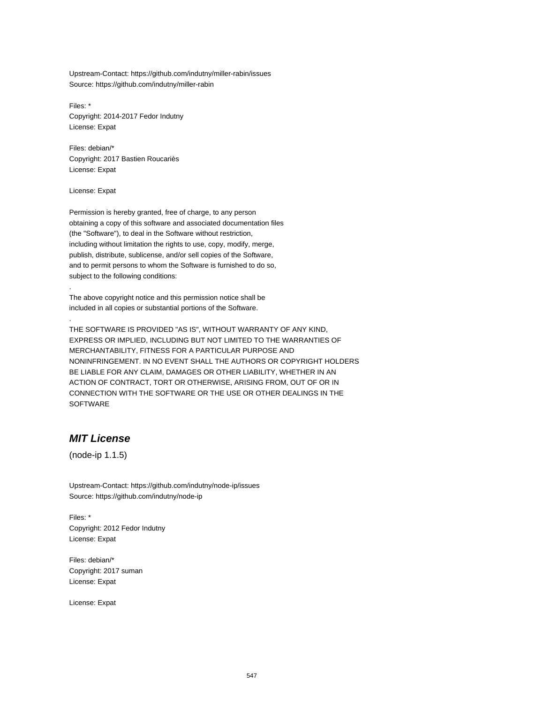Upstream-Contact: https://github.com/indutny/miller-rabin/issues Source: https://github.com/indutny/miller-rabin

Files: \* Copyright: 2014-2017 Fedor Indutny License: Expat

Files: debian/\* Copyright: 2017 Bastien Roucariès License: Expat

License: Expat

.

.

Permission is hereby granted, free of charge, to any person obtaining a copy of this software and associated documentation files (the "Software"), to deal in the Software without restriction, including without limitation the rights to use, copy, modify, merge, publish, distribute, sublicense, and/or sell copies of the Software, and to permit persons to whom the Software is furnished to do so, subject to the following conditions:

The above copyright notice and this permission notice shall be included in all copies or substantial portions of the Software.

THE SOFTWARE IS PROVIDED "AS IS", WITHOUT WARRANTY OF ANY KIND, EXPRESS OR IMPLIED, INCLUDING BUT NOT LIMITED TO THE WARRANTIES OF MERCHANTABILITY, FITNESS FOR A PARTICULAR PURPOSE AND NONINFRINGEMENT. IN NO EVENT SHALL THE AUTHORS OR COPYRIGHT HOLDERS BE LIABLE FOR ANY CLAIM, DAMAGES OR OTHER LIABILITY, WHETHER IN AN ACTION OF CONTRACT, TORT OR OTHERWISE, ARISING FROM, OUT OF OR IN CONNECTION WITH THE SOFTWARE OR THE USE OR OTHER DEALINGS IN THE SOFTWARE

# **MIT License**

(node-ip 1.1.5)

Upstream-Contact: https://github.com/indutny/node-ip/issues Source: https://github.com/indutny/node-ip

Files: \* Copyright: 2012 Fedor Indutny License: Expat

Files: debian/\* Copyright: 2017 suman License: Expat

License: Expat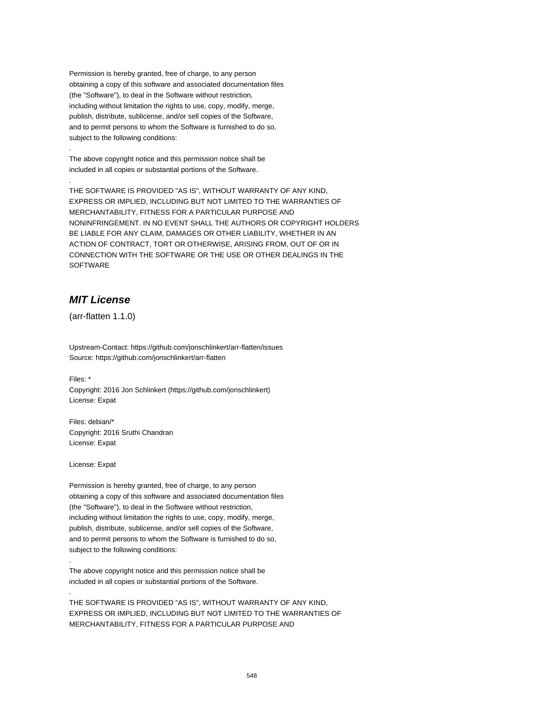Permission is hereby granted, free of charge, to any person obtaining a copy of this software and associated documentation files (the "Software"), to deal in the Software without restriction, including without limitation the rights to use, copy, modify, merge, publish, distribute, sublicense, and/or sell copies of the Software, and to permit persons to whom the Software is furnished to do so, subject to the following conditions:

The above copyright notice and this permission notice shall be included in all copies or substantial portions of the Software.

THE SOFTWARE IS PROVIDED "AS IS", WITHOUT WARRANTY OF ANY KIND, EXPRESS OR IMPLIED, INCLUDING BUT NOT LIMITED TO THE WARRANTIES OF MERCHANTABILITY, FITNESS FOR A PARTICULAR PURPOSE AND NONINFRINGEMENT. IN NO EVENT SHALL THE AUTHORS OR COPYRIGHT HOLDERS BE LIABLE FOR ANY CLAIM, DAMAGES OR OTHER LIABILITY, WHETHER IN AN ACTION OF CONTRACT, TORT OR OTHERWISE, ARISING FROM, OUT OF OR IN CONNECTION WITH THE SOFTWARE OR THE USE OR OTHER DEALINGS IN THE SOFTWARE

## **MIT License**

(arr-flatten 1.1.0)

Upstream-Contact: https://github.com/jonschlinkert/arr-flatten/issues Source: https://github.com/jonschlinkert/arr-flatten

Files: \*

.

.

Copyright: 2016 Jon Schlinkert (https://github.com/jonschlinkert) License: Expat

Files: debian/\* Copyright: 2016 Sruthi Chandran License: Expat

License: Expat

.

.

Permission is hereby granted, free of charge, to any person obtaining a copy of this software and associated documentation files (the "Software"), to deal in the Software without restriction, including without limitation the rights to use, copy, modify, merge, publish, distribute, sublicense, and/or sell copies of the Software, and to permit persons to whom the Software is furnished to do so, subject to the following conditions:

The above copyright notice and this permission notice shall be included in all copies or substantial portions of the Software.

THE SOFTWARE IS PROVIDED "AS IS", WITHOUT WARRANTY OF ANY KIND, EXPRESS OR IMPLIED, INCLUDING BUT NOT LIMITED TO THE WARRANTIES OF MERCHANTABILITY, FITNESS FOR A PARTICULAR PURPOSE AND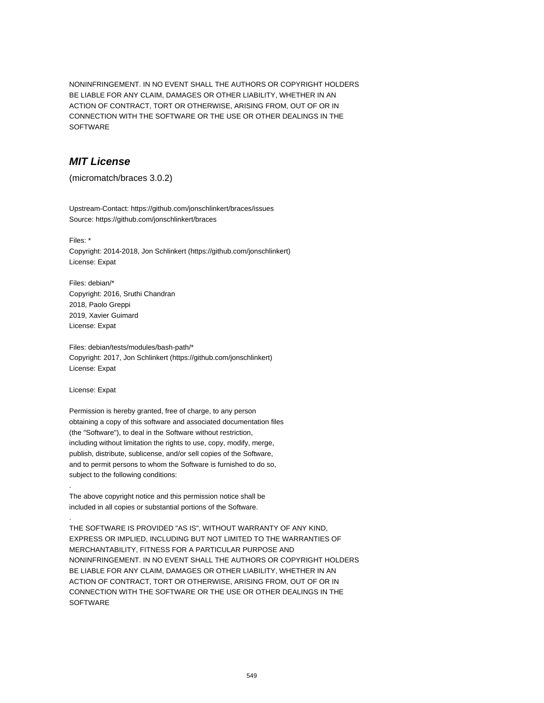NONINFRINGEMENT. IN NO EVENT SHALL THE AUTHORS OR COPYRIGHT HOLDERS BE LIABLE FOR ANY CLAIM, DAMAGES OR OTHER LIABILITY, WHETHER IN AN ACTION OF CONTRACT, TORT OR OTHERWISE, ARISING FROM, OUT OF OR IN CONNECTION WITH THE SOFTWARE OR THE USE OR OTHER DEALINGS IN THE SOFTWARE

## **MIT License**

(micromatch/braces 3.0.2)

Upstream-Contact: https://github.com/jonschlinkert/braces/issues Source: https://github.com/jonschlinkert/braces

Files: \*

Copyright: 2014-2018, Jon Schlinkert (https://github.com/jonschlinkert) License: Expat

Files: debian/\* Copyright: 2016, Sruthi Chandran 2018, Paolo Greppi 2019, Xavier Guimard License: Expat

Files: debian/tests/modules/bash-path/\* Copyright: 2017, Jon Schlinkert (https://github.com/jonschlinkert) License: Expat

License: Expat

.

.

Permission is hereby granted, free of charge, to any person obtaining a copy of this software and associated documentation files (the "Software"), to deal in the Software without restriction, including without limitation the rights to use, copy, modify, merge, publish, distribute, sublicense, and/or sell copies of the Software, and to permit persons to whom the Software is furnished to do so, subject to the following conditions:

The above copyright notice and this permission notice shall be included in all copies or substantial portions of the Software.

THE SOFTWARE IS PROVIDED "AS IS", WITHOUT WARRANTY OF ANY KIND, EXPRESS OR IMPLIED, INCLUDING BUT NOT LIMITED TO THE WARRANTIES OF MERCHANTABILITY, FITNESS FOR A PARTICULAR PURPOSE AND NONINFRINGEMENT. IN NO EVENT SHALL THE AUTHORS OR COPYRIGHT HOLDERS BE LIABLE FOR ANY CLAIM, DAMAGES OR OTHER LIABILITY, WHETHER IN AN ACTION OF CONTRACT, TORT OR OTHERWISE, ARISING FROM, OUT OF OR IN CONNECTION WITH THE SOFTWARE OR THE USE OR OTHER DEALINGS IN THE **SOFTWARE**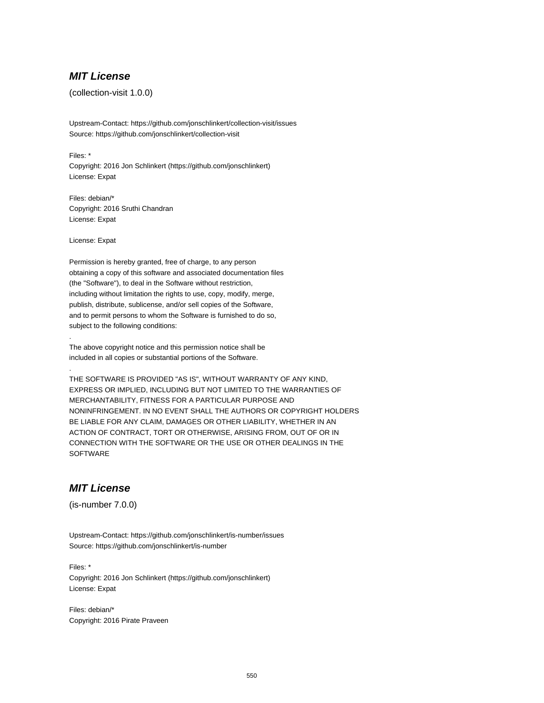#### **MIT License**

(collection-visit 1.0.0)

Upstream-Contact: https://github.com/jonschlinkert/collection-visit/issues Source: https://github.com/jonschlinkert/collection-visit

Files: \* Copyright: 2016 Jon Schlinkert (https://github.com/jonschlinkert) License: Expat

Files: debian/\* Copyright: 2016 Sruthi Chandran License: Expat

License: Expat

.

.

Permission is hereby granted, free of charge, to any person obtaining a copy of this software and associated documentation files (the "Software"), to deal in the Software without restriction, including without limitation the rights to use, copy, modify, merge, publish, distribute, sublicense, and/or sell copies of the Software, and to permit persons to whom the Software is furnished to do so, subject to the following conditions:

The above copyright notice and this permission notice shall be included in all copies or substantial portions of the Software.

THE SOFTWARE IS PROVIDED "AS IS", WITHOUT WARRANTY OF ANY KIND, EXPRESS OR IMPLIED, INCLUDING BUT NOT LIMITED TO THE WARRANTIES OF MERCHANTABILITY, FITNESS FOR A PARTICULAR PURPOSE AND NONINFRINGEMENT. IN NO EVENT SHALL THE AUTHORS OR COPYRIGHT HOLDERS BE LIABLE FOR ANY CLAIM, DAMAGES OR OTHER LIABILITY, WHETHER IN AN ACTION OF CONTRACT, TORT OR OTHERWISE, ARISING FROM, OUT OF OR IN CONNECTION WITH THE SOFTWARE OR THE USE OR OTHER DEALINGS IN THE **SOFTWARE** 

## **MIT License**

(is-number 7.0.0)

Upstream-Contact: https://github.com/jonschlinkert/is-number/issues Source: https://github.com/jonschlinkert/is-number

Files: \* Copyright: 2016 Jon Schlinkert (https://github.com/jonschlinkert) License: Expat

Files: debian/\* Copyright: 2016 Pirate Praveen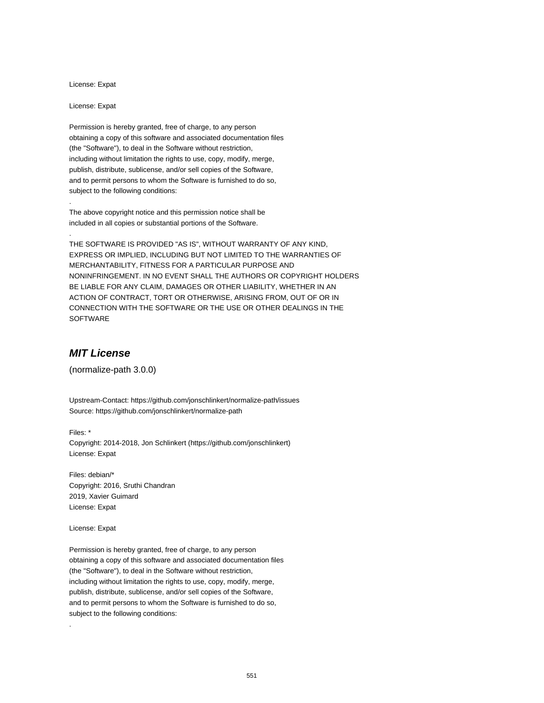License: Expat

License: Expat

.

.

Permission is hereby granted, free of charge, to any person obtaining a copy of this software and associated documentation files (the "Software"), to deal in the Software without restriction, including without limitation the rights to use, copy, modify, merge, publish, distribute, sublicense, and/or sell copies of the Software, and to permit persons to whom the Software is furnished to do so, subject to the following conditions:

The above copyright notice and this permission notice shall be included in all copies or substantial portions of the Software.

THE SOFTWARE IS PROVIDED "AS IS", WITHOUT WARRANTY OF ANY KIND, EXPRESS OR IMPLIED, INCLUDING BUT NOT LIMITED TO THE WARRANTIES OF MERCHANTABILITY, FITNESS FOR A PARTICULAR PURPOSE AND NONINFRINGEMENT. IN NO EVENT SHALL THE AUTHORS OR COPYRIGHT HOLDERS BE LIABLE FOR ANY CLAIM, DAMAGES OR OTHER LIABILITY, WHETHER IN AN ACTION OF CONTRACT, TORT OR OTHERWISE, ARISING FROM, OUT OF OR IN CONNECTION WITH THE SOFTWARE OR THE USE OR OTHER DEALINGS IN THE SOFTWARE

## **MIT License**

(normalize-path 3.0.0)

Upstream-Contact: https://github.com/jonschlinkert/normalize-path/issues Source: https://github.com/jonschlinkert/normalize-path

Files: \* Copyright: 2014-2018, Jon Schlinkert (https://github.com/jonschlinkert) License: Expat

Files: debian/\* Copyright: 2016, Sruthi Chandran 2019, Xavier Guimard License: Expat

License: Expat

.

Permission is hereby granted, free of charge, to any person obtaining a copy of this software and associated documentation files (the "Software"), to deal in the Software without restriction, including without limitation the rights to use, copy, modify, merge, publish, distribute, sublicense, and/or sell copies of the Software, and to permit persons to whom the Software is furnished to do so, subject to the following conditions: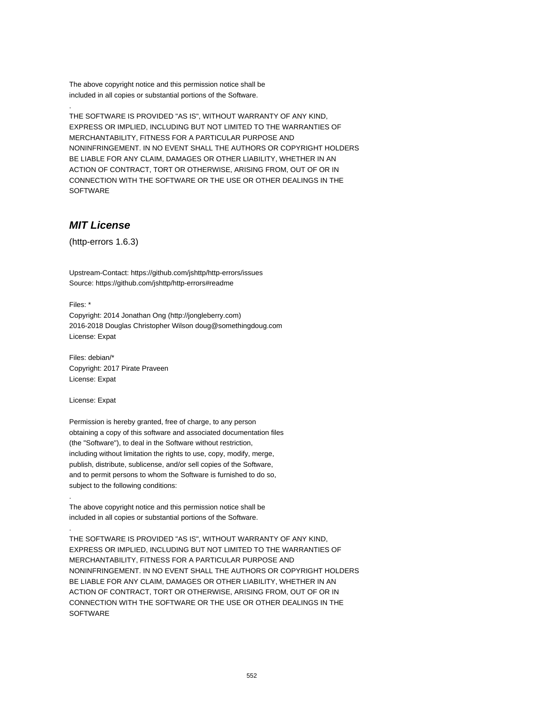The above copyright notice and this permission notice shall be included in all copies or substantial portions of the Software.

THE SOFTWARE IS PROVIDED "AS IS", WITHOUT WARRANTY OF ANY KIND, EXPRESS OR IMPLIED, INCLUDING BUT NOT LIMITED TO THE WARRANTIES OF MERCHANTABILITY, FITNESS FOR A PARTICULAR PURPOSE AND NONINFRINGEMENT. IN NO EVENT SHALL THE AUTHORS OR COPYRIGHT HOLDERS BE LIABLE FOR ANY CLAIM, DAMAGES OR OTHER LIABILITY, WHETHER IN AN ACTION OF CONTRACT, TORT OR OTHERWISE, ARISING FROM, OUT OF OR IN CONNECTION WITH THE SOFTWARE OR THE USE OR OTHER DEALINGS IN THE SOFTWARE

#### **MIT License**

(http-errors 1.6.3)

Upstream-Contact: https://github.com/jshttp/http-errors/issues Source: https://github.com/jshttp/http-errors#readme

Files: \*

.

Copyright: 2014 Jonathan Ong (http://jongleberry.com) 2016-2018 Douglas Christopher Wilson doug@somethingdoug.com License: Expat

Files: debian/\* Copyright: 2017 Pirate Praveen License: Expat

License: Expat

.

.

Permission is hereby granted, free of charge, to any person obtaining a copy of this software and associated documentation files (the "Software"), to deal in the Software without restriction, including without limitation the rights to use, copy, modify, merge, publish, distribute, sublicense, and/or sell copies of the Software, and to permit persons to whom the Software is furnished to do so, subject to the following conditions:

The above copyright notice and this permission notice shall be included in all copies or substantial portions of the Software.

THE SOFTWARE IS PROVIDED "AS IS", WITHOUT WARRANTY OF ANY KIND, EXPRESS OR IMPLIED, INCLUDING BUT NOT LIMITED TO THE WARRANTIES OF MERCHANTABILITY, FITNESS FOR A PARTICULAR PURPOSE AND NONINFRINGEMENT. IN NO EVENT SHALL THE AUTHORS OR COPYRIGHT HOLDERS BE LIABLE FOR ANY CLAIM, DAMAGES OR OTHER LIABILITY, WHETHER IN AN ACTION OF CONTRACT, TORT OR OTHERWISE, ARISING FROM, OUT OF OR IN CONNECTION WITH THE SOFTWARE OR THE USE OR OTHER DEALINGS IN THE **SOFTWARE**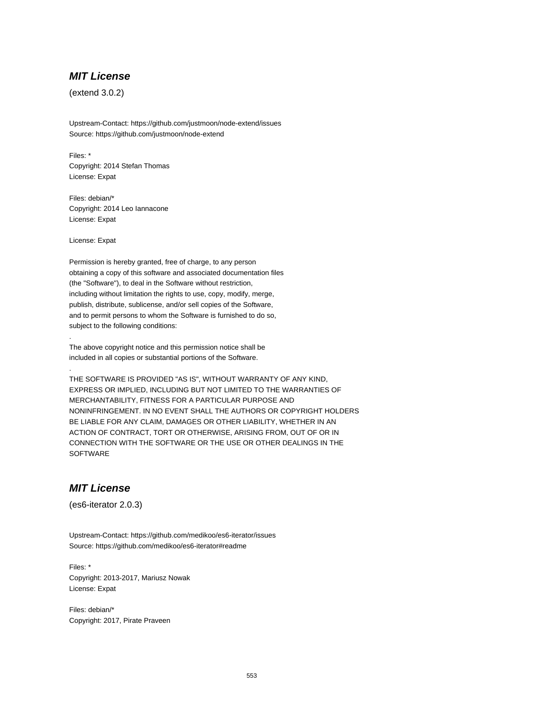#### **MIT License**

(extend 3.0.2)

Upstream-Contact: https://github.com/justmoon/node-extend/issues Source: https://github.com/justmoon/node-extend

Files: \* Copyright: 2014 Stefan Thomas License: Expat

Files: debian/\* Copyright: 2014 Leo Iannacone License: Expat

License: Expat

.

.

Permission is hereby granted, free of charge, to any person obtaining a copy of this software and associated documentation files (the "Software"), to deal in the Software without restriction, including without limitation the rights to use, copy, modify, merge, publish, distribute, sublicense, and/or sell copies of the Software, and to permit persons to whom the Software is furnished to do so, subject to the following conditions:

The above copyright notice and this permission notice shall be included in all copies or substantial portions of the Software.

THE SOFTWARE IS PROVIDED "AS IS", WITHOUT WARRANTY OF ANY KIND, EXPRESS OR IMPLIED, INCLUDING BUT NOT LIMITED TO THE WARRANTIES OF MERCHANTABILITY, FITNESS FOR A PARTICULAR PURPOSE AND NONINFRINGEMENT. IN NO EVENT SHALL THE AUTHORS OR COPYRIGHT HOLDERS BE LIABLE FOR ANY CLAIM, DAMAGES OR OTHER LIABILITY, WHETHER IN AN ACTION OF CONTRACT, TORT OR OTHERWISE, ARISING FROM, OUT OF OR IN CONNECTION WITH THE SOFTWARE OR THE USE OR OTHER DEALINGS IN THE **SOFTWARE** 

#### **MIT License**

(es6-iterator 2.0.3)

Upstream-Contact: https://github.com/medikoo/es6-iterator/issues Source: https://github.com/medikoo/es6-iterator#readme

Files: \* Copyright: 2013-2017, Mariusz Nowak License: Expat

Files: debian/\* Copyright: 2017, Pirate Praveen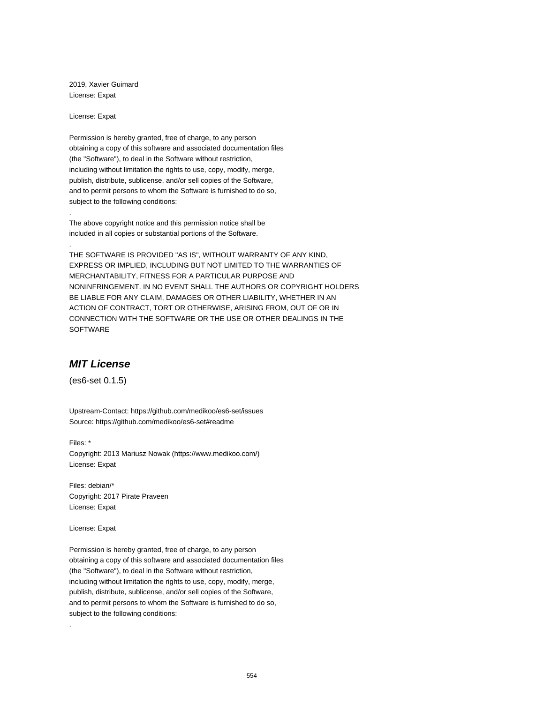2019, Xavier Guimard License: Expat

License: Expat

.

.

Permission is hereby granted, free of charge, to any person obtaining a copy of this software and associated documentation files (the "Software"), to deal in the Software without restriction, including without limitation the rights to use, copy, modify, merge, publish, distribute, sublicense, and/or sell copies of the Software, and to permit persons to whom the Software is furnished to do so, subject to the following conditions:

The above copyright notice and this permission notice shall be included in all copies or substantial portions of the Software.

THE SOFTWARE IS PROVIDED "AS IS", WITHOUT WARRANTY OF ANY KIND, EXPRESS OR IMPLIED, INCLUDING BUT NOT LIMITED TO THE WARRANTIES OF MERCHANTABILITY, FITNESS FOR A PARTICULAR PURPOSE AND NONINFRINGEMENT. IN NO EVENT SHALL THE AUTHORS OR COPYRIGHT HOLDERS BE LIABLE FOR ANY CLAIM, DAMAGES OR OTHER LIABILITY, WHETHER IN AN ACTION OF CONTRACT, TORT OR OTHERWISE, ARISING FROM, OUT OF OR IN CONNECTION WITH THE SOFTWARE OR THE USE OR OTHER DEALINGS IN THE SOFTWARE

#### **MIT License**

(es6-set 0.1.5)

Upstream-Contact: https://github.com/medikoo/es6-set/issues Source: https://github.com/medikoo/es6-set#readme

Files: \* Copyright: 2013 Mariusz Nowak (https://www.medikoo.com/) License: Expat

Files: debian/\* Copyright: 2017 Pirate Praveen License: Expat

License: Expat

.

Permission is hereby granted, free of charge, to any person obtaining a copy of this software and associated documentation files (the "Software"), to deal in the Software without restriction, including without limitation the rights to use, copy, modify, merge, publish, distribute, sublicense, and/or sell copies of the Software, and to permit persons to whom the Software is furnished to do so, subject to the following conditions: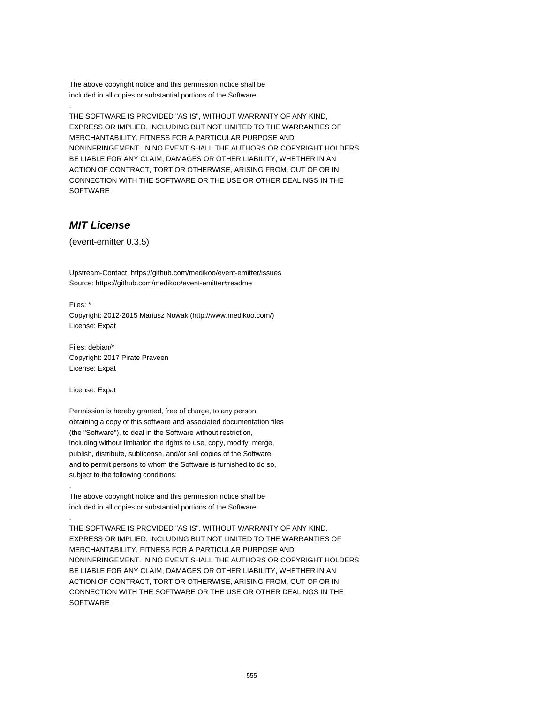The above copyright notice and this permission notice shall be included in all copies or substantial portions of the Software.

THE SOFTWARE IS PROVIDED "AS IS", WITHOUT WARRANTY OF ANY KIND, EXPRESS OR IMPLIED, INCLUDING BUT NOT LIMITED TO THE WARRANTIES OF MERCHANTABILITY, FITNESS FOR A PARTICULAR PURPOSE AND NONINFRINGEMENT. IN NO EVENT SHALL THE AUTHORS OR COPYRIGHT HOLDERS BE LIABLE FOR ANY CLAIM, DAMAGES OR OTHER LIABILITY, WHETHER IN AN ACTION OF CONTRACT, TORT OR OTHERWISE, ARISING FROM, OUT OF OR IN CONNECTION WITH THE SOFTWARE OR THE USE OR OTHER DEALINGS IN THE SOFTWARE

## **MIT License**

(event-emitter 0.3.5)

Upstream-Contact: https://github.com/medikoo/event-emitter/issues Source: https://github.com/medikoo/event-emitter#readme

Files: \*

.

Copyright: 2012-2015 Mariusz Nowak (http://www.medikoo.com/) License: Expat

Files: debian/\* Copyright: 2017 Pirate Praveen License: Expat

License: Expat

.

.

Permission is hereby granted, free of charge, to any person obtaining a copy of this software and associated documentation files (the "Software"), to deal in the Software without restriction, including without limitation the rights to use, copy, modify, merge, publish, distribute, sublicense, and/or sell copies of the Software, and to permit persons to whom the Software is furnished to do so, subject to the following conditions:

The above copyright notice and this permission notice shall be included in all copies or substantial portions of the Software.

THE SOFTWARE IS PROVIDED "AS IS", WITHOUT WARRANTY OF ANY KIND, EXPRESS OR IMPLIED, INCLUDING BUT NOT LIMITED TO THE WARRANTIES OF MERCHANTABILITY, FITNESS FOR A PARTICULAR PURPOSE AND NONINFRINGEMENT. IN NO EVENT SHALL THE AUTHORS OR COPYRIGHT HOLDERS BE LIABLE FOR ANY CLAIM, DAMAGES OR OTHER LIABILITY, WHETHER IN AN ACTION OF CONTRACT, TORT OR OTHERWISE, ARISING FROM, OUT OF OR IN CONNECTION WITH THE SOFTWARE OR THE USE OR OTHER DEALINGS IN THE **SOFTWARE**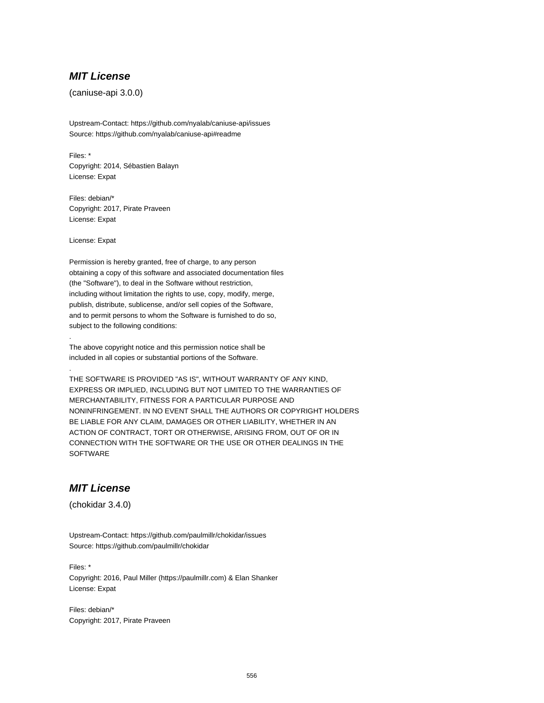#### **MIT License**

(caniuse-api 3.0.0)

Upstream-Contact: https://github.com/nyalab/caniuse-api/issues Source: https://github.com/nyalab/caniuse-api#readme

Files: \* Copyright: 2014, Sébastien Balayn License: Expat

Files: debian/\* Copyright: 2017, Pirate Praveen License: Expat

License: Expat

.

.

Permission is hereby granted, free of charge, to any person obtaining a copy of this software and associated documentation files (the "Software"), to deal in the Software without restriction, including without limitation the rights to use, copy, modify, merge, publish, distribute, sublicense, and/or sell copies of the Software, and to permit persons to whom the Software is furnished to do so, subject to the following conditions:

The above copyright notice and this permission notice shall be included in all copies or substantial portions of the Software.

THE SOFTWARE IS PROVIDED "AS IS", WITHOUT WARRANTY OF ANY KIND, EXPRESS OR IMPLIED, INCLUDING BUT NOT LIMITED TO THE WARRANTIES OF MERCHANTABILITY, FITNESS FOR A PARTICULAR PURPOSE AND NONINFRINGEMENT. IN NO EVENT SHALL THE AUTHORS OR COPYRIGHT HOLDERS BE LIABLE FOR ANY CLAIM, DAMAGES OR OTHER LIABILITY, WHETHER IN AN ACTION OF CONTRACT, TORT OR OTHERWISE, ARISING FROM, OUT OF OR IN CONNECTION WITH THE SOFTWARE OR THE USE OR OTHER DEALINGS IN THE **SOFTWARE** 

## **MIT License**

(chokidar 3.4.0)

Upstream-Contact: https://github.com/paulmillr/chokidar/issues Source: https://github.com/paulmillr/chokidar

Files: \* Copyright: 2016, Paul Miller (https://paulmillr.com) & Elan Shanker License: Expat

Files: debian/\* Copyright: 2017, Pirate Praveen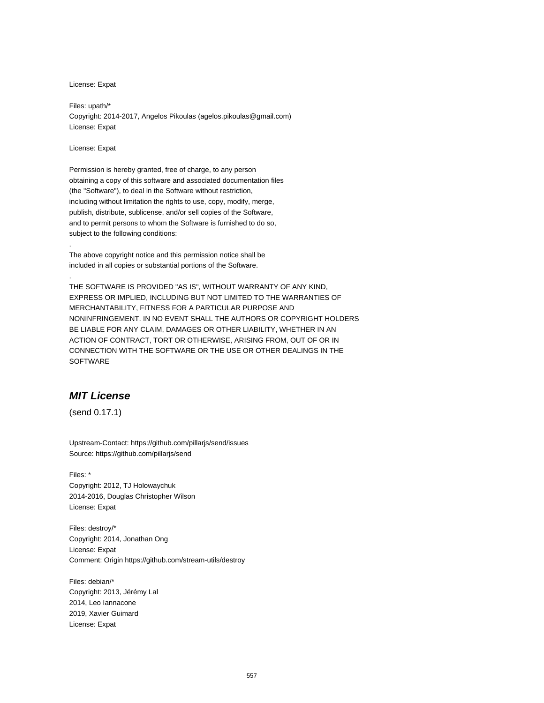License: Expat

Files: upath/\* Copyright: 2014-2017, Angelos Pikoulas (agelos.pikoulas@gmail.com) License: Expat

License: Expat

.

.

Permission is hereby granted, free of charge, to any person obtaining a copy of this software and associated documentation files (the "Software"), to deal in the Software without restriction, including without limitation the rights to use, copy, modify, merge, publish, distribute, sublicense, and/or sell copies of the Software, and to permit persons to whom the Software is furnished to do so, subject to the following conditions:

The above copyright notice and this permission notice shall be included in all copies or substantial portions of the Software.

THE SOFTWARE IS PROVIDED "AS IS", WITHOUT WARRANTY OF ANY KIND, EXPRESS OR IMPLIED, INCLUDING BUT NOT LIMITED TO THE WARRANTIES OF MERCHANTABILITY, FITNESS FOR A PARTICULAR PURPOSE AND NONINFRINGEMENT. IN NO EVENT SHALL THE AUTHORS OR COPYRIGHT HOLDERS BE LIABLE FOR ANY CLAIM, DAMAGES OR OTHER LIABILITY, WHETHER IN AN ACTION OF CONTRACT, TORT OR OTHERWISE, ARISING FROM, OUT OF OR IN CONNECTION WITH THE SOFTWARE OR THE USE OR OTHER DEALINGS IN THE **SOFTWARE** 

## **MIT License**

(send 0.17.1)

Upstream-Contact: https://github.com/pillarjs/send/issues Source: https://github.com/pillarjs/send

Files: \* Copyright: 2012, TJ Holowaychuk 2014-2016, Douglas Christopher Wilson License: Expat

Files: destroy/\* Copyright: 2014, Jonathan Ong License: Expat Comment: Origin https://github.com/stream-utils/destroy

Files: debian/\* Copyright: 2013, Jérémy Lal 2014, Leo Iannacone 2019, Xavier Guimard License: Expat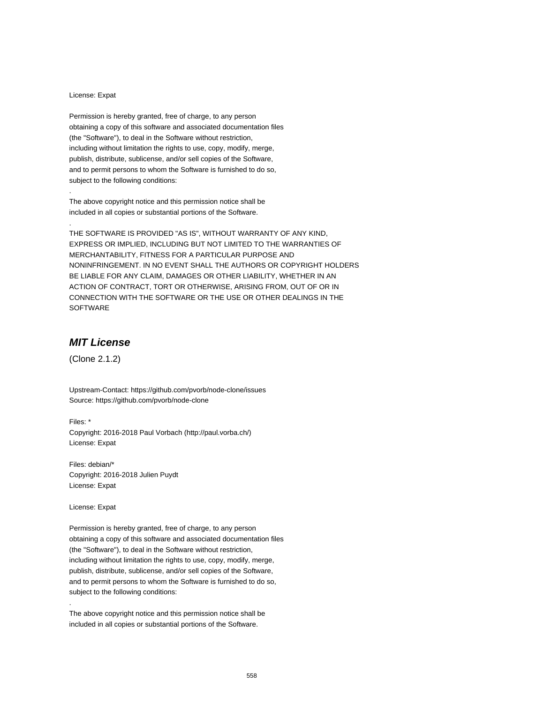#### License: Expat

.

.

Permission is hereby granted, free of charge, to any person obtaining a copy of this software and associated documentation files (the "Software"), to deal in the Software without restriction, including without limitation the rights to use, copy, modify, merge, publish, distribute, sublicense, and/or sell copies of the Software, and to permit persons to whom the Software is furnished to do so, subject to the following conditions:

The above copyright notice and this permission notice shall be included in all copies or substantial portions of the Software.

THE SOFTWARE IS PROVIDED "AS IS", WITHOUT WARRANTY OF ANY KIND, EXPRESS OR IMPLIED, INCLUDING BUT NOT LIMITED TO THE WARRANTIES OF MERCHANTABILITY, FITNESS FOR A PARTICULAR PURPOSE AND NONINFRINGEMENT. IN NO EVENT SHALL THE AUTHORS OR COPYRIGHT HOLDERS BE LIABLE FOR ANY CLAIM, DAMAGES OR OTHER LIABILITY, WHETHER IN AN ACTION OF CONTRACT, TORT OR OTHERWISE, ARISING FROM, OUT OF OR IN CONNECTION WITH THE SOFTWARE OR THE USE OR OTHER DEALINGS IN THE SOFTWARE

## **MIT License**

(Clone 2.1.2)

Upstream-Contact: https://github.com/pvorb/node-clone/issues Source: https://github.com/pvorb/node-clone

Files: \* Copyright: 2016-2018 Paul Vorbach (http://paul.vorba.ch/) License: Expat

Files: debian/\* Copyright: 2016-2018 Julien Puydt License: Expat

License: Expat

.

Permission is hereby granted, free of charge, to any person obtaining a copy of this software and associated documentation files (the "Software"), to deal in the Software without restriction, including without limitation the rights to use, copy, modify, merge, publish, distribute, sublicense, and/or sell copies of the Software, and to permit persons to whom the Software is furnished to do so, subject to the following conditions:

The above copyright notice and this permission notice shall be included in all copies or substantial portions of the Software.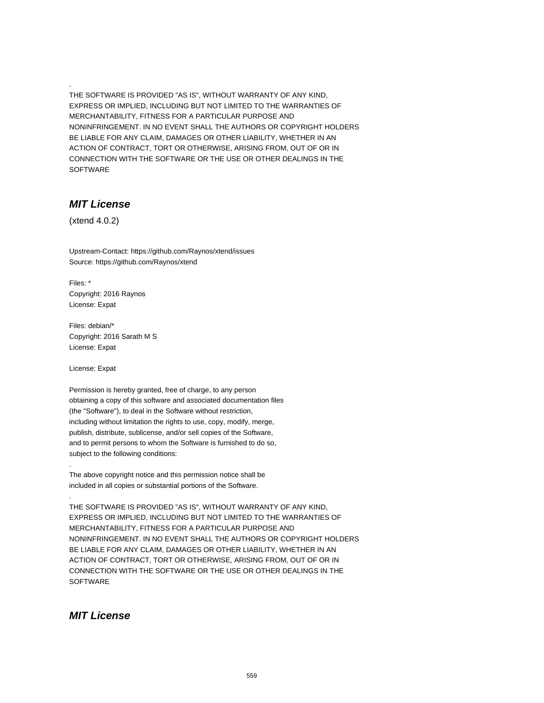THE SOFTWARE IS PROVIDED "AS IS", WITHOUT WARRANTY OF ANY KIND, EXPRESS OR IMPLIED, INCLUDING BUT NOT LIMITED TO THE WARRANTIES OF MERCHANTABILITY, FITNESS FOR A PARTICULAR PURPOSE AND NONINFRINGEMENT. IN NO EVENT SHALL THE AUTHORS OR COPYRIGHT HOLDERS BE LIABLE FOR ANY CLAIM, DAMAGES OR OTHER LIABILITY, WHETHER IN AN ACTION OF CONTRACT, TORT OR OTHERWISE, ARISING FROM, OUT OF OR IN CONNECTION WITH THE SOFTWARE OR THE USE OR OTHER DEALINGS IN THE SOFTWARE

## **MIT License**

(xtend 4.0.2)

.

Upstream-Contact: https://github.com/Raynos/xtend/issues Source: https://github.com/Raynos/xtend

Files: \* Copyright: 2016 Raynos License: Expat

Files: debian/\* Copyright: 2016 Sarath M S License: Expat

License: Expat

.

.

Permission is hereby granted, free of charge, to any person obtaining a copy of this software and associated documentation files (the "Software"), to deal in the Software without restriction, including without limitation the rights to use, copy, modify, merge, publish, distribute, sublicense, and/or sell copies of the Software, and to permit persons to whom the Software is furnished to do so, subject to the following conditions:

The above copyright notice and this permission notice shall be included in all copies or substantial portions of the Software.

THE SOFTWARE IS PROVIDED "AS IS", WITHOUT WARRANTY OF ANY KIND, EXPRESS OR IMPLIED, INCLUDING BUT NOT LIMITED TO THE WARRANTIES OF MERCHANTABILITY, FITNESS FOR A PARTICULAR PURPOSE AND NONINFRINGEMENT. IN NO EVENT SHALL THE AUTHORS OR COPYRIGHT HOLDERS BE LIABLE FOR ANY CLAIM, DAMAGES OR OTHER LIABILITY, WHETHER IN AN ACTION OF CONTRACT, TORT OR OTHERWISE, ARISING FROM, OUT OF OR IN CONNECTION WITH THE SOFTWARE OR THE USE OR OTHER DEALINGS IN THE **SOFTWARE** 

## **MIT License**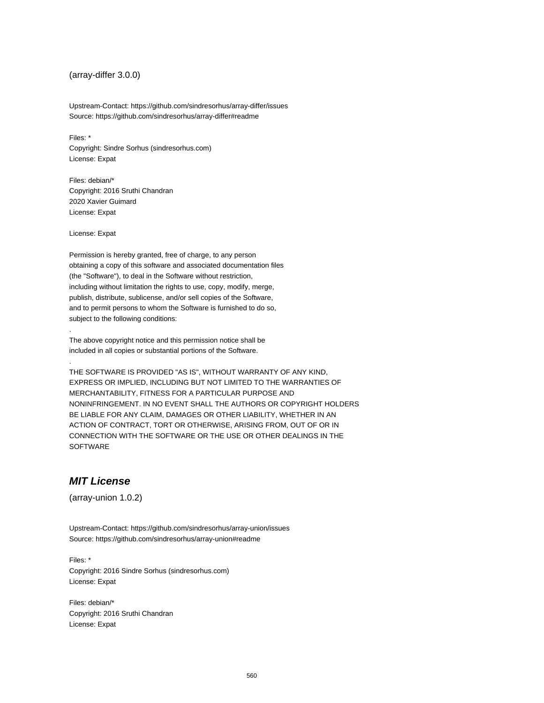#### (array-differ 3.0.0)

Upstream-Contact: https://github.com/sindresorhus/array-differ/issues Source: https://github.com/sindresorhus/array-differ#readme

Files: \* Copyright: Sindre Sorhus (sindresorhus.com) License: Expat

Files: debian/\* Copyright: 2016 Sruthi Chandran 2020 Xavier Guimard License: Expat

License: Expat

.

.

Permission is hereby granted, free of charge, to any person obtaining a copy of this software and associated documentation files (the "Software"), to deal in the Software without restriction, including without limitation the rights to use, copy, modify, merge, publish, distribute, sublicense, and/or sell copies of the Software, and to permit persons to whom the Software is furnished to do so, subject to the following conditions:

The above copyright notice and this permission notice shall be included in all copies or substantial portions of the Software.

THE SOFTWARE IS PROVIDED "AS IS", WITHOUT WARRANTY OF ANY KIND, EXPRESS OR IMPLIED, INCLUDING BUT NOT LIMITED TO THE WARRANTIES OF MERCHANTABILITY, FITNESS FOR A PARTICULAR PURPOSE AND NONINFRINGEMENT. IN NO EVENT SHALL THE AUTHORS OR COPYRIGHT HOLDERS BE LIABLE FOR ANY CLAIM, DAMAGES OR OTHER LIABILITY, WHETHER IN AN ACTION OF CONTRACT, TORT OR OTHERWISE, ARISING FROM, OUT OF OR IN CONNECTION WITH THE SOFTWARE OR THE USE OR OTHER DEALINGS IN THE SOFTWARE

#### **MIT License**

(array-union 1.0.2)

Upstream-Contact: https://github.com/sindresorhus/array-union/issues Source: https://github.com/sindresorhus/array-union#readme

Files: \* Copyright: 2016 Sindre Sorhus (sindresorhus.com) License: Expat

Files: debian/\* Copyright: 2016 Sruthi Chandran License: Expat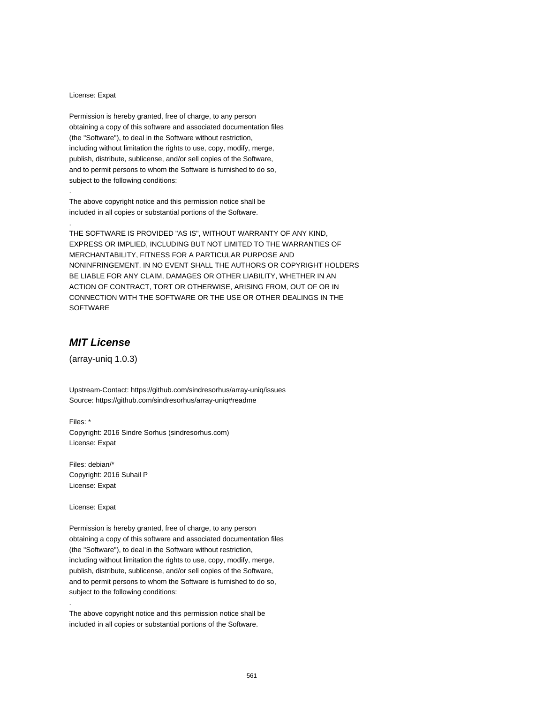#### License: Expat

.

.

Permission is hereby granted, free of charge, to any person obtaining a copy of this software and associated documentation files (the "Software"), to deal in the Software without restriction, including without limitation the rights to use, copy, modify, merge, publish, distribute, sublicense, and/or sell copies of the Software, and to permit persons to whom the Software is furnished to do so, subject to the following conditions:

The above copyright notice and this permission notice shall be included in all copies or substantial portions of the Software.

THE SOFTWARE IS PROVIDED "AS IS", WITHOUT WARRANTY OF ANY KIND, EXPRESS OR IMPLIED, INCLUDING BUT NOT LIMITED TO THE WARRANTIES OF MERCHANTABILITY, FITNESS FOR A PARTICULAR PURPOSE AND NONINFRINGEMENT. IN NO EVENT SHALL THE AUTHORS OR COPYRIGHT HOLDERS BE LIABLE FOR ANY CLAIM, DAMAGES OR OTHER LIABILITY, WHETHER IN AN ACTION OF CONTRACT, TORT OR OTHERWISE, ARISING FROM, OUT OF OR IN CONNECTION WITH THE SOFTWARE OR THE USE OR OTHER DEALINGS IN THE SOFTWARE

## **MIT License**

(array-uniq 1.0.3)

Upstream-Contact: https://github.com/sindresorhus/array-uniq/issues Source: https://github.com/sindresorhus/array-uniq#readme

Files: \* Copyright: 2016 Sindre Sorhus (sindresorhus.com) License: Expat

Files: debian/\* Copyright: 2016 Suhail P License: Expat

License: Expat

.

Permission is hereby granted, free of charge, to any person obtaining a copy of this software and associated documentation files (the "Software"), to deal in the Software without restriction, including without limitation the rights to use, copy, modify, merge, publish, distribute, sublicense, and/or sell copies of the Software, and to permit persons to whom the Software is furnished to do so, subject to the following conditions:

The above copyright notice and this permission notice shall be included in all copies or substantial portions of the Software.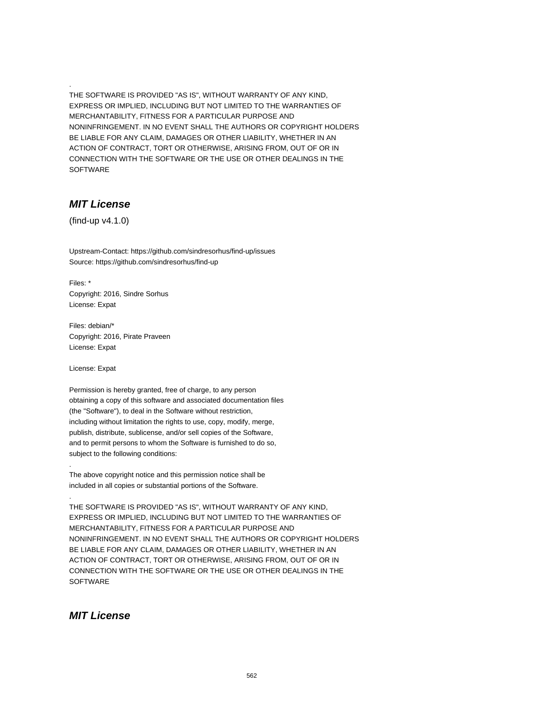THE SOFTWARE IS PROVIDED "AS IS", WITHOUT WARRANTY OF ANY KIND, EXPRESS OR IMPLIED, INCLUDING BUT NOT LIMITED TO THE WARRANTIES OF MERCHANTABILITY, FITNESS FOR A PARTICULAR PURPOSE AND NONINFRINGEMENT. IN NO EVENT SHALL THE AUTHORS OR COPYRIGHT HOLDERS BE LIABLE FOR ANY CLAIM, DAMAGES OR OTHER LIABILITY, WHETHER IN AN ACTION OF CONTRACT, TORT OR OTHERWISE, ARISING FROM, OUT OF OR IN CONNECTION WITH THE SOFTWARE OR THE USE OR OTHER DEALINGS IN THE SOFTWARE

## **MIT License**

.

(find-up v4.1.0)

Upstream-Contact: https://github.com/sindresorhus/find-up/issues Source: https://github.com/sindresorhus/find-up

Files: \* Copyright: 2016, Sindre Sorhus License: Expat

Files: debian/\* Copyright: 2016, Pirate Praveen License: Expat

License: Expat

.

.

Permission is hereby granted, free of charge, to any person obtaining a copy of this software and associated documentation files (the "Software"), to deal in the Software without restriction, including without limitation the rights to use, copy, modify, merge, publish, distribute, sublicense, and/or sell copies of the Software, and to permit persons to whom the Software is furnished to do so, subject to the following conditions:

The above copyright notice and this permission notice shall be included in all copies or substantial portions of the Software.

THE SOFTWARE IS PROVIDED "AS IS", WITHOUT WARRANTY OF ANY KIND, EXPRESS OR IMPLIED, INCLUDING BUT NOT LIMITED TO THE WARRANTIES OF MERCHANTABILITY, FITNESS FOR A PARTICULAR PURPOSE AND NONINFRINGEMENT. IN NO EVENT SHALL THE AUTHORS OR COPYRIGHT HOLDERS BE LIABLE FOR ANY CLAIM, DAMAGES OR OTHER LIABILITY, WHETHER IN AN ACTION OF CONTRACT, TORT OR OTHERWISE, ARISING FROM, OUT OF OR IN CONNECTION WITH THE SOFTWARE OR THE USE OR OTHER DEALINGS IN THE **SOFTWARE** 

## **MIT License**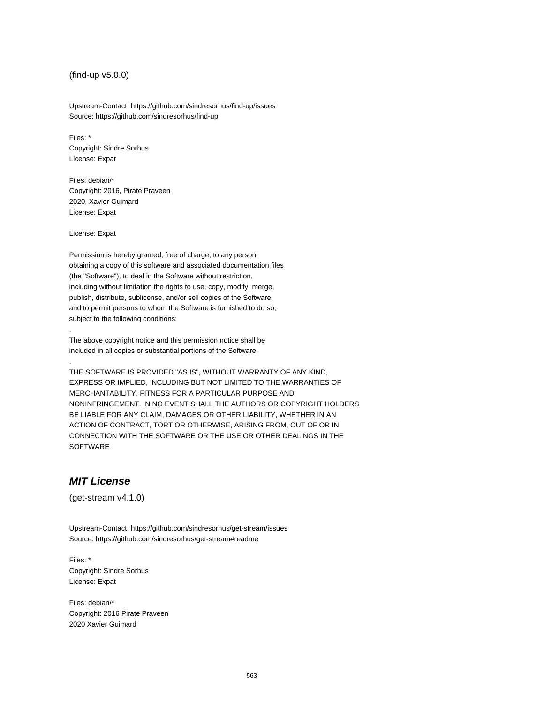(find-up v5.0.0)

Upstream-Contact: https://github.com/sindresorhus/find-up/issues Source: https://github.com/sindresorhus/find-up

Files: \* Copyright: Sindre Sorhus License: Expat

Files: debian/\* Copyright: 2016, Pirate Praveen 2020, Xavier Guimard License: Expat

License: Expat

.

.

Permission is hereby granted, free of charge, to any person obtaining a copy of this software and associated documentation files (the "Software"), to deal in the Software without restriction, including without limitation the rights to use, copy, modify, merge, publish, distribute, sublicense, and/or sell copies of the Software, and to permit persons to whom the Software is furnished to do so, subject to the following conditions:

The above copyright notice and this permission notice shall be included in all copies or substantial portions of the Software.

THE SOFTWARE IS PROVIDED "AS IS", WITHOUT WARRANTY OF ANY KIND, EXPRESS OR IMPLIED, INCLUDING BUT NOT LIMITED TO THE WARRANTIES OF MERCHANTABILITY, FITNESS FOR A PARTICULAR PURPOSE AND NONINFRINGEMENT. IN NO EVENT SHALL THE AUTHORS OR COPYRIGHT HOLDERS BE LIABLE FOR ANY CLAIM, DAMAGES OR OTHER LIABILITY, WHETHER IN AN ACTION OF CONTRACT, TORT OR OTHERWISE, ARISING FROM, OUT OF OR IN CONNECTION WITH THE SOFTWARE OR THE USE OR OTHER DEALINGS IN THE SOFTWARE

#### **MIT License**

(get-stream v4.1.0)

Upstream-Contact: https://github.com/sindresorhus/get-stream/issues Source: https://github.com/sindresorhus/get-stream#readme

Files: \* Copyright: Sindre Sorhus License: Expat

Files: debian/\* Copyright: 2016 Pirate Praveen 2020 Xavier Guimard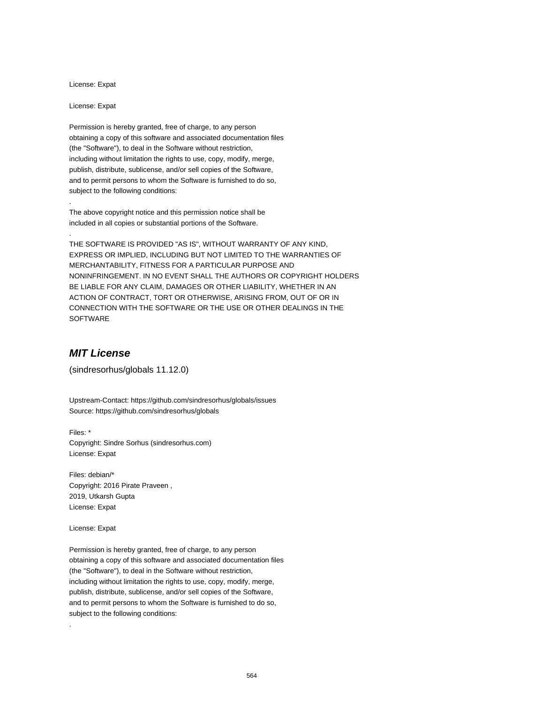License: Expat

License: Expat

.

.

Permission is hereby granted, free of charge, to any person obtaining a copy of this software and associated documentation files (the "Software"), to deal in the Software without restriction, including without limitation the rights to use, copy, modify, merge, publish, distribute, sublicense, and/or sell copies of the Software, and to permit persons to whom the Software is furnished to do so, subject to the following conditions:

The above copyright notice and this permission notice shall be included in all copies or substantial portions of the Software.

THE SOFTWARE IS PROVIDED "AS IS", WITHOUT WARRANTY OF ANY KIND, EXPRESS OR IMPLIED, INCLUDING BUT NOT LIMITED TO THE WARRANTIES OF MERCHANTABILITY, FITNESS FOR A PARTICULAR PURPOSE AND NONINFRINGEMENT. IN NO EVENT SHALL THE AUTHORS OR COPYRIGHT HOLDERS BE LIABLE FOR ANY CLAIM, DAMAGES OR OTHER LIABILITY, WHETHER IN AN ACTION OF CONTRACT, TORT OR OTHERWISE, ARISING FROM, OUT OF OR IN CONNECTION WITH THE SOFTWARE OR THE USE OR OTHER DEALINGS IN THE SOFTWARE

## **MIT License**

(sindresorhus/globals 11.12.0)

Upstream-Contact: https://github.com/sindresorhus/globals/issues Source: https://github.com/sindresorhus/globals

Files: \* Copyright: Sindre Sorhus (sindresorhus.com) License: Expat

Files: debian/\* Copyright: 2016 Pirate Praveen , 2019, Utkarsh Gupta License: Expat

License: Expat

.

Permission is hereby granted, free of charge, to any person obtaining a copy of this software and associated documentation files (the "Software"), to deal in the Software without restriction, including without limitation the rights to use, copy, modify, merge, publish, distribute, sublicense, and/or sell copies of the Software, and to permit persons to whom the Software is furnished to do so, subject to the following conditions: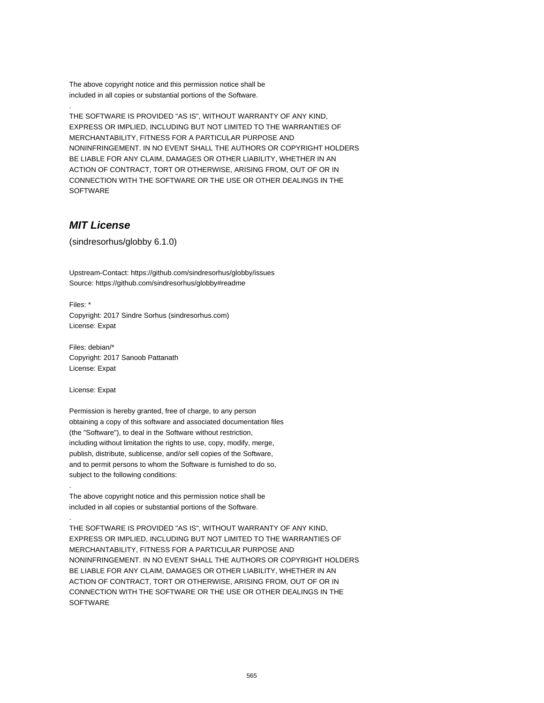The above copyright notice and this permission notice shall be included in all copies or substantial portions of the Software.

THE SOFTWARE IS PROVIDED "AS IS", WITHOUT WARRANTY OF ANY KIND, EXPRESS OR IMPLIED, INCLUDING BUT NOT LIMITED TO THE WARRANTIES OF MERCHANTABILITY, FITNESS FOR A PARTICULAR PURPOSE AND NONINFRINGEMENT. IN NO EVENT SHALL THE AUTHORS OR COPYRIGHT HOLDERS BE LIABLE FOR ANY CLAIM, DAMAGES OR OTHER LIABILITY, WHETHER IN AN ACTION OF CONTRACT, TORT OR OTHERWISE, ARISING FROM, OUT OF OR IN CONNECTION WITH THE SOFTWARE OR THE USE OR OTHER DEALINGS IN THE SOFTWARE

#### **MIT License**

.

(sindresorhus/globby 6.1.0)

Upstream-Contact: https://github.com/sindresorhus/globby/issues Source: https://github.com/sindresorhus/globby#readme

Files: \* Copyright: 2017 Sindre Sorhus (sindresorhus.com) License: Expat

Files: debian/\* Copyright: 2017 Sanoob Pattanath License: Expat

License: Expat

.

.

Permission is hereby granted, free of charge, to any person obtaining a copy of this software and associated documentation files (the "Software"), to deal in the Software without restriction, including without limitation the rights to use, copy, modify, merge, publish, distribute, sublicense, and/or sell copies of the Software, and to permit persons to whom the Software is furnished to do so, subject to the following conditions:

The above copyright notice and this permission notice shall be included in all copies or substantial portions of the Software.

THE SOFTWARE IS PROVIDED "AS IS", WITHOUT WARRANTY OF ANY KIND, EXPRESS OR IMPLIED, INCLUDING BUT NOT LIMITED TO THE WARRANTIES OF MERCHANTABILITY, FITNESS FOR A PARTICULAR PURPOSE AND NONINFRINGEMENT. IN NO EVENT SHALL THE AUTHORS OR COPYRIGHT HOLDERS BE LIABLE FOR ANY CLAIM, DAMAGES OR OTHER LIABILITY, WHETHER IN AN ACTION OF CONTRACT, TORT OR OTHERWISE, ARISING FROM, OUT OF OR IN CONNECTION WITH THE SOFTWARE OR THE USE OR OTHER DEALINGS IN THE **SOFTWARE**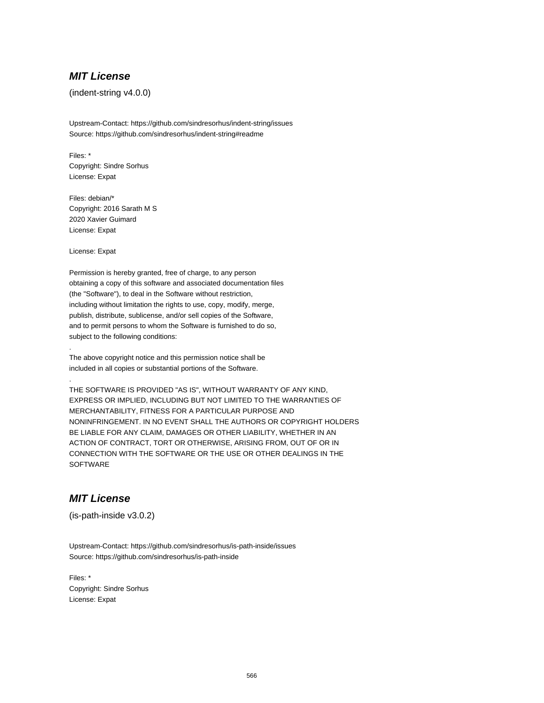#### **MIT License**

(indent-string v4.0.0)

Upstream-Contact: https://github.com/sindresorhus/indent-string/issues Source: https://github.com/sindresorhus/indent-string#readme

Files: \* Copyright: Sindre Sorhus License: Expat

Files: debian/\* Copyright: 2016 Sarath M S 2020 Xavier Guimard License: Expat

License: Expat

.

.

Permission is hereby granted, free of charge, to any person obtaining a copy of this software and associated documentation files (the "Software"), to deal in the Software without restriction, including without limitation the rights to use, copy, modify, merge, publish, distribute, sublicense, and/or sell copies of the Software, and to permit persons to whom the Software is furnished to do so, subject to the following conditions:

The above copyright notice and this permission notice shall be included in all copies or substantial portions of the Software.

THE SOFTWARE IS PROVIDED "AS IS", WITHOUT WARRANTY OF ANY KIND, EXPRESS OR IMPLIED, INCLUDING BUT NOT LIMITED TO THE WARRANTIES OF MERCHANTABILITY, FITNESS FOR A PARTICULAR PURPOSE AND NONINFRINGEMENT. IN NO EVENT SHALL THE AUTHORS OR COPYRIGHT HOLDERS BE LIABLE FOR ANY CLAIM, DAMAGES OR OTHER LIABILITY, WHETHER IN AN ACTION OF CONTRACT, TORT OR OTHERWISE, ARISING FROM, OUT OF OR IN CONNECTION WITH THE SOFTWARE OR THE USE OR OTHER DEALINGS IN THE **SOFTWARE** 

## **MIT License**

(is-path-inside v3.0.2)

Upstream-Contact: https://github.com/sindresorhus/is-path-inside/issues Source: https://github.com/sindresorhus/is-path-inside

Files: \* Copyright: Sindre Sorhus License: Expat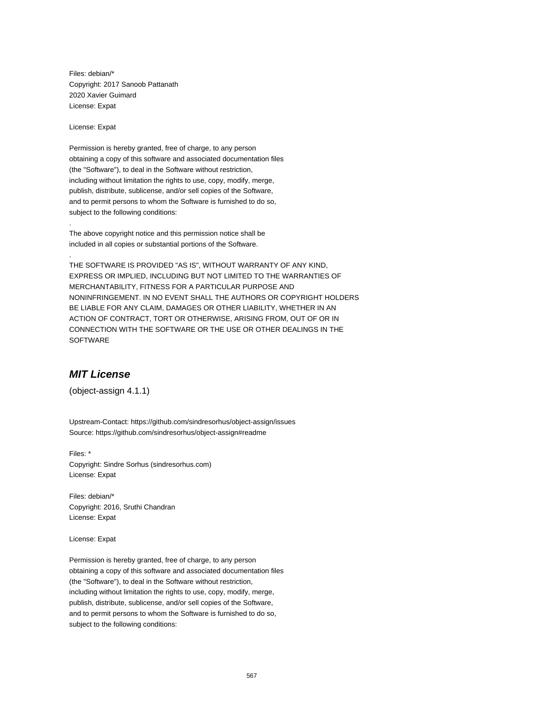Files: debian/\* Copyright: 2017 Sanoob Pattanath 2020 Xavier Guimard License: Expat

License: Expat

.

.

Permission is hereby granted, free of charge, to any person obtaining a copy of this software and associated documentation files (the "Software"), to deal in the Software without restriction, including without limitation the rights to use, copy, modify, merge, publish, distribute, sublicense, and/or sell copies of the Software, and to permit persons to whom the Software is furnished to do so, subject to the following conditions:

The above copyright notice and this permission notice shall be included in all copies or substantial portions of the Software.

THE SOFTWARE IS PROVIDED "AS IS", WITHOUT WARRANTY OF ANY KIND, EXPRESS OR IMPLIED, INCLUDING BUT NOT LIMITED TO THE WARRANTIES OF MERCHANTABILITY, FITNESS FOR A PARTICULAR PURPOSE AND NONINFRINGEMENT. IN NO EVENT SHALL THE AUTHORS OR COPYRIGHT HOLDERS BE LIABLE FOR ANY CLAIM, DAMAGES OR OTHER LIABILITY, WHETHER IN AN ACTION OF CONTRACT, TORT OR OTHERWISE, ARISING FROM, OUT OF OR IN CONNECTION WITH THE SOFTWARE OR THE USE OR OTHER DEALINGS IN THE **SOFTWARE** 

#### **MIT License**

(object-assign 4.1.1)

Upstream-Contact: https://github.com/sindresorhus/object-assign/issues Source: https://github.com/sindresorhus/object-assign#readme

Files: \* Copyright: Sindre Sorhus (sindresorhus.com) License: Expat

Files: debian/\* Copyright: 2016, Sruthi Chandran License: Expat

License: Expat

Permission is hereby granted, free of charge, to any person obtaining a copy of this software and associated documentation files (the "Software"), to deal in the Software without restriction, including without limitation the rights to use, copy, modify, merge, publish, distribute, sublicense, and/or sell copies of the Software, and to permit persons to whom the Software is furnished to do so, subject to the following conditions: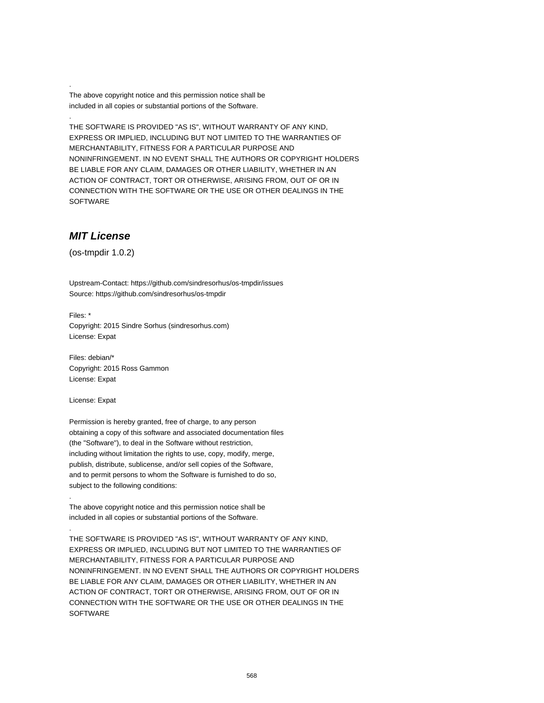The above copyright notice and this permission notice shall be included in all copies or substantial portions of the Software.

THE SOFTWARE IS PROVIDED "AS IS", WITHOUT WARRANTY OF ANY KIND, EXPRESS OR IMPLIED, INCLUDING BUT NOT LIMITED TO THE WARRANTIES OF MERCHANTABILITY, FITNESS FOR A PARTICULAR PURPOSE AND NONINFRINGEMENT. IN NO EVENT SHALL THE AUTHORS OR COPYRIGHT HOLDERS BE LIABLE FOR ANY CLAIM, DAMAGES OR OTHER LIABILITY, WHETHER IN AN ACTION OF CONTRACT, TORT OR OTHERWISE, ARISING FROM, OUT OF OR IN CONNECTION WITH THE SOFTWARE OR THE USE OR OTHER DEALINGS IN THE SOFTWARE

#### **MIT License**

.

.

(os-tmpdir 1.0.2)

Upstream-Contact: https://github.com/sindresorhus/os-tmpdir/issues Source: https://github.com/sindresorhus/os-tmpdir

Files: \* Copyright: 2015 Sindre Sorhus (sindresorhus.com) License: Expat

Files: debian/\* Copyright: 2015 Ross Gammon License: Expat

License: Expat

.

.

Permission is hereby granted, free of charge, to any person obtaining a copy of this software and associated documentation files (the "Software"), to deal in the Software without restriction, including without limitation the rights to use, copy, modify, merge, publish, distribute, sublicense, and/or sell copies of the Software, and to permit persons to whom the Software is furnished to do so, subject to the following conditions:

The above copyright notice and this permission notice shall be included in all copies or substantial portions of the Software.

THE SOFTWARE IS PROVIDED "AS IS", WITHOUT WARRANTY OF ANY KIND, EXPRESS OR IMPLIED, INCLUDING BUT NOT LIMITED TO THE WARRANTIES OF MERCHANTABILITY, FITNESS FOR A PARTICULAR PURPOSE AND NONINFRINGEMENT. IN NO EVENT SHALL THE AUTHORS OR COPYRIGHT HOLDERS BE LIABLE FOR ANY CLAIM, DAMAGES OR OTHER LIABILITY, WHETHER IN AN ACTION OF CONTRACT, TORT OR OTHERWISE, ARISING FROM, OUT OF OR IN CONNECTION WITH THE SOFTWARE OR THE USE OR OTHER DEALINGS IN THE **SOFTWARE**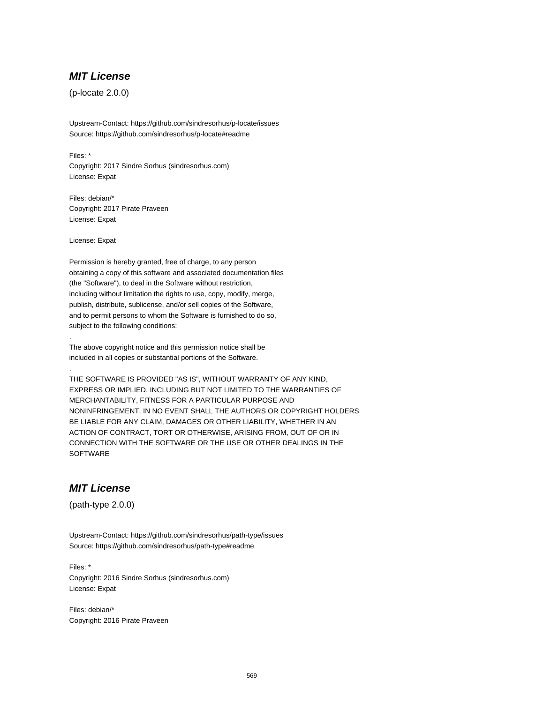#### **MIT License**

(p-locate 2.0.0)

Upstream-Contact: https://github.com/sindresorhus/p-locate/issues Source: https://github.com/sindresorhus/p-locate#readme

Files: \* Copyright: 2017 Sindre Sorhus (sindresorhus.com) License: Expat

Files: debian/\* Copyright: 2017 Pirate Praveen License: Expat

License: Expat

.

.

Permission is hereby granted, free of charge, to any person obtaining a copy of this software and associated documentation files (the "Software"), to deal in the Software without restriction, including without limitation the rights to use, copy, modify, merge, publish, distribute, sublicense, and/or sell copies of the Software, and to permit persons to whom the Software is furnished to do so, subject to the following conditions:

The above copyright notice and this permission notice shall be included in all copies or substantial portions of the Software.

THE SOFTWARE IS PROVIDED "AS IS", WITHOUT WARRANTY OF ANY KIND, EXPRESS OR IMPLIED, INCLUDING BUT NOT LIMITED TO THE WARRANTIES OF MERCHANTABILITY, FITNESS FOR A PARTICULAR PURPOSE AND NONINFRINGEMENT. IN NO EVENT SHALL THE AUTHORS OR COPYRIGHT HOLDERS BE LIABLE FOR ANY CLAIM, DAMAGES OR OTHER LIABILITY, WHETHER IN AN ACTION OF CONTRACT, TORT OR OTHERWISE, ARISING FROM, OUT OF OR IN CONNECTION WITH THE SOFTWARE OR THE USE OR OTHER DEALINGS IN THE **SOFTWARE** 

## **MIT License**

(path-type 2.0.0)

Upstream-Contact: https://github.com/sindresorhus/path-type/issues Source: https://github.com/sindresorhus/path-type#readme

Files: \* Copyright: 2016 Sindre Sorhus (sindresorhus.com) License: Expat

Files: debian/\* Copyright: 2016 Pirate Praveen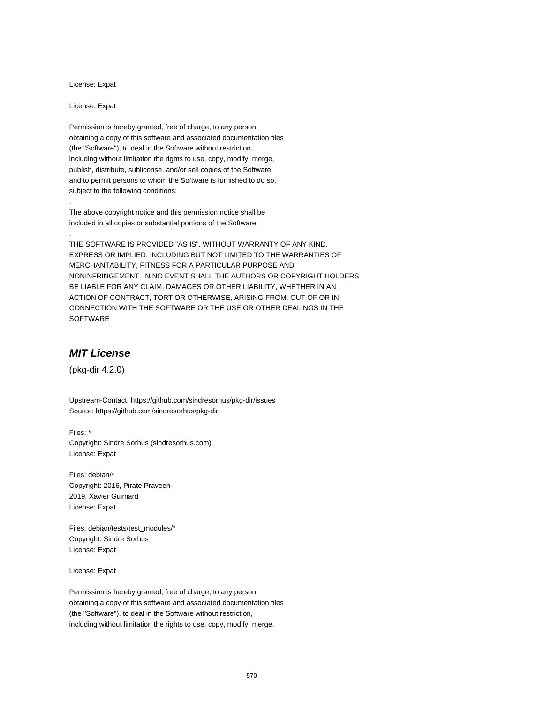License: Expat

License: Expat

.

.

Permission is hereby granted, free of charge, to any person obtaining a copy of this software and associated documentation files (the "Software"), to deal in the Software without restriction, including without limitation the rights to use, copy, modify, merge, publish, distribute, sublicense, and/or sell copies of the Software, and to permit persons to whom the Software is furnished to do so, subject to the following conditions:

The above copyright notice and this permission notice shall be included in all copies or substantial portions of the Software.

THE SOFTWARE IS PROVIDED "AS IS", WITHOUT WARRANTY OF ANY KIND, EXPRESS OR IMPLIED, INCLUDING BUT NOT LIMITED TO THE WARRANTIES OF MERCHANTABILITY, FITNESS FOR A PARTICULAR PURPOSE AND NONINFRINGEMENT. IN NO EVENT SHALL THE AUTHORS OR COPYRIGHT HOLDERS BE LIABLE FOR ANY CLAIM, DAMAGES OR OTHER LIABILITY, WHETHER IN AN ACTION OF CONTRACT, TORT OR OTHERWISE, ARISING FROM, OUT OF OR IN CONNECTION WITH THE SOFTWARE OR THE USE OR OTHER DEALINGS IN THE SOFTWARE

#### **MIT License**

(pkg-dir 4.2.0)

Upstream-Contact: https://github.com/sindresorhus/pkg-dir/issues Source: https://github.com/sindresorhus/pkg-dir

Files: \* Copyright: Sindre Sorhus (sindresorhus.com) License: Expat

Files: debian/\* Copyright: 2016, Pirate Praveen 2019, Xavier Guimard License: Expat

Files: debian/tests/test\_modules/\* Copyright: Sindre Sorhus License: Expat

License: Expat

Permission is hereby granted, free of charge, to any person obtaining a copy of this software and associated documentation files (the "Software"), to deal in the Software without restriction, including without limitation the rights to use, copy, modify, merge,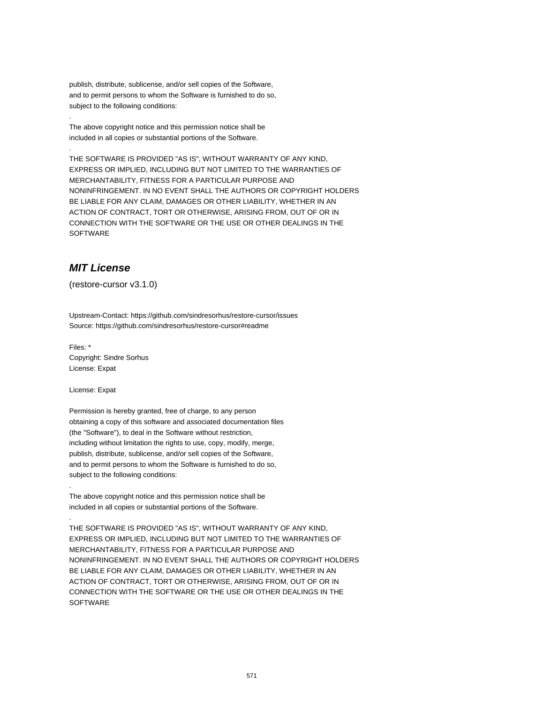publish, distribute, sublicense, and/or sell copies of the Software, and to permit persons to whom the Software is furnished to do so, subject to the following conditions:

The above copyright notice and this permission notice shall be included in all copies or substantial portions of the Software.

THE SOFTWARE IS PROVIDED "AS IS", WITHOUT WARRANTY OF ANY KIND, EXPRESS OR IMPLIED, INCLUDING BUT NOT LIMITED TO THE WARRANTIES OF MERCHANTABILITY, FITNESS FOR A PARTICULAR PURPOSE AND NONINFRINGEMENT. IN NO EVENT SHALL THE AUTHORS OR COPYRIGHT HOLDERS BE LIABLE FOR ANY CLAIM, DAMAGES OR OTHER LIABILITY, WHETHER IN AN ACTION OF CONTRACT, TORT OR OTHERWISE, ARISING FROM, OUT OF OR IN CONNECTION WITH THE SOFTWARE OR THE USE OR OTHER DEALINGS IN THE SOFTWARE

## **MIT License**

.

.

(restore-cursor v3.1.0)

Upstream-Contact: https://github.com/sindresorhus/restore-cursor/issues Source: https://github.com/sindresorhus/restore-cursor#readme

Files: \* Copyright: Sindre Sorhus License: Expat

License: Expat

.

.

Permission is hereby granted, free of charge, to any person obtaining a copy of this software and associated documentation files (the "Software"), to deal in the Software without restriction, including without limitation the rights to use, copy, modify, merge, publish, distribute, sublicense, and/or sell copies of the Software, and to permit persons to whom the Software is furnished to do so, subject to the following conditions:

The above copyright notice and this permission notice shall be included in all copies or substantial portions of the Software.

THE SOFTWARE IS PROVIDED "AS IS", WITHOUT WARRANTY OF ANY KIND, EXPRESS OR IMPLIED, INCLUDING BUT NOT LIMITED TO THE WARRANTIES OF MERCHANTABILITY, FITNESS FOR A PARTICULAR PURPOSE AND NONINFRINGEMENT. IN NO EVENT SHALL THE AUTHORS OR COPYRIGHT HOLDERS BE LIABLE FOR ANY CLAIM, DAMAGES OR OTHER LIABILITY, WHETHER IN AN ACTION OF CONTRACT, TORT OR OTHERWISE, ARISING FROM, OUT OF OR IN CONNECTION WITH THE SOFTWARE OR THE USE OR OTHER DEALINGS IN THE **SOFTWARE**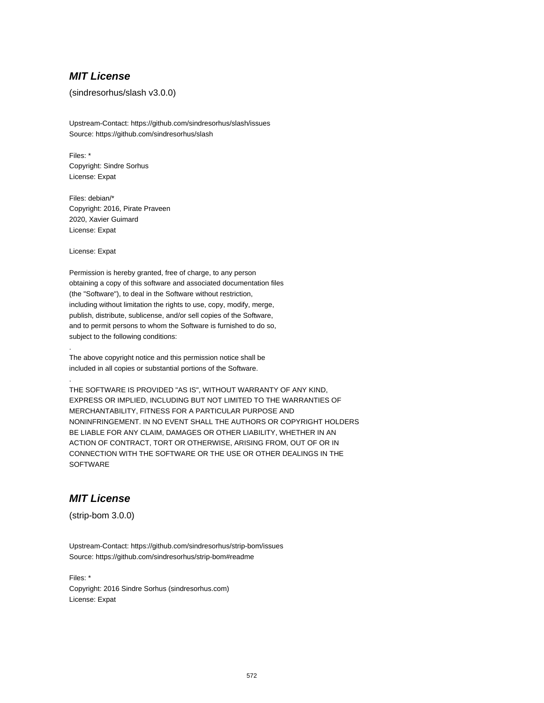#### **MIT License**

#### (sindresorhus/slash v3.0.0)

Upstream-Contact: https://github.com/sindresorhus/slash/issues Source: https://github.com/sindresorhus/slash

Files: \* Copyright: Sindre Sorhus License: Expat

Files: debian/\* Copyright: 2016, Pirate Praveen 2020, Xavier Guimard License: Expat

License: Expat

.

.

Permission is hereby granted, free of charge, to any person obtaining a copy of this software and associated documentation files (the "Software"), to deal in the Software without restriction, including without limitation the rights to use, copy, modify, merge, publish, distribute, sublicense, and/or sell copies of the Software, and to permit persons to whom the Software is furnished to do so, subject to the following conditions:

The above copyright notice and this permission notice shall be included in all copies or substantial portions of the Software.

THE SOFTWARE IS PROVIDED "AS IS", WITHOUT WARRANTY OF ANY KIND, EXPRESS OR IMPLIED, INCLUDING BUT NOT LIMITED TO THE WARRANTIES OF MERCHANTABILITY, FITNESS FOR A PARTICULAR PURPOSE AND NONINFRINGEMENT. IN NO EVENT SHALL THE AUTHORS OR COPYRIGHT HOLDERS BE LIABLE FOR ANY CLAIM, DAMAGES OR OTHER LIABILITY, WHETHER IN AN ACTION OF CONTRACT, TORT OR OTHERWISE, ARISING FROM, OUT OF OR IN CONNECTION WITH THE SOFTWARE OR THE USE OR OTHER DEALINGS IN THE **SOFTWARE** 

# **MIT License**

(strip-bom 3.0.0)

Upstream-Contact: https://github.com/sindresorhus/strip-bom/issues Source: https://github.com/sindresorhus/strip-bom#readme

Files: \* Copyright: 2016 Sindre Sorhus (sindresorhus.com) License: Expat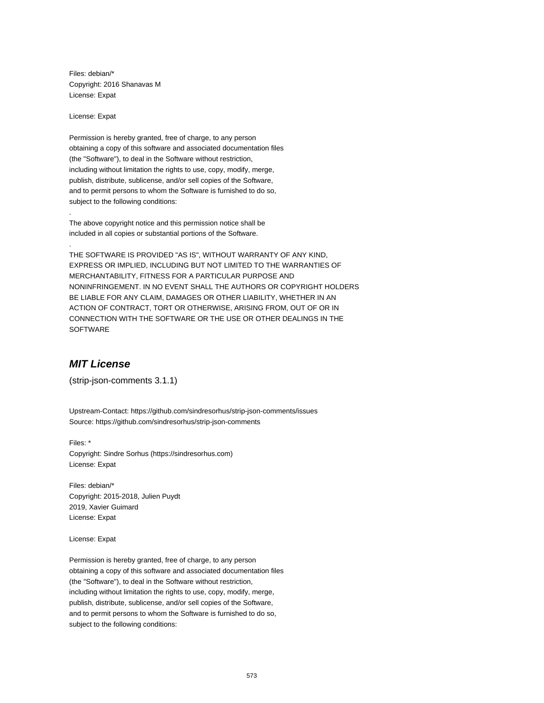Files: debian/\* Copyright: 2016 Shanavas M License: Expat

License: Expat

.

.

Permission is hereby granted, free of charge, to any person obtaining a copy of this software and associated documentation files (the "Software"), to deal in the Software without restriction, including without limitation the rights to use, copy, modify, merge, publish, distribute, sublicense, and/or sell copies of the Software, and to permit persons to whom the Software is furnished to do so, subject to the following conditions:

The above copyright notice and this permission notice shall be included in all copies or substantial portions of the Software.

THE SOFTWARE IS PROVIDED "AS IS", WITHOUT WARRANTY OF ANY KIND, EXPRESS OR IMPLIED, INCLUDING BUT NOT LIMITED TO THE WARRANTIES OF MERCHANTABILITY, FITNESS FOR A PARTICULAR PURPOSE AND NONINFRINGEMENT. IN NO EVENT SHALL THE AUTHORS OR COPYRIGHT HOLDERS BE LIABLE FOR ANY CLAIM, DAMAGES OR OTHER LIABILITY, WHETHER IN AN ACTION OF CONTRACT, TORT OR OTHERWISE, ARISING FROM, OUT OF OR IN CONNECTION WITH THE SOFTWARE OR THE USE OR OTHER DEALINGS IN THE SOFTWARE

# **MIT License**

(strip-json-comments 3.1.1)

Upstream-Contact: https://github.com/sindresorhus/strip-json-comments/issues Source: https://github.com/sindresorhus/strip-json-comments

Files: \* Copyright: Sindre Sorhus (https://sindresorhus.com) License: Expat

Files: debian/\* Copyright: 2015-2018, Julien Puydt 2019, Xavier Guimard License: Expat

License: Expat

Permission is hereby granted, free of charge, to any person obtaining a copy of this software and associated documentation files (the "Software"), to deal in the Software without restriction, including without limitation the rights to use, copy, modify, merge, publish, distribute, sublicense, and/or sell copies of the Software, and to permit persons to whom the Software is furnished to do so, subject to the following conditions: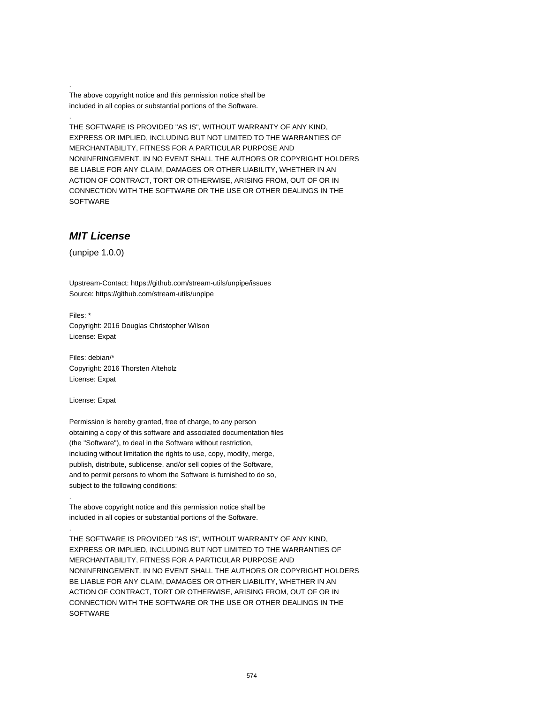The above copyright notice and this permission notice shall be included in all copies or substantial portions of the Software.

THE SOFTWARE IS PROVIDED "AS IS", WITHOUT WARRANTY OF ANY KIND, EXPRESS OR IMPLIED, INCLUDING BUT NOT LIMITED TO THE WARRANTIES OF MERCHANTABILITY, FITNESS FOR A PARTICULAR PURPOSE AND NONINFRINGEMENT. IN NO EVENT SHALL THE AUTHORS OR COPYRIGHT HOLDERS BE LIABLE FOR ANY CLAIM, DAMAGES OR OTHER LIABILITY, WHETHER IN AN ACTION OF CONTRACT, TORT OR OTHERWISE, ARISING FROM, OUT OF OR IN CONNECTION WITH THE SOFTWARE OR THE USE OR OTHER DEALINGS IN THE SOFTWARE

#### **MIT License**

.

.

(unpipe 1.0.0)

Upstream-Contact: https://github.com/stream-utils/unpipe/issues Source: https://github.com/stream-utils/unpipe

Files: \* Copyright: 2016 Douglas Christopher Wilson License: Expat

Files: debian/\* Copyright: 2016 Thorsten Alteholz License: Expat

License: Expat

.

.

Permission is hereby granted, free of charge, to any person obtaining a copy of this software and associated documentation files (the "Software"), to deal in the Software without restriction, including without limitation the rights to use, copy, modify, merge, publish, distribute, sublicense, and/or sell copies of the Software, and to permit persons to whom the Software is furnished to do so, subject to the following conditions:

The above copyright notice and this permission notice shall be included in all copies or substantial portions of the Software.

THE SOFTWARE IS PROVIDED "AS IS", WITHOUT WARRANTY OF ANY KIND, EXPRESS OR IMPLIED, INCLUDING BUT NOT LIMITED TO THE WARRANTIES OF MERCHANTABILITY, FITNESS FOR A PARTICULAR PURPOSE AND NONINFRINGEMENT. IN NO EVENT SHALL THE AUTHORS OR COPYRIGHT HOLDERS BE LIABLE FOR ANY CLAIM, DAMAGES OR OTHER LIABILITY, WHETHER IN AN ACTION OF CONTRACT, TORT OR OTHERWISE, ARISING FROM, OUT OF OR IN CONNECTION WITH THE SOFTWARE OR THE USE OR OTHER DEALINGS IN THE **SOFTWARE**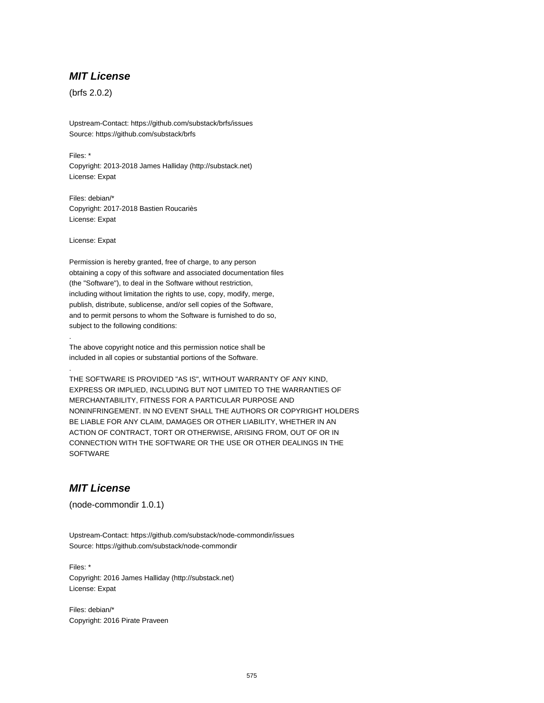#### **MIT License**

(brfs 2.0.2)

Upstream-Contact: https://github.com/substack/brfs/issues Source: https://github.com/substack/brfs

Files: \* Copyright: 2013-2018 James Halliday (http://substack.net) License: Expat

Files: debian/\* Copyright: 2017-2018 Bastien Roucariès License: Expat

License: Expat

.

.

Permission is hereby granted, free of charge, to any person obtaining a copy of this software and associated documentation files (the "Software"), to deal in the Software without restriction, including without limitation the rights to use, copy, modify, merge, publish, distribute, sublicense, and/or sell copies of the Software, and to permit persons to whom the Software is furnished to do so, subject to the following conditions:

The above copyright notice and this permission notice shall be included in all copies or substantial portions of the Software.

THE SOFTWARE IS PROVIDED "AS IS", WITHOUT WARRANTY OF ANY KIND, EXPRESS OR IMPLIED, INCLUDING BUT NOT LIMITED TO THE WARRANTIES OF MERCHANTABILITY, FITNESS FOR A PARTICULAR PURPOSE AND NONINFRINGEMENT. IN NO EVENT SHALL THE AUTHORS OR COPYRIGHT HOLDERS BE LIABLE FOR ANY CLAIM, DAMAGES OR OTHER LIABILITY, WHETHER IN AN ACTION OF CONTRACT, TORT OR OTHERWISE, ARISING FROM, OUT OF OR IN CONNECTION WITH THE SOFTWARE OR THE USE OR OTHER DEALINGS IN THE **SOFTWARE** 

## **MIT License**

(node-commondir 1.0.1)

Upstream-Contact: https://github.com/substack/node-commondir/issues Source: https://github.com/substack/node-commondir

Files: \* Copyright: 2016 James Halliday (http://substack.net) License: Expat

Files: debian/\* Copyright: 2016 Pirate Praveen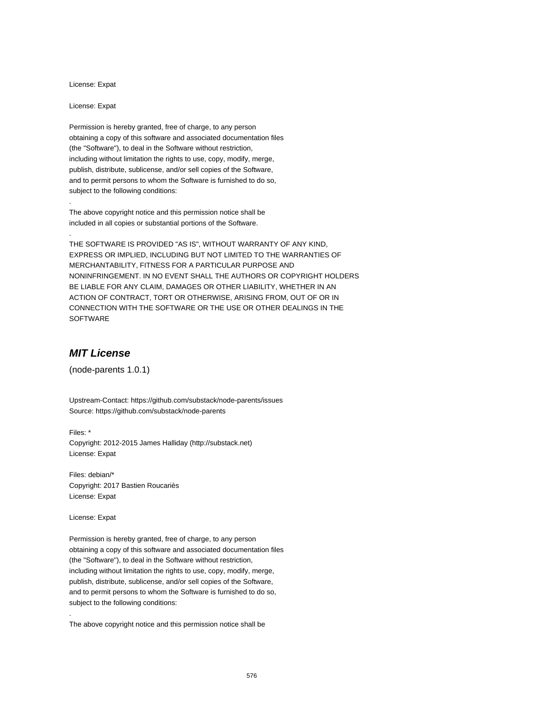License: Expat

License: Expat

.

.

Permission is hereby granted, free of charge, to any person obtaining a copy of this software and associated documentation files (the "Software"), to deal in the Software without restriction, including without limitation the rights to use, copy, modify, merge, publish, distribute, sublicense, and/or sell copies of the Software, and to permit persons to whom the Software is furnished to do so, subject to the following conditions:

The above copyright notice and this permission notice shall be included in all copies or substantial portions of the Software.

THE SOFTWARE IS PROVIDED "AS IS", WITHOUT WARRANTY OF ANY KIND, EXPRESS OR IMPLIED, INCLUDING BUT NOT LIMITED TO THE WARRANTIES OF MERCHANTABILITY, FITNESS FOR A PARTICULAR PURPOSE AND NONINFRINGEMENT. IN NO EVENT SHALL THE AUTHORS OR COPYRIGHT HOLDERS BE LIABLE FOR ANY CLAIM, DAMAGES OR OTHER LIABILITY, WHETHER IN AN ACTION OF CONTRACT, TORT OR OTHERWISE, ARISING FROM, OUT OF OR IN CONNECTION WITH THE SOFTWARE OR THE USE OR OTHER DEALINGS IN THE SOFTWARE

#### **MIT License**

(node-parents 1.0.1)

Upstream-Contact: https://github.com/substack/node-parents/issues Source: https://github.com/substack/node-parents

Files: \* Copyright: 2012-2015 James Halliday (http://substack.net) License: Expat

Files: debian/\* Copyright: 2017 Bastien Roucariès License: Expat

License: Expat

.

Permission is hereby granted, free of charge, to any person obtaining a copy of this software and associated documentation files (the "Software"), to deal in the Software without restriction, including without limitation the rights to use, copy, modify, merge, publish, distribute, sublicense, and/or sell copies of the Software, and to permit persons to whom the Software is furnished to do so, subject to the following conditions:

The above copyright notice and this permission notice shall be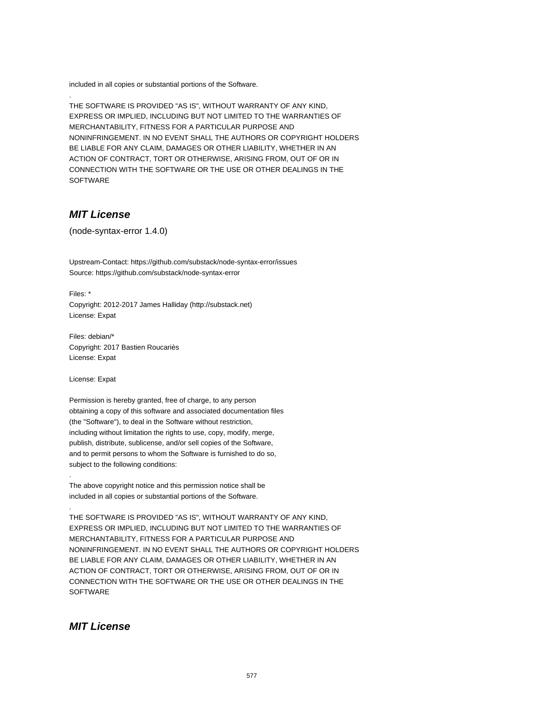included in all copies or substantial portions of the Software.

THE SOFTWARE IS PROVIDED "AS IS", WITHOUT WARRANTY OF ANY KIND, EXPRESS OR IMPLIED, INCLUDING BUT NOT LIMITED TO THE WARRANTIES OF MERCHANTABILITY, FITNESS FOR A PARTICULAR PURPOSE AND NONINFRINGEMENT. IN NO EVENT SHALL THE AUTHORS OR COPYRIGHT HOLDERS BE LIABLE FOR ANY CLAIM, DAMAGES OR OTHER LIABILITY, WHETHER IN AN ACTION OF CONTRACT, TORT OR OTHERWISE, ARISING FROM, OUT OF OR IN CONNECTION WITH THE SOFTWARE OR THE USE OR OTHER DEALINGS IN THE SOFTWARE

## **MIT License**

.

(node-syntax-error 1.4.0)

Upstream-Contact: https://github.com/substack/node-syntax-error/issues Source: https://github.com/substack/node-syntax-error

Files: \* Copyright: 2012-2017 James Halliday (http://substack.net) License: Expat

Files: debian/\* Copyright: 2017 Bastien Roucariès License: Expat

License: Expat

.

.

Permission is hereby granted, free of charge, to any person obtaining a copy of this software and associated documentation files (the "Software"), to deal in the Software without restriction, including without limitation the rights to use, copy, modify, merge, publish, distribute, sublicense, and/or sell copies of the Software, and to permit persons to whom the Software is furnished to do so, subject to the following conditions:

The above copyright notice and this permission notice shall be included in all copies or substantial portions of the Software.

THE SOFTWARE IS PROVIDED "AS IS", WITHOUT WARRANTY OF ANY KIND, EXPRESS OR IMPLIED, INCLUDING BUT NOT LIMITED TO THE WARRANTIES OF MERCHANTABILITY, FITNESS FOR A PARTICULAR PURPOSE AND NONINFRINGEMENT. IN NO EVENT SHALL THE AUTHORS OR COPYRIGHT HOLDERS BE LIABLE FOR ANY CLAIM, DAMAGES OR OTHER LIABILITY, WHETHER IN AN ACTION OF CONTRACT, TORT OR OTHERWISE, ARISING FROM, OUT OF OR IN CONNECTION WITH THE SOFTWARE OR THE USE OR OTHER DEALINGS IN THE **SOFTWARE** 

### **MIT License**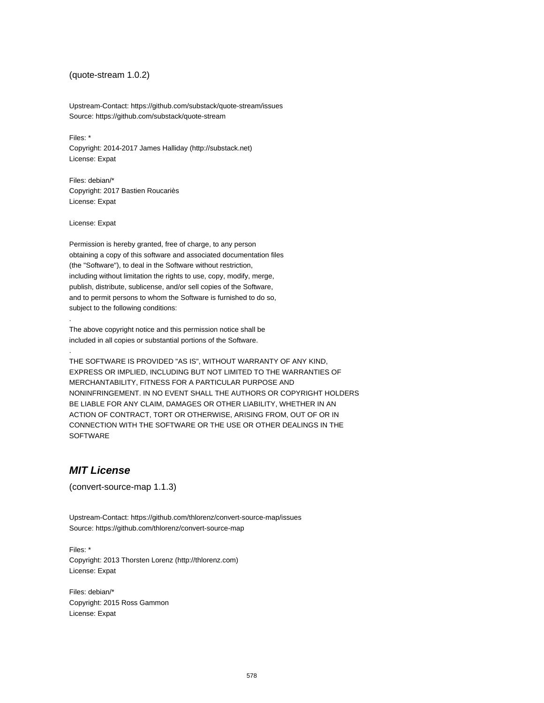### (quote-stream 1.0.2)

Upstream-Contact: https://github.com/substack/quote-stream/issues Source: https://github.com/substack/quote-stream

Files: \* Copyright: 2014-2017 James Halliday (http://substack.net) License: Expat

Files: debian/\* Copyright: 2017 Bastien Roucariès License: Expat

License: Expat

.

.

Permission is hereby granted, free of charge, to any person obtaining a copy of this software and associated documentation files (the "Software"), to deal in the Software without restriction, including without limitation the rights to use, copy, modify, merge, publish, distribute, sublicense, and/or sell copies of the Software, and to permit persons to whom the Software is furnished to do so, subject to the following conditions:

The above copyright notice and this permission notice shall be included in all copies or substantial portions of the Software.

THE SOFTWARE IS PROVIDED "AS IS", WITHOUT WARRANTY OF ANY KIND, EXPRESS OR IMPLIED, INCLUDING BUT NOT LIMITED TO THE WARRANTIES OF MERCHANTABILITY, FITNESS FOR A PARTICULAR PURPOSE AND NONINFRINGEMENT. IN NO EVENT SHALL THE AUTHORS OR COPYRIGHT HOLDERS BE LIABLE FOR ANY CLAIM, DAMAGES OR OTHER LIABILITY, WHETHER IN AN ACTION OF CONTRACT, TORT OR OTHERWISE, ARISING FROM, OUT OF OR IN CONNECTION WITH THE SOFTWARE OR THE USE OR OTHER DEALINGS IN THE SOFTWARE

## **MIT License**

(convert-source-map 1.1.3)

Upstream-Contact: https://github.com/thlorenz/convert-source-map/issues Source: https://github.com/thlorenz/convert-source-map

Files: \* Copyright: 2013 Thorsten Lorenz (http://thlorenz.com) License: Expat

Files: debian/\* Copyright: 2015 Ross Gammon License: Expat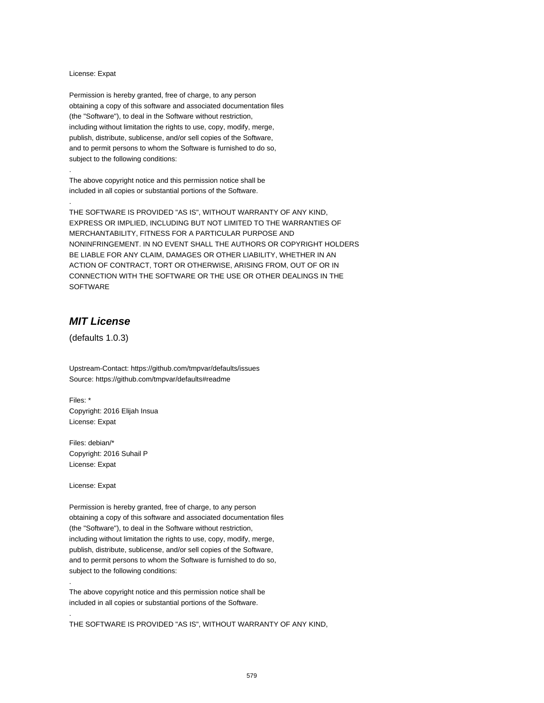#### License: Expat

.

.

Permission is hereby granted, free of charge, to any person obtaining a copy of this software and associated documentation files (the "Software"), to deal in the Software without restriction, including without limitation the rights to use, copy, modify, merge, publish, distribute, sublicense, and/or sell copies of the Software, and to permit persons to whom the Software is furnished to do so, subject to the following conditions:

The above copyright notice and this permission notice shall be included in all copies or substantial portions of the Software.

THE SOFTWARE IS PROVIDED "AS IS", WITHOUT WARRANTY OF ANY KIND, EXPRESS OR IMPLIED, INCLUDING BUT NOT LIMITED TO THE WARRANTIES OF MERCHANTABILITY, FITNESS FOR A PARTICULAR PURPOSE AND NONINFRINGEMENT. IN NO EVENT SHALL THE AUTHORS OR COPYRIGHT HOLDERS BE LIABLE FOR ANY CLAIM, DAMAGES OR OTHER LIABILITY, WHETHER IN AN ACTION OF CONTRACT, TORT OR OTHERWISE, ARISING FROM, OUT OF OR IN CONNECTION WITH THE SOFTWARE OR THE USE OR OTHER DEALINGS IN THE SOFTWARE

## **MIT License**

(defaults 1.0.3)

Upstream-Contact: https://github.com/tmpvar/defaults/issues Source: https://github.com/tmpvar/defaults#readme

Files: \* Copyright: 2016 Elijah Insua License: Expat

Files: debian/\* Copyright: 2016 Suhail P License: Expat

License: Expat

.

.

Permission is hereby granted, free of charge, to any person obtaining a copy of this software and associated documentation files (the "Software"), to deal in the Software without restriction, including without limitation the rights to use, copy, modify, merge, publish, distribute, sublicense, and/or sell copies of the Software, and to permit persons to whom the Software is furnished to do so, subject to the following conditions:

The above copyright notice and this permission notice shall be included in all copies or substantial portions of the Software.

THE SOFTWARE IS PROVIDED "AS IS", WITHOUT WARRANTY OF ANY KIND,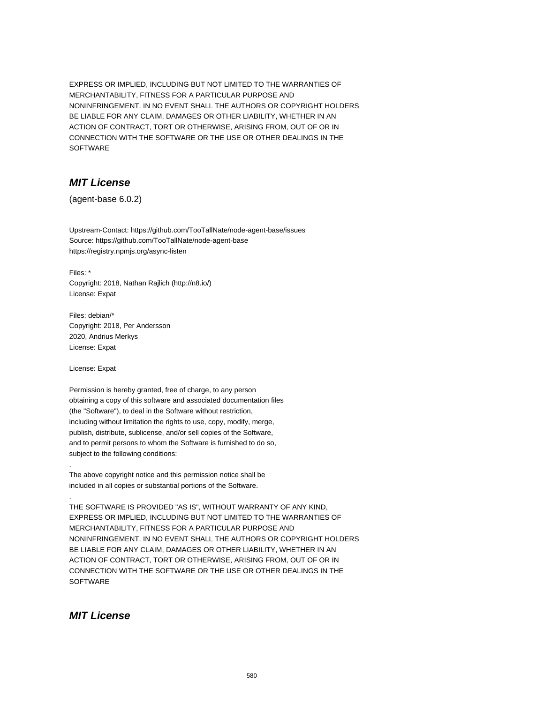EXPRESS OR IMPLIED, INCLUDING BUT NOT LIMITED TO THE WARRANTIES OF MERCHANTABILITY, FITNESS FOR A PARTICULAR PURPOSE AND NONINFRINGEMENT. IN NO EVENT SHALL THE AUTHORS OR COPYRIGHT HOLDERS BE LIABLE FOR ANY CLAIM, DAMAGES OR OTHER LIABILITY, WHETHER IN AN ACTION OF CONTRACT, TORT OR OTHERWISE, ARISING FROM, OUT OF OR IN CONNECTION WITH THE SOFTWARE OR THE USE OR OTHER DEALINGS IN THE SOFTWARE

# **MIT License**

(agent-base 6.0.2)

Upstream-Contact: https://github.com/TooTallNate/node-agent-base/issues Source: https://github.com/TooTallNate/node-agent-base https://registry.npmjs.org/async-listen

Files: \* Copyright: 2018, Nathan Rajlich (http://n8.io/) License: Expat

Files: debian/\* Copyright: 2018, Per Andersson 2020, Andrius Merkys License: Expat

License: Expat

.

.

Permission is hereby granted, free of charge, to any person obtaining a copy of this software and associated documentation files (the "Software"), to deal in the Software without restriction, including without limitation the rights to use, copy, modify, merge, publish, distribute, sublicense, and/or sell copies of the Software, and to permit persons to whom the Software is furnished to do so, subject to the following conditions:

The above copyright notice and this permission notice shall be included in all copies or substantial portions of the Software.

THE SOFTWARE IS PROVIDED "AS IS", WITHOUT WARRANTY OF ANY KIND, EXPRESS OR IMPLIED, INCLUDING BUT NOT LIMITED TO THE WARRANTIES OF MERCHANTABILITY, FITNESS FOR A PARTICULAR PURPOSE AND NONINFRINGEMENT. IN NO EVENT SHALL THE AUTHORS OR COPYRIGHT HOLDERS BE LIABLE FOR ANY CLAIM, DAMAGES OR OTHER LIABILITY, WHETHER IN AN ACTION OF CONTRACT, TORT OR OTHERWISE, ARISING FROM, OUT OF OR IN CONNECTION WITH THE SOFTWARE OR THE USE OR OTHER DEALINGS IN THE **SOFTWARE** 

## **MIT License**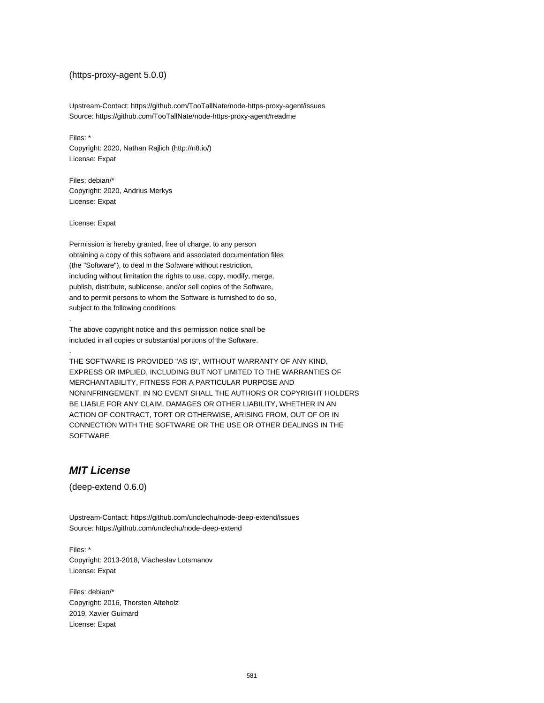#### (https-proxy-agent 5.0.0)

Upstream-Contact: https://github.com/TooTallNate/node-https-proxy-agent/issues Source: https://github.com/TooTallNate/node-https-proxy-agent#readme

Files: \* Copyright: 2020, Nathan Rajlich (http://n8.io/) License: Expat

Files: debian/\* Copyright: 2020, Andrius Merkys License: Expat

License: Expat

.

.

Permission is hereby granted, free of charge, to any person obtaining a copy of this software and associated documentation files (the "Software"), to deal in the Software without restriction, including without limitation the rights to use, copy, modify, merge, publish, distribute, sublicense, and/or sell copies of the Software, and to permit persons to whom the Software is furnished to do so, subject to the following conditions:

The above copyright notice and this permission notice shall be included in all copies or substantial portions of the Software.

THE SOFTWARE IS PROVIDED "AS IS", WITHOUT WARRANTY OF ANY KIND, EXPRESS OR IMPLIED, INCLUDING BUT NOT LIMITED TO THE WARRANTIES OF MERCHANTABILITY, FITNESS FOR A PARTICULAR PURPOSE AND NONINFRINGEMENT. IN NO EVENT SHALL THE AUTHORS OR COPYRIGHT HOLDERS BE LIABLE FOR ANY CLAIM, DAMAGES OR OTHER LIABILITY, WHETHER IN AN ACTION OF CONTRACT, TORT OR OTHERWISE, ARISING FROM, OUT OF OR IN CONNECTION WITH THE SOFTWARE OR THE USE OR OTHER DEALINGS IN THE SOFTWARE

## **MIT License**

(deep-extend 0.6.0)

Upstream-Contact: https://github.com/unclechu/node-deep-extend/issues Source: https://github.com/unclechu/node-deep-extend

Files: \* Copyright: 2013-2018, Viacheslav Lotsmanov License: Expat

Files: debian/\* Copyright: 2016, Thorsten Alteholz 2019, Xavier Guimard License: Expat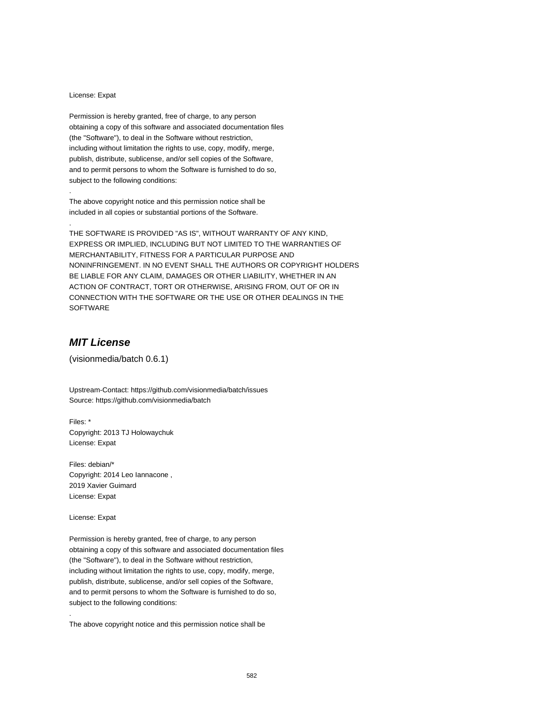#### License: Expat

.

.

Permission is hereby granted, free of charge, to any person obtaining a copy of this software and associated documentation files (the "Software"), to deal in the Software without restriction, including without limitation the rights to use, copy, modify, merge, publish, distribute, sublicense, and/or sell copies of the Software, and to permit persons to whom the Software is furnished to do so, subject to the following conditions:

The above copyright notice and this permission notice shall be included in all copies or substantial portions of the Software.

THE SOFTWARE IS PROVIDED "AS IS", WITHOUT WARRANTY OF ANY KIND, EXPRESS OR IMPLIED, INCLUDING BUT NOT LIMITED TO THE WARRANTIES OF MERCHANTABILITY, FITNESS FOR A PARTICULAR PURPOSE AND NONINFRINGEMENT. IN NO EVENT SHALL THE AUTHORS OR COPYRIGHT HOLDERS BE LIABLE FOR ANY CLAIM, DAMAGES OR OTHER LIABILITY, WHETHER IN AN ACTION OF CONTRACT, TORT OR OTHERWISE, ARISING FROM, OUT OF OR IN CONNECTION WITH THE SOFTWARE OR THE USE OR OTHER DEALINGS IN THE SOFTWARE

# **MIT License**

(visionmedia/batch 0.6.1)

Upstream-Contact: https://github.com/visionmedia/batch/issues Source: https://github.com/visionmedia/batch

Files: \* Copyright: 2013 TJ Holowaychuk License: Expat

Files: debian/\* Copyright: 2014 Leo Iannacone , 2019 Xavier Guimard License: Expat

License: Expat

.

Permission is hereby granted, free of charge, to any person obtaining a copy of this software and associated documentation files (the "Software"), to deal in the Software without restriction, including without limitation the rights to use, copy, modify, merge, publish, distribute, sublicense, and/or sell copies of the Software, and to permit persons to whom the Software is furnished to do so, subject to the following conditions:

The above copyright notice and this permission notice shall be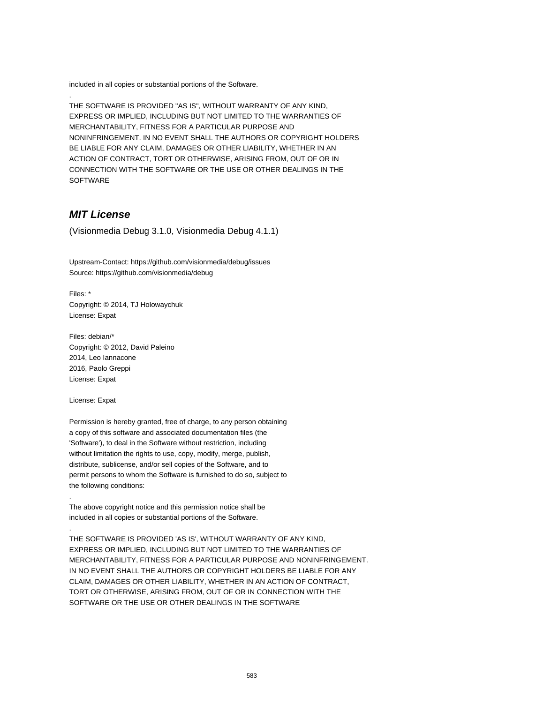included in all copies or substantial portions of the Software.

THE SOFTWARE IS PROVIDED "AS IS", WITHOUT WARRANTY OF ANY KIND, EXPRESS OR IMPLIED, INCLUDING BUT NOT LIMITED TO THE WARRANTIES OF MERCHANTABILITY, FITNESS FOR A PARTICULAR PURPOSE AND NONINFRINGEMENT. IN NO EVENT SHALL THE AUTHORS OR COPYRIGHT HOLDERS BE LIABLE FOR ANY CLAIM, DAMAGES OR OTHER LIABILITY, WHETHER IN AN ACTION OF CONTRACT, TORT OR OTHERWISE, ARISING FROM, OUT OF OR IN CONNECTION WITH THE SOFTWARE OR THE USE OR OTHER DEALINGS IN THE **SOFTWARE** 

## **MIT License**

.

(Visionmedia Debug 3.1.0, Visionmedia Debug 4.1.1)

Upstream-Contact: https://github.com/visionmedia/debug/issues Source: https://github.com/visionmedia/debug

Files: \* Copyright: © 2014, TJ Holowaychuk License: Expat

Files: debian/\* Copyright: © 2012, David Paleino 2014, Leo Iannacone 2016, Paolo Greppi License: Expat

License: Expat

.

.

Permission is hereby granted, free of charge, to any person obtaining a copy of this software and associated documentation files (the 'Software'), to deal in the Software without restriction, including without limitation the rights to use, copy, modify, merge, publish, distribute, sublicense, and/or sell copies of the Software, and to permit persons to whom the Software is furnished to do so, subject to the following conditions:

The above copyright notice and this permission notice shall be included in all copies or substantial portions of the Software.

THE SOFTWARE IS PROVIDED 'AS IS', WITHOUT WARRANTY OF ANY KIND, EXPRESS OR IMPLIED, INCLUDING BUT NOT LIMITED TO THE WARRANTIES OF MERCHANTABILITY, FITNESS FOR A PARTICULAR PURPOSE AND NONINFRINGEMENT. IN NO EVENT SHALL THE AUTHORS OR COPYRIGHT HOLDERS BE LIABLE FOR ANY CLAIM, DAMAGES OR OTHER LIABILITY, WHETHER IN AN ACTION OF CONTRACT, TORT OR OTHERWISE, ARISING FROM, OUT OF OR IN CONNECTION WITH THE SOFTWARE OR THE USE OR OTHER DEALINGS IN THE SOFTWARE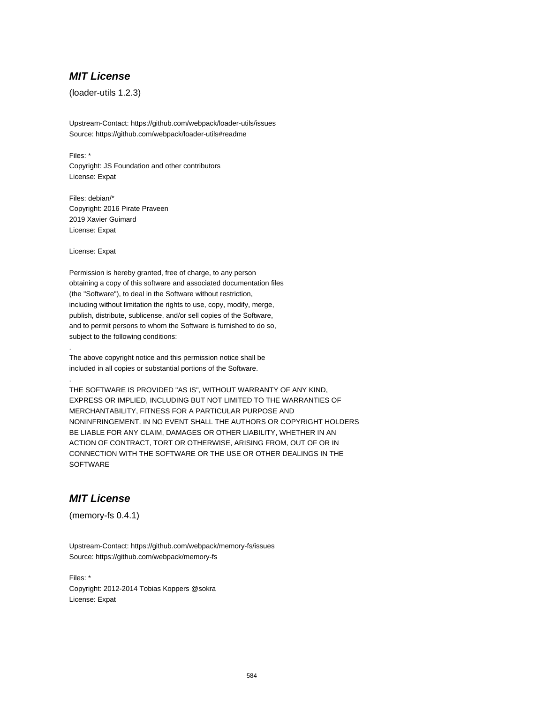### **MIT License**

(loader-utils 1.2.3)

Upstream-Contact: https://github.com/webpack/loader-utils/issues Source: https://github.com/webpack/loader-utils#readme

Files: \* Copyright: JS Foundation and other contributors License: Expat

Files: debian/\* Copyright: 2016 Pirate Praveen 2019 Xavier Guimard License: Expat

License: Expat

.

.

Permission is hereby granted, free of charge, to any person obtaining a copy of this software and associated documentation files (the "Software"), to deal in the Software without restriction, including without limitation the rights to use, copy, modify, merge, publish, distribute, sublicense, and/or sell copies of the Software, and to permit persons to whom the Software is furnished to do so, subject to the following conditions:

The above copyright notice and this permission notice shall be included in all copies or substantial portions of the Software.

THE SOFTWARE IS PROVIDED "AS IS", WITHOUT WARRANTY OF ANY KIND, EXPRESS OR IMPLIED, INCLUDING BUT NOT LIMITED TO THE WARRANTIES OF MERCHANTABILITY, FITNESS FOR A PARTICULAR PURPOSE AND NONINFRINGEMENT. IN NO EVENT SHALL THE AUTHORS OR COPYRIGHT HOLDERS BE LIABLE FOR ANY CLAIM, DAMAGES OR OTHER LIABILITY, WHETHER IN AN ACTION OF CONTRACT, TORT OR OTHERWISE, ARISING FROM, OUT OF OR IN CONNECTION WITH THE SOFTWARE OR THE USE OR OTHER DEALINGS IN THE **SOFTWARE** 

# **MIT License**

(memory-fs 0.4.1)

Upstream-Contact: https://github.com/webpack/memory-fs/issues Source: https://github.com/webpack/memory-fs

Files: \* Copyright: 2012-2014 Tobias Koppers @sokra License: Expat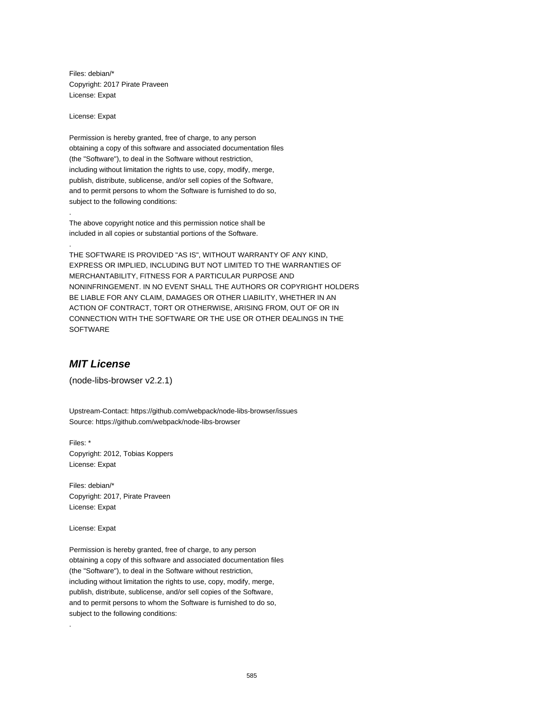Files: debian/\* Copyright: 2017 Pirate Praveen License: Expat

License: Expat

.

.

Permission is hereby granted, free of charge, to any person obtaining a copy of this software and associated documentation files (the "Software"), to deal in the Software without restriction, including without limitation the rights to use, copy, modify, merge, publish, distribute, sublicense, and/or sell copies of the Software, and to permit persons to whom the Software is furnished to do so, subject to the following conditions:

The above copyright notice and this permission notice shall be included in all copies or substantial portions of the Software.

THE SOFTWARE IS PROVIDED "AS IS", WITHOUT WARRANTY OF ANY KIND, EXPRESS OR IMPLIED, INCLUDING BUT NOT LIMITED TO THE WARRANTIES OF MERCHANTABILITY, FITNESS FOR A PARTICULAR PURPOSE AND NONINFRINGEMENT. IN NO EVENT SHALL THE AUTHORS OR COPYRIGHT HOLDERS BE LIABLE FOR ANY CLAIM, DAMAGES OR OTHER LIABILITY, WHETHER IN AN ACTION OF CONTRACT, TORT OR OTHERWISE, ARISING FROM, OUT OF OR IN CONNECTION WITH THE SOFTWARE OR THE USE OR OTHER DEALINGS IN THE SOFTWARE

## **MIT License**

(node-libs-browser v2.2.1)

Upstream-Contact: https://github.com/webpack/node-libs-browser/issues Source: https://github.com/webpack/node-libs-browser

Files: \* Copyright: 2012, Tobias Koppers License: Expat

Files: debian/\* Copyright: 2017, Pirate Praveen License: Expat

License: Expat

.

Permission is hereby granted, free of charge, to any person obtaining a copy of this software and associated documentation files (the "Software"), to deal in the Software without restriction, including without limitation the rights to use, copy, modify, merge, publish, distribute, sublicense, and/or sell copies of the Software, and to permit persons to whom the Software is furnished to do so, subject to the following conditions: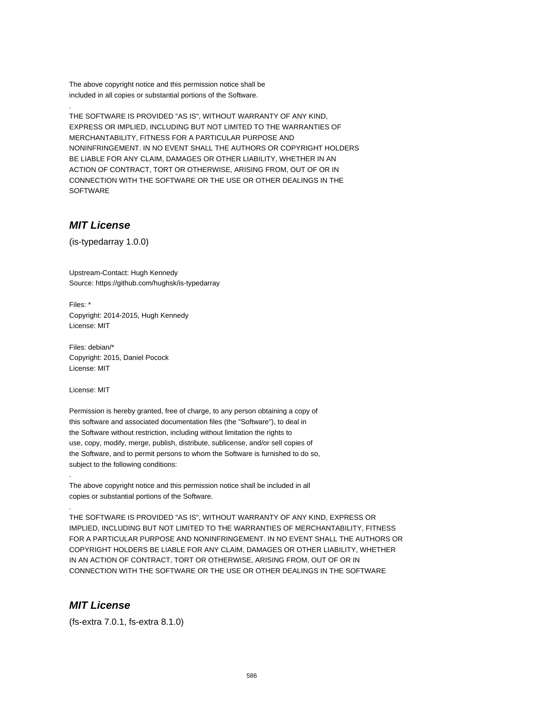The above copyright notice and this permission notice shall be included in all copies or substantial portions of the Software.

THE SOFTWARE IS PROVIDED "AS IS", WITHOUT WARRANTY OF ANY KIND, EXPRESS OR IMPLIED, INCLUDING BUT NOT LIMITED TO THE WARRANTIES OF MERCHANTABILITY, FITNESS FOR A PARTICULAR PURPOSE AND NONINFRINGEMENT. IN NO EVENT SHALL THE AUTHORS OR COPYRIGHT HOLDERS BE LIABLE FOR ANY CLAIM, DAMAGES OR OTHER LIABILITY, WHETHER IN AN ACTION OF CONTRACT, TORT OR OTHERWISE, ARISING FROM, OUT OF OR IN CONNECTION WITH THE SOFTWARE OR THE USE OR OTHER DEALINGS IN THE SOFTWARE

# **MIT License**

.

(is-typedarray 1.0.0)

Upstream-Contact: Hugh Kennedy Source: https://github.com/hughsk/is-typedarray

Files: \* Copyright: 2014-2015, Hugh Kennedy License: MIT

Files: debian/\* Copyright: 2015, Daniel Pocock License: MIT

License: MIT

.

.

Permission is hereby granted, free of charge, to any person obtaining a copy of this software and associated documentation files (the "Software"), to deal in the Software without restriction, including without limitation the rights to use, copy, modify, merge, publish, distribute, sublicense, and/or sell copies of the Software, and to permit persons to whom the Software is furnished to do so, subject to the following conditions:

The above copyright notice and this permission notice shall be included in all copies or substantial portions of the Software.

THE SOFTWARE IS PROVIDED "AS IS", WITHOUT WARRANTY OF ANY KIND, EXPRESS OR IMPLIED, INCLUDING BUT NOT LIMITED TO THE WARRANTIES OF MERCHANTABILITY, FITNESS FOR A PARTICULAR PURPOSE AND NONINFRINGEMENT. IN NO EVENT SHALL THE AUTHORS OR COPYRIGHT HOLDERS BE LIABLE FOR ANY CLAIM, DAMAGES OR OTHER LIABILITY, WHETHER IN AN ACTION OF CONTRACT, TORT OR OTHERWISE, ARISING FROM, OUT OF OR IN CONNECTION WITH THE SOFTWARE OR THE USE OR OTHER DEALINGS IN THE SOFTWARE

### **MIT License**

(fs-extra 7.0.1, fs-extra 8.1.0)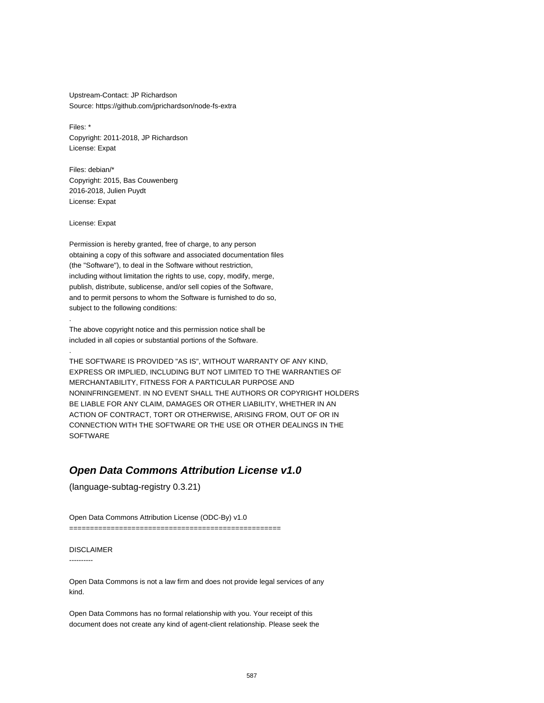Upstream-Contact: JP Richardson Source: https://github.com/jprichardson/node-fs-extra

Files: \* Copyright: 2011-2018, JP Richardson License: Expat

Files: debian/\* Copyright: 2015, Bas Couwenberg 2016-2018, Julien Puydt License: Expat

License: Expat

.

.

Permission is hereby granted, free of charge, to any person obtaining a copy of this software and associated documentation files (the "Software"), to deal in the Software without restriction, including without limitation the rights to use, copy, modify, merge, publish, distribute, sublicense, and/or sell copies of the Software, and to permit persons to whom the Software is furnished to do so, subject to the following conditions:

The above copyright notice and this permission notice shall be included in all copies or substantial portions of the Software.

THE SOFTWARE IS PROVIDED "AS IS", WITHOUT WARRANTY OF ANY KIND, EXPRESS OR IMPLIED, INCLUDING BUT NOT LIMITED TO THE WARRANTIES OF MERCHANTABILITY, FITNESS FOR A PARTICULAR PURPOSE AND NONINFRINGEMENT. IN NO EVENT SHALL THE AUTHORS OR COPYRIGHT HOLDERS BE LIABLE FOR ANY CLAIM, DAMAGES OR OTHER LIABILITY, WHETHER IN AN ACTION OF CONTRACT, TORT OR OTHERWISE, ARISING FROM, OUT OF OR IN CONNECTION WITH THE SOFTWARE OR THE USE OR OTHER DEALINGS IN THE SOFTWARE

### **Open Data Commons Attribution License v1.0**

(language-subtag-registry 0.3.21)

Open Data Commons Attribution License (ODC-By) v1.0

===================================================

### DISCLAIMER

----------

Open Data Commons is not a law firm and does not provide legal services of any kind.

Open Data Commons has no formal relationship with you. Your receipt of this document does not create any kind of agent-client relationship. Please seek the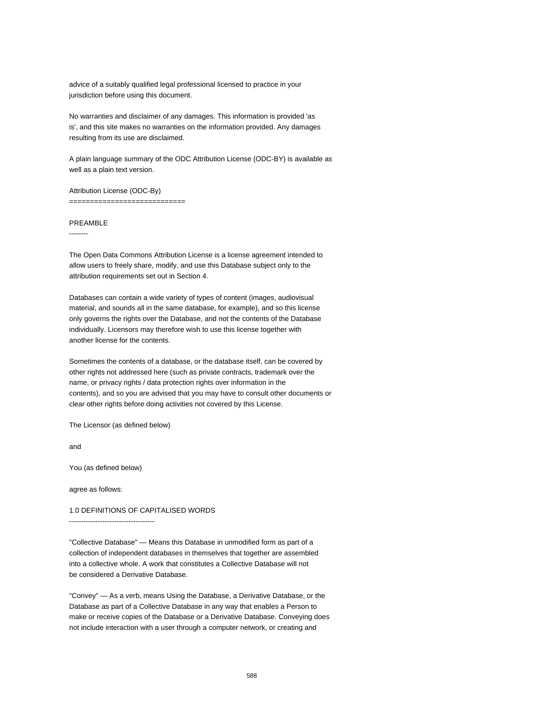advice of a suitably qualified legal professional licensed to practice in your jurisdiction before using this document.

No warranties and disclaimer of any damages. This information is provided 'as is', and this site makes no warranties on the information provided. Any damages resulting from its use are disclaimed.

A plain language summary of the ODC Attribution License (ODC-BY) is available as well as a plain text version.

Attribution License (ODC-By) ================================

#### PREAMBLE

--------

The Open Data Commons Attribution License is a license agreement intended to allow users to freely share, modify, and use this Database subject only to the attribution requirements set out in Section 4.

Databases can contain a wide variety of types of content (images, audiovisual material, and sounds all in the same database, for example), and so this license only governs the rights over the Database, and not the contents of the Database individually. Licensors may therefore wish to use this license together with another license for the contents.

Sometimes the contents of a database, or the database itself, can be covered by other rights not addressed here (such as private contracts, trademark over the name, or privacy rights / data protection rights over information in the contents), and so you are advised that you may have to consult other documents or clear other rights before doing activities not covered by this License.

The Licensor (as defined below)

and

You (as defined below)

agree as follows:

1.0 DEFINITIONS OF CAPITALISED WORDS

------------------------------------

"Collective Database" — Means this Database in unmodified form as part of a collection of independent databases in themselves that together are assembled into a collective whole. A work that constitutes a Collective Database will not be considered a Derivative Database.

"Convey" — As a verb, means Using the Database, a Derivative Database, or the Database as part of a Collective Database in any way that enables a Person to make or receive copies of the Database or a Derivative Database. Conveying does not include interaction with a user through a computer network, or creating and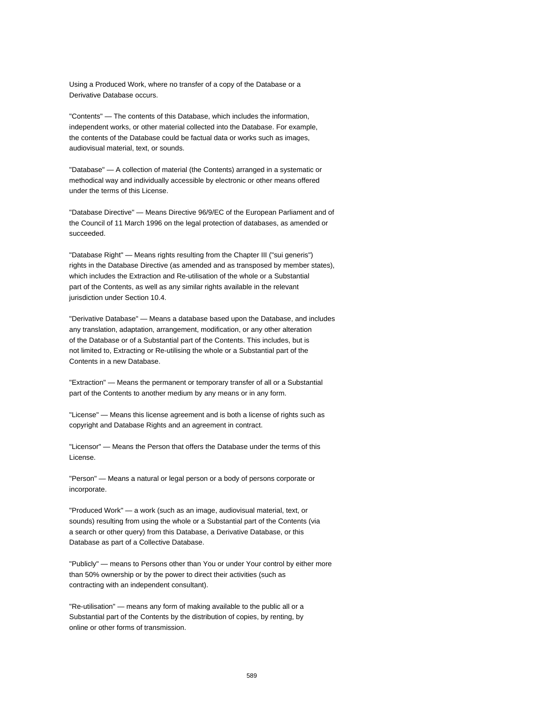Using a Produced Work, where no transfer of a copy of the Database or a Derivative Database occurs.

"Contents" — The contents of this Database, which includes the information, independent works, or other material collected into the Database. For example, the contents of the Database could be factual data or works such as images, audiovisual material, text, or sounds.

"Database" — A collection of material (the Contents) arranged in a systematic or methodical way and individually accessible by electronic or other means offered under the terms of this License.

"Database Directive" — Means Directive 96/9/EC of the European Parliament and of the Council of 11 March 1996 on the legal protection of databases, as amended or succeeded.

"Database Right" — Means rights resulting from the Chapter III ("sui generis") rights in the Database Directive (as amended and as transposed by member states), which includes the Extraction and Re-utilisation of the whole or a Substantial part of the Contents, as well as any similar rights available in the relevant jurisdiction under Section 10.4.

"Derivative Database" — Means a database based upon the Database, and includes any translation, adaptation, arrangement, modification, or any other alteration of the Database or of a Substantial part of the Contents. This includes, but is not limited to, Extracting or Re-utilising the whole or a Substantial part of the Contents in a new Database.

"Extraction" — Means the permanent or temporary transfer of all or a Substantial part of the Contents to another medium by any means or in any form.

"License" — Means this license agreement and is both a license of rights such as copyright and Database Rights and an agreement in contract.

"Licensor" — Means the Person that offers the Database under the terms of this License.

"Person" — Means a natural or legal person or a body of persons corporate or incorporate.

"Produced Work" — a work (such as an image, audiovisual material, text, or sounds) resulting from using the whole or a Substantial part of the Contents (via a search or other query) from this Database, a Derivative Database, or this Database as part of a Collective Database.

"Publicly" — means to Persons other than You or under Your control by either more than 50% ownership or by the power to direct their activities (such as contracting with an independent consultant).

"Re-utilisation" — means any form of making available to the public all or a Substantial part of the Contents by the distribution of copies, by renting, by online or other forms of transmission.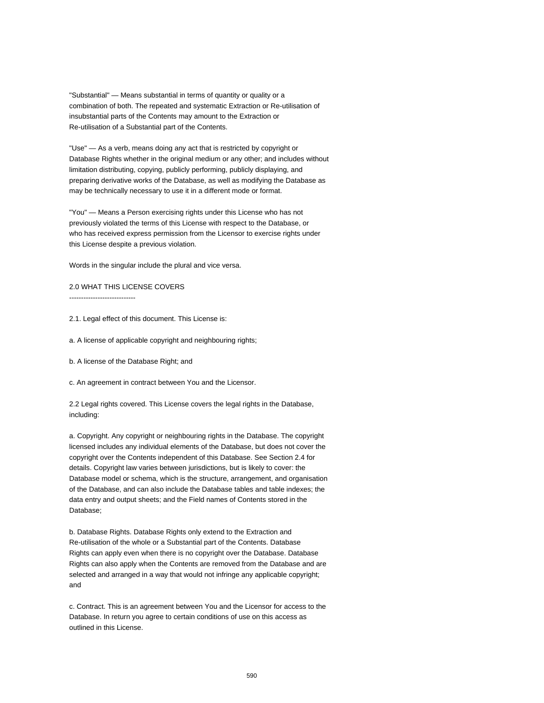"Substantial" — Means substantial in terms of quantity or quality or a combination of both. The repeated and systematic Extraction or Re-utilisation of insubstantial parts of the Contents may amount to the Extraction or Re-utilisation of a Substantial part of the Contents.

"Use" — As a verb, means doing any act that is restricted by copyright or Database Rights whether in the original medium or any other; and includes without limitation distributing, copying, publicly performing, publicly displaying, and preparing derivative works of the Database, as well as modifying the Database as may be technically necessary to use it in a different mode or format.

"You" — Means a Person exercising rights under this License who has not previously violated the terms of this License with respect to the Database, or who has received express permission from the Licensor to exercise rights under this License despite a previous violation.

Words in the singular include the plural and vice versa.

2.0 WHAT THIS LICENSE COVERS ----------------------------

2.1. Legal effect of this document. This License is:

a. A license of applicable copyright and neighbouring rights;

b. A license of the Database Right; and

c. An agreement in contract between You and the Licensor.

2.2 Legal rights covered. This License covers the legal rights in the Database, including:

a. Copyright. Any copyright or neighbouring rights in the Database. The copyright licensed includes any individual elements of the Database, but does not cover the copyright over the Contents independent of this Database. See Section 2.4 for details. Copyright law varies between jurisdictions, but is likely to cover: the Database model or schema, which is the structure, arrangement, and organisation of the Database, and can also include the Database tables and table indexes; the data entry and output sheets; and the Field names of Contents stored in the Database;

b. Database Rights. Database Rights only extend to the Extraction and Re-utilisation of the whole or a Substantial part of the Contents. Database Rights can apply even when there is no copyright over the Database. Database Rights can also apply when the Contents are removed from the Database and are selected and arranged in a way that would not infringe any applicable copyright; and

c. Contract. This is an agreement between You and the Licensor for access to the Database. In return you agree to certain conditions of use on this access as outlined in this License.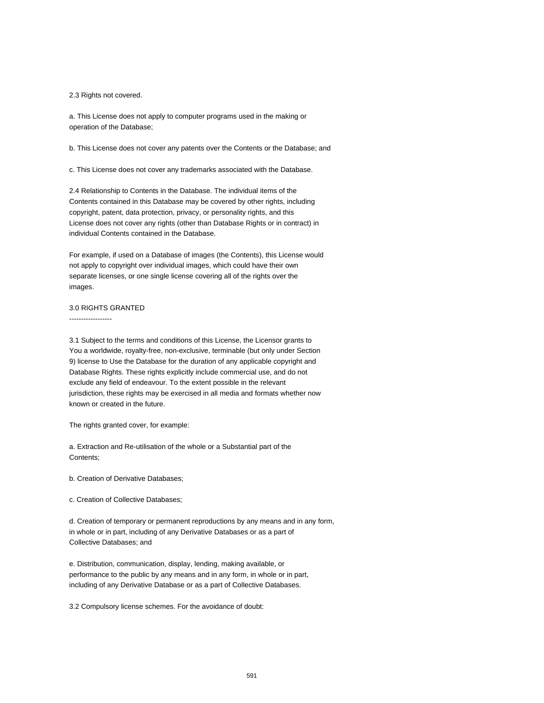2.3 Rights not covered.

a. This License does not apply to computer programs used in the making or operation of the Database;

b. This License does not cover any patents over the Contents or the Database; and

c. This License does not cover any trademarks associated with the Database.

2.4 Relationship to Contents in the Database. The individual items of the Contents contained in this Database may be covered by other rights, including copyright, patent, data protection, privacy, or personality rights, and this License does not cover any rights (other than Database Rights or in contract) in individual Contents contained in the Database.

For example, if used on a Database of images (the Contents), this License would not apply to copyright over individual images, which could have their own separate licenses, or one single license covering all of the rights over the images.

### 3.0 RIGHTS GRANTED

------------------

3.1 Subject to the terms and conditions of this License, the Licensor grants to You a worldwide, royalty-free, non-exclusive, terminable (but only under Section 9) license to Use the Database for the duration of any applicable copyright and Database Rights. These rights explicitly include commercial use, and do not exclude any field of endeavour. To the extent possible in the relevant jurisdiction, these rights may be exercised in all media and formats whether now known or created in the future.

The rights granted cover, for example:

a. Extraction and Re-utilisation of the whole or a Substantial part of the Contents;

b. Creation of Derivative Databases;

c. Creation of Collective Databases;

d. Creation of temporary or permanent reproductions by any means and in any form, in whole or in part, including of any Derivative Databases or as a part of Collective Databases; and

e. Distribution, communication, display, lending, making available, or performance to the public by any means and in any form, in whole or in part, including of any Derivative Database or as a part of Collective Databases.

3.2 Compulsory license schemes. For the avoidance of doubt: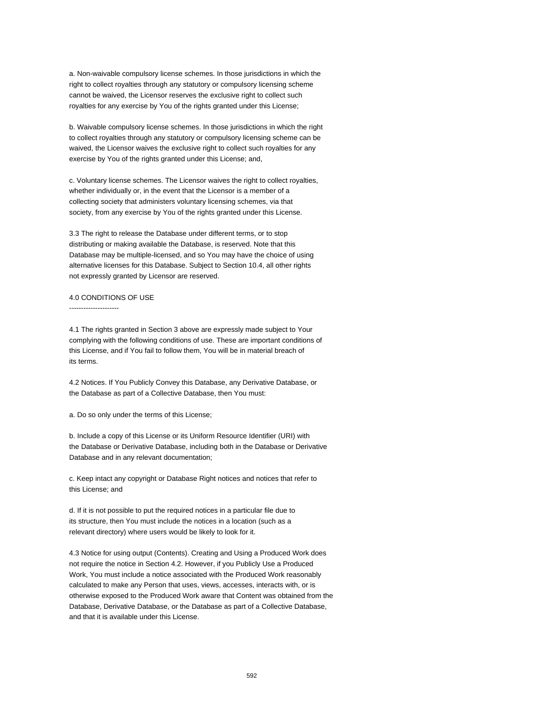a. Non-waivable compulsory license schemes. In those jurisdictions in which the right to collect royalties through any statutory or compulsory licensing scheme cannot be waived, the Licensor reserves the exclusive right to collect such royalties for any exercise by You of the rights granted under this License;

b. Waivable compulsory license schemes. In those jurisdictions in which the right to collect royalties through any statutory or compulsory licensing scheme can be waived, the Licensor waives the exclusive right to collect such royalties for any exercise by You of the rights granted under this License; and,

c. Voluntary license schemes. The Licensor waives the right to collect royalties, whether individually or, in the event that the Licensor is a member of a collecting society that administers voluntary licensing schemes, via that society, from any exercise by You of the rights granted under this License.

3.3 The right to release the Database under different terms, or to stop distributing or making available the Database, is reserved. Note that this Database may be multiple-licensed, and so You may have the choice of using alternative licenses for this Database. Subject to Section 10.4, all other rights not expressly granted by Licensor are reserved.

#### 4.0 CONDITIONS OF USE

---------------------

4.1 The rights granted in Section 3 above are expressly made subject to Your complying with the following conditions of use. These are important conditions of this License, and if You fail to follow them, You will be in material breach of its terms.

4.2 Notices. If You Publicly Convey this Database, any Derivative Database, or the Database as part of a Collective Database, then You must:

a. Do so only under the terms of this License;

b. Include a copy of this License or its Uniform Resource Identifier (URI) with the Database or Derivative Database, including both in the Database or Derivative Database and in any relevant documentation;

c. Keep intact any copyright or Database Right notices and notices that refer to this License; and

d. If it is not possible to put the required notices in a particular file due to its structure, then You must include the notices in a location (such as a relevant directory) where users would be likely to look for it.

4.3 Notice for using output (Contents). Creating and Using a Produced Work does not require the notice in Section 4.2. However, if you Publicly Use a Produced Work, You must include a notice associated with the Produced Work reasonably calculated to make any Person that uses, views, accesses, interacts with, or is otherwise exposed to the Produced Work aware that Content was obtained from the Database, Derivative Database, or the Database as part of a Collective Database, and that it is available under this License.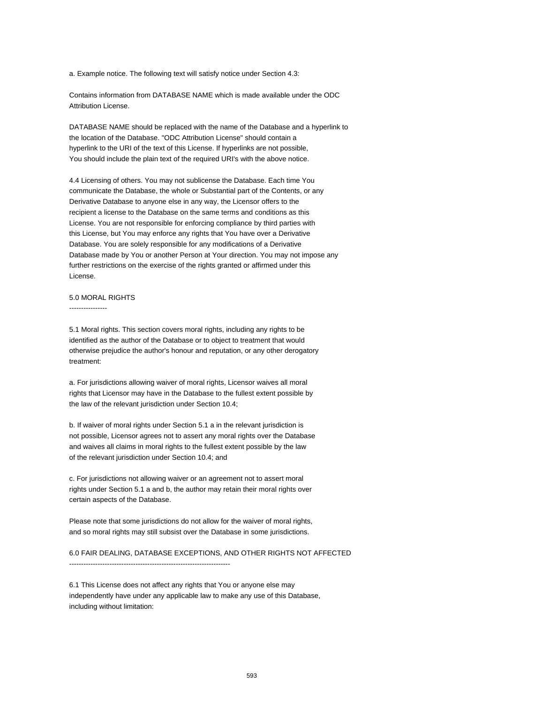a. Example notice. The following text will satisfy notice under Section 4.3:

Contains information from DATABASE NAME which is made available under the ODC Attribution License.

DATABASE NAME should be replaced with the name of the Database and a hyperlink to the location of the Database. "ODC Attribution License" should contain a hyperlink to the URI of the text of this License. If hyperlinks are not possible, You should include the plain text of the required URI's with the above notice.

4.4 Licensing of others. You may not sublicense the Database. Each time You communicate the Database, the whole or Substantial part of the Contents, or any Derivative Database to anyone else in any way, the Licensor offers to the recipient a license to the Database on the same terms and conditions as this License. You are not responsible for enforcing compliance by third parties with this License, but You may enforce any rights that You have over a Derivative Database. You are solely responsible for any modifications of a Derivative Database made by You or another Person at Your direction. You may not impose any further restrictions on the exercise of the rights granted or affirmed under this License.

### 5.0 MORAL RIGHTS

----------------

5.1 Moral rights. This section covers moral rights, including any rights to be identified as the author of the Database or to object to treatment that would otherwise prejudice the author's honour and reputation, or any other derogatory treatment:

a. For jurisdictions allowing waiver of moral rights, Licensor waives all moral rights that Licensor may have in the Database to the fullest extent possible by the law of the relevant jurisdiction under Section 10.4;

b. If waiver of moral rights under Section 5.1 a in the relevant jurisdiction is not possible, Licensor agrees not to assert any moral rights over the Database and waives all claims in moral rights to the fullest extent possible by the law of the relevant jurisdiction under Section 10.4; and

c. For jurisdictions not allowing waiver or an agreement not to assert moral rights under Section 5.1 a and b, the author may retain their moral rights over certain aspects of the Database.

Please note that some jurisdictions do not allow for the waiver of moral rights, and so moral rights may still subsist over the Database in some jurisdictions.

6.0 FAIR DEALING, DATABASE EXCEPTIONS, AND OTHER RIGHTS NOT AFFECTED --------------------------------------------------------------------

6.1 This License does not affect any rights that You or anyone else may independently have under any applicable law to make any use of this Database, including without limitation: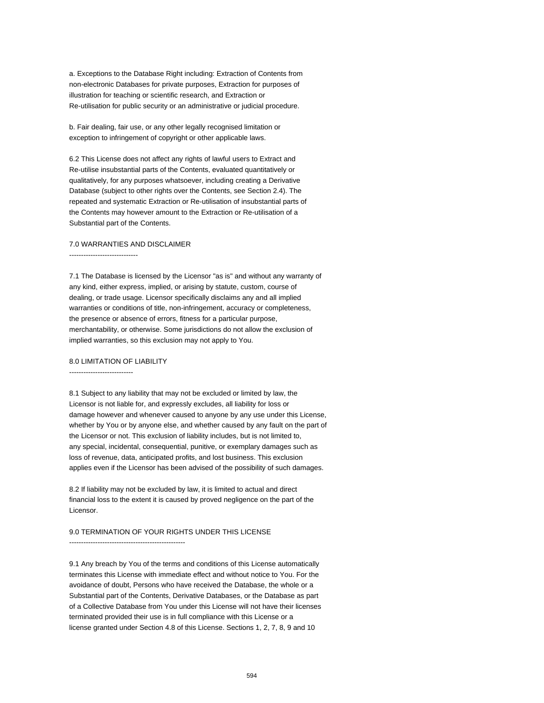a. Exceptions to the Database Right including: Extraction of Contents from non-electronic Databases for private purposes, Extraction for purposes of illustration for teaching or scientific research, and Extraction or Re-utilisation for public security or an administrative or judicial procedure.

b. Fair dealing, fair use, or any other legally recognised limitation or exception to infringement of copyright or other applicable laws.

6.2 This License does not affect any rights of lawful users to Extract and Re-utilise insubstantial parts of the Contents, evaluated quantitatively or qualitatively, for any purposes whatsoever, including creating a Derivative Database (subject to other rights over the Contents, see Section 2.4). The repeated and systematic Extraction or Re-utilisation of insubstantial parts of the Contents may however amount to the Extraction or Re-utilisation of a Substantial part of the Contents.

### 7.0 WARRANTIES AND DISCLAIMER

-----------------------------

7.1 The Database is licensed by the Licensor "as is" and without any warranty of any kind, either express, implied, or arising by statute, custom, course of dealing, or trade usage. Licensor specifically disclaims any and all implied warranties or conditions of title, non-infringement, accuracy or completeness, the presence or absence of errors, fitness for a particular purpose, merchantability, or otherwise. Some jurisdictions do not allow the exclusion of implied warranties, so this exclusion may not apply to You.

#### 8.0 LIMITATION OF LIABILITY

---------------------------

8.1 Subject to any liability that may not be excluded or limited by law, the Licensor is not liable for, and expressly excludes, all liability for loss or damage however and whenever caused to anyone by any use under this License, whether by You or by anyone else, and whether caused by any fault on the part of the Licensor or not. This exclusion of liability includes, but is not limited to, any special, incidental, consequential, punitive, or exemplary damages such as loss of revenue, data, anticipated profits, and lost business. This exclusion applies even if the Licensor has been advised of the possibility of such damages.

8.2 If liability may not be excluded by law, it is limited to actual and direct financial loss to the extent it is caused by proved negligence on the part of the Licensor.

#### 9.0 TERMINATION OF YOUR RIGHTS UNDER THIS LICENSE

-------------------------------------------------

9.1 Any breach by You of the terms and conditions of this License automatically terminates this License with immediate effect and without notice to You. For the avoidance of doubt, Persons who have received the Database, the whole or a Substantial part of the Contents, Derivative Databases, or the Database as part of a Collective Database from You under this License will not have their licenses terminated provided their use is in full compliance with this License or a license granted under Section 4.8 of this License. Sections 1, 2, 7, 8, 9 and 10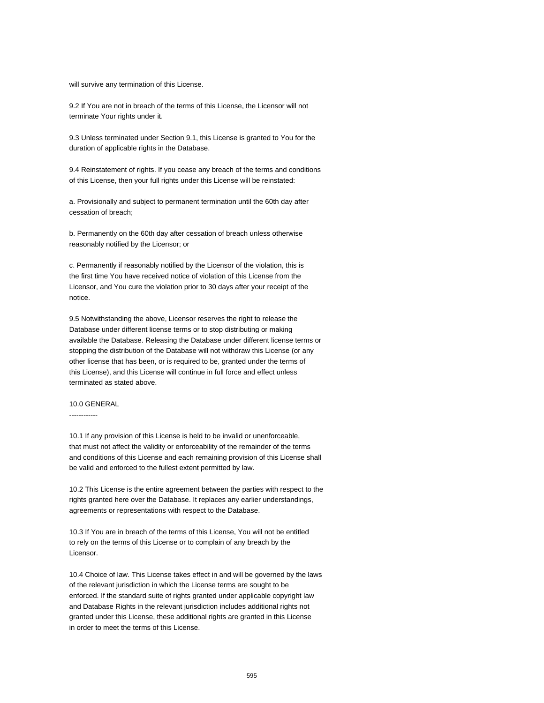will survive any termination of this License.

9.2 If You are not in breach of the terms of this License, the Licensor will not terminate Your rights under it.

9.3 Unless terminated under Section 9.1, this License is granted to You for the duration of applicable rights in the Database.

9.4 Reinstatement of rights. If you cease any breach of the terms and conditions of this License, then your full rights under this License will be reinstated:

a. Provisionally and subject to permanent termination until the 60th day after cessation of breach;

b. Permanently on the 60th day after cessation of breach unless otherwise reasonably notified by the Licensor; or

c. Permanently if reasonably notified by the Licensor of the violation, this is the first time You have received notice of violation of this License from the Licensor, and You cure the violation prior to 30 days after your receipt of the notice.

9.5 Notwithstanding the above, Licensor reserves the right to release the Database under different license terms or to stop distributing or making available the Database. Releasing the Database under different license terms or stopping the distribution of the Database will not withdraw this License (or any other license that has been, or is required to be, granted under the terms of this License), and this License will continue in full force and effect unless terminated as stated above.

#### 10.0 GENERAL

------------

10.1 If any provision of this License is held to be invalid or unenforceable, that must not affect the validity or enforceability of the remainder of the terms and conditions of this License and each remaining provision of this License shall be valid and enforced to the fullest extent permitted by law.

10.2 This License is the entire agreement between the parties with respect to the rights granted here over the Database. It replaces any earlier understandings, agreements or representations with respect to the Database.

10.3 If You are in breach of the terms of this License, You will not be entitled to rely on the terms of this License or to complain of any breach by the Licensor.

10.4 Choice of law. This License takes effect in and will be governed by the laws of the relevant jurisdiction in which the License terms are sought to be enforced. If the standard suite of rights granted under applicable copyright law and Database Rights in the relevant jurisdiction includes additional rights not granted under this License, these additional rights are granted in this License in order to meet the terms of this License.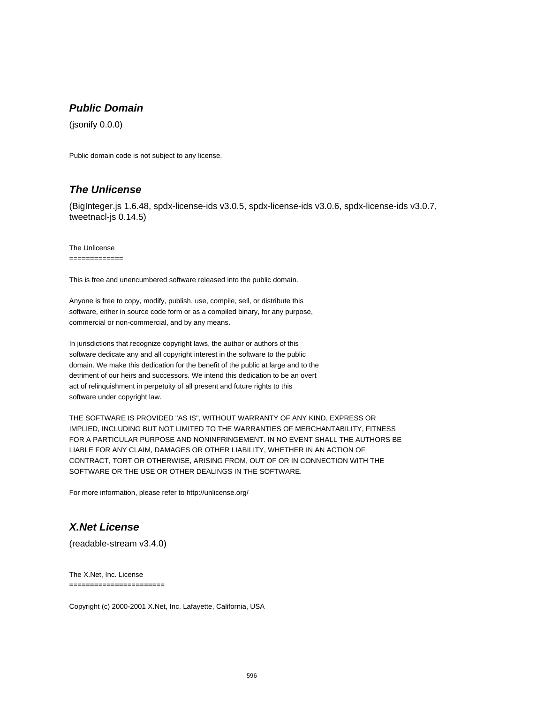## **Public Domain**

(jsonify 0.0.0)

Public domain code is not subject to any license.

### **The Unlicense**

(BigInteger.js 1.6.48, spdx-license-ids v3.0.5, spdx-license-ids v3.0.6, spdx-license-ids v3.0.7, tweetnacl-js 0.14.5)

The Unlicense

=============

This is free and unencumbered software released into the public domain.

Anyone is free to copy, modify, publish, use, compile, sell, or distribute this software, either in source code form or as a compiled binary, for any purpose, commercial or non-commercial, and by any means.

In jurisdictions that recognize copyright laws, the author or authors of this software dedicate any and all copyright interest in the software to the public domain. We make this dedication for the benefit of the public at large and to the detriment of our heirs and successors. We intend this dedication to be an overt act of relinquishment in perpetuity of all present and future rights to this software under copyright law.

THE SOFTWARE IS PROVIDED "AS IS", WITHOUT WARRANTY OF ANY KIND, EXPRESS OR IMPLIED, INCLUDING BUT NOT LIMITED TO THE WARRANTIES OF MERCHANTABILITY, FITNESS FOR A PARTICULAR PURPOSE AND NONINFRINGEMENT. IN NO EVENT SHALL THE AUTHORS BE LIABLE FOR ANY CLAIM, DAMAGES OR OTHER LIABILITY, WHETHER IN AN ACTION OF CONTRACT, TORT OR OTHERWISE, ARISING FROM, OUT OF OR IN CONNECTION WITH THE SOFTWARE OR THE USE OR OTHER DEALINGS IN THE SOFTWARE.

For more information, please refer to http://unlicense.org/

## **X.Net License**

(readable-stream v3.4.0)

The X.Net, Inc. License

=======================

Copyright (c) 2000-2001 X.Net, Inc. Lafayette, California, USA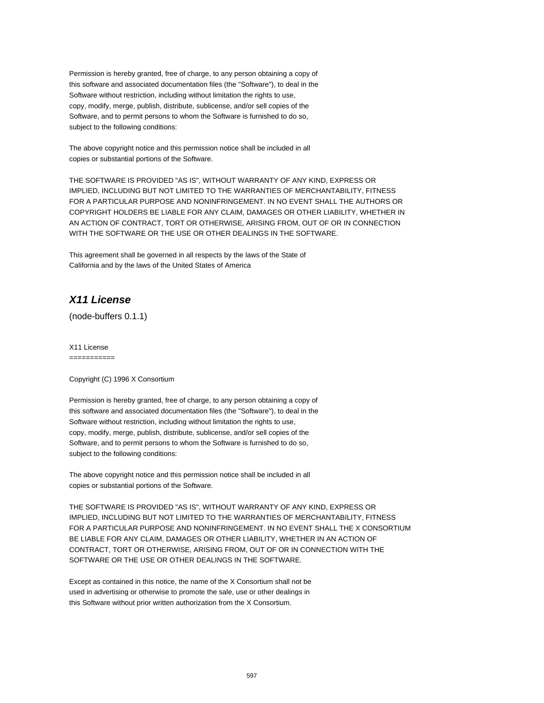Permission is hereby granted, free of charge, to any person obtaining a copy of this software and associated documentation files (the "Software"), to deal in the Software without restriction, including without limitation the rights to use, copy, modify, merge, publish, distribute, sublicense, and/or sell copies of the Software, and to permit persons to whom the Software is furnished to do so, subject to the following conditions:

The above copyright notice and this permission notice shall be included in all copies or substantial portions of the Software.

THE SOFTWARE IS PROVIDED "AS IS", WITHOUT WARRANTY OF ANY KIND, EXPRESS OR IMPLIED, INCLUDING BUT NOT LIMITED TO THE WARRANTIES OF MERCHANTABILITY, FITNESS FOR A PARTICULAR PURPOSE AND NONINFRINGEMENT. IN NO EVENT SHALL THE AUTHORS OR COPYRIGHT HOLDERS BE LIABLE FOR ANY CLAIM, DAMAGES OR OTHER LIABILITY, WHETHER IN AN ACTION OF CONTRACT, TORT OR OTHERWISE, ARISING FROM, OUT OF OR IN CONNECTION WITH THE SOFTWARE OR THE USE OR OTHER DEALINGS IN THE SOFTWARE.

This agreement shall be governed in all respects by the laws of the State of California and by the laws of the United States of America

# **X11 License**

(node-buffers 0.1.1)

X11 License ===========

Copyright (C) 1996 X Consortium

Permission is hereby granted, free of charge, to any person obtaining a copy of this software and associated documentation files (the "Software"), to deal in the Software without restriction, including without limitation the rights to use, copy, modify, merge, publish, distribute, sublicense, and/or sell copies of the Software, and to permit persons to whom the Software is furnished to do so, subject to the following conditions:

The above copyright notice and this permission notice shall be included in all copies or substantial portions of the Software.

THE SOFTWARE IS PROVIDED "AS IS", WITHOUT WARRANTY OF ANY KIND, EXPRESS OR IMPLIED, INCLUDING BUT NOT LIMITED TO THE WARRANTIES OF MERCHANTABILITY, FITNESS FOR A PARTICULAR PURPOSE AND NONINFRINGEMENT. IN NO EVENT SHALL THE X CONSORTIUM BE LIABLE FOR ANY CLAIM, DAMAGES OR OTHER LIABILITY, WHETHER IN AN ACTION OF CONTRACT, TORT OR OTHERWISE, ARISING FROM, OUT OF OR IN CONNECTION WITH THE SOFTWARE OR THE USE OR OTHER DEALINGS IN THE SOFTWARE.

Except as contained in this notice, the name of the X Consortium shall not be used in advertising or otherwise to promote the sale, use or other dealings in this Software without prior written authorization from the X Consortium.